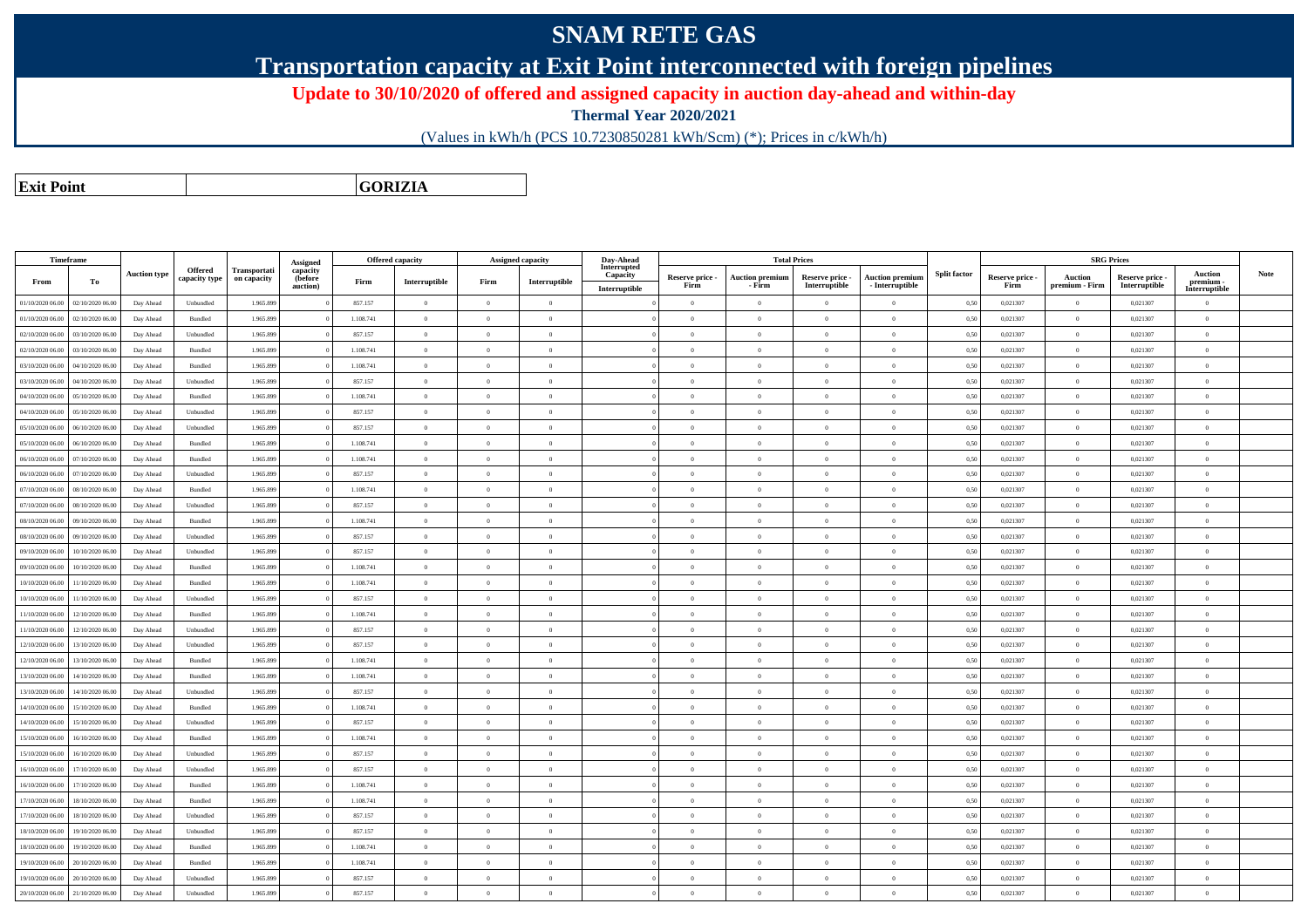## **SNAM RETE GAS**

**Transportation capacity at Exit Point interconnected with foreign pipelines**

**Update to 30/10/2020 of offered and assigned capacity in auction day-ahead and within-day**

**Thermal Year 2020/2021**

(Values in kWh/h (PCS 10.7230850281 kWh/Scm) (\*); Prices in c/kWh/h)

**Exit PointGORIZIA**

|                  | Timeframe                           |                     |                          |                             | <b>Assigned</b>                 |           | <b>Offered capacity</b> |                | Assigned capacity        | Day-Ahead               |                         |                                  | <b>Total Prices</b>              |                                           |                     |                         |                           | <b>SRG Prices</b>                |                           |      |
|------------------|-------------------------------------|---------------------|--------------------------|-----------------------------|---------------------------------|-----------|-------------------------|----------------|--------------------------|-------------------------|-------------------------|----------------------------------|----------------------------------|-------------------------------------------|---------------------|-------------------------|---------------------------|----------------------------------|---------------------------|------|
| From             | Тo                                  | <b>Auction type</b> | Offered<br>capacity type | Transportati<br>on capacity | capacity<br>(before<br>auction) | Firm      | Interruptible           | Firm           | Interruptible            | Interrupted<br>Capacity | Reserve price -<br>Firm | <b>Auction premium</b><br>- Firm | Reserve price -<br>Interruptible | <b>Auction premium</b><br>- Interruptible | <b>Split factor</b> | Reserve price -<br>Firm | Auction<br>premium - Firm | Reserve price -<br>Interruptible | <b>Auction</b><br>premium | Note |
|                  |                                     |                     |                          |                             |                                 |           |                         | $\Omega$       |                          | Interruptible           |                         |                                  |                                  | $\theta$                                  |                     |                         |                           |                                  | Interruptible             |      |
| 01/10/2020 06.00 | 02/10/2020 06.00                    | Day Ahead           | Unbundled                | 1.965.899                   |                                 | 857.157   | $\overline{0}$          |                | $\overline{0}$           |                         | $\overline{0}$          | $\overline{0}$                   | $\overline{0}$                   |                                           | 0,50                | 0,021307                | $\overline{0}$            | 0,021307                         | $\overline{0}$            |      |
| 01/10/2020 06.00 | 02/10/2020 06.00                    | Day Ahead           | Bundled                  | 1.965.899                   |                                 | 1.108.741 | $\overline{0}$          | $\overline{0}$ | $\overline{0}$           |                         | $\overline{0}$          | $\overline{0}$                   | $\theta$                         | $\overline{0}$                            | 0,50                | 0,021307                | $\overline{0}$            | 0,021307                         | $\mathbf{0}$              |      |
| 02/10/2020 06.00 | 03/10/2020 06.00                    | Day Ahead           | Unbundled                | 1.965.899                   |                                 | 857.157   | $\overline{0}$          | $\Omega$       | $\overline{0}$           |                         | $\Omega$                | $\theta$                         | $\Omega$                         | $\theta$                                  | 0,50                | 0,021307                | $\overline{0}$            | 0,021307                         | $\mathbf{0}$              |      |
| 02/10/2020 06.00 | 03/10/2020 06.00                    | Day Ahead           | Bundled                  | 1.965.899                   |                                 | 1.108.741 | $\overline{0}$          | $\Omega$       | $\overline{0}$           |                         | $\Omega$                | $\theta$                         | $\Omega$                         | $\theta$                                  | 0,50                | 0,021307                | $\overline{0}$            | 0,021307                         | $\overline{0}$            |      |
| 03/10/2020 06.00 | 04/10/2020 06:00                    | Day Ahead           | <b>Bundled</b>           | 1.965.899                   |                                 | 1.108.741 | $\overline{0}$          | $\theta$       | $\theta$                 |                         | $\Omega$                | $\theta$                         | $\Omega$                         | $\theta$                                  | 0,50                | 0,021307                | $\overline{0}$            | 0,021307                         | $\mathbf{0}$              |      |
| 03/10/2020 06.00 | 04/10/2020 06.00                    | Day Ahead           | Unbundled                | 1.965.899                   |                                 | 857.157   | $\overline{0}$          | $\Omega$       | $\overline{\phantom{0}}$ |                         | $\overline{0}$          | $\overline{0}$                   | $\overline{0}$                   | $\theta$                                  | 0,50                | 0,021307                | $\overline{0}$            | 0,021307                         | $\mathbf{0}$              |      |
| 04/10/2020 06.00 | 05/10/2020 06.0                     | Day Ahead           | Bundled                  | 1.965.899                   |                                 | 1.108.741 | $\overline{0}$          | $\Omega$       | $\overline{0}$           |                         | $\overline{0}$          | $\overline{0}$                   | $\Omega$                         | $\mathbf{a}$                              | 0,50                | 0,021307                | $\overline{0}$            | 0,021307                         | $\mathbf{0}$              |      |
| 04/10/2020 06.00 | 05/10/2020 06.00                    | Day Ahead           | Unbundled                | 1.965.899                   |                                 | 857.157   | $\overline{0}$          | $\Omega$       | $\overline{0}$           |                         | $\overline{0}$          | $\overline{0}$                   | $\theta$                         | $\overline{0}$                            | 0,50                | 0,021307                | $\overline{0}$            | 0,021307                         | $\mathbf{0}$              |      |
| 05/10/2020 06.00 | 06/10/2020 06.00                    | Day Ahead           | Unbundled                | 1.965.899                   |                                 | 857.157   | $\overline{0}$          | $\Omega$       | $\Omega$                 |                         | $\Omega$                | $\theta$                         | $\Omega$                         | $\theta$                                  | 0,50                | 0,021307                | $\theta$                  | 0,021307                         | $\overline{0}$            |      |
| 05/10/2020 06.00 | 06/10/2020 06.00                    | Day Ahead           | Bundled                  | 1.965.899                   |                                 | 1.108.741 | $\overline{0}$          | $\Omega$       | $\overline{0}$           |                         | $\overline{0}$          | $\overline{0}$                   | $\theta$                         | $\theta$                                  | 0,50                | 0,021307                | $\overline{0}$            | 0,021307                         | $\mathbf{0}$              |      |
| 06/10/2020 06:00 | 07/10/2020 06:00                    | Day Ahead           | <b>Bundled</b>           | 1.965.899                   |                                 | 1.108.741 | $\overline{0}$          | $\Omega$       | $\theta$                 |                         | $\Omega$                | $\theta$                         | $\theta$                         | $\theta$                                  | 0,50                | 0.021307                | $\overline{0}$            | 0,021307                         | $\mathbf{0}$              |      |
| 06/10/2020 06.00 | 07/10/2020 06.00                    | Day Ahead           | Unbundled                | 1.965.899                   |                                 | 857.157   | $\overline{0}$          | $\Omega$       | $\Omega$                 |                         | $\Omega$                | $\theta$                         | $\Omega$                         | $\mathbf{a}$                              | 0,50                | 0,021307                | $\overline{0}$            | 0,021307                         | $\mathbf{0}$              |      |
| 07/10/2020 06.00 | 08/10/2020 06.00                    | Day Ahead           | Bundled                  | 1.965.899                   |                                 | 1.108.741 | $\overline{0}$          | $\Omega$       | $\overline{0}$           |                         | $\overline{0}$          | $\overline{0}$                   | $\theta$                         | $\theta$                                  | 0,50                | 0,021307                | $\overline{0}$            | 0,021307                         | $\mathbf{0}$              |      |
| 07/10/2020 06.00 | 08/10/2020 06.00                    | Day Ahead           | Unbundled                | 1.965.89                    |                                 | 857.157   | $\overline{0}$          | $\Omega$       | $\overline{0}$           |                         | $\overline{0}$          | $\overline{0}$                   | $\theta$                         | $\theta$                                  | 0,50                | 0,021307                | $\overline{0}$            | 0,021307                         | $\mathbf{0}$              |      |
| 08/10/2020 06:00 | 09/10/2020 06.00                    | Day Ahead           | Bundled                  | 1.965.899                   |                                 | 1.108.741 | $\overline{0}$          | $\Omega$       | $\overline{0}$           |                         | $\overline{0}$          | $\overline{0}$                   | $\theta$                         | $\theta$                                  | 0,50                | 0,021307                | $\overline{0}$            | 0,021307                         | $\mathbf{0}$              |      |
| 08/10/2020 06:00 | 09/10/2020 06:0                     | Day Ahead           | Unbundled                | 1.965.899                   |                                 | 857.157   | $\overline{0}$          | $\Omega$       | $\theta$                 |                         | $\theta$                | $\theta$                         | $\theta$                         | $\theta$                                  | 0.50                | 0.021307                | $\Omega$                  | 0.021307                         | $\theta$                  |      |
| 09/10/2020 06.00 | 10/10/2020 06:00                    | Day Ahead           | Unbundled                | 1.965.899                   |                                 | 857.157   | $\overline{0}$          | $\theta$       | $\Omega$                 |                         | $\Omega$                | $\overline{0}$                   | $\Omega$                         | $\overline{0}$                            | 0,50                | 0.021307                | $\overline{0}$            | 0.021307                         | $\overline{0}$            |      |
| 09/10/2020 06.00 | 10/10/2020 06.00                    | Day Ahead           | $\mathbf{B}$ undled      | 1.965.899                   |                                 | 1.108.741 | $\overline{0}$          | $\Omega$       | $\Omega$                 |                         | $\Omega$                | $\theta$                         | $\Omega$                         | $\mathbf{a}$                              | 0,50                | 0,021307                | $\overline{0}$            | 0,021307                         | $\mathbf{0}$              |      |
| 10/10/2020 06.00 | 1/10/2020 06.00                     | Day Ahead           | Bundled                  | 1.965.89                    |                                 | 1.108.741 | $\overline{0}$          | $\Omega$       | $\overline{0}$           |                         | $\overline{0}$          | $\overline{0}$                   | $\theta$                         | $\Omega$                                  | 0,50                | 0,021307                | $\overline{0}$            | 0,021307                         | $\mathbf{0}$              |      |
| 10/10/2020 06.00 | 11/10/2020 06.00                    | Day Ahead           | Unbundled                | 1.965.899                   |                                 | 857.157   | $\overline{0}$          | $\overline{0}$ | $\overline{0}$           |                         | $\overline{0}$          | $\overline{0}$                   | $\overline{0}$                   | $\overline{0}$                            | 0,50                | 0,021307                | $\overline{0}$            | 0,021307                         | $\mathbf{0}$              |      |
| 11/10/2020 06.00 | 12/10/2020 06.00                    | Day Ahead           | Bundled                  | 1.965.899                   |                                 | 1.108.741 | $\overline{0}$          | $\Omega$       | $\overline{0}$           |                         | $\Omega$                | $\theta$                         | $\Omega$                         | $\theta$                                  | 0,50                | 0,021307                | $\overline{0}$            | 0,021307                         | $\overline{0}$            |      |
| 11/10/2020 06:00 | 12/10/2020 06:00                    | Day Ahead           | Unbundled                | 1.965.899                   |                                 | 857.157   | $\overline{0}$          | $\Omega$       | $\Omega$                 |                         | $\overline{0}$          | $\theta$                         | $\theta$                         | $\overline{0}$                            | 0,50                | 0.021307                | $\overline{0}$            | 0.021307                         | $\overline{0}$            |      |
| 12/10/2020 06:00 | 13/10/2020 06.00                    | Day Ahead           | Unbundled                | 1.965.899                   |                                 | 857.157   | $\Omega$                | $\Omega$       | $\theta$                 |                         | $\Omega$                | $\theta$                         | $\Omega$                         | $\Omega$                                  | 0,50                | 0.021307                | $\Omega$                  | 0.021307                         | $\theta$                  |      |
| 12/10/2020 06.00 | 13/10/2020 06.00                    | Day Ahead           | Bundled                  | 1.965.899                   |                                 | 1.108.741 | $\overline{0}$          | $\Omega$       | $\overline{0}$           |                         | $\Omega$                | $\theta$                         | $\Omega$                         | $\sqrt{2}$                                | 0,50                | 0,021307                | $\overline{0}$            | 0,021307                         | $\mathbf{0}$              |      |
| 13/10/2020 06:00 | 14/10/2020 06.00                    | Day Ahead           | Bundled                  | 1.965.899                   |                                 | 1.108.741 | $\overline{0}$          | $\theta$       | $\overline{0}$           |                         | $\overline{0}$          | $\overline{0}$                   | $\overline{0}$                   | $\overline{0}$                            | 0,50                | 0,021307                | $\overline{0}$            | 0,021307                         | $\mathbf{0}$              |      |
| 13/10/2020 06:00 | 14/10/2020 06.00                    | Day Ahead           | Unbundled                | 1.965.89                    |                                 | 857.157   | $\overline{0}$          | $\Omega$       | $\overline{0}$           |                         | $\overline{0}$          | $\overline{0}$                   | $\theta$                         | $\theta$                                  | 0,50                | 0,021307                | $\overline{0}$            | 0,021307                         | $\mathbf{0}$              |      |
| 14/10/2020 06:00 | 15/10/2020 06.00                    | Day Ahead           | Bundled                  | 1.965.899                   |                                 | 1.108.741 | $\overline{0}$          | $\Omega$       | $\Omega$                 |                         | $\Omega$                | $\theta$                         | $\theta$                         | $\theta$                                  | 0,50                | 0,021307                | $\overline{0}$            | 0,021307                         | $\mathbf{0}$              |      |
| 14/10/2020 06:00 | 15/10/2020 06:00                    | Day Ahead           | Unbundled                | 1.965.899                   |                                 | 857.157   | $\Omega$                | $\Omega$       | $\theta$                 |                         | $\Omega$                | $\theta$                         | $\theta$                         | $\Omega$                                  | 0.50                | 0.021307                | $\Omega$                  | 0.021307                         | $\theta$                  |      |
| 15/10/2020 06:00 | 16/10/2020 06:00                    | Day Ahead           | Bundled                  | 1.965.899                   |                                 | 1.108.741 | $\overline{0}$          | $\theta$       | $\Omega$                 |                         | $\overline{0}$          | $\overline{0}$                   | $\Omega$                         | $\overline{0}$                            | 0,50                | 0.021307                | $\overline{0}$            | 0.021307                         | $\overline{0}$            |      |
|                  |                                     |                     |                          |                             |                                 |           |                         |                |                          |                         |                         |                                  |                                  |                                           |                     |                         |                           |                                  |                           |      |
| 15/10/2020 06:00 | 16/10/2020 06:00                    | Day Ahead           | Unbundled                | 1.965.899                   |                                 | 857.157   | $\overline{0}$          | $\Omega$       | $\overline{0}$           |                         | $\Omega$                | $\theta$                         | $\Omega$                         | $\theta$                                  | 0,50                | 0.021307                | $\overline{0}$            | 0.021307                         | $\mathbf{0}$              |      |
| 16/10/2020 06.00 | 17/10/2020 06.00                    | Day Ahead           | Unbundled                | 1.965.89                    |                                 | 857.157   | $\overline{0}$          | $\Omega$       | $\overline{0}$           |                         | $\overline{0}$          | $\overline{0}$                   | $\theta$                         | $\Omega$                                  | 0,50                | 0,021307                | $\overline{0}$            | 0,021307                         | $\overline{0}$            |      |
| 16/10/2020 06.00 | 17/10/2020 06.00                    | Day Ahead           | Bundled                  | 1.965.899                   |                                 | 1.108.741 | $\overline{0}$          | $\Omega$       | $\overline{0}$           |                         | $\overline{0}$          | $\overline{0}$                   | $\theta$                         | $\theta$                                  | 0,50                | 0,021307                | $\overline{0}$            | 0,021307                         | $\mathbf{0}$              |      |
| 17/10/2020 06:00 | 18/10/2020 06.00                    | Day Ahead           | Bundled                  | 1.965.89                    |                                 | 1.108.741 | $\overline{0}$          | $\Omega$       | $\Omega$                 |                         | $\Omega$                | $\theta$                         | $\theta$                         | $\theta$                                  | 0,50                | 0,021307                | $\Omega$                  | 0,021307                         | $\overline{0}$            |      |
| 17/10/2020 06:00 | 18/10/2020 06:00                    | Day Ahead           | Unbundled                | 1.965.899                   |                                 | 857.157   | $\overline{0}$          | $\theta$       | $\overline{0}$           |                         | $\Omega$                | $\overline{0}$                   | $\Omega$                         | $\overline{0}$                            | 0,50                | 0.021307                | $\overline{0}$            | 0,021307                         | $\overline{0}$            |      |
| 18/10/2020 06:00 | 19/10/2020 06:00                    | Day Ahead           | Unbundled                | 1.965.899                   |                                 | 857.157   | $\Omega$                | $\Omega$       | $\theta$                 |                         | $\Omega$                | $\theta$                         | $\theta$                         | $\theta$                                  | 0.50                | 0.021307                | $\Omega$                  | 0.021307                         | $\theta$                  |      |
| 18/10/2020 06:00 | 19/10/2020 06.00                    | Day Ahead           | Bundled                  | 1.965.899                   |                                 | 1.108.741 | $\overline{0}$          | $\theta$       | $\Omega$                 |                         | $\overline{0}$          | $\overline{0}$                   | $\Omega$                         | $\theta$                                  | 0,50                | 0.021307                | $\,$ 0 $\,$               | 0,021307                         | $\mathbf{0}$              |      |
| 19/10/2020 06:00 | 20/10/2020 06.00                    | Day Ahead           | Bundled                  | 1.965.899                   |                                 | 1.108.741 | $\overline{0}$          | $\Omega$       | $\Omega$                 |                         | $\Omega$                | $\theta$                         | $\theta$                         | $\theta$                                  | 0,50                | 0,021307                | $\overline{0}$            | 0,021307                         | $\mathbf{0}$              |      |
| 19/10/2020 06:00 | 20/10/2020 06.00                    | Day Ahead           | Unbundled                | 1.965.899                   |                                 | 857.157   | $\overline{0}$          | $\overline{0}$ | $\overline{0}$           |                         | $\overline{0}$          | $\overline{0}$                   | $\theta$                         | $\overline{0}$                            | 0,50                | 0,021307                | $\overline{0}$            | 0,021307                         | $\mathbf{0}$              |      |
|                  | 20/10/2020 06:00 \ 21/10/2020 06:00 | Day Ahead           | Unbundled                | 1965899                     |                                 | 857 157   | $\Omega$                |                |                          |                         |                         | $\Omega$                         |                                  |                                           | 0.50                | 0.021307                |                           | 0.021307                         | $\Omega$                  |      |

0 | 21/10/2020 06.00 | Day Ahead | Unbundled | 1.965.899 | 0 | 857.157 | 0 | 0 | 0 | 0 | 0 | 0,021 | 0 | 0,021307 | 0 | 0,021307 | 0 | 0,021307 | 0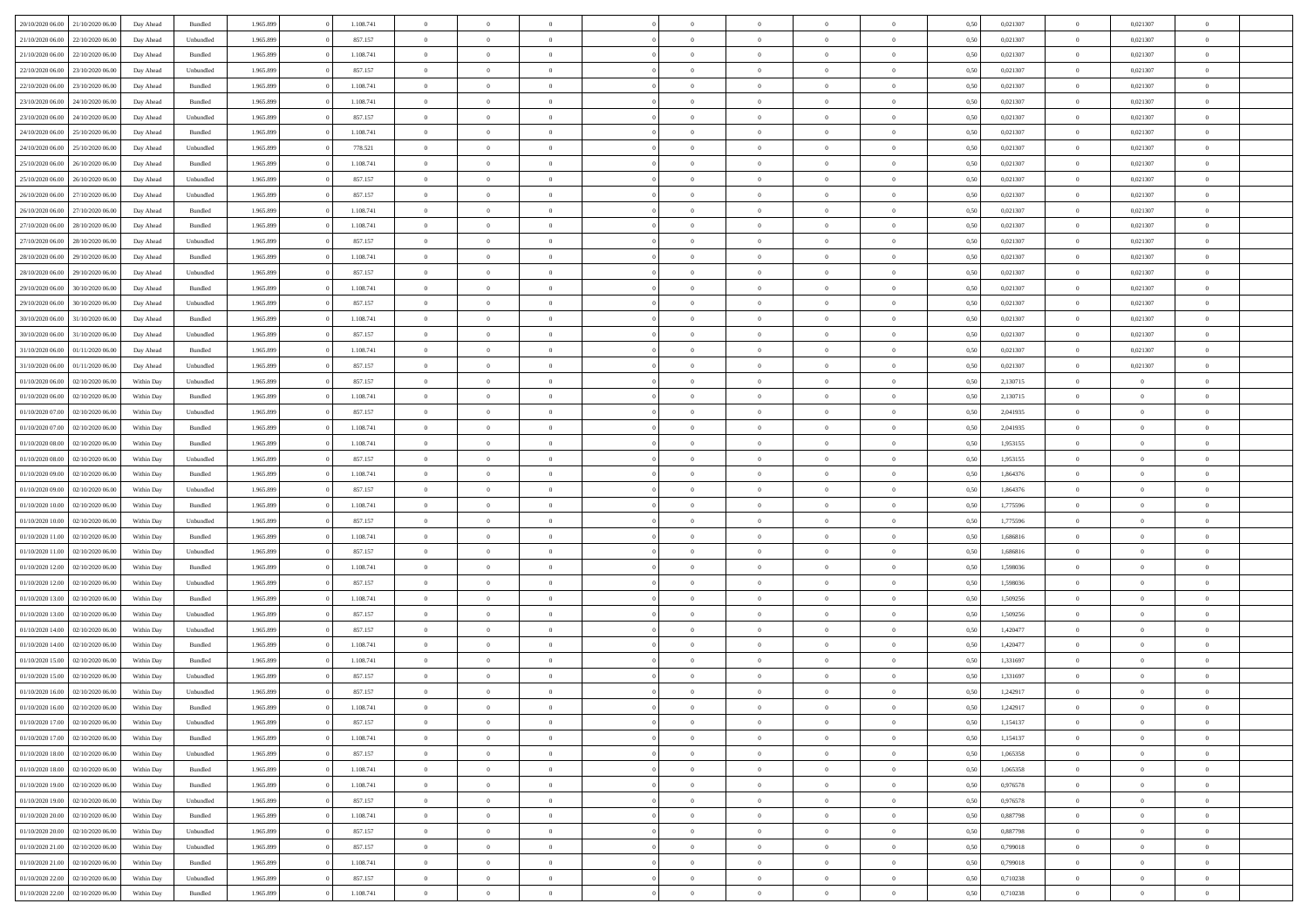| 20/10/2020 06:00 | 21/10/2020 06:00                  | Day Ahead  | Bundled            | 1.965.899 | 1.108.741 | $\overline{0}$ | $\Omega$       |                | $\Omega$       | $\Omega$       | $\theta$       | $\theta$       | 0,50 | 0,021307 | $\theta$       | 0,021307       | $\theta$                 |  |
|------------------|-----------------------------------|------------|--------------------|-----------|-----------|----------------|----------------|----------------|----------------|----------------|----------------|----------------|------|----------|----------------|----------------|--------------------------|--|
| 21/10/2020 06.00 | 22/10/2020 06.00                  | Day Ahead  | Unbundled          | 1.965.899 | 857.157   | $\overline{0}$ | $\theta$       | $\overline{0}$ | $\overline{0}$ | $\bf{0}$       | $\overline{0}$ | $\bf{0}$       | 0,50 | 0,021307 | $\theta$       | 0,021307       | $\overline{0}$           |  |
| 21/10/2020 06:00 | 22/10/2020 06.00                  | Day Ahead  | Bundled            | 1.965.899 | 1.108.741 | $\overline{0}$ | $\overline{0}$ | $\overline{0}$ | $\bf{0}$       | $\bf{0}$       | $\bf{0}$       | $\mathbf{0}$   | 0,50 | 0,021307 | $\overline{0}$ | 0,021307       | $\overline{0}$           |  |
| 22/10/2020 06:00 | 23/10/2020 06:00                  | Day Ahead  | Unbundled          | 1.965.899 | 857.157   | $\overline{0}$ | $\overline{0}$ | $\overline{0}$ | $\overline{0}$ | $\bf{0}$       | $\overline{0}$ | $\overline{0}$ | 0.50 | 0,021307 | $\theta$       | 0.021307       | $\overline{0}$           |  |
| 22/10/2020 06.00 | 23/10/2020 06.00                  | Day Ahead  | Bundled            | 1.965.899 | 1.108.741 | $\overline{0}$ | $\theta$       | $\overline{0}$ | $\overline{0}$ | $\bf{0}$       | $\overline{0}$ | $\bf{0}$       | 0,50 | 0,021307 | $\,$ 0 $\,$    | 0,021307       | $\overline{0}$           |  |
|                  |                                   |            |                    |           |           |                |                |                |                |                |                |                |      |          |                |                |                          |  |
| 23/10/2020 06.00 | 24/10/2020 06.00                  | Day Ahead  | Bundled            | 1.965.899 | 1.108.741 | $\overline{0}$ | $\overline{0}$ | $\overline{0}$ | $\bf{0}$       | $\overline{0}$ | $\overline{0}$ | $\mathbf{0}$   | 0,50 | 0,021307 | $\overline{0}$ | 0,021307       | $\bf{0}$                 |  |
| 23/10/2020 06:00 | 24/10/2020 06.00                  | Day Ahead  | Unbundled          | 1.965.899 | 857.157   | $\overline{0}$ | $\overline{0}$ | $\overline{0}$ | $\overline{0}$ | $\overline{0}$ | $\overline{0}$ | $\overline{0}$ | 0.50 | 0,021307 | $\overline{0}$ | 0,021307       | $\overline{0}$           |  |
| 24/10/2020 06.00 | 25/10/2020 06.00                  | Day Ahead  | Bundled            | 1.965.899 | 1.108.741 | $\overline{0}$ | $\theta$       | $\overline{0}$ | $\overline{0}$ | $\bf{0}$       | $\overline{0}$ | $\bf{0}$       | 0,50 | 0,021307 | $\,$ 0 $\,$    | 0,021307       | $\overline{0}$           |  |
| 24/10/2020 06:00 | 25/10/2020 06.00                  | Day Ahead  | Unbundled          | 1.965.899 | 778.521   | $\overline{0}$ | $\overline{0}$ | $\overline{0}$ | $\bf{0}$       | $\bf{0}$       | $\bf{0}$       | $\bf{0}$       | 0,50 | 0,021307 | $\bf{0}$       | 0,021307       | $\overline{0}$           |  |
| 25/10/2020 06:00 | 26/10/2020 06:00                  | Day Ahead  | Bundled            | 1.965.899 | 1.108.741 | $\overline{0}$ | $\overline{0}$ | $\overline{0}$ | $\overline{0}$ | $\overline{0}$ | $\overline{0}$ | $\overline{0}$ | 0.50 | 0,021307 | $\overline{0}$ | 0,021307       | $\overline{0}$           |  |
| 25/10/2020 06.00 | 26/10/2020 06.00                  | Day Ahead  | Unbundled          | 1.965.899 | 857.157   | $\overline{0}$ | $\theta$       | $\overline{0}$ | $\overline{0}$ | $\bf{0}$       | $\overline{0}$ | $\bf{0}$       | 0,50 | 0,021307 | $\,$ 0 $\,$    | 0,021307       | $\overline{0}$           |  |
| 26/10/2020 06.00 | 27/10/2020 06.00                  | Day Ahead  | Unbundled          | 1.965.899 | 857.157   | $\overline{0}$ | $\overline{0}$ | $\overline{0}$ | $\bf{0}$       | $\bf{0}$       | $\bf{0}$       | $\bf{0}$       | 0,50 | 0,021307 | $\bf{0}$       | 0,021307       | $\overline{\phantom{a}}$ |  |
| 26/10/2020 06:00 | 27/10/2020 06:00                  | Day Ahead  | Bundled            | 1.965.899 | 1.108.741 | $\overline{0}$ | $\overline{0}$ | $\overline{0}$ | $\overline{0}$ | $\bf{0}$       | $\overline{0}$ | $\overline{0}$ | 0.50 | 0.021307 | $\overline{0}$ | 0.021307       | $\overline{0}$           |  |
|                  |                                   |            |                    |           |           |                |                |                |                |                |                |                |      |          |                |                |                          |  |
| 27/10/2020 06.00 | 28/10/2020 06.00                  | Day Ahead  | Bundled            | 1.965.899 | 1.108.741 | $\overline{0}$ | $\theta$       | $\overline{0}$ | $\overline{0}$ | $\bf{0}$       | $\overline{0}$ | $\bf{0}$       | 0,50 | 0,021307 | $\,$ 0 $\,$    | 0,021307       | $\overline{0}$           |  |
| 27/10/2020 06:00 | 28/10/2020 06.00                  | Day Ahead  | Unbundled          | 1.965.899 | 857.157   | $\overline{0}$ | $\overline{0}$ | $\overline{0}$ | $\bf{0}$       | $\overline{0}$ | $\overline{0}$ | $\mathbf{0}$   | 0,50 | 0,021307 | $\overline{0}$ | 0,021307       | $\bf{0}$                 |  |
| 28/10/2020 06:00 | 29/10/2020 06:00                  | Day Ahead  | Bundled            | 1.965.899 | 1.108.741 | $\overline{0}$ | $\overline{0}$ | $\overline{0}$ | $\overline{0}$ | $\overline{0}$ | $\overline{0}$ | $\overline{0}$ | 0.50 | 0,021307 | $\overline{0}$ | 0,021307       | $\overline{0}$           |  |
| 28/10/2020 06.00 | 29/10/2020 06.00                  | Day Ahead  | Unbundled          | 1.965.899 | 857.157   | $\overline{0}$ | $\theta$       | $\overline{0}$ | $\overline{0}$ | $\bf{0}$       | $\overline{0}$ | $\bf{0}$       | 0,50 | 0,021307 | $\,$ 0 $\,$    | 0,021307       | $\overline{0}$           |  |
| 29/10/2020 06.00 | 30/10/2020 06.00                  | Day Ahead  | Bundled            | 1.965.899 | 1.108.741 | $\overline{0}$ | $\overline{0}$ | $\overline{0}$ | $\bf{0}$       | $\bf{0}$       | $\bf{0}$       | $\bf{0}$       | 0,50 | 0,021307 | $\bf{0}$       | 0,021307       | $\overline{0}$           |  |
| 29/10/2020 06.00 | 30/10/2020 06:00                  | Day Ahead  | Unbundled          | 1.965.899 | 857.157   | $\overline{0}$ | $\overline{0}$ | $\overline{0}$ | $\overline{0}$ | $\overline{0}$ | $\overline{0}$ | $\overline{0}$ | 0.50 | 0,021307 | $\overline{0}$ | 0,021307       | $\overline{0}$           |  |
| 30/10/2020 06.00 | 31/10/2020 06.00                  | Day Ahead  | Bundled            | 1.965.899 | 1.108.741 | $\overline{0}$ | $\theta$       | $\overline{0}$ | $\overline{0}$ | $\bf{0}$       | $\overline{0}$ | $\bf{0}$       | 0,50 | 0,021307 | $\,$ 0 $\,$    | 0,021307       | $\overline{0}$           |  |
|                  |                                   |            |                    |           |           |                |                |                |                |                |                |                |      |          |                |                |                          |  |
| 30/10/2020 06.00 | 31/10/2020 06.00                  | Day Ahead  | Unbundled          | 1.965.899 | 857.157   | $\overline{0}$ | $\overline{0}$ | $\overline{0}$ | $\bf{0}$       | $\bf{0}$       | $\bf{0}$       | $\bf{0}$       | 0,50 | 0,021307 | $\bf{0}$       | 0,021307       | $\overline{0}$           |  |
| 31/10/2020 06.00 | 01/11/2020 06.00                  | Day Ahead  | Bundled            | 1.965.899 | 1.108.741 | $\overline{0}$ | $\overline{0}$ | $\overline{0}$ | $\overline{0}$ | $\bf{0}$       | $\overline{0}$ | $\overline{0}$ | 0.50 | 0,021307 | $\overline{0}$ | 0.021307       | $\overline{0}$           |  |
| 31/10/2020 06.00 | 01/11/2020 06.00                  | Day Ahead  | Unbundled          | 1.965.899 | 857.157   | $\overline{0}$ | $\theta$       | $\overline{0}$ | $\overline{0}$ | $\bf{0}$       | $\overline{0}$ | $\bf{0}$       | 0,50 | 0,021307 | $\,$ 0 $\,$    | 0,021307       | $\overline{0}$           |  |
| 01/10/2020 06.00 | 02/10/2020 06.00                  | Within Day | Unbundled          | 1.965.899 | 857.157   | $\overline{0}$ | $\overline{0}$ | $\overline{0}$ | $\bf{0}$       | $\overline{0}$ | $\overline{0}$ | $\mathbf{0}$   | 0,50 | 2,130715 | $\bf{0}$       | $\overline{0}$ | $\bf{0}$                 |  |
| 01/10/2020 06:00 | 02/10/2020 06:00                  | Within Dav | Bundled            | 1.965.899 | 1.108.741 | $\overline{0}$ | $\overline{0}$ | $\overline{0}$ | $\overline{0}$ | $\overline{0}$ | $\overline{0}$ | $\overline{0}$ | 0.50 | 2,130715 | $\overline{0}$ | $\overline{0}$ | $\overline{0}$           |  |
| 01/10/2020 07.00 | 02/10/2020 06.00                  | Within Day | Unbundled          | 1.965.899 | 857.157   | $\overline{0}$ | $\theta$       | $\overline{0}$ | $\overline{0}$ | $\bf{0}$       | $\overline{0}$ | $\bf{0}$       | 0,50 | 2,041935 | $\,$ 0 $\,$    | $\theta$       | $\overline{0}$           |  |
| 01/10/2020 07.00 | 02/10/2020 06.00                  | Within Day | Bundled            | 1.965.899 | 1.108.741 | $\overline{0}$ | $\overline{0}$ | $\overline{0}$ | $\bf{0}$       | $\bf{0}$       | $\bf{0}$       | $\bf{0}$       | 0,50 | 2,041935 | $\,0\,$        | $\overline{0}$ | $\overline{0}$           |  |
| 01/10/2020 08:00 | 02/10/2020 06:00                  | Within Day | Bundled            | 1.965.899 | 1.108.741 | $\overline{0}$ | $\overline{0}$ | $\overline{0}$ | $\overline{0}$ | $\overline{0}$ | $\overline{0}$ | $\overline{0}$ | 0.50 | 1,953155 | $\theta$       | $\overline{0}$ | $\overline{0}$           |  |
|                  |                                   |            |                    |           |           |                |                |                |                |                |                |                |      |          |                |                |                          |  |
| 01/10/2020 08:00 | 02/10/2020 06.00                  | Within Day | Unbundled          | 1.965.899 | 857.157   | $\overline{0}$ | $\theta$       | $\overline{0}$ | $\overline{0}$ | $\bf{0}$       | $\overline{0}$ | $\bf{0}$       | 0,50 | 1,953155 | $\,$ 0 $\,$    | $\overline{0}$ | $\overline{0}$           |  |
| 01/10/2020 09.00 | 02/10/2020 06.00                  | Within Day | Bundled            | 1.965.899 | 1.108.741 | $\overline{0}$ | $\overline{0}$ | $\overline{0}$ | $\bf{0}$       | $\bf{0}$       | $\bf{0}$       | $\bf{0}$       | 0,50 | 1,864376 | $\overline{0}$ | $\overline{0}$ | $\overline{0}$           |  |
| 01/10/2020 09:00 | 02/10/2020 06.00                  | Within Day | Unbundled          | 1.965.899 | 857.157   | $\overline{0}$ | $\Omega$       | $\overline{0}$ | $\Omega$       | $\Omega$       | $\overline{0}$ | $\overline{0}$ | 0,50 | 1,864376 | $\,0\,$        | $\theta$       | $\theta$                 |  |
| 01/10/2020 10:00 | 02/10/2020 06.00                  | Within Day | Bundled            | 1.965.899 | 1.108.741 | $\overline{0}$ | $\theta$       | $\overline{0}$ | $\overline{0}$ | $\bf{0}$       | $\overline{0}$ | $\bf{0}$       | 0,50 | 1,775596 | $\,$ 0 $\,$    | $\theta$       | $\overline{0}$           |  |
| 01/10/2020 10:00 | 02/10/2020 06.00                  | Within Day | Unbundled          | 1.965.899 | 857.157   | $\overline{0}$ | $\overline{0}$ | $\overline{0}$ | $\bf{0}$       | $\bf{0}$       | $\overline{0}$ | $\mathbf{0}$   | 0,50 | 1,775596 | $\overline{0}$ | $\overline{0}$ | $\bf{0}$                 |  |
| 01/10/2020 11:00 | 02/10/2020 06.00                  | Within Day | Bundled            | 1.965.899 | 1.108.741 | $\overline{0}$ | $\Omega$       | $\Omega$       | $\Omega$       | $\bf{0}$       | $\overline{0}$ | $\overline{0}$ | 0.50 | 1,686816 | $\,0\,$        | $\theta$       | $\theta$                 |  |
| 01/10/2020 11:00 | 02/10/2020 06.00                  | Within Day | Unbundled          | 1.965.899 | 857.157   | $\overline{0}$ | $\theta$       | $\overline{0}$ | $\overline{0}$ | $\bf{0}$       | $\overline{0}$ | $\bf{0}$       | 0,50 | 1,686816 | $\,$ 0 $\,$    | $\overline{0}$ | $\overline{0}$           |  |
|                  |                                   |            |                    |           |           |                | $\overline{0}$ |                |                | $\bf{0}$       |                |                |      |          | $\bf{0}$       | $\overline{0}$ | $\overline{0}$           |  |
| 01/10/2020 12.00 | 02/10/2020 06.00                  | Within Day | Bundled            | 1.965.899 | 1.108.741 | $\overline{0}$ |                | $\overline{0}$ | $\bf{0}$       |                | $\bf{0}$       | $\bf{0}$       | 0,50 | 1,598036 |                |                |                          |  |
| 01/10/2020 12:00 | 02/10/2020 06:00                  | Within Day | Unbundled          | 1.965.899 | 857.157   | $\overline{0}$ | $\Omega$       | $\overline{0}$ | $\Omega$       | $\overline{0}$ | $\overline{0}$ | $\overline{0}$ | 0.50 | 1,598036 | $\,$ 0 $\,$    | $\theta$       | $\theta$                 |  |
| 01/10/2020 13:00 | 02/10/2020 06.00                  | Within Day | Bundled            | 1.965.899 | 1.108.741 | $\overline{0}$ | $\theta$       | $\overline{0}$ | $\overline{0}$ | $\bf{0}$       | $\overline{0}$ | $\bf{0}$       | 0,50 | 1,509256 | $\,$ 0 $\,$    | $\overline{0}$ | $\overline{0}$           |  |
| 01/10/2020 13.00 | 02/10/2020 06.00                  | Within Day | Unbundled          | 1.965.899 | 857.157   | $\overline{0}$ | $\overline{0}$ | $\overline{0}$ | $\bf{0}$       | $\bf{0}$       | $\bf{0}$       | $\bf{0}$       | 0,50 | 1,509256 | $\overline{0}$ | $\overline{0}$ | $\overline{0}$           |  |
| 01/10/2020 14:00 | 02/10/2020 06.00                  | Within Day | Unbundled          | 1.965.899 | 857.157   | $\overline{0}$ | $\Omega$       | $\overline{0}$ | $\Omega$       | $\overline{0}$ | $\overline{0}$ | $\overline{0}$ | 0,50 | 1,420477 | $\,0\,$        | $\theta$       | $\theta$                 |  |
| 01/10/2020 14:00 | 02/10/2020 06.00                  | Within Day | Bundled            | 1.965.899 | 1.108.741 | $\overline{0}$ | $\overline{0}$ | $\overline{0}$ | $\overline{0}$ | $\,$ 0         | $\overline{0}$ | $\bf{0}$       | 0,50 | 1,420477 | $\,$ 0 $\,$    | $\overline{0}$ | $\overline{0}$           |  |
| 01/10/2020 15.00 | 02/10/2020 06.00                  | Within Day | Bundled            | 1.965.899 | 1.108.741 | $\overline{0}$ | $\overline{0}$ | $\overline{0}$ | $\bf{0}$       | $\bf{0}$       | $\bf{0}$       | $\mathbf{0}$   | 0,50 | 1,331697 | $\overline{0}$ | $\overline{0}$ | $\bf{0}$                 |  |
| 01/10/2020 15:00 | 02/10/2020 06:00                  | Within Day | Unbundled          | 1.965.899 | 857.157   | $\overline{0}$ | $\Omega$       | $\Omega$       | $\Omega$       | $\Omega$       | $\Omega$       | $\overline{0}$ | 0.50 | 1,331697 | $\theta$       | $\theta$       | $\theta$                 |  |
| 01/10/2020 16.00 | 02/10/2020 06.00                  | Within Day | Unbundled          | 1.965.899 | 857.157   | $\overline{0}$ | $\overline{0}$ | $\overline{0}$ | $\bf{0}$       | $\,$ 0         | $\bf{0}$       | $\bf{0}$       | 0,50 | 1,242917 | $\,0\,$        | $\,$ 0 $\,$    | $\overline{0}$           |  |
|                  |                                   |            |                    |           |           |                |                |                |                |                |                |                |      |          |                |                |                          |  |
|                  | 01/10/2020 16:00 02/10/2020 06:00 | Within Day | Bundled            | 1.965.899 | 1.108.741 | $\bf{0}$       | $\bf{0}$       |                |                |                |                |                | 0,50 | 1,242917 | $\bf{0}$       | $\overline{0}$ |                          |  |
| 01/10/2020 17.00 | 02/10/2020 06:00                  | Within Day | Unbundled          | 1.965.899 | 857.157   | $\overline{0}$ | $\overline{0}$ | $\Omega$       | $\Omega$       | $\overline{0}$ | $\overline{0}$ | $\overline{0}$ | 0,50 | 1,154137 | $\theta$       | $\theta$       | $\theta$                 |  |
| 01/10/2020 17.00 | 02/10/2020 06.00                  | Within Day | Bundled            | 1.965.899 | 1.108.741 | $\overline{0}$ | $\,$ 0         | $\overline{0}$ | $\bf{0}$       | $\,$ 0 $\,$    | $\overline{0}$ | $\mathbf{0}$   | 0,50 | 1,154137 | $\,$ 0 $\,$    | $\,$ 0 $\,$    | $\,$ 0                   |  |
| 01/10/2020 18:00 | 02/10/2020 06.00                  | Within Day | Unbundled          | 1.965.899 | 857.157   | $\overline{0}$ | $\overline{0}$ | $\overline{0}$ | $\overline{0}$ | $\overline{0}$ | $\overline{0}$ | $\mathbf{0}$   | 0,50 | 1,065358 | $\overline{0}$ | $\bf{0}$       | $\bf{0}$                 |  |
| 01/10/2020 18:00 | 02/10/2020 06.00                  | Within Day | $\mathbf B$ undled | 1.965.899 | 1.108.741 | $\overline{0}$ | $\overline{0}$ | $\overline{0}$ | $\Omega$       | $\overline{0}$ | $\overline{0}$ | $\overline{0}$ | 0,50 | 1,065358 | $\overline{0}$ | $\theta$       | $\overline{0}$           |  |
| 01/10/2020 19:00 | 02/10/2020 06.00                  | Within Day | Bundled            | 1.965.899 | 1.108.741 | $\overline{0}$ | $\,$ 0         | $\overline{0}$ | $\overline{0}$ | $\,$ 0 $\,$    | $\overline{0}$ | $\mathbf{0}$   | 0,50 | 0,976578 | $\,$ 0 $\,$    | $\overline{0}$ | $\overline{0}$           |  |
| 01/10/2020 19:00 | 02/10/2020 06.00                  | Within Day | Unbundled          | 1.965.899 | 857.157   | $\overline{0}$ | $\overline{0}$ | $\overline{0}$ | $\overline{0}$ | $\overline{0}$ | $\overline{0}$ | $\mathbf{0}$   | 0,50 | 0,976578 | $\overline{0}$ | $\overline{0}$ | $\bf{0}$                 |  |
|                  |                                   |            |                    |           | 1.108.741 | $\overline{0}$ | $\overline{0}$ | $\overline{0}$ | $\overline{0}$ | $\overline{0}$ | $\overline{0}$ |                | 0.50 |          | $\overline{0}$ | $\theta$       | $\overline{0}$           |  |
| 01/10/2020 20.00 | 02/10/2020 06.00                  | Within Day | Bundled            | 1.965.899 |           |                |                |                |                |                |                | $\bf{0}$       |      | 0,887798 |                |                |                          |  |
| 01/10/2020 20.00 | 02/10/2020 06.00                  | Within Day | Unbundled          | 1.965.899 | 857.157   | $\overline{0}$ | $\,$ 0         | $\overline{0}$ | $\bf{0}$       | $\bf{0}$       | $\bf{0}$       | $\bf{0}$       | 0,50 | 0,887798 | $\,$ 0 $\,$    | $\overline{0}$ | $\overline{0}$           |  |
| 01/10/2020 21:00 | 02/10/2020 06.00                  | Within Day | Unbundled          | 1.965.899 | 857.157   | $\overline{0}$ | $\bf{0}$       | $\overline{0}$ | $\overline{0}$ | $\overline{0}$ | $\overline{0}$ | $\mathbf{0}$   | 0,50 | 0,799018 | $\overline{0}$ | $\overline{0}$ | $\bf{0}$                 |  |
| 01/10/2020 21:00 | 02/10/2020 06.00                  | Within Day | Bundled            | 1.965.899 | 1.108.741 | $\overline{0}$ | $\overline{0}$ | $\overline{0}$ | $\Omega$       | $\overline{0}$ | $\overline{0}$ | $\bf{0}$       | 0.50 | 0,799018 | $\overline{0}$ | $\overline{0}$ | $\overline{0}$           |  |
| 01/10/2020 22.00 | 02/10/2020 06.00                  | Within Day | Unbundled          | 1.965.899 | 857.157   | $\overline{0}$ | $\bf{0}$       | $\overline{0}$ | $\bf{0}$       | $\bf{0}$       | $\bf{0}$       | $\mathbf{0}$   | 0,50 | 0,710238 | $\,$ 0 $\,$    | $\,$ 0 $\,$    | $\bf{0}$                 |  |
| 01/10/2020 22.00 | 02/10/2020 06.00                  | Within Day | Bundled            | 1.965.899 | 1.108.741 | $\overline{0}$ | $\overline{0}$ | $\overline{0}$ | $\overline{0}$ | $\overline{0}$ | $\bf{0}$       | $\mathbf{0}$   | 0,50 | 0,710238 | $\overline{0}$ | $\bf{0}$       | $\overline{0}$           |  |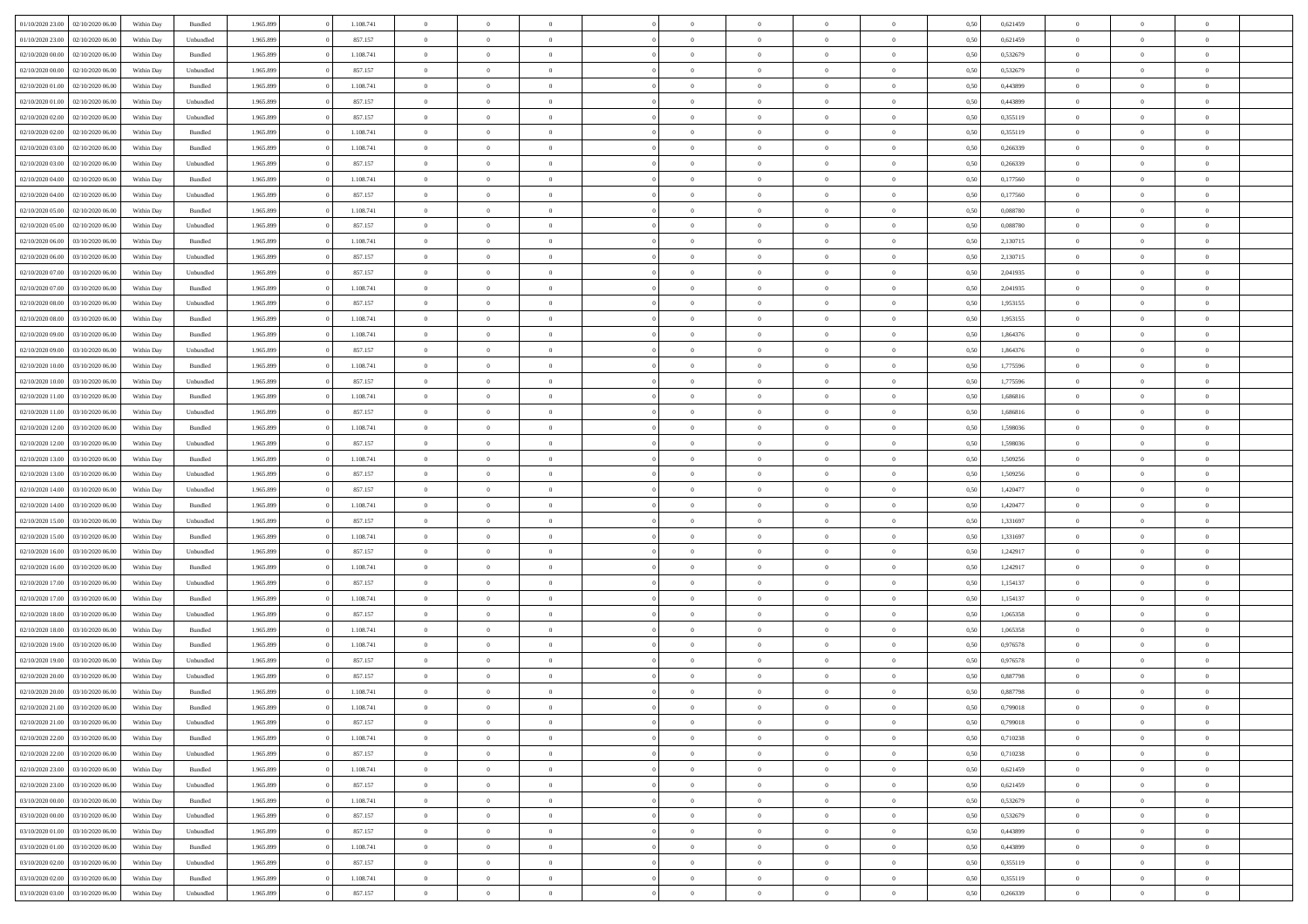|                                   |                  |            |                    |           |           | $\overline{0}$ | $\Omega$       |                |                | $\Omega$       | $\Omega$       | $\theta$       |      |          | $\theta$       |                | $\theta$       |  |
|-----------------------------------|------------------|------------|--------------------|-----------|-----------|----------------|----------------|----------------|----------------|----------------|----------------|----------------|------|----------|----------------|----------------|----------------|--|
| 01/10/2020 23.00                  | 02/10/2020 06.00 | Within Dav | Bundled            | 1.965.899 | 1.108.741 |                |                |                | $\Omega$       |                |                |                | 0.50 | 0,621459 |                | $\theta$       |                |  |
| 01/10/2020 23.00                  | 02/10/2020 06.00 | Within Day | Unbundled          | 1.965.899 | 857.157   | $\overline{0}$ | $\theta$       | $\overline{0}$ | $\overline{0}$ | $\bf{0}$       | $\overline{0}$ | $\bf{0}$       | 0,50 | 0,621459 | $\theta$       | $\theta$       | $\overline{0}$ |  |
| 02/10/2020 00.00                  | 02/10/2020 06.00 | Within Day | Bundled            | 1.965.899 | 1.108.741 | $\overline{0}$ | $\overline{0}$ | $\overline{0}$ | $\bf{0}$       | $\bf{0}$       | $\bf{0}$       | $\mathbf{0}$   | 0,50 | 0,532679 | $\bf{0}$       | $\overline{0}$ | $\overline{0}$ |  |
| 02/10/2020 00:00                  | 02/10/2020 06:00 | Within Dav | Unbundled          | 1.965.899 | 857.157   | $\overline{0}$ | $\overline{0}$ | $\overline{0}$ | $\overline{0}$ | $\bf{0}$       | $\overline{0}$ | $\overline{0}$ | 0.50 | 0,532679 | $\theta$       | $\theta$       | $\overline{0}$ |  |
|                                   |                  |            |                    |           |           | $\overline{0}$ | $\theta$       | $\overline{0}$ |                | $\bf{0}$       | $\overline{0}$ |                |      |          | $\theta$       | $\overline{0}$ | $\overline{0}$ |  |
| 02/10/2020 01:00                  | 02/10/2020 06.00 | Within Day | Bundled            | 1.965.899 | 1.108.741 |                |                |                | $\overline{0}$ |                |                | $\bf{0}$       | 0,50 | 0,443899 |                |                |                |  |
| 02/10/2020 01.00                  | 02/10/2020 06.00 | Within Day | Unbundled          | 1.965.899 | 857.157   | $\overline{0}$ | $\overline{0}$ | $\overline{0}$ | $\bf{0}$       | $\overline{0}$ | $\overline{0}$ | $\mathbf{0}$   | 0,50 | 0,443899 | $\bf{0}$       | $\overline{0}$ | $\bf{0}$       |  |
| 02/10/2020 02.00                  | 02/10/2020 06:00 | Within Dav | Unbundled          | 1.965.899 | 857.157   | $\overline{0}$ | $\overline{0}$ | $\overline{0}$ | $\overline{0}$ | $\overline{0}$ | $\overline{0}$ | $\overline{0}$ | 0.50 | 0,355119 | $\theta$       | $\overline{0}$ | $\overline{0}$ |  |
| 02/10/2020 02.00                  | 02/10/2020 06.00 | Within Day | Bundled            | 1.965.899 | 1.108.741 | $\overline{0}$ | $\theta$       | $\overline{0}$ | $\overline{0}$ | $\bf{0}$       | $\overline{0}$ | $\bf{0}$       | 0,50 | 0,355119 | $\theta$       | $\theta$       | $\overline{0}$ |  |
| 02/10/2020 03:00                  | 02/10/2020 06.00 | Within Day | Bundled            | 1.965.899 | 1.108.741 | $\overline{0}$ | $\overline{0}$ | $\overline{0}$ | $\bf{0}$       | $\bf{0}$       | $\bf{0}$       | $\bf{0}$       | 0,50 | 0,266339 | $\,0\,$        | $\overline{0}$ | $\overline{0}$ |  |
|                                   |                  |            |                    |           |           |                | $\overline{0}$ |                |                | $\overline{0}$ |                |                |      |          | $\theta$       | $\overline{0}$ | $\overline{0}$ |  |
| 02/10/2020 03:00                  | 02/10/2020 06:00 | Within Dav | Unbundled          | 1.965.899 | 857.157   | $\overline{0}$ |                | $\overline{0}$ | $\overline{0}$ |                | $\overline{0}$ | $\overline{0}$ | 0.50 | 0,266339 |                |                |                |  |
| 02/10/2020 04:00                  | 02/10/2020 06.00 | Within Day | Bundled            | 1.965.899 | 1.108.741 | $\overline{0}$ | $\theta$       | $\overline{0}$ | $\overline{0}$ | $\bf{0}$       | $\overline{0}$ | $\bf{0}$       | 0,50 | 0,177560 | $\,$ 0 $\,$    | $\overline{0}$ | $\overline{0}$ |  |
| 02/10/2020 04.00                  | 02/10/2020 06.00 | Within Day | Unbundled          | 1.965.899 | 857.157   | $\overline{0}$ | $\overline{0}$ | $\overline{0}$ | $\bf{0}$       | $\bf{0}$       | $\bf{0}$       | $\mathbf{0}$   | 0,50 | 0,177560 | $\overline{0}$ | $\overline{0}$ | $\bf{0}$       |  |
| 02/10/2020 05:00                  | 02/10/2020 06:00 | Within Day | Bundled            | 1.965.899 | 1.108.741 | $\overline{0}$ | $\overline{0}$ | $\overline{0}$ | $\overline{0}$ | $\bf{0}$       | $\overline{0}$ | $\overline{0}$ | 0.50 | 0,088780 | $\theta$       | $\theta$       | $\overline{0}$ |  |
| 02/10/2020 05:00                  | 02/10/2020 06.00 | Within Day | Unbundled          | 1.965.899 | 857.157   | $\overline{0}$ | $\theta$       | $\overline{0}$ | $\overline{0}$ | $\bf{0}$       | $\overline{0}$ | $\bf{0}$       | 0,50 | 0,088780 | $\theta$       | $\theta$       | $\overline{0}$ |  |
|                                   |                  |            |                    |           |           |                |                |                |                |                |                |                |      |          |                |                |                |  |
| 02/10/2020 06:00                  | 03/10/2020 06.00 | Within Day | Bundled            | 1.965.899 | 1.108.741 | $\overline{0}$ | $\overline{0}$ | $\overline{0}$ | $\bf{0}$       | $\overline{0}$ | $\overline{0}$ | $\mathbf{0}$   | 0,50 | 2,130715 | $\overline{0}$ | $\overline{0}$ | $\bf{0}$       |  |
| 02/10/2020 06.00                  | 03/10/2020 06.00 | Within Dav | Unbundled          | 1.965.899 | 857.157   | $\overline{0}$ | $\overline{0}$ | $\overline{0}$ | $\overline{0}$ | $\overline{0}$ | $\overline{0}$ | $\overline{0}$ | 0.50 | 2,130715 | $\theta$       | $\overline{0}$ | $\overline{0}$ |  |
| 02/10/2020 07.00                  | 03/10/2020 06.00 | Within Day | Unbundled          | 1.965.899 | 857.157   | $\overline{0}$ | $\theta$       | $\overline{0}$ | $\overline{0}$ | $\bf{0}$       | $\overline{0}$ | $\bf{0}$       | 0,50 | 2,041935 | $\,$ 0 $\,$    | $\theta$       | $\overline{0}$ |  |
| 02/10/2020 07.00                  | 03/10/2020 06.00 | Within Day | Bundled            | 1.965.899 | 1.108.741 | $\overline{0}$ | $\overline{0}$ | $\overline{0}$ | $\bf{0}$       | $\bf{0}$       | $\bf{0}$       | $\mathbf{0}$   | 0,50 | 2,041935 | $\,0\,$        | $\overline{0}$ | $\overline{0}$ |  |
| 02/10/2020 08:00                  | 03/10/2020 06:00 | Within Day | Unbundled          | 1.965.899 | 857.157   | $\overline{0}$ | $\overline{0}$ | $\overline{0}$ | $\overline{0}$ | $\overline{0}$ | $\overline{0}$ | $\overline{0}$ | 0.50 | 1,953155 | $\theta$       | $\overline{0}$ | $\overline{0}$ |  |
| 02/10/2020 08:00                  | 03/10/2020 06.00 | Within Day | Bundled            | 1.965.899 | 1.108.741 | $\overline{0}$ | $\theta$       | $\overline{0}$ | $\overline{0}$ | $\bf{0}$       | $\overline{0}$ | $\bf{0}$       | 0,50 | 1,953155 | $\,$ 0 $\,$    | $\overline{0}$ | $\overline{0}$ |  |
|                                   |                  |            |                    |           |           |                |                |                |                |                |                |                |      |          |                |                |                |  |
| 02/10/2020 09:00                  | 03/10/2020 06.00 | Within Day | Bundled            | 1.965.899 | 1.108.741 | $\overline{0}$ | $\overline{0}$ | $\overline{0}$ | $\bf{0}$       | $\bf{0}$       | $\bf{0}$       | $\bf{0}$       | 0,50 | 1,864376 | $\bf{0}$       | $\overline{0}$ | $\overline{0}$ |  |
| 02/10/2020 09:00                  | 03/10/2020 06:00 | Within Day | Unbundled          | 1.965.899 | 857.157   | $\overline{0}$ | $\overline{0}$ | $\overline{0}$ | $\overline{0}$ | $\overline{0}$ | $\overline{0}$ | $\overline{0}$ | 0.50 | 1,864376 | $\theta$       | $\overline{0}$ | $\overline{0}$ |  |
| 02/10/2020 10:00                  | 03/10/2020 06.00 | Within Day | Bundled            | 1.965.899 | 1.108.741 | $\overline{0}$ | $\theta$       | $\overline{0}$ | $\overline{0}$ | $\bf{0}$       | $\overline{0}$ | $\bf{0}$       | 0,50 | 1,775596 | $\,$ 0 $\,$    | $\overline{0}$ | $\overline{0}$ |  |
| 02/10/2020 10:00                  | 03/10/2020 06.00 | Within Day | Unbundled          | 1.965.899 | 857.157   | $\overline{0}$ | $\overline{0}$ | $\overline{0}$ | $\bf{0}$       | $\overline{0}$ | $\overline{0}$ | $\mathbf{0}$   | 0,50 | 1,775596 | $\overline{0}$ | $\overline{0}$ | $\bf{0}$       |  |
| 02/10/2020 11:00                  | 03/10/2020 06:00 | Within Dav | Bundled            | 1.965.899 | 1.108.741 | $\overline{0}$ | $\overline{0}$ | $\overline{0}$ | $\overline{0}$ | $\overline{0}$ | $\overline{0}$ | $\overline{0}$ | 0.50 | 1,686816 | $\theta$       | $\overline{0}$ | $\overline{0}$ |  |
| 02/10/2020 11:00                  | 03/10/2020 06.00 | Within Day | Unbundled          | 1.965.899 | 857.157   | $\overline{0}$ | $\theta$       | $\overline{0}$ | $\overline{0}$ | $\bf{0}$       | $\overline{0}$ | $\bf{0}$       | 0,50 | 1,686816 | $\theta$       | $\theta$       | $\overline{0}$ |  |
| 02/10/2020 12:00                  | 03/10/2020 06.00 | Within Day | Bundled            | 1.965.899 | 1.108.741 | $\overline{0}$ | $\overline{0}$ | $\overline{0}$ | $\bf{0}$       | $\bf{0}$       | $\bf{0}$       | $\bf{0}$       | 0,50 | 1,598036 | $\,0\,$        | $\overline{0}$ | $\overline{0}$ |  |
|                                   |                  |            |                    |           |           |                |                |                |                |                |                |                |      |          |                |                |                |  |
| 02/10/2020 12:00                  | 03/10/2020 06:00 | Within Day | Unbundled          | 1.965.899 | 857.157   | $\overline{0}$ | $\overline{0}$ | $\overline{0}$ | $\overline{0}$ | $\overline{0}$ | $\overline{0}$ | $\overline{0}$ | 0.50 | 1,598036 | $\theta$       | $\overline{0}$ | $\overline{0}$ |  |
| 02/10/2020 13:00                  | 03/10/2020 06.00 | Within Day | Bundled            | 1.965.899 | 1.108.741 | $\overline{0}$ | $\theta$       | $\overline{0}$ | $\overline{0}$ | $\bf{0}$       | $\overline{0}$ | $\bf{0}$       | 0,50 | 1,509256 | $\,$ 0 $\,$    | $\overline{0}$ | $\overline{0}$ |  |
| 02/10/2020 13.00                  | 03/10/2020 06.00 | Within Day | Unbundled          | 1.965.899 | 857.157   | $\overline{0}$ | $\overline{0}$ | $\overline{0}$ | $\bf{0}$       | $\bf{0}$       | $\bf{0}$       | $\bf{0}$       | 0,50 | 1,509256 | $\bf{0}$       | $\overline{0}$ | $\overline{0}$ |  |
| 02/10/2020 14:00                  | 03/10/2020 06.00 | Within Day | Unbundled          | 1.965.899 | 857.157   | $\bf{0}$       | $\Omega$       | $\overline{0}$ | $\Omega$       | $\Omega$       | $\overline{0}$ | $\overline{0}$ | 0,50 | 1,420477 | $\,0\,$        | $\theta$       | $\theta$       |  |
| 02/10/2020 14:00                  | 03/10/2020 06.00 | Within Day | Bundled            | 1.965.899 | 1.108.741 | $\overline{0}$ | $\theta$       | $\overline{0}$ | $\overline{0}$ | $\bf{0}$       | $\overline{0}$ | $\bf{0}$       | 0,50 | 1,420477 | $\,$ 0 $\,$    | $\theta$       | $\overline{0}$ |  |
| 02/10/2020 15.00                  | 03/10/2020 06.00 | Within Day | Unbundled          | 1.965.899 | 857.157   | $\overline{0}$ | $\overline{0}$ | $\overline{0}$ | $\bf{0}$       | $\bf{0}$       | $\overline{0}$ | $\mathbf{0}$   | 0,50 | 1,331697 | $\bf{0}$       | $\overline{0}$ | $\bf{0}$       |  |
| 02/10/2020 15:00                  | 03/10/2020 06:00 |            | Bundled            | 1.965.899 | 1.108.741 | $\overline{0}$ | $\Omega$       | $\Omega$       | $\Omega$       | $\overline{0}$ | $\overline{0}$ | $\overline{0}$ | 0.50 | 1,331697 | $\,0\,$        | $\theta$       | $\theta$       |  |
|                                   |                  | Within Day |                    |           |           |                |                |                |                |                |                |                |      |          |                |                |                |  |
| 02/10/2020 16:00                  | 03/10/2020 06.00 | Within Day | Unbundled          | 1.965.899 | 857.157   | $\overline{0}$ | $\theta$       | $\overline{0}$ | $\overline{0}$ | $\bf{0}$       | $\overline{0}$ | $\bf{0}$       | 0,50 | 1,242917 | $\,$ 0 $\,$    | $\overline{0}$ | $\overline{0}$ |  |
| 02/10/2020 16:00                  | 03/10/2020 06.00 | Within Day | Bundled            | 1.965.899 | 1.108.741 | $\overline{0}$ | $\overline{0}$ | $\overline{0}$ | $\bf{0}$       | $\bf{0}$       | $\bf{0}$       | $\bf{0}$       | 0,50 | 1,242917 | $\bf{0}$       | $\overline{0}$ | $\overline{0}$ |  |
| 02/10/2020 17:00                  | 03/10/2020 06:00 | Within Day | Unbundled          | 1.965.899 | 857.157   | $\overline{0}$ | $\Omega$       | $\overline{0}$ | $\Omega$       | $\overline{0}$ | $\overline{0}$ | $\overline{0}$ | 0.50 | 1,154137 | $\,0\,$        | $\theta$       | $\theta$       |  |
| 02/10/2020 17:00                  | 03/10/2020 06.00 | Within Day | Bundled            | 1.965.899 | 1.108.741 | $\overline{0}$ | $\theta$       | $\overline{0}$ | $\overline{0}$ | $\,$ 0         | $\overline{0}$ | $\bf{0}$       | 0,50 | 1,154137 | $\,$ 0 $\,$    | $\overline{0}$ | $\overline{0}$ |  |
| 02/10/2020 18.00                  | 03/10/2020 06.00 | Within Day | Unbundled          | 1.965.899 | 857.157   | $\overline{0}$ | $\overline{0}$ | $\overline{0}$ | $\bf{0}$       | $\bf{0}$       | $\bf{0}$       | $\mathbf{0}$   | 0,50 | 1,065358 | $\bf{0}$       | $\overline{0}$ | $\overline{0}$ |  |
| 02/10/2020 18:00                  | 03/10/2020 06.00 |            |                    | 1.965.899 | 1.108.741 | $\overline{0}$ | $\Omega$       | $\overline{0}$ | $\Omega$       | $\overline{0}$ | $\overline{0}$ | $\overline{0}$ | 0,50 | 1,065358 | $\,0\,$        | $\theta$       | $\theta$       |  |
|                                   |                  | Within Day | Bundled            |           |           |                | $\theta$       |                |                |                |                |                |      |          |                |                |                |  |
| 02/10/2020 19:00                  | 03/10/2020 06.00 | Within Day | Bundled            | 1.965.899 | 1.108.741 | $\overline{0}$ |                | $\overline{0}$ | $\overline{0}$ | $\,$ 0         | $\overline{0}$ | $\bf{0}$       | 0,50 | 0,976578 | $\,$ 0 $\,$    | $\overline{0}$ | $\overline{0}$ |  |
| 02/10/2020 19.00                  | 03/10/2020 06.00 | Within Day | Unbundled          | 1.965.899 | 857.157   | $\overline{0}$ | $\overline{0}$ | $\overline{0}$ | $\bf{0}$       | $\bf{0}$       | $\overline{0}$ | $\mathbf{0}$   | 0,50 | 0,976578 | $\overline{0}$ | $\overline{0}$ | $\bf{0}$       |  |
| 02/10/2020 20:00                  | 03/10/2020 06:00 | Within Day | Unbundled          | 1.965.899 | 857.157   | $\overline{0}$ | $\Omega$       | $\Omega$       | $\Omega$       | $\Omega$       | $\Omega$       | $\overline{0}$ | 0.50 | 0.887798 | $\theta$       | $\theta$       | $\theta$       |  |
| 02/10/2020 20:00                  | 03/10/2020 06.00 | Within Day | Bundled            | 1.965.899 | 1.108.741 | $\overline{0}$ | $\overline{0}$ | $\overline{0}$ | $\bf{0}$       | $\,$ 0         | $\bf{0}$       | $\bf{0}$       | 0,50 | 0,887798 | $\,0\,$        | $\,$ 0 $\,$    | $\overline{0}$ |  |
| 02/10/2020 21.00 03/10/2020 06:00 |                  | Within Day | $\mathbf B$ undled | 1.965.899 | 1.108.741 | $\overline{0}$ | $\bf{0}$       |                |                |                |                |                | 0,50 | 0,799018 | $\bf{0}$       | $\overline{0}$ |                |  |
| 02/10/2020 21:00                  | 03/10/2020 06:00 | Within Day | Unbundled          | 1.965.899 | 857.157   | $\overline{0}$ | $\overline{0}$ | $\overline{0}$ | $\Omega$       | $\overline{0}$ | $\overline{0}$ | $\overline{0}$ | 0.50 | 0,799018 | $\theta$       | $\theta$       | $\theta$       |  |
| 02/10/2020 22.00                  | 03/10/2020 06.00 | Within Day | Bundled            | 1.965.899 | 1.108.741 | $\overline{0}$ | $\,$ 0         | $\overline{0}$ | $\bf{0}$       | $\,$ 0 $\,$    | $\overline{0}$ | $\,$ 0 $\,$    | 0,50 | 0,710238 | $\,$ 0 $\,$    | $\,$ 0 $\,$    | $\,$ 0         |  |
|                                   |                  |            |                    |           |           |                |                |                |                |                |                |                |      |          |                |                |                |  |
| 02/10/2020 22.00                  | 03/10/2020 06.00 | Within Day | Unbundled          | 1.965.899 | 857.157   | $\overline{0}$ | $\overline{0}$ | $\overline{0}$ | $\overline{0}$ | $\overline{0}$ | $\overline{0}$ | $\mathbf{0}$   | 0,50 | 0,710238 | $\overline{0}$ | $\bf{0}$       | $\bf{0}$       |  |
| 02/10/2020 23.00                  | 03/10/2020 06.00 | Within Day | $\mathbf B$ undled | 1.965.899 | 1.108.741 | $\overline{0}$ | $\overline{0}$ | $\overline{0}$ | $\Omega$       | $\overline{0}$ | $\overline{0}$ | $\overline{0}$ | 0,50 | 0,621459 | $\overline{0}$ | $\theta$       | $\overline{0}$ |  |
| 02/10/2020 23.00                  | 03/10/2020 06.00 | Within Day | Unbundled          | 1.965.899 | 857.157   | $\overline{0}$ | $\,$ 0         | $\overline{0}$ | $\bf{0}$       | $\,$ 0 $\,$    | $\overline{0}$ | $\mathbf{0}$   | 0,50 | 0,621459 | $\,$ 0 $\,$    | $\overline{0}$ | $\overline{0}$ |  |
| 03/10/2020 00:00                  | 03/10/2020 06.00 | Within Day | Bundled            | 1.965.899 | 1.108.741 | $\overline{0}$ | $\overline{0}$ | $\overline{0}$ | $\overline{0}$ | $\overline{0}$ | $\overline{0}$ | $\mathbf{0}$   | 0,50 | 0,532679 | $\overline{0}$ | $\overline{0}$ | $\bf{0}$       |  |
| 03/10/2020 00:00                  | 03/10/2020 06:00 | Within Day | Unbundled          | 1.965.899 | 857.157   | $\overline{0}$ | $\overline{0}$ | $\overline{0}$ | $\overline{0}$ | $\overline{0}$ | $\overline{0}$ | $\bf{0}$       | 0.50 | 0,532679 | $\overline{0}$ | $\theta$       | $\overline{0}$ |  |
| 03/10/2020 01:00                  | 03/10/2020 06.00 | Within Day | Unbundled          | 1.965.899 | 857.157   | $\overline{0}$ | $\,$ 0         | $\overline{0}$ | $\bf{0}$       | $\bf{0}$       | $\bf{0}$       | $\bf{0}$       | 0,50 | 0,443899 | $\,$ 0 $\,$    | $\overline{0}$ | $\overline{0}$ |  |
|                                   |                  |            |                    |           |           |                |                |                |                |                |                |                |      |          |                |                |                |  |
| 03/10/2020 01:00                  | 03/10/2020 06.00 | Within Day | Bundled            | 1.965.899 | 1.108.741 | $\overline{0}$ | $\bf{0}$       | $\overline{0}$ | $\overline{0}$ | $\overline{0}$ | $\overline{0}$ | $\mathbf{0}$   | 0,50 | 0,443899 | $\overline{0}$ | $\overline{0}$ | $\bf{0}$       |  |
| 03/10/2020 02.00                  | 03/10/2020 06:00 | Within Day | Unbundled          | 1.965.899 | 857.157   | $\overline{0}$ | $\overline{0}$ | $\overline{0}$ | $\Omega$       | $\overline{0}$ | $\overline{0}$ | $\overline{0}$ | 0.50 | 0,355119 | $\overline{0}$ | $\overline{0}$ | $\overline{0}$ |  |
| 03/10/2020 02.00                  | 03/10/2020 06.00 | Within Day | Bundled            | 1.965.899 | 1.108.741 | $\overline{0}$ | $\bf{0}$       | $\overline{0}$ | $\bf{0}$       | $\bf{0}$       | $\bf{0}$       | $\mathbf{0}$   | 0,50 | 0,355119 | $\,$ 0 $\,$    | $\,$ 0 $\,$    | $\bf{0}$       |  |
| 03/10/2020 03.00                  | 03/10/2020 06.00 | Within Day | Unbundled          | 1.965.899 | 857.157   | $\overline{0}$ | $\overline{0}$ | $\overline{0}$ | $\overline{0}$ | $\overline{0}$ | $\bf{0}$       | $\mathbf{0}$   | 0,50 | 0,266339 | $\overline{0}$ | $\bf{0}$       | $\overline{0}$ |  |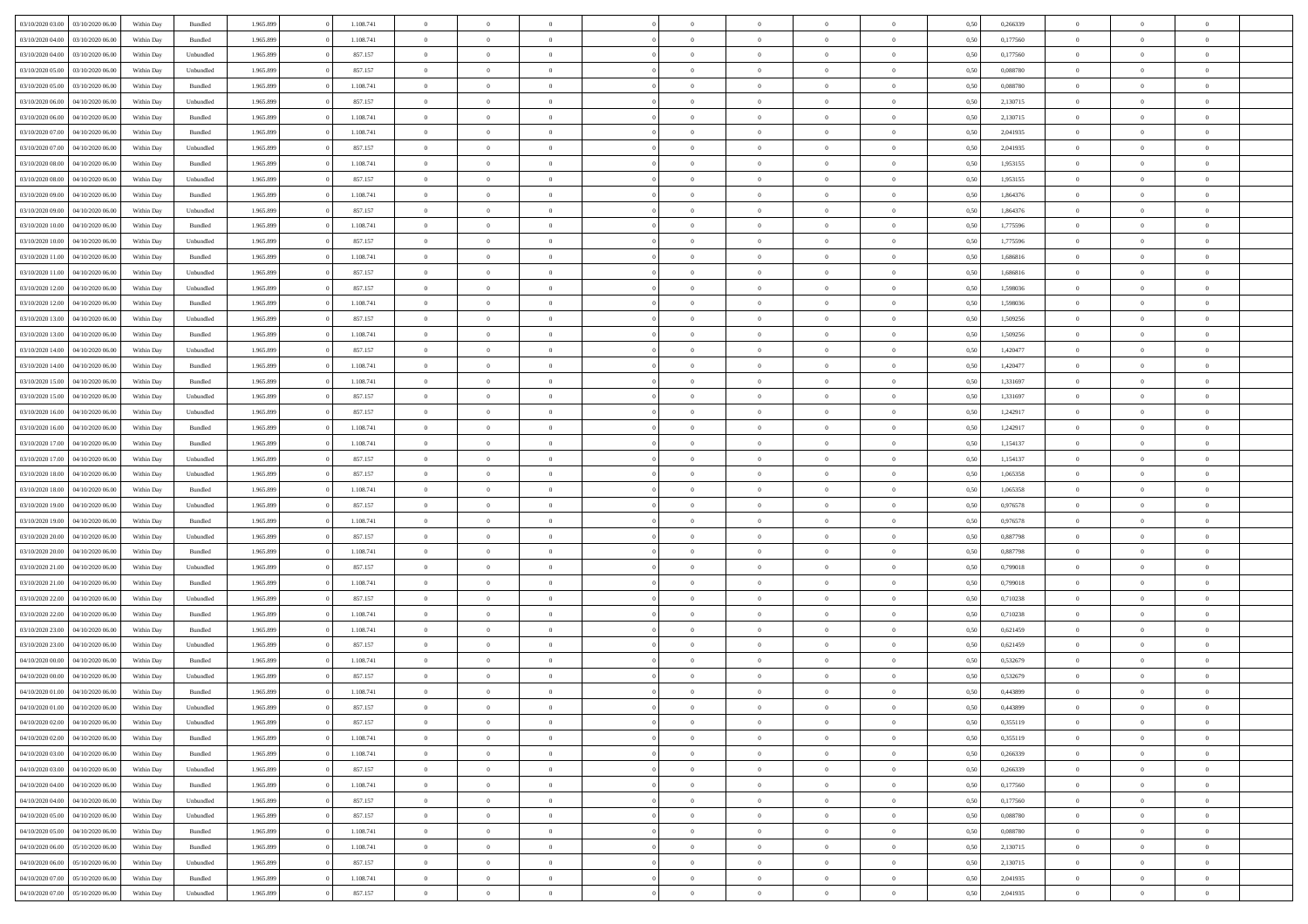| 03/10/2020 03:00                  | 03/10/2020 06:00 | Within Dav | Bundled   | 1.965.899 | 1.108.741 | $\overline{0}$ | $\Omega$       |                | $\Omega$       | $\Omega$       | $\theta$       | $\theta$       | 0,50 | 0,266339 | $\theta$       | $\theta$       | $\theta$       |  |
|-----------------------------------|------------------|------------|-----------|-----------|-----------|----------------|----------------|----------------|----------------|----------------|----------------|----------------|------|----------|----------------|----------------|----------------|--|
| 03/10/2020 04:00                  | 03/10/2020 06.00 | Within Day | Bundled   | 1.965.899 | 1.108.741 | $\overline{0}$ | $\theta$       | $\overline{0}$ | $\overline{0}$ | $\bf{0}$       | $\overline{0}$ | $\bf{0}$       | 0,50 | 0,177560 | $\theta$       | $\overline{0}$ | $\overline{0}$ |  |
| 03/10/2020 04.00                  | 03/10/2020 06.00 | Within Day | Unbundled | 1.965.899 | 857.157   | $\overline{0}$ | $\overline{0}$ | $\overline{0}$ | $\bf{0}$       | $\bf{0}$       | $\bf{0}$       | $\mathbf{0}$   | 0,50 | 0,177560 | $\overline{0}$ | $\overline{0}$ | $\overline{0}$ |  |
| 03/10/2020 05:00                  | 03/10/2020 06:00 | Within Dav | Unbundled | 1.965.899 | 857.157   | $\overline{0}$ | $\overline{0}$ | $\overline{0}$ | $\overline{0}$ | $\bf{0}$       | $\overline{0}$ | $\overline{0}$ | 0.50 | 0,088780 | $\theta$       | $\theta$       | $\overline{0}$ |  |
| 03/10/2020 05:00                  | 03/10/2020 06.00 | Within Day | Bundled   | 1.965.899 | 1.108.741 | $\overline{0}$ | $\theta$       | $\overline{0}$ | $\overline{0}$ | $\bf{0}$       | $\overline{0}$ | $\bf{0}$       | 0,50 | 0,088780 | $\theta$       | $\overline{0}$ | $\overline{0}$ |  |
|                                   |                  |            |           |           |           |                |                |                |                |                |                |                |      |          |                |                |                |  |
| 03/10/2020 06.00                  | 04/10/2020 06.00 | Within Day | Unbundled | 1.965.899 | 857.157   | $\overline{0}$ | $\bf{0}$       | $\overline{0}$ | $\bf{0}$       | $\overline{0}$ | $\overline{0}$ | $\mathbf{0}$   | 0,50 | 2,130715 | $\overline{0}$ | $\overline{0}$ | $\bf{0}$       |  |
| 03/10/2020 06:00                  | 04/10/2020 06.00 | Within Dav | Bundled   | 1.965.899 | 1.108.741 | $\overline{0}$ | $\overline{0}$ | $\overline{0}$ | $\overline{0}$ | $\overline{0}$ | $\overline{0}$ | $\overline{0}$ | 0.50 | 2,130715 | $\theta$       | $\overline{0}$ | $\overline{0}$ |  |
| 03/10/2020 07.00                  | 04/10/2020 06.00 | Within Day | Bundled   | 1.965.899 | 1.108.741 | $\overline{0}$ | $\theta$       | $\overline{0}$ | $\overline{0}$ | $\bf{0}$       | $\overline{0}$ | $\bf{0}$       | 0,50 | 2,041935 | $\,$ 0 $\,$    | $\theta$       | $\overline{0}$ |  |
| 03/10/2020 07.00                  | 04/10/2020 06.00 | Within Day | Unbundled | 1.965.899 | 857.157   | $\overline{0}$ | $\overline{0}$ | $\overline{0}$ | $\overline{0}$ | $\bf{0}$       | $\overline{0}$ | $\bf{0}$       | 0,50 | 2,041935 | $\,0\,$        | $\overline{0}$ | $\overline{0}$ |  |
| 03/10/2020 08:00                  | 04/10/2020 06.00 | Within Dav | Bundled   | 1.965.899 | 1.108.741 | $\overline{0}$ | $\overline{0}$ | $\overline{0}$ | $\overline{0}$ | $\overline{0}$ | $\overline{0}$ | $\overline{0}$ | 0.50 | 1,953155 | $\theta$       | $\overline{0}$ | $\overline{0}$ |  |
| 03/10/2020 08:00                  | 04/10/2020 06.00 | Within Day | Unbundled | 1.965.899 | 857.157   | $\overline{0}$ | $\theta$       | $\overline{0}$ | $\overline{0}$ | $\bf{0}$       | $\overline{0}$ | $\bf{0}$       | 0,50 | 1,953155 | $\,$ 0 $\,$    | $\overline{0}$ | $\overline{0}$ |  |
| 03/10/2020 09:00                  | 04/10/2020 06.00 | Within Day | Bundled   | 1.965.899 | 1.108.741 | $\overline{0}$ | $\overline{0}$ | $\overline{0}$ | $\overline{0}$ | $\bf{0}$       | $\overline{0}$ | $\mathbf{0}$   | 0,50 | 1,864376 | $\overline{0}$ | $\overline{0}$ | $\overline{0}$ |  |
|                                   |                  |            |           |           |           |                |                |                |                |                |                |                |      |          |                |                |                |  |
| 03/10/2020 09:00                  | 04/10/2020 06.00 | Within Day | Unbundled | 1.965.899 | 857.157   | $\overline{0}$ | $\overline{0}$ | $\overline{0}$ | $\overline{0}$ | $\bf{0}$       | $\overline{0}$ | $\overline{0}$ | 0.50 | 1,864376 | $\theta$       | $\theta$       | $\overline{0}$ |  |
| 03/10/2020 10:00                  | 04/10/2020 06.00 | Within Day | Bundled   | 1.965.899 | 1.108.741 | $\overline{0}$ | $\theta$       | $\overline{0}$ | $\overline{0}$ | $\bf{0}$       | $\overline{0}$ | $\bf{0}$       | 0,50 | 1,775596 | $\,$ 0 $\,$    | $\overline{0}$ | $\overline{0}$ |  |
| 03/10/2020 10:00                  | 04/10/2020 06.00 | Within Day | Unbundled | 1.965.899 | 857.157   | $\overline{0}$ | $\overline{0}$ | $\overline{0}$ | $\overline{0}$ | $\overline{0}$ | $\overline{0}$ | $\mathbf{0}$   | 0,50 | 1,775596 | $\overline{0}$ | $\overline{0}$ | $\bf{0}$       |  |
| 03/10/2020 11:00                  | 04/10/2020 06:00 | Within Dav | Bundled   | 1.965.899 | 1.108.741 | $\overline{0}$ | $\overline{0}$ | $\overline{0}$ | $\overline{0}$ | $\overline{0}$ | $\overline{0}$ | $\overline{0}$ | 0.50 | 1,686816 | $\theta$       | $\overline{0}$ | $\overline{0}$ |  |
| 03/10/2020 11:00                  | 04/10/2020 06.00 | Within Day | Unbundled | 1.965.899 | 857.157   | $\overline{0}$ | $\theta$       | $\overline{0}$ | $\overline{0}$ | $\bf{0}$       | $\overline{0}$ | $\bf{0}$       | 0,50 | 1,686816 | $\,$ 0 $\,$    | $\theta$       | $\overline{0}$ |  |
| 03/10/2020 12:00                  | 04/10/2020 06.00 | Within Day | Unbundled | 1.965.899 | 857.157   | $\overline{0}$ | $\overline{0}$ | $\overline{0}$ | $\overline{0}$ | $\bf{0}$       | $\overline{0}$ | $\mathbf{0}$   | 0,50 | 1,598036 | $\,0\,$        | $\overline{0}$ | $\overline{0}$ |  |
| 03/10/2020 12:00                  | 04/10/2020 06.00 | Within Day | Bundled   | 1.965.899 | 1.108.741 | $\overline{0}$ | $\overline{0}$ | $\overline{0}$ | $\overline{0}$ | $\overline{0}$ | $\overline{0}$ | $\overline{0}$ | 0.50 | 1,598036 | $\theta$       | $\overline{0}$ | $\overline{0}$ |  |
|                                   |                  |            |           |           |           | $\overline{0}$ |                |                |                |                |                |                |      |          |                |                |                |  |
| 03/10/2020 13:00                  | 04/10/2020 06.00 | Within Day | Unbundled | 1.965.899 | 857.157   |                | $\theta$       | $\overline{0}$ | $\overline{0}$ | $\bf{0}$       | $\overline{0}$ | $\bf{0}$       | 0,50 | 1,509256 | $\,$ 0 $\,$    | $\overline{0}$ | $\overline{0}$ |  |
| 03/10/2020 13:00                  | 04/10/2020 06.00 | Within Day | Bundled   | 1.965.899 | 1.108.741 | $\overline{0}$ | $\overline{0}$ | $\overline{0}$ | $\overline{0}$ | $\bf{0}$       | $\overline{0}$ | $\bf{0}$       | 0,50 | 1,509256 | $\bf{0}$       | $\overline{0}$ | $\overline{0}$ |  |
| 03/10/2020 14:00                  | 04/10/2020 06.00 | Within Day | Unbundled | 1.965.899 | 857.157   | $\overline{0}$ | $\overline{0}$ | $\overline{0}$ | $\overline{0}$ | $\overline{0}$ | $\overline{0}$ | $\overline{0}$ | 0.50 | 1,420477 | $\theta$       | $\overline{0}$ | $\overline{0}$ |  |
| 03/10/2020 14:00                  | 04/10/2020 06.00 | Within Day | Bundled   | 1.965.899 | 1.108.741 | $\overline{0}$ | $\theta$       | $\overline{0}$ | $\overline{0}$ | $\bf{0}$       | $\overline{0}$ | $\bf{0}$       | 0,50 | 1,420477 | $\,$ 0 $\,$    | $\overline{0}$ | $\overline{0}$ |  |
| 03/10/2020 15:00                  | 04/10/2020 06.00 | Within Day | Bundled   | 1.965.899 | 1.108.741 | $\overline{0}$ | $\overline{0}$ | $\overline{0}$ | $\bf{0}$       | $\overline{0}$ | $\overline{0}$ | $\mathbf{0}$   | 0,50 | 1,331697 | $\bf{0}$       | $\overline{0}$ | $\bf{0}$       |  |
| 03/10/2020 15:00                  | 04/10/2020 06.00 | Within Dav | Unbundled | 1.965.899 | 857.157   | $\overline{0}$ | $\overline{0}$ | $\overline{0}$ | $\overline{0}$ | $\overline{0}$ | $\overline{0}$ | $\overline{0}$ | 0.50 | 1,331697 | $\overline{0}$ | $\overline{0}$ | $\overline{0}$ |  |
| 03/10/2020 16:00                  | 04/10/2020 06.00 | Within Day | Unbundled | 1.965.899 | 857.157   | $\overline{0}$ | $\theta$       | $\overline{0}$ | $\overline{0}$ | $\bf{0}$       | $\overline{0}$ | $\bf{0}$       | 0,50 | 1,242917 | $\,$ 0 $\,$    | $\theta$       | $\overline{0}$ |  |
|                                   |                  |            |           |           |           |                |                |                |                |                |                |                |      |          |                |                |                |  |
| 03/10/2020 16:00                  | 04/10/2020 06.00 | Within Day | Bundled   | 1.965.899 | 1.108.741 | $\overline{0}$ | $\overline{0}$ | $\overline{0}$ | $\bf{0}$       | $\bf{0}$       | $\bf{0}$       | $\bf{0}$       | 0,50 | 1,242917 | $\,0\,$        | $\overline{0}$ | $\overline{0}$ |  |
| 03/10/2020 17.00                  | 04/10/2020 06.00 | Within Day | Bundled   | 1.965.899 | 1.108.741 | $\overline{0}$ | $\overline{0}$ | $\overline{0}$ | $\overline{0}$ | $\overline{0}$ | $\overline{0}$ | $\overline{0}$ | 0.50 | 1,154137 | $\theta$       | $\overline{0}$ | $\overline{0}$ |  |
| 03/10/2020 17:00                  | 04/10/2020 06.00 | Within Day | Unbundled | 1.965.899 | 857.157   | $\overline{0}$ | $\theta$       | $\overline{0}$ | $\overline{0}$ | $\bf{0}$       | $\overline{0}$ | $\bf{0}$       | 0,50 | 1,154137 | $\,$ 0 $\,$    | $\overline{0}$ | $\overline{0}$ |  |
| 03/10/2020 18:00                  | 04/10/2020 06.00 | Within Day | Unbundled | 1.965.899 | 857.157   | $\overline{0}$ | $\overline{0}$ | $\overline{0}$ | $\bf{0}$       | $\bf{0}$       | $\bf{0}$       | $\bf{0}$       | 0,50 | 1,065358 | $\bf{0}$       | $\overline{0}$ | $\overline{0}$ |  |
| 03/10/2020 18:00                  | 04/10/2020 06.00 | Within Day | Bundled   | 1.965.899 | 1.108.741 | $\bf{0}$       | $\Omega$       | $\overline{0}$ | $\Omega$       | $\Omega$       | $\overline{0}$ | $\overline{0}$ | 0,50 | 1,065358 | $\,0\,$        | $\theta$       | $\theta$       |  |
| 03/10/2020 19:00                  | 04/10/2020 06.00 | Within Day | Unbundled | 1.965.899 | 857.157   | $\overline{0}$ | $\theta$       | $\overline{0}$ | $\overline{0}$ | $\bf{0}$       | $\overline{0}$ | $\bf{0}$       | 0,50 | 0,976578 | $\,$ 0 $\,$    | $\theta$       | $\overline{0}$ |  |
| 03/10/2020 19:00                  | 04/10/2020 06.00 | Within Day | Bundled   | 1.965.899 | 1.108.741 | $\overline{0}$ | $\overline{0}$ | $\overline{0}$ | $\bf{0}$       | $\bf{0}$       | $\overline{0}$ | $\mathbf{0}$   | 0,50 | 0,976578 | $\bf{0}$       | $\overline{0}$ | $\bf{0}$       |  |
|                                   |                  |            |           |           |           |                |                |                |                |                |                |                |      |          |                |                |                |  |
| 03/10/2020 20:00                  | 04/10/2020 06.00 | Within Day | Unbundled | 1.965.899 | 857.157   | $\overline{0}$ | $\Omega$       | $\Omega$       | $\Omega$       | $\overline{0}$ | $\overline{0}$ | $\overline{0}$ | 0.50 | 0,887798 | $\,0\,$        | $\theta$       | $\theta$       |  |
| 03/10/2020 20.00                  | 04/10/2020 06.00 | Within Day | Bundled   | 1.965.899 | 1.108.741 | $\overline{0}$ | $\theta$       | $\overline{0}$ | $\overline{0}$ | $\bf{0}$       | $\overline{0}$ | $\bf{0}$       | 0,50 | 0,887798 | $\,$ 0 $\,$    | $\overline{0}$ | $\overline{0}$ |  |
| 03/10/2020 21.00                  | 04/10/2020 06.00 | Within Day | Unbundled | 1.965.899 | 857.157   | $\overline{0}$ | $\overline{0}$ | $\overline{0}$ | $\bf{0}$       | $\bf{0}$       | $\bf{0}$       | $\bf{0}$       | 0,50 | 0,799018 | $\,0\,$        | $\overline{0}$ | $\overline{0}$ |  |
| 03/10/2020 21:00                  | 04/10/2020 06.00 | Within Day | Bundled   | 1.965.899 | 1.108.741 | $\overline{0}$ | $\Omega$       | $\overline{0}$ | $\Omega$       | $\overline{0}$ | $\overline{0}$ | $\overline{0}$ | 0.50 | 0,799018 | $\,$ 0 $\,$    | $\theta$       | $\theta$       |  |
| 03/10/2020 22.00                  | 04/10/2020 06.00 | Within Day | Unbundled | 1.965.899 | 857.157   | $\overline{0}$ | $\theta$       | $\overline{0}$ | $\overline{0}$ | $\,$ 0         | $\overline{0}$ | $\bf{0}$       | 0,50 | 0,710238 | $\,$ 0 $\,$    | $\overline{0}$ | $\overline{0}$ |  |
| 03/10/2020 22.00                  | 04/10/2020 06.00 | Within Day | Bundled   | 1.965.899 | 1.108.741 | $\overline{0}$ | $\overline{0}$ | $\overline{0}$ | $\bf{0}$       | $\bf{0}$       | $\bf{0}$       | $\bf{0}$       | 0,50 | 0,710238 | $\overline{0}$ | $\overline{0}$ | $\overline{0}$ |  |
| 03/10/2020 23.00                  | 04/10/2020 06.00 | Within Day | Bundled   | 1.965.899 | 1.108.741 | $\overline{0}$ | $\Omega$       | $\overline{0}$ | $\Omega$       | $\overline{0}$ | $\overline{0}$ | $\overline{0}$ | 0,50 | 0,621459 | $\,0\,$        | $\theta$       | $\theta$       |  |
| 03/10/2020 23.00                  | 04/10/2020 06.00 | Within Day | Unbundled | 1.965.899 | 857.157   | $\overline{0}$ | $\theta$       | $\overline{0}$ | $\overline{0}$ | $\,$ 0         | $\overline{0}$ | $\bf{0}$       | 0,50 | 0,621459 | $\,$ 0 $\,$    | $\overline{0}$ | $\overline{0}$ |  |
|                                   |                  |            |           |           |           |                |                |                |                |                |                |                |      |          |                |                |                |  |
| 04/10/2020 00.00                  | 04/10/2020 06.00 | Within Day | Bundled   | 1.965.899 | 1.108.741 | $\overline{0}$ | $\overline{0}$ | $\overline{0}$ | $\bf{0}$       | $\bf{0}$       | $\overline{0}$ | $\mathbf{0}$   | 0,50 | 0,532679 | $\overline{0}$ | $\overline{0}$ | $\bf{0}$       |  |
| 04/10/2020 00.00                  | 04/10/2020 06.00 | Within Day | Unbundled | 1.965.899 | 857.157   | $\overline{0}$ | $\Omega$       | $\Omega$       | $\Omega$       | $\Omega$       | $\Omega$       | $\overline{0}$ | 0.50 | 0.532679 | $\theta$       | $\theta$       | $\theta$       |  |
| 04/10/2020 01:00                  | 04/10/2020 06.00 | Within Day | Bundled   | 1.965.899 | 1.108.741 | $\overline{0}$ | $\overline{0}$ | $\overline{0}$ | $\bf{0}$       | $\,$ 0         | $\overline{0}$ | $\bf{0}$       | 0,50 | 0,443899 | $\,0\,$        | $\,0\,$        | $\overline{0}$ |  |
| 04/10/2020 01:00 04/10/2020 06:00 |                  | Within Day | Unbundled | 1.965.899 | 857.157   | $\bf{0}$       | $\bf{0}$       |                |                | $\bf{0}$       |                |                | 0,50 | 0,443899 | $\bf{0}$       | $\overline{0}$ |                |  |
| 04/10/2020 02.00                  | 04/10/2020 06:00 | Within Day | Unbundled | 1.965.899 | 857.157   | $\overline{0}$ | $\overline{0}$ | $\overline{0}$ | $\Omega$       | $\overline{0}$ | $\overline{0}$ | $\overline{0}$ | 0,50 | 0,355119 | $\theta$       | $\theta$       | $\theta$       |  |
| 04/10/2020 02.00                  | 04/10/2020 06.00 | Within Day | Bundled   | 1.965.899 | 1.108.741 | $\overline{0}$ | $\,$ 0         | $\overline{0}$ | $\overline{0}$ | $\,$ 0 $\,$    | $\overline{0}$ | $\,$ 0 $\,$    | 0,50 | 0,355119 | $\,$ 0 $\,$    | $\,$ 0 $\,$    | $\,$ 0         |  |
| 04/10/2020 03:00                  | 04/10/2020 06.00 | Within Day | Bundled   | 1.965.899 | 1.108.741 | $\overline{0}$ | $\overline{0}$ | $\overline{0}$ | $\overline{0}$ | $\overline{0}$ | $\overline{0}$ | $\mathbf{0}$   | 0,50 | 0,266339 | $\overline{0}$ | $\bf{0}$       | $\bf{0}$       |  |
|                                   |                  |            |           |           |           |                | $\overline{0}$ |                | $\Omega$       | $\overline{0}$ | $\overline{0}$ |                |      |          |                | $\theta$       | $\overline{0}$ |  |
| 04/10/2020 03:00                  | 04/10/2020 06.00 | Within Day | Unbundled | 1.965.899 | 857.157   | $\overline{0}$ |                | $\overline{0}$ |                |                |                | $\overline{0}$ | 0,50 | 0,266339 | $\overline{0}$ |                |                |  |
| 04/10/2020 04.00                  | 04/10/2020 06.00 | Within Day | Bundled   | 1.965.899 | 1.108.741 | $\overline{0}$ | $\,$ 0         | $\overline{0}$ | $\overline{0}$ | $\,$ 0 $\,$    | $\overline{0}$ | $\mathbf{0}$   | 0,50 | 0,177560 | $\,$ 0 $\,$    | $\overline{0}$ | $\overline{0}$ |  |
| 04/10/2020 04:00                  | 04/10/2020 06.00 | Within Day | Unbundled | 1.965.899 | 857.157   | $\overline{0}$ | $\overline{0}$ | $\overline{0}$ | $\overline{0}$ | $\overline{0}$ | $\overline{0}$ | $\mathbf{0}$   | 0,50 | 0,177560 | $\overline{0}$ | $\overline{0}$ | $\bf{0}$       |  |
| 04/10/2020 05:00                  | 04/10/2020 06:00 | Within Day | Unbundled | 1.965.899 | 857.157   | $\overline{0}$ | $\overline{0}$ | $\overline{0}$ | $\overline{0}$ | $\overline{0}$ | $\overline{0}$ | $\bf{0}$       | 0.50 | 0.088780 | $\overline{0}$ | $\theta$       | $\overline{0}$ |  |
| 04/10/2020 05.00                  | 04/10/2020 06.00 | Within Day | Bundled   | 1.965.899 | 1.108.741 | $\overline{0}$ | $\,$ 0         | $\overline{0}$ | $\overline{0}$ | $\bf{0}$       | $\overline{0}$ | $\bf{0}$       | 0,50 | 0,088780 | $\,$ 0 $\,$    | $\overline{0}$ | $\overline{0}$ |  |
| 04/10/2020 06.00                  | 05/10/2020 06.00 | Within Day | Bundled   | 1.965.899 | 1.108.741 | $\overline{0}$ | $\bf{0}$       | $\overline{0}$ | $\overline{0}$ | $\overline{0}$ | $\overline{0}$ | $\mathbf{0}$   | 0,50 | 2,130715 | $\overline{0}$ | $\overline{0}$ | $\bf{0}$       |  |
| 04/10/2020 06.00                  | 05/10/2020 06:00 | Within Day | Unbundled | 1.965.899 | 857.157   | $\overline{0}$ | $\overline{0}$ | $\overline{0}$ | $\Omega$       | $\overline{0}$ | $\overline{0}$ | $\overline{0}$ | 0.50 | 2,130715 | $\overline{0}$ | $\overline{0}$ | $\overline{0}$ |  |
|                                   |                  |            |           |           |           |                |                |                |                |                |                |                |      |          |                |                |                |  |
| 04/10/2020 07.00                  | 05/10/2020 06.00 | Within Day | Bundled   | 1.965.899 | 1.108.741 | $\overline{0}$ | $\bf{0}$       | $\overline{0}$ | $\overline{0}$ | $\bf{0}$       | $\overline{0}$ | $\mathbf{0}$   | 0,50 | 2,041935 | $\,$ 0 $\,$    | $\,$ 0 $\,$    | $\bf{0}$       |  |
| 04/10/2020 07.00                  | 05/10/2020 06.00 | Within Day | Unbundled | 1.965.899 | 857.157   | $\overline{0}$ | $\bf{0}$       | $\overline{0}$ | $\overline{0}$ | $\bf{0}$       | $\overline{0}$ | $\bf{0}$       | 0,50 | 2,041935 | $\overline{0}$ | $\overline{0}$ | $\bf{0}$       |  |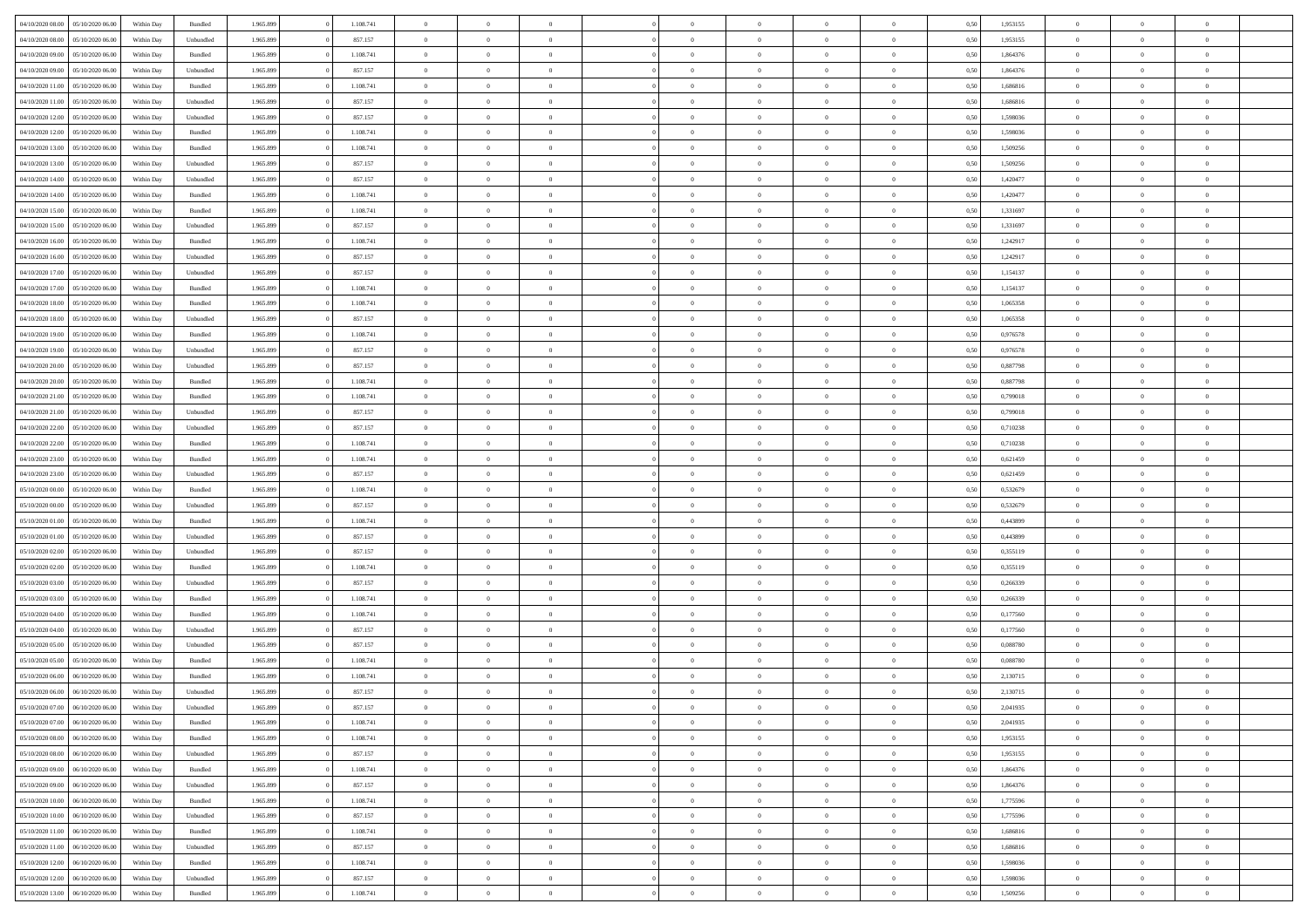| 04/10/2020 08:00 | 05/10/2020 06:00 | Within Dav | Bundled            | 1.965.899 | 1.108.741 | $\overline{0}$ | $\theta$       |                | $\Omega$       | $\Omega$       | $\theta$       | $\theta$       | 0.50 | 1,953155 | $\theta$       | $\overline{0}$ | $\theta$       |  |
|------------------|------------------|------------|--------------------|-----------|-----------|----------------|----------------|----------------|----------------|----------------|----------------|----------------|------|----------|----------------|----------------|----------------|--|
| 04/10/2020 08.00 | 05/10/2020 06.00 | Within Day | Unbundled          | 1.965.899 | 857.157   | $\overline{0}$ | $\overline{0}$ | $\overline{0}$ | $\overline{0}$ | $\bf{0}$       | $\overline{0}$ | $\bf{0}$       | 0,50 | 1,953155 | $\theta$       | $\overline{0}$ | $\overline{0}$ |  |
| 04/10/2020 09:00 | 05/10/2020 06.00 | Within Day | Bundled            | 1.965.899 | 1.108.741 | $\overline{0}$ | $\overline{0}$ | $\overline{0}$ | $\bf{0}$       | $\bf{0}$       | $\bf{0}$       | $\mathbf{0}$   | 0,50 | 1,864376 | $\overline{0}$ | $\overline{0}$ | $\bf{0}$       |  |
| 04/10/2020 09:00 | 05/10/2020 06:00 | Within Dav | Unbundled          | 1.965.899 | 857.157   | $\overline{0}$ | $\overline{0}$ | $\overline{0}$ | $\overline{0}$ | $\bf{0}$       | $\overline{0}$ | $\overline{0}$ | 0.50 | 1,864376 | $\theta$       | $\overline{0}$ | $\overline{0}$ |  |
| 04/10/2020 11:00 | 05/10/2020 06.00 | Within Day | Bundled            | 1.965.899 | 1.108.741 | $\overline{0}$ | $\theta$       | $\overline{0}$ | $\overline{0}$ | $\bf{0}$       | $\overline{0}$ |                |      | 1,686816 | $\,$ 0 $\,$    | $\overline{0}$ | $\overline{0}$ |  |
|                  |                  |            |                    |           |           |                |                |                |                |                |                | $\bf{0}$       | 0,50 |          |                |                |                |  |
| 04/10/2020 11.00 | 05/10/2020 06.00 | Within Day | Unbundled          | 1.965.899 | 857.157   | $\overline{0}$ | $\overline{0}$ | $\overline{0}$ | $\bf{0}$       | $\overline{0}$ | $\overline{0}$ | $\mathbf{0}$   | 0,50 | 1,686816 | $\overline{0}$ | $\overline{0}$ | $\bf{0}$       |  |
| 04/10/2020 12:00 | 05/10/2020 06:00 | Within Dav | Unbundled          | 1.965.899 | 857.157   | $\overline{0}$ | $\overline{0}$ | $\overline{0}$ | $\overline{0}$ | $\overline{0}$ | $\overline{0}$ | $\overline{0}$ | 0.50 | 1,598036 | $\theta$       | $\overline{0}$ | $\overline{0}$ |  |
| 04/10/2020 12:00 | 05/10/2020 06.00 | Within Day | Bundled            | 1.965.899 | 1.108.741 | $\overline{0}$ | $\theta$       | $\overline{0}$ | $\overline{0}$ | $\bf{0}$       | $\overline{0}$ | $\bf{0}$       | 0,50 | 1,598036 | $\,$ 0 $\,$    | $\theta$       | $\overline{0}$ |  |
| 04/10/2020 13:00 | 05/10/2020 06.00 | Within Day | Bundled            | 1.965.899 | 1.108.741 | $\overline{0}$ | $\overline{0}$ | $\overline{0}$ | $\bf{0}$       | $\bf{0}$       | $\bf{0}$       | $\mathbf{0}$   | 0,50 | 1,509256 | $\,0\,$        | $\overline{0}$ | $\overline{0}$ |  |
| 04/10/2020 13:00 | 05/10/2020 06:00 | Within Dav | Unbundled          | 1.965.899 | 857.157   | $\overline{0}$ | $\overline{0}$ | $\overline{0}$ | $\overline{0}$ | $\overline{0}$ | $\overline{0}$ | $\overline{0}$ | 0.50 | 1,509256 | $\theta$       | $\overline{0}$ | $\overline{0}$ |  |
|                  |                  |            |                    |           |           |                |                |                |                |                |                |                |      |          |                |                |                |  |
| 04/10/2020 14:00 | 05/10/2020 06.00 | Within Day | Unbundled          | 1.965.899 | 857.157   | $\overline{0}$ | $\theta$       | $\overline{0}$ | $\overline{0}$ | $\bf{0}$       | $\overline{0}$ | $\bf{0}$       | 0,50 | 1,420477 | $\,$ 0 $\,$    | $\overline{0}$ | $\overline{0}$ |  |
| 04/10/2020 14.00 | 05/10/2020 06.00 | Within Day | Bundled            | 1.965.899 | 1.108.741 | $\overline{0}$ | $\overline{0}$ | $\overline{0}$ | $\bf{0}$       | $\overline{0}$ | $\bf{0}$       | $\mathbf{0}$   | 0,50 | 1,420477 | $\overline{0}$ | $\overline{0}$ | $\bf{0}$       |  |
| 04/10/2020 15:00 | 05/10/2020 06:00 | Within Day | Bundled            | 1.965.899 | 1.108.741 | $\overline{0}$ | $\overline{0}$ | $\overline{0}$ | $\overline{0}$ | $\overline{0}$ | $\overline{0}$ | $\overline{0}$ | 0.50 | 1.331697 | $\theta$       | $\theta$       | $\overline{0}$ |  |
| 04/10/2020 15:00 | 05/10/2020 06.00 | Within Day | Unbundled          | 1.965.899 | 857.157   | $\overline{0}$ | $\theta$       | $\overline{0}$ | $\overline{0}$ | $\bf{0}$       | $\overline{0}$ | $\bf{0}$       | 0,50 | 1,331697 | $\,$ 0 $\,$    | $\overline{0}$ | $\overline{0}$ |  |
| 04/10/2020 16.00 | 05/10/2020 06.00 | Within Day | Bundled            | 1.965.899 | 1.108.741 | $\overline{0}$ | $\overline{0}$ | $\overline{0}$ | $\bf{0}$       | $\overline{0}$ | $\overline{0}$ | $\mathbf{0}$   | 0,50 | 1,242917 | $\overline{0}$ | $\overline{0}$ | $\bf{0}$       |  |
|                  |                  |            |                    |           |           |                |                |                |                |                |                |                |      |          |                |                |                |  |
| 04/10/2020 16:00 | 05/10/2020 06:00 | Within Dav | Unbundled          | 1.965.899 | 857.157   | $\overline{0}$ | $\overline{0}$ | $\overline{0}$ | $\overline{0}$ | $\overline{0}$ | $\overline{0}$ | $\overline{0}$ | 0.50 | 1,242917 | $\overline{0}$ | $\overline{0}$ | $\overline{0}$ |  |
| 04/10/2020 17.00 | 05/10/2020 06.00 | Within Day | Unbundled          | 1.965.899 | 857.157   | $\overline{0}$ | $\theta$       | $\overline{0}$ | $\overline{0}$ | $\bf{0}$       | $\overline{0}$ | $\bf{0}$       | 0,50 | 1,154137 | $\,$ 0 $\,$    | $\overline{0}$ | $\overline{0}$ |  |
| 04/10/2020 17.00 | 05/10/2020 06.00 | Within Day | Bundled            | 1.965.899 | 1.108.741 | $\overline{0}$ | $\overline{0}$ | $\overline{0}$ | $\bf{0}$       | $\bf{0}$       | $\overline{0}$ | $\mathbf{0}$   | 0,50 | 1,154137 | $\bf{0}$       | $\overline{0}$ | $\bf{0}$       |  |
| 04/10/2020 18:00 | 05/10/2020 06:00 | Within Day | Bundled            | 1.965.899 | 1.108.741 | $\overline{0}$ | $\overline{0}$ | $\overline{0}$ | $\overline{0}$ | $\overline{0}$ | $\overline{0}$ | $\overline{0}$ | 0.50 | 1,065358 | $\theta$       | $\overline{0}$ | $\overline{0}$ |  |
| 04/10/2020 18.00 | 05/10/2020 06.00 | Within Day | Unbundled          | 1.965.899 | 857.157   | $\overline{0}$ | $\theta$       | $\overline{0}$ | $\overline{0}$ | $\bf{0}$       | $\overline{0}$ | $\bf{0}$       | 0,50 | 1,065358 | $\,$ 0 $\,$    | $\overline{0}$ | $\overline{0}$ |  |
|                  |                  |            |                    |           |           |                | $\overline{0}$ |                |                | $\bf{0}$       |                |                |      |          |                | $\overline{0}$ | $\bf{0}$       |  |
| 04/10/2020 19:00 | 05/10/2020 06.00 | Within Day | Bundled            | 1.965.899 | 1.108.741 | $\overline{0}$ |                | $\overline{0}$ | $\overline{0}$ |                | $\overline{0}$ | $\mathbf{0}$   | 0,50 | 0,976578 | $\bf{0}$       |                |                |  |
| 04/10/2020 19:00 | 05/10/2020 06:00 | Within Day | Unbundled          | 1.965.899 | 857.157   | $\overline{0}$ | $\overline{0}$ | $\overline{0}$ | $\overline{0}$ | $\overline{0}$ | $\overline{0}$ | $\overline{0}$ | 0.50 | 0,976578 | $\theta$       | $\overline{0}$ | $\overline{0}$ |  |
| 04/10/2020 20.00 | 05/10/2020 06.00 | Within Day | Unbundled          | 1.965.899 | 857.157   | $\overline{0}$ | $\theta$       | $\overline{0}$ | $\overline{0}$ | $\bf{0}$       | $\overline{0}$ | $\bf{0}$       | 0,50 | 0,887798 | $\,$ 0 $\,$    | $\overline{0}$ | $\overline{0}$ |  |
| 04/10/2020 20.00 | 05/10/2020 06.00 | Within Day | Bundled            | 1.965.899 | 1.108.741 | $\overline{0}$ | $\overline{0}$ | $\overline{0}$ | $\overline{0}$ | $\overline{0}$ | $\overline{0}$ | $\mathbf{0}$   | 0,50 | 0,887798 | $\bf{0}$       | $\overline{0}$ | $\bf{0}$       |  |
| 04/10/2020 21:00 | 05/10/2020 06:00 | Within Dav | Bundled            | 1.965.899 | 1.108.741 | $\overline{0}$ | $\overline{0}$ | $\overline{0}$ | $\overline{0}$ | $\overline{0}$ | $\overline{0}$ | $\overline{0}$ | 0.50 | 0.799018 | $\theta$       | $\overline{0}$ | $\overline{0}$ |  |
| 04/10/2020 21.00 | 05/10/2020 06.00 | Within Day | Unbundled          | 1.965.899 | 857.157   | $\overline{0}$ | $\theta$       | $\overline{0}$ | $\overline{0}$ | $\bf{0}$       | $\overline{0}$ | $\bf{0}$       | 0,50 | 0,799018 | $\,$ 0 $\,$    | $\overline{0}$ | $\overline{0}$ |  |
|                  |                  |            |                    |           |           |                |                |                |                |                |                |                |      |          |                |                |                |  |
| 04/10/2020 22.00 | 05/10/2020 06.00 | Within Day | Unbundled          | 1.965.899 | 857.157   | $\overline{0}$ | $\overline{0}$ | $\overline{0}$ | $\overline{0}$ | $\bf{0}$       | $\overline{0}$ | $\mathbf{0}$   | 0,50 | 0,710238 | $\,0\,$        | $\overline{0}$ | $\overline{0}$ |  |
| 04/10/2020 22.00 | 05/10/2020 06:00 | Within Day | Bundled            | 1.965.899 | 1.108.741 | $\overline{0}$ | $\overline{0}$ | $\overline{0}$ | $\overline{0}$ | $\overline{0}$ | $\overline{0}$ | $\overline{0}$ | 0.50 | 0,710238 | $\theta$       | $\overline{0}$ | $\overline{0}$ |  |
| 04/10/2020 23.00 | 05/10/2020 06.00 | Within Day | Bundled            | 1.965.899 | 1.108.741 | $\overline{0}$ | $\overline{0}$ | $\overline{0}$ | $\overline{0}$ | $\,$ 0         | $\overline{0}$ | $\bf{0}$       | 0,50 | 0,621459 | $\,$ 0 $\,$    | $\overline{0}$ | $\overline{0}$ |  |
| 04/10/2020 23.00 | 05/10/2020 06.00 | Within Day | Unbundled          | 1.965.899 | 857.157   | $\overline{0}$ | $\overline{0}$ | $\overline{0}$ | $\overline{0}$ | $\overline{0}$ | $\overline{0}$ | $\bf{0}$       | 0,50 | 0,621459 | $\bf{0}$       | $\overline{0}$ | $\bf{0}$       |  |
| 05/10/2020 00:00 | 05/10/2020 06:00 | Within Day | Bundled            | 1.965.899 | 1.108.741 | $\bf{0}$       | $\theta$       | $\overline{0}$ | $\Omega$       | $\Omega$       | $\overline{0}$ | $\overline{0}$ | 0,50 | 0,532679 | $\,0\,$        | $\theta$       | $\theta$       |  |
| 05/10/2020 00.00 | 05/10/2020 06.00 | Within Day | Unbundled          | 1.965.899 | 857.157   | $\overline{0}$ | $\overline{0}$ | $\overline{0}$ | $\overline{0}$ | $\bf{0}$       | $\overline{0}$ | $\bf{0}$       | 0,50 | 0,532679 | $\,$ 0 $\,$    | $\overline{0}$ | $\overline{0}$ |  |
|                  |                  |            |                    |           |           |                |                |                |                |                |                |                |      |          |                | $\overline{0}$ | $\bf{0}$       |  |
| 05/10/2020 01.00 | 05/10/2020 06.00 | Within Day | Bundled            | 1.965.899 | 1.108.741 | $\overline{0}$ | $\overline{0}$ | $\overline{0}$ | $\overline{0}$ | $\overline{0}$ | $\overline{0}$ | $\mathbf{0}$   | 0,50 | 0,443899 | $\overline{0}$ |                |                |  |
| 05/10/2020 01:00 | 05/10/2020 06:00 | Within Day | Unbundled          | 1.965.899 | 857.157   | $\overline{0}$ | $\overline{0}$ | $\Omega$       | $\Omega$       | $\overline{0}$ | $\overline{0}$ | $\overline{0}$ | 0.50 | 0.443899 | $\,0\,$        | $\theta$       | $\overline{0}$ |  |
| 05/10/2020 02.00 | 05/10/2020 06.00 | Within Day | Unbundled          | 1.965.899 | 857.157   | $\overline{0}$ | $\theta$       | $\overline{0}$ | $\overline{0}$ | $\bf{0}$       | $\overline{0}$ | $\bf{0}$       | 0,50 | 0,355119 | $\,$ 0 $\,$    | $\overline{0}$ | $\overline{0}$ |  |
| 05/10/2020 02.00 | 05/10/2020 06.00 | Within Day | Bundled            | 1.965.899 | 1.108.741 | $\overline{0}$ | $\bf{0}$       | $\overline{0}$ | $\bf{0}$       | $\bf{0}$       | $\bf{0}$       | $\mathbf{0}$   | 0,50 | 0,355119 | $\bf{0}$       | $\overline{0}$ | $\bf{0}$       |  |
| 05/10/2020 03:00 | 05/10/2020 06:00 | Within Day | Unbundled          | 1.965.899 | 857.157   | $\overline{0}$ | $\overline{0}$ | $\overline{0}$ | $\Omega$       | $\overline{0}$ | $\overline{0}$ | $\overline{0}$ | 0.50 | 0.266339 | $\,$ 0 $\,$    | $\theta$       | $\theta$       |  |
| 05/10/2020 03.00 | 05/10/2020 06.00 | Within Day | Bundled            | 1.965.899 | 1.108.741 | $\overline{0}$ | $\overline{0}$ | $\overline{0}$ | $\overline{0}$ | $\,$ 0         | $\overline{0}$ | $\bf{0}$       | 0,50 | 0,266339 | $\,$ 0 $\,$    | $\overline{0}$ | $\overline{0}$ |  |
|                  |                  |            |                    |           |           |                |                |                |                |                |                |                |      |          |                |                |                |  |
| 05/10/2020 04.00 | 05/10/2020 06.00 | Within Day | Bundled            | 1.965.899 | 1.108.741 | $\overline{0}$ | $\overline{0}$ | $\overline{0}$ | $\bf{0}$       | $\bf{0}$       | $\overline{0}$ | $\mathbf{0}$   | 0,50 | 0,177560 | $\overline{0}$ | $\overline{0}$ | $\bf{0}$       |  |
| 05/10/2020 04:00 | 05/10/2020 06.00 | Within Day | Unbundled          | 1.965.899 | 857.157   | $\overline{0}$ | $\Omega$       | $\overline{0}$ | $\Omega$       | $\overline{0}$ | $\overline{0}$ | $\overline{0}$ | 0.50 | 0,177560 | $\,0\,$        | $\theta$       | $\overline{0}$ |  |
| 05/10/2020 05.00 | 05/10/2020 06.00 | Within Day | Unbundled          | 1.965.899 | 857.157   | $\overline{0}$ | $\overline{0}$ | $\overline{0}$ | $\overline{0}$ | $\,$ 0         | $\overline{0}$ | $\bf{0}$       | 0,50 | 0,088780 | $\,$ 0 $\,$    | $\overline{0}$ | $\overline{0}$ |  |
| 05/10/2020 05.00 | 05/10/2020 06.00 | Within Day | Bundled            | 1.965.899 | 1.108.741 | $\overline{0}$ | $\overline{0}$ | $\overline{0}$ | $\bf{0}$       | $\overline{0}$ | $\overline{0}$ | $\mathbf{0}$   | 0,50 | 0,088780 | $\overline{0}$ | $\overline{0}$ | $\bf{0}$       |  |
| 05/10/2020 06:00 | 06/10/2020 06:00 | Within Day | Bundled            | 1.965.899 | 1.108.741 | $\overline{0}$ | $\Omega$       | $\Omega$       | $\Omega$       | $\Omega$       | $\overline{0}$ | $\overline{0}$ | 0.50 | 2,130715 | $\,0\,$        | $\theta$       | $\theta$       |  |
| 05/10/2020 06.00 | 06/10/2020 06.00 | Within Day | Unbundled          | 1.965.899 | 857.157   | $\overline{0}$ | $\overline{0}$ | $\overline{0}$ | $\bf{0}$       | $\,$ 0         | $\bf{0}$       | $\bf{0}$       | 0,50 | 2,130715 | $\,0\,$        | $\,0\,$        | $\overline{0}$ |  |
|                  |                  | Within Day | Unbundled          | 1.965.899 | 857.157   | $\bf{0}$       | $\bf{0}$       |                |                | $\bf{0}$       |                |                | 0,50 | 2,041935 | $\bf{0}$       | $\overline{0}$ |                |  |
|                  |                  |            |                    |           |           |                |                |                |                |                |                |                |      |          |                |                |                |  |
| 05/10/2020 07.00 | 06/10/2020 06:00 | Within Day | Bundled            | 1.965.899 | 1.108.741 | $\overline{0}$ | $\overline{0}$ | $\overline{0}$ | $\Omega$       | $\overline{0}$ | $\overline{0}$ | $\overline{0}$ | 0.50 | 2.041935 | $\theta$       | $\theta$       | $\theta$       |  |
| 05/10/2020 08:00 | 06/10/2020 06.00 | Within Day | Bundled            | 1.965.899 | 1.108.741 | $\overline{0}$ | $\,$ 0         | $\overline{0}$ | $\bf{0}$       | $\,$ 0 $\,$    | $\overline{0}$ | $\,$ 0 $\,$    | 0,50 | 1,953155 | $\,$ 0 $\,$    | $\,$ 0 $\,$    | $\,$ 0         |  |
| 05/10/2020 08:00 | 06/10/2020 06.00 | Within Day | Unbundled          | 1.965.899 | 857.157   | $\overline{0}$ | $\overline{0}$ | $\overline{0}$ | $\overline{0}$ | $\overline{0}$ | $\overline{0}$ | $\mathbf{0}$   | 0,50 | 1,953155 | $\overline{0}$ | $\bf{0}$       | $\bf{0}$       |  |
| 05/10/2020 09:00 | 06/10/2020 06.00 | Within Day | $\mathbf B$ undled | 1.965.899 | 1.108.741 | $\overline{0}$ | $\overline{0}$ | $\overline{0}$ | $\Omega$       | $\overline{0}$ | $\overline{0}$ | $\overline{0}$ | 0,50 | 1,864376 | $\overline{0}$ | $\theta$       | $\overline{0}$ |  |
| 05/10/2020 09:00 | 06/10/2020 06.00 | Within Day | Unbundled          | 1.965.899 | 857.157   | $\overline{0}$ | $\,$ 0         | $\overline{0}$ | $\bf{0}$       | $\,$ 0 $\,$    | $\overline{0}$ | $\,$ 0 $\,$    | 0,50 | 1,864376 | $\,$ 0 $\,$    | $\overline{0}$ | $\overline{0}$ |  |
| 05/10/2020 10:00 | 06/10/2020 06.00 | Within Day | Bundled            | 1.965.899 | 1.108.741 | $\overline{0}$ | $\overline{0}$ | $\overline{0}$ | $\overline{0}$ | $\overline{0}$ | $\overline{0}$ | $\mathbf{0}$   | 0,50 | 1,775596 | $\overline{0}$ | $\overline{0}$ | $\bf{0}$       |  |
|                  |                  |            |                    |           |           |                |                |                |                |                |                |                |      |          |                |                |                |  |
| 05/10/2020 10:00 | 06/10/2020 06:00 | Within Day | Unbundled          | 1.965.899 | 857.157   | $\overline{0}$ | $\overline{0}$ | $\overline{0}$ | $\overline{0}$ | $\overline{0}$ | $\overline{0}$ | $\overline{0}$ | 0.50 | 1,775596 | $\overline{0}$ | $\theta$       | $\overline{0}$ |  |
| 05/10/2020 11:00 | 06/10/2020 06.00 | Within Day | Bundled            | 1.965.899 | 1.108.741 | $\overline{0}$ | $\,$ 0         | $\overline{0}$ | $\overline{0}$ | $\bf{0}$       | $\overline{0}$ | $\bf{0}$       | 0,50 | 1,686816 | $\,$ 0 $\,$    | $\overline{0}$ | $\overline{0}$ |  |
| 05/10/2020 11:00 | 06/10/2020 06.00 | Within Day | Unbundled          | 1.965.899 | 857.157   | $\overline{0}$ | $\bf{0}$       | $\overline{0}$ | $\overline{0}$ | $\overline{0}$ | $\overline{0}$ | $\mathbf{0}$   | 0,50 | 1,686816 | $\overline{0}$ | $\overline{0}$ | $\bf{0}$       |  |
| 05/10/2020 12:00 | 06/10/2020 06:00 | Within Day | Bundled            | 1.965.899 | 1.108.741 | $\overline{0}$ | $\overline{0}$ | $\overline{0}$ | $\Omega$       | $\overline{0}$ | $\overline{0}$ | $\overline{0}$ | 0.50 | 1,598036 | $\overline{0}$ | $\overline{0}$ | $\overline{0}$ |  |
| 05/10/2020 12:00 | 06/10/2020 06.00 | Within Day | Unbundled          | 1.965.899 | 857.157   | $\overline{0}$ | $\bf{0}$       | $\overline{0}$ | $\overline{0}$ | $\bf{0}$       | $\overline{0}$ | $\mathbf{0}$   | 0,50 | 1,598036 | $\,$ 0 $\,$    | $\,$ 0 $\,$    | $\bf{0}$       |  |
| 05/10/2020 13:00 | 06/10/2020 06.00 | Within Day | Bundled            | 1.965.899 | 1.108.741 | $\overline{0}$ | $\bf{0}$       | $\overline{0}$ | $\overline{0}$ | $\bf{0}$       | $\overline{0}$ | $\bf{0}$       | 0,50 | 1,509256 | $\overline{0}$ | $\overline{0}$ | $\bf{0}$       |  |
|                  |                  |            |                    |           |           |                |                |                |                |                |                |                |      |          |                |                |                |  |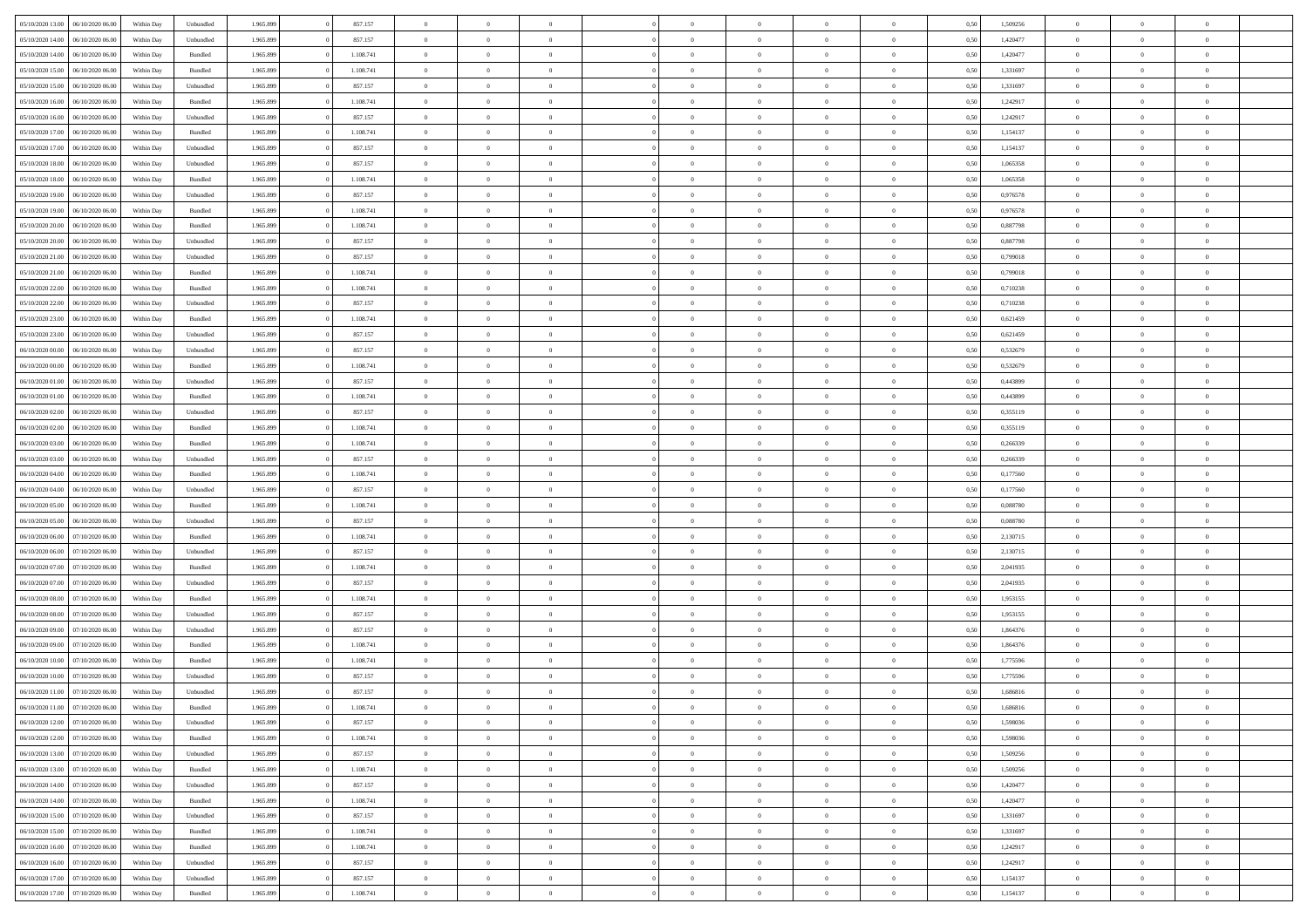| 05/10/2020 13:00                  | 06/10/2020 06:00 | Within Dav | Unbundled          | 1.965.899 | 857.157   | $\overline{0}$ | $\Omega$       |                | $\Omega$       | $\Omega$       | $\Omega$       | $\theta$       | 0.50 | 1,509256 | $\theta$       | $\theta$       | $\theta$       |  |
|-----------------------------------|------------------|------------|--------------------|-----------|-----------|----------------|----------------|----------------|----------------|----------------|----------------|----------------|------|----------|----------------|----------------|----------------|--|
| 05/10/2020 14:00                  | 06/10/2020 06.00 | Within Day | Unbundled          | 1.965.899 | 857.157   | $\overline{0}$ | $\theta$       | $\overline{0}$ | $\overline{0}$ | $\bf{0}$       | $\overline{0}$ | $\bf{0}$       | 0,50 | 1,420477 | $\theta$       | $\theta$       | $\overline{0}$ |  |
| 05/10/2020 14:00                  | 06/10/2020 06.00 | Within Day | Bundled            | 1.965.899 | 1.108.741 | $\overline{0}$ | $\overline{0}$ | $\overline{0}$ | $\overline{0}$ | $\bf{0}$       | $\overline{0}$ | $\mathbf{0}$   | 0,50 | 1,420477 | $\bf{0}$       | $\overline{0}$ | $\overline{0}$ |  |
|                                   |                  |            |                    |           |           |                |                |                |                |                |                |                |      |          | $\theta$       |                |                |  |
| 05/10/2020 15:00                  | 06/10/2020 06:00 | Within Dav | Bundled            | 1.965.899 | 1.108.741 | $\overline{0}$ | $\overline{0}$ | $\overline{0}$ | $\overline{0}$ | $\bf{0}$       | $\overline{0}$ | $\overline{0}$ | 0.50 | 1.331697 |                | $\theta$       | $\overline{0}$ |  |
| 05/10/2020 15:00                  | 06/10/2020 06.00 | Within Day | Unbundled          | 1.965.899 | 857.157   | $\overline{0}$ | $\theta$       | $\overline{0}$ | $\overline{0}$ | $\bf{0}$       | $\overline{0}$ | $\bf{0}$       | 0,50 | 1,331697 | $\theta$       | $\theta$       | $\overline{0}$ |  |
| 05/10/2020 16:00                  | 06/10/2020 06.00 | Within Day | Bundled            | 1.965.899 | 1.108.741 | $\overline{0}$ | $\overline{0}$ | $\overline{0}$ | $\overline{0}$ | $\overline{0}$ | $\overline{0}$ | $\mathbf{0}$   | 0,50 | 1,242917 | $\bf{0}$       | $\overline{0}$ | $\bf{0}$       |  |
| 05/10/2020 16:00                  | 06/10/2020 06:00 | Within Dav | Unbundled          | 1.965.899 | 857.157   | $\overline{0}$ | $\overline{0}$ | $\overline{0}$ | $\overline{0}$ | $\overline{0}$ | $\overline{0}$ | $\overline{0}$ | 0.50 | 1,242917 | $\theta$       | $\overline{0}$ | $\overline{0}$ |  |
|                                   |                  |            |                    |           |           |                |                |                |                |                |                |                |      |          |                |                |                |  |
| 05/10/2020 17.00                  | 06/10/2020 06.00 | Within Day | Bundled            | 1.965.899 | 1.108.741 | $\overline{0}$ | $\theta$       | $\overline{0}$ | $\overline{0}$ | $\bf{0}$       | $\overline{0}$ | $\bf{0}$       | 0,50 | 1,154137 | $\theta$       | $\theta$       | $\overline{0}$ |  |
| 05/10/2020 17.00                  | 06/10/2020 06.00 | Within Day | Unbundled          | 1.965.899 | 857.157   | $\overline{0}$ | $\overline{0}$ | $\overline{0}$ | $\overline{0}$ | $\bf{0}$       | $\overline{0}$ | $\bf{0}$       | 0,50 | 1,154137 | $\,0\,$        | $\overline{0}$ | $\overline{0}$ |  |
| 05/10/2020 18:00                  | 06/10/2020 06:00 | Within Dav | Unbundled          | 1.965.899 | 857.157   | $\overline{0}$ | $\overline{0}$ | $\overline{0}$ | $\overline{0}$ | $\overline{0}$ | $\overline{0}$ | $\overline{0}$ | 0.50 | 1,065358 | $\theta$       | $\overline{0}$ | $\overline{0}$ |  |
| 05/10/2020 18:00                  | 06/10/2020 06.00 | Within Day | Bundled            | 1.965.899 | 1.108.741 | $\overline{0}$ | $\theta$       | $\overline{0}$ | $\overline{0}$ | $\bf{0}$       | $\overline{0}$ |                |      | 1,065358 | $\,$ 0 $\,$    | $\overline{0}$ | $\overline{0}$ |  |
|                                   |                  |            |                    |           |           |                |                |                |                |                |                | $\bf{0}$       | 0,50 |          |                |                |                |  |
| 05/10/2020 19:00                  | 06/10/2020 06.00 | Within Day | Unbundled          | 1.965.899 | 857.157   | $\overline{0}$ | $\overline{0}$ | $\overline{0}$ | $\overline{0}$ | $\bf{0}$       | $\overline{0}$ | $\mathbf{0}$   | 0,50 | 0,976578 | $\bf{0}$       | $\overline{0}$ | $\overline{0}$ |  |
| 05/10/2020 19:00                  | 06/10/2020 06:00 | Within Day | Bundled            | 1.965.899 | 1.108.741 | $\overline{0}$ | $\overline{0}$ | $\overline{0}$ | $\overline{0}$ | $\bf{0}$       | $\overline{0}$ | $\overline{0}$ | 0.50 | 0,976578 | $\theta$       | $\theta$       | $\overline{0}$ |  |
| 05/10/2020 20.00                  | 06/10/2020 06.00 | Within Day | Bundled            | 1.965.899 | 1.108.741 | $\overline{0}$ | $\theta$       | $\overline{0}$ | $\overline{0}$ | $\bf{0}$       | $\overline{0}$ | $\bf{0}$       | 0,50 | 0,887798 | $\theta$       | $\overline{0}$ | $\overline{0}$ |  |
|                                   |                  |            |                    |           |           |                |                |                |                |                |                |                |      |          |                |                |                |  |
| 05/10/2020 20.00                  | 06/10/2020 06.00 | Within Day | Unbundled          | 1.965.899 | 857.157   | $\overline{0}$ | $\overline{0}$ | $\overline{0}$ | $\overline{0}$ | $\overline{0}$ | $\overline{0}$ | $\mathbf{0}$   | 0,50 | 0,887798 | $\bf{0}$       | $\overline{0}$ | $\bf{0}$       |  |
| 05/10/2020 21.00                  | 06/10/2020 06:00 | Within Dav | Unbundled          | 1.965.899 | 857.157   | $\overline{0}$ | $\overline{0}$ | $\overline{0}$ | $\overline{0}$ | $\overline{0}$ | $\overline{0}$ | $\overline{0}$ | 0.50 | 0.799018 | $\theta$       | $\overline{0}$ | $\overline{0}$ |  |
| 05/10/2020 21.00                  | 06/10/2020 06.00 | Within Day | Bundled            | 1.965.899 | 1.108.741 | $\overline{0}$ | $\theta$       | $\overline{0}$ | $\overline{0}$ | $\bf{0}$       | $\overline{0}$ | $\bf{0}$       | 0,50 | 0,799018 | $\theta$       | $\theta$       | $\overline{0}$ |  |
| 05/10/2020 22.00                  | 06/10/2020 06.00 | Within Day | Bundled            | 1.965.899 | 1.108.741 | $\overline{0}$ | $\overline{0}$ | $\overline{0}$ | $\bf{0}$       | $\bf{0}$       | $\bf{0}$       | $\mathbf{0}$   | 0,50 | 0,710238 | $\,0\,$        | $\overline{0}$ | $\overline{0}$ |  |
|                                   |                  |            |                    |           |           |                |                |                |                |                |                |                |      |          |                |                |                |  |
| 05/10/2020 22.00                  | 06/10/2020 06:00 | Within Day | Unbundled          | 1.965.899 | 857.157   | $\overline{0}$ | $\overline{0}$ | $\overline{0}$ | $\overline{0}$ | $\overline{0}$ | $\overline{0}$ | $\overline{0}$ | 0.50 | 0,710238 | $\theta$       | $\overline{0}$ | $\overline{0}$ |  |
| 05/10/2020 23.00                  | 06/10/2020 06.00 | Within Day | Bundled            | 1.965.899 | 1.108.741 | $\overline{0}$ | $\theta$       | $\overline{0}$ | $\overline{0}$ | $\bf{0}$       | $\overline{0}$ | $\bf{0}$       | 0,50 | 0,621459 | $\,$ 0 $\,$    | $\overline{0}$ | $\overline{0}$ |  |
| 05/10/2020 23.00                  | 06/10/2020 06.00 | Within Day | Unbundled          | 1.965.899 | 857.157   | $\overline{0}$ | $\overline{0}$ | $\overline{0}$ | $\bf{0}$       | $\bf{0}$       | $\bf{0}$       | $\bf{0}$       | 0,50 | 0,621459 | $\bf{0}$       | $\overline{0}$ | $\overline{0}$ |  |
| 06/10/2020 00:00                  | 06/10/2020 06:00 | Within Day | Unbundled          | 1.965.899 | 857.157   | $\overline{0}$ | $\overline{0}$ | $\overline{0}$ | $\overline{0}$ | $\bf{0}$       | $\overline{0}$ | $\overline{0}$ | 0.50 | 0.532679 | $\theta$       | $\overline{0}$ | $\overline{0}$ |  |
|                                   |                  |            |                    |           |           | $\overline{0}$ | $\theta$       | $\overline{0}$ | $\overline{0}$ | $\bf{0}$       | $\overline{0}$ |                |      |          | $\,$ 0 $\,$    | $\overline{0}$ | $\overline{0}$ |  |
| 06/10/2020 00:00                  | 06/10/2020 06.00 | Within Day | Bundled            | 1.965.899 | 1.108.741 |                |                |                |                |                |                | $\bf{0}$       | 0,50 | 0,532679 |                |                |                |  |
| 06/10/2020 01.00                  | 06/10/2020 06.00 | Within Day | Unbundled          | 1.965.899 | 857.157   | $\overline{0}$ | $\overline{0}$ | $\overline{0}$ | $\bf{0}$       | $\overline{0}$ | $\overline{0}$ | $\mathbf{0}$   | 0,50 | 0,443899 | $\overline{0}$ | $\overline{0}$ | $\bf{0}$       |  |
| 06/10/2020 01:00                  | 06/10/2020 06:00 | Within Dav | Bundled            | 1.965.899 | 1.108.741 | $\overline{0}$ | $\overline{0}$ | $\overline{0}$ | $\overline{0}$ | $\overline{0}$ | $\overline{0}$ | $\overline{0}$ | 0.50 | 0,443899 | $\overline{0}$ | $\overline{0}$ | $\overline{0}$ |  |
| 06/10/2020 02.00                  | 06/10/2020 06.00 | Within Day | Unbundled          | 1.965.899 | 857.157   | $\overline{0}$ | $\theta$       | $\overline{0}$ | $\overline{0}$ | $\bf{0}$       | $\overline{0}$ | $\bf{0}$       | 0,50 | 0,355119 | $\theta$       | $\theta$       | $\overline{0}$ |  |
|                                   |                  |            |                    |           |           |                |                |                |                |                |                |                |      |          |                |                |                |  |
| 06/10/2020 02.00                  | 06/10/2020 06.00 | Within Day | Bundled            | 1.965.899 | 1.108.741 | $\overline{0}$ | $\overline{0}$ | $\overline{0}$ | $\bf{0}$       | $\bf{0}$       | $\bf{0}$       | $\bf{0}$       | 0,50 | 0,355119 | $\,0\,$        | $\overline{0}$ | $\overline{0}$ |  |
| 06/10/2020 03:00                  | 06/10/2020 06:00 | Within Day | Bundled            | 1.965.899 | 1.108.741 | $\overline{0}$ | $\overline{0}$ | $\overline{0}$ | $\overline{0}$ | $\overline{0}$ | $\overline{0}$ | $\overline{0}$ | 0.50 | 0,266339 | $\theta$       | $\overline{0}$ | $\overline{0}$ |  |
| 06/10/2020 03:00                  | 06/10/2020 06.00 | Within Day | Unbundled          | 1.965.899 | 857.157   | $\overline{0}$ | $\theta$       | $\overline{0}$ | $\overline{0}$ | $\bf{0}$       | $\overline{0}$ | $\bf{0}$       | 0,50 | 0,266339 | $\,$ 0 $\,$    | $\overline{0}$ | $\overline{0}$ |  |
| 06/10/2020 04:00                  | 06/10/2020 06.00 | Within Day | Bundled            | 1.965.899 | 1.108.741 | $\overline{0}$ | $\overline{0}$ | $\overline{0}$ | $\bf{0}$       | $\bf{0}$       | $\bf{0}$       | $\bf{0}$       | 0,50 | 0,177560 | $\overline{0}$ | $\overline{0}$ | $\overline{0}$ |  |
|                                   | 06/10/2020 06:00 |            |                    |           |           | $\overline{0}$ | $\Omega$       |                | $\Omega$       | $\Omega$       |                |                |      |          |                |                | $\theta$       |  |
| 06/10/2020 04:00                  |                  | Within Day | Unbundled          | 1.965.899 | 857.157   |                |                | $\overline{0}$ |                |                | $\overline{0}$ | $\overline{0}$ | 0,50 | 0,177560 | $\,0\,$        | $\theta$       |                |  |
| 06/10/2020 05:00                  | 06/10/2020 06.00 | Within Day | Bundled            | 1.965.899 | 1.108.741 | $\overline{0}$ | $\theta$       | $\overline{0}$ | $\overline{0}$ | $\bf{0}$       | $\overline{0}$ | $\bf{0}$       | 0,50 | 0,088780 | $\,$ 0 $\,$    | $\theta$       | $\overline{0}$ |  |
| 06/10/2020 05.00                  | 06/10/2020 06.00 | Within Day | Unbundled          | 1.965.899 | 857.157   | $\overline{0}$ | $\overline{0}$ | $\overline{0}$ | $\bf{0}$       | $\bf{0}$       | $\overline{0}$ | $\mathbf{0}$   | 0,50 | 0,088780 | $\overline{0}$ | $\overline{0}$ | $\bf{0}$       |  |
| 06/10/2020 06:00                  | 07/10/2020 06.00 | Within Day | Bundled            | 1.965.899 | 1.108.741 | $\overline{0}$ | $\Omega$       | $\Omega$       | $\Omega$       | $\bf{0}$       | $\overline{0}$ | $\overline{0}$ | 0.50 | 2,130715 | $\,0\,$        | $\theta$       | $\theta$       |  |
| 06/10/2020 06.00                  | 07/10/2020 06.00 |            |                    | 1.965.899 | 857.157   | $\overline{0}$ | $\theta$       | $\overline{0}$ | $\overline{0}$ | $\bf{0}$       | $\overline{0}$ |                |      | 2,130715 | $\,$ 0 $\,$    | $\overline{0}$ | $\overline{0}$ |  |
|                                   |                  | Within Day | Unbundled          |           |           |                |                |                |                |                |                | $\bf{0}$       | 0,50 |          |                |                |                |  |
| 06/10/2020 07.00                  | 07/10/2020 06.00 | Within Day | Bundled            | 1.965.899 | 1.108.741 | $\overline{0}$ | $\overline{0}$ | $\overline{0}$ | $\overline{0}$ | $\bf{0}$       | $\overline{0}$ | $\bf{0}$       | 0,50 | 2,041935 | $\,0\,$        | $\overline{0}$ | $\overline{0}$ |  |
| 06/10/2020 07.00                  | 07/10/2020 06.00 | Within Day | Unbundled          | 1.965.899 | 857.157   | $\overline{0}$ | $\Omega$       | $\overline{0}$ | $\Omega$       | $\overline{0}$ | $\overline{0}$ | $\overline{0}$ | 0.50 | 2.041935 | $\,0\,$        | $\theta$       | $\theta$       |  |
| 06/10/2020 08:00                  | 07/10/2020 06.00 | Within Day | Bundled            | 1.965.899 | 1.108.741 | $\overline{0}$ | $\theta$       | $\overline{0}$ | $\overline{0}$ | $\,$ 0         | $\overline{0}$ | $\bf{0}$       | 0,50 | 1,953155 | $\,$ 0 $\,$    | $\overline{0}$ | $\overline{0}$ |  |
|                                   |                  |            |                    |           |           |                |                |                |                |                |                |                |      |          |                |                |                |  |
| 06/10/2020 08:00                  | 07/10/2020 06.00 | Within Day | Unbundled          | 1.965.899 | 857.157   | $\overline{0}$ | $\overline{0}$ | $\overline{0}$ | $\overline{0}$ | $\bf{0}$       | $\overline{0}$ | $\bf{0}$       | 0,50 | 1,953155 | $\bf{0}$       | $\overline{0}$ | $\overline{0}$ |  |
| 06/10/2020 09:00                  | 07/10/2020 06.00 | Within Day | Unbundled          | 1.965.899 | 857.157   | $\overline{0}$ | $\Omega$       | $\overline{0}$ | $\Omega$       | $\overline{0}$ | $\overline{0}$ | $\overline{0}$ | 0,50 | 1,864376 | $\,0\,$        | $\theta$       | $\theta$       |  |
| 06/10/2020 09:00                  | 07/10/2020 06.00 | Within Day | Bundled            | 1.965.899 | 1.108.741 | $\overline{0}$ | $\theta$       | $\overline{0}$ | $\overline{0}$ | $\,$ 0         | $\overline{0}$ | $\bf{0}$       | 0,50 | 1,864376 | $\,$ 0 $\,$    | $\overline{0}$ | $\overline{0}$ |  |
| 06/10/2020 10:00                  | 07/10/2020 06.00 | Within Day | Bundled            | 1.965.899 | 1.108.741 | $\overline{0}$ | $\bf{0}$       | $\overline{0}$ | $\overline{0}$ | $\bf{0}$       | $\overline{0}$ | $\mathbf{0}$   | 0,50 | 1,775596 | $\bf{0}$       | $\overline{0}$ | $\bf{0}$       |  |
|                                   | 07/10/2020 06.00 |            |                    |           |           | $\overline{0}$ | $\Omega$       | $\Omega$       | $\Omega$       | $\Omega$       | $\Omega$       | $\overline{0}$ | 0.50 |          | $\theta$       | $\theta$       | $\theta$       |  |
| 06/10/2020 10:00                  |                  | Within Day | Unbundled          | 1.965.899 | 857.157   |                |                |                |                |                |                |                |      | 1,775596 |                |                |                |  |
| 06/10/2020 11:00                  | 07/10/2020 06.00 | Within Day | Unbundled          | 1.965.899 | 857.157   | $\bf{0}$       | $\overline{0}$ | $\overline{0}$ | $\bf{0}$       | $\,$ 0         | $\overline{0}$ | $\bf{0}$       | 0,50 | 1,686816 | $\,0\,$        | $\overline{0}$ | $\overline{0}$ |  |
| 06/10/2020 11:00 07/10/2020 06:00 |                  | Within Day | $\mathbf B$ undled | 1.965.899 | 1.108.741 | $\bf{0}$       | $\bf{0}$       |                |                |                |                |                | 0,50 | 1,686816 | $\bf{0}$       | $\overline{0}$ |                |  |
| 06/10/2020 12:00                  | 07/10/2020 06:00 | Within Day | Unbundled          | 1.965.899 | 857.157   | $\overline{0}$ | $\overline{0}$ | $\overline{0}$ | $\Omega$       | $\overline{0}$ | $\overline{0}$ | $\overline{0}$ | 0,50 | 1,598036 | $\theta$       | $\theta$       | $\theta$       |  |
| 06/10/2020 12:00                  | 07/10/2020 06.00 | Within Day | Bundled            | 1.965.899 | 1.108.741 | $\overline{0}$ | $\bf{0}$       | $\overline{0}$ | $\overline{0}$ | $\,$ 0 $\,$    | $\overline{0}$ | $\,$ 0 $\,$    | 0,50 | 1,598036 | $\,$ 0 $\,$    | $\,$ 0 $\,$    | $\,$ 0         |  |
|                                   |                  |            |                    |           |           |                |                |                |                |                |                |                |      |          |                |                |                |  |
| 06/10/2020 13:00                  | 07/10/2020 06.00 | Within Day | Unbundled          | 1.965.899 | 857.157   | $\overline{0}$ | $\overline{0}$ | $\overline{0}$ | $\overline{0}$ | $\overline{0}$ | $\overline{0}$ | $\mathbf{0}$   | 0,50 | 1,509256 | $\overline{0}$ | $\bf{0}$       | $\overline{0}$ |  |
| 06/10/2020 13:00                  | 07/10/2020 06.00 | Within Day | $\mathbf B$ undled | 1.965.899 | 1.108.741 | $\overline{0}$ | $\overline{0}$ | $\overline{0}$ | $\Omega$       | $\overline{0}$ | $\overline{0}$ | $\overline{0}$ | 0,50 | 1,509256 | $\bf{0}$       | $\theta$       | $\overline{0}$ |  |
| 06/10/2020 14:00                  | 07/10/2020 06.00 | Within Day | Unbundled          | 1.965.899 | 857.157   | $\overline{0}$ | $\,$ 0         | $\overline{0}$ | $\overline{0}$ | $\,$ 0 $\,$    | $\overline{0}$ | $\mathbf{0}$   | 0,50 | 1,420477 | $\,$ 0 $\,$    | $\overline{0}$ | $\overline{0}$ |  |
| 06/10/2020 14:00                  | 07/10/2020 06.00 | Within Day | Bundled            | 1.965.899 | 1.108.741 | $\overline{0}$ | $\overline{0}$ | $\overline{0}$ | $\overline{0}$ | $\overline{0}$ | $\overline{0}$ | $\mathbf{0}$   | 0,50 | 1,420477 | $\overline{0}$ | $\overline{0}$ | $\bf{0}$       |  |
|                                   |                  |            |                    |           |           |                |                |                |                |                |                |                |      |          |                |                |                |  |
| 06/10/2020 15:00                  | 07/10/2020 06.00 | Within Day | Unbundled          | 1.965.899 | 857.157   | $\overline{0}$ | $\overline{0}$ | $\overline{0}$ | $\overline{0}$ | $\overline{0}$ | $\overline{0}$ | $\bf{0}$       | 0.50 | 1,331697 | $\overline{0}$ | $\theta$       | $\overline{0}$ |  |
| 06/10/2020 15:00                  | 07/10/2020 06.00 | Within Day | Bundled            | 1.965.899 | 1.108.741 | $\overline{0}$ | $\,$ 0         | $\overline{0}$ | $\overline{0}$ | $\bf{0}$       | $\bf{0}$       | $\bf{0}$       | 0,50 | 1,331697 | $\,$ 0 $\,$    | $\overline{0}$ | $\overline{0}$ |  |
| 06/10/2020 16:00                  | 07/10/2020 06.00 | Within Day | Bundled            | 1.965.899 | 1.108.741 | $\overline{0}$ | $\bf{0}$       | $\overline{0}$ | $\overline{0}$ | $\overline{0}$ | $\overline{0}$ | $\mathbf{0}$   | 0,50 | 1,242917 | $\overline{0}$ | $\overline{0}$ | $\bf{0}$       |  |
| 06/10/2020 16:00                  | 07/10/2020 06:00 | Within Day | Unbundled          | 1.965.899 | 857.157   | $\overline{0}$ | $\overline{0}$ | $\overline{0}$ | $\Omega$       | $\overline{0}$ | $\overline{0}$ | $\overline{0}$ | 0.50 | 1,242917 | $\overline{0}$ | $\overline{0}$ | $\overline{0}$ |  |
|                                   |                  |            |                    |           |           |                |                |                |                |                |                |                |      |          |                |                |                |  |
| 06/10/2020 17.00                  | 07/10/2020 06.00 | Within Day | Unbundled          | 1.965.899 | 857.157   | $\overline{0}$ | $\bf{0}$       | $\overline{0}$ | $\bf{0}$       | $\bf{0}$       | $\bf{0}$       | $\mathbf{0}$   | 0,50 | 1,154137 | $\,$ 0 $\,$    | $\,$ 0 $\,$    | $\bf{0}$       |  |
| 06/10/2020 17:00                  | 07/10/2020 06.00 | Within Day | Bundled            | 1.965.899 | 1.108.741 | $\overline{0}$ | $\overline{0}$ | $\overline{0}$ | $\overline{0}$ | $\overline{0}$ | $\bf{0}$       | $\mathbf{0}$   | 0,50 | 1,154137 | $\overline{0}$ | $\bf{0}$       | $\overline{0}$ |  |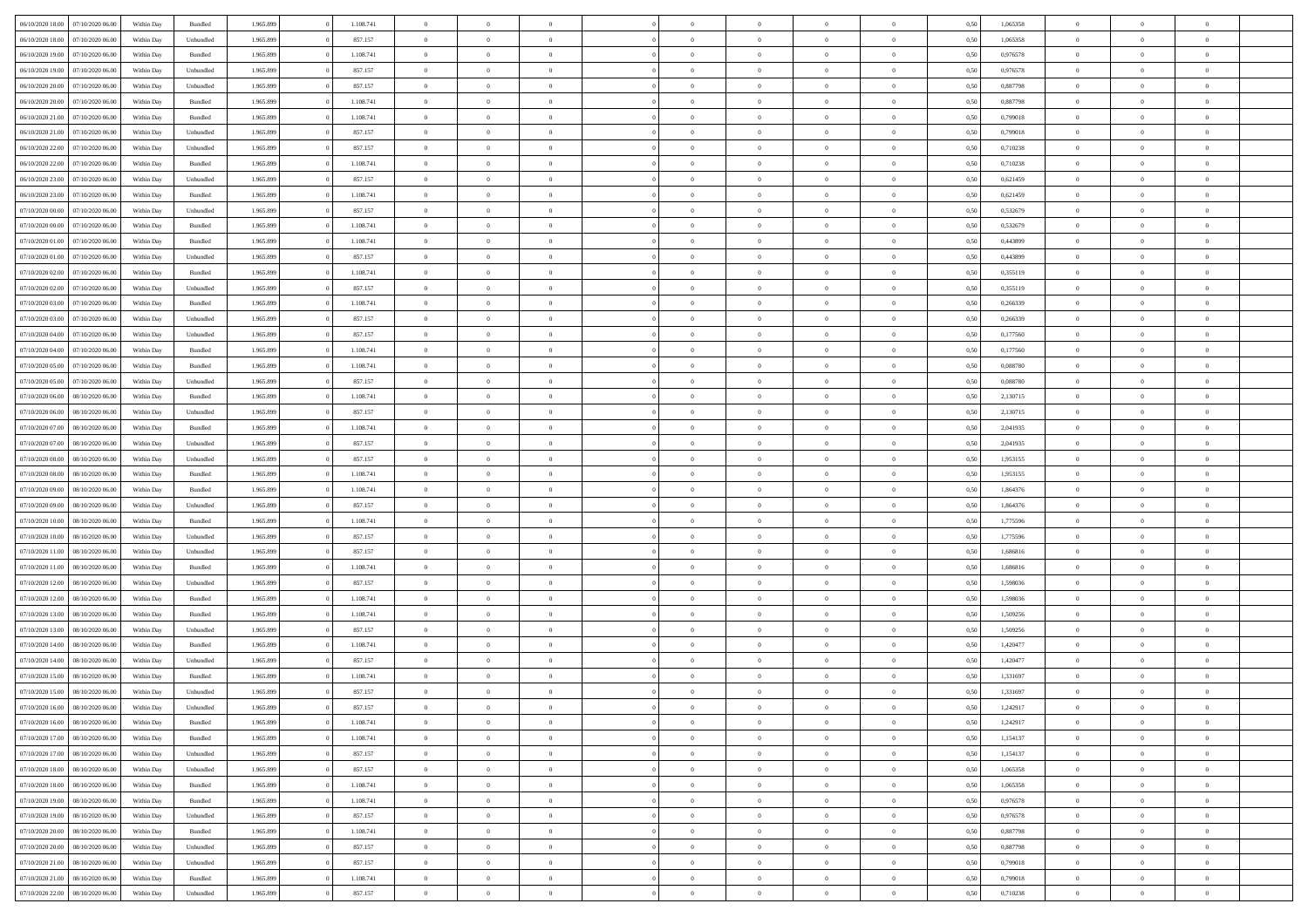|                                      |            |           |           |           | $\overline{0}$ | $\Omega$       |                |                | $\Omega$       | $\Omega$       | $\theta$       |      |          | $\theta$       |                | $\theta$       |  |
|--------------------------------------|------------|-----------|-----------|-----------|----------------|----------------|----------------|----------------|----------------|----------------|----------------|------|----------|----------------|----------------|----------------|--|
| 06/10/2020 18:00<br>07/10/2020 06:00 | Within Dav | Bundled   | 1.965.899 | 1.108.741 |                |                |                | $\Omega$       |                |                |                | 0,50 | 1,065358 |                | $\theta$       |                |  |
| 06/10/2020 18:00<br>07/10/2020 06.00 | Within Day | Unbundled | 1.965.899 | 857.157   | $\overline{0}$ | $\theta$       | $\overline{0}$ | $\overline{0}$ | $\bf{0}$       | $\overline{0}$ | $\bf{0}$       | 0,50 | 1,065358 | $\theta$       | $\theta$       | $\overline{0}$ |  |
| 06/10/2020 19:00<br>07/10/2020 06.00 | Within Day | Bundled   | 1.965.899 | 1.108.741 | $\overline{0}$ | $\bf{0}$       | $\overline{0}$ | $\bf{0}$       | $\bf{0}$       | $\bf{0}$       | $\mathbf{0}$   | 0,50 | 0,976578 | $\overline{0}$ | $\overline{0}$ | $\overline{0}$ |  |
| 06/10/2020 19:00<br>07/10/2020 06.00 | Within Dav | Unbundled | 1.965.899 | 857.157   | $\overline{0}$ | $\overline{0}$ | $\overline{0}$ | $\overline{0}$ | $\bf{0}$       | $\overline{0}$ | $\overline{0}$ | 0.50 | 0,976578 | $\theta$       | $\theta$       | $\overline{0}$ |  |
|                                      |            |           |           |           | $\overline{0}$ | $\theta$       | $\overline{0}$ |                | $\bf{0}$       | $\overline{0}$ |                |      |          | $\theta$       | $\overline{0}$ | $\overline{0}$ |  |
| 06/10/2020 20.00<br>07/10/2020 06.00 | Within Day | Unbundled | 1.965.899 | 857.157   |                |                |                | $\overline{0}$ |                |                | $\bf{0}$       | 0,50 | 0,887798 |                |                |                |  |
| 06/10/2020 20.00<br>07/10/2020 06.00 | Within Day | Bundled   | 1.965.899 | 1.108.741 | $\overline{0}$ | $\overline{0}$ | $\overline{0}$ | $\bf{0}$       | $\overline{0}$ | $\overline{0}$ | $\mathbf{0}$   | 0,50 | 0,887798 | $\overline{0}$ | $\overline{0}$ | $\bf{0}$       |  |
| 06/10/2020 21:00<br>07/10/2020 06.00 | Within Dav | Bundled   | 1.965.899 | 1.108.741 | $\overline{0}$ | $\overline{0}$ | $\overline{0}$ | $\overline{0}$ | $\overline{0}$ | $\overline{0}$ | $\overline{0}$ | 0.50 | 0.799018 | $\theta$       | $\overline{0}$ | $\overline{0}$ |  |
| 06/10/2020 21.00<br>07/10/2020 06.00 | Within Day | Unbundled | 1.965.899 | 857.157   | $\overline{0}$ | $\theta$       | $\overline{0}$ | $\overline{0}$ | $\bf{0}$       | $\overline{0}$ | $\bf{0}$       | 0,50 | 0,799018 | $\theta$       | $\theta$       | $\overline{0}$ |  |
| 06/10/2020 22.00<br>07/10/2020 06.00 | Within Day | Unbundled | 1.965.899 | 857.157   | $\overline{0}$ | $\overline{0}$ | $\overline{0}$ | $\bf{0}$       | $\bf{0}$       | $\bf{0}$       | $\bf{0}$       | 0,50 | 0,710238 | $\,0\,$        | $\overline{0}$ | $\overline{0}$ |  |
|                                      |            |           |           |           |                | $\overline{0}$ |                |                | $\overline{0}$ |                |                |      |          | $\theta$       | $\overline{0}$ | $\overline{0}$ |  |
| 06/10/2020 22.00<br>07/10/2020 06.00 | Within Dav | Bundled   | 1.965.899 | 1.108.741 | $\overline{0}$ |                | $\overline{0}$ | $\overline{0}$ |                | $\overline{0}$ | $\overline{0}$ | 0.50 | 0,710238 |                |                |                |  |
| 06/10/2020 23.00<br>07/10/2020 06.00 | Within Day | Unbundled | 1.965.899 | 857.157   | $\overline{0}$ | $\theta$       | $\overline{0}$ | $\overline{0}$ | $\bf{0}$       | $\overline{0}$ | $\bf{0}$       | 0,50 | 0,621459 | $\,$ 0 $\,$    | $\overline{0}$ | $\overline{0}$ |  |
| 06/10/2020 23.00<br>07/10/2020 06.00 | Within Day | Bundled   | 1.965.899 | 1.108.741 | $\overline{0}$ | $\overline{0}$ | $\overline{0}$ | $\bf{0}$       | $\bf{0}$       | $\bf{0}$       | $\mathbf{0}$   | 0,50 | 0,621459 | $\overline{0}$ | $\overline{0}$ | $\bf{0}$       |  |
| 07/10/2020 00:00<br>07/10/2020 06.00 | Within Day | Unbundled | 1.965.899 | 857.157   | $\overline{0}$ | $\overline{0}$ | $\overline{0}$ | $\overline{0}$ | $\bf{0}$       | $\overline{0}$ | $\overline{0}$ | 0.50 | 0,532679 | $\theta$       | $\theta$       | $\overline{0}$ |  |
| 07/10/2020 00.00<br>07/10/2020 06.00 | Within Day | Bundled   | 1.965.899 | 1.108.741 | $\overline{0}$ | $\theta$       | $\overline{0}$ | $\overline{0}$ | $\bf{0}$       | $\overline{0}$ | $\bf{0}$       | 0,50 | 0,532679 | $\theta$       | $\theta$       | $\overline{0}$ |  |
|                                      |            |           |           |           |                |                |                |                |                |                |                |      |          |                |                |                |  |
| 07/10/2020 01.00<br>07/10/2020 06.00 | Within Day | Bundled   | 1.965.899 | 1.108.741 | $\overline{0}$ | $\overline{0}$ | $\overline{0}$ | $\bf{0}$       | $\overline{0}$ | $\overline{0}$ | $\mathbf{0}$   | 0,50 | 0,443899 | $\overline{0}$ | $\overline{0}$ | $\bf{0}$       |  |
| 07/10/2020 01:00<br>07/10/2020 06.00 | Within Dav | Unbundled | 1.965.899 | 857.157   | $\overline{0}$ | $\overline{0}$ | $\overline{0}$ | $\overline{0}$ | $\overline{0}$ | $\overline{0}$ | $\overline{0}$ | 0.50 | 0,443899 | $\overline{0}$ | $\overline{0}$ | $\overline{0}$ |  |
| 07/10/2020 02.00<br>07/10/2020 06.00 | Within Day | Bundled   | 1.965.899 | 1.108.741 | $\overline{0}$ | $\theta$       | $\overline{0}$ | $\overline{0}$ | $\bf{0}$       | $\overline{0}$ | $\bf{0}$       | 0,50 | 0,355119 | $\theta$       | $\theta$       | $\overline{0}$ |  |
| 07/10/2020 02.00<br>07/10/2020 06.00 | Within Day | Unbundled | 1.965.899 | 857.157   | $\overline{0}$ | $\overline{0}$ | $\overline{0}$ | $\overline{0}$ | $\bf{0}$       | $\overline{0}$ | $\mathbf{0}$   | 0,50 | 0,355119 | $\,0\,$        | $\overline{0}$ | $\overline{0}$ |  |
| 07/10/2020 03:00<br>07/10/2020 06.00 | Within Day | Bundled   | 1.965.899 | 1.108.741 | $\overline{0}$ | $\overline{0}$ | $\overline{0}$ | $\overline{0}$ | $\overline{0}$ | $\overline{0}$ | $\overline{0}$ | 0.50 | 0,266339 | $\theta$       | $\overline{0}$ | $\overline{0}$ |  |
| 07/10/2020 03.00<br>07/10/2020 06.00 | Within Day | Unbundled | 1.965.899 | 857.157   | $\overline{0}$ | $\theta$       | $\overline{0}$ | $\overline{0}$ | $\bf{0}$       | $\overline{0}$ | $\bf{0}$       | 0,50 | 0,266339 | $\,$ 0 $\,$    | $\overline{0}$ | $\overline{0}$ |  |
|                                      |            |           |           |           |                |                |                |                |                |                |                |      |          |                |                |                |  |
| 07/10/2020 04.00<br>07/10/2020 06.00 | Within Day | Unbundled | 1.965.899 | 857.157   | $\overline{0}$ | $\overline{0}$ | $\overline{0}$ | $\overline{0}$ | $\bf{0}$       | $\overline{0}$ | $\bf{0}$       | 0,50 | 0,177560 | $\bf{0}$       | $\overline{0}$ | $\overline{0}$ |  |
| 07/10/2020 04:00<br>07/10/2020 06:00 | Within Day | Bundled   | 1.965.899 | 1.108.741 | $\overline{0}$ | $\overline{0}$ | $\overline{0}$ | $\overline{0}$ | $\overline{0}$ | $\overline{0}$ | $\overline{0}$ | 0.50 | 0,177560 | $\theta$       | $\overline{0}$ | $\overline{0}$ |  |
| 07/10/2020 05.00<br>07/10/2020 06.00 | Within Day | Bundled   | 1.965.899 | 1.108.741 | $\overline{0}$ | $\theta$       | $\overline{0}$ | $\overline{0}$ | $\bf{0}$       | $\overline{0}$ | $\bf{0}$       | 0,50 | 0,088780 | $\,$ 0 $\,$    | $\overline{0}$ | $\overline{0}$ |  |
| 07/10/2020 05.00<br>07/10/2020 06.00 | Within Day | Unbundled | 1.965.899 | 857.157   | $\overline{0}$ | $\overline{0}$ | $\overline{0}$ | $\overline{0}$ | $\overline{0}$ | $\overline{0}$ | $\mathbf{0}$   | 0,50 | 0,088780 | $\bf{0}$       | $\overline{0}$ | $\bf{0}$       |  |
| 07/10/2020 06.00<br>08/10/2020 06:00 | Within Dav | Bundled   | 1.965.899 | 1.108.741 | $\overline{0}$ | $\overline{0}$ | $\overline{0}$ | $\overline{0}$ | $\overline{0}$ | $\overline{0}$ | $\overline{0}$ | 0.50 | 2,130715 | $\theta$       | $\overline{0}$ | $\overline{0}$ |  |
| 07/10/2020 06.00<br>08/10/2020 06.00 | Within Day | Unbundled | 1.965.899 | 857.157   | $\overline{0}$ | $\theta$       | $\overline{0}$ | $\overline{0}$ | $\bf{0}$       | $\overline{0}$ | $\bf{0}$       | 0,50 | 2,130715 | $\theta$       | $\theta$       | $\overline{0}$ |  |
| 07/10/2020 07.00<br>08/10/2020 06:00 | Within Day | Bundled   | 1.965.899 | 1.108.741 | $\overline{0}$ | $\overline{0}$ | $\overline{0}$ | $\overline{0}$ | $\bf{0}$       | $\overline{0}$ | $\bf{0}$       | 0,50 | 2,041935 | $\,0\,$        | $\overline{0}$ | $\overline{0}$ |  |
|                                      |            |           |           |           |                |                |                |                |                |                |                |      |          |                |                |                |  |
| 07/10/2020 07.00<br>08/10/2020 06:00 | Within Day | Unbundled | 1.965.899 | 857.157   | $\overline{0}$ | $\overline{0}$ | $\overline{0}$ | $\overline{0}$ | $\overline{0}$ | $\overline{0}$ | $\overline{0}$ | 0.50 | 2,041935 | $\theta$       | $\overline{0}$ | $\overline{0}$ |  |
| 07/10/2020 08:00<br>08/10/2020 06.00 | Within Day | Unbundled | 1.965.899 | 857.157   | $\overline{0}$ | $\theta$       | $\overline{0}$ | $\overline{0}$ | $\bf{0}$       | $\overline{0}$ | $\bf{0}$       | 0,50 | 1,953155 | $\,$ 0 $\,$    | $\overline{0}$ | $\overline{0}$ |  |
| 07/10/2020 08.00<br>08/10/2020 06.00 | Within Day | Bundled   | 1.965.899 | 1.108.741 | $\overline{0}$ | $\overline{0}$ | $\overline{0}$ | $\overline{0}$ | $\bf{0}$       | $\overline{0}$ | $\bf{0}$       | 0,50 | 1,953155 | $\bf{0}$       | $\overline{0}$ | $\overline{0}$ |  |
| 07/10/2020 09:00<br>08/10/2020 06:00 | Within Day | Bundled   | 1.965.899 | 1.108.741 | $\bf{0}$       | $\Omega$       | $\overline{0}$ | $\Omega$       | $\Omega$       | $\overline{0}$ | $\overline{0}$ | 0,50 | 1,864376 | $\,0\,$        | $\theta$       | $\theta$       |  |
| 07/10/2020 09:00<br>08/10/2020 06.00 | Within Day | Unbundled | 1.965.899 | 857.157   | $\overline{0}$ | $\theta$       | $\overline{0}$ | $\overline{0}$ | $\bf{0}$       | $\overline{0}$ | $\bf{0}$       | 0,50 | 1,864376 | $\,$ 0 $\,$    | $\theta$       | $\overline{0}$ |  |
| 07/10/2020 10.00<br>08/10/2020 06:00 | Within Day | Bundled   | 1.965.899 | 1.108.741 | $\overline{0}$ | $\overline{0}$ | $\overline{0}$ | $\overline{0}$ | $\bf{0}$       | $\overline{0}$ | $\mathbf{0}$   | 0,50 | 1,775596 | $\bf{0}$       | $\overline{0}$ | $\bf{0}$       |  |
| 07/10/2020 10:00<br>08/10/2020 06:00 |            | Unbundled | 1.965.899 | 857.157   | $\overline{0}$ | $\Omega$       | $\Omega$       | $\Omega$       | $\overline{0}$ | $\overline{0}$ | $\overline{0}$ | 0.50 | 1,775596 | $\,0\,$        | $\theta$       | $\theta$       |  |
|                                      | Within Day |           |           |           |                |                |                |                |                |                |                |      |          |                |                |                |  |
| 07/10/2020 11:00<br>08/10/2020 06:00 | Within Day | Unbundled | 1.965.899 | 857.157   | $\overline{0}$ | $\theta$       | $\overline{0}$ | $\overline{0}$ | $\bf{0}$       | $\overline{0}$ | $\bf{0}$       | 0,50 | 1,686816 | $\,$ 0 $\,$    | $\overline{0}$ | $\overline{0}$ |  |
| 07/10/2020 11:00<br>08/10/2020 06.00 | Within Day | Bundled   | 1.965.899 | 1.108.741 | $\overline{0}$ | $\overline{0}$ | $\overline{0}$ | $\bf{0}$       | $\bf{0}$       | $\bf{0}$       | $\bf{0}$       | 0,50 | 1,686816 | $\bf{0}$       | $\overline{0}$ | $\overline{0}$ |  |
| 07/10/2020 12:00<br>08/10/2020 06:00 | Within Day | Unbundled | 1.965.899 | 857.157   | $\overline{0}$ | $\Omega$       | $\overline{0}$ | $\Omega$       | $\overline{0}$ | $\overline{0}$ | $\overline{0}$ | 0.50 | 1,598036 | $\,0\,$        | $\theta$       | $\theta$       |  |
| 07/10/2020 12:00<br>08/10/2020 06.00 | Within Day | Bundled   | 1.965.899 | 1.108.741 | $\overline{0}$ | $\theta$       | $\overline{0}$ | $\overline{0}$ | $\,$ 0         | $\overline{0}$ | $\bf{0}$       | 0,50 | 1,598036 | $\,$ 0 $\,$    | $\overline{0}$ | $\overline{0}$ |  |
| 07/10/2020 13.00<br>08/10/2020 06:00 | Within Day | Bundled   | 1.965.899 | 1.108.741 | $\overline{0}$ | $\overline{0}$ | $\overline{0}$ | $\bf{0}$       | $\bf{0}$       | $\bf{0}$       | $\bf{0}$       | 0,50 | 1,509256 | $\overline{0}$ | $\overline{0}$ | $\overline{0}$ |  |
| 07/10/2020 13:00<br>08/10/2020 06.00 | Within Day | Unbundled | 1.965.899 | 857.157   | $\overline{0}$ | $\Omega$       | $\overline{0}$ | $\Omega$       | $\overline{0}$ | $\overline{0}$ | $\overline{0}$ | 0.50 | 1,509256 | $\,0\,$        | $\theta$       | $\theta$       |  |
|                                      |            |           |           |           |                |                |                |                |                |                |                |      |          |                |                |                |  |
| 07/10/2020 14:00<br>08/10/2020 06.00 | Within Day | Bundled   | 1.965.899 | 1.108.741 | $\overline{0}$ | $\theta$       | $\overline{0}$ | $\overline{0}$ | $\,$ 0         | $\overline{0}$ | $\bf{0}$       | 0,50 | 1,420477 | $\,$ 0 $\,$    | $\overline{0}$ | $\overline{0}$ |  |
| 07/10/2020 14.00<br>08/10/2020 06.00 | Within Day | Unbundled | 1.965.899 | 857.157   | $\overline{0}$ | $\overline{0}$ | $\overline{0}$ | $\bf{0}$       | $\bf{0}$       | $\overline{0}$ | $\mathbf{0}$   | 0,50 | 1,420477 | $\overline{0}$ | $\overline{0}$ | $\bf{0}$       |  |
| 07/10/2020 15:00<br>08/10/2020 06:00 | Within Day | Bundled   | 1.965.899 | 1.108.741 | $\overline{0}$ | $\Omega$       | $\Omega$       | $\Omega$       | $\Omega$       | $\Omega$       | $\overline{0}$ | 0.50 | 1,331697 | $\theta$       | $\theta$       | $\theta$       |  |
| 07/10/2020 15.00<br>08/10/2020 06:00 | Within Day | Unbundled | 1.965.899 | 857.157   | $\overline{0}$ | $\overline{0}$ | $\overline{0}$ | $\bf{0}$       | $\,$ 0         | $\bf{0}$       | $\bf{0}$       | 0,50 | 1,331697 | $\,0\,$        | $\overline{0}$ | $\overline{0}$ |  |
| 07/10/2020 16:00 08/10/2020 06:00    | Within Day | Unbundled | 1.965.899 | 857.157   | $\bf{0}$       | $\bf{0}$       |                |                |                |                |                | 0,50 | 1,242917 | $\bf{0}$       | $\overline{0}$ |                |  |
| 07/10/2020 16:00<br>08/10/2020 06:00 | Within Day | Bundled   | 1.965.899 | 1.108.741 | $\overline{0}$ | $\overline{0}$ | $\overline{0}$ | $\Omega$       | $\overline{0}$ | $\overline{0}$ | $\overline{0}$ | 0,50 | 1,242917 | $\theta$       | $\theta$       | $\theta$       |  |
| 07/10/2020 17.00<br>08/10/2020 06.00 | Within Day | Bundled   | 1.965.899 | 1.108.741 | $\overline{0}$ | $\bf{0}$       | $\overline{0}$ | $\bf{0}$       | $\,$ 0 $\,$    | $\overline{0}$ | $\,$ 0 $\,$    | 0,50 | 1,154137 | $\,$ 0 $\,$    | $\,$ 0 $\,$    | $\,$ 0         |  |
|                                      |            |           |           |           |                |                |                |                |                |                |                |      |          |                |                |                |  |
| 07/10/2020 17.00<br>08/10/2020 06:00 | Within Day | Unbundled | 1.965.899 | 857.157   | $\overline{0}$ | $\overline{0}$ | $\overline{0}$ | $\overline{0}$ | $\overline{0}$ | $\overline{0}$ | $\mathbf{0}$   | 0,50 | 1,154137 | $\overline{0}$ | $\bf{0}$       | $\bf{0}$       |  |
| 07/10/2020 18:00<br>08/10/2020 06:00 | Within Day | Unbundled | 1.965.899 | 857.157   | $\overline{0}$ | $\overline{0}$ | $\overline{0}$ | $\Omega$       | $\overline{0}$ | $\overline{0}$ | $\overline{0}$ | 0,50 | 1,065358 | $\overline{0}$ | $\,$ 0 $\,$    | $\overline{0}$ |  |
| 07/10/2020 18:00<br>08/10/2020 06.00 | Within Day | Bundled   | 1.965.899 | 1.108.741 | $\overline{0}$ | $\,$ 0         | $\overline{0}$ | $\bf{0}$       | $\,$ 0 $\,$    | $\overline{0}$ | $\,$ 0 $\,$    | 0,50 | 1,065358 | $\,$ 0 $\,$    | $\overline{0}$ | $\overline{0}$ |  |
| 07/10/2020 19:00<br>08/10/2020 06:00 | Within Day | Bundled   | 1.965.899 | 1.108.741 | $\overline{0}$ | $\overline{0}$ | $\overline{0}$ | $\overline{0}$ | $\overline{0}$ | $\overline{0}$ | $\mathbf{0}$   | 0,50 | 0,976578 | $\overline{0}$ | $\overline{0}$ | $\bf{0}$       |  |
| 07/10/2020 19:00<br>08/10/2020 06:00 | Within Day | Unbundled | 1.965.899 | 857.157   | $\overline{0}$ | $\overline{0}$ | $\overline{0}$ | $\overline{0}$ | $\overline{0}$ | $\overline{0}$ | $\overline{0}$ | 0.50 | 0,976578 | $\overline{0}$ | $\theta$       | $\overline{0}$ |  |
| 07/10/2020 20.00<br>08/10/2020 06.00 | Within Day | Bundled   | 1.965.899 | 1.108.741 | $\overline{0}$ | $\,$ 0         | $\overline{0}$ | $\overline{0}$ | $\bf{0}$       | $\overline{0}$ | $\bf{0}$       | 0,50 | 0,887798 | $\,$ 0 $\,$    | $\overline{0}$ | $\overline{0}$ |  |
|                                      |            |           |           |           |                |                |                |                |                |                |                |      |          |                |                |                |  |
| 07/10/2020 20.00<br>08/10/2020 06:00 | Within Day | Unbundled | 1.965.899 | 857.157   | $\overline{0}$ | $\bf{0}$       | $\overline{0}$ | $\overline{0}$ | $\overline{0}$ | $\overline{0}$ | $\mathbf{0}$   | 0,50 | 0,887798 | $\overline{0}$ | $\overline{0}$ | $\bf{0}$       |  |
| 07/10/2020 21:00<br>08/10/2020 06:00 | Within Day | Unbundled | 1.965.899 | 857.157   | $\overline{0}$ | $\overline{0}$ | $\overline{0}$ | $\Omega$       | $\overline{0}$ | $\overline{0}$ | $\overline{0}$ | 0.50 | 0,799018 | $\overline{0}$ | $\overline{0}$ | $\overline{0}$ |  |
| 07/10/2020 21.00<br>08/10/2020 06.00 | Within Day | Bundled   | 1.965.899 | 1.108.741 | $\overline{0}$ | $\bf{0}$       | $\overline{0}$ | $\bf{0}$       | $\bf{0}$       | $\overline{0}$ | $\mathbf{0}$   | 0,50 | 0,799018 | $\,$ 0 $\,$    | $\,$ 0 $\,$    | $\bf{0}$       |  |
| 07/10/2020 22.00<br>08/10/2020 06.00 | Within Day | Unbundled | 1.965.899 | 857.157   | $\overline{0}$ | $\overline{0}$ | $\overline{0}$ | $\overline{0}$ | $\overline{0}$ | $\overline{0}$ | $\mathbf{0}$   | 0,50 | 0,710238 | $\overline{0}$ | $\bf{0}$       | $\overline{0}$ |  |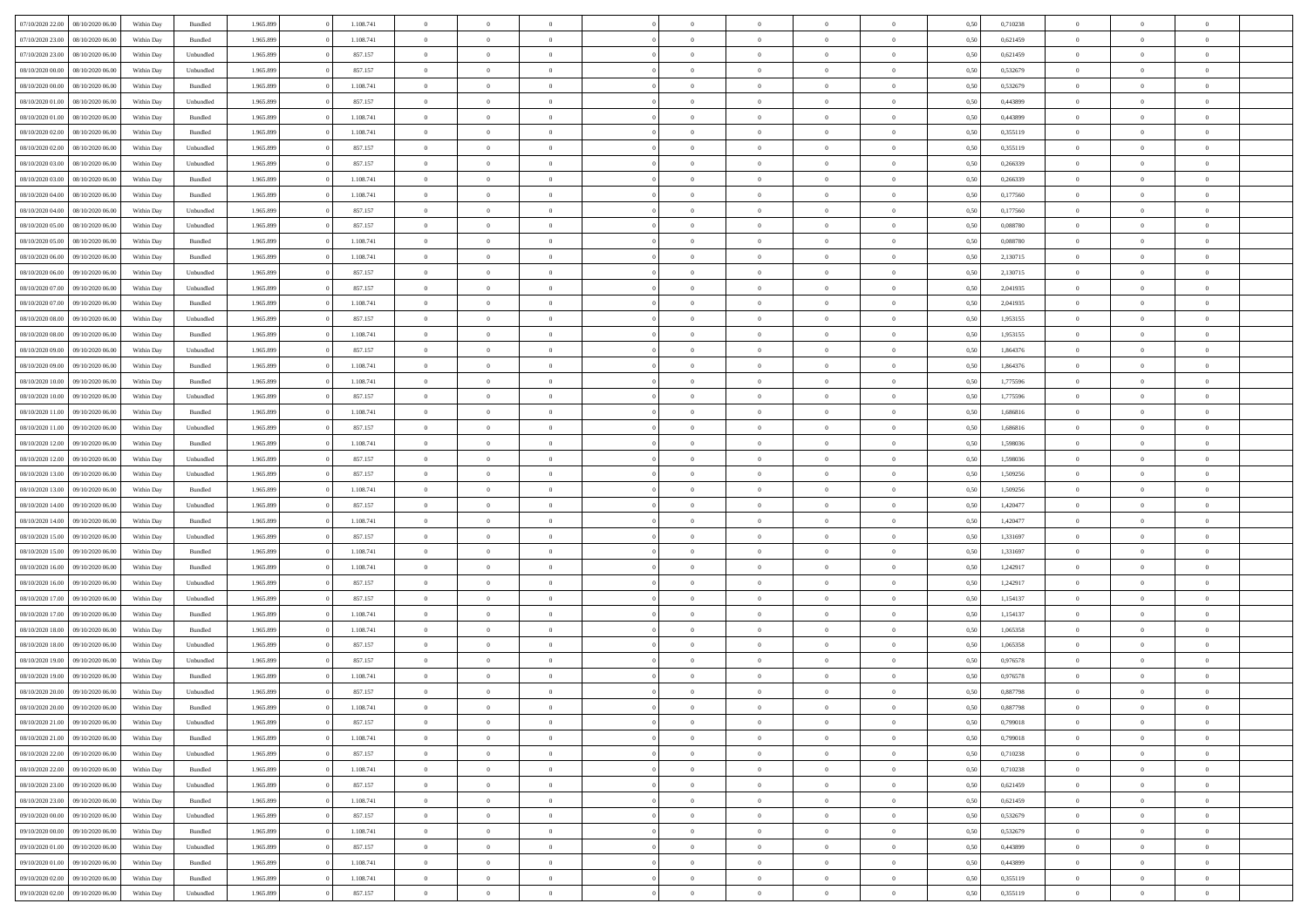|                                   |                  |            |                    |           |           | $\overline{0}$ |                |                |                | $\Omega$       | $\theta$       | $\theta$       |      |          | $\theta$       |                | $\theta$       |  |
|-----------------------------------|------------------|------------|--------------------|-----------|-----------|----------------|----------------|----------------|----------------|----------------|----------------|----------------|------|----------|----------------|----------------|----------------|--|
| 07/10/2020 22.00                  | 08/10/2020 06:00 | Within Dav | Bundled            | 1.965.899 | 1.108.741 |                | $\theta$       |                | $\Omega$       |                |                |                | 0.50 | 0,710238 |                | $\theta$       |                |  |
| 07/10/2020 23.00                  | 08/10/2020 06.00 | Within Day | Bundled            | 1.965.899 | 1.108.741 | $\overline{0}$ | $\theta$       | $\overline{0}$ | $\overline{0}$ | $\bf{0}$       | $\overline{0}$ | $\bf{0}$       | 0,50 | 0,621459 | $\theta$       | $\overline{0}$ | $\overline{0}$ |  |
| 07/10/2020 23.00                  | 08/10/2020 06:00 | Within Day | Unbundled          | 1.965.899 | 857.157   | $\overline{0}$ | $\overline{0}$ | $\overline{0}$ | $\overline{0}$ | $\bf{0}$       | $\overline{0}$ | $\bf{0}$       | 0,50 | 0,621459 | $\overline{0}$ | $\overline{0}$ | $\overline{0}$ |  |
| 08/10/2020 00:00                  | 08/10/2020 06:00 | Within Dav | Unbundled          | 1.965.899 | 857.157   | $\overline{0}$ | $\overline{0}$ | $\overline{0}$ | $\overline{0}$ | $\bf{0}$       | $\overline{0}$ | $\overline{0}$ | 0.50 | 0.532679 | $\theta$       | $\theta$       | $\overline{0}$ |  |
|                                   |                  |            |                    |           |           |                |                |                |                |                |                |                |      |          |                |                |                |  |
| 08/10/2020 00:00                  | 08/10/2020 06.00 | Within Day | Bundled            | 1.965.899 | 1.108.741 | $\overline{0}$ | $\theta$       | $\overline{0}$ | $\overline{0}$ | $\bf{0}$       | $\overline{0}$ | $\bf{0}$       | 0,50 | 0,532679 | $\theta$       | $\overline{0}$ | $\overline{0}$ |  |
| 08/10/2020 01.00                  | 08/10/2020 06.00 | Within Day | Unbundled          | 1.965.899 | 857.157   | $\overline{0}$ | $\overline{0}$ | $\overline{0}$ | $\bf{0}$       | $\overline{0}$ | $\overline{0}$ | $\mathbf{0}$   | 0,50 | 0,443899 | $\overline{0}$ | $\overline{0}$ | $\bf{0}$       |  |
| 08/10/2020 01:00                  | 08/10/2020 06:00 | Within Dav | Bundled            | 1.965.899 | 1.108.741 | $\overline{0}$ | $\overline{0}$ | $\overline{0}$ | $\overline{0}$ | $\overline{0}$ | $\overline{0}$ | $\overline{0}$ | 0.50 | 0,443899 | $\theta$       | $\overline{0}$ | $\overline{0}$ |  |
| 08/10/2020 02.00                  | 08/10/2020 06.00 | Within Day | Bundled            | 1.965.899 | 1.108.741 | $\overline{0}$ | $\theta$       | $\overline{0}$ | $\overline{0}$ | $\bf{0}$       | $\overline{0}$ | $\bf{0}$       | 0,50 | 0,355119 | $\,$ 0 $\,$    | $\theta$       | $\overline{0}$ |  |
| 08/10/2020 02.00                  | 08/10/2020 06.00 | Within Day | Unbundled          | 1.965.899 | 857.157   | $\overline{0}$ | $\overline{0}$ | $\overline{0}$ | $\bf{0}$       | $\bf{0}$       | $\bf{0}$       | $\bf{0}$       | 0,50 | 0,355119 | $\,0\,$        | $\overline{0}$ | $\overline{0}$ |  |
|                                   |                  |            |                    |           |           |                |                |                |                |                |                |                |      |          |                |                |                |  |
| 08/10/2020 03:00                  | 08/10/2020 06:00 | Within Dav | Unbundled          | 1.965.899 | 857.157   | $\overline{0}$ | $\overline{0}$ | $\overline{0}$ | $\overline{0}$ | $\overline{0}$ | $\overline{0}$ | $\overline{0}$ | 0.50 | 0,266339 | $\theta$       | $\overline{0}$ | $\overline{0}$ |  |
| 08/10/2020 03:00                  | 08/10/2020 06.00 | Within Day | Bundled            | 1.965.899 | 1.108.741 | $\overline{0}$ | $\theta$       | $\overline{0}$ | $\overline{0}$ | $\bf{0}$       | $\overline{0}$ | $\bf{0}$       | 0,50 | 0,266339 | $\,$ 0 $\,$    | $\overline{0}$ | $\overline{0}$ |  |
| 08/10/2020 04.00                  | 08/10/2020 06.00 | Within Day | Bundled            | 1.965.899 | 1.108.741 | $\overline{0}$ | $\overline{0}$ | $\overline{0}$ | $\bf{0}$       | $\bf{0}$       | $\bf{0}$       | $\bf{0}$       | 0,50 | 0,177560 | $\overline{0}$ | $\overline{0}$ | $\bf{0}$       |  |
| 08/10/2020 04:00                  | 08/10/2020 06:00 | Within Day | Unbundled          | 1.965.899 | 857.157   | $\overline{0}$ | $\overline{0}$ | $\overline{0}$ | $\overline{0}$ | $\bf{0}$       | $\overline{0}$ | $\overline{0}$ | 0.50 | 0,177560 | $\theta$       | $\theta$       | $\overline{0}$ |  |
| 08/10/2020 05:00                  | 08/10/2020 06.00 | Within Day | Unbundled          | 1.965.899 | 857.157   | $\overline{0}$ | $\theta$       | $\overline{0}$ | $\overline{0}$ | $\bf{0}$       | $\overline{0}$ | $\bf{0}$       | 0,50 | 0,088780 | $\,$ 0 $\,$    | $\overline{0}$ | $\overline{0}$ |  |
|                                   |                  |            |                    |           |           |                |                |                |                |                |                |                |      |          |                |                |                |  |
| 08/10/2020 05.00                  | 08/10/2020 06.00 | Within Day | Bundled            | 1.965.899 | 1.108.741 | $\overline{0}$ | $\overline{0}$ | $\overline{0}$ | $\bf{0}$       | $\overline{0}$ | $\overline{0}$ | $\mathbf{0}$   | 0,50 | 0,088780 | $\overline{0}$ | $\overline{0}$ | $\bf{0}$       |  |
| 08/10/2020 06:00                  | 09/10/2020 06:00 | Within Dav | Bundled            | 1.965.899 | 1.108.741 | $\overline{0}$ | $\overline{0}$ | $\overline{0}$ | $\overline{0}$ | $\overline{0}$ | $\overline{0}$ | $\overline{0}$ | 0.50 | 2,130715 | $\theta$       | $\overline{0}$ | $\overline{0}$ |  |
| 08/10/2020 06.00                  | 09/10/2020 06.00 | Within Day | Unbundled          | 1.965.899 | 857.157   | $\overline{0}$ | $\theta$       | $\overline{0}$ | $\overline{0}$ | $\bf{0}$       | $\overline{0}$ | $\bf{0}$       | 0,50 | 2,130715 | $\,$ 0 $\,$    | $\theta$       | $\overline{0}$ |  |
| 08/10/2020 07.00                  | 09/10/2020 06.00 | Within Day | Unbundled          | 1.965.899 | 857.157   | $\overline{0}$ | $\overline{0}$ | $\overline{0}$ | $\bf{0}$       | $\bf{0}$       | $\bf{0}$       | $\mathbf{0}$   | 0,50 | 2,041935 | $\,0\,$        | $\overline{0}$ | $\overline{0}$ |  |
| 08/10/2020 07:00                  | 09/10/2020 06:00 | Within Day | Bundled            | 1.965.899 | 1.108.741 | $\overline{0}$ | $\overline{0}$ | $\overline{0}$ | $\overline{0}$ | $\overline{0}$ | $\overline{0}$ | $\overline{0}$ | 0.50 | 2,041935 | $\theta$       | $\overline{0}$ | $\overline{0}$ |  |
|                                   |                  |            |                    |           |           |                |                |                |                |                |                |                |      |          |                |                |                |  |
| 08/10/2020 08:00                  | 09/10/2020 06.00 | Within Day | Unbundled          | 1.965.899 | 857.157   | $\overline{0}$ | $\theta$       | $\overline{0}$ | $\overline{0}$ | $\bf{0}$       | $\overline{0}$ | $\bf{0}$       | 0,50 | 1,953155 | $\,$ 0 $\,$    | $\overline{0}$ | $\overline{0}$ |  |
| 08/10/2020 08:00                  | 09/10/2020 06.00 | Within Day | Bundled            | 1.965.899 | 1.108.741 | $\overline{0}$ | $\overline{0}$ | $\overline{0}$ | $\bf{0}$       | $\bf{0}$       | $\bf{0}$       | $\bf{0}$       | 0,50 | 1,953155 | $\bf{0}$       | $\overline{0}$ | $\overline{0}$ |  |
| 08/10/2020 09:00                  | 09/10/2020 06:00 | Within Day | Unbundled          | 1.965.899 | 857.157   | $\overline{0}$ | $\overline{0}$ | $\overline{0}$ | $\overline{0}$ | $\overline{0}$ | $\overline{0}$ | $\overline{0}$ | 0.50 | 1,864376 | $\overline{0}$ | $\overline{0}$ | $\overline{0}$ |  |
| 08/10/2020 09:00                  | 09/10/2020 06.00 | Within Day | Bundled            | 1.965.899 | 1.108.741 | $\overline{0}$ | $\theta$       | $\overline{0}$ | $\overline{0}$ | $\bf{0}$       | $\overline{0}$ | $\bf{0}$       | 0,50 | 1,864376 | $\,$ 0 $\,$    | $\overline{0}$ | $\overline{0}$ |  |
| 08/10/2020 10:00                  | 09/10/2020 06.00 | Within Day | Bundled            | 1.965.899 | 1.108.741 | $\overline{0}$ | $\overline{0}$ | $\overline{0}$ | $\bf{0}$       | $\overline{0}$ | $\overline{0}$ | $\mathbf{0}$   | 0,50 | 1,775596 | $\overline{0}$ | $\overline{0}$ | $\bf{0}$       |  |
|                                   |                  |            |                    |           |           |                |                |                |                |                |                |                |      |          |                |                |                |  |
| 08/10/2020 10:00                  | 09/10/2020 06:00 | Within Dav | Unbundled          | 1.965.899 | 857.157   | $\overline{0}$ | $\overline{0}$ | $\overline{0}$ | $\overline{0}$ | $\overline{0}$ | $\overline{0}$ | $\overline{0}$ | 0.50 | 1,775596 | $\overline{0}$ | $\overline{0}$ | $\overline{0}$ |  |
| 08/10/2020 11:00                  | 09/10/2020 06.00 | Within Day | Bundled            | 1.965.899 | 1.108.741 | $\overline{0}$ | $\theta$       | $\overline{0}$ | $\overline{0}$ | $\bf{0}$       | $\overline{0}$ | $\bf{0}$       | 0,50 | 1,686816 | $\,$ 0 $\,$    | $\theta$       | $\overline{0}$ |  |
| 08/10/2020 11:00                  | 09/10/2020 06.00 | Within Day | Unbundled          | 1.965.899 | 857.157   | $\overline{0}$ | $\overline{0}$ | $\overline{0}$ | $\bf{0}$       | $\bf{0}$       | $\bf{0}$       | $\bf{0}$       | 0,50 | 1,686816 | $\,0\,$        | $\overline{0}$ | $\overline{0}$ |  |
| 08/10/2020 12:00                  | 09/10/2020 06:00 | Within Day | Bundled            | 1.965.899 | 1.108.741 | $\overline{0}$ | $\overline{0}$ | $\overline{0}$ | $\overline{0}$ | $\overline{0}$ | $\overline{0}$ | $\overline{0}$ | 0.50 | 1,598036 | $\theta$       | $\overline{0}$ | $\overline{0}$ |  |
| 08/10/2020 12:00                  | 09/10/2020 06.00 | Within Day | Unbundled          | 1.965.899 | 857.157   | $\overline{0}$ | $\theta$       | $\overline{0}$ | $\overline{0}$ | $\bf{0}$       | $\overline{0}$ | $\bf{0}$       | 0,50 | 1,598036 | $\,$ 0 $\,$    | $\overline{0}$ | $\overline{0}$ |  |
|                                   |                  |            |                    |           |           |                |                |                |                |                |                |                |      |          |                |                |                |  |
| 08/10/2020 13:00                  | 09/10/2020 06.00 | Within Day | Unbundled          | 1.965.899 | 857.157   | $\overline{0}$ | $\overline{0}$ | $\overline{0}$ | $\bf{0}$       | $\bf{0}$       | $\bf{0}$       | $\bf{0}$       | 0,50 | 1,509256 | $\overline{0}$ | $\overline{0}$ | $\overline{0}$ |  |
| 08/10/2020 13:00                  | 09/10/2020 06.00 | Within Day | Bundled            | 1.965.899 | 1.108.741 | $\overline{0}$ | $\Omega$       | $\overline{0}$ | $\Omega$       | $\Omega$       | $\overline{0}$ | $\overline{0}$ | 0,50 | 1,509256 | $\,0\,$        | $\theta$       | $\theta$       |  |
| 08/10/2020 14:00                  | 09/10/2020 06.00 | Within Day | Unbundled          | 1.965.899 | 857.157   | $\overline{0}$ | $\theta$       | $\overline{0}$ | $\overline{0}$ | $\bf{0}$       | $\overline{0}$ | $\bf{0}$       | 0,50 | 1,420477 | $\,$ 0 $\,$    | $\theta$       | $\overline{0}$ |  |
| 08/10/2020 14:00                  | 09/10/2020 06.00 | Within Day | Bundled            | 1.965.899 | 1.108.741 | $\overline{0}$ | $\overline{0}$ | $\overline{0}$ | $\bf{0}$       | $\bf{0}$       | $\overline{0}$ | $\mathbf{0}$   | 0,50 | 1,420477 | $\bf{0}$       | $\overline{0}$ | $\bf{0}$       |  |
| 08/10/2020 15:00                  | 09/10/2020 06:00 | Within Day | Unbundled          | 1.965.899 | 857.157   | $\overline{0}$ | $\Omega$       | $\Omega$       | $\Omega$       | $\overline{0}$ | $\overline{0}$ | $\overline{0}$ | 0.50 | 1,331697 | $\,0\,$        | $\theta$       | $\theta$       |  |
|                                   |                  |            |                    |           |           |                |                |                |                |                |                |                |      |          |                |                |                |  |
| 08/10/2020 15:00                  | 09/10/2020 06.00 | Within Day | Bundled            | 1.965.899 | 1.108.741 | $\overline{0}$ | $\theta$       | $\overline{0}$ | $\overline{0}$ | $\bf{0}$       | $\overline{0}$ | $\bf{0}$       | 0,50 | 1,331697 | $\,$ 0 $\,$    | $\overline{0}$ | $\overline{0}$ |  |
| 08/10/2020 16.00                  | 09/10/2020 06.00 | Within Day | Bundled            | 1.965.899 | 1.108.741 | $\overline{0}$ | $\overline{0}$ | $\overline{0}$ | $\bf{0}$       | $\bf{0}$       | $\bf{0}$       | $\bf{0}$       | 0,50 | 1,242917 | $\bf{0}$       | $\overline{0}$ | $\overline{0}$ |  |
| 08/10/2020 16:00                  | 09/10/2020 06:00 | Within Day | Unbundled          | 1.965.899 | 857.157   | $\overline{0}$ | $\Omega$       | $\overline{0}$ | $\Omega$       | $\overline{0}$ | $\overline{0}$ | $\overline{0}$ | 0.50 | 1,242917 | $\,$ 0 $\,$    | $\theta$       | $\theta$       |  |
| 08/10/2020 17:00                  | 09/10/2020 06.00 | Within Day | Unbundled          | 1.965.899 | 857.157   | $\overline{0}$ | $\theta$       | $\overline{0}$ | $\overline{0}$ | $\,$ 0         | $\overline{0}$ | $\bf{0}$       | 0,50 | 1,154137 | $\,$ 0 $\,$    | $\overline{0}$ | $\overline{0}$ |  |
| 08/10/2020 17.00                  | 09/10/2020 06.00 | Within Day | Bundled            | 1.965.899 | 1.108.741 | $\overline{0}$ | $\overline{0}$ | $\overline{0}$ | $\bf{0}$       | $\bf{0}$       | $\bf{0}$       | $\bf{0}$       | 0,50 | 1,154137 | $\bf{0}$       | $\overline{0}$ | $\overline{0}$ |  |
|                                   |                  |            |                    |           |           |                |                |                |                |                |                |                |      |          |                |                |                |  |
| 08/10/2020 18:00                  | 09/10/2020 06.00 | Within Day | Bundled            | 1.965.899 | 1.108.741 | $\overline{0}$ | $\Omega$       | $\overline{0}$ | $\Omega$       | $\overline{0}$ | $\overline{0}$ | $\overline{0}$ | 0,50 | 1,065358 | $\,0\,$        | $\theta$       | $\theta$       |  |
| 08/10/2020 18:00                  | 09/10/2020 06.00 | Within Day | Unbundled          | 1.965.899 | 857.157   | $\overline{0}$ | $\theta$       | $\overline{0}$ | $\overline{0}$ | $\,$ 0         | $\overline{0}$ | $\bf{0}$       | 0,50 | 1,065358 | $\,$ 0 $\,$    | $\overline{0}$ | $\overline{0}$ |  |
| 08/10/2020 19:00                  | 09/10/2020 06.00 | Within Day | Unbundled          | 1.965.899 | 857.157   | $\overline{0}$ | $\overline{0}$ | $\overline{0}$ | $\bf{0}$       | $\bf{0}$       | $\bf{0}$       | $\mathbf{0}$   | 0,50 | 0,976578 | $\bf{0}$       | $\overline{0}$ | $\bf{0}$       |  |
| 08/10/2020 19:00                  | 09/10/2020 06:00 | Within Day | Bundled            | 1.965.899 | 1.108.741 | $\overline{0}$ | $\Omega$       | $\Omega$       | $\Omega$       | $\Omega$       | $\Omega$       | $\overline{0}$ | 0.50 | 0.976578 | $\theta$       | $\theta$       | $\theta$       |  |
| 08/10/2020 20:00                  | 09/10/2020 06.00 | Within Day | Unbundled          | 1.965.899 | 857.157   | $\overline{0}$ | $\overline{0}$ | $\overline{0}$ | $\bf{0}$       | $\,$ 0         | $\bf{0}$       | $\bf{0}$       | 0,50 | 0,887798 | $\,0\,$        | $\,$ 0 $\,$    | $\overline{0}$ |  |
| 08/10/2020 20:00 09/10/2020 06:00 |                  | Within Day | $\mathbf B$ undled | 1.965.899 | 1.108.741 | $\bf{0}$       | $\bf{0}$       |                |                | $\bf{0}$       |                |                | 0,50 | 0,887798 | $\bf{0}$       | $\overline{0}$ |                |  |
|                                   |                  |            |                    |           |           |                |                |                |                |                |                |                |      |          |                |                |                |  |
| 08/10/2020 21:00                  | 09/10/2020 06:00 | Within Day | Unbundled          | 1.965.899 | 857.157   | $\overline{0}$ | $\overline{0}$ | $\overline{0}$ | $\Omega$       | $\overline{0}$ | $\overline{0}$ | $\overline{0}$ | 0.50 | 0,799018 | $\theta$       | $\theta$       | $\theta$       |  |
| 08/10/2020 21:00                  | 09/10/2020 06.00 | Within Day | Bundled            | 1.965.899 | 1.108.741 | $\overline{0}$ | $\,$ 0         | $\overline{0}$ | $\bf{0}$       | $\,$ 0 $\,$    | $\overline{0}$ | $\,$ 0 $\,$    | 0,50 | 0,799018 | $\,$ 0 $\,$    | $\,$ 0 $\,$    | $\,$ 0         |  |
| 08/10/2020 22.00                  | 09/10/2020 06.00 | Within Day | Unbundled          | 1.965.899 | 857.157   | $\overline{0}$ | $\overline{0}$ | $\overline{0}$ | $\overline{0}$ | $\overline{0}$ | $\overline{0}$ | $\mathbf{0}$   | 0,50 | 0,710238 | $\overline{0}$ | $\bf{0}$       | $\bf{0}$       |  |
| 08/10/2020 22.00                  | 09/10/2020 06.00 | Within Day | $\mathbf B$ undled | 1.965.899 | 1.108.741 | $\overline{0}$ | $\overline{0}$ | $\overline{0}$ | $\Omega$       | $\overline{0}$ | $\overline{0}$ | $\overline{0}$ | 0,50 | 0,710238 | $\overline{0}$ | $\theta$       | $\overline{0}$ |  |
| 08/10/2020 23.00                  | 09/10/2020 06.00 | Within Day | Unbundled          | 1.965.899 | 857.157   | $\overline{0}$ | $\,$ 0         | $\overline{0}$ | $\bf{0}$       | $\,$ 0 $\,$    | $\overline{0}$ | $\mathbf{0}$   | 0,50 | 0,621459 | $\,$ 0 $\,$    | $\overline{0}$ | $\overline{0}$ |  |
|                                   |                  |            |                    |           |           |                |                |                |                |                |                |                |      |          |                |                |                |  |
| 08/10/2020 23.00                  | 09/10/2020 06.00 | Within Day | Bundled            | 1.965.899 | 1.108.741 | $\overline{0}$ | $\overline{0}$ | $\overline{0}$ | $\overline{0}$ | $\overline{0}$ | $\overline{0}$ | $\mathbf{0}$   | 0,50 | 0,621459 | $\overline{0}$ | $\overline{0}$ | $\bf{0}$       |  |
| 09/10/2020 00:00                  | 09/10/2020 06:00 | Within Day | Unbundled          | 1.965.899 | 857.157   | $\overline{0}$ | $\overline{0}$ | $\overline{0}$ | $\overline{0}$ | $\overline{0}$ | $\overline{0}$ | $\bf{0}$       | 0.50 | 0,532679 | $\overline{0}$ | $\theta$       | $\overline{0}$ |  |
| 09/10/2020 00.00                  | 09/10/2020 06.00 | Within Day | Bundled            | 1.965.899 | 1.108.741 | $\overline{0}$ | $\,$ 0         | $\overline{0}$ | $\bf{0}$       | $\bf{0}$       | $\bf{0}$       | $\bf{0}$       | 0,50 | 0,532679 | $\,$ 0 $\,$    | $\overline{0}$ | $\overline{0}$ |  |
| 09/10/2020 01:00                  | 09/10/2020 06.00 | Within Day | Unbundled          | 1.965.899 | 857.157   | $\overline{0}$ | $\bf{0}$       | $\overline{0}$ | $\overline{0}$ | $\overline{0}$ | $\overline{0}$ | $\mathbf{0}$   | 0,50 | 0,443899 | $\overline{0}$ | $\overline{0}$ | $\bf{0}$       |  |
|                                   | 09/10/2020 06:00 |            |                    |           | 1.108.741 |                | $\overline{0}$ | $\overline{0}$ | $\Omega$       | $\overline{0}$ | $\overline{0}$ |                |      | 0.443899 |                | $\overline{0}$ | $\overline{0}$ |  |
| 09/10/2020 01.00                  |                  | Within Day | Bundled            | 1.965.899 |           | $\overline{0}$ |                |                |                |                |                | $\overline{0}$ | 0.50 |          | $\overline{0}$ |                |                |  |
| 09/10/2020 02.00                  | 09/10/2020 06.00 | Within Day | Bundled            | 1.965.899 | 1.108.741 | $\overline{0}$ | $\bf{0}$       | $\overline{0}$ | $\bf{0}$       | $\bf{0}$       | $\bf{0}$       | $\mathbf{0}$   | 0,50 | 0,355119 | $\,$ 0 $\,$    | $\,$ 0 $\,$    | $\bf{0}$       |  |
| 09/10/2020 02.00                  | 09/10/2020 06.00 | Within Day | Unbundled          | 1.965.899 | 857.157   | $\overline{0}$ | $\overline{0}$ | $\overline{0}$ | $\overline{0}$ | $\overline{0}$ | $\bf{0}$       | $\mathbf{0}$   | 0,50 | 0,355119 | $\overline{0}$ | $\bf{0}$       | $\overline{0}$ |  |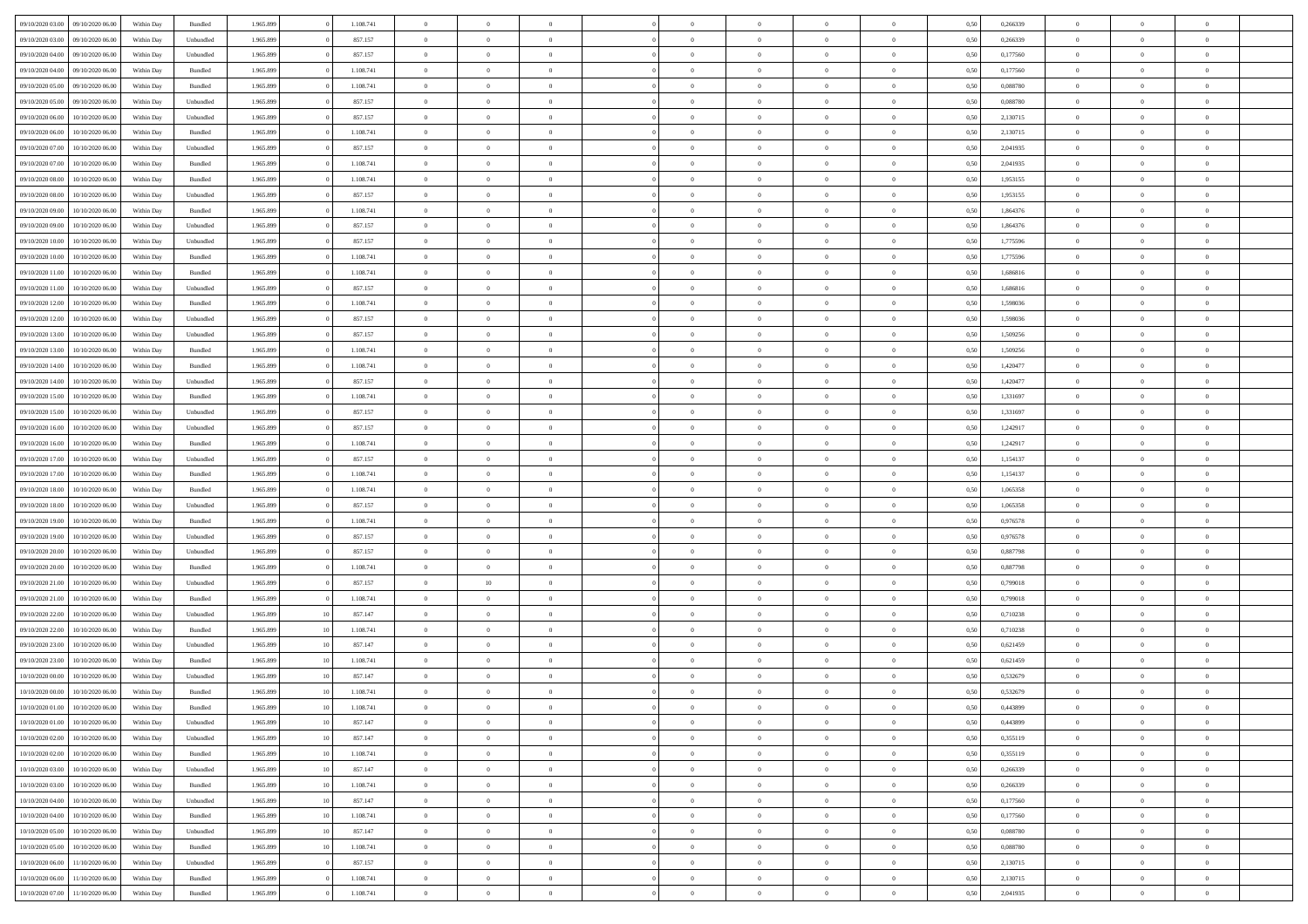| 09/10/2020 03:00 | 09/10/2020 06:00 | Within Dav | Bundled            | 1.965.899 |                 | 1.108.741 | $\overline{0}$ | $\Omega$       |                | $\Omega$       | $\Omega$       | $\theta$       | $\theta$       | 0,50 | 0,266339 | $\theta$       | $\theta$       | $\theta$       |  |
|------------------|------------------|------------|--------------------|-----------|-----------------|-----------|----------------|----------------|----------------|----------------|----------------|----------------|----------------|------|----------|----------------|----------------|----------------|--|
| 09/10/2020 03.00 | 09/10/2020 06.00 | Within Day | Unbundled          | 1.965.899 |                 | 857.157   | $\overline{0}$ | $\theta$       | $\overline{0}$ | $\overline{0}$ | $\bf{0}$       | $\overline{0}$ | $\bf{0}$       | 0,50 | 0,266339 | $\theta$       | $\overline{0}$ | $\overline{0}$ |  |
| 09/10/2020 04.00 | 09/10/2020 06.00 | Within Day | Unbundled          | 1.965.899 |                 | 857.157   | $\overline{0}$ | $\overline{0}$ | $\overline{0}$ | $\bf{0}$       | $\bf{0}$       | $\bf{0}$       | $\bf{0}$       | 0,50 | 0,177560 | $\overline{0}$ | $\overline{0}$ | $\overline{0}$ |  |
|                  |                  |            |                    |           |                 |           |                |                |                |                |                |                |                |      |          | $\theta$       |                |                |  |
| 09/10/2020 04:00 | 09/10/2020 06:00 | Within Dav | Bundled            | 1.965.899 |                 | 1.108.741 | $\overline{0}$ | $\overline{0}$ | $\overline{0}$ | $\overline{0}$ | $\bf{0}$       | $\overline{0}$ | $\overline{0}$ | 0.50 | 0,177560 |                | $\theta$       | $\overline{0}$ |  |
| 09/10/2020 05:00 | 09/10/2020 06.00 | Within Day | Bundled            | 1.965.899 |                 | 1.108.741 | $\overline{0}$ | $\theta$       | $\overline{0}$ | $\overline{0}$ | $\bf{0}$       | $\overline{0}$ | $\bf{0}$       | 0,50 | 0,088780 | $\theta$       | $\overline{0}$ | $\overline{0}$ |  |
| 09/10/2020 05.00 | 09/10/2020 06.00 | Within Day | Unbundled          | 1.965.899 |                 | 857.157   | $\overline{0}$ | $\overline{0}$ | $\overline{0}$ | $\bf{0}$       | $\overline{0}$ | $\overline{0}$ | $\mathbf{0}$   | 0,50 | 0,088780 | $\overline{0}$ | $\overline{0}$ | $\bf{0}$       |  |
| 09/10/2020 06:00 | 10/10/2020 06:00 | Within Dav | Unbundled          | 1.965.899 |                 | 857.157   | $\overline{0}$ | $\overline{0}$ | $\overline{0}$ | $\overline{0}$ | $\overline{0}$ | $\overline{0}$ | $\overline{0}$ | 0.50 | 2,130715 | $\theta$       | $\overline{0}$ | $\overline{0}$ |  |
|                  |                  |            |                    |           |                 |           |                |                |                |                |                |                |                |      |          |                |                |                |  |
| 09/10/2020 06.00 | 10/10/2020 06:00 | Within Day | Bundled            | 1.965.899 |                 | 1.108.741 | $\overline{0}$ | $\theta$       | $\overline{0}$ | $\overline{0}$ | $\bf{0}$       | $\overline{0}$ | $\bf{0}$       | 0,50 | 2,130715 | $\theta$       | $\theta$       | $\overline{0}$ |  |
| 09/10/2020 07.00 | 10/10/2020 06:00 | Within Day | Unbundled          | 1.965.899 |                 | 857.157   | $\overline{0}$ | $\overline{0}$ | $\overline{0}$ | $\bf{0}$       | $\bf{0}$       | $\bf{0}$       | $\bf{0}$       | 0,50 | 2,041935 | $\,0\,$        | $\overline{0}$ | $\overline{0}$ |  |
| 09/10/2020 07:00 | 10/10/2020 06:00 | Within Dav | Bundled            | 1.965.899 |                 | 1.108.741 | $\overline{0}$ | $\overline{0}$ | $\overline{0}$ | $\overline{0}$ | $\overline{0}$ | $\overline{0}$ | $\overline{0}$ | 0.50 | 2,041935 | $\theta$       | $\overline{0}$ | $\overline{0}$ |  |
|                  |                  |            |                    |           |                 |           |                |                |                |                |                |                |                |      |          |                |                |                |  |
| 09/10/2020 08:00 | 10/10/2020 06:00 | Within Day | Bundled            | 1.965.899 |                 | 1.108.741 | $\overline{0}$ | $\theta$       | $\overline{0}$ | $\overline{0}$ | $\bf{0}$       | $\overline{0}$ | $\bf{0}$       | 0,50 | 1,953155 | $\,$ 0 $\,$    | $\overline{0}$ | $\overline{0}$ |  |
| 09/10/2020 08:00 | 10/10/2020 06:00 | Within Day | Unbundled          | 1.965.899 |                 | 857.157   | $\overline{0}$ | $\overline{0}$ | $\overline{0}$ | $\bf{0}$       | $\bf{0}$       | $\bf{0}$       | $\bf{0}$       | 0,50 | 1,953155 | $\bf{0}$       | $\overline{0}$ | $\overline{0}$ |  |
| 09/10/2020 09:00 | 10/10/2020 06:00 | Within Dav | Bundled            | 1.965.899 |                 | 1.108.741 | $\overline{0}$ | $\overline{0}$ | $\overline{0}$ | $\overline{0}$ | $\bf{0}$       | $\overline{0}$ | $\overline{0}$ | 0.50 | 1,864376 | $\theta$       | $\theta$       | $\overline{0}$ |  |
| 09/10/2020 09:00 | 10/10/2020 06:00 | Within Day | Unbundled          | 1.965.899 |                 | 857.157   | $\overline{0}$ | $\theta$       | $\overline{0}$ | $\overline{0}$ | $\bf{0}$       | $\overline{0}$ | $\bf{0}$       | 0,50 | 1,864376 | $\,$ 0 $\,$    | $\overline{0}$ | $\overline{0}$ |  |
|                  |                  |            |                    |           |                 |           |                |                |                |                |                |                |                |      |          |                |                |                |  |
| 09/10/2020 10:00 | 10/10/2020 06:00 | Within Day | Unbundled          | 1.965.899 |                 | 857.157   | $\overline{0}$ | $\overline{0}$ | $\overline{0}$ | $\bf{0}$       | $\overline{0}$ | $\overline{0}$ | $\mathbf{0}$   | 0,50 | 1,775596 | $\bf{0}$       | $\overline{0}$ | $\bf{0}$       |  |
| 09/10/2020 10:00 | 10/10/2020 06:00 | Within Dav | Bundled            | 1.965.899 |                 | 1.108.741 | $\overline{0}$ | $\overline{0}$ | $\overline{0}$ | $\overline{0}$ | $\overline{0}$ | $\overline{0}$ | $\overline{0}$ | 0.50 | 1,775596 | $\overline{0}$ | $\overline{0}$ | $\overline{0}$ |  |
| 09/10/2020 11:00 | 10/10/2020 06:00 | Within Day | Bundled            | 1.965.899 |                 | 1.108.741 | $\overline{0}$ | $\theta$       | $\overline{0}$ | $\overline{0}$ | $\bf{0}$       | $\overline{0}$ | $\bf{0}$       | 0,50 | 1,686816 | $\,$ 0 $\,$    | $\theta$       | $\overline{0}$ |  |
| 09/10/2020 11:00 | 10/10/2020 06:00 | Within Day | Unbundled          | 1.965.899 |                 | 857.157   | $\overline{0}$ | $\overline{0}$ | $\overline{0}$ | $\bf{0}$       | $\bf{0}$       | $\bf{0}$       | $\bf{0}$       | 0,50 | 1,686816 | $\,0\,$        | $\overline{0}$ | $\overline{0}$ |  |
|                  |                  |            |                    |           |                 |           |                |                |                |                |                |                |                |      |          |                |                |                |  |
| 09/10/2020 12:00 | 10/10/2020 06:00 | Within Dav | Bundled            | 1.965.899 |                 | 1.108.741 | $\overline{0}$ | $\overline{0}$ | $\overline{0}$ | $\overline{0}$ | $\overline{0}$ | $\overline{0}$ | $\overline{0}$ | 0.50 | 1,598036 | $\theta$       | $\overline{0}$ | $\overline{0}$ |  |
| 09/10/2020 12:00 | 10/10/2020 06:00 | Within Day | Unbundled          | 1.965.899 |                 | 857.157   | $\overline{0}$ | $\theta$       | $\overline{0}$ | $\overline{0}$ | $\bf{0}$       | $\overline{0}$ | $\bf{0}$       | 0,50 | 1,598036 | $\,$ 0 $\,$    | $\overline{0}$ | $\overline{0}$ |  |
| 09/10/2020 13:00 | 10/10/2020 06:00 | Within Day | Unbundled          | 1.965.899 |                 | 857.157   | $\overline{0}$ | $\overline{0}$ | $\overline{0}$ | $\bf{0}$       | $\bf{0}$       | $\bf{0}$       | $\bf{0}$       | 0,50 | 1,509256 | $\overline{0}$ | $\overline{0}$ | $\overline{0}$ |  |
|                  | 10/10/2020 06:00 |            | Bundled            | 1.965.899 |                 | 1.108.741 | $\overline{0}$ | $\overline{0}$ | $\overline{0}$ |                | $\bf{0}$       | $\overline{0}$ |                | 0.50 | 1,509256 | $\theta$       | $\overline{0}$ | $\overline{0}$ |  |
| 09/10/2020 13:00 |                  | Within Day |                    |           |                 |           |                |                |                | $\overline{0}$ |                |                | $\overline{0}$ |      |          |                |                |                |  |
| 09/10/2020 14:00 | 10/10/2020 06:00 | Within Day | Bundled            | 1.965.899 |                 | 1.108.741 | $\overline{0}$ | $\theta$       | $\overline{0}$ | $\overline{0}$ | $\bf{0}$       | $\overline{0}$ | $\bf{0}$       | 0,50 | 1,420477 | $\,$ 0 $\,$    | $\overline{0}$ | $\overline{0}$ |  |
| 09/10/2020 14:00 | 10/10/2020 06:00 | Within Day | Unbundled          | 1.965.899 |                 | 857.157   | $\overline{0}$ | $\overline{0}$ | $\overline{0}$ | $\bf{0}$       | $\overline{0}$ | $\overline{0}$ | $\mathbf{0}$   | 0,50 | 1,420477 | $\overline{0}$ | $\overline{0}$ | $\bf{0}$       |  |
| 09/10/2020 15:00 | 10/10/2020 06:00 | Within Dav | Bundled            | 1.965.899 |                 | 1.108.741 | $\overline{0}$ | $\overline{0}$ | $\overline{0}$ | $\overline{0}$ | $\overline{0}$ | $\overline{0}$ | $\overline{0}$ | 0.50 | 1,331697 | $\overline{0}$ | $\overline{0}$ | $\overline{0}$ |  |
|                  |                  |            |                    |           |                 |           |                |                |                |                |                |                |                |      |          |                |                |                |  |
| 09/10/2020 15:00 | 10/10/2020 06:00 | Within Day | Unbundled          | 1.965.899 |                 | 857.157   | $\overline{0}$ | $\theta$       | $\overline{0}$ | $\overline{0}$ | $\bf{0}$       | $\overline{0}$ | $\bf{0}$       | 0,50 | 1,331697 | $\,$ 0 $\,$    | $\theta$       | $\overline{0}$ |  |
| 09/10/2020 16:00 | 10/10/2020 06:00 | Within Day | Unbundled          | 1.965.899 |                 | 857.157   | $\overline{0}$ | $\overline{0}$ | $\overline{0}$ | $\bf{0}$       | $\bf{0}$       | $\bf{0}$       | $\bf{0}$       | 0,50 | 1,242917 | $\,0\,$        | $\overline{0}$ | $\overline{0}$ |  |
| 09/10/2020 16:00 | 10/10/2020 06:00 | Within Day | Bundled            | 1.965.899 |                 | 1.108.741 | $\overline{0}$ | $\overline{0}$ | $\overline{0}$ | $\overline{0}$ | $\overline{0}$ | $\overline{0}$ | $\overline{0}$ | 0.50 | 1,242917 | $\theta$       | $\overline{0}$ | $\overline{0}$ |  |
| 09/10/2020 17.00 | 10/10/2020 06:00 | Within Day | Unbundled          | 1.965.899 |                 | 857.157   | $\overline{0}$ | $\theta$       | $\overline{0}$ | $\overline{0}$ | $\bf{0}$       | $\overline{0}$ | $\bf{0}$       | 0,50 | 1,154137 | $\,$ 0 $\,$    | $\overline{0}$ | $\overline{0}$ |  |
|                  |                  |            |                    |           |                 |           |                |                |                |                |                |                |                |      |          |                |                |                |  |
| 09/10/2020 17:00 | 10/10/2020 06:00 | Within Day | Bundled            | 1.965.899 |                 | 1.108.741 | $\overline{0}$ | $\overline{0}$ | $\overline{0}$ | $\bf{0}$       | $\bf{0}$       | $\bf{0}$       | $\bf{0}$       | 0,50 | 1,154137 | $\overline{0}$ | $\overline{0}$ | $\overline{0}$ |  |
| 09/10/2020 18:00 | 10/10/2020 06:00 | Within Day | Bundled            | 1.965.899 |                 | 1.108.741 | $\overline{0}$ | $\Omega$       | $\overline{0}$ | $\Omega$       | $\Omega$       | $\Omega$       | $\overline{0}$ | 0,50 | 1,065358 | $\,0\,$        | $\theta$       | $\theta$       |  |
| 09/10/2020 18:00 | 10/10/2020 06:00 | Within Day | Unbundled          | 1.965.899 |                 | 857.157   | $\overline{0}$ | $\theta$       | $\overline{0}$ | $\overline{0}$ | $\bf{0}$       | $\overline{0}$ | $\bf{0}$       | 0,50 | 1,065358 | $\,$ 0 $\,$    | $\overline{0}$ | $\overline{0}$ |  |
| 09/10/2020 19:00 | 10/10/2020 06:00 | Within Day | Bundled            | 1.965.899 |                 | 1.108.741 | $\overline{0}$ | $\overline{0}$ | $\overline{0}$ | $\bf{0}$       | $\bf{0}$       | $\overline{0}$ | $\mathbf{0}$   | 0,50 | 0,976578 | $\overline{0}$ | $\overline{0}$ | $\bf{0}$       |  |
|                  |                  |            |                    |           |                 |           |                |                |                |                |                |                |                |      |          |                |                |                |  |
| 09/10/2020 19:00 | 10/10/2020 06:00 | Within Day | Unbundled          | 1.965.899 |                 | 857.157   | $\overline{0}$ | $\Omega$       | $\Omega$       | $\Omega$       | $\bf{0}$       | $\overline{0}$ | $\overline{0}$ | 0.50 | 0,976578 | $\,0\,$        | $\theta$       | $\theta$       |  |
| 09/10/2020 20.00 | 10/10/2020 06:00 | Within Day | Unbundled          | 1.965.899 |                 | 857.157   | $\overline{0}$ | $\theta$       | $\overline{0}$ | $\overline{0}$ | $\bf{0}$       | $\overline{0}$ | $\bf{0}$       | 0,50 | 0,887798 | $\,$ 0 $\,$    | $\overline{0}$ | $\overline{0}$ |  |
| 09/10/2020 20:00 | 10/10/2020 06:00 | Within Day | Bundled            | 1.965.899 |                 | 1.108.741 | $\overline{0}$ | $\overline{0}$ | $\overline{0}$ | $\bf{0}$       | $\bf{0}$       | $\bf{0}$       | $\bf{0}$       | 0,50 | 0,887798 | $\bf{0}$       | $\overline{0}$ | $\overline{0}$ |  |
|                  | 10/10/2020 06:00 |            |                    |           |                 |           | $\overline{0}$ | 10             | $\overline{0}$ | $\Omega$       | $\theta$       | $\theta$       | $\overline{0}$ | 0.50 |          | $\,$ 0 $\,$    | $\theta$       | $\theta$       |  |
| 09/10/2020 21.00 |                  | Within Day | Unbundled          | 1.965.899 |                 | 857.157   |                |                |                |                |                |                |                |      | 0,799018 |                |                |                |  |
| 09/10/2020 21.00 | 10/10/2020 06:00 | Within Day | Bundled            | 1.965.899 |                 | 1.108.741 | $\overline{0}$ | $\theta$       | $\overline{0}$ | $\overline{0}$ | $\bf{0}$       | $\overline{0}$ | $\bf{0}$       | 0,50 | 0,799018 | $\,$ 0 $\,$    | $\overline{0}$ | $\overline{0}$ |  |
| 09/10/2020 22.00 | 10/10/2020 06:00 | Within Day | Unbundled          | 1.965.899 | $\overline{10}$ | 857.147   | $\overline{0}$ | $\overline{0}$ | $\overline{0}$ | $\bf{0}$       | $\bf{0}$       | $\bf{0}$       | $\bf{0}$       | 0,50 | 0,710238 | $\bf{0}$       | $\overline{0}$ | $\overline{0}$ |  |
| 09/10/2020 22.00 | 10/10/2020 06:00 | Within Day | Bundled            | 1.965.899 |                 | 1.108.741 | $\overline{0}$ | $\Omega$       | $\overline{0}$ | $\Omega$       | $\overline{0}$ | $\overline{0}$ | $\overline{0}$ | 0.50 | 0,710238 | $\,0\,$        | $\theta$       | $\theta$       |  |
|                  |                  |            |                    |           |                 |           | $\overline{0}$ | $\theta$       | $\overline{0}$ | $\overline{0}$ |                | $\overline{0}$ |                |      |          | $\,$ 0 $\,$    | $\overline{0}$ | $\overline{0}$ |  |
| 09/10/2020 23.00 | 10/10/2020 06:00 | Within Day | Unbundled          | 1.965.899 |                 | 857.147   |                |                |                |                | $\,$ 0         |                | $\bf{0}$       | 0,50 | 0,621459 |                |                |                |  |
| 09/10/2020 23.00 | 10/10/2020 06:00 | Within Day | Bundled            | 1.965.899 | $\mathbf{10}$   | 1.108.741 | $\overline{0}$ | $\overline{0}$ | $\overline{0}$ | $\bf{0}$       | $\bf{0}$       | $\bf{0}$       | $\mathbf{0}$   | 0,50 | 0,621459 | $\bf{0}$       | $\overline{0}$ | $\bf{0}$       |  |
| 10/10/2020 00:00 | 10/10/2020 06:00 | Within Day | Unbundled          | 1.965.899 |                 | 857.147   | $\overline{0}$ | $\Omega$       | $\Omega$       | $\Omega$       | $\Omega$       | $\Omega$       | $\overline{0}$ | 0.50 | 0.532679 | $\theta$       | $\theta$       | $\theta$       |  |
| 10/10/2020 00:00 | 10/10/2020 06:00 | Within Day | Bundled            | 1.965.899 |                 | 1.108.741 | $\overline{0}$ | $\overline{0}$ | $\overline{0}$ | $\bf{0}$       | $\,$ 0         | $\bf{0}$       | $\bf{0}$       | 0,50 | 0,532679 | $\,0\,$        | $\,0\,$        | $\overline{0}$ |  |
|                  |                  |            |                    |           |                 |           |                |                |                |                |                |                |                |      |          |                |                |                |  |
| 10/10/2020 01:00 | 10/10/2020 06:00 | Within Day | $\mathbf B$ undled | 1.965.899 |                 | 1.108.741 | $\bf{0}$       | $\bf{0}$       |                |                | $\bf{0}$       |                |                | 0,50 | 0,443899 | $\bf{0}$       | $\overline{0}$ |                |  |
| 10/10/2020 01:00 | 10/10/2020 06:00 | Within Day | Unbundled          | 1.965.899 | $\overline{10}$ | 857.147   | $\overline{0}$ | $\overline{0}$ | $\overline{0}$ | $\Omega$       | $\overline{0}$ | $\overline{0}$ | $\overline{0}$ | 0.50 | 0.443899 | $\theta$       | $\theta$       | $\theta$       |  |
| 10/10/2020 02:00 | 10/10/2020 06.00 | Within Day | Unbundled          | 1.965.899 | $\mathbf{10}$   | 857.147   | $\overline{0}$ | $\bf{0}$       | $\overline{0}$ | $\bf{0}$       | $\,$ 0 $\,$    | $\overline{0}$ | $\,$ 0 $\,$    | 0,50 | 0,355119 | $\,$ 0 $\,$    | $\,$ 0 $\,$    | $\,$ 0         |  |
| 10/10/2020 02:00 | 10/10/2020 06:00 | Within Day | Bundled            | 1.965.899 | -10             | 1.108.741 | $\overline{0}$ | $\overline{0}$ | $\overline{0}$ | $\overline{0}$ | $\overline{0}$ | $\overline{0}$ | $\mathbf{0}$   | 0,50 | 0,355119 | $\overline{0}$ | $\bf{0}$       | $\bf{0}$       |  |
|                  |                  |            |                    |           |                 |           |                |                |                |                |                |                |                |      |          |                |                |                |  |
| 10/10/2020 03:00 | 10/10/2020 06:00 | Within Day | Unbundled          | 1.965.899 | $\mathbf{10}$   | 857.147   | $\overline{0}$ | $\overline{0}$ | $\overline{0}$ | $\Omega$       | $\overline{0}$ | $\overline{0}$ | $\overline{0}$ | 0,50 | 0,266339 | $\bf{0}$       | $\theta$       | $\overline{0}$ |  |
| 10/10/2020 03:00 | 10/10/2020 06.00 | Within Day | Bundled            | 1.965.899 | $\mathbf{10}$   | 1.108.741 | $\overline{0}$ | $\,$ 0         | $\overline{0}$ | $\bf{0}$       | $\,$ 0 $\,$    | $\overline{0}$ | $\mathbf{0}$   | 0,50 | 0,266339 | $\,$ 0 $\,$    | $\overline{0}$ | $\overline{0}$ |  |
| 10/10/2020 04:00 | 10/10/2020 06:00 | Within Day | Unbundled          | 1.965.899 | -10             | 857.147   | $\overline{0}$ | $\overline{0}$ | $\overline{0}$ | $\overline{0}$ | $\overline{0}$ | $\overline{0}$ | $\mathbf{0}$   | 0,50 | 0,177560 | $\overline{0}$ | $\overline{0}$ | $\bf{0}$       |  |
| 10/10/2020 04:00 | 10/10/2020 06:00 | Within Day | Bundled            | 1.965.899 | -10             | 1.108.741 | $\overline{0}$ | $\overline{0}$ | $\overline{0}$ | $\overline{0}$ | $\overline{0}$ | $\overline{0}$ | $\bf{0}$       | 0.50 |          | $\overline{0}$ | $\theta$       | $\overline{0}$ |  |
|                  |                  |            |                    |           |                 |           |                |                |                |                |                |                |                |      | 0,177560 |                |                |                |  |
| 10/10/2020 05:00 | 10/10/2020 06.00 | Within Day | Unbundled          | 1.965.899 | $\mathbf{10}$   | 857.147   | $\overline{0}$ | $\,$ 0         | $\overline{0}$ | $\bf{0}$       | $\bf{0}$       | $\bf{0}$       | $\bf{0}$       | 0,50 | 0,088780 | $\,$ 0 $\,$    | $\overline{0}$ | $\overline{0}$ |  |
| 10/10/2020 05:00 | 10/10/2020 06:00 | Within Day | Bundled            | 1.965.899 | $\mathbf{10}$   | 1.108.741 | $\overline{0}$ | $\bf{0}$       | $\overline{0}$ | $\overline{0}$ | $\overline{0}$ | $\overline{0}$ | $\mathbf{0}$   | 0,50 | 0,088780 | $\overline{0}$ | $\overline{0}$ | $\bf{0}$       |  |
| 10/10/2020 06:00 | 11/10/2020 06.00 | Within Day | Unbundled          | 1.965.899 |                 | 857.157   | $\overline{0}$ | $\overline{0}$ | $\overline{0}$ | $\Omega$       | $\overline{0}$ | $\overline{0}$ | $\overline{0}$ | 0.50 | 2,130715 | $\overline{0}$ | $\overline{0}$ | $\overline{0}$ |  |
|                  |                  |            |                    |           |                 |           |                |                |                |                |                |                |                |      |          |                |                |                |  |
| 10/10/2020 06:00 | 11/10/2020 06.00 | Within Day | Bundled            | 1.965.899 |                 | 1.108.741 | $\overline{0}$ | $\bf{0}$       | $\overline{0}$ | $\bf{0}$       | $\bf{0}$       | $\bf{0}$       | $\mathbf{0}$   | 0,50 | 2,130715 | $\,$ 0 $\,$    | $\,$ 0 $\,$    | $\bf{0}$       |  |
| 10/10/2020 07:00 | 11/10/2020 06.00 | Within Day | Bundled            | 1.965.899 |                 | 1.108.741 | $\overline{0}$ | $\overline{0}$ | $\overline{0}$ | $\overline{0}$ | $\overline{0}$ | $\bf{0}$       | $\mathbf{0}$   | 0,50 | 2,041935 | $\overline{0}$ | $\bf{0}$       | $\overline{0}$ |  |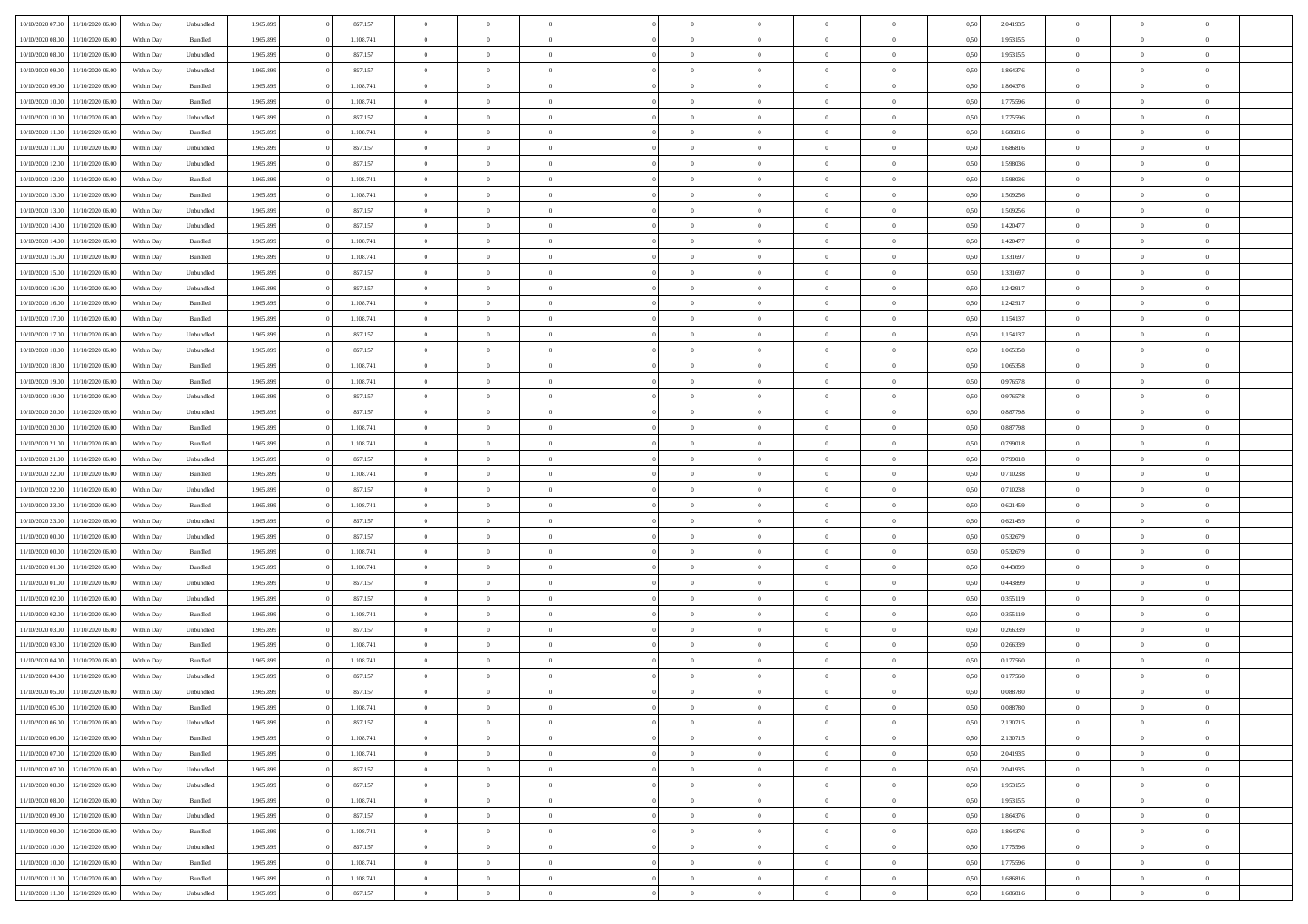|                  |                  |            |                    |           |           | $\overline{0}$ |                |                |                | $\Omega$       | $\theta$       | $\theta$       |      |          | $\theta$       |                | $\theta$       |  |
|------------------|------------------|------------|--------------------|-----------|-----------|----------------|----------------|----------------|----------------|----------------|----------------|----------------|------|----------|----------------|----------------|----------------|--|
| 10/10/2020 07:00 | 11/10/2020 06:00 | Within Dav | Unbundled          | 1.965.899 | 857.157   |                | $\theta$       |                | $\Omega$       |                |                |                | 0.50 | 2,041935 |                | $\theta$       |                |  |
| 10/10/2020 08:00 | 11/10/2020 06.00 | Within Day | Bundled            | 1.965.899 | 1.108.741 | $\overline{0}$ | $\theta$       | $\overline{0}$ | $\overline{0}$ | $\bf{0}$       | $\overline{0}$ | $\bf{0}$       | 0,50 | 1,953155 | $\theta$       | $\overline{0}$ | $\overline{0}$ |  |
| 10/10/2020 08:00 | 11/10/2020 06.00 | Within Day | Unbundled          | 1.965.899 | 857.157   | $\overline{0}$ | $\overline{0}$ | $\overline{0}$ | $\bf{0}$       | $\bf{0}$       | $\bf{0}$       | $\mathbf{0}$   | 0,50 | 1,953155 | $\bf{0}$       | $\overline{0}$ | $\overline{0}$ |  |
| 10/10/2020 09:00 | 11/10/2020 06:00 | Within Dav | Unbundled          | 1.965.899 | 857.157   | $\overline{0}$ | $\overline{0}$ | $\overline{0}$ | $\overline{0}$ | $\bf{0}$       | $\overline{0}$ | $\overline{0}$ | 0.50 | 1,864376 | $\theta$       | $\theta$       | $\overline{0}$ |  |
| 10/10/2020 09:00 | 11/10/2020 06.00 | Within Day | Bundled            | 1.965.899 | 1.108.741 | $\overline{0}$ | $\theta$       | $\overline{0}$ | $\overline{0}$ | $\bf{0}$       | $\overline{0}$ | $\bf{0}$       | 0,50 | 1,864376 | $\,$ 0 $\,$    | $\overline{0}$ | $\overline{0}$ |  |
|                  |                  |            |                    |           |           |                |                |                |                |                |                |                |      |          |                |                |                |  |
| 10/10/2020 10:00 | 11/10/2020 06.00 | Within Day | Bundled            | 1.965.899 | 1.108.741 | $\overline{0}$ | $\overline{0}$ | $\overline{0}$ | $\bf{0}$       | $\overline{0}$ | $\overline{0}$ | $\mathbf{0}$   | 0,50 | 1,775596 | $\overline{0}$ | $\overline{0}$ | $\bf{0}$       |  |
| 10/10/2020 10:00 | 11/10/2020 06.00 | Within Dav | Unbundled          | 1.965.899 | 857.157   | $\overline{0}$ | $\overline{0}$ | $\overline{0}$ | $\overline{0}$ | $\overline{0}$ | $\overline{0}$ | $\overline{0}$ | 0.50 | 1,775596 | $\theta$       | $\overline{0}$ | $\overline{0}$ |  |
| 10/10/2020 11:00 | 11/10/2020 06.00 | Within Day | Bundled            | 1.965.899 | 1.108.741 | $\overline{0}$ | $\theta$       | $\overline{0}$ | $\overline{0}$ | $\bf{0}$       | $\overline{0}$ | $\bf{0}$       | 0,50 | 1,686816 | $\,$ 0 $\,$    | $\theta$       | $\overline{0}$ |  |
| 10/10/2020 11:00 | 11/10/2020 06.00 | Within Day | Unbundled          | 1.965.899 | 857.157   | $\overline{0}$ | $\overline{0}$ | $\overline{0}$ | $\bf{0}$       | $\bf{0}$       | $\bf{0}$       | $\bf{0}$       | 0,50 | 1,686816 | $\,0\,$        | $\overline{0}$ | $\overline{0}$ |  |
| 10/10/2020 12:00 | 11/10/2020 06:00 | Within Dav | Unbundled          | 1.965.899 | 857.157   | $\overline{0}$ | $\overline{0}$ | $\overline{0}$ | $\overline{0}$ | $\overline{0}$ | $\overline{0}$ | $\overline{0}$ | 0.50 | 1,598036 | $\theta$       | $\overline{0}$ | $\overline{0}$ |  |
| 10/10/2020 12:00 | 11/10/2020 06.00 | Within Day | Bundled            | 1.965.899 | 1.108.741 | $\overline{0}$ | $\theta$       | $\overline{0}$ | $\overline{0}$ | $\bf{0}$       | $\overline{0}$ | $\bf{0}$       | 0,50 | 1,598036 | $\,$ 0 $\,$    | $\overline{0}$ | $\overline{0}$ |  |
| 10/10/2020 13:00 | 11/10/2020 06.00 | Within Day | Bundled            | 1.965.899 | 1.108.741 | $\overline{0}$ | $\overline{0}$ | $\overline{0}$ | $\bf{0}$       | $\bf{0}$       | $\bf{0}$       | $\mathbf{0}$   | 0,50 | 1,509256 | $\overline{0}$ | $\overline{0}$ | $\bf{0}$       |  |
|                  |                  |            |                    |           |           |                |                |                |                |                |                |                |      |          | $\theta$       |                |                |  |
| 10/10/2020 13:00 | 11/10/2020 06:00 | Within Day | Unbundled          | 1.965.899 | 857.157   | $\overline{0}$ | $\overline{0}$ | $\overline{0}$ | $\overline{0}$ | $\bf{0}$       | $\overline{0}$ | $\overline{0}$ | 0.50 | 1,509256 |                | $\theta$       | $\overline{0}$ |  |
| 10/10/2020 14:00 | 11/10/2020 06.00 | Within Day | Unbundled          | 1.965.899 | 857.157   | $\overline{0}$ | $\theta$       | $\overline{0}$ | $\overline{0}$ | $\bf{0}$       | $\overline{0}$ | $\bf{0}$       | 0,50 | 1,420477 | $\theta$       | $\overline{0}$ | $\overline{0}$ |  |
| 10/10/2020 14:00 | 11/10/2020 06.00 | Within Day | Bundled            | 1.965.899 | 1.108.741 | $\overline{0}$ | $\overline{0}$ | $\overline{0}$ | $\bf{0}$       | $\overline{0}$ | $\overline{0}$ | $\mathbf{0}$   | 0,50 | 1,420477 | $\overline{0}$ | $\overline{0}$ | $\bf{0}$       |  |
| 10/10/2020 15:00 | 11/10/2020 06:00 | Within Dav | Bundled            | 1.965.899 | 1.108.741 | $\overline{0}$ | $\overline{0}$ | $\overline{0}$ | $\overline{0}$ | $\overline{0}$ | $\overline{0}$ | $\overline{0}$ | 0.50 | 1,331697 | $\theta$       | $\overline{0}$ | $\overline{0}$ |  |
| 10/10/2020 15:00 | 11/10/2020 06.00 | Within Day | Unbundled          | 1.965.899 | 857.157   | $\overline{0}$ | $\theta$       | $\overline{0}$ | $\overline{0}$ | $\bf{0}$       | $\overline{0}$ | $\bf{0}$       | 0,50 | 1,331697 | $\,$ 0 $\,$    | $\theta$       | $\overline{0}$ |  |
| 10/10/2020 16:00 | 11/10/2020 06.00 | Within Day | Unbundled          | 1.965.899 | 857.157   | $\overline{0}$ | $\overline{0}$ | $\overline{0}$ | $\bf{0}$       | $\bf{0}$       | $\bf{0}$       | $\mathbf{0}$   | 0,50 | 1,242917 | $\bf{0}$       | $\overline{0}$ | $\overline{0}$ |  |
| 10/10/2020 16:00 | 11/10/2020 06:00 | Within Day | Bundled            | 1.965.899 | 1.108.741 | $\overline{0}$ | $\overline{0}$ | $\overline{0}$ | $\overline{0}$ | $\overline{0}$ | $\overline{0}$ | $\overline{0}$ | 0.50 | 1,242917 | $\theta$       | $\overline{0}$ | $\overline{0}$ |  |
|                  |                  |            |                    |           |           |                |                |                |                |                |                |                |      |          |                |                |                |  |
| 10/10/2020 17:00 | 11/10/2020 06.00 | Within Day | Bundled            | 1.965.899 | 1.108.741 | $\overline{0}$ | $\theta$       | $\overline{0}$ | $\overline{0}$ | $\bf{0}$       | $\overline{0}$ | $\bf{0}$       | 0,50 | 1,154137 | $\,$ 0 $\,$    | $\overline{0}$ | $\overline{0}$ |  |
| 10/10/2020 17.00 | 11/10/2020 06.00 | Within Day | Unbundled          | 1.965.899 | 857.157   | $\overline{0}$ | $\overline{0}$ | $\overline{0}$ | $\bf{0}$       | $\bf{0}$       | $\bf{0}$       | $\bf{0}$       | 0,50 | 1,154137 | $\bf{0}$       | $\overline{0}$ | $\overline{0}$ |  |
| 10/10/2020 18:00 | 11/10/2020 06:00 | Within Day | Unbundled          | 1.965.899 | 857.157   | $\overline{0}$ | $\overline{0}$ | $\overline{0}$ | $\overline{0}$ | $\overline{0}$ | $\overline{0}$ | $\overline{0}$ | 0.50 | 1,065358 | $\theta$       | $\overline{0}$ | $\overline{0}$ |  |
| 10/10/2020 18:00 | 11/10/2020 06.00 | Within Day | Bundled            | 1.965.899 | 1.108.741 | $\overline{0}$ | $\theta$       | $\overline{0}$ | $\overline{0}$ | $\bf{0}$       | $\overline{0}$ | $\bf{0}$       | 0,50 | 1,065358 | $\,$ 0 $\,$    | $\overline{0}$ | $\overline{0}$ |  |
| 10/10/2020 19:00 | 11/10/2020 06.00 | Within Day | Bundled            | 1.965.899 | 1.108.741 | $\overline{0}$ | $\overline{0}$ | $\overline{0}$ | $\bf{0}$       | $\overline{0}$ | $\overline{0}$ | $\mathbf{0}$   | 0,50 | 0,976578 | $\bf{0}$       | $\overline{0}$ | $\bf{0}$       |  |
| 10/10/2020 19:00 | 11/10/2020 06.00 | Within Dav | Unbundled          | 1.965.899 | 857.157   | $\overline{0}$ | $\overline{0}$ | $\overline{0}$ | $\overline{0}$ | $\overline{0}$ | $\overline{0}$ | $\overline{0}$ | 0.50 | 0,976578 | $\overline{0}$ | $\overline{0}$ | $\overline{0}$ |  |
| 10/10/2020 20:00 | 11/10/2020 06.00 | Within Day | Unbundled          | 1.965.899 | 857.157   | $\overline{0}$ | $\theta$       | $\overline{0}$ | $\overline{0}$ | $\bf{0}$       | $\overline{0}$ | $\bf{0}$       | 0,50 | 0,887798 | $\theta$       | $\theta$       | $\overline{0}$ |  |
|                  |                  |            |                    |           |           |                |                |                |                |                |                |                |      |          |                |                |                |  |
| 10/10/2020 20:00 | 11/10/2020 06.00 | Within Day | Bundled            | 1.965.899 | 1.108.741 | $\overline{0}$ | $\overline{0}$ | $\overline{0}$ | $\bf{0}$       | $\bf{0}$       | $\bf{0}$       | $\bf{0}$       | 0,50 | 0,887798 | $\,0\,$        | $\overline{0}$ | $\overline{0}$ |  |
| 10/10/2020 21:00 | 11/10/2020 06:00 | Within Day | Bundled            | 1.965.899 | 1.108.741 | $\overline{0}$ | $\overline{0}$ | $\overline{0}$ | $\overline{0}$ | $\overline{0}$ | $\overline{0}$ | $\overline{0}$ | 0.50 | 0,799018 | $\theta$       | $\overline{0}$ | $\overline{0}$ |  |
| 10/10/2020 21:00 | 11/10/2020 06.00 | Within Day | Unbundled          | 1.965.899 | 857.157   | $\overline{0}$ | $\theta$       | $\overline{0}$ | $\overline{0}$ | $\bf{0}$       | $\overline{0}$ | $\bf{0}$       | 0,50 | 0,799018 | $\,$ 0 $\,$    | $\overline{0}$ | $\overline{0}$ |  |
| 10/10/2020 22.00 | 11/10/2020 06.00 | Within Day | Bundled            | 1.965.899 | 1.108.741 | $\overline{0}$ | $\overline{0}$ | $\overline{0}$ | $\bf{0}$       | $\bf{0}$       | $\bf{0}$       | $\bf{0}$       | 0,50 | 0,710238 | $\overline{0}$ | $\overline{0}$ | $\overline{0}$ |  |
| 10/10/2020 22.00 | 11/10/2020 06.00 | Within Day | Unbundled          | 1.965.899 | 857.157   | $\overline{0}$ | $\Omega$       | $\overline{0}$ | $\Omega$       | $\Omega$       | $\overline{0}$ | $\overline{0}$ | 0,50 | 0,710238 | $\,0\,$        | $\theta$       | $\theta$       |  |
| 10/10/2020 23:00 | 11/10/2020 06.00 | Within Day | Bundled            | 1.965.899 | 1.108.741 | $\overline{0}$ | $\theta$       | $\overline{0}$ | $\overline{0}$ | $\bf{0}$       | $\overline{0}$ | $\bf{0}$       | 0,50 | 0,621459 | $\,$ 0 $\,$    | $\theta$       | $\overline{0}$ |  |
|                  |                  |            |                    |           |           |                |                |                |                | $\bf{0}$       |                |                |      |          |                | $\overline{0}$ | $\bf{0}$       |  |
| 10/10/2020 23:00 | 11/10/2020 06.00 | Within Day | Unbundled          | 1.965.899 | 857.157   | $\overline{0}$ | $\overline{0}$ | $\overline{0}$ | $\bf{0}$       |                | $\overline{0}$ | $\mathbf{0}$   | 0,50 | 0,621459 | $\overline{0}$ |                |                |  |
| 11/10/2020 00:00 | 11/10/2020 06.00 | Within Day | Unbundled          | 1.965.899 | 857.157   | $\overline{0}$ | $\Omega$       | $\Omega$       | $\Omega$       | $\overline{0}$ | $\overline{0}$ | $\overline{0}$ | 0.50 | 0,532679 | $\,0\,$        | $\theta$       | $\theta$       |  |
| 11/10/2020 00:00 | 11/10/2020 06.00 | Within Day | Bundled            | 1.965.899 | 1.108.741 | $\overline{0}$ | $\theta$       | $\overline{0}$ | $\overline{0}$ | $\bf{0}$       | $\overline{0}$ | $\bf{0}$       | 0,50 | 0,532679 | $\,$ 0 $\,$    | $\overline{0}$ | $\overline{0}$ |  |
| 11/10/2020 01:00 | 11/10/2020 06.00 | Within Day | Bundled            | 1.965.899 | 1.108.741 | $\overline{0}$ | $\overline{0}$ | $\overline{0}$ | $\bf{0}$       | $\bf{0}$       | $\bf{0}$       | $\bf{0}$       | 0,50 | 0,443899 | $\,0\,$        | $\overline{0}$ | $\overline{0}$ |  |
| 11/10/2020 01:00 | 11/10/2020 06:00 | Within Day | Unbundled          | 1.965.899 | 857.157   | $\overline{0}$ | $\Omega$       | $\overline{0}$ | $\Omega$       | $\overline{0}$ | $\overline{0}$ | $\overline{0}$ | 0.50 | 0.443899 | $\,$ 0 $\,$    | $\theta$       | $\theta$       |  |
| 11/10/2020 02:00 | 11/10/2020 06.00 | Within Day | Unbundled          | 1.965.899 | 857.157   | $\overline{0}$ | $\theta$       | $\overline{0}$ | $\overline{0}$ | $\,$ 0         | $\overline{0}$ | $\bf{0}$       | 0,50 | 0,355119 | $\,$ 0 $\,$    | $\overline{0}$ | $\overline{0}$ |  |
| 11/10/2020 02.00 | 11/10/2020 06.00 | Within Day | Bundled            | 1.965.899 | 1.108.741 | $\overline{0}$ | $\overline{0}$ | $\overline{0}$ | $\bf{0}$       | $\bf{0}$       | $\bf{0}$       | $\bf{0}$       | 0,50 | 0,355119 | $\bf{0}$       | $\overline{0}$ | $\overline{0}$ |  |
| 11/10/2020 03:00 | 11/10/2020 06.00 | Within Day | Unbundled          | 1.965.899 | 857.157   | $\overline{0}$ | $\Omega$       | $\overline{0}$ | $\Omega$       | $\overline{0}$ | $\overline{0}$ | $\overline{0}$ | 0.50 | 0,266339 | $\,0\,$        | $\theta$       | $\theta$       |  |
|                  |                  |            |                    |           |           |                | $\theta$       |                |                |                |                |                |      |          |                |                |                |  |
| 11/10/2020 03:00 | 11/10/2020 06.00 | Within Day | Bundled            | 1.965.899 | 1.108.741 | $\overline{0}$ |                | $\overline{0}$ | $\overline{0}$ | $\,$ 0         | $\overline{0}$ | $\bf{0}$       | 0,50 | 0,266339 | $\,$ 0 $\,$    | $\overline{0}$ | $\overline{0}$ |  |
| 11/10/2020 04.00 | 11/10/2020 06.00 | Within Day | Bundled            | 1.965.899 | 1.108.741 | $\overline{0}$ | $\bf{0}$       | $\overline{0}$ | $\bf{0}$       | $\bf{0}$       | $\overline{0}$ | $\mathbf{0}$   | 0,50 | 0,177560 | $\bf{0}$       | $\overline{0}$ | $\bf{0}$       |  |
| 11/10/2020 04:00 | 11/10/2020 06:00 | Within Day | Unbundled          | 1.965.899 | 857.157   | $\overline{0}$ | $\Omega$       | $\Omega$       | $\Omega$       | $\Omega$       | $\Omega$       | $\overline{0}$ | 0.50 | 0,177560 | $\theta$       | $\theta$       | $\theta$       |  |
| 11/10/2020 05.00 | 11/10/2020 06:00 | Within Day | Unbundled          | 1.965.899 | 857.157   | $\bf{0}$       | $\overline{0}$ | $\overline{0}$ | $\bf{0}$       | $\,$ 0         | $\bf{0}$       | $\bf{0}$       | 0,50 | 0,088780 | $\,0\,$        | $\,$ 0 $\,$    | $\overline{0}$ |  |
| 11/10/2020 05:00 | 11/10/2020 06:00 | Within Day | $\mathbf B$ undled | 1.965.899 | 1.108.741 | $\bf{0}$       | $\bf{0}$       |                |                | $\bf{0}$       |                |                | 0,50 | 0,088780 | $\bf{0}$       | $\overline{0}$ |                |  |
| 11/10/2020 06.00 | 12/10/2020 06:00 | Within Day | Unbundled          | 1.965.899 | 857.157   | $\overline{0}$ | $\overline{0}$ | $\overline{0}$ | $\Omega$       | $\overline{0}$ | $\overline{0}$ | $\overline{0}$ | 0,50 | 2,130715 | $\theta$       | $\theta$       | $\theta$       |  |
| 11/10/2020 06:00 | 12/10/2020 06.00 | Within Day | Bundled            | 1.965.899 | 1.108.741 | $\overline{0}$ | $\bf{0}$       | $\overline{0}$ | $\bf{0}$       | $\,$ 0 $\,$    | $\overline{0}$ | $\,$ 0 $\,$    | 0,50 | 2,130715 | $\,$ 0 $\,$    | $\,$ 0 $\,$    | $\,$ 0         |  |
|                  |                  |            |                    |           |           |                |                |                |                |                |                |                |      |          |                |                |                |  |
| 11/10/2020 07.00 | 12/10/2020 06:00 | Within Day | Bundled            | 1.965.899 | 1.108.741 | $\overline{0}$ | $\overline{0}$ | $\overline{0}$ | $\overline{0}$ | $\overline{0}$ | $\overline{0}$ | $\mathbf{0}$   | 0,50 | 2,041935 | $\overline{0}$ | $\bf{0}$       | $\bf{0}$       |  |
| 11/10/2020 07:00 | 12/10/2020 06:00 | Within Day | Unbundled          | 1.965.899 | 857.157   | $\overline{0}$ | $\overline{0}$ | $\overline{0}$ | $\Omega$       | $\overline{0}$ | $\overline{0}$ | $\overline{0}$ | 0,50 | 2,041935 | $\overline{0}$ | $\theta$       | $\overline{0}$ |  |
| 11/10/2020 08:00 | 12/10/2020 06.00 | Within Day | Unbundled          | 1.965.899 | 857.157   | $\overline{0}$ | $\,$ 0         | $\overline{0}$ | $\bf{0}$       | $\,$ 0 $\,$    | $\overline{0}$ | $\mathbf{0}$   | 0,50 | 1,953155 | $\,$ 0 $\,$    | $\overline{0}$ | $\overline{0}$ |  |
| 11/10/2020 08:00 | 12/10/2020 06:00 | Within Day | Bundled            | 1.965.899 | 1.108.741 | $\overline{0}$ | $\overline{0}$ | $\overline{0}$ | $\overline{0}$ | $\overline{0}$ | $\overline{0}$ | $\mathbf{0}$   | 0,50 | 1,953155 | $\overline{0}$ | $\overline{0}$ | $\bf{0}$       |  |
| 11/10/2020 09:00 | 12/10/2020 06:00 | Within Day | Unbundled          | 1.965.899 | 857.157   | $\overline{0}$ | $\overline{0}$ | $\overline{0}$ | $\overline{0}$ | $\overline{0}$ | $\overline{0}$ | $\bf{0}$       | 0.50 | 1,864376 | $\overline{0}$ | $\theta$       | $\overline{0}$ |  |
| 11/10/2020 09:00 | 12/10/2020 06.00 | Within Day | Bundled            | 1.965.899 | 1.108.741 | $\overline{0}$ | $\,$ 0         | $\overline{0}$ | $\bf{0}$       | $\bf{0}$       | $\bf{0}$       | $\bf{0}$       | 0,50 | 1,864376 | $\,$ 0 $\,$    | $\overline{0}$ | $\overline{0}$ |  |
| 11/10/2020 10:00 | 12/10/2020 06:00 | Within Day | Unbundled          | 1.965.899 | 857.157   | $\overline{0}$ | $\bf{0}$       | $\overline{0}$ | $\overline{0}$ | $\overline{0}$ | $\overline{0}$ | $\mathbf{0}$   | 0,50 | 1,775596 | $\overline{0}$ | $\overline{0}$ | $\bf{0}$       |  |
|                  |                  |            |                    |           |           |                |                |                |                |                |                |                |      |          |                |                |                |  |
| 11/10/2020 10:00 | 12/10/2020 06:00 | Within Day | Bundled            | 1.965.899 | 1.108.741 | $\overline{0}$ | $\overline{0}$ | $\overline{0}$ | $\Omega$       | $\overline{0}$ | $\overline{0}$ | $\overline{0}$ | 0.50 | 1,775596 | $\overline{0}$ | $\overline{0}$ | $\overline{0}$ |  |
| 11/10/2020 11:00 | 12/10/2020 06.00 | Within Day | Bundled            | 1.965.899 | 1.108.741 | $\overline{0}$ | $\bf{0}$       | $\overline{0}$ | $\bf{0}$       | $\bf{0}$       | $\bf{0}$       | $\mathbf{0}$   | 0,50 | 1,686816 | $\,$ 0 $\,$    | $\,$ 0 $\,$    | $\bf{0}$       |  |
| 11/10/2020 11:00 | 12/10/2020 06.00 | Within Day | Unbundled          | 1.965.899 | 857.157   | $\overline{0}$ | $\overline{0}$ | $\overline{0}$ | $\overline{0}$ | $\overline{0}$ | $\bf{0}$       | $\mathbf{0}$   | 0,50 | 1,686816 | $\overline{0}$ | $\bf{0}$       | $\overline{0}$ |  |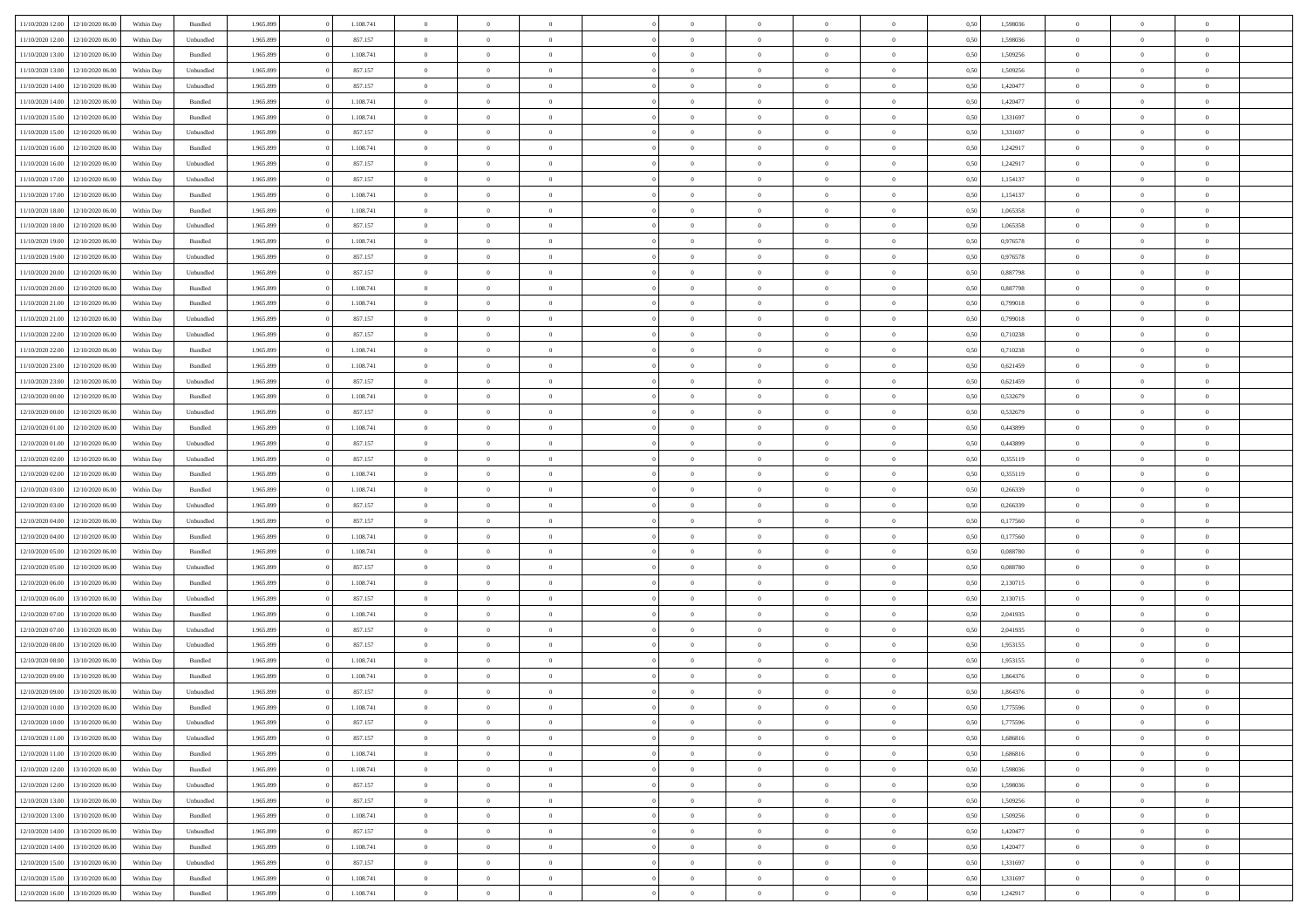|                                   | 12/10/2020 06:00                  | Within Dav | Bundled            | 1.965.899 | 1.108.741 | $\overline{0}$ | $\Omega$       |                | $\Omega$       | $\Omega$       | $\theta$       | $\theta$       | 0,50 | 1,598036 | $\theta$       | $\theta$       | $\theta$       |  |
|-----------------------------------|-----------------------------------|------------|--------------------|-----------|-----------|----------------|----------------|----------------|----------------|----------------|----------------|----------------|------|----------|----------------|----------------|----------------|--|
| 11/10/2020 12:00                  |                                   |            |                    |           |           |                |                |                |                |                |                |                |      |          |                |                |                |  |
| 11/10/2020 12:00                  | 12/10/2020 06.00                  | Within Day | Unbundled          | 1.965.899 | 857.157   | $\overline{0}$ | $\theta$       | $\overline{0}$ | $\overline{0}$ | $\bf{0}$       | $\overline{0}$ | $\bf{0}$       | 0,50 | 1,598036 | $\theta$       | $\overline{0}$ | $\overline{0}$ |  |
| 11/10/2020 13:00                  | 12/10/2020 06:00                  | Within Day | Bundled            | 1.965.899 | 1.108.741 | $\overline{0}$ | $\overline{0}$ | $\overline{0}$ | $\bf{0}$       | $\bf{0}$       | $\bf{0}$       | $\mathbf{0}$   | 0,50 | 1,509256 | $\bf{0}$       | $\overline{0}$ | $\overline{0}$ |  |
| 11/10/2020 13:00                  | 12/10/2020 06:00                  | Within Dav | Unbundled          | 1.965.899 | 857.157   | $\overline{0}$ | $\overline{0}$ | $\overline{0}$ | $\overline{0}$ | $\bf{0}$       | $\overline{0}$ | $\overline{0}$ | 0.50 | 1,509256 | $\theta$       | $\theta$       | $\overline{0}$ |  |
|                                   |                                   |            |                    |           |           |                |                |                |                |                |                |                |      |          |                |                |                |  |
| 11/10/2020 14:00                  | 12/10/2020 06.00                  | Within Day | Unbundled          | 1.965.899 | 857.157   | $\overline{0}$ | $\theta$       | $\overline{0}$ | $\overline{0}$ | $\bf{0}$       | $\overline{0}$ | $\bf{0}$       | 0,50 | 1,420477 | $\,$ 0 $\,$    | $\overline{0}$ | $\overline{0}$ |  |
| 11/10/2020 14:00                  | 12/10/2020 06:00                  | Within Day | Bundled            | 1.965.899 | 1.108.741 | $\overline{0}$ | $\overline{0}$ | $\overline{0}$ | $\bf{0}$       | $\overline{0}$ | $\overline{0}$ | $\mathbf{0}$   | 0,50 | 1,420477 | $\bf{0}$       | $\overline{0}$ | $\bf{0}$       |  |
| 11/10/2020 15:00                  | 12/10/2020 06.00                  | Within Dav | Bundled            | 1.965.899 | 1.108.741 | $\overline{0}$ | $\overline{0}$ | $\overline{0}$ | $\overline{0}$ | $\overline{0}$ | $\overline{0}$ | $\overline{0}$ | 0.50 | 1,331697 | $\theta$       | $\overline{0}$ | $\overline{0}$ |  |
| 11/10/2020 15:00                  | 12/10/2020 06.00                  | Within Day | Unbundled          | 1.965.899 | 857.157   | $\overline{0}$ | $\theta$       | $\overline{0}$ | $\overline{0}$ | $\bf{0}$       | $\overline{0}$ | $\bf{0}$       | 0,50 | 1,331697 | $\,$ 0 $\,$    | $\theta$       | $\overline{0}$ |  |
|                                   |                                   |            |                    |           |           |                | $\overline{0}$ |                |                | $\bf{0}$       |                |                |      |          | $\,0\,$        | $\overline{0}$ | $\overline{0}$ |  |
| 11/10/2020 16:00                  | 12/10/2020 06:00                  | Within Day | Bundled            | 1.965.899 | 1.108.741 | $\overline{0}$ |                | $\overline{0}$ | $\bf{0}$       |                | $\bf{0}$       | $\bf{0}$       | 0,50 | 1,242917 |                |                |                |  |
| 11/10/2020 16:00                  | 12/10/2020 06:00                  | Within Dav | Unbundled          | 1.965.899 | 857.157   | $\overline{0}$ | $\overline{0}$ | $\overline{0}$ | $\overline{0}$ | $\overline{0}$ | $\overline{0}$ | $\overline{0}$ | 0.50 | 1,242917 | $\theta$       | $\overline{0}$ | $\overline{0}$ |  |
| 11/10/2020 17:00                  | 12/10/2020 06.00                  | Within Day | Unbundled          | 1.965.899 | 857.157   | $\overline{0}$ | $\theta$       | $\overline{0}$ | $\overline{0}$ | $\bf{0}$       | $\overline{0}$ | $\bf{0}$       | 0,50 | 1,154137 | $\,$ 0 $\,$    | $\overline{0}$ | $\overline{0}$ |  |
| 11/10/2020 17.00                  | 12/10/2020 06:00                  | Within Day | Bundled            | 1.965.899 | 1.108.741 | $\overline{0}$ | $\overline{0}$ | $\overline{0}$ | $\bf{0}$       | $\bf{0}$       | $\bf{0}$       | $\mathbf{0}$   | 0,50 | 1,154137 | $\overline{0}$ | $\overline{0}$ | $\bf{0}$       |  |
| 11/10/2020 18:00                  | 12/10/2020 06:00                  | Within Day | Bundled            | 1.965.899 | 1.108.741 | $\overline{0}$ | $\overline{0}$ | $\overline{0}$ | $\overline{0}$ | $\bf{0}$       | $\overline{0}$ | $\overline{0}$ | 0.50 | 1,065358 | $\theta$       | $\theta$       | $\overline{0}$ |  |
|                                   |                                   |            |                    |           |           | $\overline{0}$ | $\theta$       |                |                |                |                |                |      |          | $\theta$       | $\overline{0}$ |                |  |
| 11/10/2020 18:00                  | 12/10/2020 06.00                  | Within Day | Unbundled          | 1.965.899 | 857.157   |                |                | $\overline{0}$ | $\overline{0}$ | $\bf{0}$       | $\overline{0}$ | $\bf{0}$       | 0,50 | 1,065358 |                |                | $\overline{0}$ |  |
| 11/10/2020 19:00                  | 12/10/2020 06:00                  | Within Day | Bundled            | 1.965.899 | 1.108.741 | $\overline{0}$ | $\overline{0}$ | $\overline{0}$ | $\bf{0}$       | $\overline{0}$ | $\overline{0}$ | $\mathbf{0}$   | 0,50 | 0,976578 | $\overline{0}$ | $\overline{0}$ | $\bf{0}$       |  |
| 11/10/2020 19:00                  | 12/10/2020 06:00                  | Within Dav | Unbundled          | 1.965.899 | 857.157   | $\overline{0}$ | $\overline{0}$ | $\overline{0}$ | $\overline{0}$ | $\overline{0}$ | $\overline{0}$ | $\overline{0}$ | 0.50 | 0,976578 | $\theta$       | $\overline{0}$ | $\overline{0}$ |  |
| 11/10/2020 20.00                  | 12/10/2020 06.00                  | Within Day | Unbundled          | 1.965.899 | 857.157   | $\overline{0}$ | $\theta$       | $\overline{0}$ | $\overline{0}$ | $\bf{0}$       | $\overline{0}$ | $\bf{0}$       | 0,50 | 0,887798 | $\,$ 0 $\,$    | $\theta$       | $\overline{0}$ |  |
| 11/10/2020 20:00                  | 12/10/2020 06:00                  | Within Day | Bundled            | 1.965.899 | 1.108.741 | $\overline{0}$ | $\overline{0}$ | $\overline{0}$ | $\bf{0}$       | $\bf{0}$       | $\bf{0}$       | $\mathbf{0}$   | 0,50 | 0,887798 | $\,0\,$        | $\overline{0}$ | $\overline{0}$ |  |
|                                   |                                   |            |                    |           |           |                |                |                |                |                |                |                |      |          |                |                |                |  |
| 11/10/2020 21:00                  | 12/10/2020 06:00                  | Within Day | Bundled            | 1.965.899 | 1.108.741 | $\overline{0}$ | $\overline{0}$ | $\overline{0}$ | $\overline{0}$ | $\overline{0}$ | $\overline{0}$ | $\overline{0}$ | 0.50 | 0,799018 | $\theta$       | $\overline{0}$ | $\overline{0}$ |  |
| 11/10/2020 21.00                  | 12/10/2020 06.00                  | Within Day | Unbundled          | 1.965.899 | 857.157   | $\overline{0}$ | $\theta$       | $\overline{0}$ | $\overline{0}$ | $\bf{0}$       | $\overline{0}$ | $\bf{0}$       | 0,50 | 0,799018 | $\,$ 0 $\,$    | $\overline{0}$ | $\overline{0}$ |  |
| 11/10/2020 22.00                  | 12/10/2020 06:00                  | Within Day | Unbundled          | 1.965.899 | 857.157   | $\overline{0}$ | $\overline{0}$ | $\overline{0}$ | $\bf{0}$       | $\bf{0}$       | $\bf{0}$       | $\bf{0}$       | 0,50 | 0,710238 | $\overline{0}$ | $\overline{0}$ | $\overline{0}$ |  |
| 11/10/2020 22.00                  | 12/10/2020 06:00                  | Within Day | Bundled            | 1.965.899 | 1.108.741 | $\overline{0}$ | $\overline{0}$ | $\overline{0}$ | $\overline{0}$ | $\bf{0}$       | $\overline{0}$ | $\overline{0}$ | 0.50 | 0,710238 | $\theta$       | $\overline{0}$ | $\overline{0}$ |  |
|                                   |                                   |            |                    |           |           |                | $\theta$       |                |                |                |                |                |      |          |                | $\overline{0}$ |                |  |
| 11/10/2020 23.00                  | 12/10/2020 06.00                  | Within Day | Bundled            | 1.965.899 | 1.108.741 | $\overline{0}$ |                | $\overline{0}$ | $\overline{0}$ | $\bf{0}$       | $\overline{0}$ | $\bf{0}$       | 0,50 | 0,621459 | $\,$ 0 $\,$    |                | $\overline{0}$ |  |
| 11/10/2020 23.00                  | 12/10/2020 06:00                  | Within Day | Unbundled          | 1.965.899 | 857.157   | $\overline{0}$ | $\overline{0}$ | $\overline{0}$ | $\bf{0}$       | $\overline{0}$ | $\overline{0}$ | $\mathbf{0}$   | 0,50 | 0,621459 | $\overline{0}$ | $\overline{0}$ | $\bf{0}$       |  |
| 12/10/2020 00:00                  | 12/10/2020 06.00                  | Within Dav | Bundled            | 1.965.899 | 1.108.741 | $\overline{0}$ | $\overline{0}$ | $\overline{0}$ | $\overline{0}$ | $\overline{0}$ | $\overline{0}$ | $\overline{0}$ | 0.50 | 0,532679 | $\overline{0}$ | $\overline{0}$ | $\overline{0}$ |  |
| 12/10/2020 00:00                  | 12/10/2020 06.00                  | Within Day | Unbundled          | 1.965.899 | 857.157   | $\overline{0}$ | $\theta$       | $\overline{0}$ | $\overline{0}$ | $\bf{0}$       | $\overline{0}$ | $\bf{0}$       | 0,50 | 0,532679 | $\,$ 0 $\,$    | $\theta$       | $\overline{0}$ |  |
| 12/10/2020 01:00                  | 12/10/2020 06:00                  | Within Day | Bundled            | 1.965.899 | 1.108.741 | $\overline{0}$ | $\overline{0}$ | $\overline{0}$ | $\bf{0}$       | $\bf{0}$       | $\bf{0}$       | $\bf{0}$       | 0,50 | 0,443899 | $\,0\,$        | $\overline{0}$ | $\overline{0}$ |  |
|                                   |                                   |            |                    |           |           |                |                |                |                |                |                |                |      |          |                |                |                |  |
| 12/10/2020 01:00                  | 12/10/2020 06:00                  | Within Day | Unbundled          | 1.965.899 | 857.157   | $\overline{0}$ | $\overline{0}$ | $\overline{0}$ | $\overline{0}$ | $\overline{0}$ | $\overline{0}$ | $\overline{0}$ | 0.50 | 0,443899 | $\theta$       | $\overline{0}$ | $\overline{0}$ |  |
| 12/10/2020 02:00                  | 12/10/2020 06.00                  | Within Day | Unbundled          | 1.965.899 | 857.157   | $\overline{0}$ | $\theta$       | $\overline{0}$ | $\overline{0}$ | $\bf{0}$       | $\overline{0}$ | $\bf{0}$       | 0,50 | 0,355119 | $\,$ 0 $\,$    | $\overline{0}$ | $\overline{0}$ |  |
| 12/10/2020 02.00                  | 12/10/2020 06:00                  | Within Day | Bundled            | 1.965.899 | 1.108.741 | $\overline{0}$ | $\overline{0}$ | $\overline{0}$ | $\bf{0}$       | $\bf{0}$       | $\bf{0}$       | $\bf{0}$       | 0,50 | 0,355119 | $\overline{0}$ | $\overline{0}$ | $\overline{0}$ |  |
| 12/10/2020 03:00                  | 12/10/2020 06.00                  | Within Day | Bundled            | 1.965.899 | 1.108.741 | $\overline{0}$ | $\Omega$       | $\overline{0}$ | $\Omega$       | $\Omega$       | $\overline{0}$ | $\overline{0}$ | 0,50 | 0,266339 | $\,0\,$        | $\theta$       | $\theta$       |  |
| 12/10/2020 03:00                  | 12/10/2020 06.00                  | Within Day | Unbundled          | 1.965.899 | 857.157   | $\overline{0}$ | $\theta$       | $\overline{0}$ | $\overline{0}$ | $\bf{0}$       | $\overline{0}$ | $\bf{0}$       | 0,50 | 0,266339 | $\,$ 0 $\,$    | $\theta$       | $\overline{0}$ |  |
|                                   |                                   |            |                    |           |           |                |                |                |                |                |                |                |      |          |                |                |                |  |
| 12/10/2020 04:00                  | 12/10/2020 06:00                  | Within Day | Unbundled          | 1.965.899 | 857.157   | $\overline{0}$ | $\overline{0}$ | $\overline{0}$ | $\bf{0}$       | $\bf{0}$       | $\overline{0}$ | $\mathbf{0}$   | 0,50 | 0,177560 | $\overline{0}$ | $\overline{0}$ | $\bf{0}$       |  |
| 12/10/2020 04:00                  | 12/10/2020 06.00                  | Within Day | Bundled            | 1.965.899 | 1.108.741 | $\overline{0}$ | $\Omega$       | $\Omega$       | $\Omega$       | $\bf{0}$       | $\overline{0}$ | $\overline{0}$ | 0.50 | 0,177560 | $\,0\,$        | $\theta$       | $\theta$       |  |
| 12/10/2020 05:00                  | 12/10/2020 06.00                  | Within Day | Bundled            | 1.965.899 | 1.108.741 | $\overline{0}$ | $\theta$       | $\overline{0}$ | $\overline{0}$ | $\bf{0}$       | $\overline{0}$ | $\bf{0}$       | 0,50 | 0,088780 | $\,$ 0 $\,$    | $\overline{0}$ | $\overline{0}$ |  |
| 12/10/2020 05:00                  | 12/10/2020 06:00                  | Within Day | Unbundled          | 1.965.899 | 857.157   | $\overline{0}$ | $\overline{0}$ | $\overline{0}$ | $\bf{0}$       | $\bf{0}$       | $\bf{0}$       | $\bf{0}$       | 0,50 | 0,088780 | $\bf{0}$       | $\overline{0}$ | $\overline{0}$ |  |
|                                   |                                   |            |                    |           |           |                |                |                |                |                |                |                |      |          |                |                |                |  |
| 12/10/2020 06:00                  | 13/10/2020 06:00                  | Within Day | Bundled            | 1.965.899 | 1.108.741 | $\overline{0}$ | $\Omega$       | $\overline{0}$ | $\Omega$       | $\overline{0}$ | $\overline{0}$ | $\overline{0}$ | 0.50 | 2,130715 | $\,$ 0 $\,$    | $\theta$       | $\theta$       |  |
| 12/10/2020 06:00                  | 13/10/2020 06.00                  | Within Day | Unbundled          | 1.965.899 | 857.157   | $\overline{0}$ | $\theta$       | $\overline{0}$ | $\overline{0}$ | $\,$ 0         | $\overline{0}$ | $\bf{0}$       | 0,50 | 2,130715 | $\,$ 0 $\,$    | $\overline{0}$ | $\overline{0}$ |  |
| 12/10/2020 07.00                  | 13/10/2020 06:00                  | Within Day | Bundled            | 1.965.899 | 1.108.741 | $\overline{0}$ | $\overline{0}$ | $\overline{0}$ | $\bf{0}$       | $\bf{0}$       | $\bf{0}$       | $\bf{0}$       | 0,50 | 2,041935 | $\bf{0}$       | $\overline{0}$ | $\overline{0}$ |  |
| 12/10/2020 07:00                  | 13/10/2020 06.00                  | Within Day | Unbundled          | 1.965.899 | 857.157   | $\overline{0}$ | $\Omega$       | $\overline{0}$ | $\Omega$       | $\overline{0}$ | $\overline{0}$ | $\overline{0}$ | 0,50 | 2,041935 | $\,0\,$        | $\theta$       | $\theta$       |  |
| 12/10/2020 08:00                  | 13/10/2020 06.00                  | Within Day | Unbundled          | 1.965.899 | 857.157   | $\overline{0}$ | $\theta$       | $\overline{0}$ | $\overline{0}$ | $\,$ 0         | $\overline{0}$ | $\bf{0}$       | 0,50 | 1,953155 | $\,$ 0 $\,$    | $\overline{0}$ | $\overline{0}$ |  |
|                                   |                                   |            |                    |           |           |                |                |                |                |                |                |                |      |          |                |                |                |  |
| 12/10/2020 08:00                  | 13/10/2020 06:00                  | Within Day | Bundled            | 1.965.899 | 1.108.741 | $\overline{0}$ | $\overline{0}$ | $\overline{0}$ | $\bf{0}$       | $\bf{0}$       | $\bf{0}$       | $\mathbf{0}$   | 0,50 | 1,953155 | $\bf{0}$       | $\overline{0}$ | $\bf{0}$       |  |
| 12/10/2020 09:00                  | 13/10/2020 06:00                  | Within Day | Bundled            | 1.965.899 | 1.108.741 | $\overline{0}$ | $\Omega$       | $\Omega$       | $\Omega$       | $\Omega$       | $\Omega$       | $\overline{0}$ | 0.50 | 1.864376 | $\theta$       | $\theta$       | $\theta$       |  |
| 12/10/2020 09:00                  | 13/10/2020 06:00                  | Within Day | Unbundled          | 1.965.899 | 857.157   | $\bf{0}$       | $\overline{0}$ | $\overline{0}$ | $\bf{0}$       | $\,$ 0         | $\bf{0}$       | $\bf{0}$       | 0,50 | 1,864376 | $\,0\,$        | $\,0\,$        | $\overline{0}$ |  |
|                                   | 12/10/2020 10:00 13/10/2020 06:00 | Within Day | $\mathbf B$ undled | 1.965.899 | 1.108.741 | $\bf{0}$       | $\bf{0}$       |                |                |                |                |                | 0,50 | 1,775596 | $\bf{0}$       | $\overline{0}$ |                |  |
| 12/10/2020 10:00                  | 13/10/2020 06:00                  | Within Day | Unbundled          | 1.965.899 | 857.157   | $\overline{0}$ | $\overline{0}$ | $\overline{0}$ | $\Omega$       | $\overline{0}$ | $\overline{0}$ | $\overline{0}$ | 0,50 | 1,775596 | $\theta$       | $\theta$       | $\theta$       |  |
|                                   |                                   |            |                    |           |           |                |                |                |                |                |                |                |      |          |                |                |                |  |
| 12/10/2020 11:00                  | 13/10/2020 06.00                  | Within Day | Unbundled          | 1.965.899 | 857.157   | $\overline{0}$ | $\bf{0}$       | $\overline{0}$ | $\bf{0}$       | $\,$ 0 $\,$    | $\overline{0}$ | $\,$ 0 $\,$    | 0,50 | 1,686816 | $\,$ 0 $\,$    | $\,$ 0 $\,$    | $\,$ 0         |  |
| 12/10/2020 11:00                  | 13/10/2020 06:00                  | Within Day | Bundled            | 1.965.899 | 1.108.741 | $\overline{0}$ | $\overline{0}$ | $\overline{0}$ | $\overline{0}$ | $\overline{0}$ | $\overline{0}$ | $\mathbf{0}$   | 0,50 | 1,686816 | $\overline{0}$ | $\bf{0}$       | $\bf{0}$       |  |
| 12/10/2020 12:00                  | 13/10/2020 06:00                  | Within Day | $\mathbf B$ undled | 1.965.899 | 1.108.741 | $\overline{0}$ | $\overline{0}$ | $\overline{0}$ | $\Omega$       | $\overline{0}$ | $\overline{0}$ | $\overline{0}$ | 0,50 | 1,598036 | $\overline{0}$ | $\,0\,$        | $\overline{0}$ |  |
| 12/10/2020 12:00                  | 13/10/2020 06.00                  | Within Day | Unbundled          | 1.965.899 | 857.157   | $\overline{0}$ | $\,$ 0         | $\overline{0}$ | $\bf{0}$       | $\,$ 0 $\,$    | $\overline{0}$ | $\,$ 0 $\,$    | 0,50 | 1,598036 | $\,$ 0 $\,$    | $\overline{0}$ | $\overline{0}$ |  |
|                                   |                                   |            |                    |           |           |                |                |                |                |                |                |                |      |          |                |                |                |  |
| 12/10/2020 13:00                  | 13/10/2020 06:00                  | Within Day | Unbundled          | 1.965.899 | 857.157   | $\overline{0}$ | $\overline{0}$ | $\overline{0}$ | $\overline{0}$ | $\overline{0}$ | $\overline{0}$ | $\mathbf{0}$   | 0,50 | 1,509256 | $\overline{0}$ | $\overline{0}$ | $\bf{0}$       |  |
| 12/10/2020 13:00                  | 13/10/2020 06:00                  | Within Day | Bundled            | 1.965.899 | 1.108.741 | $\overline{0}$ | $\overline{0}$ | $\overline{0}$ | $\overline{0}$ | $\overline{0}$ | $\overline{0}$ | $\bf{0}$       | 0.50 | 1,509256 | $\overline{0}$ | $\theta$       | $\overline{0}$ |  |
| 12/10/2020 14:00                  | 13/10/2020 06.00                  | Within Day | Unbundled          | 1.965.899 | 857.157   | $\overline{0}$ | $\,$ 0         | $\overline{0}$ | $\bf{0}$       | $\bf{0}$       | $\bf{0}$       | $\bf{0}$       | 0,50 | 1,420477 | $\,$ 0 $\,$    | $\overline{0}$ | $\overline{0}$ |  |
| 12/10/2020 14:00                  | 13/10/2020 06:00                  | Within Day | Bundled            | 1.965.899 | 1.108.741 | $\overline{0}$ | $\bf{0}$       | $\overline{0}$ | $\overline{0}$ | $\overline{0}$ | $\overline{0}$ | $\mathbf{0}$   | 0,50 | 1,420477 | $\overline{0}$ | $\overline{0}$ | $\bf{0}$       |  |
| 12/10/2020 15:00                  | 13/10/2020 06:00                  | Within Day | Unbundled          | 1.965.899 | 857.157   | $\overline{0}$ | $\overline{0}$ | $\overline{0}$ | $\Omega$       | $\overline{0}$ | $\overline{0}$ | $\overline{0}$ | 0.50 | 1,331697 | $\overline{0}$ | $\overline{0}$ | $\overline{0}$ |  |
|                                   |                                   |            |                    |           |           |                |                |                |                |                |                |                |      |          |                |                |                |  |
| 12/10/2020 15:00                  | 13/10/2020 06.00                  | Within Day | Bundled            | 1.965.899 | 1.108.741 | $\overline{0}$ | $\bf{0}$       | $\overline{0}$ | $\bf{0}$       | $\bf{0}$       | $\bf{0}$       | $\mathbf{0}$   | 0,50 | 1,331697 | $\,$ 0 $\,$    | $\,$ 0 $\,$    | $\bf{0}$       |  |
| 12/10/2020 16:00 13/10/2020 06:00 |                                   | Within Day | Bundled            | 1.965.899 | 1.108.741 | $\overline{0}$ | $\overline{0}$ | $\overline{0}$ | $\overline{0}$ | $\overline{0}$ | $\bf{0}$       | $\mathbf{0}$   | 0,50 | 1,242917 | $\overline{0}$ | $\bf{0}$       | $\overline{0}$ |  |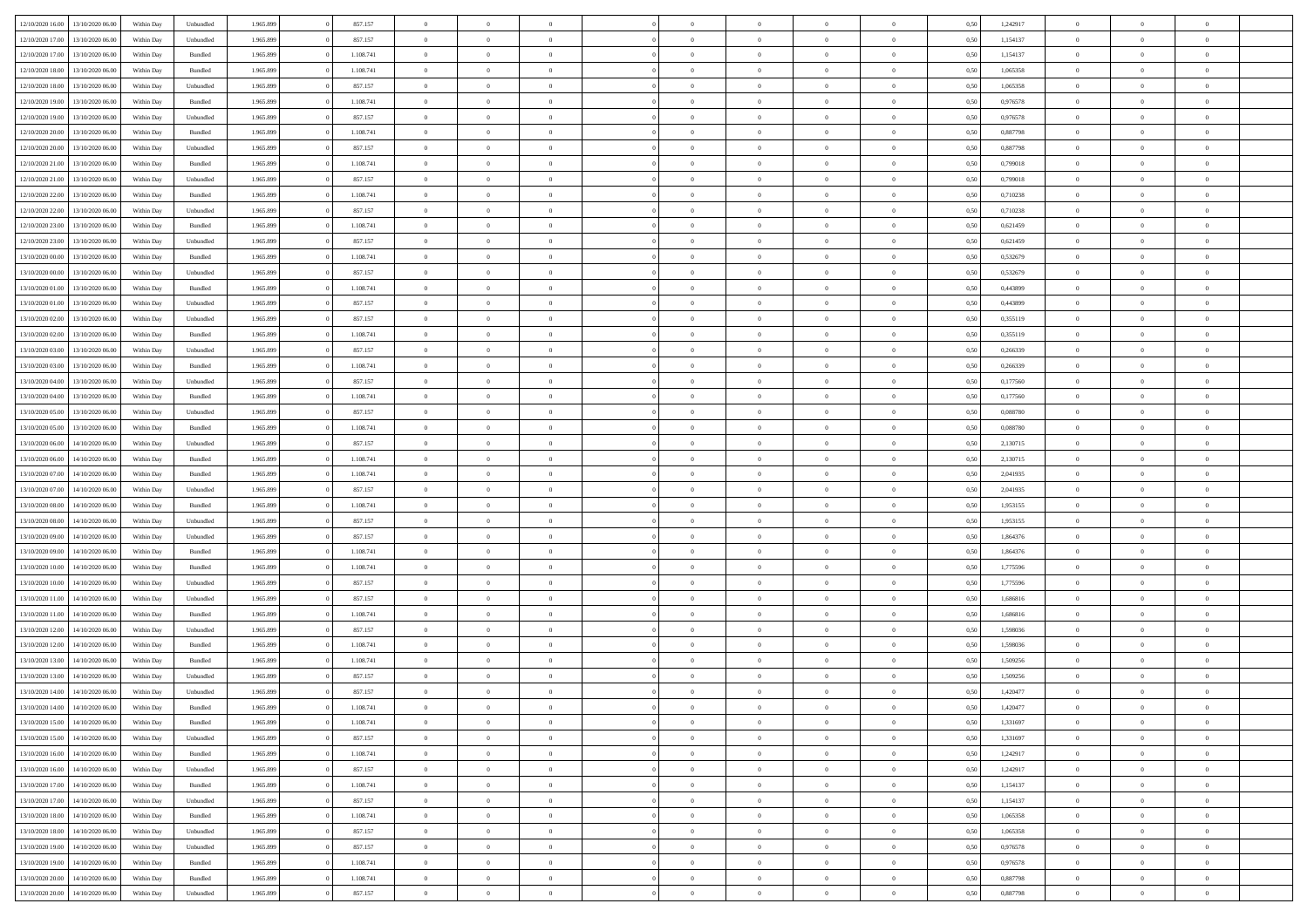| 12/10/2020 16:00 | 13/10/2020 06:00                  | Within Dav | Unbundled          | 1.965.899 | 857.157   | $\overline{0}$ | $\theta$       |                | $\Omega$       | $\Omega$       | $\theta$       | $\theta$       | 0.50 | 1,242917 | $\theta$       | $\overline{0}$ | $\theta$       |  |
|------------------|-----------------------------------|------------|--------------------|-----------|-----------|----------------|----------------|----------------|----------------|----------------|----------------|----------------|------|----------|----------------|----------------|----------------|--|
| 12/10/2020 17:00 | 13/10/2020 06.00                  | Within Day | Unbundled          | 1.965.899 | 857.157   | $\overline{0}$ | $\theta$       | $\overline{0}$ | $\overline{0}$ | $\bf{0}$       | $\overline{0}$ | $\bf{0}$       | 0,50 | 1,154137 | $\theta$       | $\overline{0}$ | $\overline{0}$ |  |
| 12/10/2020 17:00 | 13/10/2020 06:00                  | Within Day | Bundled            | 1.965.899 | 1.108.741 | $\overline{0}$ | $\bf{0}$       | $\overline{0}$ | $\bf{0}$       | $\bf{0}$       | $\bf{0}$       | $\mathbf{0}$   | 0,50 | 1,154137 | $\overline{0}$ | $\overline{0}$ | $\overline{0}$ |  |
| 12/10/2020 18:00 | 13/10/2020 06:00                  | Within Dav | Bundled            | 1.965.899 | 1.108.741 | $\overline{0}$ | $\overline{0}$ | $\overline{0}$ | $\overline{0}$ | $\bf{0}$       | $\overline{0}$ | $\overline{0}$ | 0.50 | 1,065358 | $\theta$       | $\theta$       | $\overline{0}$ |  |
| 12/10/2020 18:00 | 13/10/2020 06.00                  | Within Day | Unbundled          | 1.965.899 | 857.157   | $\overline{0}$ | $\theta$       | $\overline{0}$ | $\overline{0}$ | $\bf{0}$       | $\overline{0}$ | $\bf{0}$       | 0,50 | 1,065358 | $\,$ 0 $\,$    | $\overline{0}$ | $\overline{0}$ |  |
|                  |                                   |            |                    |           |           |                |                |                |                |                |                |                |      |          |                |                |                |  |
| 12/10/2020 19:00 | 13/10/2020 06:00                  | Within Day | Bundled            | 1.965.899 | 1.108.741 | $\overline{0}$ | $\overline{0}$ | $\overline{0}$ | $\bf{0}$       | $\overline{0}$ | $\overline{0}$ | $\mathbf{0}$   | 0,50 | 0,976578 | $\overline{0}$ | $\overline{0}$ | $\bf{0}$       |  |
| 12/10/2020 19:00 | 13/10/2020 06:00                  | Within Dav | Unbundled          | 1.965.899 | 857.157   | $\overline{0}$ | $\overline{0}$ | $\overline{0}$ | $\overline{0}$ | $\overline{0}$ | $\overline{0}$ | $\overline{0}$ | 0.50 | 0,976578 | $\theta$       | $\overline{0}$ | $\overline{0}$ |  |
| 12/10/2020 20:00 | 13/10/2020 06.00                  | Within Day | Bundled            | 1.965.899 | 1.108.741 | $\overline{0}$ | $\theta$       | $\overline{0}$ | $\overline{0}$ | $\bf{0}$       | $\overline{0}$ | $\bf{0}$       | 0,50 | 0,887798 | $\theta$       | $\theta$       | $\overline{0}$ |  |
| 12/10/2020 20:00 | 13/10/2020 06:00                  | Within Day | Unbundled          | 1.965.899 | 857.157   | $\overline{0}$ | $\overline{0}$ | $\overline{0}$ | $\bf{0}$       | $\bf{0}$       | $\bf{0}$       | $\bf{0}$       | 0,50 | 0,887798 | $\,0\,$        | $\overline{0}$ | $\overline{0}$ |  |
| 12/10/2020 21:00 | 13/10/2020 06:00                  | Within Dav | Bundled            | 1.965.899 | 1.108.741 | $\overline{0}$ | $\overline{0}$ | $\overline{0}$ | $\overline{0}$ | $\overline{0}$ | $\overline{0}$ | $\overline{0}$ | 0.50 | 0,799018 | $\theta$       | $\overline{0}$ | $\overline{0}$ |  |
| 12/10/2020 21.00 | 13/10/2020 06.00                  | Within Day | Unbundled          | 1.965.899 | 857.157   | $\overline{0}$ | $\theta$       | $\overline{0}$ | $\overline{0}$ | $\bf{0}$       | $\overline{0}$ | $\bf{0}$       | 0,50 | 0,799018 | $\,$ 0 $\,$    | $\overline{0}$ | $\overline{0}$ |  |
| 12/10/2020 22.00 | 13/10/2020 06:00                  | Within Day | Bundled            | 1.965.899 | 1.108.741 | $\overline{0}$ | $\overline{0}$ | $\overline{0}$ | $\bf{0}$       | $\bf{0}$       | $\bf{0}$       | $\mathbf{0}$   | 0,50 | 0,710238 | $\overline{0}$ | $\overline{0}$ | $\bf{0}$       |  |
| 12/10/2020 22.00 | 13/10/2020 06:00                  | Within Day | Unbundled          | 1.965.899 | 857.157   | $\overline{0}$ | $\overline{0}$ | $\overline{0}$ | $\overline{0}$ | $\bf{0}$       | $\overline{0}$ | $\overline{0}$ | 0.50 | 0,710238 | $\theta$       | $\theta$       | $\overline{0}$ |  |
|                  |                                   |            |                    |           |           |                |                |                |                |                |                |                |      |          |                |                |                |  |
| 12/10/2020 23:00 | 13/10/2020 06.00                  | Within Day | Bundled            | 1.965.899 | 1.108.741 | $\overline{0}$ | $\theta$       | $\overline{0}$ | $\overline{0}$ | $\bf{0}$       | $\overline{0}$ | $\bf{0}$       | 0,50 | 0,621459 | $\,$ 0 $\,$    | $\overline{0}$ | $\overline{0}$ |  |
| 12/10/2020 23:00 | 13/10/2020 06:00                  | Within Day | Unbundled          | 1.965.899 | 857.157   | $\overline{0}$ | $\overline{0}$ | $\overline{0}$ | $\bf{0}$       | $\overline{0}$ | $\overline{0}$ | $\mathbf{0}$   | 0,50 | 0,621459 | $\bf{0}$       | $\overline{0}$ | $\bf{0}$       |  |
| 13/10/2020 00:00 | 13/10/2020 06:00                  | Within Dav | Bundled            | 1.965.899 | 1.108.741 | $\overline{0}$ | $\overline{0}$ | $\overline{0}$ | $\overline{0}$ | $\overline{0}$ | $\overline{0}$ | $\overline{0}$ | 0.50 | 0,532679 | $\overline{0}$ | $\overline{0}$ | $\overline{0}$ |  |
| 13/10/2020 00:00 | 13/10/2020 06.00                  | Within Day | Unbundled          | 1.965.899 | 857.157   | $\overline{0}$ | $\theta$       | $\overline{0}$ | $\overline{0}$ | $\bf{0}$       | $\overline{0}$ | $\bf{0}$       | 0,50 | 0,532679 | $\,$ 0 $\,$    | $\theta$       | $\overline{0}$ |  |
| 13/10/2020 01.00 | 13/10/2020 06.00                  | Within Day | Bundled            | 1.965.899 | 1.108.741 | $\overline{0}$ | $\overline{0}$ | $\overline{0}$ | $\bf{0}$       | $\bf{0}$       | $\bf{0}$       | $\mathbf{0}$   | 0,50 | 0,443899 | $\,0\,$        | $\overline{0}$ | $\overline{0}$ |  |
| 13/10/2020 01:00 | 13/10/2020 06:00                  | Within Day | Unbundled          | 1.965.899 | 857.157   | $\overline{0}$ | $\overline{0}$ | $\overline{0}$ | $\overline{0}$ | $\overline{0}$ | $\overline{0}$ | $\overline{0}$ | 0.50 | 0,443899 | $\theta$       | $\overline{0}$ | $\overline{0}$ |  |
| 13/10/2020 02:00 | 13/10/2020 06.00                  | Within Day | Unbundled          | 1.965.899 | 857.157   | $\overline{0}$ | $\theta$       | $\overline{0}$ | $\overline{0}$ | $\bf{0}$       | $\overline{0}$ | $\bf{0}$       | 0,50 | 0,355119 | $\,$ 0 $\,$    | $\overline{0}$ | $\overline{0}$ |  |
|                  |                                   |            |                    |           |           |                |                |                |                |                |                |                |      |          |                |                |                |  |
| 13/10/2020 02:00 | 13/10/2020 06:00                  | Within Day | Bundled            | 1.965.899 | 1.108.741 | $\overline{0}$ | $\overline{0}$ | $\overline{0}$ | $\bf{0}$       | $\bf{0}$       | $\bf{0}$       | $\bf{0}$       | 0,50 | 0,355119 | $\bf{0}$       | $\overline{0}$ | $\overline{0}$ |  |
| 13/10/2020 03:00 | 13/10/2020 06:00                  | Within Day | Unbundled          | 1.965.899 | 857.157   | $\overline{0}$ | $\overline{0}$ | $\overline{0}$ | $\overline{0}$ | $\overline{0}$ | $\overline{0}$ | $\overline{0}$ | 0.50 | 0,266339 | $\theta$       | $\overline{0}$ | $\overline{0}$ |  |
| 13/10/2020 03:00 | 13/10/2020 06.00                  | Within Day | Bundled            | 1.965.899 | 1.108.741 | $\overline{0}$ | $\theta$       | $\overline{0}$ | $\overline{0}$ | $\bf{0}$       | $\overline{0}$ | $\bf{0}$       | 0,50 | 0,266339 | $\,$ 0 $\,$    | $\overline{0}$ | $\overline{0}$ |  |
| 13/10/2020 04:00 | 13/10/2020 06:00                  | Within Day | Unbundled          | 1.965.899 | 857.157   | $\overline{0}$ | $\overline{0}$ | $\overline{0}$ | $\bf{0}$       | $\overline{0}$ | $\overline{0}$ | $\mathbf{0}$   | 0,50 | 0,177560 | $\bf{0}$       | $\overline{0}$ | $\bf{0}$       |  |
| 13/10/2020 04:00 | 13/10/2020 06:00                  | Within Dav | Bundled            | 1.965.899 | 1.108.741 | $\overline{0}$ | $\overline{0}$ | $\overline{0}$ | $\overline{0}$ | $\overline{0}$ | $\overline{0}$ | $\overline{0}$ | 0.50 | 0,177560 | $\overline{0}$ | $\overline{0}$ | $\overline{0}$ |  |
| 13/10/2020 05:00 | 13/10/2020 06.00                  | Within Day | Unbundled          | 1.965.899 | 857.157   | $\overline{0}$ | $\theta$       | $\overline{0}$ | $\overline{0}$ | $\bf{0}$       | $\overline{0}$ | $\bf{0}$       | 0,50 | 0,088780 | $\,$ 0 $\,$    | $\theta$       | $\overline{0}$ |  |
| 13/10/2020 05:00 | 13/10/2020 06:00                  | Within Day | Bundled            | 1.965.899 | 1.108.741 | $\overline{0}$ | $\overline{0}$ | $\overline{0}$ | $\bf{0}$       | $\bf{0}$       | $\bf{0}$       | $\bf{0}$       | 0,50 | 0,088780 | $\,0\,$        | $\overline{0}$ | $\overline{0}$ |  |
| 13/10/2020 06:00 | 14/10/2020 06:00                  |            | Unbundled          | 1.965.899 | 857.157   | $\overline{0}$ | $\overline{0}$ | $\overline{0}$ | $\overline{0}$ | $\overline{0}$ | $\overline{0}$ | $\overline{0}$ | 0.50 | 2,130715 | $\theta$       | $\overline{0}$ | $\overline{0}$ |  |
|                  |                                   | Within Day |                    |           |           |                |                |                |                |                |                |                |      |          |                |                |                |  |
| 13/10/2020 06:00 | 14/10/2020 06.00                  | Within Day | Bundled            | 1.965.899 | 1.108.741 | $\overline{0}$ | $\theta$       | $\overline{0}$ | $\overline{0}$ | $\,$ 0         | $\overline{0}$ | $\bf{0}$       | 0,50 | 2,130715 | $\,$ 0 $\,$    | $\overline{0}$ | $\overline{0}$ |  |
| 13/10/2020 07.00 | 14/10/2020 06.00                  | Within Day | Bundled            | 1.965.899 | 1.108.741 | $\overline{0}$ | $\overline{0}$ | $\overline{0}$ | $\bf{0}$       | $\bf{0}$       | $\bf{0}$       | $\bf{0}$       | 0,50 | 2,041935 | $\overline{0}$ | $\overline{0}$ | $\overline{0}$ |  |
| 13/10/2020 07:00 | 14/10/2020 06.00                  | Within Day | Unbundled          | 1.965.899 | 857.157   | $\overline{0}$ | $\Omega$       | $\overline{0}$ | $\Omega$       | $\Omega$       | $\overline{0}$ | $\overline{0}$ | 0,50 | 2,041935 | $\,0\,$        | $\theta$       | $\theta$       |  |
| 13/10/2020 08:00 | 14/10/2020 06.00                  | Within Day | Bundled            | 1.965.899 | 1.108.741 | $\overline{0}$ | $\theta$       | $\overline{0}$ | $\overline{0}$ | $\bf{0}$       | $\overline{0}$ | $\bf{0}$       | 0,50 | 1,953155 | $\,$ 0 $\,$    | $\overline{0}$ | $\overline{0}$ |  |
| 13/10/2020 08:00 | 14/10/2020 06.00                  | Within Day | Unbundled          | 1.965.899 | 857.157   | $\overline{0}$ | $\overline{0}$ | $\overline{0}$ | $\bf{0}$       | $\overline{0}$ | $\overline{0}$ | $\mathbf{0}$   | 0,50 | 1,953155 | $\overline{0}$ | $\overline{0}$ | $\bf{0}$       |  |
| 13/10/2020 09:00 | 14/10/2020 06.00                  | Within Day | Unbundled          | 1.965.899 | 857.157   | $\overline{0}$ | $\Omega$       | $\Omega$       | $\Omega$       | $\overline{0}$ | $\overline{0}$ | $\overline{0}$ | 0.50 | 1,864376 | $\,0\,$        | $\theta$       | $\theta$       |  |
| 13/10/2020 09:00 | 14/10/2020 06.00                  | Within Day | Bundled            | 1.965.899 | 1.108.741 | $\overline{0}$ | $\theta$       | $\overline{0}$ | $\overline{0}$ | $\bf{0}$       | $\overline{0}$ | $\bf{0}$       | 0,50 | 1,864376 | $\,$ 0 $\,$    | $\overline{0}$ | $\overline{0}$ |  |
|                  |                                   |            |                    |           |           |                | $\overline{0}$ |                |                | $\bf{0}$       |                |                |      |          | $\bf{0}$       | $\overline{0}$ | $\overline{0}$ |  |
| 13/10/2020 10:00 | 14/10/2020 06.00                  | Within Day | Bundled            | 1.965.899 | 1.108.741 | $\overline{0}$ |                | $\overline{0}$ | $\bf{0}$       |                | $\bf{0}$       | $\mathbf{0}$   | 0,50 | 1,775596 |                |                |                |  |
| 13/10/2020 10:00 | 14/10/2020 06:00                  | Within Day | Unbundled          | 1.965.899 | 857.157   | $\overline{0}$ | $\Omega$       | $\overline{0}$ | $\Omega$       | $\overline{0}$ | $\overline{0}$ | $\overline{0}$ | 0.50 | 1,775596 | $\,0\,$        | $\theta$       | $\theta$       |  |
| 13/10/2020 11:00 | 14/10/2020 06.00                  | Within Day | Unbundled          | 1.965.899 | 857.157   | $\overline{0}$ | $\theta$       | $\overline{0}$ | $\overline{0}$ | $\,$ 0         | $\overline{0}$ | $\bf{0}$       | 0,50 | 1,686816 | $\,0\,$        | $\overline{0}$ | $\overline{0}$ |  |
| 13/10/2020 11:00 | 14/10/2020 06.00                  | Within Day | Bundled            | 1.965.899 | 1.108.741 | $\overline{0}$ | $\overline{0}$ | $\overline{0}$ | $\bf{0}$       | $\bf{0}$       | $\bf{0}$       | $\bf{0}$       | 0,50 | 1,686816 | $\overline{0}$ | $\overline{0}$ | $\overline{0}$ |  |
| 13/10/2020 12:00 | 14/10/2020 06.00                  | Within Day | Unbundled          | 1.965.899 | 857.157   | $\overline{0}$ | $\Omega$       | $\overline{0}$ | $\Omega$       | $\overline{0}$ | $\overline{0}$ | $\overline{0}$ | 0,50 | 1,598036 | $\,0\,$        | $\theta$       | $\theta$       |  |
| 13/10/2020 12:00 | 14/10/2020 06.00                  | Within Day | Bundled            | 1.965.899 | 1.108.741 | $\overline{0}$ | $\overline{0}$ | $\overline{0}$ | $\overline{0}$ | $\,$ 0         | $\overline{0}$ | $\bf{0}$       | 0,50 | 1,598036 | $\,$ 0 $\,$    | $\overline{0}$ | $\overline{0}$ |  |
| 13/10/2020 13:00 | 14/10/2020 06.00                  | Within Day | Bundled            | 1.965.899 | 1.108.741 | $\overline{0}$ | $\overline{0}$ | $\overline{0}$ | $\bf{0}$       | $\bf{0}$       | $\overline{0}$ | $\mathbf{0}$   | 0,50 | 1,509256 | $\overline{0}$ | $\overline{0}$ | $\bf{0}$       |  |
| 13/10/2020 13:00 | 14/10/2020 06.00                  | Within Day | Unbundled          | 1.965.899 | 857.157   | $\overline{0}$ | $\Omega$       | $\overline{0}$ | $\Omega$       | $\Omega$       | $\overline{0}$ | $\overline{0}$ | 0.50 | 1.509256 | $\theta$       | $\theta$       | $\theta$       |  |
| 13/10/2020 14:00 | 14/10/2020 06.00                  | Within Day | Unbundled          | 1.965.899 | 857.157   | $\overline{0}$ | $\overline{0}$ | $\overline{0}$ | $\bf{0}$       | $\,$ 0         | $\bf{0}$       | $\bf{0}$       | 0,50 | 1,420477 | $\,0\,$        | $\,$ 0 $\,$    | $\overline{0}$ |  |
|                  |                                   |            |                    |           |           |                |                |                |                |                |                |                |      |          |                |                |                |  |
|                  | 13/10/2020 14:00 14/10/2020 06:00 | Within Day | $\mathbf B$ undled | 1.965.899 | 1.108.741 | $\bf{0}$       | $\bf{0}$       |                |                |                |                |                | 0,50 | 1,420477 | $\bf{0}$       | $\overline{0}$ |                |  |
| 13/10/2020 15:00 | 14/10/2020 06:00                  | Within Day | Bundled            | 1.965.899 | 1.108.741 | $\overline{0}$ | $\overline{0}$ | $\overline{0}$ | $\Omega$       | $\overline{0}$ | $\overline{0}$ | $\overline{0}$ | 0,50 | 1,331697 | $\theta$       | $\theta$       | $\theta$       |  |
| 13/10/2020 15:00 | 14/10/2020 06.00                  | Within Day | Unbundled          | 1.965.899 | 857.157   | $\overline{0}$ | $\,$ 0         | $\overline{0}$ | $\bf{0}$       | $\,$ 0 $\,$    | $\overline{0}$ | $\,$ 0 $\,$    | 0,50 | 1,331697 | $\,$ 0 $\,$    | $\,$ 0 $\,$    | $\,$ 0         |  |
| 13/10/2020 16:00 | 14/10/2020 06.00                  | Within Day | Bundled            | 1.965.899 | 1.108.741 | $\overline{0}$ | $\overline{0}$ | $\overline{0}$ | $\overline{0}$ | $\overline{0}$ | $\overline{0}$ | $\mathbf{0}$   | 0,50 | 1,242917 | $\overline{0}$ | $\bf{0}$       | $\bf{0}$       |  |
| 13/10/2020 16:00 | 14/10/2020 06.00                  | Within Day | Unbundled          | 1.965.899 | 857.157   | $\overline{0}$ | $\overline{0}$ | $\overline{0}$ | $\Omega$       | $\overline{0}$ | $\overline{0}$ | $\overline{0}$ | 0,50 | 1,242917 | $\bf{0}$       | $\theta$       | $\overline{0}$ |  |
| 13/10/2020 17:00 | 14/10/2020 06.00                  | Within Day | Bundled            | 1.965.899 | 1.108.741 | $\overline{0}$ | $\,$ 0         | $\overline{0}$ | $\bf{0}$       | $\,$ 0 $\,$    | $\overline{0}$ | $\mathbf{0}$   | 0,50 | 1,154137 | $\,$ 0 $\,$    | $\overline{0}$ | $\overline{0}$ |  |
| 13/10/2020 17:00 | 14/10/2020 06.00                  | Within Day | Unbundled          | 1.965.899 | 857.157   | $\overline{0}$ | $\overline{0}$ | $\overline{0}$ | $\overline{0}$ | $\overline{0}$ | $\overline{0}$ | $\mathbf{0}$   | 0,50 | 1,154137 | $\overline{0}$ | $\overline{0}$ | $\bf{0}$       |  |
| 13/10/2020 18:00 |                                   |            | Bundled            |           | 1.108.741 | $\overline{0}$ | $\overline{0}$ | $\overline{0}$ | $\overline{0}$ | $\overline{0}$ | $\overline{0}$ |                | 0.50 |          | $\overline{0}$ | $\theta$       | $\overline{0}$ |  |
|                  | 14/10/2020 06.00                  | Within Day |                    | 1.965.899 |           |                |                |                |                |                |                | $\bf{0}$       |      | 1,065358 |                |                |                |  |
| 13/10/2020 18:00 | 14/10/2020 06.00                  | Within Day | Unbundled          | 1.965.899 | 857.157   | $\overline{0}$ | $\,$ 0         | $\overline{0}$ | $\bf{0}$       | $\bf{0}$       | $\bf{0}$       | $\bf{0}$       | 0,50 | 1,065358 | $\,$ 0 $\,$    | $\overline{0}$ | $\overline{0}$ |  |
| 13/10/2020 19:00 | 14/10/2020 06.00                  | Within Day | Unbundled          | 1.965.899 | 857.157   | $\overline{0}$ | $\bf{0}$       | $\overline{0}$ | $\overline{0}$ | $\overline{0}$ | $\overline{0}$ | $\mathbf{0}$   | 0,50 | 0,976578 | $\overline{0}$ | $\overline{0}$ | $\bf{0}$       |  |
| 13/10/2020 19:00 | 14/10/2020 06.00                  | Within Day | Bundled            | 1.965.899 | 1.108.741 | $\overline{0}$ | $\overline{0}$ | $\overline{0}$ | $\Omega$       | $\overline{0}$ | $\overline{0}$ | $\bf{0}$       | 0.50 | 0,976578 | $\overline{0}$ | $\overline{0}$ | $\overline{0}$ |  |
| 13/10/2020 20:00 | 14/10/2020 06.00                  | Within Day | Bundled            | 1.965.899 | 1.108.741 | $\overline{0}$ | $\bf{0}$       | $\overline{0}$ | $\bf{0}$       | $\bf{0}$       | $\bf{0}$       | $\mathbf{0}$   | 0,50 | 0,887798 | $\,$ 0 $\,$    | $\,$ 0 $\,$    | $\bf{0}$       |  |
| 13/10/2020 20:00 | 14/10/2020 06.00                  | Within Day | Unbundled          | 1.965.899 | 857.157   | $\overline{0}$ | $\overline{0}$ | $\overline{0}$ | $\overline{0}$ | $\overline{0}$ | $\bf{0}$       | $\mathbf{0}$   | 0,50 | 0,887798 | $\overline{0}$ | $\bf{0}$       | $\bf{0}$       |  |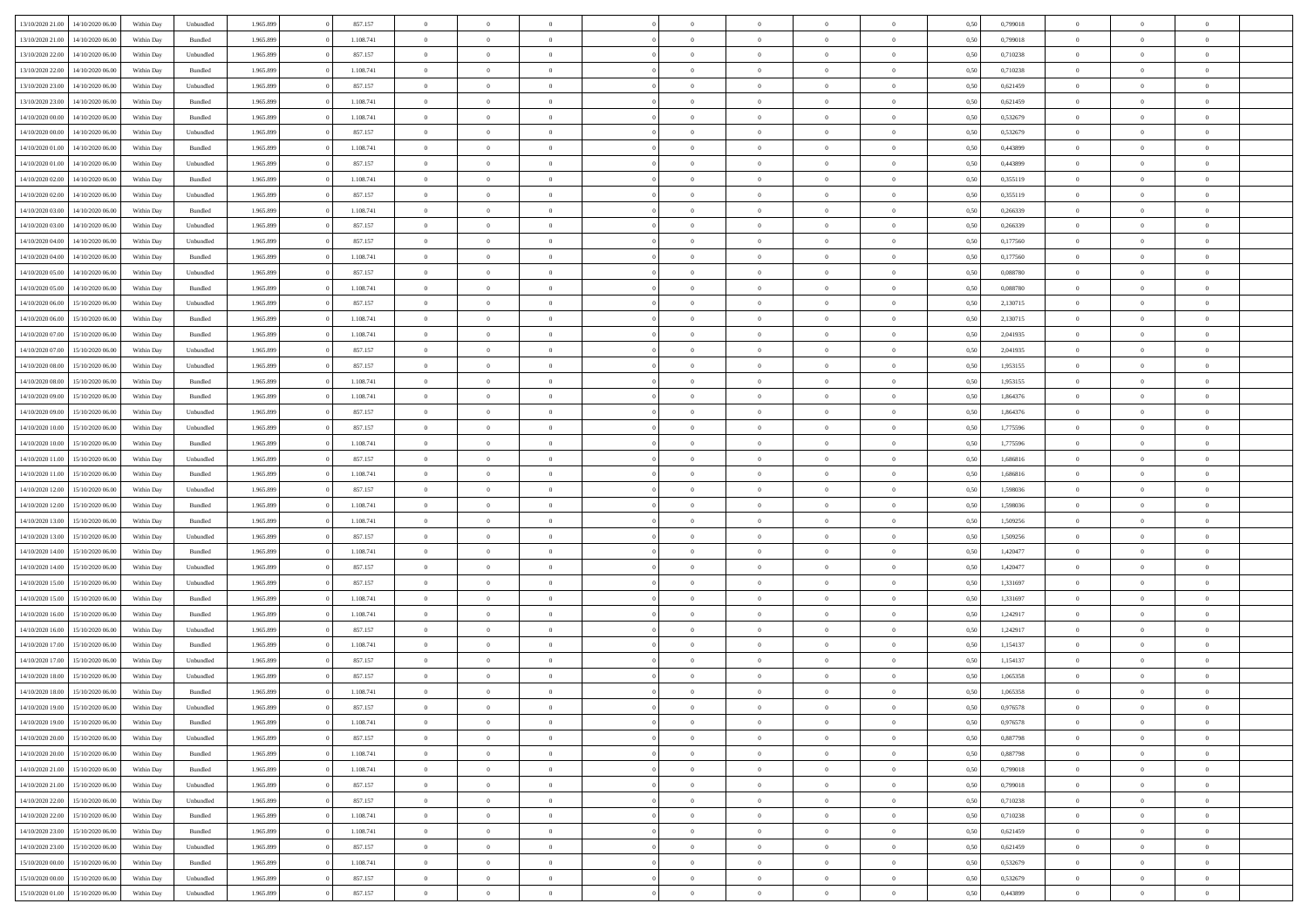|                  | 14/10/2020 06:00 | Within Dav | Unbundled          | 1.965.899 | 857.157   | $\overline{0}$ | $\Omega$       |                | $\Omega$       | $\Omega$       | $\Omega$       | $\theta$       | 0.50 | 0,799018 | $\theta$       | $\theta$       | $\theta$       |  |
|------------------|------------------|------------|--------------------|-----------|-----------|----------------|----------------|----------------|----------------|----------------|----------------|----------------|------|----------|----------------|----------------|----------------|--|
| 13/10/2020 21:00 |                  |            |                    |           |           |                |                |                |                |                |                |                |      |          |                |                |                |  |
| 13/10/2020 21:00 | 14/10/2020 06.00 | Within Day | Bundled            | 1.965.899 | 1.108.741 | $\overline{0}$ | $\theta$       | $\overline{0}$ | $\overline{0}$ | $\bf{0}$       | $\overline{0}$ | $\bf{0}$       | 0,50 | 0,799018 | $\theta$       | $\overline{0}$ | $\overline{0}$ |  |
| 13/10/2020 22:00 | 14/10/2020 06.00 | Within Day | Unbundled          | 1.965.899 | 857.157   | $\overline{0}$ | $\overline{0}$ | $\overline{0}$ | $\bf{0}$       | $\bf{0}$       | $\bf{0}$       | $\mathbf{0}$   | 0,50 | 0,710238 | $\overline{0}$ | $\overline{0}$ | $\overline{0}$ |  |
| 13/10/2020 22.00 | 14/10/2020 06:00 | Within Dav | Bundled            | 1.965.899 | 1.108.741 | $\overline{0}$ | $\overline{0}$ | $\overline{0}$ | $\overline{0}$ | $\bf{0}$       | $\overline{0}$ | $\overline{0}$ | 0.50 | 0,710238 | $\theta$       | $\theta$       | $\overline{0}$ |  |
|                  |                  |            |                    |           |           | $\overline{0}$ | $\theta$       | $\overline{0}$ |                | $\bf{0}$       | $\overline{0}$ |                |      |          | $\,$ 0 $\,$    | $\theta$       | $\overline{0}$ |  |
| 13/10/2020 23:00 | 14/10/2020 06.00 | Within Day | Unbundled          | 1.965.899 | 857.157   |                |                |                | $\overline{0}$ |                |                | $\bf{0}$       | 0,50 | 0,621459 |                |                |                |  |
| 13/10/2020 23.00 | 14/10/2020 06.00 | Within Day | Bundled            | 1.965.899 | 1.108.741 | $\overline{0}$ | $\bf{0}$       | $\overline{0}$ | $\bf{0}$       | $\overline{0}$ | $\overline{0}$ | $\mathbf{0}$   | 0,50 | 0,621459 | $\overline{0}$ | $\overline{0}$ | $\bf{0}$       |  |
| 14/10/2020 00:00 | 14/10/2020 06.00 | Within Dav | Bundled            | 1.965.899 | 1.108.741 | $\overline{0}$ | $\overline{0}$ | $\overline{0}$ | $\overline{0}$ | $\overline{0}$ | $\overline{0}$ | $\overline{0}$ | 0.50 | 0,532679 | $\theta$       | $\overline{0}$ | $\overline{0}$ |  |
| 14/10/2020 00.00 | 14/10/2020 06.00 | Within Day | Unbundled          | 1.965.899 | 857.157   | $\overline{0}$ | $\theta$       | $\overline{0}$ | $\overline{0}$ | $\bf{0}$       | $\overline{0}$ | $\bf{0}$       | 0,50 | 0,532679 | $\theta$       | $\theta$       | $\overline{0}$ |  |
| 14/10/2020 01:00 | 14/10/2020 06.00 | Within Day | Bundled            | 1.965.899 | 1.108.741 | $\overline{0}$ | $\overline{0}$ | $\overline{0}$ | $\bf{0}$       | $\bf{0}$       | $\bf{0}$       | $\bf{0}$       | 0,50 | 0,443899 | $\,0\,$        | $\overline{0}$ | $\overline{0}$ |  |
| 14/10/2020 01:00 | 14/10/2020 06.00 | Within Dav | Unbundled          | 1.965.899 | 857.157   | $\overline{0}$ | $\overline{0}$ | $\overline{0}$ | $\overline{0}$ | $\overline{0}$ | $\overline{0}$ | $\overline{0}$ | 0.50 | 0,443899 | $\theta$       | $\overline{0}$ | $\overline{0}$ |  |
|                  |                  |            |                    |           |           |                |                |                |                |                |                |                |      |          |                |                |                |  |
| 14/10/2020 02.00 | 14/10/2020 06.00 | Within Day | Bundled            | 1.965.899 | 1.108.741 | $\overline{0}$ | $\theta$       | $\overline{0}$ | $\overline{0}$ | $\bf{0}$       | $\overline{0}$ | $\bf{0}$       | 0,50 | 0,355119 | $\,$ 0 $\,$    | $\overline{0}$ | $\overline{0}$ |  |
| 14/10/2020 02.00 | 14/10/2020 06.00 | Within Day | Unbundled          | 1.965.899 | 857.157   | $\overline{0}$ | $\overline{0}$ | $\overline{0}$ | $\bf{0}$       | $\bf{0}$       | $\bf{0}$       | $\mathbf{0}$   | 0,50 | 0,355119 | $\overline{0}$ | $\overline{0}$ | $\overline{0}$ |  |
| 14/10/2020 03:00 | 14/10/2020 06:00 | Within Day | Bundled            | 1.965.899 | 1.108.741 | $\overline{0}$ | $\overline{0}$ | $\overline{0}$ | $\overline{0}$ | $\bf{0}$       | $\overline{0}$ | $\overline{0}$ | 0.50 | 0,266339 | $\theta$       | $\theta$       | $\overline{0}$ |  |
| 14/10/2020 03:00 | 14/10/2020 06.00 | Within Day | Unbundled          | 1.965.899 | 857.157   | $\overline{0}$ | $\theta$       | $\overline{0}$ | $\overline{0}$ | $\bf{0}$       | $\overline{0}$ | $\bf{0}$       | 0,50 | 0,266339 | $\theta$       | $\overline{0}$ | $\overline{0}$ |  |
| 14/10/2020 04:00 | 14/10/2020 06.00 | Within Day | Unbundled          | 1.965.899 | 857.157   | $\overline{0}$ | $\overline{0}$ | $\overline{0}$ | $\bf{0}$       | $\overline{0}$ | $\overline{0}$ | $\mathbf{0}$   | 0,50 | 0,177560 | $\overline{0}$ | $\overline{0}$ | $\bf{0}$       |  |
|                  |                  |            |                    |           |           |                |                |                |                |                |                |                |      |          |                |                |                |  |
| 14/10/2020 04:00 | 14/10/2020 06.00 | Within Dav | Bundled            | 1.965.899 | 1.108.741 | $\overline{0}$ | $\overline{0}$ | $\overline{0}$ | $\overline{0}$ | $\overline{0}$ | $\overline{0}$ | $\overline{0}$ | 0.50 | 0,177560 | $\theta$       | $\overline{0}$ | $\overline{0}$ |  |
| 14/10/2020 05:00 | 14/10/2020 06.00 | Within Day | Unbundled          | 1.965.899 | 857.157   | $\overline{0}$ | $\theta$       | $\overline{0}$ | $\overline{0}$ | $\bf{0}$       | $\overline{0}$ | $\bf{0}$       | 0,50 | 0,088780 | $\,$ 0 $\,$    | $\theta$       | $\overline{0}$ |  |
| 14/10/2020 05:00 | 14/10/2020 06.00 | Within Day | Bundled            | 1.965.899 | 1.108.741 | $\overline{0}$ | $\overline{0}$ | $\overline{0}$ | $\bf{0}$       | $\bf{0}$       | $\bf{0}$       | $\bf{0}$       | 0,50 | 0,088780 | $\,0\,$        | $\overline{0}$ | $\overline{0}$ |  |
| 14/10/2020 06:00 | 15/10/2020 06:00 | Within Day | Unbundled          | 1.965.899 | 857.157   | $\overline{0}$ | $\overline{0}$ | $\overline{0}$ | $\overline{0}$ | $\overline{0}$ | $\overline{0}$ | $\overline{0}$ | 0.50 | 2,130715 | $\theta$       | $\overline{0}$ | $\overline{0}$ |  |
| 14/10/2020 06.00 | 15/10/2020 06.00 | Within Day | Bundled            | 1.965.899 | 1.108.741 | $\overline{0}$ | $\theta$       | $\overline{0}$ | $\overline{0}$ | $\bf{0}$       | $\overline{0}$ | $\bf{0}$       | 0,50 | 2,130715 | $\,$ 0 $\,$    | $\theta$       | $\overline{0}$ |  |
|                  | 15/10/2020 06.00 | Within Day | Bundled            | 1.965.899 | 1.108.741 | $\overline{0}$ | $\overline{0}$ | $\overline{0}$ | $\bf{0}$       | $\bf{0}$       | $\bf{0}$       | $\bf{0}$       | 0,50 | 2,041935 | $\bf{0}$       | $\overline{0}$ | $\overline{0}$ |  |
| 14/10/2020 07:00 |                  |            |                    |           |           |                |                |                |                |                |                |                |      |          |                |                |                |  |
| 14/10/2020 07:00 | 15/10/2020 06:00 | Within Day | Unbundled          | 1.965.899 | 857.157   | $\overline{0}$ | $\overline{0}$ | $\overline{0}$ | $\overline{0}$ | $\bf{0}$       | $\overline{0}$ | $\overline{0}$ | 0.50 | 2,041935 | $\theta$       | $\overline{0}$ | $\overline{0}$ |  |
| 14/10/2020 08:00 | 15/10/2020 06.00 | Within Day | Unbundled          | 1.965.899 | 857.157   | $\overline{0}$ | $\theta$       | $\overline{0}$ | $\overline{0}$ | $\bf{0}$       | $\overline{0}$ | $\bf{0}$       | 0,50 | 1,953155 | $\,$ 0 $\,$    | $\overline{0}$ | $\overline{0}$ |  |
| 14/10/2020 08:00 | 15/10/2020 06.00 | Within Day | Bundled            | 1.965.899 | 1.108.741 | $\overline{0}$ | $\overline{0}$ | $\overline{0}$ | $\bf{0}$       | $\overline{0}$ | $\overline{0}$ | $\mathbf{0}$   | 0,50 | 1,953155 | $\overline{0}$ | $\overline{0}$ | $\bf{0}$       |  |
| 14/10/2020 09:00 | 15/10/2020 06:00 | Within Dav | Bundled            | 1.965.899 | 1.108.741 | $\overline{0}$ | $\overline{0}$ | $\overline{0}$ | $\overline{0}$ | $\overline{0}$ | $\overline{0}$ | $\overline{0}$ | 0.50 | 1,864376 | $\overline{0}$ | $\overline{0}$ | $\overline{0}$ |  |
| 14/10/2020 09:00 | 15/10/2020 06.00 | Within Day | Unbundled          | 1.965.899 | 857.157   | $\overline{0}$ | $\theta$       | $\overline{0}$ | $\overline{0}$ | $\bf{0}$       | $\overline{0}$ | $\bf{0}$       | 0,50 | 1,864376 | $\,$ 0 $\,$    | $\theta$       | $\overline{0}$ |  |
| 14/10/2020 10:00 | 15/10/2020 06.00 | Within Day | Unbundled          | 1.965.899 | 857.157   | $\overline{0}$ | $\overline{0}$ | $\overline{0}$ | $\bf{0}$       | $\bf{0}$       | $\bf{0}$       | $\bf{0}$       | 0,50 | 1,775596 | $\,0\,$        | $\overline{0}$ | $\overline{0}$ |  |
|                  | 15/10/2020 06:00 |            | Bundled            | 1.965.899 | 1.108.741 | $\overline{0}$ | $\overline{0}$ | $\overline{0}$ | $\overline{0}$ | $\overline{0}$ | $\overline{0}$ | $\overline{0}$ | 0.50 | 1,775596 | $\theta$       | $\overline{0}$ | $\overline{0}$ |  |
| 14/10/2020 10:00 |                  | Within Day |                    |           |           |                |                |                |                |                |                |                |      |          |                |                |                |  |
| 14/10/2020 11:00 | 15/10/2020 06.00 | Within Day | Unbundled          | 1.965.899 | 857.157   | $\overline{0}$ | $\theta$       | $\overline{0}$ | $\overline{0}$ | $\bf{0}$       | $\overline{0}$ | $\bf{0}$       | 0,50 | 1,686816 | $\,$ 0 $\,$    | $\overline{0}$ | $\overline{0}$ |  |
| 14/10/2020 11:00 | 15/10/2020 06.00 | Within Day | Bundled            | 1.965.899 | 1.108.741 | $\overline{0}$ | $\overline{0}$ | $\overline{0}$ | $\bf{0}$       | $\bf{0}$       | $\bf{0}$       | $\bf{0}$       | 0,50 | 1,686816 | $\overline{0}$ | $\overline{0}$ | $\overline{0}$ |  |
| 14/10/2020 12:00 | 15/10/2020 06.00 | Within Day | Unbundled          | 1.965.899 | 857.157   | $\overline{0}$ | $\Omega$       | $\overline{0}$ | $\Omega$       | $\Omega$       | $\overline{0}$ | $\overline{0}$ | 0,50 | 1,598036 | $\,0\,$        | $\theta$       | $\theta$       |  |
| 14/10/2020 12:00 | 15/10/2020 06.00 | Within Day | Bundled            | 1.965.899 | 1.108.741 | $\overline{0}$ | $\theta$       | $\overline{0}$ | $\overline{0}$ | $\bf{0}$       | $\overline{0}$ | $\bf{0}$       | 0,50 | 1,598036 | $\,$ 0 $\,$    | $\theta$       | $\overline{0}$ |  |
| 14/10/2020 13:00 | 15/10/2020 06:00 | Within Day | Bundled            | 1.965.899 | 1.108.741 | $\overline{0}$ | $\overline{0}$ | $\overline{0}$ | $\bf{0}$       | $\bf{0}$       | $\overline{0}$ | $\mathbf{0}$   | 0,50 | 1,509256 | $\overline{0}$ | $\overline{0}$ | $\bf{0}$       |  |
|                  |                  |            |                    |           |           | $\overline{0}$ | $\Omega$       | $\Omega$       | $\Omega$       | $\bf{0}$       | $\overline{0}$ | $\overline{0}$ | 0.50 |          | $\,0\,$        | $\theta$       | $\theta$       |  |
| 14/10/2020 13:00 | 15/10/2020 06.00 | Within Day | Unbundled          | 1.965.899 | 857.157   |                |                |                |                |                |                |                |      | 1,509256 |                |                |                |  |
| 14/10/2020 14:00 | 15/10/2020 06.00 | Within Day | Bundled            | 1.965.899 | 1.108.741 | $\overline{0}$ | $\theta$       | $\overline{0}$ | $\overline{0}$ | $\bf{0}$       | $\overline{0}$ | $\bf{0}$       | 0,50 | 1,420477 | $\,$ 0 $\,$    | $\overline{0}$ | $\overline{0}$ |  |
| 14/10/2020 14:00 | 15/10/2020 06.00 | Within Day | Unbundled          | 1.965.899 | 857.157   | $\overline{0}$ | $\overline{0}$ | $\overline{0}$ | $\bf{0}$       | $\bf{0}$       | $\bf{0}$       | $\bf{0}$       | 0,50 | 1,420477 | $\,0\,$        | $\overline{0}$ | $\overline{0}$ |  |
| 14/10/2020 15:00 | 15/10/2020 06:00 | Within Day | Unbundled          | 1.965.899 | 857.157   | $\overline{0}$ | $\Omega$       | $\overline{0}$ | $\Omega$       | $\theta$       | $\overline{0}$ | $\overline{0}$ | 0.50 | 1,331697 | $\,0\,$        | $\theta$       | $\theta$       |  |
| 14/10/2020 15:00 | 15/10/2020 06.00 | Within Day | Bundled            | 1.965.899 | 1.108.741 | $\overline{0}$ | $\theta$       | $\overline{0}$ | $\overline{0}$ | $\,$ 0         | $\overline{0}$ | $\bf{0}$       | 0,50 | 1,331697 | $\,$ 0 $\,$    | $\overline{0}$ | $\overline{0}$ |  |
| 14/10/2020 16.00 | 15/10/2020 06:00 | Within Day | Bundled            | 1.965.899 | 1.108.741 | $\overline{0}$ | $\overline{0}$ | $\overline{0}$ | $\bf{0}$       | $\bf{0}$       | $\bf{0}$       | $\bf{0}$       | 0,50 | 1,242917 | $\bf{0}$       | $\overline{0}$ | $\overline{0}$ |  |
| 14/10/2020 16.00 | 15/10/2020 06.00 |            |                    | 1.965.899 | 857.157   | $\overline{0}$ | $\Omega$       | $\overline{0}$ | $\Omega$       | $\overline{0}$ | $\overline{0}$ | $\overline{0}$ | 0,50 | 1,242917 | $\,0\,$        | $\theta$       | $\theta$       |  |
|                  |                  | Within Day | Unbundled          |           |           |                | $\theta$       |                |                |                |                |                |      |          |                |                |                |  |
| 14/10/2020 17:00 | 15/10/2020 06.00 | Within Day | Bundled            | 1.965.899 | 1.108.741 | $\overline{0}$ |                | $\overline{0}$ | $\overline{0}$ | $\,$ 0         | $\overline{0}$ | $\bf{0}$       | 0,50 | 1,154137 | $\,$ 0 $\,$    | $\overline{0}$ | $\overline{0}$ |  |
| 14/10/2020 17.00 | 15/10/2020 06.00 | Within Day | Unbundled          | 1.965.899 | 857.157   | $\overline{0}$ | $\bf{0}$       | $\overline{0}$ | $\bf{0}$       | $\bf{0}$       | $\bf{0}$       | $\mathbf{0}$   | 0,50 | 1,154137 | $\bf{0}$       | $\overline{0}$ | $\bf{0}$       |  |
| 14/10/2020 18:00 | 15/10/2020 06:00 | Within Day | Unbundled          | 1.965.899 | 857.157   | $\overline{0}$ | $\Omega$       | $\Omega$       | $\Omega$       | $\Omega$       | $\Omega$       | $\overline{0}$ | 0.50 | 1,065358 | $\theta$       | $\theta$       | $\theta$       |  |
| 14/10/2020 18:00 | 15/10/2020 06.00 | Within Day | Bundled            | 1.965.899 | 1.108.741 | $\overline{0}$ | $\overline{0}$ | $\overline{0}$ | $\bf{0}$       | $\,$ 0         | $\bf{0}$       | $\bf{0}$       | 0,50 | 1,065358 | $\,0\,$        | $\overline{0}$ | $\overline{0}$ |  |
| 14/10/2020 19:00 | 15/10/2020 06:00 | Within Day | Unbundled          | 1.965.899 | 857.157   | $\bf{0}$       | $\bf{0}$       |                |                |                |                |                | 0,50 | 0,976578 | $\bf{0}$       | $\overline{0}$ |                |  |
| 14/10/2020 19:00 | 15/10/2020 06:00 | Within Day | Bundled            | 1.965.899 | 1.108.741 | $\overline{0}$ | $\overline{0}$ | $\overline{0}$ | $\Omega$       | $\overline{0}$ | $\overline{0}$ | $\overline{0}$ | 0,50 | 0,976578 | $\theta$       | $\theta$       | $\theta$       |  |
| 14/10/2020 20:00 | 15/10/2020 06.00 | Within Day | Unbundled          | 1.965.899 | 857.157   | $\overline{0}$ | $\,$ 0         | $\overline{0}$ | $\bf{0}$       | $\,$ 0 $\,$    | $\overline{0}$ | $\,$ 0 $\,$    | 0,50 | 0,887798 | $\,$ 0 $\,$    | $\,$ 0 $\,$    | $\,$ 0         |  |
|                  |                  |            |                    |           |           |                |                |                |                |                |                |                |      |          |                |                |                |  |
| 14/10/2020 20.00 | 15/10/2020 06.00 | Within Day | Bundled            | 1.965.899 | 1.108.741 | $\overline{0}$ | $\overline{0}$ | $\overline{0}$ | $\overline{0}$ | $\overline{0}$ | $\overline{0}$ | $\mathbf{0}$   | 0,50 | 0,887798 | $\overline{0}$ | $\bf{0}$       | $\bf{0}$       |  |
| 14/10/2020 21:00 | 15/10/2020 06.00 | Within Day | $\mathbf B$ undled | 1.965.899 | 1.108.741 | $\overline{0}$ | $\overline{0}$ | $\overline{0}$ | $\Omega$       | $\overline{0}$ | $\overline{0}$ | $\overline{0}$ | 0,50 | 0,799018 | $\bf{0}$       | $\theta$       | $\overline{0}$ |  |
| 14/10/2020 21.00 | 15/10/2020 06.00 | Within Day | Unbundled          | 1.965.899 | 857.157   | $\overline{0}$ | $\,$ 0         | $\overline{0}$ | $\overline{0}$ | $\,$ 0 $\,$    | $\overline{0}$ | $\mathbf{0}$   | 0,50 | 0,799018 | $\,$ 0 $\,$    | $\overline{0}$ | $\overline{0}$ |  |
| 14/10/2020 22.00 | 15/10/2020 06.00 | Within Day | Unbundled          | 1.965.899 | 857.157   | $\overline{0}$ | $\overline{0}$ | $\overline{0}$ | $\overline{0}$ | $\overline{0}$ | $\overline{0}$ | $\mathbf{0}$   | 0,50 | 0,710238 | $\overline{0}$ | $\overline{0}$ | $\bf{0}$       |  |
| 14/10/2020 22:00 | 15/10/2020 06.00 | Within Day | Bundled            | 1.965.899 | 1.108.741 | $\overline{0}$ | $\overline{0}$ | $\overline{0}$ | $\Omega$       | $\overline{0}$ | $\overline{0}$ | $\bf{0}$       | 0.50 | 0,710238 | $\overline{0}$ | $\theta$       | $\overline{0}$ |  |
| 14/10/2020 23.00 | 15/10/2020 06.00 | Within Day | Bundled            | 1.965.899 | 1.108.741 | $\overline{0}$ | $\,$ 0         | $\overline{0}$ | $\bf{0}$       | $\bf{0}$       | $\bf{0}$       | $\bf{0}$       | 0,50 | 0,621459 | $\,$ 0 $\,$    | $\overline{0}$ | $\overline{0}$ |  |
|                  |                  |            |                    |           |           |                |                |                |                |                |                |                |      |          |                |                |                |  |
| 14/10/2020 23:00 | 15/10/2020 06.00 | Within Day | Unbundled          | 1.965.899 | 857.157   | $\overline{0}$ | $\bf{0}$       | $\overline{0}$ | $\overline{0}$ | $\overline{0}$ | $\overline{0}$ | $\mathbf{0}$   | 0,50 | 0,621459 | $\overline{0}$ | $\overline{0}$ | $\bf{0}$       |  |
| 15/10/2020 00:00 | 15/10/2020 06.00 | Within Day | Bundled            | 1.965.899 | 1.108.741 | $\overline{0}$ | $\overline{0}$ | $\overline{0}$ | $\Omega$       | $\overline{0}$ | $\overline{0}$ | $\bf{0}$       | 0.50 | 0,532679 | $\overline{0}$ | $\overline{0}$ | $\overline{0}$ |  |
| 15/10/2020 00:00 | 15/10/2020 06.00 | Within Day | Unbundled          | 1.965.899 | 857.157   | $\overline{0}$ | $\bf{0}$       | $\overline{0}$ | $\bf{0}$       | $\bf{0}$       | $\bf{0}$       | $\mathbf{0}$   | 0,50 | 0,532679 | $\,$ 0 $\,$    | $\,$ 0 $\,$    | $\bf{0}$       |  |
| 15/10/2020 01:00 | 15/10/2020 06.00 | Within Day | Unbundled          | 1.965.899 | 857.157   | $\overline{0}$ | $\overline{0}$ | $\overline{0}$ | $\overline{0}$ | $\overline{0}$ | $\bf{0}$       | $\mathbf{0}$   | 0,50 | 0,443899 | $\overline{0}$ | $\bf{0}$       | $\bf{0}$       |  |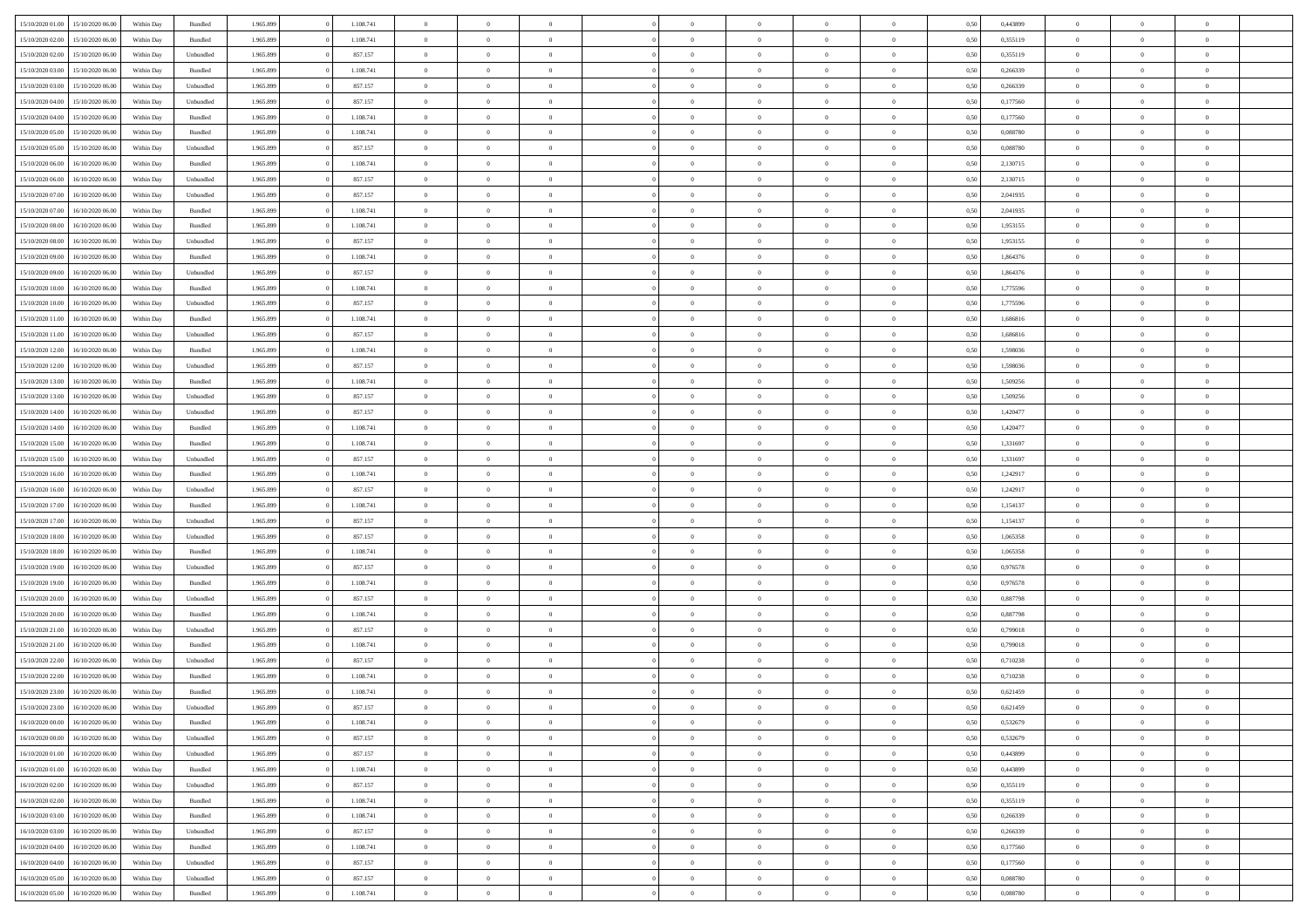| 15/10/2020 01:00 | 15/10/2020 06:00 | Within Dav | Bundled            | 1.965.899 | 1.108.741 | $\overline{0}$ | $\Omega$       |                | $\Omega$       | $\Omega$       | $\theta$       | $\theta$       | 0,50 | 0,443899 | $\theta$       | $\theta$       | $\theta$       |  |
|------------------|------------------|------------|--------------------|-----------|-----------|----------------|----------------|----------------|----------------|----------------|----------------|----------------|------|----------|----------------|----------------|----------------|--|
| 15/10/2020 02.00 | 15/10/2020 06.00 | Within Day | Bundled            | 1.965.899 | 1.108.741 | $\overline{0}$ | $\theta$       | $\overline{0}$ | $\overline{0}$ | $\bf{0}$       | $\overline{0}$ | $\bf{0}$       | 0,50 | 0,355119 | $\theta$       | $\overline{0}$ | $\overline{0}$ |  |
| 15/10/2020 02:00 | 15/10/2020 06:00 | Within Day | Unbundled          | 1.965.899 | 857.157   | $\overline{0}$ | $\overline{0}$ | $\overline{0}$ | $\bf{0}$       | $\bf{0}$       | $\bf{0}$       | $\bf{0}$       | 0,50 | 0,355119 | $\overline{0}$ | $\overline{0}$ | $\overline{0}$ |  |
|                  |                  |            |                    |           |           |                |                |                |                |                |                |                |      |          | $\theta$       |                |                |  |
| 15/10/2020 03:00 | 15/10/2020 06:00 | Within Dav | Bundled            | 1.965.899 | 1.108.741 | $\overline{0}$ | $\overline{0}$ | $\overline{0}$ | $\overline{0}$ | $\bf{0}$       | $\overline{0}$ | $\overline{0}$ | 0.50 | 0,266339 |                | $\theta$       | $\overline{0}$ |  |
| 15/10/2020 03:00 | 15/10/2020 06.00 | Within Day | Unbundled          | 1.965.899 | 857.157   | $\overline{0}$ | $\theta$       | $\overline{0}$ | $\overline{0}$ | $\bf{0}$       | $\overline{0}$ | $\bf{0}$       | 0,50 | 0,266339 | $\,$ 0 $\,$    | $\overline{0}$ | $\overline{0}$ |  |
| 15/10/2020 04:00 | 15/10/2020 06.00 | Within Day | Unbundled          | 1.965.899 | 857.157   | $\overline{0}$ | $\overline{0}$ | $\overline{0}$ | $\bf{0}$       | $\overline{0}$ | $\overline{0}$ | $\mathbf{0}$   | 0,50 | 0,177560 | $\overline{0}$ | $\overline{0}$ | $\bf{0}$       |  |
| 15/10/2020 04:00 | 15/10/2020 06:00 | Within Dav | Bundled            | 1.965.899 | 1.108.741 | $\overline{0}$ | $\overline{0}$ | $\overline{0}$ | $\overline{0}$ | $\overline{0}$ | $\overline{0}$ | $\overline{0}$ | 0.50 | 0,177560 | $\theta$       | $\overline{0}$ | $\overline{0}$ |  |
|                  |                  |            |                    |           |           |                |                |                |                |                |                |                |      |          |                |                |                |  |
| 15/10/2020 05:00 | 15/10/2020 06.00 | Within Day | Bundled            | 1.965.899 | 1.108.741 | $\overline{0}$ | $\theta$       | $\overline{0}$ | $\overline{0}$ | $\bf{0}$       | $\overline{0}$ | $\bf{0}$       | 0,50 | 0,088780 | $\,$ 0 $\,$    | $\theta$       | $\overline{0}$ |  |
| 15/10/2020 05:00 | 15/10/2020 06.00 | Within Day | Unbundled          | 1.965.899 | 857.157   | $\overline{0}$ | $\overline{0}$ | $\overline{0}$ | $\bf{0}$       | $\bf{0}$       | $\bf{0}$       | $\bf{0}$       | 0,50 | 0,088780 | $\,0\,$        | $\overline{0}$ | $\overline{0}$ |  |
| 15/10/2020 06:00 | 16/10/2020 06:00 | Within Dav | Bundled            | 1.965.899 | 1.108.741 | $\overline{0}$ | $\overline{0}$ | $\overline{0}$ | $\overline{0}$ | $\overline{0}$ | $\overline{0}$ | $\overline{0}$ | 0.50 | 2,130715 | $\theta$       | $\overline{0}$ | $\overline{0}$ |  |
| 15/10/2020 06.00 | 16/10/2020 06.00 |            |                    | 1.965.899 | 857.157   | $\overline{0}$ | $\theta$       | $\overline{0}$ | $\overline{0}$ | $\bf{0}$       | $\overline{0}$ |                |      | 2,130715 | $\,$ 0 $\,$    | $\overline{0}$ | $\overline{0}$ |  |
|                  |                  | Within Day | Unbundled          |           |           |                |                |                |                |                |                | $\bf{0}$       | 0,50 |          |                |                |                |  |
| 15/10/2020 07.00 | 16/10/2020 06.00 | Within Day | Unbundled          | 1.965.899 | 857.157   | $\overline{0}$ | $\overline{0}$ | $\overline{0}$ | $\bf{0}$       | $\bf{0}$       | $\bf{0}$       | $\bf{0}$       | 0,50 | 2,041935 | $\overline{0}$ | $\overline{0}$ | $\overline{0}$ |  |
| 15/10/2020 07:00 | 16/10/2020 06:00 | Within Day | Bundled            | 1.965.899 | 1.108.741 | $\overline{0}$ | $\overline{0}$ | $\overline{0}$ | $\overline{0}$ | $\bf{0}$       | $\overline{0}$ | $\overline{0}$ | 0.50 | 2,041935 | $\theta$       | $\theta$       | $\overline{0}$ |  |
| 15/10/2020 08:00 | 16/10/2020 06.00 | Within Day | Bundled            | 1.965.899 | 1.108.741 | $\overline{0}$ | $\theta$       | $\overline{0}$ | $\overline{0}$ | $\bf{0}$       | $\overline{0}$ | $\bf{0}$       | 0,50 | 1,953155 | $\theta$       | $\overline{0}$ | $\overline{0}$ |  |
|                  |                  |            |                    |           |           |                |                |                |                |                |                |                |      |          |                |                |                |  |
| 15/10/2020 08:00 | 16/10/2020 06.00 | Within Day | Unbundled          | 1.965.899 | 857.157   | $\overline{0}$ | $\overline{0}$ | $\overline{0}$ | $\bf{0}$       | $\overline{0}$ | $\overline{0}$ | $\mathbf{0}$   | 0,50 | 1,953155 | $\bf{0}$       | $\overline{0}$ | $\bf{0}$       |  |
| 15/10/2020 09:00 | 16/10/2020 06:00 | Within Dav | Bundled            | 1.965.899 | 1.108.741 | $\overline{0}$ | $\overline{0}$ | $\overline{0}$ | $\overline{0}$ | $\overline{0}$ | $\overline{0}$ | $\overline{0}$ | 0.50 | 1,864376 | $\overline{0}$ | $\overline{0}$ | $\overline{0}$ |  |
| 15/10/2020 09:00 | 16/10/2020 06.00 | Within Day | Unbundled          | 1.965.899 | 857.157   | $\overline{0}$ | $\theta$       | $\overline{0}$ | $\overline{0}$ | $\bf{0}$       | $\overline{0}$ | $\bf{0}$       | 0,50 | 1,864376 | $\,$ 0 $\,$    | $\theta$       | $\overline{0}$ |  |
| 15/10/2020 10:00 | 16/10/2020 06.00 | Within Day | Bundled            | 1.965.899 | 1.108.741 | $\overline{0}$ | $\overline{0}$ | $\overline{0}$ | $\bf{0}$       | $\bf{0}$       | $\bf{0}$       | $\bf{0}$       | 0,50 | 1,775596 | $\bf{0}$       | $\overline{0}$ | $\overline{0}$ |  |
|                  |                  |            |                    |           |           |                |                |                |                |                |                |                |      |          |                |                |                |  |
| 15/10/2020 10:00 | 16/10/2020 06:00 | Within Day | Unbundled          | 1.965.899 | 857.157   | $\overline{0}$ | $\overline{0}$ | $\overline{0}$ | $\overline{0}$ | $\overline{0}$ | $\overline{0}$ | $\overline{0}$ | 0.50 | 1,775596 | $\theta$       | $\overline{0}$ | $\overline{0}$ |  |
| 15/10/2020 11:00 | 16/10/2020 06.00 | Within Day | Bundled            | 1.965.899 | 1.108.741 | $\overline{0}$ | $\theta$       | $\overline{0}$ | $\overline{0}$ | $\bf{0}$       | $\overline{0}$ | $\bf{0}$       | 0,50 | 1,686816 | $\,$ 0 $\,$    | $\overline{0}$ | $\overline{0}$ |  |
| 15/10/2020 11:00 | 16/10/2020 06.00 | Within Day | Unbundled          | 1.965.899 | 857.157   | $\overline{0}$ | $\overline{0}$ | $\overline{0}$ | $\bf{0}$       | $\bf{0}$       | $\bf{0}$       | $\bf{0}$       | 0,50 | 1,686816 | $\bf{0}$       | $\overline{0}$ | $\overline{0}$ |  |
| 15/10/2020 12:00 | 16/10/2020 06:00 | Within Day | Bundled            | 1.965.899 | 1.108.741 | $\overline{0}$ | $\overline{0}$ | $\overline{0}$ | $\overline{0}$ | $\bf{0}$       | $\overline{0}$ | $\overline{0}$ | 0.50 | 1,598036 | $\theta$       | $\overline{0}$ | $\overline{0}$ |  |
|                  |                  |            |                    |           |           |                |                |                |                |                |                |                |      |          |                |                |                |  |
| 15/10/2020 12:00 | 16/10/2020 06.00 | Within Day | Unbundled          | 1.965.899 | 857.157   | $\overline{0}$ | $\theta$       | $\overline{0}$ | $\overline{0}$ | $\bf{0}$       | $\overline{0}$ | $\bf{0}$       | 0,50 | 1,598036 | $\,$ 0 $\,$    | $\overline{0}$ | $\overline{0}$ |  |
| 15/10/2020 13:00 | 16/10/2020 06.00 | Within Day | Bundled            | 1.965.899 | 1.108.741 | $\overline{0}$ | $\overline{0}$ | $\overline{0}$ | $\bf{0}$       | $\overline{0}$ | $\overline{0}$ | $\mathbf{0}$   | 0,50 | 1,509256 | $\bf{0}$       | $\overline{0}$ | $\bf{0}$       |  |
| 15/10/2020 13:00 | 16/10/2020 06:00 | Within Dav | Unbundled          | 1.965.899 | 857.157   | $\overline{0}$ | $\overline{0}$ | $\overline{0}$ | $\overline{0}$ | $\overline{0}$ | $\overline{0}$ | $\overline{0}$ | 0.50 | 1,509256 | $\overline{0}$ | $\overline{0}$ | $\overline{0}$ |  |
| 15/10/2020 14:00 | 16/10/2020 06.00 | Within Day | Unbundled          | 1.965.899 | 857.157   | $\overline{0}$ | $\theta$       | $\overline{0}$ | $\overline{0}$ | $\bf{0}$       | $\overline{0}$ | $\bf{0}$       | 0,50 | 1,420477 | $\,$ 0 $\,$    | $\theta$       | $\overline{0}$ |  |
|                  |                  |            |                    |           |           |                |                |                |                |                |                |                |      |          |                |                |                |  |
| 15/10/2020 14:00 | 16/10/2020 06.00 | Within Day | Bundled            | 1.965.899 | 1.108.741 | $\overline{0}$ | $\overline{0}$ | $\overline{0}$ | $\bf{0}$       | $\bf{0}$       | $\bf{0}$       | $\bf{0}$       | 0,50 | 1,420477 | $\,0\,$        | $\overline{0}$ | $\overline{0}$ |  |
| 15/10/2020 15:00 | 16/10/2020 06:00 | Within Day | Bundled            | 1.965.899 | 1.108.741 | $\overline{0}$ | $\overline{0}$ | $\overline{0}$ | $\overline{0}$ | $\overline{0}$ | $\overline{0}$ | $\overline{0}$ | 0.50 | 1,331697 | $\theta$       | $\overline{0}$ | $\overline{0}$ |  |
| 15/10/2020 15:00 | 16/10/2020 06.00 | Within Day | Unbundled          | 1.965.899 | 857.157   | $\overline{0}$ | $\theta$       | $\overline{0}$ | $\overline{0}$ | $\bf{0}$       | $\overline{0}$ | $\bf{0}$       | 0,50 | 1,331697 | $\,$ 0 $\,$    | $\overline{0}$ | $\overline{0}$ |  |
| 15/10/2020 16.00 | 16/10/2020 06.00 | Within Day | Bundled            | 1.965.899 | 1.108.741 | $\overline{0}$ | $\overline{0}$ | $\overline{0}$ | $\bf{0}$       | $\bf{0}$       | $\bf{0}$       | $\bf{0}$       | 0,50 | 1,242917 | $\overline{0}$ | $\overline{0}$ | $\overline{0}$ |  |
|                  |                  |            |                    |           |           |                |                |                |                |                |                |                |      |          |                |                |                |  |
| 15/10/2020 16:00 | 16/10/2020 06.00 | Within Day | Unbundled          | 1.965.899 | 857.157   | $\overline{0}$ | $\Omega$       | $\overline{0}$ | $\Omega$       | $\Omega$       | $\overline{0}$ | $\overline{0}$ | 0,50 | 1,242917 | $\,0\,$        | $\theta$       | $\theta$       |  |
| 15/10/2020 17:00 | 16/10/2020 06.00 | Within Day | Bundled            | 1.965.899 | 1.108.741 | $\overline{0}$ | $\theta$       | $\overline{0}$ | $\overline{0}$ | $\bf{0}$       | $\overline{0}$ | $\bf{0}$       | 0,50 | 1,154137 | $\,$ 0 $\,$    | $\theta$       | $\overline{0}$ |  |
| 15/10/2020 17:00 | 16/10/2020 06.00 | Within Day | Unbundled          | 1.965.899 | 857.157   | $\overline{0}$ | $\overline{0}$ | $\overline{0}$ | $\bf{0}$       | $\bf{0}$       | $\overline{0}$ | $\mathbf{0}$   | 0,50 | 1,154137 | $\overline{0}$ | $\overline{0}$ | $\bf{0}$       |  |
| 15/10/2020 18:00 | 16/10/2020 06:00 | Within Day | Unbundled          | 1.965.899 | 857.157   | $\overline{0}$ | $\Omega$       | $\Omega$       | $\Omega$       | $\bf{0}$       | $\overline{0}$ | $\overline{0}$ | 0.50 | 1,065358 | $\,0\,$        | $\theta$       | $\theta$       |  |
|                  |                  |            |                    |           |           |                |                |                |                |                |                |                |      |          |                |                |                |  |
| 15/10/2020 18:00 | 16/10/2020 06.00 | Within Day | Bundled            | 1.965.899 | 1.108.741 | $\overline{0}$ | $\theta$       | $\overline{0}$ | $\overline{0}$ | $\bf{0}$       | $\overline{0}$ | $\bf{0}$       | 0,50 | 1,065358 | $\,$ 0 $\,$    | $\overline{0}$ | $\overline{0}$ |  |
| 15/10/2020 19:00 | 16/10/2020 06.00 | Within Day | Unbundled          | 1.965.899 | 857.157   | $\overline{0}$ | $\overline{0}$ | $\overline{0}$ | $\bf{0}$       | $\bf{0}$       | $\bf{0}$       | $\bf{0}$       | 0,50 | 0,976578 | $\,0\,$        | $\overline{0}$ | $\overline{0}$ |  |
| 15/10/2020 19:00 | 16/10/2020 06:00 | Within Day | Bundled            | 1.965.899 | 1.108.741 | $\overline{0}$ | $\Omega$       | $\overline{0}$ | $\Omega$       | $\theta$       | $\overline{0}$ | $\overline{0}$ | 0.50 | 0.976578 | $\,$ 0 $\,$    | $\theta$       | $\theta$       |  |
| 15/10/2020 20:00 | 16/10/2020 06.00 | Within Day | Unbundled          | 1.965.899 | 857.157   | $\overline{0}$ | $\theta$       | $\overline{0}$ | $\overline{0}$ | $\,$ 0         | $\overline{0}$ | $\bf{0}$       | 0,50 | 0,887798 | $\,$ 0 $\,$    | $\overline{0}$ | $\overline{0}$ |  |
|                  |                  |            |                    |           |           |                |                |                |                |                |                |                |      |          |                |                |                |  |
| 15/10/2020 20.00 | 16/10/2020 06:00 | Within Day | Bundled            | 1.965.899 | 1.108.741 | $\overline{0}$ | $\overline{0}$ | $\overline{0}$ | $\bf{0}$       | $\bf{0}$       | $\bf{0}$       | $\bf{0}$       | 0,50 | 0,887798 | $\overline{0}$ | $\overline{0}$ | $\overline{0}$ |  |
| 15/10/2020 21.00 | 16/10/2020 06.00 | Within Day | Unbundled          | 1.965.899 | 857.157   | $\overline{0}$ | $\Omega$       | $\overline{0}$ | $\Omega$       | $\overline{0}$ | $\overline{0}$ | $\overline{0}$ | 0.50 | 0,799018 | $\,0\,$        | $\theta$       | $\theta$       |  |
| 15/10/2020 21.00 | 16/10/2020 06.00 | Within Day | Bundled            | 1.965.899 | 1.108.741 | $\overline{0}$ | $\theta$       | $\overline{0}$ | $\overline{0}$ | $\,$ 0         | $\overline{0}$ | $\bf{0}$       | 0,50 | 0,799018 | $\,$ 0 $\,$    | $\overline{0}$ | $\overline{0}$ |  |
| 15/10/2020 22.00 | 16/10/2020 06.00 | Within Day | Unbundled          | 1.965.899 | 857.157   | $\overline{0}$ | $\bf{0}$       | $\overline{0}$ | $\bf{0}$       | $\bf{0}$       | $\bf{0}$       | $\mathbf{0}$   | 0,50 | 0,710238 | $\overline{0}$ | $\overline{0}$ | $\bf{0}$       |  |
|                  |                  |            |                    |           |           |                |                |                |                |                |                |                |      |          |                |                |                |  |
| 15/10/2020 22.00 | 16/10/2020 06:00 | Within Day | Bundled            | 1.965.899 | 1.108.741 | $\overline{0}$ | $\Omega$       | $\Omega$       | $\Omega$       | $\Omega$       | $\Omega$       | $\overline{0}$ | 0.50 | 0,710238 | $\theta$       | $\theta$       | $\theta$       |  |
| 15/10/2020 23:00 | 16/10/2020 06:00 | Within Day | Bundled            | 1.965.899 | 1.108.741 | $\overline{0}$ | $\overline{0}$ | $\overline{0}$ | $\bf{0}$       | $\,$ 0         | $\bf{0}$       | $\bf{0}$       | 0,50 | 0,621459 | $\,0\,$        | $\,$ 0 $\,$    | $\overline{0}$ |  |
| 15/10/2020 23:00 | 16/10/2020 06.00 | Within Day | Unbundled          | 1.965.899 | 857.157   | $\bf{0}$       | $\bf{0}$       |                |                | $\bf{0}$       |                |                | 0,50 | 0,621459 | $\bf{0}$       | $\overline{0}$ |                |  |
| 16/10/2020 00:00 | 16/10/2020 06:00 | Within Day | Bundled            | 1.965.899 | 1.108.741 | $\overline{0}$ | $\overline{0}$ | $\overline{0}$ | $\Omega$       | $\overline{0}$ | $\overline{0}$ | $\overline{0}$ | 0,50 | 0,532679 | $\theta$       | $\theta$       | $\theta$       |  |
|                  |                  |            |                    |           |           |                |                |                |                |                |                |                |      |          |                |                |                |  |
| 16/10/2020 00:00 | 16/10/2020 06.00 | Within Day | Unbundled          | 1.965.899 | 857.157   | $\overline{0}$ | $\,$ 0         | $\overline{0}$ | $\bf{0}$       | $\,$ 0 $\,$    | $\overline{0}$ | $\,$ 0 $\,$    | 0,50 | 0,532679 | $\,$ 0 $\,$    | $\,$ 0 $\,$    | $\,$ 0         |  |
| 16/10/2020 01:00 | 16/10/2020 06:00 | Within Day | Unbundled          | 1.965.899 | 857.157   | $\overline{0}$ | $\overline{0}$ | $\overline{0}$ | $\overline{0}$ | $\overline{0}$ | $\overline{0}$ | $\mathbf{0}$   | 0,50 | 0,443899 | $\overline{0}$ | $\bf{0}$       | $\bf{0}$       |  |
| 16/10/2020 01:00 | 16/10/2020 06:00 | Within Day | $\mathbf B$ undled | 1.965.899 | 1.108.741 | $\overline{0}$ | $\overline{0}$ | $\overline{0}$ | $\Omega$       | $\overline{0}$ | $\overline{0}$ | $\overline{0}$ | 0,50 | 0,443899 | $\overline{0}$ | $\theta$       | $\overline{0}$ |  |
| 16/10/2020 02:00 | 16/10/2020 06.00 | Within Day | Unbundled          | 1.965.899 | 857.157   | $\overline{0}$ | $\,$ 0         | $\overline{0}$ | $\bf{0}$       | $\,$ 0 $\,$    | $\overline{0}$ | $\mathbf{0}$   | 0,50 | 0,355119 | $\,$ 0 $\,$    | $\overline{0}$ | $\overline{0}$ |  |
|                  |                  |            |                    |           |           |                |                |                |                |                |                |                |      |          |                |                |                |  |
| 16/10/2020 02.00 | 16/10/2020 06:00 | Within Day | Bundled            | 1.965.899 | 1.108.741 | $\overline{0}$ | $\overline{0}$ | $\overline{0}$ | $\overline{0}$ | $\overline{0}$ | $\overline{0}$ | $\mathbf{0}$   | 0,50 | 0,355119 | $\overline{0}$ | $\overline{0}$ | $\bf{0}$       |  |
| 16/10/2020 03:00 | 16/10/2020 06:00 | Within Day | Bundled            | 1.965.899 | 1.108.741 | $\overline{0}$ | $\overline{0}$ | $\overline{0}$ | $\overline{0}$ | $\overline{0}$ | $\overline{0}$ | $\bf{0}$       | 0.50 | 0,266339 | $\overline{0}$ | $\theta$       | $\overline{0}$ |  |
| 16/10/2020 03:00 | 16/10/2020 06.00 | Within Day | Unbundled          | 1.965.899 | 857.157   | $\overline{0}$ | $\,$ 0         | $\overline{0}$ | $\bf{0}$       | $\bf{0}$       | $\bf{0}$       | $\bf{0}$       | 0,50 | 0,266339 | $\,$ 0 $\,$    | $\overline{0}$ | $\overline{0}$ |  |
| 16/10/2020 04:00 | 16/10/2020 06:00 | Within Day | Bundled            | 1.965.899 | 1.108.741 | $\overline{0}$ | $\bf{0}$       | $\overline{0}$ | $\overline{0}$ | $\overline{0}$ | $\overline{0}$ | $\mathbf{0}$   | 0,50 | 0,177560 | $\overline{0}$ | $\overline{0}$ | $\bf{0}$       |  |
|                  |                  |            |                    |           |           |                |                |                |                |                |                |                |      |          |                |                |                |  |
| 16/10/2020 04:00 | 16/10/2020 06:00 | Within Day | Unbundled          | 1.965.899 | 857.157   | $\overline{0}$ | $\overline{0}$ | $\overline{0}$ | $\Omega$       | $\overline{0}$ | $\overline{0}$ | $\overline{0}$ | 0.50 | 0,177560 | $\overline{0}$ | $\overline{0}$ | $\overline{0}$ |  |
| 16/10/2020 05:00 | 16/10/2020 06.00 | Within Day | Unbundled          | 1.965.899 | 857.157   | $\overline{0}$ | $\bf{0}$       | $\overline{0}$ | $\bf{0}$       | $\bf{0}$       | $\bf{0}$       | $\mathbf{0}$   | 0,50 | 0,088780 | $\,$ 0 $\,$    | $\,$ 0 $\,$    | $\bf{0}$       |  |
| 16/10/2020 05.00 | 16/10/2020 06:00 | Within Day | Bundled            | 1.965.899 | 1.108.741 | $\overline{0}$ | $\overline{0}$ | $\overline{0}$ | $\overline{0}$ | $\overline{0}$ | $\bf{0}$       | $\mathbf{0}$   | 0,50 | 0,088780 | $\overline{0}$ | $\bf{0}$       | $\overline{0}$ |  |
|                  |                  |            |                    |           |           |                |                |                |                |                |                |                |      |          |                |                |                |  |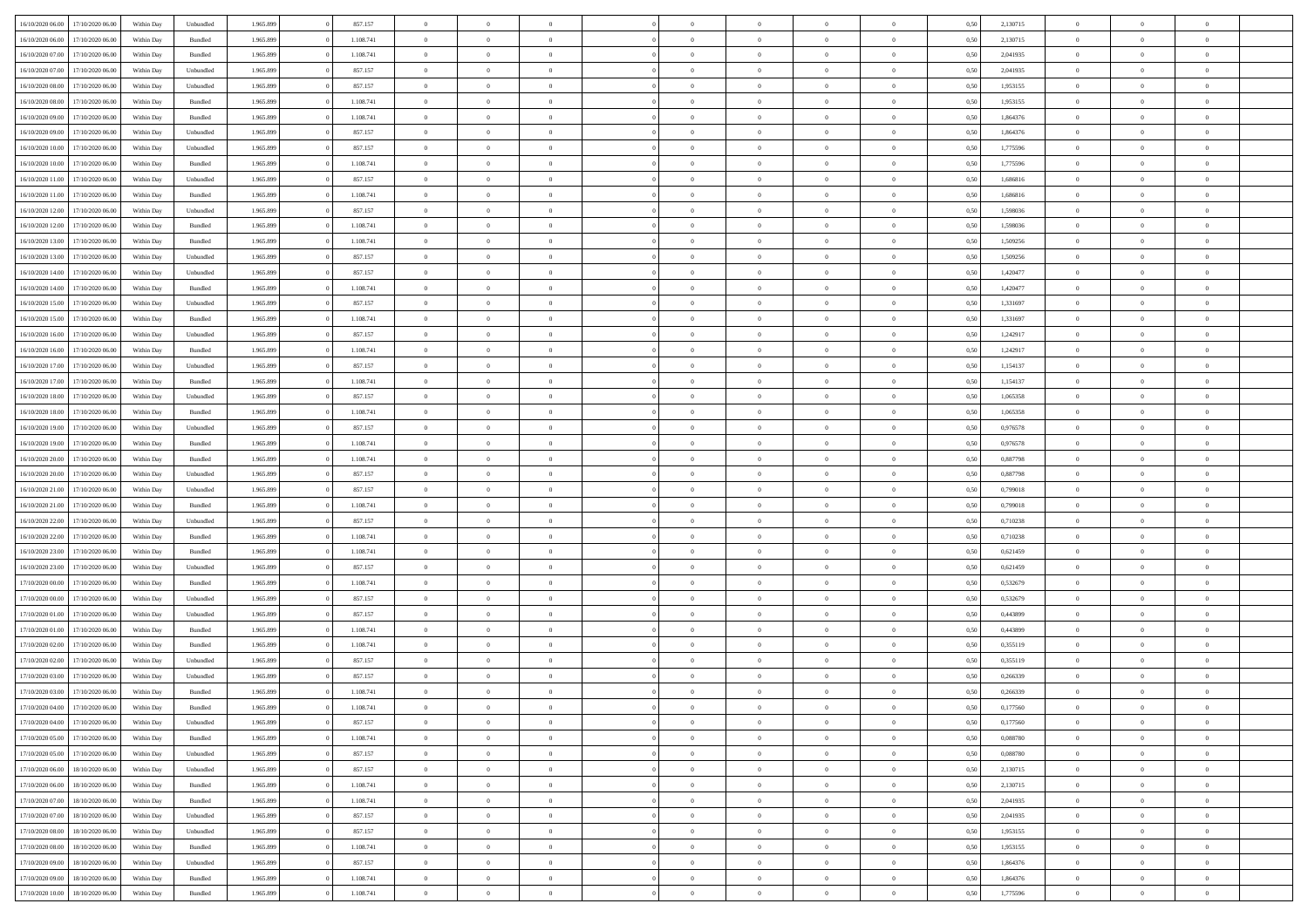|                                   |                  |            |                    |           |           |                |                |                |                | $\Omega$       | $\theta$       | $\theta$       |      |          | $\theta$       | $\overline{0}$ |                |  |
|-----------------------------------|------------------|------------|--------------------|-----------|-----------|----------------|----------------|----------------|----------------|----------------|----------------|----------------|------|----------|----------------|----------------|----------------|--|
| 16/10/2020 06:00                  | 17/10/2020 06.00 | Within Dav | Unbundled          | 1.965.899 | 857.157   | $\overline{0}$ | $\theta$       |                | $\Omega$       |                |                |                | 0,50 | 2,130715 |                |                | $\overline{0}$ |  |
| 16/10/2020 06.00                  | 17/10/2020 06.00 | Within Day | Bundled            | 1.965.899 | 1.108.741 | $\overline{0}$ | $\overline{0}$ | $\overline{0}$ | $\overline{0}$ | $\bf{0}$       | $\overline{0}$ | $\bf{0}$       | 0,50 | 2,130715 | $\theta$       | $\overline{0}$ | $\overline{0}$ |  |
| 16/10/2020 07.00                  | 17/10/2020 06.00 | Within Day | Bundled            | 1.965.899 | 1.108.741 | $\overline{0}$ | $\overline{0}$ | $\overline{0}$ | $\bf{0}$       | $\bf{0}$       | $\bf{0}$       | $\mathbf{0}$   | 0,50 | 2,041935 | $\overline{0}$ | $\overline{0}$ | $\overline{0}$ |  |
| 16/10/2020 07:00                  | 17/10/2020 06:00 | Within Dav | Unbundled          | 1.965.899 | 857.157   | $\overline{0}$ | $\overline{0}$ | $\overline{0}$ | $\overline{0}$ | $\bf{0}$       | $\overline{0}$ | $\overline{0}$ | 0.50 | 2,041935 | $\theta$       | $\overline{0}$ | $\overline{0}$ |  |
|                                   |                  |            |                    |           |           | $\overline{0}$ | $\theta$       | $\overline{0}$ | $\overline{0}$ | $\bf{0}$       | $\overline{0}$ |                |      |          | $\,$ 0 $\,$    | $\overline{0}$ | $\overline{0}$ |  |
| 16/10/2020 08:00                  | 17/10/2020 06.00 | Within Day | Unbundled          | 1.965.899 | 857.157   |                |                |                |                |                |                | $\bf{0}$       | 0,50 | 1,953155 |                |                |                |  |
| 16/10/2020 08:00                  | 17/10/2020 06.00 | Within Day | Bundled            | 1.965.899 | 1.108.741 | $\overline{0}$ | $\overline{0}$ | $\overline{0}$ | $\bf{0}$       | $\overline{0}$ | $\overline{0}$ | $\mathbf{0}$   | 0,50 | 1,953155 | $\overline{0}$ | $\overline{0}$ | $\bf{0}$       |  |
| 16/10/2020 09:00                  | 17/10/2020 06.00 | Within Dav | Bundled            | 1.965.899 | 1.108.741 | $\overline{0}$ | $\overline{0}$ | $\overline{0}$ | $\overline{0}$ | $\overline{0}$ | $\overline{0}$ | $\overline{0}$ | 0.50 | 1,864376 | $\theta$       | $\overline{0}$ | $\overline{0}$ |  |
| 16/10/2020 09:00                  | 17/10/2020 06.00 | Within Day | Unbundled          | 1.965.899 | 857.157   | $\overline{0}$ | $\theta$       | $\overline{0}$ | $\overline{0}$ | $\bf{0}$       | $\overline{0}$ | $\bf{0}$       | 0,50 | 1,864376 | $\,$ 0 $\,$    | $\theta$       | $\overline{0}$ |  |
| 16/10/2020 10:00                  | 17/10/2020 06.00 | Within Day | Unbundled          | 1.965.899 | 857.157   | $\overline{0}$ | $\overline{0}$ | $\overline{0}$ | $\bf{0}$       | $\bf{0}$       | $\bf{0}$       | $\mathbf{0}$   | 0,50 | 1,775596 | $\,0\,$        | $\overline{0}$ | $\overline{0}$ |  |
|                                   |                  |            |                    |           |           |                | $\overline{0}$ |                |                | $\overline{0}$ |                |                |      |          | $\theta$       | $\overline{0}$ | $\overline{0}$ |  |
| 16/10/2020 10:00                  | 17/10/2020 06.00 | Within Dav | Bundled            | 1.965.899 | 1.108.741 | $\overline{0}$ |                | $\overline{0}$ | $\overline{0}$ |                | $\overline{0}$ | $\overline{0}$ | 0.50 | 1,775596 |                |                |                |  |
| 16/10/2020 11:00                  | 17/10/2020 06.00 | Within Day | Unbundled          | 1.965.899 | 857.157   | $\overline{0}$ | $\theta$       | $\overline{0}$ | $\overline{0}$ | $\bf{0}$       | $\overline{0}$ | $\bf{0}$       | 0,50 | 1,686816 | $\,$ 0 $\,$    | $\overline{0}$ | $\overline{0}$ |  |
| 16/10/2020 11:00                  | 17/10/2020 06.00 | Within Day | Bundled            | 1.965.899 | 1.108.741 | $\overline{0}$ | $\overline{0}$ | $\overline{0}$ | $\bf{0}$       | $\overline{0}$ | $\bf{0}$       | $\mathbf{0}$   | 0,50 | 1,686816 | $\overline{0}$ | $\overline{0}$ | $\bf{0}$       |  |
| 16/10/2020 12:00                  | 17/10/2020 06:00 | Within Day | Unbundled          | 1.965.899 | 857.157   | $\overline{0}$ | $\overline{0}$ | $\overline{0}$ | $\overline{0}$ | $\overline{0}$ | $\overline{0}$ | $\overline{0}$ | 0.50 | 1,598036 | $\theta$       | $\theta$       | $\overline{0}$ |  |
| 16/10/2020 12:00                  | 17/10/2020 06.00 | Within Day | Bundled            | 1.965.899 | 1.108.741 | $\overline{0}$ | $\theta$       | $\overline{0}$ | $\overline{0}$ | $\bf{0}$       | $\overline{0}$ | $\bf{0}$       | 0,50 | 1,598036 | $\,$ 0 $\,$    | $\overline{0}$ | $\overline{0}$ |  |
|                                   |                  |            |                    |           |           |                |                |                |                |                |                |                |      |          |                |                |                |  |
| 16/10/2020 13:00                  | 17/10/2020 06.00 | Within Day | Bundled            | 1.965.899 | 1.108.741 | $\overline{0}$ | $\overline{0}$ | $\overline{0}$ | $\bf{0}$       | $\overline{0}$ | $\overline{0}$ | $\mathbf{0}$   | 0,50 | 1,509256 | $\overline{0}$ | $\overline{0}$ | $\bf{0}$       |  |
| 16/10/2020 13:00                  | 17/10/2020 06.00 | Within Dav | Unbundled          | 1.965.899 | 857.157   | $\overline{0}$ | $\overline{0}$ | $\overline{0}$ | $\overline{0}$ | $\overline{0}$ | $\overline{0}$ | $\overline{0}$ | 0.50 | 1,509256 | $\theta$       | $\overline{0}$ | $\overline{0}$ |  |
| 16/10/2020 14:00                  | 17/10/2020 06.00 | Within Day | Unbundled          | 1.965.899 | 857.157   | $\overline{0}$ | $\theta$       | $\overline{0}$ | $\overline{0}$ | $\bf{0}$       | $\overline{0}$ | $\bf{0}$       | 0,50 | 1,420477 | $\,$ 0 $\,$    | $\overline{0}$ | $\overline{0}$ |  |
| 16/10/2020 14:00                  | 17/10/2020 06.00 | Within Day | Bundled            | 1.965.899 | 1.108.741 | $\overline{0}$ | $\overline{0}$ | $\overline{0}$ | $\bf{0}$       | $\bf{0}$       | $\bf{0}$       | $\mathbf{0}$   | 0,50 | 1,420477 | $\bf{0}$       | $\overline{0}$ | $\bf{0}$       |  |
| 16/10/2020 15:00                  | 17/10/2020 06:00 | Within Day | Unbundled          | 1.965.899 | 857.157   | $\overline{0}$ | $\overline{0}$ | $\overline{0}$ | $\overline{0}$ | $\overline{0}$ | $\overline{0}$ | $\overline{0}$ | 0.50 | 1,331697 | $\theta$       | $\overline{0}$ | $\overline{0}$ |  |
| 16/10/2020 15:00                  | 17/10/2020 06.00 | Within Day | Bundled            | 1.965.899 | 1.108.741 | $\overline{0}$ | $\theta$       | $\overline{0}$ | $\overline{0}$ | $\bf{0}$       | $\overline{0}$ | $\bf{0}$       | 0,50 | 1,331697 | $\,$ 0 $\,$    | $\overline{0}$ | $\overline{0}$ |  |
|                                   |                  |            |                    |           |           |                |                |                |                |                |                |                |      |          |                |                |                |  |
| 16/10/2020 16.00                  | 17/10/2020 06.00 | Within Day | Unbundled          | 1.965.899 | 857.157   | $\overline{0}$ | $\overline{0}$ | $\overline{0}$ | $\bf{0}$       | $\bf{0}$       | $\bf{0}$       | $\bf{0}$       | 0,50 | 1,242917 | $\overline{0}$ | $\overline{0}$ | $\bf{0}$       |  |
| 16/10/2020 16:00                  | 17/10/2020 06:00 | Within Day | Bundled            | 1.965.899 | 1.108.741 | $\overline{0}$ | $\overline{0}$ | $\overline{0}$ | $\overline{0}$ | $\overline{0}$ | $\overline{0}$ | $\overline{0}$ | 0.50 | 1.242917 | $\theta$       | $\overline{0}$ | $\overline{0}$ |  |
| 16/10/2020 17:00                  | 17/10/2020 06.00 | Within Day | Unbundled          | 1.965.899 | 857.157   | $\overline{0}$ | $\theta$       | $\overline{0}$ | $\overline{0}$ | $\bf{0}$       | $\overline{0}$ | $\bf{0}$       | 0,50 | 1,154137 | $\,$ 0 $\,$    | $\overline{0}$ | $\overline{0}$ |  |
| 16/10/2020 17.00                  | 17/10/2020 06.00 | Within Day | Bundled            | 1.965.899 | 1.108.741 | $\overline{0}$ | $\overline{0}$ | $\overline{0}$ | $\bf{0}$       | $\overline{0}$ | $\overline{0}$ | $\mathbf{0}$   | 0,50 | 1,154137 | $\overline{0}$ | $\overline{0}$ | $\bf{0}$       |  |
| 16/10/2020 18:00                  | 17/10/2020 06.00 | Within Dav | Unbundled          | 1.965.899 | 857.157   | $\overline{0}$ | $\overline{0}$ | $\overline{0}$ | $\overline{0}$ | $\overline{0}$ | $\overline{0}$ | $\overline{0}$ | 0.50 | 1,065358 | $\overline{0}$ | $\overline{0}$ | $\overline{0}$ |  |
| 16/10/2020 18:00                  | 17/10/2020 06.00 | Within Day | Bundled            | 1.965.899 | 1.108.741 | $\overline{0}$ | $\theta$       | $\overline{0}$ | $\overline{0}$ | $\bf{0}$       | $\overline{0}$ | $\bf{0}$       | 0,50 | 1,065358 | $\,$ 0 $\,$    | $\overline{0}$ | $\overline{0}$ |  |
| 16/10/2020 19:00                  | 17/10/2020 06.00 | Within Day | Unbundled          | 1.965.899 | 857.157   | $\overline{0}$ | $\overline{0}$ | $\overline{0}$ | $\bf{0}$       | $\bf{0}$       | $\bf{0}$       | $\bf{0}$       | 0,50 | 0,976578 | $\,0\,$        | $\overline{0}$ | $\overline{0}$ |  |
|                                   |                  |            |                    |           |           |                |                |                |                |                |                |                |      |          |                |                |                |  |
| 16/10/2020 19:00                  | 17/10/2020 06:00 | Within Day | Bundled            | 1.965.899 | 1.108.741 | $\overline{0}$ | $\overline{0}$ | $\overline{0}$ | $\overline{0}$ | $\overline{0}$ | $\overline{0}$ | $\overline{0}$ | 0.50 | 0,976578 | $\theta$       | $\overline{0}$ | $\overline{0}$ |  |
| 16/10/2020 20:00                  | 17/10/2020 06.00 | Within Day | Bundled            | 1.965.899 | 1.108.741 | $\overline{0}$ | $\overline{0}$ | $\overline{0}$ | $\overline{0}$ | $\,$ 0         | $\overline{0}$ | $\bf{0}$       | 0,50 | 0,887798 | $\,$ 0 $\,$    | $\overline{0}$ | $\overline{0}$ |  |
| 16/10/2020 20.00                  | 17/10/2020 06.00 | Within Day | Unbundled          | 1.965.899 | 857.157   | $\overline{0}$ | $\overline{0}$ | $\overline{0}$ | $\bf{0}$       | $\overline{0}$ | $\bf{0}$       | $\bf{0}$       | 0,50 | 0,887798 | $\bf{0}$       | $\overline{0}$ | $\bf{0}$       |  |
| 16/10/2020 21:00                  | 17/10/2020 06.00 | Within Day | Unbundled          | 1.965.899 | 857.157   | $\bf{0}$       | $\theta$       | $\overline{0}$ | $\Omega$       | $\Omega$       | $\overline{0}$ | $\overline{0}$ | 0,50 | 0,799018 | $\,0\,$        | $\theta$       | $\theta$       |  |
| 16/10/2020 21.00                  | 17/10/2020 06.00 | Within Day | Bundled            | 1.965.899 | 1.108.741 | $\overline{0}$ | $\overline{0}$ | $\overline{0}$ | $\overline{0}$ | $\bf{0}$       | $\overline{0}$ | $\bf{0}$       | 0,50 | 0,799018 | $\,$ 0 $\,$    | $\overline{0}$ | $\overline{0}$ |  |
| 16/10/2020 22:00                  | 17/10/2020 06.00 | Within Day | Unbundled          | 1.965.899 | 857.157   | $\overline{0}$ | $\overline{0}$ | $\overline{0}$ | $\bf{0}$       | $\overline{0}$ | $\overline{0}$ | $\mathbf{0}$   | 0,50 | 0,710238 | $\bf{0}$       | $\overline{0}$ | $\bf{0}$       |  |
| 16/10/2020 22.00                  | 17/10/2020 06.00 |            | Bundled            | 1.965.899 | 1.108.741 | $\overline{0}$ | $\overline{0}$ | $\Omega$       | $\Omega$       | $\overline{0}$ | $\overline{0}$ | $\overline{0}$ | 0.50 | 0,710238 | $\,0\,$        | $\theta$       | $\overline{0}$ |  |
|                                   |                  | Within Day |                    |           |           |                |                |                |                |                |                |                |      |          |                |                |                |  |
| 16/10/2020 23.00                  | 17/10/2020 06.00 | Within Day | Bundled            | 1.965.899 | 1.108.741 | $\overline{0}$ | $\theta$       | $\overline{0}$ | $\overline{0}$ | $\bf{0}$       | $\overline{0}$ | $\bf{0}$       | 0,50 | 0,621459 | $\,$ 0 $\,$    | $\overline{0}$ | $\overline{0}$ |  |
| 16/10/2020 23:00                  | 17/10/2020 06.00 | Within Day | Unbundled          | 1.965.899 | 857.157   | $\overline{0}$ | $\bf{0}$       | $\overline{0}$ | $\bf{0}$       | $\bf{0}$       | $\bf{0}$       | $\mathbf{0}$   | 0,50 | 0,621459 | $\bf{0}$       | $\overline{0}$ | $\bf{0}$       |  |
| 17/10/2020 00:00                  | 17/10/2020 06:00 | Within Day | Bundled            | 1.965.899 | 1.108.741 | $\overline{0}$ | $\overline{0}$ | $\overline{0}$ | $\Omega$       | $\overline{0}$ | $\overline{0}$ | $\overline{0}$ | 0.50 | 0,532679 | $\,$ 0 $\,$    | $\theta$       | $\theta$       |  |
| 17/10/2020 00:00                  | 17/10/2020 06.00 | Within Day | Unbundled          | 1.965.899 | 857.157   | $\overline{0}$ | $\overline{0}$ | $\overline{0}$ | $\overline{0}$ | $\,$ 0         | $\overline{0}$ | $\bf{0}$       | 0,50 | 0,532679 | $\,$ 0 $\,$    | $\overline{0}$ | $\overline{0}$ |  |
| 17/10/2020 01.00                  | 17/10/2020 06.00 | Within Day | Unbundled          | 1.965.899 | 857.157   | $\overline{0}$ | $\overline{0}$ | $\overline{0}$ | $\bf{0}$       | $\bf{0}$       | $\overline{0}$ | $\mathbf{0}$   | 0,50 | 0,443899 | $\overline{0}$ | $\overline{0}$ | $\bf{0}$       |  |
| 17/10/2020 01:00                  | 17/10/2020 06.00 | Within Day | Bundled            | 1.965.899 | 1.108.741 | $\overline{0}$ | $\theta$       | $\overline{0}$ | $\Omega$       | $\overline{0}$ | $\overline{0}$ | $\overline{0}$ | 0,50 | 0,443899 | $\,0\,$        | $\theta$       | $\overline{0}$ |  |
|                                   |                  |            |                    |           |           |                | $\overline{0}$ |                |                |                |                |                |      |          |                |                |                |  |
| 17/10/2020 02.00                  | 17/10/2020 06.00 | Within Day | Bundled            | 1.965.899 | 1.108.741 | $\overline{0}$ |                | $\overline{0}$ | $\overline{0}$ | $\,$ 0         | $\overline{0}$ | $\bf{0}$       | 0,50 | 0,355119 | $\,$ 0 $\,$    | $\overline{0}$ | $\overline{0}$ |  |
| 17/10/2020 02.00                  | 17/10/2020 06.00 | Within Day | Unbundled          | 1.965.899 | 857.157   | $\overline{0}$ | $\overline{0}$ | $\overline{0}$ | $\bf{0}$       | $\overline{0}$ | $\overline{0}$ | $\mathbf{0}$   | 0,50 | 0,355119 | $\overline{0}$ | $\overline{0}$ | $\bf{0}$       |  |
| 17/10/2020 03:00                  | 17/10/2020 06.00 | Within Day | Unbundled          | 1.965.899 | 857.157   | $\overline{0}$ | $\Omega$       | $\Omega$       | $\Omega$       | $\Omega$       | $\overline{0}$ | $\overline{0}$ | 0.50 | 0,266339 | $\theta$       | $\theta$       | $\theta$       |  |
| 17/10/2020 03.00                  | 17/10/2020 06.00 | Within Day | Bundled            | 1.965.899 | 1.108.741 | $\overline{0}$ | $\overline{0}$ | $\overline{0}$ | $\bf{0}$       | $\,$ 0         | $\bf{0}$       | $\bf{0}$       | 0,50 | 0,266339 | $\,0\,$        | $\,$ 0 $\,$    | $\overline{0}$ |  |
| 17/10/2020 04:00 17/10/2020 06:00 |                  | Within Day | $\mathbf B$ undled | 1.965.899 | 1.108.741 | $\overline{0}$ | $\bf{0}$       |                |                | $\bf{0}$       |                |                | 0,50 | 0,177560 | $\bf{0}$       | $\overline{0}$ |                |  |
| 17/10/2020 04:00                  | 17/10/2020 06:00 | Within Day | Unbundled          | 1.965.899 | 857.157   | $\overline{0}$ | $\overline{0}$ | $\overline{0}$ | $\Omega$       | $\overline{0}$ | $\overline{0}$ | $\overline{0}$ | 0,50 | 0,177560 | $\theta$       | $\theta$       | $\theta$       |  |
| 17/10/2020 05.00                  | 17/10/2020 06.00 | Within Day | Bundled            | 1.965.899 | 1.108.741 | $\overline{0}$ | $\,$ 0         | $\overline{0}$ | $\bf{0}$       | $\,$ 0 $\,$    | $\overline{0}$ | $\,$ 0 $\,$    | 0,50 | 0,088780 | $\,$ 0 $\,$    | $\,$ 0 $\,$    | $\,$ 0         |  |
|                                   |                  |            |                    |           |           |                |                |                |                |                |                |                |      |          |                |                |                |  |
| 17/10/2020 05:00                  | 17/10/2020 06.00 | Within Day | Unbundled          | 1.965.899 | 857.157   | $\overline{0}$ | $\overline{0}$ | $\overline{0}$ | $\overline{0}$ | $\overline{0}$ | $\overline{0}$ | $\mathbf{0}$   | 0,50 | 0,088780 | $\overline{0}$ | $\bf{0}$       | $\bf{0}$       |  |
| 17/10/2020 06:00                  | 18/10/2020 06:00 | Within Day | Unbundled          | 1.965.899 | 857.157   | $\overline{0}$ | $\overline{0}$ | $\overline{0}$ | $\Omega$       | $\overline{0}$ | $\overline{0}$ | $\overline{0}$ | 0,50 | 2,130715 | $\overline{0}$ | $\theta$       | $\overline{0}$ |  |
| 17/10/2020 06.00                  | 18/10/2020 06.00 | Within Day | Bundled            | 1.965.899 | 1.108.741 | $\overline{0}$ | $\,$ 0         | $\overline{0}$ | $\bf{0}$       | $\,$ 0 $\,$    | $\overline{0}$ | $\mathbf{0}$   | 0,50 | 2,130715 | $\,$ 0 $\,$    | $\overline{0}$ | $\overline{0}$ |  |
| 17/10/2020 07.00                  | 18/10/2020 06:00 | Within Day | Bundled            | 1.965.899 | 1.108.741 | $\overline{0}$ | $\overline{0}$ | $\overline{0}$ | $\overline{0}$ | $\overline{0}$ | $\overline{0}$ | $\mathbf{0}$   | 0,50 | 2,041935 | $\overline{0}$ | $\overline{0}$ | $\bf{0}$       |  |
| 17/10/2020 07:00                  | 18/10/2020 06:00 | Within Day | Unbundled          | 1.965.899 | 857.157   | $\overline{0}$ | $\overline{0}$ | $\overline{0}$ | $\overline{0}$ | $\overline{0}$ | $\overline{0}$ | $\bf{0}$       | 0.50 | 2.041935 | $\overline{0}$ | $\theta$       | $\overline{0}$ |  |
| 17/10/2020 08:00                  | 18/10/2020 06.00 | Within Day | Unbundled          | 1.965.899 | 857.157   | $\overline{0}$ | $\,$ 0         | $\overline{0}$ | $\bf{0}$       | $\bf{0}$       | $\bf{0}$       | $\bf{0}$       | 0,50 | 1,953155 | $\,$ 0 $\,$    | $\overline{0}$ | $\overline{0}$ |  |
|                                   |                  |            |                    |           |           |                |                |                |                |                |                |                |      |          |                |                |                |  |
| 17/10/2020 08:00                  | 18/10/2020 06:00 | Within Day | Bundled            | 1.965.899 | 1.108.741 | $\overline{0}$ | $\bf{0}$       | $\overline{0}$ | $\overline{0}$ | $\overline{0}$ | $\overline{0}$ | $\mathbf{0}$   | 0,50 | 1,953155 | $\overline{0}$ | $\overline{0}$ | $\bf{0}$       |  |
| 17/10/2020 09:00                  | 18/10/2020 06:00 | Within Day | Unbundled          | 1.965.899 | 857.157   | $\overline{0}$ | $\overline{0}$ | $\overline{0}$ | $\Omega$       | $\overline{0}$ | $\overline{0}$ | $\overline{0}$ | 0.50 | 1,864376 | $\overline{0}$ | $\overline{0}$ | $\overline{0}$ |  |
| 17/10/2020 09:00                  | 18/10/2020 06.00 | Within Day | Bundled            | 1.965.899 | 1.108.741 | $\overline{0}$ | $\bf{0}$       | $\overline{0}$ | $\bf{0}$       | $\bf{0}$       | $\bf{0}$       | $\mathbf{0}$   | 0,50 | 1,864376 | $\,$ 0 $\,$    | $\,$ 0 $\,$    | $\bf{0}$       |  |
| 17/10/2020 10:00                  | 18/10/2020 06.00 | Within Day | Bundled            | 1.965.899 | 1.108.741 | $\overline{0}$ | $\overline{0}$ | $\overline{0}$ | $\overline{0}$ | $\overline{0}$ | $\bf{0}$       | $\mathbf{0}$   | 0,50 | 1,775596 | $\overline{0}$ | $\bf{0}$       | $\overline{0}$ |  |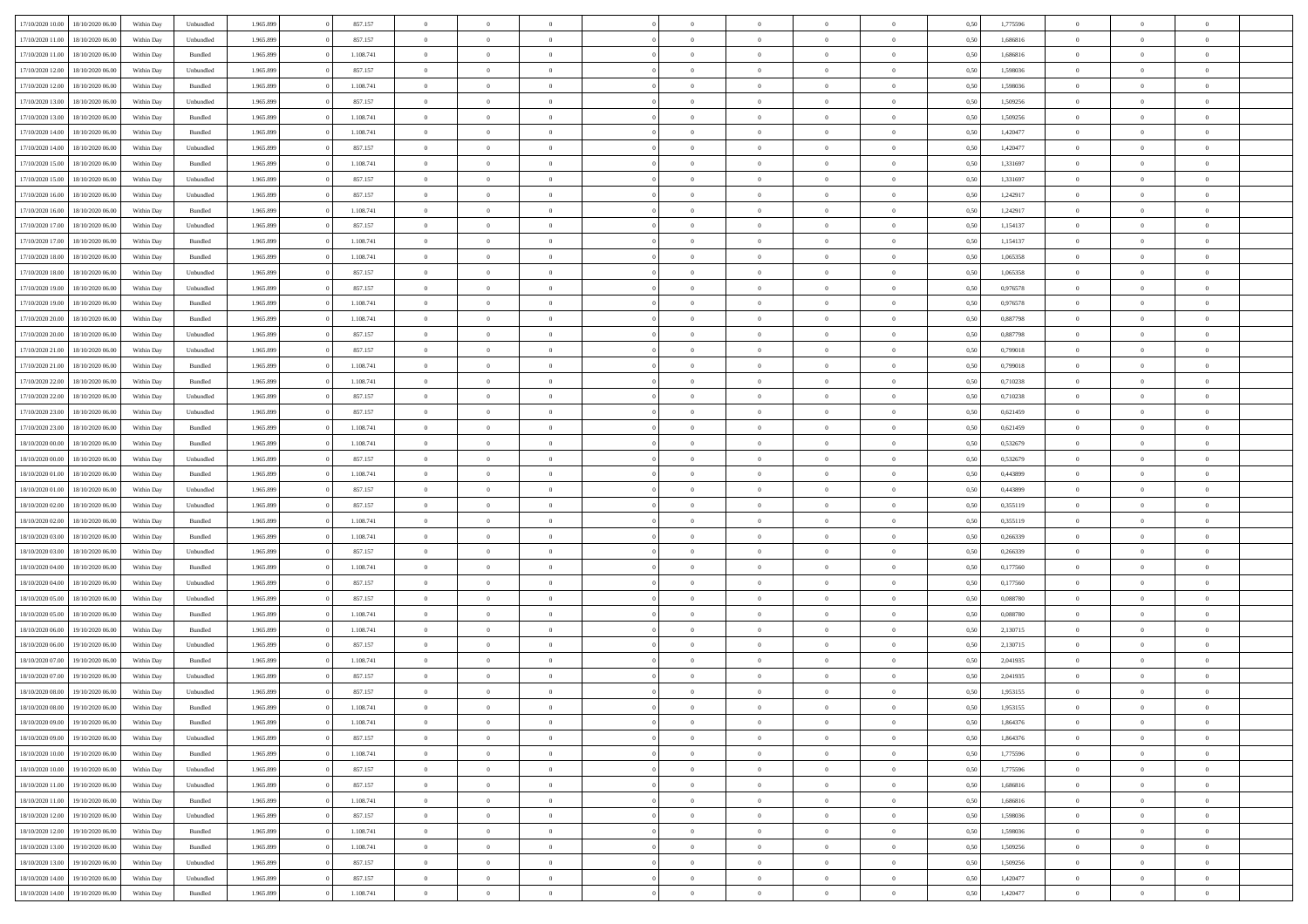| 17/10/2020 10:00 | 18/10/2020 06:00 | Within Dav | Unbundled          | 1.965.899 | 857.157   | $\overline{0}$ | $\theta$       |                | $\Omega$       | $\Omega$       | $\theta$       | $\theta$       | 0,50 | 1,775596 | $\theta$       | $\overline{0}$ | $\overline{0}$ |  |
|------------------|------------------|------------|--------------------|-----------|-----------|----------------|----------------|----------------|----------------|----------------|----------------|----------------|------|----------|----------------|----------------|----------------|--|
| 17/10/2020 11:00 | 18/10/2020 06:00 | Within Day | Unbundled          | 1.965.899 | 857.157   | $\overline{0}$ | $\overline{0}$ | $\overline{0}$ | $\overline{0}$ | $\bf{0}$       | $\overline{0}$ | $\bf{0}$       | 0,50 | 1,686816 | $\theta$       | $\overline{0}$ | $\overline{0}$ |  |
| 17/10/2020 11:00 | 18/10/2020 06:00 | Within Day | Bundled            | 1.965.899 | 1.108.741 | $\overline{0}$ | $\overline{0}$ | $\overline{0}$ | $\bf{0}$       | $\bf{0}$       | $\bf{0}$       | $\mathbf{0}$   | 0,50 | 1,686816 | $\bf{0}$       | $\overline{0}$ | $\overline{0}$ |  |
| 17/10/2020 12:00 | 18/10/2020 06:00 | Within Dav | Unbundled          | 1.965.899 | 857.157   | $\overline{0}$ | $\overline{0}$ | $\overline{0}$ | $\overline{0}$ | $\bf{0}$       | $\overline{0}$ | $\overline{0}$ | 0.50 | 1.598036 | $\theta$       | $\overline{0}$ | $\overline{0}$ |  |
|                  |                  |            |                    |           |           | $\overline{0}$ | $\theta$       |                |                |                |                |                |      |          |                | $\overline{0}$ |                |  |
| 17/10/2020 12:00 | 18/10/2020 06:00 | Within Day | Bundled            | 1.965.899 | 1.108.741 |                |                | $\overline{0}$ | $\overline{0}$ | $\bf{0}$       | $\overline{0}$ | $\bf{0}$       | 0,50 | 1,598036 | $\,$ 0 $\,$    |                | $\overline{0}$ |  |
| 17/10/2020 13:00 | 18/10/2020 06:00 | Within Day | Unbundled          | 1.965.899 | 857.157   | $\overline{0}$ | $\overline{0}$ | $\overline{0}$ | $\bf{0}$       | $\overline{0}$ | $\overline{0}$ | $\mathbf{0}$   | 0,50 | 1,509256 | $\bf{0}$       | $\overline{0}$ | $\bf{0}$       |  |
| 17/10/2020 13:00 | 18/10/2020 06:00 | Within Dav | Bundled            | 1.965.899 | 1.108.741 | $\overline{0}$ | $\overline{0}$ | $\overline{0}$ | $\overline{0}$ | $\overline{0}$ | $\overline{0}$ | $\overline{0}$ | 0.50 | 1,509256 | $\overline{0}$ | $\overline{0}$ | $\overline{0}$ |  |
| 17/10/2020 14:00 | 18/10/2020 06:00 | Within Day | Bundled            | 1.965.899 | 1.108.741 | $\overline{0}$ | $\theta$       | $\overline{0}$ | $\overline{0}$ | $\bf{0}$       | $\overline{0}$ | $\bf{0}$       | 0,50 | 1,420477 | $\,$ 0 $\,$    | $\theta$       | $\overline{0}$ |  |
| 17/10/2020 14:00 | 18/10/2020 06:00 | Within Day | Unbundled          | 1.965.899 | 857.157   | $\overline{0}$ | $\overline{0}$ | $\overline{0}$ | $\bf{0}$       | $\bf{0}$       | $\bf{0}$       | $\mathbf{0}$   | 0,50 | 1,420477 | $\,0\,$        | $\overline{0}$ | $\overline{0}$ |  |
| 17/10/2020 15:00 | 18/10/2020 06:00 | Within Dav | Bundled            | 1.965.899 | 1.108.741 | $\overline{0}$ | $\overline{0}$ | $\overline{0}$ | $\overline{0}$ | $\overline{0}$ | $\overline{0}$ | $\overline{0}$ | 0.50 | 1,331697 | $\theta$       | $\overline{0}$ | $\overline{0}$ |  |
|                  |                  |            |                    |           |           |                |                |                |                |                |                |                |      |          |                |                |                |  |
| 17/10/2020 15:00 | 18/10/2020 06:00 | Within Day | Unbundled          | 1.965.899 | 857.157   | $\overline{0}$ | $\theta$       | $\overline{0}$ | $\overline{0}$ | $\bf{0}$       | $\overline{0}$ | $\bf{0}$       | 0,50 | 1,331697 | $\,$ 0 $\,$    | $\overline{0}$ | $\overline{0}$ |  |
| 17/10/2020 16.00 | 18/10/2020 06:00 | Within Day | Unbundled          | 1.965.899 | 857.157   | $\overline{0}$ | $\overline{0}$ | $\overline{0}$ | $\bf{0}$       | $\bf{0}$       | $\bf{0}$       | $\mathbf{0}$   | 0,50 | 1,242917 | $\bf{0}$       | $\overline{0}$ | $\bf{0}$       |  |
| 17/10/2020 16:00 | 18/10/2020 06:00 | Within Dav | Bundled            | 1.965.899 | 1.108.741 | $\overline{0}$ | $\overline{0}$ | $\overline{0}$ | $\overline{0}$ | $\overline{0}$ | $\overline{0}$ | $\overline{0}$ | 0.50 | 1,242917 | $\theta$       | $\theta$       | $\overline{0}$ |  |
| 17/10/2020 17:00 | 18/10/2020 06:00 | Within Day | Unbundled          | 1.965.899 | 857.157   | $\overline{0}$ | $\theta$       | $\overline{0}$ | $\overline{0}$ | $\bf{0}$       | $\overline{0}$ | $\bf{0}$       | 0,50 | 1,154137 | $\,$ 0 $\,$    | $\overline{0}$ | $\overline{0}$ |  |
| 17/10/2020 17:00 | 18/10/2020 06:00 | Within Day | Bundled            | 1.965.899 | 1.108.741 | $\overline{0}$ | $\overline{0}$ | $\overline{0}$ | $\bf{0}$       | $\overline{0}$ | $\overline{0}$ | $\mathbf{0}$   | 0,50 | 1,154137 | $\overline{0}$ | $\overline{0}$ | $\bf{0}$       |  |
| 17/10/2020 18:00 | 18/10/2020 06:00 | Within Dav | Bundled            | 1.965.899 | 1.108.741 | $\overline{0}$ | $\overline{0}$ | $\overline{0}$ | $\overline{0}$ | $\overline{0}$ | $\overline{0}$ | $\overline{0}$ | 0.50 | 1,065358 | $\overline{0}$ | $\overline{0}$ | $\overline{0}$ |  |
|                  |                  |            |                    |           |           |                |                |                |                |                |                |                |      |          |                |                |                |  |
| 17/10/2020 18:00 | 18/10/2020 06.00 | Within Day | Unbundled          | 1.965.899 | 857.157   | $\overline{0}$ | $\theta$       | $\overline{0}$ | $\overline{0}$ | $\bf{0}$       | $\overline{0}$ | $\bf{0}$       | 0,50 | 1,065358 | $\,$ 0 $\,$    | $\overline{0}$ | $\overline{0}$ |  |
| 17/10/2020 19:00 | 18/10/2020 06:00 | Within Day | Unbundled          | 1.965.899 | 857.157   | $\overline{0}$ | $\overline{0}$ | $\overline{0}$ | $\bf{0}$       | $\bf{0}$       | $\bf{0}$       | $\mathbf{0}$   | 0,50 | 0,976578 | $\bf{0}$       | $\overline{0}$ | $\bf{0}$       |  |
| 17/10/2020 19:00 | 18/10/2020 06:00 | Within Dav | Bundled            | 1.965.899 | 1.108.741 | $\overline{0}$ | $\overline{0}$ | $\overline{0}$ | $\overline{0}$ | $\overline{0}$ | $\overline{0}$ | $\overline{0}$ | 0.50 | 0,976578 | $\theta$       | $\overline{0}$ | $\overline{0}$ |  |
| 17/10/2020 20.00 | 18/10/2020 06:00 | Within Day | Bundled            | 1.965.899 | 1.108.741 | $\overline{0}$ | $\theta$       | $\overline{0}$ | $\overline{0}$ | $\bf{0}$       | $\overline{0}$ | $\bf{0}$       | 0,50 | 0,887798 | $\,$ 0 $\,$    | $\overline{0}$ | $\overline{0}$ |  |
| 17/10/2020 20.00 | 18/10/2020 06:00 | Within Day | Unbundled          | 1.965.899 | 857.157   | $\overline{0}$ | $\overline{0}$ | $\overline{0}$ | $\bf{0}$       | $\bf{0}$       | $\bf{0}$       | $\bf{0}$       | 0,50 | 0,887798 | $\overline{0}$ | $\overline{0}$ | $\bf{0}$       |  |
| 17/10/2020 21:00 | 18/10/2020 06:00 | Within Day | Unbundled          | 1.965.899 | 857.157   | $\overline{0}$ | $\overline{0}$ | $\overline{0}$ | $\overline{0}$ | $\overline{0}$ | $\overline{0}$ | $\overline{0}$ | 0.50 | 0.799018 | $\theta$       | $\overline{0}$ | $\overline{0}$ |  |
|                  |                  |            |                    |           |           |                |                |                |                |                |                |                |      |          |                |                |                |  |
| 17/10/2020 21.00 | 18/10/2020 06:00 | Within Day | Bundled            | 1.965.899 | 1.108.741 | $\overline{0}$ | $\theta$       | $\overline{0}$ | $\overline{0}$ | $\bf{0}$       | $\overline{0}$ | $\bf{0}$       | 0,50 | 0,799018 | $\,$ 0 $\,$    | $\overline{0}$ | $\overline{0}$ |  |
| 17/10/2020 22.00 | 18/10/2020 06:00 | Within Day | Bundled            | 1.965.899 | 1.108.741 | $\overline{0}$ | $\overline{0}$ | $\overline{0}$ | $\bf{0}$       | $\overline{0}$ | $\overline{0}$ | $\mathbf{0}$   | 0,50 | 0,710238 | $\overline{0}$ | $\overline{0}$ | $\bf{0}$       |  |
| 17/10/2020 22.00 | 18/10/2020 06:00 | Within Dav | Unbundled          | 1.965.899 | 857.157   | $\overline{0}$ | $\overline{0}$ | $\overline{0}$ | $\overline{0}$ | $\overline{0}$ | $\overline{0}$ | $\overline{0}$ | 0.50 | 0,710238 | $\overline{0}$ | $\overline{0}$ | $\overline{0}$ |  |
| 17/10/2020 23.00 | 18/10/2020 06:00 | Within Day | Unbundled          | 1.965.899 | 857.157   | $\overline{0}$ | $\theta$       | $\overline{0}$ | $\overline{0}$ | $\bf{0}$       | $\overline{0}$ | $\bf{0}$       | 0,50 | 0,621459 | $\,$ 0 $\,$    | $\overline{0}$ | $\overline{0}$ |  |
| 17/10/2020 23.00 | 18/10/2020 06:00 | Within Day | Bundled            | 1.965.899 | 1.108.741 | $\overline{0}$ | $\overline{0}$ | $\overline{0}$ | $\bf{0}$       | $\bf{0}$       | $\bf{0}$       | $\bf{0}$       | 0,50 | 0,621459 | $\,0\,$        | $\overline{0}$ | $\overline{0}$ |  |
| 18/10/2020 00:00 | 18/10/2020 06:00 | Within Day | Bundled            | 1.965.899 | 1.108.741 | $\overline{0}$ | $\overline{0}$ | $\overline{0}$ | $\overline{0}$ | $\overline{0}$ | $\overline{0}$ | $\overline{0}$ | 0.50 | 0,532679 | $\theta$       | $\overline{0}$ | $\overline{0}$ |  |
| 18/10/2020 00:00 | 18/10/2020 06:00 | Within Day | Unbundled          | 1.965.899 | 857.157   | $\overline{0}$ | $\overline{0}$ | $\overline{0}$ | $\overline{0}$ | $\,$ 0         | $\overline{0}$ | $\bf{0}$       | 0,50 | 0,532679 | $\,$ 0 $\,$    | $\overline{0}$ | $\overline{0}$ |  |
|                  |                  |            |                    |           |           |                |                |                |                |                |                |                |      |          |                |                |                |  |
| 18/10/2020 01:00 | 18/10/2020 06:00 | Within Day | Bundled            | 1.965.899 | 1.108.741 | $\overline{0}$ | $\overline{0}$ | $\overline{0}$ | $\bf{0}$       | $\bf{0}$       | $\bf{0}$       | $\bf{0}$       | 0,50 | 0,443899 | $\bf{0}$       | $\overline{0}$ | $\bf{0}$       |  |
| 18/10/2020 01:00 | 18/10/2020 06:00 | Within Day | Unbundled          | 1.965.899 | 857.157   | $\bf{0}$       | $\theta$       | $\overline{0}$ | $\Omega$       | $\Omega$       | $\overline{0}$ | $\overline{0}$ | 0,50 | 0.443899 | $\,0\,$        | $\theta$       | $\theta$       |  |
| 18/10/2020 02.00 | 18/10/2020 06:00 | Within Day | Unbundled          | 1.965.899 | 857.157   | $\overline{0}$ | $\overline{0}$ | $\overline{0}$ | $\overline{0}$ | $\bf{0}$       | $\overline{0}$ | $\bf{0}$       | 0,50 | 0,355119 | $\,$ 0 $\,$    | $\overline{0}$ | $\overline{0}$ |  |
| 18/10/2020 02:00 | 18/10/2020 06:00 | Within Day | Bundled            | 1.965.899 | 1.108.741 | $\overline{0}$ | $\overline{0}$ | $\overline{0}$ | $\bf{0}$       | $\overline{0}$ | $\overline{0}$ | $\mathbf{0}$   | 0,50 | 0,355119 | $\bf{0}$       | $\overline{0}$ | $\bf{0}$       |  |
| 18/10/2020 03:00 | 18/10/2020 06:00 | Within Day | Bundled            | 1.965.899 | 1.108.741 | $\overline{0}$ | $\overline{0}$ | $\overline{0}$ | $\Omega$       | $\overline{0}$ | $\overline{0}$ | $\overline{0}$ | 0.50 | 0,266339 | $\,0\,$        | $\overline{0}$ | $\theta$       |  |
| 18/10/2020 03:00 | 18/10/2020 06:00 | Within Day | Unbundled          | 1.965.899 | 857.157   | $\overline{0}$ | $\theta$       | $\overline{0}$ | $\overline{0}$ | $\bf{0}$       | $\overline{0}$ | $\bf{0}$       | 0,50 | 0,266339 | $\,$ 0 $\,$    | $\overline{0}$ | $\overline{0}$ |  |
|                  |                  |            |                    |           |           |                |                |                |                |                |                |                |      |          |                |                |                |  |
| 18/10/2020 04:00 | 18/10/2020 06:00 | Within Day | Bundled            | 1.965.899 | 1.108.741 | $\overline{0}$ | $\bf{0}$       | $\overline{0}$ | $\bf{0}$       | $\bf{0}$       | $\bf{0}$       | $\bf{0}$       | 0,50 | 0,177560 | $\bf{0}$       | $\overline{0}$ | $\bf{0}$       |  |
| 18/10/2020 04:00 | 18/10/2020 06:00 | Within Day | Unbundled          | 1.965.899 | 857.157   | $\overline{0}$ | $\overline{0}$ | $\overline{0}$ | $\Omega$       | $\overline{0}$ | $\overline{0}$ | $\overline{0}$ | 0.50 | 0,177560 | $\,$ 0 $\,$    | $\theta$       | $\theta$       |  |
| 18/10/2020 05:00 | 18/10/2020 06:00 | Within Day | Unbundled          | 1.965.899 | 857.157   | $\overline{0}$ | $\overline{0}$ | $\overline{0}$ | $\overline{0}$ | $\,$ 0         | $\overline{0}$ | $\bf{0}$       | 0,50 | 0,088780 | $\,$ 0 $\,$    | $\overline{0}$ | $\overline{0}$ |  |
| 18/10/2020 05:00 | 18/10/2020 06:00 | Within Day | Bundled            | 1.965.899 | 1.108.741 | $\overline{0}$ | $\overline{0}$ | $\overline{0}$ | $\bf{0}$       | $\bf{0}$       | $\overline{0}$ | $\mathbf{0}$   | 0,50 | 0,088780 | $\overline{0}$ | $\overline{0}$ | $\bf{0}$       |  |
| 18/10/2020 06:00 | 19/10/2020 06.00 | Within Day | Bundled            | 1.965.899 | 1.108.741 | $\overline{0}$ | $\theta$       | $\overline{0}$ | $\Omega$       | $\overline{0}$ | $\overline{0}$ | $\overline{0}$ | 0,50 | 2,130715 | $\,0\,$        | $\theta$       | $\theta$       |  |
| 18/10/2020 06:00 | 19/10/2020 06.00 | Within Day | Unbundled          | 1.965.899 | 857.157   | $\overline{0}$ | $\overline{0}$ | $\overline{0}$ | $\overline{0}$ | $\,$ 0         | $\overline{0}$ | $\bf{0}$       | 0,50 | 2,130715 | $\,$ 0 $\,$    | $\overline{0}$ | $\overline{0}$ |  |
| 18/10/2020 07:00 | 19/10/2020 06.00 | Within Day | Bundled            | 1.965.899 | 1.108.741 | $\overline{0}$ | $\overline{0}$ | $\overline{0}$ | $\bf{0}$       | $\bf{0}$       | $\overline{0}$ | $\mathbf{0}$   | 0,50 | 2,041935 | $\overline{0}$ | $\overline{0}$ | $\bf{0}$       |  |
|                  | 19/10/2020 06:00 |            | Unbundled          | 1.965.899 | 857.157   | $\overline{0}$ | $\Omega$       | $\Omega$       | $\Omega$       | $\Omega$       | $\Omega$       | $\overline{0}$ | 0.50 | 2.041935 | $\theta$       | $\theta$       | $\theta$       |  |
| 18/10/2020 07:00 |                  | Within Day |                    |           |           |                |                |                |                |                |                |                |      |          |                |                |                |  |
| 18/10/2020 08:00 | 19/10/2020 06:00 | Within Day | Unbundled          | 1.965.899 | 857.157   | $\overline{0}$ | $\overline{0}$ | $\bf{0}$       | $\bf{0}$       | $\,$ 0         | $\bf{0}$       | $\bf{0}$       | 0,50 | 1,953155 | $\,0\,$        | $\,0\,$        | $\overline{0}$ |  |
| 18/10/2020 08:00 | 19/10/2020 06.00 | Within Day | $\mathbf B$ undled | 1.965.899 | 1.108.741 | $\bf{0}$       | $\bf{0}$       |                |                | $\bf{0}$       |                |                | 0,50 | 1,953155 | $\bf{0}$       | $\overline{0}$ |                |  |
| 18/10/2020 09:00 | 19/10/2020 06:00 | Within Day | Bundled            | 1.965.899 | 1.108.741 | $\overline{0}$ | $\overline{0}$ | $\overline{0}$ | $\Omega$       | $\overline{0}$ | $\overline{0}$ | $\overline{0}$ | 0,50 | 1.864376 | $\theta$       | $\theta$       | $\theta$       |  |
| 18/10/2020 09:00 | 19/10/2020 06.00 | Within Day | Unbundled          | 1.965.899 | 857.157   | $\overline{0}$ | $\bf{0}$       | $\overline{0}$ | $\bf{0}$       | $\,$ 0 $\,$    | $\overline{0}$ | $\,$ 0 $\,$    | 0,50 | 1,864376 | $\,$ 0 $\,$    | $\,$ 0 $\,$    | $\,$ 0         |  |
| 18/10/2020 10:00 | 19/10/2020 06:00 | Within Day | Bundled            | 1.965.899 | 1.108.741 | $\overline{0}$ | $\overline{0}$ | $\overline{0}$ | $\overline{0}$ | $\overline{0}$ | $\overline{0}$ | $\mathbf{0}$   | 0,50 | 1,775596 | $\overline{0}$ | $\bf{0}$       | $\bf{0}$       |  |
| 18/10/2020 10:00 | 19/10/2020 06:00 | Within Day | Unbundled          | 1.965.899 | 857.157   | $\overline{0}$ | $\overline{0}$ | $\overline{0}$ | $\Omega$       | $\overline{0}$ | $\overline{0}$ | $\overline{0}$ | 0,50 | 1,775596 | $\overline{0}$ | $\,0\,$        | $\overline{0}$ |  |
| 18/10/2020 11:00 | 19/10/2020 06.00 | Within Day | Unbundled          | 1.965.899 | 857.157   | $\overline{0}$ | $\,$ 0         | $\overline{0}$ |                | $\,$ 0 $\,$    | $\overline{0}$ |                | 0,50 | 1,686816 | $\,$ 0 $\,$    | $\overline{0}$ | $\overline{0}$ |  |
|                  |                  |            |                    |           |           |                |                |                | $\bf{0}$       |                |                | $\mathbf{0}$   |      |          |                |                |                |  |
| 18/10/2020 11:00 | 19/10/2020 06:00 | Within Day | Bundled            | 1.965.899 | 1.108.741 | $\overline{0}$ | $\overline{0}$ | $\overline{0}$ | $\overline{0}$ | $\overline{0}$ | $\overline{0}$ | $\mathbf{0}$   | 0,50 | 1,686816 | $\overline{0}$ | $\overline{0}$ | $\bf{0}$       |  |
| 18/10/2020 12:00 | 19/10/2020 06:00 | Within Day | Unbundled          | 1.965.899 | 857.157   | $\overline{0}$ | $\overline{0}$ | $\overline{0}$ | $\overline{0}$ | $\overline{0}$ | $\overline{0}$ | $\bf{0}$       | 0.50 | 1,598036 | $\overline{0}$ | $\theta$       | $\overline{0}$ |  |
| 18/10/2020 12:00 | 19/10/2020 06.00 | Within Day | Bundled            | 1.965.899 | 1.108.741 | $\overline{0}$ | $\,$ 0         | $\overline{0}$ | $\bf{0}$       | $\bf{0}$       | $\bf{0}$       | $\bf{0}$       | 0,50 | 1,598036 | $\,$ 0 $\,$    | $\overline{0}$ | $\overline{0}$ |  |
| 18/10/2020 13:00 | 19/10/2020 06:00 | Within Day | Bundled            | 1.965.899 | 1.108.741 | $\overline{0}$ | $\bf{0}$       | $\overline{0}$ | $\overline{0}$ | $\overline{0}$ | $\overline{0}$ | $\mathbf{0}$   | 0,50 | 1,509256 | $\overline{0}$ | $\overline{0}$ | $\bf{0}$       |  |
| 18/10/2020 13:00 | 19/10/2020 06:00 | Within Day | Unbundled          | 1.965.899 | 857.157   | $\overline{0}$ | $\overline{0}$ | $\overline{0}$ | $\Omega$       | $\overline{0}$ | $\overline{0}$ | $\overline{0}$ | 0.50 | 1,509256 | $\overline{0}$ | $\overline{0}$ | $\overline{0}$ |  |
| 18/10/2020 14:00 | 19/10/2020 06.00 | Within Day | Unbundled          | 1.965.899 | 857.157   | $\overline{0}$ | $\bf{0}$       | $\overline{0}$ | $\bf{0}$       | $\bf{0}$       | $\bf{0}$       | $\mathbf{0}$   | 0,50 | 1,420477 | $\,$ 0 $\,$    | $\,$ 0 $\,$    | $\bf{0}$       |  |
|                  |                  |            |                    |           |           |                |                |                |                |                |                |                |      |          |                |                |                |  |
| 18/10/2020 14:00 | 19/10/2020 06:00 | Within Day | Bundled            | 1.965.899 | 1.108.741 | $\overline{0}$ | $\overline{0}$ | $\overline{0}$ | $\overline{0}$ | $\overline{0}$ | $\bf{0}$       | $\mathbf{0}$   | 0,50 | 1,420477 | $\overline{0}$ | $\bf{0}$       | $\overline{0}$ |  |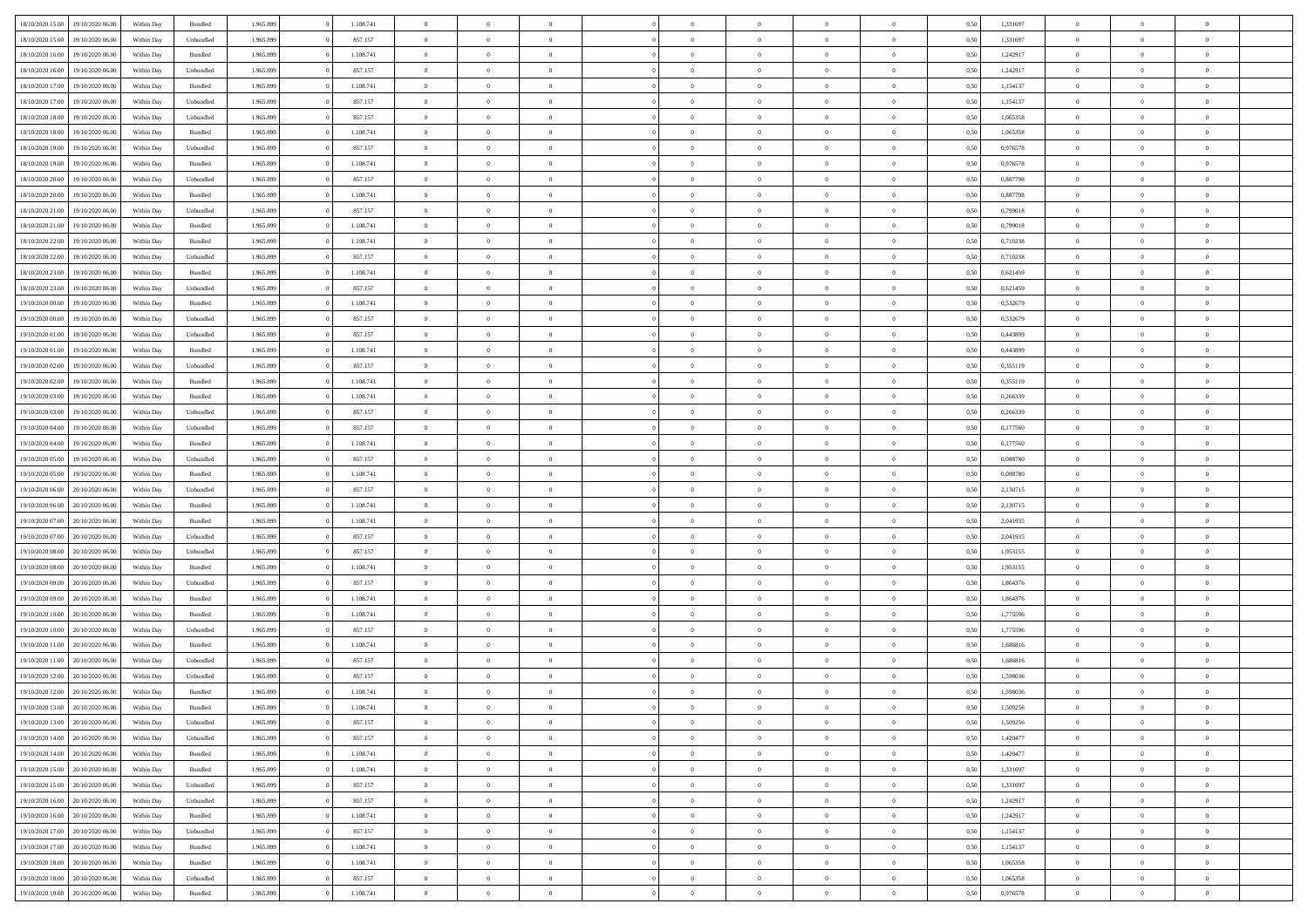| 18/10/2020 15:00                  | 19/10/2020 06:00 | Within Dav | Bundled            | 1.965.899 | 1.108.741 | $\overline{0}$ | $\Omega$       |                | $\Omega$       | $\Omega$       | $\theta$       | $\theta$       | 0,50 | 1,331697 | $\theta$       | $\theta$       | $\theta$       |  |
|-----------------------------------|------------------|------------|--------------------|-----------|-----------|----------------|----------------|----------------|----------------|----------------|----------------|----------------|------|----------|----------------|----------------|----------------|--|
|                                   |                  |            |                    |           |           |                |                |                |                |                |                |                |      |          |                |                |                |  |
| 18/10/2020 15:00                  | 19/10/2020 06.00 | Within Day | Unbundled          | 1.965.899 | 857.157   | $\overline{0}$ | $\theta$       | $\overline{0}$ | $\overline{0}$ | $\bf{0}$       | $\overline{0}$ | $\bf{0}$       | 0,50 | 1,331697 | $\theta$       | $\overline{0}$ | $\overline{0}$ |  |
| 18/10/2020 16:00                  | 19/10/2020 06:00 | Within Day | Bundled            | 1.965.899 | 1.108.741 | $\overline{0}$ | $\bf{0}$       | $\overline{0}$ | $\bf{0}$       | $\bf{0}$       | $\bf{0}$       | $\mathbf{0}$   | 0,50 | 1,242917 | $\bf{0}$       | $\overline{0}$ | $\overline{0}$ |  |
| 18/10/2020 16:00                  | 19/10/2020 06:00 | Within Dav | Unbundled          | 1.965.899 | 857.157   | $\overline{0}$ | $\overline{0}$ | $\overline{0}$ | $\overline{0}$ | $\bf{0}$       | $\overline{0}$ | $\overline{0}$ | 0.50 | 1,242917 | $\theta$       | $\theta$       | $\overline{0}$ |  |
|                                   |                  |            |                    |           |           |                |                |                |                |                |                |                |      |          |                |                |                |  |
| 18/10/2020 17:00                  | 19/10/2020 06.00 | Within Day | Bundled            | 1.965.899 | 1.108.741 | $\overline{0}$ | $\theta$       | $\overline{0}$ | $\overline{0}$ | $\bf{0}$       | $\overline{0}$ | $\bf{0}$       | 0,50 | 1,154137 | $\,$ 0 $\,$    | $\overline{0}$ | $\overline{0}$ |  |
| 18/10/2020 17:00                  | 19/10/2020 06.00 | Within Day | Unbundled          | 1.965.899 | 857.157   | $\overline{0}$ | $\overline{0}$ | $\overline{0}$ | $\bf{0}$       | $\overline{0}$ | $\overline{0}$ | $\mathbf{0}$   | 0,50 | 1,154137 | $\bf{0}$       | $\overline{0}$ | $\bf{0}$       |  |
| 18/10/2020 18:00                  | 19/10/2020 06:00 | Within Dav | Unbundled          | 1.965.899 | 857.157   | $\overline{0}$ | $\overline{0}$ | $\overline{0}$ | $\overline{0}$ | $\overline{0}$ | $\overline{0}$ | $\overline{0}$ | 0.50 | 1,065358 | $\theta$       | $\overline{0}$ | $\overline{0}$ |  |
| 18/10/2020 18:00                  | 19/10/2020 06.00 | Within Day | Bundled            | 1.965.899 | 1.108.741 | $\overline{0}$ | $\theta$       | $\overline{0}$ | $\overline{0}$ | $\bf{0}$       | $\overline{0}$ | $\bf{0}$       | 0,50 | 1,065358 | $\,$ 0 $\,$    | $\theta$       | $\overline{0}$ |  |
| 18/10/2020 19:00                  | 19/10/2020 06.00 | Within Day | Unbundled          | 1.965.899 | 857.157   | $\overline{0}$ | $\overline{0}$ | $\overline{0}$ | $\bf{0}$       | $\bf{0}$       | $\bf{0}$       | $\bf{0}$       | 0,50 | 0,976578 | $\,0\,$        | $\overline{0}$ | $\overline{0}$ |  |
|                                   |                  |            |                    |           |           |                |                |                |                |                |                |                |      |          |                |                |                |  |
| 18/10/2020 19:00                  | 19/10/2020 06:00 | Within Dav | Bundled            | 1.965.899 | 1.108.741 | $\overline{0}$ | $\overline{0}$ | $\overline{0}$ | $\overline{0}$ | $\overline{0}$ | $\overline{0}$ | $\overline{0}$ | 0.50 | 0,976578 | $\theta$       | $\overline{0}$ | $\overline{0}$ |  |
| 18/10/2020 20:00                  | 19/10/2020 06.00 | Within Day | Unbundled          | 1.965.899 | 857.157   | $\overline{0}$ | $\theta$       | $\overline{0}$ | $\overline{0}$ | $\bf{0}$       | $\overline{0}$ | $\bf{0}$       | 0,50 | 0,887798 | $\,$ 0 $\,$    | $\overline{0}$ | $\overline{0}$ |  |
| 18/10/2020 20.00                  | 19/10/2020 06:00 | Within Day | Bundled            | 1.965.899 | 1.108.741 | $\overline{0}$ | $\overline{0}$ | $\overline{0}$ | $\bf{0}$       | $\bf{0}$       | $\bf{0}$       | $\mathbf{0}$   | 0,50 | 0,887798 | $\bf{0}$       | $\overline{0}$ | $\overline{0}$ |  |
| 18/10/2020 21:00                  | 19/10/2020 06:00 | Within Day | Unbundled          | 1.965.899 | 857.157   | $\overline{0}$ | $\overline{0}$ | $\overline{0}$ | $\overline{0}$ | $\bf{0}$       | $\overline{0}$ | $\overline{0}$ | 0.50 | 0.799018 | $\theta$       | $\theta$       | $\overline{0}$ |  |
| 18/10/2020 21:00                  | 19/10/2020 06.00 | Within Day | Bundled            | 1.965.899 | 1.108.741 | $\overline{0}$ | $\theta$       | $\overline{0}$ | $\overline{0}$ | $\bf{0}$       | $\overline{0}$ | $\bf{0}$       | 0,50 | 0,799018 | $\theta$       | $\overline{0}$ | $\overline{0}$ |  |
|                                   |                  |            |                    |           |           |                |                |                |                |                |                |                |      |          |                |                |                |  |
| 18/10/2020 22.00                  | 19/10/2020 06:00 | Within Day | Bundled            | 1.965.899 | 1.108.741 | $\overline{0}$ | $\overline{0}$ | $\overline{0}$ | $\bf{0}$       | $\overline{0}$ | $\overline{0}$ | $\mathbf{0}$   | 0,50 | 0,710238 | $\bf{0}$       | $\overline{0}$ | $\bf{0}$       |  |
| 18/10/2020 22.00                  | 19/10/2020 06:00 | Within Dav | Unbundled          | 1.965.899 | 857.157   | $\overline{0}$ | $\overline{0}$ | $\overline{0}$ | $\overline{0}$ | $\overline{0}$ | $\overline{0}$ | $\overline{0}$ | 0.50 | 0,710238 | $\overline{0}$ | $\overline{0}$ | $\overline{0}$ |  |
| 18/10/2020 23:00                  | 19/10/2020 06.00 | Within Day | Bundled            | 1.965.899 | 1.108.741 | $\overline{0}$ | $\theta$       | $\overline{0}$ | $\overline{0}$ | $\bf{0}$       | $\overline{0}$ | $\bf{0}$       | 0,50 | 0,621459 | $\,$ 0 $\,$    | $\theta$       | $\overline{0}$ |  |
| 18/10/2020 23:00                  | 19/10/2020 06.00 | Within Day | Unbundled          | 1.965.899 | 857.157   | $\overline{0}$ | $\overline{0}$ | $\overline{0}$ | $\bf{0}$       | $\bf{0}$       | $\bf{0}$       | $\mathbf{0}$   | 0,50 | 0,621459 | $\,0\,$        | $\overline{0}$ | $\overline{0}$ |  |
| 19/10/2020 00:00                  | 19/10/2020 06:00 | Within Day | Bundled            | 1.965.899 | 1.108.741 | $\overline{0}$ | $\overline{0}$ | $\overline{0}$ | $\overline{0}$ | $\overline{0}$ | $\overline{0}$ | $\overline{0}$ | 0.50 | 0,532679 | $\theta$       | $\overline{0}$ | $\overline{0}$ |  |
|                                   |                  |            |                    |           |           |                |                |                |                |                |                |                |      |          |                |                |                |  |
| 19/10/2020 00:00                  | 19/10/2020 06.00 | Within Day | Unbundled          | 1.965.899 | 857.157   | $\overline{0}$ | $\theta$       | $\overline{0}$ | $\overline{0}$ | $\bf{0}$       | $\overline{0}$ | $\bf{0}$       | 0,50 | 0,532679 | $\,$ 0 $\,$    | $\overline{0}$ | $\overline{0}$ |  |
| 19/10/2020 01:00                  | 19/10/2020 06.00 | Within Day | Unbundled          | 1.965.899 | 857.157   | $\overline{0}$ | $\overline{0}$ | $\overline{0}$ | $\bf{0}$       | $\bf{0}$       | $\bf{0}$       | $\bf{0}$       | 0,50 | 0,443899 | $\bf{0}$       | $\overline{0}$ | $\overline{0}$ |  |
| 19/10/2020 01:00                  | 19/10/2020 06:00 | Within Day | Bundled            | 1.965.899 | 1.108.741 | $\overline{0}$ | $\overline{0}$ | $\overline{0}$ | $\overline{0}$ | $\overline{0}$ | $\overline{0}$ | $\overline{0}$ | 0.50 | 0.443899 | $\theta$       | $\overline{0}$ | $\overline{0}$ |  |
| 19/10/2020 02:00                  | 19/10/2020 06.00 | Within Day | Unbundled          | 1.965.899 | 857.157   | $\overline{0}$ | $\theta$       | $\overline{0}$ | $\overline{0}$ | $\bf{0}$       | $\overline{0}$ | $\bf{0}$       | 0,50 | 0,355119 | $\,$ 0 $\,$    | $\overline{0}$ | $\overline{0}$ |  |
| 19/10/2020 02.00                  | 19/10/2020 06.00 | Within Day | Bundled            | 1.965.899 | 1.108.741 | $\overline{0}$ | $\overline{0}$ | $\overline{0}$ | $\bf{0}$       | $\overline{0}$ | $\overline{0}$ | $\mathbf{0}$   | 0,50 | 0,355119 | $\overline{0}$ | $\overline{0}$ | $\bf{0}$       |  |
|                                   |                  |            |                    |           |           |                |                |                |                |                |                |                |      |          |                |                |                |  |
| 19/10/2020 03:00                  | 19/10/2020 06:00 | Within Dav | Bundled            | 1.965.899 | 1.108.741 | $\overline{0}$ | $\overline{0}$ | $\overline{0}$ | $\overline{0}$ | $\overline{0}$ | $\overline{0}$ | $\overline{0}$ | 0.50 | 0,266339 | $\overline{0}$ | $\overline{0}$ | $\overline{0}$ |  |
| 19/10/2020 03:00                  | 19/10/2020 06.00 | Within Day | Unbundled          | 1.965.899 | 857.157   | $\overline{0}$ | $\theta$       | $\overline{0}$ | $\overline{0}$ | $\bf{0}$       | $\overline{0}$ | $\bf{0}$       | 0,50 | 0,266339 | $\,$ 0 $\,$    | $\theta$       | $\overline{0}$ |  |
| 19/10/2020 04:00                  | 19/10/2020 06.00 | Within Day | Unbundled          | 1.965.899 | 857.157   | $\overline{0}$ | $\overline{0}$ | $\overline{0}$ | $\bf{0}$       | $\bf{0}$       | $\bf{0}$       | $\bf{0}$       | 0,50 | 0,177560 | $\,0\,$        | $\overline{0}$ | $\overline{0}$ |  |
| 19/10/2020 04:00                  | 19/10/2020 06:00 | Within Day | Bundled            | 1.965.899 | 1.108.741 | $\overline{0}$ | $\overline{0}$ | $\overline{0}$ | $\overline{0}$ | $\overline{0}$ | $\overline{0}$ | $\overline{0}$ | 0.50 | 0,177560 | $\theta$       | $\overline{0}$ | $\overline{0}$ |  |
| 19/10/2020 05:00                  | 19/10/2020 06.00 | Within Day | Unbundled          | 1.965.899 | 857.157   | $\overline{0}$ | $\theta$       | $\overline{0}$ | $\overline{0}$ | $\bf{0}$       | $\overline{0}$ | $\bf{0}$       | 0,50 | 0,088780 | $\,$ 0 $\,$    | $\overline{0}$ | $\overline{0}$ |  |
|                                   |                  |            |                    |           |           |                |                |                |                |                |                |                |      |          |                |                |                |  |
| 19/10/2020 05:00                  | 19/10/2020 06.00 | Within Day | Bundled            | 1.965.899 | 1.108.741 | $\overline{0}$ | $\overline{0}$ | $\overline{0}$ | $\bf{0}$       | $\bf{0}$       | $\bf{0}$       | $\bf{0}$       | 0,50 | 0,088780 | $\overline{0}$ | $\overline{0}$ | $\overline{0}$ |  |
| 19/10/2020 06:00                  | 20/10/2020 06.00 | Within Day | Unbundled          | 1.965.899 | 857.157   | $\overline{0}$ | $\Omega$       | $\overline{0}$ | $\Omega$       | $\Omega$       | $\overline{0}$ | $\overline{0}$ | 0,50 | 2,130715 | $\,0\,$        | $\theta$       | $\theta$       |  |
| 19/10/2020 06:00                  | 20/10/2020 06.00 | Within Day | Bundled            | 1.965.899 | 1.108.741 | $\overline{0}$ | $\theta$       | $\overline{0}$ | $\overline{0}$ | $\bf{0}$       | $\overline{0}$ | $\bf{0}$       | 0,50 | 2,130715 | $\,$ 0 $\,$    | $\theta$       | $\overline{0}$ |  |
| 19/10/2020 07.00                  | 20/10/2020 06:00 | Within Day | Bundled            | 1.965.899 | 1.108.741 | $\overline{0}$ | $\overline{0}$ | $\overline{0}$ | $\bf{0}$       | $\bf{0}$       | $\overline{0}$ | $\mathbf{0}$   | 0,50 | 2,041935 | $\overline{0}$ | $\overline{0}$ | $\bf{0}$       |  |
| 19/10/2020 07:00                  | 20/10/2020 06:00 | Within Day | Unbundled          | 1.965.899 | 857.157   | $\overline{0}$ | $\Omega$       | $\Omega$       | $\Omega$       | $\overline{0}$ | $\overline{0}$ | $\overline{0}$ | 0.50 | 2.041935 | $\,0\,$        | $\theta$       | $\theta$       |  |
| 19/10/2020 08:00                  |                  |            |                    | 1.965.899 | 857.157   | $\overline{0}$ | $\theta$       | $\overline{0}$ | $\overline{0}$ | $\bf{0}$       | $\overline{0}$ |                |      | 1,953155 | $\,$ 0 $\,$    | $\overline{0}$ | $\overline{0}$ |  |
|                                   | 20/10/2020 06:00 | Within Day | Unbundled          |           |           |                |                |                |                |                |                | $\bf{0}$       | 0,50 |          |                |                |                |  |
| 19/10/2020 08:00                  | 20/10/2020 06:00 | Within Day | Bundled            | 1.965.899 | 1.108.741 | $\overline{0}$ | $\overline{0}$ | $\overline{0}$ | $\bf{0}$       | $\bf{0}$       | $\bf{0}$       | $\bf{0}$       | 0,50 | 1,953155 | $\bf{0}$       | $\overline{0}$ | $\overline{0}$ |  |
| 19/10/2020 09:00                  | 20/10/2020 06:00 | Within Day | Unbundled          | 1.965.899 | 857.157   | $\overline{0}$ | $\Omega$       | $\overline{0}$ | $\Omega$       | $\overline{0}$ | $\overline{0}$ | $\overline{0}$ | 0.50 | 1.864376 | $\,0\,$        | $\theta$       | $\theta$       |  |
| 19/10/2020 09:00                  | 20/10/2020 06.00 | Within Day | Bundled            | 1.965.899 | 1.108.741 | $\overline{0}$ | $\theta$       | $\overline{0}$ | $\overline{0}$ | $\,$ 0         | $\overline{0}$ | $\bf{0}$       | 0,50 | 1,864376 | $\,$ 0 $\,$    | $\overline{0}$ | $\overline{0}$ |  |
| 19/10/2020 10:00                  | 20/10/2020 06:00 | Within Day | Bundled            | 1.965.899 | 1.108.741 | $\overline{0}$ | $\overline{0}$ | $\overline{0}$ | $\bf{0}$       | $\bf{0}$       | $\bf{0}$       | $\bf{0}$       | 0,50 | 1,775596 | $\bf{0}$       | $\overline{0}$ | $\overline{0}$ |  |
| 19/10/2020 10:00                  | 20/10/2020 06.00 |            |                    | 1.965.899 | 857.157   | $\overline{0}$ | $\Omega$       | $\overline{0}$ | $\Omega$       | $\overline{0}$ | $\overline{0}$ | $\overline{0}$ | 0.50 | 1,775596 | $\,0\,$        | $\theta$       | $\theta$       |  |
|                                   |                  | Within Day | Unbundled          |           |           |                |                |                |                |                |                |                |      |          |                |                |                |  |
| 19/10/2020 11:00                  | 20/10/2020 06.00 | Within Day | Bundled            | 1.965.899 | 1.108.741 | $\overline{0}$ | $\theta$       | $\overline{0}$ | $\overline{0}$ | $\,$ 0         | $\overline{0}$ | $\bf{0}$       | 0,50 | 1,686816 | $\,$ 0 $\,$    | $\overline{0}$ | $\overline{0}$ |  |
| 19/10/2020 11:00                  | 20/10/2020 06:00 | Within Day | Unbundled          | 1.965.899 | 857.157   | $\overline{0}$ | $\overline{0}$ | $\overline{0}$ | $\bf{0}$       | $\bf{0}$       | $\overline{0}$ | $\mathbf{0}$   | 0,50 | 1,686816 | $\bf{0}$       | $\overline{0}$ | $\bf{0}$       |  |
| 19/10/2020 12:00                  | 20/10/2020 06:00 | Within Day | Unbundled          | 1.965.899 | 857.157   | $\overline{0}$ | $\Omega$       | $\Omega$       | $\Omega$       | $\Omega$       | $\Omega$       | $\overline{0}$ | 0.50 | 1,598036 | $\theta$       | $\theta$       | $\theta$       |  |
| 19/10/2020 12:00                  | 20/10/2020 06:00 | Within Day | Bundled            | 1.965.899 | 1.108.741 | $\bf{0}$       | $\overline{0}$ | $\overline{0}$ | $\bf{0}$       | $\,$ 0         | $\bf{0}$       | $\bf{0}$       | 0,50 | 1,598036 | $\,0\,$        | $\,$ 0 $\,$    | $\overline{0}$ |  |
| 19/10/2020 13:00 20/10/2020 06:00 |                  | Within Day | $\mathbf B$ undled | 1.965.899 | 1.108.741 | $\bf{0}$       | $\bf{0}$       |                |                |                |                |                | 0,50 | 1,509256 | $\bf{0}$       | $\overline{0}$ |                |  |
|                                   |                  |            |                    |           |           |                |                |                |                |                |                |                |      |          |                |                |                |  |
| 19/10/2020 13:00                  | 20/10/2020 06:00 | Within Day | Unbundled          | 1.965.899 | 857.157   | $\overline{0}$ | $\overline{0}$ | $\overline{0}$ | $\Omega$       | $\overline{0}$ | $\overline{0}$ | $\overline{0}$ | 0,50 | 1.509256 | $\theta$       | $\theta$       | $\theta$       |  |
| 19/10/2020 14:00                  | 20/10/2020 06.00 | Within Day | Unbundled          | 1.965.899 | 857.157   | $\overline{0}$ | $\bf{0}$       | $\overline{0}$ | $\bf{0}$       | $\,$ 0 $\,$    | $\overline{0}$ | $\,$ 0 $\,$    | 0,50 | 1,420477 | $\,$ 0 $\,$    | $\,$ 0 $\,$    | $\,$ 0         |  |
| 19/10/2020 14:00                  | 20/10/2020 06.00 | Within Day | Bundled            | 1.965.899 | 1.108.741 | $\overline{0}$ | $\overline{0}$ | $\overline{0}$ | $\overline{0}$ | $\overline{0}$ | $\overline{0}$ | $\mathbf{0}$   | 0,50 | 1,420477 | $\overline{0}$ | $\bf{0}$       | $\bf{0}$       |  |
| 19/10/2020 15:00                  | 20/10/2020 06.00 | Within Day | $\mathbf B$ undled | 1.965.899 | 1.108.741 | $\overline{0}$ | $\overline{0}$ | $\overline{0}$ | $\Omega$       | $\overline{0}$ | $\overline{0}$ | $\overline{0}$ | 0,50 | 1,331697 | $\overline{0}$ | $\theta$       | $\overline{0}$ |  |
| 19/10/2020 15:00                  | 20/10/2020 06.00 | Within Day | Unbundled          | 1.965.899 | 857.157   | $\overline{0}$ | $\,$ 0         | $\overline{0}$ | $\bf{0}$       | $\,$ 0 $\,$    | $\overline{0}$ | $\mathbf{0}$   | 0,50 | 1,331697 | $\,$ 0 $\,$    | $\overline{0}$ | $\overline{0}$ |  |
|                                   |                  |            |                    |           |           |                |                |                |                |                |                |                |      |          |                |                |                |  |
| 19/10/2020 16:00                  | 20/10/2020 06.00 | Within Day | Unbundled          | 1.965.899 | 857.157   | $\overline{0}$ | $\overline{0}$ | $\overline{0}$ | $\overline{0}$ | $\overline{0}$ | $\overline{0}$ | $\mathbf{0}$   | 0,50 | 1,242917 | $\overline{0}$ | $\overline{0}$ | $\bf{0}$       |  |
| 19/10/2020 16:00                  | 20/10/2020 06.00 | Within Day | Bundled            | 1.965.899 | 1.108.741 | $\overline{0}$ | $\overline{0}$ | $\overline{0}$ | $\overline{0}$ | $\overline{0}$ | $\overline{0}$ | $\bf{0}$       | 0.50 | 1,242917 | $\overline{0}$ | $\theta$       | $\overline{0}$ |  |
| 19/10/2020 17:00                  | 20/10/2020 06.00 | Within Day | Unbundled          | 1.965.899 | 857.157   | $\overline{0}$ | $\,$ 0         | $\overline{0}$ | $\bf{0}$       | $\bf{0}$       | $\bf{0}$       | $\bf{0}$       | 0,50 | 1,154137 | $\,$ 0 $\,$    | $\overline{0}$ | $\overline{0}$ |  |
| 19/10/2020 17:00                  | 20/10/2020 06.00 | Within Day | Bundled            | 1.965.899 | 1.108.741 | $\overline{0}$ | $\bf{0}$       | $\overline{0}$ | $\overline{0}$ | $\overline{0}$ | $\overline{0}$ | $\mathbf{0}$   | 0,50 | 1,154137 | $\overline{0}$ | $\overline{0}$ | $\bf{0}$       |  |
| 19/10/2020 18:00                  | 20/10/2020 06.00 | Within Day | Bundled            | 1.965.899 | 1.108.741 | $\overline{0}$ | $\overline{0}$ | $\overline{0}$ | $\Omega$       | $\overline{0}$ | $\overline{0}$ | $\overline{0}$ | 0.50 | 1,065358 | $\overline{0}$ | $\overline{0}$ | $\overline{0}$ |  |
|                                   |                  |            |                    |           |           |                |                |                |                |                |                |                |      |          |                |                |                |  |
| 19/10/2020 18:00                  | 20/10/2020 06.00 | Within Day | Unbundled          | 1.965.899 | 857.157   | $\overline{0}$ | $\bf{0}$       | $\overline{0}$ | $\bf{0}$       | $\bf{0}$       | $\bf{0}$       | $\mathbf{0}$   | 0,50 | 1,065358 | $\,$ 0 $\,$    | $\,$ 0 $\,$    | $\bf{0}$       |  |
| 19/10/2020 19:00 20/10/2020 06:00 |                  | Within Day | Bundled            | 1.965.899 | 1.108.741 | $\overline{0}$ | $\overline{0}$ | $\overline{0}$ | $\overline{0}$ | $\overline{0}$ | $\bf{0}$       | $\mathbf{0}$   | 0,50 | 0,976578 | $\overline{0}$ | $\bf{0}$       | $\overline{0}$ |  |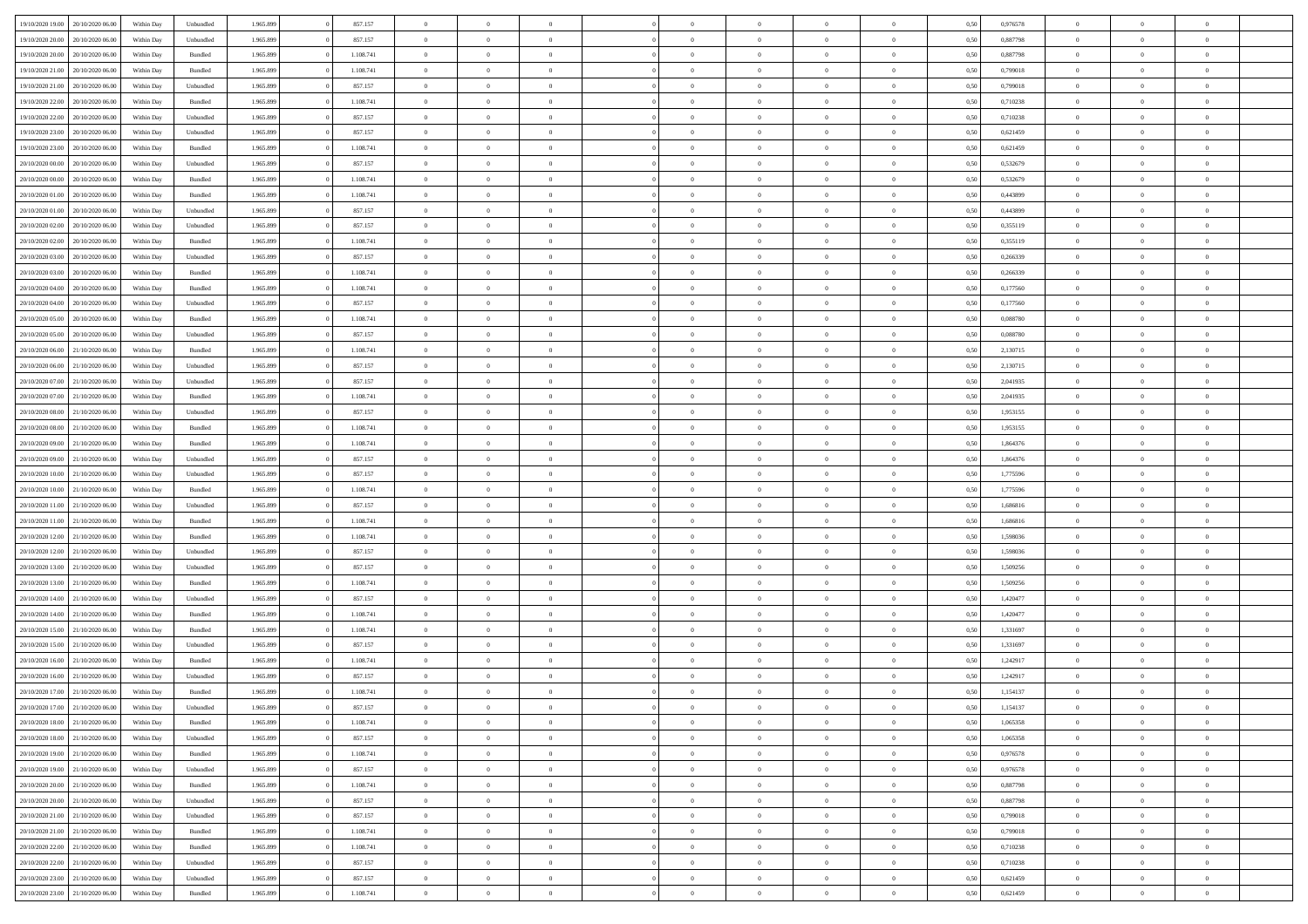| 19/10/2020 19:00                  | 20/10/2020 06:00 | Within Dav | Unbundled | 1.965.899 | 857.157   | $\overline{0}$ | $\theta$       |                | $\Omega$       | $\Omega$       | $\theta$       | $\theta$       | 0,50 | 0,976578 | $\theta$       | $\overline{0}$ | $\theta$       |  |
|-----------------------------------|------------------|------------|-----------|-----------|-----------|----------------|----------------|----------------|----------------|----------------|----------------|----------------|------|----------|----------------|----------------|----------------|--|
| 19/10/2020 20:00                  | 20/10/2020 06.00 | Within Day | Unbundled | 1.965.899 | 857.157   | $\overline{0}$ | $\theta$       | $\overline{0}$ | $\overline{0}$ | $\bf{0}$       | $\overline{0}$ | $\bf{0}$       | 0,50 | 0,887798 | $\theta$       | $\overline{0}$ | $\overline{0}$ |  |
| 19/10/2020 20.00                  | 20/10/2020 06:00 | Within Day | Bundled   | 1.965.899 | 1.108.741 | $\overline{0}$ | $\overline{0}$ | $\overline{0}$ | $\bf{0}$       | $\bf{0}$       | $\bf{0}$       | $\mathbf{0}$   | 0,50 | 0,887798 | $\overline{0}$ | $\overline{0}$ | $\overline{0}$ |  |
|                                   |                  |            |           |           |           |                |                |                |                |                |                |                |      |          | $\theta$       |                |                |  |
| 19/10/2020 21:00                  | 20/10/2020 06:00 | Within Dav | Bundled   | 1.965.899 | 1.108.741 | $\overline{0}$ | $\overline{0}$ | $\overline{0}$ | $\overline{0}$ | $\bf{0}$       | $\overline{0}$ | $\overline{0}$ | 0.50 | 0.799018 |                | $\theta$       | $\overline{0}$ |  |
| 19/10/2020 21.00                  | 20/10/2020 06.00 | Within Day | Unbundled | 1.965.899 | 857.157   | $\overline{0}$ | $\theta$       | $\overline{0}$ | $\overline{0}$ | $\bf{0}$       | $\overline{0}$ | $\bf{0}$       | 0,50 | 0,799018 | $\,$ 0 $\,$    | $\overline{0}$ | $\overline{0}$ |  |
| 19/10/2020 22.00                  | 20/10/2020 06:00 | Within Day | Bundled   | 1.965.899 | 1.108.741 | $\overline{0}$ | $\overline{0}$ | $\overline{0}$ | $\bf{0}$       | $\overline{0}$ | $\overline{0}$ | $\mathbf{0}$   | 0,50 | 0,710238 | $\overline{0}$ | $\overline{0}$ | $\bf{0}$       |  |
| 19/10/2020 22.00                  | 20/10/2020 06:00 | Within Dav | Unbundled | 1.965.899 | 857.157   | $\overline{0}$ | $\overline{0}$ | $\overline{0}$ | $\overline{0}$ | $\overline{0}$ | $\overline{0}$ | $\overline{0}$ | 0.50 | 0,710238 | $\theta$       | $\overline{0}$ | $\overline{0}$ |  |
|                                   |                  |            |           |           |           |                |                |                |                |                |                |                |      |          |                |                |                |  |
| 19/10/2020 23.00                  | 20/10/2020 06.00 | Within Day | Unbundled | 1.965.899 | 857.157   | $\overline{0}$ | $\theta$       | $\overline{0}$ | $\overline{0}$ | $\bf{0}$       | $\overline{0}$ | $\bf{0}$       | 0,50 | 0,621459 | $\,$ 0 $\,$    | $\theta$       | $\overline{0}$ |  |
| 19/10/2020 23:00                  | 20/10/2020 06:00 | Within Day | Bundled   | 1.965.899 | 1.108.741 | $\overline{0}$ | $\overline{0}$ | $\overline{0}$ | $\bf{0}$       | $\bf{0}$       | $\bf{0}$       | $\mathbf{0}$   | 0,50 | 0,621459 | $\,0\,$        | $\overline{0}$ | $\overline{0}$ |  |
| 20/10/2020 00:00                  | 20/10/2020 06:00 | Within Dav | Unbundled | 1.965.899 | 857.157   | $\overline{0}$ | $\overline{0}$ | $\overline{0}$ | $\overline{0}$ | $\overline{0}$ | $\overline{0}$ | $\overline{0}$ | 0.50 | 0,532679 | $\theta$       | $\overline{0}$ | $\overline{0}$ |  |
| 20/10/2020 00:00                  | 20/10/2020 06.00 | Within Day | Bundled   | 1.965.899 | 1.108.741 | $\overline{0}$ | $\theta$       | $\overline{0}$ | $\overline{0}$ | $\bf{0}$       | $\overline{0}$ |                |      | 0,532679 | $\,$ 0 $\,$    | $\overline{0}$ | $\overline{0}$ |  |
|                                   |                  |            |           |           |           |                |                |                |                |                |                | $\bf{0}$       | 0,50 |          |                |                |                |  |
| 20/10/2020 01:00                  | 20/10/2020 06:00 | Within Day | Bundled   | 1.965.899 | 1.108.741 | $\overline{0}$ | $\overline{0}$ | $\overline{0}$ | $\bf{0}$       | $\bf{0}$       | $\bf{0}$       | $\mathbf{0}$   | 0,50 | 0,443899 | $\bf{0}$       | $\overline{0}$ | $\bf{0}$       |  |
| 20/10/2020 01:00                  | 20/10/2020 06:00 | Within Day | Unbundled | 1.965.899 | 857.157   | $\overline{0}$ | $\overline{0}$ | $\overline{0}$ | $\overline{0}$ | $\bf{0}$       | $\overline{0}$ | $\overline{0}$ | 0.50 | 0,443899 | $\theta$       | $\theta$       | $\overline{0}$ |  |
| 20/10/2020 02:00                  | 20/10/2020 06.00 | Within Day | Unbundled | 1.965.899 | 857.157   | $\overline{0}$ | $\theta$       | $\overline{0}$ | $\overline{0}$ | $\bf{0}$       | $\overline{0}$ | $\bf{0}$       | 0,50 | 0,355119 | $\,$ 0 $\,$    | $\overline{0}$ | $\overline{0}$ |  |
|                                   |                  |            |           |           |           |                |                |                |                |                |                |                |      |          |                |                |                |  |
| 20/10/2020 02:00                  | 20/10/2020 06:00 | Within Day | Bundled   | 1.965.899 | 1.108.741 | $\overline{0}$ | $\overline{0}$ | $\overline{0}$ | $\bf{0}$       | $\overline{0}$ | $\overline{0}$ | $\mathbf{0}$   | 0,50 | 0,355119 | $\bf{0}$       | $\overline{0}$ | $\bf{0}$       |  |
| 20/10/2020 03:00                  | 20/10/2020 06:00 | Within Dav | Unbundled | 1.965.899 | 857.157   | $\overline{0}$ | $\overline{0}$ | $\overline{0}$ | $\overline{0}$ | $\overline{0}$ | $\overline{0}$ | $\overline{0}$ | 0.50 | 0,266339 | $\overline{0}$ | $\overline{0}$ | $\overline{0}$ |  |
| 20/10/2020 03:00                  | 20/10/2020 06.00 | Within Day | Bundled   | 1.965.899 | 1.108.741 | $\overline{0}$ | $\theta$       | $\overline{0}$ | $\overline{0}$ | $\bf{0}$       | $\overline{0}$ | $\bf{0}$       | 0,50 | 0,266339 | $\,$ 0 $\,$    | $\overline{0}$ | $\overline{0}$ |  |
| 20/10/2020 04:00                  | 20/10/2020 06:00 | Within Day | Bundled   | 1.965.899 | 1.108.741 | $\overline{0}$ | $\overline{0}$ | $\overline{0}$ | $\bf{0}$       | $\bf{0}$       | $\bf{0}$       | $\mathbf{0}$   | 0,50 | 0,177560 | $\bf{0}$       | $\overline{0}$ | $\bf{0}$       |  |
|                                   |                  |            |           |           |           |                |                |                |                |                |                |                |      |          |                |                |                |  |
| 20/10/2020 04:00                  | 20/10/2020 06:00 | Within Day | Unbundled | 1.965.899 | 857.157   | $\overline{0}$ | $\overline{0}$ | $\overline{0}$ | $\overline{0}$ | $\overline{0}$ | $\overline{0}$ | $\overline{0}$ | 0.50 | 0,177560 | $\theta$       | $\overline{0}$ | $\overline{0}$ |  |
| 20/10/2020 05:00                  | 20/10/2020 06.00 | Within Day | Bundled   | 1.965.899 | 1.108.741 | $\overline{0}$ | $\theta$       | $\overline{0}$ | $\overline{0}$ | $\bf{0}$       | $\overline{0}$ | $\bf{0}$       | 0,50 | 0,088780 | $\,$ 0 $\,$    | $\overline{0}$ | $\overline{0}$ |  |
| 20/10/2020 05:00                  | 20/10/2020 06:00 | Within Day | Unbundled | 1.965.899 | 857.157   | $\overline{0}$ | $\overline{0}$ | $\overline{0}$ | $\bf{0}$       | $\bf{0}$       | $\bf{0}$       | $\mathbf{0}$   | 0,50 | 0,088780 | $\bf{0}$       | $\overline{0}$ | $\bf{0}$       |  |
| 20/10/2020 06:00                  | 21/10/2020 06:00 | Within Day | Bundled   | 1.965.899 | 1.108.741 | $\overline{0}$ | $\overline{0}$ | $\overline{0}$ | $\overline{0}$ | $\overline{0}$ | $\overline{0}$ | $\overline{0}$ | 0.50 | 2,130715 | $\theta$       | $\overline{0}$ | $\overline{0}$ |  |
|                                   |                  |            |           |           |           | $\overline{0}$ | $\theta$       | $\overline{0}$ | $\overline{0}$ | $\bf{0}$       | $\overline{0}$ |                |      |          | $\,$ 0 $\,$    | $\overline{0}$ | $\overline{0}$ |  |
| 20/10/2020 06:00                  | 21/10/2020 06.00 | Within Day | Unbundled | 1.965.899 | 857.157   |                |                |                |                |                |                | $\bf{0}$       | 0,50 | 2,130715 |                |                |                |  |
| 20/10/2020 07:00                  | 21/10/2020 06.00 | Within Day | Unbundled | 1.965.899 | 857.157   | $\overline{0}$ | $\overline{0}$ | $\overline{0}$ | $\bf{0}$       | $\overline{0}$ | $\overline{0}$ | $\mathbf{0}$   | 0,50 | 2,041935 | $\overline{0}$ | $\overline{0}$ | $\bf{0}$       |  |
| 20/10/2020 07:00                  | 21/10/2020 06:00 | Within Dav | Bundled   | 1.965.899 | 1.108.741 | $\overline{0}$ | $\overline{0}$ | $\overline{0}$ | $\overline{0}$ | $\overline{0}$ | $\overline{0}$ | $\overline{0}$ | 0.50 | 2,041935 | $\overline{0}$ | $\overline{0}$ | $\overline{0}$ |  |
| 20/10/2020 08:00                  | 21/10/2020 06.00 | Within Day | Unbundled | 1.965.899 | 857.157   | $\overline{0}$ | $\theta$       | $\overline{0}$ | $\overline{0}$ | $\bf{0}$       | $\overline{0}$ | $\bf{0}$       | 0,50 | 1,953155 | $\,$ 0 $\,$    | $\overline{0}$ | $\overline{0}$ |  |
|                                   |                  |            |           |           |           |                |                |                |                |                |                |                |      |          |                |                |                |  |
| 20/10/2020 08:00                  | 21/10/2020 06.00 | Within Day | Bundled   | 1.965.899 | 1.108.741 | $\overline{0}$ | $\overline{0}$ | $\overline{0}$ | $\bf{0}$       | $\bf{0}$       | $\bf{0}$       | $\bf{0}$       | 0,50 | 1,953155 | $\,0\,$        | $\overline{0}$ | $\overline{0}$ |  |
| 20/10/2020 09:00                  | 21/10/2020 06:00 | Within Day | Bundled   | 1.965.899 | 1.108.741 | $\overline{0}$ | $\overline{0}$ | $\overline{0}$ | $\overline{0}$ | $\overline{0}$ | $\overline{0}$ | $\overline{0}$ | 0.50 | 1,864376 | $\theta$       | $\overline{0}$ | $\overline{0}$ |  |
| 20/10/2020 09:00                  | 21/10/2020 06.00 | Within Day | Unbundled | 1.965.899 | 857.157   | $\overline{0}$ | $\overline{0}$ | $\overline{0}$ | $\overline{0}$ | $\bf{0}$       | $\overline{0}$ | $\bf{0}$       | 0,50 | 1,864376 | $\,$ 0 $\,$    | $\overline{0}$ | $\overline{0}$ |  |
| 20/10/2020 10:00                  | 21/10/2020 06.00 | Within Day | Unbundled | 1.965.899 | 857.157   | $\overline{0}$ | $\overline{0}$ | $\overline{0}$ | $\bf{0}$       | $\bf{0}$       | $\bf{0}$       | $\bf{0}$       | 0,50 | 1,775596 | $\overline{0}$ | $\overline{0}$ | $\bf{0}$       |  |
|                                   |                  |            |           |           |           |                |                |                |                |                |                |                |      |          |                |                |                |  |
| 20/10/2020 10:00                  | 21/10/2020 06.00 | Within Day | Bundled   | 1.965.899 | 1.108.741 | $\overline{0}$ | $\Omega$       | $\overline{0}$ | $\Omega$       | $\Omega$       | $\overline{0}$ | $\overline{0}$ | 0,50 | 1,775596 | $\,0\,$        | $\theta$       | $\theta$       |  |
| 20/10/2020 11:00                  | 21/10/2020 06.00 | Within Day | Unbundled | 1.965.899 | 857.157   | $\overline{0}$ | $\overline{0}$ | $\overline{0}$ | $\overline{0}$ | $\bf{0}$       | $\overline{0}$ | $\bf{0}$       | 0,50 | 1,686816 | $\,$ 0 $\,$    | $\overline{0}$ | $\overline{0}$ |  |
| 20/10/2020 11:00                  | 21/10/2020 06.00 | Within Day | Bundled   | 1.965.899 | 1.108.741 | $\overline{0}$ | $\overline{0}$ | $\overline{0}$ | $\bf{0}$       | $\overline{0}$ | $\overline{0}$ | $\mathbf{0}$   | 0,50 | 1,686816 | $\overline{0}$ | $\overline{0}$ | $\bf{0}$       |  |
| 20/10/2020 12:00                  | 21/10/2020 06:00 | Within Day | Bundled   | 1.965.899 | 1.108.741 | $\overline{0}$ | $\Omega$       | $\overline{0}$ | $\Omega$       | $\overline{0}$ | $\overline{0}$ | $\overline{0}$ | 0.50 | 1,598036 | $\,0\,$        | $\theta$       | $\theta$       |  |
|                                   |                  |            |           |           |           |                |                |                |                |                |                |                |      |          |                |                |                |  |
| 20/10/2020 12:00                  | 21/10/2020 06.00 | Within Day | Unbundled | 1.965.899 | 857.157   | $\overline{0}$ | $\theta$       | $\overline{0}$ | $\overline{0}$ | $\bf{0}$       | $\overline{0}$ | $\bf{0}$       | 0,50 | 1,598036 | $\,$ 0 $\,$    | $\overline{0}$ | $\overline{0}$ |  |
| 20/10/2020 13:00                  | 21/10/2020 06.00 | Within Day | Unbundled | 1.965.899 | 857.157   | $\overline{0}$ | $\overline{0}$ | $\overline{0}$ | $\bf{0}$       | $\bf{0}$       | $\bf{0}$       | $\bf{0}$       | 0,50 | 1,509256 | $\overline{0}$ | $\overline{0}$ | $\bf{0}$       |  |
| 20/10/2020 13:00                  | 21/10/2020 06:00 | Within Day | Bundled   | 1.965.899 | 1.108.741 | $\overline{0}$ | $\Omega$       | $\overline{0}$ | $\Omega$       | $\overline{0}$ | $\overline{0}$ | $\overline{0}$ | 0.50 | 1.509256 | $\,$ 0 $\,$    | $\theta$       | $\theta$       |  |
| 20/10/2020 14:00                  | 21/10/2020 06.00 | Within Day | Unbundled | 1.965.899 | 857.157   | $\overline{0}$ | $\overline{0}$ | $\overline{0}$ | $\overline{0}$ | $\,$ 0         | $\overline{0}$ | $\bf{0}$       | 0,50 | 1,420477 | $\,$ 0 $\,$    | $\overline{0}$ | $\overline{0}$ |  |
|                                   |                  |            |           |           |           |                |                |                |                |                |                |                |      |          |                |                |                |  |
| 20/10/2020 14:00                  | 21/10/2020 06.00 | Within Day | Bundled   | 1.965.899 | 1.108.741 | $\overline{0}$ | $\overline{0}$ | $\overline{0}$ | $\bf{0}$       | $\bf{0}$       | $\bf{0}$       | $\mathbf{0}$   | 0,50 | 1,420477 | $\bf{0}$       | $\overline{0}$ | $\bf{0}$       |  |
| 20/10/2020 15:00                  | 21/10/2020 06.00 | Within Day | Bundled   | 1.965.899 | 1.108.741 | $\overline{0}$ | $\Omega$       | $\overline{0}$ | $\Omega$       | $\overline{0}$ | $\overline{0}$ | $\overline{0}$ | 0,50 | 1,331697 | $\,0\,$        | $\theta$       | $\theta$       |  |
| 20/10/2020 15:00                  | 21/10/2020 06.00 | Within Day | Unbundled | 1.965.899 | 857.157   | $\overline{0}$ | $\overline{0}$ | $\overline{0}$ | $\overline{0}$ | $\,$ 0         | $\overline{0}$ | $\bf{0}$       | 0,50 | 1,331697 | $\,$ 0 $\,$    | $\overline{0}$ | $\overline{0}$ |  |
| 20/10/2020 16:00                  | 21/10/2020 06.00 | Within Day | Bundled   | 1.965.899 | 1.108.741 | $\overline{0}$ | $\overline{0}$ | $\overline{0}$ | $\bf{0}$       | $\bf{0}$       | $\overline{0}$ | $\mathbf{0}$   | 0,50 | 1,242917 | $\bf{0}$       | $\overline{0}$ | $\bf{0}$       |  |
|                                   | 21/10/2020 06:00 |            |           |           |           | $\overline{0}$ | $\Omega$       | $\Omega$       | $\Omega$       | $\Omega$       | $\Omega$       |                |      |          | $\theta$       | $\theta$       | $\theta$       |  |
| 20/10/2020 16:00                  |                  | Within Day | Unbundled | 1.965.899 | 857.157   |                |                |                |                |                |                | $\overline{0}$ | 0.50 | 1,242917 |                |                |                |  |
| 20/10/2020 17:00                  | 21/10/2020 06.00 | Within Day | Bundled   | 1.965.899 | 1.108.741 | $\overline{0}$ | $\overline{0}$ | $\overline{0}$ | $\bf{0}$       | $\,$ 0         | $\bf{0}$       | $\bf{0}$       | 0,50 | 1,154137 | $\,0\,$        | $\,$ 0 $\,$    | $\overline{0}$ |  |
| 20/10/2020 17:00 21/10/2020 06:00 |                  | Within Day | Unbundled | 1.965.899 | 857.157   | $\bf{0}$       | $\bf{0}$       |                |                | $\bf{0}$       |                |                | 0,50 | 1,154137 | $\bf{0}$       | $\overline{0}$ |                |  |
| 20/10/2020 18:00                  | 21/10/2020 06:00 | Within Day | Bundled   | 1.965.899 | 1.108.741 | $\overline{0}$ | $\overline{0}$ | $\Omega$       | $\Omega$       | $\overline{0}$ | $\overline{0}$ | $\overline{0}$ | 0,50 | 1.065358 | $\theta$       | $\theta$       | $\theta$       |  |
| 20/10/2020 18:00                  | 21/10/2020 06.00 | Within Day | Unbundled | 1.965.899 | 857.157   | $\overline{0}$ | $\,$ 0         | $\overline{0}$ | $\bf{0}$       | $\,$ 0 $\,$    | $\overline{0}$ | $\,$ 0 $\,$    | 0,50 | 1,065358 | $\,$ 0 $\,$    | $\,$ 0 $\,$    | $\,$ 0         |  |
|                                   |                  |            |           |           |           |                |                |                |                |                |                |                |      |          |                |                |                |  |
| 20/10/2020 19:00                  | 21/10/2020 06.00 | Within Day | Bundled   | 1.965.899 | 1.108.741 | $\overline{0}$ | $\overline{0}$ | $\overline{0}$ | $\overline{0}$ | $\overline{0}$ | $\overline{0}$ | $\mathbf{0}$   | 0,50 | 0,976578 | $\overline{0}$ | $\bf{0}$       | $\bf{0}$       |  |
| 20/10/2020 19:00                  | 21/10/2020 06.00 | Within Day | Unbundled | 1.965.899 | 857.157   | $\overline{0}$ | $\overline{0}$ | $\overline{0}$ | $\Omega$       | $\overline{0}$ | $\overline{0}$ | $\overline{0}$ | 0,50 | 0,976578 | $\bf{0}$       | $\theta$       | $\overline{0}$ |  |
| 20/10/2020 20:00                  | 21/10/2020 06.00 | Within Day | Bundled   | 1.965.899 | 1.108.741 | $\overline{0}$ | $\,$ 0         | $\overline{0}$ | $\overline{0}$ | $\,$ 0 $\,$    | $\overline{0}$ | $\mathbf{0}$   | 0,50 | 0,887798 | $\,$ 0 $\,$    | $\overline{0}$ | $\overline{0}$ |  |
|                                   |                  |            |           |           |           |                |                |                |                |                |                |                |      |          |                |                |                |  |
| 20/10/2020 20:00                  | 21/10/2020 06.00 | Within Day | Unbundled | 1.965.899 | 857.157   | $\overline{0}$ | $\overline{0}$ | $\overline{0}$ | $\overline{0}$ | $\overline{0}$ | $\overline{0}$ | $\mathbf{0}$   | 0,50 | 0,887798 | $\overline{0}$ | $\overline{0}$ | $\bf{0}$       |  |
| 20/10/2020 21.00                  | 21/10/2020 06.00 | Within Day | Unbundled | 1.965.899 | 857.157   | $\overline{0}$ | $\overline{0}$ | $\overline{0}$ | $\overline{0}$ | $\overline{0}$ | $\overline{0}$ | $\bf{0}$       | 0.50 | 0,799018 | $\overline{0}$ | $\theta$       | $\overline{0}$ |  |
| 20/10/2020 21:00                  | 21/10/2020 06.00 | Within Day | Bundled   | 1.965.899 | 1.108.741 | $\overline{0}$ | $\,$ 0         | $\overline{0}$ | $\bf{0}$       | $\bf{0}$       | $\bf{0}$       | $\bf{0}$       | 0,50 | 0,799018 | $\,$ 0 $\,$    | $\overline{0}$ | $\overline{0}$ |  |
| 20/10/2020 22:00                  | 21/10/2020 06.00 | Within Day | Bundled   | 1.965.899 | 1.108.741 | $\overline{0}$ | $\bf{0}$       | $\overline{0}$ | $\overline{0}$ | $\overline{0}$ | $\overline{0}$ | $\mathbf{0}$   | 0,50 | 0,710238 | $\overline{0}$ | $\overline{0}$ | $\bf{0}$       |  |
|                                   |                  |            |           |           |           |                |                |                |                |                |                |                |      |          |                |                |                |  |
|                                   |                  | Within Day | Unbundled | 1.965.899 | 857.157   | $\overline{0}$ | $\overline{0}$ | $\overline{0}$ | $\Omega$       | $\overline{0}$ | $\overline{0}$ | $\bf{0}$       | 0.50 | 0,710238 | $\overline{0}$ | $\overline{0}$ | $\overline{0}$ |  |
| 20/10/2020 22.00                  | 21/10/2020 06.00 |            |           |           |           |                |                |                |                |                |                |                |      |          |                |                |                |  |
| 20/10/2020 23:00                  | 21/10/2020 06.00 | Within Day | Unbundled | 1.965.899 | 857.157   | $\overline{0}$ | $\bf{0}$       | $\overline{0}$ | $\bf{0}$       | $\bf{0}$       | $\bf{0}$       | $\mathbf{0}$   | 0,50 | 0,621459 | $\,$ 0 $\,$    | $\,$ 0 $\,$    | $\bf{0}$       |  |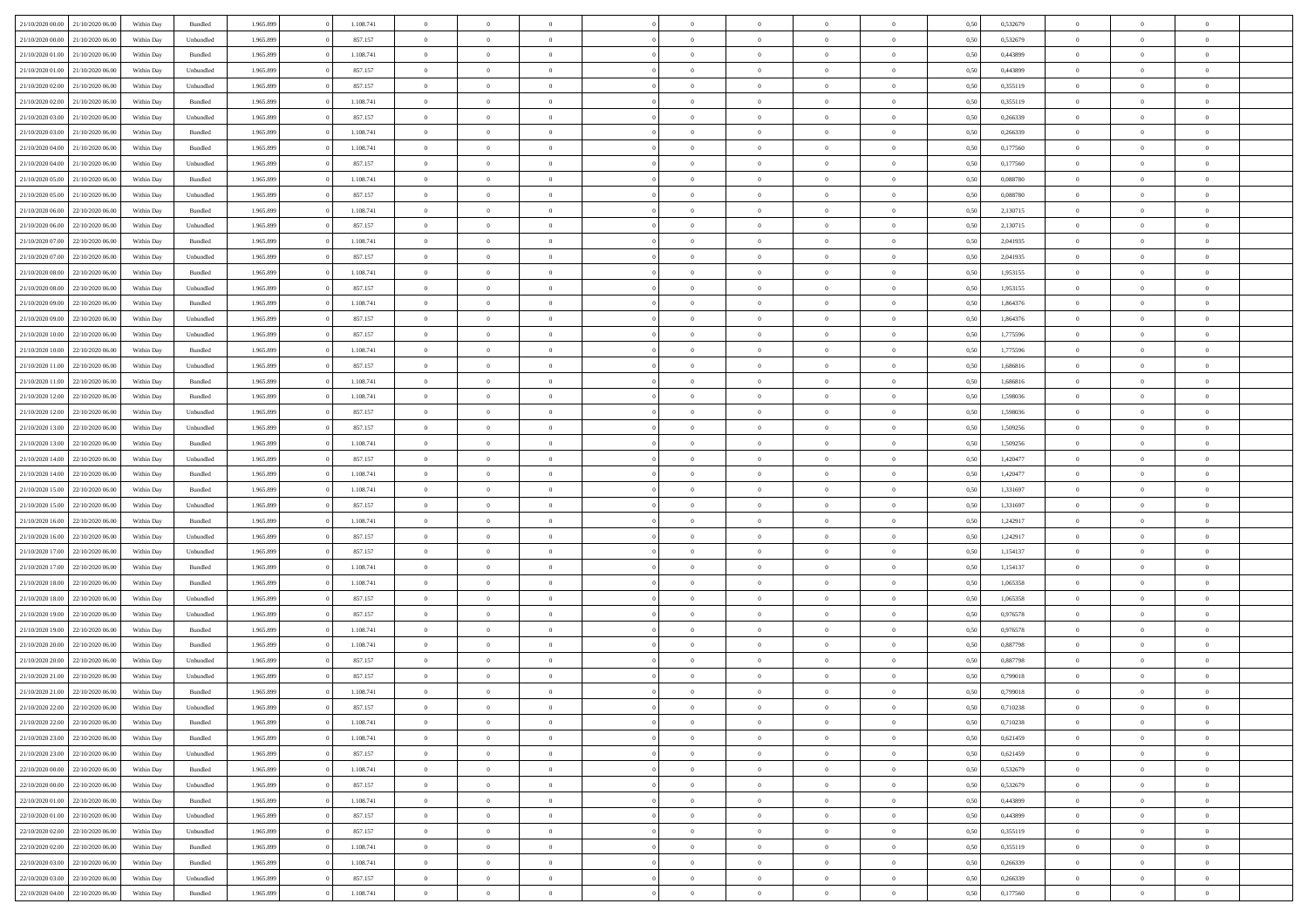| 21/10/2020 00:00                  | 21/10/2020 06:00 | Within Dav | Bundled            | 1.965.899 | 1.108.741 | $\overline{0}$ | $\Omega$       |                | $\Omega$       | $\Omega$       | $\Omega$       | $\theta$       | 0,50 | 0,532679 | $\theta$       | $\theta$       | $\theta$       |  |
|-----------------------------------|------------------|------------|--------------------|-----------|-----------|----------------|----------------|----------------|----------------|----------------|----------------|----------------|------|----------|----------------|----------------|----------------|--|
|                                   |                  |            |                    |           |           |                |                |                |                |                |                |                |      |          |                |                |                |  |
| 21/10/2020 00.00                  | 21/10/2020 06.00 | Within Day | Unbundled          | 1.965.899 | 857.157   | $\overline{0}$ | $\theta$       | $\overline{0}$ | $\overline{0}$ | $\bf{0}$       | $\overline{0}$ | $\bf{0}$       | 0,50 | 0,532679 | $\theta$       | $\theta$       | $\overline{0}$ |  |
| 21/10/2020 01:00                  | 21/10/2020 06.00 | Within Day | Bundled            | 1.965.899 | 1.108.741 | $\overline{0}$ | $\bf{0}$       | $\overline{0}$ | $\bf{0}$       | $\bf{0}$       | $\bf{0}$       | $\mathbf{0}$   | 0,50 | 0,443899 | $\overline{0}$ | $\overline{0}$ | $\overline{0}$ |  |
| 21/10/2020 01:00                  | 21/10/2020 06:00 | Within Dav | Unbundled          | 1.965.899 | 857.157   | $\overline{0}$ | $\overline{0}$ | $\overline{0}$ | $\overline{0}$ | $\bf{0}$       | $\overline{0}$ | $\overline{0}$ | 0.50 | 0.443899 | $\theta$       | $\theta$       | $\overline{0}$ |  |
|                                   |                  |            |                    |           |           |                |                |                |                |                |                |                |      |          |                |                |                |  |
| 21/10/2020 02.00                  | 21/10/2020 06.00 | Within Day | Unbundled          | 1.965.899 | 857.157   | $\overline{0}$ | $\theta$       | $\overline{0}$ | $\overline{0}$ | $\bf{0}$       | $\overline{0}$ | $\bf{0}$       | 0,50 | 0,355119 | $\theta$       | $\overline{0}$ | $\overline{0}$ |  |
| 21/10/2020 02.00                  | 21/10/2020 06.00 | Within Day | Bundled            | 1.965.899 | 1.108.741 | $\overline{0}$ | $\overline{0}$ | $\overline{0}$ | $\bf{0}$       | $\overline{0}$ | $\overline{0}$ | $\mathbf{0}$   | 0,50 | 0,355119 | $\overline{0}$ | $\overline{0}$ | $\bf{0}$       |  |
| 21/10/2020 03:00                  | 21/10/2020 06:00 | Within Dav | Unbundled          | 1.965.899 | 857.157   | $\overline{0}$ | $\overline{0}$ | $\overline{0}$ | $\overline{0}$ | $\overline{0}$ | $\overline{0}$ | $\overline{0}$ | 0.50 | 0,266339 | $\theta$       | $\overline{0}$ | $\overline{0}$ |  |
| 21/10/2020 03:00                  | 21/10/2020 06.00 | Within Day | Bundled            | 1.965.899 | 1.108.741 | $\overline{0}$ | $\theta$       | $\overline{0}$ | $\overline{0}$ | $\bf{0}$       | $\overline{0}$ | $\bf{0}$       | 0,50 | 0,266339 | $\theta$       | $\theta$       | $\overline{0}$ |  |
|                                   | 21/10/2020 06.00 | Within Day | Bundled            | 1.965.899 | 1.108.741 | $\overline{0}$ | $\overline{0}$ | $\overline{0}$ | $\bf{0}$       | $\bf{0}$       | $\bf{0}$       | $\mathbf{0}$   | 0,50 | 0,177560 | $\,0\,$        | $\overline{0}$ | $\overline{0}$ |  |
| 21/10/2020 04:00                  |                  |            |                    |           |           |                |                |                |                |                |                |                |      |          |                |                |                |  |
| 21/10/2020 04:00                  | 21/10/2020 06:00 | Within Dav | Unbundled          | 1.965.899 | 857.157   | $\overline{0}$ | $\overline{0}$ | $\overline{0}$ | $\overline{0}$ | $\overline{0}$ | $\overline{0}$ | $\overline{0}$ | 0.50 | 0,177560 | $\theta$       | $\overline{0}$ | $\overline{0}$ |  |
| 21/10/2020 05.00                  | 21/10/2020 06.00 | Within Day | Bundled            | 1.965.899 | 1.108.741 | $\overline{0}$ | $\theta$       | $\overline{0}$ | $\overline{0}$ | $\bf{0}$       | $\overline{0}$ | $\bf{0}$       | 0,50 | 0,088780 | $\,$ 0 $\,$    | $\overline{0}$ | $\overline{0}$ |  |
| 21/10/2020 05:00                  | 21/10/2020 06.00 | Within Day | Unbundled          | 1.965.899 | 857.157   | $\overline{0}$ | $\overline{0}$ | $\overline{0}$ | $\bf{0}$       | $\bf{0}$       | $\bf{0}$       | $\mathbf{0}$   | 0,50 | 0,088780 | $\overline{0}$ | $\overline{0}$ | $\bf{0}$       |  |
| 21/10/2020 06:00                  | 22/10/2020 06:00 | Within Day | Bundled            | 1.965.899 | 1.108.741 | $\overline{0}$ | $\overline{0}$ | $\overline{0}$ | $\overline{0}$ | $\bf{0}$       | $\overline{0}$ | $\overline{0}$ | 0.50 | 2,130715 | $\theta$       | $\theta$       | $\overline{0}$ |  |
|                                   |                  |            |                    |           |           | $\overline{0}$ | $\theta$       | $\overline{0}$ | $\overline{0}$ | $\bf{0}$       | $\overline{0}$ |                |      |          | $\,$ 0 $\,$    | $\theta$       | $\overline{0}$ |  |
| 21/10/2020 06.00                  | 22/10/2020 06.00 | Within Day | Unbundled          | 1.965.899 | 857.157   |                |                |                |                |                |                | $\bf{0}$       | 0,50 | 2,130715 |                |                |                |  |
| 21/10/2020 07.00                  | 22/10/2020 06.00 | Within Day | Bundled            | 1.965.899 | 1.108.741 | $\overline{0}$ | $\overline{0}$ | $\overline{0}$ | $\bf{0}$       | $\overline{0}$ | $\overline{0}$ | $\mathbf{0}$   | 0,50 | 2,041935 | $\overline{0}$ | $\overline{0}$ | $\bf{0}$       |  |
| 21/10/2020 07:00                  | 22/10/2020 06.00 | Within Dav | Unbundled          | 1.965.899 | 857.157   | $\overline{0}$ | $\overline{0}$ | $\overline{0}$ | $\overline{0}$ | $\overline{0}$ | $\overline{0}$ | $\overline{0}$ | 0.50 | 2,041935 | $\theta$       | $\overline{0}$ | $\overline{0}$ |  |
| 21/10/2020 08.00                  | 22/10/2020 06.00 | Within Day | Bundled            | 1.965.899 | 1.108.741 | $\overline{0}$ | $\theta$       | $\overline{0}$ | $\overline{0}$ | $\bf{0}$       | $\overline{0}$ | $\bf{0}$       | 0,50 | 1,953155 | $\,$ 0 $\,$    | $\theta$       | $\overline{0}$ |  |
| 21/10/2020 08:00                  | 22/10/2020 06.00 | Within Day | Unbundled          | 1.965.899 | 857.157   | $\overline{0}$ | $\overline{0}$ | $\overline{0}$ | $\bf{0}$       | $\bf{0}$       | $\bf{0}$       | $\mathbf{0}$   | 0,50 | 1,953155 | $\,0\,$        | $\overline{0}$ | $\overline{0}$ |  |
|                                   |                  |            |                    |           |           |                |                |                |                |                |                |                |      |          |                |                |                |  |
| 21/10/2020 09:00                  | 22/10/2020 06:00 | Within Day | Bundled            | 1.965.899 | 1.108.741 | $\overline{0}$ | $\overline{0}$ | $\overline{0}$ | $\overline{0}$ | $\overline{0}$ | $\overline{0}$ | $\overline{0}$ | 0.50 | 1,864376 | $\theta$       | $\overline{0}$ | $\overline{0}$ |  |
| 21/10/2020 09:00                  | 22/10/2020 06.00 | Within Day | Unbundled          | 1.965.899 | 857.157   | $\overline{0}$ | $\theta$       | $\overline{0}$ | $\overline{0}$ | $\bf{0}$       | $\overline{0}$ | $\bf{0}$       | 0,50 | 1,864376 | $\,$ 0 $\,$    | $\theta$       | $\overline{0}$ |  |
| 21/10/2020 10:00                  | 22/10/2020 06.00 | Within Day | Unbundled          | 1.965.899 | 857.157   | $\overline{0}$ | $\overline{0}$ | $\overline{0}$ | $\bf{0}$       | $\bf{0}$       | $\bf{0}$       | $\mathbf{0}$   | 0,50 | 1,775596 | $\overline{0}$ | $\overline{0}$ | $\overline{0}$ |  |
| 21/10/2020 10:00                  | 22/10/2020 06:00 | Within Day | Bundled            | 1.965.899 | 1.108.741 | $\overline{0}$ | $\overline{0}$ | $\overline{0}$ | $\overline{0}$ | $\overline{0}$ | $\overline{0}$ | $\overline{0}$ | 0.50 | 1,775596 | $\theta$       | $\overline{0}$ | $\overline{0}$ |  |
| 21/10/2020 11:00                  | 22/10/2020 06.00 | Within Day | Unbundled          | 1.965.899 | 857.157   | $\overline{0}$ | $\theta$       | $\overline{0}$ | $\overline{0}$ | $\bf{0}$       | $\overline{0}$ | $\bf{0}$       | 0,50 | 1,686816 | $\,$ 0 $\,$    | $\overline{0}$ | $\overline{0}$ |  |
|                                   |                  |            |                    |           |           |                |                |                |                |                |                |                |      |          |                |                |                |  |
| 21/10/2020 11:00                  | 22/10/2020 06.00 | Within Day | Bundled            | 1.965.899 | 1.108.741 | $\overline{0}$ | $\overline{0}$ | $\overline{0}$ | $\bf{0}$       | $\overline{0}$ | $\overline{0}$ | $\mathbf{0}$   | 0,50 | 1,686816 | $\overline{0}$ | $\overline{0}$ | $\bf{0}$       |  |
| 21/10/2020 12:00                  | 22/10/2020 06.00 | Within Dav | Bundled            | 1.965.899 | 1.108.741 | $\overline{0}$ | $\overline{0}$ | $\overline{0}$ | $\overline{0}$ | $\overline{0}$ | $\overline{0}$ | $\overline{0}$ | 0.50 | 1,598036 | $\theta$       | $\overline{0}$ | $\overline{0}$ |  |
| 21/10/2020 12:00                  | 22/10/2020 06.00 | Within Day | Unbundled          | 1.965.899 | 857.157   | $\overline{0}$ | $\theta$       | $\overline{0}$ | $\overline{0}$ | $\bf{0}$       | $\overline{0}$ | $\bf{0}$       | 0,50 | 1,598036 | $\,$ 0 $\,$    | $\theta$       | $\overline{0}$ |  |
| 21/10/2020 13:00                  | 22/10/2020 06.00 | Within Day | Unbundled          | 1.965.899 | 857.157   | $\overline{0}$ | $\overline{0}$ | $\overline{0}$ | $\bf{0}$       | $\bf{0}$       | $\bf{0}$       | $\bf{0}$       | 0,50 | 1,509256 | $\,0\,$        | $\overline{0}$ | $\overline{0}$ |  |
| 21/10/2020 13:00                  | 22/10/2020 06:00 |            | Bundled            | 1.965.899 | 1.108.741 | $\overline{0}$ | $\overline{0}$ | $\overline{0}$ | $\overline{0}$ | $\overline{0}$ | $\overline{0}$ | $\overline{0}$ | 0.50 | 1,509256 | $\theta$       | $\overline{0}$ | $\overline{0}$ |  |
|                                   |                  | Within Day |                    |           |           |                |                |                |                |                |                |                |      |          |                |                |                |  |
| 21/10/2020 14:00                  | 22/10/2020 06.00 | Within Day | Unbundled          | 1.965.899 | 857.157   | $\overline{0}$ | $\theta$       | $\overline{0}$ | $\overline{0}$ | $\bf{0}$       | $\overline{0}$ | $\bf{0}$       | 0,50 | 1,420477 | $\,$ 0 $\,$    | $\overline{0}$ | $\overline{0}$ |  |
| 21/10/2020 14:00                  | 22/10/2020 06.00 | Within Day | Bundled            | 1.965.899 | 1.108.741 | $\overline{0}$ | $\overline{0}$ | $\overline{0}$ | $\bf{0}$       | $\bf{0}$       | $\bf{0}$       | $\bf{0}$       | 0,50 | 1,420477 | $\bf{0}$       | $\overline{0}$ | $\overline{0}$ |  |
| 21/10/2020 15:00                  | 22/10/2020 06.00 | Within Day | Bundled            | 1.965.899 | 1.108.741 | $\bf{0}$       | $\Omega$       | $\overline{0}$ | $\Omega$       | $\Omega$       | $\overline{0}$ | $\overline{0}$ | 0,50 | 1,331697 | $\,0\,$        | $\theta$       | $\theta$       |  |
| 21/10/2020 15:00                  | 22/10/2020 06.00 | Within Day | Unbundled          | 1.965.899 | 857.157   | $\overline{0}$ | $\theta$       | $\overline{0}$ | $\overline{0}$ | $\bf{0}$       | $\overline{0}$ | $\bf{0}$       | 0,50 | 1,331697 | $\,$ 0 $\,$    | $\theta$       | $\overline{0}$ |  |
|                                   |                  |            |                    |           |           |                |                |                |                |                |                |                |      |          |                |                |                |  |
| 21/10/2020 16.00                  | 22/10/2020 06.00 | Within Day | Bundled            | 1.965.899 | 1.108.741 | $\overline{0}$ | $\overline{0}$ | $\overline{0}$ | $\bf{0}$       | $\bf{0}$       | $\overline{0}$ | $\mathbf{0}$   | 0,50 | 1,242917 | $\bf{0}$       | $\overline{0}$ | $\bf{0}$       |  |
| 21/10/2020 16:00                  | 22/10/2020 06.00 | Within Day | Unbundled          | 1.965.899 | 857.157   | $\overline{0}$ | $\Omega$       | $\Omega$       | $\Omega$       | $\overline{0}$ | $\overline{0}$ | $\overline{0}$ | 0.50 | 1,242917 | $\,0\,$        | $\theta$       | $\theta$       |  |
| 21/10/2020 17.00                  | 22/10/2020 06.00 | Within Day | Unbundled          | 1.965.899 | 857.157   | $\overline{0}$ | $\theta$       | $\overline{0}$ | $\overline{0}$ | $\bf{0}$       | $\overline{0}$ | $\bf{0}$       | 0,50 | 1,154137 | $\,$ 0 $\,$    | $\overline{0}$ | $\overline{0}$ |  |
| 21/10/2020 17.00                  | 22/10/2020 06.00 | Within Day | Bundled            | 1.965.899 | 1.108.741 | $\overline{0}$ | $\overline{0}$ | $\overline{0}$ | $\bf{0}$       | $\bf{0}$       | $\bf{0}$       | $\bf{0}$       | 0,50 | 1,154137 | $\bf{0}$       | $\overline{0}$ | $\overline{0}$ |  |
| 21/10/2020 18:00                  | 22/10/2020 06:00 | Within Day | Bundled            | 1.965.899 | 1.108.741 | $\overline{0}$ | $\Omega$       | $\overline{0}$ | $\Omega$       | $\overline{0}$ | $\overline{0}$ | $\overline{0}$ | 0.50 | 1.065358 | $\,0\,$        | $\theta$       | $\theta$       |  |
|                                   |                  |            |                    |           |           |                |                |                |                |                |                |                |      |          |                |                |                |  |
| 21/10/2020 18.00                  | 22/10/2020 06.00 | Within Day | Unbundled          | 1.965.899 | 857.157   | $\overline{0}$ | $\theta$       | $\overline{0}$ | $\overline{0}$ | $\,$ 0         | $\overline{0}$ | $\bf{0}$       | 0,50 | 1,065358 | $\,$ 0 $\,$    | $\overline{0}$ | $\overline{0}$ |  |
| 21/10/2020 19:00                  | 22/10/2020 06.00 | Within Day | Unbundled          | 1.965.899 | 857.157   | $\overline{0}$ | $\overline{0}$ | $\overline{0}$ | $\bf{0}$       | $\bf{0}$       | $\bf{0}$       | $\mathbf{0}$   | 0,50 | 0,976578 | $\overline{0}$ | $\overline{0}$ | $\overline{0}$ |  |
| 21/10/2020 19:00                  | 22/10/2020 06.00 | Within Day | Bundled            | 1.965.899 | 1.108.741 | $\overline{0}$ | $\Omega$       | $\overline{0}$ | $\Omega$       | $\overline{0}$ | $\overline{0}$ | $\overline{0}$ | 0,50 | 0,976578 | $\,0\,$        | $\theta$       | $\theta$       |  |
| 21/10/2020 20.00                  | 22/10/2020 06.00 | Within Day | Bundled            | 1.965.899 | 1.108.741 | $\overline{0}$ | $\theta$       | $\overline{0}$ | $\overline{0}$ | $\,$ 0         | $\overline{0}$ | $\bf{0}$       | 0,50 | 0,887798 | $\,$ 0 $\,$    | $\overline{0}$ | $\overline{0}$ |  |
| 21/10/2020 20.00                  | 22/10/2020 06.00 | Within Day | Unbundled          | 1.965.899 | 857.157   | $\overline{0}$ | $\overline{0}$ | $\overline{0}$ | $\bf{0}$       | $\bf{0}$       | $\overline{0}$ | $\mathbf{0}$   | 0,50 | 0,887798 | $\overline{0}$ | $\overline{0}$ | $\bf{0}$       |  |
|                                   |                  |            |                    |           |           |                |                |                |                |                |                |                |      |          |                |                |                |  |
| 21/10/2020 21:00                  | 22/10/2020 06.00 | Within Day | Unbundled          | 1.965.899 | 857.157   | $\overline{0}$ | $\Omega$       | $\Omega$       | $\Omega$       | $\Omega$       | $\overline{0}$ | $\overline{0}$ | 0.50 | 0,799018 | $\theta$       | $\theta$       | $\theta$       |  |
| 21/10/2020 21:00                  | 22/10/2020 06.00 | Within Day | Bundled            | 1.965.899 | 1.108.741 | $\overline{0}$ | $\overline{0}$ | $\overline{0}$ | $\bf{0}$       | $\,$ 0         | $\bf{0}$       | $\bf{0}$       | 0,50 | 0,799018 | $\,0\,$        | $\,$ 0 $\,$    | $\overline{0}$ |  |
| 21/10/2020 22.00                  | 22/10/2020 06.00 | Within Day | Unbundled          | 1.965.899 | 857.157   | $\bf{0}$       | $\bf{0}$       |                |                | $\bf{0}$       |                |                | 0,50 | 0,710238 | $\bf{0}$       | $\overline{0}$ |                |  |
| 21/10/2020 22.00                  | 22/10/2020 06:00 | Within Day | Bundled            | 1.965.899 | 1.108.741 | $\overline{0}$ | $\overline{0}$ | $\overline{0}$ | $\Omega$       | $\overline{0}$ | $\overline{0}$ | $\overline{0}$ | 0,50 | 0,710238 | $\theta$       | $\theta$       | $\theta$       |  |
| 21/10/2020 23.00                  | 22/10/2020 06.00 | Within Day | Bundled            | 1.965.899 | 1.108.741 | $\overline{0}$ | $\,$ 0         | $\overline{0}$ | $\bf{0}$       | $\,$ 0 $\,$    | $\overline{0}$ | $\,$ 0 $\,$    | 0,50 | 0,621459 | $\,$ 0 $\,$    | $\,$ 0 $\,$    | $\,$ 0         |  |
|                                   |                  |            |                    |           |           |                |                |                |                |                |                |                |      |          |                |                |                |  |
| 21/10/2020 23.00                  | 22/10/2020 06.00 | Within Day | Unbundled          | 1.965.899 | 857.157   | $\overline{0}$ | $\overline{0}$ | $\overline{0}$ | $\overline{0}$ | $\overline{0}$ | $\overline{0}$ | $\mathbf{0}$   | 0,50 | 0,621459 | $\overline{0}$ | $\bf{0}$       | $\bf{0}$       |  |
| $22/10/2020\;00.00$               | 22/10/2020 06.00 | Within Day | $\mathbf B$ undled | 1.965.899 | 1.108.741 | $\overline{0}$ | $\overline{0}$ | $\overline{0}$ | $\Omega$       | $\overline{0}$ | $\overline{0}$ | $\overline{0}$ | 0,50 | 0,532679 | $\overline{0}$ | $\theta$       | $\overline{0}$ |  |
| 22/10/2020 00.00                  | 22/10/2020 06.00 | Within Day | Unbundled          | 1.965.899 | 857.157   | $\overline{0}$ | $\,$ 0         | $\overline{0}$ | $\overline{0}$ | $\,$ 0 $\,$    | $\overline{0}$ | $\mathbf{0}$   | 0,50 | 0,532679 | $\,$ 0 $\,$    | $\overline{0}$ | $\overline{0}$ |  |
| 22/10/2020 01:00                  | 22/10/2020 06.00 | Within Day | Bundled            | 1.965.899 | 1.108.741 | $\overline{0}$ | $\overline{0}$ | $\overline{0}$ | $\overline{0}$ | $\overline{0}$ | $\overline{0}$ | $\mathbf{0}$   | 0,50 | 0,443899 | $\overline{0}$ | $\overline{0}$ | $\bf{0}$       |  |
| 22/10/2020 01:00                  |                  |            |                    |           |           | $\overline{0}$ | $\overline{0}$ | $\overline{0}$ | $\Omega$       | $\overline{0}$ | $\overline{0}$ |                | 0.50 |          | $\overline{0}$ | $\theta$       | $\overline{0}$ |  |
|                                   | 22/10/2020 06.00 | Within Day | Unbundled          | 1.965.899 | 857.157   |                |                |                |                |                |                | $\bf{0}$       |      | 0,443899 |                |                |                |  |
| 22/10/2020 02.00                  | 22/10/2020 06.00 | Within Day | Unbundled          | 1.965.899 | 857.157   | $\overline{0}$ | $\,$ 0         | $\overline{0}$ | $\bf{0}$       | $\bf{0}$       | $\bf{0}$       | $\bf{0}$       | 0,50 | 0,355119 | $\,$ 0 $\,$    | $\overline{0}$ | $\overline{0}$ |  |
| 22/10/2020 02:00                  | 22/10/2020 06.00 | Within Day | Bundled            | 1.965.899 | 1.108.741 | $\overline{0}$ | $\bf{0}$       | $\overline{0}$ | $\overline{0}$ | $\overline{0}$ | $\overline{0}$ | $\mathbf{0}$   | 0,50 | 0,355119 | $\overline{0}$ | $\overline{0}$ | $\bf{0}$       |  |
| 22/10/2020 03:00                  | 22/10/2020 06.00 | Within Day | Bundled            | 1.965.899 | 1.108.741 | $\overline{0}$ | $\overline{0}$ | $\overline{0}$ | $\Omega$       | $\overline{0}$ | $\overline{0}$ | $\overline{0}$ | 0.50 | 0,266339 | $\overline{0}$ | $\overline{0}$ | $\overline{0}$ |  |
| 22/10/2020 03:00                  | 22/10/2020 06.00 | Within Day | Unbundled          | 1.965.899 | 857.157   | $\overline{0}$ | $\bf{0}$       | $\overline{0}$ | $\bf{0}$       | $\bf{0}$       | $\bf{0}$       | $\mathbf{0}$   | 0,50 | 0,266339 | $\,$ 0 $\,$    | $\,$ 0 $\,$    | $\bf{0}$       |  |
|                                   |                  |            |                    |           |           |                |                |                |                |                |                |                |      |          |                |                |                |  |
| 22/10/2020 04.00 22/10/2020 06.00 |                  | Within Day | Bundled            | 1.965.899 | 1.108.741 | $\overline{0}$ | $\overline{0}$ | $\overline{0}$ | $\overline{0}$ | $\overline{0}$ | $\bf{0}$       | $\mathbf{0}$   | 0,50 | 0,177560 | $\overline{0}$ | $\bf{0}$       | $\bf{0}$       |  |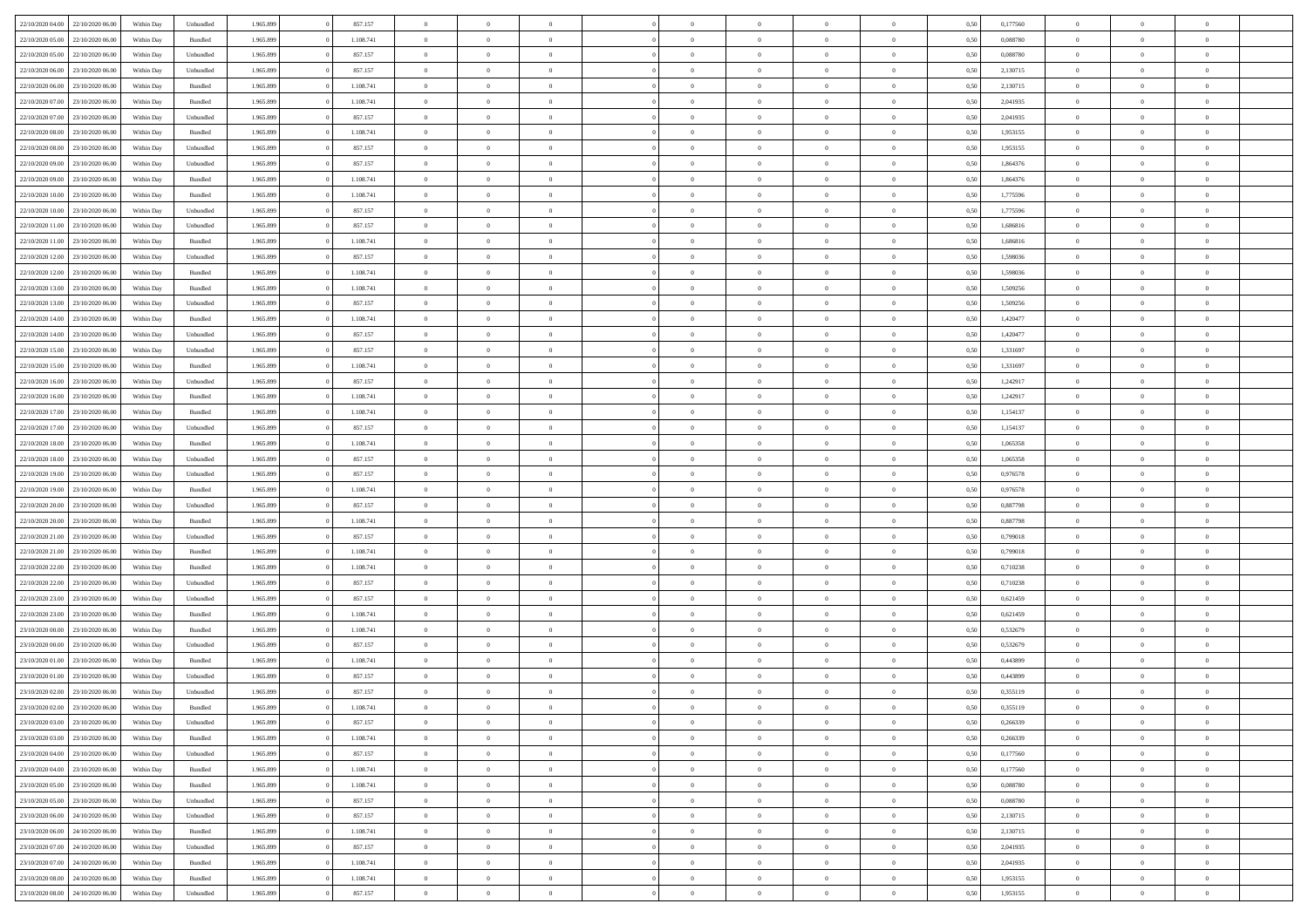| 22/10/2020 04:00                  | 22/10/2020 06:00 | Within Dav | Unbundled          | 1.965.899 | 857.157   | $\overline{0}$ | $\theta$       |                | $\Omega$       | $\Omega$       | $\theta$       | $\theta$       | 0,50 | 0,177560 | $\theta$       | $\theta$       | $\overline{0}$ |  |
|-----------------------------------|------------------|------------|--------------------|-----------|-----------|----------------|----------------|----------------|----------------|----------------|----------------|----------------|------|----------|----------------|----------------|----------------|--|
| 22/10/2020 05.00                  | 22/10/2020 06.00 | Within Day | Bundled            | 1.965.899 | 1.108.741 | $\overline{0}$ | $\overline{0}$ | $\overline{0}$ | $\overline{0}$ | $\bf{0}$       | $\overline{0}$ | $\bf{0}$       | 0,50 | 0,088780 | $\theta$       | $\overline{0}$ | $\overline{0}$ |  |
| 22/10/2020 05:00                  | 22/10/2020 06.00 | Within Day | Unbundled          | 1.965.899 | 857.157   | $\overline{0}$ | $\overline{0}$ | $\overline{0}$ | $\bf{0}$       | $\bf{0}$       | $\bf{0}$       | $\mathbf{0}$   | 0,50 | 0,088780 | $\overline{0}$ | $\overline{0}$ | $\overline{0}$ |  |
|                                   |                  |            |                    |           |           |                |                |                |                |                |                |                |      |          | $\theta$       |                |                |  |
| 22/10/2020 06:00                  | 23/10/2020 06:00 | Within Dav | Unbundled          | 1.965.899 | 857.157   | $\overline{0}$ | $\overline{0}$ | $\overline{0}$ | $\overline{0}$ | $\bf{0}$       | $\overline{0}$ | $\overline{0}$ | 0.50 | 2,130715 |                | $\overline{0}$ | $\overline{0}$ |  |
| 22/10/2020 06.00                  | 23/10/2020 06.00 | Within Day | Bundled            | 1.965.899 | 1.108.741 | $\overline{0}$ | $\theta$       | $\overline{0}$ | $\overline{0}$ | $\bf{0}$       | $\overline{0}$ | $\bf{0}$       | 0,50 | 2,130715 | $\,$ 0 $\,$    | $\overline{0}$ | $\overline{0}$ |  |
| 22/10/2020 07:00                  | 23/10/2020 06.00 | Within Day | Bundled            | 1.965.899 | 1.108.741 | $\overline{0}$ | $\overline{0}$ | $\overline{0}$ | $\bf{0}$       | $\overline{0}$ | $\overline{0}$ | $\mathbf{0}$   | 0,50 | 2,041935 | $\bf{0}$       | $\overline{0}$ | $\bf{0}$       |  |
| 22/10/2020 07:00                  | 23/10/2020 06:00 | Within Dav | Unbundled          | 1.965.899 | 857.157   | $\overline{0}$ | $\overline{0}$ | $\overline{0}$ | $\overline{0}$ | $\overline{0}$ | $\overline{0}$ | $\overline{0}$ | 0.50 | 2,041935 | $\theta$       | $\overline{0}$ | $\overline{0}$ |  |
|                                   |                  |            |                    |           |           |                |                |                |                |                |                |                |      |          |                |                |                |  |
| 22/10/2020 08:00                  | 23/10/2020 06.00 | Within Day | Bundled            | 1.965.899 | 1.108.741 | $\overline{0}$ | $\theta$       | $\overline{0}$ | $\overline{0}$ | $\bf{0}$       | $\overline{0}$ | $\bf{0}$       | 0,50 | 1,953155 | $\,$ 0 $\,$    | $\theta$       | $\overline{0}$ |  |
| 22/10/2020 08:00                  | 23/10/2020 06.00 | Within Day | Unbundled          | 1.965.899 | 857.157   | $\overline{0}$ | $\overline{0}$ | $\overline{0}$ | $\bf{0}$       | $\bf{0}$       | $\bf{0}$       | $\mathbf{0}$   | 0,50 | 1,953155 | $\,0\,$        | $\overline{0}$ | $\overline{0}$ |  |
| 22/10/2020 09:00                  | 23/10/2020 06.00 | Within Dav | Unbundled          | 1.965.899 | 857.157   | $\overline{0}$ | $\overline{0}$ | $\overline{0}$ | $\overline{0}$ | $\overline{0}$ | $\overline{0}$ | $\overline{0}$ | 0.50 | 1,864376 | $\theta$       | $\overline{0}$ | $\overline{0}$ |  |
| 22/10/2020 09:00                  | 23/10/2020 06.00 | Within Day | Bundled            | 1.965.899 | 1.108.741 | $\overline{0}$ | $\theta$       | $\overline{0}$ | $\overline{0}$ | $\bf{0}$       | $\overline{0}$ |                |      | 1,864376 | $\,$ 0 $\,$    | $\overline{0}$ | $\overline{0}$ |  |
|                                   |                  |            |                    |           |           |                |                |                |                |                |                | $\bf{0}$       | 0,50 |          |                |                |                |  |
| 22/10/2020 10:00                  | 23/10/2020 06.00 | Within Day | Bundled            | 1.965.899 | 1.108.741 | $\overline{0}$ | $\overline{0}$ | $\overline{0}$ | $\bf{0}$       | $\overline{0}$ | $\bf{0}$       | $\mathbf{0}$   | 0,50 | 1,775596 | $\bf{0}$       | $\overline{0}$ | $\bf{0}$       |  |
| 22/10/2020 10:00                  | 23/10/2020 06:00 | Within Day | Unbundled          | 1.965.899 | 857.157   | $\overline{0}$ | $\overline{0}$ | $\overline{0}$ | $\overline{0}$ | $\overline{0}$ | $\overline{0}$ | $\overline{0}$ | 0.50 | 1,775596 | $\theta$       | $\theta$       | $\overline{0}$ |  |
| 22/10/2020 11:00                  | 23/10/2020 06.00 | Within Day | Unbundled          | 1.965.899 | 857.157   | $\overline{0}$ | $\theta$       | $\overline{0}$ | $\overline{0}$ | $\bf{0}$       | $\overline{0}$ | $\bf{0}$       | 0,50 | 1,686816 | $\,$ 0 $\,$    | $\overline{0}$ | $\overline{0}$ |  |
|                                   |                  |            |                    |           |           |                |                |                |                |                |                |                |      |          |                |                |                |  |
| 22/10/2020 11:00                  | 23/10/2020 06.00 | Within Day | Bundled            | 1.965.899 | 1.108.741 | $\overline{0}$ | $\overline{0}$ | $\overline{0}$ | $\bf{0}$       | $\overline{0}$ | $\overline{0}$ | $\mathbf{0}$   | 0,50 | 1,686816 | $\bf{0}$       | $\overline{0}$ | $\bf{0}$       |  |
| 22/10/2020 12:00                  | 23/10/2020 06:00 | Within Dav | Unbundled          | 1.965.899 | 857.157   | $\overline{0}$ | $\overline{0}$ | $\overline{0}$ | $\overline{0}$ | $\overline{0}$ | $\overline{0}$ | $\overline{0}$ | 0.50 | 1,598036 | $\overline{0}$ | $\overline{0}$ | $\overline{0}$ |  |
| 22/10/2020 12:00                  | 23/10/2020 06.00 | Within Day | Bundled            | 1.965.899 | 1.108.741 | $\overline{0}$ | $\theta$       | $\overline{0}$ | $\overline{0}$ | $\bf{0}$       | $\overline{0}$ | $\bf{0}$       | 0,50 | 1,598036 | $\,$ 0 $\,$    | $\overline{0}$ | $\overline{0}$ |  |
| 22/10/2020 13:00                  | 23/10/2020 06.00 | Within Day | Bundled            | 1.965.899 | 1.108.741 | $\overline{0}$ | $\overline{0}$ | $\overline{0}$ | $\bf{0}$       | $\overline{0}$ | $\bf{0}$       | $\mathbf{0}$   | 0,50 | 1,509256 | $\bf{0}$       | $\overline{0}$ | $\bf{0}$       |  |
|                                   |                  |            |                    |           |           |                |                |                |                |                |                |                |      |          |                |                |                |  |
| 22/10/2020 13:00                  | 23/10/2020 06:00 | Within Day | Unbundled          | 1.965.899 | 857.157   | $\overline{0}$ | $\overline{0}$ | $\overline{0}$ | $\overline{0}$ | $\overline{0}$ | $\overline{0}$ | $\overline{0}$ | 0.50 | 1,509256 | $\theta$       | $\overline{0}$ | $\overline{0}$ |  |
| 22/10/2020 14:00                  | 23/10/2020 06.00 | Within Day | Bundled            | 1.965.899 | 1.108.741 | $\overline{0}$ | $\theta$       | $\overline{0}$ | $\overline{0}$ | $\bf{0}$       | $\overline{0}$ | $\bf{0}$       | 0,50 | 1,420477 | $\,$ 0 $\,$    | $\overline{0}$ | $\overline{0}$ |  |
| 22/10/2020 14:00                  | 23/10/2020 06.00 | Within Day | Unbundled          | 1.965.899 | 857.157   | $\overline{0}$ | $\overline{0}$ | $\overline{0}$ | $\bf{0}$       | $\bf{0}$       | $\bf{0}$       | $\mathbf{0}$   | 0,50 | 1,420477 | $\bf{0}$       | $\overline{0}$ | $\bf{0}$       |  |
| 22/10/2020 15:00                  | 23/10/2020 06:00 | Within Day | Unbundled          | 1.965.899 | 857.157   | $\overline{0}$ | $\overline{0}$ | $\overline{0}$ | $\overline{0}$ | $\overline{0}$ | $\overline{0}$ | $\overline{0}$ | 0.50 | 1.331697 | $\theta$       | $\overline{0}$ | $\overline{0}$ |  |
|                                   |                  |            |                    |           |           |                | $\theta$       |                |                | $\bf{0}$       |                |                |      |          |                |                |                |  |
| 22/10/2020 15:00                  | 23/10/2020 06.00 | Within Day | Bundled            | 1.965.899 | 1.108.741 | $\overline{0}$ |                | $\overline{0}$ | $\overline{0}$ |                | $\overline{0}$ | $\,$ 0 $\,$    | 0,50 | 1,331697 | $\,$ 0 $\,$    | $\overline{0}$ | $\overline{0}$ |  |
| 22/10/2020 16:00                  | 23/10/2020 06.00 | Within Day | Unbundled          | 1.965.899 | 857.157   | $\overline{0}$ | $\overline{0}$ | $\overline{0}$ | $\bf{0}$       | $\overline{0}$ | $\overline{0}$ | $\mathbf{0}$   | 0,50 | 1,242917 | $\bf{0}$       | $\overline{0}$ | $\bf{0}$       |  |
| 22/10/2020 16:00                  | 23/10/2020 06:00 | Within Dav | Bundled            | 1.965.899 | 1.108.741 | $\overline{0}$ | $\overline{0}$ | $\overline{0}$ | $\overline{0}$ | $\overline{0}$ | $\overline{0}$ | $\overline{0}$ | 0.50 | 1,242917 | $\overline{0}$ | $\overline{0}$ | $\overline{0}$ |  |
| 22/10/2020 17.00                  | 23/10/2020 06.00 | Within Day | Bundled            | 1.965.899 | 1.108.741 | $\overline{0}$ | $\theta$       | $\overline{0}$ | $\overline{0}$ | $\bf{0}$       | $\overline{0}$ | $\bf{0}$       | 0,50 | 1,154137 | $\,$ 0 $\,$    | $\overline{0}$ | $\overline{0}$ |  |
|                                   |                  |            |                    |           |           |                |                |                |                |                |                |                |      |          |                |                |                |  |
| 22/10/2020 17:00                  | 23/10/2020 06.00 | Within Day | Unbundled          | 1.965.899 | 857.157   | $\overline{0}$ | $\overline{0}$ | $\overline{0}$ | $\bf{0}$       | $\bf{0}$       | $\bf{0}$       | $\mathbf{0}$   | 0,50 | 1,154137 | $\,0\,$        | $\overline{0}$ | $\overline{0}$ |  |
| 22/10/2020 18:00                  | 23/10/2020 06.00 | Within Day | Bundled            | 1.965.899 | 1.108.741 | $\overline{0}$ | $\overline{0}$ | $\overline{0}$ | $\overline{0}$ | $\overline{0}$ | $\overline{0}$ | $\overline{0}$ | 0.50 | 1,065358 | $\theta$       | $\overline{0}$ | $\overline{0}$ |  |
| 22/10/2020 18:00                  | 23/10/2020 06.00 | Within Day | Unbundled          | 1.965.899 | 857.157   | $\overline{0}$ | $\overline{0}$ | $\overline{0}$ | $\overline{0}$ | $\,$ 0         | $\overline{0}$ | $\bf{0}$       | 0,50 | 1,065358 | $\,$ 0 $\,$    | $\overline{0}$ | $\overline{0}$ |  |
| 22/10/2020 19:00                  | 23/10/2020 06.00 | Within Day | Unbundled          | 1.965.899 | 857.157   | $\overline{0}$ | $\overline{0}$ | $\overline{0}$ | $\bf{0}$       | $\overline{0}$ | $\bf{0}$       | $\mathbf{0}$   | 0,50 | 0,976578 | $\overline{0}$ | $\overline{0}$ | $\bf{0}$       |  |
|                                   |                  |            |                    |           |           |                |                |                |                |                |                |                |      |          |                |                |                |  |
| 22/10/2020 19:00                  | 23/10/2020 06:00 | Within Day | Bundled            | 1.965.899 | 1.108.741 | $\overline{0}$ | $\theta$       | $\overline{0}$ | $\Omega$       | $\Omega$       | $\overline{0}$ | $\overline{0}$ | 0,50 | 0,976578 | $\,0\,$        | $\theta$       | $\theta$       |  |
| 22/10/2020 20:00                  | 23/10/2020 06.00 | Within Day | Unbundled          | 1.965.899 | 857.157   | $\overline{0}$ | $\overline{0}$ | $\overline{0}$ | $\overline{0}$ | $\bf{0}$       | $\overline{0}$ | $\bf{0}$       | 0,50 | 0,887798 | $\,$ 0 $\,$    | $\overline{0}$ | $\overline{0}$ |  |
| 22/10/2020 20:00                  | 23/10/2020 06.00 | Within Day | Bundled            | 1.965.899 | 1.108.741 | $\overline{0}$ | $\overline{0}$ | $\overline{0}$ | $\bf{0}$       | $\overline{0}$ | $\overline{0}$ | $\mathbf{0}$   | 0,50 | 0,887798 | $\overline{0}$ | $\overline{0}$ | $\bf{0}$       |  |
| 22/10/2020 21:00                  | 23/10/2020 06:00 | Within Day | Unbundled          | 1.965.899 | 857.157   | $\overline{0}$ | $\overline{0}$ | $\overline{0}$ | $\Omega$       | $\overline{0}$ | $\overline{0}$ | $\overline{0}$ | 0.50 | 0,799018 | $\,0\,$        | $\theta$       | $\overline{0}$ |  |
|                                   |                  |            |                    |           |           |                |                |                |                |                |                |                |      |          |                |                |                |  |
| 22/10/2020 21.00                  | 23/10/2020 06.00 | Within Day | Bundled            | 1.965.899 | 1.108.741 | $\overline{0}$ | $\theta$       | $\overline{0}$ | $\overline{0}$ | $\,$ 0         | $\overline{0}$ | $\bf{0}$       | 0,50 | 0,799018 | $\,$ 0 $\,$    | $\overline{0}$ | $\overline{0}$ |  |
| 22/10/2020 22.00                  | 23/10/2020 06.00 | Within Day | Bundled            | 1.965.899 | 1.108.741 | $\overline{0}$ | $\bf{0}$       | $\overline{0}$ | $\overline{0}$ | $\bf{0}$       | $\overline{0}$ | $\mathbf{0}$   | 0,50 | 0,710238 | $\bf{0}$       | $\overline{0}$ | $\bf{0}$       |  |
| 22/10/2020 22:00                  | 23/10/2020 06:00 | Within Day | Unbundled          | 1.965.899 | 857.157   | $\overline{0}$ | $\overline{0}$ | $\overline{0}$ | $\Omega$       | $\overline{0}$ | $\overline{0}$ | $\overline{0}$ | 0.50 | 0,710238 | $\,$ 0 $\,$    | $\theta$       | $\theta$       |  |
| 22/10/2020 23.00                  | 23/10/2020 06.00 | Within Day | Unbundled          | 1.965.899 | 857.157   | $\overline{0}$ | $\overline{0}$ | $\overline{0}$ | $\overline{0}$ | $\,$ 0         | $\overline{0}$ | $\bf{0}$       | 0,50 | 0,621459 | $\,$ 0 $\,$    | $\overline{0}$ | $\overline{0}$ |  |
|                                   |                  |            |                    |           |           |                |                |                |                |                |                |                |      |          |                |                |                |  |
| 22/10/2020 23.00                  | 23/10/2020 06.00 | Within Day | Bundled            | 1.965.899 | 1.108.741 | $\overline{0}$ | $\overline{0}$ | $\overline{0}$ | $\overline{0}$ | $\bf{0}$       | $\overline{0}$ | $\mathbf{0}$   | 0,50 | 0,621459 | $\bf{0}$       | $\overline{0}$ | $\bf{0}$       |  |
| 23/10/2020 00:00                  | 23/10/2020 06.00 | Within Day | Bundled            | 1.965.899 | 1.108.741 | $\overline{0}$ | $\theta$       | $\overline{0}$ | $\Omega$       | $\overline{0}$ | $\overline{0}$ | $\overline{0}$ | 0,50 | 0,532679 | $\,0\,$        | $\theta$       | $\overline{0}$ |  |
| 23/10/2020 00.00                  | 23/10/2020 06.00 | Within Day | Unbundled          | 1.965.899 | 857.157   | $\overline{0}$ | $\overline{0}$ | $\overline{0}$ | $\overline{0}$ | $\,$ 0         | $\overline{0}$ | $\bf{0}$       | 0,50 | 0,532679 | $\,$ 0 $\,$    | $\overline{0}$ | $\overline{0}$ |  |
| 23/10/2020 01.00                  | 23/10/2020 06.00 | Within Day | Bundled            | 1.965.899 | 1.108.741 | $\overline{0}$ | $\overline{0}$ | $\overline{0}$ | $\bf{0}$       | $\overline{0}$ | $\overline{0}$ | $\mathbf{0}$   | 0,50 | 0,443899 | $\bf{0}$       | $\overline{0}$ | $\bf{0}$       |  |
|                                   |                  |            |                    |           |           |                |                |                |                |                |                |                |      |          |                |                |                |  |
| 23/10/2020 01:00                  | 23/10/2020 06:00 | Within Day | Unbundled          | 1.965.899 | 857.157   | $\overline{0}$ | $\Omega$       | $\Omega$       | $\Omega$       | $\Omega$       | $\overline{0}$ | $\overline{0}$ | 0.50 | 0.443899 | $\,0\,$        | $\theta$       | $\overline{0}$ |  |
| 23/10/2020 02.00                  | 23/10/2020 06:00 | Within Day | Unbundled          | 1.965.899 | 857.157   | $\bf{0}$       | $\overline{0}$ | $\overline{0}$ | $\bf{0}$       | $\,$ 0         | $\bf{0}$       | $\bf{0}$       | 0,50 | 0,355119 | $\,0\,$        | $\,$ 0 $\,$    | $\overline{0}$ |  |
| 23/10/2020 02:00 23/10/2020 06:00 |                  | Within Day | $\mathbf B$ undled | 1.965.899 | 1.108.741 | $\overline{0}$ | $\bf{0}$       |                |                | $\bf{0}$       |                |                | 0,50 | 0,355119 | $\bf{0}$       | $\overline{0}$ |                |  |
| 23/10/2020 03:00                  | 23/10/2020 06:00 | Within Day | Unbundled          | 1.965.899 | 857.157   | $\overline{0}$ | $\overline{0}$ | $\overline{0}$ | $\Omega$       | $\overline{0}$ | $\overline{0}$ | $\overline{0}$ | 0.50 | 0.266339 | $\theta$       | $\theta$       | $\theta$       |  |
|                                   |                  |            |                    |           |           |                |                |                |                |                |                |                |      |          |                |                |                |  |
| 23/10/2020 03.00                  | 23/10/2020 06.00 | Within Day | Bundled            | 1.965.899 | 1.108.741 | $\overline{0}$ | $\,$ 0         | $\overline{0}$ | $\bf{0}$       | $\,$ 0 $\,$    | $\overline{0}$ | $\mathbf{0}$   | 0,50 | 0,266339 | $\,$ 0 $\,$    | $\,$ 0 $\,$    | $\,$ 0         |  |
| 23/10/2020 04.00                  | 23/10/2020 06.00 | Within Day | Unbundled          | 1.965.899 | 857.157   | $\overline{0}$ | $\overline{0}$ | $\overline{0}$ | $\overline{0}$ | $\overline{0}$ | $\overline{0}$ | $\mathbf{0}$   | 0,50 | 0,177560 | $\overline{0}$ | $\bf{0}$       | $\bf{0}$       |  |
| 23/10/2020 04:00                  | 23/10/2020 06.00 | Within Day | $\mathbf B$ undled | 1.965.899 | 1.108.741 | $\overline{0}$ | $\overline{0}$ | $\overline{0}$ | $\Omega$       | $\overline{0}$ | $\overline{0}$ | $\overline{0}$ | 0,50 | 0,177560 | $\bf{0}$       | $\theta$       | $\overline{0}$ |  |
| 23/10/2020 05.00                  | 23/10/2020 06.00 | Within Day | Bundled            | 1.965.899 | 1.108.741 | $\overline{0}$ | $\,$ 0         | $\overline{0}$ | $\overline{0}$ | $\,$ 0 $\,$    | $\overline{0}$ | $\mathbf{0}$   | 0,50 | 0,088780 | $\,$ 0 $\,$    | $\overline{0}$ | $\overline{0}$ |  |
|                                   |                  |            |                    |           |           |                |                |                |                |                |                |                |      |          |                |                |                |  |
| 23/10/2020 05.00                  | 23/10/2020 06.00 | Within Day | Unbundled          | 1.965.899 | 857.157   | $\overline{0}$ | $\overline{0}$ | $\overline{0}$ | $\overline{0}$ | $\overline{0}$ | $\overline{0}$ | $\mathbf{0}$   | 0,50 | 0,088780 | $\overline{0}$ | $\overline{0}$ | $\bf{0}$       |  |
| 23/10/2020 06:00                  | 24/10/2020 06.00 | Within Day | Unbundled          | 1.965.899 | 857.157   | $\overline{0}$ | $\overline{0}$ | $\overline{0}$ | $\overline{0}$ | $\overline{0}$ | $\overline{0}$ | $\bf{0}$       | 0.50 | 2,130715 | $\overline{0}$ | $\theta$       | $\overline{0}$ |  |
| 23/10/2020 06.00                  | 24/10/2020 06.00 | Within Day | Bundled            | 1.965.899 | 1.108.741 | $\overline{0}$ | $\,$ 0         | $\overline{0}$ | $\bf{0}$       | $\bf{0}$       | $\bf{0}$       | $\bf{0}$       | 0,50 | 2,130715 | $\,$ 0 $\,$    | $\overline{0}$ | $\overline{0}$ |  |
| 23/10/2020 07:00                  | 24/10/2020 06.00 | Within Day | Unbundled          | 1.965.899 | 857.157   | $\overline{0}$ | $\bf{0}$       | $\overline{0}$ | $\overline{0}$ | $\overline{0}$ | $\overline{0}$ | $\mathbf{0}$   | 0,50 | 2,041935 | $\overline{0}$ | $\overline{0}$ | $\bf{0}$       |  |
|                                   |                  |            |                    |           |           |                |                |                |                |                |                |                |      |          |                |                |                |  |
| 23/10/2020 07:00                  | 24/10/2020 06.00 | Within Day | Bundled            | 1.965.899 | 1.108.741 | $\overline{0}$ | $\overline{0}$ | $\overline{0}$ | $\Omega$       | $\overline{0}$ | $\overline{0}$ | $\overline{0}$ | 0.50 | 2,041935 | $\overline{0}$ | $\overline{0}$ | $\overline{0}$ |  |
| 23/10/2020 08:00                  | 24/10/2020 06.00 | Within Day | Bundled            | 1.965.899 | 1.108.741 | $\overline{0}$ | $\bf{0}$       | $\overline{0}$ | $\bf{0}$       | $\bf{0}$       | $\bf{0}$       | $\mathbf{0}$   | 0,50 | 1,953155 | $\,$ 0 $\,$    | $\,$ 0 $\,$    | $\bf{0}$       |  |
| 23/10/2020 08:00 24/10/2020 06:00 |                  | Within Day | Unbundled          | 1.965.899 | 857.157   | $\overline{0}$ | $\overline{0}$ | $\overline{0}$ | $\overline{0}$ | $\overline{0}$ | $\bf{0}$       | $\mathbf{0}$   | 0,50 | 1,953155 | $\overline{0}$ | $\bf{0}$       | $\overline{0}$ |  |
|                                   |                  |            |                    |           |           |                |                |                |                |                |                |                |      |          |                |                |                |  |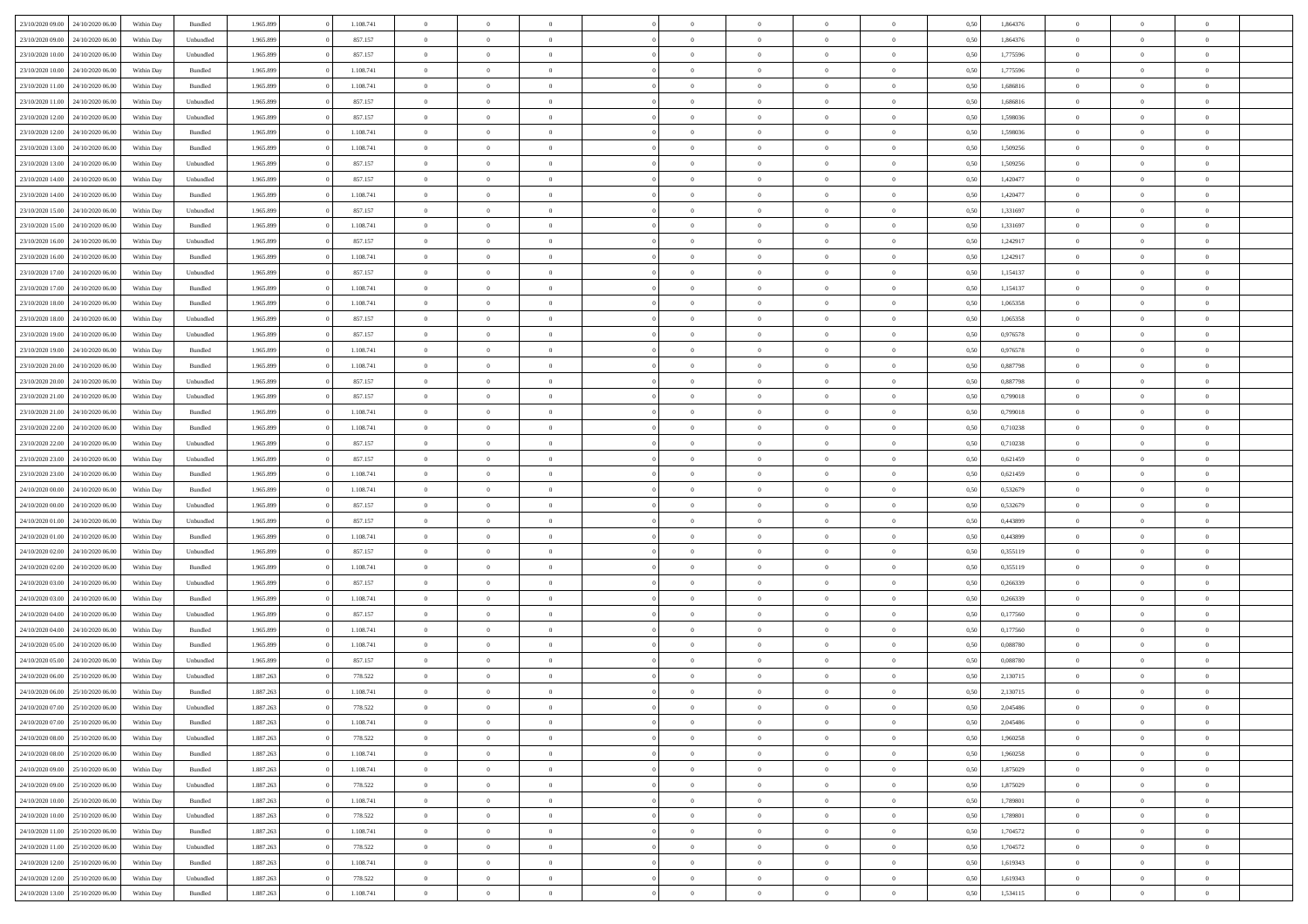| 23/10/2020 09:00                  | 24/10/2020 06.00 | Within Dav | Bundled            | 1.965.899 | 1.108.741 | $\overline{0}$ | $\Omega$       |                | $\Omega$       | $\Omega$       | $\Omega$       | $\theta$       | 0,50 | 1,864376 | $\theta$       | $\theta$       | $\theta$       |  |
|-----------------------------------|------------------|------------|--------------------|-----------|-----------|----------------|----------------|----------------|----------------|----------------|----------------|----------------|------|----------|----------------|----------------|----------------|--|
| 23/10/2020 09:00                  | 24/10/2020 06.00 | Within Day | Unbundled          | 1.965.899 | 857.157   | $\overline{0}$ | $\theta$       | $\overline{0}$ | $\overline{0}$ | $\bf{0}$       | $\overline{0}$ | $\bf{0}$       | 0,50 | 1,864376 | $\theta$       | $\theta$       | $\overline{0}$ |  |
| 23/10/2020 10:00                  | 24/10/2020 06.00 | Within Day | Unbundled          | 1.965.899 | 857.157   | $\overline{0}$ | $\overline{0}$ | $\overline{0}$ | $\bf{0}$       | $\bf{0}$       | $\bf{0}$       | $\mathbf{0}$   | 0,50 | 1,775596 | $\overline{0}$ | $\overline{0}$ | $\overline{0}$ |  |
| 23/10/2020 10:00                  | 24/10/2020 06.00 | Within Dav | Bundled            | 1.965.899 | 1.108.741 | $\overline{0}$ | $\overline{0}$ | $\overline{0}$ | $\overline{0}$ | $\bf{0}$       | $\overline{0}$ | $\overline{0}$ | 0.50 | 1,775596 | $\theta$       | $\theta$       | $\overline{0}$ |  |
| 23/10/2020 11:00                  | 24/10/2020 06.00 | Within Day | Bundled            | 1.965.899 | 1.108.741 | $\overline{0}$ | $\theta$       | $\overline{0}$ | $\overline{0}$ | $\bf{0}$       | $\overline{0}$ | $\bf{0}$       | 0,50 | 1,686816 | $\,$ 0 $\,$    | $\theta$       | $\overline{0}$ |  |
|                                   |                  |            |                    |           |           |                |                |                |                |                |                |                |      |          |                |                |                |  |
| 23/10/2020 11:00                  | 24/10/2020 06.00 | Within Day | Unbundled          | 1.965.899 | 857.157   | $\overline{0}$ | $\overline{0}$ | $\overline{0}$ | $\bf{0}$       | $\overline{0}$ | $\overline{0}$ | $\mathbf{0}$   | 0,50 | 1,686816 | $\overline{0}$ | $\overline{0}$ | $\bf{0}$       |  |
| 23/10/2020 12:00                  | 24/10/2020 06.00 | Within Dav | Unbundled          | 1.965.899 | 857.157   | $\overline{0}$ | $\overline{0}$ | $\overline{0}$ | $\overline{0}$ | $\overline{0}$ | $\overline{0}$ | $\overline{0}$ | 0.50 | 1,598036 | $\theta$       | $\overline{0}$ | $\overline{0}$ |  |
| 23/10/2020 12:00                  | 24/10/2020 06.00 | Within Day | Bundled            | 1.965.899 | 1.108.741 | $\overline{0}$ | $\theta$       | $\overline{0}$ | $\overline{0}$ | $\bf{0}$       | $\overline{0}$ | $\bf{0}$       | 0,50 | 1,598036 | $\,$ 0 $\,$    | $\theta$       | $\overline{0}$ |  |
| 23/10/2020 13:00                  | 24/10/2020 06.00 | Within Day | Bundled            | 1.965.899 | 1.108.741 | $\overline{0}$ | $\overline{0}$ | $\overline{0}$ | $\bf{0}$       | $\bf{0}$       | $\bf{0}$       | $\bf{0}$       | 0,50 | 1,509256 | $\,0\,$        | $\overline{0}$ | $\overline{0}$ |  |
| 23/10/2020 13:00                  | 24/10/2020 06.00 | Within Dav | Unbundled          | 1.965.899 | 857.157   | $\overline{0}$ | $\overline{0}$ | $\overline{0}$ | $\overline{0}$ | $\overline{0}$ | $\overline{0}$ | $\overline{0}$ | 0.50 | 1,509256 | $\theta$       | $\overline{0}$ | $\overline{0}$ |  |
| 23/10/2020 14:00                  | 24/10/2020 06.00 | Within Day | Unbundled          | 1.965.899 | 857.157   | $\overline{0}$ | $\theta$       | $\overline{0}$ | $\overline{0}$ | $\bf{0}$       | $\overline{0}$ | $\bf{0}$       | 0,50 | 1,420477 | $\,$ 0 $\,$    | $\overline{0}$ | $\overline{0}$ |  |
| 23/10/2020 14:00                  | 24/10/2020 06.00 | Within Day | Bundled            | 1.965.899 | 1.108.741 | $\overline{0}$ | $\overline{0}$ | $\overline{0}$ | $\bf{0}$       | $\bf{0}$       | $\bf{0}$       | $\mathbf{0}$   | 0,50 | 1,420477 | $\overline{0}$ | $\overline{0}$ | $\bf{0}$       |  |
|                                   |                  |            |                    |           |           |                |                |                |                |                |                |                |      |          |                |                |                |  |
| 23/10/2020 15:00                  | 24/10/2020 06.00 | Within Day | Unbundled          | 1.965.899 | 857.157   | $\overline{0}$ | $\overline{0}$ | $\overline{0}$ | $\overline{0}$ | $\bf{0}$       | $\overline{0}$ | $\overline{0}$ | 0.50 | 1.331697 | $\theta$       | $\theta$       | $\overline{0}$ |  |
| 23/10/2020 15:00                  | 24/10/2020 06.00 | Within Day | Bundled            | 1.965.899 | 1.108.741 | $\overline{0}$ | $\theta$       | $\overline{0}$ | $\overline{0}$ | $\bf{0}$       | $\overline{0}$ | $\bf{0}$       | 0,50 | 1,331697 | $\,$ 0 $\,$    | $\overline{0}$ | $\overline{0}$ |  |
| 23/10/2020 16:00                  | 24/10/2020 06.00 | Within Day | Unbundled          | 1.965.899 | 857.157   | $\overline{0}$ | $\overline{0}$ | $\overline{0}$ | $\bf{0}$       | $\overline{0}$ | $\overline{0}$ | $\mathbf{0}$   | 0,50 | 1,242917 | $\overline{0}$ | $\overline{0}$ | $\bf{0}$       |  |
| 23/10/2020 16:00                  | 24/10/2020 06.00 | Within Dav | Bundled            | 1.965.899 | 1.108.741 | $\overline{0}$ | $\overline{0}$ | $\overline{0}$ | $\overline{0}$ | $\overline{0}$ | $\overline{0}$ | $\overline{0}$ | 0.50 | 1,242917 | $\theta$       | $\overline{0}$ | $\overline{0}$ |  |
| 23/10/2020 17.00                  | 24/10/2020 06.00 | Within Day | Unbundled          | 1.965.899 | 857.157   | $\overline{0}$ | $\theta$       | $\overline{0}$ | $\overline{0}$ | $\bf{0}$       | $\overline{0}$ | $\bf{0}$       | 0,50 | 1,154137 | $\,$ 0 $\,$    | $\theta$       | $\overline{0}$ |  |
| 23/10/2020 17.00                  | 24/10/2020 06.00 | Within Day | Bundled            | 1.965.899 | 1.108.741 | $\overline{0}$ | $\overline{0}$ | $\overline{0}$ | $\bf{0}$       | $\bf{0}$       | $\bf{0}$       | $\mathbf{0}$   | 0,50 | 1,154137 | $\,0\,$        | $\overline{0}$ | $\overline{0}$ |  |
| 23/10/2020 18:00                  | 24/10/2020 06.00 | Within Day | Bundled            | 1.965.899 | 1.108.741 | $\overline{0}$ | $\overline{0}$ | $\overline{0}$ | $\overline{0}$ | $\overline{0}$ | $\overline{0}$ | $\overline{0}$ | 0.50 | 1,065358 | $\theta$       | $\overline{0}$ | $\overline{0}$ |  |
|                                   |                  |            |                    |           |           | $\overline{0}$ |                |                |                |                |                |                |      |          |                |                |                |  |
| 23/10/2020 18:00                  | 24/10/2020 06.00 | Within Day | Unbundled          | 1.965.899 | 857.157   |                | $\theta$       | $\overline{0}$ | $\overline{0}$ | $\bf{0}$       | $\overline{0}$ | $\bf{0}$       | 0,50 | 1,065358 | $\,$ 0 $\,$    | $\overline{0}$ | $\overline{0}$ |  |
| 23/10/2020 19:00                  | 24/10/2020 06.00 | Within Day | Unbundled          | 1.965.899 | 857.157   | $\overline{0}$ | $\overline{0}$ | $\overline{0}$ | $\bf{0}$       | $\bf{0}$       | $\bf{0}$       | $\bf{0}$       | 0,50 | 0,976578 | $\bf{0}$       | $\overline{0}$ | $\overline{0}$ |  |
| 23/10/2020 19:00                  | 24/10/2020 06.00 | Within Day | Bundled            | 1.965.899 | 1.108.741 | $\overline{0}$ | $\overline{0}$ | $\overline{0}$ | $\overline{0}$ | $\bf{0}$       | $\overline{0}$ | $\overline{0}$ | 0.50 | 0,976578 | $\theta$       | $\overline{0}$ | $\overline{0}$ |  |
| 23/10/2020 20.00                  | 24/10/2020 06.00 | Within Day | Bundled            | 1.965.899 | 1.108.741 | $\overline{0}$ | $\theta$       | $\overline{0}$ | $\overline{0}$ | $\bf{0}$       | $\overline{0}$ | $\bf{0}$       | 0,50 | 0,887798 | $\,$ 0 $\,$    | $\overline{0}$ | $\overline{0}$ |  |
| 23/10/2020 20:00                  | 24/10/2020 06.00 | Within Day | Unbundled          | 1.965.899 | 857.157   | $\overline{0}$ | $\overline{0}$ | $\overline{0}$ | $\bf{0}$       | $\overline{0}$ | $\overline{0}$ | $\mathbf{0}$   | 0,50 | 0,887798 | $\overline{0}$ | $\overline{0}$ | $\bf{0}$       |  |
| 23/10/2020 21:00                  | 24/10/2020 06.00 | Within Dav | Unbundled          | 1.965.899 | 857.157   | $\overline{0}$ | $\overline{0}$ | $\overline{0}$ | $\overline{0}$ | $\overline{0}$ | $\overline{0}$ | $\overline{0}$ | 0.50 | 0.799018 | $\theta$       | $\overline{0}$ | $\overline{0}$ |  |
| 23/10/2020 21:00                  | 24/10/2020 06.00 | Within Day | Bundled            | 1.965.899 | 1.108.741 | $\overline{0}$ | $\theta$       | $\overline{0}$ | $\overline{0}$ | $\bf{0}$       | $\overline{0}$ | $\bf{0}$       | 0,50 | 0,799018 | $\,$ 0 $\,$    | $\theta$       | $\overline{0}$ |  |
|                                   |                  |            |                    |           |           |                |                |                |                |                |                |                |      |          |                |                |                |  |
| 23/10/2020 22.00                  | 24/10/2020 06.00 | Within Day | Bundled            | 1.965.899 | 1.108.741 | $\overline{0}$ | $\overline{0}$ | $\overline{0}$ | $\bf{0}$       | $\bf{0}$       | $\bf{0}$       | $\bf{0}$       | 0,50 | 0,710238 | $\,0\,$        | $\overline{0}$ | $\overline{0}$ |  |
| 23/10/2020 22.00                  | 24/10/2020 06.00 | Within Day | Unbundled          | 1.965.899 | 857.157   | $\overline{0}$ | $\overline{0}$ | $\overline{0}$ | $\overline{0}$ | $\overline{0}$ | $\overline{0}$ | $\overline{0}$ | 0.50 | 0,710238 | $\theta$       | $\overline{0}$ | $\overline{0}$ |  |
| 23/10/2020 23.00                  | 24/10/2020 06.00 | Within Day | Unbundled          | 1.965.899 | 857.157   | $\overline{0}$ | $\theta$       | $\overline{0}$ | $\overline{0}$ | $\bf{0}$       | $\overline{0}$ | $\bf{0}$       | 0,50 | 0,621459 | $\,0\,$        | $\overline{0}$ | $\overline{0}$ |  |
| 23/10/2020 23.00                  | 24/10/2020 06.00 | Within Day | Bundled            | 1.965.899 | 1.108.741 | $\overline{0}$ | $\overline{0}$ | $\overline{0}$ | $\bf{0}$       | $\bf{0}$       | $\bf{0}$       | $\bf{0}$       | 0,50 | 0,621459 | $\overline{0}$ | $\overline{0}$ | $\overline{0}$ |  |
| 24/10/2020 00:00                  | 24/10/2020 06.00 | Within Day | Bundled            | 1.965.899 | 1.108.741 | $\overline{0}$ | $\Omega$       | $\overline{0}$ | $\Omega$       | $\Omega$       | $\overline{0}$ | $\overline{0}$ | 0,50 | 0,532679 | $\,0\,$        | $\theta$       | $\theta$       |  |
| 24/10/2020 00.00                  | 24/10/2020 06.00 | Within Day | Unbundled          | 1.965.899 | 857.157   | $\overline{0}$ | $\theta$       | $\overline{0}$ | $\overline{0}$ | $\bf{0}$       | $\overline{0}$ | $\bf{0}$       | 0,50 | 0,532679 | $\,$ 0 $\,$    | $\theta$       | $\overline{0}$ |  |
| 24/10/2020 01:00                  | 24/10/2020 06.00 | Within Day | Unbundled          | 1.965.899 | 857.157   | $\overline{0}$ | $\overline{0}$ | $\overline{0}$ | $\bf{0}$       | $\bf{0}$       | $\overline{0}$ | $\mathbf{0}$   | 0,50 | 0,443899 | $\bf{0}$       | $\overline{0}$ | $\bf{0}$       |  |
|                                   |                  |            |                    |           |           |                |                |                |                |                |                |                |      |          |                |                |                |  |
| 24/10/2020 01:00                  | 24/10/2020 06.00 | Within Day | Bundled            | 1.965.899 | 1.108.741 | $\overline{0}$ | $\Omega$       | $\Omega$       | $\Omega$       | $\overline{0}$ | $\overline{0}$ | $\overline{0}$ | 0.50 | 0.443899 | $\,0\,$        | $\theta$       | $\theta$       |  |
| 24/10/2020 02.00                  | 24/10/2020 06.00 | Within Day | Unbundled          | 1.965.899 | 857.157   | $\overline{0}$ | $\theta$       | $\overline{0}$ | $\overline{0}$ | $\bf{0}$       | $\overline{0}$ | $\bf{0}$       | 0,50 | 0,355119 | $\,$ 0 $\,$    | $\overline{0}$ | $\overline{0}$ |  |
| 24/10/2020 02.00                  | 24/10/2020 06.00 | Within Day | Bundled            | 1.965.899 | 1.108.741 | $\overline{0}$ | $\overline{0}$ | $\overline{0}$ | $\bf{0}$       | $\bf{0}$       | $\bf{0}$       | $\bf{0}$       | 0,50 | 0,355119 | $\bf{0}$       | $\overline{0}$ | $\overline{0}$ |  |
| 24/10/2020 03:00                  | 24/10/2020 06.00 | Within Day | Unbundled          | 1.965.899 | 857.157   | $\overline{0}$ | $\Omega$       | $\overline{0}$ | $\Omega$       | $\overline{0}$ | $\overline{0}$ | $\overline{0}$ | 0.50 | 0.266339 | $\,0\,$        | $\theta$       | $\theta$       |  |
| 24/10/2020 03.00                  | 24/10/2020 06.00 | Within Day | Bundled            | 1.965.899 | 1.108.741 | $\overline{0}$ | $\theta$       | $\overline{0}$ | $\overline{0}$ | $\,$ 0         | $\overline{0}$ | $\bf{0}$       | 0,50 | 0,266339 | $\,$ 0 $\,$    | $\overline{0}$ | $\overline{0}$ |  |
| 24/10/2020 04.00                  | 24/10/2020 06.00 | Within Day | Unbundled          | 1.965.899 | 857.157   | $\overline{0}$ | $\overline{0}$ | $\overline{0}$ | $\bf{0}$       | $\bf{0}$       | $\bf{0}$       | $\bf{0}$       | 0,50 | 0,177560 | $\bf{0}$       | $\overline{0}$ | $\overline{0}$ |  |
| 24/10/2020 04:00                  | 24/10/2020 06.00 | Within Day | Bundled            | 1.965.899 | 1.108.741 | $\overline{0}$ | $\Omega$       | $\overline{0}$ | $\Omega$       | $\overline{0}$ | $\overline{0}$ | $\overline{0}$ | 0.50 | 0,177560 | $\,0\,$        | $\theta$       | $\theta$       |  |
| 24/10/2020 05.00                  | 24/10/2020 06.00 | Within Day | Bundled            | 1.965.899 | 1.108.741 | $\overline{0}$ | $\theta$       | $\overline{0}$ | $\overline{0}$ | $\,$ 0         | $\overline{0}$ | $\bf{0}$       | 0,50 | 0,088780 | $\,$ 0 $\,$    | $\overline{0}$ | $\overline{0}$ |  |
|                                   |                  |            |                    |           |           |                |                |                |                |                |                |                |      |          |                |                |                |  |
| 24/10/2020 05.00                  | 24/10/2020 06.00 | Within Day | Unbundled          | 1.965.899 | 857.157   | $\overline{0}$ | $\overline{0}$ | $\overline{0}$ | $\bf{0}$       | $\bf{0}$       | $\overline{0}$ | $\mathbf{0}$   | 0,50 | 0,088780 | $\bf{0}$       | $\overline{0}$ | $\bf{0}$       |  |
| 24/10/2020 06.00                  | 25/10/2020 06:00 | Within Day | Unbundled          | 1.887.263 | 778.522   | $\overline{0}$ | $\Omega$       | $\Omega$       | $\Omega$       | $\Omega$       | $\Omega$       | $\overline{0}$ | 0.50 | 2,130715 | $\theta$       | $\theta$       | $\theta$       |  |
| 24/10/2020 06.00                  | 25/10/2020 06.00 | Within Day | Bundled            | 1.887.263 | 1.108.741 | $\bf{0}$       | $\overline{0}$ | $\overline{0}$ | $\bf{0}$       | $\,$ 0         | $\bf{0}$       | $\bf{0}$       | 0,50 | 2,130715 | $\,0\,$        | $\,$ 0 $\,$    | $\overline{0}$ |  |
| 24/10/2020 07:00                  | 25/10/2020 06.00 | Within Day | Unbundled          | 1.887.263 | 778.522   | $\bf{0}$       | $\bf{0}$       |                |                | $\bf{0}$       |                |                | 0,50 | 2,045486 | $\bf{0}$       | $\overline{0}$ |                |  |
| 24/10/2020 07:00                  | 25/10/2020 06:00 | Within Day | Bundled            | 1.887.263 | 1.108.741 | $\overline{0}$ | $\overline{0}$ | $\overline{0}$ | $\Omega$       | $\overline{0}$ | $\overline{0}$ | $\overline{0}$ | 0.50 | 2.045486 | $\theta$       | $\theta$       | $\theta$       |  |
| 24/10/2020 08.00                  | 25/10/2020 06.00 | Within Day | Unbundled          | 1.887.263 | 778.522   | $\overline{0}$ | $\,$ 0         | $\overline{0}$ | $\bf{0}$       | $\,$ 0 $\,$    | $\overline{0}$ | $\,$ 0 $\,$    | 0,50 | 1,960258 | $\,$ 0 $\,$    | $\,$ 0 $\,$    | $\,$ 0         |  |
| 24/10/2020 08.00                  | 25/10/2020 06.00 | Within Day | Bundled            | 1.887.263 | 1.108.741 | $\overline{0}$ | $\overline{0}$ | $\overline{0}$ | $\overline{0}$ | $\overline{0}$ | $\overline{0}$ | $\mathbf{0}$   | 0,50 | 1,960258 | $\overline{0}$ | $\bf{0}$       | $\bf{0}$       |  |
|                                   |                  |            |                    |           |           |                |                |                |                |                |                |                |      |          |                |                |                |  |
| 24/10/2020 09:00                  | 25/10/2020 06.00 | Within Day | $\mathbf B$ undled | 1.887.263 | 1.108.741 | $\overline{0}$ | $\overline{0}$ | $\overline{0}$ | $\Omega$       | $\overline{0}$ | $\overline{0}$ | $\overline{0}$ | 0,50 | 1,875029 | $\overline{0}$ | $\theta$       | $\overline{0}$ |  |
| 24/10/2020 09:00                  | 25/10/2020 06.00 | Within Day | Unbundled          | 1.887.263 | 778.522   | $\overline{0}$ | $\,$ 0         | $\overline{0}$ | $\overline{0}$ | $\,$ 0 $\,$    | $\overline{0}$ | $\mathbf{0}$   | 0,50 | 1,875029 | $\,$ 0 $\,$    | $\overline{0}$ | $\overline{0}$ |  |
| 24/10/2020 10:00                  | 25/10/2020 06.00 | Within Day | Bundled            | 1.887.263 | 1.108.741 | $\overline{0}$ | $\overline{0}$ | $\overline{0}$ | $\overline{0}$ | $\overline{0}$ | $\overline{0}$ | $\mathbf{0}$   | 0,50 | 1,789801 | $\overline{0}$ | $\overline{0}$ | $\bf{0}$       |  |
| 24/10/2020 10:00                  | 25/10/2020 06.00 | Within Day | Unbundled          | 1.887.263 | 778.522   | $\overline{0}$ | $\overline{0}$ | $\overline{0}$ | $\overline{0}$ | $\overline{0}$ | $\overline{0}$ | $\bf{0}$       | 0.50 | 1,789801 | $\overline{0}$ | $\theta$       | $\overline{0}$ |  |
| 24/10/2020 11:00                  | 25/10/2020 06.00 | Within Day | Bundled            | 1.887.263 | 1.108.741 | $\overline{0}$ | $\,$ 0         | $\overline{0}$ | $\bf{0}$       | $\bf{0}$       | $\bf{0}$       | $\bf{0}$       | 0,50 | 1,704572 | $\,$ 0 $\,$    | $\overline{0}$ | $\overline{0}$ |  |
| 24/10/2020 11:00                  | 25/10/2020 06.00 | Within Day | Unbundled          | 1.887.263 | 778.522   | $\overline{0}$ | $\bf{0}$       | $\overline{0}$ | $\overline{0}$ | $\overline{0}$ | $\overline{0}$ | $\mathbf{0}$   | 0,50 | 1,704572 | $\overline{0}$ | $\overline{0}$ | $\bf{0}$       |  |
| 24/10/2020 12:00                  | 25/10/2020 06.00 | Within Day | Bundled            | 1.887.263 | 1.108.741 | $\overline{0}$ | $\overline{0}$ | $\overline{0}$ | $\Omega$       | $\overline{0}$ | $\overline{0}$ | $\overline{0}$ | 0.50 | 1,619343 | $\overline{0}$ | $\overline{0}$ | $\overline{0}$ |  |
|                                   |                  |            |                    |           |           |                |                |                |                |                |                |                |      |          |                |                |                |  |
| 24/10/2020 12.00                  | 25/10/2020 06.00 | Within Day | Unbundled          | 1.887.263 | 778.522   | $\overline{0}$ | $\bf{0}$       | $\overline{0}$ | $\overline{0}$ | $\bf{0}$       | $\bf{0}$       | $\mathbf{0}$   | 0,50 | 1,619343 | $\,$ 0 $\,$    | $\,$ 0 $\,$    | $\bf{0}$       |  |
| 24/10/2020 13:00 25/10/2020 06:00 |                  | Within Day | Bundled            | 1.887.263 | 1.108.741 | $\overline{0}$ | $\bf{0}$       | $\overline{0}$ | $\bf{0}$       | $\bf{0}$       | $\bf{0}$       | $\bf{0}$       | 0,50 | 1,534115 | $\overline{0}$ | $\overline{0}$ | $\bf{0}$       |  |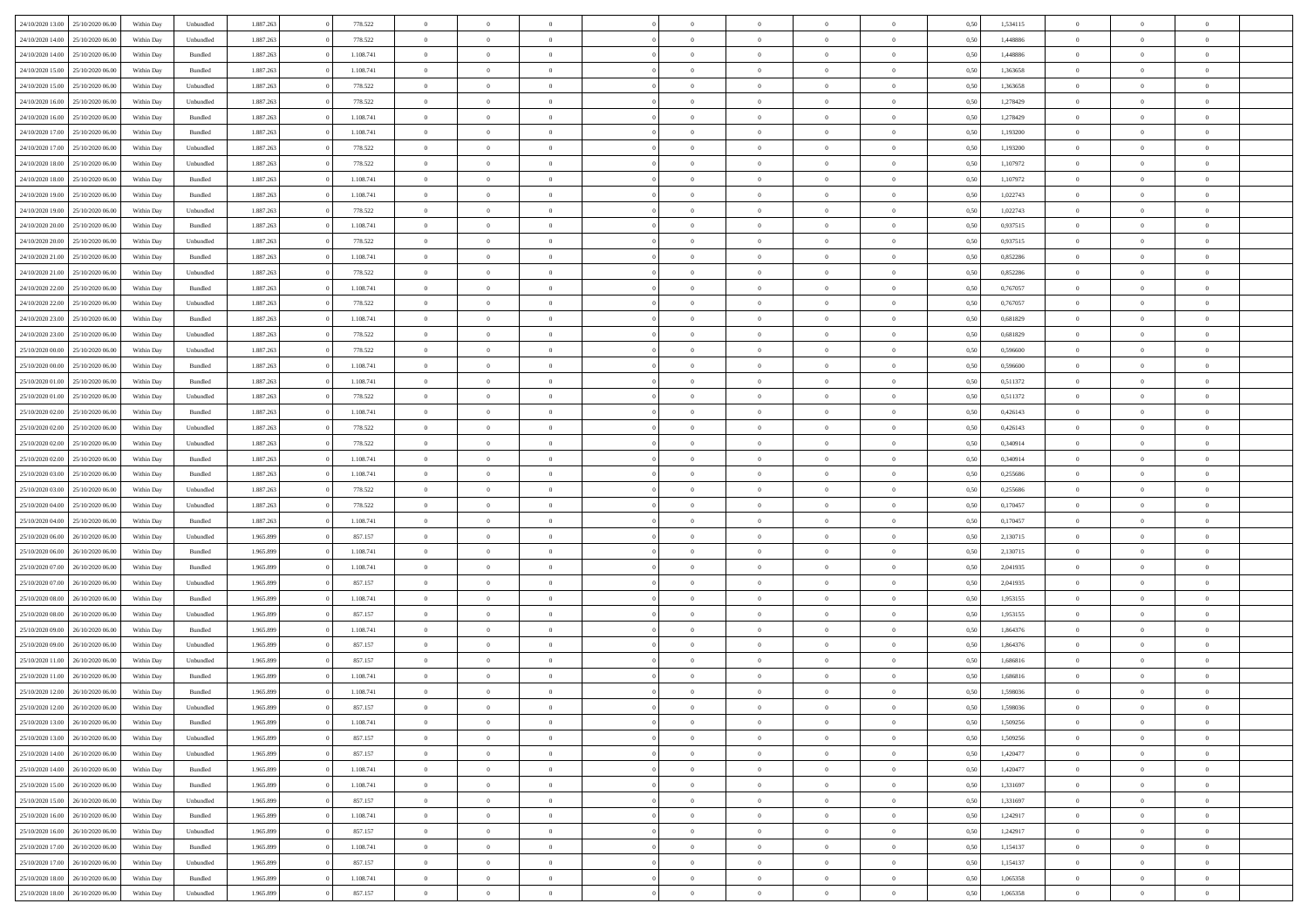| 24/10/2020 13:00 | 25/10/2020 06:00 | Within Dav | Unbundled          | 1.887.263 | 778.522   | $\overline{0}$ | $\theta$       |                | $\Omega$       | $\Omega$       | $\theta$       | $\theta$       | 0,50 | 1,534115 | $\theta$       | $\overline{0}$ | $\overline{0}$ |  |
|------------------|------------------|------------|--------------------|-----------|-----------|----------------|----------------|----------------|----------------|----------------|----------------|----------------|------|----------|----------------|----------------|----------------|--|
| 24/10/2020 14:00 | 25/10/2020 06.00 | Within Day | Unbundled          | 1.887.263 | 778.522   | $\overline{0}$ | $\overline{0}$ | $\overline{0}$ | $\overline{0}$ | $\bf{0}$       | $\overline{0}$ | $\bf{0}$       | 0,50 | 1,448886 | $\theta$       | $\overline{0}$ | $\overline{0}$ |  |
| 24/10/2020 14:00 | 25/10/2020 06.00 | Within Day | Bundled            | 1.887.263 | 1.108.741 | $\overline{0}$ | $\overline{0}$ | $\overline{0}$ | $\bf{0}$       | $\bf{0}$       | $\bf{0}$       | $\mathbf{0}$   | 0,50 | 1,448886 | $\overline{0}$ | $\overline{0}$ | $\overline{0}$ |  |
|                  |                  |            |                    |           |           |                |                |                |                |                |                |                |      |          | $\theta$       |                |                |  |
| 24/10/2020 15:00 | 25/10/2020 06:00 | Within Dav | Bundled            | 1.887.263 | 1.108.741 | $\overline{0}$ | $\overline{0}$ | $\overline{0}$ | $\overline{0}$ | $\bf{0}$       | $\overline{0}$ | $\overline{0}$ | 0.50 | 1.363658 |                | $\theta$       | $\overline{0}$ |  |
| 24/10/2020 15.00 | 25/10/2020 06.00 | Within Day | Unbundled          | 1.887.263 | 778.522   | $\overline{0}$ | $\theta$       | $\overline{0}$ | $\overline{0}$ | $\bf{0}$       | $\overline{0}$ | $\bf{0}$       | 0,50 | 1,363658 | $\,$ 0 $\,$    | $\overline{0}$ | $\overline{0}$ |  |
| 24/10/2020 16.00 | 25/10/2020 06.00 | Within Day | Unbundled          | 1.887.263 | 778.522   | $\overline{0}$ | $\overline{0}$ | $\overline{0}$ | $\bf{0}$       | $\overline{0}$ | $\overline{0}$ | $\mathbf{0}$   | 0,50 | 1,278429 | $\overline{0}$ | $\overline{0}$ | $\bf{0}$       |  |
| 24/10/2020 16:00 | 25/10/2020 06.00 | Within Dav | Bundled            | 1.887.263 | 1.108.741 | $\overline{0}$ | $\overline{0}$ | $\overline{0}$ | $\overline{0}$ | $\overline{0}$ | $\overline{0}$ | $\overline{0}$ | 0.50 | 1,278429 | $\theta$       | $\overline{0}$ | $\overline{0}$ |  |
|                  |                  |            |                    |           |           |                |                |                |                |                |                |                |      |          |                |                |                |  |
| 24/10/2020 17.00 | 25/10/2020 06.00 | Within Day | Bundled            | 1.887.263 | 1.108.741 | $\overline{0}$ | $\theta$       | $\overline{0}$ | $\overline{0}$ | $\bf{0}$       | $\overline{0}$ | $\bf{0}$       | 0,50 | 1,193200 | $\,$ 0 $\,$    | $\theta$       | $\overline{0}$ |  |
| 24/10/2020 17.00 | 25/10/2020 06.00 | Within Day | Unbundled          | 1.887.263 | 778.522   | $\overline{0}$ | $\overline{0}$ | $\overline{0}$ | $\bf{0}$       | $\bf{0}$       | $\bf{0}$       | $\mathbf{0}$   | 0,50 | 1,193200 | $\,0\,$        | $\overline{0}$ | $\overline{0}$ |  |
| 24/10/2020 18:00 | 25/10/2020 06.00 | Within Dav | Unbundled          | 1.887.263 | 778.522   | $\overline{0}$ | $\overline{0}$ | $\overline{0}$ | $\overline{0}$ | $\overline{0}$ | $\overline{0}$ | $\overline{0}$ | 0.50 | 1,107972 | $\theta$       | $\overline{0}$ | $\overline{0}$ |  |
| 24/10/2020 18.00 | 25/10/2020 06.00 | Within Day | Bundled            | 1.887.263 | 1.108.741 | $\overline{0}$ | $\theta$       | $\overline{0}$ | $\overline{0}$ | $\bf{0}$       | $\overline{0}$ |                |      | 1,107972 | $\,$ 0 $\,$    | $\overline{0}$ | $\overline{0}$ |  |
|                  |                  |            |                    |           |           |                |                |                |                |                |                | $\bf{0}$       | 0,50 |          |                |                |                |  |
| 24/10/2020 19:00 | 25/10/2020 06.00 | Within Day | Bundled            | 1.887.263 | 1.108.741 | $\overline{0}$ | $\overline{0}$ | $\overline{0}$ | $\bf{0}$       | $\overline{0}$ | $\bf{0}$       | $\mathbf{0}$   | 0,50 | 1,022743 | $\bf{0}$       | $\overline{0}$ | $\bf{0}$       |  |
| 24/10/2020 19:00 | 25/10/2020 06:00 | Within Day | Unbundled          | 1.887.263 | 778.522   | $\overline{0}$ | $\overline{0}$ | $\overline{0}$ | $\overline{0}$ | $\overline{0}$ | $\overline{0}$ | $\overline{0}$ | 0.50 | 1,022743 | $\theta$       | $\theta$       | $\overline{0}$ |  |
| 24/10/2020 20.00 | 25/10/2020 06.00 | Within Day | Bundled            | 1.887.263 | 1.108.741 | $\overline{0}$ | $\theta$       | $\overline{0}$ | $\overline{0}$ | $\bf{0}$       | $\overline{0}$ | $\bf{0}$       | 0,50 | 0,937515 | $\,$ 0 $\,$    | $\overline{0}$ | $\overline{0}$ |  |
|                  |                  |            |                    |           |           |                |                |                |                |                |                |                |      |          |                |                |                |  |
| 24/10/2020 20.00 | 25/10/2020 06.00 | Within Day | Unbundled          | 1.887.263 | 778.522   | $\overline{0}$ | $\overline{0}$ | $\overline{0}$ | $\bf{0}$       | $\overline{0}$ | $\overline{0}$ | $\mathbf{0}$   | 0,50 | 0,937515 | $\bf{0}$       | $\overline{0}$ | $\bf{0}$       |  |
| 24/10/2020 21:00 | 25/10/2020 06:00 | Within Dav | Bundled            | 1.887.263 | 1.108.741 | $\overline{0}$ | $\overline{0}$ | $\overline{0}$ | $\overline{0}$ | $\overline{0}$ | $\overline{0}$ | $\overline{0}$ | 0.50 | 0,852286 | $\overline{0}$ | $\overline{0}$ | $\overline{0}$ |  |
| 24/10/2020 21.00 | 25/10/2020 06.00 | Within Day | Unbundled          | 1.887.263 | 778.522   | $\overline{0}$ | $\theta$       | $\overline{0}$ | $\overline{0}$ | $\bf{0}$       | $\overline{0}$ | $\bf{0}$       | 0,50 | 0,852286 | $\,$ 0 $\,$    | $\overline{0}$ | $\overline{0}$ |  |
| 24/10/2020 22.00 | 25/10/2020 06.00 | Within Day | Bundled            | 1.887.263 | 1.108.741 | $\overline{0}$ | $\overline{0}$ | $\overline{0}$ | $\bf{0}$       | $\bf{0}$       | $\bf{0}$       | $\mathbf{0}$   | 0,50 | 0,767057 | $\bf{0}$       | $\overline{0}$ | $\bf{0}$       |  |
|                  |                  |            |                    |           |           |                |                |                |                |                |                |                |      |          |                |                |                |  |
| 24/10/2020 22.00 | 25/10/2020 06:00 | Within Day | Unbundled          | 1.887.263 | 778.522   | $\overline{0}$ | $\overline{0}$ | $\overline{0}$ | $\overline{0}$ | $\overline{0}$ | $\overline{0}$ | $\overline{0}$ | 0.50 | 0,767057 | $\theta$       | $\overline{0}$ | $\overline{0}$ |  |
| 24/10/2020 23.00 | 25/10/2020 06.00 | Within Day | Bundled            | 1.887.263 | 1.108.741 | $\overline{0}$ | $\theta$       | $\overline{0}$ | $\overline{0}$ | $\bf{0}$       | $\overline{0}$ | $\bf{0}$       | 0,50 | 0,681829 | $\,$ 0 $\,$    | $\overline{0}$ | $\overline{0}$ |  |
| 24/10/2020 23.00 | 25/10/2020 06.00 | Within Day | Unbundled          | 1.887.263 | 778.522   | $\overline{0}$ | $\overline{0}$ | $\overline{0}$ | $\bf{0}$       | $\bf{0}$       | $\bf{0}$       | $\mathbf{0}$   | 0,50 | 0,681829 | $\bf{0}$       | $\overline{0}$ | $\bf{0}$       |  |
| 25/10/2020 00:00 | 25/10/2020 06:00 | Within Day | Unbundled          | 1.887.263 | 778.522   | $\overline{0}$ | $\overline{0}$ | $\overline{0}$ | $\overline{0}$ | $\overline{0}$ | $\overline{0}$ | $\overline{0}$ | 0.50 | 0.596600 | $\theta$       | $\overline{0}$ | $\overline{0}$ |  |
|                  |                  |            |                    |           |           |                |                |                |                |                |                |                |      |          |                |                |                |  |
| 25/10/2020 00.00 | 25/10/2020 06.00 | Within Day | Bundled            | 1.887.263 | 1.108.741 | $\overline{0}$ | $\theta$       | $\overline{0}$ | $\overline{0}$ | $\bf{0}$       | $\overline{0}$ | $\bf{0}$       | 0,50 | 0,596600 | $\,$ 0 $\,$    | $\overline{0}$ | $\overline{0}$ |  |
| 25/10/2020 01:00 | 25/10/2020 06.00 | Within Day | Bundled            | 1.887.263 | 1.108.741 | $\overline{0}$ | $\overline{0}$ | $\overline{0}$ | $\bf{0}$       | $\overline{0}$ | $\overline{0}$ | $\mathbf{0}$   | 0,50 | 0,511372 | $\bf{0}$       | $\overline{0}$ | $\bf{0}$       |  |
| 25/10/2020 01:00 | 25/10/2020 06:00 | Within Day | Unbundled          | 1.887.263 | 778.522   | $\overline{0}$ | $\overline{0}$ | $\overline{0}$ | $\overline{0}$ | $\overline{0}$ | $\overline{0}$ | $\overline{0}$ | 0.50 | 0.511372 | $\overline{0}$ | $\overline{0}$ | $\overline{0}$ |  |
| 25/10/2020 02.00 | 25/10/2020 06.00 | Within Day | Bundled            | 1.887.263 | 1.108.741 | $\overline{0}$ | $\theta$       | $\overline{0}$ | $\overline{0}$ | $\bf{0}$       | $\overline{0}$ | $\bf{0}$       | 0,50 | 0,426143 | $\,$ 0 $\,$    | $\overline{0}$ | $\overline{0}$ |  |
|                  |                  |            |                    |           |           |                |                |                |                |                |                |                |      |          |                |                |                |  |
| 25/10/2020 02:00 | 25/10/2020 06.00 | Within Day | Unbundled          | 1.887.263 | 778.522   | $\overline{0}$ | $\overline{0}$ | $\overline{0}$ | $\bf{0}$       | $\bf{0}$       | $\bf{0}$       | $\mathbf{0}$   | 0,50 | 0,426143 | $\,0\,$        | $\overline{0}$ | $\overline{0}$ |  |
| 25/10/2020 02:00 | 25/10/2020 06:00 | Within Day | Unbundled          | 1.887.263 | 778.522   | $\overline{0}$ | $\overline{0}$ | $\overline{0}$ | $\overline{0}$ | $\overline{0}$ | $\overline{0}$ | $\overline{0}$ | 0.50 | 0,340914 | $\theta$       | $\overline{0}$ | $\overline{0}$ |  |
| 25/10/2020 02.00 | 25/10/2020 06.00 | Within Day | Bundled            | 1.887.263 | 1.108.741 | $\overline{0}$ | $\overline{0}$ | $\overline{0}$ | $\overline{0}$ | $\,$ 0         | $\overline{0}$ | $\bf{0}$       | 0,50 | 0,340914 | $\,$ 0 $\,$    | $\overline{0}$ | $\overline{0}$ |  |
| 25/10/2020 03:00 | 25/10/2020 06.00 | Within Day | Bundled            | 1.887.263 | 1.108.741 | $\overline{0}$ | $\overline{0}$ | $\overline{0}$ | $\bf{0}$       | $\overline{0}$ | $\bf{0}$       | $\mathbf{0}$   | 0,50 | 0,255686 | $\overline{0}$ | $\overline{0}$ | $\bf{0}$       |  |
|                  |                  |            |                    |           |           |                |                |                |                |                |                |                |      |          |                |                |                |  |
| 25/10/2020 03:00 | 25/10/2020 06.00 | Within Day | Unbundled          | 1.887.263 | 778.522   | $\overline{0}$ | $\theta$       | $\overline{0}$ | $\Omega$       | $\overline{0}$ | $\overline{0}$ | $\overline{0}$ | 0,50 | 0,255686 | $\,0\,$        | $\theta$       | $\theta$       |  |
| 25/10/2020 04.00 | 25/10/2020 06.00 | Within Day | Unbundled          | 1.887.263 | 778.522   | $\overline{0}$ | $\overline{0}$ | $\overline{0}$ | $\overline{0}$ | $\bf{0}$       | $\overline{0}$ | $\bf{0}$       | 0,50 | 0,170457 | $\,$ 0 $\,$    | $\overline{0}$ | $\overline{0}$ |  |
| 25/10/2020 04:00 | 25/10/2020 06.00 | Within Day | Bundled            | 1.887.263 | 1.108.741 | $\overline{0}$ | $\overline{0}$ | $\overline{0}$ | $\bf{0}$       | $\overline{0}$ | $\overline{0}$ | $\mathbf{0}$   | 0,50 | 0,170457 | $\overline{0}$ | $\overline{0}$ | $\bf{0}$       |  |
| 25/10/2020 06:00 | 26/10/2020 06:00 | Within Day | Unbundled          | 1.965.899 | 857.157   | $\overline{0}$ | $\overline{0}$ | $\overline{0}$ | $\Omega$       | $\overline{0}$ | $\overline{0}$ | $\overline{0}$ | 0.50 | 2,130715 | $\,0\,$        | $\theta$       | $\overline{0}$ |  |
|                  |                  |            |                    |           |           |                |                |                |                |                |                |                |      |          |                |                |                |  |
| 25/10/2020 06.00 | 26/10/2020 06.00 | Within Day | Bundled            | 1.965.899 | 1.108.741 | $\overline{0}$ | $\theta$       | $\overline{0}$ | $\overline{0}$ | $\,$ 0         | $\overline{0}$ | $\bf{0}$       | 0,50 | 2,130715 | $\,$ 0 $\,$    | $\overline{0}$ | $\overline{0}$ |  |
| 25/10/2020 07.00 | 26/10/2020 06.00 | Within Day | Bundled            | 1.965.899 | 1.108.741 | $\overline{0}$ | $\bf{0}$       | $\overline{0}$ | $\bf{0}$       | $\bf{0}$       | $\bf{0}$       | $\mathbf{0}$   | 0,50 | 2,041935 | $\bf{0}$       | $\overline{0}$ | $\bf{0}$       |  |
| 25/10/2020 07:00 | 26/10/2020 06:00 | Within Day | Unbundled          | 1.965.899 | 857.157   | $\overline{0}$ | $\overline{0}$ | $\overline{0}$ | $\Omega$       | $\overline{0}$ | $\overline{0}$ | $\overline{0}$ | 0.50 | 2.041935 | $\,$ 0 $\,$    | $\theta$       | $\theta$       |  |
| 25/10/2020 08.00 | 26/10/2020 06.00 | Within Day | Bundled            | 1.965.899 | 1.108.741 | $\overline{0}$ | $\overline{0}$ | $\overline{0}$ | $\overline{0}$ | $\,$ 0         | $\overline{0}$ | $\bf{0}$       | 0,50 | 1,953155 | $\,$ 0 $\,$    | $\overline{0}$ | $\overline{0}$ |  |
|                  |                  |            |                    |           |           |                |                |                |                |                |                |                |      |          |                |                |                |  |
| 25/10/2020 08:00 | 26/10/2020 06.00 | Within Day | Unbundled          | 1.965.899 | 857.157   | $\overline{0}$ | $\overline{0}$ | $\overline{0}$ | $\bf{0}$       | $\bf{0}$       | $\overline{0}$ | $\mathbf{0}$   | 0,50 | 1,953155 | $\bf{0}$       | $\overline{0}$ | $\bf{0}$       |  |
| 25/10/2020 09:00 | 26/10/2020 06.00 | Within Day | Bundled            | 1.965.899 | 1.108.741 | $\overline{0}$ | $\theta$       | $\overline{0}$ | $\Omega$       | $\overline{0}$ | $\overline{0}$ | $\overline{0}$ | 0,50 | 1,864376 | $\,0\,$        | $\theta$       | $\overline{0}$ |  |
| 25/10/2020 09:00 | 26/10/2020 06.00 | Within Day | Unbundled          | 1.965.899 | 857.157   | $\overline{0}$ | $\overline{0}$ | $\overline{0}$ | $\overline{0}$ | $\,$ 0         | $\overline{0}$ | $\bf{0}$       | 0,50 | 1,864376 | $\,$ 0 $\,$    | $\overline{0}$ | $\overline{0}$ |  |
| 25/10/2020 11:00 | 26/10/2020 06.00 | Within Day | Unbundled          | 1.965.899 | 857.157   | $\overline{0}$ | $\overline{0}$ | $\overline{0}$ | $\bf{0}$       | $\overline{0}$ | $\overline{0}$ | $\mathbf{0}$   | 0,50 | 1,686816 | $\bf{0}$       | $\overline{0}$ | $\bf{0}$       |  |
|                  | 26/10/2020 06:00 |            |                    |           |           | $\overline{0}$ | $\Omega$       | $\Omega$       | $\Omega$       | $\Omega$       |                |                |      |          | $\theta$       | $\theta$       | $\theta$       |  |
| 25/10/2020 11:00 |                  | Within Day | Bundled            | 1.965.899 | 1.108.741 |                |                |                |                |                | $\overline{0}$ | $\overline{0}$ | 0.50 | 1.686816 |                |                |                |  |
| 25/10/2020 12:00 | 26/10/2020 06.00 | Within Day | Bundled            | 1.965.899 | 1.108.741 | $\bf{0}$       | $\overline{0}$ | $\overline{0}$ | $\bf{0}$       | $\,$ 0         | $\bf{0}$       | $\bf{0}$       | 0,50 | 1,598036 | $\,0\,$        | $\,0\,$        | $\overline{0}$ |  |
| 25/10/2020 12:00 | 26/10/2020 06.00 | Within Day | Unbundled          | 1.965.899 | 857.157   | $\bf{0}$       | $\bf{0}$       |                |                | $\bf{0}$       |                |                | 0,50 | 1,598036 | $\bf{0}$       | $\overline{0}$ |                |  |
| 25/10/2020 13:00 | 26/10/2020 06:00 | Within Day | Bundled            | 1.965.899 | 1.108.741 | $\overline{0}$ | $\overline{0}$ | $\overline{0}$ | $\Omega$       | $\overline{0}$ | $\overline{0}$ | $\overline{0}$ | 0,50 | 1.509256 | $\theta$       | $\theta$       | $\theta$       |  |
|                  |                  |            |                    |           |           |                |                |                |                |                |                |                |      |          |                |                |                |  |
| 25/10/2020 13:00 | 26/10/2020 06.00 | Within Day | Unbundled          | 1.965.899 | 857.157   | $\overline{0}$ | $\bf{0}$       | $\overline{0}$ | $\bf{0}$       | $\,$ 0 $\,$    | $\overline{0}$ | $\,$ 0 $\,$    | 0,50 | 1,509256 | $\,$ 0 $\,$    | $\,$ 0 $\,$    | $\,$ 0         |  |
| 25/10/2020 14:00 | 26/10/2020 06.00 | Within Day | Unbundled          | 1.965.899 | 857.157   | $\overline{0}$ | $\overline{0}$ | $\overline{0}$ | $\overline{0}$ | $\overline{0}$ | $\overline{0}$ | $\mathbf{0}$   | 0,50 | 1,420477 | $\overline{0}$ | $\bf{0}$       | $\bf{0}$       |  |
| 25/10/2020 14:00 | 26/10/2020 06.00 | Within Day | $\mathbf B$ undled | 1.965.899 | 1.108.741 | $\overline{0}$ | $\overline{0}$ | $\overline{0}$ | $\Omega$       | $\overline{0}$ | $\overline{0}$ | $\overline{0}$ | 0,50 | 1,420477 | $\overline{0}$ | $\theta$       | $\overline{0}$ |  |
| 25/10/2020 15:00 | 26/10/2020 06.00 | Within Day | Bundled            | 1.965.899 | 1.108.741 | $\overline{0}$ | $\,$ 0         | $\overline{0}$ | $\overline{0}$ | $\,$ 0 $\,$    | $\overline{0}$ | $\mathbf{0}$   | 0,50 | 1,331697 | $\,$ 0 $\,$    | $\overline{0}$ | $\overline{0}$ |  |
|                  |                  |            |                    |           |           |                |                |                |                |                |                |                |      |          |                |                |                |  |
| 25/10/2020 15.00 | 26/10/2020 06.00 | Within Day | Unbundled          | 1.965.899 | 857.157   | $\overline{0}$ | $\overline{0}$ | $\overline{0}$ | $\overline{0}$ | $\overline{0}$ | $\overline{0}$ | $\mathbf{0}$   | 0,50 | 1,331697 | $\overline{0}$ | $\overline{0}$ | $\bf{0}$       |  |
| 25/10/2020 16.00 | 26/10/2020 06.00 | Within Day | Bundled            | 1.965.899 | 1.108.741 | $\overline{0}$ | $\overline{0}$ | $\overline{0}$ | $\overline{0}$ | $\overline{0}$ | $\overline{0}$ | $\bf{0}$       | 0.50 | 1,242917 | $\overline{0}$ | $\theta$       | $\overline{0}$ |  |
| 25/10/2020 16:00 | 26/10/2020 06.00 | Within Day | Unbundled          | 1.965.899 | 857.157   | $\overline{0}$ | $\,$ 0         | $\overline{0}$ | $\bf{0}$       | $\bf{0}$       | $\bf{0}$       | $\bf{0}$       | 0,50 | 1,242917 | $\,$ 0 $\,$    | $\overline{0}$ | $\overline{0}$ |  |
|                  | 26/10/2020 06.00 | Within Day | Bundled            | 1.965.899 | 1.108.741 | $\overline{0}$ | $\bf{0}$       | $\overline{0}$ | $\overline{0}$ | $\overline{0}$ | $\overline{0}$ | $\mathbf{0}$   | 0,50 | 1,154137 | $\overline{0}$ | $\overline{0}$ | $\bf{0}$       |  |
|                  |                  |            |                    |           |           |                |                |                |                |                |                |                |      |          |                |                |                |  |
| 25/10/2020 17:00 |                  |            |                    |           |           |                |                |                |                |                |                |                |      |          |                |                |                |  |
| 25/10/2020 17.00 | 26/10/2020 06:00 | Within Day | Unbundled          | 1.965.899 | 857.157   | $\overline{0}$ | $\overline{0}$ | $\overline{0}$ | $\Omega$       | $\overline{0}$ | $\overline{0}$ | $\overline{0}$ | 0.50 | 1,154137 | $\overline{0}$ | $\overline{0}$ | $\overline{0}$ |  |
| 25/10/2020 18:00 | 26/10/2020 06.00 | Within Day | Bundled            | 1.965.899 | 1.108.741 | $\overline{0}$ | $\bf{0}$       | $\overline{0}$ | $\bf{0}$       | $\bf{0}$       | $\bf{0}$       | $\mathbf{0}$   | 0,50 | 1,065358 | $\,$ 0 $\,$    | $\,$ 0 $\,$    | $\bf{0}$       |  |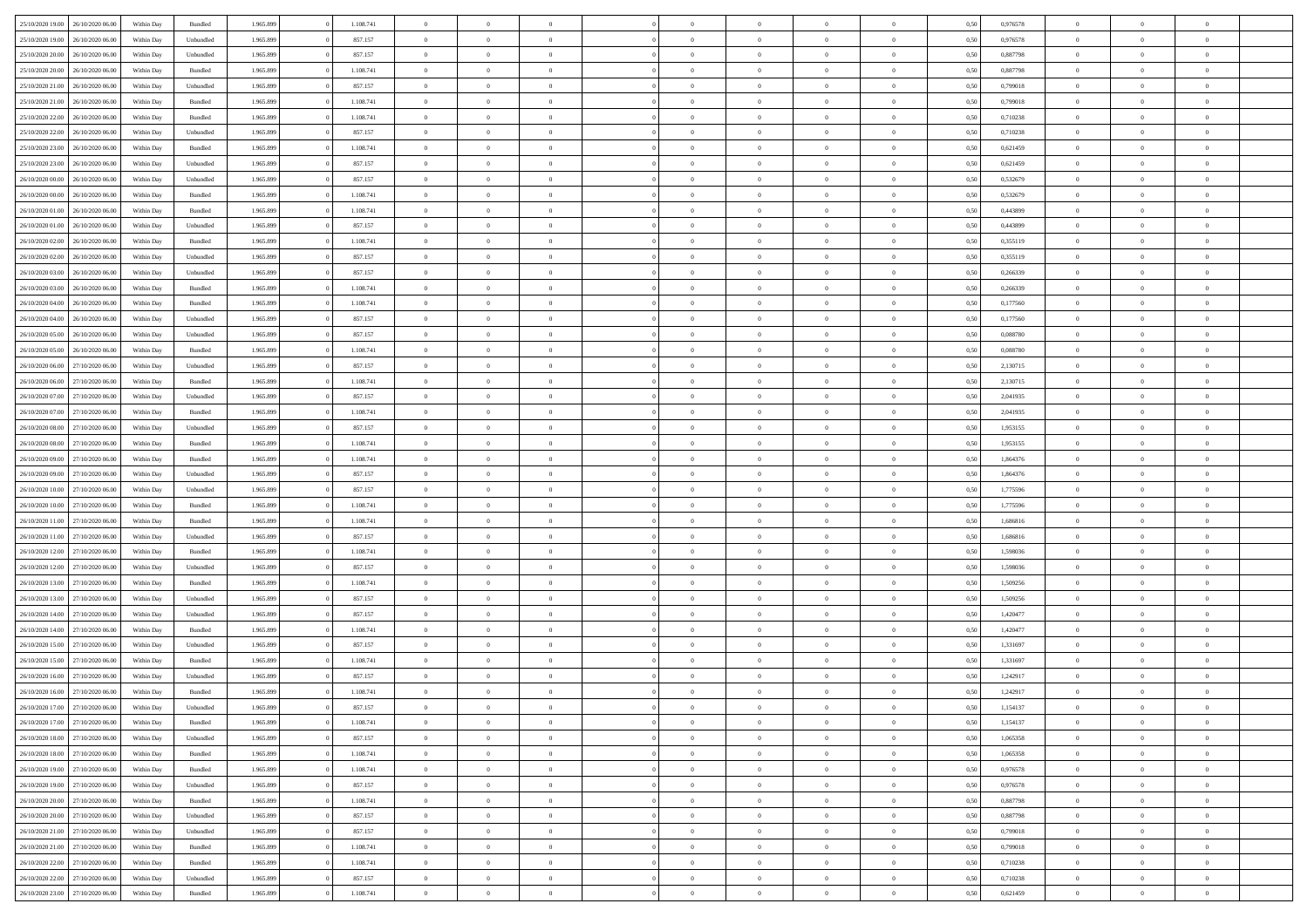| 25/10/2020 19:00                  | 26/10/2020 06.00 | Within Dav | Bundled            | 1.965.899 | 1.108.741 | $\overline{0}$ | $\Omega$       |                | $\Omega$       | $\Omega$       | $\theta$       | $\theta$       | 0,50 | 0,976578 | $\theta$       | $\theta$       | $\theta$       |  |
|-----------------------------------|------------------|------------|--------------------|-----------|-----------|----------------|----------------|----------------|----------------|----------------|----------------|----------------|------|----------|----------------|----------------|----------------|--|
| 25/10/2020 19:00                  | 26/10/2020 06.00 | Within Day | Unbundled          | 1.965.899 | 857.157   | $\overline{0}$ | $\theta$       | $\overline{0}$ | $\overline{0}$ | $\bf{0}$       | $\overline{0}$ | $\bf{0}$       | 0,50 | 0,976578 | $\theta$       | $\overline{0}$ | $\overline{0}$ |  |
| 25/10/2020 20:00                  | 26/10/2020 06.00 | Within Day | Unbundled          | 1.965.899 | 857.157   | $\overline{0}$ | $\overline{0}$ | $\overline{0}$ | $\bf{0}$       | $\bf{0}$       | $\bf{0}$       | $\mathbf{0}$   | 0,50 | 0,887798 | $\overline{0}$ | $\overline{0}$ | $\overline{0}$ |  |
|                                   |                  |            |                    |           |           |                |                |                |                |                |                |                |      |          | $\theta$       |                |                |  |
| 25/10/2020 20:00                  | 26/10/2020 06:00 | Within Dav | Bundled            | 1.965.899 | 1.108.741 | $\overline{0}$ | $\overline{0}$ | $\overline{0}$ | $\overline{0}$ | $\bf{0}$       | $\overline{0}$ | $\overline{0}$ | 0.50 | 0,887798 |                | $\theta$       | $\overline{0}$ |  |
| 25/10/2020 21.00                  | 26/10/2020 06.00 | Within Day | Unbundled          | 1.965.899 | 857.157   | $\overline{0}$ | $\theta$       | $\overline{0}$ | $\overline{0}$ | $\bf{0}$       | $\overline{0}$ | $\bf{0}$       | 0,50 | 0,799018 | $\,$ 0 $\,$    | $\overline{0}$ | $\overline{0}$ |  |
| 25/10/2020 21:00                  | 26/10/2020 06.00 | Within Day | Bundled            | 1.965.899 | 1.108.741 | $\overline{0}$ | $\overline{0}$ | $\overline{0}$ | $\bf{0}$       | $\overline{0}$ | $\overline{0}$ | $\mathbf{0}$   | 0,50 | 0,799018 | $\overline{0}$ | $\overline{0}$ | $\bf{0}$       |  |
| 25/10/2020 22.00                  | 26/10/2020 06:00 | Within Dav | Bundled            | 1.965.899 | 1.108.741 | $\overline{0}$ | $\overline{0}$ | $\overline{0}$ | $\overline{0}$ | $\overline{0}$ | $\overline{0}$ | $\overline{0}$ | 0.50 | 0,710238 | $\theta$       | $\overline{0}$ | $\overline{0}$ |  |
|                                   |                  |            |                    |           |           |                |                |                |                |                |                |                |      |          |                |                |                |  |
| 25/10/2020 22.00                  | 26/10/2020 06.00 | Within Day | Unbundled          | 1.965.899 | 857.157   | $\overline{0}$ | $\theta$       | $\overline{0}$ | $\overline{0}$ | $\bf{0}$       | $\overline{0}$ | $\bf{0}$       | 0,50 | 0,710238 | $\,$ 0 $\,$    | $\theta$       | $\overline{0}$ |  |
| 25/10/2020 23.00                  | 26/10/2020 06.00 | Within Day | Bundled            | 1.965.899 | 1.108.741 | $\overline{0}$ | $\overline{0}$ | $\overline{0}$ | $\bf{0}$       | $\bf{0}$       | $\bf{0}$       | $\mathbf{0}$   | 0,50 | 0,621459 | $\,0\,$        | $\overline{0}$ | $\overline{0}$ |  |
| 25/10/2020 23:00                  | 26/10/2020 06:00 | Within Dav | Unbundled          | 1.965.899 | 857.157   | $\overline{0}$ | $\overline{0}$ | $\overline{0}$ | $\overline{0}$ | $\overline{0}$ | $\overline{0}$ | $\overline{0}$ | 0.50 | 0,621459 | $\theta$       | $\overline{0}$ | $\overline{0}$ |  |
| 26/10/2020 00.00                  | 26/10/2020 06.00 |            |                    | 1.965.899 | 857.157   | $\overline{0}$ | $\theta$       | $\overline{0}$ | $\overline{0}$ | $\bf{0}$       | $\overline{0}$ |                |      | 0,532679 | $\,$ 0 $\,$    | $\overline{0}$ | $\overline{0}$ |  |
|                                   |                  | Within Day | Unbundled          |           |           |                |                |                |                |                |                | $\bf{0}$       | 0,50 |          |                |                |                |  |
| 26/10/2020 00.00                  | 26/10/2020 06.00 | Within Day | Bundled            | 1.965.899 | 1.108.741 | $\overline{0}$ | $\overline{0}$ | $\overline{0}$ | $\bf{0}$       | $\bf{0}$       | $\bf{0}$       | $\mathbf{0}$   | 0,50 | 0,532679 | $\bf{0}$       | $\overline{0}$ | $\bf{0}$       |  |
| 26/10/2020 01:00                  | 26/10/2020 06:00 | Within Day | Bundled            | 1.965.899 | 1.108.741 | $\overline{0}$ | $\overline{0}$ | $\overline{0}$ | $\overline{0}$ | $\overline{0}$ | $\overline{0}$ | $\overline{0}$ | 0.50 | 0,443899 | $\theta$       | $\theta$       | $\overline{0}$ |  |
| 26/10/2020 01:00                  | 26/10/2020 06.00 | Within Day | Unbundled          | 1.965.899 | 857.157   | $\overline{0}$ | $\theta$       | $\overline{0}$ | $\overline{0}$ | $\bf{0}$       | $\overline{0}$ | $\bf{0}$       | 0,50 | 0,443899 | $\,$ 0 $\,$    | $\overline{0}$ | $\overline{0}$ |  |
|                                   |                  |            |                    |           |           |                |                |                |                |                |                |                |      |          |                |                |                |  |
| 26/10/2020 02.00                  | 26/10/2020 06.00 | Within Day | Bundled            | 1.965.899 | 1.108.741 | $\overline{0}$ | $\overline{0}$ | $\overline{0}$ | $\bf{0}$       | $\overline{0}$ | $\overline{0}$ | $\mathbf{0}$   | 0,50 | 0,355119 | $\bf{0}$       | $\overline{0}$ | $\bf{0}$       |  |
| 26/10/2020 02.00                  | 26/10/2020 06:00 | Within Day | Unbundled          | 1.965.899 | 857.157   | $\overline{0}$ | $\overline{0}$ | $\overline{0}$ | $\overline{0}$ | $\overline{0}$ | $\overline{0}$ | $\overline{0}$ | 0.50 | 0,355119 | $\overline{0}$ | $\overline{0}$ | $\overline{0}$ |  |
| 26/10/2020 03:00                  | 26/10/2020 06.00 | Within Day | Unbundled          | 1.965.899 | 857.157   | $\overline{0}$ | $\theta$       | $\overline{0}$ | $\overline{0}$ | $\bf{0}$       | $\overline{0}$ | $\bf{0}$       | 0,50 | 0,266339 | $\,$ 0 $\,$    | $\overline{0}$ | $\overline{0}$ |  |
| 26/10/2020 03.00                  | 26/10/2020 06.00 | Within Day | Bundled            | 1.965.899 | 1.108.741 | $\overline{0}$ | $\overline{0}$ | $\overline{0}$ | $\bf{0}$       | $\bf{0}$       | $\bf{0}$       | $\mathbf{0}$   | 0,50 | 0,266339 | $\bf{0}$       | $\overline{0}$ | $\bf{0}$       |  |
|                                   |                  |            |                    |           |           |                |                |                |                |                |                |                |      |          |                |                |                |  |
| 26/10/2020 04:00                  | 26/10/2020 06:00 | Within Day | Bundled            | 1.965.899 | 1.108.741 | $\overline{0}$ | $\overline{0}$ | $\overline{0}$ | $\overline{0}$ | $\overline{0}$ | $\overline{0}$ | $\overline{0}$ | 0.50 | 0,177560 | $\theta$       | $\overline{0}$ | $\overline{0}$ |  |
| 26/10/2020 04.00                  | 26/10/2020 06.00 | Within Day | Unbundled          | 1.965.899 | 857.157   | $\overline{0}$ | $\theta$       | $\overline{0}$ | $\overline{0}$ | $\bf{0}$       | $\overline{0}$ | $\bf{0}$       | 0,50 | 0,177560 | $\,$ 0 $\,$    | $\overline{0}$ | $\overline{0}$ |  |
| 26/10/2020 05.00                  | 26/10/2020 06.00 | Within Day | Unbundled          | 1.965.899 | 857.157   | $\overline{0}$ | $\overline{0}$ | $\overline{0}$ | $\bf{0}$       | $\bf{0}$       | $\bf{0}$       | $\mathbf{0}$   | 0,50 | 0,088780 | $\bf{0}$       | $\overline{0}$ | $\bf{0}$       |  |
| 26/10/2020 05:00                  | 26/10/2020 06:00 | Within Day | Bundled            | 1.965.899 | 1.108.741 | $\overline{0}$ | $\overline{0}$ | $\overline{0}$ | $\overline{0}$ | $\overline{0}$ | $\overline{0}$ | $\overline{0}$ | 0.50 | 0,088780 | $\theta$       | $\overline{0}$ | $\overline{0}$ |  |
|                                   |                  |            |                    |           |           |                |                |                |                |                |                |                |      |          |                |                |                |  |
| 26/10/2020 06.00                  | 27/10/2020 06.00 | Within Day | Unbundled          | 1.965.899 | 857.157   | $\overline{0}$ | $\theta$       | $\overline{0}$ | $\overline{0}$ | $\bf{0}$       | $\overline{0}$ | $\bf{0}$       | 0,50 | 2,130715 | $\,$ 0 $\,$    | $\overline{0}$ | $\overline{0}$ |  |
| 26/10/2020 06.00                  | 27/10/2020 06.00 | Within Day | Bundled            | 1.965.899 | 1.108.741 | $\overline{0}$ | $\overline{0}$ | $\overline{0}$ | $\bf{0}$       | $\overline{0}$ | $\overline{0}$ | $\mathbf{0}$   | 0,50 | 2,130715 | $\overline{0}$ | $\overline{0}$ | $\bf{0}$       |  |
| 26/10/2020 07.00                  | 27/10/2020 06.00 | Within Day | Unbundled          | 1.965.899 | 857.157   | $\overline{0}$ | $\overline{0}$ | $\overline{0}$ | $\overline{0}$ | $\overline{0}$ | $\overline{0}$ | $\overline{0}$ | 0.50 | 2,041935 | $\overline{0}$ | $\overline{0}$ | $\overline{0}$ |  |
| 26/10/2020 07.00                  | 27/10/2020 06.00 | Within Day | Bundled            | 1.965.899 | 1.108.741 | $\overline{0}$ | $\theta$       | $\overline{0}$ | $\overline{0}$ | $\bf{0}$       | $\overline{0}$ | $\bf{0}$       | 0,50 | 2,041935 | $\,$ 0 $\,$    | $\overline{0}$ | $\overline{0}$ |  |
|                                   |                  |            |                    |           |           |                |                |                |                |                |                |                |      |          |                |                |                |  |
| 26/10/2020 08:00                  | 27/10/2020 06.00 | Within Day | Unbundled          | 1.965.899 | 857.157   | $\overline{0}$ | $\overline{0}$ | $\overline{0}$ | $\bf{0}$       | $\bf{0}$       | $\bf{0}$       | $\mathbf{0}$   | 0,50 | 1,953155 | $\,0\,$        | $\overline{0}$ | $\overline{0}$ |  |
| 26/10/2020 08:00                  | 27/10/2020 06.00 | Within Day | Bundled            | 1.965.899 | 1.108.741 | $\overline{0}$ | $\overline{0}$ | $\overline{0}$ | $\overline{0}$ | $\overline{0}$ | $\overline{0}$ | $\overline{0}$ | 0.50 | 1,953155 | $\theta$       | $\overline{0}$ | $\overline{0}$ |  |
| 26/10/2020 09:00                  | 27/10/2020 06.00 | Within Day | Bundled            | 1.965.899 | 1.108.741 | $\overline{0}$ | $\overline{0}$ | $\overline{0}$ | $\overline{0}$ | $\,$ 0         | $\overline{0}$ | $\bf{0}$       | 0,50 | 1,864376 | $\,$ 0 $\,$    | $\overline{0}$ | $\overline{0}$ |  |
| 26/10/2020 09:00                  | 27/10/2020 06.00 | Within Day | Unbundled          | 1.965.899 | 857.157   | $\overline{0}$ | $\overline{0}$ | $\overline{0}$ | $\bf{0}$       | $\bf{0}$       | $\bf{0}$       | $\bf{0}$       | 0,50 | 1,864376 | $\overline{0}$ | $\overline{0}$ | $\bf{0}$       |  |
|                                   |                  |            |                    |           |           |                |                |                |                |                |                |                |      |          |                |                |                |  |
| 26/10/2020 10:00                  | 27/10/2020 06.00 | Within Day | Unbundled          | 1.965.899 | 857.157   | $\overline{0}$ | $\theta$       | $\overline{0}$ | $\Omega$       | $\Omega$       | $\overline{0}$ | $\overline{0}$ | 0,50 | 1,775596 | $\,0\,$        | $\theta$       | $\theta$       |  |
| 26/10/2020 10:00                  | 27/10/2020 06.00 | Within Day | Bundled            | 1.965.899 | 1.108.741 | $\overline{0}$ | $\overline{0}$ | $\overline{0}$ | $\overline{0}$ | $\bf{0}$       | $\overline{0}$ | $\bf{0}$       | 0,50 | 1,775596 | $\,$ 0 $\,$    | $\overline{0}$ | $\overline{0}$ |  |
| 26/10/2020 11:00                  | 27/10/2020 06.00 | Within Day | Bundled            | 1.965.899 | 1.108.741 | $\overline{0}$ | $\overline{0}$ | $\overline{0}$ | $\bf{0}$       | $\overline{0}$ | $\overline{0}$ | $\mathbf{0}$   | 0,50 | 1,686816 | $\overline{0}$ | $\overline{0}$ | $\bf{0}$       |  |
| 26/10/2020 11:00                  | 27/10/2020 06.00 | Within Day | Unbundled          | 1.965.899 | 857.157   | $\overline{0}$ | $\Omega$       | $\overline{0}$ | $\Omega$       | $\overline{0}$ | $\overline{0}$ | $\overline{0}$ | 0.50 | 1,686816 | $\,0\,$        | $\theta$       | $\theta$       |  |
|                                   |                  |            |                    |           |           |                |                |                |                |                |                |                |      |          |                |                |                |  |
| 26/10/2020 12:00                  | 27/10/2020 06.00 | Within Day | Bundled            | 1.965.899 | 1.108.741 | $\overline{0}$ | $\theta$       | $\overline{0}$ | $\overline{0}$ | $\bf{0}$       | $\overline{0}$ | $\bf{0}$       | 0,50 | 1,598036 | $\,$ 0 $\,$    | $\overline{0}$ | $\overline{0}$ |  |
| 26/10/2020 12:00                  | 27/10/2020 06.00 | Within Day | Unbundled          | 1.965.899 | 857.157   | $\overline{0}$ | $\bf{0}$       | $\overline{0}$ | $\bf{0}$       | $\bf{0}$       | $\bf{0}$       | $\mathbf{0}$   | 0,50 | 1,598036 | $\overline{0}$ | $\overline{0}$ | $\bf{0}$       |  |
| 26/10/2020 13:00                  | 27/10/2020 06.00 | Within Day | Bundled            | 1.965.899 | 1.108.741 | $\overline{0}$ | $\overline{0}$ | $\overline{0}$ | $\Omega$       | $\overline{0}$ | $\overline{0}$ | $\overline{0}$ | 0.50 | 1.509256 | $\,$ 0 $\,$    | $\theta$       | $\theta$       |  |
| 26/10/2020 13:00                  | 27/10/2020 06.00 | Within Day | Unbundled          | 1.965.899 | 857.157   | $\overline{0}$ | $\overline{0}$ | $\overline{0}$ | $\overline{0}$ | $\,$ 0         | $\overline{0}$ | $\bf{0}$       | 0,50 | 1,509256 | $\,$ 0 $\,$    | $\overline{0}$ | $\overline{0}$ |  |
|                                   |                  |            |                    |           |           |                |                |                |                |                |                |                |      |          |                |                |                |  |
| 26/10/2020 14.00                  | 27/10/2020 06.00 | Within Day | Unbundled          | 1.965.899 | 857.157   | $\overline{0}$ | $\overline{0}$ | $\overline{0}$ | $\bf{0}$       | $\bf{0}$       | $\bf{0}$       | $\mathbf{0}$   | 0,50 | 1,420477 | $\bf{0}$       | $\overline{0}$ | $\bf{0}$       |  |
| 26/10/2020 14:00                  | 27/10/2020 06.00 | Within Day | Bundled            | 1.965.899 | 1.108.741 | $\overline{0}$ | $\Omega$       | $\overline{0}$ | $\Omega$       | $\overline{0}$ | $\overline{0}$ | $\overline{0}$ | 0,50 | 1,420477 | $\,0\,$        | $\theta$       | $\overline{0}$ |  |
| 26/10/2020 15:00                  | 27/10/2020 06.00 | Within Day | Unbundled          | 1.965.899 | 857.157   | $\overline{0}$ | $\overline{0}$ | $\overline{0}$ | $\overline{0}$ | $\,$ 0         | $\overline{0}$ | $\bf{0}$       | 0,50 | 1,331697 | $\,$ 0 $\,$    | $\overline{0}$ | $\overline{0}$ |  |
| 26/10/2020 15:00                  | 27/10/2020 06.00 | Within Day | Bundled            | 1.965.899 | 1.108.741 | $\overline{0}$ | $\overline{0}$ | $\overline{0}$ | $\bf{0}$       | $\overline{0}$ | $\overline{0}$ | $\mathbf{0}$   | 0,50 | 1,331697 | $\bf{0}$       | $\overline{0}$ | $\bf{0}$       |  |
|                                   |                  |            |                    |           |           |                |                |                |                |                |                |                |      |          |                |                |                |  |
| 26/10/2020 16:00                  | 27/10/2020 06.00 | Within Day | Unbundled          | 1.965.899 | 857.157   | $\overline{0}$ | $\Omega$       | $\Omega$       | $\Omega$       | $\Omega$       | $\Omega$       | $\overline{0}$ | 0.50 | 1,242917 | $\theta$       | $\theta$       | $\theta$       |  |
| 26/10/2020 16:00                  | 27/10/2020 06.00 | Within Day | Bundled            | 1.965.899 | 1.108.741 | $\bf{0}$       | $\overline{0}$ | $\overline{0}$ | $\bf{0}$       | $\,$ 0         | $\bf{0}$       | $\bf{0}$       | 0,50 | 1,242917 | $\,0\,$        | $\,0\,$        | $\overline{0}$ |  |
| 26/10/2020 17:00 27/10/2020 06:00 |                  | Within Day | Unbundled          | 1.965.899 | 857.157   | $\bf{0}$       | $\bf{0}$       |                |                | $\bf{0}$       |                |                | 0,50 | 1,154137 | $\bf{0}$       | $\overline{0}$ |                |  |
| 26/10/2020 17:00                  | 27/10/2020 06:00 | Within Day | Bundled            | 1.965.899 | 1.108.741 | $\overline{0}$ | $\overline{0}$ | $\Omega$       | $\Omega$       | $\overline{0}$ | $\overline{0}$ | $\overline{0}$ | 0,50 | 1,154137 | $\theta$       | $\theta$       | $\theta$       |  |
|                                   |                  |            |                    |           |           |                |                |                |                |                |                |                |      |          |                |                |                |  |
| 26/10/2020 18:00                  | 27/10/2020 06.00 | Within Day | Unbundled          | 1.965.899 | 857.157   | $\overline{0}$ | $\,$ 0         | $\overline{0}$ | $\bf{0}$       | $\,$ 0 $\,$    | $\overline{0}$ | $\,$ 0 $\,$    | 0,50 | 1,065358 | $\,$ 0 $\,$    | $\,$ 0 $\,$    | $\,$ 0         |  |
| 26/10/2020 18:00                  | 27/10/2020 06.00 | Within Day | Bundled            | 1.965.899 | 1.108.741 | $\overline{0}$ | $\overline{0}$ | $\overline{0}$ | $\overline{0}$ | $\overline{0}$ | $\overline{0}$ | $\mathbf{0}$   | 0,50 | 1,065358 | $\overline{0}$ | $\bf{0}$       | $\bf{0}$       |  |
| 26/10/2020 19:00                  | 27/10/2020 06.00 | Within Day | $\mathbf B$ undled | 1.965.899 | 1.108.741 | $\overline{0}$ | $\overline{0}$ | $\overline{0}$ | $\Omega$       | $\overline{0}$ | $\overline{0}$ | $\overline{0}$ | 0,50 | 0,976578 | $\bf{0}$       | $\theta$       | $\overline{0}$ |  |
| 26/10/2020 19:00                  | 27/10/2020 06.00 | Within Day | Unbundled          | 1.965.899 | 857.157   | $\overline{0}$ | $\,$ 0         | $\overline{0}$ | $\overline{0}$ | $\,$ 0 $\,$    | $\overline{0}$ | $\mathbf{0}$   | 0,50 | 0,976578 | $\,$ 0 $\,$    | $\overline{0}$ | $\overline{0}$ |  |
|                                   |                  |            |                    |           |           |                |                |                |                |                |                |                |      |          |                |                |                |  |
| 26/10/2020 20.00                  | 27/10/2020 06.00 | Within Day | Bundled            | 1.965.899 | 1.108.741 | $\overline{0}$ | $\overline{0}$ | $\overline{0}$ | $\overline{0}$ | $\overline{0}$ | $\overline{0}$ | $\mathbf{0}$   | 0,50 | 0,887798 | $\overline{0}$ | $\overline{0}$ | $\bf{0}$       |  |
| 26/10/2020 20:00                  | 27/10/2020 06.00 | Within Day | Unbundled          | 1.965.899 | 857.157   | $\overline{0}$ | $\overline{0}$ | $\overline{0}$ | $\overline{0}$ | $\overline{0}$ | $\overline{0}$ | $\bf{0}$       | 0.50 | 0,887798 | $\overline{0}$ | $\theta$       | $\overline{0}$ |  |
| 26/10/2020 21:00                  | 27/10/2020 06.00 | Within Day | Unbundled          | 1.965.899 | 857.157   | $\overline{0}$ | $\,$ 0         | $\overline{0}$ | $\bf{0}$       | $\bf{0}$       | $\bf{0}$       | $\bf{0}$       | 0,50 | 0,799018 | $\,$ 0 $\,$    | $\overline{0}$ | $\overline{0}$ |  |
| 26/10/2020 21:00                  | 27/10/2020 06.00 | Within Day | Bundled            | 1.965.899 | 1.108.741 | $\overline{0}$ | $\bf{0}$       | $\overline{0}$ | $\overline{0}$ | $\overline{0}$ | $\overline{0}$ | $\mathbf{0}$   | 0,50 | 0,799018 | $\overline{0}$ | $\overline{0}$ | $\bf{0}$       |  |
|                                   |                  |            |                    |           |           |                |                |                |                |                |                |                |      |          |                |                |                |  |
| 26/10/2020 22.00                  | 27/10/2020 06:00 | Within Day | Bundled            | 1.965.899 | 1.108.741 | $\overline{0}$ | $\overline{0}$ | $\overline{0}$ | $\Omega$       | $\overline{0}$ | $\overline{0}$ | $\bf{0}$       | 0.50 | 0,710238 | $\overline{0}$ | $\overline{0}$ | $\overline{0}$ |  |
| 26/10/2020 22.00                  | 27/10/2020 06.00 | Within Day | Unbundled          | 1.965.899 | 857.157   | $\overline{0}$ | $\bf{0}$       | $\overline{0}$ | $\bf{0}$       | $\bf{0}$       | $\bf{0}$       | $\mathbf{0}$   | 0,50 | 0,710238 | $\,$ 0 $\,$    | $\,$ 0 $\,$    | $\bf{0}$       |  |
| 26/10/2020 23.00 27/10/2020 06.00 |                  | Within Day | Bundled            | 1.965.899 | 1.108.741 | $\overline{0}$ | $\overline{0}$ | $\overline{0}$ | $\overline{0}$ | $\overline{0}$ | $\bf{0}$       | $\mathbf{0}$   | 0,50 | 0,621459 | $\overline{0}$ | $\bf{0}$       | $\overline{0}$ |  |
|                                   |                  |            |                    |           |           |                |                |                |                |                |                |                |      |          |                |                |                |  |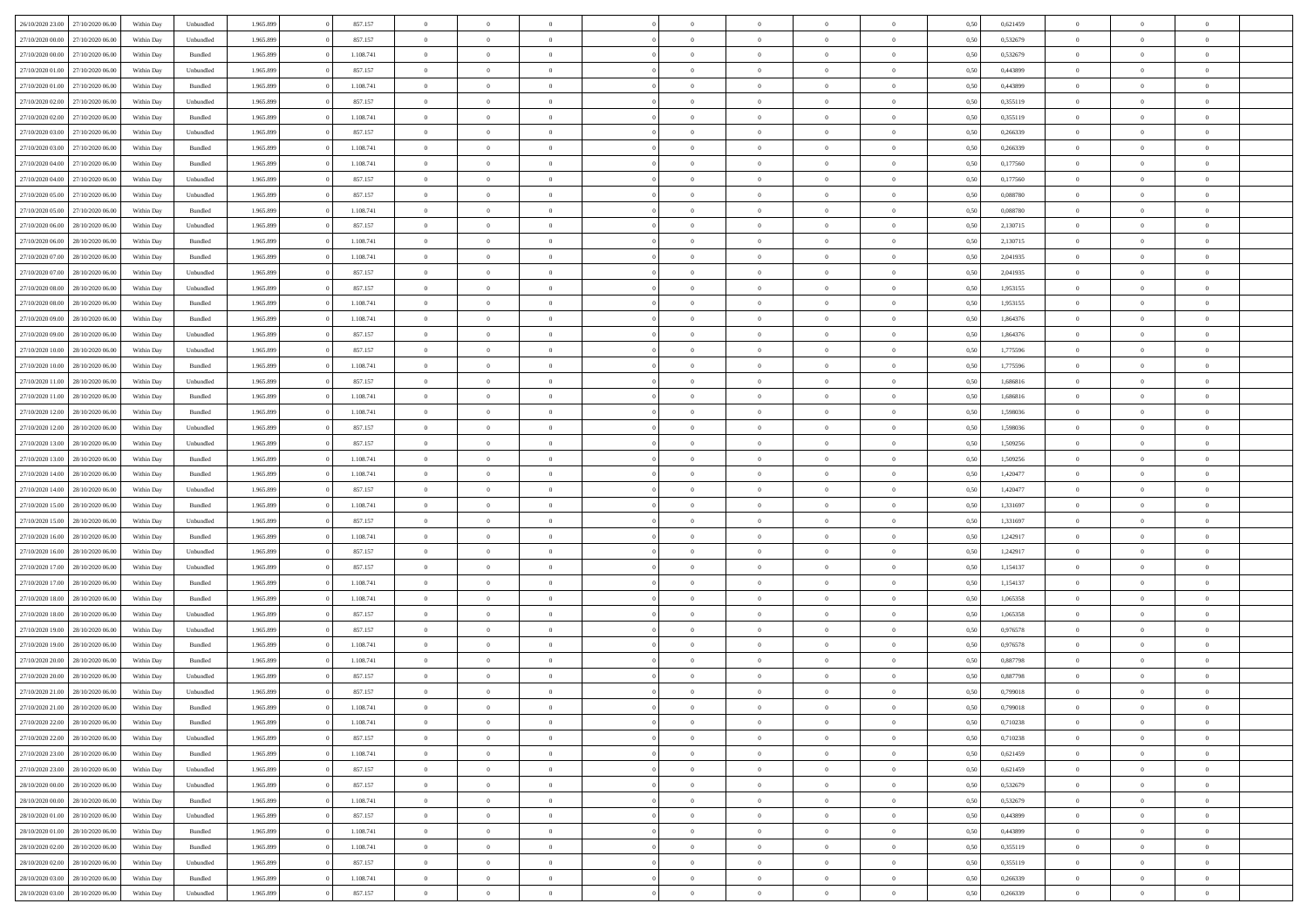| 26/10/2020 23:00 | 27/10/2020 06.00 | Within Dav | Unbundled          | 1.965.899 | 857.157   | $\overline{0}$ | $\Omega$       |                | $\Omega$       | $\Omega$       | $\Omega$       | $\theta$       | 0,50 | 0,621459 | $\theta$       | $\theta$       | $\theta$       |  |
|------------------|------------------|------------|--------------------|-----------|-----------|----------------|----------------|----------------|----------------|----------------|----------------|----------------|------|----------|----------------|----------------|----------------|--|
| 27/10/2020 00.00 | 27/10/2020 06.00 | Within Day | Unbundled          | 1.965.899 | 857.157   | $\overline{0}$ | $\theta$       | $\overline{0}$ | $\overline{0}$ | $\bf{0}$       | $\overline{0}$ | $\bf{0}$       | 0,50 | 0,532679 | $\theta$       | $\theta$       | $\overline{0}$ |  |
| 27/10/2020 00:00 | 27/10/2020 06.00 | Within Day | Bundled            | 1.965.899 | 1.108.741 | $\overline{0}$ | $\bf{0}$       | $\overline{0}$ | $\bf{0}$       | $\bf{0}$       | $\bf{0}$       | $\mathbf{0}$   | 0,50 | 0,532679 | $\bf{0}$       | $\overline{0}$ | $\overline{0}$ |  |
|                  |                  |            |                    |           |           |                |                |                |                |                |                |                |      |          | $\theta$       |                |                |  |
| 27/10/2020 01:00 | 27/10/2020 06:00 | Within Dav | Unbundled          | 1.965.899 | 857.157   | $\overline{0}$ | $\overline{0}$ | $\overline{0}$ | $\overline{0}$ | $\bf{0}$       | $\overline{0}$ | $\overline{0}$ | 0.50 | 0.443899 |                | $\theta$       | $\overline{0}$ |  |
| 27/10/2020 01.00 | 27/10/2020 06.00 | Within Day | Bundled            | 1.965.899 | 1.108.741 | $\overline{0}$ | $\theta$       | $\overline{0}$ | $\overline{0}$ | $\bf{0}$       | $\overline{0}$ | $\bf{0}$       | 0,50 | 0,443899 | $\theta$       | $\theta$       | $\overline{0}$ |  |
| 27/10/2020 02.00 | 27/10/2020 06.00 | Within Day | Unbundled          | 1.965.899 | 857.157   | $\overline{0}$ | $\overline{0}$ | $\overline{0}$ | $\bf{0}$       | $\overline{0}$ | $\overline{0}$ | $\mathbf{0}$   | 0,50 | 0,355119 | $\overline{0}$ | $\overline{0}$ | $\bf{0}$       |  |
| 27/10/2020 02:00 | 27/10/2020 06.00 | Within Dav | Bundled            | 1.965.899 | 1.108.741 | $\overline{0}$ | $\overline{0}$ | $\overline{0}$ | $\overline{0}$ | $\overline{0}$ | $\overline{0}$ | $\overline{0}$ | 0.50 | 0,355119 | $\theta$       | $\overline{0}$ | $\overline{0}$ |  |
|                  |                  |            |                    |           |           |                |                |                |                |                |                |                |      |          |                |                |                |  |
| 27/10/2020 03.00 | 27/10/2020 06.00 | Within Day | Unbundled          | 1.965.899 | 857.157   | $\overline{0}$ | $\theta$       | $\overline{0}$ | $\overline{0}$ | $\bf{0}$       | $\overline{0}$ | $\bf{0}$       | 0,50 | 0,266339 | $\theta$       | $\theta$       | $\overline{0}$ |  |
| 27/10/2020 03:00 | 27/10/2020 06.00 | Within Day | Bundled            | 1.965.899 | 1.108.741 | $\overline{0}$ | $\overline{0}$ | $\overline{0}$ | $\bf{0}$       | $\bf{0}$       | $\bf{0}$       | $\bf{0}$       | 0,50 | 0,266339 | $\,0\,$        | $\overline{0}$ | $\overline{0}$ |  |
| 27/10/2020 04:00 | 27/10/2020 06.00 | Within Dav | Bundled            | 1.965.899 | 1.108.741 | $\overline{0}$ | $\overline{0}$ | $\overline{0}$ | $\overline{0}$ | $\overline{0}$ | $\overline{0}$ | $\overline{0}$ | 0.50 | 0,177560 | $\theta$       | $\overline{0}$ | $\overline{0}$ |  |
| 27/10/2020 04.00 | 27/10/2020 06.00 |            |                    | 1.965.899 | 857.157   | $\overline{0}$ | $\theta$       | $\overline{0}$ | $\overline{0}$ | $\bf{0}$       | $\overline{0}$ |                |      | 0,177560 | $\,$ 0 $\,$    | $\overline{0}$ | $\overline{0}$ |  |
|                  |                  | Within Day | Unbundled          |           |           |                |                |                |                |                |                | $\bf{0}$       | 0,50 |          |                |                |                |  |
| 27/10/2020 05:00 | 27/10/2020 06.00 | Within Day | Unbundled          | 1.965.899 | 857.157   | $\overline{0}$ | $\overline{0}$ | $\overline{0}$ | $\bf{0}$       | $\bf{0}$       | $\bf{0}$       | $\mathbf{0}$   | 0,50 | 0,088780 | $\overline{0}$ | $\overline{0}$ | $\bf{0}$       |  |
| 27/10/2020 05:00 | 27/10/2020 06:00 | Within Day | Bundled            | 1.965.899 | 1.108.741 | $\overline{0}$ | $\overline{0}$ | $\overline{0}$ | $\overline{0}$ | $\bf{0}$       | $\overline{0}$ | $\overline{0}$ | 0.50 | 0,088780 | $\theta$       | $\theta$       | $\overline{0}$ |  |
| 27/10/2020 06.00 | 28/10/2020 06.00 | Within Day | Unbundled          | 1.965.899 | 857.157   | $\overline{0}$ | $\theta$       | $\overline{0}$ | $\overline{0}$ | $\bf{0}$       | $\overline{0}$ | $\bf{0}$       | 0,50 | 2,130715 | $\theta$       | $\theta$       | $\overline{0}$ |  |
|                  |                  |            |                    |           |           |                |                |                |                |                |                |                |      |          |                |                |                |  |
| 27/10/2020 06:00 | 28/10/2020 06.00 | Within Day | Bundled            | 1.965.899 | 1.108.741 | $\overline{0}$ | $\overline{0}$ | $\overline{0}$ | $\bf{0}$       | $\overline{0}$ | $\overline{0}$ | $\mathbf{0}$   | 0,50 | 2,130715 | $\overline{0}$ | $\overline{0}$ | $\bf{0}$       |  |
| 27/10/2020 07:00 | 28/10/2020 06:00 | Within Dav | Bundled            | 1.965.899 | 1.108.741 | $\overline{0}$ | $\overline{0}$ | $\overline{0}$ | $\overline{0}$ | $\overline{0}$ | $\overline{0}$ | $\overline{0}$ | 0.50 | 2,041935 | $\overline{0}$ | $\overline{0}$ | $\overline{0}$ |  |
| 27/10/2020 07.00 | 28/10/2020 06.00 | Within Day | Unbundled          | 1.965.899 | 857.157   | $\overline{0}$ | $\theta$       | $\overline{0}$ | $\overline{0}$ | $\bf{0}$       | $\overline{0}$ | $\bf{0}$       | 0,50 | 2,041935 | $\theta$       | $\theta$       | $\overline{0}$ |  |
| 27/10/2020 08.00 | 28/10/2020 06.00 | Within Day | Unbundled          | 1.965.899 | 857.157   | $\overline{0}$ | $\overline{0}$ | $\overline{0}$ | $\bf{0}$       | $\bf{0}$       | $\bf{0}$       | $\mathbf{0}$   | 0,50 | 1,953155 | $\,0\,$        | $\overline{0}$ | $\overline{0}$ |  |
|                  |                  |            |                    |           |           |                |                |                |                |                |                |                |      |          |                |                |                |  |
| 27/10/2020 08:00 | 28/10/2020 06:00 | Within Day | Bundled            | 1.965.899 | 1.108.741 | $\overline{0}$ | $\overline{0}$ | $\overline{0}$ | $\overline{0}$ | $\overline{0}$ | $\overline{0}$ | $\overline{0}$ | 0.50 | 1,953155 | $\theta$       | $\overline{0}$ | $\overline{0}$ |  |
| 27/10/2020 09:00 | 28/10/2020 06.00 | Within Day | Bundled            | 1.965.899 | 1.108.741 | $\overline{0}$ | $\theta$       | $\overline{0}$ | $\overline{0}$ | $\bf{0}$       | $\overline{0}$ | $\bf{0}$       | 0,50 | 1,864376 | $\,$ 0 $\,$    | $\overline{0}$ | $\overline{0}$ |  |
| 27/10/2020 09:00 | 28/10/2020 06.00 | Within Day | Unbundled          | 1.965.899 | 857.157   | $\overline{0}$ | $\overline{0}$ | $\overline{0}$ | $\bf{0}$       | $\bf{0}$       | $\bf{0}$       | $\mathbf{0}$   | 0,50 | 1,864376 | $\bf{0}$       | $\overline{0}$ | $\overline{0}$ |  |
| 27/10/2020 10:00 | 28/10/2020 06:00 | Within Day | Unbundled          | 1.965.899 | 857.157   | $\overline{0}$ | $\overline{0}$ | $\overline{0}$ | $\overline{0}$ | $\overline{0}$ | $\overline{0}$ | $\overline{0}$ | 0.50 | 1,775596 | $\theta$       | $\overline{0}$ | $\overline{0}$ |  |
|                  |                  |            |                    |           |           |                |                |                |                |                |                |                |      |          |                |                |                |  |
| 27/10/2020 10:00 | 28/10/2020 06.00 | Within Day | Bundled            | 1.965.899 | 1.108.741 | $\overline{0}$ | $\theta$       | $\overline{0}$ | $\overline{0}$ | $\bf{0}$       | $\overline{0}$ | $\bf{0}$       | 0,50 | 1,775596 | $\,$ 0 $\,$    | $\overline{0}$ | $\overline{0}$ |  |
| 27/10/2020 11.00 | 28/10/2020 06.00 | Within Day | Unbundled          | 1.965.899 | 857.157   | $\overline{0}$ | $\overline{0}$ | $\overline{0}$ | $\bf{0}$       | $\overline{0}$ | $\overline{0}$ | $\mathbf{0}$   | 0,50 | 1,686816 | $\bf{0}$       | $\overline{0}$ | $\bf{0}$       |  |
| 27/10/2020 11:00 | 28/10/2020 06:00 | Within Dav | Bundled            | 1.965.899 | 1.108.741 | $\overline{0}$ | $\overline{0}$ | $\overline{0}$ | $\overline{0}$ | $\overline{0}$ | $\overline{0}$ | $\overline{0}$ | 0.50 | 1,686816 | $\theta$       | $\overline{0}$ | $\overline{0}$ |  |
| 27/10/2020 12:00 | 28/10/2020 06.00 | Within Day | Bundled            | 1.965.899 | 1.108.741 | $\overline{0}$ | $\theta$       | $\overline{0}$ | $\overline{0}$ | $\bf{0}$       | $\overline{0}$ | $\bf{0}$       | 0,50 | 1,598036 | $\,$ 0 $\,$    | $\theta$       | $\overline{0}$ |  |
|                  |                  |            |                    |           |           |                |                |                |                |                |                |                |      |          |                |                |                |  |
| 27/10/2020 12:00 | 28/10/2020 06.00 | Within Day | Unbundled          | 1.965.899 | 857.157   | $\overline{0}$ | $\overline{0}$ | $\overline{0}$ | $\bf{0}$       | $\bf{0}$       | $\bf{0}$       | $\bf{0}$       | 0,50 | 1,598036 | $\,0\,$        | $\overline{0}$ | $\overline{0}$ |  |
| 27/10/2020 13:00 | 28/10/2020 06:00 | Within Day | Unbundled          | 1.965.899 | 857.157   | $\overline{0}$ | $\overline{0}$ | $\overline{0}$ | $\overline{0}$ | $\overline{0}$ | $\overline{0}$ | $\overline{0}$ | 0.50 | 1,509256 | $\theta$       | $\overline{0}$ | $\overline{0}$ |  |
| 27/10/2020 13:00 | 28/10/2020 06.00 | Within Day | Bundled            | 1.965.899 | 1.108.741 | $\overline{0}$ | $\theta$       | $\overline{0}$ | $\overline{0}$ | $\bf{0}$       | $\overline{0}$ | $\bf{0}$       | 0,50 | 1,509256 | $\,$ 0 $\,$    | $\overline{0}$ | $\overline{0}$ |  |
| 27/10/2020 14.00 | 28/10/2020 06.00 | Within Day | Bundled            | 1.965.899 | 1.108.741 | $\overline{0}$ | $\overline{0}$ | $\overline{0}$ | $\bf{0}$       | $\bf{0}$       | $\bf{0}$       | $\bf{0}$       | 0,50 | 1,420477 | $\bf{0}$       | $\overline{0}$ | $\overline{0}$ |  |
|                  |                  |            |                    |           |           |                |                |                |                |                |                |                |      |          |                |                |                |  |
| 27/10/2020 14:00 | 28/10/2020 06.00 | Within Day | Unbundled          | 1.965.899 | 857.157   | $\bf{0}$       | $\Omega$       | $\overline{0}$ | $\Omega$       | $\Omega$       | $\overline{0}$ | $\overline{0}$ | 0,50 | 1,420477 | $\,0\,$        | $\theta$       | $\theta$       |  |
| 27/10/2020 15:00 | 28/10/2020 06.00 | Within Day | Bundled            | 1.965.899 | 1.108.741 | $\overline{0}$ | $\theta$       | $\overline{0}$ | $\overline{0}$ | $\bf{0}$       | $\overline{0}$ | $\bf{0}$       | 0,50 | 1,331697 | $\,$ 0 $\,$    | $\theta$       | $\overline{0}$ |  |
| 27/10/2020 15:00 | 28/10/2020 06.00 | Within Day | Unbundled          | 1.965.899 | 857.157   | $\overline{0}$ | $\overline{0}$ | $\overline{0}$ | $\bf{0}$       | $\bf{0}$       | $\overline{0}$ | $\mathbf{0}$   | 0,50 | 1,331697 | $\bf{0}$       | $\overline{0}$ | $\bf{0}$       |  |
| 27/10/2020 16:00 | 28/10/2020 06:00 | Within Day | Bundled            | 1.965.899 | 1.108.741 | $\overline{0}$ | $\Omega$       | $\Omega$       | $\Omega$       | $\overline{0}$ | $\overline{0}$ | $\overline{0}$ | 0.50 | 1,242917 | $\,0\,$        | $\theta$       | $\theta$       |  |
|                  |                  |            |                    |           |           |                |                |                |                |                |                |                |      |          |                |                |                |  |
| 27/10/2020 16.00 | 28/10/2020 06.00 | Within Day | Unbundled          | 1.965.899 | 857.157   | $\overline{0}$ | $\theta$       | $\overline{0}$ | $\overline{0}$ | $\bf{0}$       | $\overline{0}$ | $\bf{0}$       | 0,50 | 1,242917 | $\,$ 0 $\,$    | $\overline{0}$ | $\overline{0}$ |  |
| 27/10/2020 17.00 | 28/10/2020 06.00 | Within Day | Unbundled          | 1.965.899 | 857.157   | $\overline{0}$ | $\overline{0}$ | $\overline{0}$ | $\bf{0}$       | $\bf{0}$       | $\bf{0}$       | $\bf{0}$       | 0,50 | 1,154137 | $\bf{0}$       | $\overline{0}$ | $\overline{0}$ |  |
| 27/10/2020 17:00 | 28/10/2020 06:00 | Within Day | Bundled            | 1.965.899 | 1.108.741 | $\overline{0}$ | $\Omega$       | $\overline{0}$ | $\Omega$       | $\overline{0}$ | $\overline{0}$ | $\overline{0}$ | 0.50 | 1,154137 | $\,0\,$        | $\theta$       | $\theta$       |  |
| 27/10/2020 18.00 | 28/10/2020 06.00 | Within Day | Bundled            | 1.965.899 | 1.108.741 | $\overline{0}$ | $\theta$       | $\overline{0}$ | $\overline{0}$ | $\,$ 0         | $\overline{0}$ | $\bf{0}$       | 0,50 | 1,065358 | $\,$ 0 $\,$    | $\overline{0}$ | $\overline{0}$ |  |
|                  |                  |            |                    |           |           |                |                |                |                |                |                |                |      |          |                |                |                |  |
| 27/10/2020 18:00 | 28/10/2020 06.00 | Within Day | Unbundled          | 1.965.899 | 857.157   | $\overline{0}$ | $\overline{0}$ | $\overline{0}$ | $\bf{0}$       | $\bf{0}$       | $\bf{0}$       | $\mathbf{0}$   | 0,50 | 1,065358 | $\bf{0}$       | $\overline{0}$ | $\overline{0}$ |  |
| 27/10/2020 19:00 | 28/10/2020 06.00 | Within Day | Unbundled          | 1.965.899 | 857.157   | $\overline{0}$ | $\Omega$       | $\overline{0}$ | $\Omega$       | $\overline{0}$ | $\overline{0}$ | $\overline{0}$ | 0,50 | 0,976578 | $\,0\,$        | $\theta$       | $\theta$       |  |
| 27/10/2020 19:00 | 28/10/2020 06.00 | Within Day | Bundled            | 1.965.899 | 1.108.741 | $\overline{0}$ | $\theta$       | $\overline{0}$ | $\overline{0}$ | $\,$ 0         | $\overline{0}$ | $\bf{0}$       | 0,50 | 0,976578 | $\,$ 0 $\,$    | $\overline{0}$ | $\overline{0}$ |  |
| 27/10/2020 20.00 | 28/10/2020 06.00 | Within Day | Bundled            | 1.965.899 | 1.108.741 | $\overline{0}$ | $\overline{0}$ | $\overline{0}$ | $\bf{0}$       | $\bf{0}$       | $\overline{0}$ | $\mathbf{0}$   | 0,50 | 0,887798 | $\bf{0}$       | $\overline{0}$ | $\bf{0}$       |  |
|                  |                  |            |                    |           |           |                |                |                |                |                |                |                |      |          |                |                |                |  |
| 27/10/2020 20:00 | 28/10/2020 06:00 | Within Day | Unbundled          | 1.965.899 | 857.157   | $\overline{0}$ | $\Omega$       | $\Omega$       | $\Omega$       | $\Omega$       | $\Omega$       | $\overline{0}$ | 0.50 | 0.887798 | $\theta$       | $\theta$       | $\theta$       |  |
| 27/10/2020 21:00 | 28/10/2020 06:00 | Within Day | Unbundled          | 1.965.899 | 857.157   | $\bf{0}$       | $\overline{0}$ | $\overline{0}$ | $\bf{0}$       | $\,$ 0         | $\bf{0}$       | $\bf{0}$       | 0,50 | 0,799018 | $\,0\,$        | $\,$ 0 $\,$    | $\overline{0}$ |  |
| 27/10/2020 21:00 | 28/10/2020 06.00 | Within Day | $\mathbf B$ undled | 1.965.899 | 1.108.741 | $\bf{0}$       | $\bf{0}$       |                |                |                |                |                | 0,50 | 0,799018 | $\bf{0}$       | $\overline{0}$ |                |  |
| 27/10/2020 22.00 | 28/10/2020 06:00 | Within Day | Bundled            | 1.965.899 | 1.108.741 | $\overline{0}$ | $\overline{0}$ | $\overline{0}$ | $\Omega$       | $\overline{0}$ | $\overline{0}$ | $\overline{0}$ | 0,50 | 0,710238 | $\theta$       | $\theta$       | $\theta$       |  |
|                  |                  |            |                    |           |           |                |                |                |                |                |                |                |      |          |                |                |                |  |
| 27/10/2020 22.00 | 28/10/2020 06.00 | Within Day | Unbundled          | 1.965.899 | 857.157   | $\overline{0}$ | $\,$ 0         | $\overline{0}$ | $\bf{0}$       | $\,$ 0 $\,$    | $\overline{0}$ | $\,$ 0 $\,$    | 0,50 | 0,710238 | $\,$ 0 $\,$    | $\,$ 0 $\,$    | $\,$ 0         |  |
| 27/10/2020 23.00 | 28/10/2020 06.00 | Within Day | Bundled            | 1.965.899 | 1.108.741 | $\overline{0}$ | $\overline{0}$ | $\overline{0}$ | $\overline{0}$ | $\overline{0}$ | $\overline{0}$ | $\mathbf{0}$   | 0,50 | 0,621459 | $\overline{0}$ | $\bf{0}$       | $\bf{0}$       |  |
| 27/10/2020 23:00 | 28/10/2020 06.00 | Within Day | Unbundled          | 1.965.899 | 857.157   | $\overline{0}$ | $\overline{0}$ | $\overline{0}$ | $\Omega$       | $\overline{0}$ | $\overline{0}$ | $\overline{0}$ | 0,50 | 0,621459 | $\bf{0}$       | $\theta$       | $\overline{0}$ |  |
| 28/10/2020 00:00 | 28/10/2020 06.00 | Within Day | Unbundled          | 1.965.899 | 857.157   | $\overline{0}$ | $\,$ 0         | $\overline{0}$ | $\overline{0}$ | $\,$ 0 $\,$    | $\overline{0}$ | $\mathbf{0}$   | 0,50 | 0,532679 | $\,$ 0 $\,$    | $\overline{0}$ | $\overline{0}$ |  |
|                  |                  |            |                    |           |           |                |                |                |                |                |                |                |      |          |                |                |                |  |
| 28/10/2020 00.00 | 28/10/2020 06.00 | Within Day | Bundled            | 1.965.899 | 1.108.741 | $\overline{0}$ | $\overline{0}$ | $\overline{0}$ | $\overline{0}$ | $\overline{0}$ | $\overline{0}$ | $\mathbf{0}$   | 0,50 | 0,532679 | $\overline{0}$ | $\overline{0}$ | $\bf{0}$       |  |
| 28/10/2020 01:00 | 28/10/2020 06:00 | Within Day | Unbundled          | 1.965.899 | 857.157   | $\overline{0}$ | $\overline{0}$ | $\overline{0}$ | $\Omega$       | $\overline{0}$ | $\overline{0}$ | $\bf{0}$       | 0.50 | 0.443899 | $\overline{0}$ | $\theta$       | $\overline{0}$ |  |
| 28/10/2020 01:00 | 28/10/2020 06.00 | Within Day | Bundled            | 1.965.899 | 1.108.741 | $\overline{0}$ | $\,$ 0         | $\overline{0}$ | $\bf{0}$       | $\bf{0}$       | $\bf{0}$       | $\bf{0}$       | 0,50 | 0,443899 | $\,$ 0 $\,$    | $\overline{0}$ | $\overline{0}$ |  |
| 28/10/2020 02.00 | 28/10/2020 06.00 | Within Day | Bundled            | 1.965.899 | 1.108.741 | $\overline{0}$ | $\bf{0}$       | $\overline{0}$ | $\overline{0}$ | $\overline{0}$ | $\overline{0}$ | $\mathbf{0}$   | 0,50 | 0,355119 | $\overline{0}$ | $\overline{0}$ | $\bf{0}$       |  |
|                  |                  |            |                    |           |           |                |                |                |                |                |                |                |      |          |                |                |                |  |
| 28/10/2020 02:00 | 28/10/2020 06:00 | Within Day | Unbundled          | 1.965.899 | 857.157   | $\overline{0}$ | $\overline{0}$ | $\overline{0}$ | $\Omega$       | $\overline{0}$ | $\overline{0}$ | $\bf{0}$       | 0.50 | 0,355119 | $\overline{0}$ | $\overline{0}$ | $\overline{0}$ |  |
| 28/10/2020 03:00 | 28/10/2020 06.00 | Within Day | Bundled            | 1.965.899 | 1.108.741 | $\overline{0}$ | $\bf{0}$       | $\overline{0}$ | $\bf{0}$       | $\bf{0}$       | $\bf{0}$       | $\mathbf{0}$   | 0,50 | 0,266339 | $\,$ 0 $\,$    | $\,$ 0 $\,$    | $\bf{0}$       |  |
| 28/10/2020 03:00 | 28/10/2020 06.00 | Within Day | Unbundled          | 1.965.899 | 857.157   | $\overline{0}$ | $\overline{0}$ | $\overline{0}$ | $\overline{0}$ | $\overline{0}$ | $\bf{0}$       | $\mathbf{0}$   | 0,50 | 0,266339 | $\overline{0}$ | $\bf{0}$       | $\bf{0}$       |  |
|                  |                  |            |                    |           |           |                |                |                |                |                |                |                |      |          |                |                |                |  |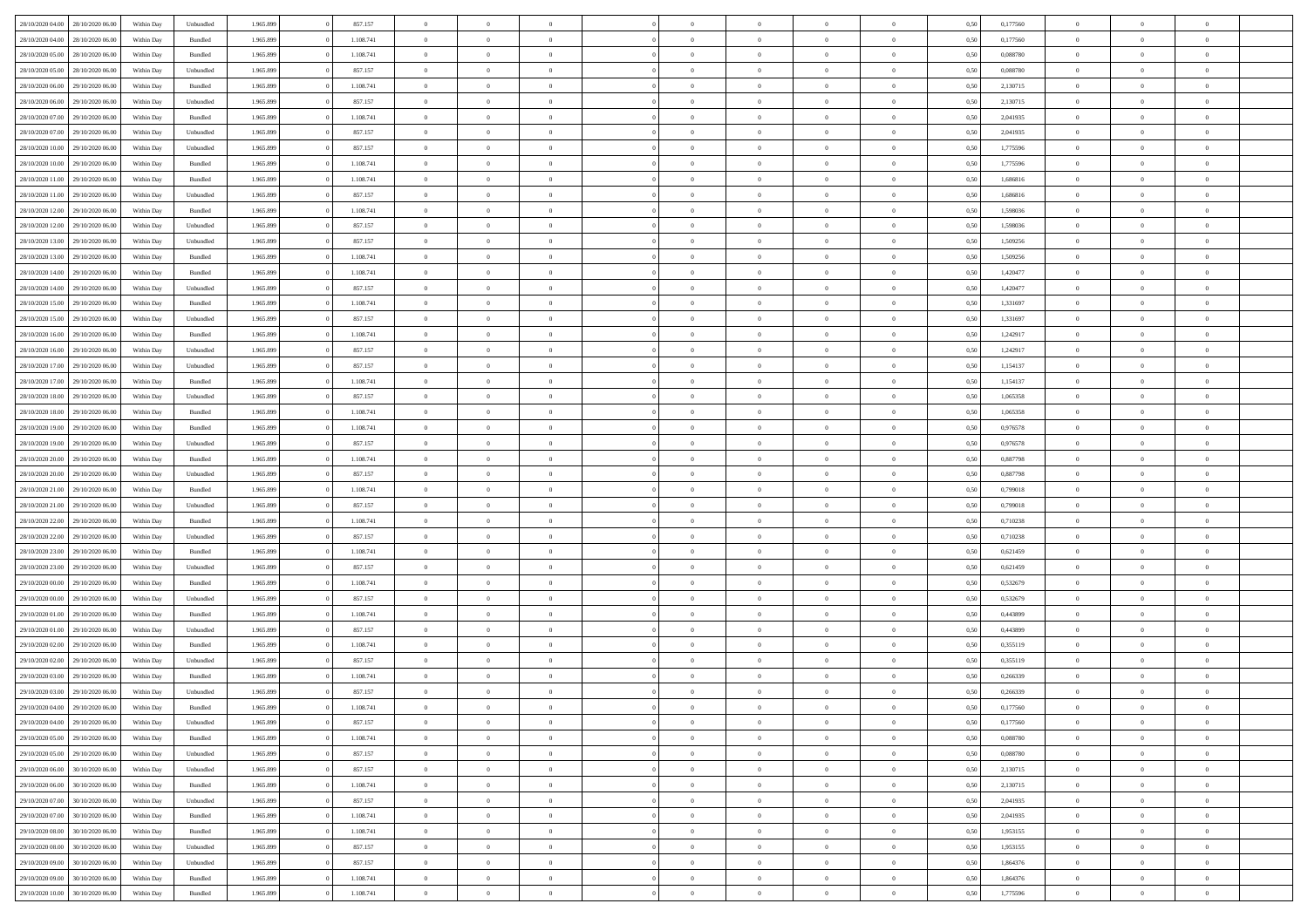|                  |                  |            |                    |           |           |                |                |                |                | $\Omega$       | $\theta$       | $\theta$       |      |          | $\theta$       |                |                |  |
|------------------|------------------|------------|--------------------|-----------|-----------|----------------|----------------|----------------|----------------|----------------|----------------|----------------|------|----------|----------------|----------------|----------------|--|
| 28/10/2020 04:00 | 28/10/2020 06:00 | Within Dav | Unbundled          | 1.965.899 | 857.157   | $\overline{0}$ | $\theta$       |                | $\Omega$       |                |                |                | 0,50 | 0,177560 |                | $\theta$       | $\overline{0}$ |  |
| 28/10/2020 04:00 | 28/10/2020 06.00 | Within Day | Bundled            | 1.965.899 | 1.108.741 | $\overline{0}$ | $\theta$       | $\overline{0}$ | $\overline{0}$ | $\bf{0}$       | $\overline{0}$ | $\bf{0}$       | 0,50 | 0,177560 | $\theta$       | $\overline{0}$ | $\overline{0}$ |  |
| 28/10/2020 05:00 | 28/10/2020 06.00 | Within Day | Bundled            | 1.965.899 | 1.108.741 | $\overline{0}$ | $\overline{0}$ | $\overline{0}$ | $\bf{0}$       | $\bf{0}$       | $\bf{0}$       | $\mathbf{0}$   | 0,50 | 0,088780 | $\bf{0}$       | $\overline{0}$ | $\overline{0}$ |  |
| 28/10/2020 05:00 | 28/10/2020 06:00 | Within Dav | Unbundled          | 1.965.899 | 857.157   | $\overline{0}$ | $\overline{0}$ | $\overline{0}$ | $\overline{0}$ | $\bf{0}$       | $\overline{0}$ | $\overline{0}$ | 0.50 | 0,088780 | $\theta$       | $\overline{0}$ | $\overline{0}$ |  |
|                  |                  |            |                    |           |           |                |                |                |                |                |                |                |      |          |                |                |                |  |
| 28/10/2020 06.00 | 29/10/2020 06.00 | Within Day | Bundled            | 1.965.899 | 1.108.741 | $\overline{0}$ | $\theta$       | $\overline{0}$ | $\overline{0}$ | $\bf{0}$       | $\overline{0}$ | $\bf{0}$       | 0,50 | 2,130715 | $\,$ 0 $\,$    | $\overline{0}$ | $\overline{0}$ |  |
| 28/10/2020 06.00 | 29/10/2020 06.00 | Within Day | Unbundled          | 1.965.899 | 857.157   | $\overline{0}$ | $\overline{0}$ | $\overline{0}$ | $\bf{0}$       | $\overline{0}$ | $\overline{0}$ | $\mathbf{0}$   | 0,50 | 2,130715 | $\bf{0}$       | $\overline{0}$ | $\bf{0}$       |  |
| 28/10/2020 07:00 | 29/10/2020 06:00 | Within Dav | Bundled            | 1.965.899 | 1.108.741 | $\overline{0}$ | $\overline{0}$ | $\overline{0}$ | $\overline{0}$ | $\overline{0}$ | $\overline{0}$ | $\overline{0}$ | 0.50 | 2,041935 | $\theta$       | $\overline{0}$ | $\overline{0}$ |  |
| 28/10/2020 07:00 | 29/10/2020 06.00 | Within Day | Unbundled          | 1.965.899 | 857.157   | $\overline{0}$ | $\theta$       | $\overline{0}$ | $\overline{0}$ | $\bf{0}$       | $\overline{0}$ | $\bf{0}$       | 0,50 | 2,041935 | $\,$ 0 $\,$    | $\theta$       | $\overline{0}$ |  |
| 28/10/2020 10:00 | 29/10/2020 06.00 | Within Day | Unbundled          | 1.965.899 | 857.157   | $\overline{0}$ | $\overline{0}$ | $\overline{0}$ | $\bf{0}$       | $\bf{0}$       | $\bf{0}$       | $\mathbf{0}$   | 0,50 | 1,775596 | $\,0\,$        | $\overline{0}$ | $\overline{0}$ |  |
|                  |                  |            |                    |           |           |                |                |                |                |                |                |                |      |          |                |                |                |  |
| 28/10/2020 10:00 | 29/10/2020 06:00 | Within Dav | Bundled            | 1.965.899 | 1.108.741 | $\overline{0}$ | $\overline{0}$ | $\overline{0}$ | $\overline{0}$ | $\overline{0}$ | $\overline{0}$ | $\overline{0}$ | 0.50 | 1,775596 | $\theta$       | $\overline{0}$ | $\overline{0}$ |  |
| 28/10/2020 11:00 | 29/10/2020 06.00 | Within Day | Bundled            | 1.965.899 | 1.108.741 | $\overline{0}$ | $\theta$       | $\overline{0}$ | $\overline{0}$ | $\bf{0}$       | $\overline{0}$ | $\bf{0}$       | 0,50 | 1,686816 | $\,$ 0 $\,$    | $\overline{0}$ | $\overline{0}$ |  |
| 28/10/2020 11:00 | 29/10/2020 06.00 | Within Day | Unbundled          | 1.965.899 | 857.157   | $\overline{0}$ | $\overline{0}$ | $\overline{0}$ | $\bf{0}$       | $\bf{0}$       | $\bf{0}$       | $\mathbf{0}$   | 0,50 | 1,686816 | $\bf{0}$       | $\overline{0}$ | $\bf{0}$       |  |
| 28/10/2020 12:00 | 29/10/2020 06:00 | Within Day | Bundled            | 1.965.899 | 1.108.741 | $\overline{0}$ | $\overline{0}$ | $\overline{0}$ | $\overline{0}$ | $\overline{0}$ | $\overline{0}$ | $\overline{0}$ | 0.50 | 1,598036 | $\theta$       | $\theta$       | $\overline{0}$ |  |
| 28/10/2020 12:00 | 29/10/2020 06.00 | Within Day | Unbundled          | 1.965.899 | 857.157   | $\overline{0}$ | $\theta$       | $\overline{0}$ | $\overline{0}$ | $\bf{0}$       | $\overline{0}$ | $\bf{0}$       | 0,50 | 1,598036 | $\,$ 0 $\,$    | $\overline{0}$ | $\overline{0}$ |  |
|                  |                  |            |                    |           |           |                |                |                |                |                |                |                |      |          |                |                |                |  |
| 28/10/2020 13:00 | 29/10/2020 06.00 | Within Day | Unbundled          | 1.965.899 | 857.157   | $\overline{0}$ | $\overline{0}$ | $\overline{0}$ | $\bf{0}$       | $\overline{0}$ | $\overline{0}$ | $\mathbf{0}$   | 0,50 | 1,509256 | $\bf{0}$       | $\overline{0}$ | $\bf{0}$       |  |
| 28/10/2020 13:00 | 29/10/2020 06:00 | Within Dav | Bundled            | 1.965.899 | 1.108.741 | $\overline{0}$ | $\overline{0}$ | $\overline{0}$ | $\overline{0}$ | $\overline{0}$ | $\overline{0}$ | $\overline{0}$ | 0.50 | 1,509256 | $\theta$       | $\overline{0}$ | $\overline{0}$ |  |
| 28/10/2020 14:00 | 29/10/2020 06.00 | Within Day | Bundled            | 1.965.899 | 1.108.741 | $\overline{0}$ | $\theta$       | $\overline{0}$ | $\overline{0}$ | $\bf{0}$       | $\overline{0}$ | $\bf{0}$       | 0,50 | 1,420477 | $\,$ 0 $\,$    | $\overline{0}$ | $\overline{0}$ |  |
| 28/10/2020 14:00 | 29/10/2020 06.00 | Within Day | Unbundled          | 1.965.899 | 857.157   | $\overline{0}$ | $\overline{0}$ | $\overline{0}$ | $\bf{0}$       | $\bf{0}$       | $\bf{0}$       | $\mathbf{0}$   | 0,50 | 1,420477 | $\bf{0}$       | $\overline{0}$ | $\bf{0}$       |  |
| 28/10/2020 15:00 | 29/10/2020 06:00 | Within Day | Bundled            | 1.965.899 | 1.108.741 | $\overline{0}$ | $\overline{0}$ | $\overline{0}$ | $\overline{0}$ | $\overline{0}$ | $\overline{0}$ | $\overline{0}$ | 0.50 | 1,331697 | $\theta$       | $\overline{0}$ | $\overline{0}$ |  |
|                  |                  |            |                    |           |           |                |                |                |                |                |                |                |      |          |                |                |                |  |
| 28/10/2020 15:00 | 29/10/2020 06.00 | Within Day | Unbundled          | 1.965.899 | 857.157   | $\overline{0}$ | $\theta$       | $\overline{0}$ | $\overline{0}$ | $\bf{0}$       | $\overline{0}$ | $\bf{0}$       | 0,50 | 1,331697 | $\,$ 0 $\,$    | $\overline{0}$ | $\overline{0}$ |  |
| 28/10/2020 16:00 | 29/10/2020 06.00 | Within Day | Bundled            | 1.965.899 | 1.108.741 | $\overline{0}$ | $\overline{0}$ | $\overline{0}$ | $\bf{0}$       | $\bf{0}$       | $\bf{0}$       | $\mathbf{0}$   | 0,50 | 1,242917 | $\overline{0}$ | $\overline{0}$ | $\bf{0}$       |  |
| 28/10/2020 16:00 | 29/10/2020 06:00 | Within Day | Unbundled          | 1.965.899 | 857.157   | $\overline{0}$ | $\overline{0}$ | $\overline{0}$ | $\overline{0}$ | $\overline{0}$ | $\overline{0}$ | $\overline{0}$ | 0.50 | 1.242917 | $\theta$       | $\overline{0}$ | $\overline{0}$ |  |
| 28/10/2020 17:00 | 29/10/2020 06.00 | Within Day | Unbundled          | 1.965.899 | 857.157   | $\overline{0}$ | $\theta$       | $\overline{0}$ | $\overline{0}$ | $\bf{0}$       | $\overline{0}$ | $\bf{0}$       | 0,50 | 1,154137 | $\,$ 0 $\,$    | $\overline{0}$ | $\overline{0}$ |  |
| 28/10/2020 17.00 | 29/10/2020 06.00 | Within Day | Bundled            | 1.965.899 | 1.108.741 | $\overline{0}$ | $\overline{0}$ | $\overline{0}$ | $\bf{0}$       | $\overline{0}$ | $\overline{0}$ | $\mathbf{0}$   | 0,50 | 1,154137 | $\overline{0}$ | $\overline{0}$ | $\bf{0}$       |  |
|                  |                  |            |                    |           |           |                |                |                |                |                |                |                |      |          |                |                |                |  |
| 28/10/2020 18:00 | 29/10/2020 06:00 | Within Day | Unbundled          | 1.965.899 | 857.157   | $\overline{0}$ | $\overline{0}$ | $\overline{0}$ | $\overline{0}$ | $\overline{0}$ | $\overline{0}$ | $\overline{0}$ | 0.50 | 1,065358 | $\overline{0}$ | $\overline{0}$ | $\overline{0}$ |  |
| 28/10/2020 18:00 | 29/10/2020 06.00 | Within Day | Bundled            | 1.965.899 | 1.108.741 | $\overline{0}$ | $\theta$       | $\overline{0}$ | $\overline{0}$ | $\bf{0}$       | $\overline{0}$ | $\bf{0}$       | 0,50 | 1,065358 | $\,$ 0 $\,$    | $\overline{0}$ | $\overline{0}$ |  |
| 28/10/2020 19:00 | 29/10/2020 06.00 | Within Day | Bundled            | 1.965.899 | 1.108.741 | $\overline{0}$ | $\overline{0}$ | $\overline{0}$ | $\bf{0}$       | $\bf{0}$       | $\bf{0}$       | $\mathbf{0}$   | 0,50 | 0,976578 | $\,0\,$        | $\overline{0}$ | $\overline{0}$ |  |
| 28/10/2020 19:00 | 29/10/2020 06:00 | Within Day | Unbundled          | 1.965.899 | 857.157   | $\overline{0}$ | $\overline{0}$ | $\overline{0}$ | $\overline{0}$ | $\overline{0}$ | $\overline{0}$ | $\overline{0}$ | 0.50 | 0,976578 | $\theta$       | $\overline{0}$ | $\overline{0}$ |  |
| 28/10/2020 20:00 | 29/10/2020 06.00 | Within Day | Bundled            | 1.965.899 | 1.108.741 | $\overline{0}$ | $\overline{0}$ | $\overline{0}$ | $\overline{0}$ | $\,$ 0         | $\overline{0}$ | $\bf{0}$       | 0,50 | 0,887798 | $\,$ 0 $\,$    | $\overline{0}$ | $\overline{0}$ |  |
|                  |                  |            |                    |           |           |                |                |                |                |                |                |                |      |          |                |                |                |  |
| 28/10/2020 20:00 | 29/10/2020 06.00 | Within Day | Unbundled          | 1.965.899 | 857.157   | $\overline{0}$ | $\overline{0}$ | $\overline{0}$ | $\bf{0}$       | $\overline{0}$ | $\bf{0}$       | $\bf{0}$       | 0,50 | 0,887798 | $\overline{0}$ | $\overline{0}$ | $\bf{0}$       |  |
| 28/10/2020 21:00 | 29/10/2020 06:00 | Within Day | Bundled            | 1.965.899 | 1.108.741 | $\overline{0}$ | $\theta$       | $\overline{0}$ | $\Omega$       | $\Omega$       | $\overline{0}$ | $\overline{0}$ | 0,50 | 0,799018 | $\,0\,$        | $\theta$       | $\theta$       |  |
| 28/10/2020 21.00 | 29/10/2020 06.00 | Within Day | Unbundled          | 1.965.899 | 857.157   | $\overline{0}$ | $\overline{0}$ | $\overline{0}$ | $\overline{0}$ | $\bf{0}$       | $\overline{0}$ | $\bf{0}$       | 0,50 | 0,799018 | $\,$ 0 $\,$    | $\overline{0}$ | $\overline{0}$ |  |
| 28/10/2020 22.00 | 29/10/2020 06.00 | Within Day | Bundled            | 1.965.899 | 1.108.741 | $\overline{0}$ | $\overline{0}$ | $\overline{0}$ | $\bf{0}$       | $\overline{0}$ | $\overline{0}$ | $\mathbf{0}$   | 0,50 | 0,710238 | $\bf{0}$       | $\overline{0}$ | $\bf{0}$       |  |
| 28/10/2020 22.00 | 29/10/2020 06:00 | Within Day | Unbundled          | 1.965.899 | 857.157   | $\overline{0}$ | $\overline{0}$ | $\overline{0}$ | $\Omega$       | $\overline{0}$ | $\overline{0}$ | $\overline{0}$ | 0.50 | 0,710238 | $\,0\,$        | $\theta$       | $\overline{0}$ |  |
| 28/10/2020 23.00 | 29/10/2020 06.00 |            |                    | 1.965.899 | 1.108.741 | $\overline{0}$ | $\theta$       | $\overline{0}$ | $\overline{0}$ | $\,$ 0         | $\overline{0}$ |                |      | 0,621459 | $\,$ 0 $\,$    | $\overline{0}$ | $\overline{0}$ |  |
|                  |                  | Within Day | Bundled            |           |           |                |                |                |                |                |                | $\bf{0}$       | 0,50 |          |                |                |                |  |
| 28/10/2020 23:00 | 29/10/2020 06.00 | Within Day | Unbundled          | 1.965.899 | 857.157   | $\overline{0}$ | $\bf{0}$       | $\overline{0}$ | $\bf{0}$       | $\bf{0}$       | $\bf{0}$       | $\mathbf{0}$   | 0,50 | 0,621459 | $\bf{0}$       | $\overline{0}$ | $\bf{0}$       |  |
| 29/10/2020 00:00 | 29/10/2020 06:00 | Within Day | Bundled            | 1.965.899 | 1.108.741 | $\overline{0}$ | $\overline{0}$ | $\overline{0}$ | $\Omega$       | $\overline{0}$ | $\overline{0}$ | $\overline{0}$ | 0.50 | 0,532679 | $\,$ 0 $\,$    | $\theta$       | $\theta$       |  |
| 29/10/2020 00.00 | 29/10/2020 06.00 | Within Day | Unbundled          | 1.965.899 | 857.157   | $\overline{0}$ | $\overline{0}$ | $\overline{0}$ | $\overline{0}$ | $\,$ 0         | $\overline{0}$ | $\bf{0}$       | 0,50 | 0,532679 | $\,$ 0 $\,$    | $\overline{0}$ | $\overline{0}$ |  |
| 29/10/2020 01.00 | 29/10/2020 06.00 | Within Day | Bundled            | 1.965.899 | 1.108.741 | $\overline{0}$ | $\overline{0}$ | $\overline{0}$ | $\bf{0}$       | $\bf{0}$       | $\overline{0}$ | $\mathbf{0}$   | 0,50 | 0,443899 | $\bf{0}$       | $\overline{0}$ | $\bf{0}$       |  |
| 29/10/2020 01:00 | 29/10/2020 06.00 | Within Day | Unbundled          | 1.965.899 | 857.157   | $\overline{0}$ | $\theta$       | $\overline{0}$ | $\Omega$       | $\overline{0}$ | $\overline{0}$ | $\overline{0}$ | 0,50 | 0,443899 | $\,0\,$        | $\theta$       | $\overline{0}$ |  |
|                  |                  |            |                    |           |           |                |                |                |                |                |                |                |      |          |                |                |                |  |
| 29/10/2020 02.00 | 29/10/2020 06.00 | Within Day | Bundled            | 1.965.899 | 1.108.741 | $\overline{0}$ | $\overline{0}$ | $\overline{0}$ | $\overline{0}$ | $\,$ 0         | $\overline{0}$ | $\bf{0}$       | 0,50 | 0,355119 | $\,$ 0 $\,$    | $\overline{0}$ | $\overline{0}$ |  |
| 29/10/2020 02.00 | 29/10/2020 06.00 | Within Day | Unbundled          | 1.965.899 | 857.157   | $\overline{0}$ | $\overline{0}$ | $\overline{0}$ | $\bf{0}$       | $\overline{0}$ | $\overline{0}$ | $\mathbf{0}$   | 0,50 | 0,355119 | $\bf{0}$       | $\overline{0}$ | $\bf{0}$       |  |
| 29/10/2020 03:00 | 29/10/2020 06:00 | Within Day | Bundled            | 1.965.899 | 1.108.741 | $\overline{0}$ | $\Omega$       | $\Omega$       | $\Omega$       | $\Omega$       | $\overline{0}$ | $\overline{0}$ | 0.50 | 0,266339 | $\theta$       | $\theta$       | $\theta$       |  |
| 29/10/2020 03:00 | 29/10/2020 06.00 | Within Day | Unbundled          | 1.965.899 | 857.157   | $\bf{0}$       | $\overline{0}$ | $\overline{0}$ | $\bf{0}$       | $\,$ 0         | $\bf{0}$       | $\bf{0}$       | 0,50 | 0,266339 | $\,0\,$        | $\,0\,$        | $\overline{0}$ |  |
| 29/10/2020 04:00 | 29/10/2020 06.00 | Within Day | $\mathbf B$ undled | 1.965.899 | 1.108.741 | $\overline{0}$ | $\bf{0}$       |                |                | $\bf{0}$       |                |                | 0,50 | 0,177560 | $\bf{0}$       | $\overline{0}$ |                |  |
|                  |                  |            |                    |           |           |                |                |                |                |                |                |                |      |          |                |                |                |  |
| 29/10/2020 04:00 | 29/10/2020 06:00 | Within Day | Unbundled          | 1.965.899 | 857.157   | $\overline{0}$ | $\overline{0}$ | $\overline{0}$ | $\Omega$       | $\overline{0}$ | $\overline{0}$ | $\overline{0}$ | 0,50 | 0,177560 | $\theta$       | $\theta$       | $\theta$       |  |
| 29/10/2020 05.00 | 29/10/2020 06.00 | Within Day | Bundled            | 1.965.899 | 1.108.741 | $\overline{0}$ | $\,$ 0         | $\overline{0}$ | $\bf{0}$       | $\,$ 0 $\,$    | $\overline{0}$ | $\,$ 0 $\,$    | 0,50 | 0,088780 | $\,$ 0 $\,$    | $\,$ 0 $\,$    | $\,$ 0         |  |
| 29/10/2020 05:00 | 29/10/2020 06.00 | Within Day | Unbundled          | 1.965.899 | 857.157   | $\overline{0}$ | $\overline{0}$ | $\overline{0}$ | $\overline{0}$ | $\overline{0}$ | $\overline{0}$ | $\mathbf{0}$   | 0,50 | 0,088780 | $\overline{0}$ | $\bf{0}$       | $\bf{0}$       |  |
| 29/10/2020 06.00 | 30/10/2020 06.00 | Within Day | Unbundled          | 1.965.899 | 857.157   | $\overline{0}$ | $\overline{0}$ | $\overline{0}$ | $\Omega$       | $\overline{0}$ | $\overline{0}$ | $\overline{0}$ | 0,50 | 2,130715 | $\overline{0}$ | $\theta$       | $\overline{0}$ |  |
| 29/10/2020 06.00 | 30/10/2020 06.00 | Within Day | Bundled            | 1.965.899 | 1.108.741 | $\overline{0}$ | $\,$ 0         | $\overline{0}$ | $\bf{0}$       | $\,$ 0 $\,$    | $\overline{0}$ | $\mathbf{0}$   | 0,50 | 2,130715 | $\,$ 0 $\,$    | $\overline{0}$ | $\overline{0}$ |  |
|                  |                  |            |                    |           |           |                |                |                |                |                |                |                |      |          |                |                |                |  |
| 29/10/2020 07.00 | 30/10/2020 06.00 | Within Day | Unbundled          | 1.965.899 | 857.157   | $\overline{0}$ | $\overline{0}$ | $\overline{0}$ | $\overline{0}$ | $\overline{0}$ | $\overline{0}$ | $\mathbf{0}$   | 0,50 | 2,041935 | $\overline{0}$ | $\overline{0}$ | $\bf{0}$       |  |
| 29/10/2020 07.00 | 30/10/2020 06.00 | Within Day | Bundled            | 1.965.899 | 1.108.741 | $\overline{0}$ | $\overline{0}$ | $\overline{0}$ | $\overline{0}$ | $\overline{0}$ | $\overline{0}$ | $\bf{0}$       | 0.50 | 2.041935 | $\overline{0}$ | $\theta$       | $\overline{0}$ |  |
| 29/10/2020 08.00 | 30/10/2020 06.00 | Within Day | Bundled            | 1.965.899 | 1.108.741 | $\overline{0}$ | $\,$ 0         | $\overline{0}$ | $\bf{0}$       | $\bf{0}$       | $\bf{0}$       | $\bf{0}$       | 0,50 | 1,953155 | $\,$ 0 $\,$    | $\overline{0}$ | $\overline{0}$ |  |
| 29/10/2020 08:00 | 30/10/2020 06.00 | Within Day | Unbundled          | 1.965.899 | 857.157   | $\overline{0}$ | $\bf{0}$       | $\overline{0}$ | $\overline{0}$ | $\overline{0}$ | $\overline{0}$ | $\mathbf{0}$   | 0,50 | 1,953155 | $\overline{0}$ | $\overline{0}$ | $\bf{0}$       |  |
| 29/10/2020 09:00 | 30/10/2020 06:00 | Within Day | Unbundled          | 1.965.899 | 857.157   | $\overline{0}$ | $\overline{0}$ | $\overline{0}$ | $\Omega$       | $\overline{0}$ | $\overline{0}$ | $\bf{0}$       | 0.50 | 1,864376 | $\overline{0}$ | $\overline{0}$ | $\overline{0}$ |  |
|                  |                  |            |                    |           |           |                |                |                |                |                |                |                |      |          |                |                |                |  |
| 29/10/2020 09:00 | 30/10/2020 06.00 | Within Day | Bundled            | 1.965.899 | 1.108.741 | $\overline{0}$ | $\bf{0}$       | $\overline{0}$ | $\bf{0}$       | $\bf{0}$       | $\bf{0}$       | $\mathbf{0}$   | 0,50 | 1,864376 | $\,$ 0 $\,$    | $\,$ 0 $\,$    | $\bf{0}$       |  |
| 29/10/2020 10:00 | 30/10/2020 06.00 | Within Day | Bundled            | 1.965.899 | 1.108.741 | $\overline{0}$ | $\overline{0}$ | $\overline{0}$ | $\overline{0}$ | $\overline{0}$ | $\bf{0}$       | $\mathbf{0}$   | 0,50 | 1,775596 | $\overline{0}$ | $\bf{0}$       | $\overline{0}$ |  |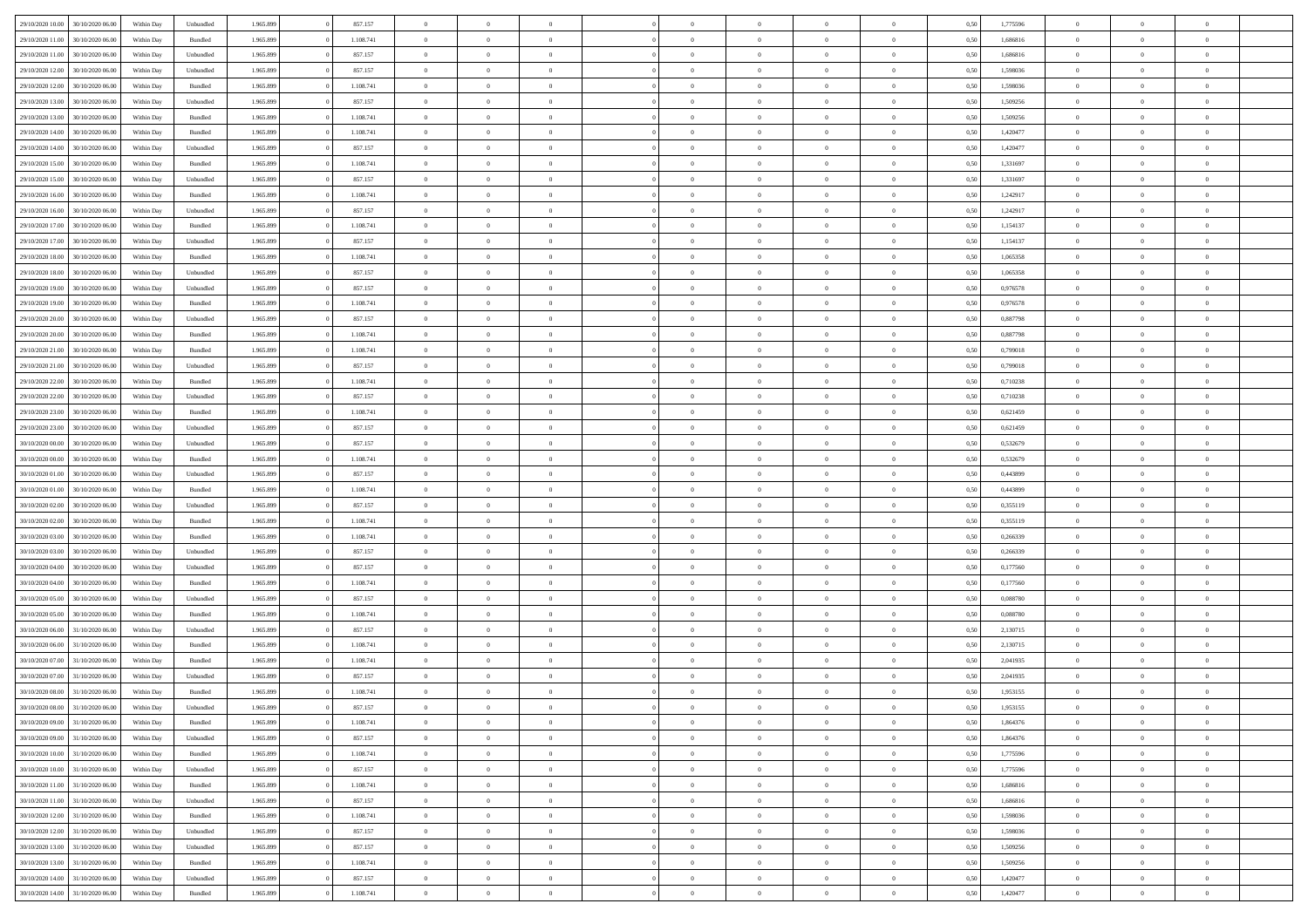| 29/10/2020 10:00                  | 30/10/2020 06:00 | Within Dav | Unbundled | 1.965.899 | 857.157   | $\overline{0}$ | $\theta$       |                | $\Omega$       | $\Omega$       | $\theta$       | $\theta$       | 0,50 | 1,775596 | $\theta$       | $\theta$       | $\overline{0}$ |  |
|-----------------------------------|------------------|------------|-----------|-----------|-----------|----------------|----------------|----------------|----------------|----------------|----------------|----------------|------|----------|----------------|----------------|----------------|--|
| 29/10/2020 11:00                  | 30/10/2020 06.00 | Within Day | Bundled   | 1.965.899 | 1.108.741 | $\overline{0}$ | $\theta$       | $\overline{0}$ | $\overline{0}$ | $\bf{0}$       | $\overline{0}$ | $\bf{0}$       | 0,50 | 1,686816 | $\theta$       | $\overline{0}$ | $\overline{0}$ |  |
| 29/10/2020 11:00                  | 30/10/2020 06.00 | Within Day | Unbundled | 1.965.899 | 857.157   | $\overline{0}$ | $\overline{0}$ | $\overline{0}$ | $\bf{0}$       | $\bf{0}$       | $\bf{0}$       | $\mathbf{0}$   | 0,50 | 1,686816 | $\overline{0}$ | $\overline{0}$ | $\overline{0}$ |  |
|                                   |                  |            |           |           |           |                |                |                |                |                |                |                |      |          | $\theta$       |                |                |  |
| 29/10/2020 12:00                  | 30/10/2020 06:00 | Within Dav | Unbundled | 1.965.899 | 857.157   | $\overline{0}$ | $\overline{0}$ | $\overline{0}$ | $\overline{0}$ | $\bf{0}$       | $\overline{0}$ | $\overline{0}$ | 0.50 | 1.598036 |                | $\overline{0}$ | $\overline{0}$ |  |
| 29/10/2020 12:00                  | 30/10/2020 06.00 | Within Day | Bundled   | 1.965.899 | 1.108.741 | $\overline{0}$ | $\theta$       | $\overline{0}$ | $\overline{0}$ | $\bf{0}$       | $\overline{0}$ | $\bf{0}$       | 0,50 | 1,598036 | $\,$ 0 $\,$    | $\overline{0}$ | $\overline{0}$ |  |
| 29/10/2020 13:00                  | 30/10/2020 06.00 | Within Day | Unbundled | 1.965.899 | 857.157   | $\overline{0}$ | $\overline{0}$ | $\overline{0}$ | $\bf{0}$       | $\overline{0}$ | $\overline{0}$ | $\mathbf{0}$   | 0,50 | 1,509256 | $\overline{0}$ | $\overline{0}$ | $\bf{0}$       |  |
| 29/10/2020 13:00                  | 30/10/2020 06.00 | Within Dav | Bundled   | 1.965.899 | 1.108.741 | $\overline{0}$ | $\overline{0}$ | $\overline{0}$ | $\overline{0}$ | $\overline{0}$ | $\overline{0}$ | $\overline{0}$ | 0.50 | 1,509256 | $\theta$       | $\overline{0}$ | $\overline{0}$ |  |
|                                   |                  |            |           |           |           |                |                |                |                |                |                |                |      |          |                |                |                |  |
| 29/10/2020 14:00                  | 30/10/2020 06.00 | Within Day | Bundled   | 1.965.899 | 1.108.741 | $\overline{0}$ | $\theta$       | $\overline{0}$ | $\overline{0}$ | $\bf{0}$       | $\overline{0}$ | $\bf{0}$       | 0,50 | 1,420477 | $\,$ 0 $\,$    | $\theta$       | $\overline{0}$ |  |
| 29/10/2020 14:00                  | 30/10/2020 06.00 | Within Day | Unbundled | 1.965.899 | 857.157   | $\overline{0}$ | $\overline{0}$ | $\overline{0}$ | $\bf{0}$       | $\bf{0}$       | $\bf{0}$       | $\mathbf{0}$   | 0,50 | 1,420477 | $\,0\,$        | $\overline{0}$ | $\overline{0}$ |  |
| 29/10/2020 15:00                  | 30/10/2020 06.00 | Within Dav | Bundled   | 1.965.899 | 1.108.741 | $\overline{0}$ | $\overline{0}$ | $\overline{0}$ | $\overline{0}$ | $\overline{0}$ | $\overline{0}$ | $\overline{0}$ | 0.50 | 1,331697 | $\theta$       | $\overline{0}$ | $\overline{0}$ |  |
|                                   |                  |            |           |           |           |                |                |                |                |                |                |                |      |          |                |                |                |  |
| 29/10/2020 15:00                  | 30/10/2020 06.00 | Within Day | Unbundled | 1.965.899 | 857.157   | $\overline{0}$ | $\theta$       | $\overline{0}$ | $\overline{0}$ | $\bf{0}$       | $\overline{0}$ | $\bf{0}$       | 0,50 | 1,331697 | $\,$ 0 $\,$    | $\overline{0}$ | $\overline{0}$ |  |
| 29/10/2020 16.00                  | 30/10/2020 06.00 | Within Day | Bundled   | 1.965.899 | 1.108.741 | $\overline{0}$ | $\overline{0}$ | $\overline{0}$ | $\bf{0}$       | $\bf{0}$       | $\bf{0}$       | $\mathbf{0}$   | 0,50 | 1,242917 | $\bf{0}$       | $\overline{0}$ | $\bf{0}$       |  |
| 29/10/2020 16:00                  | 30/10/2020 06:00 | Within Day | Unbundled | 1.965.899 | 857.157   | $\overline{0}$ | $\overline{0}$ | $\overline{0}$ | $\overline{0}$ | $\overline{0}$ | $\overline{0}$ | $\overline{0}$ | 0.50 | 1,242917 | $\theta$       | $\theta$       | $\overline{0}$ |  |
| 29/10/2020 17.00                  | 30/10/2020 06.00 | Within Day | Bundled   | 1.965.899 | 1.108.741 | $\overline{0}$ | $\theta$       | $\overline{0}$ | $\overline{0}$ | $\bf{0}$       | $\overline{0}$ | $\bf{0}$       | 0,50 | 1,154137 | $\,$ 0 $\,$    | $\overline{0}$ | $\overline{0}$ |  |
|                                   |                  |            |           |           |           |                |                |                |                |                |                |                |      |          |                |                |                |  |
| 29/10/2020 17.00                  | 30/10/2020 06.00 | Within Day | Unbundled | 1.965.899 | 857.157   | $\overline{0}$ | $\overline{0}$ | $\overline{0}$ | $\bf{0}$       | $\overline{0}$ | $\overline{0}$ | $\mathbf{0}$   | 0,50 | 1,154137 | $\bf{0}$       | $\overline{0}$ | $\bf{0}$       |  |
| 29/10/2020 18:00                  | 30/10/2020 06.00 | Within Dav | Bundled   | 1.965.899 | 1.108.741 | $\overline{0}$ | $\overline{0}$ | $\overline{0}$ | $\overline{0}$ | $\overline{0}$ | $\overline{0}$ | $\overline{0}$ | 0.50 | 1,065358 | $\overline{0}$ | $\overline{0}$ | $\overline{0}$ |  |
| 29/10/2020 18:00                  | 30/10/2020 06.00 | Within Day | Unbundled | 1.965.899 | 857.157   | $\overline{0}$ | $\theta$       | $\overline{0}$ | $\overline{0}$ | $\bf{0}$       | $\overline{0}$ | $\bf{0}$       | 0,50 | 1,065358 | $\,$ 0 $\,$    | $\overline{0}$ | $\overline{0}$ |  |
|                                   |                  |            |           |           |           |                |                |                |                |                |                |                |      |          |                |                |                |  |
| 29/10/2020 19:00                  | 30/10/2020 06.00 | Within Day | Unbundled | 1.965.899 | 857.157   | $\overline{0}$ | $\overline{0}$ | $\overline{0}$ | $\bf{0}$       | $\bf{0}$       | $\bf{0}$       | $\mathbf{0}$   | 0,50 | 0,976578 | $\bf{0}$       | $\overline{0}$ | $\bf{0}$       |  |
| 29/10/2020 19:00                  | 30/10/2020 06.00 | Within Day | Bundled   | 1.965.899 | 1.108.741 | $\overline{0}$ | $\overline{0}$ | $\overline{0}$ | $\overline{0}$ | $\overline{0}$ | $\overline{0}$ | $\overline{0}$ | 0.50 | 0,976578 | $\theta$       | $\overline{0}$ | $\overline{0}$ |  |
| 29/10/2020 20:00                  | 30/10/2020 06.00 | Within Day | Unbundled | 1.965.899 | 857.157   | $\overline{0}$ | $\theta$       | $\overline{0}$ | $\overline{0}$ | $\bf{0}$       | $\overline{0}$ | $\bf{0}$       | 0,50 | 0,887798 | $\,$ 0 $\,$    | $\overline{0}$ | $\overline{0}$ |  |
| 29/10/2020 20.00                  | 30/10/2020 06.00 | Within Day | Bundled   | 1.965.899 | 1.108.741 | $\overline{0}$ | $\overline{0}$ | $\overline{0}$ | $\bf{0}$       | $\bf{0}$       | $\bf{0}$       | $\mathbf{0}$   | 0,50 | 0,887798 | $\overline{0}$ | $\overline{0}$ | $\bf{0}$       |  |
|                                   | 30/10/2020 06:00 |            | Bundled   | 1.965.899 | 1.108.741 | $\overline{0}$ | $\overline{0}$ | $\overline{0}$ |                | $\overline{0}$ | $\overline{0}$ | $\overline{0}$ | 0.50 | 0.799018 | $\theta$       | $\overline{0}$ | $\overline{0}$ |  |
| 29/10/2020 21:00                  |                  | Within Day |           |           |           |                |                |                | $\overline{0}$ |                |                |                |      |          |                |                |                |  |
| 29/10/2020 21.00                  | 30/10/2020 06.00 | Within Day | Unbundled | 1.965.899 | 857.157   | $\overline{0}$ | $\theta$       | $\overline{0}$ | $\overline{0}$ | $\bf{0}$       | $\overline{0}$ | $\bf{0}$       | 0,50 | 0,799018 | $\,$ 0 $\,$    | $\overline{0}$ | $\overline{0}$ |  |
| 29/10/2020 22.00                  | 30/10/2020 06.00 | Within Day | Bundled   | 1.965.899 | 1.108.741 | $\overline{0}$ | $\overline{0}$ | $\overline{0}$ | $\bf{0}$       | $\overline{0}$ | $\overline{0}$ | $\mathbf{0}$   | 0,50 | 0,710238 | $\overline{0}$ | $\overline{0}$ | $\bf{0}$       |  |
| 29/10/2020 22.00                  | 30/10/2020 06.00 | Within Day | Unbundled | 1.965.899 | 857.157   | $\overline{0}$ | $\overline{0}$ | $\overline{0}$ | $\overline{0}$ | $\overline{0}$ | $\overline{0}$ | $\overline{0}$ | 0.50 | 0,710238 | $\overline{0}$ | $\overline{0}$ | $\overline{0}$ |  |
|                                   |                  |            |           |           |           |                |                |                |                |                |                |                |      |          |                |                |                |  |
| 29/10/2020 23.00                  | 30/10/2020 06.00 | Within Day | Bundled   | 1.965.899 | 1.108.741 | $\overline{0}$ | $\theta$       | $\overline{0}$ | $\overline{0}$ | $\bf{0}$       | $\overline{0}$ | $\bf{0}$       | 0,50 | 0,621459 | $\,$ 0 $\,$    | $\overline{0}$ | $\overline{0}$ |  |
| 29/10/2020 23:00                  | 30/10/2020 06.00 | Within Day | Unbundled | 1.965.899 | 857.157   | $\overline{0}$ | $\overline{0}$ | $\overline{0}$ | $\bf{0}$       | $\bf{0}$       | $\bf{0}$       | $\mathbf{0}$   | 0,50 | 0,621459 | $\,0\,$        | $\overline{0}$ | $\overline{0}$ |  |
| 30/10/2020 00:00                  | 30/10/2020 06.00 | Within Day | Unbundled | 1.965.899 | 857.157   | $\overline{0}$ | $\overline{0}$ | $\overline{0}$ | $\overline{0}$ | $\overline{0}$ | $\overline{0}$ | $\overline{0}$ | 0.50 | 0,532679 | $\theta$       | $\overline{0}$ | $\overline{0}$ |  |
| 30/10/2020 00:00                  | 30/10/2020 06.00 | Within Day | Bundled   | 1.965.899 | 1.108.741 | $\overline{0}$ | $\overline{0}$ | $\overline{0}$ | $\overline{0}$ | $\,$ 0         | $\overline{0}$ | $\bf{0}$       | 0,50 | 0,532679 | $\,$ 0 $\,$    | $\overline{0}$ | $\overline{0}$ |  |
|                                   |                  |            |           |           |           |                |                |                |                |                |                |                |      |          |                |                |                |  |
| 30/10/2020 01.00                  | 30/10/2020 06.00 | Within Day | Unbundled | 1.965.899 | 857.157   | $\overline{0}$ | $\overline{0}$ | $\overline{0}$ | $\bf{0}$       | $\bf{0}$       | $\bf{0}$       | $\bf{0}$       | 0,50 | 0,443899 | $\overline{0}$ | $\overline{0}$ | $\bf{0}$       |  |
| 30/10/2020 01:00                  | 30/10/2020 06:00 | Within Day | Bundled   | 1.965.899 | 1.108.741 | $\overline{0}$ | $\theta$       | $\overline{0}$ | $\Omega$       | $\Omega$       | $\overline{0}$ | $\overline{0}$ | 0,50 | 0.443899 | $\,0\,$        | $\theta$       | $\theta$       |  |
| 30/10/2020 02.00                  | 30/10/2020 06.00 | Within Day | Unbundled | 1.965.899 | 857.157   | $\overline{0}$ | $\overline{0}$ | $\overline{0}$ | $\overline{0}$ | $\bf{0}$       | $\overline{0}$ | $\bf{0}$       | 0,50 | 0,355119 | $\,$ 0 $\,$    | $\overline{0}$ | $\overline{0}$ |  |
| 30/10/2020 02.00                  | 30/10/2020 06.00 | Within Day | Bundled   | 1.965.899 | 1.108.741 | $\overline{0}$ | $\overline{0}$ | $\overline{0}$ | $\bf{0}$       | $\overline{0}$ | $\overline{0}$ | $\mathbf{0}$   | 0,50 | 0,355119 | $\overline{0}$ | $\overline{0}$ | $\bf{0}$       |  |
|                                   |                  |            |           |           |           |                |                |                |                |                |                |                |      |          |                |                |                |  |
| 30/10/2020 03:00                  | 30/10/2020 06:00 | Within Day | Bundled   | 1.965.899 | 1.108.741 | $\overline{0}$ | $\overline{0}$ | $\overline{0}$ | $\Omega$       | $\overline{0}$ | $\overline{0}$ | $\overline{0}$ | 0.50 | 0,266339 | $\,0\,$        | $\theta$       | $\theta$       |  |
| 30/10/2020 03:00                  | 30/10/2020 06.00 | Within Day | Unbundled | 1.965.899 | 857.157   | $\overline{0}$ | $\theta$       | $\overline{0}$ | $\overline{0}$ | $\bf{0}$       | $\overline{0}$ | $\bf{0}$       | 0,50 | 0,266339 | $\,$ 0 $\,$    | $\overline{0}$ | $\overline{0}$ |  |
| 30/10/2020 04.00                  | 30/10/2020 06.00 | Within Day | Unbundled | 1.965.899 | 857.157   | $\overline{0}$ | $\bf{0}$       | $\overline{0}$ | $\bf{0}$       | $\bf{0}$       | $\bf{0}$       | $\mathbf{0}$   | 0,50 | 0,177560 | $\bf{0}$       | $\overline{0}$ | $\bf{0}$       |  |
| 30/10/2020 04:00                  | 30/10/2020 06:00 |            |           |           | 1.108.741 | $\overline{0}$ | $\overline{0}$ | $\overline{0}$ | $\Omega$       | $\overline{0}$ | $\overline{0}$ | $\overline{0}$ | 0.50 |          | $\,$ 0 $\,$    | $\theta$       | $\theta$       |  |
|                                   |                  | Within Day | Bundled   | 1.965.899 |           |                |                |                |                |                |                |                |      | 0,177560 |                |                |                |  |
| 30/10/2020 05:00                  | 30/10/2020 06.00 | Within Day | Unbundled | 1.965.899 | 857.157   | $\overline{0}$ | $\overline{0}$ | $\overline{0}$ | $\overline{0}$ | $\,$ 0         | $\overline{0}$ | $\bf{0}$       | 0,50 | 0,088780 | $\,$ 0 $\,$    | $\overline{0}$ | $\overline{0}$ |  |
| 30/10/2020 05:00                  | 30/10/2020 06.00 | Within Day | Bundled   | 1.965.899 | 1.108.741 | $\overline{0}$ | $\overline{0}$ | $\overline{0}$ | $\bf{0}$       | $\bf{0}$       | $\overline{0}$ | $\mathbf{0}$   | 0,50 | 0,088780 | $\bf{0}$       | $\overline{0}$ | $\bf{0}$       |  |
| 30/10/2020 06.00                  | 31/10/2020 06.00 | Within Day | Unbundled | 1.965.899 | 857.157   | $\overline{0}$ | $\theta$       | $\overline{0}$ | $\Omega$       | $\overline{0}$ | $\overline{0}$ | $\overline{0}$ | 0,50 | 2,130715 | $\,0\,$        | $\theta$       | $\overline{0}$ |  |
|                                   |                  |            |           |           |           |                |                |                |                |                |                |                |      |          |                |                |                |  |
| 30/10/2020 06.00                  | 31/10/2020 06.00 | Within Day | Bundled   | 1.965.899 | 1.108.741 | $\overline{0}$ | $\overline{0}$ | $\overline{0}$ | $\overline{0}$ | $\,$ 0         | $\overline{0}$ | $\bf{0}$       | 0,50 | 2,130715 | $\,$ 0 $\,$    | $\overline{0}$ | $\overline{0}$ |  |
| 30/10/2020 07.00                  | 31/10/2020 06.00 | Within Day | Bundled   | 1.965.899 | 1.108.741 | $\overline{0}$ | $\overline{0}$ | $\overline{0}$ | $\bf{0}$       | $\bf{0}$       | $\overline{0}$ | $\mathbf{0}$   | 0,50 | 2,041935 | $\bf{0}$       | $\overline{0}$ | $\bf{0}$       |  |
| 30/10/2020 07.00                  | 31/10/2020 06:00 | Within Day | Unbundled | 1.965.899 | 857.157   | $\overline{0}$ | $\Omega$       | $\Omega$       | $\Omega$       | $\Omega$       | $\Omega$       | $\overline{0}$ | 0.50 | 2.041935 | $\theta$       | $\theta$       | $\theta$       |  |
| 30/10/2020 08:00                  | 31/10/2020 06.00 | Within Day | Bundled   | 1.965.899 | 1.108.741 | $\bf{0}$       | $\overline{0}$ | $\overline{0}$ | $\bf{0}$       | $\,$ 0         | $\bf{0}$       | $\bf{0}$       | 0,50 | 1,953155 | $\,0\,$        | $\,$ 0 $\,$    | $\overline{0}$ |  |
|                                   |                  |            |           |           |           |                |                |                |                |                |                |                |      |          |                |                |                |  |
| 30/10/2020 08:00                  | 31/10/2020 06.00 | Within Day | Unbundled | 1.965.899 | 857.157   | $\bf{0}$       | $\bf{0}$       |                |                | $\bf{0}$       |                |                | 0,50 | 1,953155 | $\bf{0}$       | $\overline{0}$ |                |  |
| 30/10/2020 09:00                  | 31/10/2020 06:00 | Within Day | Bundled   | 1.965.899 | 1.108.741 | $\overline{0}$ | $\overline{0}$ | $\overline{0}$ | $\Omega$       | $\overline{0}$ | $\overline{0}$ | $\overline{0}$ | 0,50 | 1.864376 | $\theta$       | $\theta$       | $\theta$       |  |
| 30/10/2020 09:00                  | 31/10/2020 06.00 | Within Day | Unbundled | 1.965.899 | 857.157   | $\overline{0}$ | $\bf{0}$       | $\overline{0}$ | $\bf{0}$       | $\,$ 0 $\,$    | $\overline{0}$ | $\,$ 0 $\,$    | 0,50 | 1,864376 | $\,$ 0 $\,$    | $\,$ 0 $\,$    | $\,$ 0         |  |
| 30/10/2020 10:00                  | 31/10/2020 06.00 | Within Day | Bundled   | 1.965.899 | 1.108.741 | $\overline{0}$ | $\overline{0}$ | $\overline{0}$ | $\overline{0}$ | $\overline{0}$ | $\overline{0}$ | $\mathbf{0}$   | 0,50 | 1,775596 | $\overline{0}$ | $\bf{0}$       | $\bf{0}$       |  |
|                                   |                  |            |           |           |           |                |                |                |                |                |                |                |      |          |                |                |                |  |
| 30/10/2020 10:00                  | 31/10/2020 06.00 | Within Day | Unbundled | 1.965.899 | 857.157   | $\overline{0}$ | $\overline{0}$ | $\overline{0}$ | $\Omega$       | $\overline{0}$ | $\overline{0}$ | $\overline{0}$ | 0,50 | 1,775596 | $\overline{0}$ | $\theta$       | $\overline{0}$ |  |
| 30/10/2020 11:00                  | 31/10/2020 06.00 | Within Day | Bundled   | 1.965.899 | 1.108.741 | $\overline{0}$ | $\,$ 0         | $\overline{0}$ | $\bf{0}$       | $\,$ 0 $\,$    | $\overline{0}$ | $\mathbf{0}$   | 0,50 | 1,686816 | $\,$ 0 $\,$    | $\overline{0}$ | $\overline{0}$ |  |
| 30/10/2020 11:00                  | 31/10/2020 06.00 | Within Day | Unbundled | 1.965.899 | 857.157   | $\overline{0}$ | $\overline{0}$ | $\overline{0}$ | $\overline{0}$ | $\overline{0}$ | $\overline{0}$ | $\mathbf{0}$   | 0,50 | 1,686816 | $\overline{0}$ | $\overline{0}$ | $\bf{0}$       |  |
| 30/10/2020 12:00                  | 31/10/2020 06.00 | Within Day | Bundled   | 1.965.899 | 1.108.741 | $\overline{0}$ | $\overline{0}$ | $\overline{0}$ | $\overline{0}$ | $\overline{0}$ | $\overline{0}$ | $\bf{0}$       | 0.50 | 1,598036 | $\overline{0}$ | $\theta$       | $\overline{0}$ |  |
|                                   |                  |            |           |           |           |                |                |                |                |                |                |                |      |          |                |                |                |  |
| 30/10/2020 12:00                  | 31/10/2020 06.00 | Within Day | Unbundled | 1.965.899 | 857.157   | $\overline{0}$ | $\,$ 0         | $\overline{0}$ | $\bf{0}$       | $\bf{0}$       | $\bf{0}$       | $\bf{0}$       | 0,50 | 1,598036 | $\,$ 0 $\,$    | $\overline{0}$ | $\overline{0}$ |  |
| 30/10/2020 13:00                  | 31/10/2020 06.00 | Within Day | Unbundled | 1.965.899 | 857.157   | $\overline{0}$ | $\bf{0}$       | $\overline{0}$ | $\overline{0}$ | $\overline{0}$ | $\overline{0}$ | $\mathbf{0}$   | 0,50 | 1,509256 | $\overline{0}$ | $\overline{0}$ | $\bf{0}$       |  |
| 30/10/2020 13:00                  | 31/10/2020 06.00 | Within Day | Bundled   | 1.965.899 | 1.108.741 | $\overline{0}$ | $\overline{0}$ | $\overline{0}$ | $\Omega$       | $\overline{0}$ | $\overline{0}$ | $\overline{0}$ | 0.50 | 1,509256 | $\overline{0}$ | $\overline{0}$ | $\overline{0}$ |  |
| 30/10/2020 14:00                  | 31/10/2020 06.00 | Within Day | Unbundled | 1.965.899 | 857.157   | $\overline{0}$ | $\bf{0}$       | $\overline{0}$ | $\bf{0}$       | $\bf{0}$       | $\bf{0}$       | $\mathbf{0}$   | 0,50 | 1,420477 | $\,$ 0 $\,$    | $\,$ 0 $\,$    | $\bf{0}$       |  |
|                                   |                  |            |           |           |           |                |                |                |                |                |                |                |      |          |                |                |                |  |
| 30/10/2020 14:00 31/10/2020 06:00 |                  | Within Day | Bundled   | 1.965.899 | 1.108.741 | $\overline{0}$ | $\overline{0}$ | $\overline{0}$ | $\overline{0}$ | $\overline{0}$ | $\bf{0}$       | $\mathbf{0}$   | 0,50 | 1,420477 | $\overline{0}$ | $\bf{0}$       | $\overline{0}$ |  |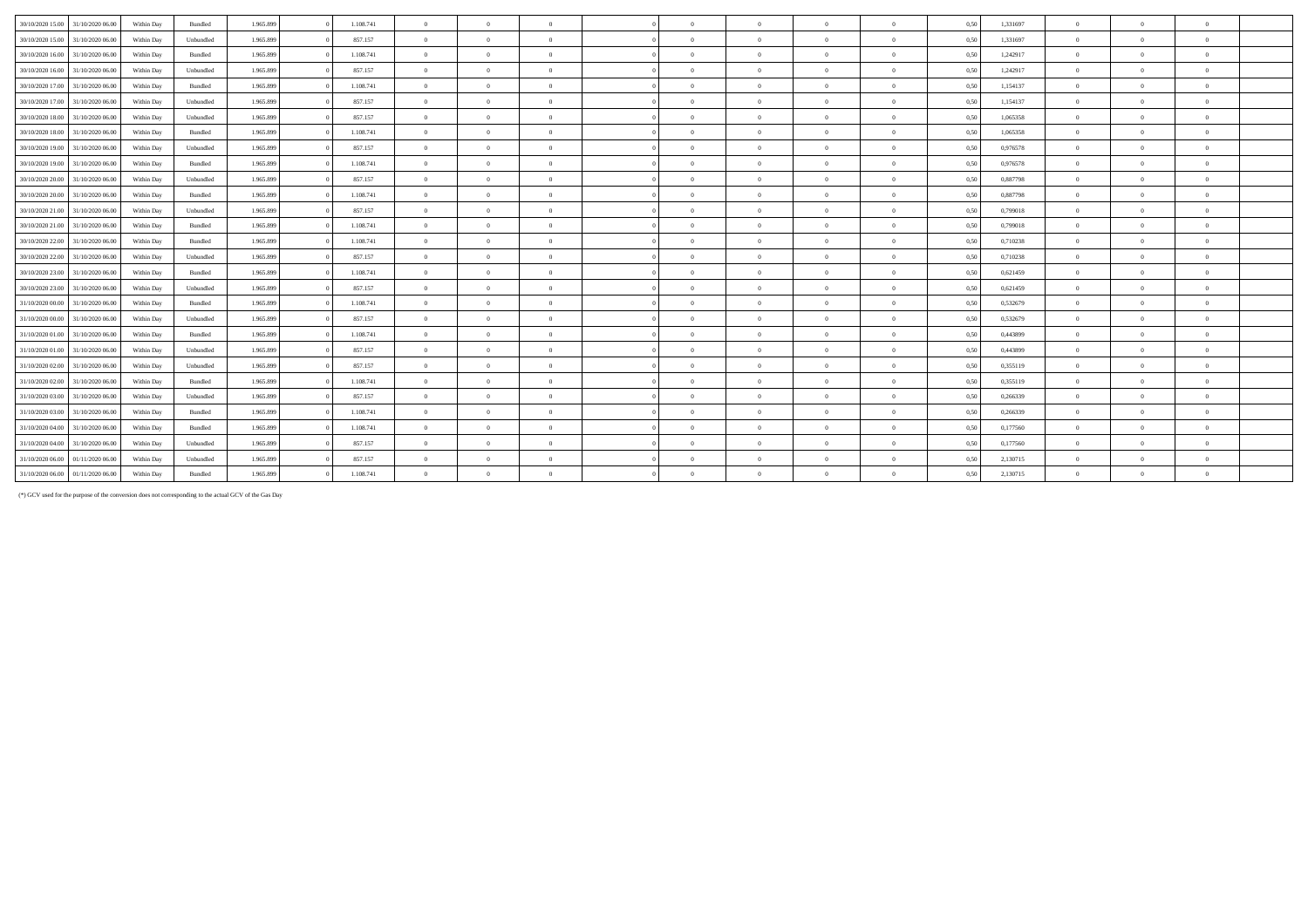| 30/10/2020 15:00<br>31/10/2020 06:00 | Within Day | Bundled   | 1.965.899 | 1.108.741 | $\Omega$       | $\theta$       | $\Omega$       | $\Omega$       | $\Omega$       | $\Omega$       | $\Omega$       | 0,50 | 1,331697 | $\Omega$       |                |              |  |
|--------------------------------------|------------|-----------|-----------|-----------|----------------|----------------|----------------|----------------|----------------|----------------|----------------|------|----------|----------------|----------------|--------------|--|
| 30/10/2020 15:00 31/10/2020 06:00    | Within Day | Unbundled | 1.965.899 | 857.157   | $\overline{0}$ | $\Omega$       | $\overline{0}$ | $\Omega$       | $\overline{0}$ | $\Omega$       | $\theta$       | 0,50 | 1,331697 | $\overline{0}$ |                | $\mathbf{a}$ |  |
| 30/10/2020 16:00<br>31/10/2020 06.00 | Within Day | Bundled   | 1.965.899 | 1.108.741 | $\overline{0}$ | $\Omega$       | $\Omega$       | $\Omega$       | $\Omega$       | $\Omega$       | $\theta$       | 0,50 | 1,242917 | $\overline{0}$ |                |              |  |
| 30/10/2020 16:00<br>31/10/2020 06.00 | Within Day | Unbundled | 1.965.899 | 857.157   | $\overline{0}$ | $\overline{0}$ | $\overline{0}$ | $\Omega$       | $\Omega$       | $\theta$       | $\overline{0}$ | 0.50 | 1,242917 | $\overline{0}$ |                | $\theta$     |  |
| 30/10/2020 17:00<br>31/10/2020 06.00 | Within Day | Bundled   | 1.965.899 | 1.108.741 | $\overline{0}$ | $\Omega$       | $\Omega$       | $\Omega$       | $\Omega$       | $\Omega$       | $\mathbf{a}$   | 0,50 | 1,154137 | $\Omega$       |                |              |  |
| 30/10/2020 17.00 31/10/2020 06.00    | Within Day | Unbundled | 1.965.899 | 857.157   | $\overline{0}$ | $\Omega$       | $\overline{0}$ | $\theta$       | $\theta$       | $\theta$       | $\overline{0}$ | 0,50 | 1,154137 | $\overline{0}$ | $\Omega$       | $\theta$     |  |
| 30/10/2020 18:00<br>31/10/2020 06.00 | Within Day | Unbundled | 1.965.899 | 857.157   | $\overline{0}$ | $\Omega$       | $\overline{0}$ | $\Omega$       | $\theta$       | $\Omega$       | $\theta$       | 0.50 | 1.065358 | $\overline{0}$ |                | $\theta$     |  |
| 30/10/2020 18:00<br>31/10/2020 06.00 | Within Day | Bundled   | 1.965.899 | 1.108.741 | $\overline{0}$ | $\Omega$       | $\overline{0}$ | $\Omega$       | $\Omega$       | $\overline{0}$ | $\theta$       | 0.50 | 1.065358 | $\overline{0}$ |                |              |  |
| 30/10/2020 19:00<br>31/10/2020 06.00 | Within Day | Unbundled | 1.965.899 | 857.157   | $\overline{0}$ | $\Omega$       | $\Omega$       | $\Omega$       | $\Omega$       | $\Omega$       | $\theta$       | 0.50 | 0.976578 | $\Omega$       |                |              |  |
| 30/10/2020 19:00<br>31/10/2020 06.00 | Within Day | Bundled   | 1.965.899 | 1.108.741 | $\overline{0}$ | $\Omega$       | $\overline{0}$ | $\theta$       | $\theta$       | $\overline{0}$ | $\overline{0}$ | 0,50 | 0,976578 | $\overline{0}$ | $^{\circ}$     | $\theta$     |  |
| 30/10/2020 20:00<br>31/10/2020 06.00 | Within Day | Unbundled | 1.965.899 | 857.157   | $\overline{0}$ | $\overline{0}$ | $\overline{0}$ | $\overline{0}$ | $\overline{0}$ | $\overline{0}$ | $\overline{0}$ | 0,50 | 0,887798 | $\overline{0}$ | $\overline{0}$ | $\bf{0}$     |  |
| 30/10/2020 20:00<br>31/10/2020 06.00 | Within Day | Bundled   | 1.965.899 | 1.108.741 | $\overline{0}$ | $\overline{0}$ | $\overline{0}$ | $\overline{0}$ | $\bf{0}$       | $\overline{0}$ | $\overline{0}$ | 0,50 | 0,887798 | $\overline{0}$ | $\Omega$       | $^{\circ}$   |  |
| 30/10/2020 21:00<br>31/10/2020 06.00 | Within Day | Unbundled | 1.965.899 | 857.157   | $\overline{0}$ | $\Omega$       | $\overline{0}$ | $\Omega$       | $\Omega$       | $\theta$       | $\Omega$       | 0,50 | 0,799018 | $\overline{0}$ |                | $\theta$     |  |
| 30/10/2020 21.00<br>31/10/2020 06.00 | Within Day | Bundled   | 1.965.899 | 1.108.741 | $\overline{0}$ | $\Omega$       | $\Omega$       | $\Omega$       | $\Omega$       | $\Omega$       | $\theta$       | 0,50 | 0,799018 | $\theta$       |                |              |  |
| 30/10/2020 22.00<br>31/10/2020 06.00 | Within Day | Bundled   | 1.965.899 | 1.108.741 | $\overline{0}$ | $\Omega$       | $\overline{0}$ | $\Omega$       | $\theta$       | $\Omega$       | $\theta$       | 0,50 | 0,710238 | $\overline{0}$ | $\Omega$       | $\theta$     |  |
| 30/10/2020 22.00<br>31/10/2020 06.00 | Within Day | Unbundled | 1.965.899 | 857.157   | $\overline{0}$ | $\Omega$       | $\overline{0}$ | $\Omega$       | $\Omega$       | $\Omega$       | $\mathbf{a}$   | 0,50 | 0,710238 | $\overline{0}$ |                | $\theta$     |  |
| 30/10/2020 23.00<br>31/10/2020 06.00 | Within Day | Bundled   | 1.965.899 | 1.108.741 | $\overline{0}$ | $\Omega$       | $\overline{0}$ | $\Omega$       | $\Omega$       | $\Omega$       | $\overline{0}$ | 0,50 | 0,621459 | $\overline{0}$ |                | $\sqrt{2}$   |  |
| 30/10/2020 23.00<br>31/10/2020 06.00 | Within Day | Unbundled | 1.965.899 | 857.157   | $\overline{0}$ | $\Omega$       | $\overline{0}$ | $\Omega$       | $\Omega$       | $\Omega$       | $\theta$       | 0,50 | 0,621459 | $\Omega$       |                |              |  |
| 31/10/2020 00:00<br>31/10/2020 06.00 | Within Day | Bundled   | 1.965.899 | 1.108.741 | $\overline{0}$ | $\Omega$       | $\overline{0}$ | $\Omega$       | $\Omega$       | $\overline{0}$ | $\overline{0}$ | 0,50 | 0,532679 | $\overline{0}$ |                |              |  |
| 31/10/2020 00.00<br>31/10/2020 06.00 | Within Day | Unbundled | 1.965.899 | 857.157   | $\overline{0}$ | $\Omega$       | $\overline{0}$ | $\Omega$       | $\theta$       | $\theta$       | $\overline{0}$ | 0.50 | 0.532679 | $\overline{0}$ |                | $\theta$     |  |
| 31/10/2020 01.00 31/10/2020 06.00    | Within Day | Bundled   | 1.965.899 | 1.108.741 | $\overline{0}$ | $\Omega$       | $\overline{0}$ | $\Omega$       | $\theta$       | $\theta$       | $\overline{0}$ | 0.50 | 0.443899 | $\overline{0}$ |                |              |  |
| 31/10/2020 01.00<br>31/10/2020 06.00 | Within Day | Unbundled | 1.965.899 | 857.157   | $\overline{0}$ | $\overline{0}$ | $\overline{0}$ | $\theta$       | $\Omega$       | $\theta$       | $\theta$       | 0.50 | 0.443899 | $\overline{0}$ | $\Omega$       | $\theta$     |  |
| 31/10/2020 02:00<br>31/10/2020 06.00 | Within Day | Unbundled | 1.965.899 | 857.157   | $\overline{0}$ | $\overline{0}$ | $\overline{0}$ | $\overline{0}$ | $\theta$       | $\overline{0}$ | $\overline{0}$ | 0.50 | 0,355119 | $\overline{0}$ | $\Omega$       | $\theta$     |  |
| 31/10/2020 02.00<br>31/10/2020 06.00 | Within Day | Bundled   | 1.965.899 | 1.108.741 | $\overline{0}$ | $\overline{0}$ | $\overline{0}$ | $\overline{0}$ | $\bf{0}$       | $\overline{0}$ | $\overline{0}$ | 0.50 | 0.355119 | $\overline{0}$ | $\Omega$       | $\theta$     |  |
| 31/10/2020 03:00<br>31/10/2020 06.00 | Within Day | Unbundled | 1.965.899 | 857.157   | $\overline{0}$ | $\overline{0}$ | $\overline{0}$ | $\overline{0}$ | $\overline{0}$ | $\overline{0}$ | $\overline{0}$ | 0,50 | 0,266339 | $\overline{0}$ | $^{\circ}$     | $\theta$     |  |
| 31/10/2020 03:00<br>31/10/2020 06.00 | Within Day | Bundled   | 1.965.899 | 1.108.741 | $\overline{0}$ | $\Omega$       | $\overline{0}$ | $\Omega$       | $\Omega$       | $\theta$       | $\overline{0}$ | 0,50 | 0,266339 | $\overline{0}$ | $\Omega$       | $^{\circ}$   |  |
| 31/10/2020 04:00<br>31/10/2020 06.00 | Within Day | Bundled   | 1.965.899 | 1.108.741 | $\overline{0}$ | $\overline{0}$ | $\overline{0}$ | $\Omega$       | $\Omega$       | $\theta$       | $\theta$       | 0,50 | 0,177560 | $\overline{0}$ | $\Omega$       | $\mathbf{a}$ |  |
| 31/10/2020 04:00<br>31/10/2020 06.00 | Within Day | Unbundled | 1.965.899 | 857.157   | $\overline{0}$ | $\Omega$       | $\Omega$       | $\Omega$       | $\Omega$       | $\Omega$       | $\theta$       | 0,50 | 0,177560 | $\overline{0}$ |                | $\theta$     |  |
| 31/10/2020 06.00<br>01/11/2020 06.00 | Within Day | Unbundled | 1.965.899 | 857.157   | $\Omega$       | $\Omega$       | $\Omega$       | $\Omega$       | $\Omega$       | $\Omega$       | $\Omega$       | 0,50 | 2,130715 | $\Omega$       |                |              |  |
| 31/10/2020 06.00 01/11/2020 06.00    | Within Day | Bundled   | 1.965.899 | 1.108.741 | $\Omega$       | $\Omega$       | $\Omega$       | $\Omega$       |                |                |                | 0,50 | 2,130715 | $\Omega$       |                |              |  |

(\*) GCV used for the purpose of the conversion does not corresponding to the actual GCV of the Gas Day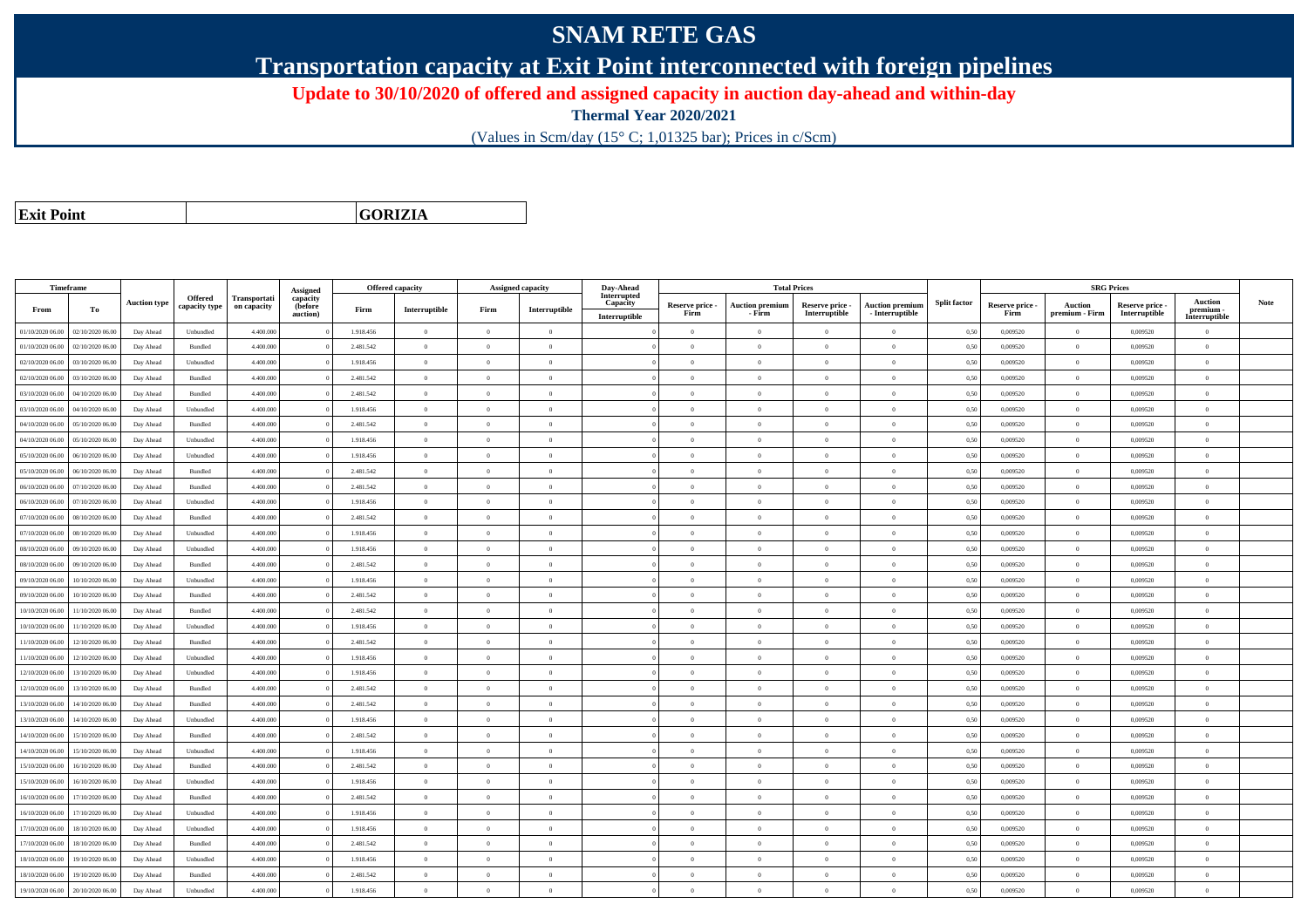## **SNAM RETE GAS**

**Transportation capacity at Exit Point interconnected with foreign pipelines**

**Update to 30/10/2020 of offered and assigned capacity in auction day-ahead and within-day**

**Thermal Year 2020/2021**

(Values in Scm/day (15° C; 1,01325 bar); Prices in c/Scm)

**Exit Point**

**GORIZIA**

|                  | Timeframe        |                     |                                 |                                    | Assigned                        | <b>Offered capacity</b> |                |                | Assigned capacity | Day-Ahead                                |                         |                                  | <b>Total Prices</b>              |                                           |                     |                         |                           | <b>SRG Prices</b>                |                                              |             |
|------------------|------------------|---------------------|---------------------------------|------------------------------------|---------------------------------|-------------------------|----------------|----------------|-------------------|------------------------------------------|-------------------------|----------------------------------|----------------------------------|-------------------------------------------|---------------------|-------------------------|---------------------------|----------------------------------|----------------------------------------------|-------------|
| From             | To               | <b>Auction type</b> | <b>Offered</b><br>capacity type | <b>Transportati</b><br>on capacity | capacity<br>(before<br>auction) | Firm                    | Interruptible  | Firm           | Interruptible     | Interrupted<br>Capacity<br>Interruptible | Reserve price -<br>Firm | <b>Auction premium</b><br>- Firm | Reserve price -<br>Interruptible | <b>Auction premium</b><br>- Interruptible | <b>Split factor</b> | Reserve price -<br>Firm | Auction<br>premium - Firm | Reserve price -<br>Interruptible | <b>Auction</b><br>premium -<br>Interruptible | <b>Note</b> |
| 01/10/2020 06.00 | 02/10/2020 06.00 | Day Ahead           | Unbundled                       | 4.400.000                          |                                 | 1.918.456               | $\overline{0}$ | $\overline{0}$ | $\theta$          |                                          | $\theta$                | $\overline{0}$                   | $\overline{0}$                   | $\overline{0}$                            | 0,50                | 0,009520                | $\theta$                  | 0,009520                         | $\overline{0}$                               |             |
| 01/10/2020 06.00 | 02/10/2020 06.00 | Day Ahead           | Bundled                         | 4.400.000                          |                                 | 2.481.542               | $\overline{0}$ | $\theta$       | $\Omega$          |                                          | $\Omega$                |                                  | $\Omega$                         | $\Omega$                                  | 0,50                | 0,009520                | $\overline{0}$            | 0,009520                         | $\overline{0}$                               |             |
| 02/10/2020 06.00 | 03/10/2020 06.00 | Day Ahead           | Unbundled                       | 4.400.000                          |                                 | 1.918.456               | $\overline{0}$ | $\overline{0}$ | $\Omega$          |                                          | $\theta$                | $\theta$                         | $\overline{0}$                   | $\bf{0}$                                  | 0,50                | 0,009520                | $\,$ 0 $\,$               | 0,009520                         | $\overline{0}$                               |             |
| 02/10/2020 06.00 | 03/10/2020 06.00 | Day Ahead           | Bundled                         | 4.400.000                          |                                 | 2.481.542               | $\overline{0}$ | $\overline{0}$ | $\overline{0}$    |                                          | $\theta$                | $\overline{0}$                   | $\overline{0}$                   | $\overline{0}$                            | 0,50                | 0,009520                | $\bf{0}$                  | 0,009520                         | $\overline{0}$                               |             |
| 03/10/2020 06:00 | 04/10/2020 06.00 | Day Ahead           | Bundled                         | 4,400,000                          |                                 | 2.481.542               | $\overline{0}$ | $\Omega$       | $\Omega$          |                                          | $\theta$                | $\theta$                         | $\overline{0}$                   | $\bf{0}$                                  | 0,50                | 0.009520                | $\mathbf{0}$              | 0.009520                         | $\theta$                                     |             |
| 03/10/2020 06.0  | 04/10/2020 06.0  | Day Ahead           | Unbundled                       | 4.400.000                          |                                 | 1.918.456               | $\overline{0}$ | $\overline{0}$ | $\theta$          |                                          | $\theta$                | $\theta$                         | $\overline{0}$                   | $\bf{0}$                                  | 0,50                | 0,009520                | $\theta$                  | 0,009520                         | $\overline{0}$                               |             |
| 04/10/2020 06.00 | 05/10/2020 06.00 | Day Ahead           | Bundled                         | 4.400.000                          |                                 | 2.481.542               | $\overline{0}$ | $\overline{0}$ | $\overline{0}$    |                                          | $\theta$                | $\theta$                         | $\overline{0}$                   | $\bf{0}$                                  | 0,50                | 0,009520                | $\mathbf{0}$              | 0,009520                         | $\overline{0}$                               |             |
| 04/10/2020 06.00 | 05/10/2020 06.00 | Day Ahead           | Unbundled                       | 4.400.000                          |                                 | 1.918.456               | $\overline{0}$ | $\Omega$       | $\Omega$          |                                          | $\theta$                | $\theta$                         | $\overline{0}$                   | $\bf{0}$                                  | 0,50                | 0,009520                | $\overline{0}$            | 0,009520                         | $\theta$                                     |             |
| 05/10/2020 06:00 | 06/10/2020 06.00 | Day Ahead           | Unbundled                       | 4.400.000                          |                                 | 1.918.456               | $\overline{0}$ | $\Omega$       | $\Omega$          |                                          | $\Omega$                |                                  | $\Omega$                         | $\Omega$                                  | 0,50                | 0,009520                | $\Omega$                  | 0,009520                         | $\theta$                                     |             |
| 05/10/2020 06.00 | 06/10/2020 06.00 | Day Ahead           | Bundled                         | 4.400.000                          |                                 | 2.481.542               | $\overline{0}$ | $\overline{0}$ | $\Omega$          |                                          | $\theta$                | $\theta$                         | $\Omega$                         | $\overline{0}$                            | 0,50                | 0,009520                | $\mathbf{0}$              | 0,009520                         | $\overline{0}$                               |             |
| 06/10/2020 06.00 | 07/10/2020 06.00 | Day Ahead           | Bundled                         | 4.400.000                          |                                 | 2.481.542               | $\overline{0}$ | $\overline{0}$ | $\overline{0}$    |                                          | $\theta$                | $\theta$                         | $\overline{0}$                   | $\bf{0}$                                  | 0,50                | 0,009520                | $\mathbf{0}$              | 0,009520                         | $\overline{0}$                               |             |
| 06/10/2020 06:00 | 07/10/2020 06:00 | Day Ahead           | Unbundled                       | 4.400,000                          |                                 | 1.918.456               | $\overline{0}$ | $\Omega$       | $\Omega$          |                                          | $\Omega$                | $\theta$                         | $\Omega$                         | $\overline{0}$                            | 0,50                | 0.009520                | $\overline{0}$            | 0.009520                         | $\theta$                                     |             |
| 07/10/2020 06.00 | 08/10/2020 06.00 | Day Ahead           | Bundled                         | 4.400.000                          |                                 | 2.481.542               | $\overline{0}$ | $\overline{0}$ | $\theta$          |                                          | $\theta$                | $\theta$                         | $\theta$                         | $\bf{0}$                                  | 0,50                | 0,009520                | $\mathbf{0}$              | 0,009520                         | $\overline{0}$                               |             |
| 07/10/2020 06.00 | 08/10/2020 06.00 | Day Ahead           | Unbundled                       | 4.400.000                          |                                 | 1.918.456               | $\overline{0}$ | $\Omega$       | $\Omega$          |                                          | $\theta$                | $\theta$                         | $\overline{0}$                   | $\bf{0}$                                  | 0,50                | 0,009520                | $\mathbf{0}$              | 0,009520                         | $\overline{0}$                               |             |
| 08/10/2020 06:00 | 09/10/2020 06.00 | Day Ahead           | Unbundled                       | 4.400.000                          |                                 | 1.918.456               | $\overline{0}$ | $^{\circ}$     | $\Omega$          |                                          | $\theta$                | $\mathbf{a}$                     | $\Omega$                         | $\theta$                                  | 0,50                | 0.009520                | $\mathbf{0}$              | 0,009520                         | $\theta$                                     |             |
| 08/10/2020 06:00 | 09/10/2020 06.00 | Day Ahead           | Bundled                         | 4.400.000                          |                                 | 2.481.542               | $\overline{0}$ | $\Omega$       | $\Omega$          |                                          | $\Omega$                | $\theta$                         | $\Omega$                         | $\theta$                                  | 0,50                | 0,009520                | $\theta$                  | 0,009520                         | $\theta$                                     |             |
| 09/10/2020 06:00 | 10/10/2020 06:00 | Day Ahead           | Unbundled                       | 4,400,000                          |                                 | 1.918.456               | $\overline{0}$ | $\overline{0}$ | $\Omega$          |                                          | $\theta$                | $\theta$                         | $\overline{0}$                   | $\theta$                                  | 0,50                | 0.009520                | $\mathbf{0}$              | 0.009520                         | $\theta$                                     |             |
| 09/10/2020 06.00 | 10/10/2020 06.00 | Day Ahead           | Bundled                         | 4.400.000                          |                                 | 2.481.542               | $\overline{0}$ | $\overline{0}$ | $\overline{0}$    |                                          | $\theta$                | $\theta$                         | $\overline{0}$                   | $\bf{0}$                                  | 0,50                | 0,009520                | $\mathbf{0}$              | 0,009520                         | $\overline{0}$                               |             |
| 10/10/2020 06:00 | 11/10/2020 06:00 | Day Ahead           | Bundled                         | 4,400,000                          |                                 | 2.481.542               | $\overline{0}$ | $\Omega$       | $\theta$          |                                          | $\theta$                | $\theta$                         | $\theta$                         | $\theta$                                  | 0,50                | 0.009520                | $\mathbf{0}$              | 0.009520                         | $\theta$                                     |             |
| 10/10/2020 06.00 | 11/10/2020 06.00 | Day Ahead           | Unbundled                       | 4,400,000                          |                                 | 1.918.456               | $\overline{0}$ | $\Omega$       | $\Omega$          |                                          | $\theta$                | $\theta$                         | $\overline{0}$                   | $\theta$                                  | 0,50                | 0.009520                | $\mathbf{0}$              | 0.009520                         | $\theta$                                     |             |
| 11/10/2020 06:00 | 12/10/2020 06:00 | Day Ahead           | Bundled                         | 4.400.000                          |                                 | 2.481.542               | $\overline{0}$ | $\Omega$       | $\Omega$          |                                          | $\theta$                | $\theta$                         | $\Omega$                         | $\theta$                                  | 0,50                | 0,009520                | $\mathbf{0}$              | 0,009520                         | $\theta$                                     |             |
| 11/10/2020 06:00 | 12/10/2020 06:00 | Day Ahead           | Unbundled                       | 4.400,000                          |                                 | 1.918.456               | $\overline{0}$ | $\Omega$       | $\Omega$          |                                          | $\theta$                | $\theta$                         | $\Omega$                         | $\theta$                                  | 0,50                | 0.009520                | $\theta$                  | 0.009520                         | $\theta$                                     |             |
| 12/10/2020 06:00 | 13/10/2020 06.00 | Day Ahead           | Unbundled                       | 4.400.000                          |                                 | 1.918.456               | $\overline{0}$ | $\overline{0}$ | $\Omega$          |                                          | $\theta$                | $\theta$                         | $\Omega$                         | $\bf{0}$                                  | 0,50                | 0,009520                | $\mathbf{0}$              | 0,009520                         | $\overline{0}$                               |             |
| 12/10/2020 06:00 | 13/10/2020 06:00 | Day Ahead           | Bundled                         | 4,400,000                          |                                 | 2.481.542               | $\overline{0}$ | $\overline{0}$ | $\Omega$          |                                          | $\theta$                | $\theta$                         | $\overline{0}$                   | $\theta$                                  | 0.50                | 0.009520                | $\Omega$                  | 0.009520                         | $\theta$                                     |             |
| 13/10/2020 06.00 | 14/10/2020 06.00 | Day Ahead           | Bundled                         | 4.400.000                          |                                 | 2.481.542               | $\overline{0}$ | $\overline{0}$ | $\Omega$          |                                          | $\overline{0}$          | $\theta$                         | $\overline{0}$                   | $\overline{0}$                            | 0,50                | 0,009520                | $\mathbf{0}$              | 0,009520                         | $\overline{0}$                               |             |
| 13/10/2020 06:00 | 14/10/2020 06.00 | Day Ahead           | Unbundled                       | 4.400.000                          |                                 | 1.918.456               | $\overline{0}$ | $\overline{0}$ | $\theta$          |                                          | $\theta$                | $\overline{0}$                   | $\overline{0}$                   | $\bf{0}$                                  | 0,50                | 0,009520                | $\overline{0}$            | 0,009520                         | $\overline{0}$                               |             |
| 14/10/2020 06.00 | 15/10/2020 06.00 | Day Ahead           | Bundled                         | 4,400,000                          |                                 | 2.481.542               | $\overline{0}$ | $\overline{0}$ | $\overline{0}$    |                                          | $\overline{0}$          | $\theta$                         | $\overline{0}$                   | $\overline{0}$                            | 0,50                | 0.009520                | $\overline{0}$            | 0.009520                         | $\overline{0}$                               |             |
| 14/10/2020 06.00 | 15/10/2020 06.00 | Day Ahead           | Unbundled                       | 4.400.000                          |                                 | 1.918.456               | $\overline{0}$ | $\overline{0}$ | $\theta$          |                                          | $\theta$                | $\overline{0}$                   | $\theta$                         | $\bf{0}$                                  | 0,50                | 0,009520                | $\overline{0}$            | 0.009520                         | $\overline{0}$                               |             |
| 15/10/2020 06:00 | 16/10/2020 06.00 | Day Ahead           | Bundled                         | 4.400.000                          |                                 | 2.481.542               | $\overline{0}$ | $\overline{0}$ | $\theta$          |                                          | $\theta$                | $\theta$                         | $\overline{0}$                   | $\bf{0}$                                  | 0,50                | 0,009520                | $\mathbf{0}$              | 0,009520                         | $\overline{0}$                               |             |
| 15/10/2020 06.00 | 16/10/2020 06.00 | Day Ahead           | Unbundled                       | 4.400.000                          |                                 | 1.918.456               | $\overline{0}$ | $\overline{0}$ | $\overline{0}$    |                                          | $\theta$                | $\theta$                         | $\overline{0}$                   | $\bf{0}$                                  | 0,50                | 0,009520                | $\,0\,$                   | 0,009520                         | $\overline{0}$                               |             |
| 16/10/2020 06:00 | 17/10/2020 06.00 | Day Ahead           | Bundled                         | 4.400.000                          |                                 | 2.481.542               | $\overline{0}$ | $\overline{0}$ | $\overline{0}$    |                                          | $\theta$                | $\theta$                         | $\overline{0}$                   | $\overline{0}$                            | 0,50                | 0,009520                | $\mathbf{0}$              | 0,009520                         | $\overline{0}$                               |             |
| 16/10/2020 06:00 | 17/10/2020 06.00 | Day Ahead           | Unbundled                       | 4.400.000                          |                                 | 1.918.456               | $\overline{0}$ | $\overline{0}$ | $\overline{0}$    |                                          | $\theta$                | $\theta$                         | $\overline{0}$                   | $\overline{0}$                            | 0,50                | 0.009520                | $\bf{0}$                  | 0.009520                         | $\theta$                                     |             |
| 17/10/2020 06.00 | 18/10/2020 06.00 | Day Ahead           | Unbundled                       | 4.400.000                          |                                 | 1.918.456               | $\bf{0}$       | $\overline{0}$ | $\theta$          |                                          | $\theta$                | $\theta$                         | $\overline{0}$                   | $\bf{0}$                                  | 0,50                | 0,009520                | $\theta$                  | 0,009520                         | $\overline{0}$                               |             |
| 17/10/2020 06.00 | 18/10/2020 06:00 | Day Ahead           | Bundled                         | 4.400.000                          |                                 | 2.481.542               | $\overline{0}$ | $\Omega$       | $\overline{0}$    |                                          | $\theta$                | $\theta$                         | $\Omega$                         | $\theta$                                  | 0,50                | 0,009520                | $\mathbf{0}$              | 0,009520                         | $\theta$                                     |             |
| 18/10/2020 06:00 | 19/10/2020 06:00 | Day Ahead           | Unbundled                       | 4.400.000                          |                                 | 1.918.456               | $\overline{0}$ | $\Omega$       | $\Omega$          |                                          | $\theta$                | $\theta$                         | $\overline{0}$                   | $\bf{0}$                                  | 0,50                | 0,009520                | $\mathbf{0}$              | 0,009520                         | $\theta$                                     |             |
| 18/10/2020 06:00 | 19/10/2020 06.00 | Day Ahead           | Bundled                         | 4.400.000                          |                                 | 2.481.542               | $\overline{0}$ | $\Omega$       | $\Omega$          |                                          | $\Omega$                |                                  | $\Omega$                         | $\Omega$                                  | 0,50                | 0,009520                | $\theta$                  | 0,009520                         | $\theta$                                     |             |
| 19/10/2020 06:00 | 20/10/2020 06:00 | Day Ahead           | Unbundled                       | 4.400.000                          |                                 | 1.918.456               | $\overline{0}$ | $\Omega$       | $\Omega$          |                                          | $\theta$                | $\mathbf{a}$                     | $\Omega$                         | $\Omega$                                  | 0,50                | 0,009520                | $\mathbf{0}$              | 0,009520                         | $\overline{0}$                               |             |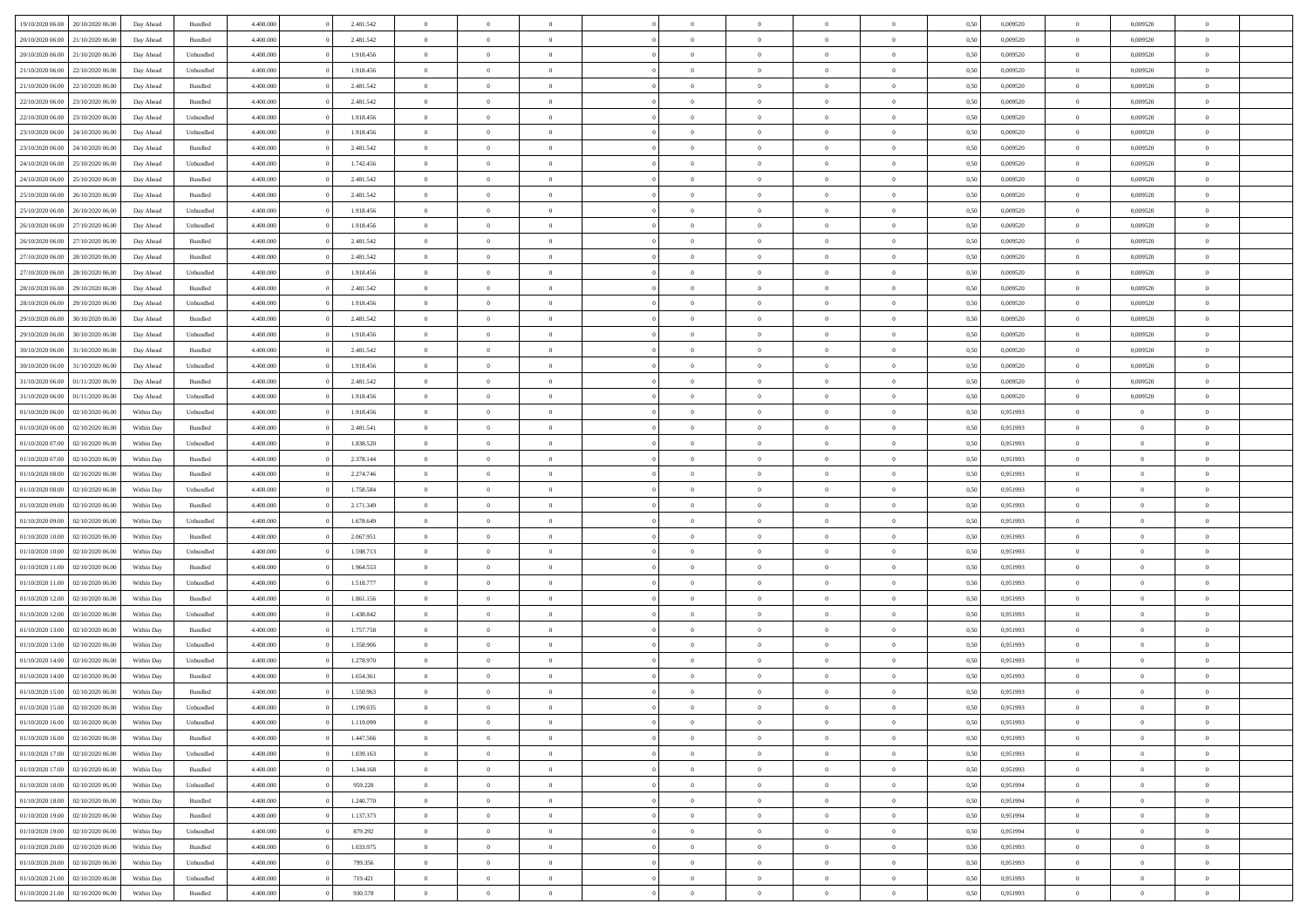| 19/10/2020 06:00 | 20/10/2020 06:00 | Day Ahead  | Bundled            | 4.400.000 | 2.481.542 | $\overline{0}$ | $\Omega$       |                |                | $\Omega$       | $\Omega$       | $\Omega$       | 0,50 | 0,009520 | $\mathbf{0}$   | 0,009520       | $\Omega$       |  |
|------------------|------------------|------------|--------------------|-----------|-----------|----------------|----------------|----------------|----------------|----------------|----------------|----------------|------|----------|----------------|----------------|----------------|--|
| 20/10/2020 06.00 | 21/10/2020 06.00 | Day Ahead  | Bundled            | 4.400.000 | 2.481.542 | $\overline{0}$ | $\overline{0}$ | $\overline{0}$ |                | $\overline{0}$ | $\overline{0}$ | $\theta$       | 0,50 | 0,009520 | $\bf{0}$       | 0,009520       | $\bf{0}$       |  |
| 20/10/2020 06:00 | 21/10/2020 06.00 | Day Ahead  | Unbundled          | 4.400.000 | 1.918.456 | $\overline{0}$ | $\bf{0}$       | $\overline{0}$ | $\overline{0}$ | $\bf{0}$       | $\overline{0}$ | $\bf{0}$       | 0,50 | 0,009520 | $\bf{0}$       | 0,009520       | $\bf{0}$       |  |
| 21/10/2020 06:00 | 22/10/2020 06:00 | Day Ahead  | Unbundled          | 4.400.000 | 1.918.456 | $\overline{0}$ | $\overline{0}$ | $\overline{0}$ | $^{\circ}$     | $\overline{0}$ | $\overline{0}$ | $\bf{0}$       | 0.50 | 0.009520 | $\mathbf{0}$   | 0.009520       | $\overline{0}$ |  |
|                  |                  |            |                    |           |           |                |                |                |                |                |                |                |      |          |                |                |                |  |
| 21/10/2020 06.00 | 22/10/2020 06.00 | Day Ahead  | Bundled            | 4.400.000 | 2.481.542 | $\overline{0}$ | $\overline{0}$ | $\overline{0}$ |                | $\overline{0}$ | $\overline{0}$ | $\theta$       | 0,50 | 0,009520 | $\bf{0}$       | 0,009520       | $\overline{0}$ |  |
| 22/10/2020 06.00 | 23/10/2020 06.00 | Day Ahead  | Bundled            | 4.400.000 | 2.481.542 | $\overline{0}$ | $\bf{0}$       | $\overline{0}$ | $\overline{0}$ | $\bf{0}$       | $\overline{0}$ | $\bf{0}$       | 0,50 | 0,009520 | $\bf{0}$       | 0,009520       | $\bf{0}$       |  |
| 22/10/2020 06:00 | 23/10/2020 06:00 | Day Ahead  | Unbundled          | 4.400.000 | 1.918.456 | $\overline{0}$ | $\overline{0}$ | $\overline{0}$ | $\Omega$       | $\overline{0}$ | $\overline{0}$ | $\bf{0}$       | 0,50 | 0,009520 | $\mathbf{0}$   | 0,009520       | $\overline{0}$ |  |
| 23/10/2020 06.00 | 24/10/2020 06.00 | Day Ahead  | Unbundled          | 4.400.000 | 1.918.456 | $\overline{0}$ | $\overline{0}$ | $\overline{0}$ |                | $\overline{0}$ | $\overline{0}$ | $\theta$       | 0,50 | 0,009520 | $\bf{0}$       | 0,009520       | $\overline{0}$ |  |
|                  |                  |            |                    |           |           |                |                |                |                |                |                |                |      |          |                |                |                |  |
| 23/10/2020 06:00 | 24/10/2020 06.00 | Day Ahead  | Bundled            | 4.400.000 | 2.481.542 | $\overline{0}$ | $\overline{0}$ | $\overline{0}$ | $\overline{0}$ | $\bf{0}$       | $\overline{0}$ | $\bf{0}$       | 0,50 | 0,009520 | $\bf{0}$       | 0,009520       | $\bf{0}$       |  |
| 24/10/2020 06.00 | 25/10/2020 06:00 | Day Ahead  | Unbundled          | 4.400.000 | 1.742.456 | $\overline{0}$ | $\overline{0}$ | $\overline{0}$ | $\Omega$       | $\overline{0}$ | $\overline{0}$ | $\bf{0}$       | 0,50 | 0,009520 | $\overline{0}$ | 0,009520       | $\overline{0}$ |  |
| 24/10/2020 06.00 | 25/10/2020 06.00 | Day Ahead  | Bundled            | 4.400.000 | 2.481.542 | $\overline{0}$ | $\overline{0}$ | $\overline{0}$ | $\overline{0}$ | $\overline{0}$ | $\overline{0}$ | $\theta$       | 0,50 | 0,009520 | $\,$ 0 $\,$    | 0,009520       | $\overline{0}$ |  |
| 25/10/2020 06.00 | 26/10/2020 06.00 | Day Ahead  | Bundled            | 4.400.000 | 2.481.542 | $\overline{0}$ | $\bf{0}$       | $\overline{0}$ | $\overline{0}$ | $\bf{0}$       | $\overline{0}$ | $\bf{0}$       | 0,50 | 0,009520 | $\bf{0}$       | 0,009520       | $\bf{0}$       |  |
| 25/10/2020 06:00 | 26/10/2020 06:00 | Day Ahead  | Unbundled          | 4.400.000 | 1.918.456 | $\overline{0}$ | $\overline{0}$ | $\overline{0}$ | $^{\circ}$     | $\overline{0}$ | $\overline{0}$ | $\bf{0}$       | 0.50 | 0.009520 | $\mathbf{0}$   | 0.009520       | $\overline{0}$ |  |
|                  |                  |            |                    |           |           |                |                |                |                |                |                |                |      |          |                |                |                |  |
| 26/10/2020 06.00 | 27/10/2020 06.00 | Day Ahead  | Unbundled          | 4.400.000 | 1.918.456 | $\overline{0}$ | $\overline{0}$ | $\overline{0}$ |                | $\overline{0}$ | $\overline{0}$ | $\theta$       | 0,50 | 0,009520 | $\bf{0}$       | 0,009520       | $\overline{0}$ |  |
| 26/10/2020 06:00 | 27/10/2020 06.00 | Day Ahead  | Bundled            | 4.400.000 | 2.481.542 | $\overline{0}$ | $\bf{0}$       | $\overline{0}$ | $\overline{0}$ | $\bf{0}$       | $\overline{0}$ | $\bf{0}$       | 0,50 | 0,009520 | $\bf{0}$       | 0,009520       | $\bf{0}$       |  |
| 27/10/2020 06:00 | 28/10/2020 06:00 | Day Ahead  | Bundled            | 4.400.000 | 2.481.542 | $\overline{0}$ | $\overline{0}$ | $\overline{0}$ | $\Omega$       | $\overline{0}$ | $\overline{0}$ | $\bf{0}$       | 0,50 | 0,009520 | $\overline{0}$ | 0,009520       | $\overline{0}$ |  |
| 27/10/2020 06.00 | 28/10/2020 06.00 | Day Ahead  | Unbundled          | 4.400.000 | 1.918.456 | $\overline{0}$ | $\overline{0}$ | $\overline{0}$ | $\overline{0}$ | $\overline{0}$ | $\overline{0}$ | $\theta$       | 0,50 | 0,009520 | $\bf{0}$       | 0,009520       | $\overline{0}$ |  |
|                  |                  |            |                    |           |           |                |                |                |                |                |                |                |      |          |                |                |                |  |
| 28/10/2020 06.00 | 29/10/2020 06.00 | Day Ahead  | Bundled            | 4.400.000 | 2.481.542 | $\overline{0}$ | $\overline{0}$ | $\overline{0}$ | $\overline{0}$ | $\bf{0}$       | $\overline{0}$ | $\bf{0}$       | 0,50 | 0,009520 | $\bf{0}$       | 0,009520       | $\bf{0}$       |  |
| 28/10/2020 06:00 | 29/10/2020 06:00 | Day Ahead  | Unbundled          | 4.400.000 | 1.918.456 | $\overline{0}$ | $\overline{0}$ | $\overline{0}$ | $\Omega$       | $\overline{0}$ | $\overline{0}$ | $\bf{0}$       | 0.50 | 0,009520 | $\mathbf{0}$   | 0,009520       | $\overline{0}$ |  |
| 29/10/2020 06.00 | 30/10/2020 06.00 | Day Ahead  | Bundled            | 4.400.000 | 2.481.542 | $\overline{0}$ | $\overline{0}$ | $\overline{0}$ | $\overline{0}$ | $\overline{0}$ | $\overline{0}$ | $\theta$       | 0,50 | 0,009520 | $\,$ 0 $\,$    | 0,009520       | $\bf{0}$       |  |
| 29/10/2020 06.00 | 30/10/2020 06.00 | Day Ahead  | Unbundled          | 4.400.000 | 1.918.456 | $\overline{0}$ | $\bf{0}$       | $\overline{0}$ | $\overline{0}$ | $\bf{0}$       | $\overline{0}$ | $\bf{0}$       | 0,50 | 0,009520 | $\bf{0}$       | 0,009520       | $\bf{0}$       |  |
| 30/10/2020 06:00 | 31/10/2020 06:00 | Day Ahead  | Bundled            | 4.400.000 | 2.481.542 | $\overline{0}$ | $\overline{0}$ | $\overline{0}$ | $^{\circ}$     | $\overline{0}$ | $\overline{0}$ | $\bf{0}$       | 0.50 | 0.009520 | $\mathbf{0}$   | 0.009520       | $\overline{0}$ |  |
|                  |                  |            |                    |           |           |                |                |                |                |                |                |                |      |          |                |                |                |  |
| 30/10/2020 06.00 | 31/10/2020 06.00 | Day Ahead  | Unbundled          | 4.400.000 | 1.918.456 | $\overline{0}$ | $\overline{0}$ | $\overline{0}$ |                | $\overline{0}$ | $\overline{0}$ | $\theta$       | 0,50 | 0,009520 | $\bf{0}$       | 0,009520       | $\overline{0}$ |  |
| 31/10/2020 06.00 | 01/11/2020 06.00 | Day Ahead  | Bundled            | 4.400.000 | 2.481.542 | $\overline{0}$ | $\bf{0}$       | $\overline{0}$ | $\overline{0}$ | $\bf{0}$       | $\overline{0}$ | $\bf{0}$       | 0,50 | 0,009520 | $\bf{0}$       | 0,009520       | $\bf{0}$       |  |
| 31/10/2020 06:00 | 01/11/2020 06:00 | Day Ahead  | Unbundled          | 4.400.000 | 1.918.456 | $\overline{0}$ | $\overline{0}$ | $\overline{0}$ | $\Omega$       | $\overline{0}$ | $\overline{0}$ | $\bf{0}$       | 0,50 | 0,009520 | $\mathbf{0}$   | 0,009520       | $\overline{0}$ |  |
| 01/10/2020 06.00 | 02/10/2020 06.00 | Within Day | Unbundled          | 4.400.000 | 1.918.456 | $\overline{0}$ | $\overline{0}$ | $\overline{0}$ | $\overline{0}$ | $\overline{0}$ | $\overline{0}$ | $\theta$       | 0,50 | 0,951993 | $\bf{0}$       | $\overline{0}$ | $\bf{0}$       |  |
|                  |                  |            |                    |           |           |                |                |                |                |                |                |                |      |          |                |                |                |  |
| 01/10/2020 06.00 | 02/10/2020 06.00 | Within Day | Bundled            | 4.400.000 | 2.481.541 | $\overline{0}$ | $\overline{0}$ | $\overline{0}$ | $\overline{0}$ | $\overline{0}$ | $\overline{0}$ | $\bf{0}$       | 0,50 | 0,951993 | $\bf{0}$       | $\overline{0}$ | $\bf{0}$       |  |
| 01/10/2020 07:00 | 02/10/2020 06:00 | Within Dav | Unbundled          | 4.400.000 | 1.838.520 | $\overline{0}$ | $\overline{0}$ | $\overline{0}$ | $\Omega$       | $\overline{0}$ | $\overline{0}$ | $\bf{0}$       | 0.50 | 0,951993 | $\mathbf{0}$   | $\overline{0}$ | $\overline{0}$ |  |
| 01/10/2020 07.00 | 02/10/2020 06.00 | Within Day | Bundled            | 4.400.000 | 2.378.144 | $\overline{0}$ | $\overline{0}$ | $\overline{0}$ | $\overline{0}$ | $\overline{0}$ | $\overline{0}$ | $\theta$       | 0,50 | 0,951993 | $\bf{0}$       | $\overline{0}$ | $\bf{0}$       |  |
| 01/10/2020 08.00 | 02/10/2020 06.00 | Within Day | Bundled            | 4.400.000 | 2.274.746 | $\overline{0}$ | $\bf{0}$       | $\overline{0}$ | $\overline{0}$ | $\bf{0}$       | $\overline{0}$ | $\bf{0}$       | 0,50 | 0,951993 | $\bf{0}$       | $\bf{0}$       | $\bf{0}$       |  |
| 01/10/2020 08:00 | 02/10/2020 06.00 | Within Day | Unbundled          | 4,400,000 | 1.758.584 | $\overline{0}$ | $\Omega$       | $\Omega$       | $^{\circ}$     | $\theta$       | $\overline{0}$ | $\theta$       | 0.50 | 0,951993 | $\bf{0}$       | $\Omega$       | $\Omega$       |  |
|                  |                  |            |                    |           |           |                |                |                |                |                |                |                |      |          |                |                |                |  |
| 01/10/2020 09:00 | 02/10/2020 06.00 | Within Day | Bundled            | 4.400.000 | 2.171.349 | $\overline{0}$ | $\overline{0}$ | $\overline{0}$ |                | $\overline{0}$ | $\overline{0}$ | $\theta$       | 0,50 | 0,951993 | $\bf{0}$       | $\overline{0}$ | $\overline{0}$ |  |
| 01/10/2020 09:00 | 02/10/2020 06.00 | Within Day | Unbundled          | 4.400.000 | 1.678.649 | $\overline{0}$ | $\bf{0}$       | $\overline{0}$ | $\overline{0}$ | $\bf{0}$       | $\overline{0}$ | $\bf{0}$       | 0,50 | 0,951993 | $\bf{0}$       | $\bf{0}$       | $\bf{0}$       |  |
| 01/10/2020 10:00 | 02/10/2020 06.00 | Within Day | Bundled            | 4,400,000 | 2.067.951 | $\overline{0}$ | $\Omega$       | $\Omega$       | $\Omega$       | $\theta$       | $\overline{0}$ | $\mathbf{0}$   | 0.50 | 0,951993 | $\mathbf{0}$   | $\overline{0}$ | $\theta$       |  |
| 01/10/2020 10:00 | 02/10/2020 06.00 | Within Day | Unbundled          | 4.400.000 | 1.598.713 | $\overline{0}$ | $\overline{0}$ | $\overline{0}$ | $\overline{0}$ | $\overline{0}$ | $\overline{0}$ | $\theta$       | 0,50 | 0,951993 | $\bf{0}$       | $\overline{0}$ | $\bf{0}$       |  |
|                  |                  |            |                    |           |           |                | $\bf{0}$       | $\overline{0}$ | $\overline{0}$ | $\bf{0}$       |                |                |      |          | $\bf{0}$       | $\overline{0}$ |                |  |
| 01/10/2020 11:00 | 02/10/2020 06.00 | Within Day | Bundled            | 4.400.000 | 1.964.553 | $\overline{0}$ |                |                |                |                | $\overline{0}$ | $\bf{0}$       | 0,50 | 0,951993 |                |                | $\bf{0}$       |  |
| 01/10/2020 11:00 | 02/10/2020 06:00 | Within Day | Unbundled          | 4,400,000 | 1.518.777 | $\overline{0}$ | $\Omega$       | $\Omega$       | $\Omega$       | $\theta$       | $\overline{0}$ | $\mathbf{0}$   | 0.50 | 0,951993 | $\mathbf{0}$   | $\Omega$       | $\theta$       |  |
| 01/10/2020 12:00 | 02/10/2020 06.00 | Within Day | Bundled            | 4.400.000 | 1.861.156 | $\overline{0}$ | $\overline{0}$ | $\overline{0}$ | $\overline{0}$ | $\overline{0}$ | $\overline{0}$ | $\theta$       | 0,50 | 0,951993 | $\,$ 0 $\,$    | $\overline{0}$ | $\bf{0}$       |  |
| 01/10/2020 12.00 | 02/10/2020 06.00 | Within Day | Unbundled          | 4.400.000 | 1.438.842 | $\overline{0}$ | $\bf{0}$       | $\overline{0}$ | $\overline{0}$ | $\bf{0}$       | $\overline{0}$ | $\bf{0}$       | 0,50 | 0,951993 | $\bf{0}$       | $\bf{0}$       | $\bf{0}$       |  |
| 01/10/2020 13:00 | 02/10/2020 06.00 | Within Day | Bundled            | 4,400,000 | 1.757.758 | $\overline{0}$ | $\Omega$       | $\Omega$       | $^{\circ}$     | $\theta$       | $\overline{0}$ | $\theta$       | 0.50 | 0,951993 | $\bf{0}$       | $\overline{0}$ | $\Omega$       |  |
|                  |                  |            |                    |           |           |                |                |                |                |                |                |                |      |          |                |                |                |  |
| 01/10/2020 13:00 | 02/10/2020 06.00 | Within Day | Unbundled          | 4.400.000 | 1.358.906 | $\overline{0}$ | $\overline{0}$ | $\overline{0}$ | $\overline{0}$ | $\overline{0}$ | $\overline{0}$ | $\overline{0}$ | 0,50 | 0,951993 | $\,$ 0 $\,$    | $\overline{0}$ | $\overline{0}$ |  |
| 01/10/2020 14.00 | 02/10/2020 06.00 | Within Day | Unbundled          | 4.400.000 | 1.278.970 | $\overline{0}$ | $\bf{0}$       | $\overline{0}$ | $\overline{0}$ | $\bf{0}$       | $\overline{0}$ | $\bf{0}$       | 0,50 | 0,951993 | $\bf{0}$       | $\bf{0}$       | $\bf{0}$       |  |
| 01/10/2020 14:00 | 02/10/2020 06:00 | Within Day | Bundled            | 4.400,000 | 1.654.361 | $\overline{0}$ | $\Omega$       | $\Omega$       | $^{\circ}$     | $\Omega$       | $\overline{0}$ | $\theta$       | 0.50 | 0,951993 | $\overline{0}$ | $\overline{0}$ | $\theta$       |  |
| 01/10/2020 15.00 | 02/10/2020 06.00 | Within Day | Bundled            | 4.400.000 | 1.550.963 | $\overline{0}$ | $\bf{0}$       | $\overline{0}$ | $\overline{0}$ | $\bf{0}$       | $\overline{0}$ | $\bf{0}$       | 0,50 | 0,951993 | $\bf{0}$       | $\bf{0}$       | $\bf{0}$       |  |
| 01/10/2020 15:00 | 02/10/2020 06.00 | Within Day | Unbundled          | 4.400.000 | 1.199.035 | $\bf{0}$       | $\bf{0}$       |                |                |                |                |                | 0,50 | 0,951993 | $\bf{0}$       |                |                |  |
|                  |                  |            |                    |           |           |                |                |                |                |                |                |                |      |          |                |                |                |  |
| 01/10/2020 16:00 | 02/10/2020 06:00 | Within Day | Unbundled          | 4.400.000 | 1.119.099 | $\overline{0}$ | $\overline{0}$ | $\Omega$       | $\Omega$       | $\overline{0}$ | $\overline{0}$ | $\Omega$       | 0.50 | 0,951993 | $\overline{0}$ | $\overline{0}$ | $\overline{0}$ |  |
| 01/10/2020 16:00 | 02/10/2020 06.00 | Within Day | Bundled            | 4.400.000 | 1.447.566 | $\overline{0}$ | $\,$ 0 $\,$    | $\overline{0}$ | $\overline{0}$ | $\,$ 0         | $\overline{0}$ | $\bf{0}$       | 0,50 | 0,951993 | $\bf{0}$       | $\,$ 0 $\,$    | $\bf{0}$       |  |
| 01/10/2020 17:00 | 02/10/2020 06.00 | Within Day | Unbundled          | 4.400.000 | 1.039.163 | $\overline{0}$ | $\overline{0}$ | $\overline{0}$ | $\overline{0}$ | $\overline{0}$ | $\overline{0}$ | $\bf{0}$       | 0,50 | 0,951993 | $\overline{0}$ | $\overline{0}$ | $\bf{0}$       |  |
| 01/10/2020 17.00 | 02/10/2020 06.00 | Within Day | $\mathbf B$ undled | 4.400,000 | 1.344.168 | $\overline{0}$ | $\overline{0}$ | $\overline{0}$ | $\Omega$       | $\overline{0}$ | $\overline{0}$ | $\mathbf{0}$   | 0.50 | 0,951993 | $\bf{0}$       | $\bf{0}$       | $\bf{0}$       |  |
| 01/10/2020 18:00 | 02/10/2020 06.00 | Within Day | Unbundled          | 4.400.000 | 959.228   | $\overline{0}$ | $\,$ 0 $\,$    | $\overline{0}$ | $\overline{0}$ | $\,$ 0         | $\overline{0}$ | $\bf{0}$       | 0,50 | 0,951994 | $\,0\,$        | $\overline{0}$ | $\bf{0}$       |  |
|                  |                  |            |                    |           |           |                |                |                |                |                |                |                |      |          |                |                |                |  |
| 01/10/2020 18.00 | 02/10/2020 06.00 | Within Day | Bundled            | 4.400.000 | 1.240.770 | $\overline{0}$ | $\overline{0}$ | $\overline{0}$ | $\overline{0}$ | $\overline{0}$ | $\overline{0}$ | $\bf{0}$       | 0,50 | 0,951994 | $\overline{0}$ | $\overline{0}$ | $\bf{0}$       |  |
| 01/10/2020 19:00 | 02/10/2020 06.00 | Within Day | Bundled            | 4.400.000 | 1.137.373 | $\overline{0}$ | $\overline{0}$ | $\overline{0}$ | $\Omega$       | $\overline{0}$ | $\overline{0}$ | $\mathbf{0}$   | 0.50 | 0,951994 | $\,$ 0 $\,$    | $\bf{0}$       | $\overline{0}$ |  |
| 01/10/2020 19:00 | 02/10/2020 06.00 | Within Day | Unbundled          | 4.400.000 | 879.292   | $\overline{0}$ | $\overline{0}$ | $\overline{0}$ | $\overline{0}$ | $\bf{0}$       | $\overline{0}$ | $\bf{0}$       | 0,50 | 0,951994 | $\,0\,$        | $\bf{0}$       | $\bf{0}$       |  |
| 01/10/2020 20.00 | 02/10/2020 06.00 | Within Day | Bundled            | 4.400.000 | 1.033.975 | $\overline{0}$ | $\overline{0}$ | $\overline{0}$ | $\overline{0}$ | $\bf{0}$       | $\overline{0}$ | $\bf{0}$       | 0,50 | 0,951993 | $\overline{0}$ | $\bf{0}$       | $\bf{0}$       |  |
|                  |                  |            |                    | 4.400,000 |           |                | $\overline{0}$ | $\overline{0}$ | $\Omega$       | $\overline{0}$ |                |                | 0.50 |          |                | $\overline{0}$ | $\overline{0}$ |  |
| 01/10/2020 20.00 | 02/10/2020 06.00 | Within Day | Unbundled          |           | 799.356   | $\overline{0}$ |                |                |                |                | $\overline{0}$ | $\mathbf{0}$   |      | 0,951993 | $\bf{0}$       |                |                |  |
| 01/10/2020 21.00 | 02/10/2020 06.00 | Within Day | Unbundled          | 4.400.000 | 719.421   | $\overline{0}$ | $\,$ 0 $\,$    | $\overline{0}$ | $\overline{0}$ | $\,$ 0 $\,$    | $\overline{0}$ | $\bf{0}$       | 0,50 | 0,951993 | $\,0\,$        | $\,$ 0 $\,$    | $\bf{0}$       |  |
| 01/10/2020 21.00 | 02/10/2020 06.00 | Within Day | Bundled            | 4.400.000 | 930.578   | $\overline{0}$ | $\overline{0}$ | $\overline{0}$ | $\overline{0}$ | $\bf{0}$       | $\overline{0}$ | $\bf{0}$       | 0,50 | 0,951993 | $\overline{0}$ | $\overline{0}$ | $\bf{0}$       |  |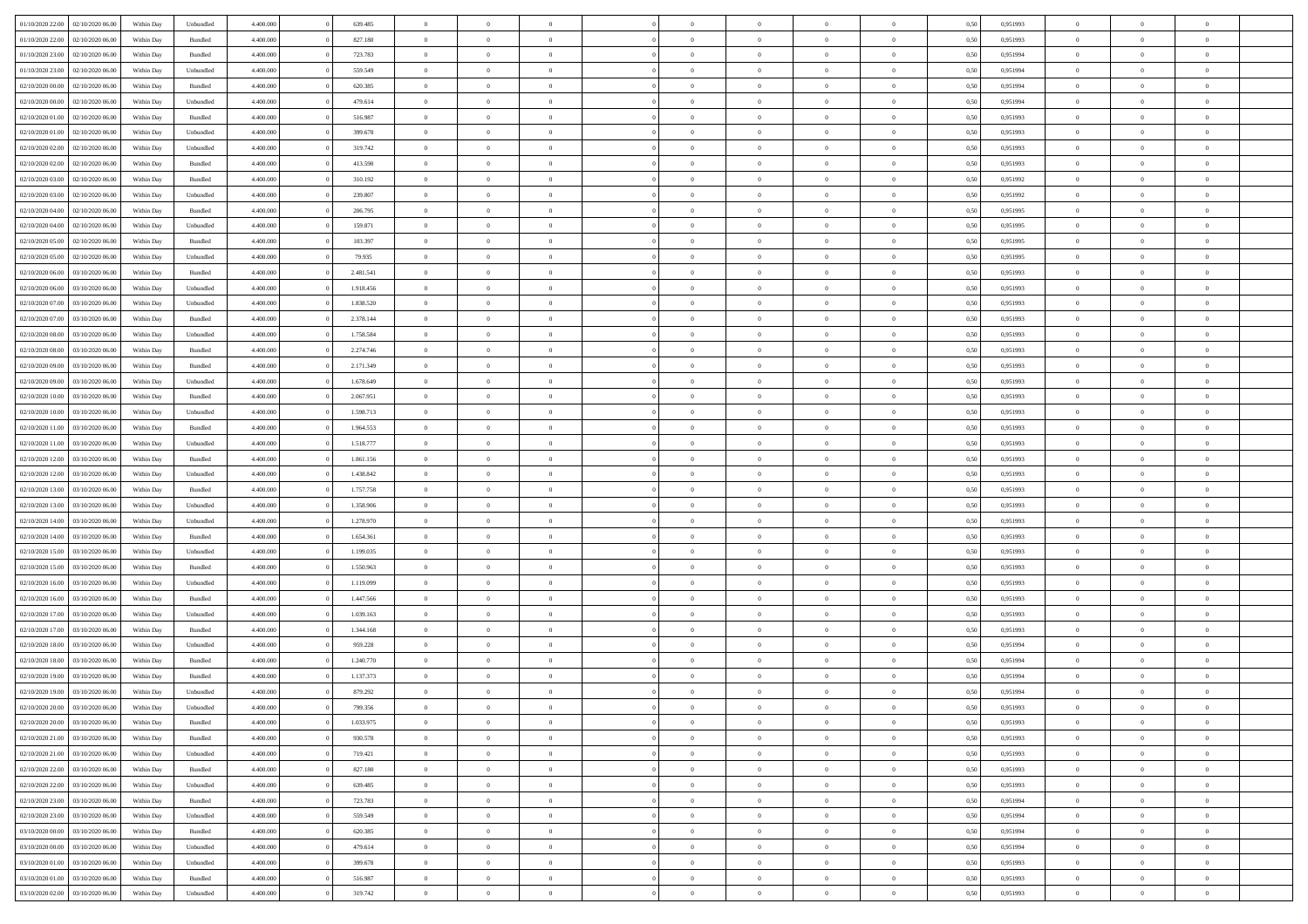| 01/10/2020 22.00                  | 02/10/2020 06.00 | Within Dav | Unbundled          | 4.400.000 | 639.485   | $\overline{0}$ | $\theta$       |                | $\Omega$       | $\Omega$       | $\theta$       | $\theta$       | 0,50 | 0,951993 | $\theta$       | $\overline{0}$ | $\overline{0}$ |  |
|-----------------------------------|------------------|------------|--------------------|-----------|-----------|----------------|----------------|----------------|----------------|----------------|----------------|----------------|------|----------|----------------|----------------|----------------|--|
| 01/10/2020 22.00                  | 02/10/2020 06.00 | Within Day | Bundled            | 4.400.000 | 827.180   | $\overline{0}$ | $\theta$       | $\overline{0}$ | $\overline{0}$ | $\bf{0}$       | $\overline{0}$ | $\bf{0}$       | 0,50 | 0,951993 | $\theta$       | $\overline{0}$ | $\overline{0}$ |  |
| 01/10/2020 23.00                  | 02/10/2020 06.00 | Within Day | Bundled            | 4.400.000 | 723.783   | $\overline{0}$ | $\overline{0}$ | $\overline{0}$ | $\bf{0}$       | $\bf{0}$       | $\bf{0}$       | $\mathbf{0}$   | 0,50 | 0,951994 | $\overline{0}$ | $\overline{0}$ | $\overline{0}$ |  |
| 01/10/2020 23.00                  | 02/10/2020 06:00 | Within Dav | Unbundled          | 4.400.000 | 559.549   | $\overline{0}$ | $\overline{0}$ | $\overline{0}$ | $\overline{0}$ | $\bf{0}$       | $\overline{0}$ | $\overline{0}$ | 0.50 | 0.951994 | $\theta$       | $\theta$       | $\overline{0}$ |  |
| 02/10/2020 00.00                  | 02/10/2020 06.00 | Within Day | Bundled            | 4.400.000 | 620.385   | $\overline{0}$ | $\theta$       | $\overline{0}$ | $\overline{0}$ | $\bf{0}$       | $\overline{0}$ | $\bf{0}$       | 0,50 | 0,951994 | $\theta$       | $\overline{0}$ | $\overline{0}$ |  |
|                                   |                  |            |                    |           |           |                |                |                |                |                |                |                |      |          |                |                |                |  |
| 02/10/2020 00.00                  | 02/10/2020 06.00 | Within Day | Unbundled          | 4.400.000 | 479.614   | $\overline{0}$ | $\overline{0}$ | $\overline{0}$ | $\bf{0}$       | $\overline{0}$ | $\overline{0}$ | $\mathbf{0}$   | 0,50 | 0,951994 | $\overline{0}$ | $\overline{0}$ | $\bf{0}$       |  |
| 02/10/2020 01:00                  | 02/10/2020 06.00 | Within Dav | Bundled            | 4.400.000 | 516.987   | $\overline{0}$ | $\overline{0}$ | $\overline{0}$ | $\overline{0}$ | $\overline{0}$ | $\overline{0}$ | $\overline{0}$ | 0.50 | 0.951993 | $\theta$       | $\overline{0}$ | $\overline{0}$ |  |
| 02/10/2020 01:00                  | 02/10/2020 06.00 | Within Day | Unbundled          | 4.400.000 | 399.678   | $\overline{0}$ | $\theta$       | $\overline{0}$ | $\overline{0}$ | $\bf{0}$       | $\overline{0}$ | $\bf{0}$       | 0,50 | 0,951993 | $\theta$       | $\theta$       | $\overline{0}$ |  |
| 02/10/2020 02.00                  | 02/10/2020 06.00 | Within Day | Unbundled          | 4.400.000 | 319.742   | $\overline{0}$ | $\overline{0}$ | $\overline{0}$ | $\bf{0}$       | $\bf{0}$       | $\bf{0}$       | $\bf{0}$       | 0,50 | 0,951993 | $\,0\,$        | $\overline{0}$ | $\overline{0}$ |  |
| 02/10/2020 02.00                  | 02/10/2020 06:00 | Within Dav | Bundled            | 4.400.000 | 413.590   | $\overline{0}$ | $\overline{0}$ | $\overline{0}$ | $\overline{0}$ | $\overline{0}$ | $\overline{0}$ | $\overline{0}$ | 0.50 | 0.951993 | $\theta$       | $\overline{0}$ | $\overline{0}$ |  |
| 02/10/2020 03:00                  | 02/10/2020 06.00 | Within Day | Bundled            | 4.400.000 | 310.192   | $\overline{0}$ | $\theta$       | $\overline{0}$ | $\overline{0}$ | $\bf{0}$       | $\overline{0}$ | $\bf{0}$       | 0,50 | 0,951992 | $\,$ 0 $\,$    | $\overline{0}$ | $\overline{0}$ |  |
| 02/10/2020 03.00                  | 02/10/2020 06.00 | Within Day | Unbundled          | 4.400.000 | 239.807   | $\overline{0}$ | $\overline{0}$ | $\overline{0}$ | $\bf{0}$       | $\bf{0}$       | $\bf{0}$       | $\bf{0}$       | 0,50 | 0,951992 | $\overline{0}$ | $\overline{0}$ | $\bf{0}$       |  |
|                                   |                  |            |                    |           |           |                |                |                |                |                |                |                |      |          |                |                |                |  |
| 02/10/2020 04:00                  | 02/10/2020 06:00 | Within Day | Bundled            | 4.400.000 | 206,795   | $\overline{0}$ | $\overline{0}$ | $\overline{0}$ | $\overline{0}$ | $\bf{0}$       | $\overline{0}$ | $\overline{0}$ | 0.50 | 0.951995 | $\theta$       | $\theta$       | $\overline{0}$ |  |
| 02/10/2020 04:00                  | 02/10/2020 06.00 | Within Day | Unbundled          | 4.400.000 | 159.871   | $\overline{0}$ | $\theta$       | $\overline{0}$ | $\overline{0}$ | $\bf{0}$       | $\overline{0}$ | $\bf{0}$       | 0,50 | 0,951995 | $\theta$       | $\overline{0}$ | $\overline{0}$ |  |
| 02/10/2020 05.00                  | 02/10/2020 06.00 | Within Day | Bundled            | 4.400.000 | 103.397   | $\overline{0}$ | $\overline{0}$ | $\overline{0}$ | $\bf{0}$       | $\overline{0}$ | $\overline{0}$ | $\mathbf{0}$   | 0,50 | 0,951995 | $\overline{0}$ | $\overline{0}$ | $\bf{0}$       |  |
| 02/10/2020 05:00                  | 02/10/2020 06:00 | Within Dav | Unbundled          | 4.400.000 | 79.935    | $\overline{0}$ | $\overline{0}$ | $\overline{0}$ | $\overline{0}$ | $\overline{0}$ | $\overline{0}$ | $\overline{0}$ | 0.50 | 0.951995 | $\theta$       | $\overline{0}$ | $\overline{0}$ |  |
| 02/10/2020 06.00                  | 03/10/2020 06.00 | Within Day | Bundled            | 4.400.000 | 2.481.541 | $\overline{0}$ | $\theta$       | $\overline{0}$ | $\overline{0}$ | $\bf{0}$       | $\overline{0}$ | $\bf{0}$       | 0,50 | 0,951993 | $\theta$       | $\overline{0}$ | $\overline{0}$ |  |
| 02/10/2020 06.00                  | 03/10/2020 06.00 | Within Day | Unbundled          | 4.400.000 | 1.918.456 | $\overline{0}$ | $\overline{0}$ | $\overline{0}$ | $\bf{0}$       | $\bf{0}$       | $\bf{0}$       | $\bf{0}$       | 0,50 | 0,951993 | $\,0\,$        | $\overline{0}$ | $\overline{0}$ |  |
| 02/10/2020 07:00                  | 03/10/2020 06:00 | Within Dav | Unbundled          | 4.400.000 | 1.838.520 | $\overline{0}$ | $\overline{0}$ | $\overline{0}$ | $\overline{0}$ | $\overline{0}$ | $\overline{0}$ | $\overline{0}$ | 0.50 | 0.951993 | $\theta$       | $\overline{0}$ | $\overline{0}$ |  |
|                                   |                  |            |                    |           |           | $\overline{0}$ |                |                |                |                |                |                |      |          |                |                |                |  |
| 02/10/2020 07:00                  | 03/10/2020 06.00 | Within Day | Bundled            | 4.400.000 | 2.378.144 |                | $\theta$       | $\overline{0}$ | $\overline{0}$ | $\bf{0}$       | $\overline{0}$ | $\bf{0}$       | 0,50 | 0,951993 | $\,$ 0 $\,$    | $\overline{0}$ | $\overline{0}$ |  |
| 02/10/2020 08.00                  | 03/10/2020 06.00 | Within Day | Unbundled          | 4.400.000 | 1.758.584 | $\overline{0}$ | $\overline{0}$ | $\overline{0}$ | $\bf{0}$       | $\bf{0}$       | $\bf{0}$       | $\bf{0}$       | 0,50 | 0,951993 | $\bf{0}$       | $\overline{0}$ | $\bf{0}$       |  |
| 02/10/2020 08:00                  | 03/10/2020 06:00 | Within Dav | Bundled            | 4.400.000 | 2.274.746 | $\overline{0}$ | $\overline{0}$ | $\overline{0}$ | $\overline{0}$ | $\bf{0}$       | $\overline{0}$ | $\overline{0}$ | 0.50 | 0.951993 | $\theta$       | $\overline{0}$ | $\overline{0}$ |  |
| 02/10/2020 09:00                  | 03/10/2020 06.00 | Within Day | Bundled            | 4.400.000 | 2.171.349 | $\overline{0}$ | $\theta$       | $\overline{0}$ | $\overline{0}$ | $\bf{0}$       | $\overline{0}$ | $\bf{0}$       | 0,50 | 0,951993 | $\,$ 0 $\,$    | $\overline{0}$ | $\overline{0}$ |  |
| 02/10/2020 09:00                  | 03/10/2020 06.00 | Within Day | Unbundled          | 4.400.000 | 1.678.649 | $\overline{0}$ | $\overline{0}$ | $\overline{0}$ | $\overline{0}$ | $\overline{0}$ | $\overline{0}$ | $\mathbf{0}$   | 0,50 | 0,951993 | $\bf{0}$       | $\overline{0}$ | $\bf{0}$       |  |
| 02/10/2020 10:00                  | 03/10/2020 06:00 | Within Dav | Bundled            | 4.400.000 | 2.067.951 | $\overline{0}$ | $\overline{0}$ | $\overline{0}$ | $\overline{0}$ | $\overline{0}$ | $\overline{0}$ | $\overline{0}$ | 0.50 | 0.951993 | $\theta$       | $\overline{0}$ | $\overline{0}$ |  |
| 02/10/2020 10:00                  | 03/10/2020 06.00 | Within Day | Unbundled          | 4.400.000 | 1.598.713 | $\overline{0}$ | $\theta$       | $\overline{0}$ | $\overline{0}$ | $\bf{0}$       | $\overline{0}$ | $\bf{0}$       | 0,50 | 0,951993 | $\theta$       | $\overline{0}$ | $\overline{0}$ |  |
|                                   |                  |            |                    |           |           |                |                |                |                |                |                |                |      |          |                |                |                |  |
| 02/10/2020 11:00                  | 03/10/2020 06.00 | Within Day | Bundled            | 4.400.000 | 1.964.553 | $\overline{0}$ | $\overline{0}$ | $\overline{0}$ | $\overline{0}$ | $\bf{0}$       | $\overline{0}$ | $\bf{0}$       | 0,50 | 0,951993 | $\,0\,$        | $\overline{0}$ | $\overline{0}$ |  |
| 02/10/2020 11:00                  | 03/10/2020 06:00 | Within Day | Unbundled          | 4.400.000 | 1.518.777 | $\overline{0}$ | $\overline{0}$ | $\overline{0}$ | $\overline{0}$ | $\overline{0}$ | $\overline{0}$ | $\overline{0}$ | 0.50 | 0.951993 | $\theta$       | $\overline{0}$ | $\overline{0}$ |  |
| 02/10/2020 12:00                  | 03/10/2020 06.00 | Within Day | Bundled            | 4.400.000 | 1.861.156 | $\overline{0}$ | $\theta$       | $\overline{0}$ | $\overline{0}$ | $\bf{0}$       | $\overline{0}$ | $\bf{0}$       | 0,50 | 0,951993 | $\,$ 0 $\,$    | $\overline{0}$ | $\overline{0}$ |  |
| 02/10/2020 12.00                  | 03/10/2020 06.00 | Within Day | Unbundled          | 4.400.000 | 1.438.842 | $\overline{0}$ | $\bf{0}$       | $\overline{0}$ | $\overline{0}$ | $\bf{0}$       | $\overline{0}$ | $\bf{0}$       | 0,50 | 0,951993 | $\bf{0}$       | $\overline{0}$ | $\bf{0}$       |  |
| 02/10/2020 13:00                  | 03/10/2020 06.00 | Within Day | Bundled            | 4.400,000 | 1.757.758 | $\overline{0}$ | $\Omega$       | $\Omega$       | $\Omega$       | $\Omega$       | $\overline{0}$ | $\overline{0}$ | 0,50 | 0,951993 | $\,0\,$        | $\theta$       | $\theta$       |  |
| 02/10/2020 13:00                  | 03/10/2020 06.00 | Within Day | Unbundled          | 4.400.000 | 1.358.906 | $\overline{0}$ | $\theta$       | $\overline{0}$ | $\overline{0}$ | $\bf{0}$       | $\overline{0}$ | $\bf{0}$       | 0,50 | 0,951993 | $\theta$       | $\overline{0}$ | $\overline{0}$ |  |
| 02/10/2020 14:00                  | 03/10/2020 06.00 | Within Day | Unbundled          | 4.400.000 | 1.278.970 | $\overline{0}$ | $\overline{0}$ | $\overline{0}$ | $\bf{0}$       | $\overline{0}$ | $\overline{0}$ | $\mathbf{0}$   | 0,50 | 0,951993 | $\overline{0}$ | $\overline{0}$ | $\bf{0}$       |  |
|                                   |                  |            |                    |           |           |                |                |                |                |                |                |                |      |          |                |                |                |  |
| 02/10/2020 14:00                  | 03/10/2020 06:00 | Within Day | Bundled            | 4.400,000 | 1.654.361 | $\overline{0}$ | $\Omega$       | $\Omega$       | $\Omega$       | $\bf{0}$       | $\overline{0}$ | $\overline{0}$ | 0.50 | 0,951993 | $\,0\,$        | $\theta$       | $\theta$       |  |
| 02/10/2020 15:00                  | 03/10/2020 06.00 | Within Day | Unbundled          | 4.400.000 | 1.199.035 | $\overline{0}$ | $\theta$       | $\overline{0}$ | $\overline{0}$ | $\bf{0}$       | $\overline{0}$ | $\bf{0}$       | 0,50 | 0,951993 | $\,$ 0 $\,$    | $\overline{0}$ | $\overline{0}$ |  |
| 02/10/2020 15.00                  | 03/10/2020 06.00 | Within Day | Bundled            | 4.400.000 | 1.550.963 | $\overline{0}$ | $\overline{0}$ | $\overline{0}$ | $\bf{0}$       | $\bf{0}$       | $\bf{0}$       | $\bf{0}$       | 0,50 | 0,951993 | $\,0\,$        | $\overline{0}$ | $\bf{0}$       |  |
| 02/10/2020 16:00                  | 03/10/2020 06:00 | Within Day | Unbundled          | 4.400,000 | 1.119.099 | $\overline{0}$ | $\Omega$       | $\Omega$       | $\Omega$       | $\theta$       | $\overline{0}$ | $\overline{0}$ | 0.50 | 0.951993 | $\,$ 0 $\,$    | $\theta$       | $\theta$       |  |
| 02/10/2020 16:00                  | 03/10/2020 06.00 | Within Day | Bundled            | 4.400.000 | 1.447.566 | $\overline{0}$ | $\overline{0}$ | $\overline{0}$ | $\overline{0}$ | $\,$ 0         | $\overline{0}$ | $\bf{0}$       | 0,50 | 0,951993 | $\,$ 0 $\,$    | $\overline{0}$ | $\overline{0}$ |  |
| 02/10/2020 17.00                  | 03/10/2020 06.00 | Within Day | Unbundled          | 4.400.000 | 1.039.163 | $\overline{0}$ | $\bf{0}$       | $\overline{0}$ | $\bf{0}$       | $\bf{0}$       | $\bf{0}$       | $\bf{0}$       | 0,50 | 0,951993 | $\overline{0}$ | $\overline{0}$ | $\bf{0}$       |  |
| 02/10/2020 17:00                  | 03/10/2020 06.00 | Within Day | Bundled            | 4.400,000 | 1.344.168 | $\overline{0}$ | $\Omega$       | $\Omega$       | $\Omega$       | $\overline{0}$ | $\overline{0}$ | $\overline{0}$ | 0,50 | 0,951993 | $\,0\,$        | $\theta$       | $\theta$       |  |
| 02/10/2020 18:00                  | 03/10/2020 06.00 | Within Day | Unbundled          | 4.400.000 | 959.228   | $\overline{0}$ | $\overline{0}$ | $\overline{0}$ | $\overline{0}$ | $\,$ 0         | $\overline{0}$ | $\bf{0}$       | 0,50 | 0,951994 | $\,$ 0 $\,$    | $\overline{0}$ | $\overline{0}$ |  |
|                                   |                  |            |                    |           |           |                |                |                |                |                |                |                |      |          |                |                |                |  |
| 02/10/2020 18.00                  | 03/10/2020 06.00 | Within Day | Bundled            | 4.400.000 | 1.240.770 | $\overline{0}$ | $\overline{0}$ | $\overline{0}$ | $\bf{0}$       | $\bf{0}$       | $\bf{0}$       | $\mathbf{0}$   | 0,50 | 0,951994 | $\overline{0}$ | $\overline{0}$ | $\bf{0}$       |  |
| 02/10/2020 19:00                  | 03/10/2020 06:00 | Within Day | Bundled            | 4.400,000 | 1.137.373 | $\overline{0}$ | $\Omega$       | $\Omega$       | $\Omega$       | $\Omega$       | $\Omega$       | $\overline{0}$ | 0.50 | 0.951994 | $\theta$       | $\theta$       | $\theta$       |  |
| 02/10/2020 19:00                  | 03/10/2020 06.00 | Within Day | Unbundled          | 4.400.000 | 879.292   | $\overline{0}$ | $\overline{0}$ | $\overline{0}$ | $\bf{0}$       | $\,$ 0         | $\bf{0}$       | $\bf{0}$       | 0,50 | 0,951994 | $\,0\,$        | $\,$ 0 $\,$    | $\overline{0}$ |  |
| 02/10/2020 20:00 03/10/2020 06:00 |                  | Within Day | Unbundled          | 4.400.000 | 799.356   | $\bf{0}$       | $\bf{0}$       |                |                | $\bf{0}$       |                |                | 0,50 | 0,951993 | $\bf{0}$       | $\overline{0}$ |                |  |
| 02/10/2020 20:00                  | 03/10/2020 06:00 | Within Day | Bundled            | 4.400.000 | 1.033.975 | $\overline{0}$ | $\overline{0}$ | $\overline{0}$ | $\Omega$       | $\overline{0}$ | $\overline{0}$ | $\overline{0}$ | 0,50 | 0.951993 | $\theta$       | $\theta$       | $\theta$       |  |
| 02/10/2020 21.00                  | 03/10/2020 06.00 | Within Day | Bundled            | 4.400.000 | 930.578   | $\overline{0}$ | $\,$ 0         | $\overline{0}$ | $\bf{0}$       | $\,$ 0 $\,$    | $\overline{0}$ | $\,$ 0 $\,$    | 0,50 | 0,951993 | $\,$ 0 $\,$    | $\,$ 0 $\,$    | $\,$ 0         |  |
| 02/10/2020 21:00                  | 03/10/2020 06.00 | Within Day | Unbundled          | 4.400.000 | 719.421   | $\overline{0}$ | $\overline{0}$ | $\overline{0}$ | $\overline{0}$ | $\overline{0}$ | $\overline{0}$ | $\mathbf{0}$   | 0,50 | 0,951993 | $\overline{0}$ | $\bf{0}$       | $\overline{0}$ |  |
|                                   |                  |            |                    | 4.400,000 |           |                | $\overline{0}$ |                | $\Omega$       | $\overline{0}$ | $\overline{0}$ |                |      |          |                | $\theta$       | $\overline{0}$ |  |
| 02/10/2020 22.00                  | 03/10/2020 06.00 | Within Day | $\mathbf B$ undled |           | 827.180   | $\overline{0}$ |                | $\overline{0}$ |                |                |                | $\overline{0}$ | 0,50 | 0,951993 | $\overline{0}$ |                |                |  |
| 02/10/2020 22.00                  | 03/10/2020 06.00 | Within Day | Unbundled          | 4.400.000 | 639.485   | $\overline{0}$ | $\,$ 0         | $\overline{0}$ | $\bf{0}$       | $\,$ 0 $\,$    | $\overline{0}$ | $\mathbf{0}$   | 0,50 | 0,951993 | $\,$ 0 $\,$    | $\overline{0}$ | $\overline{0}$ |  |
| 02/10/2020 23.00                  | 03/10/2020 06.00 | Within Day | Bundled            | 4.400.000 | 723.783   | $\overline{0}$ | $\overline{0}$ | $\overline{0}$ | $\overline{0}$ | $\overline{0}$ | $\overline{0}$ | $\mathbf{0}$   | 0,50 | 0,951994 | $\overline{0}$ | $\overline{0}$ | $\bf{0}$       |  |
| 02/10/2020 23.00                  | 03/10/2020 06:00 | Within Day | Unbundled          | 4.400,000 | 559.549   | $\overline{0}$ | $\overline{0}$ | $\overline{0}$ | $\overline{0}$ | $\overline{0}$ | $\overline{0}$ | $\bf{0}$       | 0.50 | 0,951994 | $\overline{0}$ | $\theta$       | $\overline{0}$ |  |
| 03/10/2020 00:00                  | 03/10/2020 06.00 | Within Day | Bundled            | 4.400.000 | 620.385   | $\overline{0}$ | $\,$ 0         | $\overline{0}$ | $\bf{0}$       | $\bf{0}$       | $\bf{0}$       | $\bf{0}$       | 0,50 | 0,951994 | $\,$ 0 $\,$    | $\overline{0}$ | $\overline{0}$ |  |
| 03/10/2020 00:00                  | 03/10/2020 06.00 | Within Day | Unbundled          | 4.400.000 | 479.614   | $\overline{0}$ | $\bf{0}$       | $\overline{0}$ | $\overline{0}$ | $\overline{0}$ | $\overline{0}$ | $\mathbf{0}$   | 0,50 | 0,951994 | $\overline{0}$ | $\overline{0}$ | $\bf{0}$       |  |
| 03/10/2020 01:00                  | 03/10/2020 06:00 | Within Day | Unbundled          | 4.400,000 | 399.678   | $\overline{0}$ | $\overline{0}$ | $\overline{0}$ | $\Omega$       | $\overline{0}$ | $\overline{0}$ | $\overline{0}$ | 0.50 | 0,951993 | $\overline{0}$ | $\overline{0}$ | $\overline{0}$ |  |
| 03/10/2020 01:00                  | 03/10/2020 06.00 | Within Day | Bundled            | 4.400.000 | 516.987   | $\overline{0}$ | $\bf{0}$       | $\overline{0}$ | $\overline{0}$ | $\bf{0}$       | $\bf{0}$       | $\mathbf{0}$   | 0,50 | 0,951993 | $\,$ 0 $\,$    | $\,$ 0 $\,$    | $\bf{0}$       |  |
|                                   |                  |            |                    |           |           |                |                |                |                |                |                |                |      |          |                |                |                |  |
| 03/10/2020 02.00                  | 03/10/2020 06.00 | Within Day | Unbundled          | 4.400.000 | 319.742   | $\overline{0}$ | $\bf{0}$       | $\overline{0}$ | $\bf{0}$       | $\bf{0}$       | $\bf{0}$       | $\bf{0}$       | 0,50 | 0,951993 | $\overline{0}$ | $\overline{0}$ | $\bf{0}$       |  |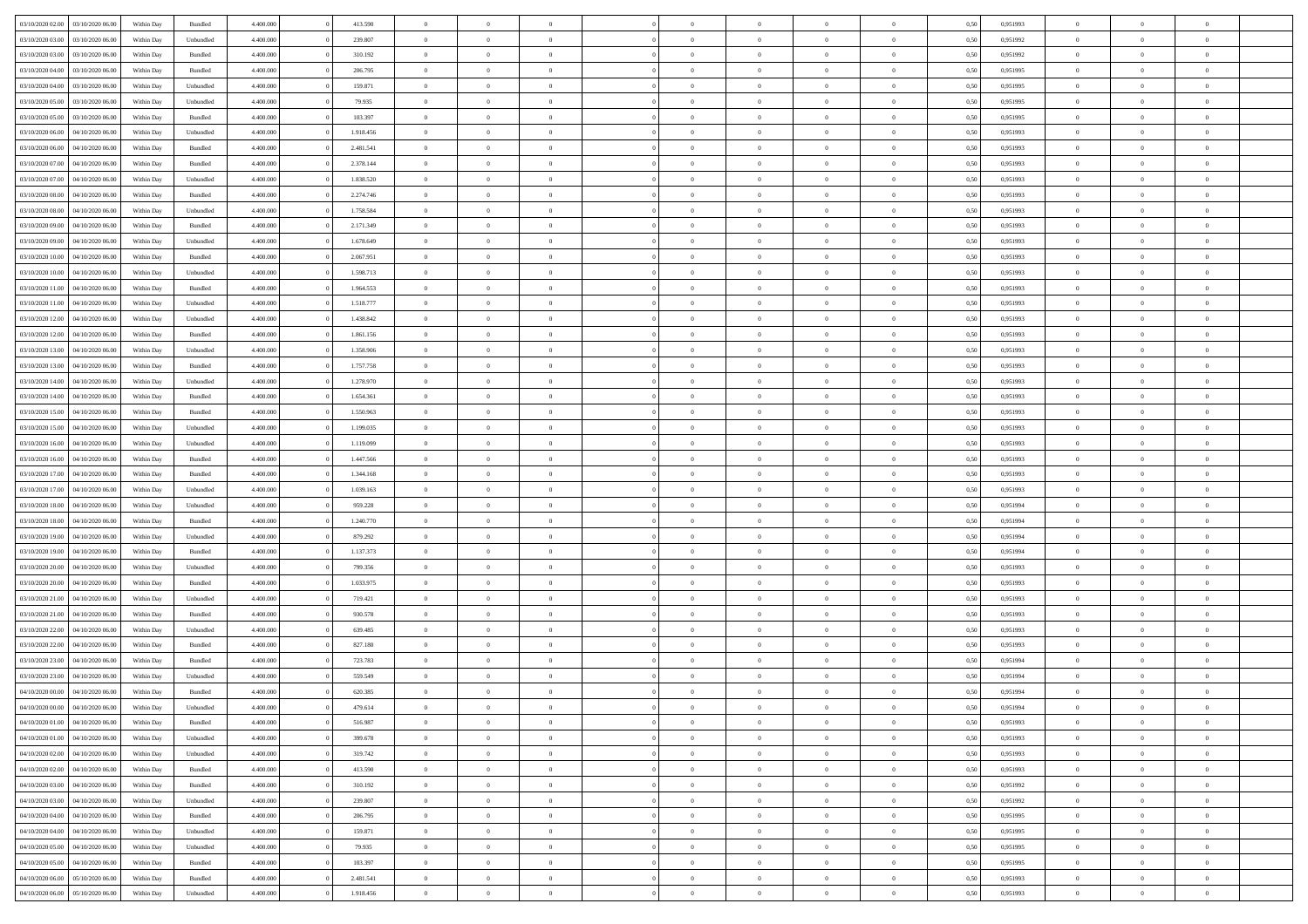| 03/10/2020 02.00                  | 03/10/2020 06:00 | Within Dav | Bundled            | 4.400.000 | 413.590   | $\overline{0}$ | $\Omega$       |                | $\Omega$       | $\Omega$       | $\theta$       | $\theta$       | 0.50 | 0,951993 | $\theta$       | $\theta$       | $\theta$       |  |
|-----------------------------------|------------------|------------|--------------------|-----------|-----------|----------------|----------------|----------------|----------------|----------------|----------------|----------------|------|----------|----------------|----------------|----------------|--|
| 03/10/2020 03:00                  | 03/10/2020 06.00 | Within Day | Unbundled          | 4.400.000 | 239.807   | $\overline{0}$ | $\theta$       | $\overline{0}$ | $\overline{0}$ | $\bf{0}$       | $\overline{0}$ | $\bf{0}$       | 0,50 | 0,951992 | $\theta$       | $\overline{0}$ | $\overline{0}$ |  |
| 03/10/2020 03.00                  | 03/10/2020 06.00 | Within Day | Bundled            | 4.400.000 | 310.192   | $\overline{0}$ | $\overline{0}$ | $\overline{0}$ | $\bf{0}$       | $\bf{0}$       | $\bf{0}$       | $\bf{0}$       | 0,50 | 0,951992 | $\bf{0}$       | $\overline{0}$ | $\overline{0}$ |  |
| 03/10/2020 04:00                  | 03/10/2020 06:00 | Within Dav | Bundled            | 4.400.000 | 206,795   | $\overline{0}$ | $\overline{0}$ | $\overline{0}$ | $\overline{0}$ | $\bf{0}$       | $\overline{0}$ | $\overline{0}$ | 0.50 | 0.951995 | $\theta$       | $\theta$       | $\overline{0}$ |  |
| 03/10/2020 04:00                  | 03/10/2020 06.00 | Within Day | Unbundled          | 4.400.000 | 159.871   | $\overline{0}$ | $\theta$       | $\overline{0}$ | $\overline{0}$ | $\bf{0}$       | $\overline{0}$ | $\bf{0}$       | 0,50 | 0,951995 | $\theta$       | $\theta$       | $\overline{0}$ |  |
|                                   |                  |            |                    |           |           |                |                |                |                |                |                |                |      |          |                |                |                |  |
| 03/10/2020 05.00                  | 03/10/2020 06.00 | Within Day | Unbundled          | 4.400.000 | 79.935    | $\overline{0}$ | $\bf{0}$       | $\overline{0}$ | $\bf{0}$       | $\overline{0}$ | $\overline{0}$ | $\mathbf{0}$   | 0,50 | 0,951995 | $\bf{0}$       | $\overline{0}$ | $\bf{0}$       |  |
| 03/10/2020 05:00                  | 03/10/2020 06:00 | Within Dav | Bundled            | 4.400.000 | 103.397   | $\overline{0}$ | $\overline{0}$ | $\overline{0}$ | $\overline{0}$ | $\overline{0}$ | $\overline{0}$ | $\overline{0}$ | 0.50 | 0.951995 | $\theta$       | $\overline{0}$ | $\overline{0}$ |  |
| 03/10/2020 06.00                  | 04/10/2020 06.00 | Within Day | Unbundled          | 4.400.000 | 1.918.456 | $\overline{0}$ | $\theta$       | $\overline{0}$ | $\overline{0}$ | $\bf{0}$       | $\overline{0}$ | $\bf{0}$       | 0,50 | 0,951993 | $\theta$       | $\theta$       | $\overline{0}$ |  |
| 03/10/2020 06:00                  | 04/10/2020 06.00 | Within Day | Bundled            | 4.400.000 | 2.481.541 | $\overline{0}$ | $\overline{0}$ | $\overline{0}$ | $\bf{0}$       | $\bf{0}$       | $\bf{0}$       | $\bf{0}$       | 0,50 | 0,951993 | $\,0\,$        | $\overline{0}$ | $\overline{0}$ |  |
| 03/10/2020 07:00                  | 04/10/2020 06.00 | Within Dav | Bundled            | 4.400.000 | 2.378.144 | $\overline{0}$ | $\overline{0}$ | $\overline{0}$ | $\overline{0}$ | $\overline{0}$ | $\overline{0}$ | $\overline{0}$ | 0.50 | 0.951993 | $\theta$       | $\overline{0}$ | $\overline{0}$ |  |
| 03/10/2020 07.00                  | 04/10/2020 06.00 | Within Day | Unbundled          | 4.400.000 | 1.838.520 | $\overline{0}$ | $\theta$       | $\overline{0}$ | $\overline{0}$ | $\bf{0}$       | $\overline{0}$ | $\bf{0}$       | 0,50 | 0,951993 | $\,$ 0 $\,$    | $\theta$       | $\overline{0}$ |  |
| 03/10/2020 08:00                  | 04/10/2020 06.00 | Within Day | Bundled            | 4.400.000 | 2.274.746 | $\overline{0}$ | $\overline{0}$ | $\overline{0}$ | $\bf{0}$       | $\bf{0}$       | $\bf{0}$       | $\bf{0}$       | 0,50 | 0,951993 | $\overline{0}$ | $\overline{0}$ | $\overline{0}$ |  |
|                                   |                  |            |                    |           |           |                |                |                |                |                |                |                |      |          |                |                |                |  |
| 03/10/2020 08:00                  | 04/10/2020 06.00 | Within Day | Unbundled          | 4.400.000 | 1.758.584 | $\overline{0}$ | $\overline{0}$ | $\overline{0}$ | $\overline{0}$ | $\bf{0}$       | $\overline{0}$ | $\overline{0}$ | 0.50 | 0.951993 | $\theta$       | $\theta$       | $\overline{0}$ |  |
| 03/10/2020 09:00                  | 04/10/2020 06.00 | Within Day | Bundled            | 4.400.000 | 2.171.349 | $\overline{0}$ | $\theta$       | $\overline{0}$ | $\overline{0}$ | $\bf{0}$       | $\overline{0}$ | $\overline{0}$ | 0,50 | 0,951993 | $\theta$       | $\overline{0}$ | $\overline{0}$ |  |
| 03/10/2020 09:00                  | 04/10/2020 06.00 | Within Day | Unbundled          | 4.400.000 | 1.678.649 | $\overline{0}$ | $\bf{0}$       | $\overline{0}$ | $\bf{0}$       | $\overline{0}$ | $\overline{0}$ | $\mathbf{0}$   | 0,50 | 0,951993 | $\overline{0}$ | $\overline{0}$ | $\bf{0}$       |  |
| 03/10/2020 10:00                  | 04/10/2020 06.00 | Within Dav | Bundled            | 4.400.000 | 2.067.951 | $\overline{0}$ | $\overline{0}$ | $\overline{0}$ | $\overline{0}$ | $\overline{0}$ | $\overline{0}$ | $\overline{0}$ | 0.50 | 0.951993 | $\theta$       | $\overline{0}$ | $\overline{0}$ |  |
| 03/10/2020 10:00                  | 04/10/2020 06.00 | Within Day | Unbundled          | 4.400.000 | 1.598.713 | $\overline{0}$ | $\theta$       | $\overline{0}$ | $\overline{0}$ | $\bf{0}$       | $\overline{0}$ | $\bf{0}$       | 0,50 | 0,951993 | $\theta$       | $\theta$       | $\overline{0}$ |  |
| 03/10/2020 11:00                  | 04/10/2020 06.00 | Within Day | Bundled            | 4.400.000 | 1.964.553 | $\overline{0}$ | $\overline{0}$ | $\overline{0}$ | $\bf{0}$       | $\bf{0}$       | $\bf{0}$       | $\bf{0}$       | 0,50 | 0,951993 | $\,0\,$        | $\overline{0}$ | $\overline{0}$ |  |
| 03/10/2020 11:00                  | 04/10/2020 06.00 | Within Day | Unbundled          | 4.400.000 | 1.518.777 | $\overline{0}$ | $\overline{0}$ | $\overline{0}$ | $\overline{0}$ | $\overline{0}$ | $\overline{0}$ | $\overline{0}$ | 0.50 | 0.951993 | $\theta$       | $\overline{0}$ | $\overline{0}$ |  |
|                                   |                  |            |                    |           |           |                |                |                |                |                |                |                |      |          |                |                |                |  |
| 03/10/2020 12:00                  | 04/10/2020 06.00 | Within Day | Unbundled          | 4.400.000 | 1.438.842 | $\overline{0}$ | $\theta$       | $\overline{0}$ | $\overline{0}$ | $\bf{0}$       | $\overline{0}$ | $\bf{0}$       | 0,50 | 0,951993 | $\,$ 0 $\,$    | $\theta$       | $\overline{0}$ |  |
| 03/10/2020 12:00                  | 04/10/2020 06.00 | Within Day | Bundled            | 4.400.000 | 1.861.156 | $\overline{0}$ | $\overline{0}$ | $\overline{0}$ | $\bf{0}$       | $\bf{0}$       | $\bf{0}$       | $\bf{0}$       | 0,50 | 0,951993 | $\,0\,$        | $\overline{0}$ | $\overline{0}$ |  |
| 03/10/2020 13:00                  | 04/10/2020 06.00 | Within Day | Unbundled          | 4.400.000 | 1.358.906 | $\overline{0}$ | $\overline{0}$ | $\overline{0}$ | $\overline{0}$ | $\bf{0}$       | $\overline{0}$ | $\overline{0}$ | 0.50 | 0.951993 | $\theta$       | $\overline{0}$ | $\overline{0}$ |  |
| 03/10/2020 13:00                  | 04/10/2020 06.00 | Within Day | Bundled            | 4.400.000 | 1.757.758 | $\overline{0}$ | $\theta$       | $\overline{0}$ | $\overline{0}$ | $\bf{0}$       | $\overline{0}$ | $\bf{0}$       | 0,50 | 0,951993 | $\,$ 0 $\,$    | $\overline{0}$ | $\overline{0}$ |  |
| 03/10/2020 14:00                  | 04/10/2020 06.00 | Within Day | Unbundled          | 4.400.000 | 1.278.970 | $\overline{0}$ | $\bf{0}$       | $\overline{0}$ | $\overline{0}$ | $\overline{0}$ | $\overline{0}$ | $\mathbf{0}$   | 0,50 | 0,951993 | $\bf{0}$       | $\overline{0}$ | $\bf{0}$       |  |
| 03/10/2020 14:00                  | 04/10/2020 06.00 | Within Dav | Bundled            | 4.400.000 | 1.654.361 | $\overline{0}$ | $\overline{0}$ | $\overline{0}$ | $\overline{0}$ | $\overline{0}$ | $\overline{0}$ | $\overline{0}$ | 0.50 | 0.951993 | $\theta$       | $\overline{0}$ | $\overline{0}$ |  |
| 03/10/2020 15:00                  | 04/10/2020 06.00 |            |                    | 4.400.000 | 1.550.963 | $\overline{0}$ | $\theta$       | $\overline{0}$ | $\overline{0}$ | $\bf{0}$       | $\overline{0}$ |                |      | 0,951993 | $\theta$       | $\theta$       | $\overline{0}$ |  |
|                                   |                  | Within Day | Bundled            |           |           |                |                |                |                |                |                | $\bf{0}$       | 0,50 |          |                |                |                |  |
| 03/10/2020 15:00                  | 04/10/2020 06.00 | Within Day | Unbundled          | 4.400.000 | 1.199.035 | $\overline{0}$ | $\overline{0}$ | $\overline{0}$ | $\overline{0}$ | $\bf{0}$       | $\overline{0}$ | $\bf{0}$       | 0,50 | 0,951993 | $\,0\,$        | $\overline{0}$ | $\overline{0}$ |  |
| 03/10/2020 16:00                  | 04/10/2020 06.00 | Within Day | Unbundled          | 4.400.000 | 1.119.099 | $\overline{0}$ | $\overline{0}$ | $\overline{0}$ | $\overline{0}$ | $\overline{0}$ | $\overline{0}$ | $\overline{0}$ | 0.50 | 0.951993 | $\theta$       | $\overline{0}$ | $\overline{0}$ |  |
| 03/10/2020 16:00                  | 04/10/2020 06.00 | Within Day | Bundled            | 4.400.000 | 1.447.566 | $\overline{0}$ | $\theta$       | $\overline{0}$ | $\overline{0}$ | $\bf{0}$       | $\overline{0}$ | $\bf{0}$       | 0,50 | 0,951993 | $\,$ 0 $\,$    | $\overline{0}$ | $\overline{0}$ |  |
| 03/10/2020 17:00                  | 04/10/2020 06.00 | Within Day | Bundled            | 4.400.000 | 1.344.168 | $\overline{0}$ | $\overline{0}$ | $\overline{0}$ | $\overline{0}$ | $\bf{0}$       | $\overline{0}$ | $\bf{0}$       | 0,50 | 0,951993 | $\bf{0}$       | $\overline{0}$ | $\overline{0}$ |  |
| 03/10/2020 17:00                  | 04/10/2020 06.00 | Within Day | Unbundled          | 4.400,000 | 1.039.163 | $\overline{0}$ | $\Omega$       | $\Omega$       | $\Omega$       | $\Omega$       | $\Omega$       | $\overline{0}$ | 0,50 | 0,951993 | $\,0\,$        | $\theta$       | $\theta$       |  |
| 03/10/2020 18:00                  | 04/10/2020 06.00 | Within Day | Unbundled          | 4.400.000 | 959.228   | $\overline{0}$ | $\theta$       | $\overline{0}$ | $\overline{0}$ | $\bf{0}$       | $\overline{0}$ | $\bf{0}$       | 0,50 | 0,951994 | $\theta$       | $\theta$       | $\overline{0}$ |  |
|                                   |                  |            |                    |           |           |                |                |                |                |                |                |                |      |          |                |                |                |  |
| 03/10/2020 18:00                  | 04/10/2020 06.00 | Within Day | Bundled            | 4.400.000 | 1.240.770 | $\overline{0}$ | $\overline{0}$ | $\overline{0}$ | $\overline{0}$ | $\bf{0}$       | $\overline{0}$ | $\mathbf{0}$   | 0,50 | 0,951994 | $\overline{0}$ | $\overline{0}$ | $\bf{0}$       |  |
| 03/10/2020 19:00                  | 04/10/2020 06.00 | Within Day | Unbundled          | 4.400,000 | 879.292   | $\overline{0}$ | $\Omega$       | $\Omega$       | $\Omega$       | $\bf{0}$       | $\overline{0}$ | $\overline{0}$ | 0.50 | 0,951994 | $\,0\,$        | $\theta$       | $\theta$       |  |
| 03/10/2020 19:00                  | 04/10/2020 06.00 | Within Day | Bundled            | 4.400.000 | 1.137.373 | $\overline{0}$ | $\theta$       | $\overline{0}$ | $\overline{0}$ | $\bf{0}$       | $\overline{0}$ | $\bf{0}$       | 0,50 | 0,951994 | $\theta$       | $\theta$       | $\overline{0}$ |  |
| 03/10/2020 20:00                  | 04/10/2020 06.00 | Within Day | Unbundled          | 4.400.000 | 799.356   | $\overline{0}$ | $\overline{0}$ | $\overline{0}$ | $\overline{0}$ | $\bf{0}$       | $\overline{0}$ | $\bf{0}$       | 0,50 | 0,951993 | $\,0\,$        | $\overline{0}$ | $\overline{0}$ |  |
| 03/10/2020 20:00                  | 04/10/2020 06.00 | Within Day | Bundled            | 4.400,000 | 1.033.975 | $\overline{0}$ | $\Omega$       | $\Omega$       | $\Omega$       | $\theta$       | $\theta$       | $\overline{0}$ | 0.50 | 0,951993 | $\theta$       | $\theta$       | $\theta$       |  |
| 03/10/2020 21.00                  | 04/10/2020 06.00 | Within Day | Unbundled          | 4.400.000 | 719.421   | $\overline{0}$ | $\theta$       | $\overline{0}$ | $\overline{0}$ | $\bf{0}$       | $\overline{0}$ | $\bf{0}$       | 0,50 | 0,951993 | $\,$ 0 $\,$    | $\overline{0}$ | $\overline{0}$ |  |
| 03/10/2020 21.00                  | 04/10/2020 06.00 | Within Day | Bundled            | 4.400.000 | 930.578   | $\overline{0}$ | $\overline{0}$ | $\overline{0}$ | $\overline{0}$ | $\bf{0}$       | $\overline{0}$ | $\bf{0}$       | 0,50 | 0,951993 | $\overline{0}$ | $\overline{0}$ | $\overline{0}$ |  |
| 03/10/2020 22.00                  | 04/10/2020 06.00 | Within Day | Unbundled          | 4.400,000 | 639,485   | $\overline{0}$ | $\Omega$       | $\Omega$       | $\Omega$       | $\Omega$       | $\overline{0}$ | $\overline{0}$ | 0,50 | 0,951993 | $\,0\,$        | $\theta$       | $\theta$       |  |
|                                   |                  |            |                    |           |           |                |                |                |                |                |                |                |      |          |                |                |                |  |
| 03/10/2020 22.00                  | 04/10/2020 06.00 | Within Day | Bundled            | 4.400.000 | 827.180   | $\overline{0}$ | $\theta$       | $\overline{0}$ | $\overline{0}$ | $\,$ 0         | $\overline{0}$ | $\bf{0}$       | 0,50 | 0,951993 | $\,$ 0 $\,$    | $\overline{0}$ | $\overline{0}$ |  |
| 03/10/2020 23.00                  | 04/10/2020 06.00 | Within Day | Bundled            | 4.400.000 | 723.783   | $\overline{0}$ | $\overline{0}$ | $\overline{0}$ | $\overline{0}$ | $\bf{0}$       | $\overline{0}$ | $\mathbf{0}$   | 0,50 | 0,951994 | $\overline{0}$ | $\overline{0}$ | $\bf{0}$       |  |
| 03/10/2020 23.00                  | 04/10/2020 06.00 | Within Day | Unbundled          | 4.400,000 | 559,549   | $\overline{0}$ | $\Omega$       | $\Omega$       | $\Omega$       | $\Omega$       | $\Omega$       | $\overline{0}$ | 0.50 | 0.951994 | $\theta$       | $\theta$       | $\theta$       |  |
| 04/10/2020 00.00                  | 04/10/2020 06.00 | Within Day | Bundled            | 4.400.000 | 620.385   | $\overline{0}$ | $\overline{0}$ | $\overline{0}$ | $\bf{0}$       | $\,$ 0         | $\overline{0}$ | $\bf{0}$       | 0,50 | 0,951994 | $\,0\,$        | $\,$ 0 $\,$    | $\overline{0}$ |  |
| 04/10/2020 00:00 04/10/2020 06:00 |                  | Within Day | Unbundled          | 4.400.000 | 479.614   | $\bf{0}$       | $\bf{0}$       |                |                |                |                |                | 0,50 | 0,951994 | $\bf{0}$       | $\overline{0}$ |                |  |
| 04/10/2020 01:00                  | 04/10/2020 06:00 | Within Day | Bundled            | 4.400.000 | 516.987   | $\overline{0}$ | $\overline{0}$ | $\overline{0}$ | $\Omega$       | $\overline{0}$ | $\overline{0}$ | $\overline{0}$ | 0,50 | 0.951993 | $\theta$       | $\theta$       | $\theta$       |  |
| 04/10/2020 01.00                  | 04/10/2020 06.00 | Within Day | Unbundled          | 4.400.000 | 399.678   | $\overline{0}$ | $\bf{0}$       | $\overline{0}$ | $\overline{0}$ | $\,$ 0 $\,$    | $\overline{0}$ | $\,$ 0 $\,$    | 0,50 | 0,951993 | $\,$ 0 $\,$    | $\,$ 0 $\,$    | $\,$ 0         |  |
|                                   |                  |            |                    |           |           |                |                |                |                |                |                |                |      |          |                |                |                |  |
| 04/10/2020 02.00                  | 04/10/2020 06.00 | Within Day | Unbundled          | 4.400.000 | 319.742   | $\overline{0}$ | $\overline{0}$ | $\overline{0}$ | $\overline{0}$ | $\overline{0}$ | $\overline{0}$ | $\mathbf{0}$   | 0,50 | 0,951993 | $\overline{0}$ | $\bf{0}$       | $\bf{0}$       |  |
| 04/10/2020 02.00                  | 04/10/2020 06.00 | Within Day | $\mathbf B$ undled | 4.400,000 | 413.590   | $\overline{0}$ | $\overline{0}$ | $\overline{0}$ | $\Omega$       | $\overline{0}$ | $\overline{0}$ | $\overline{0}$ | 0,50 | 0,951993 | $\overline{0}$ | $\theta$       | $\overline{0}$ |  |
| 04/10/2020 03.00                  | 04/10/2020 06.00 | Within Day | Bundled            | 4.400.000 | 310.192   | $\overline{0}$ | $\,$ 0         | $\overline{0}$ | $\bf{0}$       | $\,$ 0 $\,$    | $\overline{0}$ | $\mathbf{0}$   | 0,50 | 0,951992 | $\,$ 0 $\,$    | $\overline{0}$ | $\overline{0}$ |  |
| 04/10/2020 03:00                  | 04/10/2020 06.00 | Within Day | Unbundled          | 4.400.000 | 239.807   | $\overline{0}$ | $\overline{0}$ | $\overline{0}$ | $\overline{0}$ | $\overline{0}$ | $\overline{0}$ | $\mathbf{0}$   | 0,50 | 0,951992 | $\overline{0}$ | $\overline{0}$ | $\bf{0}$       |  |
| 04/10/2020 04.00                  | 04/10/2020 06:00 | Within Day | Bundled            | 4.400,000 | 206,795   | $\overline{0}$ | $\overline{0}$ | $\overline{0}$ | $\overline{0}$ | $\overline{0}$ | $\overline{0}$ | $\bf{0}$       | 0.50 | 0,951995 | $\overline{0}$ | $\theta$       | $\overline{0}$ |  |
| 04/10/2020 04.00                  | 04/10/2020 06.00 | Within Day | Unbundled          | 4.400.000 | 159.871   | $\overline{0}$ | $\,$ 0         | $\overline{0}$ | $\bf{0}$       | $\bf{0}$       | $\bf{0}$       | $\bf{0}$       | 0,50 | 0,951995 | $\,$ 0 $\,$    | $\overline{0}$ | $\overline{0}$ |  |
| 04/10/2020 05:00                  | 04/10/2020 06.00 | Within Day | Unbundled          | 4.400.000 | 79.935    | $\overline{0}$ | $\bf{0}$       | $\overline{0}$ | $\overline{0}$ | $\overline{0}$ | $\overline{0}$ | $\mathbf{0}$   | 0,50 | 0,951995 | $\overline{0}$ | $\overline{0}$ | $\bf{0}$       |  |
|                                   |                  |            |                    |           |           |                |                |                |                |                |                |                |      |          |                |                |                |  |
| 04/10/2020 05:00                  | 04/10/2020 06:00 | Within Day | Bundled            | 4.400,000 | 103,397   | $\overline{0}$ | $\overline{0}$ | $\overline{0}$ | $\Omega$       | $\overline{0}$ | $\overline{0}$ | $\overline{0}$ | 0,50 | 0,951995 | $\overline{0}$ | $\overline{0}$ | $\overline{0}$ |  |
| 04/10/2020 06.00                  | 05/10/2020 06.00 | Within Day | Bundled            | 4.400.000 | 2.481.541 | $\overline{0}$ | $\bf{0}$       | $\overline{0}$ | $\overline{0}$ | $\bf{0}$       | $\bf{0}$       | $\mathbf{0}$   | 0,50 | 0,951993 | $\,$ 0 $\,$    | $\,$ 0 $\,$    | $\bf{0}$       |  |
| 04/10/2020 06.00                  | 05/10/2020 06.00 | Within Day | Unbundled          | 4.400.000 | 1.918.456 | $\overline{0}$ | $\bf{0}$       | $\overline{0}$ | $\bf{0}$       | $\bf{0}$       | $\bf{0}$       | $\bf{0}$       | 0,50 | 0,951993 | $\overline{0}$ | $\overline{0}$ | $\bf{0}$       |  |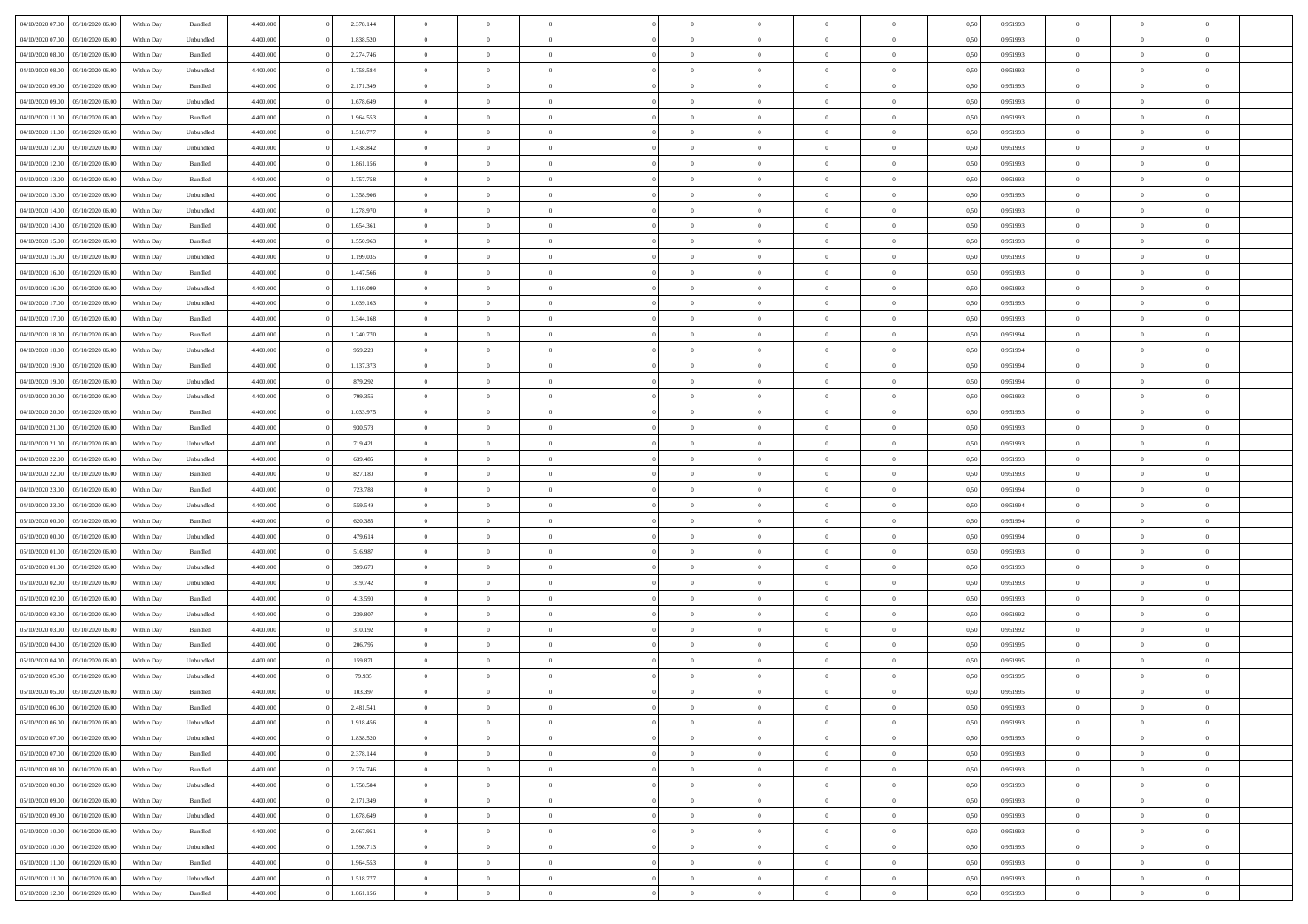| 04/10/2020 07.00                  | 05/10/2020 06:00 | Within Dav | Bundled            | 4.400.000 | 2.378.144 | $\overline{0}$ | $\Omega$       |                | $\Omega$       | $\Omega$       | $\theta$       | $\theta$       | 0,50 | 0,951993 | $\theta$       | $\theta$       | $\theta$       |  |
|-----------------------------------|------------------|------------|--------------------|-----------|-----------|----------------|----------------|----------------|----------------|----------------|----------------|----------------|------|----------|----------------|----------------|----------------|--|
| 04/10/2020 07.00                  | 05/10/2020 06.00 | Within Day | Unbundled          | 4.400.000 | 1.838.520 | $\overline{0}$ | $\theta$       | $\overline{0}$ | $\overline{0}$ | $\bf{0}$       | $\overline{0}$ | $\bf{0}$       | 0,50 | 0,951993 | $\theta$       | $\overline{0}$ | $\overline{0}$ |  |
| 04/10/2020 08.00                  | 05/10/2020 06.00 | Within Day | Bundled            | 4.400.000 | 2.274.746 | $\overline{0}$ | $\bf{0}$       | $\overline{0}$ | $\bf{0}$       | $\bf{0}$       | $\bf{0}$       | $\mathbf{0}$   | 0,50 | 0,951993 | $\overline{0}$ | $\overline{0}$ | $\bf{0}$       |  |
| 04/10/2020 08:00                  | 05/10/2020 06:00 | Within Dav | Unbundled          | 4.400.000 | 1.758.584 | $\overline{0}$ | $\overline{0}$ | $\overline{0}$ | $\overline{0}$ | $\bf{0}$       | $\overline{0}$ | $\overline{0}$ | 0.50 | 0.951993 | $\theta$       | $\theta$       | $\overline{0}$ |  |
| 04/10/2020 09:00                  | 05/10/2020 06.00 | Within Day | Bundled            | 4.400.000 | 2.171.349 | $\overline{0}$ | $\theta$       | $\overline{0}$ | $\overline{0}$ | $\bf{0}$       | $\overline{0}$ | $\bf{0}$       | 0,50 | 0,951993 | $\theta$       | $\overline{0}$ | $\overline{0}$ |  |
|                                   |                  |            |                    |           |           |                |                |                |                |                |                |                |      |          |                |                |                |  |
| 04/10/2020 09:00                  | 05/10/2020 06.00 | Within Day | Unbundled          | 4.400.000 | 1.678.649 | $\overline{0}$ | $\overline{0}$ | $\overline{0}$ | $\bf{0}$       | $\overline{0}$ | $\overline{0}$ | $\mathbf{0}$   | 0,50 | 0,951993 | $\overline{0}$ | $\overline{0}$ | $\bf{0}$       |  |
| 04/10/2020 11:00                  | 05/10/2020 06:00 | Within Dav | Bundled            | 4.400.000 | 1.964.553 | $\overline{0}$ | $\overline{0}$ | $\overline{0}$ | $\overline{0}$ | $\overline{0}$ | $\overline{0}$ | $\overline{0}$ | 0.50 | 0.951993 | $\theta$       | $\overline{0}$ | $\overline{0}$ |  |
| 04/10/2020 11:00                  | 05/10/2020 06.00 | Within Day | Unbundled          | 4.400.000 | 1.518.777 | $\overline{0}$ | $\theta$       | $\overline{0}$ | $\overline{0}$ | $\bf{0}$       | $\overline{0}$ | $\bf{0}$       | 0,50 | 0,951993 | $\theta$       | $\theta$       | $\overline{0}$ |  |
| 04/10/2020 12:00                  | 05/10/2020 06.00 | Within Day | Unbundled          | 4.400.000 | 1.438.842 | $\overline{0}$ | $\overline{0}$ | $\overline{0}$ | $\bf{0}$       | $\bf{0}$       | $\bf{0}$       | $\bf{0}$       | 0,50 | 0,951993 | $\,0\,$        | $\overline{0}$ | $\overline{0}$ |  |
| 04/10/2020 12:00                  | 05/10/2020 06:00 | Within Dav | Bundled            | 4.400.000 | 1.861.156 | $\overline{0}$ | $\overline{0}$ | $\overline{0}$ | $\overline{0}$ | $\overline{0}$ | $\overline{0}$ | $\overline{0}$ | 0.50 | 0.951993 | $\theta$       | $\overline{0}$ | $\overline{0}$ |  |
| 04/10/2020 13:00                  | 05/10/2020 06.00 | Within Day | Bundled            | 4.400.000 | 1.757.758 | $\overline{0}$ | $\theta$       | $\overline{0}$ | $\overline{0}$ | $\bf{0}$       | $\overline{0}$ | $\bf{0}$       | 0,50 | 0,951993 | $\,$ 0 $\,$    | $\overline{0}$ | $\overline{0}$ |  |
| 04/10/2020 13.00                  | 05/10/2020 06.00 | Within Day | Unbundled          | 4.400.000 | 1.358.906 | $\overline{0}$ | $\bf{0}$       | $\overline{0}$ | $\bf{0}$       | $\bf{0}$       | $\bf{0}$       | $\bf{0}$       | 0,50 | 0,951993 | $\overline{0}$ | $\overline{0}$ | $\bf{0}$       |  |
|                                   |                  |            |                    |           |           |                |                |                |                |                |                |                |      |          |                |                |                |  |
| 04/10/2020 14:00                  | 05/10/2020 06:00 | Within Day | Unbundled          | 4.400.000 | 1.278.970 | $\overline{0}$ | $\overline{0}$ | $\overline{0}$ | $\overline{0}$ | $\bf{0}$       | $\overline{0}$ | $\overline{0}$ | 0.50 | 0.951993 | $\theta$       | $\theta$       | $\overline{0}$ |  |
| 04/10/2020 14:00                  | 05/10/2020 06.00 | Within Day | Bundled            | 4.400.000 | 1.654.361 | $\overline{0}$ | $\theta$       | $\overline{0}$ | $\overline{0}$ | $\bf{0}$       | $\overline{0}$ | $\bf{0}$       | 0,50 | 0,951993 | $\theta$       | $\overline{0}$ | $\overline{0}$ |  |
| 04/10/2020 15.00                  | 05/10/2020 06.00 | Within Day | Bundled            | 4.400.000 | 1.550.963 | $\overline{0}$ | $\overline{0}$ | $\overline{0}$ | $\overline{0}$ | $\overline{0}$ | $\overline{0}$ | $\mathbf{0}$   | 0,50 | 0,951993 | $\overline{0}$ | $\overline{0}$ | $\bf{0}$       |  |
| 04/10/2020 15:00                  | 05/10/2020 06:00 | Within Dav | Unbundled          | 4.400.000 | 1.199.035 | $\overline{0}$ | $\overline{0}$ | $\overline{0}$ | $\overline{0}$ | $\overline{0}$ | $\overline{0}$ | $\overline{0}$ | 0.50 | 0.951993 | $\theta$       | $\overline{0}$ | $\overline{0}$ |  |
| 04/10/2020 16.00                  | 05/10/2020 06.00 | Within Day | Bundled            | 4.400.000 | 1.447.566 | $\overline{0}$ | $\theta$       | $\overline{0}$ | $\overline{0}$ | $\bf{0}$       | $\overline{0}$ | $\bf{0}$       | 0,50 | 0,951993 | $\theta$       | $\theta$       | $\overline{0}$ |  |
| 04/10/2020 16.00                  | 05/10/2020 06.00 | Within Day | Unbundled          | 4.400.000 | 1.119.099 | $\overline{0}$ | $\overline{0}$ | $\overline{0}$ | $\overline{0}$ | $\bf{0}$       | $\overline{0}$ | $\bf{0}$       | 0,50 | 0,951993 | $\,0\,$        | $\overline{0}$ | $\overline{0}$ |  |
| 04/10/2020 17:00                  | 05/10/2020 06:00 | Within Day | Unbundled          | 4.400.000 | 1.039.163 | $\overline{0}$ | $\overline{0}$ | $\overline{0}$ | $\overline{0}$ | $\overline{0}$ | $\overline{0}$ | $\overline{0}$ | 0.50 | 0.951993 | $\theta$       | $\overline{0}$ | $\overline{0}$ |  |
|                                   |                  |            |                    |           |           | $\overline{0}$ | $\theta$       | $\overline{0}$ |                | $\bf{0}$       | $\overline{0}$ |                |      |          |                | $\overline{0}$ | $\overline{0}$ |  |
| 04/10/2020 17.00                  | 05/10/2020 06.00 | Within Day | Bundled            | 4.400.000 | 1.344.168 |                |                |                | $\overline{0}$ |                |                | $\bf{0}$       | 0,50 | 0,951993 | $\,$ 0 $\,$    |                |                |  |
| 04/10/2020 18.00                  | 05/10/2020 06.00 | Within Day | Bundled            | 4.400.000 | 1.240.770 | $\overline{0}$ | $\overline{0}$ | $\overline{0}$ | $\overline{0}$ | $\bf{0}$       | $\overline{0}$ | $\bf{0}$       | 0,50 | 0,951994 | $\bf{0}$       | $\overline{0}$ | $\bf{0}$       |  |
| 04/10/2020 18:00                  | 05/10/2020 06:00 | Within Day | Unbundled          | 4.400.000 | 959.228   | $\overline{0}$ | $\overline{0}$ | $\overline{0}$ | $\overline{0}$ | $\bf{0}$       | $\overline{0}$ | $\overline{0}$ | 0.50 | 0.951994 | $\theta$       | $\overline{0}$ | $\overline{0}$ |  |
| 04/10/2020 19:00                  | 05/10/2020 06.00 | Within Day | Bundled            | 4.400.000 | 1.137.373 | $\overline{0}$ | $\theta$       | $\overline{0}$ | $\overline{0}$ | $\bf{0}$       | $\overline{0}$ | $\bf{0}$       | 0,50 | 0,951994 | $\theta$       | $\overline{0}$ | $\overline{0}$ |  |
| 04/10/2020 19:00                  | 05/10/2020 06.00 | Within Day | Unbundled          | 4.400.000 | 879.292   | $\overline{0}$ | $\overline{0}$ | $\overline{0}$ | $\overline{0}$ | $\overline{0}$ | $\overline{0}$ | $\mathbf{0}$   | 0,50 | 0,951994 | $\overline{0}$ | $\overline{0}$ | $\bf{0}$       |  |
| 04/10/2020 20:00                  | 05/10/2020 06:00 | Within Dav | Unbundled          | 4.400.000 | 799.356   | $\overline{0}$ | $\overline{0}$ | $\overline{0}$ | $\overline{0}$ | $\overline{0}$ | $\overline{0}$ | $\overline{0}$ | 0.50 | 0.951993 | $\overline{0}$ | $\overline{0}$ | $\overline{0}$ |  |
| 04/10/2020 20.00                  | 05/10/2020 06.00 | Within Day | Bundled            | 4.400.000 | 1.033.975 | $\overline{0}$ | $\theta$       | $\overline{0}$ | $\overline{0}$ | $\bf{0}$       | $\overline{0}$ | $\bf{0}$       | 0,50 | 0,951993 | $\theta$       | $\overline{0}$ | $\overline{0}$ |  |
|                                   |                  |            |                    |           |           |                |                |                |                |                |                |                |      |          |                |                |                |  |
| 04/10/2020 21:00                  | 05/10/2020 06.00 | Within Day | Bundled            | 4.400.000 | 930.578   | $\overline{0}$ | $\overline{0}$ | $\overline{0}$ | $\overline{0}$ | $\bf{0}$       | $\overline{0}$ | $\bf{0}$       | 0,50 | 0,951993 | $\,0\,$        | $\overline{0}$ | $\overline{0}$ |  |
| 04/10/2020 21.00                  | 05/10/2020 06:00 | Within Day | Unbundled          | 4.400.000 | 719.421   | $\overline{0}$ | $\overline{0}$ | $\overline{0}$ | $\overline{0}$ | $\overline{0}$ | $\overline{0}$ | $\overline{0}$ | 0.50 | 0.951993 | $\theta$       | $\overline{0}$ | $\overline{0}$ |  |
| 04/10/2020 22.00                  | 05/10/2020 06.00 | Within Day | Unbundled          | 4.400.000 | 639.485   | $\overline{0}$ | $\theta$       | $\overline{0}$ | $\overline{0}$ | $\bf{0}$       | $\overline{0}$ | $\bf{0}$       | 0,50 | 0,951993 | $\,$ 0 $\,$    | $\overline{0}$ | $\overline{0}$ |  |
| 04/10/2020 22.00                  | 05/10/2020 06.00 | Within Day | Bundled            | 4.400.000 | 827.180   | $\overline{0}$ | $\overline{0}$ | $\overline{0}$ | $\bf{0}$       | $\bf{0}$       | $\bf{0}$       | $\bf{0}$       | 0,50 | 0,951993 | $\overline{0}$ | $\overline{0}$ | $\bf{0}$       |  |
| 04/10/2020 23.00                  | 05/10/2020 06:00 | Within Day | Bundled            | 4.400,000 | 723.783   | $\overline{0}$ | $\Omega$       | $\Omega$       | $\Omega$       | $\Omega$       | $\overline{0}$ | $\overline{0}$ | 0,50 | 0,951994 | $\,0\,$        | $\theta$       | $\theta$       |  |
| 04/10/2020 23.00                  | 05/10/2020 06.00 | Within Day | Unbundled          | 4.400.000 | 559.549   | $\overline{0}$ | $\theta$       | $\overline{0}$ | $\overline{0}$ | $\bf{0}$       | $\overline{0}$ | $\bf{0}$       | 0,50 | 0,951994 | $\theta$       | $\overline{0}$ | $\overline{0}$ |  |
| 05/10/2020 00:00                  | 05/10/2020 06.00 | Within Day | Bundled            | 4.400.000 | 620.385   | $\overline{0}$ | $\overline{0}$ | $\overline{0}$ | $\bf{0}$       | $\overline{0}$ | $\overline{0}$ | $\mathbf{0}$   | 0,50 | 0,951994 | $\overline{0}$ | $\overline{0}$ | $\bf{0}$       |  |
|                                   | 05/10/2020 06:00 |            | Unbundled          | 4.400,000 | 479.614   | $\overline{0}$ | $\Omega$       | $\Omega$       | $\Omega$       | $\bf{0}$       | $\overline{0}$ | $\overline{0}$ | 0.50 | 0,951994 | $\,0\,$        | $\theta$       | $\theta$       |  |
| 05/10/2020 00:00                  |                  | Within Day |                    |           |           |                |                |                |                |                |                |                |      |          |                |                |                |  |
| 05/10/2020 01:00                  | 05/10/2020 06.00 | Within Day | Bundled            | 4.400.000 | 516.987   | $\overline{0}$ | $\theta$       | $\overline{0}$ | $\overline{0}$ | $\bf{0}$       | $\overline{0}$ | $\bf{0}$       | 0,50 | 0,951993 | $\theta$       | $\overline{0}$ | $\overline{0}$ |  |
| 05/10/2020 01.00                  | 05/10/2020 06.00 | Within Day | Unbundled          | 4.400.000 | 399.678   | $\overline{0}$ | $\overline{0}$ | $\overline{0}$ | $\bf{0}$       | $\bf{0}$       | $\bf{0}$       | $\bf{0}$       | 0,50 | 0,951993 | $\bf{0}$       | $\overline{0}$ | $\bf{0}$       |  |
| 05/10/2020 02.00                  | 05/10/2020 06:00 | Within Day | Unbundled          | 4.400,000 | 319.742   | $\overline{0}$ | $\Omega$       | $\Omega$       | $\Omega$       | $\theta$       | $\overline{0}$ | $\overline{0}$ | 0.50 | 0.951993 | $\theta$       | $\theta$       | $\theta$       |  |
| 05/10/2020 02.00                  | 05/10/2020 06.00 | Within Day | Bundled            | 4.400.000 | 413.590   | $\overline{0}$ | $\overline{0}$ | $\overline{0}$ | $\overline{0}$ | $\bf{0}$       | $\overline{0}$ | $\bf{0}$       | 0,50 | 0,951993 | $\,$ 0 $\,$    | $\overline{0}$ | $\overline{0}$ |  |
| 05/10/2020 03.00                  | 05/10/2020 06.00 | Within Day | Unbundled          | 4.400.000 | 239.807   | $\overline{0}$ | $\overline{0}$ | $\overline{0}$ | $\bf{0}$       | $\bf{0}$       | $\bf{0}$       | $\bf{0}$       | 0,50 | 0,951992 | $\overline{0}$ | $\overline{0}$ | $\bf{0}$       |  |
| 05/10/2020 03:00                  | 05/10/2020 06.00 | Within Day | Bundled            | 4.400,000 | 310.192   | $\overline{0}$ | $\Omega$       | $\Omega$       | $\Omega$       | $\overline{0}$ | $\overline{0}$ | $\overline{0}$ | 0,50 | 0,951992 | $\,0\,$        | $\theta$       | $\theta$       |  |
| 05/10/2020 04:00                  | 05/10/2020 06.00 | Within Day | Bundled            | 4.400.000 | 206.795   | $\overline{0}$ | $\overline{0}$ | $\overline{0}$ | $\overline{0}$ | $\,$ 0         | $\overline{0}$ | $\bf{0}$       | 0,50 | 0,951995 | $\,$ 0 $\,$    | $\overline{0}$ | $\overline{0}$ |  |
| 05/10/2020 04.00                  | 05/10/2020 06.00 | Within Day | Unbundled          | 4.400.000 | 159.871   | $\overline{0}$ | $\overline{0}$ | $\overline{0}$ | $\bf{0}$       | $\bf{0}$       | $\bf{0}$       | $\mathbf{0}$   | 0,50 | 0,951995 | $\overline{0}$ | $\overline{0}$ | $\bf{0}$       |  |
|                                   |                  |            |                    |           |           |                |                |                |                |                |                |                |      |          |                |                |                |  |
| 05/10/2020 05:00                  | 05/10/2020 06:00 | Within Day | Unbundled          | 4.400,000 | 79.935    | $\overline{0}$ | $\Omega$       | $\Omega$       | $\Omega$       | $\Omega$       | $\Omega$       | $\overline{0}$ | 0.50 | 0.951995 | $\theta$       | $\theta$       | $\theta$       |  |
| 05/10/2020 05.00                  | 05/10/2020 06.00 | Within Day | Bundled            | 4.400.000 | 103.397   | $\overline{0}$ | $\overline{0}$ | $\overline{0}$ | $\bf{0}$       | $\,$ 0         | $\bf{0}$       | $\bf{0}$       | 0,50 | 0,951995 | $\,0\,$        | $\,0\,$        | $\overline{0}$ |  |
| 05/10/2020 06:00 06/10/2020 06:00 |                  | Within Day | $\mathbf B$ undled | 4.400.000 | 2.481.541 | $\bf{0}$       | $\bf{0}$       |                |                | $\bf{0}$       |                |                | 0,50 | 0,951993 | $\bf{0}$       | $\overline{0}$ |                |  |
| 05/10/2020 06.00                  | 06/10/2020 06:00 | Within Day | Unbundled          | 4.400.000 | 1.918.456 | $\overline{0}$ | $\overline{0}$ | $\overline{0}$ | $\Omega$       | $\overline{0}$ | $\overline{0}$ | $\overline{0}$ | 0.50 | 0.951993 | $\theta$       | $\theta$       | $\theta$       |  |
| 05/10/2020 07:00                  | 06/10/2020 06.00 | Within Day | Unbundled          | 4.400.000 | 1.838.520 | $\overline{0}$ | $\,$ 0         | $\overline{0}$ | $\bf{0}$       | $\,$ 0 $\,$    | $\overline{0}$ | $\mathbf{0}$   | 0,50 | 0,951993 | $\,$ 0 $\,$    | $\,$ 0 $\,$    | $\,$ 0         |  |
| 05/10/2020 07:00                  | 06/10/2020 06.00 | Within Day | Bundled            | 4.400.000 | 2.378.144 | $\overline{0}$ | $\overline{0}$ | $\overline{0}$ | $\overline{0}$ | $\overline{0}$ | $\overline{0}$ | $\mathbf{0}$   | 0,50 | 0,951993 | $\overline{0}$ | $\bf{0}$       | $\bf{0}$       |  |
| 05/10/2020 08:00                  | 06/10/2020 06.00 | Within Day | Bundled            | 4.400.000 | 2.274.746 | $\overline{0}$ | $\overline{0}$ | $\overline{0}$ | $\Omega$       | $\overline{0}$ | $\overline{0}$ | $\bf{0}$       | 0,50 | 0,951993 | $\overline{0}$ | $\theta$       | $\overline{0}$ |  |
| 05/10/2020 08:00                  | 06/10/2020 06.00 | Within Day | Unbundled          | 4.400.000 | 1.758.584 | $\overline{0}$ | $\,$ 0         | $\overline{0}$ | $\overline{0}$ | $\overline{0}$ | $\overline{0}$ | $\bf{0}$       | 0,50 | 0,951993 | $\,$ 0 $\,$    | $\overline{0}$ | $\overline{0}$ |  |
|                                   |                  |            |                    |           |           |                |                |                |                |                |                |                |      |          |                |                |                |  |
| 05/10/2020 09:00                  | 06/10/2020 06.00 | Within Day | Bundled            | 4.400.000 | 2.171.349 | $\overline{0}$ | $\overline{0}$ | $\overline{0}$ | $\overline{0}$ | $\overline{0}$ | $\overline{0}$ | $\mathbf{0}$   | 0,50 | 0,951993 | $\overline{0}$ | $\overline{0}$ | $\bf{0}$       |  |
| 05/10/2020 09:00                  | 06/10/2020 06:00 | Within Day | Unbundled          | 4.400,000 | 1.678.649 | $\overline{0}$ | $\overline{0}$ | $\overline{0}$ | $\Omega$       | $\overline{0}$ | $\overline{0}$ | $\bf{0}$       | 0.50 | 0,951993 | $\overline{0}$ | $\theta$       | $\overline{0}$ |  |
| 05/10/2020 10:00                  | 06/10/2020 06.00 | Within Day | Bundled            | 4.400.000 | 2.067.951 | $\overline{0}$ | $\,$ 0         | $\overline{0}$ | $\overline{0}$ | $\bf{0}$       | $\overline{0}$ | $\bf{0}$       | 0,50 | 0,951993 | $\,$ 0 $\,$    | $\overline{0}$ | $\overline{0}$ |  |
| 05/10/2020 10:00                  | 06/10/2020 06.00 | Within Day | Unbundled          | 4.400.000 | 1.598.713 | $\overline{0}$ | $\bf{0}$       | $\overline{0}$ | $\overline{0}$ | $\overline{0}$ | $\overline{0}$ | $\mathbf{0}$   | 0,50 | 0,951993 | $\overline{0}$ | $\overline{0}$ | $\bf{0}$       |  |
| 05/10/2020 11:00                  | 06/10/2020 06:00 | Within Day | Bundled            | 4.400,000 | 1.964.553 | $\overline{0}$ | $\overline{0}$ | $\overline{0}$ | $\Omega$       | $\overline{0}$ | $\overline{0}$ | $\bf{0}$       | 0.50 | 0,951993 | $\overline{0}$ | $\theta$       | $\overline{0}$ |  |
| 05/10/2020 11:00                  | 06/10/2020 06.00 | Within Day | Unbundled          | 4.400.000 | 1.518.777 | $\overline{0}$ | $\,$ 0 $\,$    | $\overline{0}$ | $\overline{0}$ | $\bf{0}$       | $\overline{0}$ | $\bf{0}$       | 0,50 | 0,951993 | $\,$ 0 $\,$    | $\,$ 0 $\,$    | $\bf{0}$       |  |
|                                   |                  |            |                    |           |           |                |                |                |                |                |                |                |      |          |                |                |                |  |
| 05/10/2020 12:00                  | 06/10/2020 06.00 | Within Day | Bundled            | 4.400.000 | 1.861.156 | $\overline{0}$ | $\bf{0}$       | $\overline{0}$ | $\bf{0}$       | $\bf{0}$       | $\overline{0}$ | $\bf{0}$       | 0,50 | 0,951993 | $\overline{0}$ | $\overline{0}$ | $\bf{0}$       |  |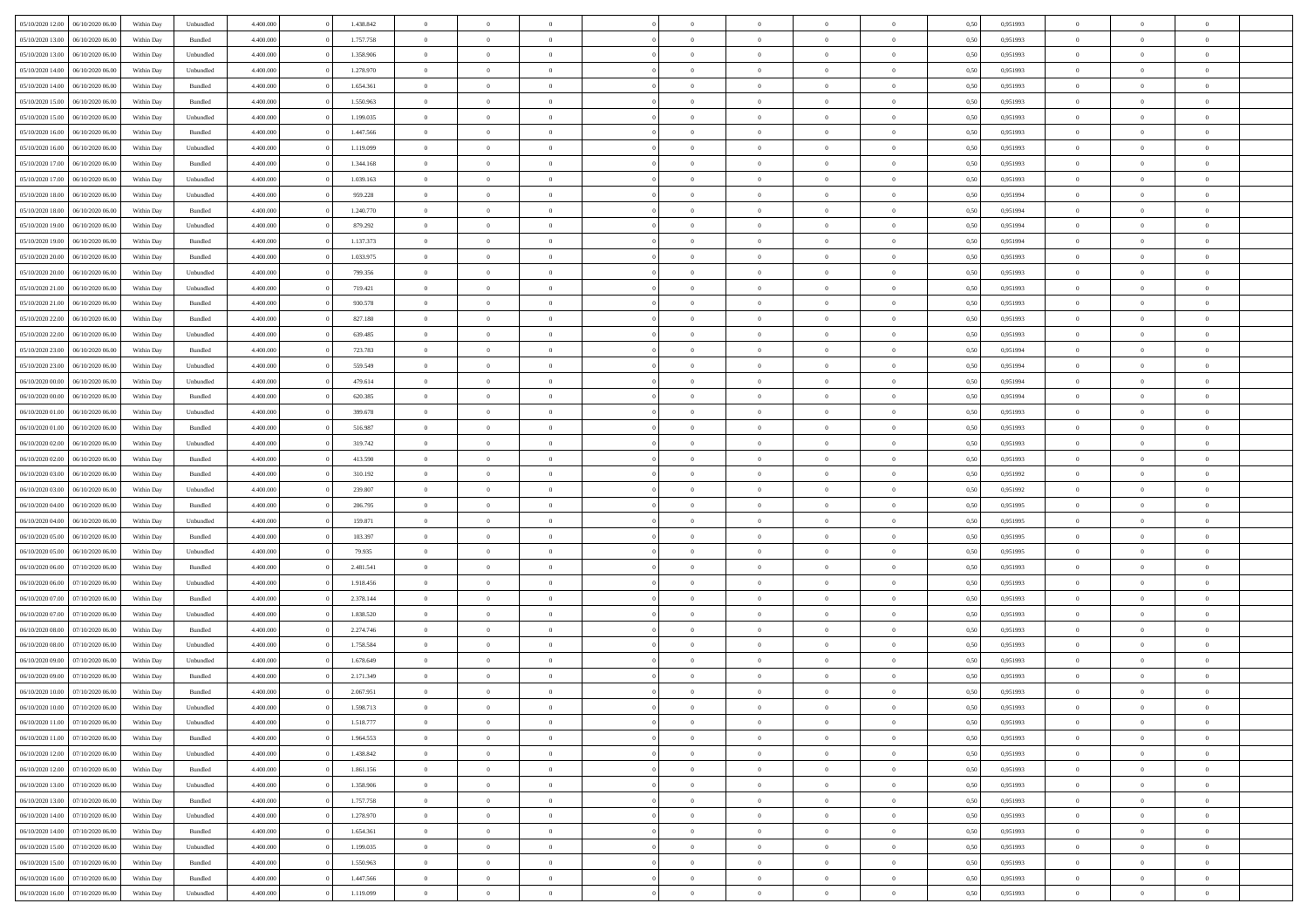| 05/10/2020 12:00<br>06/10/2020 06:00 | Within Day | Unbundled | 4.400.000 | 1.438.842 | $\overline{0}$ | $\theta$       |                | $\overline{0}$ | $\bf{0}$       | $\overline{0}$ | $\theta$       | 0,50 | 0,951993 | $\theta$       | $\theta$       | $\overline{0}$           |  |
|--------------------------------------|------------|-----------|-----------|-----------|----------------|----------------|----------------|----------------|----------------|----------------|----------------|------|----------|----------------|----------------|--------------------------|--|
| 05/10/2020 13:00<br>06/10/2020 06.0  | Within Day | Bundled   | 4.400.000 | 1.757.758 | $\overline{0}$ | $\overline{0}$ | $\overline{0}$ | $\overline{0}$ | $\,$ 0         | $\overline{0}$ | $\bf{0}$       | 0,50 | 0,951993 | $\,$ 0 $\,$    | $\overline{0}$ | $\overline{0}$           |  |
|                                      |            |           |           |           |                |                |                |                |                |                |                |      |          |                |                |                          |  |
| 05/10/2020 13:00<br>06/10/2020 06:00 | Within Day | Unbundled | 4.400,000 | 1.358.906 | $\overline{0}$ | $\overline{0}$ | $\overline{0}$ | $\overline{0}$ | $\bf{0}$       | $\overline{0}$ | $\overline{0}$ | 0.50 | 0,951993 | $\bf{0}$       | $\overline{0}$ | $\overline{0}$           |  |
| 05/10/2020 14:00<br>06/10/2020 06.00 | Within Day | Unbundled | 4.400.000 | 1.278.970 | $\overline{0}$ | $\overline{0}$ | $\overline{0}$ | $\overline{0}$ | $\,$ 0         | $\overline{0}$ | $\overline{0}$ | 0,50 | 0,951993 | $\,$ 0 $\,$    | $\overline{0}$ | $\overline{0}$           |  |
| 05/10/2020 14:00<br>06/10/2020 06.00 | Within Day | Bundled   | 4.400.000 | 1.654.361 | $\overline{0}$ | $\theta$       | $\overline{0}$ |                | $\overline{0}$ | $\overline{0}$ | $\bf{0}$       | 0,50 | 0,951993 | $\,$ 0 $\,$    | $\overline{0}$ | $\overline{0}$           |  |
| 05/10/2020 15:00<br>06/10/2020 06:00 | Within Day | Bundled   | 4.400,000 | 1.550.963 | $\overline{0}$ | $\overline{0}$ | $\overline{0}$ | $\overline{0}$ | $\bf{0}$       | $\overline{0}$ | $\overline{0}$ | 0.50 | 0.951993 | $\,0\,$        | $\theta$       | $\overline{0}$           |  |
| 05/10/2020 15:00<br>06/10/2020 06.00 | Within Day | Unbundled | 4.400.000 | 1.199.035 | $\overline{0}$ | $\overline{0}$ | $\overline{0}$ | $\overline{0}$ | $\,$ 0         | $\overline{0}$ | $\overline{0}$ | 0,50 | 0,951993 | $\,$ 0 $\,$    | $\theta$       | $\overline{0}$           |  |
| 05/10/2020 16:00<br>06/10/2020 06.00 | Within Day | Bundled   | 4.400.000 | 1.447.566 | $\overline{0}$ | $\theta$       | $\overline{0}$ | $\overline{0}$ | $\bf{0}$       | $\overline{0}$ | $\bf{0}$       | 0,50 | 0,951993 | $\,$ 0 $\,$    | $\overline{0}$ | $\overline{0}$           |  |
| 05/10/2020 16:00<br>06/10/2020 06:00 | Within Day | Unbundled | 4.400,000 | 1.119.099 | $\overline{0}$ | $\overline{0}$ | $\overline{0}$ | $\overline{0}$ | $\bf{0}$       | $\overline{0}$ | $\bf{0}$       | 0.50 | 0.951993 | $\,0\,$        | $\overline{0}$ | $\overline{0}$           |  |
| 05/10/2020 17:00<br>06/10/2020 06.00 | Within Day | Bundled   | 4.400.000 | 1.344.168 | $\overline{0}$ | $\overline{0}$ | $\overline{0}$ | $\overline{0}$ | $\,$ 0         | $\overline{0}$ | $\bf{0}$       | 0,50 | 0,951993 | $\,$ 0 $\,$    | $\overline{0}$ | $\overline{0}$           |  |
| 05/10/2020 17.00<br>06/10/2020 06.00 | Within Day | Unbundled | 4.400.000 | 1.039.163 | $\overline{0}$ | $\theta$       | $\overline{0}$ | $\overline{0}$ | $\,$ 0         | $\overline{0}$ | $\bf{0}$       | 0,50 | 0,951993 | $\,$ 0 $\,$    | $\overline{0}$ | $\overline{0}$           |  |
| 05/10/2020 18:00<br>06/10/2020 06:00 | Within Day | Unbundled | 4.400,000 | 959.228   | $\overline{0}$ | $\overline{0}$ | $\overline{0}$ | $\overline{0}$ | $\bf{0}$       | $\overline{0}$ | $\mathbf{0}$   | 0.50 | 0.951994 | $\bf{0}$       | $\overline{0}$ | $\overline{\phantom{a}}$ |  |
| 05/10/2020 18:00<br>06/10/2020 06.00 | Within Day | Bundled   | 4.400.000 | 1.240.770 | $\overline{0}$ | $\overline{0}$ | $\overline{0}$ | $\overline{0}$ | $\,$ 0         | $\overline{0}$ | $\overline{0}$ | 0,50 | 0,951994 | $\,$ 0 $\,$    | $\overline{0}$ | $\overline{0}$           |  |
| 05/10/2020 19:00<br>06/10/2020 06.00 | Within Day | Unbundled | 4.400.000 | 879.292   | $\overline{0}$ | $\theta$       | $\overline{0}$ | $\overline{0}$ | $\overline{0}$ | $\overline{0}$ | $\bf{0}$       | 0,50 | 0,951994 | $\,$ 0 $\,$    | $\overline{0}$ | $\overline{0}$           |  |
| 06/10/2020 06:00                     | Within Day | Bundled   | 4.400,000 | 1.137.373 | $\overline{0}$ | $\overline{0}$ | $\overline{0}$ | $\overline{0}$ | $\bf{0}$       | $\overline{0}$ | $\overline{0}$ | 0.50 | 0.951994 | $\theta$       | $\theta$       | $\overline{0}$           |  |
| 05/10/2020 19:00                     |            |           |           |           | $\overline{0}$ | $\overline{0}$ | $\overline{0}$ | $\overline{0}$ |                | $\overline{0}$ |                |      |          |                | $\theta$       | $\overline{0}$           |  |
| 05/10/2020 20:00<br>06/10/2020 06.00 | Within Day | Bundled   | 4.400.000 | 1.033.975 |                |                |                |                | $\,$ 0         |                | $\bf{0}$       | 0,50 | 0,951993 | $\,$ 0 $\,$    |                |                          |  |
| 05/10/2020 20.00<br>06/10/2020 06.00 | Within Day | Unbundled | 4.400.000 | 799.356   | $\overline{0}$ | $\theta$       | $\overline{0}$ |                | $\bf{0}$       | $\overline{0}$ | $\bf{0}$       | 0,50 | 0,951993 | $\,$ 0 $\,$    | $\overline{0}$ | $\overline{0}$           |  |
| 05/10/2020 21.00<br>06/10/2020 06:00 | Within Day | Unbundled | 4.400,000 | 719.421   | $\overline{0}$ | $\overline{0}$ | $\overline{0}$ | $\overline{0}$ | $\bf{0}$       | $\overline{0}$ | $\bf{0}$       | 0.50 | 0.951993 | $\,0\,$        | $\overline{0}$ | $\overline{0}$           |  |
| 05/10/2020 21:00<br>06/10/2020 06.00 | Within Day | Bundled   | 4.400.000 | 930.578   | $\overline{0}$ | $\overline{0}$ | $\overline{0}$ | $\overline{0}$ | $\,$ 0         | $\overline{0}$ | $\bf{0}$       | 0,50 | 0,951993 | $\,$ 0 $\,$    | $\overline{0}$ | $\overline{0}$           |  |
| 05/10/2020 22.00<br>06/10/2020 06.00 | Within Day | Bundled   | 4.400.000 | 827.180   | $\overline{0}$ | $\theta$       | $\overline{0}$ | $\overline{0}$ | $\,$ 0         | $\bf{0}$       | $\bf{0}$       | 0,50 | 0,951993 | $\,$ 0 $\,$    | $\overline{0}$ | $\overline{0}$           |  |
| 05/10/2020 22.00<br>06/10/2020 06:00 | Within Day | Unbundled | 4.400,000 | 639.485   | $\overline{0}$ | $\overline{0}$ | $\overline{0}$ | $\overline{0}$ | $\bf{0}$       | $\overline{0}$ | $\mathbf{0}$   | 0.50 | 0,951993 | $\bf{0}$       | $\overline{0}$ | $\overline{\phantom{a}}$ |  |
| 05/10/2020 23:00<br>06/10/2020 06.00 | Within Day | Bundled   | 4.400.000 | 723.783   | $\overline{0}$ | $\overline{0}$ | $\overline{0}$ | $\overline{0}$ | $\bf{0}$       | $\overline{0}$ | $\overline{0}$ | 0,50 | 0,951994 | $\,$ 0 $\,$    | $\overline{0}$ | $\overline{0}$           |  |
| 05/10/2020 23.00<br>06/10/2020 06.00 | Within Day | Unbundled | 4.400.000 | 559.549   | $\overline{0}$ | $\theta$       | $\overline{0}$ | $\overline{0}$ | $\bf{0}$       | $\overline{0}$ | $\bf{0}$       | 0,50 | 0,951994 | $\,$ 0 $\,$    | $\overline{0}$ | $\overline{0}$           |  |
| 06/10/2020 00.00<br>06/10/2020 06:00 | Within Day | Unbundled | 4.400,000 | 479.614   | $\overline{0}$ | $\overline{0}$ | $\overline{0}$ | $\overline{0}$ | $\bf{0}$       | $\overline{0}$ | $\overline{0}$ | 0.50 | 0.951994 | $\,0\,$        | $\theta$       | $\overline{0}$           |  |
| 06/10/2020 00:00<br>06/10/2020 06.00 | Within Day | Bundled   | 4.400.000 | 620.385   | $\overline{0}$ | $\overline{0}$ | $\overline{0}$ | $\overline{0}$ | $\,$ 0         | $\overline{0}$ | $\overline{0}$ | 0,50 | 0,951994 | $\,0\,$        | $\theta$       | $\overline{0}$           |  |
| 06/10/2020 01:00<br>06/10/2020 06.00 | Within Day | Unbundled | 4.400.000 | 399.678   | $\overline{0}$ | $\theta$       | $\overline{0}$ |                | $\bf{0}$       | $\overline{0}$ | $\bf{0}$       | 0,50 | 0,951993 | $\,$ 0 $\,$    | $\overline{0}$ | $\overline{0}$           |  |
| 06/10/2020 01.00<br>06/10/2020 06:00 | Within Day | Bundled   | 4.400,000 | 516.987   | $\overline{0}$ | $\overline{0}$ | $\overline{0}$ | $\overline{0}$ | $\bf{0}$       | $\overline{0}$ | $\bf{0}$       | 0.50 | 0.951993 | $\,0\,$        | $\overline{0}$ | $\overline{0}$           |  |
| 06/10/2020 02.00<br>06/10/2020 06.00 | Within Day | Unbundled | 4.400.000 | 319.742   | $\overline{0}$ | $\overline{0}$ | $\overline{0}$ | $\overline{0}$ | $\bf{0}$       | $\overline{0}$ | $\bf{0}$       | 0,50 | 0,951993 | $\,$ 0 $\,$    | $\overline{0}$ | $\overline{0}$           |  |
| 06/10/2020 02.00<br>06/10/2020 06.00 | Within Day | Bundled   | 4.400.000 | 413.590   | $\overline{0}$ | $\overline{0}$ | $\overline{0}$ | $\overline{0}$ | $\,$ 0         | $\bf{0}$       | $\bf{0}$       | 0,50 | 0,951993 | $\,$ 0 $\,$    | $\overline{0}$ | $\overline{0}$           |  |
| 06/10/2020 03:00<br>06/10/2020 06:00 |            |           | 4.400,000 | 310.192   |                | $\overline{0}$ | $\overline{0}$ | $\overline{0}$ | $\bf{0}$       | $\overline{0}$ |                | 0.50 |          | $\bf{0}$       | $\overline{0}$ | $\overline{\phantom{a}}$ |  |
|                                      | Within Day | Bundled   |           |           | $\overline{0}$ |                |                |                |                |                | $\mathbf{0}$   |      | 0,951992 |                |                |                          |  |
| 06/10/2020 03:00<br>06/10/2020 06:00 | Within Dav | Unbundled | 4.400.000 | 239.807   | $\overline{0}$ | $\overline{0}$ | $\overline{0}$ | $\overline{0}$ | $\bf{0}$       | $\overline{0}$ | $\overline{0}$ | 0.50 | 0.951992 | $\theta$       | $\overline{0}$ | $\overline{0}$           |  |
| 06/10/2020 04:00<br>06/10/2020 06.00 | Within Day | Bundled   | 4.400.000 | 206.795   | $\overline{0}$ | $\theta$       | $\overline{0}$ | $\overline{0}$ | $\bf{0}$       | $\overline{0}$ | $\bf{0}$       | 0,50 | 0,951995 | $\,$ 0 $\,$    | $\overline{0}$ | $\overline{0}$           |  |
| 06/10/2020 04:00<br>06/10/2020 06:00 | Within Day | Unbundled | 4.400,000 | 159.871   | $\overline{0}$ | $\overline{0}$ | $\overline{0}$ | $\overline{0}$ | $\,$ 0         | $\overline{0}$ | $\bf{0}$       | 0.50 | 0,951995 | $\,0\,$        | $\theta$       | $\overline{0}$           |  |
| 06/10/2020 05:00<br>06/10/2020 06.00 | Within Dav | Bundled   | 4.400.000 | 103.397   | $\overline{0}$ | $\theta$       | $\Omega$       | $\overline{0}$ | $\bf{0}$       | $\overline{0}$ | $\overline{0}$ | 0.50 | 0.951995 | $\theta$       | $\overline{0}$ | $\overline{0}$           |  |
| 06/10/2020 05:00<br>06/10/2020 06.00 | Within Day | Unbundled | 4.400.000 | 79.935    | $\overline{0}$ | $\theta$       | $\overline{0}$ | $\overline{0}$ | $\,$ 0         | $\overline{0}$ | $\bf{0}$       | 0,50 | 0,951995 | $\,$ 0 $\,$    | $\overline{0}$ | $\overline{0}$           |  |
| 06/10/2020 06.00<br>07/10/2020 06.00 | Within Day | Bundled   | 4.400,000 | 2.481.541 | $\overline{0}$ | $\overline{0}$ | $\overline{0}$ | $\overline{0}$ | $\bf{0}$       | $\overline{0}$ | $\bf{0}$       | 0.50 | 0.951993 | $\,0\,$        | $\overline{0}$ | $\overline{0}$           |  |
| 06/10/2020 06:00<br>07/10/2020 06.00 | Within Dav | Unbundled | 4.400.000 | 1.918.456 | $\overline{0}$ | $\overline{0}$ | $\overline{0}$ | $\overline{0}$ | $\overline{0}$ | $\overline{0}$ | $\overline{0}$ | 0.50 | 0.951993 | $\theta$       | $\overline{0}$ | $\overline{0}$           |  |
| 06/10/2020 07:00<br>07/10/2020 06.00 | Within Day | Bundled   | 4.400.000 | 2.378.144 | $\overline{0}$ | $\overline{0}$ | $\overline{0}$ | $\overline{0}$ | $\bf{0}$       | $\bf{0}$       | $\bf{0}$       | 0,50 | 0,951993 | $\,$ 0 $\,$    | $\overline{0}$ | $\overline{0}$           |  |
| 06/10/2020 07.00<br>07/10/2020 06:00 | Within Day | Unbundled | 4.400,000 | 1.838.520 | $\overline{0}$ | $\overline{0}$ | $\overline{0}$ | $\overline{0}$ | $\bf{0}$       | $\overline{0}$ | $\mathbf{0}$   | 0.50 | 0,951993 | $\bf{0}$       | $\overline{0}$ | $\overline{0}$           |  |
| 06/10/2020 08:00<br>07/10/2020 06.00 | Within Dav | Bundled   | 4.400.000 | 2.274.746 | $\overline{0}$ | $\overline{0}$ | $\Omega$       | $\overline{0}$ | $\bf{0}$       | $\overline{0}$ | $\overline{0}$ | 0.50 | 0.951993 | $\theta$       | $\overline{0}$ | $\overline{0}$           |  |
| 06/10/2020 08:00<br>07/10/2020 06.00 | Within Day | Unbundled | 4.400.000 | 1.758.584 | $\overline{0}$ | $\theta$       | $\overline{0}$ | $\overline{0}$ | $\,$ 0         | $\overline{0}$ | $\bf{0}$       | 0,50 | 0,951993 | $\,$ 0 $\,$    | $\overline{0}$ | $\overline{0}$           |  |
| 06/10/2020 09:00<br>07/10/2020 06.00 | Within Day | Unbundled | 4.400,000 | 1.678.649 | $\overline{0}$ | $\theta$       | $\overline{0}$ | $\overline{0}$ | $\overline{0}$ | $\Omega$       | $\overline{0}$ | 0.50 | 0,951993 | $\,0\,$        | $\theta$       | $\theta$                 |  |
| 06/10/2020 09:00<br>07/10/2020 06.00 | Within Dav | Bundled   | 4.400.000 | 2.171.349 | $\overline{0}$ | $\Omega$       | $\Omega$       | $\Omega$       | $\bf{0}$       | $\overline{0}$ | $\bf{0}$       | 0.50 | 0.951993 | $\theta$       | $\theta$       | $\overline{0}$           |  |
| 06/10/2020 10:00<br>07/10/2020 06.00 | Within Day | Bundled   | 4.400.000 | 2.067.951 | $\overline{0}$ | $\,$ 0 $\,$    | $\overline{0}$ | $\bf{0}$       | $\,$ 0         | $\overline{0}$ | $\bf{0}$       | 0,50 | 0,951993 | $\,$ 0 $\,$    | $\overline{0}$ | $\overline{0}$           |  |
| 06/10/2020 10:00 07/10/2020 06:00    | Within Day | Unbundled | 4.400.000 | 1.598.713 | $\bf{0}$       | $\theta$       |                | $^{\circ}$     | $\Omega$       |                |                | 0,50 | 0.951993 | $\bf{0}$       | $\theta$       |                          |  |
| 06/10/2020 11:00 07/10/2020 06:00    | Within Day | Unbundled | 4.400.000 | 1.518.777 | $\overline{0}$ | $\overline{0}$ | $\overline{0}$ | $\overline{0}$ | $\overline{0}$ | $\overline{0}$ | $\overline{0}$ | 0,50 | 0.951993 | $\theta$       | $\overline{0}$ | $\overline{0}$           |  |
| 06/10/2020 11:00<br>07/10/2020 06.00 | Within Day | Bundled   | 4.400.000 | 1.964.553 | $\overline{0}$ | $\overline{0}$ | $\overline{0}$ | $\overline{0}$ | $\overline{0}$ | $\overline{0}$ | $\bf{0}$       | 0,50 | 0,951993 | $\bf{0}$       | $\overline{0}$ | $\bf{0}$                 |  |
| 06/10/2020 12:00<br>07/10/2020 06.00 | Within Day | Unbundled | 4.400.000 | 1.438.842 | $\overline{0}$ | $\overline{0}$ | $\overline{0}$ | $\overline{0}$ | $\overline{0}$ | $\overline{0}$ | $\mathbf{0}$   | 0.50 | 0,951993 | $\overline{0}$ | $\bf{0}$       | $\bf{0}$                 |  |
| 06/10/2020 12:00<br>07/10/2020 06.00 | Within Day | Bundled   | 4.400.000 | 1.861.156 | $\overline{0}$ | $\overline{0}$ | $\overline{0}$ | $\overline{0}$ | $\overline{0}$ | $\overline{0}$ | $\overline{0}$ | 0,50 | 0.951993 | $\overline{0}$ | $\theta$       | $\overline{0}$           |  |
|                                      |            |           |           |           |                |                |                |                |                |                |                |      |          |                |                |                          |  |
| 06/10/2020 13:00<br>07/10/2020 06.00 | Within Day | Unbundled | 4.400.000 | 1.358.906 | $\overline{0}$ | $\overline{0}$ | $\overline{0}$ | $\overline{0}$ | $\bf{0}$       | $\overline{0}$ | $\bf{0}$       | 0,50 | 0,951993 | $\bf{0}$       | $\overline{0}$ | $\overline{0}$           |  |
| 06/10/2020 13:00<br>07/10/2020 06:00 | Within Day | Bundled   | 4.400.000 | 1.757.758 | $\overline{0}$ | $\overline{0}$ | $\overline{0}$ | $\overline{0}$ | $\bf{0}$       | $\overline{0}$ | $\mathbf{0}$   | 0.50 | 0.951993 | $\,$ 0 $\,$    | $\overline{0}$ | $\overline{0}$           |  |
| 06/10/2020 14:00<br>07/10/2020 06:00 | Within Day | Unbundled | 4.400.000 | 1.278.970 | $\overline{0}$ | $\overline{0}$ | $\overline{0}$ | $\overline{0}$ | $\overline{0}$ | $\overline{0}$ | $\overline{0}$ | 0,50 | 0.951993 | $\overline{0}$ | $\overline{0}$ | $\overline{0}$           |  |
| 06/10/2020 14:00<br>07/10/2020 06.00 | Within Day | Bundled   | 4.400.000 | 1.654.361 | $\overline{0}$ | $\,$ 0         | $\overline{0}$ | $\bf{0}$       | $\overline{0}$ | $\overline{0}$ | $\bf{0}$       | 0,50 | 0,951993 | $\,$ 0 $\,$    | $\overline{0}$ | $\overline{0}$           |  |
| 06/10/2020 15:00<br>07/10/2020 06:00 | Within Day | Unbundled | 4.400.000 | 1.199.035 | $\overline{0}$ | $\overline{0}$ | $\overline{0}$ | $\overline{0}$ | $\bf{0}$       | $\overline{0}$ | $\mathbf{0}$   | 0.50 | 0.951993 | $\mathbf{0}$   | $\bf{0}$       | $\overline{0}$           |  |
| 06/10/2020 15:00<br>07/10/2020 06.00 | Within Dav | Bundled   | 4.400.000 | 1.550.963 | $\overline{0}$ | $\overline{0}$ | $\overline{0}$ | $\overline{0}$ | $\overline{0}$ | $\overline{0}$ | $\overline{0}$ | 0,50 | 0.951993 | $\overline{0}$ | $\overline{0}$ | $\overline{0}$           |  |
| 06/10/2020 16:00<br>07/10/2020 06.00 | Within Day | Bundled   | 4.400.000 | 1.447.566 | $\overline{0}$ | $\bf{0}$       | $\overline{0}$ | $\bf{0}$       | $\bf{0}$       | $\overline{0}$ | $\bf{0}$       | 0,50 | 0,951993 | $\bf{0}$       | $\overline{0}$ | $\bf{0}$                 |  |
| 06/10/2020 16:00 07/10/2020 06:00    | Within Day | Unbundled | 4.400.000 | 1.119.099 | $\overline{0}$ | $\,$ 0 $\,$    | $\overline{0}$ | $\overline{0}$ | $\,$ 0 $\,$    | $\,$ 0 $\,$    | $\,$ 0 $\,$    | 0,50 | 0,951993 | $\overline{0}$ | $\,$ 0 $\,$    | $\,$ 0 $\,$              |  |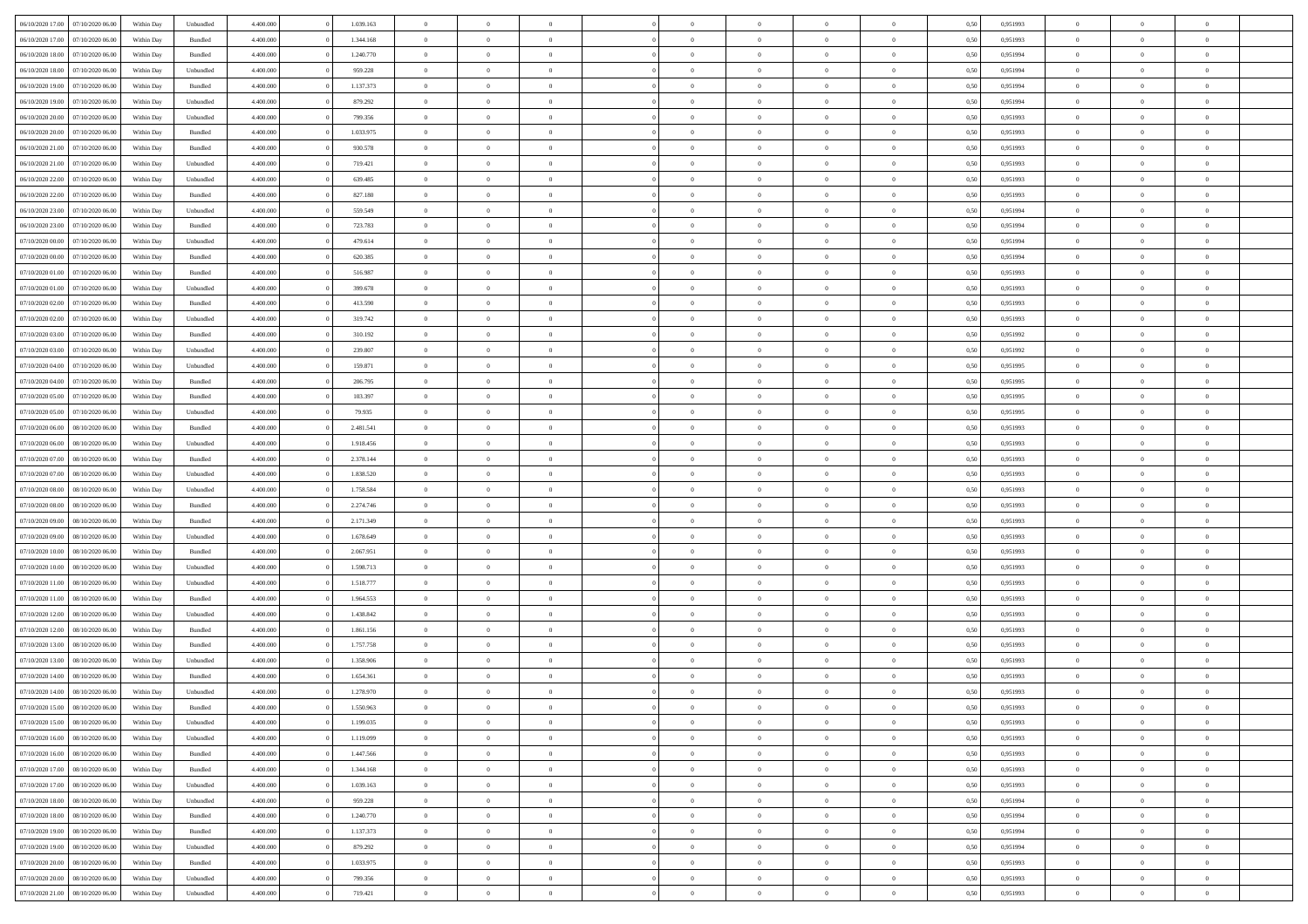|                                   |                  |            |                    |           |           |                |                |                |                | $\Omega$       | $\theta$       | $\theta$       |      |          | $\theta$       | $\overline{0}$ | $\theta$       |  |
|-----------------------------------|------------------|------------|--------------------|-----------|-----------|----------------|----------------|----------------|----------------|----------------|----------------|----------------|------|----------|----------------|----------------|----------------|--|
| 06/10/2020 17:00                  | 07/10/2020 06:00 | Within Dav | Unbundled          | 4.400.000 | 1.039.163 | $\overline{0}$ | $\theta$       |                | $\Omega$       |                |                |                | 0,50 | 0,951993 |                |                |                |  |
| 06/10/2020 17.00                  | 07/10/2020 06.00 | Within Day | Bundled            | 4.400.000 | 1.344.168 | $\overline{0}$ | $\theta$       | $\overline{0}$ | $\overline{0}$ | $\bf{0}$       | $\overline{0}$ | $\bf{0}$       | 0,50 | 0,951993 | $\theta$       | $\overline{0}$ | $\overline{0}$ |  |
| 06/10/2020 18:00                  | 07/10/2020 06.00 | Within Day | Bundled            | 4.400.000 | 1.240.770 | $\overline{0}$ | $\bf{0}$       | $\overline{0}$ | $\bf{0}$       | $\bf{0}$       | $\bf{0}$       | $\mathbf{0}$   | 0,50 | 0,951994 | $\overline{0}$ | $\overline{0}$ | $\overline{0}$ |  |
| 06/10/2020 18:00                  | 07/10/2020 06.00 | Within Dav | Unbundled          | 4.400.000 | 959.228   | $\overline{0}$ | $\overline{0}$ | $\overline{0}$ | $\overline{0}$ | $\bf{0}$       | $\overline{0}$ | $\overline{0}$ | 0.50 | 0.951994 | $\theta$       | $\overline{0}$ | $\overline{0}$ |  |
| 06/10/2020 19:00                  | 07/10/2020 06.00 | Within Day | Bundled            | 4.400.000 | 1.137.373 | $\overline{0}$ | $\theta$       | $\overline{0}$ | $\overline{0}$ | $\bf{0}$       | $\overline{0}$ | $\bf{0}$       | 0,50 | 0,951994 | $\theta$       | $\overline{0}$ | $\overline{0}$ |  |
|                                   |                  |            |                    |           |           |                |                |                |                |                |                |                |      |          |                |                | $\bf{0}$       |  |
| 06/10/2020 19:00                  | 07/10/2020 06.00 | Within Day | Unbundled          | 4.400.000 | 879.292   | $\overline{0}$ | $\overline{0}$ | $\overline{0}$ | $\bf{0}$       | $\overline{0}$ | $\overline{0}$ | $\mathbf{0}$   | 0,50 | 0,951994 | $\overline{0}$ | $\overline{0}$ |                |  |
| 06/10/2020 20:00                  | 07/10/2020 06.00 | Within Dav | Unbundled          | 4.400.000 | 799.356   | $\overline{0}$ | $\overline{0}$ | $\overline{0}$ | $\overline{0}$ | $\overline{0}$ | $\overline{0}$ | $\overline{0}$ | 0.50 | 0.951993 | $\theta$       | $\overline{0}$ | $\overline{0}$ |  |
| 06/10/2020 20.00                  | 07/10/2020 06.00 | Within Day | Bundled            | 4.400.000 | 1.033.975 | $\overline{0}$ | $\theta$       | $\overline{0}$ | $\overline{0}$ | $\bf{0}$       | $\overline{0}$ | $\bf{0}$       | 0,50 | 0,951993 | $\theta$       | $\theta$       | $\overline{0}$ |  |
| 06/10/2020 21:00                  | 07/10/2020 06.00 | Within Day | Bundled            | 4.400.000 | 930.578   | $\overline{0}$ | $\overline{0}$ | $\overline{0}$ | $\bf{0}$       | $\bf{0}$       | $\bf{0}$       | $\bf{0}$       | 0,50 | 0,951993 | $\,0\,$        | $\overline{0}$ | $\overline{0}$ |  |
| 06/10/2020 21:00                  | 07/10/2020 06.00 | Within Dav | Unbundled          | 4.400.000 | 719.421   | $\overline{0}$ | $\overline{0}$ | $\overline{0}$ | $\overline{0}$ | $\overline{0}$ | $\overline{0}$ | $\overline{0}$ | 0.50 | 0.951993 | $\theta$       | $\overline{0}$ | $\overline{0}$ |  |
| 06/10/2020 22.00                  | 07/10/2020 06.00 | Within Day | Unbundled          | 4.400.000 | 639.485   | $\overline{0}$ | $\theta$       | $\overline{0}$ | $\overline{0}$ | $\bf{0}$       | $\overline{0}$ | $\bf{0}$       | 0,50 | 0,951993 | $\,$ 0 $\,$    | $\overline{0}$ | $\overline{0}$ |  |
| 06/10/2020 22.00                  | 07/10/2020 06.00 | Within Day | Bundled            | 4.400.000 | 827.180   | $\overline{0}$ | $\overline{0}$ | $\overline{0}$ | $\bf{0}$       | $\bf{0}$       | $\bf{0}$       | $\mathbf{0}$   | 0,50 | 0,951993 | $\overline{0}$ | $\overline{0}$ | $\bf{0}$       |  |
| 06/10/2020 23.00                  | 07/10/2020 06.00 | Within Day | Unbundled          | 4.400.000 | 559.549   | $\overline{0}$ | $\overline{0}$ | $\overline{0}$ | $\overline{0}$ | $\bf{0}$       | $\overline{0}$ | $\overline{0}$ | 0.50 | 0.951994 | $\theta$       | $\theta$       | $\overline{0}$ |  |
|                                   |                  |            |                    |           |           |                |                |                |                |                |                |                |      |          |                |                |                |  |
| 06/10/2020 23.00                  | 07/10/2020 06.00 | Within Day | Bundled            | 4.400.000 | 723.783   | $\overline{0}$ | $\theta$       | $\overline{0}$ | $\overline{0}$ | $\bf{0}$       | $\overline{0}$ | $\bf{0}$       | 0,50 | 0,951994 | $\theta$       | $\overline{0}$ | $\overline{0}$ |  |
| 07/10/2020 00.00                  | 07/10/2020 06.00 | Within Day | Unbundled          | 4.400.000 | 479.614   | $\overline{0}$ | $\overline{0}$ | $\overline{0}$ | $\bf{0}$       | $\overline{0}$ | $\overline{0}$ | $\mathbf{0}$   | 0,50 | 0,951994 | $\overline{0}$ | $\overline{0}$ | $\bf{0}$       |  |
| 07/10/2020 00:00                  | 07/10/2020 06.00 | Within Dav | Bundled            | 4.400.000 | 620.385   | $\overline{0}$ | $\overline{0}$ | $\overline{0}$ | $\overline{0}$ | $\overline{0}$ | $\overline{0}$ | $\overline{0}$ | 0.50 | 0,951994 | $\overline{0}$ | $\overline{0}$ | $\overline{0}$ |  |
| 07/10/2020 01:00                  | 07/10/2020 06.00 | Within Day | Bundled            | 4.400.000 | 516.987   | $\overline{0}$ | $\theta$       | $\overline{0}$ | $\overline{0}$ | $\bf{0}$       | $\overline{0}$ | $\bf{0}$       | 0,50 | 0,951993 | $\,$ 0 $\,$    | $\overline{0}$ | $\overline{0}$ |  |
| 07/10/2020 01.00                  | 07/10/2020 06.00 | Within Day | Unbundled          | 4.400.000 | 399.678   | $\overline{0}$ | $\overline{0}$ | $\overline{0}$ | $\bf{0}$       | $\bf{0}$       | $\bf{0}$       | $\mathbf{0}$   | 0,50 | 0,951993 | $\,0\,$        | $\overline{0}$ | $\overline{0}$ |  |
| 07/10/2020 02.00                  | 07/10/2020 06.00 | Within Day | Bundled            | 4.400.000 | 413.590   | $\overline{0}$ | $\overline{0}$ | $\overline{0}$ | $\overline{0}$ | $\overline{0}$ | $\overline{0}$ | $\overline{0}$ | 0.50 | 0.951993 | $\theta$       | $\overline{0}$ | $\overline{0}$ |  |
| 07/10/2020 02.00                  | 07/10/2020 06.00 | Within Day | Unbundled          | 4.400.000 | 319.742   | $\overline{0}$ | $\theta$       | $\overline{0}$ | $\overline{0}$ | $\bf{0}$       | $\overline{0}$ | $\bf{0}$       | 0,50 | 0,951993 | $\,$ 0 $\,$    | $\overline{0}$ | $\overline{0}$ |  |
|                                   |                  |            |                    |           |           |                |                |                |                |                |                |                |      |          |                |                |                |  |
| 07/10/2020 03.00                  | 07/10/2020 06.00 | Within Day | Bundled            | 4.400.000 | 310.192   | $\overline{0}$ | $\overline{0}$ | $\overline{0}$ | $\overline{0}$ | $\bf{0}$       | $\overline{0}$ | $\bf{0}$       | 0,50 | 0,951992 | $\bf{0}$       | $\overline{0}$ | $\bf{0}$       |  |
| 07/10/2020 03:00                  | 07/10/2020 06:00 | Within Day | Unbundled          | 4.400.000 | 239.807   | $\overline{0}$ | $\overline{0}$ | $\overline{0}$ | $\overline{0}$ | $\overline{0}$ | $\overline{0}$ | $\overline{0}$ | 0.50 | 0.951992 | $\theta$       | $\overline{0}$ | $\overline{0}$ |  |
| 07/10/2020 04.00                  | 07/10/2020 06.00 | Within Day | Unbundled          | 4.400.000 | 159.871   | $\overline{0}$ | $\theta$       | $\overline{0}$ | $\overline{0}$ | $\bf{0}$       | $\overline{0}$ | $\bf{0}$       | 0,50 | 0,951995 | $\,$ 0 $\,$    | $\overline{0}$ | $\overline{0}$ |  |
| 07/10/2020 04.00                  | 07/10/2020 06.00 | Within Day | Bundled            | 4.400.000 | 206.795   | $\overline{0}$ | $\overline{0}$ | $\overline{0}$ | $\overline{0}$ | $\overline{0}$ | $\overline{0}$ | $\mathbf{0}$   | 0,50 | 0,951995 | $\overline{0}$ | $\overline{0}$ | $\bf{0}$       |  |
| 07/10/2020 05:00                  | 07/10/2020 06.00 | Within Dav | Bundled            | 4.400.000 | 103.397   | $\overline{0}$ | $\overline{0}$ | $\overline{0}$ | $\overline{0}$ | $\overline{0}$ | $\overline{0}$ | $\overline{0}$ | 0.50 | 0.951995 | $\overline{0}$ | $\overline{0}$ | $\overline{0}$ |  |
| 07/10/2020 05.00                  | 07/10/2020 06.00 | Within Day | Unbundled          | 4.400.000 | 79.935    | $\overline{0}$ | $\theta$       | $\overline{0}$ | $\overline{0}$ | $\bf{0}$       | $\overline{0}$ | $\bf{0}$       | 0,50 | 0,951995 | $\theta$       | $\overline{0}$ | $\overline{0}$ |  |
| 07/10/2020 06.00                  | 08/10/2020 06.00 | Within Day | Bundled            | 4.400.000 | 2.481.541 | $\overline{0}$ | $\overline{0}$ | $\overline{0}$ | $\overline{0}$ | $\bf{0}$       | $\overline{0}$ | $\bf{0}$       | 0,50 | 0,951993 | $\,0\,$        | $\overline{0}$ | $\overline{0}$ |  |
|                                   |                  |            |                    |           |           |                | $\overline{0}$ |                |                | $\overline{0}$ |                |                |      |          | $\theta$       | $\overline{0}$ | $\overline{0}$ |  |
| 07/10/2020 06.00                  | 08/10/2020 06.00 | Within Day | Unbundled          | 4.400.000 | 1.918.456 | $\overline{0}$ |                | $\overline{0}$ | $\overline{0}$ |                | $\overline{0}$ | $\overline{0}$ | 0.50 | 0.951993 |                |                |                |  |
| 07/10/2020 07.00                  | 08/10/2020 06.00 | Within Day | Bundled            | 4.400.000 | 2.378.144 | $\overline{0}$ | $\theta$       | $\overline{0}$ | $\overline{0}$ | $\bf{0}$       | $\overline{0}$ | $\bf{0}$       | 0,50 | 0,951993 | $\,$ 0 $\,$    | $\overline{0}$ | $\overline{0}$ |  |
| 07/10/2020 07.00                  | 08/10/2020 06.00 | Within Day | Unbundled          | 4.400.000 | 1.838.520 | $\overline{0}$ | $\overline{0}$ | $\overline{0}$ | $\overline{0}$ | $\bf{0}$       | $\overline{0}$ | $\bf{0}$       | 0,50 | 0,951993 | $\overline{0}$ | $\overline{0}$ | $\bf{0}$       |  |
| 07/10/2020 08:00                  | 08/10/2020 06:00 | Within Day | Unbundled          | 4.400,000 | 1.758.584 | $\overline{0}$ | $\Omega$       | $\Omega$       | $\Omega$       | $\Omega$       | $\overline{0}$ | $\overline{0}$ | 0,50 | 0,951993 | $\,0\,$        | $\theta$       | $\theta$       |  |
| 07/10/2020 08:00                  | 08/10/2020 06.00 | Within Day | Bundled            | 4.400.000 | 2.274.746 | $\overline{0}$ | $\theta$       | $\overline{0}$ | $\overline{0}$ | $\bf{0}$       | $\overline{0}$ | $\bf{0}$       | 0,50 | 0,951993 | $\,$ 0 $\,$    | $\overline{0}$ | $\overline{0}$ |  |
| 07/10/2020 09:00                  | 08/10/2020 06:00 | Within Day | Bundled            | 4.400.000 | 2.171.349 | $\overline{0}$ | $\overline{0}$ | $\overline{0}$ | $\overline{0}$ | $\overline{0}$ | $\overline{0}$ | $\mathbf{0}$   | 0,50 | 0,951993 | $\overline{0}$ | $\overline{0}$ | $\bf{0}$       |  |
| 07/10/2020 09:00                  | 08/10/2020 06:00 | Within Day | Unbundled          | 4.400,000 | 1.678.649 | $\overline{0}$ | $\Omega$       | $\Omega$       | $\Omega$       | $\overline{0}$ | $\overline{0}$ | $\overline{0}$ | 0.50 | 0,951993 | $\,0\,$        | $\theta$       | $\theta$       |  |
| 07/10/2020 10:00                  | 08/10/2020 06.00 | Within Day | Bundled            | 4.400.000 | 2.067.951 | $\overline{0}$ | $\theta$       | $\overline{0}$ | $\overline{0}$ | $\bf{0}$       | $\overline{0}$ | $\bf{0}$       | 0,50 | 0,951993 | $\,$ 0 $\,$    | $\overline{0}$ | $\overline{0}$ |  |
|                                   |                  |            |                    |           |           |                | $\overline{0}$ |                |                | $\bf{0}$       |                |                |      |          | $\,0\,$        | $\overline{0}$ | $\bf{0}$       |  |
| 07/10/2020 10.00                  | 08/10/2020 06.00 | Within Day | Unbundled          | 4.400.000 | 1.598.713 | $\overline{0}$ |                | $\overline{0}$ | $\bf{0}$       |                | $\bf{0}$       | $\bf{0}$       | 0,50 | 0,951993 |                |                |                |  |
| 07/10/2020 11:00                  | 08/10/2020 06:00 | Within Day | Unbundled          | 4.400,000 | 1.518.777 | $\overline{0}$ | $\Omega$       | $\Omega$       | $\Omega$       | $\overline{0}$ | $\overline{0}$ | $\overline{0}$ | 0.50 | 0.951993 | $\,$ 0 $\,$    | $\theta$       | $\theta$       |  |
| 07/10/2020 11:00                  | 08/10/2020 06.00 | Within Day | Bundled            | 4.400.000 | 1.964.553 | $\overline{0}$ | $\overline{0}$ | $\overline{0}$ | $\overline{0}$ | $\,$ 0         | $\overline{0}$ | $\bf{0}$       | 0,50 | 0,951993 | $\,$ 0 $\,$    | $\overline{0}$ | $\overline{0}$ |  |
| 07/10/2020 12.00                  | 08/10/2020 06:00 | Within Day | Unbundled          | 4.400.000 | 1.438.842 | $\overline{0}$ | $\overline{0}$ | $\overline{0}$ | $\bf{0}$       | $\bf{0}$       | $\bf{0}$       | $\mathbf{0}$   | 0,50 | 0,951993 | $\overline{0}$ | $\overline{0}$ | $\bf{0}$       |  |
| 07/10/2020 12:00                  | 08/10/2020 06.00 | Within Day | Bundled            | 4.400,000 | 1.861.156 | $\overline{0}$ | $\Omega$       | $\overline{0}$ | $\Omega$       | $\overline{0}$ | $\overline{0}$ | $\overline{0}$ | 0,50 | 0,951993 | $\,0\,$        | $\theta$       | $\theta$       |  |
| 07/10/2020 13:00                  | 08/10/2020 06.00 | Within Day | Bundled            | 4.400.000 | 1.757.758 | $\overline{0}$ | $\overline{0}$ | $\overline{0}$ | $\overline{0}$ | $\,$ 0         | $\overline{0}$ | $\bf{0}$       | 0,50 | 0,951993 | $\,$ 0 $\,$    | $\overline{0}$ | $\overline{0}$ |  |
| 07/10/2020 13.00                  | 08/10/2020 06.00 | Within Day | Unbundled          | 4.400.000 | 1.358.906 | $\overline{0}$ | $\overline{0}$ | $\overline{0}$ | $\bf{0}$       | $\bf{0}$       | $\overline{0}$ | $\mathbf{0}$   | 0,50 | 0,951993 | $\bf{0}$       | $\overline{0}$ | $\bf{0}$       |  |
| 07/10/2020 14:00                  | 08/10/2020 06:00 | Within Day | Bundled            | 4.400,000 | 1.654.361 | $\overline{0}$ | $\Omega$       | $\Omega$       | $\Omega$       | $\Omega$       | $\Omega$       | $\overline{0}$ | 0.50 | 0.951993 | $\theta$       | $\theta$       | $\theta$       |  |
| 07/10/2020 14:00                  | 08/10/2020 06:00 | Within Day | Unbundled          | 4.400.000 | 1.278.970 | $\overline{0}$ | $\overline{0}$ | $\overline{0}$ | $\bf{0}$       | $\,$ 0         | $\bf{0}$       | $\bf{0}$       | 0,50 | 0,951993 | $\,0\,$        | $\,$ 0 $\,$    | $\overline{0}$ |  |
| 07/10/2020 15:00 08/10/2020 06:00 |                  | Within Day | $\mathbf B$ undled | 4.400.000 | 1.550.963 |                |                |                |                |                |                |                |      |          |                |                |                |  |
|                                   |                  |            |                    |           |           | $\overline{0}$ | $\bf{0}$       |                |                | $\bf{0}$       |                |                | 0,50 | 0,951993 | $\bf{0}$       | $\overline{0}$ |                |  |
| 07/10/2020 15:00                  | 08/10/2020 06:00 | Within Day | Unbundled          | 4.400.000 | 1.199.035 | $\overline{0}$ | $\overline{0}$ | $\overline{0}$ | $\Omega$       | $\overline{0}$ | $\overline{0}$ | $\overline{0}$ | 0,50 | 0.951993 | $\theta$       | $\theta$       | $\theta$       |  |
| 07/10/2020 16.00                  | 08/10/2020 06.00 | Within Day | Unbundled          | 4.400.000 | 1.119.099 | $\overline{0}$ | $\,$ 0         | $\overline{0}$ | $\bf{0}$       | $\,$ 0 $\,$    | $\overline{0}$ | $\mathbf{0}$   | 0,50 | 0,951993 | $\,$ 0 $\,$    | $\,$ 0 $\,$    | $\,$ 0         |  |
| 07/10/2020 16.00                  | 08/10/2020 06:00 | Within Day | Bundled            | 4.400.000 | 1.447.566 | $\overline{0}$ | $\overline{0}$ | $\overline{0}$ | $\overline{0}$ | $\overline{0}$ | $\overline{0}$ | $\mathbf{0}$   | 0,50 | 0,951993 | $\overline{0}$ | $\bf{0}$       | $\bf{0}$       |  |
| 07/10/2020 17:00                  | 08/10/2020 06:00 | Within Day | $\mathbf B$ undled | 4.400.000 | 1.344.168 | $\overline{0}$ | $\overline{0}$ | $\overline{0}$ | $\Omega$       | $\overline{0}$ | $\overline{0}$ | $\overline{0}$ | 0,50 | 0,951993 | $\bf{0}$       | $\theta$       | $\overline{0}$ |  |
| 07/10/2020 17.00                  | 08/10/2020 06.00 | Within Day | Unbundled          | 4.400.000 | 1.039.163 | $\overline{0}$ | $\,$ 0         | $\overline{0}$ | $\overline{0}$ | $\,$ 0 $\,$    | $\overline{0}$ | $\mathbf{0}$   | 0,50 | 0,951993 | $\,$ 0 $\,$    | $\overline{0}$ | $\overline{0}$ |  |
| 07/10/2020 18.00                  | 08/10/2020 06:00 | Within Day | Unbundled          | 4.400.000 | 959.228   | $\overline{0}$ | $\overline{0}$ | $\overline{0}$ | $\overline{0}$ | $\overline{0}$ | $\overline{0}$ | $\mathbf{0}$   | 0,50 | 0,951994 | $\overline{0}$ | $\overline{0}$ | $\bf{0}$       |  |
| 07/10/2020 18:00                  | 08/10/2020 06:00 | Within Day | Bundled            | 4.400,000 | 1.240.770 | $\overline{0}$ | $\overline{0}$ | $\overline{0}$ | $\overline{0}$ | $\overline{0}$ | $\overline{0}$ | $\bf{0}$       | 0.50 | 0,951994 | $\overline{0}$ | $\theta$       | $\overline{0}$ |  |
|                                   |                  |            |                    |           |           |                |                |                |                |                |                |                |      |          |                |                |                |  |
| 07/10/2020 19:00                  | 08/10/2020 06.00 | Within Day | Bundled            | 4.400.000 | 1.137.373 | $\overline{0}$ | $\,$ 0         | $\overline{0}$ | $\bf{0}$       | $\bf{0}$       | $\bf{0}$       | $\bf{0}$       | 0,50 | 0,951994 | $\,$ 0 $\,$    | $\overline{0}$ | $\overline{0}$ |  |
| 07/10/2020 19:00                  | 08/10/2020 06:00 | Within Day | Unbundled          | 4.400.000 | 879.292   | $\overline{0}$ | $\bf{0}$       | $\overline{0}$ | $\overline{0}$ | $\overline{0}$ | $\overline{0}$ | $\mathbf{0}$   | 0,50 | 0,951994 | $\overline{0}$ | $\overline{0}$ | $\bf{0}$       |  |
| 07/10/2020 20.00                  | 08/10/2020 06:00 | Within Day | Bundled            | 4.400,000 | 1.033.975 | $\overline{0}$ | $\overline{0}$ | $\overline{0}$ | $\Omega$       | $\overline{0}$ | $\overline{0}$ | $\bf{0}$       | 0.50 | 0,951993 | $\overline{0}$ | $\overline{0}$ | $\overline{0}$ |  |
| 07/10/2020 20.00                  | 08/10/2020 06.00 | Within Day | Unbundled          | 4.400.000 | 799.356   | $\overline{0}$ | $\bf{0}$       | $\overline{0}$ | $\overline{0}$ | $\bf{0}$       | $\bf{0}$       | $\bf{0}$       | 0,50 | 0,951993 | $\,$ 0 $\,$    | $\,$ 0 $\,$    | $\bf{0}$       |  |
| 07/10/2020 21.00                  | 08/10/2020 06.00 | Within Day | Unbundled          | 4.400.000 | 719.421   | $\overline{0}$ | $\bf{0}$       | $\overline{0}$ | $\bf{0}$       | $\bf{0}$       | $\bf{0}$       | $\bf{0}$       | 0,50 | 0,951993 | $\overline{0}$ | $\overline{0}$ | $\bf{0}$       |  |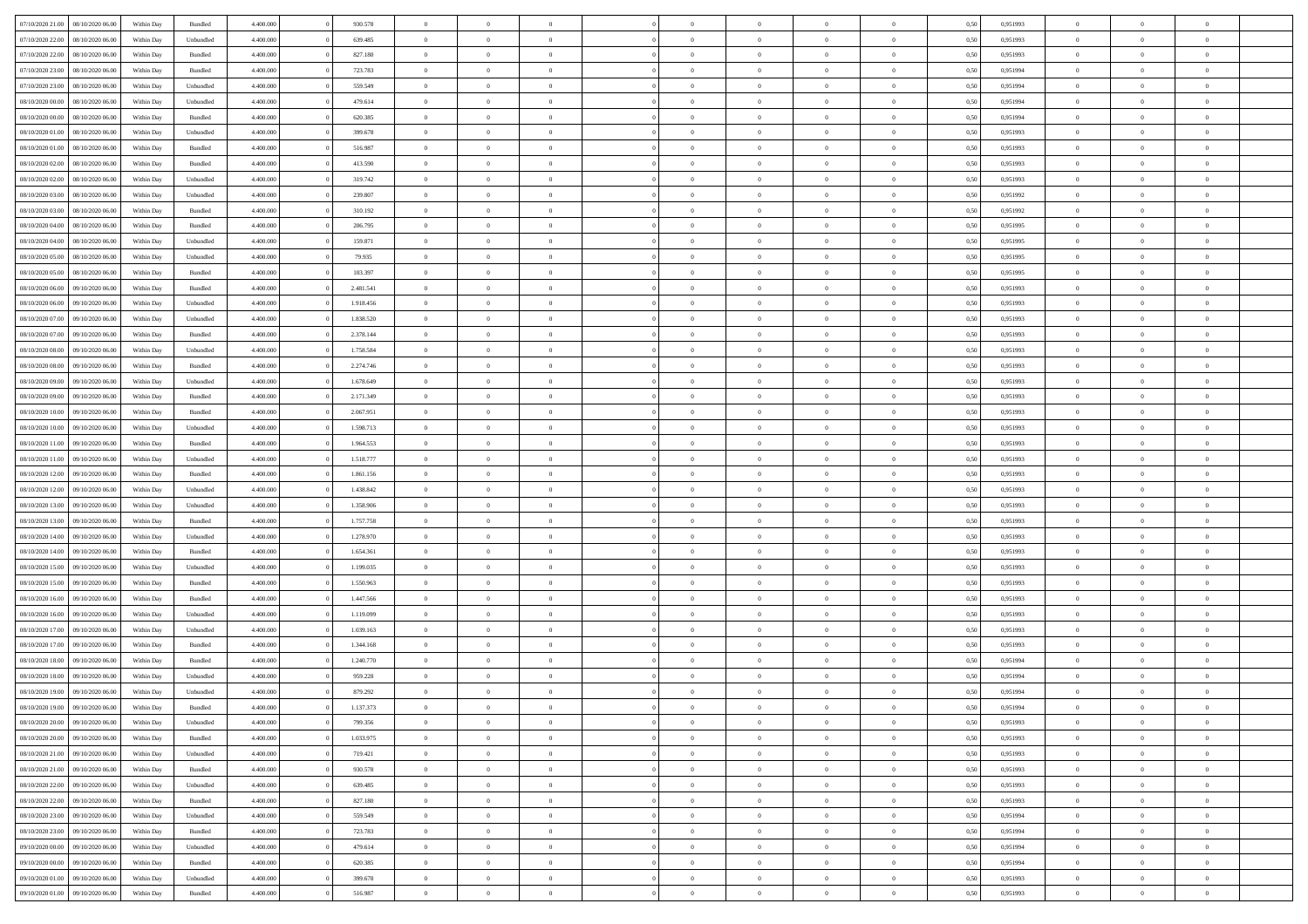| 07/10/2020 21:00                  | 08/10/2020 06:00 | Within Day | Bundled            | 4.400.000 | 930.578   | $\overline{0}$ | $\theta$       |                | $\Omega$       | $\Omega$       | $\theta$       | $\theta$       | 0,50 | 0,951993 | $\theta$       | $\overline{0}$ | $\overline{0}$ |  |
|-----------------------------------|------------------|------------|--------------------|-----------|-----------|----------------|----------------|----------------|----------------|----------------|----------------|----------------|------|----------|----------------|----------------|----------------|--|
| 07/10/2020 22.00                  | 08/10/2020 06.00 | Within Day | Unbundled          | 4.400.000 | 639.485   | $\overline{0}$ | $\overline{0}$ | $\overline{0}$ | $\overline{0}$ | $\bf{0}$       | $\overline{0}$ | $\bf{0}$       | 0,50 | 0,951993 | $\theta$       | $\overline{0}$ | $\overline{0}$ |  |
| 07/10/2020 22.00                  | 08/10/2020 06.00 | Within Day | Bundled            | 4.400.000 | 827.180   | $\overline{0}$ | $\bf{0}$       | $\overline{0}$ | $\overline{0}$ | $\bf{0}$       | $\overline{0}$ | $\mathbf{0}$   | 0,50 | 0,951993 | $\overline{0}$ | $\overline{0}$ | $\overline{0}$ |  |
| 07/10/2020 23.00                  | 08/10/2020 06:00 | Within Dav | Bundled            | 4.400.000 | 723.783   | $\overline{0}$ | $\overline{0}$ | $\overline{0}$ | $\overline{0}$ | $\bf{0}$       | $\overline{0}$ | $\overline{0}$ | 0.50 | 0.951994 | $\theta$       | $\overline{0}$ | $\overline{0}$ |  |
| 07/10/2020 23.00                  | 08/10/2020 06.00 | Within Day | Unbundled          | 4.400.000 | 559.549   | $\overline{0}$ | $\theta$       | $\overline{0}$ | $\overline{0}$ | $\bf{0}$       | $\overline{0}$ | $\bf{0}$       | 0,50 | 0,951994 | $\theta$       | $\overline{0}$ | $\overline{0}$ |  |
|                                   |                  |            |                    |           |           |                |                |                |                |                |                |                |      |          |                |                |                |  |
| 08/10/2020 00.00                  | 08/10/2020 06:00 | Within Day | Unbundled          | 4.400.000 | 479.614   | $\overline{0}$ | $\overline{0}$ | $\overline{0}$ | $\overline{0}$ | $\overline{0}$ | $\overline{0}$ | $\mathbf{0}$   | 0,50 | 0,951994 | $\overline{0}$ | $\overline{0}$ | $\bf{0}$       |  |
| 08/10/2020 00:00                  | 08/10/2020 06.00 | Within Dav | Bundled            | 4.400.000 | 620.385   | $\overline{0}$ | $\overline{0}$ | $\overline{0}$ | $\overline{0}$ | $\overline{0}$ | $\overline{0}$ | $\overline{0}$ | 0.50 | 0,951994 | $\theta$       | $\overline{0}$ | $\overline{0}$ |  |
| 08/10/2020 01:00                  | 08/10/2020 06.00 | Within Day | Unbundled          | 4.400.000 | 399.678   | $\overline{0}$ | $\theta$       | $\overline{0}$ | $\overline{0}$ | $\bf{0}$       | $\overline{0}$ | $\bf{0}$       | 0,50 | 0,951993 | $\theta$       | $\theta$       | $\overline{0}$ |  |
| 08/10/2020 01:00                  | 08/10/2020 06.00 | Within Day | Bundled            | 4.400.000 | 516.987   | $\overline{0}$ | $\overline{0}$ | $\overline{0}$ | $\overline{0}$ | $\bf{0}$       | $\overline{0}$ | $\bf{0}$       | 0,50 | 0,951993 | $\,0\,$        | $\overline{0}$ | $\overline{0}$ |  |
| 08/10/2020 02:00                  | 08/10/2020 06:00 | Within Dav | Bundled            | 4.400.000 | 413.590   | $\overline{0}$ | $\overline{0}$ | $\overline{0}$ | $\overline{0}$ | $\overline{0}$ | $\overline{0}$ | $\overline{0}$ | 0.50 | 0.951993 | $\theta$       | $\overline{0}$ | $\overline{0}$ |  |
| 08/10/2020 02.00                  | 08/10/2020 06.00 | Within Day | Unbundled          | 4.400.000 | 319.742   | $\overline{0}$ | $\theta$       | $\overline{0}$ | $\overline{0}$ | $\bf{0}$       | $\overline{0}$ | $\bf{0}$       | 0,50 | 0,951993 | $\,$ 0 $\,$    | $\overline{0}$ | $\overline{0}$ |  |
| 08/10/2020 03.00                  | 08/10/2020 06:00 | Within Day | Unbundled          | 4.400.000 | 239.807   | $\overline{0}$ | $\overline{0}$ | $\overline{0}$ | $\overline{0}$ | $\bf{0}$       | $\overline{0}$ | $\bf{0}$       | 0,50 | 0,951992 | $\overline{0}$ | $\overline{0}$ | $\bf{0}$       |  |
|                                   |                  |            |                    |           |           |                |                |                |                |                |                |                |      |          |                |                |                |  |
| 08/10/2020 03:00                  | 08/10/2020 06:00 | Within Dav | Bundled            | 4.400.000 | 310.192   | $\overline{0}$ | $\overline{0}$ | $\overline{0}$ | $\overline{0}$ | $\bf{0}$       | $\overline{0}$ | $\overline{0}$ | 0.50 | 0.951992 | $\theta$       | $\theta$       | $\overline{0}$ |  |
| 08/10/2020 04:00                  | 08/10/2020 06.00 | Within Day | Bundled            | 4.400.000 | 206.795   | $\overline{0}$ | $\theta$       | $\overline{0}$ | $\overline{0}$ | $\bf{0}$       | $\overline{0}$ | $\bf{0}$       | 0,50 | 0,951995 | $\theta$       | $\overline{0}$ | $\overline{0}$ |  |
| 08/10/2020 04.00                  | 08/10/2020 06.00 | Within Day | Unbundled          | 4.400.000 | 159.871   | $\overline{0}$ | $\overline{0}$ | $\overline{0}$ | $\overline{0}$ | $\overline{0}$ | $\overline{0}$ | $\mathbf{0}$   | 0,50 | 0,951995 | $\overline{0}$ | $\overline{0}$ | $\bf{0}$       |  |
| 08/10/2020 05:00                  | 08/10/2020 06:00 | Within Dav | Unbundled          | 4.400.000 | 79.935    | $\overline{0}$ | $\overline{0}$ | $\overline{0}$ | $\overline{0}$ | $\overline{0}$ | $\overline{0}$ | $\overline{0}$ | 0.50 | 0.951995 | $\theta$       | $\overline{0}$ | $\overline{0}$ |  |
| 08/10/2020 05:00                  | 08/10/2020 06.00 | Within Day | Bundled            | 4.400.000 | 103.397   | $\overline{0}$ | $\theta$       | $\overline{0}$ | $\overline{0}$ | $\bf{0}$       | $\overline{0}$ | $\bf{0}$       | 0,50 | 0,951995 | $\,$ 0 $\,$    | $\overline{0}$ | $\overline{0}$ |  |
| 08/10/2020 06.00                  | 09/10/2020 06.00 | Within Day | Bundled            | 4.400.000 | 2.481.541 | $\overline{0}$ | $\overline{0}$ | $\overline{0}$ | $\bf{0}$       | $\bf{0}$       | $\bf{0}$       | $\bf{0}$       | 0,50 | 0,951993 | $\,0\,$        | $\overline{0}$ | $\overline{0}$ |  |
| 08/10/2020 06:00                  | 09/10/2020 06:00 | Within Dav | Unbundled          | 4.400.000 | 1.918.456 | $\overline{0}$ | $\overline{0}$ | $\overline{0}$ | $\overline{0}$ | $\overline{0}$ | $\overline{0}$ | $\overline{0}$ | 0.50 | 0.951993 | $\theta$       | $\overline{0}$ | $\overline{0}$ |  |
|                                   |                  |            |                    |           |           |                |                |                |                |                |                |                |      |          |                |                |                |  |
| 08/10/2020 07.00                  | 09/10/2020 06.00 | Within Day | Unbundled          | 4.400.000 | 1.838.520 | $\overline{0}$ | $\theta$       | $\overline{0}$ | $\overline{0}$ | $\bf{0}$       | $\overline{0}$ | $\bf{0}$       | 0,50 | 0,951993 | $\,$ 0 $\,$    | $\overline{0}$ | $\overline{0}$ |  |
| 08/10/2020 07.00                  | 09/10/2020 06.00 | Within Day | Bundled            | 4.400.000 | 2.378.144 | $\overline{0}$ | $\overline{0}$ | $\overline{0}$ | $\bf{0}$       | $\bf{0}$       | $\bf{0}$       | $\bf{0}$       | 0,50 | 0,951993 | $\bf{0}$       | $\overline{0}$ | $\bf{0}$       |  |
| 08/10/2020 08:00                  | 09/10/2020 06:00 | Within Day | Unbundled          | 4.400.000 | 1.758.584 | $\overline{0}$ | $\overline{0}$ | $\overline{0}$ | $\overline{0}$ | $\overline{0}$ | $\overline{0}$ | $\overline{0}$ | 0.50 | 0.951993 | $\theta$       | $\overline{0}$ | $\overline{0}$ |  |
| 08/10/2020 08:00                  | 09/10/2020 06.00 | Within Day | Bundled            | 4.400.000 | 2.274.746 | $\overline{0}$ | $\theta$       | $\overline{0}$ | $\overline{0}$ | $\bf{0}$       | $\overline{0}$ | $\bf{0}$       | 0,50 | 0,951993 | $\,$ 0 $\,$    | $\overline{0}$ | $\overline{0}$ |  |
| 08/10/2020 09:00                  | 09/10/2020 06.00 | Within Day | Unbundled          | 4.400.000 | 1.678.649 | $\overline{0}$ | $\overline{0}$ | $\overline{0}$ | $\bf{0}$       | $\overline{0}$ | $\overline{0}$ | $\mathbf{0}$   | 0,50 | 0,951993 | $\overline{0}$ | $\overline{0}$ | $\bf{0}$       |  |
| 08/10/2020 09:00                  | 09/10/2020 06.00 | Within Dav | Bundled            | 4.400.000 | 2.171.349 | $\overline{0}$ | $\overline{0}$ | $\overline{0}$ | $\overline{0}$ | $\overline{0}$ | $\overline{0}$ | $\overline{0}$ | 0.50 | 0.951993 | $\overline{0}$ | $\overline{0}$ | $\overline{0}$ |  |
| 08/10/2020 10:00                  | 09/10/2020 06.00 |            |                    | 4.400.000 | 2.067.951 | $\overline{0}$ | $\theta$       | $\overline{0}$ | $\overline{0}$ | $\bf{0}$       | $\overline{0}$ |                |      | 0,951993 | $\theta$       | $\overline{0}$ | $\overline{0}$ |  |
|                                   |                  | Within Day | Bundled            |           |           |                |                |                |                |                |                | $\bf{0}$       | 0,50 |          |                |                |                |  |
| 08/10/2020 10:00                  | 09/10/2020 06.00 | Within Day | Unbundled          | 4.400.000 | 1.598.713 | $\overline{0}$ | $\overline{0}$ | $\overline{0}$ | $\overline{0}$ | $\bf{0}$       | $\overline{0}$ | $\bf{0}$       | 0,50 | 0,951993 | $\,0\,$        | $\overline{0}$ | $\overline{0}$ |  |
| 08/10/2020 11:00                  | 09/10/2020 06:00 | Within Day | Bundled            | 4.400.000 | 1.964.553 | $\overline{0}$ | $\overline{0}$ | $\overline{0}$ | $\overline{0}$ | $\overline{0}$ | $\overline{0}$ | $\overline{0}$ | 0.50 | 0.951993 | $\theta$       | $\overline{0}$ | $\overline{0}$ |  |
| 08/10/2020 11:00                  | 09/10/2020 06.00 | Within Day | Unbundled          | 4.400.000 | 1.518.777 | $\overline{0}$ | $\theta$       | $\overline{0}$ | $\overline{0}$ | $\bf{0}$       | $\overline{0}$ | $\bf{0}$       | 0,50 | 0,951993 | $\,$ 0 $\,$    | $\overline{0}$ | $\overline{0}$ |  |
| 08/10/2020 12:00                  | 09/10/2020 06.00 | Within Day | Bundled            | 4.400.000 | 1.861.156 | $\overline{0}$ | $\bf{0}$       | $\overline{0}$ | $\overline{0}$ | $\bf{0}$       | $\overline{0}$ | $\bf{0}$       | 0,50 | 0,951993 | $\bf{0}$       | $\overline{0}$ | $\bf{0}$       |  |
| 08/10/2020 12:00                  | 09/10/2020 06:00 | Within Day | Unbundled          | 4.400,000 | 1.438.842 | $\bf{0}$       | $\Omega$       | $\Omega$       | $\Omega$       | $\Omega$       | $\overline{0}$ | $\overline{0}$ | 0,50 | 0,951993 | $\,0\,$        | $\theta$       | $\theta$       |  |
| 08/10/2020 13:00                  | 09/10/2020 06.00 | Within Day | Unbundled          | 4.400.000 | 1.358.906 | $\overline{0}$ | $\theta$       | $\overline{0}$ | $\overline{0}$ | $\bf{0}$       | $\overline{0}$ | $\bf{0}$       | 0,50 | 0,951993 | $\,$ 0 $\,$    | $\overline{0}$ | $\overline{0}$ |  |
| 08/10/2020 13:00                  | 09/10/2020 06.00 | Within Day | Bundled            | 4.400.000 | 1.757.758 | $\overline{0}$ | $\overline{0}$ | $\overline{0}$ | $\bf{0}$       | $\overline{0}$ | $\overline{0}$ | $\mathbf{0}$   | 0,50 | 0,951993 | $\overline{0}$ | $\overline{0}$ | $\bf{0}$       |  |
|                                   |                  |            |                    |           |           |                |                |                |                |                |                |                |      |          |                |                |                |  |
| 08/10/2020 14:00                  | 09/10/2020 06:00 | Within Day | Unbundled          | 4.400,000 | 1.278.970 | $\overline{0}$ | $\Omega$       | $\Omega$       | $\Omega$       | $\bf{0}$       | $\overline{0}$ | $\overline{0}$ | 0.50 | 0,951993 | $\,0\,$        | $\theta$       | $\theta$       |  |
| 08/10/2020 14:00                  | 09/10/2020 06.00 | Within Day | Bundled            | 4.400.000 | 1.654.361 | $\overline{0}$ | $\theta$       | $\overline{0}$ | $\overline{0}$ | $\bf{0}$       | $\overline{0}$ | $\bf{0}$       | 0,50 | 0,951993 | $\,$ 0 $\,$    | $\overline{0}$ | $\overline{0}$ |  |
| 08/10/2020 15.00                  | 09/10/2020 06.00 | Within Day | Unbundled          | 4.400.000 | 1.199.035 | $\overline{0}$ | $\overline{0}$ | $\overline{0}$ | $\bf{0}$       | $\bf{0}$       | $\bf{0}$       | $\bf{0}$       | 0,50 | 0,951993 | $\bf{0}$       | $\overline{0}$ | $\bf{0}$       |  |
| 08/10/2020 15:00                  | 09/10/2020 06:00 | Within Day | Bundled            | 4.400,000 | 1.550.963 | $\overline{0}$ | $\Omega$       | $\Omega$       | $\Omega$       | $\theta$       | $\overline{0}$ | $\overline{0}$ | 0.50 | 0.951993 | $\,$ 0 $\,$    | $\theta$       | $\theta$       |  |
| 08/10/2020 16:00                  | 09/10/2020 06.00 | Within Day | Bundled            | 4.400.000 | 1.447.566 | $\overline{0}$ | $\overline{0}$ | $\overline{0}$ | $\overline{0}$ | $\,$ 0         | $\overline{0}$ | $\bf{0}$       | 0,50 | 0,951993 | $\,$ 0 $\,$    | $\overline{0}$ | $\overline{0}$ |  |
| 08/10/2020 16.00                  | 09/10/2020 06.00 | Within Day | Unbundled          | 4.400.000 | 1.119.099 | $\overline{0}$ | $\bf{0}$       | $\overline{0}$ | $\bf{0}$       | $\bf{0}$       | $\bf{0}$       | $\bf{0}$       | 0,50 | 0,951993 | $\overline{0}$ | $\overline{0}$ | $\bf{0}$       |  |
| 08/10/2020 17:00                  | 09/10/2020 06.00 | Within Day | Unbundled          | 4.400,000 | 1.039.163 | $\overline{0}$ | $\Omega$       | $\Omega$       | $\Omega$       | $\overline{0}$ | $\overline{0}$ | $\overline{0}$ | 0,50 | 0,951993 | $\,0\,$        | $\theta$       | $\theta$       |  |
| 08/10/2020 17:00                  | 09/10/2020 06.00 | Within Day | Bundled            | 4.400.000 | 1.344.168 | $\overline{0}$ | $\overline{0}$ | $\overline{0}$ | $\overline{0}$ | $\,$ 0         | $\overline{0}$ | $\bf{0}$       | 0,50 | 0,951993 | $\,$ 0 $\,$    | $\overline{0}$ | $\overline{0}$ |  |
|                                   |                  |            |                    |           |           |                |                |                |                |                |                |                |      |          |                |                |                |  |
| 08/10/2020 18:00                  | 09/10/2020 06.00 | Within Day | Bundled            | 4.400.000 | 1.240.770 | $\overline{0}$ | $\overline{0}$ | $\overline{0}$ | $\bf{0}$       | $\bf{0}$       | $\bf{0}$       | $\mathbf{0}$   | 0,50 | 0,951994 | $\overline{0}$ | $\overline{0}$ | $\bf{0}$       |  |
| 08/10/2020 18:00                  | 09/10/2020 06:00 | Within Day | Unbundled          | 4.400,000 | 959.228   | $\overline{0}$ | $\Omega$       | $\Omega$       | $\Omega$       | $\Omega$       | $\Omega$       | $\overline{0}$ | 0.50 | 0.951994 | $\theta$       | $\theta$       | $\theta$       |  |
| 08/10/2020 19:00                  | 09/10/2020 06.00 | Within Day | Unbundled          | 4.400.000 | 879.292   | $\overline{0}$ | $\bf{0}$       | $\bf{0}$       | $\bf{0}$       | $\,$ 0         | $\bf{0}$       | $\bf{0}$       | 0,50 | 0,951994 | $\,0\,$        | $\,$ 0 $\,$    | $\overline{0}$ |  |
| 08/10/2020 19:00 09/10/2020 06:00 |                  | Within Day | $\mathbf B$ undled | 4.400.000 | 1.137.373 | $\bf{0}$       | $\bf{0}$       |                |                | $\bf{0}$       |                |                | 0,50 | 0,951994 | $\bf{0}$       | $\overline{0}$ |                |  |
| 08/10/2020 20:00                  | 09/10/2020 06:00 | Within Day | Unbundled          | 4.400.000 | 799.356   | $\overline{0}$ | $\overline{0}$ | $\overline{0}$ | $\Omega$       | $\overline{0}$ | $\overline{0}$ | $\overline{0}$ | 0,50 | 0.951993 | $\theta$       | $\theta$       | $\theta$       |  |
| 08/10/2020 20:00                  | 09/10/2020 06.00 | Within Day | Bundled            | 4.400.000 | 1.033.975 | $\overline{0}$ | $\bf{0}$       | $\overline{0}$ | $\bf{0}$       | $\,$ 0 $\,$    | $\overline{0}$ | $\,$ 0 $\,$    | 0,50 | 0,951993 | $\,$ 0 $\,$    | $\,$ 0 $\,$    | $\,$ 0         |  |
| 08/10/2020 21.00                  | 09/10/2020 06.00 | Within Day | Unbundled          | 4.400.000 | 719.421   | $\overline{0}$ | $\overline{0}$ | $\overline{0}$ | $\overline{0}$ | $\overline{0}$ | $\overline{0}$ | $\mathbf{0}$   | 0,50 | 0,951993 | $\overline{0}$ | $\bf{0}$       | $\overline{0}$ |  |
|                                   |                  |            |                    |           |           |                |                |                |                |                |                |                |      |          |                |                |                |  |
| 08/10/2020 21:00                  | 09/10/2020 06.00 | Within Day | $\mathbf B$ undled | 4.400,000 | 930.578   | $\overline{0}$ | $\overline{0}$ | $\overline{0}$ | $\Omega$       | $\overline{0}$ | $\overline{0}$ | $\overline{0}$ | 0,50 | 0,951993 | $\overline{0}$ | $\theta$       | $\overline{0}$ |  |
| 08/10/2020 22.00                  | 09/10/2020 06.00 | Within Day | Unbundled          | 4.400.000 | 639.485   | $\overline{0}$ | $\,$ 0         | $\overline{0}$ | $\bf{0}$       | $\,$ 0 $\,$    | $\overline{0}$ | $\mathbf{0}$   | 0,50 | 0,951993 | $\,$ 0 $\,$    | $\overline{0}$ | $\overline{0}$ |  |
| 08/10/2020 22.00                  | 09/10/2020 06.00 | Within Day | Bundled            | 4.400.000 | 827.180   | $\overline{0}$ | $\overline{0}$ | $\overline{0}$ | $\overline{0}$ | $\overline{0}$ | $\overline{0}$ | $\mathbf{0}$   | 0,50 | 0,951993 | $\overline{0}$ | $\overline{0}$ | $\bf{0}$       |  |
| 08/10/2020 23.00                  | 09/10/2020 06:00 | Within Day | Unbundled          | 4.400,000 | 559.549   | $\overline{0}$ | $\overline{0}$ | $\overline{0}$ | $\overline{0}$ | $\overline{0}$ | $\overline{0}$ | $\bf{0}$       | 0.50 | 0,951994 | $\overline{0}$ | $\theta$       | $\overline{0}$ |  |
| 08/10/2020 23.00                  | 09/10/2020 06.00 | Within Day | Bundled            | 4.400.000 | 723.783   | $\overline{0}$ | $\,$ 0         | $\overline{0}$ | $\bf{0}$       | $\bf{0}$       | $\bf{0}$       | $\bf{0}$       | 0,50 | 0,951994 | $\,$ 0 $\,$    | $\overline{0}$ | $\overline{0}$ |  |
| 09/10/2020 00:00                  | 09/10/2020 06.00 | Within Day | Unbundled          | 4.400.000 | 479.614   | $\overline{0}$ | $\bf{0}$       | $\overline{0}$ | $\overline{0}$ | $\overline{0}$ | $\overline{0}$ | $\mathbf{0}$   | 0,50 | 0,951994 | $\overline{0}$ | $\overline{0}$ | $\bf{0}$       |  |
| 09/10/2020 00:00                  | 09/10/2020 06:00 | Within Day | Bundled            | 4.400,000 | 620,385   | $\overline{0}$ | $\overline{0}$ | $\overline{0}$ | $\Omega$       | $\overline{0}$ | $\overline{0}$ | $\overline{0}$ | 0.50 | 0,951994 | $\overline{0}$ | $\overline{0}$ | $\overline{0}$ |  |
|                                   |                  |            |                    |           |           |                |                |                |                |                |                |                |      |          |                |                |                |  |
| 09/10/2020 01:00                  | 09/10/2020 06.00 | Within Day | Unbundled          | 4.400.000 | 399.678   | $\overline{0}$ | $\bf{0}$       | $\overline{0}$ | $\overline{0}$ | $\bf{0}$       | $\bf{0}$       | $\mathbf{0}$   | 0,50 | 0,951993 | $\,$ 0 $\,$    | $\,$ 0 $\,$    | $\bf{0}$       |  |
| 09/10/2020 01:00                  | 09/10/2020 06.00 | Within Day | Bundled            | 4.400.000 | 516.987   | $\overline{0}$ | $\bf{0}$       | $\overline{0}$ | $\bf{0}$       | $\bf{0}$       | $\bf{0}$       | $\bf{0}$       | 0,50 | 0,951993 | $\overline{0}$ | $\overline{0}$ | $\bf{0}$       |  |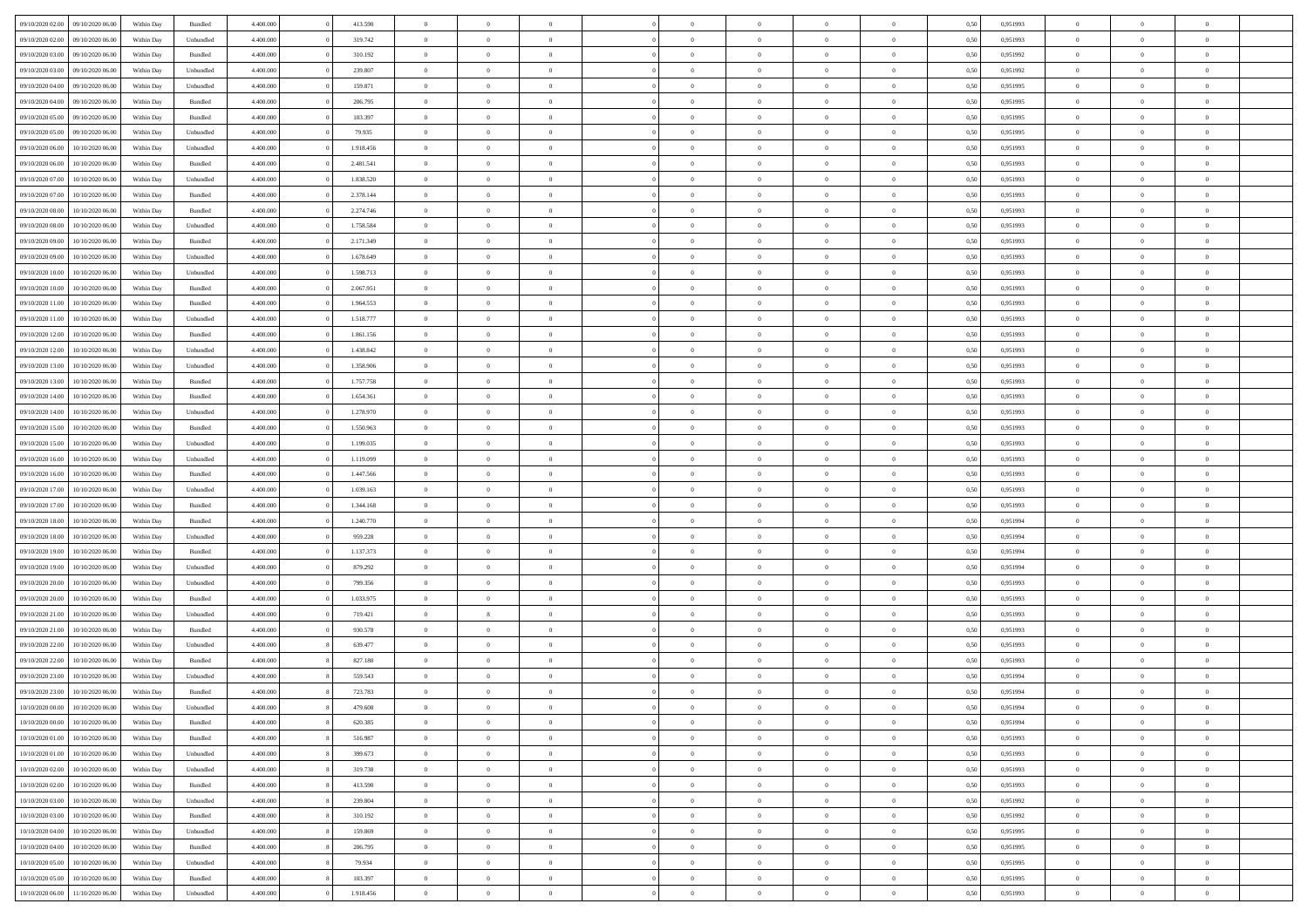| 09/10/2020 02.00 | 09/10/2020 06:00 | Within Dav | Bundled   | 4.400.000 | 413.590   | $\overline{0}$ | $\Omega$       |                | $\Omega$       | $\Omega$       | $\theta$       | $\theta$       | 0.50 | 0,951993 | $\theta$       | $\theta$       | $\theta$       |  |
|------------------|------------------|------------|-----------|-----------|-----------|----------------|----------------|----------------|----------------|----------------|----------------|----------------|------|----------|----------------|----------------|----------------|--|
| 09/10/2020 02.00 | 09/10/2020 06.00 | Within Day | Unbundled | 4.400.000 | 319.742   | $\overline{0}$ | $\theta$       | $\overline{0}$ | $\overline{0}$ | $\bf{0}$       | $\overline{0}$ | $\bf{0}$       | 0,50 | 0,951993 | $\theta$       | $\overline{0}$ | $\overline{0}$ |  |
| 09/10/2020 03.00 | 09/10/2020 06.00 | Within Day | Bundled   | 4.400.000 | 310.192   | $\overline{0}$ | $\overline{0}$ | $\overline{0}$ | $\bf{0}$       | $\bf{0}$       | $\bf{0}$       | $\bf{0}$       | 0,50 | 0,951992 | $\overline{0}$ | $\overline{0}$ | $\overline{0}$ |  |
| 09/10/2020 03:00 | 09/10/2020 06:00 | Within Dav | Unbundled | 4.400.000 | 239.807   | $\overline{0}$ | $\overline{0}$ | $\overline{0}$ | $\overline{0}$ | $\bf{0}$       | $\overline{0}$ | $\overline{0}$ | 0.50 | 0.951992 | $\theta$       | $\theta$       | $\overline{0}$ |  |
| 09/10/2020 04.00 | 09/10/2020 06.00 | Within Day | Unbundled | 4.400.000 | 159.871   | $\overline{0}$ | $\theta$       | $\overline{0}$ | $\overline{0}$ | $\bf{0}$       | $\overline{0}$ | $\bf{0}$       | 0,50 | 0,951995 | $\theta$       | $\overline{0}$ | $\overline{0}$ |  |
| 09/10/2020 04.00 | 09/10/2020 06.00 | Within Day | Bundled   | 4.400.000 | 206.795   | $\overline{0}$ | $\bf{0}$       | $\overline{0}$ | $\overline{0}$ | $\overline{0}$ | $\overline{0}$ | $\mathbf{0}$   | 0,50 | 0,951995 | $\bf{0}$       | $\overline{0}$ | $\bf{0}$       |  |
| 09/10/2020 05:00 | 09/10/2020 06:00 | Within Dav | Bundled   | 4.400.000 | 103.397   | $\overline{0}$ | $\overline{0}$ | $\overline{0}$ | $\overline{0}$ | $\overline{0}$ | $\overline{0}$ | $\overline{0}$ | 0.50 | 0.951995 | $\theta$       | $\overline{0}$ | $\overline{0}$ |  |
| 09/10/2020 05.00 | 09/10/2020 06.00 | Within Day | Unbundled | 4.400.000 | 79.935    | $\overline{0}$ | $\theta$       | $\overline{0}$ | $\overline{0}$ | $\bf{0}$       | $\overline{0}$ | $\bf{0}$       | 0,50 | 0,951995 | $\theta$       | $\theta$       | $\overline{0}$ |  |
|                  |                  |            |           |           |           |                |                |                |                |                |                |                |      |          |                |                |                |  |
| 09/10/2020 06:00 | 10/10/2020 06:00 | Within Day | Unbundled | 4.400.000 | 1.918.456 | $\overline{0}$ | $\overline{0}$ | $\overline{0}$ | $\overline{0}$ | $\bf{0}$       | $\overline{0}$ | $\bf{0}$       | 0,50 | 0,951993 | $\,0\,$        | $\overline{0}$ | $\overline{0}$ |  |
| 09/10/2020 06:00 | 10/10/2020 06:00 | Within Dav | Bundled   | 4.400.000 | 2.481.541 | $\overline{0}$ | $\overline{0}$ | $\overline{0}$ | $\overline{0}$ | $\overline{0}$ | $\overline{0}$ | $\overline{0}$ | 0.50 | 0.951993 | $\theta$       | $\overline{0}$ | $\overline{0}$ |  |
| 09/10/2020 07.00 | 10/10/2020 06:00 | Within Day | Unbundled | 4.400.000 | 1.838.520 | $\overline{0}$ | $\theta$       | $\overline{0}$ | $\overline{0}$ | $\bf{0}$       | $\overline{0}$ | $\bf{0}$       | 0,50 | 0,951993 | $\,$ 0 $\,$    | $\overline{0}$ | $\overline{0}$ |  |
| 09/10/2020 07:00 | 10/10/2020 06:00 | Within Day | Bundled   | 4.400.000 | 2.378.144 | $\overline{0}$ | $\overline{0}$ | $\overline{0}$ | $\overline{0}$ | $\bf{0}$       | $\overline{0}$ | $\bf{0}$       | 0,50 | 0,951993 | $\bf{0}$       | $\overline{0}$ | $\overline{0}$ |  |
| 09/10/2020 08:00 | 10/10/2020 06:00 | Within Dav | Bundled   | 4.400.000 | 2.274.746 | $\overline{0}$ | $\overline{0}$ | $\overline{0}$ | $\overline{0}$ | $\bf{0}$       | $\overline{0}$ | $\overline{0}$ | 0.50 | 0.951993 | $\theta$       | $\theta$       | $\overline{0}$ |  |
| 09/10/2020 08:00 | 10/10/2020 06:00 | Within Day | Unbundled | 4.400.000 | 1.758.584 | $\overline{0}$ | $\theta$       | $\overline{0}$ | $\overline{0}$ | $\bf{0}$       | $\overline{0}$ | $\overline{0}$ | 0,50 | 0,951993 | $\theta$       | $\overline{0}$ | $\overline{0}$ |  |
| 09/10/2020 09:00 | 10/10/2020 06:00 | Within Day | Bundled   | 4.400.000 | 2.171.349 | $\overline{0}$ | $\bf{0}$       | $\overline{0}$ | $\overline{0}$ | $\overline{0}$ | $\overline{0}$ | $\mathbf{0}$   | 0,50 | 0,951993 | $\bf{0}$       | $\overline{0}$ | $\bf{0}$       |  |
| 09/10/2020 09:00 | 10/10/2020 06:00 | Within Dav | Unbundled | 4.400.000 | 1.678.649 | $\overline{0}$ | $\overline{0}$ | $\overline{0}$ | $\overline{0}$ | $\overline{0}$ | $\overline{0}$ | $\overline{0}$ | 0.50 | 0.951993 | $\theta$       | $\overline{0}$ | $\overline{0}$ |  |
| 09/10/2020 10:00 | 10/10/2020 06:00 |            |           | 4.400.000 | 1.598.713 | $\overline{0}$ | $\theta$       | $\overline{0}$ | $\overline{0}$ | $\bf{0}$       | $\overline{0}$ |                |      | 0,951993 | $\theta$       | $\theta$       | $\overline{0}$ |  |
|                  |                  | Within Day | Unbundled |           |           |                |                |                |                |                |                | $\bf{0}$       | 0,50 |          |                |                |                |  |
| 09/10/2020 10:00 | 10/10/2020 06:00 | Within Day | Bundled   | 4.400.000 | 2.067.951 | $\overline{0}$ | $\overline{0}$ | $\overline{0}$ | $\bf{0}$       | $\bf{0}$       | $\bf{0}$       | $\bf{0}$       | 0,50 | 0,951993 | $\,0\,$        | $\overline{0}$ | $\overline{0}$ |  |
| 09/10/2020 11:00 | 10/10/2020 06:00 | Within Dav | Bundled   | 4.400.000 | 1.964.553 | $\overline{0}$ | $\overline{0}$ | $\overline{0}$ | $\overline{0}$ | $\overline{0}$ | $\overline{0}$ | $\overline{0}$ | 0.50 | 0.951993 | $\theta$       | $\overline{0}$ | $\overline{0}$ |  |
| 09/10/2020 11:00 | 10/10/2020 06:00 | Within Day | Unbundled | 4.400.000 | 1.518.777 | $\overline{0}$ | $\theta$       | $\overline{0}$ | $\overline{0}$ | $\bf{0}$       | $\overline{0}$ | $\bf{0}$       | 0,50 | 0,951993 | $\,$ 0 $\,$    | $\theta$       | $\overline{0}$ |  |
| 09/10/2020 12:00 | 10/10/2020 06:00 | Within Day | Bundled   | 4.400.000 | 1.861.156 | $\overline{0}$ | $\overline{0}$ | $\overline{0}$ | $\bf{0}$       | $\bf{0}$       | $\bf{0}$       | $\bf{0}$       | 0,50 | 0,951993 | $\bf{0}$       | $\overline{0}$ | $\overline{0}$ |  |
| 09/10/2020 12:00 | 10/10/2020 06:00 | Within Day | Unbundled | 4.400.000 | 1.438.842 | $\overline{0}$ | $\overline{0}$ | $\overline{0}$ | $\overline{0}$ | $\bf{0}$       | $\overline{0}$ | $\overline{0}$ | 0.50 | 0.951993 | $\theta$       | $\overline{0}$ | $\overline{0}$ |  |
| 09/10/2020 13:00 | 10/10/2020 06:00 | Within Day | Unbundled | 4.400.000 | 1.358.906 | $\overline{0}$ | $\theta$       | $\overline{0}$ | $\overline{0}$ | $\bf{0}$       | $\overline{0}$ | $\bf{0}$       | 0,50 | 0,951993 | $\,$ 0 $\,$    | $\overline{0}$ | $\overline{0}$ |  |
| 09/10/2020 13:00 | 10/10/2020 06:00 | Within Day | Bundled   | 4.400.000 | 1.757.758 | $\overline{0}$ | $\bf{0}$       | $\overline{0}$ | $\bf{0}$       | $\overline{0}$ | $\overline{0}$ | $\mathbf{0}$   | 0,50 | 0,951993 | $\bf{0}$       | $\overline{0}$ | $\bf{0}$       |  |
| 09/10/2020 14:00 | 10/10/2020 06:00 | Within Dav | Bundled   | 4.400.000 | 1.654.361 | $\overline{0}$ | $\overline{0}$ | $\overline{0}$ | $\overline{0}$ | $\overline{0}$ | $\overline{0}$ | $\overline{0}$ | 0.50 | 0.951993 | $\theta$       | $\overline{0}$ | $\overline{0}$ |  |
| 09/10/2020 14:00 | 10/10/2020 06:00 | Within Day | Unbundled | 4.400.000 | 1.278.970 | $\overline{0}$ | $\theta$       | $\overline{0}$ | $\overline{0}$ | $\bf{0}$       | $\overline{0}$ | $\bf{0}$       | 0,50 | 0,951993 | $\theta$       | $\theta$       | $\overline{0}$ |  |
| 09/10/2020 15:00 | 10/10/2020 06:00 | Within Day | Bundled   | 4.400.000 | 1.550.963 | $\overline{0}$ | $\overline{0}$ | $\overline{0}$ | $\bf{0}$       | $\bf{0}$       | $\bf{0}$       | $\bf{0}$       | 0,50 | 0,951993 | $\,0\,$        | $\overline{0}$ | $\overline{0}$ |  |
| 09/10/2020 15:00 | 10/10/2020 06:00 |            | Unbundled | 4.400.000 | 1.199.035 | $\overline{0}$ | $\overline{0}$ | $\overline{0}$ | $\overline{0}$ | $\overline{0}$ | $\overline{0}$ | $\overline{0}$ | 0.50 | 0.951993 | $\theta$       | $\overline{0}$ | $\overline{0}$ |  |
|                  |                  | Within Day |           |           |           |                |                |                |                |                |                |                |      |          |                |                |                |  |
| 09/10/2020 16:00 | 10/10/2020 06:00 | Within Day | Unbundled | 4.400.000 | 1.119.099 | $\overline{0}$ | $\theta$       | $\overline{0}$ | $\overline{0}$ | $\bf{0}$       | $\overline{0}$ | $\bf{0}$       | 0,50 | 0,951993 | $\,$ 0 $\,$    | $\overline{0}$ | $\overline{0}$ |  |
| 09/10/2020 16.00 | 10/10/2020 06:00 | Within Day | Bundled   | 4.400.000 | 1.447.566 | $\overline{0}$ | $\overline{0}$ | $\overline{0}$ | $\bf{0}$       | $\bf{0}$       | $\bf{0}$       | $\bf{0}$       | 0,50 | 0,951993 | $\bf{0}$       | $\overline{0}$ | $\overline{0}$ |  |
| 09/10/2020 17.00 | 10/10/2020 06:00 | Within Day | Unbundled | 4.400,000 | 1.039.163 | $\overline{0}$ | $\Omega$       | $\Omega$       | $\Omega$       | $\Omega$       | $\Omega$       | $\overline{0}$ | 0,50 | 0,951993 | $\,0\,$        | $\theta$       | $\theta$       |  |
| 09/10/2020 17.00 | 10/10/2020 06:00 | Within Day | Bundled   | 4.400.000 | 1.344.168 | $\overline{0}$ | $\theta$       | $\overline{0}$ | $\overline{0}$ | $\bf{0}$       | $\overline{0}$ | $\bf{0}$       | 0,50 | 0,951993 | $\theta$       | $\overline{0}$ | $\overline{0}$ |  |
| 09/10/2020 18:00 | 10/10/2020 06:00 | Within Day | Bundled   | 4.400.000 | 1.240.770 | $\overline{0}$ | $\overline{0}$ | $\overline{0}$ | $\bf{0}$       | $\bf{0}$       | $\overline{0}$ | $\mathbf{0}$   | 0,50 | 0,951994 | $\bf{0}$       | $\overline{0}$ | $\bf{0}$       |  |
| 09/10/2020 18:00 | 10/10/2020 06:00 | Within Day | Unbundled | 4.400,000 | 959.228   | $\overline{0}$ | $\Omega$       | $\Omega$       | $\Omega$       | $\bf{0}$       | $\overline{0}$ | $\overline{0}$ | 0.50 | 0,951994 | $\,0\,$        | $\theta$       | $\theta$       |  |
| 09/10/2020 19:00 | 10/10/2020 06:00 | Within Day | Bundled   | 4.400.000 | 1.137.373 | $\overline{0}$ | $\theta$       | $\overline{0}$ | $\overline{0}$ | $\bf{0}$       | $\overline{0}$ | $\bf{0}$       | 0,50 | 0,951994 | $\theta$       | $\theta$       | $\overline{0}$ |  |
| 09/10/2020 19:00 | 10/10/2020 06:00 | Within Day | Unbundled | 4.400.000 | 879.292   | $\overline{0}$ | $\overline{0}$ | $\overline{0}$ | $\bf{0}$       | $\bf{0}$       | $\bf{0}$       | $\bf{0}$       | 0,50 | 0,951994 | $\,0\,$        | $\overline{0}$ | $\overline{0}$ |  |
| 09/10/2020 20:00 | 10/10/2020 06:00 | Within Day | Unbundled | 4.400,000 | 799.356   | $\overline{0}$ | $\Omega$       | $\Omega$       | $\Omega$       | $\theta$       | $\theta$       | $\overline{0}$ | 0.50 | 0.951993 | $\theta$       | $\theta$       | $\theta$       |  |
| 09/10/2020 20.00 | 10/10/2020 06:00 | Within Day | Bundled   | 4.400.000 | 1.033.975 | $\overline{0}$ | $\theta$       | $\overline{0}$ | $\overline{0}$ | $\bf{0}$       | $\overline{0}$ | $\bf{0}$       | 0,50 | 0,951993 | $\,$ 0 $\,$    | $\overline{0}$ | $\overline{0}$ |  |
| 09/10/2020 21.00 | 10/10/2020 06:00 | Within Day | Unbundled | 4.400.000 | 719.421   | $\overline{0}$ | $_{8}$         | $\overline{0}$ | $\bf{0}$       | $\bf{0}$       | $\bf{0}$       | $\bf{0}$       | 0,50 | 0,951993 | $\bf{0}$       | $\overline{0}$ | $\overline{0}$ |  |
|                  |                  |            |           |           |           |                |                |                |                |                |                |                |      |          |                |                |                |  |
| 09/10/2020 21:00 | 10/10/2020 06:00 | Within Day | Bundled   | 4.400,000 | 930.578   | $\overline{0}$ | $\Omega$       | $\Omega$       | $\Omega$       | $\Omega$       | $\overline{0}$ | $\overline{0}$ | 0,50 | 0,951993 | $\,0\,$        | $\theta$       | $\theta$       |  |
| 09/10/2020 22.00 | 10/10/2020 06:00 | Within Day | Unbundled | 4.400.000 | 639.477   | $\overline{0}$ | $\theta$       | $\overline{0}$ | $\overline{0}$ | $\,$ 0         | $\overline{0}$ | $\bf{0}$       | 0,50 | 0,951993 | $\,$ 0 $\,$    | $\overline{0}$ | $\overline{0}$ |  |
| 09/10/2020 22.00 | 10/10/2020 06:00 | Within Day | Bundled   | 4.400.000 | 827.180   | $\overline{0}$ | $\overline{0}$ | $\overline{0}$ | $\bf{0}$       | $\bf{0}$       | $\bf{0}$       | $\mathbf{0}$   | 0,50 | 0,951993 | $\bf{0}$       | $\overline{0}$ | $\bf{0}$       |  |
| 09/10/2020 23.00 | 10/10/2020 06:00 | Within Day | Unbundled | 4.400,000 | 559.543   | $\overline{0}$ | $\Omega$       | $\Omega$       | $\Omega$       | $\Omega$       | $\Omega$       | $\overline{0}$ | 0.50 | 0.951994 | $\theta$       | $\theta$       | $\theta$       |  |
| 09/10/2020 23.00 | 10/10/2020 06:00 | Within Day | Bundled   | 4.400.000 | 723.783   | $\overline{0}$ | $\overline{0}$ | $\overline{0}$ | $\bf{0}$       | $\,$ 0         | $\bf{0}$       | $\bf{0}$       | 0,50 | 0,951994 | $\,0\,$        | $\overline{0}$ | $\overline{0}$ |  |
| 10/10/2020 00:00 | 10/10/2020 06:00 | Within Day | Unbundled | 4.400.000 | 479.608   | $\bf{0}$       | $\bf{0}$       |                |                |                |                |                | 0,50 | 0,951994 | $\bf{0}$       | $\overline{0}$ |                |  |
| 10/10/2020 00:00 | 10/10/2020 06:00 | Within Day | Bundled   | 4.400.000 | 620,385   | $\overline{0}$ | $\overline{0}$ | $\overline{0}$ | $\Omega$       | $\overline{0}$ | $\overline{0}$ | $\overline{0}$ | 0,50 | 0.951994 | $\theta$       | $\theta$       | $\theta$       |  |
| 10/10/2020 01:00 | 10/10/2020 06:00 | Within Day | Bundled   | 4.400.000 | 516.987   | $\overline{0}$ | $\bf{0}$       | $\overline{0}$ | $\bf{0}$       | $\,$ 0 $\,$    | $\overline{0}$ | $\,$ 0 $\,$    | 0,50 | 0,951993 | $\,$ 0 $\,$    | $\,$ 0 $\,$    | $\,$ 0         |  |
| 10/10/2020 01:00 | 10/10/2020 06:00 | Within Day | Unbundled | 4.400.000 | 399.673   | $\overline{0}$ | $\overline{0}$ | $\overline{0}$ | $\overline{0}$ | $\overline{0}$ | $\overline{0}$ | $\mathbf{0}$   | 0,50 | 0,951993 | $\overline{0}$ | $\bf{0}$       | $\bf{0}$       |  |
| 10/10/2020 02:00 | 10/10/2020 06:00 | Within Day | Unbundled | 4.400.000 | 319.738   | $\overline{0}$ | $\overline{0}$ | $\overline{0}$ | $\Omega$       | $\overline{0}$ | $\overline{0}$ | $\overline{0}$ | 0,50 | 0,951993 | $\overline{0}$ | $\theta$       | $\overline{0}$ |  |
| 10/10/2020 02:00 | 10/10/2020 06.00 | Within Day | Bundled   | 4.400.000 | 413.590   | $\overline{0}$ | $\,$ 0         | $\overline{0}$ | $\bf{0}$       | $\,$ 0 $\,$    | $\overline{0}$ | $\mathbf{0}$   | 0,50 | 0,951993 | $\,$ 0 $\,$    | $\overline{0}$ | $\overline{0}$ |  |
|                  |                  |            |           |           |           |                |                |                |                |                |                |                |      |          |                |                |                |  |
| 10/10/2020 03:00 | 10/10/2020 06:00 | Within Day | Unbundled | 4.400.000 | 239.804   | $\overline{0}$ | $\overline{0}$ | $\overline{0}$ | $\overline{0}$ | $\overline{0}$ | $\overline{0}$ | $\mathbf{0}$   | 0,50 | 0,951992 | $\overline{0}$ | $\overline{0}$ | $\bf{0}$       |  |
| 10/10/2020 03:00 | 10/10/2020 06:00 | Within Day | Bundled   | 4.400,000 | 310.192   | $\overline{0}$ | $\overline{0}$ | $\overline{0}$ | $\overline{0}$ | $\overline{0}$ | $\overline{0}$ | $\bf{0}$       | 0.50 | 0,951992 | $\overline{0}$ | $\theta$       | $\overline{0}$ |  |
| 10/10/2020 04:00 | 10/10/2020 06.00 | Within Day | Unbundled | 4.400.000 | 159.869   | $\overline{0}$ | $\,$ 0         | $\overline{0}$ | $\bf{0}$       | $\bf{0}$       | $\bf{0}$       | $\bf{0}$       | 0,50 | 0,951995 | $\,$ 0 $\,$    | $\overline{0}$ | $\overline{0}$ |  |
| 10/10/2020 04:00 | 10/10/2020 06:00 | Within Day | Bundled   | 4.400.000 | 206.795   | $\overline{0}$ | $\bf{0}$       | $\overline{0}$ | $\overline{0}$ | $\overline{0}$ | $\overline{0}$ | $\mathbf{0}$   | 0,50 | 0,951995 | $\overline{0}$ | $\overline{0}$ | $\bf{0}$       |  |
| 10/10/2020 05:00 | 10/10/2020 06:00 | Within Day | Unbundled | 4.400,000 | 79.934    | $\overline{0}$ | $\overline{0}$ | $\overline{0}$ | $\Omega$       | $\overline{0}$ | $\overline{0}$ | $\overline{0}$ | 0,50 | 0,951995 | $\overline{0}$ | $\overline{0}$ | $\overline{0}$ |  |
| 10/10/2020 05:00 | 10/10/2020 06:00 | Within Day | Bundled   | 4.400.000 | 103.397   | $\overline{0}$ | $\bf{0}$       | $\overline{0}$ | $\overline{0}$ | $\bf{0}$       | $\bf{0}$       | $\mathbf{0}$   | 0,50 | 0,951995 | $\,$ 0 $\,$    | $\,$ 0 $\,$    | $\bf{0}$       |  |
| 10/10/2020 06:00 | 11/10/2020 06.00 | Within Day | Unbundled | 4.400.000 | 1.918.456 | $\overline{0}$ | $\bf{0}$       | $\overline{0}$ | $\bf{0}$       | $\bf{0}$       | $\bf{0}$       | $\bf{0}$       | 0,50 | 0,951993 | $\overline{0}$ | $\overline{0}$ | $\bf{0}$       |  |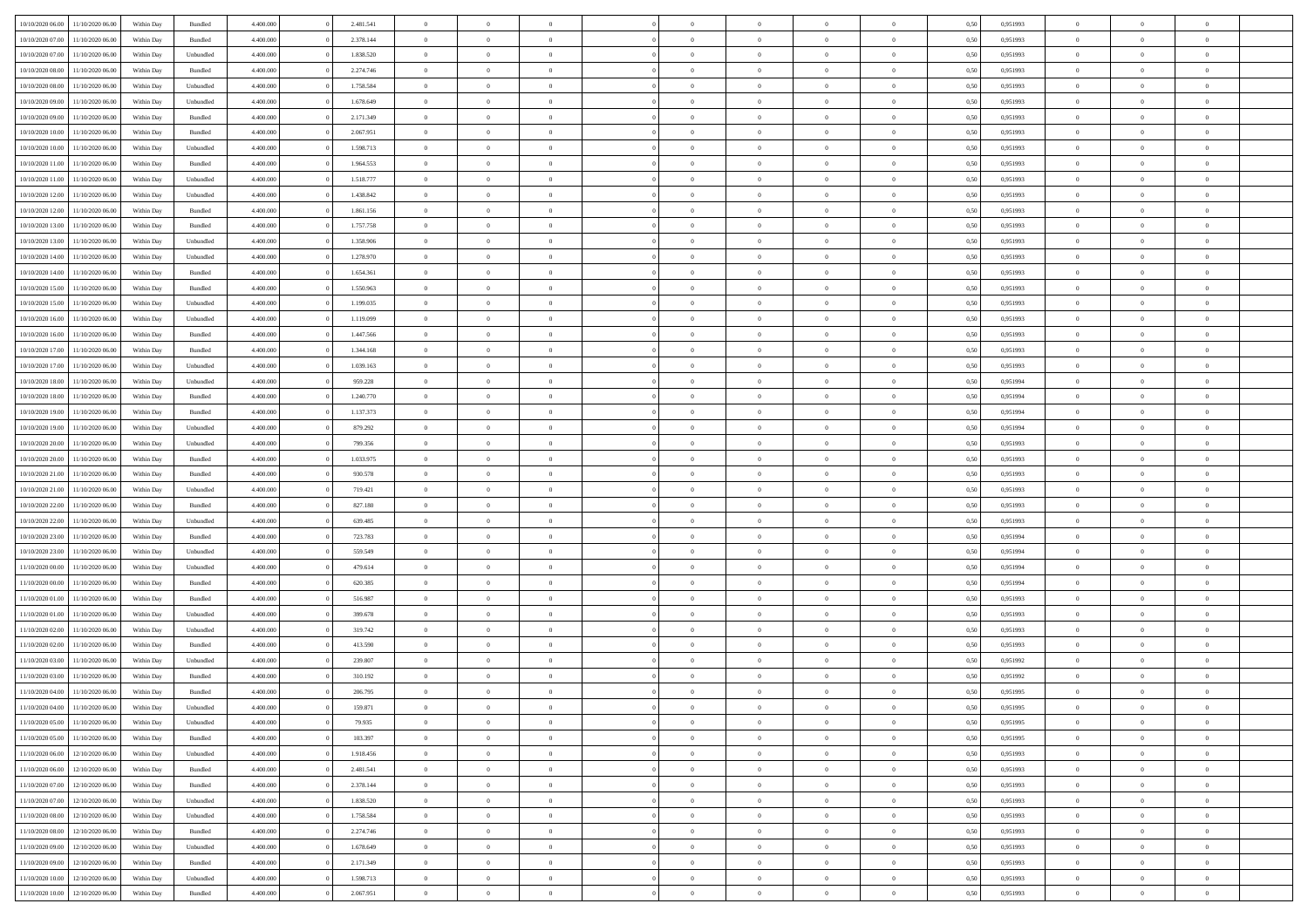| 10/10/2020 06:00 | 11/10/2020 06:00 | Within Dav | Bundled            | 4.400.000 | 2.481.541 | $\overline{0}$ | $\theta$       |                | $\Omega$       | $\Omega$       | $\theta$       | $\theta$       | 0,50 | 0,951993 | $\theta$       | $\overline{0}$ | $\overline{0}$ |  |
|------------------|------------------|------------|--------------------|-----------|-----------|----------------|----------------|----------------|----------------|----------------|----------------|----------------|------|----------|----------------|----------------|----------------|--|
|                  |                  |            |                    |           |           |                |                |                |                |                |                |                |      |          |                |                |                |  |
| 10/10/2020 07:00 | 11/10/2020 06.00 | Within Day | Bundled            | 4.400.000 | 2.378.144 | $\overline{0}$ | $\theta$       | $\overline{0}$ | $\overline{0}$ | $\bf{0}$       | $\overline{0}$ | $\bf{0}$       | 0,50 | 0,951993 | $\theta$       | $\overline{0}$ | $\overline{0}$ |  |
| 10/10/2020 07.00 | 11/10/2020 06.00 | Within Day | Unbundled          | 4.400.000 | 1.838.520 | $\overline{0}$ | $\bf{0}$       | $\overline{0}$ | $\overline{0}$ | $\bf{0}$       | $\overline{0}$ | $\mathbf{0}$   | 0,50 | 0,951993 | $\overline{0}$ | $\overline{0}$ | $\overline{0}$ |  |
| 10/10/2020 08:00 | 11/10/2020 06:00 | Within Dav | Bundled            | 4.400.000 | 2.274.746 | $\overline{0}$ | $\overline{0}$ | $\overline{0}$ | $\overline{0}$ | $\bf{0}$       | $\overline{0}$ | $\overline{0}$ | 0.50 | 0.951993 | $\theta$       | $\overline{0}$ | $\overline{0}$ |  |
| 10/10/2020 08:00 | 11/10/2020 06.00 | Within Day | Unbundled          | 4.400.000 | 1.758.584 | $\overline{0}$ | $\theta$       | $\overline{0}$ | $\overline{0}$ | $\bf{0}$       | $\overline{0}$ | $\bf{0}$       | 0,50 | 0,951993 | $\theta$       | $\overline{0}$ | $\overline{0}$ |  |
|                  |                  |            |                    |           |           |                |                |                |                |                |                |                |      |          |                |                |                |  |
| 10/10/2020 09:00 | 11/10/2020 06.00 | Within Day | Unbundled          | 4.400.000 | 1.678.649 | $\overline{0}$ | $\overline{0}$ | $\overline{0}$ | $\overline{0}$ | $\overline{0}$ | $\overline{0}$ | $\mathbf{0}$   | 0,50 | 0,951993 | $\overline{0}$ | $\overline{0}$ | $\bf{0}$       |  |
| 10/10/2020 09:00 | 11/10/2020 06.00 | Within Dav | Bundled            | 4.400.000 | 2.171.349 | $\overline{0}$ | $\overline{0}$ | $\overline{0}$ | $\overline{0}$ | $\overline{0}$ | $\overline{0}$ | $\overline{0}$ | 0.50 | 0.951993 | $\theta$       | $\overline{0}$ | $\overline{0}$ |  |
| 10/10/2020 10:00 | 11/10/2020 06.00 | Within Day | Bundled            | 4.400.000 | 2.067.951 | $\overline{0}$ | $\theta$       | $\overline{0}$ | $\overline{0}$ | $\bf{0}$       | $\overline{0}$ | $\bf{0}$       | 0,50 | 0,951993 | $\theta$       | $\theta$       | $\overline{0}$ |  |
| 10/10/2020 10:00 | 11/10/2020 06.00 | Within Day | Unbundled          | 4.400.000 | 1.598.713 | $\overline{0}$ | $\overline{0}$ | $\overline{0}$ | $\overline{0}$ | $\bf{0}$       | $\overline{0}$ | $\bf{0}$       | 0,50 | 0,951993 | $\,0\,$        | $\overline{0}$ | $\overline{0}$ |  |
| 10/10/2020 11:00 | 11/10/2020 06:00 | Within Dav | Bundled            | 4.400.000 | 1.964.553 | $\overline{0}$ | $\overline{0}$ | $\overline{0}$ | $\overline{0}$ | $\overline{0}$ | $\overline{0}$ | $\overline{0}$ | 0.50 | 0.951993 | $\theta$       | $\overline{0}$ | $\overline{0}$ |  |
|                  |                  |            |                    |           |           | $\overline{0}$ | $\theta$       |                |                |                |                |                |      |          |                |                |                |  |
| 10/10/2020 11:00 | 11/10/2020 06.00 | Within Day | Unbundled          | 4.400.000 | 1.518.777 |                |                | $\overline{0}$ | $\overline{0}$ | $\bf{0}$       | $\overline{0}$ | $\bf{0}$       | 0,50 | 0,951993 | $\,$ 0 $\,$    | $\overline{0}$ | $\overline{0}$ |  |
| 10/10/2020 12:00 | 11/10/2020 06.00 | Within Day | Unbundled          | 4.400.000 | 1.438.842 | $\overline{0}$ | $\bf{0}$       | $\overline{0}$ | $\bf{0}$       | $\bf{0}$       | $\bf{0}$       | $\bf{0}$       | 0,50 | 0,951993 | $\overline{0}$ | $\overline{0}$ | $\bf{0}$       |  |
| 10/10/2020 12:00 | 11/10/2020 06:00 | Within Dav | Bundled            | 4.400.000 | 1.861.156 | $\overline{0}$ | $\overline{0}$ | $\overline{0}$ | $\overline{0}$ | $\bf{0}$       | $\overline{0}$ | $\overline{0}$ | 0.50 | 0.951993 | $\theta$       | $\theta$       | $\overline{0}$ |  |
| 10/10/2020 13:00 | 11/10/2020 06.00 | Within Day | Bundled            | 4.400.000 | 1.757.758 | $\overline{0}$ | $\theta$       | $\overline{0}$ | $\overline{0}$ | $\bf{0}$       | $\overline{0}$ | $\bf{0}$       | 0,50 | 0,951993 | $\theta$       | $\overline{0}$ | $\overline{0}$ |  |
| 10/10/2020 13:00 | 11/10/2020 06.00 | Within Day | Unbundled          | 4.400.000 | 1.358.906 | $\overline{0}$ | $\overline{0}$ | $\overline{0}$ | $\bf{0}$       | $\overline{0}$ | $\overline{0}$ | $\mathbf{0}$   | 0,50 | 0,951993 | $\overline{0}$ | $\overline{0}$ | $\bf{0}$       |  |
| 10/10/2020 14:00 | 11/10/2020 06:00 | Within Dav | Unbundled          | 4.400.000 | 1.278.970 | $\overline{0}$ | $\overline{0}$ | $\overline{0}$ | $\overline{0}$ | $\overline{0}$ | $\overline{0}$ | $\overline{0}$ | 0.50 | 0.951993 | $\theta$       | $\overline{0}$ | $\overline{0}$ |  |
|                  |                  |            |                    |           |           | $\overline{0}$ | $\theta$       | $\overline{0}$ |                | $\bf{0}$       | $\overline{0}$ |                |      |          | $\theta$       |                | $\overline{0}$ |  |
| 10/10/2020 14:00 | 11/10/2020 06.00 | Within Day | Bundled            | 4.400.000 | 1.654.361 |                |                |                | $\overline{0}$ |                |                | $\bf{0}$       | 0,50 | 0,951993 |                | $\overline{0}$ |                |  |
| 10/10/2020 15:00 | 11/10/2020 06.00 | Within Day | Bundled            | 4.400.000 | 1.550.963 | $\overline{0}$ | $\overline{0}$ | $\overline{0}$ | $\bf{0}$       | $\bf{0}$       | $\bf{0}$       | $\bf{0}$       | 0,50 | 0,951993 | $\,0\,$        | $\overline{0}$ | $\overline{0}$ |  |
| 10/10/2020 15:00 | 11/10/2020 06:00 | Within Dav | Unbundled          | 4.400.000 | 1.199.035 | $\overline{0}$ | $\overline{0}$ | $\overline{0}$ | $\overline{0}$ | $\overline{0}$ | $\overline{0}$ | $\overline{0}$ | 0.50 | 0.951993 | $\theta$       | $\overline{0}$ | $\overline{0}$ |  |
| 10/10/2020 16:00 | 11/10/2020 06.00 | Within Day | Unbundled          | 4.400.000 | 1.119.099 | $\overline{0}$ | $\theta$       | $\overline{0}$ | $\overline{0}$ | $\bf{0}$       | $\overline{0}$ | $\bf{0}$       | 0,50 | 0,951993 | $\,$ 0 $\,$    | $\overline{0}$ | $\overline{0}$ |  |
| 10/10/2020 16:00 | 11/10/2020 06.00 | Within Day | Bundled            | 4.400.000 | 1.447.566 | $\overline{0}$ | $\overline{0}$ | $\overline{0}$ | $\bf{0}$       | $\bf{0}$       | $\bf{0}$       | $\bf{0}$       | 0,50 | 0,951993 | $\bf{0}$       | $\overline{0}$ | $\bf{0}$       |  |
| 10/10/2020 17:00 | 11/10/2020 06:00 | Within Dav | Bundled            | 4.400.000 | 1.344.168 | $\overline{0}$ | $\overline{0}$ | $\overline{0}$ | $\overline{0}$ | $\bf{0}$       | $\overline{0}$ | $\overline{0}$ | 0.50 | 0.951993 | $\theta$       | $\overline{0}$ | $\overline{0}$ |  |
| 10/10/2020 17:00 | 11/10/2020 06.00 | Within Day | Unbundled          | 4.400.000 | 1.039.163 | $\overline{0}$ | $\theta$       | $\overline{0}$ | $\overline{0}$ | $\bf{0}$       | $\overline{0}$ | $\bf{0}$       | 0,50 | 0,951993 | $\,$ 0 $\,$    | $\overline{0}$ | $\overline{0}$ |  |
|                  |                  |            |                    |           |           |                |                |                |                |                |                |                |      |          |                |                |                |  |
| 10/10/2020 18:00 | 11/10/2020 06.00 | Within Day | Unbundled          | 4.400.000 | 959.228   | $\overline{0}$ | $\overline{0}$ | $\overline{0}$ | $\bf{0}$       | $\overline{0}$ | $\overline{0}$ | $\mathbf{0}$   | 0,50 | 0,951994 | $\overline{0}$ | $\overline{0}$ | $\bf{0}$       |  |
| 10/10/2020 18:00 | 11/10/2020 06.00 | Within Dav | Bundled            | 4.400.000 | 1.240.770 | $\overline{0}$ | $\overline{0}$ | $\overline{0}$ | $\overline{0}$ | $\overline{0}$ | $\overline{0}$ | $\overline{0}$ | 0.50 | 0,951994 | $\overline{0}$ | $\overline{0}$ | $\overline{0}$ |  |
| 10/10/2020 19:00 | 11/10/2020 06.00 | Within Day | Bundled            | 4.400.000 | 1.137.373 | $\overline{0}$ | $\theta$       | $\overline{0}$ | $\overline{0}$ | $\bf{0}$       | $\overline{0}$ | $\bf{0}$       | 0,50 | 0,951994 | $\theta$       | $\overline{0}$ | $\overline{0}$ |  |
| 10/10/2020 19:00 | 11/10/2020 06.00 | Within Day | Unbundled          | 4.400.000 | 879.292   | $\overline{0}$ | $\overline{0}$ | $\overline{0}$ | $\bf{0}$       | $\bf{0}$       | $\bf{0}$       | $\bf{0}$       | 0,50 | 0,951994 | $\,0\,$        | $\overline{0}$ | $\overline{0}$ |  |
| 10/10/2020 20:00 | 11/10/2020 06:00 | Within Day | Unbundled          | 4.400.000 | 799.356   | $\overline{0}$ | $\overline{0}$ | $\overline{0}$ | $\overline{0}$ | $\overline{0}$ | $\overline{0}$ | $\overline{0}$ | 0.50 | 0.951993 | $\theta$       | $\overline{0}$ | $\overline{0}$ |  |
| 10/10/2020 20:00 | 11/10/2020 06.00 | Within Day | Bundled            | 4.400.000 | 1.033.975 | $\overline{0}$ | $\theta$       | $\overline{0}$ | $\overline{0}$ | $\bf{0}$       | $\overline{0}$ | $\bf{0}$       | 0,50 | 0,951993 | $\,$ 0 $\,$    | $\overline{0}$ | $\overline{0}$ |  |
| 10/10/2020 21.00 | 11/10/2020 06.00 | Within Day | Bundled            | 4.400.000 | 930.578   | $\overline{0}$ | $\overline{0}$ | $\overline{0}$ | $\bf{0}$       | $\bf{0}$       | $\bf{0}$       | $\bf{0}$       | 0,50 | 0,951993 | $\overline{0}$ | $\overline{0}$ | $\bf{0}$       |  |
|                  |                  |            |                    |           |           |                |                |                |                |                |                |                |      |          |                |                |                |  |
| 10/10/2020 21:00 | 11/10/2020 06.00 | Within Day | Unbundled          | 4.400,000 | 719.421   | $\overline{0}$ | $\Omega$       | $\Omega$       | $\Omega$       | $\Omega$       | $\Omega$       | $\overline{0}$ | 0,50 | 0,951993 | $\,0\,$        | $\theta$       | $\theta$       |  |
| 10/10/2020 22.00 | 11/10/2020 06.00 | Within Day | Bundled            | 4.400.000 | 827.180   | $\overline{0}$ | $\theta$       | $\overline{0}$ | $\overline{0}$ | $\bf{0}$       | $\overline{0}$ | $\bf{0}$       | 0,50 | 0,951993 | $\theta$       | $\overline{0}$ | $\overline{0}$ |  |
| 10/10/2020 22.00 | 11/10/2020 06.00 | Within Day | Unbundled          | 4.400.000 | 639.485   | $\overline{0}$ | $\overline{0}$ | $\overline{0}$ | $\bf{0}$       | $\overline{0}$ | $\overline{0}$ | $\mathbf{0}$   | 0,50 | 0,951993 | $\bf{0}$       | $\overline{0}$ | $\bf{0}$       |  |
| 10/10/2020 23:00 | 11/10/2020 06:00 | Within Day | Bundled            | 4.400,000 | 723.783   | $\overline{0}$ | $\Omega$       | $\Omega$       | $\Omega$       | $\bf{0}$       | $\overline{0}$ | $\overline{0}$ | 0.50 | 0,951994 | $\,0\,$        | $\theta$       | $\theta$       |  |
| 10/10/2020 23:00 | 11/10/2020 06.00 | Within Day | Unbundled          | 4.400.000 | 559.549   | $\overline{0}$ | $\theta$       | $\overline{0}$ | $\overline{0}$ | $\bf{0}$       | $\overline{0}$ | $\bf{0}$       | 0,50 | 0,951994 | $\theta$       | $\overline{0}$ | $\overline{0}$ |  |
| 11/10/2020 00:00 | 11/10/2020 06.00 | Within Day | Unbundled          | 4.400.000 | 479.614   | $\overline{0}$ | $\overline{0}$ | $\overline{0}$ | $\bf{0}$       | $\bf{0}$       | $\bf{0}$       | $\bf{0}$       | 0,50 | 0,951994 | $\bf{0}$       | $\overline{0}$ | $\bf{0}$       |  |
| 11/10/2020 00:00 | 11/10/2020 06:00 | Within Day | Bundled            | 4.400,000 | 620,385   | $\overline{0}$ | $\Omega$       | $\Omega$       | $\Omega$       | $\theta$       | $\theta$       | $\overline{0}$ | 0.50 | 0.951994 | $\,$ 0 $\,$    | $\theta$       | $\theta$       |  |
|                  |                  |            |                    |           |           |                |                |                |                |                |                |                |      |          |                |                |                |  |
| 11/10/2020 01:00 | 11/10/2020 06.00 | Within Day | Bundled            | 4.400.000 | 516.987   | $\overline{0}$ | $\overline{0}$ | $\overline{0}$ | $\overline{0}$ | $\bf{0}$       | $\overline{0}$ | $\bf{0}$       | 0,50 | 0,951993 | $\,$ 0 $\,$    | $\overline{0}$ | $\overline{0}$ |  |
| 11/10/2020 01.00 | 11/10/2020 06.00 | Within Day | Unbundled          | 4.400.000 | 399.678   | $\overline{0}$ | $\overline{0}$ | $\overline{0}$ | $\bf{0}$       | $\bf{0}$       | $\bf{0}$       | $\bf{0}$       | 0,50 | 0,951993 | $\bf{0}$       | $\overline{0}$ | $\bf{0}$       |  |
| 11/10/2020 02.00 | 11/10/2020 06.00 | Within Day | Unbundled          | 4.400,000 | 319.742   | $\overline{0}$ | $\Omega$       | $\Omega$       | $\Omega$       | $\overline{0}$ | $\overline{0}$ | $\overline{0}$ | 0,50 | 0,951993 | $\,0\,$        | $\theta$       | $\theta$       |  |
| 11/10/2020 02:00 | 11/10/2020 06.00 | Within Day | Bundled            | 4.400.000 | 413.590   | $\overline{0}$ | $\overline{0}$ | $\overline{0}$ | $\overline{0}$ | $\,$ 0         | $\overline{0}$ | $\bf{0}$       | 0,50 | 0,951993 | $\,$ 0 $\,$    | $\overline{0}$ | $\overline{0}$ |  |
| 11/10/2020 03.00 | 11/10/2020 06.00 | Within Day | Unbundled          | 4.400.000 | 239.807   | $\overline{0}$ | $\overline{0}$ | $\overline{0}$ | $\bf{0}$       | $\bf{0}$       | $\bf{0}$       | $\mathbf{0}$   | 0,50 | 0,951992 | $\bf{0}$       | $\overline{0}$ | $\bf{0}$       |  |
| 11/10/2020 03:00 | 11/10/2020 06:00 | Within Day | Bundled            | 4.400,000 | 310.192   | $\overline{0}$ | $\Omega$       | $\Omega$       | $\Omega$       | $\Omega$       | $\Omega$       | $\overline{0}$ | 0.50 | 0,951992 | $\theta$       | $\theta$       | $\theta$       |  |
| 11/10/2020 04:00 | 11/10/2020 06:00 | Within Day | Bundled            | 4.400.000 | 206.795   | $\overline{0}$ | $\overline{0}$ | $\overline{0}$ | $\bf{0}$       | $\,$ 0         | $\bf{0}$       | $\bf{0}$       | 0,50 | 0,951995 | $\,0\,$        | $\,$ 0 $\,$    | $\overline{0}$ |  |
|                  |                  |            |                    |           |           |                |                |                |                |                |                |                |      |          |                |                |                |  |
| 11/10/2020 04:00 | 11/10/2020 06.00 | Within Day | Unbundled          | 4.400.000 | 159.871   | $\bf{0}$       | $\bf{0}$       |                |                | $\bf{0}$       |                |                | 0,50 | 0,951995 | $\bf{0}$       | $\overline{0}$ |                |  |
| 11/10/2020 05:00 | 11/10/2020 06:00 | Within Day | Unbundled          | 4.400.000 | 79.935    | $\overline{0}$ | $\overline{0}$ | $\overline{0}$ | $\Omega$       | $\theta$       | $\overline{0}$ | $\overline{0}$ | 0,50 | 0.951995 | $\theta$       | $\theta$       | $\theta$       |  |
| 11/10/2020 05:00 | 11/10/2020 06.00 | Within Day | Bundled            | 4.400.000 | 103.397   | $\overline{0}$ | $\,$ 0         | $\overline{0}$ | $\bf{0}$       | $\,$ 0 $\,$    | $\overline{0}$ | $\mathbf{0}$   | 0,50 | 0,951995 | $\,$ 0 $\,$    | $\,$ 0 $\,$    | $\,$ 0         |  |
| 11/10/2020 06.00 | 12/10/2020 06:00 | Within Day | Unbundled          | 4.400.000 | 1.918.456 | $\overline{0}$ | $\overline{0}$ | $\overline{0}$ | $\overline{0}$ | $\overline{0}$ | $\overline{0}$ | $\mathbf{0}$   | 0,50 | 0,951993 | $\overline{0}$ | $\bf{0}$       | $\bf{0}$       |  |
| 11/10/2020 06:00 | 12/10/2020 06:00 | Within Day | $\mathbf B$ undled | 4.400,000 | 2.481.541 | $\overline{0}$ | $\overline{0}$ | $\overline{0}$ | $\Omega$       | $\overline{0}$ | $\overline{0}$ | $\bf{0}$       | 0,50 | 0,951993 | $\overline{0}$ | $\theta$       | $\overline{0}$ |  |
| 11/10/2020 07:00 | 12/10/2020 06.00 | Within Day | Bundled            | 4.400.000 | 2.378.144 | $\overline{0}$ | $\,$ 0         | $\overline{0}$ | $\overline{0}$ | $\,$ 0 $\,$    | $\overline{0}$ | $\bf{0}$       | 0,50 | 0,951993 | $\,$ 0 $\,$    | $\overline{0}$ | $\overline{0}$ |  |
| 11/10/2020 07.00 | 12/10/2020 06:00 | Within Day | Unbundled          | 4.400.000 | 1.838.520 | $\overline{0}$ | $\overline{0}$ | $\overline{0}$ | $\overline{0}$ | $\overline{0}$ | $\overline{0}$ | $\mathbf{0}$   | 0,50 | 0,951993 | $\overline{0}$ | $\overline{0}$ | $\bf{0}$       |  |
|                  |                  |            |                    | 4.400.000 | 1.758.584 | $\overline{0}$ | $\overline{0}$ | $\overline{0}$ | $\Omega$       | $\overline{0}$ | $\overline{0}$ |                | 0.50 |          | $\overline{0}$ | $\theta$       | $\overline{0}$ |  |
| 11/10/2020 08:00 | 12/10/2020 06:00 | Within Day | Unbundled          |           |           |                |                |                |                |                |                | $\bf{0}$       |      | 0,951993 |                |                |                |  |
| 11/10/2020 08:00 | 12/10/2020 06.00 | Within Day | Bundled            | 4.400.000 | 2.274.746 | $\overline{0}$ | $\,$ 0         | $\overline{0}$ | $\bf{0}$       | $\bf{0}$       | $\bf{0}$       | $\bf{0}$       | 0,50 | 0,951993 | $\,$ 0 $\,$    | $\overline{0}$ | $\overline{0}$ |  |
| 11/10/2020 09:00 | 12/10/2020 06:00 | Within Day | Unbundled          | 4.400.000 | 1.678.649 | $\overline{0}$ | $\bf{0}$       | $\overline{0}$ | $\overline{0}$ | $\overline{0}$ | $\bf{0}$       | $\mathbf{0}$   | 0,50 | 0,951993 | $\overline{0}$ | $\overline{0}$ | $\bf{0}$       |  |
| 11/10/2020 09:00 | 12/10/2020 06:00 | Within Day | Bundled            | 4.400,000 | 2.171.349 | $\overline{0}$ | $\overline{0}$ | $\overline{0}$ | $\Omega$       | $\overline{0}$ | $\overline{0}$ | $\bf{0}$       | 0,50 | 0,951993 | $\overline{0}$ | $\theta$       | $\overline{0}$ |  |
| 11/10/2020 10:00 | 12/10/2020 06.00 | Within Day | Unbundled          | 4.400.000 | 1.598.713 | $\overline{0}$ | $\bf{0}$       | $\overline{0}$ | $\overline{0}$ | $\bf{0}$       | $\bf{0}$       | $\mathbf{0}$   | 0,50 | 0,951993 | $\,$ 0 $\,$    | $\,$ 0 $\,$    | $\bf{0}$       |  |
| 11/10/2020 10:00 | 12/10/2020 06.00 | Within Day | Bundled            | 4.400.000 | 2.067.951 | $\overline{0}$ | $\overline{0}$ | $\overline{0}$ | $\overline{0}$ | $\bf{0}$       | $\bf{0}$       | $\mathbf{0}$   | 0,50 | 0,951993 | $\overline{0}$ | $\bf{0}$       | $\bf{0}$       |  |
|                  |                  |            |                    |           |           |                |                |                |                |                |                |                |      |          |                |                |                |  |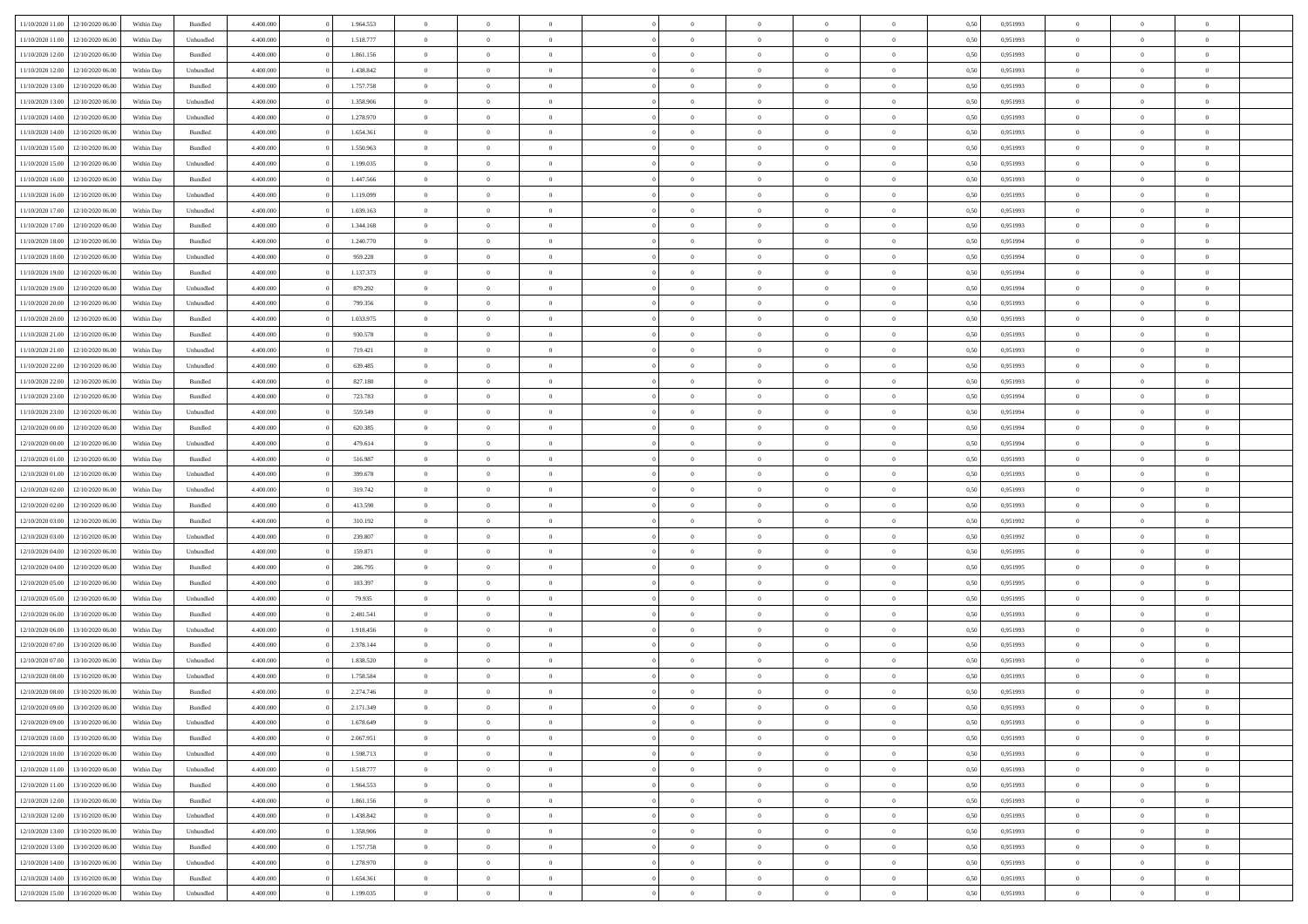|                                   |                  |            |                    |           |           |                |                |                |                | $\Omega$       | $\theta$       | $\theta$       |      |          | $\theta$       |                |                |  |
|-----------------------------------|------------------|------------|--------------------|-----------|-----------|----------------|----------------|----------------|----------------|----------------|----------------|----------------|------|----------|----------------|----------------|----------------|--|
| 11/10/2020 11:00                  | 12/10/2020 06:00 | Within Dav | Bundled            | 4.400.000 | 1.964.553 | $\overline{0}$ | $\theta$       |                | $\Omega$       |                |                |                | 0,50 | 0,951993 |                | $\theta$       | $\overline{0}$ |  |
| 11/10/2020 11:00                  | 12/10/2020 06.00 | Within Day | Unbundled          | 4.400.000 | 1.518.777 | $\overline{0}$ | $\theta$       | $\overline{0}$ | $\overline{0}$ | $\bf{0}$       | $\overline{0}$ | $\bf{0}$       | 0,50 | 0,951993 | $\theta$       | $\overline{0}$ | $\overline{0}$ |  |
| 11/10/2020 12:00                  | 12/10/2020 06:00 | Within Day | Bundled            | 4.400.000 | 1.861.156 | $\overline{0}$ | $\bf{0}$       | $\overline{0}$ | $\bf{0}$       | $\bf{0}$       | $\bf{0}$       | $\mathbf{0}$   | 0,50 | 0,951993 | $\overline{0}$ | $\overline{0}$ | $\bf{0}$       |  |
| 11/10/2020 12:00                  | 12/10/2020 06:00 | Within Dav | Unbundled          | 4.400.000 | 1.438.842 | $\overline{0}$ | $\overline{0}$ | $\overline{0}$ | $\overline{0}$ | $\bf{0}$       | $\overline{0}$ | $\overline{0}$ | 0.50 | 0.951993 | $\theta$       | $\overline{0}$ | $\overline{0}$ |  |
| 11/10/2020 13:00                  | 12/10/2020 06.00 | Within Day | Bundled            | 4.400.000 | 1.757.758 | $\overline{0}$ | $\theta$       | $\overline{0}$ | $\overline{0}$ | $\bf{0}$       | $\overline{0}$ |                |      | 0,951993 | $\theta$       | $\overline{0}$ | $\overline{0}$ |  |
|                                   |                  |            |                    |           |           |                |                |                |                |                |                | $\bf{0}$       | 0,50 |          |                |                |                |  |
| 11/10/2020 13:00                  | 12/10/2020 06:00 | Within Day | Unbundled          | 4.400.000 | 1.358.906 | $\overline{0}$ | $\overline{0}$ | $\overline{0}$ | $\bf{0}$       | $\overline{0}$ | $\overline{0}$ | $\mathbf{0}$   | 0,50 | 0,951993 | $\overline{0}$ | $\overline{0}$ | $\bf{0}$       |  |
| 11/10/2020 14:00                  | 12/10/2020 06.00 | Within Dav | Unbundled          | 4.400.000 | 1.278.970 | $\overline{0}$ | $\overline{0}$ | $\overline{0}$ | $\overline{0}$ | $\overline{0}$ | $\overline{0}$ | $\overline{0}$ | 0.50 | 0.951993 | $\theta$       | $\overline{0}$ | $\overline{0}$ |  |
| 11/10/2020 14:00                  | 12/10/2020 06.00 | Within Day | Bundled            | 4.400.000 | 1.654.361 | $\overline{0}$ | $\theta$       | $\overline{0}$ | $\overline{0}$ | $\bf{0}$       | $\overline{0}$ | $\bf{0}$       | 0,50 | 0,951993 | $\theta$       | $\theta$       | $\overline{0}$ |  |
| 11/10/2020 15:00                  | 12/10/2020 06:00 | Within Day | Bundled            | 4.400.000 | 1.550.963 | $\overline{0}$ | $\overline{0}$ | $\overline{0}$ | $\bf{0}$       | $\bf{0}$       | $\bf{0}$       | $\bf{0}$       | 0,50 | 0,951993 | $\,0\,$        | $\overline{0}$ | $\overline{0}$ |  |
| 11/10/2020 15:00                  | 12/10/2020 06.00 | Within Dav | Unbundled          | 4.400.000 | 1.199.035 | $\overline{0}$ | $\overline{0}$ | $\overline{0}$ | $\overline{0}$ | $\overline{0}$ | $\overline{0}$ | $\overline{0}$ | 0.50 | 0.951993 | $\theta$       | $\overline{0}$ | $\overline{0}$ |  |
|                                   |                  |            |                    |           |           |                |                |                |                |                |                |                |      |          |                |                |                |  |
| 11/10/2020 16:00                  | 12/10/2020 06.00 | Within Day | Bundled            | 4.400.000 | 1.447.566 | $\overline{0}$ | $\theta$       | $\overline{0}$ | $\overline{0}$ | $\bf{0}$       | $\overline{0}$ | $\bf{0}$       | 0,50 | 0,951993 | $\,$ 0 $\,$    | $\overline{0}$ | $\overline{0}$ |  |
| 11/10/2020 16.00                  | 12/10/2020 06:00 | Within Day | Unbundled          | 4.400.000 | 1.119.099 | $\overline{0}$ | $\overline{0}$ | $\overline{0}$ | $\bf{0}$       | $\bf{0}$       | $\bf{0}$       | $\mathbf{0}$   | 0,50 | 0,951993 | $\bf{0}$       | $\overline{0}$ | $\bf{0}$       |  |
| 11/10/2020 17:00                  | 12/10/2020 06:00 | Within Dav | Unbundled          | 4.400.000 | 1.039.163 | $\overline{0}$ | $\overline{0}$ | $\overline{0}$ | $\overline{0}$ | $\bf{0}$       | $\overline{0}$ | $\overline{0}$ | 0.50 | 0.951993 | $\theta$       | $\theta$       | $\overline{0}$ |  |
| 11/10/2020 17:00                  | 12/10/2020 06.00 | Within Day | Bundled            | 4.400.000 | 1.344.168 | $\overline{0}$ | $\theta$       | $\overline{0}$ | $\overline{0}$ | $\bf{0}$       | $\overline{0}$ | $\bf{0}$       | 0,50 | 0,951993 | $\theta$       | $\overline{0}$ | $\overline{0}$ |  |
| 11/10/2020 18:00                  | 12/10/2020 06:00 | Within Day | Bundled            | 4.400.000 | 1.240.770 | $\overline{0}$ | $\overline{0}$ | $\overline{0}$ | $\bf{0}$       | $\overline{0}$ | $\overline{0}$ | $\mathbf{0}$   | 0,50 | 0,951994 | $\bf{0}$       | $\overline{0}$ | $\bf{0}$       |  |
|                                   |                  |            |                    |           |           |                |                |                |                |                |                |                |      |          |                |                |                |  |
| 11/10/2020 18:00                  | 12/10/2020 06:00 | Within Dav | Unbundled          | 4.400.000 | 959.228   | $\overline{0}$ | $\overline{0}$ | $\overline{0}$ | $\overline{0}$ | $\overline{0}$ | $\overline{0}$ | $\overline{0}$ | 0.50 | 0,951994 | $\overline{0}$ | $\overline{0}$ | $\overline{0}$ |  |
| 11/10/2020 19:00                  | 12/10/2020 06.00 | Within Day | Bundled            | 4.400.000 | 1.137.373 | $\overline{0}$ | $\theta$       | $\overline{0}$ | $\overline{0}$ | $\bf{0}$       | $\overline{0}$ | $\bf{0}$       | 0,50 | 0,951994 | $\,$ 0 $\,$    | $\overline{0}$ | $\overline{0}$ |  |
| 11/10/2020 19:00                  | 12/10/2020 06:00 | Within Day | Unbundled          | 4.400.000 | 879.292   | $\overline{0}$ | $\overline{0}$ | $\overline{0}$ | $\bf{0}$       | $\bf{0}$       | $\bf{0}$       | $\mathbf{0}$   | 0,50 | 0,951994 | $\bf{0}$       | $\overline{0}$ | $\bf{0}$       |  |
| 11/10/2020 20:00                  | 12/10/2020 06:00 | Within Dav | Unbundled          | 4.400.000 | 799.356   | $\overline{0}$ | $\overline{0}$ | $\overline{0}$ | $\overline{0}$ | $\overline{0}$ | $\overline{0}$ | $\overline{0}$ | 0.50 | 0.951993 | $\theta$       | $\overline{0}$ | $\overline{0}$ |  |
| 11/10/2020 20.00                  | 12/10/2020 06.00 | Within Day | Bundled            | 4.400.000 | 1.033.975 | $\overline{0}$ | $\theta$       | $\overline{0}$ | $\overline{0}$ | $\bf{0}$       | $\overline{0}$ | $\bf{0}$       | 0,50 | 0,951993 | $\,$ 0 $\,$    | $\overline{0}$ | $\overline{0}$ |  |
| 11/10/2020 21.00                  | 12/10/2020 06:00 | Within Day | Bundled            | 4.400.000 | 930.578   | $\overline{0}$ | $\overline{0}$ | $\overline{0}$ | $\bf{0}$       | $\bf{0}$       | $\bf{0}$       | $\bf{0}$       | 0,50 | 0,951993 | $\bf{0}$       | $\overline{0}$ | $\bf{0}$       |  |
|                                   |                  |            |                    |           |           |                |                |                |                |                |                |                |      |          |                |                |                |  |
| 11/10/2020 21:00                  | 12/10/2020 06:00 | Within Day | Unbundled          | 4.400.000 | 719.421   | $\overline{0}$ | $\overline{0}$ | $\overline{0}$ | $\overline{0}$ | $\overline{0}$ | $\overline{0}$ | $\overline{0}$ | 0.50 | 0.951993 | $\theta$       | $\overline{0}$ | $\overline{0}$ |  |
| 11/10/2020 22.00                  | 12/10/2020 06.00 | Within Day | Unbundled          | 4.400.000 | 639.485   | $\overline{0}$ | $\theta$       | $\overline{0}$ | $\overline{0}$ | $\bf{0}$       | $\overline{0}$ | $\bf{0}$       | 0,50 | 0,951993 | $\,$ 0 $\,$    | $\overline{0}$ | $\overline{0}$ |  |
| 11/10/2020 22.00                  | 12/10/2020 06:00 | Within Day | Bundled            | 4.400.000 | 827.180   | $\overline{0}$ | $\overline{0}$ | $\overline{0}$ | $\bf{0}$       | $\overline{0}$ | $\overline{0}$ | $\mathbf{0}$   | 0,50 | 0,951993 | $\bf{0}$       | $\overline{0}$ | $\bf{0}$       |  |
| 11/10/2020 23.00                  | 12/10/2020 06.00 | Within Dav | Bundled            | 4.400.000 | 723.783   | $\overline{0}$ | $\overline{0}$ | $\overline{0}$ | $\overline{0}$ | $\overline{0}$ | $\overline{0}$ | $\overline{0}$ | 0.50 | 0,951994 | $\overline{0}$ | $\overline{0}$ | $\overline{0}$ |  |
| 11/10/2020 23.00                  | 12/10/2020 06.00 | Within Day | Unbundled          | 4.400.000 | 559.549   | $\overline{0}$ | $\theta$       | $\overline{0}$ | $\overline{0}$ | $\bf{0}$       | $\overline{0}$ | $\bf{0}$       | 0,50 | 0,951994 | $\,$ 0 $\,$    | $\overline{0}$ | $\overline{0}$ |  |
| 12/10/2020 00:00                  | 12/10/2020 06:00 | Within Day | Bundled            | 4.400.000 | 620.385   | $\overline{0}$ | $\overline{0}$ | $\overline{0}$ | $\bf{0}$       | $\bf{0}$       | $\bf{0}$       | $\bf{0}$       | 0,50 | 0,951994 | $\,0\,$        | $\overline{0}$ | $\overline{0}$ |  |
| 12/10/2020 00:00                  | 12/10/2020 06.00 |            | Unbundled          | 4.400.000 | 479.614   | $\overline{0}$ | $\overline{0}$ | $\overline{0}$ | $\overline{0}$ | $\overline{0}$ | $\overline{0}$ | $\overline{0}$ | 0.50 | 0,951994 | $\theta$       | $\overline{0}$ | $\overline{0}$ |  |
|                                   |                  | Within Day |                    |           |           |                |                |                |                |                |                |                |      |          |                |                |                |  |
| 12/10/2020 01:00                  | 12/10/2020 06.00 | Within Day | Bundled            | 4.400.000 | 516.987   | $\overline{0}$ | $\overline{0}$ | $\overline{0}$ | $\overline{0}$ | $\bf{0}$       | $\overline{0}$ | $\bf{0}$       | 0,50 | 0,951993 | $\,$ 0 $\,$    | $\overline{0}$ | $\overline{0}$ |  |
| 12/10/2020 01.00                  | 12/10/2020 06:00 | Within Day | Unbundled          | 4.400.000 | 399.678   | $\overline{0}$ | $\overline{0}$ | $\overline{0}$ | $\bf{0}$       | $\bf{0}$       | $\bf{0}$       | $\bf{0}$       | 0,50 | 0,951993 | $\overline{0}$ | $\overline{0}$ | $\bf{0}$       |  |
| 12/10/2020 02:00                  | 12/10/2020 06.00 | Within Day | Unbundled          | 4.400,000 | 319.742   | $\overline{0}$ | $\Omega$       | $\Omega$       | $\Omega$       | $\Omega$       | $\overline{0}$ | $\overline{0}$ | 0,50 | 0,951993 | $\,0\,$        | $\theta$       | $\theta$       |  |
| 12/10/2020 02:00                  | 12/10/2020 06.00 | Within Day | Bundled            | 4.400.000 | 413.590   | $\overline{0}$ | $\overline{0}$ | $\overline{0}$ | $\overline{0}$ | $\bf{0}$       | $\overline{0}$ | $\bf{0}$       | 0,50 | 0,951993 | $\,$ 0 $\,$    | $\overline{0}$ | $\overline{0}$ |  |
| 12/10/2020 03:00                  | 12/10/2020 06:00 | Within Day | Bundled            | 4.400.000 | 310.192   | $\overline{0}$ | $\overline{0}$ | $\overline{0}$ | $\bf{0}$       | $\overline{0}$ | $\overline{0}$ | $\mathbf{0}$   | 0,50 | 0,951992 | $\overline{0}$ | $\overline{0}$ | $\bf{0}$       |  |
| 12/10/2020 03:00                  | 12/10/2020 06:00 | Within Day | Unbundled          | 4.400,000 | 239.807   | $\overline{0}$ | $\Omega$       | $\Omega$       | $\Omega$       | $\overline{0}$ | $\overline{0}$ | $\overline{0}$ | 0.50 | 0,951992 | $\,0\,$        | $\theta$       | $\theta$       |  |
| 12/10/2020 04:00                  | 12/10/2020 06.00 | Within Day | Unbundled          | 4.400.000 | 159.871   | $\overline{0}$ | $\theta$       | $\overline{0}$ | $\overline{0}$ | $\bf{0}$       | $\overline{0}$ | $\bf{0}$       | 0,50 | 0,951995 | $\,$ 0 $\,$    | $\overline{0}$ | $\overline{0}$ |  |
|                                   |                  |            |                    |           |           |                |                |                |                |                |                |                |      |          |                |                |                |  |
| 12/10/2020 04:00                  | 12/10/2020 06.00 | Within Day | Bundled            | 4.400.000 | 206.795   | $\overline{0}$ | $\overline{0}$ | $\overline{0}$ | $\bf{0}$       | $\bf{0}$       | $\bf{0}$       | $\bf{0}$       | 0,50 | 0,951995 | $\bf{0}$       | $\overline{0}$ | $\bf{0}$       |  |
| 12/10/2020 05:00                  | 12/10/2020 06:00 | Within Day | Bundled            | 4.400,000 | 103,397   | $\overline{0}$ | $\Omega$       | $\Omega$       | $\Omega$       | $\overline{0}$ | $\overline{0}$ | $\overline{0}$ | 0.50 | 0,951995 | $\,$ 0 $\,$    | $\theta$       | $\theta$       |  |
| 12/10/2020 05:00                  | 12/10/2020 06.00 | Within Day | Unbundled          | 4.400.000 | 79.935    | $\overline{0}$ | $\overline{0}$ | $\overline{0}$ | $\overline{0}$ | $\,$ 0         | $\overline{0}$ | $\bf{0}$       | 0,50 | 0,951995 | $\,$ 0 $\,$    | $\overline{0}$ | $\overline{0}$ |  |
| 12/10/2020 06.00                  | 13/10/2020 06:00 | Within Day | Bundled            | 4.400.000 | 2.481.541 | $\overline{0}$ | $\overline{0}$ | $\overline{0}$ | $\bf{0}$       | $\bf{0}$       | $\overline{0}$ | $\mathbf{0}$   | 0,50 | 0,951993 | $\overline{0}$ | $\overline{0}$ | $\bf{0}$       |  |
| 12/10/2020 06.00                  | 13/10/2020 06.00 | Within Day | Unbundled          | 4.400,000 | 1.918.456 | $\overline{0}$ | $\Omega$       | $\overline{0}$ | $\Omega$       | $\overline{0}$ | $\overline{0}$ | $\overline{0}$ | 0,50 | 0,951993 | $\,0\,$        | $\theta$       | $\theta$       |  |
| 12/10/2020 07:00                  | 13/10/2020 06.00 | Within Day | Bundled            | 4.400.000 | 2.378.144 | $\overline{0}$ | $\overline{0}$ | $\overline{0}$ | $\overline{0}$ | $\,$ 0         | $\overline{0}$ | $\bf{0}$       | 0,50 | 0,951993 | $\,$ 0 $\,$    | $\overline{0}$ | $\overline{0}$ |  |
|                                   |                  |            |                    |           |           |                |                |                |                |                |                |                |      |          |                |                |                |  |
| 12/10/2020 07:00                  | 13/10/2020 06:00 | Within Day | Unbundled          | 4.400.000 | 1.838.520 | $\overline{0}$ | $\overline{0}$ | $\overline{0}$ | $\overline{0}$ | $\bf{0}$       | $\overline{0}$ | $\mathbf{0}$   | 0,50 | 0,951993 | $\overline{0}$ | $\overline{0}$ | $\bf{0}$       |  |
| 12/10/2020 08:00                  | 13/10/2020 06:00 | Within Day | Unbundled          | 4.400,000 | 1.758.584 | $\overline{0}$ | $\Omega$       | $\Omega$       | $\Omega$       | $\Omega$       | $\Omega$       | $\overline{0}$ | 0.50 | 0.951993 | $\theta$       | $\theta$       | $\theta$       |  |
| 12/10/2020 08:00                  | 13/10/2020 06:00 | Within Day | Bundled            | 4.400.000 | 2.274.746 | $\overline{0}$ | $\overline{0}$ | $\overline{0}$ | $\bf{0}$       | $\,$ 0         | $\overline{0}$ | $\bf{0}$       | 0,50 | 0,951993 | $\,0\,$        | $\,$ 0 $\,$    | $\overline{0}$ |  |
| 12/10/2020 09:00                  | 13/10/2020 06:00 | Within Day | $\mathbf B$ undled | 4.400.000 | 2.171.349 | $\overline{0}$ | $\bf{0}$       |                |                | $\bf{0}$       |                |                | 0,50 | 0,951993 | $\bf{0}$       | $\overline{0}$ |                |  |
| 12/10/2020 09:00                  | 13/10/2020 06:00 | Within Day | Unbundled          | 4.400.000 | 1.678.649 | $\overline{0}$ | $\overline{0}$ | $\overline{0}$ | $\Omega$       | $\theta$       | $\overline{0}$ | $\overline{0}$ | 0,50 | 0.951993 | $\theta$       | $\theta$       | $\theta$       |  |
| 12/10/2020 10:00                  | 13/10/2020 06.00 | Within Day | Bundled            | 4.400.000 | 2.067.951 | $\overline{0}$ | $\,$ 0         | $\overline{0}$ | $\overline{0}$ | $\,$ 0 $\,$    | $\overline{0}$ | $\mathbf{0}$   | 0,50 | 0,951993 | $\,$ 0 $\,$    | $\,$ 0 $\,$    | $\,$ 0         |  |
| 12/10/2020 10:00                  | 13/10/2020 06:00 | Within Day | Unbundled          | 4.400.000 | 1.598.713 | $\overline{0}$ | $\overline{0}$ | $\overline{0}$ | $\overline{0}$ | $\overline{0}$ | $\overline{0}$ | $\mathbf{0}$   | 0,50 | 0,951993 | $\overline{0}$ | $\bf{0}$       | $\bf{0}$       |  |
|                                   |                  |            |                    | 4.400,000 |           |                | $\overline{0}$ |                | $\Omega$       | $\overline{0}$ | $\overline{0}$ |                |      |          |                | $\theta$       | $\overline{0}$ |  |
| 12/10/2020 11:00                  | 13/10/2020 06:00 | Within Day | Unbundled          |           | 1.518.777 | $\overline{0}$ |                | $\overline{0}$ |                |                |                | $\bf{0}$       | 0,50 | 0,951993 | $\overline{0}$ |                |                |  |
| 12/10/2020 11:00                  | 13/10/2020 06.00 | Within Day | Bundled            | 4.400.000 | 1.964.553 | $\overline{0}$ | $\,$ 0         | $\overline{0}$ | $\overline{0}$ | $\,$ 0 $\,$    | $\overline{0}$ | $\mathbf{0}$   | 0,50 | 0,951993 | $\,$ 0 $\,$    | $\overline{0}$ | $\overline{0}$ |  |
| 12/10/2020 12:00                  | 13/10/2020 06:00 | Within Day | Bundled            | 4.400.000 | 1.861.156 | $\overline{0}$ | $\overline{0}$ | $\overline{0}$ | $\overline{0}$ | $\overline{0}$ | $\overline{0}$ | $\mathbf{0}$   | 0,50 | 0,951993 | $\overline{0}$ | $\overline{0}$ | $\bf{0}$       |  |
| 12/10/2020 12:00                  | 13/10/2020 06:00 | Within Day | Unbundled          | 4.400.000 | 1.438.842 | $\overline{0}$ | $\overline{0}$ | $\overline{0}$ | $\Omega$       | $\overline{0}$ | $\overline{0}$ | $\bf{0}$       | 0.50 | 0,951993 | $\overline{0}$ | $\theta$       | $\overline{0}$ |  |
| 12/10/2020 13:00                  | 13/10/2020 06.00 | Within Day | Unbundled          | 4.400.000 | 1.358.906 | $\overline{0}$ | $\,$ 0         | $\overline{0}$ | $\overline{0}$ | $\bf{0}$       | $\overline{0}$ | $\bf{0}$       | 0,50 | 0,951993 | $\,$ 0 $\,$    | $\overline{0}$ | $\overline{0}$ |  |
| 12/10/2020 13:00                  | 13/10/2020 06:00 | Within Day | Bundled            | 4.400.000 | 1.757.758 | $\overline{0}$ | $\bf{0}$       | $\overline{0}$ | $\overline{0}$ | $\overline{0}$ | $\overline{0}$ | $\mathbf{0}$   | 0,50 | 0,951993 | $\overline{0}$ | $\overline{0}$ | $\bf{0}$       |  |
| 12/10/2020 14:00                  | 13/10/2020 06:00 | Within Day | Unbundled          | 4.400,000 | 1.278.970 | $\overline{0}$ | $\overline{0}$ | $\overline{0}$ | $\Omega$       | $\overline{0}$ | $\overline{0}$ | $\bf{0}$       | 0.50 | 0,951993 | $\overline{0}$ | $\theta$       | $\overline{0}$ |  |
|                                   |                  |            |                    |           |           |                | $\bf{0}$       |                |                |                |                |                |      |          | $\,$ 0 $\,$    | $\,$ 0 $\,$    |                |  |
| 12/10/2020 14:00                  | 13/10/2020 06.00 | Within Day | Bundled            | 4.400.000 | 1.654.361 | $\overline{0}$ |                | $\overline{0}$ | $\bf{0}$       | $\bf{0}$       | $\overline{0}$ | $\mathbf{0}$   | 0,50 | 0,951993 |                |                | $\bf{0}$       |  |
| 12/10/2020 15:00 13/10/2020 06:00 |                  | Within Day | Unbundled          | 4.400.000 | 1.199.035 | $\overline{0}$ | $\overline{0}$ | $\overline{0}$ | $\overline{0}$ | $\overline{0}$ | $\bf{0}$       | $\mathbf{0}$   | 0,50 | 0,951993 | $\overline{0}$ | $\bf{0}$       | $\bf{0}$       |  |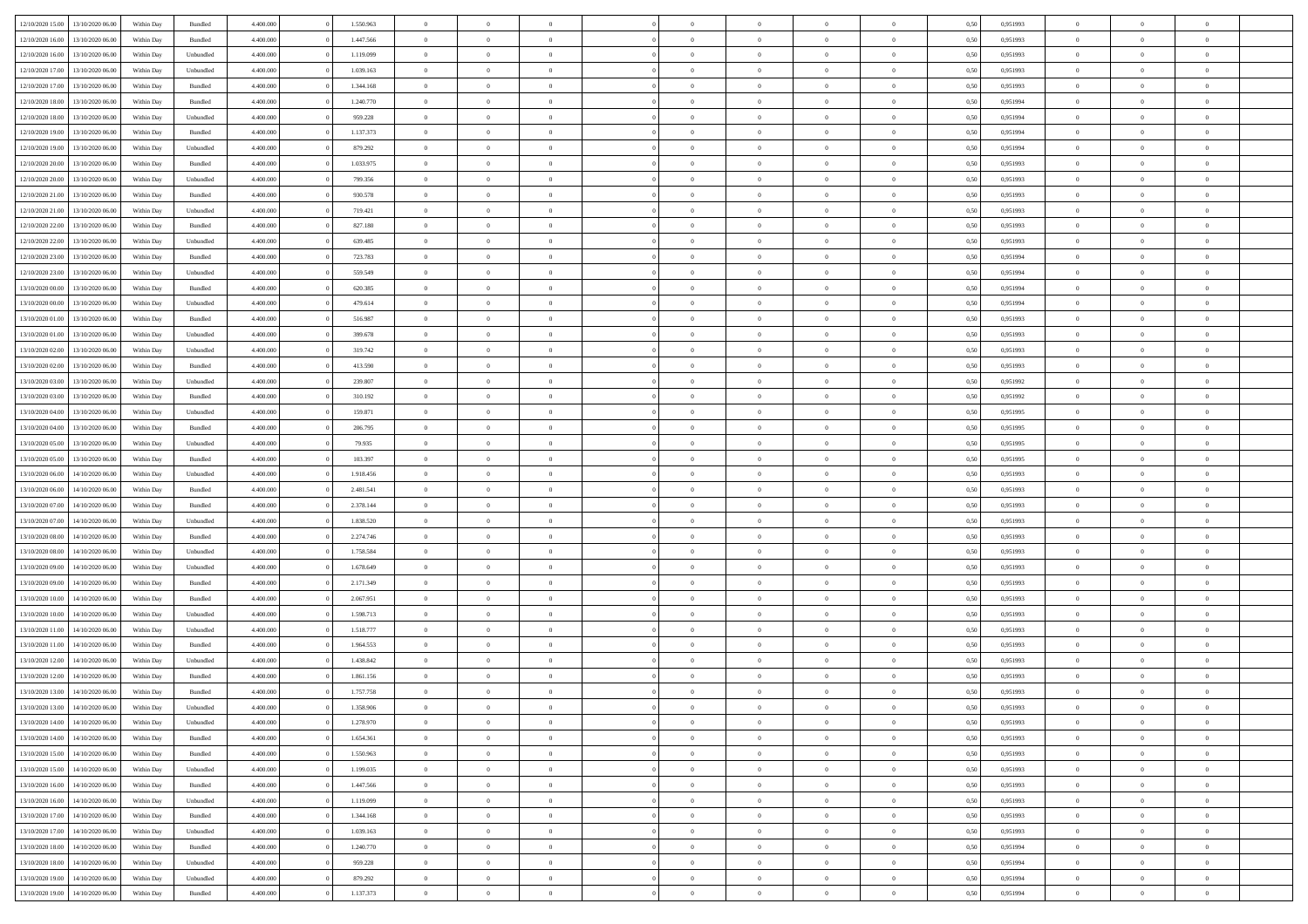| 12/10/2020 15:00 | 13/10/2020 06:00 | Within Dav | Bundled   | 4.400.000 | 1.550.963 | $\overline{0}$ | $\theta$       |                | $\Omega$       | $\Omega$       | $\theta$       | $\theta$       | 0,50 | 0,951993 | $\theta$       | $\overline{0}$ | $\overline{0}$ |  |
|------------------|------------------|------------|-----------|-----------|-----------|----------------|----------------|----------------|----------------|----------------|----------------|----------------|------|----------|----------------|----------------|----------------|--|
|                  |                  |            |           |           |           |                |                |                |                |                |                |                |      |          |                |                |                |  |
| 12/10/2020 16:00 | 13/10/2020 06.00 | Within Day | Bundled   | 4.400.000 | 1.447.566 | $\overline{0}$ | $\theta$       | $\overline{0}$ | $\overline{0}$ | $\bf{0}$       | $\overline{0}$ | $\bf{0}$       | 0,50 | 0,951993 | $\theta$       | $\overline{0}$ | $\overline{0}$ |  |
| 12/10/2020 16:00 | 13/10/2020 06:00 | Within Day | Unbundled | 4.400.000 | 1.119.099 | $\overline{0}$ | $\bf{0}$       | $\overline{0}$ | $\bf{0}$       | $\bf{0}$       | $\bf{0}$       | $\mathbf{0}$   | 0,50 | 0,951993 | $\overline{0}$ | $\overline{0}$ | $\overline{0}$ |  |
| 12/10/2020 17:00 | 13/10/2020 06:00 | Within Dav | Unbundled | 4.400.000 | 1.039.163 | $\overline{0}$ | $\overline{0}$ | $\overline{0}$ | $\overline{0}$ | $\bf{0}$       | $\overline{0}$ | $\overline{0}$ | 0.50 | 0.951993 | $\theta$       | $\overline{0}$ | $\overline{0}$ |  |
| 12/10/2020 17:00 | 13/10/2020 06.00 | Within Day | Bundled   | 4.400.000 | 1.344.168 | $\overline{0}$ | $\theta$       | $\overline{0}$ | $\overline{0}$ | $\bf{0}$       | $\overline{0}$ | $\bf{0}$       | 0,50 | 0,951993 | $\,$ 0 $\,$    | $\overline{0}$ | $\overline{0}$ |  |
| 12/10/2020 18:00 | 13/10/2020 06:00 | Within Day | Bundled   | 4.400.000 | 1.240.770 | $\overline{0}$ | $\overline{0}$ | $\overline{0}$ | $\bf{0}$       | $\overline{0}$ | $\overline{0}$ | $\mathbf{0}$   | 0,50 | 0,951994 | $\overline{0}$ | $\overline{0}$ | $\bf{0}$       |  |
|                  |                  |            |           |           |           |                |                |                |                |                |                |                |      |          |                |                |                |  |
| 12/10/2020 18:00 | 13/10/2020 06:00 | Within Dav | Unbundled | 4.400.000 | 959.228   | $\overline{0}$ | $\overline{0}$ | $\overline{0}$ | $\overline{0}$ | $\overline{0}$ | $\overline{0}$ | $\overline{0}$ | 0.50 | 0,951994 | $\theta$       | $\overline{0}$ | $\overline{0}$ |  |
| 12/10/2020 19:00 | 13/10/2020 06.00 | Within Day | Bundled   | 4.400.000 | 1.137.373 | $\overline{0}$ | $\theta$       | $\overline{0}$ | $\overline{0}$ | $\bf{0}$       | $\overline{0}$ | $\bf{0}$       | 0,50 | 0,951994 | $\theta$       | $\theta$       | $\overline{0}$ |  |
| 12/10/2020 19:00 | 13/10/2020 06:00 | Within Day | Unbundled | 4.400.000 | 879.292   | $\overline{0}$ | $\overline{0}$ | $\overline{0}$ | $\bf{0}$       | $\bf{0}$       | $\bf{0}$       | $\bf{0}$       | 0,50 | 0,951994 | $\,0\,$        | $\overline{0}$ | $\overline{0}$ |  |
| 12/10/2020 20:00 | 13/10/2020 06:00 | Within Dav | Bundled   | 4.400.000 | 1.033.975 | $\overline{0}$ | $\overline{0}$ | $\overline{0}$ | $\overline{0}$ | $\overline{0}$ | $\overline{0}$ | $\overline{0}$ | 0.50 | 0.951993 | $\theta$       | $\overline{0}$ | $\overline{0}$ |  |
| 12/10/2020 20:00 | 13/10/2020 06.00 | Within Day | Unbundled | 4.400.000 | 799.356   | $\overline{0}$ | $\theta$       | $\overline{0}$ | $\overline{0}$ | $\bf{0}$       | $\overline{0}$ | $\bf{0}$       | 0,50 | 0,951993 | $\,$ 0 $\,$    | $\overline{0}$ | $\overline{0}$ |  |
| 12/10/2020 21.00 | 13/10/2020 06:00 | Within Day | Bundled   | 4.400.000 | 930.578   | $\overline{0}$ | $\overline{0}$ | $\overline{0}$ | $\bf{0}$       | $\bf{0}$       | $\bf{0}$       | $\mathbf{0}$   | 0,50 | 0,951993 | $\overline{0}$ | $\overline{0}$ | $\bf{0}$       |  |
| 12/10/2020 21:00 | 13/10/2020 06:00 | Within Day | Unbundled | 4.400.000 | 719.421   | $\overline{0}$ | $\overline{0}$ | $\overline{0}$ | $\overline{0}$ | $\bf{0}$       | $\overline{0}$ | $\overline{0}$ | 0.50 | 0.951993 | $\theta$       | $\theta$       | $\overline{0}$ |  |
|                  |                  |            |           |           |           |                |                |                |                |                |                |                |      |          |                |                |                |  |
| 12/10/2020 22.00 | 13/10/2020 06.00 | Within Day | Bundled   | 4.400.000 | 827.180   | $\overline{0}$ | $\theta$       | $\overline{0}$ | $\overline{0}$ | $\bf{0}$       | $\overline{0}$ | $\bf{0}$       | 0,50 | 0,951993 | $\theta$       | $\overline{0}$ | $\overline{0}$ |  |
| 12/10/2020 22:00 | 13/10/2020 06:00 | Within Day | Unbundled | 4.400.000 | 639.485   | $\overline{0}$ | $\overline{0}$ | $\overline{0}$ | $\bf{0}$       | $\overline{0}$ | $\overline{0}$ | $\mathbf{0}$   | 0,50 | 0,951993 | $\overline{0}$ | $\overline{0}$ | $\bf{0}$       |  |
| 12/10/2020 23:00 | 13/10/2020 06:00 | Within Dav | Bundled   | 4.400.000 | 723.783   | $\overline{0}$ | $\overline{0}$ | $\overline{0}$ | $\overline{0}$ | $\overline{0}$ | $\overline{0}$ | $\overline{0}$ | 0.50 | 0,951994 | $\overline{0}$ | $\overline{0}$ | $\overline{0}$ |  |
| 12/10/2020 23:00 | 13/10/2020 06.00 | Within Day | Unbundled | 4.400.000 | 559.549   | $\overline{0}$ | $\theta$       | $\overline{0}$ | $\overline{0}$ | $\bf{0}$       | $\overline{0}$ | $\bf{0}$       | 0,50 | 0,951994 | $\,$ 0 $\,$    | $\overline{0}$ | $\overline{0}$ |  |
| 13/10/2020 00.00 | 13/10/2020 06.00 | Within Day | Bundled   | 4.400.000 | 620.385   | $\overline{0}$ | $\overline{0}$ | $\overline{0}$ | $\overline{0}$ | $\bf{0}$       | $\overline{0}$ | $\mathbf{0}$   | 0,50 | 0,951994 | $\bf{0}$       | $\overline{0}$ | $\overline{0}$ |  |
| 13/10/2020 00:00 | 13/10/2020 06:00 | Within Day | Unbundled | 4.400.000 | 479.614   | $\overline{0}$ | $\overline{0}$ | $\overline{0}$ | $\overline{0}$ | $\overline{0}$ | $\overline{0}$ | $\overline{0}$ | 0.50 | 0,951994 | $\theta$       | $\overline{0}$ | $\overline{0}$ |  |
|                  |                  |            |           |           |           |                |                |                |                |                |                |                |      |          |                |                |                |  |
| 13/10/2020 01:00 | 13/10/2020 06.00 | Within Day | Bundled   | 4.400.000 | 516.987   | $\overline{0}$ | $\theta$       | $\overline{0}$ | $\overline{0}$ | $\bf{0}$       | $\overline{0}$ | $\bf{0}$       | 0,50 | 0,951993 | $\,$ 0 $\,$    | $\overline{0}$ | $\overline{0}$ |  |
| 13/10/2020 01.00 | 13/10/2020 06:00 | Within Day | Unbundled | 4.400.000 | 399.678   | $\overline{0}$ | $\overline{0}$ | $\overline{0}$ | $\overline{0}$ | $\bf{0}$       | $\overline{0}$ | $\bf{0}$       | 0,50 | 0,951993 | $\bf{0}$       | $\overline{0}$ | $\bf{0}$       |  |
| 13/10/2020 02:00 | 13/10/2020 06:00 | Within Day | Unbundled | 4.400.000 | 319.742   | $\overline{0}$ | $\overline{0}$ | $\overline{0}$ | $\overline{0}$ | $\overline{0}$ | $\overline{0}$ | $\overline{0}$ | 0.50 | 0.951993 | $\theta$       | $\overline{0}$ | $\overline{0}$ |  |
| 13/10/2020 02:00 | 13/10/2020 06.00 | Within Day | Bundled   | 4.400.000 | 413.590   | $\overline{0}$ | $\theta$       | $\overline{0}$ | $\overline{0}$ | $\bf{0}$       | $\overline{0}$ | $\bf{0}$       | 0,50 | 0,951993 | $\,$ 0 $\,$    | $\overline{0}$ | $\overline{0}$ |  |
| 13/10/2020 03:00 | 13/10/2020 06:00 | Within Day | Unbundled | 4.400.000 | 239.807   | $\overline{0}$ | $\overline{0}$ | $\overline{0}$ | $\overline{0}$ | $\overline{0}$ | $\overline{0}$ | $\mathbf{0}$   | 0,50 | 0,951992 | $\bf{0}$       | $\overline{0}$ | $\bf{0}$       |  |
| 13/10/2020 03:00 | 13/10/2020 06:00 | Within Dav | Bundled   | 4.400.000 | 310.192   | $\overline{0}$ | $\overline{0}$ | $\overline{0}$ | $\overline{0}$ | $\overline{0}$ | $\overline{0}$ | $\overline{0}$ | 0.50 | 0.951992 | $\overline{0}$ | $\overline{0}$ | $\overline{0}$ |  |
|                  |                  |            |           |           |           | $\overline{0}$ | $\theta$       | $\overline{0}$ |                | $\bf{0}$       | $\overline{0}$ |                |      |          |                |                | $\overline{0}$ |  |
| 13/10/2020 04:00 | 13/10/2020 06.00 | Within Day | Unbundled | 4.400.000 | 159.871   |                |                |                | $\overline{0}$ |                |                | $\bf{0}$       | 0,50 | 0,951995 | $\,$ 0 $\,$    | $\overline{0}$ |                |  |
| 13/10/2020 04:00 | 13/10/2020 06:00 | Within Day | Bundled   | 4.400.000 | 206.795   | $\overline{0}$ | $\overline{0}$ | $\overline{0}$ | $\overline{0}$ | $\bf{0}$       | $\overline{0}$ | $\bf{0}$       | 0,50 | 0,951995 | $\,0\,$        | $\overline{0}$ | $\overline{0}$ |  |
| 13/10/2020 05:00 | 13/10/2020 06:00 | Within Day | Unbundled | 4.400.000 | 79.935    | $\overline{0}$ | $\overline{0}$ | $\overline{0}$ | $\overline{0}$ | $\overline{0}$ | $\overline{0}$ | $\overline{0}$ | 0.50 | 0.951995 | $\theta$       | $\overline{0}$ | $\overline{0}$ |  |
| 13/10/2020 05:00 | 13/10/2020 06.00 | Within Day | Bundled   | 4.400.000 | 103.397   | $\overline{0}$ | $\overline{0}$ | $\overline{0}$ | $\overline{0}$ | $\,$ 0         | $\overline{0}$ | $\bf{0}$       | 0,50 | 0,951995 | $\,$ 0 $\,$    | $\overline{0}$ | $\overline{0}$ |  |
| 13/10/2020 06.00 | 14/10/2020 06.00 | Within Day | Unbundled | 4.400.000 | 1.918.456 | $\overline{0}$ | $\overline{0}$ | $\overline{0}$ | $\overline{0}$ | $\bf{0}$       | $\overline{0}$ | $\bf{0}$       | 0,50 | 0,951993 | $\bf{0}$       | $\overline{0}$ | $\bf{0}$       |  |
| 13/10/2020 06:00 | 14/10/2020 06.00 | Within Day | Bundled   | 4.400,000 | 2.481.541 | $\bf{0}$       | $\Omega$       | $\overline{0}$ | $\Omega$       | $\Omega$       | $\overline{0}$ | $\overline{0}$ | 0,50 | 0,951993 | $\,0\,$        | $\theta$       | $\theta$       |  |
| 13/10/2020 07.00 | 14/10/2020 06.00 | Within Day | Bundled   | 4.400.000 | 2.378.144 | $\overline{0}$ | $\overline{0}$ | $\overline{0}$ | $\overline{0}$ | $\bf{0}$       | $\overline{0}$ | $\bf{0}$       | 0,50 | 0,951993 | $\,$ 0 $\,$    | $\overline{0}$ | $\overline{0}$ |  |
|                  |                  |            |           |           |           |                |                |                |                |                |                |                |      |          |                |                |                |  |
| 13/10/2020 07.00 | 14/10/2020 06.00 | Within Day | Unbundled | 4.400.000 | 1.838.520 | $\overline{0}$ | $\overline{0}$ | $\overline{0}$ | $\overline{0}$ | $\overline{0}$ | $\overline{0}$ | $\mathbf{0}$   | 0,50 | 0,951993 | $\bf{0}$       | $\overline{0}$ | $\bf{0}$       |  |
| 13/10/2020 08:00 | 14/10/2020 06.00 | Within Day | Bundled   | 4.400,000 | 2.274.746 | $\overline{0}$ | $\Omega$       | $\Omega$       | $\Omega$       | $\overline{0}$ | $\overline{0}$ | $\overline{0}$ | 0.50 | 0,951993 | $\,0\,$        | $\theta$       | $\theta$       |  |
| 13/10/2020 08:00 | 14/10/2020 06.00 | Within Day | Unbundled | 4.400.000 | 1.758.584 | $\overline{0}$ | $\theta$       | $\overline{0}$ | $\overline{0}$ | $\bf{0}$       | $\overline{0}$ | $\bf{0}$       | 0,50 | 0,951993 | $\,$ 0 $\,$    | $\overline{0}$ | $\overline{0}$ |  |
| 13/10/2020 09:00 | 14/10/2020 06.00 | Within Day | Unbundled | 4.400.000 | 1.678.649 | $\overline{0}$ | $\overline{0}$ | $\overline{0}$ | $\bf{0}$       | $\bf{0}$       | $\bf{0}$       | $\bf{0}$       | 0,50 | 0,951993 | $\bf{0}$       | $\overline{0}$ | $\bf{0}$       |  |
| 13/10/2020 09:00 | 14/10/2020 06:00 | Within Day | Bundled   | 4.400,000 | 2.171.349 | $\overline{0}$ | $\Omega$       | $\overline{0}$ | $\Omega$       | $\overline{0}$ | $\overline{0}$ | $\overline{0}$ | 0.50 | 0.951993 | $\,$ 0 $\,$    | $\theta$       | $\theta$       |  |
| 13/10/2020 10:00 | 14/10/2020 06.00 | Within Day | Bundled   | 4.400.000 | 2.067.951 | $\overline{0}$ | $\,$ 0         | $\overline{0}$ | $\overline{0}$ | $\,$ 0         | $\overline{0}$ | $\bf{0}$       | 0,50 | 0,951993 | $\,$ 0 $\,$    | $\overline{0}$ | $\overline{0}$ |  |
| 13/10/2020 10:00 | 14/10/2020 06.00 | Within Day | Unbundled | 4.400.000 | 1.598.713 | $\overline{0}$ | $\overline{0}$ | $\overline{0}$ | $\bf{0}$       | $\bf{0}$       | $\bf{0}$       | $\mathbf{0}$   | 0,50 | 0,951993 | $\overline{0}$ | $\overline{0}$ | $\bf{0}$       |  |
| 13/10/2020 11:00 | 14/10/2020 06.00 | Within Day | Unbundled | 4.400,000 | 1.518.777 | $\overline{0}$ | $\Omega$       | $\overline{0}$ | $\Omega$       | $\overline{0}$ | $\overline{0}$ | $\overline{0}$ | 0,50 | 0,951993 | $\,0\,$        | $\theta$       | $\theta$       |  |
|                  |                  |            |           |           |           |                |                |                |                |                |                |                |      |          |                |                |                |  |
| 13/10/2020 11:00 | 14/10/2020 06.00 | Within Day | Bundled   | 4.400.000 | 1.964.553 | $\overline{0}$ | $\overline{0}$ | $\overline{0}$ | $\overline{0}$ | $\,$ 0         | $\overline{0}$ | $\bf{0}$       | 0,50 | 0,951993 | $\,$ 0 $\,$    | $\overline{0}$ | $\overline{0}$ |  |
| 13/10/2020 12:00 | 14/10/2020 06.00 | Within Day | Unbundled | 4.400.000 | 1.438.842 | $\overline{0}$ | $\overline{0}$ | $\overline{0}$ | $\bf{0}$       | $\bf{0}$       | $\overline{0}$ | $\mathbf{0}$   | 0,50 | 0,951993 | $\overline{0}$ | $\overline{0}$ | $\bf{0}$       |  |
| 13/10/2020 12:00 | 14/10/2020 06.00 | Within Day | Bundled   | 4.400,000 | 1.861.156 | $\overline{0}$ | $\Omega$       | $\Omega$       | $\Omega$       | $\Omega$       | $\Omega$       | $\overline{0}$ | 0.50 | 0.951993 | $\theta$       | $\theta$       | $\theta$       |  |
| 13/10/2020 13:00 | 14/10/2020 06.00 | Within Day | Bundled   | 4.400.000 | 1.757.758 | $\overline{0}$ | $\overline{0}$ | $\overline{0}$ | $\bf{0}$       | $\,$ 0         | $\bf{0}$       | $\bf{0}$       | 0,50 | 0,951993 | $\,0\,$        | $\,$ 0 $\,$    | $\overline{0}$ |  |
| 13/10/2020 13:00 | 14/10/2020 06.00 | Within Day | Unbundled | 4.400.000 | 1.358.906 | $\bf{0}$       | $\bf{0}$       |                |                | $\bf{0}$       |                |                | 0,50 | 0,951993 | $\bf{0}$       | $\overline{0}$ |                |  |
| 13/10/2020 14:00 | 14/10/2020 06:00 | Within Day | Unbundled | 4.400.000 | 1.278.970 | $\overline{0}$ | $\overline{0}$ | $\overline{0}$ | $\Omega$       | $\overline{0}$ | $\overline{0}$ | $\overline{0}$ | 0,50 | 0.951993 | $\theta$       | $\theta$       | $\theta$       |  |
| 13/10/2020 14:00 | 14/10/2020 06.00 | Within Day | Bundled   | 4.400.000 | 1.654.361 | $\overline{0}$ | $\,$ 0         | $\overline{0}$ | $\bf{0}$       | $\,$ 0 $\,$    | $\overline{0}$ | $\mathbf{0}$   | 0,50 | 0,951993 | $\,$ 0 $\,$    | $\,$ 0 $\,$    | $\,$ 0         |  |
|                  |                  |            |           |           |           |                |                |                |                |                |                |                |      |          |                |                |                |  |
| 13/10/2020 15:00 | 14/10/2020 06.00 | Within Day | Bundled   | 4.400.000 | 1.550.963 | $\overline{0}$ | $\overline{0}$ | $\overline{0}$ | $\overline{0}$ | $\overline{0}$ | $\overline{0}$ | $\mathbf{0}$   | 0,50 | 0,951993 | $\overline{0}$ | $\bf{0}$       | $\bf{0}$       |  |
| 13/10/2020 15:00 | 14/10/2020 06.00 | Within Day | Unbundled | 4.400,000 | 1.199.035 | $\overline{0}$ | $\overline{0}$ | $\overline{0}$ | $\Omega$       | $\overline{0}$ | $\overline{0}$ | $\bf{0}$       | 0,50 | 0,951993 | $\overline{0}$ | $\theta$       | $\overline{0}$ |  |
| 13/10/2020 16:00 | 14/10/2020 06.00 | Within Day | Bundled   | 4.400.000 | 1.447.566 | $\overline{0}$ | $\,$ 0         | $\overline{0}$ | $\overline{0}$ | $\,$ 0 $\,$    | $\overline{0}$ | $\bf{0}$       | 0,50 | 0,951993 | $\,$ 0 $\,$    | $\overline{0}$ | $\overline{0}$ |  |
| 13/10/2020 16:00 | 14/10/2020 06.00 | Within Day | Unbundled | 4.400.000 | 1.119.099 | $\overline{0}$ | $\overline{0}$ | $\overline{0}$ | $\overline{0}$ | $\overline{0}$ | $\overline{0}$ | $\mathbf{0}$   | 0,50 | 0,951993 | $\overline{0}$ | $\overline{0}$ | $\bf{0}$       |  |
| 13/10/2020 17:00 | 14/10/2020 06.00 | Within Day | Bundled   | 4.400,000 | 1.344.168 | $\overline{0}$ | $\overline{0}$ | $\overline{0}$ | $\Omega$       | $\overline{0}$ | $\overline{0}$ | $\bf{0}$       | 0.50 | 0,951993 | $\overline{0}$ | $\theta$       | $\overline{0}$ |  |
| 13/10/2020 17:00 | 14/10/2020 06.00 | Within Day | Unbundled | 4.400.000 | 1.039.163 | $\overline{0}$ | $\,$ 0         | $\overline{0}$ | $\bf{0}$       | $\bf{0}$       | $\bf{0}$       | $\bf{0}$       | 0,50 | 0,951993 | $\,$ 0 $\,$    | $\overline{0}$ | $\overline{0}$ |  |
| 13/10/2020 18:00 | 14/10/2020 06.00 | Within Day | Bundled   | 4.400.000 | 1.240.770 | $\overline{0}$ | $\bf{0}$       | $\overline{0}$ | $\overline{0}$ | $\overline{0}$ | $\bf{0}$       | $\mathbf{0}$   | 0,50 | 0,951994 | $\overline{0}$ | $\overline{0}$ | $\bf{0}$       |  |
|                  |                  |            |           |           |           |                |                |                |                |                |                |                |      |          |                |                |                |  |
| 13/10/2020 18:00 | 14/10/2020 06.00 | Within Day | Unbundled | 4.400,000 | 959.228   | $\overline{0}$ | $\overline{0}$ | $\overline{0}$ | $\Omega$       | $\overline{0}$ | $\overline{0}$ | $\bf{0}$       | 0.50 | 0,951994 | $\overline{0}$ | $\theta$       | $\overline{0}$ |  |
| 13/10/2020 19:00 | 14/10/2020 06.00 | Within Day | Unbundled | 4.400.000 | 879.292   | $\overline{0}$ | $\bf{0}$       | $\overline{0}$ | $\overline{0}$ | $\bf{0}$       | $\bf{0}$       | $\bf{0}$       | 0,50 | 0,951994 | $\,$ 0 $\,$    | $\,$ 0 $\,$    | $\bf{0}$       |  |
| 13/10/2020 19:00 | 14/10/2020 06.00 | Within Day | Bundled   | 4.400.000 | 1.137.373 | $\overline{0}$ | $\bf{0}$       | $\overline{0}$ | $\bf{0}$       | $\bf{0}$       | $\bf{0}$       | $\bf{0}$       | 0,50 | 0,951994 | $\overline{0}$ | $\overline{0}$ | $\bf{0}$       |  |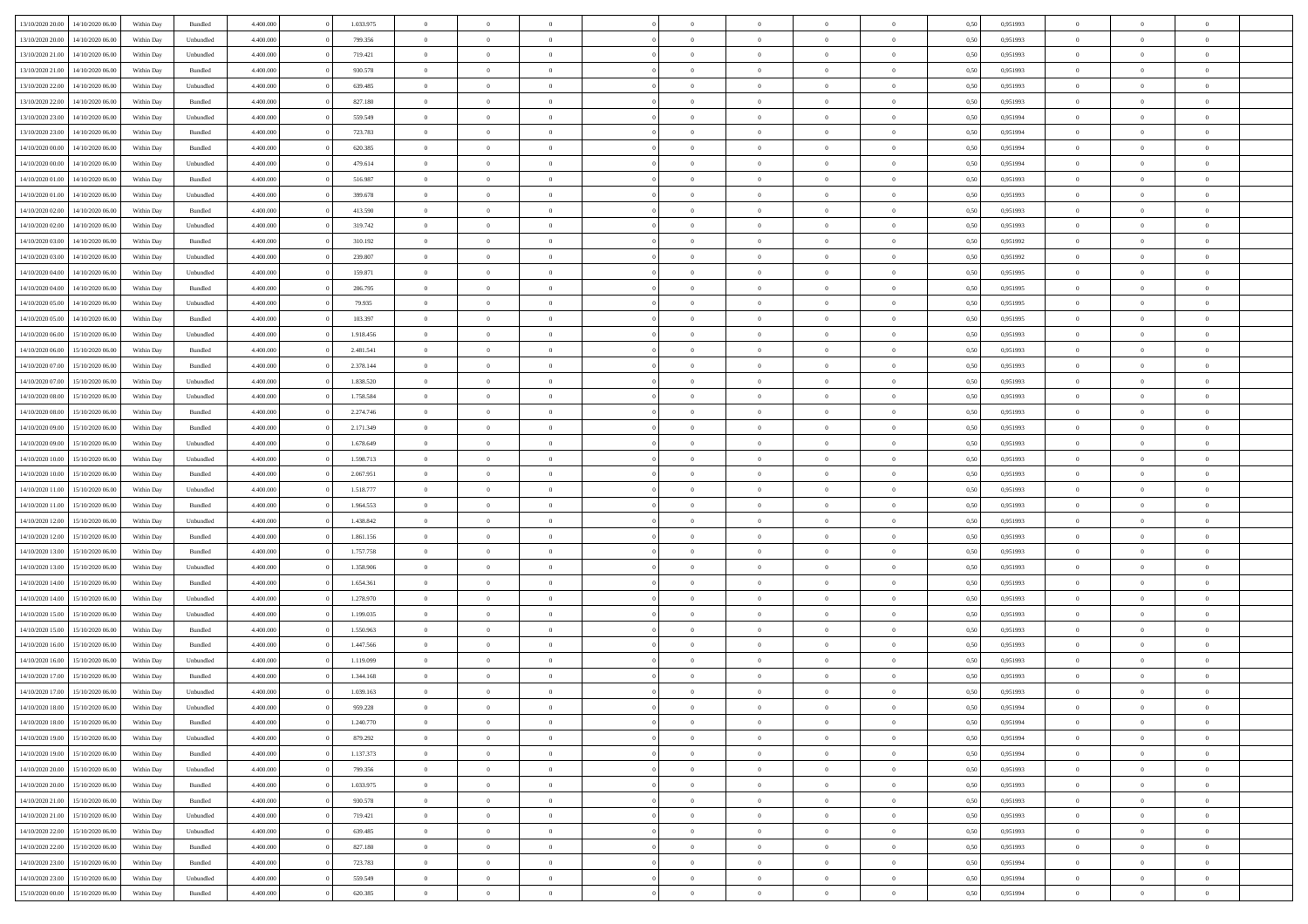|                  |                  |            |           |           |           |                |                |                |                | $\Omega$       | $\theta$       | $\theta$       |      |          | $\theta$       | $\overline{0}$ |                |  |
|------------------|------------------|------------|-----------|-----------|-----------|----------------|----------------|----------------|----------------|----------------|----------------|----------------|------|----------|----------------|----------------|----------------|--|
| 13/10/2020 20:00 | 14/10/2020 06:00 | Within Dav | Bundled   | 4.400.000 | 1.033.975 | $\overline{0}$ | $\theta$       |                | $\Omega$       |                |                |                | 0,50 | 0,951993 |                |                | $\overline{0}$ |  |
| 13/10/2020 20:00 | 14/10/2020 06.00 | Within Day | Unbundled | 4.400.000 | 799.356   | $\overline{0}$ | $\theta$       | $\overline{0}$ | $\overline{0}$ | $\bf{0}$       | $\overline{0}$ | $\bf{0}$       | 0,50 | 0,951993 | $\theta$       | $\overline{0}$ | $\overline{0}$ |  |
| 13/10/2020 21.00 | 14/10/2020 06.00 | Within Day | Unbundled | 4.400.000 | 719.421   | $\overline{0}$ | $\bf{0}$       | $\overline{0}$ | $\bf{0}$       | $\bf{0}$       | $\bf{0}$       | $\mathbf{0}$   | 0,50 | 0,951993 | $\bf{0}$       | $\overline{0}$ | $\overline{0}$ |  |
| 13/10/2020 21:00 | 14/10/2020 06:00 | Within Dav | Bundled   | 4.400.000 | 930.578   | $\overline{0}$ | $\overline{0}$ | $\overline{0}$ | $\overline{0}$ | $\bf{0}$       | $\overline{0}$ | $\overline{0}$ | 0.50 | 0.951993 | $\theta$       | $\overline{0}$ | $\overline{0}$ |  |
| 13/10/2020 22.00 | 14/10/2020 06.00 | Within Day | Unbundled | 4.400.000 | 639.485   | $\overline{0}$ | $\theta$       | $\overline{0}$ | $\overline{0}$ | $\bf{0}$       | $\overline{0}$ | $\bf{0}$       | 0,50 | 0,951993 | $\theta$       | $\overline{0}$ | $\overline{0}$ |  |
|                  |                  |            |           |           |           |                |                |                |                |                |                |                |      |          |                |                |                |  |
| 13/10/2020 22.00 | 14/10/2020 06.00 | Within Day | Bundled   | 4.400.000 | 827.180   | $\overline{0}$ | $\overline{0}$ | $\overline{0}$ | $\bf{0}$       | $\overline{0}$ | $\overline{0}$ | $\mathbf{0}$   | 0,50 | 0,951993 | $\overline{0}$ | $\overline{0}$ | $\bf{0}$       |  |
| 13/10/2020 23:00 | 14/10/2020 06.00 | Within Dav | Unbundled | 4.400.000 | 559.549   | $\overline{0}$ | $\overline{0}$ | $\overline{0}$ | $\overline{0}$ | $\overline{0}$ | $\overline{0}$ | $\overline{0}$ | 0.50 | 0,951994 | $\theta$       | $\overline{0}$ | $\overline{0}$ |  |
| 13/10/2020 23:00 | 14/10/2020 06.00 | Within Day | Bundled   | 4.400.000 | 723.783   | $\overline{0}$ | $\theta$       | $\overline{0}$ | $\overline{0}$ | $\bf{0}$       | $\overline{0}$ | $\bf{0}$       | 0,50 | 0,951994 | $\theta$       | $\theta$       | $\overline{0}$ |  |
| 14/10/2020 00:00 | 14/10/2020 06.00 | Within Day | Bundled   | 4.400.000 | 620.385   | $\overline{0}$ | $\overline{0}$ | $\overline{0}$ | $\bf{0}$       | $\bf{0}$       | $\bf{0}$       | $\bf{0}$       | 0,50 | 0,951994 | $\,0\,$        | $\overline{0}$ | $\overline{0}$ |  |
| 14/10/2020 00:00 | 14/10/2020 06.00 | Within Dav | Unbundled | 4.400.000 | 479.614   | $\overline{0}$ | $\overline{0}$ | $\overline{0}$ | $\overline{0}$ | $\overline{0}$ | $\overline{0}$ | $\overline{0}$ | 0.50 | 0,951994 | $\theta$       | $\overline{0}$ | $\overline{0}$ |  |
| 14/10/2020 01:00 | 14/10/2020 06.00 | Within Day | Bundled   | 4.400.000 | 516.987   | $\overline{0}$ | $\theta$       | $\overline{0}$ | $\overline{0}$ | $\bf{0}$       | $\overline{0}$ | $\bf{0}$       | 0,50 | 0,951993 | $\,$ 0 $\,$    | $\overline{0}$ | $\overline{0}$ |  |
| 14/10/2020 01.00 | 14/10/2020 06.00 | Within Day | Unbundled | 4.400.000 | 399.678   | $\overline{0}$ | $\overline{0}$ | $\overline{0}$ | $\bf{0}$       | $\bf{0}$       | $\bf{0}$       | $\mathbf{0}$   | 0,50 | 0,951993 | $\overline{0}$ | $\overline{0}$ | $\bf{0}$       |  |
|                  |                  |            |           |           |           |                |                |                |                |                |                |                |      |          | $\theta$       |                |                |  |
| 14/10/2020 02.00 | 14/10/2020 06:00 | Within Dav | Bundled   | 4.400.000 | 413.590   | $\overline{0}$ | $\overline{0}$ | $\overline{0}$ | $\overline{0}$ | $\bf{0}$       | $\overline{0}$ | $\overline{0}$ | 0.50 | 0.951993 |                | $\theta$       | $\overline{0}$ |  |
| 14/10/2020 02.00 | 14/10/2020 06.00 | Within Day | Unbundled | 4.400.000 | 319.742   | $\overline{0}$ | $\theta$       | $\overline{0}$ | $\overline{0}$ | $\bf{0}$       | $\overline{0}$ | $\bf{0}$       | 0,50 | 0,951993 | $\theta$       | $\overline{0}$ | $\overline{0}$ |  |
| 14/10/2020 03.00 | 14/10/2020 06.00 | Within Day | Bundled   | 4.400.000 | 310.192   | $\overline{0}$ | $\overline{0}$ | $\overline{0}$ | $\bf{0}$       | $\overline{0}$ | $\overline{0}$ | $\mathbf{0}$   | 0,50 | 0,951992 | $\overline{0}$ | $\overline{0}$ | $\bf{0}$       |  |
| 14/10/2020 03:00 | 14/10/2020 06.00 | Within Dav | Unbundled | 4.400.000 | 239.807   | $\overline{0}$ | $\overline{0}$ | $\overline{0}$ | $\overline{0}$ | $\overline{0}$ | $\overline{0}$ | $\overline{0}$ | 0.50 | 0.951992 | $\theta$       | $\overline{0}$ | $\overline{0}$ |  |
| 14/10/2020 04:00 | 14/10/2020 06.00 | Within Day | Unbundled | 4.400.000 | 159.871   | $\overline{0}$ | $\theta$       | $\overline{0}$ | $\overline{0}$ | $\bf{0}$       | $\overline{0}$ | $\bf{0}$       | 0,50 | 0,951995 | $\,$ 0 $\,$    | $\overline{0}$ | $\overline{0}$ |  |
| 14/10/2020 04.00 | 14/10/2020 06.00 | Within Day | Bundled   | 4.400.000 | 206.795   | $\overline{0}$ | $\overline{0}$ | $\overline{0}$ | $\bf{0}$       | $\bf{0}$       | $\bf{0}$       | $\bf{0}$       | 0,50 | 0,951995 | $\bf{0}$       | $\overline{0}$ | $\overline{0}$ |  |
| 14/10/2020 05:00 | 14/10/2020 06:00 | Within Dav | Unbundled | 4.400.000 | 79.935    | $\overline{0}$ | $\overline{0}$ | $\overline{0}$ | $\overline{0}$ | $\overline{0}$ | $\overline{0}$ | $\overline{0}$ | 0.50 | 0.951995 | $\theta$       | $\overline{0}$ | $\overline{0}$ |  |
|                  |                  |            |           |           |           |                |                |                |                |                |                |                |      |          |                |                |                |  |
| 14/10/2020 05:00 | 14/10/2020 06.00 | Within Day | Bundled   | 4.400.000 | 103.397   | $\overline{0}$ | $\theta$       | $\overline{0}$ | $\overline{0}$ | $\bf{0}$       | $\overline{0}$ | $\bf{0}$       | 0,50 | 0,951995 | $\,$ 0 $\,$    | $\overline{0}$ | $\overline{0}$ |  |
| 14/10/2020 06.00 | 15/10/2020 06.00 | Within Day | Unbundled | 4.400.000 | 1.918.456 | $\overline{0}$ | $\overline{0}$ | $\overline{0}$ | $\bf{0}$       | $\bf{0}$       | $\bf{0}$       | $\bf{0}$       | 0,50 | 0,951993 | $\overline{0}$ | $\overline{0}$ | $\bf{0}$       |  |
| 14/10/2020 06:00 | 15/10/2020 06:00 | Within Day | Bundled   | 4.400.000 | 2.481.541 | $\overline{0}$ | $\overline{0}$ | $\overline{0}$ | $\overline{0}$ | $\overline{0}$ | $\overline{0}$ | $\overline{0}$ | 0.50 | 0.951993 | $\theta$       | $\overline{0}$ | $\overline{0}$ |  |
| 14/10/2020 07:00 | 15/10/2020 06.00 | Within Day | Bundled   | 4.400.000 | 2.378.144 | $\overline{0}$ | $\theta$       | $\overline{0}$ | $\overline{0}$ | $\bf{0}$       | $\overline{0}$ | $\bf{0}$       | 0,50 | 0,951993 | $\,$ 0 $\,$    | $\overline{0}$ | $\overline{0}$ |  |
| 14/10/2020 07.00 | 15/10/2020 06.00 | Within Day | Unbundled | 4.400.000 | 1.838.520 | $\overline{0}$ | $\overline{0}$ | $\overline{0}$ | $\bf{0}$       | $\overline{0}$ | $\overline{0}$ | $\mathbf{0}$   | 0,50 | 0,951993 | $\overline{0}$ | $\overline{0}$ | $\bf{0}$       |  |
| 14/10/2020 08:00 | 15/10/2020 06.00 | Within Dav | Unbundled | 4.400.000 | 1.758.584 | $\overline{0}$ | $\overline{0}$ | $\overline{0}$ | $\overline{0}$ | $\overline{0}$ | $\overline{0}$ | $\overline{0}$ | 0.50 | 0.951993 | $\overline{0}$ | $\overline{0}$ | $\overline{0}$ |  |
|                  |                  |            |           |           |           | $\overline{0}$ | $\theta$       | $\overline{0}$ |                | $\bf{0}$       | $\overline{0}$ |                |      |          | $\theta$       |                | $\overline{0}$ |  |
| 14/10/2020 08:00 | 15/10/2020 06.00 | Within Day | Bundled   | 4.400.000 | 2.274.746 |                |                |                | $\overline{0}$ |                |                | $\bf{0}$       | 0,50 | 0,951993 |                | $\overline{0}$ |                |  |
| 14/10/2020 09:00 | 15/10/2020 06.00 | Within Day | Bundled   | 4.400.000 | 2.171.349 | $\overline{0}$ | $\overline{0}$ | $\overline{0}$ | $\bf{0}$       | $\bf{0}$       | $\bf{0}$       | $\bf{0}$       | 0,50 | 0,951993 | $\,0\,$        | $\overline{0}$ | $\overline{0}$ |  |
| 14/10/2020 09:00 | 15/10/2020 06:00 | Within Day | Unbundled | 4.400.000 | 1.678.649 | $\overline{0}$ | $\overline{0}$ | $\overline{0}$ | $\overline{0}$ | $\overline{0}$ | $\overline{0}$ | $\overline{0}$ | 0.50 | 0.951993 | $\theta$       | $\overline{0}$ | $\overline{0}$ |  |
| 14/10/2020 10:00 | 15/10/2020 06.00 | Within Day | Unbundled | 4.400.000 | 1.598.713 | $\overline{0}$ | $\theta$       | $\overline{0}$ | $\overline{0}$ | $\bf{0}$       | $\overline{0}$ | $\bf{0}$       | 0,50 | 0,951993 | $\,$ 0 $\,$    | $\overline{0}$ | $\overline{0}$ |  |
| 14/10/2020 10.00 | 15/10/2020 06:00 | Within Day | Bundled   | 4.400.000 | 2.067.951 | $\overline{0}$ | $\overline{0}$ | $\overline{0}$ | $\bf{0}$       | $\bf{0}$       | $\bf{0}$       | $\bf{0}$       | 0,50 | 0,951993 | $\overline{0}$ | $\overline{0}$ | $\bf{0}$       |  |
| 14/10/2020 11:00 | 15/10/2020 06.00 | Within Day | Unbundled | 4.400,000 | 1.518.777 | $\overline{0}$ | $\Omega$       | $\Omega$       | $\Omega$       | $\Omega$       | $\overline{0}$ | $\overline{0}$ | 0,50 | 0,951993 | $\,0\,$        | $\theta$       | $\theta$       |  |
| 14/10/2020 11:00 | 15/10/2020 06.00 | Within Day | Bundled   | 4.400.000 | 1.964.553 | $\overline{0}$ | $\theta$       | $\overline{0}$ | $\overline{0}$ | $\bf{0}$       | $\overline{0}$ | $\bf{0}$       | 0,50 | 0,951993 | $\,$ 0 $\,$    | $\overline{0}$ | $\overline{0}$ |  |
|                  |                  |            |           |           |           |                |                |                |                |                |                |                |      |          |                | $\overline{0}$ | $\bf{0}$       |  |
| 14/10/2020 12:00 | 15/10/2020 06:00 | Within Day | Unbundled | 4.400.000 | 1.438.842 | $\overline{0}$ | $\overline{0}$ | $\overline{0}$ | $\bf{0}$       | $\overline{0}$ | $\overline{0}$ | $\mathbf{0}$   | 0,50 | 0,951993 | $\overline{0}$ |                |                |  |
| 14/10/2020 12:00 | 15/10/2020 06.00 | Within Day | Bundled   | 4.400,000 | 1.861.156 | $\overline{0}$ | $\Omega$       | $\Omega$       | $\Omega$       | $\bf{0}$       | $\overline{0}$ | $\overline{0}$ | 0.50 | 0,951993 | $\,0\,$        | $\theta$       | $\theta$       |  |
| 14/10/2020 13:00 | 15/10/2020 06.00 | Within Day | Bundled   | 4.400.000 | 1.757.758 | $\overline{0}$ | $\theta$       | $\overline{0}$ | $\overline{0}$ | $\bf{0}$       | $\overline{0}$ | $\bf{0}$       | 0,50 | 0,951993 | $\,$ 0 $\,$    | $\overline{0}$ | $\overline{0}$ |  |
| 14/10/2020 13:00 | 15/10/2020 06.00 | Within Day | Unbundled | 4.400.000 | 1.358.906 | $\overline{0}$ | $\overline{0}$ | $\overline{0}$ | $\bf{0}$       | $\bf{0}$       | $\bf{0}$       | $\bf{0}$       | 0,50 | 0,951993 | $\bf{0}$       | $\overline{0}$ | $\bf{0}$       |  |
| 14/10/2020 14:00 | 15/10/2020 06:00 | Within Day | Bundled   | 4.400,000 | 1.654.361 | $\overline{0}$ | $\Omega$       | $\Omega$       | $\Omega$       | $\theta$       | $\overline{0}$ | $\overline{0}$ | 0.50 | 0.951993 | $\,$ 0 $\,$    | $\theta$       | $\theta$       |  |
| 14/10/2020 14:00 | 15/10/2020 06.00 | Within Day | Unbundled | 4.400.000 | 1.278.970 | $\overline{0}$ | $\overline{0}$ | $\overline{0}$ | $\overline{0}$ | $\,$ 0         | $\overline{0}$ | $\bf{0}$       | 0,50 | 0,951993 | $\,$ 0 $\,$    | $\overline{0}$ | $\overline{0}$ |  |
| 14/10/2020 15.00 | 15/10/2020 06:00 | Within Day | Unbundled | 4.400.000 | 1.199.035 | $\overline{0}$ | $\bf{0}$       | $\overline{0}$ | $\bf{0}$       | $\bf{0}$       | $\bf{0}$       | $\bf{0}$       | 0,50 | 0,951993 | $\bf{0}$       | $\overline{0}$ | $\bf{0}$       |  |
|                  |                  |            |           | 4.400,000 |           | $\overline{0}$ | $\Omega$       | $\overline{0}$ | $\Omega$       | $\overline{0}$ | $\overline{0}$ | $\overline{0}$ |      |          | $\,0\,$        | $\theta$       | $\theta$       |  |
| 14/10/2020 15:00 | 15/10/2020 06.00 | Within Day | Bundled   |           | 1.550.963 |                |                |                |                |                |                |                | 0,50 | 0,951993 |                |                |                |  |
| 14/10/2020 16:00 | 15/10/2020 06.00 | Within Day | Bundled   | 4.400.000 | 1.447.566 | $\overline{0}$ | $\overline{0}$ | $\overline{0}$ | $\overline{0}$ | $\,$ 0         | $\overline{0}$ | $\bf{0}$       | 0,50 | 0,951993 | $\,$ 0 $\,$    | $\overline{0}$ | $\overline{0}$ |  |
| 14/10/2020 16.00 | 15/10/2020 06.00 | Within Day | Unbundled | 4.400.000 | 1.119.099 | $\overline{0}$ | $\overline{0}$ | $\overline{0}$ | $\bf{0}$       | $\bf{0}$       | $\bf{0}$       | $\mathbf{0}$   | 0,50 | 0,951993 | $\bf{0}$       | $\overline{0}$ | $\bf{0}$       |  |
| 14/10/2020 17.00 | 15/10/2020 06:00 | Within Day | Bundled   | 4.400,000 | 1.344.168 | $\overline{0}$ | $\Omega$       | $\Omega$       | $\Omega$       | $\Omega$       | $\Omega$       | $\overline{0}$ | 0.50 | 0.951993 | $\theta$       | $\theta$       | $\theta$       |  |
| 14/10/2020 17.00 | 15/10/2020 06.00 | Within Day | Unbundled | 4.400.000 | 1.039.163 | $\overline{0}$ | $\overline{0}$ | $\overline{0}$ | $\bf{0}$       | $\,$ 0         | $\bf{0}$       | $\bf{0}$       | 0,50 | 0,951993 | $\,0\,$        | $\,$ 0 $\,$    | $\overline{0}$ |  |
| 14/10/2020 18:00 | 15/10/2020 06:00 | Within Day | Unbundled | 4.400.000 | 959.228   | $\bf{0}$       | $\bf{0}$       |                |                | $\bf{0}$       |                |                | 0,50 | 0,951994 | $\bf{0}$       | $\overline{0}$ |                |  |
| 14/10/2020 18:00 | 15/10/2020 06:00 | Within Day | Bundled   | 4.400.000 | 1.240.770 | $\overline{0}$ | $\overline{0}$ | $\overline{0}$ | $\Omega$       | $\overline{0}$ | $\overline{0}$ | $\overline{0}$ | 0,50 | 0.951994 | $\theta$       | $\theta$       | $\theta$       |  |
| 14/10/2020 19:00 | 15/10/2020 06.00 | Within Day | Unbundled | 4.400.000 | 879.292   | $\overline{0}$ | $\,$ 0         | $\overline{0}$ | $\bf{0}$       | $\,$ 0 $\,$    | $\overline{0}$ | $\,$ 0 $\,$    | 0,50 | 0,951994 | $\,$ 0 $\,$    | $\,$ 0 $\,$    | $\,$ 0         |  |
|                  |                  |            |           |           |           |                |                |                |                |                |                |                |      |          |                |                |                |  |
| 14/10/2020 19:00 | 15/10/2020 06.00 | Within Day | Bundled   | 4.400.000 | 1.137.373 | $\overline{0}$ | $\overline{0}$ | $\overline{0}$ | $\overline{0}$ | $\overline{0}$ | $\overline{0}$ | $\mathbf{0}$   | 0,50 | 0,951994 | $\overline{0}$ | $\bf{0}$       | $\bf{0}$       |  |
| 14/10/2020 20:00 | 15/10/2020 06.00 | Within Day | Unbundled | 4.400,000 | 799.356   | $\overline{0}$ | $\overline{0}$ | $\overline{0}$ | $\Omega$       | $\overline{0}$ | $\overline{0}$ | $\overline{0}$ | 0,50 | 0,951993 | $\bf{0}$       | $\theta$       | $\overline{0}$ |  |
| 14/10/2020 20:00 | 15/10/2020 06.00 | Within Day | Bundled   | 4.400.000 | 1.033.975 | $\overline{0}$ | $\,$ 0         | $\overline{0}$ | $\bf{0}$       | $\,$ 0 $\,$    | $\overline{0}$ | $\mathbf{0}$   | 0,50 | 0,951993 | $\,$ 0 $\,$    | $\overline{0}$ | $\overline{0}$ |  |
| 14/10/2020 21.00 | 15/10/2020 06.00 | Within Day | Bundled   | 4.400.000 | 930.578   | $\overline{0}$ | $\overline{0}$ | $\overline{0}$ | $\overline{0}$ | $\overline{0}$ | $\overline{0}$ | $\mathbf{0}$   | 0,50 | 0,951993 | $\overline{0}$ | $\overline{0}$ | $\bf{0}$       |  |
| 14/10/2020 21.00 | 15/10/2020 06.00 | Within Day | Unbundled | 4.400.000 | 719.421   | $\overline{0}$ | $\overline{0}$ | $\overline{0}$ | $\overline{0}$ | $\overline{0}$ | $\overline{0}$ | $\bf{0}$       | 0.50 | 0,951993 | $\overline{0}$ | $\theta$       | $\overline{0}$ |  |
| 14/10/2020 22.00 | 15/10/2020 06.00 | Within Day | Unbundled | 4.400.000 | 639.485   | $\overline{0}$ | $\,$ 0         | $\overline{0}$ | $\bf{0}$       | $\bf{0}$       | $\bf{0}$       | $\bf{0}$       | 0,50 | 0,951993 | $\,$ 0 $\,$    | $\overline{0}$ | $\overline{0}$ |  |
| 14/10/2020 22.00 | 15/10/2020 06.00 | Within Day | Bundled   | 4.400.000 | 827.180   | $\overline{0}$ | $\bf{0}$       | $\overline{0}$ | $\overline{0}$ | $\overline{0}$ | $\overline{0}$ | $\mathbf{0}$   | 0,50 | 0,951993 | $\overline{0}$ | $\overline{0}$ | $\bf{0}$       |  |
|                  |                  |            |           |           |           |                |                |                |                |                |                |                |      |          |                |                |                |  |
| 14/10/2020 23.00 | 15/10/2020 06.00 | Within Day | Bundled   | 4.400,000 | 723.783   | $\overline{0}$ | $\overline{0}$ | $\overline{0}$ | $\Omega$       | $\overline{0}$ | $\overline{0}$ | $\bf{0}$       | 0.50 | 0,951994 | $\overline{0}$ | $\overline{0}$ | $\overline{0}$ |  |
| 14/10/2020 23.00 | 15/10/2020 06.00 | Within Day | Unbundled | 4.400.000 | 559.549   | $\overline{0}$ | $\bf{0}$       | $\overline{0}$ | $\overline{0}$ | $\bf{0}$       | $\bf{0}$       | $\bf{0}$       | 0,50 | 0,951994 | $\,$ 0 $\,$    | $\,$ 0 $\,$    | $\bf{0}$       |  |
| 15/10/2020 00:00 | 15/10/2020 06.00 | Within Day | Bundled   | 4.400.000 | 620.385   | $\overline{0}$ | $\bf{0}$       | $\overline{0}$ | $\bf{0}$       | $\bf{0}$       | $\bf{0}$       | $\bf{0}$       | 0,50 | 0,951994 | $\overline{0}$ | $\overline{0}$ | $\bf{0}$       |  |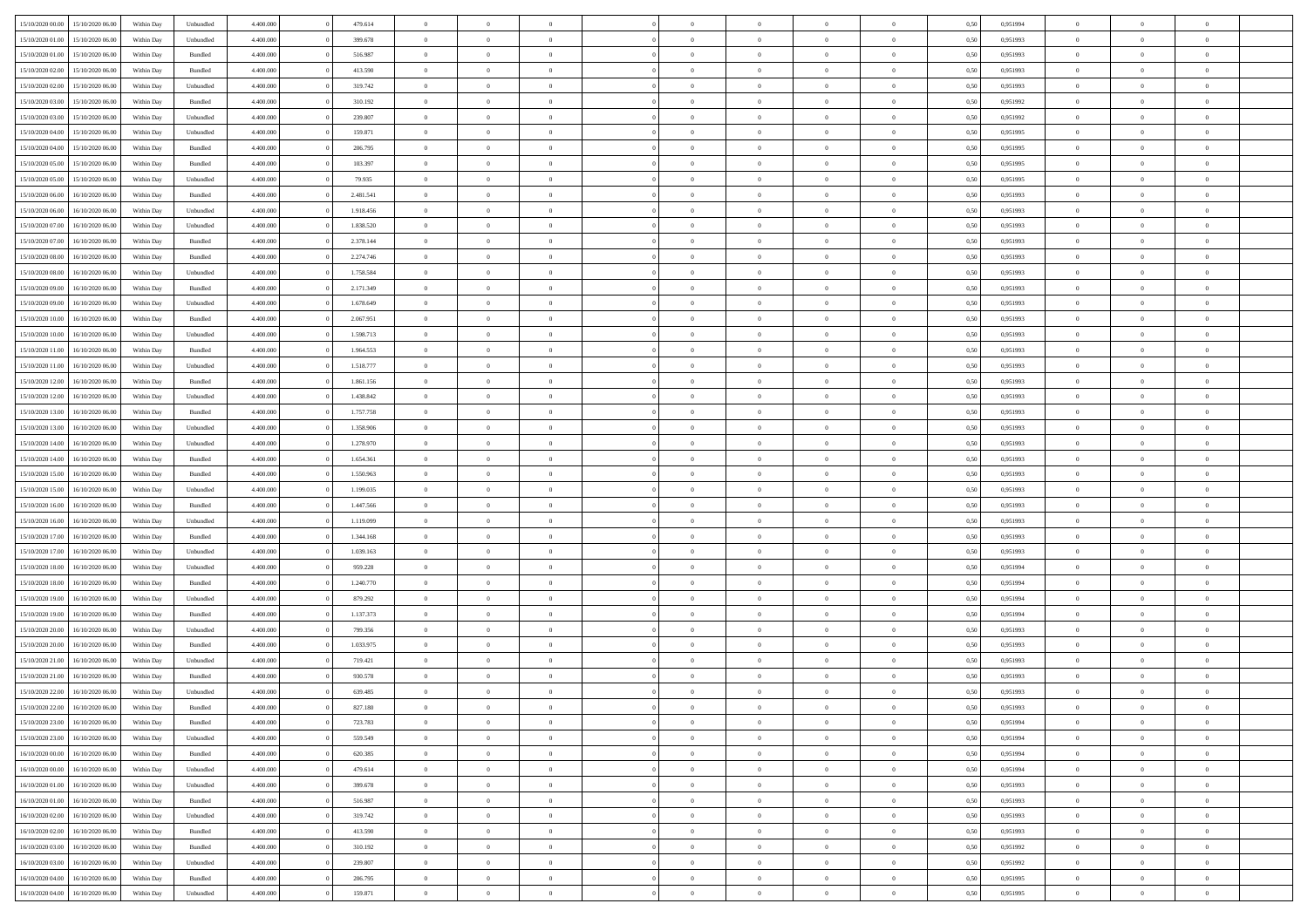| 15/10/2020 00:00 | 15/10/2020 06:00 | Within Dav | Unbundled          | 4.400.000 | 479.614   | $\overline{0}$ | $\theta$       |                | $\Omega$       | $\Omega$       | $\theta$       | $\theta$       | 0,50 | 0,951994 | $\theta$       | $\theta$       | $\theta$       |  |
|------------------|------------------|------------|--------------------|-----------|-----------|----------------|----------------|----------------|----------------|----------------|----------------|----------------|------|----------|----------------|----------------|----------------|--|
| 15/10/2020 01:00 | 15/10/2020 06.00 | Within Day | Unbundled          | 4.400.000 | 399.678   | $\overline{0}$ | $\theta$       | $\overline{0}$ | $\overline{0}$ | $\bf{0}$       | $\overline{0}$ | $\bf{0}$       | 0,50 | 0,951993 | $\theta$       | $\overline{0}$ | $\overline{0}$ |  |
| 15/10/2020 01:00 | 15/10/2020 06:00 | Within Day | Bundled            | 4.400.000 | 516.987   | $\overline{0}$ | $\overline{0}$ | $\overline{0}$ | $\bf{0}$       | $\bf{0}$       | $\bf{0}$       | $\bf{0}$       | 0,50 | 0,951993 | $\overline{0}$ | $\overline{0}$ | $\overline{0}$ |  |
| 15/10/2020 02:00 | 15/10/2020 06:00 | Within Dav | Bundled            | 4.400.000 | 413.590   | $\overline{0}$ | $\overline{0}$ | $\overline{0}$ | $\overline{0}$ | $\bf{0}$       | $\overline{0}$ | $\overline{0}$ | 0.50 | 0.951993 | $\theta$       | $\theta$       | $\overline{0}$ |  |
| 15/10/2020 02.00 | 15/10/2020 06.00 | Within Day | Unbundled          | 4.400.000 | 319.742   | $\overline{0}$ | $\theta$       | $\overline{0}$ | $\overline{0}$ | $\bf{0}$       | $\overline{0}$ | $\bf{0}$       | 0,50 | 0,951993 | $\theta$       | $\theta$       | $\overline{0}$ |  |
|                  |                  |            |                    |           |           |                |                |                |                |                |                |                |      |          |                |                |                |  |
| 15/10/2020 03:00 | 15/10/2020 06:00 | Within Day | Bundled            | 4.400.000 | 310.192   | $\overline{0}$ | $\bf{0}$       | $\overline{0}$ | $\bf{0}$       | $\overline{0}$ | $\overline{0}$ | $\mathbf{0}$   | 0,50 | 0,951992 | $\overline{0}$ | $\overline{0}$ | $\bf{0}$       |  |
| 15/10/2020 03:00 | 15/10/2020 06:00 | Within Dav | Unbundled          | 4.400.000 | 239.807   | $\overline{0}$ | $\overline{0}$ | $\overline{0}$ | $\overline{0}$ | $\overline{0}$ | $\overline{0}$ | $\overline{0}$ | 0.50 | 0.951992 | $\theta$       | $\overline{0}$ | $\overline{0}$ |  |
| 15/10/2020 04:00 | 15/10/2020 06.00 | Within Day | Unbundled          | 4.400.000 | 159.871   | $\overline{0}$ | $\theta$       | $\overline{0}$ | $\overline{0}$ | $\bf{0}$       | $\overline{0}$ | $\bf{0}$       | 0,50 | 0,951995 | $\theta$       | $\theta$       | $\overline{0}$ |  |
| 15/10/2020 04:00 | 15/10/2020 06.00 | Within Day | Bundled            | 4.400.000 | 206.795   | $\overline{0}$ | $\overline{0}$ | $\overline{0}$ | $\bf{0}$       | $\bf{0}$       | $\bf{0}$       | $\bf{0}$       | 0,50 | 0,951995 | $\,0\,$        | $\overline{0}$ | $\overline{0}$ |  |
| 15/10/2020 05:00 | 15/10/2020 06:00 | Within Dav | Bundled            | 4.400.000 | 103.397   | $\overline{0}$ | $\overline{0}$ | $\overline{0}$ | $\overline{0}$ | $\overline{0}$ | $\overline{0}$ | $\overline{0}$ | 0.50 | 0.951995 | $\theta$       | $\overline{0}$ | $\overline{0}$ |  |
| 15/10/2020 05:00 | 15/10/2020 06.00 | Within Day | Unbundled          | 4.400.000 | 79.935    | $\overline{0}$ | $\theta$       | $\overline{0}$ | $\overline{0}$ | $\bf{0}$       | $\overline{0}$ | $\bf{0}$       | 0,50 | 0,951995 | $\,$ 0 $\,$    | $\theta$       | $\overline{0}$ |  |
| 15/10/2020 06.00 | 16/10/2020 06.00 | Within Day | Bundled            | 4.400.000 | 2.481.541 | $\overline{0}$ | $\overline{0}$ | $\overline{0}$ | $\bf{0}$       | $\bf{0}$       | $\bf{0}$       | $\bf{0}$       | 0,50 | 0,951993 | $\overline{0}$ | $\overline{0}$ | $\overline{0}$ |  |
|                  |                  |            |                    |           |           |                |                |                |                |                |                |                |      |          | $\theta$       |                |                |  |
| 15/10/2020 06:00 | 16/10/2020 06:00 | Within Day | Unbundled          | 4.400.000 | 1.918.456 | $\overline{0}$ | $\overline{0}$ | $\overline{0}$ | $\overline{0}$ | $\bf{0}$       | $\overline{0}$ | $\overline{0}$ | 0.50 | 0.951993 |                | $\theta$       | $\overline{0}$ |  |
| 15/10/2020 07.00 | 16/10/2020 06.00 | Within Day | Unbundled          | 4.400.000 | 1.838.520 | $\overline{0}$ | $\theta$       | $\overline{0}$ | $\overline{0}$ | $\bf{0}$       | $\overline{0}$ | $\overline{0}$ | 0,50 | 0,951993 | $\theta$       | $\overline{0}$ | $\overline{0}$ |  |
| 15/10/2020 07:00 | 16/10/2020 06.00 | Within Day | Bundled            | 4.400.000 | 2.378.144 | $\overline{0}$ | $\bf{0}$       | $\overline{0}$ | $\bf{0}$       | $\overline{0}$ | $\overline{0}$ | $\mathbf{0}$   | 0,50 | 0,951993 | $\bf{0}$       | $\overline{0}$ | $\bf{0}$       |  |
| 15/10/2020 08:00 | 16/10/2020 06:00 | Within Dav | Bundled            | 4.400.000 | 2.274.746 | $\overline{0}$ | $\overline{0}$ | $\overline{0}$ | $\overline{0}$ | $\overline{0}$ | $\overline{0}$ | $\overline{0}$ | 0.50 | 0.951993 | $\theta$       | $\overline{0}$ | $\overline{0}$ |  |
| 15/10/2020 08:00 | 16/10/2020 06.00 | Within Day | Unbundled          | 4.400.000 | 1.758.584 | $\overline{0}$ | $\theta$       | $\overline{0}$ | $\overline{0}$ | $\bf{0}$       | $\overline{0}$ | $\bf{0}$       | 0,50 | 0,951993 | $\theta$       | $\theta$       | $\overline{0}$ |  |
| 15/10/2020 09:00 | 16/10/2020 06.00 | Within Day | Bundled            | 4.400.000 | 2.171.349 | $\overline{0}$ | $\overline{0}$ | $\overline{0}$ | $\bf{0}$       | $\bf{0}$       | $\bf{0}$       | $\bf{0}$       | 0,50 | 0,951993 | $\,0\,$        | $\overline{0}$ | $\overline{0}$ |  |
| 15/10/2020 09:00 | 16/10/2020 06:00 | Within Dav | Unbundled          | 4.400.000 | 1.678.649 | $\overline{0}$ | $\overline{0}$ | $\overline{0}$ | $\overline{0}$ | $\overline{0}$ | $\overline{0}$ | $\overline{0}$ | 0.50 | 0.951993 | $\theta$       | $\overline{0}$ | $\overline{0}$ |  |
| 15/10/2020 10:00 | 16/10/2020 06.00 | Within Day | Bundled            | 4.400.000 | 2.067.951 | $\overline{0}$ | $\theta$       | $\overline{0}$ | $\overline{0}$ | $\bf{0}$       | $\overline{0}$ | $\bf{0}$       | 0,50 | 0,951993 | $\,$ 0 $\,$    | $\theta$       | $\overline{0}$ |  |
|                  |                  |            |                    |           |           |                |                |                |                |                |                |                |      |          |                |                |                |  |
| 15/10/2020 10:00 | 16/10/2020 06.00 | Within Day | Unbundled          | 4.400.000 | 1.598.713 | $\overline{0}$ | $\overline{0}$ | $\overline{0}$ | $\bf{0}$       | $\bf{0}$       | $\bf{0}$       | $\bf{0}$       | 0,50 | 0,951993 | $\,0\,$        | $\overline{0}$ | $\overline{0}$ |  |
| 15/10/2020 11:00 | 16/10/2020 06:00 | Within Day | Bundled            | 4.400.000 | 1.964.553 | $\overline{0}$ | $\overline{0}$ | $\overline{0}$ | $\overline{0}$ | $\bf{0}$       | $\overline{0}$ | $\overline{0}$ | 0.50 | 0.951993 | $\theta$       | $\theta$       | $\overline{0}$ |  |
| 15/10/2020 11:00 | 16/10/2020 06.00 | Within Day | Unbundled          | 4.400.000 | 1.518.777 | $\overline{0}$ | $\theta$       | $\overline{0}$ | $\overline{0}$ | $\bf{0}$       | $\overline{0}$ | $\bf{0}$       | 0,50 | 0,951993 | $\,$ 0 $\,$    | $\overline{0}$ | $\overline{0}$ |  |
| 15/10/2020 12:00 | 16/10/2020 06.00 | Within Day | Bundled            | 4.400.000 | 1.861.156 | $\overline{0}$ | $\bf{0}$       | $\overline{0}$ | $\bf{0}$       | $\overline{0}$ | $\overline{0}$ | $\mathbf{0}$   | 0,50 | 0,951993 | $\bf{0}$       | $\overline{0}$ | $\bf{0}$       |  |
| 15/10/2020 12:00 | 16/10/2020 06:00 | Within Dav | Unbundled          | 4.400.000 | 1.438.842 | $\overline{0}$ | $\overline{0}$ | $\overline{0}$ | $\overline{0}$ | $\overline{0}$ | $\overline{0}$ | $\overline{0}$ | 0.50 | 0.951993 | $\theta$       | $\overline{0}$ | $\overline{0}$ |  |
| 15/10/2020 13:00 | 16/10/2020 06.00 | Within Day | Bundled            | 4.400.000 | 1.757.758 | $\overline{0}$ | $\theta$       | $\overline{0}$ | $\overline{0}$ | $\bf{0}$       | $\overline{0}$ | $\bf{0}$       | 0,50 | 0,951993 | $\theta$       | $\theta$       | $\overline{0}$ |  |
| 15/10/2020 13:00 | 16/10/2020 06.00 | Within Day | Unbundled          | 4.400.000 | 1.358.906 | $\overline{0}$ | $\overline{0}$ | $\overline{0}$ | $\bf{0}$       | $\bf{0}$       | $\bf{0}$       | $\bf{0}$       | 0,50 | 0,951993 | $\,0\,$        | $\overline{0}$ | $\overline{0}$ |  |
|                  | 16/10/2020 06:00 |            | Unbundled          | 4.400.000 | 1.278.970 | $\overline{0}$ | $\overline{0}$ | $\overline{0}$ | $\overline{0}$ | $\overline{0}$ | $\overline{0}$ | $\overline{0}$ | 0.50 | 0.951993 | $\theta$       | $\overline{0}$ | $\overline{0}$ |  |
| 15/10/2020 14:00 |                  | Within Day |                    |           |           |                |                |                |                |                |                |                |      |          |                |                |                |  |
| 15/10/2020 14:00 | 16/10/2020 06.00 | Within Day | Bundled            | 4.400.000 | 1.654.361 | $\overline{0}$ | $\theta$       | $\overline{0}$ | $\overline{0}$ | $\bf{0}$       | $\overline{0}$ | $\bf{0}$       | 0,50 | 0,951993 | $\,$ 0 $\,$    | $\overline{0}$ | $\overline{0}$ |  |
| 15/10/2020 15:00 | 16/10/2020 06.00 | Within Day | Bundled            | 4.400.000 | 1.550.963 | $\overline{0}$ | $\overline{0}$ | $\overline{0}$ | $\bf{0}$       | $\bf{0}$       | $\bf{0}$       | $\bf{0}$       | 0,50 | 0,951993 | $\bf{0}$       | $\overline{0}$ | $\overline{0}$ |  |
| 15/10/2020 15:00 | 16/10/2020 06.00 | Within Day | Unbundled          | 4.400.000 | 1.199.035 | $\overline{0}$ | $\Omega$       | $\Omega$       | $\Omega$       | $\Omega$       | $\Omega$       | $\overline{0}$ | 0,50 | 0,951993 | $\,0\,$        | $\theta$       | $\theta$       |  |
| 15/10/2020 16:00 | 16/10/2020 06.00 | Within Day | Bundled            | 4.400.000 | 1.447.566 | $\overline{0}$ | $\theta$       | $\overline{0}$ | $\overline{0}$ | $\bf{0}$       | $\overline{0}$ | $\bf{0}$       | 0,50 | 0,951993 | $\theta$       | $\overline{0}$ | $\overline{0}$ |  |
| 15/10/2020 16:00 | 16/10/2020 06.00 | Within Day | Unbundled          | 4.400.000 | 1.119.099 | $\overline{0}$ | $\overline{0}$ | $\overline{0}$ | $\bf{0}$       | $\bf{0}$       | $\overline{0}$ | $\mathbf{0}$   | 0,50 | 0,951993 | $\overline{0}$ | $\overline{0}$ | $\bf{0}$       |  |
| 15/10/2020 17:00 | 16/10/2020 06:00 | Within Day | Bundled            | 4.400,000 | 1.344.168 | $\overline{0}$ | $\Omega$       | $\Omega$       | $\Omega$       | $\bf{0}$       | $\overline{0}$ | $\overline{0}$ | 0.50 | 0,951993 | $\,0\,$        | $\theta$       | $\theta$       |  |
| 15/10/2020 17:00 | 16/10/2020 06.00 | Within Day | Unbundled          | 4.400.000 | 1.039.163 | $\overline{0}$ | $\theta$       | $\overline{0}$ | $\overline{0}$ | $\bf{0}$       | $\overline{0}$ | $\bf{0}$       | 0,50 | 0,951993 | $\,$ 0 $\,$    | $\theta$       | $\overline{0}$ |  |
|                  |                  |            |                    |           |           |                | $\overline{0}$ |                |                | $\bf{0}$       |                |                |      |          | $\,0\,$        | $\overline{0}$ | $\overline{0}$ |  |
| 15/10/2020 18:00 | 16/10/2020 06.00 | Within Day | Unbundled          | 4.400.000 | 959.228   | $\overline{0}$ |                | $\overline{0}$ | $\bf{0}$       |                | $\bf{0}$       | $\bf{0}$       | 0,50 | 0,951994 |                |                |                |  |
| 15/10/2020 18:00 | 16/10/2020 06:00 | Within Day | Bundled            | 4.400,000 | 1.240.770 | $\overline{0}$ | $\Omega$       | $\Omega$       | $\Omega$       | $\theta$       | $\theta$       | $\overline{0}$ | 0.50 | 0.951994 | $\theta$       | $\theta$       | $\theta$       |  |
| 15/10/2020 19:00 | 16/10/2020 06.00 | Within Day | Unbundled          | 4.400.000 | 879.292   | $\overline{0}$ | $\theta$       | $\overline{0}$ | $\overline{0}$ | $\bf{0}$       | $\overline{0}$ | $\bf{0}$       | 0,50 | 0,951994 | $\,$ 0 $\,$    | $\overline{0}$ | $\overline{0}$ |  |
| 15/10/2020 19:00 | 16/10/2020 06:00 | Within Day | Bundled            | 4.400.000 | 1.137.373 | $\overline{0}$ | $\overline{0}$ | $\overline{0}$ | $\bf{0}$       | $\bf{0}$       | $\bf{0}$       | $\bf{0}$       | 0,50 | 0,951994 | $\overline{0}$ | $\overline{0}$ | $\overline{0}$ |  |
| 15/10/2020 20:00 | 16/10/2020 06.00 | Within Day | Unbundled          | 4.400,000 | 799.356   | $\overline{0}$ | $\Omega$       | $\Omega$       | $\Omega$       | $\Omega$       | $\overline{0}$ | $\overline{0}$ | 0,50 | 0,951993 | $\,0\,$        | $\theta$       | $\theta$       |  |
| 15/10/2020 20:00 | 16/10/2020 06.00 | Within Day | Bundled            | 4.400.000 | 1.033.975 | $\overline{0}$ | $\theta$       | $\overline{0}$ | $\overline{0}$ | $\bf{0}$       | $\overline{0}$ | $\bf{0}$       | 0,50 | 0,951993 | $\,$ 0 $\,$    | $\overline{0}$ | $\overline{0}$ |  |
| 15/10/2020 21:00 | 16/10/2020 06.00 | Within Day | Unbundled          | 4.400.000 | 719.421   | $\overline{0}$ | $\overline{0}$ | $\overline{0}$ | $\bf{0}$       | $\bf{0}$       | $\bf{0}$       | $\mathbf{0}$   | 0,50 | 0,951993 | $\overline{0}$ | $\overline{0}$ | $\bf{0}$       |  |
| 15/10/2020 21.00 | 16/10/2020 06:00 | Within Day | Bundled            | 4.400,000 | 930.578   | $\overline{0}$ | $\Omega$       | $\Omega$       | $\Omega$       | $\Omega$       | $\Omega$       | $\overline{0}$ | 0.50 | 0.951993 | $\theta$       | $\theta$       | $\theta$       |  |
| 15/10/2020 22.00 | 16/10/2020 06:00 | Within Day | Unbundled          | 4.400.000 | 639.485   | $\overline{0}$ | $\overline{0}$ | $\overline{0}$ | $\bf{0}$       | $\,$ 0         | $\bf{0}$       | $\bf{0}$       | 0,50 | 0,951993 | $\,0\,$        | $\overline{0}$ | $\overline{0}$ |  |
|                  |                  |            |                    |           |           |                |                |                |                |                |                |                |      |          |                |                |                |  |
| 15/10/2020 22:00 | 16/10/2020 06.00 | Within Day | $\mathbf B$ undled | 4.400.000 | 827.180   | $\bf{0}$       | $\bf{0}$       |                |                | $\bf{0}$       |                |                | 0,50 | 0,951993 | $\bf{0}$       | $\overline{0}$ |                |  |
| 15/10/2020 23.00 | 16/10/2020 06:00 | Within Day | Bundled            | 4.400.000 | 723.783   | $\overline{0}$ | $\overline{0}$ | $\overline{0}$ | $\Omega$       | $\overline{0}$ | $\overline{0}$ | $\overline{0}$ | 0,50 | 0.951994 | $\theta$       | $\theta$       | $\theta$       |  |
| 15/10/2020 23.00 | 16/10/2020 06.00 | Within Day | Unbundled          | 4.400.000 | 559.549   | $\overline{0}$ | $\bf{0}$       | $\overline{0}$ | $\bf{0}$       | $\,$ 0 $\,$    | $\overline{0}$ | $\,$ 0 $\,$    | 0,50 | 0,951994 | $\,$ 0 $\,$    | $\,$ 0 $\,$    | $\,$ 0         |  |
| 16/10/2020 00:00 | 16/10/2020 06:00 | Within Day | Bundled            | 4.400.000 | 620.385   | $\overline{0}$ | $\overline{0}$ | $\overline{0}$ | $\overline{0}$ | $\overline{0}$ | $\overline{0}$ | $\mathbf{0}$   | 0,50 | 0,951994 | $\overline{0}$ | $\bf{0}$       | $\bf{0}$       |  |
| 16/10/2020 00:00 | 16/10/2020 06:00 | Within Day | Unbundled          | 4.400,000 | 479.614   | $\overline{0}$ | $\overline{0}$ | $\overline{0}$ | $\Omega$       | $\overline{0}$ | $\overline{0}$ | $\overline{0}$ | 0,50 | 0,951994 | $\overline{0}$ | $\,$ 0 $\,$    | $\overline{0}$ |  |
| 16/10/2020 01:00 | 16/10/2020 06.00 | Within Day | Unbundled          | 4.400.000 | 399.678   | $\overline{0}$ | $\,$ 0         | $\overline{0}$ | $\bf{0}$       | $\,$ 0 $\,$    | $\overline{0}$ | $\mathbf{0}$   | 0,50 | 0,951993 | $\,$ 0 $\,$    | $\overline{0}$ | $\overline{0}$ |  |
| 16/10/2020 01:00 | 16/10/2020 06:00 | Within Day | Bundled            | 4.400.000 | 516.987   | $\overline{0}$ | $\overline{0}$ | $\overline{0}$ | $\overline{0}$ | $\overline{0}$ | $\overline{0}$ | $\mathbf{0}$   | 0,50 | 0,951993 | $\overline{0}$ | $\overline{0}$ | $\bf{0}$       |  |
|                  |                  |            |                    | 4.400.000 |           | $\overline{0}$ | $\overline{0}$ | $\overline{0}$ | $\overline{0}$ | $\overline{0}$ | $\overline{0}$ |                | 0.50 |          | $\overline{0}$ | $\theta$       | $\overline{0}$ |  |
| 16/10/2020 02.00 | 16/10/2020 06:00 | Within Day | Unbundled          |           | 319.742   |                |                |                |                |                |                | $\bf{0}$       |      | 0,951993 |                |                |                |  |
| 16/10/2020 02:00 | 16/10/2020 06.00 | Within Day | Bundled            | 4.400.000 | 413.590   | $\overline{0}$ | $\,$ 0         | $\overline{0}$ | $\bf{0}$       | $\bf{0}$       | $\bf{0}$       | $\bf{0}$       | 0,50 | 0,951993 | $\,$ 0 $\,$    | $\overline{0}$ | $\overline{0}$ |  |
| 16/10/2020 03:00 | 16/10/2020 06:00 | Within Day | Bundled            | 4.400.000 | 310.192   | $\overline{0}$ | $\bf{0}$       | $\overline{0}$ | $\overline{0}$ | $\overline{0}$ | $\overline{0}$ | $\mathbf{0}$   | 0,50 | 0,951992 | $\overline{0}$ | $\overline{0}$ | $\bf{0}$       |  |
| 16/10/2020 03:00 | 16/10/2020 06:00 | Within Day | Unbundled          | 4.400,000 | 239.807   | $\overline{0}$ | $\overline{0}$ | $\overline{0}$ | $\Omega$       | $\overline{0}$ | $\overline{0}$ | $\overline{0}$ | 0.50 | 0,951992 | $\overline{0}$ | $\overline{0}$ | $\overline{0}$ |  |
| 16/10/2020 04:00 | 16/10/2020 06.00 | Within Day | Bundled            | 4.400.000 | 206.795   | $\overline{0}$ | $\bf{0}$       | $\overline{0}$ | $\bf{0}$       | $\bf{0}$       | $\bf{0}$       | $\mathbf{0}$   | 0,50 | 0,951995 | $\,$ 0 $\,$    | $\,$ 0 $\,$    | $\bf{0}$       |  |
| 16/10/2020 04.00 | 16/10/2020 06.00 | Within Day | Unbundled          | 4.400.000 | 159.871   | $\overline{0}$ | $\overline{0}$ | $\overline{0}$ | $\overline{0}$ | $\overline{0}$ | $\bf{0}$       | $\mathbf{0}$   | 0,50 | 0,951995 | $\overline{0}$ | $\bf{0}$       | $\overline{0}$ |  |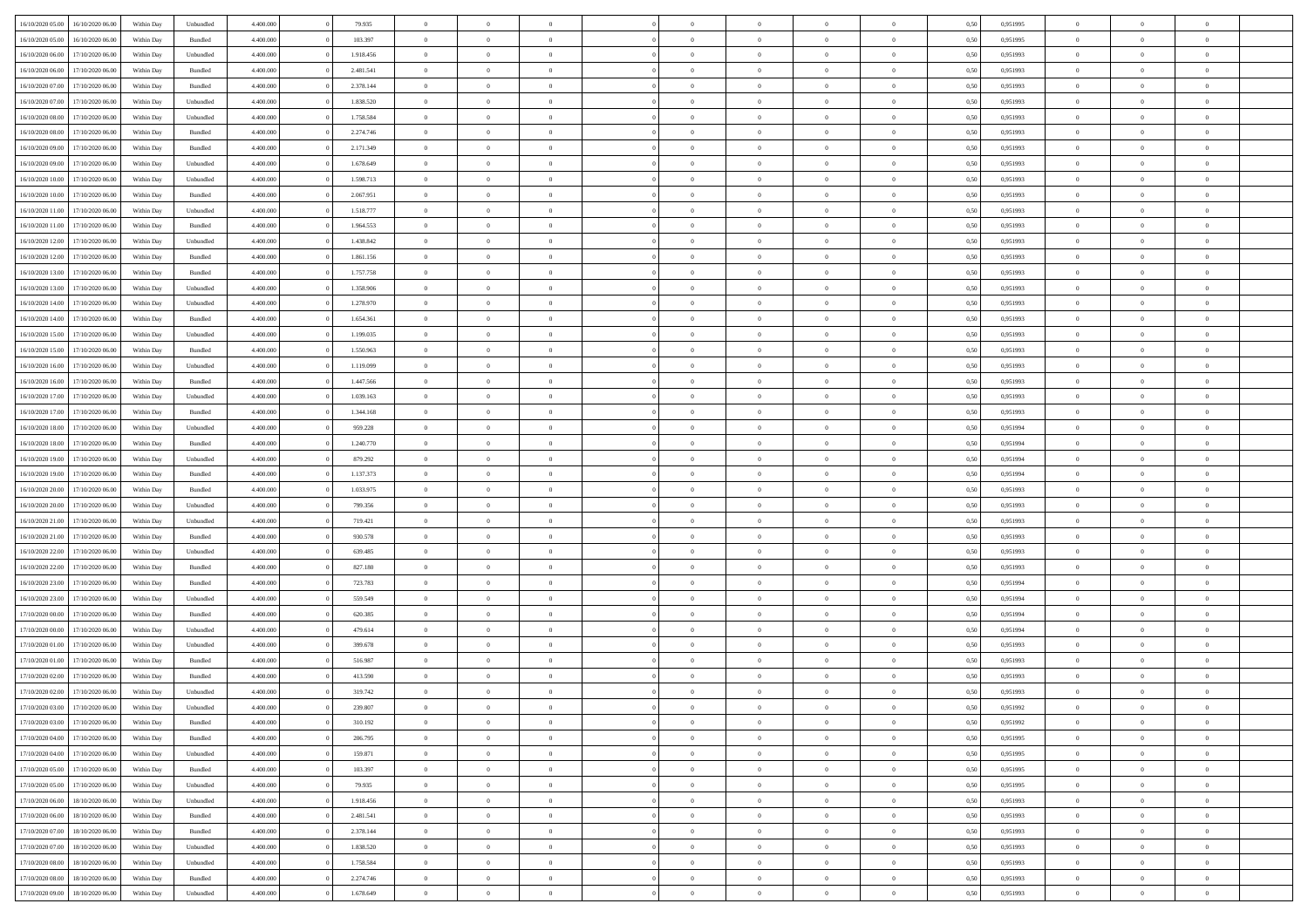| 16/10/2020 05:00 | 16/10/2020 06:00 | Within Dav | Unbundled          | 4.400.000 | 79.935    | $\overline{0}$ | $\theta$       |                | $\Omega$       | $\Omega$       | $\theta$       | $\theta$       | 0,50 | 0,951995 | $\theta$       | $\overline{0}$ | $\overline{0}$ |  |
|------------------|------------------|------------|--------------------|-----------|-----------|----------------|----------------|----------------|----------------|----------------|----------------|----------------|------|----------|----------------|----------------|----------------|--|
| 16/10/2020 05:00 | 16/10/2020 06.00 | Within Day | Bundled            | 4.400.000 | 103.397   | $\overline{0}$ | $\theta$       | $\overline{0}$ | $\overline{0}$ | $\bf{0}$       | $\overline{0}$ | $\bf{0}$       | 0,50 | 0,951995 | $\theta$       | $\overline{0}$ | $\overline{0}$ |  |
| 16/10/2020 06:00 | 17/10/2020 06.00 | Within Day | Unbundled          | 4.400.000 | 1.918.456 | $\overline{0}$ | $\bf{0}$       | $\overline{0}$ | $\bf{0}$       | $\bf{0}$       | $\bf{0}$       | $\mathbf{0}$   | 0,50 | 0,951993 | $\bf{0}$       | $\overline{0}$ | $\overline{0}$ |  |
| 16/10/2020 06:00 | 17/10/2020 06:00 | Within Dav | Bundled            | 4.400.000 | 2.481.541 | $\overline{0}$ | $\overline{0}$ | $\overline{0}$ | $\overline{0}$ | $\bf{0}$       | $\overline{0}$ | $\overline{0}$ | 0.50 | 0.951993 | $\theta$       | $\theta$       | $\overline{0}$ |  |
| 16/10/2020 07:00 | 17/10/2020 06.00 | Within Day | Bundled            | 4.400.000 | 2.378.144 | $\overline{0}$ | $\theta$       | $\overline{0}$ | $\overline{0}$ | $\bf{0}$       | $\overline{0}$ | $\bf{0}$       | 0,50 | 0,951993 | $\theta$       | $\overline{0}$ | $\overline{0}$ |  |
|                  |                  |            |                    |           |           |                |                |                |                |                |                |                |      |          |                |                |                |  |
| 16/10/2020 07:00 | 17/10/2020 06.00 | Within Day | Unbundled          | 4.400.000 | 1.838.520 | $\overline{0}$ | $\overline{0}$ | $\overline{0}$ | $\bf{0}$       | $\overline{0}$ | $\overline{0}$ | $\mathbf{0}$   | 0,50 | 0,951993 | $\bf{0}$       | $\overline{0}$ | $\bf{0}$       |  |
| 16/10/2020 08:00 | 17/10/2020 06.00 | Within Dav | Unbundled          | 4.400.000 | 1.758.584 | $\overline{0}$ | $\overline{0}$ | $\overline{0}$ | $\overline{0}$ | $\overline{0}$ | $\overline{0}$ | $\overline{0}$ | 0.50 | 0.951993 | $\theta$       | $\overline{0}$ | $\overline{0}$ |  |
| 16/10/2020 08:00 | 17/10/2020 06.00 | Within Day | Bundled            | 4.400.000 | 2.274.746 | $\overline{0}$ | $\theta$       | $\overline{0}$ | $\overline{0}$ | $\bf{0}$       | $\overline{0}$ | $\bf{0}$       | 0,50 | 0,951993 | $\theta$       | $\theta$       | $\overline{0}$ |  |
| 16/10/2020 09:00 | 17/10/2020 06.00 | Within Day | Bundled            | 4.400.000 | 2.171.349 | $\overline{0}$ | $\overline{0}$ | $\overline{0}$ | $\bf{0}$       | $\bf{0}$       | $\bf{0}$       | $\bf{0}$       | 0,50 | 0,951993 | $\,0\,$        | $\overline{0}$ | $\overline{0}$ |  |
| 16/10/2020 09:00 | 17/10/2020 06.00 | Within Dav | Unbundled          | 4.400.000 | 1.678.649 | $\overline{0}$ | $\overline{0}$ | $\overline{0}$ | $\overline{0}$ | $\overline{0}$ | $\overline{0}$ | $\overline{0}$ | 0.50 | 0.951993 | $\theta$       | $\overline{0}$ | $\overline{0}$ |  |
| 16/10/2020 10:00 | 17/10/2020 06.00 | Within Day | Unbundled          | 4.400.000 | 1.598.713 | $\overline{0}$ | $\theta$       | $\overline{0}$ | $\overline{0}$ | $\bf{0}$       | $\overline{0}$ | $\bf{0}$       | 0,50 | 0,951993 | $\,$ 0 $\,$    | $\overline{0}$ | $\overline{0}$ |  |
|                  |                  |            |                    |           |           |                |                |                |                |                |                |                |      |          |                |                |                |  |
| 16/10/2020 10:00 | 17/10/2020 06.00 | Within Day | Bundled            | 4.400.000 | 2.067.951 | $\overline{0}$ | $\overline{0}$ | $\overline{0}$ | $\bf{0}$       | $\bf{0}$       | $\bf{0}$       | $\bf{0}$       | 0,50 | 0,951993 | $\bf{0}$       | $\overline{0}$ | $\bf{0}$       |  |
| 16/10/2020 11:00 | 17/10/2020 06:00 | Within Day | Unbundled          | 4.400.000 | 1.518.777 | $\overline{0}$ | $\overline{0}$ | $\overline{0}$ | $\overline{0}$ | $\bf{0}$       | $\overline{0}$ | $\overline{0}$ | 0.50 | 0.951993 | $\theta$       | $\theta$       | $\overline{0}$ |  |
| 16/10/2020 11:00 | 17/10/2020 06.00 | Within Day | Bundled            | 4.400.000 | 1.964.553 | $\overline{0}$ | $\theta$       | $\overline{0}$ | $\overline{0}$ | $\bf{0}$       | $\overline{0}$ | $\bf{0}$       | 0,50 | 0,951993 | $\theta$       | $\overline{0}$ | $\overline{0}$ |  |
| 16/10/2020 12:00 | 17/10/2020 06.00 | Within Day | Unbundled          | 4.400.000 | 1.438.842 | $\overline{0}$ | $\overline{0}$ | $\overline{0}$ | $\bf{0}$       | $\overline{0}$ | $\overline{0}$ | $\mathbf{0}$   | 0,50 | 0,951993 | $\bf{0}$       | $\overline{0}$ | $\bf{0}$       |  |
| 16/10/2020 12:00 | 17/10/2020 06:00 | Within Dav | Bundled            | 4.400.000 | 1.861.156 | $\overline{0}$ | $\overline{0}$ | $\overline{0}$ | $\overline{0}$ | $\overline{0}$ | $\overline{0}$ | $\overline{0}$ | 0.50 | 0.951993 | $\theta$       | $\overline{0}$ | $\overline{0}$ |  |
| 16/10/2020 13:00 | 17/10/2020 06.00 | Within Day | Bundled            | 4.400.000 | 1.757.758 | $\overline{0}$ | $\theta$       | $\overline{0}$ | $\overline{0}$ | $\bf{0}$       | $\overline{0}$ | $\bf{0}$       | 0,50 | 0,951993 | $\theta$       | $\theta$       | $\overline{0}$ |  |
| 16/10/2020 13:00 | 17/10/2020 06.00 | Within Day | Unbundled          | 4.400.000 | 1.358.906 | $\overline{0}$ | $\overline{0}$ | $\overline{0}$ | $\bf{0}$       | $\bf{0}$       | $\bf{0}$       | $\bf{0}$       | 0,50 | 0,951993 | $\,0\,$        | $\overline{0}$ | $\overline{0}$ |  |
| 16/10/2020 14:00 | 17/10/2020 06:00 | Within Dav | Unbundled          | 4.400.000 | 1.278.970 | $\overline{0}$ | $\overline{0}$ | $\overline{0}$ | $\overline{0}$ | $\overline{0}$ | $\overline{0}$ | $\overline{0}$ | 0.50 | 0.951993 | $\theta$       | $\overline{0}$ | $\overline{0}$ |  |
|                  |                  |            |                    |           |           |                |                |                |                |                |                |                |      |          |                |                |                |  |
| 16/10/2020 14:00 | 17/10/2020 06.00 | Within Day | Bundled            | 4.400.000 | 1.654.361 | $\overline{0}$ | $\theta$       | $\overline{0}$ | $\overline{0}$ | $\bf{0}$       | $\overline{0}$ | $\bf{0}$       | 0,50 | 0,951993 | $\,$ 0 $\,$    | $\overline{0}$ | $\overline{0}$ |  |
| 16/10/2020 15:00 | 17/10/2020 06.00 | Within Day | Unbundled          | 4.400.000 | 1.199.035 | $\overline{0}$ | $\overline{0}$ | $\overline{0}$ | $\bf{0}$       | $\bf{0}$       | $\bf{0}$       | $\bf{0}$       | 0,50 | 0,951993 | $\bf{0}$       | $\overline{0}$ | $\bf{0}$       |  |
| 16/10/2020 15:00 | 17/10/2020 06:00 | Within Day | Bundled            | 4.400.000 | 1.550.963 | $\overline{0}$ | $\overline{0}$ | $\overline{0}$ | $\overline{0}$ | $\bf{0}$       | $\overline{0}$ | $\overline{0}$ | 0.50 | 0.951993 | $\theta$       | $\overline{0}$ | $\overline{0}$ |  |
| 16/10/2020 16:00 | 17/10/2020 06.00 | Within Day | Unbundled          | 4.400.000 | 1.119.099 | $\overline{0}$ | $\theta$       | $\overline{0}$ | $\overline{0}$ | $\bf{0}$       | $\overline{0}$ | $\bf{0}$       | 0,50 | 0,951993 | $\,$ 0 $\,$    | $\overline{0}$ | $\overline{0}$ |  |
| 16/10/2020 16:00 | 17/10/2020 06.00 | Within Day | Bundled            | 4.400.000 | 1.447.566 | $\overline{0}$ | $\overline{0}$ | $\overline{0}$ | $\bf{0}$       | $\overline{0}$ | $\overline{0}$ | $\mathbf{0}$   | 0,50 | 0,951993 | $\overline{0}$ | $\overline{0}$ | $\bf{0}$       |  |
| 16/10/2020 17:00 | 17/10/2020 06.00 | Within Dav | Unbundled          | 4.400.000 | 1.039.163 | $\overline{0}$ | $\overline{0}$ | $\overline{0}$ | $\overline{0}$ | $\overline{0}$ | $\overline{0}$ | $\overline{0}$ | 0.50 | 0.951993 | $\theta$       | $\overline{0}$ | $\overline{0}$ |  |
| 16/10/2020 17:00 | 17/10/2020 06.00 | Within Day | Bundled            | 4.400.000 | 1.344.168 | $\overline{0}$ | $\theta$       | $\overline{0}$ | $\overline{0}$ | $\bf{0}$       | $\overline{0}$ | $\bf{0}$       | 0,50 | 0,951993 | $\theta$       | $\overline{0}$ | $\overline{0}$ |  |
|                  |                  |            |                    |           |           |                |                |                |                |                |                |                |      |          |                |                |                |  |
| 16/10/2020 18:00 | 17/10/2020 06.00 | Within Day | Unbundled          | 4.400.000 | 959.228   | $\overline{0}$ | $\overline{0}$ | $\overline{0}$ | $\bf{0}$       | $\bf{0}$       | $\bf{0}$       | $\bf{0}$       | 0,50 | 0,951994 | $\,0\,$        | $\overline{0}$ | $\overline{0}$ |  |
| 16/10/2020 18:00 | 17/10/2020 06:00 | Within Day | Bundled            | 4.400.000 | 1.240.770 | $\overline{0}$ | $\overline{0}$ | $\overline{0}$ | $\overline{0}$ | $\overline{0}$ | $\overline{0}$ | $\overline{0}$ | 0.50 | 0,951994 | $\theta$       | $\overline{0}$ | $\overline{0}$ |  |
| 16/10/2020 19:00 | 17/10/2020 06.00 | Within Day | Unbundled          | 4.400.000 | 879.292   | $\overline{0}$ | $\theta$       | $\overline{0}$ | $\overline{0}$ | $\bf{0}$       | $\overline{0}$ | $\bf{0}$       | 0,50 | 0,951994 | $\,$ 0 $\,$    | $\overline{0}$ | $\overline{0}$ |  |
| 16/10/2020 19:00 | 17/10/2020 06.00 | Within Day | Bundled            | 4.400.000 | 1.137.373 | $\overline{0}$ | $\overline{0}$ | $\overline{0}$ | $\bf{0}$       | $\bf{0}$       | $\bf{0}$       | $\bf{0}$       | 0,50 | 0,951994 | $\overline{0}$ | $\overline{0}$ | $\bf{0}$       |  |
| 16/10/2020 20:00 | 17/10/2020 06.00 | Within Day | Bundled            | 4.400,000 | 1.033.975 | $\overline{0}$ | $\Omega$       | $\Omega$       | $\Omega$       | $\Omega$       | $\overline{0}$ | $\overline{0}$ | 0,50 | 0,951993 | $\,0\,$        | $\theta$       | $\theta$       |  |
| 16/10/2020 20:00 | 17/10/2020 06.00 | Within Day | Unbundled          | 4.400.000 | 799.356   | $\overline{0}$ | $\theta$       | $\overline{0}$ | $\overline{0}$ | $\bf{0}$       | $\overline{0}$ | $\bf{0}$       | 0,50 | 0,951993 | $\theta$       | $\overline{0}$ | $\overline{0}$ |  |
| 16/10/2020 21:00 | 17/10/2020 06.00 | Within Day | Unbundled          | 4.400.000 | 719.421   | $\overline{0}$ | $\overline{0}$ | $\overline{0}$ | $\overline{0}$ | $\overline{0}$ | $\overline{0}$ | $\mathbf{0}$   | 0,50 | 0,951993 | $\overline{0}$ | $\overline{0}$ | $\bf{0}$       |  |
|                  |                  |            |                    |           |           |                |                |                |                |                |                |                |      |          |                |                |                |  |
| 16/10/2020 21:00 | 17/10/2020 06.00 | Within Day | Bundled            | 4.400,000 | 930.578   | $\overline{0}$ | $\Omega$       | $\Omega$       | $\Omega$       | $\bf{0}$       | $\overline{0}$ | $\overline{0}$ | 0.50 | 0,951993 | $\,0\,$        | $\theta$       | $\theta$       |  |
| 16/10/2020 22.00 | 17/10/2020 06.00 | Within Day | Unbundled          | 4.400.000 | 639.485   | $\overline{0}$ | $\theta$       | $\overline{0}$ | $\overline{0}$ | $\bf{0}$       | $\overline{0}$ | $\bf{0}$       | 0,50 | 0,951993 | $\,$ 0 $\,$    | $\overline{0}$ | $\overline{0}$ |  |
| 16/10/2020 22.00 | 17/10/2020 06.00 | Within Day | Bundled            | 4.400.000 | 827.180   | $\overline{0}$ | $\overline{0}$ | $\overline{0}$ | $\overline{0}$ | $\bf{0}$       | $\overline{0}$ | $\bf{0}$       | 0,50 | 0,951993 | $\,0\,$        | $\overline{0}$ | $\bf{0}$       |  |
| 16/10/2020 23.00 | 17/10/2020 06:00 | Within Day | Bundled            | 4.400,000 | 723.783   | $\overline{0}$ | $\Omega$       | $\Omega$       | $\Omega$       | $\theta$       | $\theta$       | $\overline{0}$ | 0.50 | 0.951994 | $\theta$       | $\theta$       | $\theta$       |  |
| 16/10/2020 23.00 | 17/10/2020 06.00 | Within Day | Unbundled          | 4.400.000 | 559.549   | $\overline{0}$ | $\overline{0}$ | $\overline{0}$ | $\overline{0}$ | $\bf{0}$       | $\overline{0}$ | $\bf{0}$       | 0,50 | 0,951994 | $\,$ 0 $\,$    | $\overline{0}$ | $\overline{0}$ |  |
| 17/10/2020 00.00 | 17/10/2020 06.00 | Within Day | Bundled            | 4.400.000 | 620.385   | $\overline{0}$ | $\bf{0}$       | $\overline{0}$ | $\overline{0}$ | $\bf{0}$       | $\overline{0}$ | $\bf{0}$       | 0,50 | 0,951994 | $\overline{0}$ | $\overline{0}$ | $\bf{0}$       |  |
| 17/10/2020 00:00 | 17/10/2020 06.00 | Within Day | Unbundled          | 4.400,000 | 479.614   | $\overline{0}$ | $\Omega$       | $\Omega$       | $\Omega$       | $\overline{0}$ | $\overline{0}$ | $\overline{0}$ | 0,50 | 0,951994 | $\,0\,$        | $\theta$       | $\theta$       |  |
| 17/10/2020 01:00 | 17/10/2020 06.00 |            |                    | 4.400.000 | 399.678   | $\overline{0}$ | $\overline{0}$ | $\overline{0}$ | $\overline{0}$ | $\,$ 0         | $\overline{0}$ |                |      | 0,951993 | $\,$ 0 $\,$    | $\overline{0}$ | $\overline{0}$ |  |
|                  |                  | Within Day | Unbundled          |           |           |                |                |                |                |                |                | $\bf{0}$       | 0,50 |          |                |                |                |  |
| 17/10/2020 01.00 | 17/10/2020 06.00 | Within Day | Bundled            | 4.400.000 | 516.987   | $\overline{0}$ | $\overline{0}$ | $\overline{0}$ | $\overline{0}$ | $\bf{0}$       | $\overline{0}$ | $\mathbf{0}$   | 0,50 | 0,951993 | $\overline{0}$ | $\overline{0}$ | $\bf{0}$       |  |
| 17/10/2020 02.00 | 17/10/2020 06.00 | Within Day | Bundled            | 4.400,000 | 413.590   | $\overline{0}$ | $\Omega$       | $\Omega$       | $\Omega$       | $\Omega$       | $\Omega$       | $\overline{0}$ | 0.50 | 0.951993 | $\theta$       | $\theta$       | $\theta$       |  |
| 17/10/2020 02.00 | 17/10/2020 06.00 | Within Day | Unbundled          | 4.400.000 | 319.742   | $\overline{0}$ | $\overline{0}$ | $\overline{0}$ | $\bf{0}$       | $\,$ 0         | $\overline{0}$ | $\bf{0}$       | 0,50 | 0,951993 | $\,0\,$        | $\,$ 0 $\,$    | $\overline{0}$ |  |
| 17/10/2020 03:00 | 17/10/2020 06.00 | Within Day | Unbundled          | 4.400.000 | 239.807   | $\bf{0}$       | $\bf{0}$       |                |                | $\bf{0}$       |                |                | 0,50 | 0,951992 | $\bf{0}$       | $\overline{0}$ |                |  |
| 17/10/2020 03:00 | 17/10/2020 06:00 | Within Day | Bundled            | 4.400.000 | 310.192   | $\overline{0}$ | $\overline{0}$ | $\overline{0}$ | $\Omega$       | $\theta$       | $\overline{0}$ | $\overline{0}$ | 0,50 | 0,951992 | $\theta$       | $\theta$       | $\theta$       |  |
| 17/10/2020 04:00 | 17/10/2020 06.00 | Within Day | Bundled            | 4.400.000 | 206.795   | $\overline{0}$ | $\,$ 0         | $\overline{0}$ | $\overline{0}$ | $\,$ 0 $\,$    | $\overline{0}$ | $\mathbf{0}$   | 0,50 | 0,951995 | $\,$ 0 $\,$    | $\,$ 0 $\,$    | $\,$ 0         |  |
| 17/10/2020 04:00 | 17/10/2020 06.00 | Within Day | Unbundled          | 4.400.000 | 159.871   | $\overline{0}$ | $\overline{0}$ | $\overline{0}$ | $\overline{0}$ | $\overline{0}$ | $\overline{0}$ | $\mathbf{0}$   | 0,50 | 0,951995 | $\overline{0}$ | $\bf{0}$       | $\bf{0}$       |  |
|                  |                  |            |                    | 4.400,000 |           |                | $\overline{0}$ | $\overline{0}$ | $\Omega$       | $\overline{0}$ | $\overline{0}$ |                |      |          |                | $\theta$       | $\overline{0}$ |  |
| 17/10/2020 05:00 | 17/10/2020 06.00 | Within Day | $\mathbf B$ undled |           | 103.397   | $\overline{0}$ |                |                |                |                |                | $\bf{0}$       | 0,50 | 0,951995 | $\overline{0}$ |                |                |  |
| 17/10/2020 05.00 | 17/10/2020 06.00 | Within Day | Unbundled          | 4.400.000 | 79.935    | $\overline{0}$ | $\,$ 0         | $\overline{0}$ | $\overline{0}$ | $\,$ 0 $\,$    | $\overline{0}$ | $\mathbf{0}$   | 0,50 | 0,951995 | $\,$ 0 $\,$    | $\overline{0}$ | $\overline{0}$ |  |
| 17/10/2020 06.00 | 18/10/2020 06:00 | Within Day | Unbundled          | 4.400.000 | 1.918.456 | $\overline{0}$ | $\overline{0}$ | $\overline{0}$ | $\overline{0}$ | $\overline{0}$ | $\overline{0}$ | $\mathbf{0}$   | 0,50 | 0,951993 | $\overline{0}$ | $\overline{0}$ | $\bf{0}$       |  |
| 17/10/2020 06:00 | 18/10/2020 06:00 | Within Day | Bundled            | 4.400,000 | 2.481.541 | $\overline{0}$ | $\overline{0}$ | $\overline{0}$ | $\Omega$       | $\overline{0}$ | $\overline{0}$ | $\bf{0}$       | 0.50 | 0,951993 | $\overline{0}$ | $\theta$       | $\overline{0}$ |  |
| 17/10/2020 07:00 | 18/10/2020 06.00 | Within Day | Bundled            | 4.400.000 | 2.378.144 | $\overline{0}$ | $\,$ 0         | $\overline{0}$ | $\bf{0}$       | $\bf{0}$       | $\bf{0}$       | $\bf{0}$       | 0,50 | 0,951993 | $\,$ 0 $\,$    | $\overline{0}$ | $\overline{0}$ |  |
| 17/10/2020 07.00 | 18/10/2020 06:00 | Within Day | Unbundled          | 4.400.000 | 1.838.520 | $\overline{0}$ | $\bf{0}$       | $\overline{0}$ | $\overline{0}$ | $\overline{0}$ | $\overline{0}$ | $\mathbf{0}$   | 0,50 | 0,951993 | $\overline{0}$ | $\overline{0}$ | $\bf{0}$       |  |
| 17/10/2020 08:00 | 18/10/2020 06:00 | Within Day | Unbundled          | 4.400,000 | 1.758.584 | $\overline{0}$ | $\overline{0}$ | $\overline{0}$ | $\Omega$       | $\overline{0}$ | $\overline{0}$ | $\bf{0}$       | 0,50 | 0,951993 | $\overline{0}$ | $\theta$       | $\overline{0}$ |  |
| 17/10/2020 08:00 | 18/10/2020 06.00 | Within Day | Bundled            | 4.400.000 | 2.274.746 | $\overline{0}$ | $\bf{0}$       | $\overline{0}$ | $\bf{0}$       | $\bf{0}$       | $\bf{0}$       | $\mathbf{0}$   | 0,50 | 0,951993 | $\,$ 0 $\,$    | $\,$ 0 $\,$    | $\bf{0}$       |  |
|                  |                  |            |                    |           |           |                |                |                |                |                |                |                |      |          |                |                |                |  |
| 17/10/2020 09:00 | 18/10/2020 06.00 | Within Day | Unbundled          | 4.400.000 | 1.678.649 | $\overline{0}$ | $\overline{0}$ | $\overline{0}$ | $\overline{0}$ | $\overline{0}$ | $\bf{0}$       | $\mathbf{0}$   | 0,50 | 0,951993 | $\overline{0}$ | $\bf{0}$       | $\bf{0}$       |  |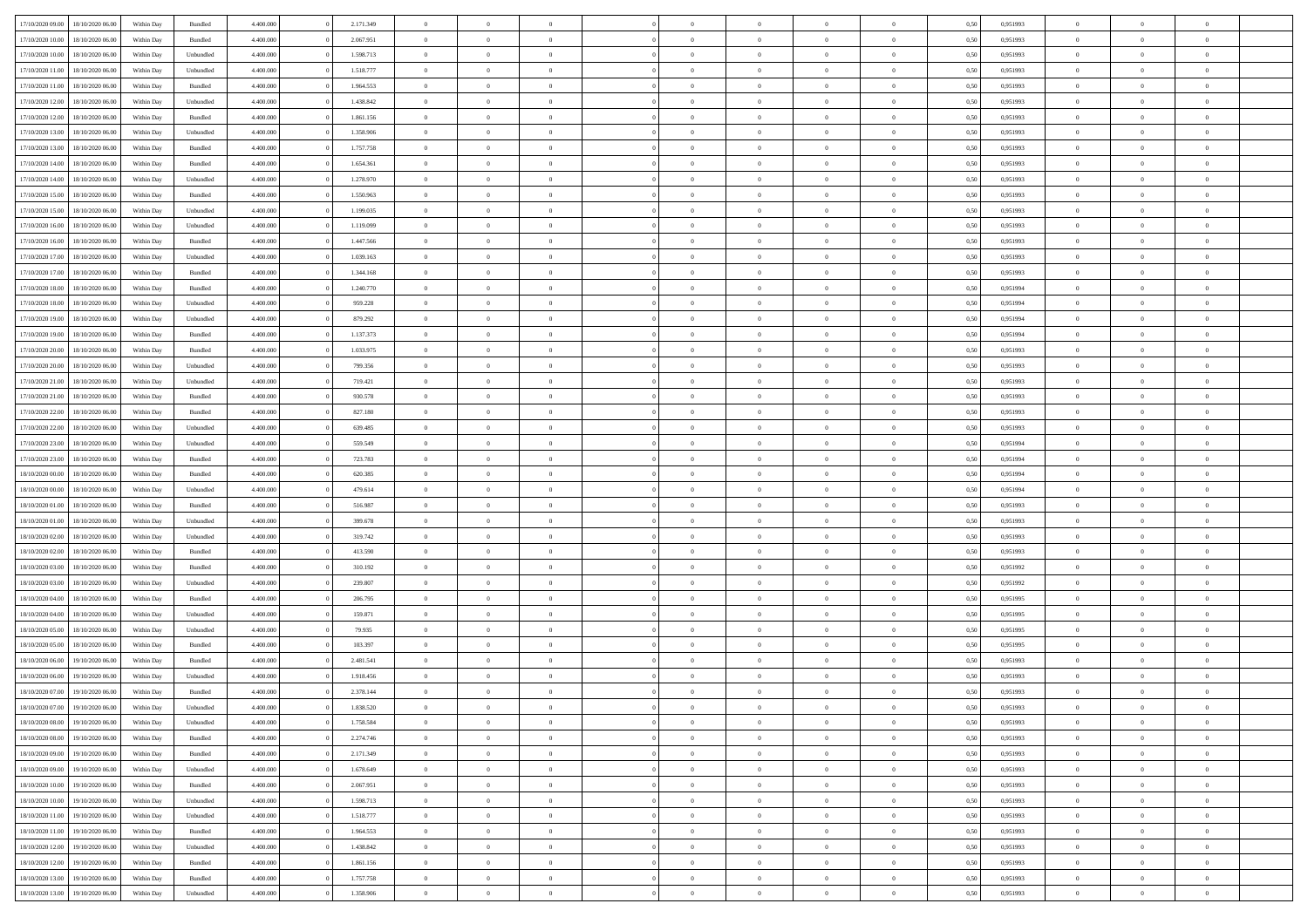| 17/10/2020 09:00 | 18/10/2020 06:00 | Within Dav | Bundled   | 4.400.000 | 2.171.349 | $\overline{0}$ | $\theta$       |                | $\Omega$       | $\Omega$       | $\overline{0}$ | $\theta$       | 0,50 | 0,951993 | $\theta$       | $\overline{0}$ | $\overline{0}$ |  |
|------------------|------------------|------------|-----------|-----------|-----------|----------------|----------------|----------------|----------------|----------------|----------------|----------------|------|----------|----------------|----------------|----------------|--|
|                  |                  |            |           |           |           |                |                |                |                |                |                |                |      |          |                |                |                |  |
| 17/10/2020 10:00 | 18/10/2020 06:00 | Within Day | Bundled   | 4.400.000 | 2.067.951 | $\overline{0}$ | $\theta$       | $\overline{0}$ | $\overline{0}$ | $\bf{0}$       | $\overline{0}$ | $\bf{0}$       | 0,50 | 0,951993 | $\theta$       | $\overline{0}$ | $\overline{0}$ |  |
| 17/10/2020 10:00 | 18/10/2020 06:00 | Within Day | Unbundled | 4.400.000 | 1.598.713 | $\overline{0}$ | $\bf{0}$       | $\overline{0}$ | $\bf{0}$       | $\bf{0}$       | $\bf{0}$       | $\mathbf{0}$   | 0,50 | 0,951993 | $\overline{0}$ | $\overline{0}$ | $\overline{0}$ |  |
| 17/10/2020 11:00 | 18/10/2020 06:00 | Within Dav | Unbundled | 4.400.000 | 1.518.777 | $\overline{0}$ | $\overline{0}$ | $\overline{0}$ | $\overline{0}$ | $\bf{0}$       | $\overline{0}$ | $\overline{0}$ | 0.50 | 0.951993 | $\theta$       | $\overline{0}$ | $\overline{0}$ |  |
| 17/10/2020 11:00 | 18/10/2020 06:00 | Within Day | Bundled   | 4.400.000 | 1.964.553 | $\overline{0}$ | $\theta$       | $\overline{0}$ | $\overline{0}$ | $\bf{0}$       | $\overline{0}$ | $\bf{0}$       | 0,50 | 0,951993 | $\theta$       | $\overline{0}$ | $\overline{0}$ |  |
|                  |                  |            |           |           |           |                |                |                |                |                |                |                |      |          |                |                |                |  |
| 17/10/2020 12:00 | 18/10/2020 06:00 | Within Day | Unbundled | 4.400.000 | 1.438.842 | $\overline{0}$ | $\overline{0}$ | $\overline{0}$ | $\bf{0}$       | $\overline{0}$ | $\overline{0}$ | $\mathbf{0}$   | 0,50 | 0,951993 | $\overline{0}$ | $\overline{0}$ | $\bf{0}$       |  |
| 17/10/2020 12:00 | 18/10/2020 06:00 | Within Dav | Bundled   | 4.400.000 | 1.861.156 | $\overline{0}$ | $\overline{0}$ | $\overline{0}$ | $\overline{0}$ | $\overline{0}$ | $\overline{0}$ | $\overline{0}$ | 0.50 | 0.951993 | $\theta$       | $\overline{0}$ | $\overline{0}$ |  |
| 17/10/2020 13:00 | 18/10/2020 06:00 | Within Day | Unbundled | 4.400.000 | 1.358.906 | $\overline{0}$ | $\theta$       | $\overline{0}$ | $\overline{0}$ | $\bf{0}$       | $\overline{0}$ | $\bf{0}$       | 0,50 | 0,951993 | $\theta$       | $\theta$       | $\overline{0}$ |  |
| 17/10/2020 13:00 | 18/10/2020 06:00 | Within Day | Bundled   | 4.400.000 | 1.757.758 | $\overline{0}$ | $\overline{0}$ | $\overline{0}$ | $\bf{0}$       | $\bf{0}$       | $\bf{0}$       | $\bf{0}$       | 0,50 | 0,951993 | $\,0\,$        | $\overline{0}$ | $\overline{0}$ |  |
| 17/10/2020 14:00 | 18/10/2020 06:00 | Within Dav | Bundled   | 4.400.000 | 1.654.361 | $\overline{0}$ | $\overline{0}$ | $\overline{0}$ | $\overline{0}$ | $\overline{0}$ | $\overline{0}$ | $\overline{0}$ | 0.50 | 0.951993 | $\theta$       | $\overline{0}$ | $\overline{0}$ |  |
|                  |                  |            |           |           |           | $\overline{0}$ | $\theta$       | $\overline{0}$ | $\overline{0}$ | $\bf{0}$       | $\overline{0}$ |                |      |          | $\,$ 0 $\,$    | $\overline{0}$ | $\overline{0}$ |  |
| 17/10/2020 14:00 | 18/10/2020 06:00 | Within Day | Unbundled | 4.400.000 | 1.278.970 |                |                |                |                |                |                | $\bf{0}$       | 0,50 | 0,951993 |                |                |                |  |
| 17/10/2020 15.00 | 18/10/2020 06:00 | Within Day | Bundled   | 4.400.000 | 1.550.963 | $\overline{0}$ | $\bf{0}$       | $\overline{0}$ | $\overline{0}$ | $\bf{0}$       | $\overline{0}$ | $\bf{0}$       | 0,50 | 0,951993 | $\bf{0}$       | $\overline{0}$ | $\bf{0}$       |  |
| 17/10/2020 15:00 | 18/10/2020 06:00 | Within Day | Unbundled | 4.400.000 | 1.199.035 | $\overline{0}$ | $\overline{0}$ | $\overline{0}$ | $\overline{0}$ | $\bf{0}$       | $\overline{0}$ | $\overline{0}$ | 0.50 | 0.951993 | $\theta$       | $\theta$       | $\overline{0}$ |  |
| 17/10/2020 16:00 | 18/10/2020 06:00 | Within Day | Unbundled | 4.400.000 | 1.119.099 | $\overline{0}$ | $\theta$       | $\overline{0}$ | $\overline{0}$ | $\bf{0}$       | $\overline{0}$ | $\bf{0}$       | 0,50 | 0,951993 | $\theta$       | $\overline{0}$ | $\overline{0}$ |  |
| 17/10/2020 16:00 | 18/10/2020 06:00 | Within Day | Bundled   | 4.400.000 | 1.447.566 | $\overline{0}$ | $\overline{0}$ | $\overline{0}$ | $\overline{0}$ | $\overline{0}$ | $\overline{0}$ | $\mathbf{0}$   | 0,50 | 0,951993 | $\bf{0}$       | $\overline{0}$ | $\bf{0}$       |  |
| 17/10/2020 17:00 | 18/10/2020 06:00 | Within Dav | Unbundled | 4.400.000 | 1.039.163 | $\overline{0}$ | $\overline{0}$ | $\overline{0}$ | $\overline{0}$ | $\overline{0}$ | $\overline{0}$ | $\overline{0}$ | 0.50 | 0.951993 | $\theta$       | $\overline{0}$ | $\overline{0}$ |  |
|                  |                  |            |           |           |           | $\overline{0}$ | $\theta$       | $\overline{0}$ |                | $\bf{0}$       | $\overline{0}$ |                |      |          |                |                | $\overline{0}$ |  |
| 17/10/2020 17:00 | 18/10/2020 06:00 | Within Day | Bundled   | 4.400.000 | 1.344.168 |                |                |                | $\overline{0}$ |                |                | $\bf{0}$       | 0,50 | 0,951993 | $\,$ 0 $\,$    | $\overline{0}$ |                |  |
| 17/10/2020 18.00 | 18/10/2020 06:00 | Within Day | Bundled   | 4.400.000 | 1.240.770 | $\overline{0}$ | $\overline{0}$ | $\overline{0}$ | $\overline{0}$ | $\bf{0}$       | $\overline{0}$ | $\bf{0}$       | 0,50 | 0,951994 | $\,0\,$        | $\overline{0}$ | $\overline{0}$ |  |
| 17/10/2020 18:00 | 18/10/2020 06:00 | Within Dav | Unbundled | 4.400.000 | 959.228   | $\overline{0}$ | $\overline{0}$ | $\overline{0}$ | $\overline{0}$ | $\overline{0}$ | $\overline{0}$ | $\overline{0}$ | 0.50 | 0,951994 | $\theta$       | $\overline{0}$ | $\overline{0}$ |  |
| 17/10/2020 19:00 | 18/10/2020 06:00 | Within Day | Unbundled | 4.400.000 | 879.292   | $\overline{0}$ | $\theta$       | $\overline{0}$ | $\overline{0}$ | $\bf{0}$       | $\overline{0}$ | $\bf{0}$       | 0,50 | 0,951994 | $\,$ 0 $\,$    | $\overline{0}$ | $\overline{0}$ |  |
| 17/10/2020 19:00 | 18/10/2020 06:00 | Within Day | Bundled   | 4.400.000 | 1.137.373 | $\overline{0}$ | $\overline{0}$ | $\overline{0}$ | $\bf{0}$       | $\bf{0}$       | $\bf{0}$       | $\bf{0}$       | 0,50 | 0,951994 | $\overline{0}$ | $\overline{0}$ | $\bf{0}$       |  |
| 17/10/2020 20:00 | 18/10/2020 06:00 | Within Dav | Bundled   | 4.400.000 | 1.033.975 | $\overline{0}$ | $\overline{0}$ | $\overline{0}$ | $\overline{0}$ | $\overline{0}$ | $\overline{0}$ | $\overline{0}$ | 0.50 | 0.951993 | $\theta$       | $\overline{0}$ | $\overline{0}$ |  |
| 17/10/2020 20.00 | 18/10/2020 06:00 | Within Day | Unbundled | 4.400.000 | 799.356   | $\overline{0}$ | $\theta$       | $\overline{0}$ | $\overline{0}$ | $\bf{0}$       | $\overline{0}$ | $\bf{0}$       | 0,50 | 0,951993 | $\,$ 0 $\,$    | $\overline{0}$ | $\overline{0}$ |  |
|                  |                  |            |           |           |           |                |                |                |                |                |                |                |      |          |                |                |                |  |
| 17/10/2020 21.00 | 18/10/2020 06:00 | Within Day | Unbundled | 4.400.000 | 719.421   | $\overline{0}$ | $\overline{0}$ | $\overline{0}$ | $\bf{0}$       | $\overline{0}$ | $\overline{0}$ | $\mathbf{0}$   | 0,50 | 0,951993 | $\overline{0}$ | $\overline{0}$ | $\bf{0}$       |  |
| 17/10/2020 21.00 | 18/10/2020 06:00 | Within Dav | Bundled   | 4.400.000 | 930.578   | $\overline{0}$ | $\overline{0}$ | $\overline{0}$ | $\overline{0}$ | $\overline{0}$ | $\overline{0}$ | $\overline{0}$ | 0.50 | 0.951993 | $\overline{0}$ | $\overline{0}$ | $\overline{0}$ |  |
| 17/10/2020 22.00 | 18/10/2020 06:00 | Within Day | Bundled   | 4.400.000 | 827.180   | $\overline{0}$ | $\theta$       | $\overline{0}$ | $\overline{0}$ | $\bf{0}$       | $\overline{0}$ | $\bf{0}$       | 0,50 | 0,951993 | $\theta$       | $\overline{0}$ | $\overline{0}$ |  |
| 17/10/2020 22.00 | 18/10/2020 06:00 | Within Day | Unbundled | 4.400.000 | 639.485   | $\overline{0}$ | $\overline{0}$ | $\overline{0}$ | $\bf{0}$       | $\bf{0}$       | $\bf{0}$       | $\bf{0}$       | 0,50 | 0,951993 | $\,0\,$        | $\overline{0}$ | $\overline{0}$ |  |
| 17/10/2020 23.00 | 18/10/2020 06:00 | Within Day | Unbundled | 4.400.000 | 559.549   | $\overline{0}$ | $\overline{0}$ | $\overline{0}$ | $\overline{0}$ | $\overline{0}$ | $\overline{0}$ | $\overline{0}$ | 0.50 | 0,951994 | $\theta$       | $\overline{0}$ | $\overline{0}$ |  |
| 17/10/2020 23.00 | 18/10/2020 06:00 | Within Day | Bundled   | 4.400.000 | 723.783   | $\overline{0}$ | $\overline{0}$ | $\overline{0}$ | $\overline{0}$ | $\bf{0}$       | $\overline{0}$ | $\bf{0}$       | 0,50 | 0,951994 | $\,$ 0 $\,$    | $\overline{0}$ | $\overline{0}$ |  |
| 18/10/2020 00:00 | 18/10/2020 06:00 | Within Day | Bundled   | 4.400.000 | 620.385   | $\overline{0}$ | $\bf{0}$       | $\overline{0}$ | $\bf{0}$       | $\bf{0}$       | $\bf{0}$       | $\bf{0}$       | 0,50 | 0,951994 | $\overline{0}$ | $\overline{0}$ | $\bf{0}$       |  |
|                  |                  |            |           |           |           |                |                |                |                |                |                |                |      |          |                |                |                |  |
| 18/10/2020 00:00 | 18/10/2020 06:00 | Within Day | Unbundled | 4.400,000 | 479.614   | $\overline{0}$ | $\Omega$       | $\Omega$       | $\Omega$       | $\Omega$       | $\overline{0}$ | $\overline{0}$ | 0,50 | 0,951994 | $\,0\,$        | $\theta$       | $\theta$       |  |
| 18/10/2020 01:00 | 18/10/2020 06:00 | Within Day | Bundled   | 4.400.000 | 516.987   | $\overline{0}$ | $\overline{0}$ | $\overline{0}$ | $\overline{0}$ | $\bf{0}$       | $\overline{0}$ | $\bf{0}$       | 0,50 | 0,951993 | $\,$ 0 $\,$    | $\overline{0}$ | $\overline{0}$ |  |
| 18/10/2020 01:00 | 18/10/2020 06:00 | Within Day | Unbundled | 4.400.000 | 399.678   | $\overline{0}$ | $\overline{0}$ | $\overline{0}$ | $\bf{0}$       | $\bf{0}$       | $\overline{0}$ | $\mathbf{0}$   | 0,50 | 0,951993 | $\overline{0}$ | $\overline{0}$ | $\bf{0}$       |  |
| 18/10/2020 02:00 | 18/10/2020 06:00 | Within Day | Unbundled | 4.400,000 | 319.742   | $\overline{0}$ | $\Omega$       | $\Omega$       | $\Omega$       | $\bf{0}$       | $\overline{0}$ | $\overline{0}$ | 0.50 | 0,951993 | $\,0\,$        | $\theta$       | $\theta$       |  |
| 18/10/2020 02.00 | 18/10/2020 06:00 | Within Day | Bundled   | 4.400.000 | 413.590   | $\overline{0}$ | $\theta$       | $\overline{0}$ | $\overline{0}$ | $\bf{0}$       | $\overline{0}$ | $\bf{0}$       | 0,50 | 0,951993 | $\,$ 0 $\,$    | $\overline{0}$ | $\overline{0}$ |  |
| 18/10/2020 03:00 | 18/10/2020 06:00 | Within Day | Bundled   | 4.400.000 | 310.192   | $\overline{0}$ | $\overline{0}$ | $\overline{0}$ | $\bf{0}$       | $\bf{0}$       | $\bf{0}$       | $\bf{0}$       | 0,50 | 0,951992 | $\bf{0}$       | $\overline{0}$ | $\bf{0}$       |  |
| 18/10/2020 03:00 | 18/10/2020 06:00 | Within Day | Unbundled | 4.400,000 | 239.807   | $\overline{0}$ | $\Omega$       | $\Omega$       | $\Omega$       | $\theta$       | $\theta$       | $\overline{0}$ | 0.50 | 0,951992 | $\,$ 0 $\,$    | $\theta$       | $\theta$       |  |
|                  |                  |            |           |           |           |                |                |                |                |                |                |                |      |          |                |                |                |  |
| 18/10/2020 04:00 | 18/10/2020 06:00 | Within Day | Bundled   | 4.400.000 | 206.795   | $\overline{0}$ | $\overline{0}$ | $\overline{0}$ | $\overline{0}$ | $\bf{0}$       | $\overline{0}$ | $\bf{0}$       | 0,50 | 0,951995 | $\,$ 0 $\,$    | $\overline{0}$ | $\overline{0}$ |  |
| 18/10/2020 04:00 | 18/10/2020 06:00 | Within Day | Unbundled | 4.400.000 | 159.871   | $\overline{0}$ | $\overline{0}$ | $\overline{0}$ | $\bf{0}$       | $\bf{0}$       | $\bf{0}$       | $\bf{0}$       | 0,50 | 0,951995 | $\overline{0}$ | $\overline{0}$ | $\bf{0}$       |  |
| 18/10/2020 05:00 | 18/10/2020 06:00 | Within Day | Unbundled | 4.400,000 | 79.935    | $\overline{0}$ | $\Omega$       | $\overline{0}$ | $\Omega$       | $\overline{0}$ | $\overline{0}$ | $\overline{0}$ | 0,50 | 0,951995 | $\,0\,$        | $\theta$       | $\theta$       |  |
| 18/10/2020 05:00 | 18/10/2020 06:00 | Within Day | Bundled   | 4.400.000 | 103.397   | $\overline{0}$ | $\overline{0}$ | $\overline{0}$ | $\overline{0}$ | $\,$ 0         | $\overline{0}$ | $\bf{0}$       | 0,50 | 0,951995 | $\,$ 0 $\,$    | $\overline{0}$ | $\overline{0}$ |  |
| 18/10/2020 06.00 | 19/10/2020 06.00 | Within Day | Bundled   | 4.400.000 | 2.481.541 | $\overline{0}$ | $\overline{0}$ | $\overline{0}$ | $\bf{0}$       | $\bf{0}$       | $\bf{0}$       | $\mathbf{0}$   | 0,50 | 0,951993 | $\overline{0}$ | $\overline{0}$ | $\bf{0}$       |  |
| 18/10/2020 06:00 | 19/10/2020 06:00 | Within Day | Unbundled | 4.400,000 | 1.918.456 | $\overline{0}$ | $\Omega$       | $\Omega$       | $\Omega$       | $\Omega$       | $\Omega$       | $\overline{0}$ | 0.50 | 0.951993 | $\theta$       | $\theta$       | $\theta$       |  |
| 18/10/2020 07:00 | 19/10/2020 06:00 | Within Day | Bundled   | 4.400.000 | 2.378.144 | $\overline{0}$ | $\overline{0}$ | $\overline{0}$ | $\bf{0}$       | $\,$ 0         | $\bf{0}$       | $\bf{0}$       | 0,50 | 0,951993 | $\,0\,$        | $\,0\,$        | $\overline{0}$ |  |
| 18/10/2020 07:00 | 19/10/2020 06:00 | Within Day | Unbundled | 4.400.000 | 1.838.520 | $\bf{0}$       | $\bf{0}$       |                |                | $\bf{0}$       |                |                | 0,50 | 0,951993 | $\bf{0}$       | $\overline{0}$ |                |  |
|                  |                  |            |           |           |           |                |                |                |                |                |                |                |      |          |                |                |                |  |
| 18/10/2020 08:00 | 19/10/2020 06:00 | Within Day | Unbundled | 4.400.000 | 1.758.584 | $\overline{0}$ | $\overline{0}$ | $\overline{0}$ | $\Omega$       | $\theta$       | $\overline{0}$ | $\overline{0}$ | 0,50 | 0.951993 | $\theta$       | $\theta$       | $\theta$       |  |
| 18/10/2020 08:00 | 19/10/2020 06.00 | Within Day | Bundled   | 4.400.000 | 2.274.746 | $\overline{0}$ | $\,$ 0         | $\overline{0}$ | $\bf{0}$       | $\,$ 0 $\,$    | $\overline{0}$ | $\mathbf{0}$   | 0,50 | 0,951993 | $\,$ 0 $\,$    | $\,$ 0 $\,$    | $\,$ 0         |  |
| 18/10/2020 09:00 | 19/10/2020 06:00 | Within Day | Bundled   | 4.400.000 | 2.171.349 | $\overline{0}$ | $\overline{0}$ | $\overline{0}$ | $\overline{0}$ | $\overline{0}$ | $\overline{0}$ | $\mathbf{0}$   | 0,50 | 0,951993 | $\overline{0}$ | $\bf{0}$       | $\bf{0}$       |  |
| 18/10/2020 09:00 | 19/10/2020 06:00 | Within Day | Unbundled | 4.400,000 | 1.678.649 | $\overline{0}$ | $\overline{0}$ | $\overline{0}$ | $\Omega$       | $\overline{0}$ | $\overline{0}$ | $\bf{0}$       | 0,50 | 0,951993 | $\bf{0}$       | $\theta$       | $\overline{0}$ |  |
| 18/10/2020 10:00 | 19/10/2020 06.00 | Within Day | Bundled   | 4.400.000 | 2.067.951 | $\overline{0}$ | $\,$ 0         | $\overline{0}$ | $\overline{0}$ | $\,$ 0 $\,$    | $\overline{0}$ | $\bf{0}$       | 0,50 | 0,951993 | $\,$ 0 $\,$    | $\overline{0}$ | $\overline{0}$ |  |
| 18/10/2020 10:00 | 19/10/2020 06:00 | Within Day | Unbundled | 4.400.000 | 1.598.713 | $\overline{0}$ | $\overline{0}$ | $\overline{0}$ | $\overline{0}$ | $\overline{0}$ | $\overline{0}$ | $\mathbf{0}$   | 0,50 | 0,951993 | $\overline{0}$ | $\overline{0}$ | $\bf{0}$       |  |
|                  | 19/10/2020 06:00 |            |           | 4.400.000 |           | $\overline{0}$ | $\overline{0}$ | $\overline{0}$ | $\Omega$       | $\overline{0}$ | $\overline{0}$ |                | 0.50 |          |                | $\theta$       | $\overline{0}$ |  |
| 18/10/2020 11:00 |                  | Within Day | Unbundled |           | 1.518.777 |                |                |                |                |                |                | $\bf{0}$       |      | 0,951993 | $\overline{0}$ |                |                |  |
| 18/10/2020 11:00 | 19/10/2020 06.00 | Within Day | Bundled   | 4.400.000 | 1.964.553 | $\overline{0}$ | $\,$ 0         | $\overline{0}$ | $\bf{0}$       | $\bf{0}$       | $\bf{0}$       | $\bf{0}$       | 0,50 | 0,951993 | $\,$ 0 $\,$    | $\overline{0}$ | $\overline{0}$ |  |
| 18/10/2020 12:00 | 19/10/2020 06:00 | Within Day | Unbundled | 4.400.000 | 1.438.842 | $\overline{0}$ | $\bf{0}$       | $\overline{0}$ | $\overline{0}$ | $\overline{0}$ | $\overline{0}$ | $\mathbf{0}$   | 0,50 | 0,951993 | $\overline{0}$ | $\overline{0}$ | $\bf{0}$       |  |
| 18/10/2020 12:00 | 19/10/2020 06:00 | Within Day | Bundled   | 4.400,000 | 1.861.156 | $\overline{0}$ | $\overline{0}$ | $\overline{0}$ | $\Omega$       | $\overline{0}$ | $\overline{0}$ | $\bf{0}$       | 0.50 | 0,951993 | $\overline{0}$ | $\theta$       | $\overline{0}$ |  |
| 18/10/2020 13:00 | 19/10/2020 06.00 | Within Day | Bundled   | 4.400.000 | 1.757.758 | $\overline{0}$ | $\bf{0}$       | $\overline{0}$ | $\bf{0}$       | $\bf{0}$       | $\bf{0}$       | $\mathbf{0}$   | 0,50 | 0,951993 | $\,$ 0 $\,$    | $\,$ 0 $\,$    | $\bf{0}$       |  |
| 18/10/2020 13:00 | 19/10/2020 06.00 | Within Day | Unbundled | 4.400.000 | 1.358.906 | $\overline{0}$ | $\overline{0}$ | $\overline{0}$ | $\overline{0}$ | $\overline{0}$ | $\bf{0}$       | $\mathbf{0}$   | 0,50 | 0,951993 | $\overline{0}$ | $\bf{0}$       | $\bf{0}$       |  |
|                  |                  |            |           |           |           |                |                |                |                |                |                |                |      |          |                |                |                |  |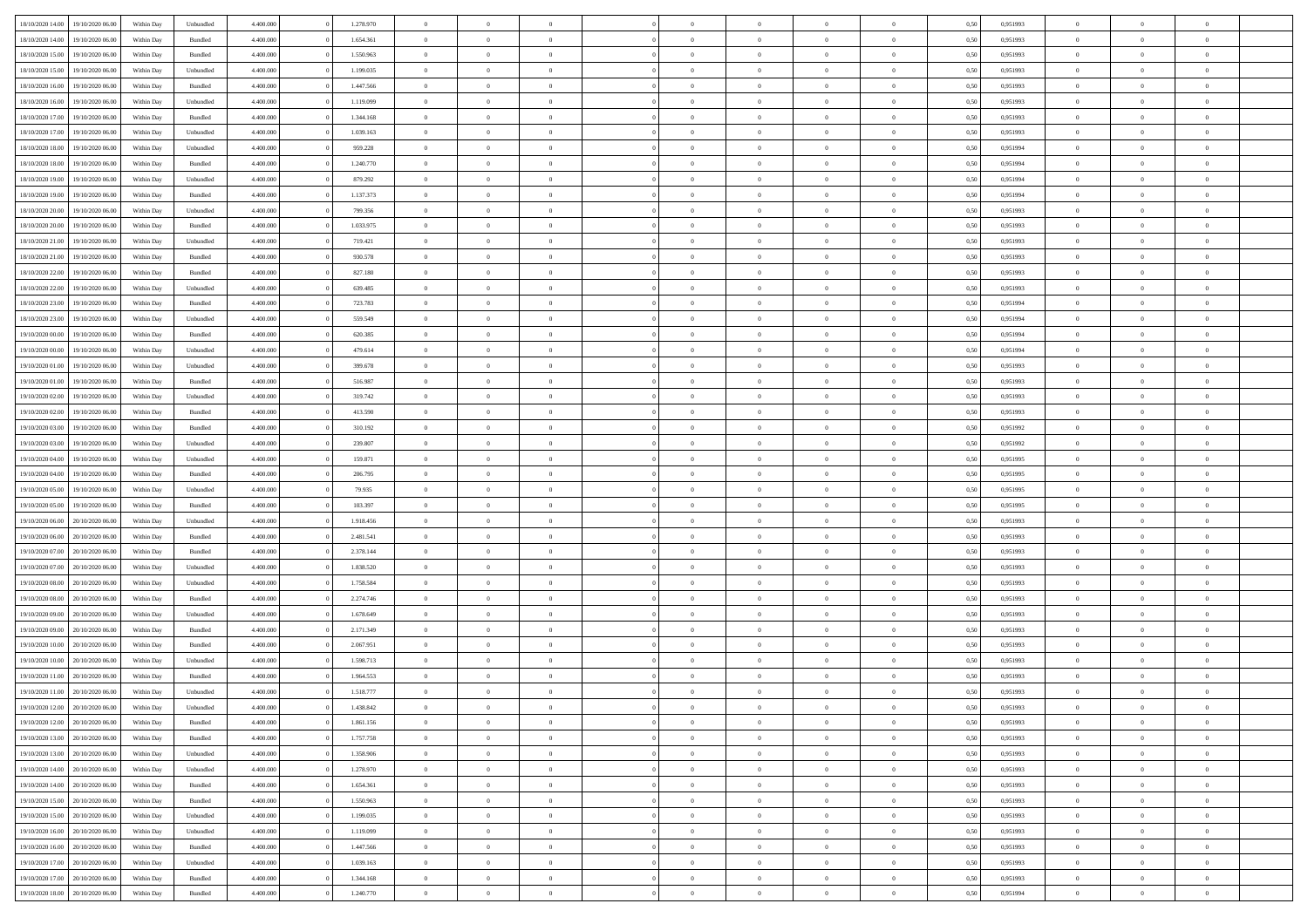| 18/10/2020 14:00                  | 19/10/2020 06:00 | Within Day | Unbundled | 4.400.000 | 1.278.970 | $\overline{0}$ | $\theta$       |                | $\overline{0}$ | $\bf{0}$       | $\overline{0}$ | $\theta$       | 0,50 | 0,951993 | $\theta$       | $\theta$       | $\theta$                 |  |
|-----------------------------------|------------------|------------|-----------|-----------|-----------|----------------|----------------|----------------|----------------|----------------|----------------|----------------|------|----------|----------------|----------------|--------------------------|--|
| 18/10/2020 14:00                  | 19/10/2020 06.0  | Within Day | Bundled   | 4.400.000 | 1.654.361 | $\overline{0}$ | $\overline{0}$ | $\overline{0}$ | $\overline{0}$ | $\,$ 0         | $\bf{0}$       | $\bf{0}$       | 0,50 | 0,951993 | $\,$ 0 $\,$    | $\overline{0}$ | $\overline{0}$           |  |
|                                   |                  |            |           |           |           |                |                |                |                |                |                |                |      |          |                |                |                          |  |
| 18/10/2020 15:00                  | 19/10/2020 06:00 | Within Day | Bundled   | 4.400,000 | 1.550.963 | $\overline{0}$ | $\overline{0}$ | $\overline{0}$ | $\overline{0}$ | $\bf{0}$       | $\overline{0}$ | $\overline{0}$ | 0.50 | 0,951993 | $\bf{0}$       | $\overline{0}$ | $\overline{0}$           |  |
| 18/10/2020 15:00                  | 19/10/2020 06.00 | Within Day | Unbundled | 4.400.000 | 1.199.035 | $\overline{0}$ | $\overline{0}$ | $\overline{0}$ | $\overline{0}$ | $\bf{0}$       | $\overline{0}$ | $\overline{0}$ | 0,50 | 0,951993 | $\,$ 0 $\,$    | $\overline{0}$ | $\overline{0}$           |  |
| 18/10/2020 16:00                  | 19/10/2020 06.00 | Within Day | Bundled   | 4.400.000 | 1.447.566 | $\overline{0}$ | $\theta$       | $\overline{0}$ |                | $\overline{0}$ | $\overline{0}$ | $\bf{0}$       | 0,50 | 0,951993 | $\,$ 0 $\,$    | $\overline{0}$ | $\overline{0}$           |  |
| 18/10/2020 16:00                  | 19/10/2020 06:00 | Within Day | Unbundled | 4.400,000 | 1.119.099 | $\overline{0}$ | $\overline{0}$ | $\overline{0}$ | $\overline{0}$ | $\bf{0}$       | $\overline{0}$ | $\overline{0}$ | 0.50 | 0.951993 | $\,0\,$        | $\theta$       | $\overline{0}$           |  |
| 18/10/2020 17:00                  | 19/10/2020 06:00 | Within Day | Bundled   | 4.400.000 | 1.344.168 | $\overline{0}$ | $\overline{0}$ | $\overline{0}$ | $\overline{0}$ | $\,$ 0         | $\overline{0}$ | $\overline{0}$ | 0,50 | 0,951993 | $\,$ 0 $\,$    | $\theta$       | $\overline{0}$           |  |
| 18/10/2020 17:00                  | 19/10/2020 06.00 | Within Day | Unbundled | 4.400.000 | 1.039.163 | $\overline{0}$ | $\theta$       | $\overline{0}$ | $\overline{0}$ | $\bf{0}$       | $\overline{0}$ | $\bf{0}$       | 0,50 | 0,951993 | $\,$ 0 $\,$    | $\overline{0}$ | $\overline{0}$           |  |
| 18/10/2020 18:00                  | 19/10/2020 06:00 | Within Day | Unbundled | 4.400,000 | 959.228   | $\overline{0}$ | $\overline{0}$ | $\overline{0}$ | $\overline{0}$ | $\bf{0}$       | $\overline{0}$ | $\bf{0}$       | 0.50 | 0.951994 | $\,0\,$        | $\overline{0}$ | $\overline{0}$           |  |
| 18/10/2020 18:00                  | 19/10/2020 06.00 | Within Day | Bundled   | 4.400.000 | 1.240.770 | $\overline{0}$ | $\overline{0}$ | $\overline{0}$ | $\overline{0}$ | $\,$ 0         | $\overline{0}$ | $\bf{0}$       | 0,50 | 0,951994 | $\,$ 0 $\,$    | $\overline{0}$ | $\overline{0}$           |  |
| 18/10/2020 19:00                  | 19/10/2020 06.00 | Within Day | Unbundled | 4.400.000 | 879.292   | $\overline{0}$ | $\theta$       | $\overline{0}$ | $\overline{0}$ | $\,$ 0         | $\overline{0}$ | $\bf{0}$       | 0,50 | 0,951994 | $\,$ 0 $\,$    | $\overline{0}$ | $\overline{0}$           |  |
|                                   | 19/10/2020 06:00 |            |           | 4.400,000 | 1.137.373 |                | $\overline{0}$ | $\overline{0}$ |                |                | $\overline{0}$ |                | 0.50 | 0.951994 |                |                |                          |  |
| 18/10/2020 19:00                  |                  | Within Day | Bundled   |           |           | $\overline{0}$ |                |                | $\overline{0}$ | $\bf{0}$       |                | $\mathbf{0}$   |      |          | $\bf{0}$       | $\overline{0}$ | $\overline{\phantom{a}}$ |  |
| 18/10/2020 20:00                  | 19/10/2020 06.00 | Within Day | Unbundled | 4.400.000 | 799.356   | $\overline{0}$ | $\overline{0}$ | $\overline{0}$ | $\overline{0}$ | $\,$ 0         | $\overline{0}$ | $\overline{0}$ | 0,50 | 0,951993 | $\,$ 0 $\,$    | $\overline{0}$ | $\overline{0}$           |  |
| 18/10/2020 20:00                  | 19/10/2020 06.00 | Within Day | Bundled   | 4.400.000 | 1.033.975 | $\overline{0}$ | $\theta$       | $\overline{0}$ | $\overline{0}$ | $\overline{0}$ | $\overline{0}$ | $\bf{0}$       | 0,50 | 0,951993 | $\,$ 0 $\,$    | $\overline{0}$ | $\overline{0}$           |  |
| 18/10/2020 21:00                  | 19/10/2020 06:00 | Within Day | Unbundled | 4.400,000 | 719.421   | $\overline{0}$ | $\overline{0}$ | $\overline{0}$ | $\overline{0}$ | $\bf{0}$       | $\overline{0}$ | $\overline{0}$ | 0.50 | 0.951993 | $\theta$       | $\theta$       | $\overline{0}$           |  |
| 18/10/2020 21:00                  | 19/10/2020 06.00 | Within Day | Bundled   | 4.400.000 | 930.578   | $\overline{0}$ | $\overline{0}$ | $\overline{0}$ | $\overline{0}$ | $\,$ 0         | $\overline{0}$ | $\bf{0}$       | 0,50 | 0,951993 | $\,0\,$        | $\theta$       | $\overline{0}$           |  |
| 18/10/2020 22:00                  | 19/10/2020 06.00 | Within Day | Bundled   | 4.400.000 | 827.180   | $\overline{0}$ | $\theta$       | $\overline{0}$ |                | $\bf{0}$       | $\overline{0}$ | $\bf{0}$       | 0,50 | 0,951993 | $\,$ 0 $\,$    | $\overline{0}$ | $\overline{0}$           |  |
| 18/10/2020 22.00                  | 19/10/2020 06:00 | Within Day | Unbundled | 4.400,000 | 639,485   | $\overline{0}$ | $\overline{0}$ | $\overline{0}$ | $\overline{0}$ | $\bf{0}$       | $\overline{0}$ | $\bf{0}$       | 0.50 | 0.951993 | $\,0\,$        | $\overline{0}$ | $\overline{0}$           |  |
| 18/10/2020 23.00                  | 19/10/2020 06.00 | Within Day | Bundled   | 4.400.000 | 723.783   | $\overline{0}$ | $\overline{0}$ | $\overline{0}$ | $\overline{0}$ | $\bf{0}$       | $\overline{0}$ | $\bf{0}$       | 0,50 | 0,951994 | $\,$ 0 $\,$    | $\overline{0}$ | $\overline{0}$           |  |
| 18/10/2020 23:00                  | 19/10/2020 06.00 | Within Day | Unbundled | 4.400.000 | 559.549   | $\overline{0}$ | $\theta$       | $\overline{0}$ | $\overline{0}$ | $\,$ 0         | $\bf{0}$       | $\bf{0}$       | 0,50 | 0,951994 | $\,$ 0 $\,$    | $\overline{0}$ | $\overline{0}$           |  |
| 19/10/2020 00:00                  | 19/10/2020 06:00 | Within Day | Bundled   | 4.400,000 | 620,385   | $\overline{0}$ | $\overline{0}$ | $\overline{0}$ | $\overline{0}$ | $\bf{0}$       | $\overline{0}$ | $\mathbf{0}$   | 0.50 | 0.951994 | $\bf{0}$       | $\overline{0}$ | $\overline{\phantom{a}}$ |  |
|                                   |                  |            |           |           |           |                | $\overline{0}$ |                |                |                |                |                |      |          |                | $\overline{0}$ |                          |  |
| 19/10/2020 00:00                  | 19/10/2020 06.00 | Within Day | Unbundled | 4.400.000 | 479.614   | $\overline{0}$ |                | $\overline{0}$ | $\overline{0}$ | $\bf{0}$       | $\overline{0}$ | $\overline{0}$ | 0,50 | 0,951994 | $\,$ 0 $\,$    |                | $\overline{0}$           |  |
| 19/10/2020 01:00                  | 19/10/2020 06.00 | Within Day | Unbundled | 4.400.000 | 399.678   | $\overline{0}$ | $\theta$       | $\overline{0}$ | $\overline{0}$ | $\bf{0}$       | $\overline{0}$ | $\bf{0}$       | 0,50 | 0,951993 | $\,$ 0 $\,$    | $\overline{0}$ | $\overline{0}$           |  |
| 19/10/2020 01:00                  | 19/10/2020 06:00 | Within Day | Bundled   | 4.400,000 | 516,987   | $\overline{0}$ | $\overline{0}$ | $\overline{0}$ | $\overline{0}$ | $\bf{0}$       | $\overline{0}$ | $\overline{0}$ | 0.50 | 0.951993 | $\,0\,$        | $\theta$       | $\overline{0}$           |  |
| 19/10/2020 02.00                  | 19/10/2020 06:00 | Within Day | Unbundled | 4.400.000 | 319.742   | $\overline{0}$ | $\overline{0}$ | $\overline{0}$ | $\overline{0}$ | $\,$ 0         | $\overline{0}$ | $\overline{0}$ | 0,50 | 0,951993 | $\,0\,$        | $\theta$       | $\overline{0}$           |  |
| 19/10/2020 02:00                  | 19/10/2020 06.00 | Within Day | Bundled   | 4.400.000 | 413.590   | $\overline{0}$ | $\theta$       | $\overline{0}$ |                | $\bf{0}$       | $\overline{0}$ | $\bf{0}$       | 0,50 | 0,951993 | $\,$ 0 $\,$    | $\overline{0}$ | $\overline{0}$           |  |
| 19/10/2020 03:00                  | 19/10/2020 06:00 | Within Day | Bundled   | 4.400,000 | 310.192   | $\overline{0}$ | $\overline{0}$ | $\overline{0}$ | $\overline{0}$ | $\bf{0}$       | $\overline{0}$ | $\bf{0}$       | 0.50 | 0.951992 | $\,0\,$        | $\overline{0}$ | $\overline{0}$           |  |
| 19/10/2020 03:00                  | 19/10/2020 06:00 | Within Day | Unbundled | 4.400.000 | 239.807   | $\overline{0}$ | $\overline{0}$ | $\overline{0}$ | $\overline{0}$ | $\bf{0}$       | $\overline{0}$ | $\bf{0}$       | 0,50 | 0,951992 | $\,$ 0 $\,$    | $\overline{0}$ | $\overline{0}$           |  |
| 19/10/2020 04:00                  | 19/10/2020 06.00 | Within Day | Unbundled | 4.400.000 | 159.871   | $\overline{0}$ | $\overline{0}$ | $\overline{0}$ | $\overline{0}$ | $\,$ 0         | $\bf{0}$       | $\bf{0}$       | 0,50 | 0,951995 | $\,$ 0 $\,$    | $\overline{0}$ | $\overline{0}$           |  |
| 19/10/2020 04:00                  | 19/10/2020 06:00 | Within Day | Bundled   | 4.400,000 | 206,795   | $\overline{0}$ | $\overline{0}$ | $\overline{0}$ | $\overline{0}$ | $\bf{0}$       | $\overline{0}$ | $\mathbf{0}$   | 0.50 | 0,951995 | $\bf{0}$       | $\overline{0}$ | $\overline{\phantom{a}}$ |  |
| 19/10/2020 05:00                  | 19/10/2020 06:00 | Within Dav |           | 4.400.000 | 79.935    | $\overline{0}$ | $\overline{0}$ | $\overline{0}$ | $\overline{0}$ | $\bf{0}$       | $\overline{0}$ | $\overline{0}$ | 0.50 | 0.951995 | $\theta$       | $\overline{0}$ | $\overline{0}$           |  |
|                                   |                  |            | Unbundled |           |           |                |                |                |                |                |                |                |      |          |                |                |                          |  |
| 19/10/2020 05:00                  | 19/10/2020 06.00 | Within Day | Bundled   | 4.400.000 | 103.397   | $\overline{0}$ | $\theta$       | $\overline{0}$ | $\overline{0}$ | $\bf{0}$       | $\overline{0}$ | $\bf{0}$       | 0,50 | 0,951995 | $\,$ 0 $\,$    | $\overline{0}$ | $\overline{0}$           |  |
| 19/10/2020 06:00                  | 20/10/2020 06:00 | Within Day | Unbundled | 4.400.000 | 1.918.456 | $\overline{0}$ | $\overline{0}$ | $\overline{0}$ | $\overline{0}$ | $\,$ 0         | $\overline{0}$ | $\bf{0}$       | 0.50 | 0.951993 | $\,0\,$        | $\theta$       | $\overline{0}$           |  |
| 19/10/2020 06:00                  | 20/10/2020 06:00 | Within Dav | Bundled   | 4.400.000 | 2.481.541 | $\overline{0}$ | $\overline{0}$ | $\Omega$       | $\overline{0}$ | $\bf{0}$       | $\overline{0}$ | $\overline{0}$ | 0.50 | 0.951993 | $\theta$       | $\overline{0}$ | $\overline{0}$           |  |
| 19/10/2020 07:00                  | 20/10/2020 06.00 | Within Day | Bundled   | 4.400.000 | 2.378.144 | $\overline{0}$ | $\theta$       | $\overline{0}$ | $\overline{0}$ | $\,$ 0         | $\overline{0}$ | $\bf{0}$       | 0,50 | 0,951993 | $\,$ 0 $\,$    | $\overline{0}$ | $\overline{0}$           |  |
| 19/10/2020 07.00                  | 20/10/2020 06:00 | Within Day | Unbundled | 4.400,000 | 1.838.520 | $\overline{0}$ | $\overline{0}$ | $\overline{0}$ | $\overline{0}$ | $\bf{0}$       | $\overline{0}$ | $\bf{0}$       | 0.50 | 0.951993 | $\,0\,$        | $\overline{0}$ | $\overline{0}$           |  |
| 19/10/2020 08:00                  | 20/10/2020 06:00 | Within Dav | Unbundled | 4.400.000 | 1.758.584 | $\overline{0}$ | $\overline{0}$ | $\overline{0}$ | $\overline{0}$ | $\overline{0}$ | $\overline{0}$ | $\overline{0}$ | 0.50 | 0.951993 | $\theta$       | $\overline{0}$ | $\overline{0}$           |  |
| 19/10/2020 08:00                  | 20/10/2020 06.00 | Within Day | Bundled   | 4.400.000 | 2.274.746 | $\overline{0}$ | $\overline{0}$ | $\overline{0}$ | $\bf{0}$       | $\bf{0}$       | $\bf{0}$       | $\bf{0}$       | 0,50 | 0,951993 | $\,$ 0 $\,$    | $\overline{0}$ | $\overline{0}$           |  |
| 19/10/2020 09:00                  | 20/10/2020 06:00 | Within Day | Unbundled | 4.400,000 | 1.678.649 | $\overline{0}$ | $\overline{0}$ | $\overline{0}$ | $\overline{0}$ | $\bf{0}$       | $\overline{0}$ | $\mathbf{0}$   | 0.50 | 0,951993 | $\bf{0}$       | $\overline{0}$ | $\overline{0}$           |  |
| 19/10/2020 09:00                  | 20/10/2020 06:00 | Within Dav | Bundled   | 4.400.000 | 2.171.349 | $\overline{0}$ | $\overline{0}$ | $\Omega$       | $\overline{0}$ | $\mathbf{0}$   | $\overline{0}$ | $\overline{0}$ | 0.50 | 0.951993 | $\theta$       | $\overline{0}$ | $\overline{0}$           |  |
|                                   | 20/10/2020 06.00 | Within Day | Bundled   | 4.400.000 | 2.067.951 | $\overline{0}$ | $\theta$       | $\overline{0}$ | $\overline{0}$ | $\,$ 0         | $\overline{0}$ | $\bf{0}$       | 0,50 | 0,951993 | $\,$ 0 $\,$    | $\overline{0}$ | $\overline{0}$           |  |
| 19/10/2020 10:00                  |                  |            |           |           |           |                |                |                |                |                |                |                |      |          |                |                |                          |  |
| 19/10/2020 10:00                  | 20/10/2020 06:00 | Within Day | Unbundled | 4.400,000 | 1.598.713 | $\overline{0}$ | $\theta$       | $\overline{0}$ | $\overline{0}$ | $\overline{0}$ | $\Omega$       | $\overline{0}$ | 0.50 | 0,951993 | $\,0\,$        | $\theta$       | $\overline{0}$           |  |
| 19/10/2020 11:00                  | 20/10/2020 06:00 | Within Dav | Bundled   | 4.400.000 | 1.964.553 | $\overline{0}$ | $\Omega$       | $\Omega$       | $\Omega$       | $\bf{0}$       | $\overline{0}$ | $\bf{0}$       | 0.50 | 0.951993 | $\theta$       | $\theta$       | $\overline{0}$           |  |
| 19/10/2020 11:00                  | 20/10/2020 06:00 | Within Day | Unbundled | 4.400.000 | 1.518.777 | $\overline{0}$ | $\,$ 0 $\,$    | $\overline{0}$ | $\bf{0}$       | $\,$ 0         | $\bf{0}$       | $\bf{0}$       | 0,50 | 0,951993 | $\,$ 0 $\,$    | $\overline{0}$ | $\overline{0}$           |  |
| 19/10/2020 12:00 20/10/2020 06:00 |                  | Within Day | Unbundled | 4.400.000 | 1.438.842 | $\bf{0}$       | $\theta$       |                | $^{\circ}$     | $\Omega$       |                |                | 0,50 | 0.951993 | $\bf{0}$       | $\theta$       |                          |  |
| 19/10/2020 12:00 20/10/2020 06:00 |                  | Within Day | Bundled   | 4.400.000 | 1.861.156 | $\overline{0}$ | $\overline{0}$ | $\overline{0}$ | $\overline{0}$ | $\overline{0}$ | $\overline{0}$ | $\mathbf{0}$   | 0,50 | 0.951993 | $\theta$       | $\overline{0}$ | $\overline{0}$           |  |
| 19/10/2020 13:00                  | 20/10/2020 06:00 | Within Day | Bundled   | 4.400.000 | 1.757.758 | $\overline{0}$ | $\overline{0}$ | $\overline{0}$ | $\bf{0}$       | $\overline{0}$ | $\overline{0}$ | $\bf{0}$       | 0,50 | 0,951993 | $\bf{0}$       | $\overline{0}$ | $\bf{0}$                 |  |
| 19/10/2020 13:00                  | 20/10/2020 06:00 | Within Day | Unbundled | 4.400.000 | 1.358.906 | $\overline{0}$ | $\overline{0}$ | $\overline{0}$ | $\overline{0}$ | $\overline{0}$ | $\overline{0}$ | $\mathbf{0}$   | 0.50 | 0,951993 | $\overline{0}$ | $\bf{0}$       | $\bf{0}$                 |  |
| 19/10/2020 14:00                  | 20/10/2020 06:00 | Within Day | Unbundled | 4.400.000 | 1.278.970 | $\overline{0}$ | $\overline{0}$ | $\overline{0}$ | $\overline{0}$ | $\overline{0}$ | $\overline{0}$ | $\mathbf{0}$   | 0,50 | 0.951993 | $\overline{0}$ | $\theta$       | $\overline{0}$           |  |
| 19/10/2020 14:00                  | 20/10/2020 06:00 | Within Day | Bundled   | 4.400.000 | 1.654.361 | $\overline{0}$ | $\overline{0}$ | $\overline{0}$ | $\overline{0}$ | $\bf{0}$       | $\bf{0}$       | $\bf{0}$       | 0,50 | 0,951993 | $\bf{0}$       | $\overline{0}$ | $\overline{0}$           |  |
| 19/10/2020 15:00                  | 20/10/2020 06:00 | Within Day | Bundled   | 4.400.000 | 1.550.963 | $\overline{0}$ | $\overline{0}$ | $\overline{0}$ | $\overline{0}$ | $\bf{0}$       | $\overline{0}$ | $\mathbf{0}$   | 0.50 | 0.951993 | $\,$ 0 $\,$    | $\overline{0}$ | $\overline{0}$           |  |
|                                   |                  |            |           |           |           |                |                |                |                |                |                |                |      |          |                |                |                          |  |
| 19/10/2020 15:00                  | 20/10/2020 06:00 | Within Day | Unbundled | 4.400.000 | 1.199.035 | $\overline{0}$ | $\overline{0}$ | $\overline{0}$ | $\overline{0}$ | $\overline{0}$ | $\overline{0}$ | $\overline{0}$ | 0,50 | 0.951993 | $\overline{0}$ | $\overline{0}$ | $\overline{0}$           |  |
| 19/10/2020 16:00                  | 20/10/2020 06:00 | Within Day | Unbundled | 4.400.000 | 1.119.099 | $\overline{0}$ | $\,$ 0         | $\overline{0}$ | $\bf{0}$       | $\overline{0}$ | $\overline{0}$ | $\bf{0}$       | 0,50 | 0,951993 | $\,$ 0 $\,$    | $\overline{0}$ | $\overline{0}$           |  |
| 19/10/2020 16:00                  | 20/10/2020 06:00 | Within Day | Bundled   | 4.400.000 | 1.447.566 | $\overline{0}$ | $\overline{0}$ | $\overline{0}$ | $\overline{0}$ | $\bf{0}$       | $\overline{0}$ | $\mathbf{0}$   | 0.50 | 0.951993 | $\mathbf{0}$   | $\bf{0}$       | $\overline{0}$           |  |
| 19/10/2020 17.00                  | 20/10/2020 06:00 | Within Day | Unbundled | 4.400.000 | 1.039.163 | $\overline{0}$ | $\overline{0}$ | $\overline{0}$ | $\overline{0}$ | $\overline{0}$ | $\overline{0}$ | $\overline{0}$ | 0,50 | 0.951993 | $\overline{0}$ | $\overline{0}$ | $\overline{0}$           |  |
| 19/10/2020 17.00                  | 20/10/2020 06.00 | Within Day | Bundled   | 4.400.000 | 1.344.168 | $\overline{0}$ | $\overline{0}$ | $\overline{0}$ | $\bf{0}$       | $\bf{0}$       | $\bf{0}$       | $\bf{0}$       | 0,50 | 0,951993 | $\bf{0}$       | $\overline{0}$ | $\bf{0}$                 |  |
| 19/10/2020 18:00 20/10/2020 06:00 |                  | Within Day | Bundled   | 4.400.000 | 1.240.770 | $\,$ 0 $\,$    | $\,$ 0 $\,$    | $\overline{0}$ | $\overline{0}$ | $\,$ 0 $\,$    | $\,$ 0 $\,$    | $\,$ 0 $\,$    | 0,50 | 0,951994 | $\mathbf{0}^-$ | $\,$ 0 $\,$    | $\,$ 0 $\,$              |  |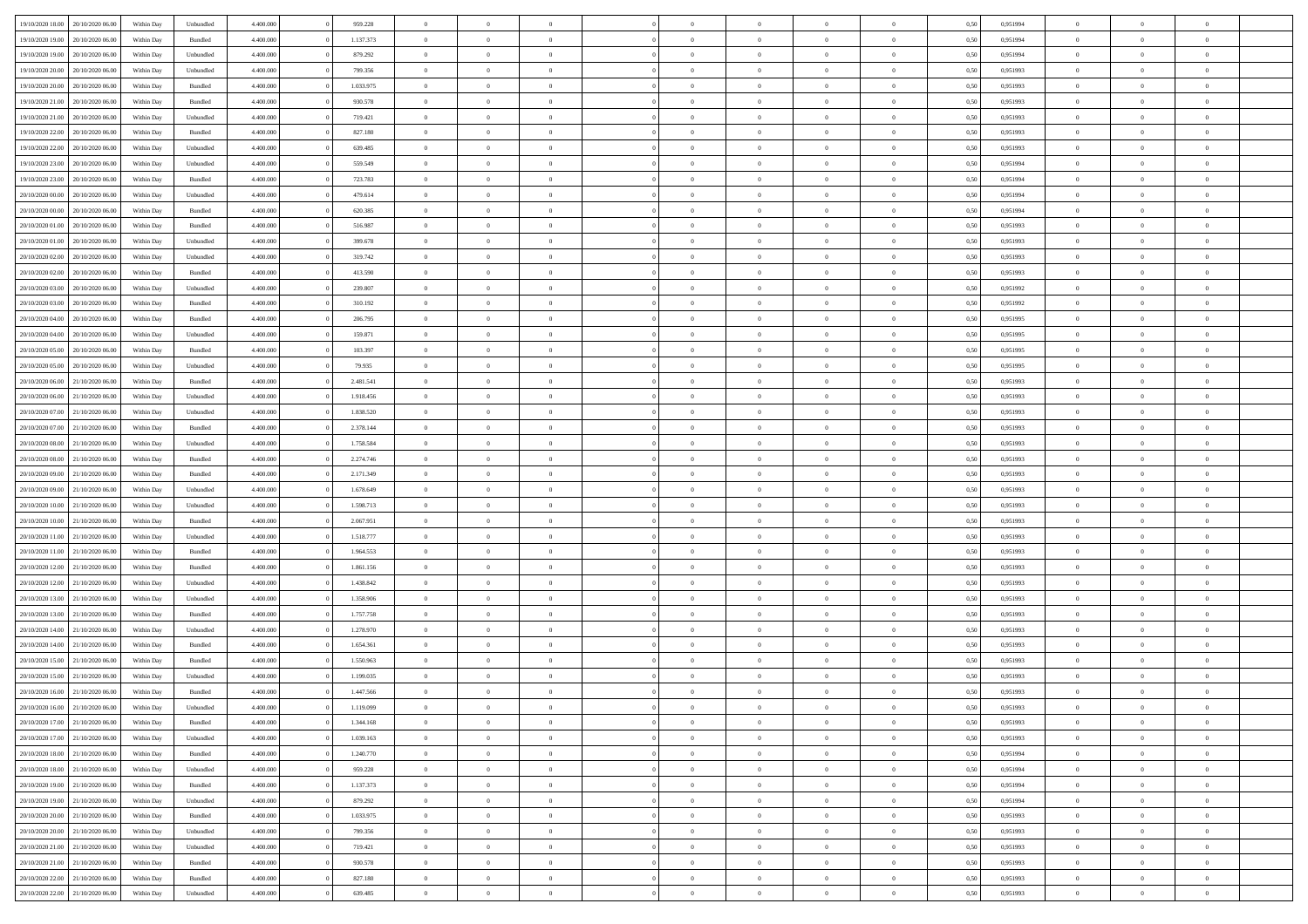|                                   |                  |            |           |           |           | $\overline{0}$ | $\Omega$       |                |                | $\Omega$       | $\Omega$       | $\theta$       |      |          | $\theta$       |                | $\theta$       |  |
|-----------------------------------|------------------|------------|-----------|-----------|-----------|----------------|----------------|----------------|----------------|----------------|----------------|----------------|------|----------|----------------|----------------|----------------|--|
| 19/10/2020 18:00                  | 20/10/2020 06:00 | Within Dav | Unbundled | 4.400.000 | 959.228   |                |                |                | $\Omega$       |                |                |                | 0,50 | 0,951994 |                | $\theta$       |                |  |
| 19/10/2020 19:00                  | 20/10/2020 06.00 | Within Day | Bundled   | 4.400.000 | 1.137.373 | $\overline{0}$ | $\theta$       | $\overline{0}$ | $\overline{0}$ | $\bf{0}$       | $\overline{0}$ | $\bf{0}$       | 0,50 | 0,951994 | $\theta$       | $\theta$       | $\overline{0}$ |  |
| 19/10/2020 19:00                  | 20/10/2020 06:00 | Within Day | Unbundled | 4.400.000 | 879.292   | $\overline{0}$ | $\overline{0}$ | $\overline{0}$ | $\bf{0}$       | $\bf{0}$       | $\bf{0}$       | $\bf{0}$       | 0,50 | 0,951994 | $\overline{0}$ | $\overline{0}$ | $\overline{0}$ |  |
| 19/10/2020 20:00                  | 20/10/2020 06:00 | Within Dav | Unbundled | 4.400.000 | 799.356   | $\overline{0}$ | $\overline{0}$ | $\overline{0}$ | $\overline{0}$ | $\bf{0}$       | $\overline{0}$ | $\overline{0}$ | 0.50 | 0.951993 | $\theta$       | $\theta$       | $\overline{0}$ |  |
| 19/10/2020 20:00                  | 20/10/2020 06.00 | Within Day | Bundled   | 4.400.000 | 1.033.975 | $\overline{0}$ | $\theta$       | $\overline{0}$ | $\overline{0}$ | $\bf{0}$       | $\overline{0}$ | $\bf{0}$       | 0,50 | 0,951993 | $\theta$       | $\theta$       | $\overline{0}$ |  |
|                                   |                  |            |           |           |           |                |                |                |                |                |                |                |      |          |                |                |                |  |
| 19/10/2020 21.00                  | 20/10/2020 06:00 | Within Day | Bundled   | 4.400.000 | 930.578   | $\overline{0}$ | $\bf{0}$       | $\overline{0}$ | $\bf{0}$       | $\overline{0}$ | $\overline{0}$ | $\mathbf{0}$   | 0,50 | 0,951993 | $\overline{0}$ | $\overline{0}$ | $\bf{0}$       |  |
| 19/10/2020 21:00                  | 20/10/2020 06:00 | Within Dav | Unbundled | 4.400.000 | 719.421   | $\overline{0}$ | $\overline{0}$ | $\overline{0}$ | $\overline{0}$ | $\overline{0}$ | $\overline{0}$ | $\overline{0}$ | 0.50 | 0.951993 | $\theta$       | $\overline{0}$ | $\overline{0}$ |  |
| 19/10/2020 22.00                  | 20/10/2020 06.00 | Within Day | Bundled   | 4.400.000 | 827.180   | $\overline{0}$ | $\theta$       | $\overline{0}$ | $\overline{0}$ | $\bf{0}$       | $\overline{0}$ | $\bf{0}$       | 0,50 | 0,951993 | $\theta$       | $\theta$       | $\overline{0}$ |  |
| 19/10/2020 22.00                  | 20/10/2020 06:00 | Within Day | Unbundled | 4.400.000 | 639.485   | $\overline{0}$ | $\overline{0}$ | $\overline{0}$ | $\bf{0}$       | $\bf{0}$       | $\bf{0}$       | $\bf{0}$       | 0,50 | 0,951993 | $\,0\,$        | $\overline{0}$ | $\overline{0}$ |  |
| 19/10/2020 23:00                  | 20/10/2020 06:00 | Within Dav | Unbundled | 4.400.000 | 559.549   | $\overline{0}$ | $\overline{0}$ | $\overline{0}$ | $\overline{0}$ | $\overline{0}$ | $\overline{0}$ | $\overline{0}$ | 0.50 | 0,951994 | $\theta$       | $\overline{0}$ | $\overline{0}$ |  |
| 19/10/2020 23.00                  | 20/10/2020 06.00 | Within Day | Bundled   | 4.400.000 | 723.783   | $\overline{0}$ | $\theta$       | $\overline{0}$ | $\overline{0}$ | $\bf{0}$       | $\overline{0}$ | $\bf{0}$       | 0,50 | 0,951994 | $\,$ 0 $\,$    | $\theta$       | $\overline{0}$ |  |
| 20/10/2020 00:00                  | 20/10/2020 06:00 | Within Day | Unbundled | 4.400.000 | 479.614   | $\overline{0}$ | $\overline{0}$ | $\overline{0}$ | $\bf{0}$       | $\bf{0}$       | $\bf{0}$       | $\bf{0}$       | 0,50 | 0,951994 | $\overline{0}$ | $\overline{0}$ | $\overline{0}$ |  |
|                                   |                  |            |           |           |           |                |                |                |                |                |                |                |      |          |                |                |                |  |
| 20/10/2020 00:00                  | 20/10/2020 06:00 | Within Day | Bundled   | 4.400.000 | 620.385   | $\overline{0}$ | $\overline{0}$ | $\overline{0}$ | $\overline{0}$ | $\bf{0}$       | $\overline{0}$ | $\overline{0}$ | 0.50 | 0.951994 | $\theta$       | $\theta$       | $\overline{0}$ |  |
| 20/10/2020 01:00                  | 20/10/2020 06.00 | Within Day | Bundled   | 4.400.000 | 516.987   | $\overline{0}$ | $\theta$       | $\overline{0}$ | $\overline{0}$ | $\bf{0}$       | $\overline{0}$ | $\bf{0}$       | 0,50 | 0,951993 | $\theta$       | $\theta$       | $\overline{0}$ |  |
| 20/10/2020 01:00                  | 20/10/2020 06:00 | Within Day | Unbundled | 4.400.000 | 399.678   | $\overline{0}$ | $\bf{0}$       | $\overline{0}$ | $\bf{0}$       | $\overline{0}$ | $\overline{0}$ | $\mathbf{0}$   | 0,50 | 0,951993 | $\bf{0}$       | $\overline{0}$ | $\bf{0}$       |  |
| 20/10/2020 02:00                  | 20/10/2020 06:00 | Within Dav | Unbundled | 4.400.000 | 319.742   | $\overline{0}$ | $\overline{0}$ | $\overline{0}$ | $\overline{0}$ | $\overline{0}$ | $\overline{0}$ | $\overline{0}$ | 0.50 | 0.951993 | $\theta$       | $\overline{0}$ | $\overline{0}$ |  |
| 20/10/2020 02:00                  | 20/10/2020 06.00 | Within Day | Bundled   | 4.400.000 | 413.590   | $\overline{0}$ | $\theta$       | $\overline{0}$ | $\overline{0}$ | $\bf{0}$       | $\overline{0}$ | $\bf{0}$       | 0,50 | 0,951993 | $\theta$       | $\theta$       | $\overline{0}$ |  |
| 20/10/2020 03:00                  | 20/10/2020 06:00 | Within Day | Unbundled | 4.400.000 | 239.807   | $\overline{0}$ | $\overline{0}$ | $\overline{0}$ | $\bf{0}$       | $\bf{0}$       | $\bf{0}$       | $\bf{0}$       | 0,50 | 0,951992 | $\,0\,$        | $\overline{0}$ | $\overline{0}$ |  |
| 20/10/2020 03:00                  | 20/10/2020 06:00 | Within Day | Bundled   | 4.400.000 | 310.192   | $\overline{0}$ | $\overline{0}$ | $\overline{0}$ | $\overline{0}$ | $\overline{0}$ | $\overline{0}$ | $\overline{0}$ | 0.50 | 0.951992 | $\theta$       | $\overline{0}$ | $\overline{0}$ |  |
|                                   |                  |            |           |           |           |                |                |                |                |                |                |                |      |          |                |                |                |  |
| 20/10/2020 04:00                  | 20/10/2020 06.00 | Within Day | Bundled   | 4.400.000 | 206.795   | $\overline{0}$ | $\theta$       | $\overline{0}$ | $\overline{0}$ | $\bf{0}$       | $\overline{0}$ | $\bf{0}$       | 0,50 | 0,951995 | $\,$ 0 $\,$    | $\theta$       | $\overline{0}$ |  |
| 20/10/2020 04:00                  | 20/10/2020 06:00 | Within Day | Unbundled | 4.400.000 | 159.871   | $\overline{0}$ | $\overline{0}$ | $\overline{0}$ | $\bf{0}$       | $\bf{0}$       | $\bf{0}$       | $\bf{0}$       | 0,50 | 0,951995 | $\bf{0}$       | $\overline{0}$ | $\overline{0}$ |  |
| 20/10/2020 05:00                  | 20/10/2020 06:00 | Within Day | Bundled   | 4.400.000 | 103.397   | $\overline{0}$ | $\overline{0}$ | $\overline{0}$ | $\overline{0}$ | $\bf{0}$       | $\overline{0}$ | $\overline{0}$ | 0.50 | 0.951995 | $\theta$       | $\theta$       | $\overline{0}$ |  |
| 20/10/2020 05:00                  | 20/10/2020 06.00 | Within Day | Unbundled | 4.400.000 | 79.935    | $\overline{0}$ | $\theta$       | $\overline{0}$ | $\overline{0}$ | $\bf{0}$       | $\overline{0}$ | $\bf{0}$       | 0,50 | 0,951995 | $\,$ 0 $\,$    | $\overline{0}$ | $\overline{0}$ |  |
| 20/10/2020 06.00                  | 21/10/2020 06.00 | Within Day | Bundled   | 4.400.000 | 2.481.541 | $\overline{0}$ | $\bf{0}$       | $\overline{0}$ | $\bf{0}$       | $\overline{0}$ | $\overline{0}$ | $\mathbf{0}$   | 0,50 | 0,951993 | $\bf{0}$       | $\overline{0}$ | $\bf{0}$       |  |
| 20/10/2020 06:00                  | 21/10/2020 06.00 | Within Day | Unbundled | 4.400.000 | 1.918.456 | $\overline{0}$ | $\overline{0}$ | $\overline{0}$ | $\overline{0}$ | $\overline{0}$ | $\overline{0}$ | $\overline{0}$ | 0.50 | 0.951993 | $\theta$       | $\overline{0}$ | $\overline{0}$ |  |
| 20/10/2020 07.00                  | 21/10/2020 06.00 |            |           | 4.400.000 | 1.838.520 | $\overline{0}$ | $\theta$       | $\overline{0}$ | $\overline{0}$ | $\bf{0}$       | $\overline{0}$ |                |      | 0,951993 | $\theta$       | $\theta$       | $\overline{0}$ |  |
|                                   |                  | Within Day | Unbundled |           |           |                |                |                |                |                |                | $\bf{0}$       | 0,50 |          |                |                |                |  |
| 20/10/2020 07:00                  | 21/10/2020 06.00 | Within Day | Bundled   | 4.400.000 | 2.378.144 | $\overline{0}$ | $\overline{0}$ | $\overline{0}$ | $\bf{0}$       | $\bf{0}$       | $\bf{0}$       | $\bf{0}$       | 0,50 | 0,951993 | $\,0\,$        | $\overline{0}$ | $\overline{0}$ |  |
| 20/10/2020 08:00                  | 21/10/2020 06:00 | Within Day | Unbundled | 4.400.000 | 1.758.584 | $\overline{0}$ | $\overline{0}$ | $\overline{0}$ | $\overline{0}$ | $\overline{0}$ | $\overline{0}$ | $\overline{0}$ | 0.50 | 0.951993 | $\theta$       | $\overline{0}$ | $\overline{0}$ |  |
| 20/10/2020 08:00                  | 21/10/2020 06.00 | Within Day | Bundled   | 4.400.000 | 2.274.746 | $\overline{0}$ | $\theta$       | $\overline{0}$ | $\overline{0}$ | $\bf{0}$       | $\overline{0}$ | $\bf{0}$       | 0,50 | 0,951993 | $\,$ 0 $\,$    | $\overline{0}$ | $\overline{0}$ |  |
| 20/10/2020 09:00                  | 21/10/2020 06.00 | Within Day | Bundled   | 4.400.000 | 2.171.349 | $\overline{0}$ | $\overline{0}$ | $\overline{0}$ | $\bf{0}$       | $\bf{0}$       | $\bf{0}$       | $\bf{0}$       | 0,50 | 0,951993 | $\bf{0}$       | $\overline{0}$ | $\overline{0}$ |  |
| 20/10/2020 09:00                  | 21/10/2020 06.00 | Within Day | Unbundled | 4.400.000 | 1.678.649 | $\overline{0}$ | $\Omega$       | $\Omega$       | $\Omega$       | $\Omega$       | $\Omega$       | $\overline{0}$ | 0,50 | 0,951993 | $\,0\,$        | $\theta$       | $\theta$       |  |
| 20/10/2020 10:00                  | 21/10/2020 06.00 | Within Day | Unbundled | 4.400.000 | 1.598.713 | $\overline{0}$ | $\theta$       | $\overline{0}$ | $\overline{0}$ | $\bf{0}$       | $\overline{0}$ | $\bf{0}$       | 0,50 | 0,951993 | $\theta$       | $\theta$       | $\overline{0}$ |  |
|                                   |                  |            |           |           |           |                |                |                |                |                |                |                |      |          |                |                |                |  |
| 20/10/2020 10:00                  | 21/10/2020 06.00 | Within Day | Bundled   | 4.400.000 | 2.067.951 | $\overline{0}$ | $\overline{0}$ | $\overline{0}$ | $\bf{0}$       | $\bf{0}$       | $\overline{0}$ | $\mathbf{0}$   | 0,50 | 0,951993 | $\overline{0}$ | $\overline{0}$ | $\bf{0}$       |  |
| 20/10/2020 11:00                  | 21/10/2020 06:00 | Within Day | Unbundled | 4.400,000 | 1.518.777 | $\overline{0}$ | $\Omega$       | $\Omega$       | $\Omega$       | $\bf{0}$       | $\overline{0}$ | $\overline{0}$ | 0.50 | 0,951993 | $\,0\,$        | $\theta$       | $\theta$       |  |
| 20/10/2020 11:00                  | 21/10/2020 06.00 | Within Day | Bundled   | 4.400.000 | 1.964.553 | $\overline{0}$ | $\theta$       | $\overline{0}$ | $\overline{0}$ | $\bf{0}$       | $\overline{0}$ | $\bf{0}$       | 0,50 | 0,951993 | $\theta$       | $\theta$       | $\overline{0}$ |  |
| 20/10/2020 12:00                  | 21/10/2020 06.00 | Within Day | Bundled   | 4.400.000 | 1.861.156 | $\overline{0}$ | $\overline{0}$ | $\overline{0}$ | $\bf{0}$       | $\bf{0}$       | $\bf{0}$       | $\bf{0}$       | 0,50 | 0,951993 | $\,0\,$        | $\overline{0}$ | $\overline{0}$ |  |
| 20/10/2020 12:00                  | 21/10/2020 06:00 | Within Day | Unbundled | 4.400,000 | 1.438.842 | $\overline{0}$ | $\Omega$       | $\Omega$       | $\Omega$       | $\Omega$       | $\theta$       | $\overline{0}$ | 0.50 | 0.951993 | $\theta$       | $\theta$       | $\theta$       |  |
| 20/10/2020 13:00                  | 21/10/2020 06.00 | Within Day | Unbundled | 4.400.000 | 1.358.906 | $\overline{0}$ | $\theta$       | $\overline{0}$ | $\overline{0}$ | $\bf{0}$       | $\overline{0}$ | $\bf{0}$       | 0,50 | 0,951993 | $\,$ 0 $\,$    | $\overline{0}$ | $\overline{0}$ |  |
| 20/10/2020 13:00                  | 21/10/2020 06.00 | Within Day | Bundled   | 4.400.000 | 1.757.758 | $\overline{0}$ | $\overline{0}$ | $\overline{0}$ | $\bf{0}$       | $\bf{0}$       | $\overline{0}$ | $\bf{0}$       | 0,50 | 0,951993 | $\overline{0}$ | $\overline{0}$ | $\overline{0}$ |  |
| 20/10/2020 14:00                  | 21/10/2020 06.00 |            | Unbundled | 4.400,000 | 1.278.970 | $\overline{0}$ | $\Omega$       | $\Omega$       | $\Omega$       | $\Omega$       | $\overline{0}$ | $\overline{0}$ | 0.50 | 0,951993 | $\,0\,$        | $\theta$       | $\theta$       |  |
|                                   |                  | Within Day |           |           |           |                |                |                |                |                |                |                |      |          |                |                |                |  |
| 20/10/2020 14:00                  | 21/10/2020 06.00 | Within Day | Bundled   | 4.400.000 | 1.654.361 | $\overline{0}$ | $\theta$       | $\overline{0}$ | $\overline{0}$ | $\bf{0}$       | $\overline{0}$ | $\bf{0}$       | 0,50 | 0,951993 | $\,$ 0 $\,$    | $\overline{0}$ | $\overline{0}$ |  |
| 20/10/2020 15:00                  | 21/10/2020 06.00 | Within Day | Bundled   | 4.400.000 | 1.550.963 | $\overline{0}$ | $\overline{0}$ | $\overline{0}$ | $\overline{0}$ | $\bf{0}$       | $\overline{0}$ | $\mathbf{0}$   | 0,50 | 0,951993 | $\overline{0}$ | $\overline{0}$ | $\bf{0}$       |  |
| 20/10/2020 15:00                  | 21/10/2020 06:00 | Within Day | Unbundled | 4.400,000 | 1.199.035 | $\overline{0}$ | $\Omega$       | $\Omega$       | $\Omega$       | $\Omega$       | $\Omega$       | $\overline{0}$ | 0.50 | 0.951993 | $\theta$       | $\theta$       | $\theta$       |  |
| 20/10/2020 16:00                  | 21/10/2020 06.00 | Within Day | Bundled   | 4.400.000 | 1.447.566 | $\overline{0}$ | $\,$ 0 $\,$    | $\overline{0}$ | $\bf{0}$       | $\,$ 0         | $\overline{0}$ | $\bf{0}$       | 0,50 | 0,951993 | $\,0\,$        | $\overline{0}$ | $\overline{0}$ |  |
| 20/10/2020 16:00 21/10/2020 06:00 |                  | Within Day | Unbundled | 4.400.000 | 1.119.099 | $\bf{0}$       | $\bf{0}$       |                |                |                |                |                | 0,50 | 0,951993 | $\bf{0}$       | $\overline{0}$ |                |  |
| 20/10/2020 17:00                  | 21/10/2020 06:00 | Within Day | Bundled   | 4.400.000 | 1.344.168 | $\overline{0}$ | $\overline{0}$ | $\Omega$       | $\Omega$       | $\overline{0}$ | $\overline{0}$ | $\overline{0}$ | 0,50 | 0.951993 | $\theta$       | $\theta$       | $\theta$       |  |
| 20/10/2020 17.00                  | 21/10/2020 06.00 | Within Day | Unbundled | 4.400.000 | 1.039.163 | $\overline{0}$ | $\,$ 0         | $\overline{0}$ | $\overline{0}$ | $\,$ 0 $\,$    | $\overline{0}$ | $\,$ 0 $\,$    | 0,50 | 0,951993 | $\,$ 0 $\,$    | $\,$ 0 $\,$    | $\,$ 0         |  |
|                                   |                  |            |           |           |           |                |                |                |                |                |                |                |      |          |                |                |                |  |
| 20/10/2020 18:00                  | 21/10/2020 06.00 | Within Day | Bundled   | 4.400.000 | 1.240.770 | $\overline{0}$ | $\overline{0}$ | $\overline{0}$ | $\overline{0}$ | $\overline{0}$ | $\overline{0}$ | $\mathbf{0}$   | 0,50 | 0,951994 | $\overline{0}$ | $\bf{0}$       | $\bf{0}$       |  |
| 20/10/2020 18:00                  | 21/10/2020 06.00 | Within Day | Unbundled | 4.400,000 | 959.228   | $\overline{0}$ | $\overline{0}$ | $\overline{0}$ | $\Omega$       | $\overline{0}$ | $\overline{0}$ | $\overline{0}$ | 0,50 | 0,951994 | $\overline{0}$ | $\theta$       | $\overline{0}$ |  |
| 20/10/2020 19:00                  | 21/10/2020 06.00 | Within Day | Bundled   | 4.400.000 | 1.137.373 | $\overline{0}$ | $\,$ 0         | $\overline{0}$ | $\overline{0}$ | $\,$ 0 $\,$    | $\overline{0}$ | $\mathbf{0}$   | 0,50 | 0,951994 | $\,$ 0 $\,$    | $\overline{0}$ | $\overline{0}$ |  |
| 20/10/2020 19:00                  | 21/10/2020 06.00 | Within Day | Unbundled | 4.400.000 | 879.292   | $\overline{0}$ | $\overline{0}$ | $\overline{0}$ | $\overline{0}$ | $\overline{0}$ | $\overline{0}$ | $\mathbf{0}$   | 0,50 | 0,951994 | $\overline{0}$ | $\overline{0}$ | $\bf{0}$       |  |
| 20/10/2020 20:00                  | 21/10/2020 06.00 | Within Day | Bundled   | 4.400,000 | 1.033.975 | $\overline{0}$ | $\overline{0}$ | $\overline{0}$ | $\overline{0}$ | $\overline{0}$ | $\overline{0}$ | $\bf{0}$       | 0.50 | 0,951993 | $\overline{0}$ | $\theta$       | $\overline{0}$ |  |
| 20/10/2020 20:00                  | 21/10/2020 06.00 | Within Day | Unbundled | 4.400.000 | 799.356   | $\overline{0}$ | $\,$ 0         | $\overline{0}$ | $\overline{0}$ | $\bf{0}$       | $\overline{0}$ | $\bf{0}$       | 0,50 | 0,951993 | $\,$ 0 $\,$    | $\overline{0}$ | $\overline{0}$ |  |
| 20/10/2020 21:00                  | 21/10/2020 06.00 | Within Day | Unbundled | 4.400.000 | 719.421   | $\overline{0}$ | $\bf{0}$       | $\overline{0}$ | $\overline{0}$ | $\overline{0}$ | $\overline{0}$ | $\mathbf{0}$   | 0,50 | 0,951993 | $\overline{0}$ | $\overline{0}$ | $\bf{0}$       |  |
|                                   |                  |            |           |           |           |                |                |                |                |                |                |                |      |          |                |                |                |  |
| 20/10/2020 21.00                  | 21/10/2020 06:00 | Within Day | Bundled   | 4.400,000 | 930.578   | $\overline{0}$ | $\overline{0}$ | $\overline{0}$ | $\Omega$       | $\overline{0}$ | $\overline{0}$ | $\overline{0}$ | 0.50 | 0,951993 | $\overline{0}$ | $\overline{0}$ | $\overline{0}$ |  |
| 20/10/2020 22.00                  | 21/10/2020 06.00 | Within Day | Bundled   | 4.400.000 | 827.180   | $\overline{0}$ | $\bf{0}$       | $\overline{0}$ | $\overline{0}$ | $\bf{0}$       | $\bf{0}$       | $\mathbf{0}$   | 0,50 | 0,951993 | $\,$ 0 $\,$    | $\,$ 0 $\,$    | $\bf{0}$       |  |
| 20/10/2020 22:00 21/10/2020 06:00 |                  | Within Day | Unbundled | 4.400.000 | 639.485   | $\overline{0}$ | $\bf{0}$       | $\overline{0}$ | $\bf{0}$       | $\bf{0}$       | $\bf{0}$       | $\bf{0}$       | 0,50 | 0,951993 | $\overline{0}$ | $\overline{0}$ | $\bf{0}$       |  |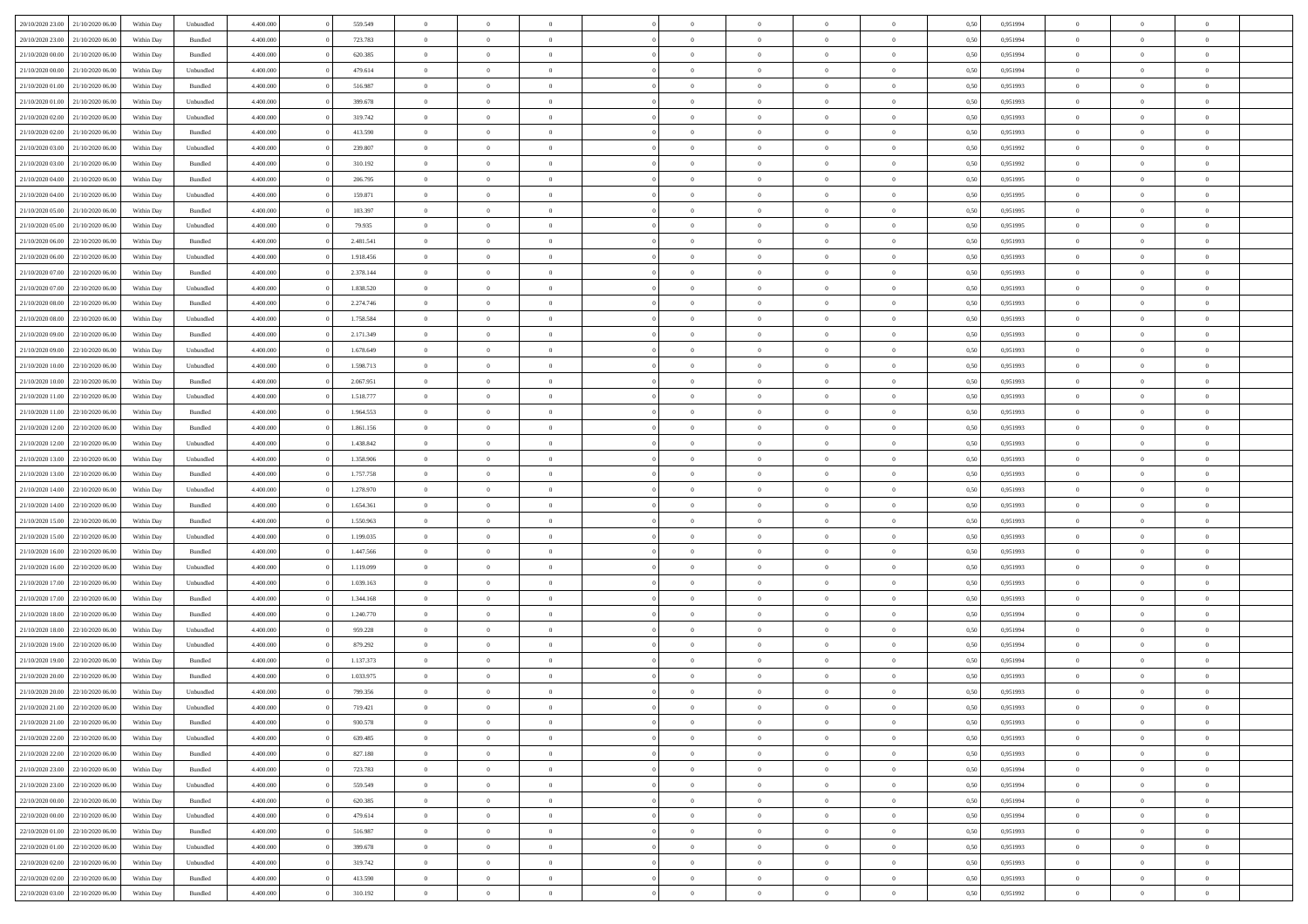|                                   |                  |            |                    |           |           | $\overline{0}$ | $\Omega$       |                |                | $\Omega$       | $\Omega$       | $\theta$       |      |          | $\theta$       |                | $\theta$       |  |
|-----------------------------------|------------------|------------|--------------------|-----------|-----------|----------------|----------------|----------------|----------------|----------------|----------------|----------------|------|----------|----------------|----------------|----------------|--|
| 20/10/2020 23:00                  | 21/10/2020 06:00 | Within Dav | Unbundled          | 4.400.000 | 559.549   |                |                |                | $\Omega$       |                |                |                | 0,50 | 0,951994 |                | $\theta$       |                |  |
| 20/10/2020 23.00                  | 21/10/2020 06.00 | Within Day | Bundled            | 4.400.000 | 723.783   | $\overline{0}$ | $\theta$       | $\overline{0}$ | $\overline{0}$ | $\bf{0}$       | $\overline{0}$ | $\bf{0}$       | 0,50 | 0,951994 | $\theta$       | $\overline{0}$ | $\overline{0}$ |  |
| 21/10/2020 00:00                  | 21/10/2020 06.00 | Within Day | Bundled            | 4.400.000 | 620.385   | $\overline{0}$ | $\overline{0}$ | $\overline{0}$ | $\bf{0}$       | $\bf{0}$       | $\bf{0}$       | $\bf{0}$       | 0,50 | 0,951994 | $\overline{0}$ | $\overline{0}$ | $\overline{0}$ |  |
| 21/10/2020 00:00                  | 21/10/2020 06:00 | Within Dav | Unbundled          | 4.400.000 | 479.614   | $\overline{0}$ | $\overline{0}$ | $\overline{0}$ | $\overline{0}$ | $\bf{0}$       | $\overline{0}$ | $\overline{0}$ | 0.50 | 0.951994 | $\theta$       | $\theta$       | $\overline{0}$ |  |
| 21/10/2020 01:00                  | 21/10/2020 06.00 | Within Day | Bundled            | 4.400.000 | 516.987   | $\overline{0}$ | $\theta$       | $\overline{0}$ | $\overline{0}$ | $\bf{0}$       | $\overline{0}$ | $\bf{0}$       | 0,50 | 0,951993 | $\theta$       | $\theta$       | $\overline{0}$ |  |
|                                   |                  |            |                    |           |           |                |                |                |                |                |                |                |      |          |                |                |                |  |
| 21/10/2020 01:00                  | 21/10/2020 06.00 | Within Day | Unbundled          | 4.400.000 | 399.678   | $\overline{0}$ | $\bf{0}$       | $\overline{0}$ | $\bf{0}$       | $\overline{0}$ | $\overline{0}$ | $\mathbf{0}$   | 0,50 | 0,951993 | $\overline{0}$ | $\overline{0}$ | $\bf{0}$       |  |
| 21/10/2020 02:00                  | 21/10/2020 06:00 | Within Dav | Unbundled          | 4.400.000 | 319.742   | $\overline{0}$ | $\overline{0}$ | $\overline{0}$ | $\overline{0}$ | $\overline{0}$ | $\overline{0}$ | $\overline{0}$ | 0.50 | 0.951993 | $\theta$       | $\overline{0}$ | $\overline{0}$ |  |
| 21/10/2020 02.00                  | 21/10/2020 06.00 | Within Day | Bundled            | 4.400.000 | 413.590   | $\overline{0}$ | $\theta$       | $\overline{0}$ | $\overline{0}$ | $\bf{0}$       | $\overline{0}$ | $\bf{0}$       | 0,50 | 0,951993 | $\theta$       | $\theta$       | $\overline{0}$ |  |
| 21/10/2020 03:00                  | 21/10/2020 06.00 | Within Day | Unbundled          | 4.400.000 | 239.807   | $\overline{0}$ | $\overline{0}$ | $\overline{0}$ | $\bf{0}$       | $\bf{0}$       | $\bf{0}$       | $\bf{0}$       | 0,50 | 0,951992 | $\,0\,$        | $\overline{0}$ | $\overline{0}$ |  |
| 21/10/2020 03:00                  | 21/10/2020 06.00 | Within Dav | Bundled            | 4.400.000 | 310.192   | $\overline{0}$ | $\overline{0}$ | $\overline{0}$ | $\overline{0}$ | $\overline{0}$ | $\overline{0}$ | $\overline{0}$ | 0.50 | 0.951992 | $\theta$       | $\overline{0}$ | $\overline{0}$ |  |
| 21/10/2020 04.00                  | 21/10/2020 06.00 | Within Day | Bundled            | 4.400.000 | 206.795   | $\overline{0}$ | $\theta$       | $\overline{0}$ | $\overline{0}$ | $\bf{0}$       | $\overline{0}$ | $\bf{0}$       | 0,50 | 0,951995 | $\,$ 0 $\,$    | $\theta$       | $\overline{0}$ |  |
| 21/10/2020 04:00                  | 21/10/2020 06.00 | Within Day | Unbundled          | 4.400.000 | 159.871   | $\overline{0}$ | $\overline{0}$ | $\overline{0}$ | $\bf{0}$       | $\bf{0}$       | $\bf{0}$       | $\bf{0}$       | 0,50 | 0,951995 | $\overline{0}$ | $\overline{0}$ | $\overline{0}$ |  |
|                                   |                  |            |                    |           |           |                |                |                |                |                |                |                |      |          |                |                |                |  |
| 21/10/2020 05:00                  | 21/10/2020 06:00 | Within Day | Bundled            | 4.400.000 | 103.397   | $\overline{0}$ | $\overline{0}$ | $\overline{0}$ | $\overline{0}$ | $\bf{0}$       | $\overline{0}$ | $\overline{0}$ | 0.50 | 0.951995 | $\theta$       | $\theta$       | $\overline{0}$ |  |
| 21/10/2020 05.00                  | 21/10/2020 06.00 | Within Day | Unbundled          | 4.400.000 | 79.935    | $\overline{0}$ | $\theta$       | $\overline{0}$ | $\overline{0}$ | $\bf{0}$       | $\overline{0}$ | $\bf{0}$       | 0,50 | 0,951995 | $\theta$       | $\overline{0}$ | $\overline{0}$ |  |
| 21/10/2020 06:00                  | 22/10/2020 06.00 | Within Day | Bundled            | 4.400.000 | 2.481.541 | $\overline{0}$ | $\bf{0}$       | $\overline{0}$ | $\bf{0}$       | $\overline{0}$ | $\overline{0}$ | $\mathbf{0}$   | 0,50 | 0,951993 | $\overline{0}$ | $\overline{0}$ | $\bf{0}$       |  |
| 21/10/2020 06:00                  | 22/10/2020 06:00 | Within Dav | Unbundled          | 4.400.000 | 1.918.456 | $\overline{0}$ | $\overline{0}$ | $\overline{0}$ | $\overline{0}$ | $\overline{0}$ | $\overline{0}$ | $\overline{0}$ | 0.50 | 0.951993 | $\theta$       | $\overline{0}$ | $\overline{0}$ |  |
| 21/10/2020 07.00                  | 22/10/2020 06.00 | Within Day | Bundled            | 4.400.000 | 2.378.144 | $\overline{0}$ | $\theta$       | $\overline{0}$ | $\overline{0}$ | $\bf{0}$       | $\overline{0}$ | $\bf{0}$       | 0,50 | 0,951993 | $\theta$       | $\theta$       | $\overline{0}$ |  |
| 21/10/2020 07.00                  | 22/10/2020 06.00 | Within Day | Unbundled          | 4.400.000 | 1.838.520 | $\overline{0}$ | $\overline{0}$ | $\overline{0}$ | $\bf{0}$       | $\bf{0}$       | $\bf{0}$       | $\bf{0}$       | 0,50 | 0,951993 | $\,0\,$        | $\overline{0}$ | $\overline{0}$ |  |
| 21/10/2020 08:00                  | 22/10/2020 06.00 | Within Day | Bundled            | 4.400.000 | 2.274.746 | $\overline{0}$ | $\overline{0}$ | $\overline{0}$ | $\overline{0}$ | $\overline{0}$ | $\overline{0}$ | $\overline{0}$ | 0.50 | 0.951993 | $\theta$       | $\overline{0}$ | $\overline{0}$ |  |
|                                   |                  |            |                    |           |           |                |                |                |                |                |                |                |      |          |                |                |                |  |
| 21/10/2020 08.00                  | 22/10/2020 06.00 | Within Day | Unbundled          | 4.400.000 | 1.758.584 | $\overline{0}$ | $\theta$       | $\overline{0}$ | $\overline{0}$ | $\bf{0}$       | $\overline{0}$ | $\bf{0}$       | 0,50 | 0,951993 | $\,$ 0 $\,$    | $\theta$       | $\overline{0}$ |  |
| 21/10/2020 09:00                  | 22/10/2020 06.00 | Within Day | Bundled            | 4.400.000 | 2.171.349 | $\overline{0}$ | $\overline{0}$ | $\overline{0}$ | $\bf{0}$       | $\bf{0}$       | $\bf{0}$       | $\bf{0}$       | 0,50 | 0,951993 | $\bf{0}$       | $\overline{0}$ | $\overline{0}$ |  |
| 21/10/2020 09:00                  | 22/10/2020 06:00 | Within Day | Unbundled          | 4.400.000 | 1.678.649 | $\overline{0}$ | $\overline{0}$ | $\overline{0}$ | $\overline{0}$ | $\bf{0}$       | $\overline{0}$ | $\overline{0}$ | 0.50 | 0.951993 | $\theta$       | $\theta$       | $\overline{0}$ |  |
| 21/10/2020 10:00                  | 22/10/2020 06.00 | Within Day | Unbundled          | 4.400.000 | 1.598.713 | $\overline{0}$ | $\theta$       | $\overline{0}$ | $\overline{0}$ | $\bf{0}$       | $\overline{0}$ | $\bf{0}$       | 0,50 | 0,951993 | $\,$ 0 $\,$    | $\overline{0}$ | $\overline{0}$ |  |
| 21/10/2020 10:00                  | 22/10/2020 06.00 | Within Day | Bundled            | 4.400.000 | 2.067.951 | $\overline{0}$ | $\bf{0}$       | $\overline{0}$ | $\overline{0}$ | $\overline{0}$ | $\overline{0}$ | $\mathbf{0}$   | 0,50 | 0,951993 | $\overline{0}$ | $\overline{0}$ | $\bf{0}$       |  |
| 21/10/2020 11:00                  | 22/10/2020 06.00 | Within Dav | Unbundled          | 4.400.000 | 1.518.777 | $\overline{0}$ | $\overline{0}$ | $\overline{0}$ | $\overline{0}$ | $\overline{0}$ | $\overline{0}$ | $\overline{0}$ | 0.50 | 0.951993 | $\theta$       | $\overline{0}$ | $\overline{0}$ |  |
| 21/10/2020 11:00                  | 22/10/2020 06.00 |            |                    | 4.400.000 | 1.964.553 | $\overline{0}$ | $\theta$       | $\overline{0}$ | $\overline{0}$ | $\bf{0}$       | $\overline{0}$ |                |      | 0,951993 | $\theta$       | $\theta$       | $\overline{0}$ |  |
|                                   |                  | Within Day | Bundled            |           |           |                |                |                |                |                |                | $\bf{0}$       | 0,50 |          |                |                |                |  |
| 21/10/2020 12:00                  | 22/10/2020 06.00 | Within Day | Bundled            | 4.400.000 | 1.861.156 | $\overline{0}$ | $\overline{0}$ | $\overline{0}$ | $\overline{0}$ | $\bf{0}$       | $\overline{0}$ | $\bf{0}$       | 0,50 | 0,951993 | $\,0\,$        | $\overline{0}$ | $\overline{0}$ |  |
| 21/10/2020 12:00                  | 22/10/2020 06:00 | Within Day | Unbundled          | 4.400.000 | 1.438.842 | $\overline{0}$ | $\overline{0}$ | $\overline{0}$ | $\overline{0}$ | $\overline{0}$ | $\overline{0}$ | $\overline{0}$ | 0.50 | 0.951993 | $\theta$       | $\overline{0}$ | $\overline{0}$ |  |
| 21/10/2020 13:00                  | 22/10/2020 06.00 | Within Day | Unbundled          | 4.400.000 | 1.358.906 | $\overline{0}$ | $\theta$       | $\overline{0}$ | $\overline{0}$ | $\bf{0}$       | $\overline{0}$ | $\bf{0}$       | 0,50 | 0,951993 | $\,$ 0 $\,$    | $\overline{0}$ | $\overline{0}$ |  |
| 21/10/2020 13.00                  | 22/10/2020 06.00 | Within Day | Bundled            | 4.400.000 | 1.757.758 | $\overline{0}$ | $\overline{0}$ | $\overline{0}$ | $\overline{0}$ | $\bf{0}$       | $\overline{0}$ | $\bf{0}$       | 0,50 | 0,951993 | $\bf{0}$       | $\overline{0}$ | $\overline{0}$ |  |
| 21/10/2020 14:00                  | 22/10/2020 06.00 | Within Day | Unbundled          | 4.400.000 | 1.278.970 | $\overline{0}$ | $\Omega$       | $\Omega$       | $\Omega$       | $\Omega$       | $\overline{0}$ | $\overline{0}$ | 0,50 | 0,951993 | $\,0\,$        | $\theta$       | $\theta$       |  |
| 21/10/2020 14:00                  | 22/10/2020 06.00 | Within Day | Bundled            | 4.400.000 | 1.654.361 | $\overline{0}$ | $\theta$       | $\overline{0}$ | $\overline{0}$ | $\bf{0}$       | $\overline{0}$ | $\bf{0}$       | 0,50 | 0,951993 | $\theta$       | $\theta$       | $\overline{0}$ |  |
|                                   |                  |            |                    |           |           |                |                |                |                |                |                |                |      |          |                |                |                |  |
| 21/10/2020 15:00                  | 22/10/2020 06.00 | Within Day | Bundled            | 4.400.000 | 1.550.963 | $\overline{0}$ | $\overline{0}$ | $\overline{0}$ | $\overline{0}$ | $\bf{0}$       | $\overline{0}$ | $\mathbf{0}$   | 0,50 | 0,951993 | $\overline{0}$ | $\overline{0}$ | $\bf{0}$       |  |
| 21/10/2020 15:00                  | 22/10/2020 06.00 | Within Day | Unbundled          | 4.400,000 | 1.199.035 | $\overline{0}$ | $\Omega$       | $\Omega$       | $\Omega$       | $\bf{0}$       | $\overline{0}$ | $\overline{0}$ | 0.50 | 0,951993 | $\,0\,$        | $\theta$       | $\theta$       |  |
| 21/10/2020 16.00                  | 22/10/2020 06.00 | Within Day | Bundled            | 4.400.000 | 1.447.566 | $\overline{0}$ | $\theta$       | $\overline{0}$ | $\overline{0}$ | $\bf{0}$       | $\overline{0}$ | $\bf{0}$       | 0,50 | 0,951993 | $\,$ 0 $\,$    | $\theta$       | $\overline{0}$ |  |
| 21/10/2020 16:00                  | 22/10/2020 06.00 | Within Day | Unbundled          | 4.400.000 | 1.119.099 | $\overline{0}$ | $\overline{0}$ | $\overline{0}$ | $\overline{0}$ | $\bf{0}$       | $\overline{0}$ | $\bf{0}$       | 0,50 | 0,951993 | $\,0\,$        | $\overline{0}$ | $\overline{0}$ |  |
| 21/10/2020 17:00                  | 22/10/2020 06:00 | Within Day | Unbundled          | 4.400,000 | 1.039.163 | $\overline{0}$ | $\Omega$       | $\Omega$       | $\Omega$       | $\theta$       | $\theta$       | $\overline{0}$ | 0.50 | 0,951993 | $\theta$       | $\theta$       | $\theta$       |  |
| 21/10/2020 17.00                  | 22/10/2020 06.00 | Within Day | Bundled            | 4.400.000 | 1.344.168 | $\overline{0}$ | $\theta$       | $\overline{0}$ | $\overline{0}$ | $\bf{0}$       | $\overline{0}$ | $\bf{0}$       | 0,50 | 0,951993 | $\,$ 0 $\,$    | $\overline{0}$ | $\overline{0}$ |  |
| 21/10/2020 18:00                  | 22/10/2020 06.00 | Within Day | Bundled            | 4.400.000 | 1.240.770 | $\overline{0}$ | $\overline{0}$ | $\overline{0}$ | $\overline{0}$ | $\bf{0}$       | $\overline{0}$ | $\bf{0}$       | 0,50 | 0,951994 | $\overline{0}$ | $\overline{0}$ | $\overline{0}$ |  |
| 21/10/2020 18:00                  | 22/10/2020 06.00 |            |                    | 4.400,000 | 959.228   | $\overline{0}$ | $\Omega$       | $\overline{0}$ | $\Omega$       | $\Omega$       | $\overline{0}$ | $\overline{0}$ | 0,50 | 0,951994 | $\,0\,$        | $\theta$       | $\theta$       |  |
|                                   |                  | Within Day | Unbundled          |           |           |                |                |                |                |                |                |                |      |          |                |                |                |  |
| 21/10/2020 19:00                  | 22/10/2020 06.00 | Within Day | Unbundled          | 4.400.000 | 879.292   | $\overline{0}$ | $\theta$       | $\overline{0}$ | $\overline{0}$ | $\,$ 0         | $\overline{0}$ | $\bf{0}$       | 0,50 | 0,951994 | $\,$ 0 $\,$    | $\overline{0}$ | $\overline{0}$ |  |
| 21/10/2020 19:00                  | 22/10/2020 06.00 | Within Day | Bundled            | 4.400.000 | 1.137.373 | $\overline{0}$ | $\overline{0}$ | $\overline{0}$ | $\bf{0}$       | $\bf{0}$       | $\bf{0}$       | $\mathbf{0}$   | 0,50 | 0,951994 | $\bf{0}$       | $\overline{0}$ | $\bf{0}$       |  |
| 21/10/2020 20:00                  | 22/10/2020 06:00 | Within Day | Bundled            | 4.400,000 | 1.033.975 | $\overline{0}$ | $\Omega$       | $\Omega$       | $\Omega$       | $\Omega$       | $\Omega$       | $\overline{0}$ | 0.50 | 0.951993 | $\theta$       | $\theta$       | $\theta$       |  |
| 21/10/2020 20:00                  | 22/10/2020 06.00 | Within Day | Unbundled          | 4.400.000 | 799.356   | $\overline{0}$ | $\overline{0}$ | $\overline{0}$ | $\bf{0}$       | $\,$ 0         | $\bf{0}$       | $\bf{0}$       | 0,50 | 0,951993 | $\,0\,$        | $\overline{0}$ | $\overline{0}$ |  |
| 21/10/2020 21:00                  | 22/10/2020 06.00 | Within Day | Unbundled          | 4.400.000 | 719.421   | $\bf{0}$       | $\bf{0}$       |                |                |                |                |                | 0,50 | 0,951993 | $\bf{0}$       | $\overline{0}$ |                |  |
| 21/10/2020 21:00                  | 22/10/2020 06:00 | Within Day | Bundled            | 4.400.000 | 930.578   | $\overline{0}$ | $\overline{0}$ | $\overline{0}$ | $\Omega$       | $\overline{0}$ | $\overline{0}$ | $\overline{0}$ | 0,50 | 0.951993 | $\theta$       | $\theta$       | $\theta$       |  |
| 21/10/2020 22.00                  | 22/10/2020 06.00 | Within Day | Unbundled          | 4.400.000 | 639.485   | $\overline{0}$ | $\bf{0}$       | $\overline{0}$ | $\bf{0}$       | $\,$ 0 $\,$    | $\overline{0}$ | $\,$ 0 $\,$    | 0,50 | 0,951993 | $\,$ 0 $\,$    | $\,$ 0 $\,$    | $\,$ 0         |  |
|                                   |                  |            |                    |           |           |                |                |                |                |                |                |                |      |          |                |                |                |  |
| 21/10/2020 22.00                  | 22/10/2020 06.00 | Within Day | Bundled            | 4.400.000 | 827.180   | $\overline{0}$ | $\overline{0}$ | $\overline{0}$ | $\overline{0}$ | $\overline{0}$ | $\overline{0}$ | $\mathbf{0}$   | 0,50 | 0,951993 | $\overline{0}$ | $\bf{0}$       | $\bf{0}$       |  |
| 21/10/2020 23.00                  | 22/10/2020 06.00 | Within Day | $\mathbf B$ undled | 4.400,000 | 723.783   | $\overline{0}$ | $\overline{0}$ | $\overline{0}$ | $\Omega$       | $\overline{0}$ | $\overline{0}$ | $\overline{0}$ | 0,50 | 0,951994 | $\bf{0}$       | $\theta$       | $\overline{0}$ |  |
| 21/10/2020 23.00                  | 22/10/2020 06.00 | Within Day | Unbundled          | 4.400.000 | 559.549   | $\overline{0}$ | $\,$ 0         | $\overline{0}$ | $\bf{0}$       | $\,$ 0 $\,$    | $\overline{0}$ | $\mathbf{0}$   | 0,50 | 0,951994 | $\,$ 0 $\,$    | $\overline{0}$ | $\overline{0}$ |  |
| 22/10/2020 00.00                  | 22/10/2020 06.00 | Within Day | Bundled            | 4.400.000 | 620.385   | $\overline{0}$ | $\overline{0}$ | $\overline{0}$ | $\overline{0}$ | $\overline{0}$ | $\overline{0}$ | $\mathbf{0}$   | 0,50 | 0,951994 | $\overline{0}$ | $\overline{0}$ | $\bf{0}$       |  |
| 22/10/2020 00:00                  | 22/10/2020 06.00 | Within Day | Unbundled          | 4.400.000 | 479.614   | $\overline{0}$ | $\overline{0}$ | $\overline{0}$ | $\overline{0}$ | $\overline{0}$ | $\overline{0}$ | $\bf{0}$       | 0.50 | 0,951994 | $\overline{0}$ | $\theta$       | $\overline{0}$ |  |
| 22/10/2020 01:00                  | 22/10/2020 06.00 | Within Day | Bundled            | 4.400.000 | 516.987   | $\overline{0}$ | $\,$ 0         | $\overline{0}$ | $\bf{0}$       | $\bf{0}$       | $\bf{0}$       | $\bf{0}$       | 0,50 | 0,951993 | $\,$ 0 $\,$    | $\overline{0}$ | $\overline{0}$ |  |
| 22/10/2020 01:00                  | 22/10/2020 06.00 | Within Day | Unbundled          | 4.400.000 | 399.678   | $\overline{0}$ | $\bf{0}$       | $\overline{0}$ | $\overline{0}$ | $\overline{0}$ | $\overline{0}$ | $\mathbf{0}$   | 0,50 | 0,951993 | $\overline{0}$ | $\overline{0}$ | $\bf{0}$       |  |
|                                   |                  |            |                    |           |           |                |                |                |                |                |                |                |      |          |                |                |                |  |
| 22/10/2020 02.00                  | 22/10/2020 06.00 | Within Day | Unbundled          | 4.400,000 | 319.742   | $\overline{0}$ | $\overline{0}$ | $\overline{0}$ | $\Omega$       | $\overline{0}$ | $\overline{0}$ | $\overline{0}$ | 0,50 | 0,951993 | $\overline{0}$ | $\overline{0}$ | $\overline{0}$ |  |
| 22/10/2020 02.00                  | 22/10/2020 06.00 | Within Day | Bundled            | 4.400.000 | 413.590   | $\overline{0}$ | $\bf{0}$       | $\overline{0}$ | $\overline{0}$ | $\bf{0}$       | $\bf{0}$       | $\mathbf{0}$   | 0,50 | 0,951993 | $\,$ 0 $\,$    | $\,$ 0 $\,$    | $\bf{0}$       |  |
| 22/10/2020 03:00 22/10/2020 06:00 |                  | Within Day | Bundled            | 4.400.000 | 310.192   | $\overline{0}$ | $\bf{0}$       | $\overline{0}$ | $\bf{0}$       | $\bf{0}$       | $\bf{0}$       | $\bf{0}$       | 0,50 | 0,951992 | $\overline{0}$ | $\overline{0}$ | $\bf{0}$       |  |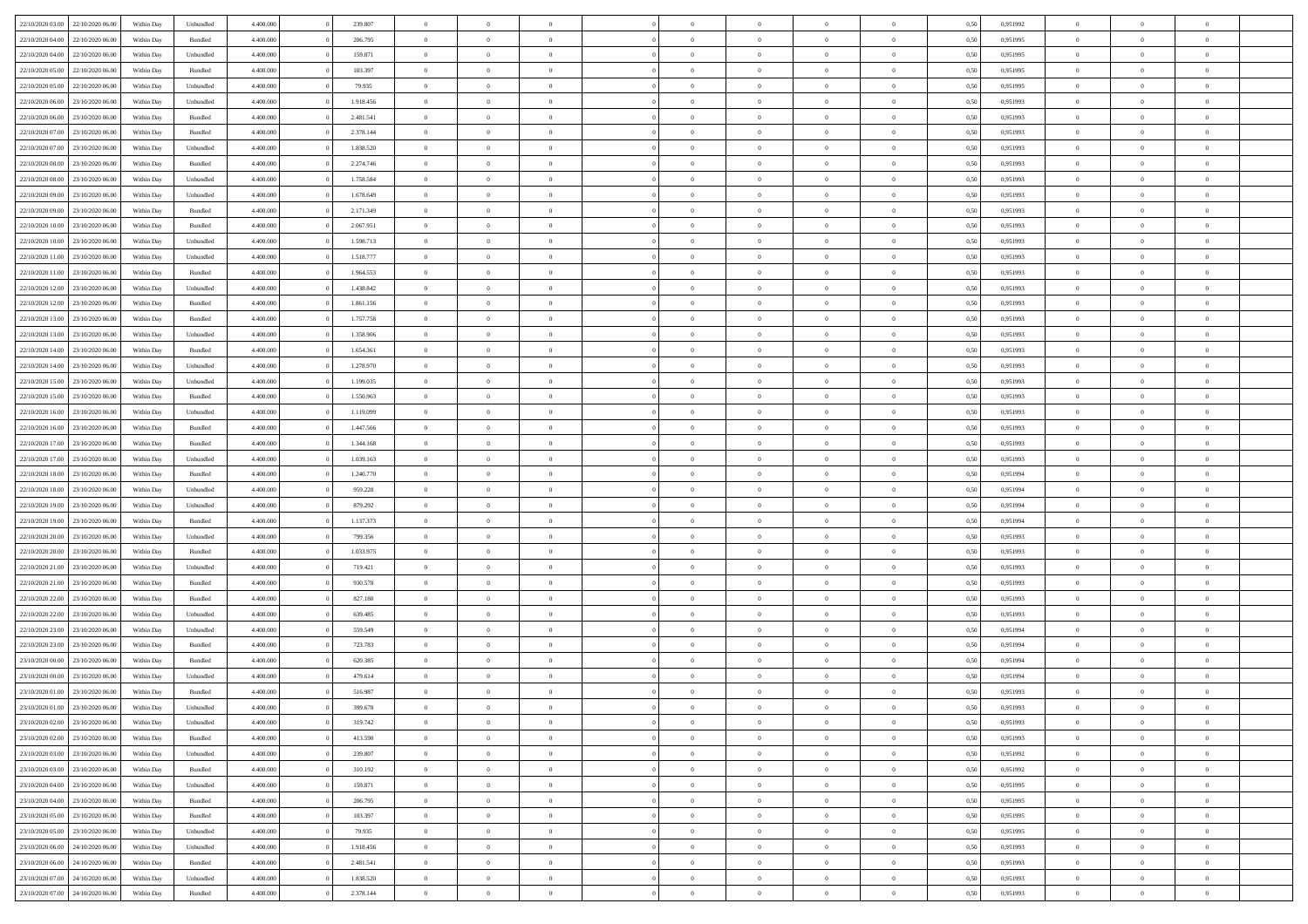| 22/10/2020 03:00                  | 22/10/2020 06.00 | Within Dav | Unbundled          | 4.400.000 | 239.807   | $\overline{0}$ | $\theta$       |                | $\Omega$       | $\Omega$       | $\Omega$       | $\theta$       | 0,50 | 0.951992 | $\theta$       | $\overline{0}$ | $\theta$       |  |
|-----------------------------------|------------------|------------|--------------------|-----------|-----------|----------------|----------------|----------------|----------------|----------------|----------------|----------------|------|----------|----------------|----------------|----------------|--|
| 22/10/2020 04:00                  | 22/10/2020 06.00 | Within Day | Bundled            | 4.400.000 | 206.795   | $\overline{0}$ | $\theta$       | $\overline{0}$ | $\overline{0}$ | $\bf{0}$       | $\overline{0}$ | $\bf{0}$       | 0,50 | 0,951995 | $\theta$       | $\overline{0}$ | $\overline{0}$ |  |
| 22/10/2020 04:00                  | 22/10/2020 06.00 | Within Day | Unbundled          | 4.400.000 | 159.871   | $\overline{0}$ | $\overline{0}$ | $\overline{0}$ | $\bf{0}$       | $\bf{0}$       | $\bf{0}$       | $\bf{0}$       | 0,50 | 0,951995 | $\overline{0}$ | $\overline{0}$ | $\overline{0}$ |  |
| 22/10/2020 05:00                  | 22/10/2020 06:00 | Within Dav | Bundled            | 4.400.000 | 103.397   | $\overline{0}$ | $\overline{0}$ | $\overline{0}$ | $\overline{0}$ | $\bf{0}$       | $\overline{0}$ | $\overline{0}$ | 0.50 | 0.951995 | $\theta$       | $\theta$       | $\overline{0}$ |  |
| 22/10/2020 05:00                  | 22/10/2020 06.00 | Within Day | Unbundled          | 4.400.000 | 79.935    | $\overline{0}$ | $\theta$       | $\overline{0}$ | $\overline{0}$ | $\bf{0}$       | $\overline{0}$ | $\bf{0}$       | 0,50 | 0,951995 | $\theta$       | $\overline{0}$ | $\overline{0}$ |  |
|                                   |                  |            |                    |           |           |                |                |                |                |                |                |                |      |          |                |                |                |  |
| 22/10/2020 06.00                  | 23/10/2020 06.00 | Within Day | Unbundled          | 4.400.000 | 1.918.456 | $\overline{0}$ | $\bf{0}$       | $\overline{0}$ | $\bf{0}$       | $\overline{0}$ | $\overline{0}$ | $\mathbf{0}$   | 0,50 | 0,951993 | $\overline{0}$ | $\overline{0}$ | $\bf{0}$       |  |
| 22/10/2020 06:00                  | 23/10/2020 06.00 | Within Dav | Bundled            | 4.400.000 | 2.481.541 | $\overline{0}$ | $\overline{0}$ | $\overline{0}$ | $\overline{0}$ | $\overline{0}$ | $\overline{0}$ | $\overline{0}$ | 0.50 | 0.951993 | $\theta$       | $\overline{0}$ | $\overline{0}$ |  |
| 22/10/2020 07.00                  | 23/10/2020 06.00 | Within Day | Bundled            | 4.400.000 | 2.378.144 | $\overline{0}$ | $\theta$       | $\overline{0}$ | $\overline{0}$ | $\bf{0}$       | $\overline{0}$ | $\bf{0}$       | 0,50 | 0,951993 | $\theta$       | $\theta$       | $\overline{0}$ |  |
| 22/10/2020 07:00                  | 23/10/2020 06.00 | Within Day | Unbundled          | 4.400.000 | 1.838.520 | $\overline{0}$ | $\overline{0}$ | $\overline{0}$ | $\bf{0}$       | $\bf{0}$       | $\bf{0}$       | $\bf{0}$       | 0,50 | 0,951993 | $\,0\,$        | $\overline{0}$ | $\overline{0}$ |  |
| 22/10/2020 08:00                  | 23/10/2020 06.00 | Within Dav | Bundled            | 4.400.000 | 2.274.746 | $\overline{0}$ | $\overline{0}$ | $\overline{0}$ | $\overline{0}$ | $\overline{0}$ | $\overline{0}$ | $\overline{0}$ | 0.50 | 0.951993 | $\theta$       | $\overline{0}$ | $\overline{0}$ |  |
| 22/10/2020 08:00                  | 23/10/2020 06.00 | Within Day | Unbundled          | 4.400.000 | 1.758.584 | $\overline{0}$ | $\theta$       | $\overline{0}$ | $\overline{0}$ | $\bf{0}$       | $\overline{0}$ | $\bf{0}$       | 0,50 | 0,951993 | $\,$ 0 $\,$    | $\overline{0}$ | $\overline{0}$ |  |
| 22/10/2020 09:00                  | 23/10/2020 06.00 | Within Day | Unbundled          | 4.400.000 | 1.678.649 | $\overline{0}$ | $\overline{0}$ | $\overline{0}$ | $\bf{0}$       | $\bf{0}$       | $\bf{0}$       | $\bf{0}$       | 0,50 | 0,951993 | $\overline{0}$ | $\overline{0}$ | $\overline{0}$ |  |
|                                   |                  |            |                    |           |           |                |                |                |                |                |                |                |      |          |                |                |                |  |
| 22/10/2020 09:00                  | 23/10/2020 06:00 | Within Day | Bundled            | 4.400.000 | 2.171.349 | $\overline{0}$ | $\overline{0}$ | $\overline{0}$ | $\overline{0}$ | $\bf{0}$       | $\overline{0}$ | $\overline{0}$ | 0.50 | 0.951993 | $\theta$       | $\theta$       | $\overline{0}$ |  |
| 22/10/2020 10:00                  | 23/10/2020 06.00 | Within Day | Bundled            | 4.400.000 | 2.067.951 | $\overline{0}$ | $\theta$       | $\overline{0}$ | $\overline{0}$ | $\bf{0}$       | $\overline{0}$ | $\bf{0}$       | 0,50 | 0,951993 | $\theta$       | $\overline{0}$ | $\overline{0}$ |  |
| 22/10/2020 10:00                  | 23/10/2020 06.00 | Within Day | Unbundled          | 4.400.000 | 1.598.713 | $\overline{0}$ | $\bf{0}$       | $\overline{0}$ | $\overline{0}$ | $\overline{0}$ | $\overline{0}$ | $\mathbf{0}$   | 0,50 | 0,951993 | $\overline{0}$ | $\overline{0}$ | $\bf{0}$       |  |
| 22/10/2020 11:00                  | 23/10/2020 06.00 | Within Dav | Unbundled          | 4.400.000 | 1.518.777 | $\overline{0}$ | $\overline{0}$ | $\overline{0}$ | $\overline{0}$ | $\overline{0}$ | $\overline{0}$ | $\overline{0}$ | 0.50 | 0.951993 | $\theta$       | $\overline{0}$ | $\overline{0}$ |  |
| 22/10/2020 11:00                  | 23/10/2020 06.00 | Within Day | Bundled            | 4.400.000 | 1.964.553 | $\overline{0}$ | $\theta$       | $\overline{0}$ | $\overline{0}$ | $\bf{0}$       | $\overline{0}$ | $\bf{0}$       | 0,50 | 0,951993 | $\theta$       | $\theta$       | $\overline{0}$ |  |
| 22/10/2020 12:00                  | 23/10/2020 06.00 | Within Day | Unbundled          | 4.400.000 | 1.438.842 | $\overline{0}$ | $\overline{0}$ | $\overline{0}$ | $\overline{0}$ | $\bf{0}$       | $\overline{0}$ | $\bf{0}$       | 0,50 | 0,951993 | $\,0\,$        | $\overline{0}$ | $\overline{0}$ |  |
|                                   |                  |            |                    |           |           |                | $\overline{0}$ |                |                | $\overline{0}$ |                |                |      |          | $\theta$       | $\overline{0}$ | $\overline{0}$ |  |
| 22/10/2020 12:00                  | 23/10/2020 06:00 | Within Day | Bundled            | 4.400.000 | 1.861.156 | $\overline{0}$ |                | $\overline{0}$ | $\overline{0}$ |                | $\overline{0}$ | $\overline{0}$ | 0.50 | 0.951993 |                |                |                |  |
| 22/10/2020 13:00                  | 23/10/2020 06.00 | Within Day | Bundled            | 4.400.000 | 1.757.758 | $\overline{0}$ | $\theta$       | $\overline{0}$ | $\overline{0}$ | $\bf{0}$       | $\overline{0}$ | $\bf{0}$       | 0,50 | 0,951993 | $\,$ 0 $\,$    | $\theta$       | $\overline{0}$ |  |
| 22/10/2020 13:00                  | 23/10/2020 06.00 | Within Day | Unbundled          | 4.400.000 | 1.358.906 | $\overline{0}$ | $\overline{0}$ | $\overline{0}$ | $\overline{0}$ | $\bf{0}$       | $\overline{0}$ | $\bf{0}$       | 0,50 | 0,951993 | $\bf{0}$       | $\overline{0}$ | $\overline{0}$ |  |
| 22/10/2020 14:00                  | 23/10/2020 06:00 | Within Day | Bundled            | 4.400.000 | 1.654.361 | $\overline{0}$ | $\overline{0}$ | $\overline{0}$ | $\overline{0}$ | $\bf{0}$       | $\overline{0}$ | $\overline{0}$ | 0.50 | 0.951993 | $\theta$       | $\theta$       | $\overline{0}$ |  |
| 22/10/2020 14:00                  | 23/10/2020 06.00 | Within Day | Unbundled          | 4.400.000 | 1.278.970 | $\overline{0}$ | $\theta$       | $\overline{0}$ | $\overline{0}$ | $\bf{0}$       | $\overline{0}$ | $\bf{0}$       | 0,50 | 0,951993 | $\,$ 0 $\,$    | $\overline{0}$ | $\overline{0}$ |  |
| 22/10/2020 15:00                  | 23/10/2020 06.00 | Within Day | Unbundled          | 4.400.000 | 1.199.035 | $\overline{0}$ | $\bf{0}$       | $\overline{0}$ | $\overline{0}$ | $\overline{0}$ | $\overline{0}$ | $\mathbf{0}$   | 0,50 | 0,951993 | $\overline{0}$ | $\overline{0}$ | $\bf{0}$       |  |
| 22/10/2020 15:00                  | 23/10/2020 06.00 | Within Dav | Bundled            | 4.400.000 | 1.550.963 | $\overline{0}$ | $\overline{0}$ | $\overline{0}$ | $\overline{0}$ | $\overline{0}$ | $\overline{0}$ | $\overline{0}$ | 0.50 | 0.951993 | $\theta$       | $\overline{0}$ | $\overline{0}$ |  |
|                                   |                  |            |                    |           |           | $\overline{0}$ | $\theta$       | $\overline{0}$ |                | $\bf{0}$       | $\overline{0}$ |                |      |          | $\theta$       | $\theta$       | $\overline{0}$ |  |
| 22/10/2020 16:00                  | 23/10/2020 06.00 | Within Day | Unbundled          | 4.400.000 | 1.119.099 |                |                |                | $\overline{0}$ |                |                | $\bf{0}$       | 0,50 | 0,951993 |                |                |                |  |
| 22/10/2020 16:00                  | 23/10/2020 06.00 | Within Day | Bundled            | 4.400.000 | 1.447.566 | $\overline{0}$ | $\overline{0}$ | $\overline{0}$ | $\overline{0}$ | $\bf{0}$       | $\overline{0}$ | $\bf{0}$       | 0,50 | 0,951993 | $\,0\,$        | $\overline{0}$ | $\overline{0}$ |  |
| 22/10/2020 17:00                  | 23/10/2020 06.00 | Within Day | Bundled            | 4.400.000 | 1.344.168 | $\overline{0}$ | $\overline{0}$ | $\overline{0}$ | $\overline{0}$ | $\overline{0}$ | $\overline{0}$ | $\overline{0}$ | 0.50 | 0.951993 | $\theta$       | $\overline{0}$ | $\overline{0}$ |  |
| 22/10/2020 17.00                  | 23/10/2020 06.00 | Within Day | Unbundled          | 4.400.000 | 1.039.163 | $\overline{0}$ | $\theta$       | $\overline{0}$ | $\overline{0}$ | $\bf{0}$       | $\overline{0}$ | $\bf{0}$       | 0,50 | 0,951993 | $\,$ 0 $\,$    | $\overline{0}$ | $\overline{0}$ |  |
| 22/10/2020 18:00                  | 23/10/2020 06.00 | Within Day | Bundled            | 4.400.000 | 1.240.770 | $\overline{0}$ | $\overline{0}$ | $\overline{0}$ | $\overline{0}$ | $\bf{0}$       | $\overline{0}$ | $\bf{0}$       | 0,50 | 0,951994 | $\bf{0}$       | $\overline{0}$ | $\overline{0}$ |  |
| 22/10/2020 18:00                  | 23/10/2020 06.00 | Within Day | Unbundled          | 4.400,000 | 959.228   | $\overline{0}$ | $\Omega$       | $\Omega$       | $\Omega$       | $\Omega$       | $\Omega$       | $\overline{0}$ | 0,50 | 0,951994 | $\,0\,$        | $\theta$       | $\theta$       |  |
| 22/10/2020 19:00                  | 23/10/2020 06.00 | Within Day | Unbundled          | 4.400.000 | 879.292   | $\overline{0}$ | $\theta$       | $\overline{0}$ | $\overline{0}$ | $\bf{0}$       | $\overline{0}$ | $\bf{0}$       | 0,50 | 0,951994 | $\theta$       | $\overline{0}$ | $\overline{0}$ |  |
|                                   |                  |            |                    |           |           |                |                |                |                |                |                |                |      |          |                |                |                |  |
| 22/10/2020 19:00                  | 23/10/2020 06.00 | Within Day | Bundled            | 4.400.000 | 1.137.373 | $\overline{0}$ | $\overline{0}$ | $\overline{0}$ | $\bf{0}$       | $\bf{0}$       | $\overline{0}$ | $\mathbf{0}$   | 0,50 | 0,951994 | $\overline{0}$ | $\overline{0}$ | $\bf{0}$       |  |
| 22/10/2020 20:00                  | 23/10/2020 06:00 | Within Day | Unbundled          | 4.400,000 | 799.356   | $\overline{0}$ | $\Omega$       | $\Omega$       | $\Omega$       | $\bf{0}$       | $\overline{0}$ | $\overline{0}$ | 0.50 | 0,951993 | $\,0\,$        | $\theta$       | $\theta$       |  |
| 22/10/2020 20:00                  | 23/10/2020 06.00 | Within Day | Bundled            | 4.400.000 | 1.033.975 | $\overline{0}$ | $\theta$       | $\overline{0}$ | $\overline{0}$ | $\bf{0}$       | $\overline{0}$ | $\bf{0}$       | 0,50 | 0,951993 | $\,$ 0 $\,$    | $\theta$       | $\overline{0}$ |  |
| 22/10/2020 21:00                  | 23/10/2020 06.00 | Within Day | Unbundled          | 4.400.000 | 719.421   | $\overline{0}$ | $\overline{0}$ | $\overline{0}$ | $\bf{0}$       | $\bf{0}$       | $\bf{0}$       | $\bf{0}$       | 0,50 | 0,951993 | $\,0\,$        | $\overline{0}$ | $\overline{0}$ |  |
| 22/10/2020 21:00                  | 23/10/2020 06:00 | Within Day | Bundled            | 4.400,000 | 930.578   | $\overline{0}$ | $\Omega$       | $\Omega$       | $\Omega$       | $\Omega$       | $\theta$       | $\overline{0}$ | 0.50 | 0.951993 | $\theta$       | $\theta$       | $\theta$       |  |
| 22/10/2020 22.00                  | 23/10/2020 06.00 | Within Day | Bundled            | 4.400.000 | 827.180   | $\overline{0}$ | $\theta$       | $\overline{0}$ | $\overline{0}$ | $\bf{0}$       | $\overline{0}$ | $\bf{0}$       | 0,50 | 0,951993 | $\,$ 0 $\,$    | $\overline{0}$ | $\overline{0}$ |  |
| 22/10/2020 22.00                  | 23/10/2020 06.00 | Within Day | Unbundled          | 4.400.000 | 639.485   | $\overline{0}$ | $\overline{0}$ | $\overline{0}$ | $\bf{0}$       | $\bf{0}$       | $\bf{0}$       | $\bf{0}$       | 0,50 | 0,951993 | $\overline{0}$ | $\overline{0}$ | $\overline{0}$ |  |
| 22/10/2020 23:00                  | 23/10/2020 06.00 | Within Day | Unbundled          | 4.400,000 | 559.549   | $\overline{0}$ | $\Omega$       | $\Omega$       | $\Omega$       | $\Omega$       | $\overline{0}$ | $\overline{0}$ | 0,50 | 0,951994 | $\,0\,$        | $\theta$       | $\theta$       |  |
|                                   |                  |            |                    |           |           |                |                |                |                |                |                |                |      |          |                |                |                |  |
| 22/10/2020 23.00                  | 23/10/2020 06.00 | Within Day | Bundled            | 4.400.000 | 723.783   | $\overline{0}$ | $\theta$       | $\overline{0}$ | $\overline{0}$ | $\,$ 0         | $\overline{0}$ | $\bf{0}$       | 0,50 | 0,951994 | $\,$ 0 $\,$    | $\overline{0}$ | $\overline{0}$ |  |
| 23/10/2020 00:00                  | 23/10/2020 06.00 | Within Day | Bundled            | 4.400.000 | 620.385   | $\overline{0}$ | $\overline{0}$ | $\overline{0}$ | $\bf{0}$       | $\bf{0}$       | $\bf{0}$       | $\mathbf{0}$   | 0,50 | 0,951994 | $\overline{0}$ | $\overline{0}$ | $\bf{0}$       |  |
| 23/10/2020 00:00                  | 23/10/2020 06:00 | Within Day | Unbundled          | 4.400,000 | 479.614   | $\overline{0}$ | $\Omega$       | $\Omega$       | $\Omega$       | $\Omega$       | $\Omega$       | $\overline{0}$ | 0.50 | 0.951994 | $\theta$       | $\theta$       | $\theta$       |  |
| 23/10/2020 01:00                  | 23/10/2020 06:00 | Within Day | Bundled            | 4.400.000 | 516.987   | $\overline{0}$ | $\overline{0}$ | $\overline{0}$ | $\bf{0}$       | $\,$ 0         | $\bf{0}$       | $\bf{0}$       | 0,50 | 0,951993 | $\,0\,$        | $\overline{0}$ | $\overline{0}$ |  |
| 23/10/2020 01.00 23/10/2020 06:00 |                  | Within Day | Unbundled          | 4.400.000 | 399.678   | $\bf{0}$       | $\bf{0}$       |                |                |                |                |                | 0,50 | 0,951993 | $\bf{0}$       | $\overline{0}$ |                |  |
| 23/10/2020 02:00                  | 23/10/2020 06:00 | Within Day | Unbundled          | 4.400.000 | 319.742   | $\overline{0}$ | $\overline{0}$ | $\overline{0}$ | $\Omega$       | $\overline{0}$ | $\overline{0}$ | $\overline{0}$ | 0,50 | 0.951993 | $\theta$       | $\theta$       | $\theta$       |  |
| 23/10/2020 02.00                  | 23/10/2020 06.00 | Within Day | Bundled            | 4.400.000 | 413.590   | $\overline{0}$ | $\,$ 0         | $\overline{0}$ | $\bf{0}$       | $\,$ 0 $\,$    | $\overline{0}$ | $\mathbf{0}$   | 0,50 | 0,951993 | $\,$ 0 $\,$    | $\,$ 0 $\,$    | $\,$ 0         |  |
|                                   |                  |            |                    |           |           |                |                |                |                |                |                |                |      |          |                |                |                |  |
| 23/10/2020 03.00                  | 23/10/2020 06.00 | Within Day | Unbundled          | 4.400.000 | 239.807   | $\overline{0}$ | $\overline{0}$ | $\overline{0}$ | $\overline{0}$ | $\overline{0}$ | $\overline{0}$ | $\mathbf{0}$   | 0,50 | 0,951992 | $\overline{0}$ | $\bf{0}$       | $\bf{0}$       |  |
| 23/10/2020 03:00                  | 23/10/2020 06.00 | Within Day | $\mathbf B$ undled | 4.400,000 | 310.192   | $\overline{0}$ | $\overline{0}$ | $\overline{0}$ | $\Omega$       | $\overline{0}$ | $\overline{0}$ | $\overline{0}$ | 0,50 | 0,951992 | $\overline{0}$ | $\theta$       | $\overline{0}$ |  |
| 23/10/2020 04:00                  | 23/10/2020 06.00 | Within Day | Unbundled          | 4.400.000 | 159.871   | $\overline{0}$ | $\,$ 0         | $\overline{0}$ | $\overline{0}$ | $\,$ 0 $\,$    | $\overline{0}$ | $\mathbf{0}$   | 0,50 | 0,951995 | $\,$ 0 $\,$    | $\overline{0}$ | $\overline{0}$ |  |
| 23/10/2020 04.00                  | 23/10/2020 06.00 | Within Day | Bundled            | 4.400.000 | 206.795   | $\overline{0}$ | $\overline{0}$ | $\overline{0}$ | $\overline{0}$ | $\overline{0}$ | $\overline{0}$ | $\mathbf{0}$   | 0,50 | 0,951995 | $\overline{0}$ | $\overline{0}$ | $\bf{0}$       |  |
| 23/10/2020 05:00                  | 23/10/2020 06.00 | Within Day | Bundled            | 4.400.000 | 103,397   | $\overline{0}$ | $\overline{0}$ | $\overline{0}$ | $\overline{0}$ | $\overline{0}$ | $\overline{0}$ | $\bf{0}$       | 0.50 | 0,951995 | $\overline{0}$ | $\theta$       | $\overline{0}$ |  |
| 23/10/2020 05.00                  | 23/10/2020 06.00 | Within Day | Unbundled          | 4.400.000 | 79.935    | $\overline{0}$ | $\,$ 0         | $\overline{0}$ | $\bf{0}$       | $\bf{0}$       | $\bf{0}$       | $\bf{0}$       | 0,50 | 0,951995 | $\,$ 0 $\,$    | $\overline{0}$ | $\overline{0}$ |  |
| 23/10/2020 06:00                  | 24/10/2020 06.00 | Within Day | Unbundled          | 4.400.000 | 1.918.456 | $\overline{0}$ | $\bf{0}$       | $\overline{0}$ | $\overline{0}$ | $\overline{0}$ | $\overline{0}$ | $\mathbf{0}$   | 0,50 | 0,951993 | $\overline{0}$ | $\overline{0}$ | $\bf{0}$       |  |
|                                   |                  |            |                    |           |           |                |                |                |                |                |                |                |      |          |                |                |                |  |
| 23/10/2020 06.00                  | 24/10/2020 06.00 | Within Day | Bundled            | 4.400,000 | 2.481.541 | $\overline{0}$ | $\overline{0}$ | $\overline{0}$ | $\Omega$       | $\overline{0}$ | $\overline{0}$ | $\bf{0}$       | 0.50 | 0,951993 | $\overline{0}$ | $\overline{0}$ | $\overline{0}$ |  |
| 23/10/2020 07:00                  | 24/10/2020 06.00 | Within Day | Unbundled          | 4.400.000 | 1.838.520 | $\overline{0}$ | $\bf{0}$       | $\overline{0}$ | $\overline{0}$ | $\bf{0}$       | $\bf{0}$       | $\bf{0}$       | 0,50 | 0,951993 | $\,$ 0 $\,$    | $\,$ 0 $\,$    | $\bf{0}$       |  |
| 23/10/2020 07:00 24/10/2020 06:00 |                  | Within Day | Bundled            | 4.400.000 | 2.378.144 | $\overline{0}$ | $\bf{0}$       | $\overline{0}$ | $\bf{0}$       | $\bf{0}$       | $\bf{0}$       | $\bf{0}$       | 0,50 | 0,951993 | $\overline{0}$ | $\overline{0}$ | $\bf{0}$       |  |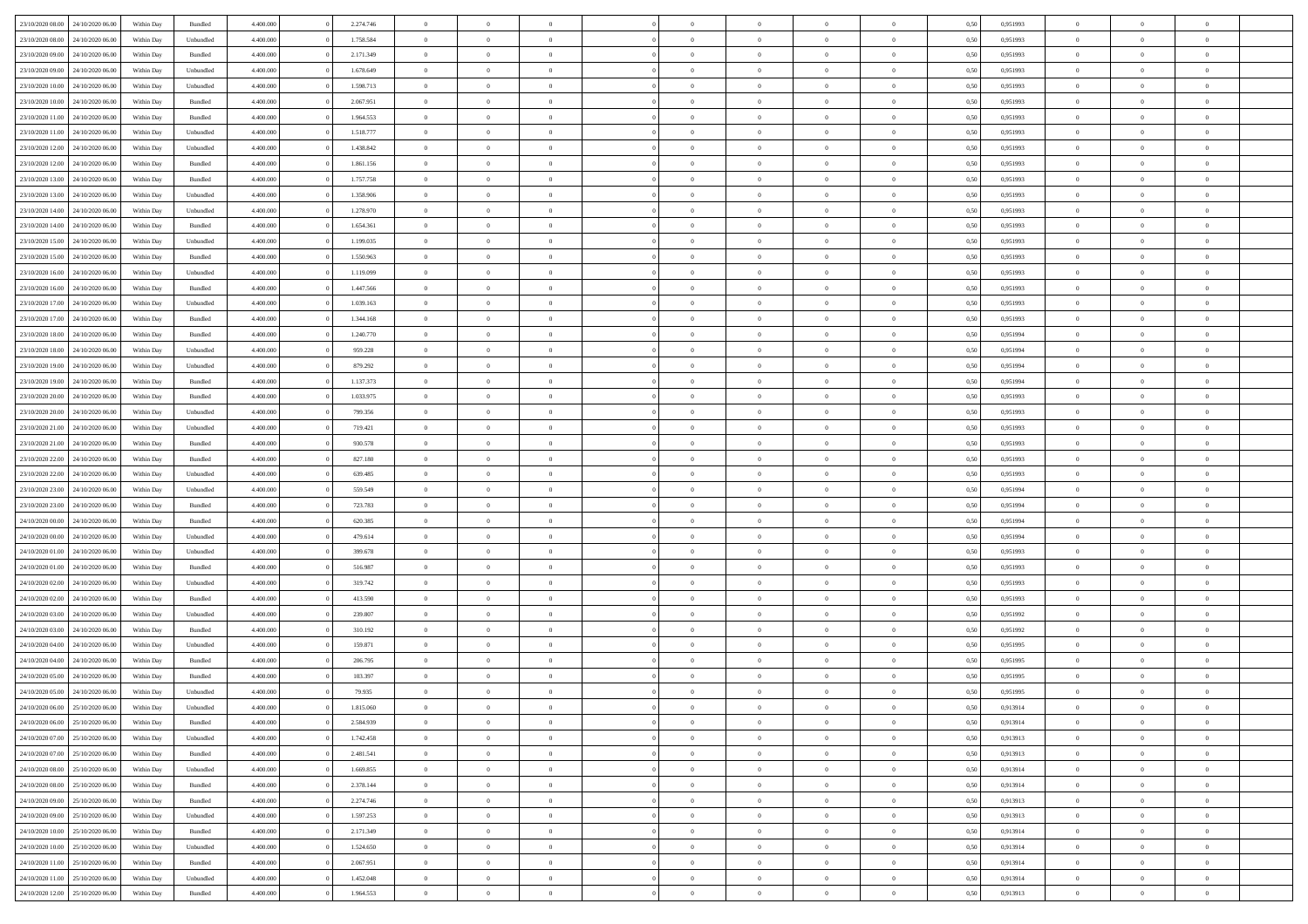| 23/10/2020 08:00                  | 24/10/2020 06.00 | Within Dav | Bundled            | 4.400.000 | 2.274.746 | $\overline{0}$ | $\theta$       |                | $\Omega$       | $\Omega$       | $\theta$       | $\theta$       | 0,50 | 0,951993 | $\theta$       | $\overline{0}$ | $\overline{0}$ |  |
|-----------------------------------|------------------|------------|--------------------|-----------|-----------|----------------|----------------|----------------|----------------|----------------|----------------|----------------|------|----------|----------------|----------------|----------------|--|
| 23/10/2020 08:00                  | 24/10/2020 06.00 | Within Day | Unbundled          | 4.400.000 | 1.758.584 | $\overline{0}$ | $\theta$       | $\overline{0}$ | $\overline{0}$ | $\bf{0}$       | $\overline{0}$ | $\bf{0}$       | 0,50 | 0,951993 | $\theta$       | $\overline{0}$ | $\overline{0}$ |  |
| 23/10/2020 09:00                  | 24/10/2020 06.00 | Within Day | Bundled            | 4.400.000 | 2.171.349 | $\overline{0}$ | $\bf{0}$       | $\overline{0}$ | $\bf{0}$       | $\bf{0}$       | $\bf{0}$       | $\mathbf{0}$   | 0,50 | 0,951993 | $\overline{0}$ | $\overline{0}$ | $\overline{0}$ |  |
|                                   |                  |            |                    |           |           |                |                |                |                |                |                |                |      |          | $\theta$       |                |                |  |
| 23/10/2020 09:00                  | 24/10/2020 06.00 | Within Dav | Unbundled          | 4.400.000 | 1.678.649 | $\overline{0}$ | $\overline{0}$ | $\overline{0}$ | $\overline{0}$ | $\bf{0}$       | $\overline{0}$ | $\overline{0}$ | 0.50 | 0.951993 |                | $\overline{0}$ | $\overline{0}$ |  |
| 23/10/2020 10:00                  | 24/10/2020 06.00 | Within Day | Unbundled          | 4.400.000 | 1.598.713 | $\overline{0}$ | $\theta$       | $\overline{0}$ | $\overline{0}$ | $\bf{0}$       | $\overline{0}$ | $\bf{0}$       | 0,50 | 0,951993 | $\theta$       | $\overline{0}$ | $\overline{0}$ |  |
| 23/10/2020 10:00                  | 24/10/2020 06.00 | Within Day | Bundled            | 4.400.000 | 2.067.951 | $\overline{0}$ | $\overline{0}$ | $\overline{0}$ | $\bf{0}$       | $\overline{0}$ | $\overline{0}$ | $\mathbf{0}$   | 0,50 | 0,951993 | $\overline{0}$ | $\overline{0}$ | $\bf{0}$       |  |
| 23/10/2020 11:00                  | 24/10/2020 06.00 | Within Dav | Bundled            | 4.400.000 | 1.964.553 | $\overline{0}$ | $\overline{0}$ | $\overline{0}$ | $\overline{0}$ | $\overline{0}$ | $\overline{0}$ | $\overline{0}$ | 0.50 | 0.951993 | $\theta$       | $\overline{0}$ | $\overline{0}$ |  |
|                                   |                  |            |                    |           |           |                |                |                |                |                |                |                |      |          |                |                |                |  |
| 23/10/2020 11:00                  | 24/10/2020 06.00 | Within Day | Unbundled          | 4.400.000 | 1.518.777 | $\overline{0}$ | $\theta$       | $\overline{0}$ | $\overline{0}$ | $\bf{0}$       | $\overline{0}$ | $\bf{0}$       | 0,50 | 0,951993 | $\theta$       | $\theta$       | $\overline{0}$ |  |
| 23/10/2020 12:00                  | 24/10/2020 06.00 | Within Day | Unbundled          | 4.400.000 | 1.438.842 | $\overline{0}$ | $\overline{0}$ | $\overline{0}$ | $\bf{0}$       | $\bf{0}$       | $\bf{0}$       | $\bf{0}$       | 0,50 | 0,951993 | $\,0\,$        | $\overline{0}$ | $\overline{0}$ |  |
| 23/10/2020 12:00                  | 24/10/2020 06.00 | Within Dav | Bundled            | 4.400.000 | 1.861.156 | $\overline{0}$ | $\overline{0}$ | $\overline{0}$ | $\overline{0}$ | $\overline{0}$ | $\overline{0}$ | $\overline{0}$ | 0.50 | 0.951993 | $\theta$       | $\overline{0}$ | $\overline{0}$ |  |
| 23/10/2020 13:00                  | 24/10/2020 06.00 | Within Day | Bundled            | 4.400.000 | 1.757.758 | $\overline{0}$ | $\theta$       | $\overline{0}$ | $\overline{0}$ | $\bf{0}$       | $\overline{0}$ |                |      | 0,951993 | $\,$ 0 $\,$    | $\overline{0}$ | $\overline{0}$ |  |
|                                   |                  |            |                    |           |           |                |                |                |                |                |                | $\bf{0}$       | 0,50 |          |                |                |                |  |
| 23/10/2020 13:00                  | 24/10/2020 06.00 | Within Day | Unbundled          | 4.400.000 | 1.358.906 | $\overline{0}$ | $\bf{0}$       | $\overline{0}$ | $\bf{0}$       | $\bf{0}$       | $\bf{0}$       | $\mathbf{0}$   | 0,50 | 0,951993 | $\overline{0}$ | $\overline{0}$ | $\bf{0}$       |  |
| 23/10/2020 14:00                  | 24/10/2020 06.00 | Within Day | Unbundled          | 4.400.000 | 1.278.970 | $\overline{0}$ | $\overline{0}$ | $\overline{0}$ | $\overline{0}$ | $\bf{0}$       | $\overline{0}$ | $\overline{0}$ | 0.50 | 0.951993 | $\theta$       | $\theta$       | $\overline{0}$ |  |
| 23/10/2020 14:00                  | 24/10/2020 06.00 | Within Day | Bundled            | 4.400.000 | 1.654.361 | $\overline{0}$ | $\theta$       | $\overline{0}$ | $\overline{0}$ | $\bf{0}$       | $\overline{0}$ | $\bf{0}$       | 0,50 | 0,951993 | $\theta$       | $\overline{0}$ | $\overline{0}$ |  |
|                                   |                  |            |                    |           |           |                |                |                |                |                |                |                |      |          |                |                |                |  |
| 23/10/2020 15:00                  | 24/10/2020 06.00 | Within Day | Unbundled          | 4.400.000 | 1.199.035 | $\overline{0}$ | $\overline{0}$ | $\overline{0}$ | $\bf{0}$       | $\overline{0}$ | $\overline{0}$ | $\mathbf{0}$   | 0,50 | 0,951993 | $\overline{0}$ | $\overline{0}$ | $\bf{0}$       |  |
| 23/10/2020 15:00                  | 24/10/2020 06.00 | Within Dav | Bundled            | 4.400.000 | 1.550.963 | $\overline{0}$ | $\overline{0}$ | $\overline{0}$ | $\overline{0}$ | $\overline{0}$ | $\overline{0}$ | $\overline{0}$ | 0.50 | 0.951993 | $\theta$       | $\overline{0}$ | $\overline{0}$ |  |
| 23/10/2020 16:00                  | 24/10/2020 06.00 | Within Day | Unbundled          | 4.400.000 | 1.119.099 | $\overline{0}$ | $\theta$       | $\overline{0}$ | $\overline{0}$ | $\bf{0}$       | $\overline{0}$ | $\bf{0}$       | 0,50 | 0,951993 | $\theta$       | $\overline{0}$ | $\overline{0}$ |  |
| 23/10/2020 16:00                  | 24/10/2020 06.00 | Within Day | Bundled            | 4.400.000 | 1.447.566 | $\overline{0}$ | $\overline{0}$ | $\overline{0}$ | $\bf{0}$       | $\bf{0}$       | $\bf{0}$       | $\bf{0}$       | 0,50 | 0,951993 | $\bf{0}$       | $\overline{0}$ | $\overline{0}$ |  |
|                                   |                  |            |                    |           |           |                |                |                |                |                |                |                |      |          |                |                |                |  |
| 23/10/2020 17:00                  | 24/10/2020 06.00 | Within Day | Unbundled          | 4.400.000 | 1.039.163 | $\overline{0}$ | $\overline{0}$ | $\overline{0}$ | $\overline{0}$ | $\overline{0}$ | $\overline{0}$ | $\overline{0}$ | 0.50 | 0.951993 | $\theta$       | $\overline{0}$ | $\overline{0}$ |  |
| 23/10/2020 17.00                  | 24/10/2020 06.00 | Within Day | Bundled            | 4.400.000 | 1.344.168 | $\overline{0}$ | $\theta$       | $\overline{0}$ | $\overline{0}$ | $\bf{0}$       | $\overline{0}$ | $\bf{0}$       | 0,50 | 0,951993 | $\,$ 0 $\,$    | $\overline{0}$ | $\overline{0}$ |  |
| 23/10/2020 18:00                  | 24/10/2020 06.00 | Within Day | Bundled            | 4.400.000 | 1.240.770 | $\overline{0}$ | $\overline{0}$ | $\overline{0}$ | $\bf{0}$       | $\bf{0}$       | $\bf{0}$       | $\bf{0}$       | 0,50 | 0,951994 | $\overline{0}$ | $\overline{0}$ | $\bf{0}$       |  |
| 23/10/2020 18:00                  | 24/10/2020 06.00 | Within Day | Unbundled          | 4.400.000 | 959.228   | $\overline{0}$ | $\overline{0}$ | $\overline{0}$ | $\overline{0}$ | $\bf{0}$       | $\overline{0}$ | $\overline{0}$ | 0.50 | 0.951994 | $\theta$       | $\overline{0}$ | $\overline{0}$ |  |
|                                   |                  |            |                    |           |           |                |                |                |                |                |                |                |      |          |                |                |                |  |
| 23/10/2020 19:00                  | 24/10/2020 06.00 | Within Day | Unbundled          | 4.400.000 | 879.292   | $\overline{0}$ | $\theta$       | $\overline{0}$ | $\overline{0}$ | $\bf{0}$       | $\overline{0}$ | $\bf{0}$       | 0,50 | 0,951994 | $\,$ 0 $\,$    | $\overline{0}$ | $\overline{0}$ |  |
| 23/10/2020 19:00                  | 24/10/2020 06.00 | Within Day | Bundled            | 4.400.000 | 1.137.373 | $\overline{0}$ | $\overline{0}$ | $\overline{0}$ | $\overline{0}$ | $\overline{0}$ | $\overline{0}$ | $\mathbf{0}$   | 0,50 | 0,951994 | $\overline{0}$ | $\overline{0}$ | $\bf{0}$       |  |
| 23/10/2020 20:00                  | 24/10/2020 06.00 | Within Dav | Bundled            | 4.400.000 | 1.033.975 | $\overline{0}$ | $\overline{0}$ | $\overline{0}$ | $\overline{0}$ | $\overline{0}$ | $\overline{0}$ | $\overline{0}$ | 0.50 | 0.951993 | $\overline{0}$ | $\overline{0}$ | $\overline{0}$ |  |
| 23/10/2020 20.00                  | 24/10/2020 06.00 | Within Day | Unbundled          | 4.400.000 | 799.356   | $\overline{0}$ | $\theta$       | $\overline{0}$ | $\overline{0}$ | $\bf{0}$       | $\overline{0}$ | $\bf{0}$       | 0,50 | 0,951993 | $\theta$       | $\overline{0}$ | $\overline{0}$ |  |
|                                   |                  |            |                    |           |           |                |                |                |                |                |                |                |      |          |                |                |                |  |
| 23/10/2020 21:00                  | 24/10/2020 06.00 | Within Day | Unbundled          | 4.400.000 | 719.421   | $\overline{0}$ | $\overline{0}$ | $\overline{0}$ | $\overline{0}$ | $\bf{0}$       | $\overline{0}$ | $\bf{0}$       | 0,50 | 0,951993 | $\,0\,$        | $\overline{0}$ | $\overline{0}$ |  |
| 23/10/2020 21:00                  | 24/10/2020 06.00 | Within Day | Bundled            | 4.400.000 | 930.578   | $\overline{0}$ | $\overline{0}$ | $\overline{0}$ | $\overline{0}$ | $\overline{0}$ | $\overline{0}$ | $\overline{0}$ | 0.50 | 0.951993 | $\theta$       | $\overline{0}$ | $\overline{0}$ |  |
| 23/10/2020 22.00                  | 24/10/2020 06.00 | Within Day | Bundled            | 4.400.000 | 827.180   | $\overline{0}$ | $\theta$       | $\overline{0}$ | $\overline{0}$ | $\bf{0}$       | $\overline{0}$ | $\bf{0}$       | 0,50 | 0,951993 | $\,$ 0 $\,$    | $\overline{0}$ | $\overline{0}$ |  |
| 23/10/2020 22.00                  | 24/10/2020 06.00 | Within Day | Unbundled          | 4.400.000 | 639.485   | $\overline{0}$ | $\overline{0}$ | $\overline{0}$ | $\overline{0}$ | $\bf{0}$       | $\overline{0}$ | $\bf{0}$       | 0,50 | 0,951993 | $\overline{0}$ | $\overline{0}$ | $\bf{0}$       |  |
|                                   |                  |            |                    |           |           |                |                |                |                |                |                |                |      |          |                |                |                |  |
| 23/10/2020 23:00                  | 24/10/2020 06.00 | Within Day | Unbundled          | 4.400,000 | 559.549   | $\overline{0}$ | $\Omega$       | $\Omega$       | $\Omega$       | $\Omega$       | $\overline{0}$ | $\overline{0}$ | 0,50 | 0,951994 | $\,0\,$        | $\theta$       | $\theta$       |  |
| 23/10/2020 23.00                  | 24/10/2020 06.00 | Within Day | Bundled            | 4.400.000 | 723.783   | $\overline{0}$ | $\overline{0}$ | $\overline{0}$ | $\overline{0}$ | $\bf{0}$       | $\overline{0}$ | $\bf{0}$       | 0,50 | 0,951994 | $\,$ 0 $\,$    | $\overline{0}$ | $\overline{0}$ |  |
| 24/10/2020 00.00                  | 24/10/2020 06.00 | Within Day | Bundled            | 4.400.000 | 620.385   | $\overline{0}$ | $\overline{0}$ | $\overline{0}$ | $\overline{0}$ | $\overline{0}$ | $\overline{0}$ | $\mathbf{0}$   | 0,50 | 0,951994 | $\overline{0}$ | $\overline{0}$ | $\bf{0}$       |  |
| 24/10/2020 00:00                  | 24/10/2020 06.00 | Within Day | Unbundled          | 4.400,000 | 479.614   | $\overline{0}$ | $\Omega$       | $\Omega$       | $\Omega$       | $\bf{0}$       | $\overline{0}$ | $\overline{0}$ | 0.50 | 0,951994 | $\,0\,$        | $\theta$       | $\theta$       |  |
|                                   |                  |            |                    |           |           |                |                |                |                |                |                |                |      |          |                |                |                |  |
| 24/10/2020 01.00                  | 24/10/2020 06.00 | Within Day | Unbundled          | 4.400.000 | 399.678   | $\overline{0}$ | $\theta$       | $\overline{0}$ | $\overline{0}$ | $\bf{0}$       | $\overline{0}$ | $\bf{0}$       | 0,50 | 0,951993 | $\,$ 0 $\,$    | $\overline{0}$ | $\overline{0}$ |  |
| 24/10/2020 01:00                  | 24/10/2020 06.00 | Within Day | Bundled            | 4.400.000 | 516.987   | $\overline{0}$ | $\overline{0}$ | $\overline{0}$ | $\overline{0}$ | $\bf{0}$       | $\overline{0}$ | $\bf{0}$       | 0,50 | 0,951993 | $\bf{0}$       | $\overline{0}$ | $\bf{0}$       |  |
| 24/10/2020 02.00                  | 24/10/2020 06.00 | Within Day | Unbundled          | 4.400,000 | 319.742   | $\overline{0}$ | $\Omega$       | $\Omega$       | $\Omega$       | $\overline{0}$ | $\overline{0}$ | $\overline{0}$ | 0.50 | 0.951993 | $\,$ 0 $\,$    | $\theta$       | $\theta$       |  |
| 24/10/2020 02.00                  | 24/10/2020 06.00 | Within Day | Bundled            | 4.400.000 | 413.590   | $\overline{0}$ | $\overline{0}$ | $\overline{0}$ | $\overline{0}$ | $\,$ 0         | $\overline{0}$ | $\bf{0}$       | 0,50 | 0,951993 | $\,$ 0 $\,$    | $\overline{0}$ | $\overline{0}$ |  |
|                                   |                  |            |                    |           |           |                |                |                |                |                |                |                |      |          |                |                |                |  |
| 24/10/2020 03.00                  | 24/10/2020 06.00 | Within Day | Unbundled          | 4.400.000 | 239.807   | $\overline{0}$ | $\overline{0}$ | $\overline{0}$ | $\bf{0}$       | $\bf{0}$       | $\bf{0}$       | $\bf{0}$       | 0,50 | 0,951992 | $\bf{0}$       | $\overline{0}$ | $\bf{0}$       |  |
| 24/10/2020 03:00                  | 24/10/2020 06.00 | Within Day | $\mathbf B$ undled | 4.400,000 | 310.192   | $\overline{0}$ | $\Omega$       | $\overline{0}$ | $\Omega$       | $\overline{0}$ | $\overline{0}$ | $\overline{0}$ | 0,50 | 0,951992 | $\,0\,$        | $\theta$       | $\theta$       |  |
| 24/10/2020 04.00                  | 24/10/2020 06.00 | Within Day | Unbundled          | 4.400.000 | 159.871   | $\overline{0}$ | $\overline{0}$ | $\overline{0}$ | $\overline{0}$ | $\,$ 0         | $\overline{0}$ | $\bf{0}$       | 0,50 | 0,951995 | $\,$ 0 $\,$    | $\overline{0}$ | $\overline{0}$ |  |
| 24/10/2020 04.00                  | 24/10/2020 06.00 | Within Day | Bundled            | 4.400.000 | 206.795   | $\overline{0}$ | $\overline{0}$ | $\overline{0}$ | $\bf{0}$       | $\bf{0}$       | $\overline{0}$ | $\mathbf{0}$   | 0,50 | 0,951995 | $\bf{0}$       | $\overline{0}$ | $\bf{0}$       |  |
|                                   |                  |            |                    |           |           |                |                |                |                |                |                |                |      |          |                |                | $\theta$       |  |
| 24/10/2020 05:00                  | 24/10/2020 06.00 | Within Day | Bundled            | 4.400,000 | 103,397   | $\overline{0}$ | $\Omega$       | $\Omega$       | $\Omega$       | $\Omega$       | $\Omega$       | $\overline{0}$ | 0.50 | 0.951995 | $\theta$       | $\theta$       |                |  |
| 24/10/2020 05.00                  | 24/10/2020 06.00 | Within Day | Unbundled          | 4.400.000 | 79.935    | $\overline{0}$ | $\overline{0}$ | $\overline{0}$ | $\bf{0}$       | $\,$ 0         | $\bf{0}$       | $\bf{0}$       | 0,50 | 0,951995 | $\,0\,$        | $\,$ 0 $\,$    | $\overline{0}$ |  |
| 24/10/2020 06:00                  | 25/10/2020 06.00 | Within Day | Unbundled          | 4.400.000 | 1.815.060 | $\bf{0}$       | $\bf{0}$       |                |                | $\bf{0}$       |                |                | 0,50 | 0,913914 | $\bf{0}$       | $\overline{0}$ |                |  |
| 24/10/2020 06:00                  | 25/10/2020 06:00 | Within Day | Bundled            | 4.400.000 | 2.584.939 | $\overline{0}$ | $\overline{0}$ | $\overline{0}$ | $\Omega$       | $\theta$       | $\overline{0}$ | $\overline{0}$ | 0,50 | 0,913914 | $\theta$       | $\theta$       | $\theta$       |  |
|                                   |                  |            |                    |           |           |                |                |                |                |                |                |                |      |          |                |                |                |  |
| 24/10/2020 07.00                  | 25/10/2020 06.00 | Within Day | Unbundled          | 4.400.000 | 1.742.458 | $\overline{0}$ | $\,$ 0         | $\overline{0}$ | $\bf{0}$       | $\,$ 0 $\,$    | $\overline{0}$ | $\mathbf{0}$   | 0,50 | 0,913913 | $\,$ 0 $\,$    | $\,$ 0 $\,$    | $\,$ 0         |  |
| 24/10/2020 07.00                  | 25/10/2020 06.00 | Within Day | Bundled            | 4.400.000 | 2.481.541 | $\overline{0}$ | $\overline{0}$ | $\overline{0}$ | $\overline{0}$ | $\overline{0}$ | $\overline{0}$ | $\mathbf{0}$   | 0,50 | 0,913913 | $\overline{0}$ | $\bf{0}$       | $\bf{0}$       |  |
| 24/10/2020 08.00                  | 25/10/2020 06.00 | Within Day | Unbundled          | 4.400,000 | 1.669.855 | $\overline{0}$ | $\overline{0}$ | $\overline{0}$ | $\Omega$       | $\overline{0}$ | $\overline{0}$ | $\bf{0}$       | 0,50 | 0,913914 | $\overline{0}$ | $\theta$       | $\overline{0}$ |  |
| 24/10/2020 08:00                  | 25/10/2020 06.00 | Within Day | Bundled            | 4.400.000 | 2.378.144 | $\overline{0}$ | $\,$ 0         | $\overline{0}$ | $\overline{0}$ | $\,$ 0 $\,$    | $\overline{0}$ | $\bf{0}$       | 0,50 | 0,913914 | $\,$ 0 $\,$    | $\overline{0}$ | $\overline{0}$ |  |
|                                   |                  |            |                    |           |           |                |                |                |                |                |                |                |      |          |                |                |                |  |
| 24/10/2020 09:00                  | 25/10/2020 06.00 | Within Day | Bundled            | 4.400.000 | 2.274.746 | $\overline{0}$ | $\overline{0}$ | $\overline{0}$ | $\overline{0}$ | $\overline{0}$ | $\overline{0}$ | $\mathbf{0}$   | 0,50 | 0,913913 | $\overline{0}$ | $\overline{0}$ | $\bf{0}$       |  |
| 24/10/2020 09:00                  | 25/10/2020 06:00 | Within Day | Unbundled          | 4.400.000 | 1.597.253 | $\overline{0}$ | $\overline{0}$ | $\overline{0}$ | $\Omega$       | $\overline{0}$ | $\overline{0}$ | $\bf{0}$       | 0.50 | 0,913913 | $\overline{0}$ | $\theta$       | $\overline{0}$ |  |
| 24/10/2020 10:00                  | 25/10/2020 06.00 | Within Day | Bundled            | 4.400.000 | 2.171.349 | $\overline{0}$ | $\,$ 0         | $\overline{0}$ | $\bf{0}$       | $\bf{0}$       | $\bf{0}$       | $\bf{0}$       | 0,50 | 0,913914 | $\,$ 0 $\,$    | $\overline{0}$ | $\overline{0}$ |  |
| 24/10/2020 10:00                  | 25/10/2020 06.00 | Within Day | Unbundled          | 4.400.000 | 1.524.650 | $\overline{0}$ | $\bf{0}$       | $\overline{0}$ | $\overline{0}$ | $\overline{0}$ | $\bf{0}$       | $\mathbf{0}$   | 0,50 | 0,913914 | $\overline{0}$ | $\overline{0}$ | $\bf{0}$       |  |
|                                   | 25/10/2020 06:00 |            |                    | 4.400,000 |           | $\overline{0}$ | $\overline{0}$ |                | $\Omega$       | $\overline{0}$ | $\overline{0}$ |                |      |          |                | $\overline{0}$ | $\overline{0}$ |  |
| 24/10/2020 11:00                  |                  | Within Day | Bundled            |           | 2.067.951 |                |                | $\overline{0}$ |                |                |                | $\bf{0}$       | 0.50 | 0,913914 | $\overline{0}$ |                |                |  |
| 24/10/2020 11:00                  | 25/10/2020 06.00 | Within Day | Unbundled          | 4.400.000 | 1.452.048 | $\overline{0}$ | $\bf{0}$       | $\overline{0}$ | $\overline{0}$ | $\bf{0}$       | $\bf{0}$       | $\mathbf{0}$   | 0,50 | 0,913914 | $\,$ 0 $\,$    | $\,$ 0 $\,$    | $\bf{0}$       |  |
| 24/10/2020 12.00 25/10/2020 06.00 |                  | Within Day | Bundled            | 4.400.000 | 1.964.553 | $\overline{0}$ | $\overline{0}$ | $\overline{0}$ | $\overline{0}$ | $\bf{0}$       | $\bf{0}$       | $\mathbf{0}$   | 0,50 | 0,913913 | $\overline{0}$ | $\bf{0}$       | $\bf{0}$       |  |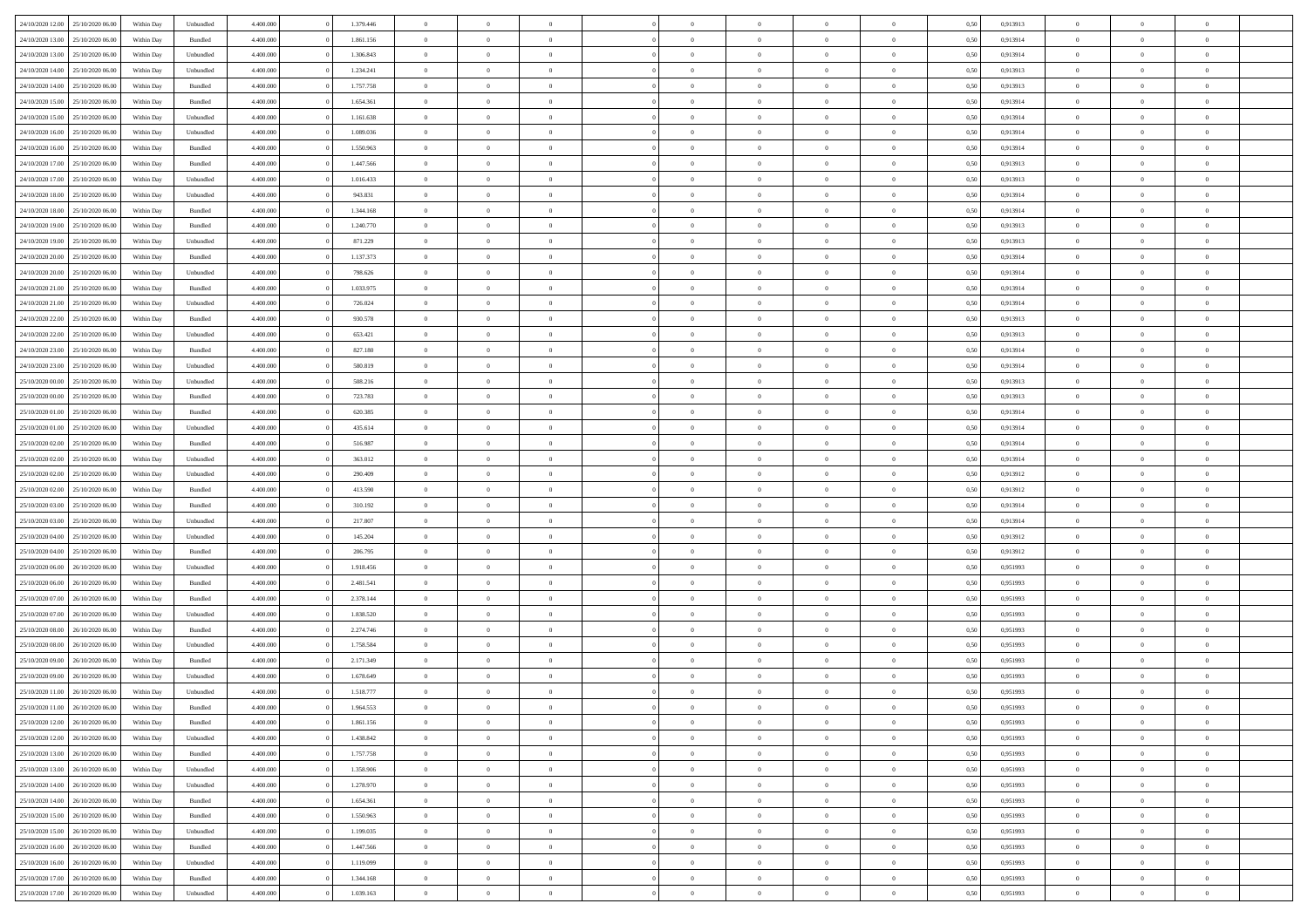|                  |                  |            |                    |           |           | $\overline{0}$ | $\Omega$       |                |                | $\Omega$       | $\Omega$       | $\theta$       |      |          | $\theta$       |                | $\theta$       |  |
|------------------|------------------|------------|--------------------|-----------|-----------|----------------|----------------|----------------|----------------|----------------|----------------|----------------|------|----------|----------------|----------------|----------------|--|
| 24/10/2020 12:00 | 25/10/2020 06:00 | Within Dav | Unbundled          | 4.400.000 | 1.379.446 |                |                |                | $\Omega$       |                |                |                | 0.50 | 0.913913 |                | $\theta$       |                |  |
| 24/10/2020 13:00 | 25/10/2020 06.00 | Within Day | Bundled            | 4.400.000 | 1.861.156 | $\overline{0}$ | $\theta$       | $\overline{0}$ | $\overline{0}$ | $\bf{0}$       | $\overline{0}$ | $\bf{0}$       | 0,50 | 0,913914 | $\theta$       | $\overline{0}$ | $\overline{0}$ |  |
| 24/10/2020 13:00 | 25/10/2020 06.00 | Within Day | Unbundled          | 4.400.000 | 1.306.843 | $\overline{0}$ | $\overline{0}$ | $\overline{0}$ | $\bf{0}$       | $\bf{0}$       | $\bf{0}$       | $\bf{0}$       | 0,50 | 0,913914 | $\bf{0}$       | $\overline{0}$ | $\overline{0}$ |  |
| 24/10/2020 14:00 | 25/10/2020 06:00 | Within Dav | Unbundled          | 4.400.000 | 1.234.241 | $\overline{0}$ | $\overline{0}$ | $\overline{0}$ | $\overline{0}$ | $\bf{0}$       | $\overline{0}$ | $\overline{0}$ | 0.50 | 0.913913 | $\theta$       | $\theta$       | $\overline{0}$ |  |
| 24/10/2020 14:00 | 25/10/2020 06.00 | Within Day | Bundled            | 4.400.000 | 1.757.758 | $\overline{0}$ | $\theta$       | $\overline{0}$ | $\overline{0}$ | $\bf{0}$       | $\overline{0}$ | $\bf{0}$       | 0,50 | 0,913913 | $\theta$       | $\overline{0}$ | $\overline{0}$ |  |
|                  |                  |            |                    |           |           |                | $\bf{0}$       |                |                |                |                |                |      |          |                | $\overline{0}$ | $\bf{0}$       |  |
| 24/10/2020 15:00 | 25/10/2020 06.00 | Within Day | Bundled            | 4.400.000 | 1.654.361 | $\overline{0}$ |                | $\overline{0}$ | $\bf{0}$       | $\overline{0}$ | $\overline{0}$ | $\mathbf{0}$   | 0,50 | 0,913914 | $\bf{0}$       |                |                |  |
| 24/10/2020 15:00 | 25/10/2020 06.00 | Within Dav | Unbundled          | 4.400.000 | 1.161.638 | $\overline{0}$ | $\overline{0}$ | $\overline{0}$ | $\overline{0}$ | $\overline{0}$ | $\overline{0}$ | $\overline{0}$ | 0.50 | 0.913914 | $\theta$       | $\overline{0}$ | $\overline{0}$ |  |
| 24/10/2020 16.00 | 25/10/2020 06.00 | Within Day | Unbundled          | 4.400.000 | 1.089.036 | $\overline{0}$ | $\theta$       | $\overline{0}$ | $\overline{0}$ | $\bf{0}$       | $\overline{0}$ | $\bf{0}$       | 0,50 | 0,913914 | $\theta$       | $\theta$       | $\overline{0}$ |  |
| 24/10/2020 16:00 | 25/10/2020 06.00 | Within Day | Bundled            | 4.400.000 | 1.550.963 | $\overline{0}$ | $\overline{0}$ | $\overline{0}$ | $\bf{0}$       | $\bf{0}$       | $\bf{0}$       | $\bf{0}$       | 0,50 | 0,913914 | $\,0\,$        | $\overline{0}$ | $\overline{0}$ |  |
| 24/10/2020 17:00 | 25/10/2020 06.00 | Within Dav | Bundled            | 4.400.000 | 1.447.566 | $\overline{0}$ | $\overline{0}$ | $\overline{0}$ | $\overline{0}$ | $\overline{0}$ | $\overline{0}$ | $\overline{0}$ | 0.50 | 0.913913 | $\theta$       | $\overline{0}$ | $\overline{0}$ |  |
| 24/10/2020 17.00 | 25/10/2020 06.00 | Within Day | Unbundled          | 4.400.000 | 1.016.433 | $\overline{0}$ | $\theta$       | $\overline{0}$ | $\overline{0}$ | $\bf{0}$       | $\overline{0}$ | $\bf{0}$       | 0,50 | 0,913913 | $\,$ 0 $\,$    | $\overline{0}$ | $\overline{0}$ |  |
| 24/10/2020 18:00 | 25/10/2020 06.00 | Within Day | Unbundled          | 4.400.000 | 943.831   | $\overline{0}$ | $\overline{0}$ | $\overline{0}$ | $\overline{0}$ | $\bf{0}$       | $\overline{0}$ | $\bf{0}$       | 0,50 | 0,913914 | $\overline{0}$ | $\overline{0}$ | $\overline{0}$ |  |
| 24/10/2020 18:00 | 25/10/2020 06:00 | Within Day | Bundled            | 4.400.000 | 1.344.168 | $\overline{0}$ | $\overline{0}$ | $\overline{0}$ | $\overline{0}$ | $\bf{0}$       | $\overline{0}$ | $\overline{0}$ | 0.50 | 0.913914 | $\theta$       | $\theta$       | $\overline{0}$ |  |
|                  |                  |            |                    |           |           |                |                |                |                |                |                |                |      |          |                |                |                |  |
| 24/10/2020 19:00 | 25/10/2020 06.00 | Within Day | Bundled            | 4.400.000 | 1.240.770 | $\overline{0}$ | $\theta$       | $\overline{0}$ | $\overline{0}$ | $\bf{0}$       | $\overline{0}$ | $\bf{0}$       | 0,50 | 0,913913 | $\theta$       | $\overline{0}$ | $\overline{0}$ |  |
| 24/10/2020 19:00 | 25/10/2020 06.00 | Within Day | Unbundled          | 4.400.000 | 871.229   | $\overline{0}$ | $\bf{0}$       | $\overline{0}$ | $\overline{0}$ | $\overline{0}$ | $\overline{0}$ | $\mathbf{0}$   | 0,50 | 0,913913 | $\overline{0}$ | $\overline{0}$ | $\bf{0}$       |  |
| 24/10/2020 20:00 | 25/10/2020 06:00 | Within Dav | Bundled            | 4.400.000 | 1.137.373 | $\overline{0}$ | $\overline{0}$ | $\overline{0}$ | $\overline{0}$ | $\overline{0}$ | $\overline{0}$ | $\overline{0}$ | 0.50 | 0.913914 | $\theta$       | $\overline{0}$ | $\overline{0}$ |  |
| 24/10/2020 20.00 | 25/10/2020 06.00 | Within Day | Unbundled          | 4.400.000 | 798.626   | $\overline{0}$ | $\theta$       | $\overline{0}$ | $\overline{0}$ | $\bf{0}$       | $\overline{0}$ | $\bf{0}$       | 0,50 | 0,913914 | $\,$ 0 $\,$    | $\theta$       | $\overline{0}$ |  |
| 24/10/2020 21:00 | 25/10/2020 06.00 | Within Day | Bundled            | 4.400.000 | 1.033.975 | $\overline{0}$ | $\overline{0}$ | $\overline{0}$ | $\overline{0}$ | $\bf{0}$       | $\overline{0}$ | $\bf{0}$       | 0,50 | 0,913914 | $\,0\,$        | $\overline{0}$ | $\overline{0}$ |  |
| 24/10/2020 21:00 | 25/10/2020 06:00 | Within Day | Unbundled          | 4.400.000 | 726.024   | $\overline{0}$ | $\overline{0}$ | $\overline{0}$ | $\overline{0}$ | $\overline{0}$ | $\overline{0}$ | $\overline{0}$ | 0.50 | 0.913914 | $\theta$       | $\overline{0}$ | $\overline{0}$ |  |
| 24/10/2020 22.00 | 25/10/2020 06.00 | Within Day | Bundled            | 4.400.000 | 930.578   | $\overline{0}$ | $\theta$       | $\overline{0}$ | $\overline{0}$ | $\bf{0}$       | $\overline{0}$ | $\bf{0}$       | 0,50 | 0,913913 | $\,$ 0 $\,$    | $\theta$       | $\overline{0}$ |  |
|                  |                  |            |                    |           |           |                |                |                |                |                |                |                |      |          |                |                |                |  |
| 24/10/2020 22.00 | 25/10/2020 06.00 | Within Day | Unbundled          | 4.400.000 | 653.421   | $\overline{0}$ | $\overline{0}$ | $\overline{0}$ | $\overline{0}$ | $\bf{0}$       | $\overline{0}$ | $\bf{0}$       | 0,50 | 0,913913 | $\bf{0}$       | $\overline{0}$ | $\overline{0}$ |  |
| 24/10/2020 23.00 | 25/10/2020 06:00 | Within Day | Bundled            | 4.400.000 | 827.180   | $\overline{0}$ | $\overline{0}$ | $\overline{0}$ | $\overline{0}$ | $\bf{0}$       | $\overline{0}$ | $\overline{0}$ | 0.50 | 0.913914 | $\theta$       | $\overline{0}$ | $\overline{0}$ |  |
| 24/10/2020 23.00 | 25/10/2020 06.00 | Within Day | Unbundled          | 4.400.000 | 580.819   | $\overline{0}$ | $\theta$       | $\overline{0}$ | $\overline{0}$ | $\bf{0}$       | $\overline{0}$ | $\bf{0}$       | 0,50 | 0,913914 | $\,$ 0 $\,$    | $\overline{0}$ | $\overline{0}$ |  |
| 25/10/2020 00.00 | 25/10/2020 06.00 | Within Day | Unbundled          | 4.400.000 | 508.216   | $\overline{0}$ | $\overline{0}$ | $\overline{0}$ | $\overline{0}$ | $\overline{0}$ | $\overline{0}$ | $\mathbf{0}$   | 0,50 | 0,913913 | $\overline{0}$ | $\overline{0}$ | $\bf{0}$       |  |
| 25/10/2020 00:00 | 25/10/2020 06.00 | Within Dav | Bundled            | 4.400.000 | 723.783   | $\overline{0}$ | $\overline{0}$ | $\overline{0}$ | $\overline{0}$ | $\overline{0}$ | $\overline{0}$ | $\overline{0}$ | 0.50 | 0.913913 | $\theta$       | $\overline{0}$ | $\overline{0}$ |  |
| 25/10/2020 01.00 | 25/10/2020 06.00 | Within Day | Bundled            | 4.400.000 | 620.385   | $\overline{0}$ | $\theta$       | $\overline{0}$ | $\overline{0}$ | $\bf{0}$       | $\overline{0}$ | $\bf{0}$       | 0,50 | 0,913914 | $\theta$       | $\theta$       | $\overline{0}$ |  |
|                  |                  |            |                    |           |           |                |                |                |                |                |                |                |      |          |                |                |                |  |
| 25/10/2020 01:00 | 25/10/2020 06.00 | Within Day | Unbundled          | 4.400.000 | 435.614   | $\overline{0}$ | $\overline{0}$ | $\overline{0}$ | $\overline{0}$ | $\bf{0}$       | $\overline{0}$ | $\bf{0}$       | 0,50 | 0,913914 | $\,0\,$        | $\overline{0}$ | $\overline{0}$ |  |
| 25/10/2020 02:00 | 25/10/2020 06:00 | Within Day | Bundled            | 4.400.000 | 516.987   | $\overline{0}$ | $\overline{0}$ | $\overline{0}$ | $\overline{0}$ | $\overline{0}$ | $\overline{0}$ | $\overline{0}$ | 0.50 | 0.913914 | $\theta$       | $\overline{0}$ | $\overline{0}$ |  |
| 25/10/2020 02.00 | 25/10/2020 06.00 | Within Day | Unbundled          | 4.400.000 | 363.012   | $\overline{0}$ | $\theta$       | $\overline{0}$ | $\overline{0}$ | $\bf{0}$       | $\overline{0}$ | $\bf{0}$       | 0,50 | 0,913914 | $\,$ 0 $\,$    | $\overline{0}$ | $\overline{0}$ |  |
| 25/10/2020 02.00 | 25/10/2020 06.00 | Within Day | Unbundled          | 4.400.000 | 290.409   | $\overline{0}$ | $\overline{0}$ | $\overline{0}$ | $\bf{0}$       | $\bf{0}$       | $\bf{0}$       | $\bf{0}$       | 0,50 | 0,913912 | $\overline{0}$ | $\overline{0}$ | $\overline{0}$ |  |
| 25/10/2020 02:00 | 25/10/2020 06.00 | Within Day | Bundled            | 4.400,000 | 413.590   | $\overline{0}$ | $\Omega$       | $\Omega$       | $\Omega$       | $\Omega$       | $\overline{0}$ | $\overline{0}$ | 0,50 | 0,913912 | $\,0\,$        | $\theta$       | $\theta$       |  |
| 25/10/2020 03.00 | 25/10/2020 06.00 | Within Day | Bundled            | 4.400.000 | 310.192   | $\overline{0}$ | $\theta$       | $\overline{0}$ | $\overline{0}$ | $\bf{0}$       | $\overline{0}$ | $\bf{0}$       | 0,50 | 0,913914 | $\,$ 0 $\,$    | $\theta$       | $\overline{0}$ |  |
| 25/10/2020 03:00 | 25/10/2020 06.00 | Within Day | Unbundled          | 4.400.000 | 217.807   | $\overline{0}$ | $\overline{0}$ | $\overline{0}$ | $\bf{0}$       | $\bf{0}$       | $\overline{0}$ | $\mathbf{0}$   | 0,50 | 0,913914 | $\overline{0}$ | $\overline{0}$ | $\bf{0}$       |  |
|                  | 25/10/2020 06:00 |            |                    | 4.400,000 |           | $\overline{0}$ | $\Omega$       | $\Omega$       | $\Omega$       | $\bf{0}$       | $\overline{0}$ | $\overline{0}$ | 0.50 |          | $\,0\,$        | $\theta$       | $\theta$       |  |
| 25/10/2020 04:00 |                  | Within Day | Unbundled          |           | 145.204   |                |                |                |                |                |                |                |      | 0,913912 |                |                |                |  |
| 25/10/2020 04.00 | 25/10/2020 06.00 | Within Day | Bundled            | 4.400.000 | 206.795   | $\overline{0}$ | $\theta$       | $\overline{0}$ | $\overline{0}$ | $\bf{0}$       | $\overline{0}$ | $\bf{0}$       | 0,50 | 0,913912 | $\,$ 0 $\,$    | $\overline{0}$ | $\overline{0}$ |  |
| 25/10/2020 06.00 | 26/10/2020 06.00 | Within Day | Unbundled          | 4.400.000 | 1.918.456 | $\overline{0}$ | $\overline{0}$ | $\overline{0}$ | $\bf{0}$       | $\bf{0}$       | $\bf{0}$       | $\bf{0}$       | 0,50 | 0,951993 | $\bf{0}$       | $\overline{0}$ | $\overline{0}$ |  |
| 25/10/2020 06:00 | 26/10/2020 06:00 | Within Day | Bundled            | 4.400,000 | 2.481.541 | $\overline{0}$ | $\Omega$       | $\Omega$       | $\Omega$       | $\theta$       | $\theta$       | $\overline{0}$ | 0.50 | 0,951993 | $\theta$       | $\theta$       | $\theta$       |  |
| 25/10/2020 07.00 | 26/10/2020 06.00 | Within Day | Bundled            | 4.400.000 | 2.378.144 | $\overline{0}$ | $\theta$       | $\overline{0}$ | $\overline{0}$ | $\bf{0}$       | $\overline{0}$ | $\bf{0}$       | 0,50 | 0,951993 | $\,$ 0 $\,$    | $\overline{0}$ | $\overline{0}$ |  |
| 25/10/2020 07.00 | 26/10/2020 06.00 | Within Day | Unbundled          | 4.400.000 | 1.838.520 | $\overline{0}$ | $\overline{0}$ | $\overline{0}$ | $\bf{0}$       | $\bf{0}$       | $\bf{0}$       | $\bf{0}$       | 0,50 | 0,951993 | $\bf{0}$       | $\overline{0}$ | $\overline{0}$ |  |
| 25/10/2020 08:00 | 26/10/2020 06.00 | Within Day | Bundled            | 4.400.000 | 2.274.746 | $\overline{0}$ | $\Omega$       | $\overline{0}$ | $\Omega$       | $\Omega$       | $\overline{0}$ | $\overline{0}$ | 0,50 | 0,951993 | $\,0\,$        | $\theta$       | $\theta$       |  |
| 25/10/2020 08:00 | 26/10/2020 06.00 | Within Day | Unbundled          | 4.400.000 | 1.758.584 | $\overline{0}$ | $\theta$       | $\overline{0}$ | $\overline{0}$ | $\,$ 0         | $\overline{0}$ | $\bf{0}$       | 0,50 | 0,951993 | $\,$ 0 $\,$    | $\overline{0}$ | $\overline{0}$ |  |
|                  |                  |            |                    |           |           |                |                |                |                |                |                |                |      |          |                |                |                |  |
| 25/10/2020 09:00 | 26/10/2020 06.00 | Within Day | Bundled            | 4.400.000 | 2.171.349 | $\overline{0}$ | $\overline{0}$ | $\overline{0}$ | $\overline{0}$ | $\bf{0}$       | $\overline{0}$ | $\mathbf{0}$   | 0,50 | 0,951993 | $\bf{0}$       | $\overline{0}$ | $\bf{0}$       |  |
| 25/10/2020 09:00 | 26/10/2020 06:00 | Within Day | Unbundled          | 4.400,000 | 1.678.649 | $\overline{0}$ | $\Omega$       | $\Omega$       | $\Omega$       | $\Omega$       | $\Omega$       | $\overline{0}$ | 0.50 | 0.951993 | $\theta$       | $\theta$       | $\theta$       |  |
| 25/10/2020 11:00 | 26/10/2020 06.00 | Within Day | Unbundled          | 4.400.000 | 1.518.777 | $\overline{0}$ | $\,$ 0 $\,$    | $\overline{0}$ | $\bf{0}$       | $\,$ 0         | $\overline{0}$ | $\bf{0}$       | 0,50 | 0,951993 | $\,0\,$        | $\overline{0}$ | $\overline{0}$ |  |
| 25/10/2020 11:00 | 26/10/2020 06.00 | Within Day | $\mathbf B$ undled | 4.400.000 | 1.964.553 | $\bf{0}$       | $\bf{0}$       |                |                |                |                |                | 0,50 | 0,951993 | $\bf{0}$       | $\overline{0}$ |                |  |
| 25/10/2020 12:00 | 26/10/2020 06:00 | Within Day | Bundled            | 4.400.000 | 1.861.156 | $\overline{0}$ | $\overline{0}$ | $\overline{0}$ | $\Omega$       | $\theta$       | $\overline{0}$ | $\overline{0}$ | 0,50 | 0.951993 | $\theta$       | $\theta$       | $\theta$       |  |
| 25/10/2020 12:00 | 26/10/2020 06.00 | Within Day | Unbundled          | 4.400.000 | 1.438.842 | $\overline{0}$ | $\,$ 0         | $\overline{0}$ | $\overline{0}$ | $\,$ 0 $\,$    | $\overline{0}$ | $\mathbf{0}$   | 0,50 | 0,951993 | $\,$ 0 $\,$    | $\,$ 0 $\,$    | $\,$ 0         |  |
| 25/10/2020 13:00 | 26/10/2020 06.00 | Within Day | Bundled            | 4.400.000 | 1.757.758 | $\overline{0}$ | $\overline{0}$ | $\overline{0}$ | $\overline{0}$ | $\overline{0}$ | $\overline{0}$ | $\mathbf{0}$   | 0,50 | 0,951993 | $\overline{0}$ | $\bf{0}$       | $\bf{0}$       |  |
| 25/10/2020 13:00 | 26/10/2020 06.00 | Within Day | Unbundled          | 4.400.000 | 1.358.906 | $\overline{0}$ | $\overline{0}$ | $\overline{0}$ | $\Omega$       | $\overline{0}$ | $\overline{0}$ | $\bf{0}$       | 0,50 | 0,951993 | $\bf{0}$       | $\theta$       | $\overline{0}$ |  |
|                  |                  |            |                    |           |           |                |                |                |                |                |                |                |      |          |                |                |                |  |
| 25/10/2020 14:00 | 26/10/2020 06.00 | Within Day | Unbundled          | 4.400.000 | 1.278.970 | $\overline{0}$ | $\,$ 0         | $\overline{0}$ | $\overline{0}$ | $\,$ 0 $\,$    | $\overline{0}$ | $\mathbf{0}$   | 0,50 | 0,951993 | $\,$ 0 $\,$    | $\overline{0}$ | $\overline{0}$ |  |
| 25/10/2020 14:00 | 26/10/2020 06.00 | Within Day | Bundled            | 4.400.000 | 1.654.361 | $\overline{0}$ | $\overline{0}$ | $\overline{0}$ | $\overline{0}$ | $\overline{0}$ | $\overline{0}$ | $\mathbf{0}$   | 0,50 | 0,951993 | $\overline{0}$ | $\overline{0}$ | $\bf{0}$       |  |
| 25/10/2020 15:00 | 26/10/2020 06.00 | Within Day | Bundled            | 4.400.000 | 1.550.963 | $\overline{0}$ | $\overline{0}$ | $\overline{0}$ | $\Omega$       | $\overline{0}$ | $\overline{0}$ | $\bf{0}$       | 0.50 | 0,951993 | $\overline{0}$ | $\theta$       | $\overline{0}$ |  |
| 25/10/2020 15:00 | 26/10/2020 06.00 | Within Day | Unbundled          | 4.400.000 | 1.199.035 | $\overline{0}$ | $\,$ 0         | $\overline{0}$ | $\overline{0}$ | $\bf{0}$       | $\overline{0}$ | $\bf{0}$       | 0,50 | 0,951993 | $\,$ 0 $\,$    | $\overline{0}$ | $\overline{0}$ |  |
| 25/10/2020 16:00 | 26/10/2020 06.00 | Within Day | Bundled            | 4.400.000 | 1.447.566 | $\overline{0}$ | $\bf{0}$       | $\overline{0}$ | $\overline{0}$ | $\overline{0}$ | $\overline{0}$ | $\mathbf{0}$   | 0,50 | 0,951993 | $\overline{0}$ | $\overline{0}$ | $\bf{0}$       |  |
| 25/10/2020 16.00 | 26/10/2020 06:00 | Within Day | Unbundled          | 4.400,000 | 1.119.099 | $\overline{0}$ | $\overline{0}$ | $\overline{0}$ | $\Omega$       | $\overline{0}$ | $\overline{0}$ | $\bf{0}$       | 0,50 | 0,951993 | $\overline{0}$ | $\theta$       | $\overline{0}$ |  |
| 25/10/2020 17.00 | 26/10/2020 06.00 | Within Day | Bundled            | 4.400.000 | 1.344.168 | $\overline{0}$ | $\bf{0}$       | $\overline{0}$ | $\overline{0}$ | $\bf{0}$       | $\overline{0}$ | $\mathbf{0}$   | 0,50 | 0,951993 | $\,$ 0 $\,$    | $\,$ 0 $\,$    | $\bf{0}$       |  |
|                  |                  |            |                    |           |           |                |                |                |                |                |                |                |      |          |                |                |                |  |
| 25/10/2020 17:00 | 26/10/2020 06:00 | Within Day | Unbundled          | 4.400.000 | 1.039.163 | $\overline{0}$ | $\overline{0}$ | $\overline{0}$ | $\overline{0}$ | $\bf{0}$       | $\overline{0}$ | $\mathbf{0}$   | 0,50 | 0,951993 | $\overline{0}$ | $\bf{0}$       | $\bf{0}$       |  |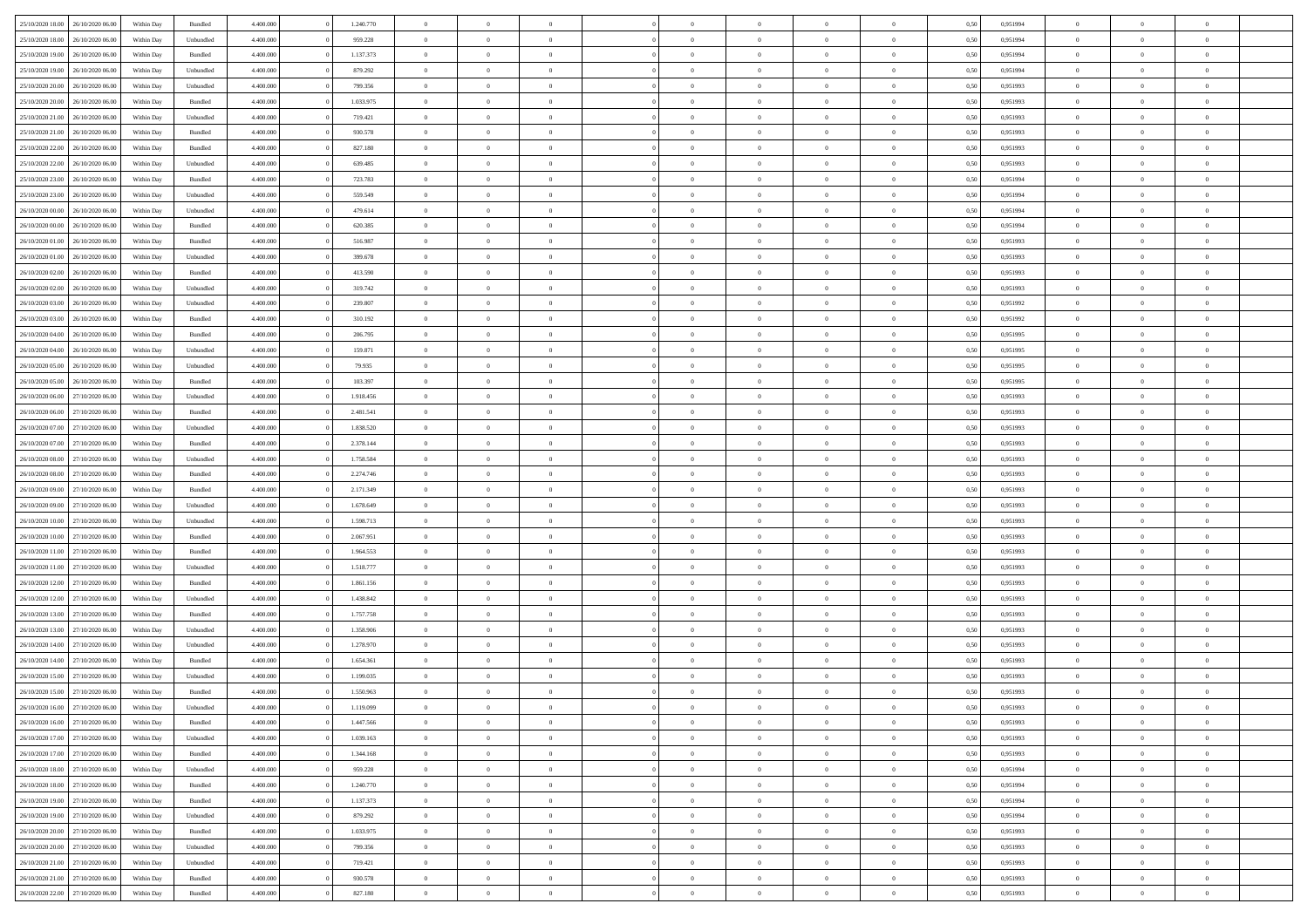| 25/10/2020 18:00                  | 26/10/2020 06.00 | Within Dav | Bundled   | 4.400.000 | 1.240.770 | $\overline{0}$ | $\Omega$       |                | $\Omega$       | $\Omega$       | $\Omega$       | $\theta$       | 0,50 | 0,951994 | $\theta$       | $\theta$       | $\theta$       |  |
|-----------------------------------|------------------|------------|-----------|-----------|-----------|----------------|----------------|----------------|----------------|----------------|----------------|----------------|------|----------|----------------|----------------|----------------|--|
| 25/10/2020 18:00                  | 26/10/2020 06.00 | Within Day | Unbundled | 4.400.000 | 959.228   | $\overline{0}$ | $\theta$       | $\overline{0}$ | $\overline{0}$ | $\bf{0}$       | $\overline{0}$ | $\bf{0}$       | 0,50 | 0,951994 | $\theta$       | $\theta$       | $\overline{0}$ |  |
| 25/10/2020 19:00                  | 26/10/2020 06.00 | Within Day | Bundled   | 4.400.000 | 1.137.373 | $\overline{0}$ | $\overline{0}$ | $\overline{0}$ | $\bf{0}$       | $\bf{0}$       | $\bf{0}$       | $\bf{0}$       | 0,50 | 0,951994 | $\overline{0}$ | $\overline{0}$ | $\overline{0}$ |  |
| 25/10/2020 19:00                  | 26/10/2020 06:00 | Within Dav | Unbundled | 4.400.000 | 879.292   | $\overline{0}$ | $\overline{0}$ | $\overline{0}$ | $\overline{0}$ | $\bf{0}$       | $\overline{0}$ | $\overline{0}$ | 0.50 | 0.951994 | $\theta$       | $\theta$       | $\overline{0}$ |  |
| 25/10/2020 20.00                  | 26/10/2020 06.00 | Within Day | Unbundled | 4.400.000 | 799.356   | $\overline{0}$ | $\theta$       | $\overline{0}$ | $\overline{0}$ | $\bf{0}$       | $\overline{0}$ | $\bf{0}$       | 0,50 | 0,951993 | $\theta$       | $\theta$       | $\overline{0}$ |  |
|                                   |                  |            |           |           |           |                |                |                |                |                |                |                |      |          |                |                |                |  |
| 25/10/2020 20.00                  | 26/10/2020 06.00 | Within Day | Bundled   | 4.400.000 | 1.033.975 | $\overline{0}$ | $\overline{0}$ | $\overline{0}$ | $\bf{0}$       | $\overline{0}$ | $\overline{0}$ | $\mathbf{0}$   | 0,50 | 0,951993 | $\overline{0}$ | $\overline{0}$ | $\bf{0}$       |  |
| 25/10/2020 21:00                  | 26/10/2020 06:00 | Within Dav | Unbundled | 4.400.000 | 719.421   | $\overline{0}$ | $\overline{0}$ | $\overline{0}$ | $\overline{0}$ | $\overline{0}$ | $\overline{0}$ | $\overline{0}$ | 0.50 | 0.951993 | $\theta$       | $\overline{0}$ | $\overline{0}$ |  |
| 25/10/2020 21.00                  | 26/10/2020 06.00 | Within Day | Bundled   | 4.400.000 | 930.578   | $\overline{0}$ | $\theta$       | $\overline{0}$ | $\overline{0}$ | $\bf{0}$       | $\overline{0}$ | $\bf{0}$       | 0,50 | 0,951993 | $\theta$       | $\theta$       | $\overline{0}$ |  |
| 25/10/2020 22.00                  | 26/10/2020 06.00 | Within Day | Bundled   | 4.400.000 | 827.180   | $\overline{0}$ | $\overline{0}$ | $\overline{0}$ | $\bf{0}$       | $\bf{0}$       | $\bf{0}$       | $\bf{0}$       | 0,50 | 0,951993 | $\,0\,$        | $\overline{0}$ | $\overline{0}$ |  |
| 25/10/2020 22.00                  | 26/10/2020 06:00 | Within Dav | Unbundled | 4.400.000 | 639.485   | $\overline{0}$ | $\overline{0}$ | $\overline{0}$ | $\overline{0}$ | $\overline{0}$ | $\overline{0}$ | $\overline{0}$ | 0.50 | 0.951993 | $\theta$       | $\overline{0}$ | $\overline{0}$ |  |
| 25/10/2020 23.00                  | 26/10/2020 06.00 | Within Day | Bundled   | 4.400.000 | 723.783   | $\overline{0}$ | $\theta$       | $\overline{0}$ | $\overline{0}$ | $\bf{0}$       | $\overline{0}$ | $\bf{0}$       | 0,50 | 0,951994 | $\,$ 0 $\,$    | $\overline{0}$ | $\overline{0}$ |  |
| 25/10/2020 23.00                  | 26/10/2020 06.00 | Within Day | Unbundled | 4.400.000 | 559.549   | $\overline{0}$ | $\overline{0}$ | $\overline{0}$ | $\bf{0}$       | $\bf{0}$       | $\bf{0}$       | $\bf{0}$       | 0,50 | 0,951994 | $\overline{0}$ | $\overline{0}$ | $\overline{0}$ |  |
|                                   |                  |            |           |           |           |                |                |                |                |                |                |                |      |          |                |                |                |  |
| 26/10/2020 00:00                  | 26/10/2020 06:00 | Within Day | Unbundled | 4.400.000 | 479.614   | $\overline{0}$ | $\overline{0}$ | $\overline{0}$ | $\overline{0}$ | $\bf{0}$       | $\overline{0}$ | $\overline{0}$ | 0.50 | 0.951994 | $\theta$       | $\theta$       | $\overline{0}$ |  |
| 26/10/2020 00.00                  | 26/10/2020 06.00 | Within Day | Bundled   | 4.400.000 | 620.385   | $\overline{0}$ | $\theta$       | $\overline{0}$ | $\overline{0}$ | $\bf{0}$       | $\overline{0}$ | $\bf{0}$       | 0,50 | 0,951994 | $\theta$       | $\overline{0}$ | $\overline{0}$ |  |
| 26/10/2020 01:00                  | 26/10/2020 06.00 | Within Day | Bundled   | 4.400.000 | 516.987   | $\overline{0}$ | $\overline{0}$ | $\overline{0}$ | $\overline{0}$ | $\overline{0}$ | $\overline{0}$ | $\mathbf{0}$   | 0,50 | 0,951993 | $\bf{0}$       | $\overline{0}$ | $\bf{0}$       |  |
| 26/10/2020 01:00                  | 26/10/2020 06:00 | Within Dav | Unbundled | 4.400.000 | 399.678   | $\overline{0}$ | $\overline{0}$ | $\overline{0}$ | $\overline{0}$ | $\overline{0}$ | $\overline{0}$ | $\overline{0}$ | 0.50 | 0.951993 | $\theta$       | $\overline{0}$ | $\overline{0}$ |  |
| 26/10/2020 02.00                  | 26/10/2020 06.00 | Within Day | Bundled   | 4.400.000 | 413.590   | $\overline{0}$ | $\theta$       | $\overline{0}$ | $\overline{0}$ | $\bf{0}$       | $\overline{0}$ | $\bf{0}$       | 0,50 | 0,951993 | $\theta$       | $\theta$       | $\overline{0}$ |  |
| 26/10/2020 02.00                  | 26/10/2020 06.00 | Within Day | Unbundled | 4.400.000 | 319.742   | $\overline{0}$ | $\overline{0}$ | $\overline{0}$ | $\overline{0}$ | $\bf{0}$       | $\overline{0}$ | $\bf{0}$       | 0,50 | 0,951993 | $\,0\,$        | $\overline{0}$ | $\overline{0}$ |  |
| 26/10/2020 03:00                  | 26/10/2020 06:00 | Within Day | Unbundled | 4.400.000 | 239.807   | $\overline{0}$ | $\overline{0}$ | $\overline{0}$ | $\overline{0}$ | $\overline{0}$ | $\overline{0}$ | $\overline{0}$ | 0.50 | 0.951992 | $\theta$       | $\overline{0}$ | $\overline{0}$ |  |
|                                   |                  |            |           |           |           | $\overline{0}$ |                |                |                |                |                |                |      |          |                |                |                |  |
| 26/10/2020 03:00                  | 26/10/2020 06.00 | Within Day | Bundled   | 4.400.000 | 310.192   |                | $\theta$       | $\overline{0}$ | $\overline{0}$ | $\bf{0}$       | $\overline{0}$ | $\bf{0}$       | 0,50 | 0,951992 | $\,$ 0 $\,$    | $\theta$       | $\overline{0}$ |  |
| 26/10/2020 04.00                  | 26/10/2020 06.00 | Within Day | Bundled   | 4.400.000 | 206.795   | $\overline{0}$ | $\overline{0}$ | $\overline{0}$ | $\overline{0}$ | $\bf{0}$       | $\overline{0}$ | $\bf{0}$       | 0,50 | 0,951995 | $\bf{0}$       | $\overline{0}$ | $\overline{0}$ |  |
| 26/10/2020 04:00                  | 26/10/2020 06:00 | Within Day | Unbundled | 4.400.000 | 159.871   | $\overline{0}$ | $\overline{0}$ | $\overline{0}$ | $\overline{0}$ | $\bf{0}$       | $\overline{0}$ | $\overline{0}$ | 0.50 | 0.951995 | $\theta$       | $\overline{0}$ | $\overline{0}$ |  |
| 26/10/2020 05.00                  | 26/10/2020 06.00 | Within Day | Unbundled | 4.400.000 | 79.935    | $\overline{0}$ | $\theta$       | $\overline{0}$ | $\overline{0}$ | $\bf{0}$       | $\overline{0}$ | $\bf{0}$       | 0,50 | 0,951995 | $\,$ 0 $\,$    | $\overline{0}$ | $\overline{0}$ |  |
| 26/10/2020 05.00                  | 26/10/2020 06.00 | Within Day | Bundled   | 4.400.000 | 103.397   | $\overline{0}$ | $\bf{0}$       | $\overline{0}$ | $\overline{0}$ | $\overline{0}$ | $\overline{0}$ | $\mathbf{0}$   | 0,50 | 0,951995 | $\bf{0}$       | $\overline{0}$ | $\bf{0}$       |  |
| 26/10/2020 06:00                  | 27/10/2020 06.00 | Within Dav | Unbundled | 4.400.000 | 1.918.456 | $\overline{0}$ | $\overline{0}$ | $\overline{0}$ | $\overline{0}$ | $\overline{0}$ | $\overline{0}$ | $\overline{0}$ | 0.50 | 0.951993 | $\theta$       | $\overline{0}$ | $\overline{0}$ |  |
| 26/10/2020 06.00                  | 27/10/2020 06.00 | Within Day | Bundled   | 4.400.000 | 2.481.541 | $\overline{0}$ | $\theta$       | $\overline{0}$ | $\overline{0}$ | $\bf{0}$       | $\overline{0}$ | $\bf{0}$       | 0,50 | 0,951993 | $\theta$       | $\theta$       | $\overline{0}$ |  |
|                                   |                  |            |           |           |           |                |                |                |                |                |                |                |      |          |                |                |                |  |
| 26/10/2020 07:00                  | 27/10/2020 06.00 | Within Day | Unbundled | 4.400.000 | 1.838.520 | $\overline{0}$ | $\overline{0}$ | $\overline{0}$ | $\overline{0}$ | $\bf{0}$       | $\overline{0}$ | $\bf{0}$       | 0,50 | 0,951993 | $\,0\,$        | $\overline{0}$ | $\overline{0}$ |  |
| 26/10/2020 07:00                  | 27/10/2020 06.00 | Within Day | Bundled   | 4.400.000 | 2.378.144 | $\overline{0}$ | $\overline{0}$ | $\overline{0}$ | $\overline{0}$ | $\overline{0}$ | $\overline{0}$ | $\overline{0}$ | 0.50 | 0.951993 | $\theta$       | $\overline{0}$ | $\overline{0}$ |  |
| 26/10/2020 08:00                  | 27/10/2020 06.00 | Within Day | Unbundled | 4.400.000 | 1.758.584 | $\overline{0}$ | $\theta$       | $\overline{0}$ | $\overline{0}$ | $\bf{0}$       | $\overline{0}$ | $\bf{0}$       | 0,50 | 0,951993 | $\,$ 0 $\,$    | $\overline{0}$ | $\overline{0}$ |  |
| 26/10/2020 08:00                  | 27/10/2020 06.00 | Within Day | Bundled   | 4.400.000 | 2.274.746 | $\overline{0}$ | $\overline{0}$ | $\overline{0}$ | $\overline{0}$ | $\bf{0}$       | $\overline{0}$ | $\bf{0}$       | 0,50 | 0,951993 | $\bf{0}$       | $\overline{0}$ | $\overline{0}$ |  |
| 26/10/2020 09:00                  | 27/10/2020 06.00 | Within Day | Bundled   | 4.400.000 | 2.171.349 | $\overline{0}$ | $\Omega$       | $\Omega$       | $\Omega$       | $\Omega$       | $\overline{0}$ | $\overline{0}$ | 0,50 | 0,951993 | $\,0\,$        | $\theta$       | $\theta$       |  |
| 26/10/2020 09:00                  | 27/10/2020 06.00 | Within Day | Unbundled | 4.400.000 | 1.678.649 | $\overline{0}$ | $\theta$       | $\overline{0}$ | $\overline{0}$ | $\bf{0}$       | $\overline{0}$ | $\bf{0}$       | 0,50 | 0,951993 | $\theta$       | $\theta$       | $\overline{0}$ |  |
| 26/10/2020 10:00                  | 27/10/2020 06.00 | Within Day | Unbundled | 4.400.000 | 1.598.713 | $\overline{0}$ | $\overline{0}$ | $\overline{0}$ | $\overline{0}$ | $\bf{0}$       | $\overline{0}$ | $\mathbf{0}$   | 0,50 | 0,951993 | $\bf{0}$       | $\overline{0}$ | $\bf{0}$       |  |
|                                   | 27/10/2020 06.00 |            | Bundled   | 4.400,000 | 2.067.951 | $\overline{0}$ | $\Omega$       | $\Omega$       | $\Omega$       | $\bf{0}$       | $\overline{0}$ | $\overline{0}$ | 0.50 | 0,951993 | $\,0\,$        | $\theta$       | $\theta$       |  |
| 26/10/2020 10:00                  |                  | Within Day |           |           |           |                |                |                |                |                |                |                |      |          |                |                |                |  |
| 26/10/2020 11:00                  | 27/10/2020 06.00 | Within Day | Bundled   | 4.400.000 | 1.964.553 | $\overline{0}$ | $\theta$       | $\overline{0}$ | $\overline{0}$ | $\bf{0}$       | $\overline{0}$ | $\bf{0}$       | 0,50 | 0,951993 | $\,$ 0 $\,$    | $\theta$       | $\overline{0}$ |  |
| 26/10/2020 11:00                  | 27/10/2020 06.00 | Within Day | Unbundled | 4.400.000 | 1.518.777 | $\overline{0}$ | $\overline{0}$ | $\overline{0}$ | $\overline{0}$ | $\bf{0}$       | $\overline{0}$ | $\bf{0}$       | 0,50 | 0,951993 | $\,0\,$        | $\overline{0}$ | $\overline{0}$ |  |
| 26/10/2020 12:00                  | 27/10/2020 06.00 | Within Day | Bundled   | 4.400,000 | 1.861.156 | $\overline{0}$ | $\Omega$       | $\Omega$       | $\Omega$       | $\theta$       | $\overline{0}$ | $\overline{0}$ | 0.50 | 0,951993 | $\theta$       | $\theta$       | $\theta$       |  |
| 26/10/2020 12:00                  | 27/10/2020 06.00 | Within Day | Unbundled | 4.400.000 | 1.438.842 | $\overline{0}$ | $\theta$       | $\overline{0}$ | $\overline{0}$ | $\bf{0}$       | $\overline{0}$ | $\bf{0}$       | 0,50 | 0,951993 | $\,$ 0 $\,$    | $\overline{0}$ | $\overline{0}$ |  |
| 26/10/2020 13:00                  | 27/10/2020 06.00 | Within Day | Bundled   | 4.400.000 | 1.757.758 | $\overline{0}$ | $\overline{0}$ | $\overline{0}$ | $\overline{0}$ | $\bf{0}$       | $\overline{0}$ | $\bf{0}$       | 0,50 | 0,951993 | $\bf{0}$       | $\overline{0}$ | $\overline{0}$ |  |
| 26/10/2020 13:00                  | 27/10/2020 06.00 | Within Day | Unbundled | 4.400,000 | 1.358.906 | $\overline{0}$ | $\Omega$       | $\overline{0}$ | $\Omega$       | $\overline{0}$ | $\overline{0}$ | $\overline{0}$ | 0,50 | 0,951993 | $\,0\,$        | $\theta$       | $\theta$       |  |
| 26/10/2020 14:00                  | 27/10/2020 06.00 | Within Day | Unbundled | 4.400.000 | 1.278.970 | $\overline{0}$ | $\theta$       | $\overline{0}$ | $\overline{0}$ | $\,$ 0         | $\overline{0}$ | $\bf{0}$       | 0,50 | 0,951993 | $\,$ 0 $\,$    | $\overline{0}$ | $\overline{0}$ |  |
| 26/10/2020 14:00                  | 27/10/2020 06.00 | Within Day | Bundled   | 4.400.000 | 1.654.361 | $\overline{0}$ | $\overline{0}$ | $\overline{0}$ | $\overline{0}$ | $\bf{0}$       | $\overline{0}$ | $\mathbf{0}$   | 0,50 | 0,951993 | $\bf{0}$       | $\overline{0}$ | $\bf{0}$       |  |
|                                   |                  |            |           |           |           |                |                |                |                |                |                |                |      |          |                |                |                |  |
| 26/10/2020 15:00                  | 27/10/2020 06.00 | Within Day | Unbundled | 4.400,000 | 1.199.035 | $\overline{0}$ | $\Omega$       | $\Omega$       | $\Omega$       | $\Omega$       | $\Omega$       | $\overline{0}$ | 0.50 | 0.951993 | $\theta$       | $\theta$       | $\theta$       |  |
| 26/10/2020 15:00                  | 27/10/2020 06.00 | Within Day | Bundled   | 4.400.000 | 1.550.963 | $\overline{0}$ | $\overline{0}$ | $\overline{0}$ | $\bf{0}$       | $\,$ 0         | $\overline{0}$ | $\bf{0}$       | 0,50 | 0,951993 | $\,0\,$        | $\overline{0}$ | $\overline{0}$ |  |
| 26/10/2020 16:00 27/10/2020 06:00 |                  | Within Day | Unbundled | 4.400.000 | 1.119.099 | $\bf{0}$       | $\bf{0}$       |                |                |                |                |                | 0,50 | 0,951993 | $\bf{0}$       | $\overline{0}$ |                |  |
| 26/10/2020 16:00 27/10/2020 06:00 |                  | Within Day | Bundled   | 4.400.000 | 1.447.566 | $\overline{0}$ | $\overline{0}$ | $\Omega$       | $\Omega$       | $\overline{0}$ | $\overline{0}$ | $\overline{0}$ | 0,50 | 0.951993 | $\theta$       | $\theta$       | $\theta$       |  |
| 26/10/2020 17.00                  | 27/10/2020 06.00 | Within Day | Unbundled | 4.400.000 | 1.039.163 | $\overline{0}$ | $\,$ 0         | $\overline{0}$ | $\overline{0}$ | $\,$ 0 $\,$    | $\overline{0}$ | $\,$ 0 $\,$    | 0,50 | 0,951993 | $\,$ 0 $\,$    | $\,$ 0 $\,$    | $\,$ 0         |  |
| 26/10/2020 17.00                  | 27/10/2020 06.00 | Within Day | Bundled   | 4.400.000 | 1.344.168 | $\overline{0}$ | $\overline{0}$ | $\overline{0}$ | $\overline{0}$ | $\overline{0}$ | $\overline{0}$ | $\mathbf{0}$   | 0,50 | 0,951993 | $\overline{0}$ | $\bf{0}$       | $\bf{0}$       |  |
| 26/10/2020 18:00                  | 27/10/2020 06.00 | Within Day | Unbundled | 4.400,000 | 959.228   | $\overline{0}$ | $\overline{0}$ | $\overline{0}$ | $\Omega$       | $\overline{0}$ | $\overline{0}$ | $\overline{0}$ | 0,50 | 0,951994 | $\bf{0}$       | $\theta$       | $\overline{0}$ |  |
| 26/10/2020 18:00                  | 27/10/2020 06.00 | Within Day | Bundled   | 4.400.000 | 1.240.770 | $\overline{0}$ | $\,$ 0         | $\overline{0}$ | $\overline{0}$ | $\,$ 0 $\,$    | $\overline{0}$ | $\mathbf{0}$   | 0,50 | 0,951994 | $\,$ 0 $\,$    | $\overline{0}$ | $\overline{0}$ |  |
|                                   |                  |            |           |           |           |                |                |                |                |                |                |                |      |          |                |                |                |  |
| 26/10/2020 19:00                  | 27/10/2020 06.00 | Within Day | Bundled   | 4.400.000 | 1.137.373 | $\overline{0}$ | $\overline{0}$ | $\overline{0}$ | $\overline{0}$ | $\overline{0}$ | $\overline{0}$ | $\mathbf{0}$   | 0,50 | 0,951994 | $\overline{0}$ | $\overline{0}$ | $\bf{0}$       |  |
| 26/10/2020 19:00                  | 27/10/2020 06.00 | Within Day | Unbundled | 4.400.000 | 879.292   | $\overline{0}$ | $\overline{0}$ | $\overline{0}$ | $\overline{0}$ | $\overline{0}$ | $\overline{0}$ | $\bf{0}$       | 0.50 | 0,951994 | $\overline{0}$ | $\theta$       | $\overline{0}$ |  |
| 26/10/2020 20:00                  | 27/10/2020 06.00 | Within Day | Bundled   | 4.400.000 | 1.033.975 | $\overline{0}$ | $\,$ 0         | $\overline{0}$ | $\bf{0}$       | $\bf{0}$       | $\bf{0}$       | $\bf{0}$       | 0,50 | 0,951993 | $\,$ 0 $\,$    | $\overline{0}$ | $\overline{0}$ |  |
| 26/10/2020 20:00                  | 27/10/2020 06.00 | Within Day | Unbundled | 4.400.000 | 799.356   | $\overline{0}$ | $\bf{0}$       | $\overline{0}$ | $\overline{0}$ | $\overline{0}$ | $\overline{0}$ | $\mathbf{0}$   | 0,50 | 0,951993 | $\overline{0}$ | $\overline{0}$ | $\bf{0}$       |  |
| 26/10/2020 21:00                  | 27/10/2020 06:00 | Within Day | Unbundled | 4.400,000 | 719.421   | $\overline{0}$ | $\overline{0}$ | $\overline{0}$ | $\Omega$       | $\overline{0}$ | $\overline{0}$ | $\overline{0}$ | 0.50 | 0,951993 | $\overline{0}$ | $\overline{0}$ | $\overline{0}$ |  |
| 26/10/2020 21.00                  | 27/10/2020 06.00 | Within Day | Bundled   | 4.400.000 | 930.578   | $\overline{0}$ | $\bf{0}$       | $\overline{0}$ | $\overline{0}$ | $\bf{0}$       | $\bf{0}$       | $\bf{0}$       | 0,50 | 0,951993 | $\,$ 0 $\,$    | $\,$ 0 $\,$    | $\bf{0}$       |  |
|                                   |                  |            |           |           |           |                | $\bf{0}$       |                |                | $\bf{0}$       |                |                |      |          |                | $\overline{0}$ |                |  |
| 26/10/2020 22.00 27/10/2020 06.00 |                  | Within Day | Bundled   | 4.400.000 | 827.180   | $\overline{0}$ |                | $\overline{0}$ | $\bf{0}$       |                | $\bf{0}$       | $\bf{0}$       | 0,50 | 0,951993 | $\overline{0}$ |                | $\bf{0}$       |  |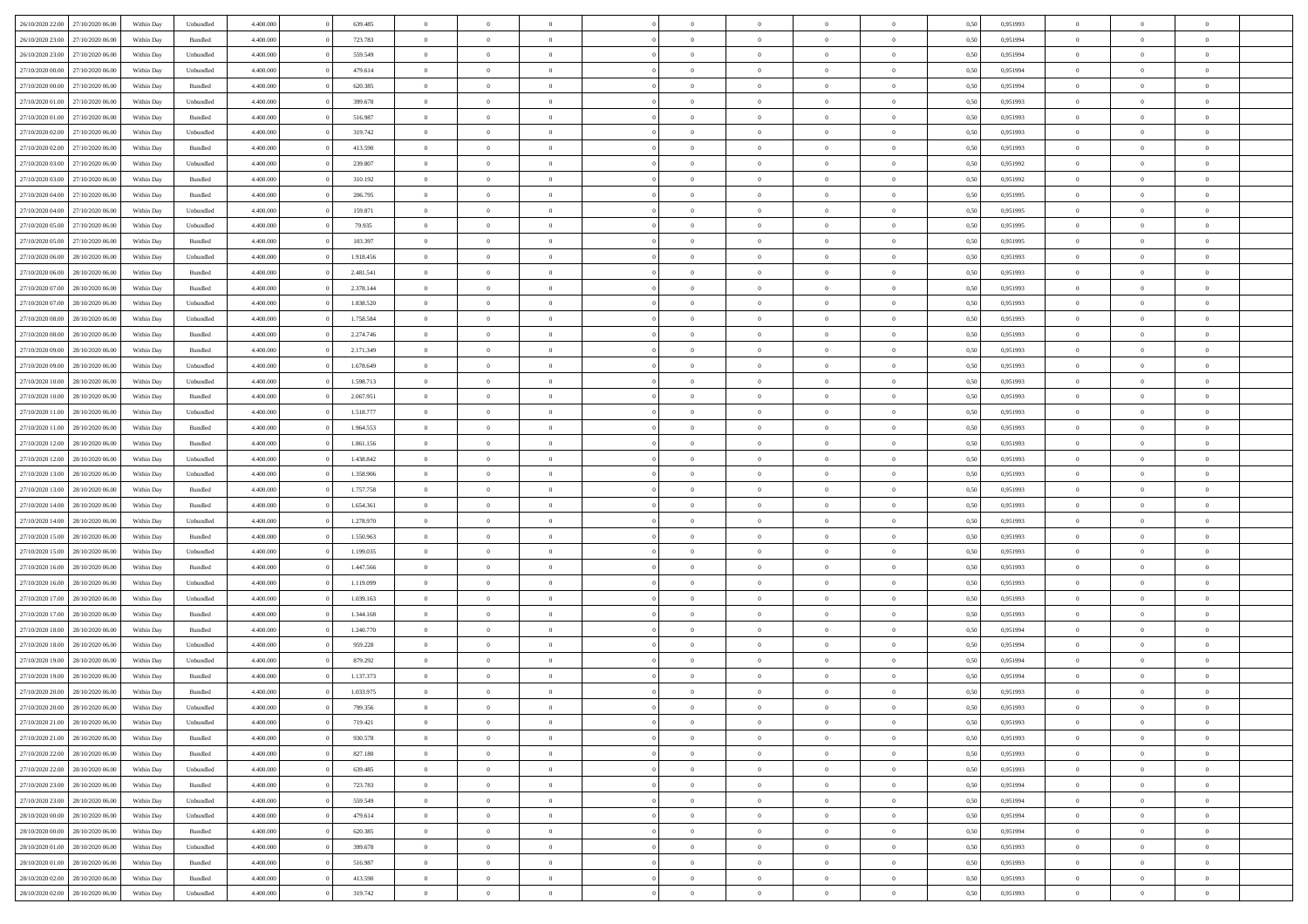|                                   |                  |            |           |           |           |                |                |                |                | $\Omega$       | $\theta$       | $\theta$       |      |          | $\theta$       | $\overline{0}$ |                |  |
|-----------------------------------|------------------|------------|-----------|-----------|-----------|----------------|----------------|----------------|----------------|----------------|----------------|----------------|------|----------|----------------|----------------|----------------|--|
| 26/10/2020 22:00                  | 27/10/2020 06.00 | Within Dav | Unbundled | 4.400.000 | 639.485   | $\overline{0}$ | $\theta$       |                | $\Omega$       |                |                |                | 0,50 | 0,951993 |                |                | $\overline{0}$ |  |
| 26/10/2020 23.00                  | 27/10/2020 06.00 | Within Day | Bundled   | 4.400.000 | 723.783   | $\overline{0}$ | $\theta$       | $\overline{0}$ | $\overline{0}$ | $\bf{0}$       | $\overline{0}$ | $\bf{0}$       | 0,50 | 0,951994 | $\theta$       | $\overline{0}$ | $\overline{0}$ |  |
| 26/10/2020 23.00                  | 27/10/2020 06.00 | Within Day | Unbundled | 4.400.000 | 559.549   | $\overline{0}$ | $\bf{0}$       | $\overline{0}$ | $\bf{0}$       | $\bf{0}$       | $\bf{0}$       | $\mathbf{0}$   | 0,50 | 0,951994 | $\overline{0}$ | $\overline{0}$ | $\overline{0}$ |  |
| 27/10/2020 00:00                  | 27/10/2020 06:00 | Within Dav | Unbundled | 4.400.000 | 479.614   | $\overline{0}$ | $\overline{0}$ | $\overline{0}$ | $\overline{0}$ | $\bf{0}$       | $\overline{0}$ | $\overline{0}$ | 0.50 | 0.951994 | $\theta$       | $\theta$       | $\overline{0}$ |  |
| 27/10/2020 00.00                  | 27/10/2020 06.00 | Within Day | Bundled   | 4.400.000 | 620.385   | $\overline{0}$ | $\theta$       | $\overline{0}$ | $\overline{0}$ | $\bf{0}$       | $\overline{0}$ | $\bf{0}$       | 0,50 | 0,951994 | $\theta$       | $\overline{0}$ | $\overline{0}$ |  |
|                                   |                  |            |           |           |           |                |                |                |                |                |                |                |      |          |                | $\overline{0}$ | $\bf{0}$       |  |
| 27/10/2020 01:00                  | 27/10/2020 06.00 | Within Day | Unbundled | 4.400.000 | 399.678   | $\overline{0}$ | $\overline{0}$ | $\overline{0}$ | $\overline{0}$ | $\overline{0}$ | $\overline{0}$ | $\mathbf{0}$   | 0,50 | 0,951993 | $\bf{0}$       |                |                |  |
| 27/10/2020 01:00                  | 27/10/2020 06.00 | Within Dav | Bundled   | 4.400.000 | 516.987   | $\overline{0}$ | $\overline{0}$ | $\overline{0}$ | $\overline{0}$ | $\overline{0}$ | $\overline{0}$ | $\overline{0}$ | 0.50 | 0.951993 | $\theta$       | $\overline{0}$ | $\overline{0}$ |  |
| 27/10/2020 02.00                  | 27/10/2020 06.00 | Within Day | Unbundled | 4.400.000 | 319.742   | $\overline{0}$ | $\theta$       | $\overline{0}$ | $\overline{0}$ | $\bf{0}$       | $\overline{0}$ | $\bf{0}$       | 0,50 | 0,951993 | $\theta$       | $\theta$       | $\overline{0}$ |  |
| 27/10/2020 02.00                  | 27/10/2020 06.00 | Within Day | Bundled   | 4.400.000 | 413.590   | $\overline{0}$ | $\overline{0}$ | $\overline{0}$ | $\overline{0}$ | $\bf{0}$       | $\overline{0}$ | $\bf{0}$       | 0,50 | 0,951993 | $\,0\,$        | $\overline{0}$ | $\overline{0}$ |  |
| 27/10/2020 03:00                  | 27/10/2020 06.00 | Within Dav | Unbundled | 4.400.000 | 239.807   | $\overline{0}$ | $\overline{0}$ | $\overline{0}$ | $\overline{0}$ | $\overline{0}$ | $\overline{0}$ | $\overline{0}$ | 0.50 | 0.951992 | $\theta$       | $\overline{0}$ | $\overline{0}$ |  |
| 27/10/2020 03.00                  | 27/10/2020 06.00 | Within Day | Bundled   | 4.400.000 | 310.192   | $\overline{0}$ | $\theta$       | $\overline{0}$ | $\overline{0}$ | $\bf{0}$       | $\overline{0}$ | $\bf{0}$       | 0,50 | 0,951992 | $\,$ 0 $\,$    | $\overline{0}$ | $\overline{0}$ |  |
| 27/10/2020 04:00                  | 27/10/2020 06.00 | Within Day | Bundled   | 4.400.000 | 206.795   | $\overline{0}$ | $\overline{0}$ | $\overline{0}$ | $\overline{0}$ | $\bf{0}$       | $\overline{0}$ | $\bf{0}$       | 0,50 | 0,951995 | $\bf{0}$       | $\overline{0}$ | $\bf{0}$       |  |
| 27/10/2020 04:00                  | 27/10/2020 06:00 | Within Day | Unbundled | 4.400.000 | 159.871   | $\overline{0}$ | $\overline{0}$ | $\overline{0}$ | $\overline{0}$ | $\bf{0}$       | $\overline{0}$ | $\overline{0}$ | 0.50 | 0.951995 | $\theta$       | $\theta$       | $\overline{0}$ |  |
|                                   |                  |            |           |           |           |                |                |                |                |                |                |                |      |          |                |                |                |  |
| 27/10/2020 05.00                  | 27/10/2020 06.00 | Within Day | Unbundled | 4.400.000 | 79.935    | $\overline{0}$ | $\theta$       | $\overline{0}$ | $\overline{0}$ | $\bf{0}$       | $\overline{0}$ | $\bf{0}$       | 0,50 | 0,951995 | $\theta$       | $\overline{0}$ | $\overline{0}$ |  |
| 27/10/2020 05:00                  | 27/10/2020 06.00 | Within Day | Bundled   | 4.400.000 | 103.397   | $\overline{0}$ | $\overline{0}$ | $\overline{0}$ | $\overline{0}$ | $\overline{0}$ | $\overline{0}$ | $\mathbf{0}$   | 0,50 | 0,951995 | $\bf{0}$       | $\overline{0}$ | $\bf{0}$       |  |
| 27/10/2020 06:00                  | 28/10/2020 06:00 | Within Dav | Unbundled | 4.400.000 | 1.918.456 | $\overline{0}$ | $\overline{0}$ | $\overline{0}$ | $\overline{0}$ | $\overline{0}$ | $\overline{0}$ | $\overline{0}$ | 0.50 | 0.951993 | $\theta$       | $\overline{0}$ | $\overline{0}$ |  |
| 27/10/2020 06.00                  | 28/10/2020 06.00 | Within Day | Bundled   | 4.400.000 | 2.481.541 | $\overline{0}$ | $\theta$       | $\overline{0}$ | $\overline{0}$ | $\bf{0}$       | $\overline{0}$ | $\bf{0}$       | 0,50 | 0,951993 | $\theta$       | $\theta$       | $\overline{0}$ |  |
| 27/10/2020 07.00                  | 28/10/2020 06.00 | Within Day | Bundled   | 4.400.000 | 2.378.144 | $\overline{0}$ | $\overline{0}$ | $\overline{0}$ | $\overline{0}$ | $\bf{0}$       | $\overline{0}$ | $\bf{0}$       | 0,50 | 0,951993 | $\,0\,$        | $\overline{0}$ | $\overline{0}$ |  |
| 27/10/2020 07:00                  | 28/10/2020 06:00 | Within Dav | Unbundled | 4.400.000 | 1.838.520 | $\overline{0}$ | $\overline{0}$ | $\overline{0}$ | $\overline{0}$ | $\overline{0}$ | $\overline{0}$ | $\overline{0}$ | 0.50 | 0.951993 | $\theta$       | $\overline{0}$ | $\overline{0}$ |  |
| 27/10/2020 08.00                  | 28/10/2020 06.00 | Within Day | Unbundled | 4.400.000 | 1.758.584 | $\overline{0}$ | $\theta$       | $\overline{0}$ | $\overline{0}$ | $\bf{0}$       | $\overline{0}$ | $\bf{0}$       | 0,50 | 0,951993 | $\,$ 0 $\,$    | $\overline{0}$ | $\overline{0}$ |  |
|                                   |                  |            |           |           |           |                |                |                |                |                |                |                |      |          |                |                |                |  |
| 27/10/2020 08:00                  | 28/10/2020 06.00 | Within Day | Bundled   | 4.400.000 | 2.274.746 | $\overline{0}$ | $\overline{0}$ | $\overline{0}$ | $\overline{0}$ | $\bf{0}$       | $\overline{0}$ | $\bf{0}$       | 0,50 | 0,951993 | $\bf{0}$       | $\overline{0}$ | $\bf{0}$       |  |
| 27/10/2020 09:00                  | 28/10/2020 06:00 | Within Day | Bundled   | 4.400.000 | 2.171.349 | $\overline{0}$ | $\overline{0}$ | $\overline{0}$ | $\overline{0}$ | $\bf{0}$       | $\overline{0}$ | $\overline{0}$ | 0.50 | 0.951993 | $\theta$       | $\overline{0}$ | $\overline{0}$ |  |
| 27/10/2020 09:00                  | 28/10/2020 06.00 | Within Day | Unbundled | 4.400.000 | 1.678.649 | $\overline{0}$ | $\theta$       | $\overline{0}$ | $\overline{0}$ | $\bf{0}$       | $\overline{0}$ | $\bf{0}$       | 0,50 | 0,951993 | $\,$ 0 $\,$    | $\overline{0}$ | $\overline{0}$ |  |
| 27/10/2020 10:00                  | 28/10/2020 06.00 | Within Day | Unbundled | 4.400.000 | 1.598.713 | $\overline{0}$ | $\overline{0}$ | $\overline{0}$ | $\overline{0}$ | $\overline{0}$ | $\overline{0}$ | $\mathbf{0}$   | 0,50 | 0,951993 | $\bf{0}$       | $\overline{0}$ | $\bf{0}$       |  |
| 27/10/2020 10:00                  | 28/10/2020 06:00 | Within Dav | Bundled   | 4.400.000 | 2.067.951 | $\overline{0}$ | $\overline{0}$ | $\overline{0}$ | $\overline{0}$ | $\overline{0}$ | $\overline{0}$ | $\overline{0}$ | 0.50 | 0.951993 | $\theta$       | $\overline{0}$ | $\overline{0}$ |  |
| 27/10/2020 11:00                  | 28/10/2020 06.00 | Within Day | Unbundled | 4.400.000 | 1.518.777 | $\overline{0}$ | $\theta$       | $\overline{0}$ | $\overline{0}$ | $\bf{0}$       | $\overline{0}$ | $\bf{0}$       | 0,50 | 0,951993 | $\theta$       | $\theta$       | $\overline{0}$ |  |
| 27/10/2020 11:00                  | 28/10/2020 06.00 | Within Day | Bundled   | 4.400.000 | 1.964.553 | $\overline{0}$ | $\overline{0}$ | $\overline{0}$ | $\overline{0}$ | $\bf{0}$       | $\overline{0}$ | $\bf{0}$       | 0,50 | 0,951993 | $\,0\,$        | $\overline{0}$ | $\overline{0}$ |  |
|                                   |                  |            |           |           |           |                | $\overline{0}$ |                |                | $\overline{0}$ |                |                |      |          | $\theta$       | $\overline{0}$ | $\overline{0}$ |  |
| 27/10/2020 12:00                  | 28/10/2020 06:00 | Within Day | Bundled   | 4.400.000 | 1.861.156 | $\overline{0}$ |                | $\overline{0}$ | $\overline{0}$ |                | $\overline{0}$ | $\overline{0}$ | 0.50 | 0.951993 |                |                |                |  |
| 27/10/2020 12:00                  | 28/10/2020 06.00 | Within Day | Unbundled | 4.400.000 | 1.438.842 | $\overline{0}$ | $\theta$       | $\overline{0}$ | $\overline{0}$ | $\bf{0}$       | $\overline{0}$ | $\bf{0}$       | 0,50 | 0,951993 | $\,$ 0 $\,$    | $\overline{0}$ | $\overline{0}$ |  |
| 27/10/2020 13.00                  | 28/10/2020 06.00 | Within Day | Unbundled | 4.400.000 | 1.358.906 | $\overline{0}$ | $\overline{0}$ | $\overline{0}$ | $\overline{0}$ | $\bf{0}$       | $\overline{0}$ | $\bf{0}$       | 0,50 | 0,951993 | $\bf{0}$       | $\overline{0}$ | $\bf{0}$       |  |
| 27/10/2020 13:00                  | 28/10/2020 06.00 | Within Day | Bundled   | 4.400,000 | 1.757.758 | $\overline{0}$ | $\Omega$       | $\Omega$       | $\Omega$       | $\Omega$       | $\overline{0}$ | $\overline{0}$ | 0,50 | 0,951993 | $\,0\,$        | $\theta$       | $\theta$       |  |
| 27/10/2020 14:00                  | 28/10/2020 06.00 | Within Day | Bundled   | 4.400.000 | 1.654.361 | $\overline{0}$ | $\theta$       | $\overline{0}$ | $\overline{0}$ | $\bf{0}$       | $\overline{0}$ | $\bf{0}$       | 0,50 | 0,951993 | $\theta$       | $\overline{0}$ | $\overline{0}$ |  |
| 27/10/2020 14:00                  | 28/10/2020 06.00 | Within Day | Unbundled | 4.400.000 | 1.278.970 | $\overline{0}$ | $\overline{0}$ | $\overline{0}$ | $\bf{0}$       | $\overline{0}$ | $\overline{0}$ | $\mathbf{0}$   | 0,50 | 0,951993 | $\overline{0}$ | $\overline{0}$ | $\bf{0}$       |  |
| 27/10/2020 15:00                  | 28/10/2020 06:00 | Within Day | Bundled   | 4.400,000 | 1.550.963 | $\overline{0}$ | $\Omega$       | $\Omega$       | $\Omega$       | $\bf{0}$       | $\overline{0}$ | $\overline{0}$ | 0.50 | 0,951993 | $\,0\,$        | $\theta$       | $\theta$       |  |
| 27/10/2020 15:00                  | 28/10/2020 06.00 | Within Day | Unbundled | 4.400.000 | 1.199.035 | $\overline{0}$ | $\theta$       | $\overline{0}$ | $\overline{0}$ | $\bf{0}$       | $\overline{0}$ | $\bf{0}$       | 0,50 | 0,951993 | $\,$ 0 $\,$    | $\overline{0}$ | $\overline{0}$ |  |
|                                   |                  |            |           |           |           |                |                |                |                |                |                |                |      |          |                |                |                |  |
| 27/10/2020 16:00                  | 28/10/2020 06.00 | Within Day | Bundled   | 4.400.000 | 1.447.566 | $\overline{0}$ | $\overline{0}$ | $\overline{0}$ | $\bf{0}$       | $\bf{0}$       | $\bf{0}$       | $\bf{0}$       | 0,50 | 0,951993 | $\bf{0}$       | $\overline{0}$ | $\bf{0}$       |  |
| 27/10/2020 16:00                  | 28/10/2020 06:00 | Within Day | Unbundled | 4.400,000 | 1.119.099 | $\overline{0}$ | $\Omega$       | $\Omega$       | $\Omega$       | $\theta$       | $\theta$       | $\overline{0}$ | 0.50 | 0.951993 | $\,$ 0 $\,$    | $\theta$       | $\theta$       |  |
| 27/10/2020 17.00                  | 28/10/2020 06.00 | Within Day | Unbundled | 4.400.000 | 1.039.163 | $\overline{0}$ | $\theta$       | $\overline{0}$ | $\overline{0}$ | $\,$ 0         | $\overline{0}$ | $\bf{0}$       | 0,50 | 0,951993 | $\,$ 0 $\,$    | $\overline{0}$ | $\overline{0}$ |  |
| 27/10/2020 17.00                  | 28/10/2020 06.00 | Within Day | Bundled   | 4.400.000 | 1.344.168 | $\overline{0}$ | $\bf{0}$       | $\overline{0}$ | $\bf{0}$       | $\bf{0}$       | $\bf{0}$       | $\bf{0}$       | 0,50 | 0,951993 | $\overline{0}$ | $\overline{0}$ | $\bf{0}$       |  |
| 27/10/2020 18:00                  | 28/10/2020 06.00 | Within Day | Bundled   | 4.400,000 | 1.240.770 | $\overline{0}$ | $\Omega$       | $\Omega$       | $\Omega$       | $\overline{0}$ | $\overline{0}$ | $\overline{0}$ | 0,50 | 0,951994 | $\,0\,$        | $\theta$       | $\theta$       |  |
| 27/10/2020 18.00                  | 28/10/2020 06.00 | Within Day | Unbundled | 4.400.000 | 959.228   | $\overline{0}$ | $\overline{0}$ | $\overline{0}$ | $\overline{0}$ | $\,$ 0         | $\overline{0}$ | $\bf{0}$       | 0,50 | 0,951994 | $\,$ 0 $\,$    | $\overline{0}$ | $\overline{0}$ |  |
| 27/10/2020 19:00                  | 28/10/2020 06.00 | Within Day | Unbundled | 4.400.000 | 879.292   | $\overline{0}$ | $\overline{0}$ | $\overline{0}$ | $\bf{0}$       | $\bf{0}$       | $\overline{0}$ | $\mathbf{0}$   | 0,50 | 0,951994 | $\bf{0}$       | $\overline{0}$ | $\bf{0}$       |  |
| 27/10/2020 19:00                  | 28/10/2020 06:00 |            | Bundled   | 4.400,000 | 1.137.373 | $\overline{0}$ | $\Omega$       | $\Omega$       | $\Omega$       | $\Omega$       | $\Omega$       | $\overline{0}$ | 0.50 | 0.951994 | $\theta$       | $\theta$       | $\theta$       |  |
|                                   |                  | Within Day |           |           |           |                |                |                |                |                |                |                |      |          |                |                |                |  |
| 27/10/2020 20:00                  | 28/10/2020 06:00 | Within Day | Bundled   | 4.400.000 | 1.033.975 | $\overline{0}$ | $\overline{0}$ | $\overline{0}$ | $\bf{0}$       | $\,$ 0         | $\overline{0}$ | $\bf{0}$       | 0,50 | 0,951993 | $\,0\,$        | $\,$ 0 $\,$    | $\overline{0}$ |  |
| 27/10/2020 20:00 28/10/2020 06:00 |                  | Within Day | Unbundled | 4.400.000 | 799.356   | $\bf{0}$       | $\bf{0}$       |                |                | $\bf{0}$       |                |                | 0,50 | 0,951993 | $\bf{0}$       | $\overline{0}$ |                |  |
| 27/10/2020 21.00                  | 28/10/2020 06:00 | Within Day | Unbundled | 4.400.000 | 719.421   | $\overline{0}$ | $\overline{0}$ | $\Omega$       | $\Omega$       | $\overline{0}$ | $\overline{0}$ | $\overline{0}$ | 0,50 | 0.951993 | $\theta$       | $\theta$       | $\theta$       |  |
| 27/10/2020 21.00                  | 28/10/2020 06.00 | Within Day | Bundled   | 4.400.000 | 930.578   | $\overline{0}$ | $\bf{0}$       | $\overline{0}$ | $\overline{0}$ | $\,$ 0 $\,$    | $\overline{0}$ | $\,$ 0 $\,$    | 0,50 | 0,951993 | $\,$ 0 $\,$    | $\,$ 0 $\,$    | $\,$ 0         |  |
| 27/10/2020 22.00                  | 28/10/2020 06.00 | Within Day | Bundled   | 4.400.000 | 827.180   | $\overline{0}$ | $\overline{0}$ | $\overline{0}$ | $\overline{0}$ | $\overline{0}$ | $\overline{0}$ | $\mathbf{0}$   | 0,50 | 0,951993 | $\overline{0}$ | $\bf{0}$       | $\bf{0}$       |  |
| 27/10/2020 22.00                  | 28/10/2020 06.00 | Within Day | Unbundled | 4.400,000 | 639,485   | $\overline{0}$ | $\overline{0}$ | $\overline{0}$ | $\Omega$       | $\overline{0}$ | $\overline{0}$ | $\overline{0}$ | 0,50 | 0,951993 | $\bf{0}$       | $\theta$       | $\overline{0}$ |  |
| 27/10/2020 23.00                  | 28/10/2020 06.00 | Within Day | Bundled   | 4.400.000 | 723.783   | $\overline{0}$ | $\,$ 0         | $\overline{0}$ | $\overline{0}$ | $\,$ 0 $\,$    | $\overline{0}$ | $\mathbf{0}$   | 0,50 | 0,951994 | $\,$ 0 $\,$    | $\overline{0}$ | $\overline{0}$ |  |
|                                   |                  |            |           |           |           |                |                |                |                |                |                |                |      |          |                |                |                |  |
| 27/10/2020 23.00                  | 28/10/2020 06.00 | Within Day | Unbundled | 4.400.000 | 559.549   | $\overline{0}$ | $\overline{0}$ | $\overline{0}$ | $\overline{0}$ | $\overline{0}$ | $\overline{0}$ | $\mathbf{0}$   | 0,50 | 0,951994 | $\overline{0}$ | $\overline{0}$ | $\bf{0}$       |  |
| 28/10/2020 00:00                  | 28/10/2020 06:00 | Within Day | Unbundled | 4.400.000 | 479.614   | $\overline{0}$ | $\overline{0}$ | $\overline{0}$ | $\overline{0}$ | $\overline{0}$ | $\overline{0}$ | $\bf{0}$       | 0.50 | 0,951994 | $\overline{0}$ | $\theta$       | $\overline{0}$ |  |
| 28/10/2020 00:00                  | 28/10/2020 06.00 | Within Day | Bundled   | 4.400.000 | 620.385   | $\overline{0}$ | $\,$ 0         | $\overline{0}$ | $\bf{0}$       | $\bf{0}$       | $\bf{0}$       | $\bf{0}$       | 0,50 | 0,951994 | $\,$ 0 $\,$    | $\overline{0}$ | $\overline{0}$ |  |
| 28/10/2020 01:00                  | 28/10/2020 06.00 | Within Day | Unbundled | 4.400.000 | 399.678   | $\overline{0}$ | $\bf{0}$       | $\overline{0}$ | $\overline{0}$ | $\overline{0}$ | $\overline{0}$ | $\mathbf{0}$   | 0,50 | 0,951993 | $\overline{0}$ | $\overline{0}$ | $\bf{0}$       |  |
| 28/10/2020 01:00                  | 28/10/2020 06:00 | Within Day | Bundled   | 4.400,000 | 516.987   | $\overline{0}$ | $\overline{0}$ | $\overline{0}$ | $\Omega$       | $\overline{0}$ | $\overline{0}$ | $\bf{0}$       | 0,50 | 0,951993 | $\overline{0}$ | $\overline{0}$ | $\overline{0}$ |  |
| 28/10/2020 02:00                  | 28/10/2020 06.00 | Within Day | Bundled   | 4.400.000 | 413.590   | $\overline{0}$ | $\bf{0}$       | $\overline{0}$ | $\bf{0}$       | $\bf{0}$       | $\bf{0}$       | $\mathbf{0}$   | 0,50 | 0,951993 | $\,$ 0 $\,$    | $\,$ 0 $\,$    | $\bf{0}$       |  |
| 28/10/2020 02.00 28/10/2020 06.00 |                  | Within Day | Unbundled | 4.400.000 | 319.742   | $\overline{0}$ | $\overline{0}$ | $\overline{0}$ | $\overline{0}$ | $\overline{0}$ | $\bf{0}$       | $\mathbf{0}$   | 0,50 | 0,951993 | $\overline{0}$ | $\bf{0}$       | $\overline{0}$ |  |
|                                   |                  |            |           |           |           |                |                |                |                |                |                |                |      |          |                |                |                |  |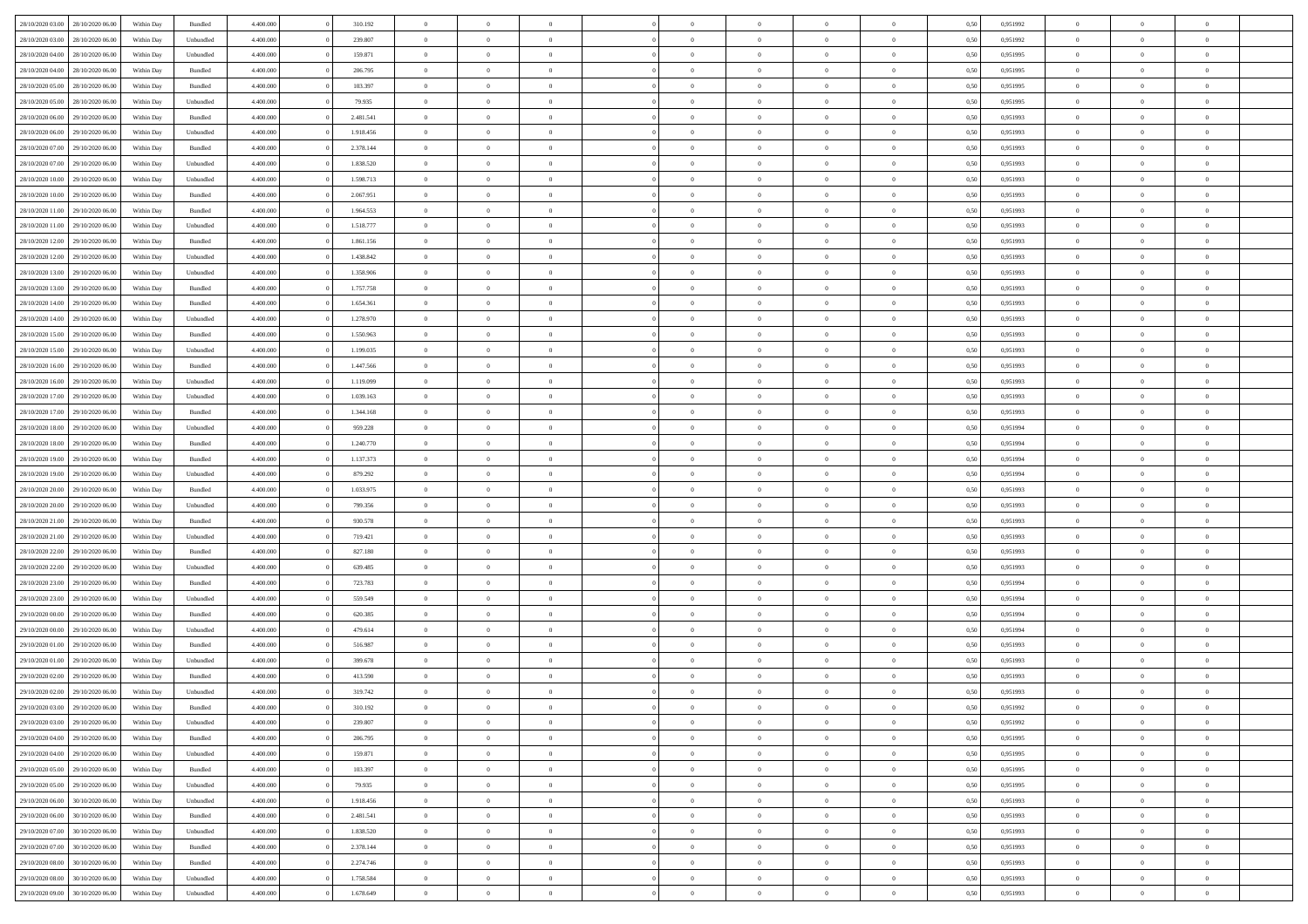| 28/10/2020 03:00                  | 28/10/2020 06:00 | Within Day | Bundled            | 4.400.000 | 310.192   | $\overline{0}$ | $\theta$       |                | $\overline{0}$ | $\bf{0}$       | $\overline{0}$ | $\theta$       | 0,50 | 0,951992 | $\theta$       | $\theta$       | $\theta$       |  |
|-----------------------------------|------------------|------------|--------------------|-----------|-----------|----------------|----------------|----------------|----------------|----------------|----------------|----------------|------|----------|----------------|----------------|----------------|--|
|                                   |                  |            |                    |           |           |                |                | $\overline{0}$ |                |                |                |                |      |          |                |                | $\overline{0}$ |  |
| 28/10/2020 03:00                  | 28/10/2020 06.00 | Within Day | Unbundled          | 4.400.000 | 239.807   | $\overline{0}$ | $\overline{0}$ |                | $\overline{0}$ | $\,$ 0         | $\bf{0}$       | $\bf{0}$       | 0,50 | 0,951992 | $\,$ 0 $\,$    | $\overline{0}$ |                |  |
| 28/10/2020 04:00                  | 28/10/2020 06:00 | Within Day | Unbundled          | 4.400,000 | 159.871   | $\overline{0}$ | $\overline{0}$ | $\overline{0}$ | $\overline{0}$ | $\overline{0}$ | $\overline{0}$ | $\mathbf{0}$   | 0.50 | 0,951995 | $\overline{0}$ | $\overline{0}$ | $\bf{0}$       |  |
| 28/10/2020 04:00                  | 28/10/2020 06.00 | Within Day | Bundled            | 4.400.000 | 206.795   | $\overline{0}$ | $\overline{0}$ | $\overline{0}$ | $\overline{0}$ | $\,0\,$        | $\overline{0}$ | $\overline{0}$ | 0,50 | 0,951995 | $\,$ 0 $\,$    | $\overline{0}$ | $\overline{0}$ |  |
| 28/10/2020 05:00                  | 28/10/2020 06.00 | Within Day | Bundled            | 4.400.000 | 103.397   | $\overline{0}$ | $\overline{0}$ | $\overline{0}$ | $\overline{0}$ | $\,$ 0         | $\overline{0}$ | $\bf{0}$       | 0,50 | 0,951995 | $\,$ 0 $\,$    | $\overline{0}$ | $\overline{0}$ |  |
| 28/10/2020 05:00                  | 28/10/2020 06:00 | Within Day | Unbundled          | 4.400,000 | 79.935    | $\overline{0}$ | $\overline{0}$ | $\overline{0}$ | $\overline{0}$ | $\bf{0}$       | $\overline{0}$ | $\bf{0}$       | 0.50 | 0.951995 | $\,0\,$        | $\overline{0}$ | $\overline{0}$ |  |
| 28/10/2020 06:00                  | 29/10/2020 06.00 | Within Day | Bundled            | 4.400.000 | 2.481.541 | $\overline{0}$ | $\overline{0}$ | $\overline{0}$ | $\overline{0}$ | $\bf{0}$       | $\overline{0}$ | $\bf{0}$       | 0,50 | 0,951993 | $\,$ 0 $\,$    | $\overline{0}$ | $\overline{0}$ |  |
| 28/10/2020 06:00                  | 29/10/2020 06.00 | Within Day | Unbundled          | 4.400.000 | 1.918.456 | $\overline{0}$ | $\overline{0}$ | $\overline{0}$ | $\overline{0}$ | $\,$ 0         | $\bf{0}$       | $\bf{0}$       | 0,50 | 0,951993 | $\,$ 0 $\,$    | $\overline{0}$ | $\overline{0}$ |  |
| 28/10/2020 07:00                  | 29/10/2020 06:00 | Within Day | Bundled            | 4.400,000 | 2.378.144 | $\overline{0}$ | $\overline{0}$ | $\overline{0}$ | $\overline{0}$ | $\bf{0}$       | $\overline{0}$ | $\bf{0}$       | 0.50 | 0.951993 | $\bf{0}$       | $\overline{0}$ | $\bf{0}$       |  |
| 28/10/2020 07:00                  | 29/10/2020 06.00 | Within Day | Unbundled          | 4.400.000 | 1.838.520 | $\overline{0}$ | $\overline{0}$ | $\overline{0}$ | $\overline{0}$ | $\bf{0}$       | $\overline{0}$ | $\bf{0}$       | 0,50 | 0,951993 | $\,$ 0 $\,$    | $\overline{0}$ | $\overline{0}$ |  |
|                                   |                  |            |                    |           |           |                |                |                |                |                |                |                |      |          |                |                |                |  |
| 28/10/2020 10:00                  | 29/10/2020 06.00 | Within Day | Unbundled          | 4.400.000 | 1.598.713 | $\overline{0}$ | $\overline{0}$ | $\overline{0}$ | $\overline{0}$ | $\,$ 0         | $\bf{0}$       | $\bf{0}$       | 0,50 | 0,951993 | $\,$ 0 $\,$    | $\overline{0}$ | $\overline{0}$ |  |
| 28/10/2020 10:00                  | 29/10/2020 06:00 | Within Day | Bundled            | 4.400,000 | 2.067.951 | $\overline{0}$ | $\overline{0}$ | $\overline{0}$ | $\overline{0}$ | $\bf{0}$       | $\overline{0}$ | $\mathbf{0}$   | 0.50 | 0.951993 | $\overline{0}$ | $\,$ 0 $\,$    | $\bf{0}$       |  |
| 28/10/2020 11:00                  | 29/10/2020 06.00 | Within Day | Bundled            | 4.400.000 | 1.964.553 | $\overline{0}$ | $\overline{0}$ | $\overline{0}$ | $\overline{0}$ | $\bf{0}$       | $\overline{0}$ | $\overline{0}$ | 0,50 | 0,951993 | $\,$ 0 $\,$    | $\overline{0}$ | $\overline{0}$ |  |
| 28/10/2020 11:00                  | 29/10/2020 06.00 | Within Day | Unbundled          | 4.400.000 | 1.518.777 | $\overline{0}$ | $\theta$       | $\overline{0}$ | $\overline{0}$ | $\,$ 0         | $\overline{0}$ | $\bf{0}$       | 0,50 | 0,951993 | $\,$ 0 $\,$    | $\overline{0}$ | $\overline{0}$ |  |
| 28/10/2020 12:00                  | 29/10/2020 06:00 | Within Day | Bundled            | 4.400,000 | 1.861.156 | $\overline{0}$ | $\overline{0}$ | $\overline{0}$ | $\overline{0}$ | $\bf{0}$       | $\overline{0}$ | $\bf{0}$       | 0.50 | 0.951993 | $\,0\,$        | $\overline{0}$ | $\overline{0}$ |  |
| 28/10/2020 12:00                  | 29/10/2020 06.00 | Within Day | Unbundled          | 4.400.000 | 1.438.842 | $\overline{0}$ | $\overline{0}$ | $\overline{0}$ | $\overline{0}$ | $\bf{0}$       | $\overline{0}$ | $\bf{0}$       | 0,50 | 0,951993 | $\,$ 0 $\,$    | $\theta$       | $\overline{0}$ |  |
| 28/10/2020 13:00                  | 29/10/2020 06.00 | Within Day | Unbundled          | 4.400.000 | 1.358.906 | $\overline{0}$ | $\overline{0}$ | $\overline{0}$ | $\overline{0}$ | $\,$ 0         | $\bf{0}$       | $\bf{0}$       | 0,50 | 0,951993 | $\,$ 0 $\,$    | $\overline{0}$ | $\overline{0}$ |  |
| 28/10/2020 13:00                  | 29/10/2020 06:00 | Within Day | Bundled            | 4.400,000 | 1.757.758 | $\overline{0}$ | $\overline{0}$ | $\overline{0}$ | $\overline{0}$ | $\bf{0}$       | $\overline{0}$ | $\mathbf{0}$   | 0.50 | 0.951993 | $\bf{0}$       | $\overline{0}$ | $\bf{0}$       |  |
| 28/10/2020 14:00                  | 29/10/2020 06.00 | Within Day | Bundled            | 4.400.000 | 1.654.361 | $\overline{0}$ | $\overline{0}$ | $\overline{0}$ | $\overline{0}$ | $\bf{0}$       | $\overline{0}$ | $\bf{0}$       | 0,50 | 0,951993 | $\,$ 0 $\,$    | $\overline{0}$ | $\overline{0}$ |  |
|                                   |                  |            |                    |           |           |                | $\overline{0}$ | $\overline{0}$ | $\overline{0}$ | $\bf{0}$       |                |                |      |          | $\,$ 0 $\,$    | $\overline{0}$ | $\overline{0}$ |  |
| 28/10/2020 14:00                  | 29/10/2020 06.00 | Within Day | Unbundled          | 4.400.000 | 1.278.970 | $\overline{0}$ |                |                |                |                | $\bf{0}$       | $\bf{0}$       | 0,50 | 0,951993 |                |                |                |  |
| 28/10/2020 15:00                  | 29/10/2020 06:00 | Within Day | Bundled            | 4.400,000 | 1.550.963 | $\overline{0}$ | $\overline{0}$ | $\overline{0}$ | $\overline{0}$ | $\bf{0}$       | $\overline{0}$ | $\mathbf{0}$   | 0.50 | 0.951993 | $\overline{0}$ | $\,$ 0 $\,$    | $\overline{0}$ |  |
| 28/10/2020 15:00                  | 29/10/2020 06.00 | Within Day | Unbundled          | 4.400.000 | 1.199.035 | $\overline{0}$ | $\overline{0}$ | $\overline{0}$ | $\overline{0}$ | $\bf{0}$       | $\overline{0}$ | $\overline{0}$ | 0,50 | 0,951993 | $\,$ 0 $\,$    | $\overline{0}$ | $\overline{0}$ |  |
| 28/10/2020 16:00                  | 29/10/2020 06.00 | Within Day | Bundled            | 4.400.000 | 1.447.566 | $\overline{0}$ | $\overline{0}$ | $\overline{0}$ | $\overline{0}$ | $\,$ 0         | $\overline{0}$ | $\bf{0}$       | 0,50 | 0,951993 | $\,$ 0 $\,$    | $\overline{0}$ | $\overline{0}$ |  |
| 28/10/2020 16:00                  | 29/10/2020 06:00 | Within Day | Unbundled          | 4.400,000 | 1.119.099 | $\overline{0}$ | $\overline{0}$ | $\overline{0}$ | $\overline{0}$ | $\bf{0}$       | $\overline{0}$ | $\bf{0}$       | 0.50 | 0.951993 | $\,0\,$        | $\overline{0}$ | $\overline{0}$ |  |
| 28/10/2020 17:00                  | 29/10/2020 06.00 | Within Day | Unbundled          | 4.400.000 | 1.039.163 | $\overline{0}$ | $\overline{0}$ | $\overline{0}$ | $\overline{0}$ | $\bf{0}$       | $\overline{0}$ | $\bf{0}$       | 0,50 | 0,951993 | $\,$ 0 $\,$    | $\theta$       | $\overline{0}$ |  |
| 28/10/2020 17:00                  | 29/10/2020 06.00 | Within Day | Bundled            | 4.400.000 | 1.344.168 | $\overline{0}$ | $\overline{0}$ | $\overline{0}$ | $\overline{0}$ | $\,$ 0         | $\bf{0}$       | $\bf{0}$       | 0,50 | 0,951993 | $\,$ 0 $\,$    | $\overline{0}$ | $\overline{0}$ |  |
| 28/10/2020 18:00                  | 29/10/2020 06:00 | Within Day | Unbundled          | 4.400,000 | 959.228   | $\overline{0}$ | $\overline{0}$ | $\overline{0}$ | $\overline{0}$ | $\bf{0}$       | $\overline{0}$ | $\bf{0}$       | 0.50 | 0.951994 | $\bf{0}$       | $\overline{0}$ | $\bf{0}$       |  |
| 28/10/2020 18:00                  | 29/10/2020 06.00 | Within Day | Bundled            | 4.400.000 | 1.240.770 | $\overline{0}$ | $\overline{0}$ | $\overline{0}$ | $\overline{0}$ | $\bf{0}$       | $\overline{0}$ | $\bf{0}$       | 0,50 | 0,951994 | $\,$ 0 $\,$    | $\overline{0}$ | $\overline{0}$ |  |
| 28/10/2020 19:00                  | 29/10/2020 06.00 | Within Day | Bundled            | 4.400.000 | 1.137.373 | $\bf{0}$       | $\overline{0}$ | $\overline{0}$ | $\bf{0}$       | $\bf{0}$       | $\bf{0}$       | $\bf{0}$       | 0,50 | 0,951994 | $\,$ 0 $\,$    | $\overline{0}$ | $\overline{0}$ |  |
| 28/10/2020 19:00                  | 29/10/2020 06:00 |            |                    | 4.400,000 | 879.292   | $\overline{0}$ |                |                | $\overline{0}$ | $\bf{0}$       | $\overline{0}$ |                | 0.50 | 0.951994 | $\overline{0}$ | $\,$ 0 $\,$    | $\bf{0}$       |  |
|                                   |                  | Within Day | Unbundled          |           |           |                | $\overline{0}$ | $\overline{0}$ |                |                |                | $\mathbf{0}$   |      |          |                |                |                |  |
| 28/10/2020 20:00                  | 29/10/2020 06:00 | Within Dav | Bundled            | 4.400.000 | 1.033.975 | $\overline{0}$ | $\overline{0}$ | $\overline{0}$ | $\overline{0}$ | $\overline{0}$ | $\overline{0}$ | $\overline{0}$ | 0.50 | 0.951993 | $\theta$       | $\overline{0}$ | $\overline{0}$ |  |
| 28/10/2020 20:00                  | 29/10/2020 06.00 | Within Day | Unbundled          | 4.400.000 | 799.356   | $\bf{0}$       | $\overline{0}$ | $\overline{0}$ | $\overline{0}$ | $\,$ 0         | $\bf{0}$       | $\bf{0}$       | 0,50 | 0,951993 | $\,$ 0 $\,$    | $\overline{0}$ | $\overline{0}$ |  |
| 28/10/2020 21:00                  | 29/10/2020 06:00 | Within Day | Bundled            | 4.400,000 | 930.578   | $\overline{0}$ | $\overline{0}$ | $\overline{0}$ | $\overline{0}$ | $\bf{0}$       | $\overline{0}$ | $\bf{0}$       | 0.50 | 0.951993 | $\,0\,$        | $\overline{0}$ | $\overline{0}$ |  |
| 28/10/2020 21:00                  | 29/10/2020 06.00 | Within Dav | Unbundled          | 4.400.000 | 719.421   | $\overline{0}$ | $\overline{0}$ | $\Omega$       | $\overline{0}$ | $\mathbf{0}$   | $\overline{0}$ | $\overline{0}$ | 0.50 | 0.951993 | $\theta$       | $\overline{0}$ | $\overline{0}$ |  |
| 28/10/2020 22.00                  | 29/10/2020 06.00 | Within Day | Bundled            | 4.400.000 | 827.180   | $\bf{0}$       | $\overline{0}$ | $\overline{0}$ | $\overline{0}$ | $\,$ 0         | $\bf{0}$       | $\bf{0}$       | 0,50 | 0,951993 | $\,$ 0 $\,$    | $\overline{0}$ | $\overline{0}$ |  |
| 28/10/2020 22.00                  | 29/10/2020 06:00 | Within Day | Unbundled          | 4.400,000 | 639,485   | $\overline{0}$ | $\overline{0}$ | $\overline{0}$ | $\overline{0}$ | $\bf{0}$       | $\overline{0}$ | $\mathbf{0}$   | 0.50 | 0.951993 | $\bf{0}$       | $\overline{0}$ | $\bf{0}$       |  |
| 28/10/2020 23:00                  | 29/10/2020 06.00 | Within Dav | Bundled            | 4.400.000 | 723.783   | $\overline{0}$ | $\overline{0}$ | $\overline{0}$ | $\overline{0}$ | $\overline{0}$ | $\overline{0}$ | $\overline{0}$ | 0,50 | 0,951994 | $\theta$       | $\overline{0}$ | $\overline{0}$ |  |
| 28/10/2020 23.00                  | 29/10/2020 06.00 | Within Day | Unbundled          | 4.400.000 | 559.549   | $\overline{0}$ | $\overline{0}$ | $\overline{0}$ | $\bf{0}$       | $\bf{0}$       | $\bf{0}$       | $\bf{0}$       | 0,50 | 0,951994 | $\,$ 0 $\,$    | $\overline{0}$ | $\overline{0}$ |  |
| 29/10/2020 00:00                  | 29/10/2020 06:00 | Within Day | Bundled            | 4.400,000 | 620,385   | $\overline{0}$ | $\overline{0}$ | $\overline{0}$ | $\overline{0}$ | $\bf{0}$       | $\overline{0}$ | $\mathbf{0}$   | 0.50 | 0.951994 | $\overline{0}$ | $\,$ 0 $\,$    | $\bf{0}$       |  |
| 29/10/2020 00:00                  | 29/10/2020 06.00 | Within Dav | Unbundled          | 4.400.000 | 479.614   | $\overline{0}$ | $\overline{0}$ | $\Omega$       | $\overline{0}$ | $\overline{0}$ | $\overline{0}$ | $\overline{0}$ | 0.50 | 0,951994 | $\theta$       | $\overline{0}$ | $\overline{0}$ |  |
|                                   | 29/10/2020 06.00 | Within Day | Bundled            | 4.400.000 | 516.987   | $\overline{0}$ | $\overline{0}$ | $\overline{0}$ | $\overline{0}$ | $\bf{0}$       | $\overline{0}$ | $\bf{0}$       | 0,50 | 0,951993 | $\,$ 0 $\,$    | $\overline{0}$ | $\overline{0}$ |  |
| 29/10/2020 01:00                  |                  |            |                    |           |           |                |                |                |                |                |                |                |      |          |                |                |                |  |
| 29/10/2020 01:00                  | 29/10/2020 06:00 | Within Day | Unbundled          | 4.400,000 | 399,678   | $\overline{0}$ | $\overline{0}$ | $\overline{0}$ | $\overline{0}$ | $\bf{0}$       | $\overline{0}$ | $\bf{0}$       | 0.50 | 0,951993 | $\bf{0}$       | $\overline{0}$ | $\overline{0}$ |  |
| 29/10/2020 02.00                  | 29/10/2020 06:00 | Within Dav | Bundled            | 4.400.000 | 413.590   | $\overline{0}$ | $\theta$       | $\Omega$       | $\overline{0}$ | $\bf{0}$       | $\overline{0}$ | $\overline{0}$ | 0.50 | 0.951993 | $\theta$       | $\overline{0}$ | $\overline{0}$ |  |
| 29/10/2020 02.00                  | 29/10/2020 06.00 | Within Day | Unbundled          | 4.400.000 | 319.742   | $\overline{0}$ | $\overline{0}$ | $\overline{0}$ | $\bf{0}$       | $\,$ 0         | $\bf{0}$       | $\bf{0}$       | 0,50 | 0,951993 | $\,$ 0 $\,$    | $\overline{0}$ | $\overline{0}$ |  |
| 29/10/2020 03:00 29/10/2020 06:00 |                  | Within Day | $\mathbf B$ undled | 4.400.000 | 310.192   | $\bf{0}$       | $\bf{0}$       |                | $\Omega$       | $\bf{0}$       |                |                | 0,50 | 0.951992 | $\bf{0}$       | $\theta$       |                |  |
| 29/10/2020 03:00 29/10/2020 06:00 |                  | Within Day | Unbundled          | 4.400.000 | 239.807   | $\overline{0}$ | $\overline{0}$ | $\overline{0}$ | $\overline{0}$ | $\overline{0}$ | $\overline{0}$ | $\mathbf{0}$   | 0,50 | 0.951992 | $\theta$       | $\overline{0}$ | $\overline{0}$ |  |
| 29/10/2020 04.00                  | 29/10/2020 06.00 | Within Day | Bundled            | 4.400.000 | 206.795   | $\overline{0}$ | $\bf{0}$       | $\overline{0}$ | $\bf{0}$       | $\overline{0}$ | $\overline{0}$ | $\bf{0}$       | 0,50 | 0,951995 | $\overline{0}$ | $\overline{0}$ | $\bf{0}$       |  |
| 29/10/2020 04.00                  | 29/10/2020 06.00 | Within Day | Unbundled          | 4.400.000 | 159.871   | $\overline{0}$ | $\overline{0}$ | $\overline{0}$ | $\overline{0}$ | $\overline{0}$ | $\overline{0}$ | $\mathbf{0}$   | 0.50 | 0,951995 | $\overline{0}$ | $\bf{0}$       | $\bf{0}$       |  |
| 29/10/2020 05:00                  | 29/10/2020 06.00 | Within Day | Bundled            | 4.400.000 | 103.397   | $\overline{0}$ | $\overline{0}$ | $\overline{0}$ | $\overline{0}$ | $\overline{0}$ | $\overline{0}$ | $\mathbf{0}$   | 0,50 | 0.951995 | $\overline{0}$ | $\theta$       | $\overline{0}$ |  |
| 29/10/2020 05.00                  | 29/10/2020 06.00 | Within Day | Unbundled          | 4.400.000 | 79.935    | $\overline{0}$ | $\overline{0}$ | $\overline{0}$ | $\overline{0}$ | $\bf{0}$       | $\bf{0}$       | $\bf{0}$       | 0,50 | 0,951995 | $\bf{0}$       | $\overline{0}$ | $\overline{0}$ |  |
| 29/10/2020 06.00                  | 30/10/2020 06:00 | Within Day | Unbundled          | 4.400,000 | 1.918.456 | $\overline{0}$ | $\overline{0}$ | $\overline{0}$ | $\overline{0}$ | $\bf{0}$       | $\overline{0}$ | $\mathbf{0}$   | 0.50 | 0.951993 | $\,$ 0 $\,$    | $\overline{0}$ | $\overline{0}$ |  |
| 29/10/2020 06:00                  | 30/10/2020 06:00 | Within Day | Bundled            | 4.400.000 | 2.481.541 | $\overline{0}$ | $\overline{0}$ | $\overline{0}$ | $\overline{0}$ | $\overline{0}$ | $\overline{0}$ | $\overline{0}$ | 0,50 | 0.951993 | $\overline{0}$ | $\overline{0}$ | $\overline{0}$ |  |
|                                   |                  |            |                    |           |           |                |                |                |                |                |                |                |      |          |                |                |                |  |
| 29/10/2020 07.00                  | 30/10/2020 06.00 | Within Day | Unbundled          | 4.400.000 | 1.838.520 | $\overline{0}$ | $\,$ 0         | $\overline{0}$ | $\bf{0}$       | $\overline{0}$ | $\overline{0}$ | $\bf{0}$       | 0,50 | 0,951993 | $\,$ 0 $\,$    | $\overline{0}$ | $\overline{0}$ |  |
| 29/10/2020 07.00                  | 30/10/2020 06:00 | Within Day | Bundled            | 4.400.000 | 2.378.144 | $\overline{0}$ | $\overline{0}$ | $\overline{0}$ | $\overline{0}$ | $\bf{0}$       | $\overline{0}$ | $\mathbf{0}$   | 0.50 | 0.951993 | $\mathbf{0}$   | $\bf{0}$       | $\overline{0}$ |  |
| 29/10/2020 08:00                  | 30/10/2020 06:00 | Within Day | Bundled            | 4.400.000 | 2.274.746 | $\overline{0}$ | $\overline{0}$ | $\overline{0}$ | $\overline{0}$ | $\overline{0}$ | $\overline{0}$ | $\overline{0}$ | 0,50 | 0.951993 | $\overline{0}$ | $\overline{0}$ | $\overline{0}$ |  |
| 29/10/2020 08.00                  | 30/10/2020 06.00 | Within Day | Unbundled          | 4.400.000 | 1.758.584 | $\overline{0}$ | $\bf{0}$       | $\overline{0}$ | $\bf{0}$       | $\bf{0}$       | $\bf{0}$       | $\bf{0}$       | 0,50 | 0,951993 | $\bf{0}$       | $\overline{0}$ | $\bf{0}$       |  |
| 29/10/2020 09:00                  | 30/10/2020 06:00 | Within Day | Unbundled          | 4.400.000 | 1.678.649 | $\,$ 0 $\,$    | $\,$ 0 $\,$    | $\overline{0}$ | $\overline{0}$ | $\,$ 0 $\,$    | $\,$ 0 $\,$    | $\,$ 0 $\,$    | 0,50 | 0,951993 | $\overline{0}$ | $\,$ 0 $\,$    | $\,$ 0 $\,$    |  |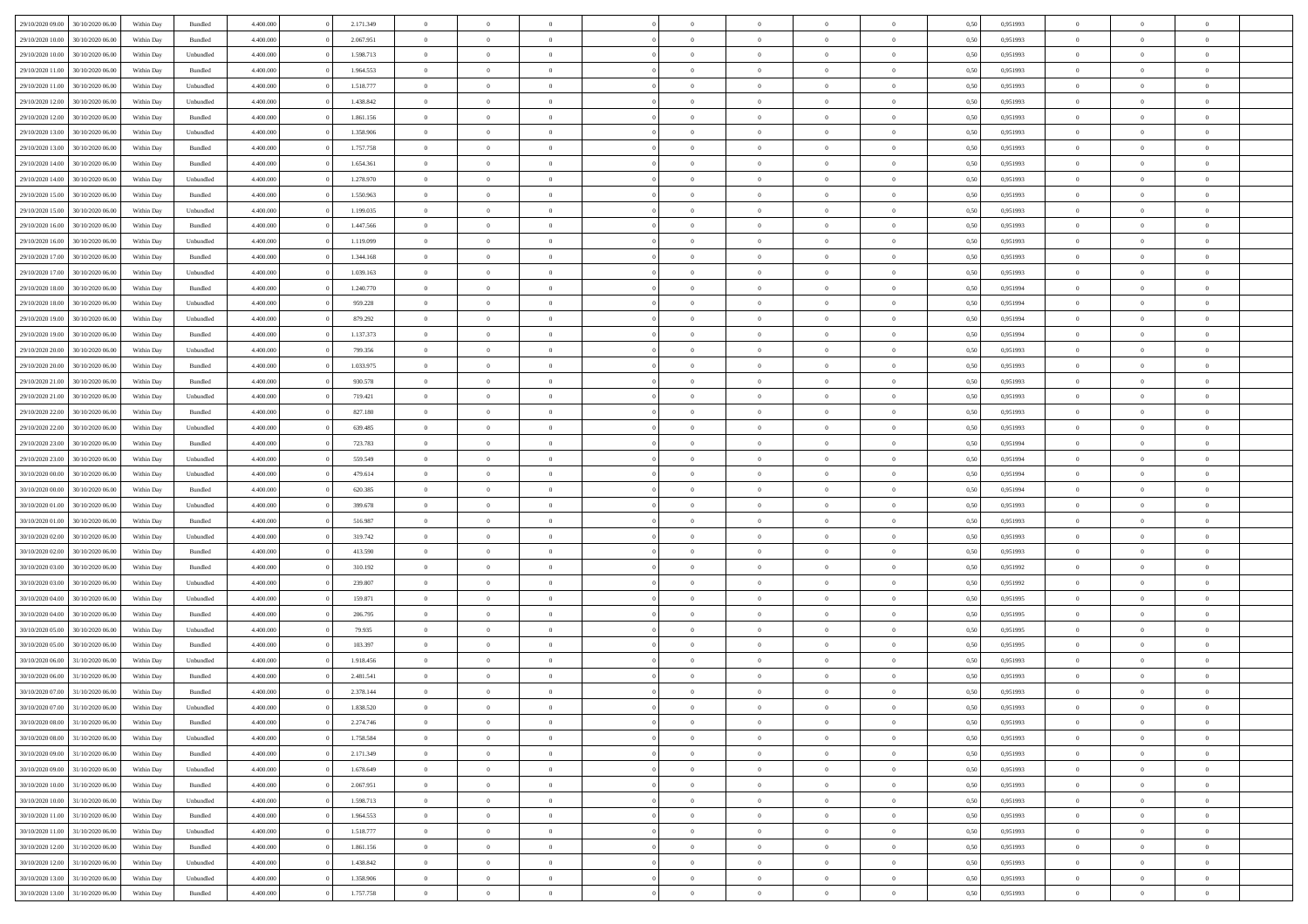|                  |                  |            |           |           |           |                |                |                |                | $\Omega$       |                | $\theta$       |      |          | $\theta$       | $\overline{0}$ |                |  |
|------------------|------------------|------------|-----------|-----------|-----------|----------------|----------------|----------------|----------------|----------------|----------------|----------------|------|----------|----------------|----------------|----------------|--|
| 29/10/2020 09:00 | 30/10/2020 06:00 | Within Day | Bundled   | 4.400.000 | 2.171.349 | $\overline{0}$ | $\theta$       |                | $\Omega$       |                | $\overline{0}$ |                | 0,50 | 0,951993 |                |                | $\overline{0}$ |  |
| 29/10/2020 10:00 | 30/10/2020 06.00 | Within Day | Bundled   | 4.400.000 | 2.067.951 | $\overline{0}$ | $\theta$       | $\overline{0}$ | $\overline{0}$ | $\bf{0}$       | $\overline{0}$ | $\bf{0}$       | 0,50 | 0,951993 | $\theta$       | $\overline{0}$ | $\overline{0}$ |  |
| 29/10/2020 10:00 | 30/10/2020 06.00 | Within Day | Unbundled | 4.400.000 | 1.598.713 | $\overline{0}$ | $\bf{0}$       | $\overline{0}$ | $\bf{0}$       | $\bf{0}$       | $\bf{0}$       | $\mathbf{0}$   | 0,50 | 0,951993 | $\overline{0}$ | $\overline{0}$ | $\overline{0}$ |  |
| 29/10/2020 11:00 | 30/10/2020 06:00 | Within Dav | Bundled   | 4.400.000 | 1.964.553 | $\overline{0}$ | $\overline{0}$ | $\overline{0}$ | $\overline{0}$ | $\bf{0}$       | $\overline{0}$ | $\overline{0}$ | 0.50 | 0.951993 | $\theta$       | $\overline{0}$ | $\overline{0}$ |  |
| 29/10/2020 11:00 | 30/10/2020 06.00 | Within Day | Unbundled | 4.400.000 | 1.518.777 | $\overline{0}$ | $\theta$       | $\overline{0}$ | $\overline{0}$ | $\bf{0}$       | $\overline{0}$ | $\bf{0}$       | 0,50 | 0,951993 | $\theta$       | $\overline{0}$ | $\overline{0}$ |  |
|                  |                  |            |           |           |           |                |                |                |                |                |                |                |      |          |                |                |                |  |
| 29/10/2020 12:00 | 30/10/2020 06.00 | Within Day | Unbundled | 4.400.000 | 1.438.842 | $\overline{0}$ | $\overline{0}$ | $\overline{0}$ | $\bf{0}$       | $\overline{0}$ | $\overline{0}$ | $\mathbf{0}$   | 0,50 | 0,951993 | $\overline{0}$ | $\overline{0}$ | $\bf{0}$       |  |
| 29/10/2020 12:00 | 30/10/2020 06.00 | Within Dav | Bundled   | 4.400.000 | 1.861.156 | $\overline{0}$ | $\overline{0}$ | $\overline{0}$ | $\overline{0}$ | $\overline{0}$ | $\overline{0}$ | $\overline{0}$ | 0.50 | 0.951993 | $\theta$       | $\overline{0}$ | $\overline{0}$ |  |
| 29/10/2020 13:00 | 30/10/2020 06.00 | Within Day | Unbundled | 4.400.000 | 1.358.906 | $\overline{0}$ | $\theta$       | $\overline{0}$ | $\overline{0}$ | $\bf{0}$       | $\overline{0}$ | $\bf{0}$       | 0,50 | 0,951993 | $\theta$       | $\theta$       | $\overline{0}$ |  |
| 29/10/2020 13:00 | 30/10/2020 06.00 | Within Day | Bundled   | 4.400.000 | 1.757.758 | $\overline{0}$ | $\overline{0}$ | $\overline{0}$ | $\bf{0}$       | $\bf{0}$       | $\bf{0}$       | $\bf{0}$       | 0,50 | 0,951993 | $\,0\,$        | $\overline{0}$ | $\overline{0}$ |  |
| 29/10/2020 14:00 | 30/10/2020 06.00 | Within Dav | Bundled   | 4.400.000 | 1.654.361 | $\overline{0}$ | $\overline{0}$ | $\overline{0}$ | $\overline{0}$ | $\overline{0}$ | $\overline{0}$ | $\overline{0}$ | 0.50 | 0.951993 | $\theta$       | $\overline{0}$ | $\overline{0}$ |  |
|                  |                  |            |           |           |           | $\overline{0}$ | $\theta$       | $\overline{0}$ | $\overline{0}$ | $\bf{0}$       | $\overline{0}$ |                |      |          | $\,$ 0 $\,$    | $\overline{0}$ | $\overline{0}$ |  |
| 29/10/2020 14:00 | 30/10/2020 06.00 | Within Day | Unbundled | 4.400.000 | 1.278.970 |                |                |                |                |                |                | $\bf{0}$       | 0,50 | 0,951993 |                |                |                |  |
| 29/10/2020 15:00 | 30/10/2020 06.00 | Within Day | Bundled   | 4.400.000 | 1.550.963 | $\overline{0}$ | $\bf{0}$       | $\overline{0}$ | $\bf{0}$       | $\bf{0}$       | $\bf{0}$       | $\mathbf{0}$   | 0,50 | 0,951993 | $\overline{0}$ | $\overline{0}$ | $\bf{0}$       |  |
| 29/10/2020 15:00 | 30/10/2020 06:00 | Within Day | Unbundled | 4.400.000 | 1.199.035 | $\overline{0}$ | $\overline{0}$ | $\overline{0}$ | $\overline{0}$ | $\bf{0}$       | $\overline{0}$ | $\overline{0}$ | 0.50 | 0.951993 | $\theta$       | $\theta$       | $\overline{0}$ |  |
| 29/10/2020 16.00 | 30/10/2020 06.00 | Within Day | Bundled   | 4.400.000 | 1.447.566 | $\overline{0}$ | $\theta$       | $\overline{0}$ | $\overline{0}$ | $\bf{0}$       | $\overline{0}$ | $\bf{0}$       | 0,50 | 0,951993 | $\theta$       | $\overline{0}$ | $\overline{0}$ |  |
| 29/10/2020 16:00 | 30/10/2020 06.00 | Within Day | Unbundled | 4.400.000 | 1.119.099 | $\overline{0}$ | $\overline{0}$ | $\overline{0}$ | $\bf{0}$       | $\overline{0}$ | $\overline{0}$ | $\mathbf{0}$   | 0,50 | 0,951993 | $\overline{0}$ | $\overline{0}$ | $\bf{0}$       |  |
| 29/10/2020 17:00 | 30/10/2020 06.00 | Within Dav | Bundled   | 4.400.000 | 1.344.168 | $\overline{0}$ | $\overline{0}$ | $\overline{0}$ | $\overline{0}$ | $\overline{0}$ | $\overline{0}$ | $\overline{0}$ | 0.50 | 0.951993 | $\theta$       | $\overline{0}$ | $\overline{0}$ |  |
|                  |                  |            |           |           |           | $\overline{0}$ | $\theta$       | $\overline{0}$ |                | $\bf{0}$       | $\overline{0}$ |                |      |          |                |                | $\overline{0}$ |  |
| 29/10/2020 17:00 | 30/10/2020 06.00 | Within Day | Unbundled | 4.400.000 | 1.039.163 |                |                |                | $\overline{0}$ |                |                | $\bf{0}$       | 0,50 | 0,951993 | $\,$ 0 $\,$    | $\overline{0}$ |                |  |
| 29/10/2020 18:00 | 30/10/2020 06.00 | Within Day | Bundled   | 4.400.000 | 1.240.770 | $\overline{0}$ | $\overline{0}$ | $\overline{0}$ | $\bf{0}$       | $\bf{0}$       | $\bf{0}$       | $\bf{0}$       | 0,50 | 0,951994 | $\,0\,$        | $\overline{0}$ | $\overline{0}$ |  |
| 29/10/2020 18:00 | 30/10/2020 06.00 | Within Dav | Unbundled | 4.400.000 | 959.228   | $\overline{0}$ | $\overline{0}$ | $\overline{0}$ | $\overline{0}$ | $\overline{0}$ | $\overline{0}$ | $\overline{0}$ | 0.50 | 0,951994 | $\theta$       | $\overline{0}$ | $\overline{0}$ |  |
| 29/10/2020 19:00 | 30/10/2020 06.00 | Within Day | Unbundled | 4.400.000 | 879.292   | $\overline{0}$ | $\theta$       | $\overline{0}$ | $\overline{0}$ | $\bf{0}$       | $\overline{0}$ | $\bf{0}$       | 0,50 | 0,951994 | $\,$ 0 $\,$    | $\overline{0}$ | $\overline{0}$ |  |
| 29/10/2020 19:00 | 30/10/2020 06.00 | Within Day | Bundled   | 4.400.000 | 1.137.373 | $\overline{0}$ | $\overline{0}$ | $\overline{0}$ | $\bf{0}$       | $\bf{0}$       | $\bf{0}$       | $\bf{0}$       | 0,50 | 0,951994 | $\overline{0}$ | $\overline{0}$ | $\bf{0}$       |  |
| 29/10/2020 20:00 | 30/10/2020 06:00 | Within Day | Unbundled | 4.400.000 | 799.356   | $\overline{0}$ | $\overline{0}$ | $\overline{0}$ | $\overline{0}$ | $\bf{0}$       | $\overline{0}$ | $\overline{0}$ | 0.50 | 0.951993 | $\theta$       | $\overline{0}$ | $\overline{0}$ |  |
| 29/10/2020 20.00 | 30/10/2020 06.00 | Within Day | Bundled   | 4.400.000 | 1.033.975 | $\overline{0}$ | $\theta$       | $\overline{0}$ | $\overline{0}$ | $\bf{0}$       | $\overline{0}$ | $\bf{0}$       | 0,50 | 0,951993 | $\,$ 0 $\,$    | $\overline{0}$ | $\overline{0}$ |  |
| 29/10/2020 21.00 | 30/10/2020 06.00 | Within Day | Bundled   | 4.400.000 | 930.578   | $\overline{0}$ | $\overline{0}$ | $\overline{0}$ | $\bf{0}$       | $\overline{0}$ | $\overline{0}$ | $\mathbf{0}$   | 0,50 | 0,951993 | $\overline{0}$ | $\overline{0}$ | $\bf{0}$       |  |
|                  |                  |            |           |           |           |                |                |                |                |                |                |                |      |          |                |                |                |  |
| 29/10/2020 21.00 | 30/10/2020 06.00 | Within Dav | Unbundled | 4.400.000 | 719.421   | $\overline{0}$ | $\overline{0}$ | $\overline{0}$ | $\overline{0}$ | $\overline{0}$ | $\overline{0}$ | $\overline{0}$ | 0.50 | 0.951993 | $\overline{0}$ | $\overline{0}$ | $\overline{0}$ |  |
| 29/10/2020 22.00 | 30/10/2020 06.00 | Within Day | Bundled   | 4.400.000 | 827.180   | $\overline{0}$ | $\theta$       | $\overline{0}$ | $\overline{0}$ | $\bf{0}$       | $\overline{0}$ | $\bf{0}$       | 0,50 | 0,951993 | $\theta$       | $\overline{0}$ | $\overline{0}$ |  |
| 29/10/2020 22.00 | 30/10/2020 06.00 | Within Day | Unbundled | 4.400.000 | 639.485   | $\overline{0}$ | $\overline{0}$ | $\overline{0}$ | $\bf{0}$       | $\bf{0}$       | $\bf{0}$       | $\bf{0}$       | 0,50 | 0,951993 | $\,0\,$        | $\overline{0}$ | $\overline{0}$ |  |
| 29/10/2020 23.00 | 30/10/2020 06.00 | Within Day | Bundled   | 4.400.000 | 723.783   | $\overline{0}$ | $\overline{0}$ | $\overline{0}$ | $\overline{0}$ | $\overline{0}$ | $\overline{0}$ | $\overline{0}$ | 0.50 | 0,951994 | $\theta$       | $\overline{0}$ | $\overline{0}$ |  |
| 29/10/2020 23.00 | 30/10/2020 06.00 | Within Day | Unbundled | 4.400.000 | 559.549   | $\overline{0}$ | $\theta$       | $\overline{0}$ | $\overline{0}$ | $\bf{0}$       | $\overline{0}$ | $\bf{0}$       | 0,50 | 0,951994 | $\,$ 0 $\,$    | $\overline{0}$ | $\overline{0}$ |  |
| 30/10/2020 00.00 | 30/10/2020 06.00 | Within Day | Unbundled | 4.400.000 | 479.614   | $\overline{0}$ | $\overline{0}$ | $\overline{0}$ | $\bf{0}$       | $\bf{0}$       | $\bf{0}$       | $\bf{0}$       | 0,50 | 0,951994 | $\bf{0}$       | $\overline{0}$ | $\bf{0}$       |  |
|                  | 30/10/2020 06:00 |            |           | 4.400,000 |           | $\overline{0}$ | $\Omega$       | $\Omega$       | $\Omega$       | $\Omega$       |                |                |      |          |                | $\theta$       | $\theta$       |  |
| 30/10/2020 00.00 |                  | Within Day | Bundled   |           | 620.385   |                |                |                |                |                | $\overline{0}$ | $\overline{0}$ | 0,50 | 0,951994 | $\,0\,$        |                |                |  |
| 30/10/2020 01:00 | 30/10/2020 06.00 | Within Day | Unbundled | 4.400.000 | 399.678   | $\overline{0}$ | $\theta$       | $\overline{0}$ | $\overline{0}$ | $\bf{0}$       | $\overline{0}$ | $\bf{0}$       | 0,50 | 0,951993 | $\,$ 0 $\,$    | $\overline{0}$ | $\overline{0}$ |  |
| 30/10/2020 01.00 | 30/10/2020 06.00 | Within Day | Bundled   | 4.400.000 | 516.987   | $\overline{0}$ | $\overline{0}$ | $\overline{0}$ | $\bf{0}$       | $\bf{0}$       | $\overline{0}$ | $\mathbf{0}$   | 0,50 | 0,951993 | $\bf{0}$       | $\overline{0}$ | $\bf{0}$       |  |
| 30/10/2020 02.00 | 30/10/2020 06:00 | Within Day | Unbundled | 4.400,000 | 319.742   | $\overline{0}$ | $\Omega$       | $\Omega$       | $\Omega$       | $\bf{0}$       | $\overline{0}$ | $\overline{0}$ | 0.50 | 0,951993 | $\,0\,$        | $\theta$       | $\theta$       |  |
| 30/10/2020 02.00 | 30/10/2020 06.00 | Within Day | Bundled   | 4.400.000 | 413.590   | $\overline{0}$ | $\theta$       | $\overline{0}$ | $\overline{0}$ | $\bf{0}$       | $\overline{0}$ | $\bf{0}$       | 0,50 | 0,951993 | $\,$ 0 $\,$    | $\overline{0}$ | $\overline{0}$ |  |
| 30/10/2020 03.00 | 30/10/2020 06.00 | Within Day | Bundled   | 4.400.000 | 310.192   | $\overline{0}$ | $\overline{0}$ | $\overline{0}$ | $\bf{0}$       | $\bf{0}$       | $\bf{0}$       | $\bf{0}$       | 0,50 | 0,951992 | $\bf{0}$       | $\overline{0}$ | $\bf{0}$       |  |
| 30/10/2020 03.00 | 30/10/2020 06:00 | Within Day | Unbundled | 4.400,000 | 239.807   | $\overline{0}$ | $\Omega$       | $\Omega$       | $\Omega$       | $\theta$       | $\theta$       | $\overline{0}$ | 0.50 | 0,951992 | $\,$ 0 $\,$    | $\theta$       | $\theta$       |  |
|                  |                  |            |           |           |           | $\overline{0}$ | $\overline{0}$ |                |                |                |                |                |      |          |                |                |                |  |
| 30/10/2020 04:00 | 30/10/2020 06.00 | Within Day | Unbundled | 4.400.000 | 159.871   |                |                | $\overline{0}$ | $\overline{0}$ | $\bf{0}$       | $\overline{0}$ | $\bf{0}$       | 0,50 | 0,951995 | $\,$ 0 $\,$    | $\overline{0}$ | $\overline{0}$ |  |
| 30/10/2020 04.00 | 30/10/2020 06.00 | Within Day | Bundled   | 4.400.000 | 206.795   | $\overline{0}$ | $\bf{0}$       | $\overline{0}$ | $\bf{0}$       | $\bf{0}$       | $\bf{0}$       | $\bf{0}$       | 0,50 | 0,951995 | $\bf{0}$       | $\overline{0}$ | $\bf{0}$       |  |
| 30/10/2020 05.00 | 30/10/2020 06.00 | Within Day | Unbundled | 4.400,000 | 79.935    | $\overline{0}$ | $\Omega$       | $\overline{0}$ | $\Omega$       | $\overline{0}$ | $\overline{0}$ | $\overline{0}$ | 0,50 | 0,951995 | $\,0\,$        | $\theta$       | $\theta$       |  |
| 30/10/2020 05:00 | 30/10/2020 06.00 | Within Day | Bundled   | 4.400.000 | 103.397   | $\overline{0}$ | $\overline{0}$ | $\overline{0}$ | $\overline{0}$ | $\,$ 0         | $\overline{0}$ | $\bf{0}$       | 0,50 | 0,951995 | $\,$ 0 $\,$    | $\overline{0}$ | $\overline{0}$ |  |
| 30/10/2020 06.00 | 31/10/2020 06.00 | Within Day | Unbundled | 4.400.000 | 1.918.456 | $\overline{0}$ | $\overline{0}$ | $\overline{0}$ | $\bf{0}$       | $\bf{0}$       | $\bf{0}$       | $\mathbf{0}$   | 0,50 | 0,951993 | $\overline{0}$ | $\overline{0}$ | $\bf{0}$       |  |
| 30/10/2020 06.00 | 31/10/2020 06:00 | Within Day | Bundled   | 4.400,000 | 2.481.541 | $\overline{0}$ | $\Omega$       | $\Omega$       | $\Omega$       | $\Omega$       | $\Omega$       | $\overline{0}$ | 0.50 | 0.951993 | $\theta$       | $\theta$       | $\theta$       |  |
| 30/10/2020 07.00 | 31/10/2020 06.00 | Within Day | Bundled   | 4.400.000 | 2.378.144 | $\overline{0}$ | $\overline{0}$ | $\overline{0}$ | $\bf{0}$       | $\,$ 0         | $\bf{0}$       | $\bf{0}$       | 0,50 | 0,951993 | $\,0\,$        | $\,0\,$        | $\overline{0}$ |  |
| 30/10/2020 07:00 | 31/10/2020 06.00 | Within Day | Unbundled | 4.400.000 | 1.838.520 | $\bf{0}$       | $\bf{0}$       |                |                | $\bf{0}$       |                |                | 0,50 | 0,951993 | $\bf{0}$       | $\overline{0}$ |                |  |
|                  |                  |            |           |           |           |                |                |                |                |                |                |                |      |          |                |                |                |  |
| 30/10/2020 08:00 | 31/10/2020 06:00 | Within Day | Bundled   | 4.400.000 | 2.274.746 | $\overline{0}$ | $\Omega$       | $\overline{0}$ | $\Omega$       | $\theta$       | $\overline{0}$ | $\overline{0}$ | 0,50 | 0.951993 | $\theta$       | $\theta$       | $\theta$       |  |
| 30/10/2020 08:00 | 31/10/2020 06.00 | Within Day | Unbundled | 4.400.000 | 1.758.584 | $\overline{0}$ | $\,$ 0         | $\overline{0}$ | $\bf{0}$       | $\,$ 0 $\,$    | $\overline{0}$ | $\mathbf{0}$   | 0,50 | 0,951993 | $\,$ 0 $\,$    | $\,$ 0 $\,$    | $\,$ 0         |  |
| 30/10/2020 09:00 | 31/10/2020 06.00 | Within Day | Bundled   | 4.400.000 | 2.171.349 | $\overline{0}$ | $\overline{0}$ | $\overline{0}$ | $\overline{0}$ | $\overline{0}$ | $\overline{0}$ | $\mathbf{0}$   | 0,50 | 0,951993 | $\overline{0}$ | $\bf{0}$       | $\bf{0}$       |  |
| 30/10/2020 09:00 | 31/10/2020 06.00 | Within Day | Unbundled | 4.400.000 | 1.678.649 | $\overline{0}$ | $\overline{0}$ | $\overline{0}$ | $\Omega$       | $\overline{0}$ | $\overline{0}$ | $\bf{0}$       | 0,50 | 0,951993 | $\overline{0}$ | $\theta$       | $\overline{0}$ |  |
| 30/10/2020 10:00 | 31/10/2020 06.00 | Within Day | Bundled   | 4.400.000 | 2.067.951 | $\overline{0}$ | $\,$ 0         | $\overline{0}$ | $\overline{0}$ | $\,$ 0 $\,$    | $\overline{0}$ | $\bf{0}$       | 0,50 | 0,951993 | $\,$ 0 $\,$    | $\overline{0}$ | $\overline{0}$ |  |
| 30/10/2020 10:00 | 31/10/2020 06.00 | Within Day | Unbundled | 4.400.000 | 1.598.713 | $\overline{0}$ | $\overline{0}$ | $\overline{0}$ | $\overline{0}$ | $\overline{0}$ | $\overline{0}$ | $\mathbf{0}$   | 0,50 | 0,951993 | $\overline{0}$ | $\overline{0}$ | $\bf{0}$       |  |
| 30/10/2020 11:00 | 31/10/2020 06.00 | Within Day | Bundled   | 4.400.000 | 1.964.553 | $\overline{0}$ | $\overline{0}$ | $\overline{0}$ | $\Omega$       | $\overline{0}$ | $\overline{0}$ | $\bf{0}$       | 0.50 | 0,951993 | $\overline{0}$ | $\theta$       | $\overline{0}$ |  |
|                  |                  |            |           |           |           |                |                |                |                |                |                |                |      |          |                |                |                |  |
| 30/10/2020 11:00 | 31/10/2020 06.00 | Within Day | Unbundled | 4.400.000 | 1.518.777 | $\overline{0}$ | $\,$ 0         | $\overline{0}$ | $\bf{0}$       | $\bf{0}$       | $\bf{0}$       | $\bf{0}$       | 0,50 | 0,951993 | $\,$ 0 $\,$    | $\overline{0}$ | $\overline{0}$ |  |
| 30/10/2020 12:00 | 31/10/2020 06.00 | Within Day | Bundled   | 4.400.000 | 1.861.156 | $\overline{0}$ | $\bf{0}$       | $\overline{0}$ | $\overline{0}$ | $\overline{0}$ | $\overline{0}$ | $\mathbf{0}$   | 0,50 | 0,951993 | $\overline{0}$ | $\overline{0}$ | $\bf{0}$       |  |
| 30/10/2020 12:00 | 31/10/2020 06.00 | Within Day | Unbundled | 4.400,000 | 1.438.842 | $\overline{0}$ | $\overline{0}$ | $\overline{0}$ | $\Omega$       | $\overline{0}$ | $\overline{0}$ | $\bf{0}$       | 0,50 | 0,951993 | $\overline{0}$ | $\theta$       | $\overline{0}$ |  |
| 30/10/2020 13:00 | 31/10/2020 06.00 | Within Day | Unbundled | 4.400.000 | 1.358.906 | $\overline{0}$ | $\bf{0}$       | $\overline{0}$ | $\overline{0}$ | $\bf{0}$       | $\bf{0}$       | $\mathbf{0}$   | 0,50 | 0,951993 | $\,$ 0 $\,$    | $\,$ 0 $\,$    | $\bf{0}$       |  |
| 30/10/2020 13:00 | 31/10/2020 06.00 | Within Day | Bundled   | 4.400.000 | 1.757.758 | $\overline{0}$ | $\overline{0}$ | $\overline{0}$ | $\overline{0}$ | $\bf{0}$       | $\bf{0}$       | $\mathbf{0}$   | 0,50 | 0,951993 | $\overline{0}$ | $\bf{0}$       | $\bf{0}$       |  |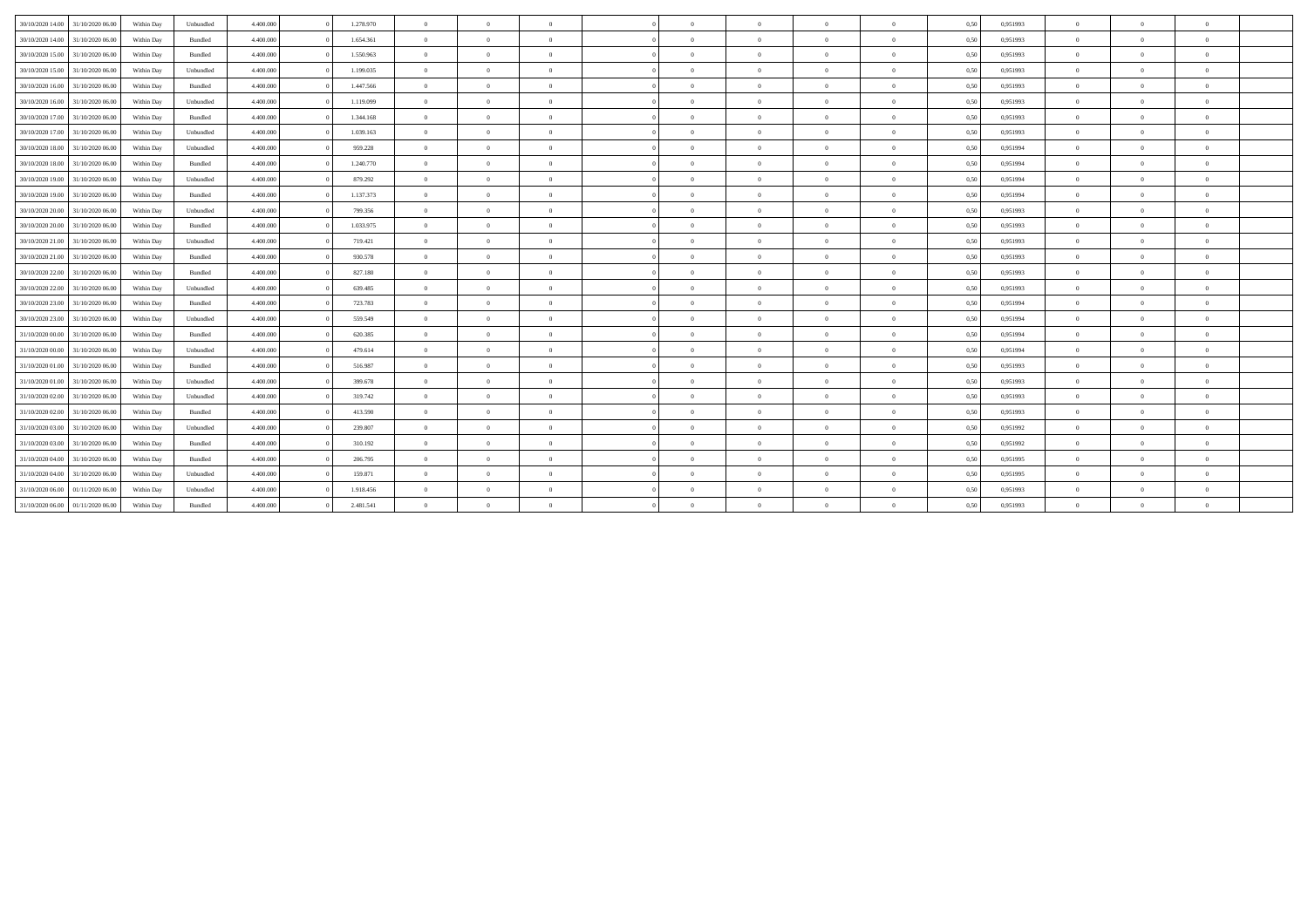| 30/10/2020 14:00 31/10/2020 06:00    | Within Day | Unbundled | 4.400,000 | 1.278.970 | $\Omega$       | $\theta$       | $\Omega$       |            | $\Omega$       | $\overline{0}$ | $\overline{0}$ | 0,50 | 0,951993 | $\theta$       | $\Omega$       | $\theta$                 |  |
|--------------------------------------|------------|-----------|-----------|-----------|----------------|----------------|----------------|------------|----------------|----------------|----------------|------|----------|----------------|----------------|--------------------------|--|
| 30/10/2020 14:00<br>31/10/2020 06.00 | Within Day | Bundled   | 4.400.000 | 1.654.361 | $\theta$       | $\theta$       | $\sqrt{2}$     |            | $\Omega$       | $\overline{0}$ | $\Omega$       | 0,50 | 0,951993 | $\Omega$       | $\Omega$       | $\theta$                 |  |
| 30/10/2020 15:00 31/10/2020 06:00    | Within Day | Bundled   | 4.400,000 | 1.550.963 | $\overline{0}$ | $\overline{0}$ | $\overline{0}$ | $\Omega$   | $\bf{0}$       | $\overline{0}$ | $\overline{0}$ | 0.50 | 0.951993 | $\theta$       | $\overline{0}$ | $\overline{0}$           |  |
| 30/10/2020 15:00<br>31/10/2020 06.00 | Within Day | Unbundled | 4.400.000 | 1.199.035 | $\overline{0}$ | $\bf{0}$       | $\overline{0}$ | $\Omega$   | $\overline{0}$ | $\overline{0}$ | $\overline{0}$ | 0,50 | 0,951993 | $\overline{0}$ | $\overline{0}$ | $\overline{0}$           |  |
| 30/10/2020 16:00<br>31/10/2020 06.00 | Within Day | Bundled   | 4.400,000 | 1.447.566 | $\overline{0}$ | $\overline{0}$ | $\theta$       |            | $\bf{0}$       | $\overline{0}$ | $\Omega$       | 0,50 | 0.951993 | $\theta$       | $\Omega$       | $\overline{0}$           |  |
| 30/10/2020 16:00<br>31/10/2020 06.00 | Within Day | Unbundled | 4.400,000 | 1.119.099 | $\overline{0}$ | $\theta$       | $\Omega$       |            | $\Omega$       | $\overline{0}$ | $\theta$       | 0,50 | 0,951993 | $\Omega$       | $\Omega$       | $\theta$                 |  |
| 30/10/2020 17:00<br>31/10/2020 06.00 | Within Dav | Bundled   | 4.400,000 | 1.344.168 | $\overline{0}$ | $\theta$       | $\theta$       |            | $\bf{0}$       | $\overline{0}$ | $\Omega$       | 0,50 | 0,951993 | $\theta$       | $\Omega$       | $\theta$                 |  |
| 30/10/2020 17.00 31/10/2020 06.00    | Within Day | Unbundled | 4.400.000 | 1.039.163 | $\overline{0}$ | $\theta$       | $\Omega$       | $\Omega$   | $\Omega$       | $\overline{0}$ | $\Omega$       | 0,50 | 0.951993 | $\Omega$       | $\Omega$       | $\theta$                 |  |
| 30/10/2020 18:00<br>31/10/2020 06.00 | Within Day | Unbundled | 4.400.000 | 959.228   | $\overline{0}$ | $\overline{0}$ | $\overline{0}$ | $\Omega$   | $\overline{0}$ | $\overline{0}$ | $\theta$       | 0,50 | 0.951994 | $\theta$       | $\overline{0}$ | $\overline{0}$           |  |
| 30/10/2020 18:00 31/10/2020 06:00    | Within Day | Bundled   | 4.400.000 | 1.240.770 | $\overline{0}$ | $\theta$       | $\overline{0}$ |            | $\bf{0}$       | $\overline{0}$ | $\overline{0}$ | 0,50 | 0.951994 | $\Omega$       | $\Omega$       | $\overline{0}$           |  |
| 30/10/2020 19:00 31/10/2020 06:00    | Within Day | Unbundled | 4.400.000 | 879.292   | $\overline{0}$ | $\theta$       | $\theta$       | $\Omega$   | $\Omega$       | $\overline{0}$ | $\Omega$       | 0,50 | 0,951994 | $\Omega$       | $\Omega$       | $\theta$                 |  |
| 30/10/2020 19:00<br>31/10/2020 06.00 | Within Day | Bundled   | 4.400,000 | 1.137.373 | $\overline{0}$ | $\overline{0}$ | $\theta$       | $\Omega$   | $\overline{0}$ | $\overline{0}$ | $\mathbf{0}$   | 0,50 | 0,951994 | $\theta$       | $\overline{0}$ | $\overline{0}$           |  |
| 30/10/2020 20:00<br>31/10/2020 06.00 | Within Day | Unbundled | 4.400.000 | 799.356   | $\overline{0}$ | $\overline{0}$ | $\overline{0}$ | $\Omega$   | $\bf{0}$       | $\overline{0}$ | $\overline{0}$ | 0,50 | 0,951993 | $\theta$       | $\Omega$       | $\overline{0}$           |  |
| 30/10/2020 20:00<br>31/10/2020 06.00 | Within Day | Bundled   | 4.400.000 | 1.033.975 | $\overline{0}$ | $\overline{0}$ | $\overline{0}$ | $\Omega$   | $\overline{0}$ | $\overline{0}$ | $\overline{0}$ | 0,50 | 0.951993 | $\theta$       | $\overline{0}$ | $\overline{0}$           |  |
| 30/10/2020 21:00<br>31/10/2020 06.00 | Within Day | Unbundled | 4.400,000 | 719.421   | $\theta$       | $\theta$       | $\Omega$       |            | $\Omega$       | $\overline{0}$ | $\Omega$       | 0,50 | 0.951993 | $\theta$       | $\Omega$       | $\theta$                 |  |
| 30/10/2020 21.00<br>31/10/2020 06.00 | Within Day | Bundled   | 4.400,000 | 930.578   | $\overline{0}$ | $\overline{0}$ | $\overline{0}$ | $\Omega$   | $\bf{0}$       | $\overline{0}$ | $\overline{0}$ | 0,50 | 0.951993 | $\theta$       | $\overline{0}$ | $\overline{0}$           |  |
| 30/10/2020 22.00<br>31/10/2020 06.00 | Within Day | Bundled   | 4.400,000 | 827.180   | $\theta$       | $\theta$       | $\Omega$       |            | $\Omega$       | $\overline{0}$ | $\overline{0}$ | 0,50 | 0,951993 | $\Omega$       | $\Omega$       | $\theta$                 |  |
| 30/10/2020 22.00<br>31/10/2020 06.00 | Within Day | Unbundled | 4.400.000 | 639.485   | $\overline{0}$ | $\Omega$       | $\sqrt{2}$     |            | $\theta$       | $\overline{0}$ | $\Omega$       | 0,50 | 0.951993 | $\Omega$       | $\Omega$       | $\theta$                 |  |
| 30/10/2020 23.00<br>31/10/2020 06.00 | Within Day | Bundled   | 4.400.000 | 723.783   | $\overline{0}$ | $\overline{0}$ | $\overline{0}$ | $\Omega$   | $\overline{0}$ | $\overline{0}$ | $\overline{0}$ | 0,50 | 0,951994 | $\theta$       | $\overline{0}$ | $\overline{0}$           |  |
| 30/10/2020 23.00<br>31/10/2020 06.00 | Within Day | Unbundled | 4.400.000 | 559.549   | $\overline{0}$ | $\Omega$       | $\overline{0}$ |            | $\Omega$       | $\overline{0}$ | $\Omega$       | 0,50 | 0.951994 | $\Omega$       | $\Omega$       | $\theta$                 |  |
| 31/10/2020 00:00 31/10/2020 06:00    | Within Day | Bundled   | 4.400,000 | 620.385   | $\overline{0}$ | $\theta$       | $\theta$       | $\Omega$   | $\Omega$       | $\overline{0}$ | $\Omega$       | 0,50 | 0.951994 | $\Omega$       | $\Omega$       | $\theta$                 |  |
| 31/10/2020 00:00<br>31/10/2020 06.00 | Within Day | Unbundled | 4.400,000 | 479.614   | $\overline{0}$ | $\theta$       | $\theta$       |            | $\Omega$       | $\overline{0}$ | $\Omega$       | 0,50 | 0.951994 | $\Omega$       | $\Omega$       | $\theta$                 |  |
| 31/10/2020 01:00 31/10/2020 06:00    | Within Day | Bundled   | 4.400,000 | 516.987   | $\overline{0}$ | $\overline{0}$ | $\overline{0}$ |            | $\bf{0}$       | $\overline{0}$ | $\Omega$       | 0,50 | 0.951993 | $\theta$       | $\Omega$       | $\overline{0}$           |  |
| 31/10/2020 01:00<br>31/10/2020 06.00 | Within Day | Unbundled | 4.400.000 | 399.678   | $\overline{0}$ | $\overline{0}$ | $\overline{0}$ | $\Omega$   | $\overline{0}$ | $\overline{0}$ | $\overline{0}$ | 0,50 | 0,951993 | $\Omega$       | $\Omega$       | $\theta$                 |  |
| 31/10/2020 02:00<br>31/10/2020 06.00 | Within Day | Unbundled | 4.400,000 | 319.742   | $\overline{0}$ | $\overline{0}$ | $\theta$       | $\sqrt{2}$ | $\bf{0}$       | $\overline{0}$ | $\Omega$       | 0,50 | 0,951993 | $\theta$       | $\overline{0}$ | $\theta$                 |  |
| 31/10/2020 02.00<br>31/10/2020 06.00 | Within Day | Bundled   | 4.400,000 | 413.590   | $\overline{0}$ | $\overline{0}$ | $\Omega$       | $\Omega$   | $\theta$       | $\overline{0}$ | $\overline{0}$ | 0,50 | 0,951993 | $\theta$       | $\Omega$       | $\theta$                 |  |
| 31/10/2020 03:00<br>31/10/2020 06:00 | Within Day | Unbundled | 4.400.000 | 239.807   | $\overline{0}$ | $\theta$       | $\sqrt{2}$     |            | $\Omega$       | $\overline{0}$ | $\Omega$       | 0,50 | 0,951992 | $\theta$       | $\Omega$       | $\theta$                 |  |
| 31/10/2020 03.00<br>31/10/2020 06.00 | Within Day | Bundled   | 4.400.000 | 310.192   | $\overline{0}$ | $\theta$       | $\Omega$       | $\Omega$   | $\Omega$       | $\overline{0}$ | $\Omega$       | 0,50 | 0.951992 | $\Omega$       | $\Omega$       | $\theta$                 |  |
| 31/10/2020 04:00<br>31/10/2020 06.00 | Within Day | Bundled   | 4.400.000 | 206.795   | $\overline{0}$ | $\overline{0}$ | $\overline{0}$ | $^{\circ}$ | $\overline{0}$ | $\overline{0}$ | $\overline{0}$ | 0,50 | 0.951995 | $\theta$       | $\overline{0}$ | $\overline{\phantom{a}}$ |  |
| 31/10/2020 04:00 31/10/2020 06:00    | Within Day | Unbundled | 4.400,000 | 159.871   | $\overline{0}$ | $\overline{0}$ | $\theta$       |            | $\bf{0}$       | $\overline{0}$ | $\overline{0}$ | 0.50 | 0.951995 | $\theta$       | $\overline{0}$ | $\overline{0}$           |  |
| 31/10/2020 06.00 01/11/2020 06.00    | Within Day | Unbundled | 4.400,000 | 1.918.456 | $\theta$       | $\theta$       | $\Omega$       | $\Omega$   | $\Omega$       | $\overline{0}$ | $\Omega$       | 0,50 | 0.951993 | $\Omega$       | $\Omega$       | $\theta$                 |  |
| 31/10/2020 06.00 01/11/2020 06.00    | Within Day | Bundled   | 4.400,000 | 2.481.541 | $\theta$       | $\Omega$       |                |            | $\Omega$       | $\overline{0}$ |                | 0,50 | 0,951993 | $\theta$       | $\Omega$       | $\theta$                 |  |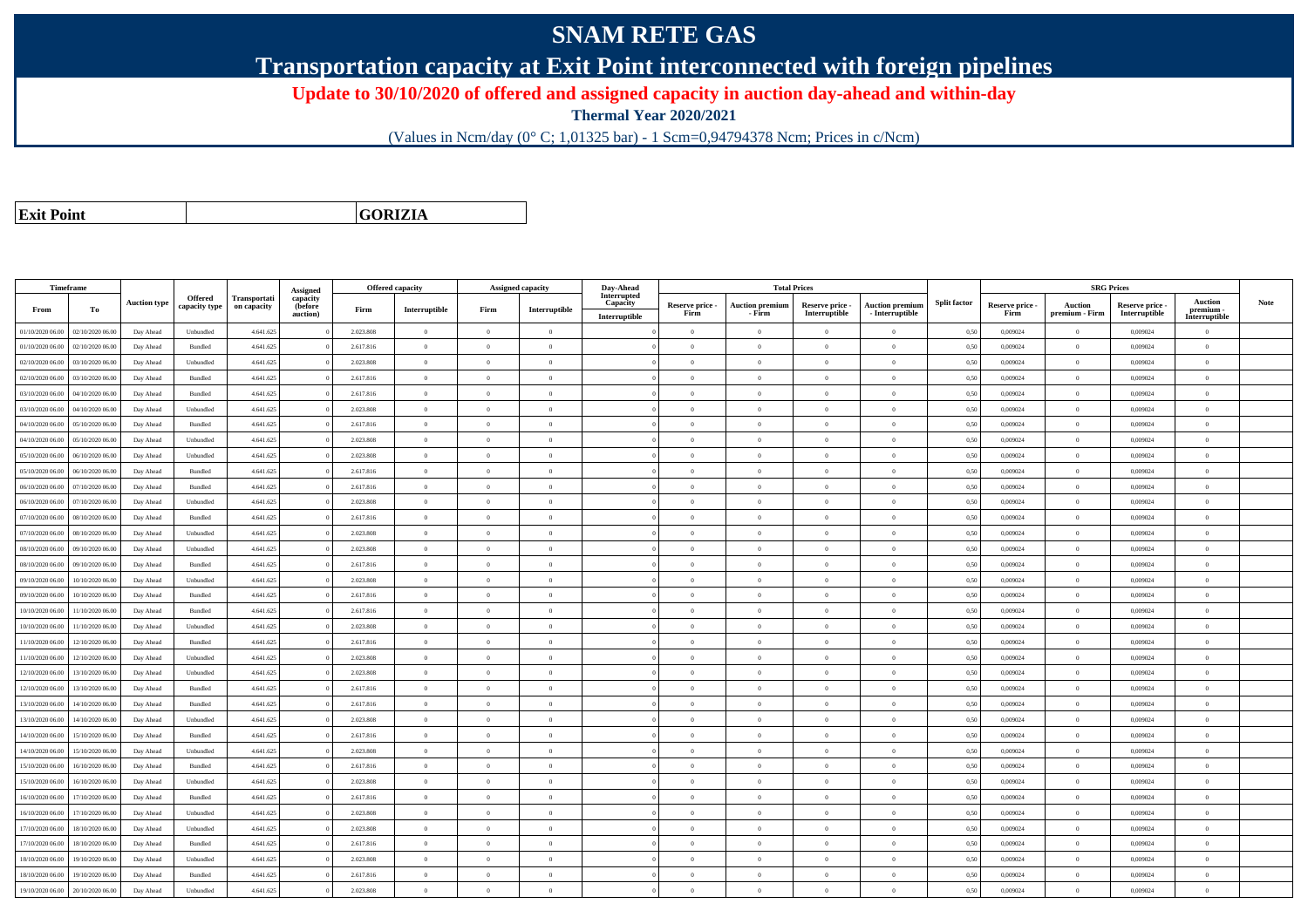## **SNAM RETE GAS**

**Transportation capacity at Exit Point interconnected with foreign pipelines**

**Update to 30/10/2020 of offered and assigned capacity in auction day-ahead and within-day**

**Thermal Year 2020/2021**

(Values in Ncm/day (0° C; 1,01325 bar) - 1 Scm=0,94794378 Ncm; Prices in c/Ncm)

**Exit Point**

**GORIZIA**

|                  | Timeframe        |                     |                          |                             |                                             |           | <b>Offered capacity</b> |                | <b>Assigned capacity</b> | Day-Ahead                                |                         |                                  | <b>Total Prices</b>              |                                             |                     |                         | <b>SRG Prices</b>         |                                  |                                              |      |
|------------------|------------------|---------------------|--------------------------|-----------------------------|---------------------------------------------|-----------|-------------------------|----------------|--------------------------|------------------------------------------|-------------------------|----------------------------------|----------------------------------|---------------------------------------------|---------------------|-------------------------|---------------------------|----------------------------------|----------------------------------------------|------|
| From             | To               | <b>Auction type</b> | Offered<br>capacity type | Transportati<br>on capacity | Assigned<br>capacity<br>(before<br>auction) | Firm      | Interruptible           | Firm           | Interruptible            | Interrupted<br>Capacity<br>Interruptible | Reserve price -<br>Firm | <b>Auction premium</b><br>- Firm | Reserve price -<br>Interruptible | <b>Auction premium</b><br>$-$ Interruptible | <b>Split factor</b> | Reserve price -<br>Firm | Auction<br>premium - Firm | Reserve price -<br>Interruptible | <b>Auction</b><br>premium -<br>Interruptible | Note |
| 01/10/2020 06.00 | 02/10/2020 06.00 | Day Ahead           | Unbundled                | 4.641.625                   |                                             | 2.023.808 | $\overline{0}$          | $\overline{0}$ | $\overline{0}$           |                                          | $\theta$                | $\overline{0}$                   | $\overline{0}$                   | $\overline{0}$                              | 0,50                | 0,009024                | $\theta$                  | 0,009024                         | $\overline{0}$                               |      |
| 01/10/2020 06.00 | 02/10/2020 06.00 | Day Ahead           | Bundled                  | 4.641.625                   |                                             | 2.617.816 | $\overline{0}$          | $\Omega$       | $\overline{0}$           |                                          | $\overline{0}$          | $\theta$                         | $\Omega$                         | $\overline{0}$                              | 0,50                | 0,009024                | $\bf{0}$                  | 0,009024                         | $\bf{0}$                                     |      |
| 02/10/2020 06.00 | 03/10/2020 06.00 | Day Ahead           | Unbundled                | 4.641.625                   |                                             | 2.023.808 | $\overline{0}$          | $\Omega$       | $\theta$                 |                                          | $\Omega$                |                                  |                                  | $\theta$                                    | 0,50                | 0,009024                | $\theta$                  | 0,009024                         | $\overline{0}$                               |      |
| 02/10/2020 06:00 | 03/10/2020 06.00 | Day Ahead           | Bundled                  | 4.641.625                   |                                             | 2.617.816 | $\overline{0}$          | $\overline{0}$ | $\Omega$                 |                                          | $\theta$                | $\theta$                         | $\Omega$                         | $\theta$                                    | 0,50                | 0.009024                | $\overline{0}$            | 0.009024                         | $\theta$                                     |      |
| 03/10/2020 06.00 | 04/10/2020 06.00 | Day Ahead           | Bundled                  | 4.641.625                   |                                             | 2.617.816 | $\overline{0}$          | $\theta$       | $\theta$                 |                                          | $\theta$                | $\theta$                         | $\overline{0}$                   | $\overline{0}$                              | 0,50                | 0,009024                | $\theta$                  | 0,009024                         | $\overline{0}$                               |      |
| 03/10/2020 06:00 | 04/10/2020 06:00 | Day Ahead           | Unbundled                | 4.641.625                   |                                             | 2.023.808 | $\overline{0}$          | $\Omega$       | $\Omega$                 |                                          | $\theta$                | $\theta$                         | $\Omega$                         | $\theta$                                    | 0,50                | 0.009024                | $\overline{0}$            | 0.009024                         | $\theta$                                     |      |
| 04/10/2020 06.00 | 05/10/2020 06.00 | Day Ahead           | Bundled                  | 4.641.625                   |                                             | 2.617.816 | $\overline{0}$          | $\theta$       | $\theta$                 |                                          | $\theta$                | $\sqrt{2}$                       | $\Omega$                         | $\theta$                                    | 0,50                | 0.009024                | $\mathbf{0}$              | 0.009024                         | $\theta$                                     |      |
| 04/10/2020 06.00 | 05/10/2020 06.00 | Day Ahead           | Unbundled                | 4.641.625                   |                                             | 2.023.808 | $\overline{0}$          | $\theta$       | $\Omega$                 |                                          | $\theta$                | $\theta$                         | $\Omega$                         | $\theta$                                    | 0,50                | 0,009024                | $\theta$                  | 0,009024                         | $\Omega$                                     |      |
| 05/10/2020 06.00 | 06/10/2020 06:00 | Day Ahead           | Unbundled                | 4.641.625                   |                                             | 2.023.808 | $\overline{0}$          | $\Omega$       | $\Omega$                 |                                          | $\theta$                | $\sqrt{2}$                       | $\Omega$                         | $\theta$                                    | 0.50                | 0.009024                | $\Omega$                  | 0.009024                         | $\theta$                                     |      |
| 05/10/2020 06:00 | 06/10/2020 06.00 | Day Ahead           | Bundled                  | 4.641.625                   |                                             | 2.617.816 | $\Omega$                | $\Omega$       | $\Omega$                 |                                          | $\theta$                | $\theta$                         |                                  | $\theta$                                    | 0,50                | 0,009024                | $\theta$                  | 0,009024                         | $\Omega$                                     |      |
| 06/10/2020 06:00 | 07/10/2020 06:00 | Day Ahead           | Bundled                  | 4.641.625                   |                                             | 2.617.816 | $\overline{0}$          | $\overline{0}$ | $\theta$                 |                                          | $\theta$                | $\theta$                         | $\Omega$                         | $\theta$                                    | 0.50                | 0.009024                | $\theta$                  | 0.009024                         | $\theta$                                     |      |
| 06/10/2020 06.00 | 07/10/2020 06.00 | Day Ahead           | Unbundled                | 4.641.625                   |                                             | 2.023.808 | $\overline{0}$          | $\overline{0}$ | $\theta$                 |                                          | $\theta$                | $\bf{0}$                         | $\overline{0}$                   | $\overline{0}$                              | 0,50                | 0,009024                | $\overline{0}$            | 0,009024                         | $\overline{0}$                               |      |
| 07/10/2020 06:00 | 08/10/2020 06:00 | Day Ahead           | Bundled                  | 4.641.625                   |                                             | 2.617.816 | $\overline{0}$          | $\Omega$       | $\theta$                 |                                          | $\theta$                | $\theta$                         | $\Omega$                         | $\overline{0}$                              | 0.50                | 0.009024                | $\theta$                  | 0.009024                         | $\overline{0}$                               |      |
| 07/10/2020 06.00 | 08/10/2020 06:00 | Day Ahead           | Unbundled                | 4.641.625                   |                                             | 2.023.808 | $\overline{0}$          | $\overline{0}$ | $\Omega$                 |                                          | $\overline{0}$          | $\theta$                         | $\Omega$                         | $\overline{0}$                              | 0,50                | 0.009024                | $\bf{0}$                  | 0.009024                         | $\overline{0}$                               |      |
| 08/10/2020 06.00 | 09/10/2020 06.00 | Day Ahead           | Unbundled                | 4.641.625                   |                                             | 2.023.808 | $\overline{0}$          | $\Omega$       | $\theta$                 |                                          | $\theta$                | $\theta$                         | $\Omega$                         | $\overline{0}$                              | 0,50                | 0,009024                | $\theta$                  | 0,009024                         | $\overline{0}$                               |      |
| 08/10/2020 06:00 | 09/10/2020 06.00 | Day Ahead           | Bundled                  | 4.641.625                   |                                             | 2.617.816 | $\overline{0}$          | $\Omega$       | $\Omega$                 |                                          | $\theta$                | $\Omega$                         | $\Omega$                         | $\theta$                                    | 0,50                | 0.009024                | $\theta$                  | 0.009024                         | $\theta$                                     |      |
| 09/10/2020 06.00 | 10/10/2020 06.00 | Day Ahead           | Unbundled                | 4.641.625                   |                                             | 2.023.808 | $\overline{0}$          | $\theta$       | $\Omega$                 |                                          | $\theta$                | $\sqrt{2}$                       | $\Omega$                         | $\theta$                                    | 0,50                | 0,009024                | $\mathbf{0}$              | 0,009024                         | $\bf{0}$                                     |      |
| 09/10/2020 06:00 | 10/10/2020 06:00 | Day Ahead           | Bundled                  | 4.641.625                   |                                             | 2.617.816 | $\overline{0}$          | $\Omega$       | $\Omega$                 |                                          | $\theta$                | $\theta$                         | $\Omega$                         | $\overline{0}$                              | 0,50                | 0,009024                | $\theta$                  | 0,009024                         | $\overline{0}$                               |      |
| 10/10/2020 06:00 | 11/10/2020 06:00 | Day Ahead           | Bundled                  | 4.641.625                   |                                             | 2.617.816 | $\overline{0}$          | $\theta$       | $\Omega$                 |                                          | $\theta$                | $\theta$                         | $\Omega$                         | $\overline{0}$                              | 0.50                | 0.009024                | $\,$ 0 $\,$               | 0.009024                         | $\theta$                                     |      |
| 10/10/2020 06:00 | 11/10/2020 06.0  | Day Ahead           | Unbundled                | 4.641.625                   |                                             | 2.023.808 | $\overline{0}$          | $\overline{0}$ | $\theta$                 |                                          | $\theta$                | $\theta$                         | $\Omega$                         | $\overline{0}$                              | 0,50                | 0,009024                | $\theta$                  | 0,009024                         | $\overline{0}$                               |      |
| 11/10/2020 06:00 | 12/10/2020 06:00 | Day Ahead           | Bundled                  | 4.641.625                   |                                             | 2.617.816 | $\theta$                | $\theta$       | $\theta$                 |                                          | $\theta$                | $\theta$                         | $\Omega$                         | $\theta$                                    | 0.50                | 0.009024                | $\theta$                  | 0.009024                         | $\theta$                                     |      |
| 11/10/2020 06.00 | 12/10/2020 06.00 | Day Ahead           | Unbundled                | 4.641.625                   |                                             | 2.023.808 | $\overline{0}$          | $\Omega$       | $\Omega$                 |                                          | $\Omega$                | $\theta$                         | $\Omega$                         | $\overline{0}$                              | 0,50                | 0,009024                | $\theta$                  | 0,009024                         | $\theta$                                     |      |
| 12/10/2020 06:00 | 13/10/2020 06.00 | Day Ahead           | Unbundled                | 4.641.625                   |                                             | 2.023.808 | $\overline{0}$          | $\overline{0}$ | $\overline{0}$           |                                          | $\theta$                | $\theta$                         |                                  | $\overline{0}$                              | 0,50                | 0,009024                | $\theta$                  | 0.009024                         | $\overline{0}$                               |      |
| 12/10/2020 06:00 | 13/10/2020 06.00 | Day Ahead           | Bundled                  | 4.641.625                   |                                             | 2.617.816 | $\overline{0}$          | $\overline{0}$ | $\theta$                 |                                          | $\theta$                | $\theta$                         | $\Omega$                         | $\theta$                                    | 0,50                | 0,009024                | $\,$ 0 $\,$               | 0,009024                         | $\bf{0}$                                     |      |
| 13/10/2020 06:00 | 14/10/2020 06.00 | Day Ahead           | Bundled                  | 4.641.625                   |                                             | 2.617.816 | $\overline{0}$          | $\theta$       | $\theta$                 |                                          | $\theta$                | $\overline{0}$                   | $\overline{0}$                   | $\overline{0}$                              | 0,50                | 0,009024                | $\theta$                  | 0,009024                         | $\overline{0}$                               |      |
| 13/10/2020 06:00 | 14/10/2020 06.00 | Day Ahead           | Unbundled                | 4.641.625                   |                                             | 2.023.808 | $\overline{0}$          | $\Omega$       | $\Omega$                 |                                          | $\Omega$                | $\Omega$                         |                                  | $\overline{0}$                              | 0,50                | 0,009024                | $\theta$                  | 0,009024                         | $\overline{0}$                               |      |
| 14/10/2020 06.00 | 15/10/2020 06.00 | Day Ahead           | Bundled                  | 4.641.625                   |                                             | 2.617.816 | $\,$ 0 $\,$             | $\theta$       | $\Omega$                 |                                          | $\theta$                | $\sqrt{2}$                       | $\Omega$                         | $\overline{0}$                              | 0,50                | 0,009024                | $\,$ 0 $\,$               | 0,009024                         | $\overline{0}$                               |      |
| 14/10/2020 06.00 | 15/10/2020 06.00 | Day Ahead           | Unbundled                | 4.641.625                   |                                             | 2.023.808 | $\overline{0}$          | $\Omega$       | $\Omega$                 |                                          | $\Omega$                | $\theta$                         | $\Omega$                         | $\overline{0}$                              | 0,50                | 0,009024                | $\theta$                  | 0,009024                         | $\theta$                                     |      |
| 15/10/2020 06:00 | 16/10/2020 06:00 | Day Ahead           | Bundled                  | 4.641.625                   |                                             | 2.617.816 | $\overline{0}$          | $\theta$       | $\theta$                 |                                          | $\theta$                | $\theta$                         | $\Omega$                         | $\theta$                                    | 0.50                | 0.009024                | $\Omega$                  | 0.009024                         | $\theta$                                     |      |
| 15/10/2020 06.00 | 16/10/2020 06.0  | Day Ahead           | Unbundled                | 4.641.625                   |                                             | 2.023.808 | $\overline{0}$          | $\theta$       | $\Omega$                 |                                          | $\theta$                | $\theta$                         | $\Omega$                         | $\overline{0}$                              | 0,50                | 0,009024                | $\theta$                  | 0,009024                         | $\overline{0}$                               |      |
| 16/10/2020 06:00 | 17/10/2020 06.00 | Day Ahead           | Bundled                  | 4.641.625                   |                                             | 2.617.816 | $\overline{0}$          | $\theta$       | $\Omega$                 |                                          | $\theta$                | $\theta$                         | $\Omega$                         | $\overline{0}$                              | 0,50                | 0.009024                | $\theta$                  | 0.009024                         | $\theta$                                     |      |
| 16/10/2020 06:00 | 17/10/2020 06:00 | Day Ahead           | Unbundled                | 4.641.625                   |                                             | 2.023.808 | $\overline{0}$          | $\theta$       | $\Omega$                 |                                          | $\theta$                | $\theta$                         | $\Omega$                         | $\overline{0}$                              | 0.50                | 0.009024                | $\overline{0}$            | 0.009024                         | $\theta$                                     |      |
| 17/10/2020 06:00 | 18/10/2020 06.00 | Day Ahead           | Unbundled                | 4.641.625                   |                                             | 2.023.808 | $\overline{0}$          | $\theta$       | $\Omega$                 |                                          | $\theta$                | $\theta$                         |                                  | $\theta$                                    | 0.50                | 0.009024                | $\theta$                  | 0.009024                         | $\Omega$                                     |      |
| 17/10/2020 06.00 | 18/10/2020 06:00 | Day Ahead           | Bundled                  | 4.641.625                   |                                             | 2.617.816 | $\overline{0}$          | $\overline{0}$ | $\theta$                 |                                          | $\theta$                | $\theta$                         | $\Omega$                         | $\overline{0}$                              | 0.50                | 0.009024                | $\theta$                  | 0.009024                         | $\overline{0}$                               |      |
| 18/10/2020 06:00 | 19/10/2020 06:00 | Day Ahead           | Unbundled                | 4.641.625                   |                                             | 2.023.808 | $\overline{0}$          | $\Omega$       | $\theta$                 |                                          | $\theta$                | $\theta$                         | $\Omega$                         | $\overline{0}$                              | 0,50                | 0,009024                | $\,$ 0 $\,$               | 0,009024                         | $\bf{0}$                                     |      |
| 18/10/2020 06:00 | 19/10/2020 06.00 | Day Ahead           | Bundled                  | 4.641.625                   |                                             | 2.617.816 | $\overline{0}$          | $\Omega$       | $\Omega$                 |                                          | $\Omega$                |                                  |                                  | $\theta$                                    | 0,50                | 0,009024                | $\theta$                  | 0,009024                         | $\overline{0}$                               |      |
| 19/10/2020 06:00 | 20/10/2020 06:00 | Day Ahead           | Unbundled                | 4.641.625                   |                                             | 2.023.808 | $\overline{0}$          | $\Omega$       | $\Omega$                 |                                          | $\Omega$                | $\Omega$                         |                                  | $\theta$                                    | 0,50                | 0,009024                | $\theta$                  | 0,009024                         | $\overline{0}$                               |      |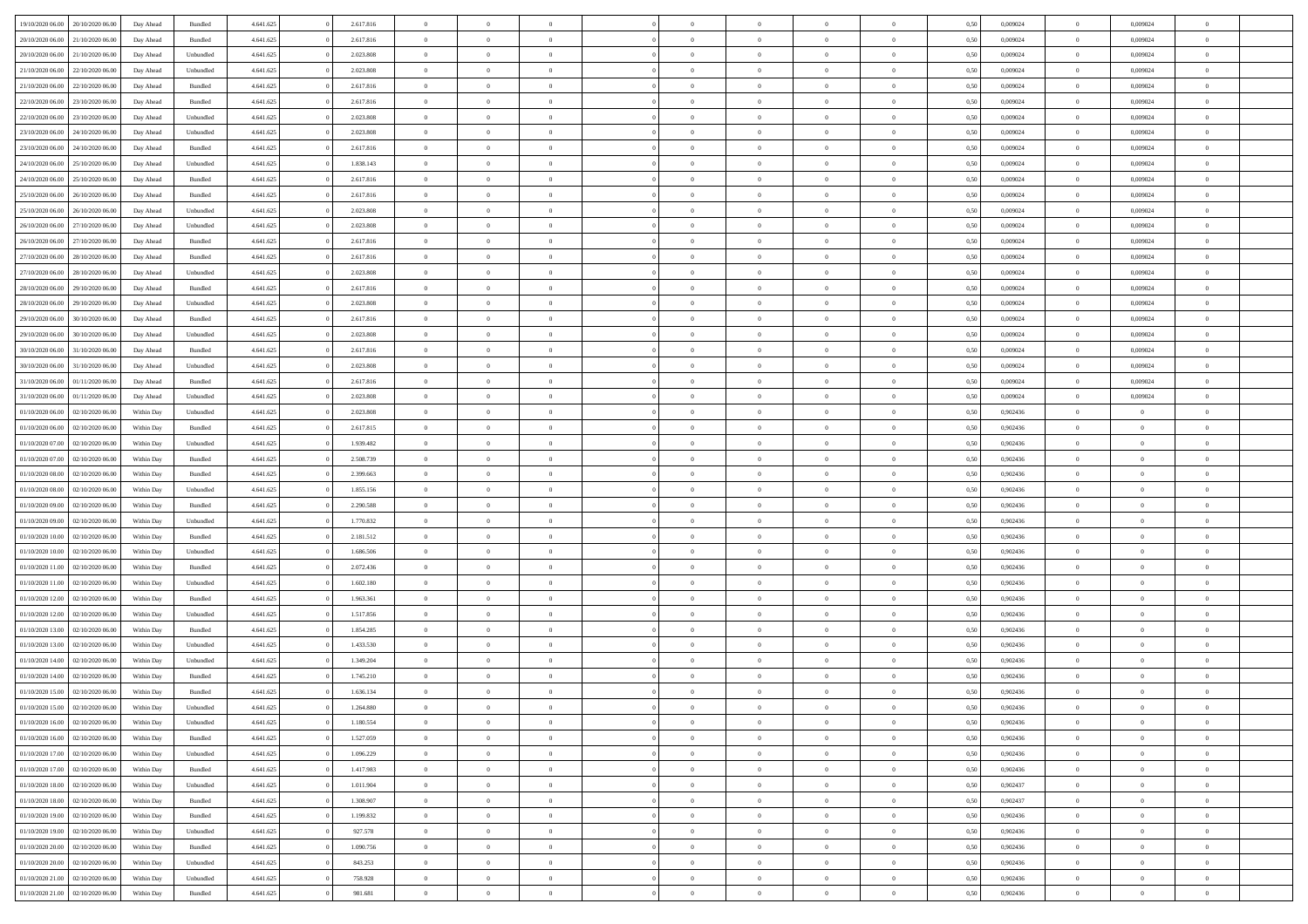| 19/10/2020 06:00 | 20/10/2020 06:00 | Day Ahead  | Bundled            | 4.641.625 | 2.617.816 | $\overline{0}$ | $\Omega$       |                |                | $\theta$       | $\Omega$       | $\Omega$     | 0,50 | 0,009024 | $\mathbf{0}$   | 0,009024       | $\Omega$       |  |
|------------------|------------------|------------|--------------------|-----------|-----------|----------------|----------------|----------------|----------------|----------------|----------------|--------------|------|----------|----------------|----------------|----------------|--|
| 20/10/2020 06.00 | 21/10/2020 06.00 | Day Ahead  | Bundled            | 4.641.625 | 2.617.816 | $\overline{0}$ | $\overline{0}$ | $\overline{0}$ |                | $\overline{0}$ | $\overline{0}$ | $\theta$     | 0,50 | 0,009024 | $\bf{0}$       | 0,009024       | $\bf{0}$       |  |
| 20/10/2020 06.00 | 21/10/2020 06.00 | Day Ahead  | Unbundled          | 4.641.625 | 2.023.808 | $\overline{0}$ | $\bf{0}$       | $\overline{0}$ | $\overline{0}$ | $\bf{0}$       | $\overline{0}$ | $\bf{0}$     | 0,50 | 0,009024 | $\bf{0}$       | 0,009024       | $\bf{0}$       |  |
| 21/10/2020 06:00 | 22/10/2020 06:00 | Day Ahead  | Unbundled          | 4.641.625 | 2.023.808 | $\overline{0}$ | $\overline{0}$ | $\overline{0}$ | $^{\circ}$     | $\overline{0}$ | $\overline{0}$ | $\bf{0}$     | 0.50 | 0.009024 | $\mathbf{0}$   | 0.009024       | $\overline{0}$ |  |
|                  |                  |            |                    |           |           |                |                |                |                |                |                |              |      |          |                |                |                |  |
| 21/10/2020 06.00 | 22/10/2020 06.00 | Day Ahead  | Bundled            | 4.641.625 | 2.617.816 | $\overline{0}$ | $\overline{0}$ | $\overline{0}$ |                | $\overline{0}$ | $\overline{0}$ | $\theta$     | 0,50 | 0,009024 | $\bf{0}$       | 0,009024       | $\overline{0}$ |  |
| 22/10/2020 06.00 | 23/10/2020 06.00 | Day Ahead  | Bundled            | 4.641.625 | 2.617.816 | $\overline{0}$ | $\bf{0}$       | $\overline{0}$ | $\overline{0}$ | $\bf{0}$       | $\overline{0}$ | $\bf{0}$     | 0,50 | 0,009024 | $\bf{0}$       | 0,009024       | $\bf{0}$       |  |
| 22/10/2020 06:00 | 23/10/2020 06:00 | Day Ahead  | Unbundled          | 4.641.625 | 2.023.808 | $\overline{0}$ | $\overline{0}$ | $\overline{0}$ | $\Omega$       | $\overline{0}$ | $\overline{0}$ | $\bf{0}$     | 0,50 | 0,009024 | $\overline{0}$ | 0.009024       | $\overline{0}$ |  |
| 23/10/2020 06.00 | 24/10/2020 06.00 | Day Ahead  | Unbundled          | 4.641.625 | 2.023.808 | $\overline{0}$ | $\overline{0}$ | $\overline{0}$ |                | $\overline{0}$ | $\overline{0}$ | $\theta$     | 0,50 | 0,009024 | $\bf{0}$       | 0,009024       | $\overline{0}$ |  |
|                  |                  |            |                    |           |           |                |                |                |                |                |                |              |      |          |                |                |                |  |
| 23/10/2020 06:00 | 24/10/2020 06.00 | Day Ahead  | Bundled            | 4.641.625 | 2.617.816 | $\overline{0}$ | $\overline{0}$ | $\overline{0}$ | $\overline{0}$ | $\bf{0}$       | $\overline{0}$ | $\bf{0}$     | 0,50 | 0,009024 | $\bf{0}$       | 0,009024       | $\bf{0}$       |  |
| 24/10/2020 06.00 | 25/10/2020 06:00 | Day Ahead  | Unbundled          | 4.641.625 | 1.838.143 | $\overline{0}$ | $\overline{0}$ | $\overline{0}$ | $\Omega$       | $\overline{0}$ | $\overline{0}$ | $\bf{0}$     | 0,50 | 0,009024 | $\mathbf{0}$   | 0,009024       | $\overline{0}$ |  |
| 24/10/2020 06.00 | 25/10/2020 06.00 | Day Ahead  | Bundled            | 4.641.625 | 2.617.816 | $\overline{0}$ | $\overline{0}$ | $\overline{0}$ | $\overline{0}$ | $\overline{0}$ | $\overline{0}$ | $\theta$     | 0,50 | 0,009024 | $\,$ 0 $\,$    | 0,009024       | $\overline{0}$ |  |
| 25/10/2020 06.00 | 26/10/2020 06.00 | Day Ahead  | Bundled            | 4.641.625 | 2.617.816 | $\overline{0}$ | $\bf{0}$       | $\overline{0}$ | $\overline{0}$ | $\bf{0}$       | $\overline{0}$ | $\bf{0}$     | 0,50 | 0,009024 | $\bf{0}$       | 0,009024       | $\bf{0}$       |  |
| 25/10/2020 06:00 | 26/10/2020 06:00 |            | Unbundled          | 4.641.625 | 2.023.808 | $\overline{0}$ | $\overline{0}$ | $\overline{0}$ | $^{\circ}$     | $\overline{0}$ | $\overline{0}$ | $\bf{0}$     | 0.50 | 0.009024 | $\mathbf{0}$   | 0.009024       | $\overline{0}$ |  |
|                  |                  | Day Ahead  |                    |           |           |                |                |                |                |                |                |              |      |          |                |                |                |  |
| 26/10/2020 06.00 | 27/10/2020 06.00 | Day Ahead  | Unbundled          | 4.641.625 | 2.023.808 | $\overline{0}$ | $\overline{0}$ | $\overline{0}$ |                | $\overline{0}$ | $\overline{0}$ | $\theta$     | 0,50 | 0,009024 | $\bf{0}$       | 0,009024       | $\overline{0}$ |  |
| 26/10/2020 06:00 | 27/10/2020 06.00 | Day Ahead  | Bundled            | 4.641.625 | 2.617.816 | $\overline{0}$ | $\bf{0}$       | $\overline{0}$ | $\overline{0}$ | $\bf{0}$       | $\overline{0}$ | $\bf{0}$     | 0,50 | 0,009024 | $\bf{0}$       | 0,009024       | $\bf{0}$       |  |
| 27/10/2020 06.00 | 28/10/2020 06:00 | Day Ahead  | Bundled            | 4.641.625 | 2.617.816 | $\overline{0}$ | $\overline{0}$ | $\overline{0}$ | $\Omega$       | $\overline{0}$ | $\overline{0}$ | $\bf{0}$     | 0,50 | 0,009024 | $\overline{0}$ | 0.009024       | $\overline{0}$ |  |
| 27/10/2020 06.00 | 28/10/2020 06.00 | Day Ahead  | Unbundled          | 4.641.625 | 2.023.808 | $\overline{0}$ | $\overline{0}$ | $\overline{0}$ | $\overline{0}$ | $\overline{0}$ | $\overline{0}$ | $\theta$     | 0,50 | 0,009024 | $\bf{0}$       | 0,009024       | $\overline{0}$ |  |
|                  |                  |            |                    |           |           |                |                |                |                |                |                |              |      |          |                |                |                |  |
| 28/10/2020 06.00 | 29/10/2020 06.00 | Day Ahead  | Bundled            | 4.641.625 | 2.617.816 | $\overline{0}$ | $\overline{0}$ | $\overline{0}$ | $\overline{0}$ | $\bf{0}$       | $\overline{0}$ | $\bf{0}$     | 0,50 | 0,009024 | $\bf{0}$       | 0,009024       | $\bf{0}$       |  |
| 28/10/2020 06:00 | 29/10/2020 06:00 | Day Ahead  | Unbundled          | 4.641.625 | 2.023.808 | $\overline{0}$ | $\overline{0}$ | $\overline{0}$ | $\Omega$       | $\overline{0}$ | $\overline{0}$ | $\bf{0}$     | 0.50 | 0,009024 | $\mathbf{0}$   | 0.009024       | $\overline{0}$ |  |
| 29/10/2020 06.00 | 30/10/2020 06.00 | Day Ahead  | Bundled            | 4.641.625 | 2.617.816 | $\overline{0}$ | $\overline{0}$ | $\overline{0}$ | $\overline{0}$ | $\overline{0}$ | $\overline{0}$ | $\theta$     | 0,50 | 0,009024 | $\,$ 0 $\,$    | 0,009024       | $\overline{0}$ |  |
| 29/10/2020 06.00 | 30/10/2020 06.00 | Day Ahead  | Unbundled          | 4.641.625 | 2.023.808 | $\overline{0}$ | $\bf{0}$       | $\overline{0}$ | $\overline{0}$ | $\bf{0}$       | $\overline{0}$ | $\bf{0}$     | 0,50 | 0,009024 | $\bf{0}$       | 0,009024       | $\bf{0}$       |  |
| 30/10/2020 06:00 | 31/10/2020 06:00 |            | Bundled            | 4.641.625 | 2.617.816 | $\overline{0}$ | $\overline{0}$ |                |                | $\overline{0}$ | $\overline{0}$ |              | 0.50 | 0.009024 | $\mathbf{0}$   | 0.009024       | $\overline{0}$ |  |
|                  |                  | Day Ahead  |                    |           |           |                |                | $\overline{0}$ | $^{\circ}$     |                |                | $\bf{0}$     |      |          |                |                |                |  |
| 30/10/2020 06.00 | 31/10/2020 06.00 | Day Ahead  | Unbundled          | 4.641.625 | 2.023.808 | $\overline{0}$ | $\overline{0}$ | $\overline{0}$ |                | $\overline{0}$ | $\overline{0}$ | $\theta$     | 0,50 | 0,009024 | $\bf{0}$       | 0,009024       | $\overline{0}$ |  |
| 31/10/2020 06.00 | 01/11/2020 06.00 | Day Ahead  | Bundled            | 4.641.625 | 2.617.816 | $\overline{0}$ | $\bf{0}$       | $\overline{0}$ | $\overline{0}$ | $\bf{0}$       | $\overline{0}$ | $\bf{0}$     | 0,50 | 0,009024 | $\bf{0}$       | 0,009024       | $\bf{0}$       |  |
| 31/10/2020 06:00 | 01/11/2020 06:00 | Day Ahead  | Unbundled          | 4.641.625 | 2.023.808 | $\overline{0}$ | $\overline{0}$ | $\overline{0}$ | $\Omega$       | $\overline{0}$ | $\overline{0}$ | $\bf{0}$     | 0,50 | 0,009024 | $\mathbf{0}$   | 0,009024       | $\overline{0}$ |  |
| 01/10/2020 06.00 | 02/10/2020 06.00 | Within Day | Unbundled          | 4.641.625 | 2.023.808 | $\overline{0}$ | $\overline{0}$ | $\overline{0}$ |                | $\overline{0}$ | $\overline{0}$ | $\theta$     | 0,50 | 0,902436 | $\bf{0}$       | $\overline{0}$ | $\bf{0}$       |  |
|                  |                  |            |                    |           |           |                |                |                |                |                |                |              |      |          |                |                |                |  |
| 01/10/2020 06.00 | 02/10/2020 06.00 | Within Day | Bundled            | 4.641.625 | 2.617.815 | $\overline{0}$ | $\overline{0}$ | $\overline{0}$ | $\overline{0}$ | $\,$ 0 $\,$    | $\overline{0}$ | $\bf{0}$     | 0,50 | 0,902436 | $\bf{0}$       | $\overline{0}$ | $\bf{0}$       |  |
| 01/10/2020 07:00 | 02/10/2020 06:00 | Within Dav | Unbundled          | 4.641.625 | 1.939.482 | $\overline{0}$ | $\overline{0}$ | $\overline{0}$ | $\Omega$       | $\overline{0}$ | $\overline{0}$ | $\bf{0}$     | 0.50 | 0,902436 | $\mathbf{0}$   | $\overline{0}$ | $\overline{0}$ |  |
| 01/10/2020 07:00 | 02/10/2020 06.00 | Within Day | Bundled            | 4.641.625 | 2.508.739 | $\overline{0}$ | $\overline{0}$ | $\overline{0}$ | $\overline{0}$ | $\overline{0}$ | $\overline{0}$ | $\theta$     | 0,50 | 0,902436 | $\bf{0}$       | $\overline{0}$ | $\bf{0}$       |  |
| 01/10/2020 08.00 | 02/10/2020 06.00 | Within Day | Bundled            | 4.641.625 | 2.399.663 | $\overline{0}$ | $\bf{0}$       | $\overline{0}$ | $\overline{0}$ | $\bf{0}$       | $\overline{0}$ | $\bf{0}$     | 0,50 | 0,902436 | $\bf{0}$       | $\bf{0}$       | $\bf{0}$       |  |
|                  |                  |            |                    |           |           |                |                |                |                |                |                |              |      |          |                |                |                |  |
| 01/10/2020 08:00 | 02/10/2020 06.00 | Within Day | Unbundled          | 4.641.625 | 1.855.156 | $\overline{0}$ | $\Omega$       | $\Omega$       | $^{\circ}$     | $\theta$       | $\overline{0}$ | $\theta$     | 0.50 | 0,902436 | $\bf{0}$       | $\Omega$       | $\Omega$       |  |
| 01/10/2020 09:00 | 02/10/2020 06.00 | Within Day | Bundled            | 4.641.625 | 2.290.588 | $\overline{0}$ | $\overline{0}$ | $\overline{0}$ |                | $\overline{0}$ | $\overline{0}$ | $\theta$     | 0,50 | 0,902436 | $\bf{0}$       | $\overline{0}$ | $\overline{0}$ |  |
| 01/10/2020 09:00 | 02/10/2020 06.00 | Within Day | Unbundled          | 4.641.625 | 1.770.832 | $\overline{0}$ | $\bf{0}$       | $\overline{0}$ | $\overline{0}$ | $\bf{0}$       | $\overline{0}$ | $\bf{0}$     | 0,50 | 0,902436 | $\bf{0}$       | $\bf{0}$       | $\bf{0}$       |  |
| 01/10/2020 10:00 | 02/10/2020 06.00 | Within Day | Bundled            | 4.641.625 | 2.181.512 | $\overline{0}$ | $\Omega$       | $\Omega$       | $\Omega$       | $\theta$       | $\overline{0}$ | $\mathbf{0}$ | 0.50 | 0.902436 | $\mathbf{0}$   | $\overline{0}$ | $\theta$       |  |
| 01/10/2020 10:00 | 02/10/2020 06.00 | Within Day | Unbundled          | 4.641.625 | 1.686.506 | $\overline{0}$ | $\overline{0}$ | $\overline{0}$ | $\overline{0}$ | $\overline{0}$ | $\overline{0}$ | $\theta$     | 0,50 | 0,902436 | $\bf{0}$       | $\overline{0}$ | $\bf{0}$       |  |
|                  |                  |            |                    |           |           |                |                |                |                |                |                |              |      |          |                |                |                |  |
| 01/10/2020 11:00 | 02/10/2020 06.00 | Within Day | Bundled            | 4.641.625 | 2.072.436 | $\overline{0}$ | $\bf{0}$       | $\overline{0}$ | $\overline{0}$ | $\bf{0}$       | $\overline{0}$ | $\bf{0}$     | 0,50 | 0,902436 | $\bf{0}$       | $\overline{0}$ | $\bf{0}$       |  |
| 01/10/2020 11:00 | 02/10/2020 06:00 | Within Day | Unbundled          | 4.641.625 | 1.602.180 | $\overline{0}$ | $\Omega$       | $\Omega$       | $\Omega$       | $\theta$       | $\overline{0}$ | $\mathbf{0}$ | 0.50 | 0.902436 | $\mathbf{0}$   | $\Omega$       | $\theta$       |  |
| 01/10/2020 12:00 | 02/10/2020 06.00 | Within Day | Bundled            | 4.641.625 | 1.963.361 | $\overline{0}$ | $\overline{0}$ | $\overline{0}$ | $\overline{0}$ | $\overline{0}$ | $\overline{0}$ | $\theta$     | 0,50 | 0,902436 | $\,$ 0 $\,$    | $\overline{0}$ | $\bf{0}$       |  |
| 01/10/2020 12.00 | 02/10/2020 06.00 | Within Day | Unbundled          | 4.641.625 | 1.517.856 | $\overline{0}$ | $\bf{0}$       | $\overline{0}$ | $\overline{0}$ | $\bf{0}$       | $\overline{0}$ | $\bf{0}$     | 0,50 | 0,902436 | $\bf{0}$       | $\bf{0}$       | $\bf{0}$       |  |
|                  | 02/10/2020 06.00 |            |                    | 4.641.625 | 1.854.285 | $\overline{0}$ | $\Omega$       | $\Omega$       | $^{\circ}$     | $\theta$       | $\overline{0}$ | $\theta$     | 0.50 | 0,902436 | $\bf{0}$       | $\overline{0}$ | $\Omega$       |  |
| 01/10/2020 13:00 |                  | Within Day | Bundled            |           |           |                |                |                |                |                |                |              |      |          |                |                |                |  |
| 01/10/2020 13:00 | 02/10/2020 06.00 | Within Day | Unbundled          | 4.641.625 | 1.433.530 | $\overline{0}$ | $\overline{0}$ | $\overline{0}$ | $\overline{0}$ | $\overline{0}$ | $\overline{0}$ | $\theta$     | 0,50 | 0,902436 | $\,$ 0 $\,$    | $\overline{0}$ | $\overline{0}$ |  |
| 01/10/2020 14.00 | 02/10/2020 06.00 | Within Day | Unbundled          | 4.641.625 | 1.349.204 | $\overline{0}$ | $\bf{0}$       | $\overline{0}$ | $\overline{0}$ | $\bf{0}$       | $\overline{0}$ | $\bf{0}$     | 0,50 | 0,902436 | $\bf{0}$       | $\bf{0}$       | $\bf{0}$       |  |
| 01/10/2020 14:00 | 02/10/2020 06:00 | Within Day | Bundled            | 4.641.625 | 1.745.210 | $\overline{0}$ | $\Omega$       | $\Omega$       | $^{\circ}$     | $\Omega$       | $\overline{0}$ | $\theta$     | 0.50 | 0.902436 | $\overline{0}$ | $\Omega$       | $\theta$       |  |
| 01/10/2020 15.00 | 02/10/2020 06.00 | Within Day | Bundled            | 4.641.625 | 1.636.134 | $\overline{0}$ | $\bf{0}$       | $\overline{0}$ | $\overline{0}$ | $\bf{0}$       | $\overline{0}$ | $\bf{0}$     | 0,50 | 0,902436 | $\bf{0}$       | $\bf{0}$       | $\bf{0}$       |  |
| 01/10/2020 15:00 | 02/10/2020 06.00 | Within Day |                    | 4.641.625 |           |                |                |                |                |                |                |              |      |          |                |                |                |  |
|                  |                  |            | Unbundled          |           | 1.264.880 | $\bf{0}$       | $\bf{0}$       |                |                |                |                |              | 0,50 | 0,902436 | $\bf{0}$       |                |                |  |
| 01/10/2020 16:00 | 02/10/2020 06:00 | Within Day | Unbundled          | 4.641.625 | 1.180.554 | $\overline{0}$ | $\overline{0}$ | $\Omega$       | $\Omega$       | $\overline{0}$ | $\overline{0}$ | $\Omega$     | 0.50 | 0.902436 | $\overline{0}$ | $\overline{0}$ | $\overline{0}$ |  |
| 01/10/2020 16:00 | 02/10/2020 06.00 | Within Day | Bundled            | 4.641.625 | 1.527.059 | $\overline{0}$ | $\,$ 0 $\,$    | $\overline{0}$ | $\overline{0}$ | $\,$ 0         | $\overline{0}$ | $\bf{0}$     | 0,50 | 0,902436 | $\bf{0}$       | $\,$ 0 $\,$    | $\bf{0}$       |  |
| 01/10/2020 17.00 | 02/10/2020 06.00 | Within Day | Unbundled          | 4.641.625 | 1.096.229 | $\overline{0}$ | $\overline{0}$ | $\overline{0}$ | $\overline{0}$ | $\overline{0}$ | $\overline{0}$ | $\bf{0}$     | 0,50 | 0,902436 | $\overline{0}$ | $\bf{0}$       | $\bf{0}$       |  |
| 01/10/2020 17.00 | 02/10/2020 06.00 | Within Day | $\mathbf B$ undled | 4.641.625 | 1.417.983 | $\overline{0}$ | $\overline{0}$ | $\overline{0}$ | $\Omega$       | $\overline{0}$ | $\overline{0}$ | $\mathbf{0}$ | 0.50 | 0,902436 | $\,$ 0 $\,$    | $\bf{0}$       | $\bf{0}$       |  |
|                  |                  |            |                    |           |           |                |                |                |                |                |                |              |      |          |                |                |                |  |
| 01/10/2020 18:00 | 02/10/2020 06.00 | Within Day | Unbundled          | 4.641.625 | 1.011.904 | $\overline{0}$ | $\,$ 0 $\,$    | $\overline{0}$ | $\overline{0}$ | $\,$ 0         | $\overline{0}$ | $\bf{0}$     | 0,50 | 0,902437 | $\,0\,$        | $\overline{0}$ | $\,$ 0 $\,$    |  |
| 01/10/2020 18.00 | 02/10/2020 06.00 | Within Day | Bundled            | 4.641.625 | 1.308.907 | $\overline{0}$ | $\overline{0}$ | $\overline{0}$ | $\overline{0}$ | $\overline{0}$ | $\overline{0}$ | $\bf{0}$     | 0,50 | 0,902437 | $\overline{0}$ | $\overline{0}$ | $\bf{0}$       |  |
| 01/10/2020 19:00 | 02/10/2020 06.00 | Within Day | Bundled            | 4.641.625 | 1.199.832 | $\overline{0}$ | $\overline{0}$ | $\overline{0}$ | $\Omega$       | $\overline{0}$ | $\overline{0}$ | $\mathbf{0}$ | 0.50 | 0,902436 | $\,$ 0 $\,$    | $\bf{0}$       | $\overline{0}$ |  |
| 01/10/2020 19:00 | 02/10/2020 06.00 | Within Day | Unbundled          | 4.641.625 | 927.578   | $\overline{0}$ | $\overline{0}$ | $\overline{0}$ | $\overline{0}$ | $\bf{0}$       | $\overline{0}$ | $\bf{0}$     | 0,50 | 0,902436 | $\,0\,$        | $\bf{0}$       | $\bf{0}$       |  |
|                  |                  |            |                    |           |           |                |                |                |                |                |                |              |      |          |                |                |                |  |
| 01/10/2020 20.00 | 02/10/2020 06.00 | Within Day | Bundled            | 4.641.625 | 1.090.756 | $\overline{0}$ | $\overline{0}$ | $\overline{0}$ | $\overline{0}$ | $\bf{0}$       | $\overline{0}$ | $\bf{0}$     | 0,50 | 0,902436 | $\overline{0}$ | $\bf{0}$       | $\bf{0}$       |  |
| 01/10/2020 20.00 | 02/10/2020 06.00 | Within Day | Unbundled          | 4.641.625 | 843.253   | $\overline{0}$ | $\overline{0}$ | $\overline{0}$ | $\Omega$       | $\overline{0}$ | $\overline{0}$ | $\mathbf{0}$ | 0.50 | 0,902436 | $\bf{0}$       | $\overline{0}$ | $\overline{0}$ |  |
| 01/10/2020 21.00 | 02/10/2020 06.00 | Within Day | Unbundled          | 4.641.625 | 758.928   | $\overline{0}$ | $\,$ 0 $\,$    | $\overline{0}$ | $\overline{0}$ | $\,$ 0 $\,$    | $\overline{0}$ | $\bf{0}$     | 0,50 | 0,902436 | $\,0\,$        | $\,$ 0 $\,$    | $\bf{0}$       |  |
| 01/10/2020 21.00 | 02/10/2020 06.00 | Within Day | Bundled            | 4.641.625 | 981.681   | $\overline{0}$ | $\overline{0}$ | $\overline{0}$ | $\overline{0}$ | $\bf{0}$       | $\overline{0}$ | $\bf{0}$     | 0,50 | 0,902436 | $\overline{0}$ | $\overline{0}$ | $\bf{0}$       |  |
|                  |                  |            |                    |           |           |                |                |                |                |                |                |              |      |          |                |                |                |  |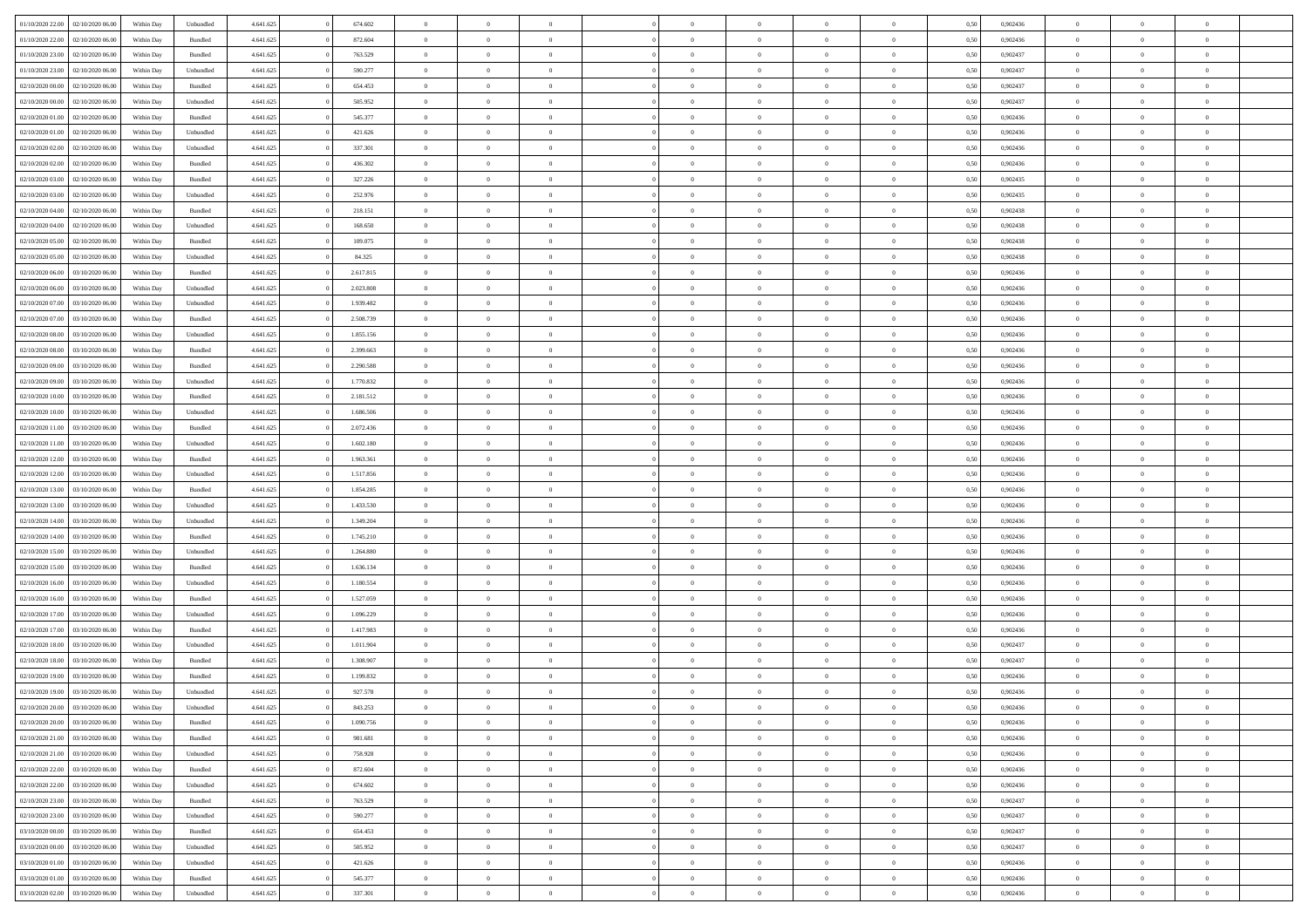| 01/10/2020 22.00 | 02/10/2020 06.00 | Within Dav | Unbundled          | 4.641.625 | 674.602   | $\overline{0}$ | $\theta$       |                | $\Omega$       | $\Omega$       | $\theta$       | $\theta$       | 0.50 | 0,902436 | $\theta$       | $\overline{0}$ | $\overline{0}$ |  |
|------------------|------------------|------------|--------------------|-----------|-----------|----------------|----------------|----------------|----------------|----------------|----------------|----------------|------|----------|----------------|----------------|----------------|--|
| 01/10/2020 22.00 | 02/10/2020 06.00 | Within Day | Bundled            | 4.641.625 | 872.604   | $\overline{0}$ | $\theta$       | $\overline{0}$ | $\overline{0}$ | $\bf{0}$       | $\overline{0}$ | $\bf{0}$       | 0,50 | 0,902436 | $\theta$       | $\overline{0}$ | $\overline{0}$ |  |
| 01/10/2020 23.00 | 02/10/2020 06.00 | Within Day | Bundled            | 4.641.625 | 763.529   | $\overline{0}$ | $\bf{0}$       | $\overline{0}$ | $\overline{0}$ | $\bf{0}$       | $\overline{0}$ | $\mathbf{0}$   | 0,50 | 0,902437 | $\bf{0}$       | $\overline{0}$ | $\bf{0}$       |  |
|                  |                  |            |                    |           |           |                |                |                |                |                |                |                |      |          |                |                |                |  |
| 01/10/2020 23.00 | 02/10/2020 06:00 | Within Dav | Unbundled          | 4.641.625 | 590.277   | $\overline{0}$ | $\overline{0}$ | $\overline{0}$ | $\overline{0}$ | $\bf{0}$       | $\overline{0}$ | $\overline{0}$ | 0.50 | 0,902437 | $\theta$       | $\theta$       | $\overline{0}$ |  |
| 02/10/2020 00.00 | 02/10/2020 06.00 | Within Day | Bundled            | 4.641.625 | 654.453   | $\overline{0}$ | $\theta$       | $\overline{0}$ | $\overline{0}$ | $\bf{0}$       | $\overline{0}$ | $\bf{0}$       | 0,50 | 0,902437 | $\theta$       | $\overline{0}$ | $\overline{0}$ |  |
| 02/10/2020 00.00 | 02/10/2020 06.00 | Within Day | Unbundled          | 4.641.625 | 505.952   | $\overline{0}$ | $\overline{0}$ | $\overline{0}$ | $\overline{0}$ | $\overline{0}$ | $\overline{0}$ | $\mathbf{0}$   | 0,50 | 0,902437 | $\bf{0}$       | $\overline{0}$ | $\bf{0}$       |  |
| 02/10/2020 01:00 | 02/10/2020 06.00 | Within Dav | Bundled            | 4.641.625 | 545.377   | $\overline{0}$ | $\overline{0}$ | $\overline{0}$ | $\overline{0}$ | $\overline{0}$ | $\overline{0}$ | $\overline{0}$ | 0.50 | 0,902436 | $\theta$       | $\overline{0}$ | $\overline{0}$ |  |
|                  |                  |            |                    |           |           |                |                |                |                |                |                |                |      |          |                |                |                |  |
| 02/10/2020 01:00 | 02/10/2020 06.00 | Within Day | Unbundled          | 4.641.625 | 421.626   | $\overline{0}$ | $\theta$       | $\overline{0}$ | $\overline{0}$ | $\bf{0}$       | $\overline{0}$ | $\bf{0}$       | 0,50 | 0,902436 | $\theta$       | $\theta$       | $\overline{0}$ |  |
| 02/10/2020 02.00 | 02/10/2020 06.00 | Within Day | Unbundled          | 4.641.625 | 337.301   | $\overline{0}$ | $\overline{0}$ | $\overline{0}$ | $\overline{0}$ | $\bf{0}$       | $\overline{0}$ | $\bf{0}$       | 0,50 | 0,902436 | $\,0\,$        | $\overline{0}$ | $\overline{0}$ |  |
| 02/10/2020 02.00 | 02/10/2020 06:00 | Within Dav | Bundled            | 4.641.625 | 436.302   | $\overline{0}$ | $\overline{0}$ | $\overline{0}$ | $\overline{0}$ | $\overline{0}$ | $\overline{0}$ | $\overline{0}$ | 0.50 | 0,902436 | $\theta$       | $\overline{0}$ | $\overline{0}$ |  |
|                  |                  |            |                    |           |           |                |                |                |                |                |                |                |      |          |                |                |                |  |
| 02/10/2020 03:00 | 02/10/2020 06.00 | Within Day | Bundled            | 4.641.625 | 327.226   | $\overline{0}$ | $\theta$       | $\overline{0}$ | $\overline{0}$ | $\bf{0}$       | $\overline{0}$ | $\bf{0}$       | 0,50 | 0,902435 | $\,$ 0 $\,$    | $\overline{0}$ | $\overline{0}$ |  |
| 02/10/2020 03.00 | 02/10/2020 06.00 | Within Day | Unbundled          | 4.641.625 | 252.976   | $\overline{0}$ | $\bf{0}$       | $\overline{0}$ | $\overline{0}$ | $\bf{0}$       | $\overline{0}$ | $\mathbf{0}$   | 0,50 | 0,902435 | $\overline{0}$ | $\overline{0}$ | $\bf{0}$       |  |
| 02/10/2020 04:00 | 02/10/2020 06:00 | Within Day | Bundled            | 4.641.625 | 218.151   | $\overline{0}$ | $\overline{0}$ | $\overline{0}$ | $\overline{0}$ | $\bf{0}$       | $\overline{0}$ | $\overline{0}$ | 0.50 | 0,902438 | $\theta$       | $\theta$       | $\overline{0}$ |  |
| 02/10/2020 04:00 | 02/10/2020 06.00 | Within Day | Unbundled          | 4.641.625 | 168.650   | $\overline{0}$ | $\theta$       | $\overline{0}$ | $\overline{0}$ | $\bf{0}$       | $\overline{0}$ | $\bf{0}$       | 0,50 | 0,902438 | $\theta$       | $\overline{0}$ | $\overline{0}$ |  |
|                  |                  |            |                    |           |           |                |                |                |                |                |                |                |      |          |                |                |                |  |
| 02/10/2020 05.00 | 02/10/2020 06.00 | Within Day | Bundled            | 4.641.625 | 109.075   | $\overline{0}$ | $\overline{0}$ | $\overline{0}$ | $\overline{0}$ | $\overline{0}$ | $\overline{0}$ | $\mathbf{0}$   | 0,50 | 0,902438 | $\overline{0}$ | $\overline{0}$ | $\bf{0}$       |  |
| 02/10/2020 05:00 | 02/10/2020 06:00 | Within Dav | Unbundled          | 4.641.625 | 84.325    | $\overline{0}$ | $\overline{0}$ | $\overline{0}$ | $\overline{0}$ | $\overline{0}$ | $\overline{0}$ | $\overline{0}$ | 0.50 | 0,902438 | $\theta$       | $\overline{0}$ | $\overline{0}$ |  |
| 02/10/2020 06.00 | 03/10/2020 06.00 | Within Day | Bundled            | 4.641.625 | 2.617.815 | $\overline{0}$ | $\theta$       | $\overline{0}$ | $\overline{0}$ | $\bf{0}$       | $\overline{0}$ | $\bf{0}$       | 0,50 | 0,902436 | $\,$ 0 $\,$    | $\theta$       | $\overline{0}$ |  |
|                  |                  |            |                    |           |           |                |                |                |                |                |                |                |      |          |                |                |                |  |
| 02/10/2020 06.00 | 03/10/2020 06.00 | Within Day | Unbundled          | 4.641.625 | 2.023.808 | $\overline{0}$ | $\overline{0}$ | $\overline{0}$ | $\overline{0}$ | $\bf{0}$       | $\overline{0}$ | $\bf{0}$       | 0,50 | 0,902436 | $\,0\,$        | $\overline{0}$ | $\overline{0}$ |  |
| 02/10/2020 07:00 | 03/10/2020 06:00 | Within Day | Unbundled          | 4.641.625 | 1.939.482 | $\overline{0}$ | $\overline{0}$ | $\overline{0}$ | $\overline{0}$ | $\overline{0}$ | $\overline{0}$ | $\overline{0}$ | 0.50 | 0,902436 | $\theta$       | $\overline{0}$ | $\overline{0}$ |  |
| 02/10/2020 07:00 | 03/10/2020 06.00 | Within Day | Bundled            | 4.641.625 | 2.508.739 | $\overline{0}$ | $\theta$       | $\overline{0}$ | $\overline{0}$ | $\bf{0}$       | $\overline{0}$ | $\bf{0}$       | 0,50 | 0,902436 | $\,$ 0 $\,$    | $\overline{0}$ | $\overline{0}$ |  |
| 02/10/2020 08.00 | 03/10/2020 06.00 | Within Day | Unbundled          | 4.641.625 | 1.855.156 | $\overline{0}$ | $\overline{0}$ | $\overline{0}$ | $\overline{0}$ | $\bf{0}$       | $\overline{0}$ | $\bf{0}$       | 0,50 | 0,902436 | $\overline{0}$ | $\overline{0}$ | $\bf{0}$       |  |
| 02/10/2020 08:00 | 03/10/2020 06:00 |            | Bundled            | 4.641.625 | 2.399.663 | $\overline{0}$ | $\overline{0}$ | $\overline{0}$ |                | $\overline{0}$ | $\overline{0}$ | $\overline{0}$ | 0.50 | 0,902436 | $\theta$       | $\overline{0}$ | $\overline{0}$ |  |
|                  |                  | Within Day |                    |           |           |                |                |                | $\overline{0}$ |                |                |                |      |          |                |                |                |  |
| 02/10/2020 09:00 | 03/10/2020 06.00 | Within Day | Bundled            | 4.641.625 | 2.290.588 | $\overline{0}$ | $\theta$       | $\overline{0}$ | $\overline{0}$ | $\bf{0}$       | $\overline{0}$ | $\bf{0}$       | 0,50 | 0,902436 | $\,$ 0 $\,$    | $\overline{0}$ | $\overline{0}$ |  |
| 02/10/2020 09:00 | 03/10/2020 06.00 | Within Day | Unbundled          | 4.641.625 | 1.770.832 | $\overline{0}$ | $\overline{0}$ | $\overline{0}$ | $\overline{0}$ | $\overline{0}$ | $\overline{0}$ | $\mathbf{0}$   | 0,50 | 0,902436 | $\overline{0}$ | $\overline{0}$ | $\bf{0}$       |  |
| 02/10/2020 10:00 | 03/10/2020 06:00 | Within Dav | Bundled            | 4.641.625 | 2.181.512 | $\overline{0}$ | $\overline{0}$ | $\overline{0}$ | $\overline{0}$ | $\overline{0}$ | $\overline{0}$ | $\overline{0}$ | 0.50 | 0,902436 | $\theta$       | $\overline{0}$ | $\overline{0}$ |  |
|                  |                  |            |                    |           |           |                |                |                |                |                |                |                |      |          |                |                |                |  |
| 02/10/2020 10:00 | 03/10/2020 06.00 | Within Day | Unbundled          | 4.641.625 | 1.686.506 | $\overline{0}$ | $\theta$       | $\overline{0}$ | $\overline{0}$ | $\bf{0}$       | $\overline{0}$ | $\bf{0}$       | 0,50 | 0,902436 | $\theta$       | $\theta$       | $\overline{0}$ |  |
| 02/10/2020 11:00 | 03/10/2020 06.00 | Within Day | Bundled            | 4.641.625 | 2.072.436 | $\overline{0}$ | $\overline{0}$ | $\overline{0}$ | $\overline{0}$ | $\bf{0}$       | $\overline{0}$ | $\bf{0}$       | 0,50 | 0,902436 | $\,0\,$        | $\overline{0}$ | $\overline{0}$ |  |
| 02/10/2020 11:00 | 03/10/2020 06.00 | Within Day | Unbundled          | 4.641.625 | 1.602.180 | $\overline{0}$ | $\overline{0}$ | $\overline{0}$ | $\overline{0}$ | $\overline{0}$ | $\overline{0}$ | $\overline{0}$ | 0.50 | 0,902436 | $\theta$       | $\overline{0}$ | $\overline{0}$ |  |
| 02/10/2020 12:00 | 03/10/2020 06.00 | Within Day | Bundled            | 4.641.625 | 1.963.361 | $\overline{0}$ | $\theta$       | $\overline{0}$ | $\overline{0}$ | $\bf{0}$       | $\overline{0}$ | $\bf{0}$       | 0,50 | 0,902436 | $\,$ 0 $\,$    | $\overline{0}$ | $\overline{0}$ |  |
|                  |                  |            |                    |           |           |                |                |                |                |                |                |                |      |          |                |                |                |  |
| 02/10/2020 12.00 | 03/10/2020 06.00 | Within Day | Unbundled          | 4.641.625 | 1.517.856 | $\overline{0}$ | $\overline{0}$ | $\overline{0}$ | $\bf{0}$       | $\bf{0}$       | $\bf{0}$       | $\bf{0}$       | 0,50 | 0,902436 | $\overline{0}$ | $\overline{0}$ | $\bf{0}$       |  |
| 02/10/2020 13:00 | 03/10/2020 06.00 | Within Day | Bundled            | 4.641.625 | 1.854.285 | $\overline{0}$ | $\Omega$       | $\Omega$       | $\Omega$       | $\Omega$       | $\overline{0}$ | $\overline{0}$ | 0,50 | 0.902436 | $\,0\,$        | $\theta$       | $\theta$       |  |
| 02/10/2020 13:00 | 03/10/2020 06.00 | Within Day | Unbundled          | 4.641.625 | 1.433.530 | $\overline{0}$ | $\theta$       | $\overline{0}$ | $\overline{0}$ | $\bf{0}$       | $\overline{0}$ | $\bf{0}$       | 0,50 | 0,902436 | $\,$ 0 $\,$    | $\overline{0}$ | $\overline{0}$ |  |
| 02/10/2020 14:00 | 03/10/2020 06.00 | Within Day | Unbundled          | 4.641.625 | 1.349.204 | $\overline{0}$ | $\overline{0}$ | $\overline{0}$ | $\bf{0}$       | $\overline{0}$ | $\overline{0}$ | $\mathbf{0}$   | 0,50 | 0,902436 | $\overline{0}$ | $\overline{0}$ | $\bf{0}$       |  |
|                  |                  |            |                    |           |           |                |                |                |                |                |                |                |      |          |                |                |                |  |
| 02/10/2020 14:00 | 03/10/2020 06:00 | Within Day | Bundled            | 4.641.625 | 1.745.210 | $\overline{0}$ | $\Omega$       | $\Omega$       | $\Omega$       | $\bf{0}$       | $\overline{0}$ | $\overline{0}$ | 0.50 | 0.902436 | $\,0\,$        | $\theta$       | $\theta$       |  |
| 02/10/2020 15:00 | 03/10/2020 06.00 | Within Day | Unbundled          | 4.641.625 | 1.264.880 | $\overline{0}$ | $\theta$       | $\overline{0}$ | $\overline{0}$ | $\bf{0}$       | $\overline{0}$ | $\bf{0}$       | 0,50 | 0,902436 | $\,$ 0 $\,$    | $\overline{0}$ | $\overline{0}$ |  |
| 02/10/2020 15.00 | 03/10/2020 06.00 | Within Day | Bundled            | 4.641.625 | 1.636.134 | $\overline{0}$ | $\overline{0}$ | $\overline{0}$ | $\bf{0}$       | $\bf{0}$       | $\bf{0}$       | $\bf{0}$       | 0,50 | 0,902436 | $\,0\,$        | $\overline{0}$ | $\bf{0}$       |  |
| 02/10/2020 16.00 | 03/10/2020 06:00 |            |                    |           | 1.180.554 | $\overline{0}$ | $\Omega$       | $\Omega$       | $\Omega$       | $\overline{0}$ | $\overline{0}$ | $\overline{0}$ | 0.50 | 0.902436 | $\,$ 0 $\,$    | $\theta$       | $\theta$       |  |
|                  |                  | Within Day | Unbundled          | 4.641.625 |           |                |                |                |                |                |                |                |      |          |                |                |                |  |
| 02/10/2020 16:00 | 03/10/2020 06.00 | Within Day | Bundled            | 4.641.625 | 1.527.059 | $\overline{0}$ | $\theta$       | $\overline{0}$ | $\overline{0}$ | $\,$ 0         | $\overline{0}$ | $\bf{0}$       | 0,50 | 0,902436 | $\,$ 0 $\,$    | $\overline{0}$ | $\overline{0}$ |  |
| 02/10/2020 17.00 | 03/10/2020 06.00 | Within Day | Unbundled          | 4.641.625 | 1.096.229 | $\overline{0}$ | $\bf{0}$       | $\overline{0}$ | $\bf{0}$       | $\bf{0}$       | $\bf{0}$       | $\bf{0}$       | 0,50 | 0,902436 | $\overline{0}$ | $\overline{0}$ | $\bf{0}$       |  |
| 02/10/2020 17:00 | 03/10/2020 06.00 | Within Day | Bundled            | 4.641.625 | 1.417.983 | $\overline{0}$ | $\Omega$       | $\overline{0}$ | $\Omega$       | $\overline{0}$ | $\overline{0}$ | $\overline{0}$ | 0,50 | 0,902436 | $\,0\,$        | $\theta$       | $\theta$       |  |
| 02/10/2020 18:00 | 03/10/2020 06.00 | Within Day | Unbundled          | 4.641.625 | 1.011.904 | $\overline{0}$ | $\overline{0}$ | $\overline{0}$ | $\overline{0}$ | $\,$ 0         | $\overline{0}$ | $\bf{0}$       | 0,50 | 0,902437 | $\,$ 0 $\,$    | $\overline{0}$ | $\overline{0}$ |  |
|                  |                  |            |                    |           |           |                |                |                |                |                |                |                |      |          |                |                |                |  |
| 02/10/2020 18.00 | 03/10/2020 06.00 | Within Day | Bundled            | 4.641.625 | 1.308.907 | $\overline{0}$ | $\overline{0}$ | $\overline{0}$ | $\bf{0}$       | $\bf{0}$       | $\overline{0}$ | $\mathbf{0}$   | 0,50 | 0,902437 | $\overline{0}$ | $\overline{0}$ | $\bf{0}$       |  |
| 02/10/2020 19:00 | 03/10/2020 06:00 | Within Day | Bundled            | 4.641.625 | 1.199.832 | $\overline{0}$ | $\Omega$       | $\Omega$       | $\Omega$       | $\Omega$       | $\Omega$       | $\overline{0}$ | 0.50 | 0.902436 | $\theta$       | $\theta$       | $\theta$       |  |
| 02/10/2020 19:00 | 03/10/2020 06.00 | Within Day | Unbundled          | 4.641.625 | 927.578   | $\overline{0}$ | $\overline{0}$ | $\overline{0}$ | $\bf{0}$       | $\,$ 0         | $\bf{0}$       | $\bf{0}$       | 0,50 | 0,902436 | $\,0\,$        | $\,$ 0 $\,$    | $\overline{0}$ |  |
| 02/10/2020 20:00 | 03/10/2020 06.00 | Within Day | Unbundled          | 4.641.625 | 843.253   | $\bf{0}$       | $\bf{0}$       |                |                | $\bf{0}$       |                |                | 0,50 | 0,902436 | $\bf{0}$       | $\overline{0}$ |                |  |
|                  |                  |            |                    |           |           |                |                |                |                |                |                |                |      |          |                |                |                |  |
| 02/10/2020 20:00 | 03/10/2020 06:00 | Within Day | Bundled            | 4.641.625 | 1.090.756 | $\overline{0}$ | $\overline{0}$ | $\overline{0}$ | $\Omega$       | $\overline{0}$ | $\overline{0}$ | $\overline{0}$ | 0.50 | 0.902436 | $\theta$       | $\theta$       | $\theta$       |  |
| 02/10/2020 21.00 | 03/10/2020 06.00 | Within Day | Bundled            | 4.641.625 | 981.681   | $\overline{0}$ | $\,$ 0         | $\overline{0}$ | $\bf{0}$       | $\,$ 0 $\,$    | $\overline{0}$ | $\,$ 0 $\,$    | 0,50 | 0,902436 | $\,$ 0 $\,$    | $\,$ 0 $\,$    | $\,$ 0         |  |
| 02/10/2020 21:00 | 03/10/2020 06.00 | Within Day | Unbundled          | 4.641.625 | 758.928   | $\overline{0}$ | $\overline{0}$ | $\overline{0}$ | $\overline{0}$ | $\overline{0}$ | $\overline{0}$ | $\mathbf{0}$   | 0,50 | 0,902436 | $\overline{0}$ | $\bf{0}$       | $\bf{0}$       |  |
|                  |                  |            |                    |           |           |                | $\overline{0}$ |                | $\Omega$       | $\overline{0}$ | $\overline{0}$ |                |      |          |                | $\theta$       | $\overline{0}$ |  |
| 02/10/2020 22.00 | 03/10/2020 06.00 | Within Day | $\mathbf B$ undled | 4.641.625 | 872.604   | $\overline{0}$ |                | $\overline{0}$ |                |                |                | $\overline{0}$ | 0,50 | 0,902436 | $\overline{0}$ |                |                |  |
| 02/10/2020 22.00 | 03/10/2020 06.00 | Within Day | Unbundled          | 4.641.625 | 674.602   | $\overline{0}$ | $\,$ 0         | $\overline{0}$ | $\overline{0}$ | $\,$ 0 $\,$    | $\overline{0}$ | $\mathbf{0}$   | 0,50 | 0,902436 | $\,$ 0 $\,$    | $\overline{0}$ | $\overline{0}$ |  |
| 02/10/2020 23.00 | 03/10/2020 06.00 | Within Day | Bundled            | 4.641.625 | 763.529   | $\overline{0}$ | $\overline{0}$ | $\overline{0}$ | $\overline{0}$ | $\overline{0}$ | $\overline{0}$ | $\mathbf{0}$   | 0,50 | 0,902437 | $\overline{0}$ | $\overline{0}$ | $\bf{0}$       |  |
| 02/10/2020 23.00 | 03/10/2020 06:00 | Within Day | Unbundled          | 4.641.625 | 590.277   | $\overline{0}$ | $\overline{0}$ | $\overline{0}$ | $\overline{0}$ | $\overline{0}$ | $\overline{0}$ | $\bf{0}$       | 0.50 | 0,902437 | $\overline{0}$ | $\theta$       | $\overline{0}$ |  |
|                  |                  |            |                    |           |           |                |                |                |                |                |                |                |      |          |                |                |                |  |
| 03/10/2020 00:00 | 03/10/2020 06.00 | Within Day | Bundled            | 4.641.625 | 654.453   | $\overline{0}$ | $\,$ 0         | $\overline{0}$ | $\overline{0}$ | $\bf{0}$       | $\overline{0}$ | $\bf{0}$       | 0,50 | 0,902437 | $\,$ 0 $\,$    | $\overline{0}$ | $\overline{0}$ |  |
| 03/10/2020 00:00 | 03/10/2020 06.00 | Within Day | Unbundled          | 4.641.625 | 505.952   | $\overline{0}$ | $\bf{0}$       | $\overline{0}$ | $\overline{0}$ | $\overline{0}$ | $\overline{0}$ | $\mathbf{0}$   | 0,50 | 0,902437 | $\overline{0}$ | $\overline{0}$ | $\bf{0}$       |  |
| 03/10/2020 01.00 | 03/10/2020 06:00 | Within Day | Unbundled          | 4.641.625 | 421.626   | $\overline{0}$ | $\overline{0}$ | $\overline{0}$ | $\Omega$       | $\overline{0}$ | $\overline{0}$ | $\bf{0}$       | 0.50 | 0.902436 | $\overline{0}$ | $\overline{0}$ | $\overline{0}$ |  |
| 03/10/2020 01:00 | 03/10/2020 06.00 | Within Day | Bundled            | 4.641.625 | 545.377   | $\overline{0}$ | $\bf{0}$       | $\overline{0}$ | $\overline{0}$ | $\bf{0}$       | $\overline{0}$ | $\bf{0}$       | 0,50 | 0,902436 | $\,$ 0 $\,$    | $\,$ 0 $\,$    | $\bf{0}$       |  |
|                  |                  |            |                    |           |           |                |                |                |                |                |                |                |      |          |                |                |                |  |
| 03/10/2020 02.00 | 03/10/2020 06.00 | Within Day | Unbundled          | 4.641.625 | 337.301   | $\overline{0}$ | $\bf{0}$       | $\overline{0}$ | $\bf{0}$       | $\bf{0}$       | $\overline{0}$ | $\bf{0}$       | 0,50 | 0,902436 | $\overline{0}$ | $\overline{0}$ | $\bf{0}$       |  |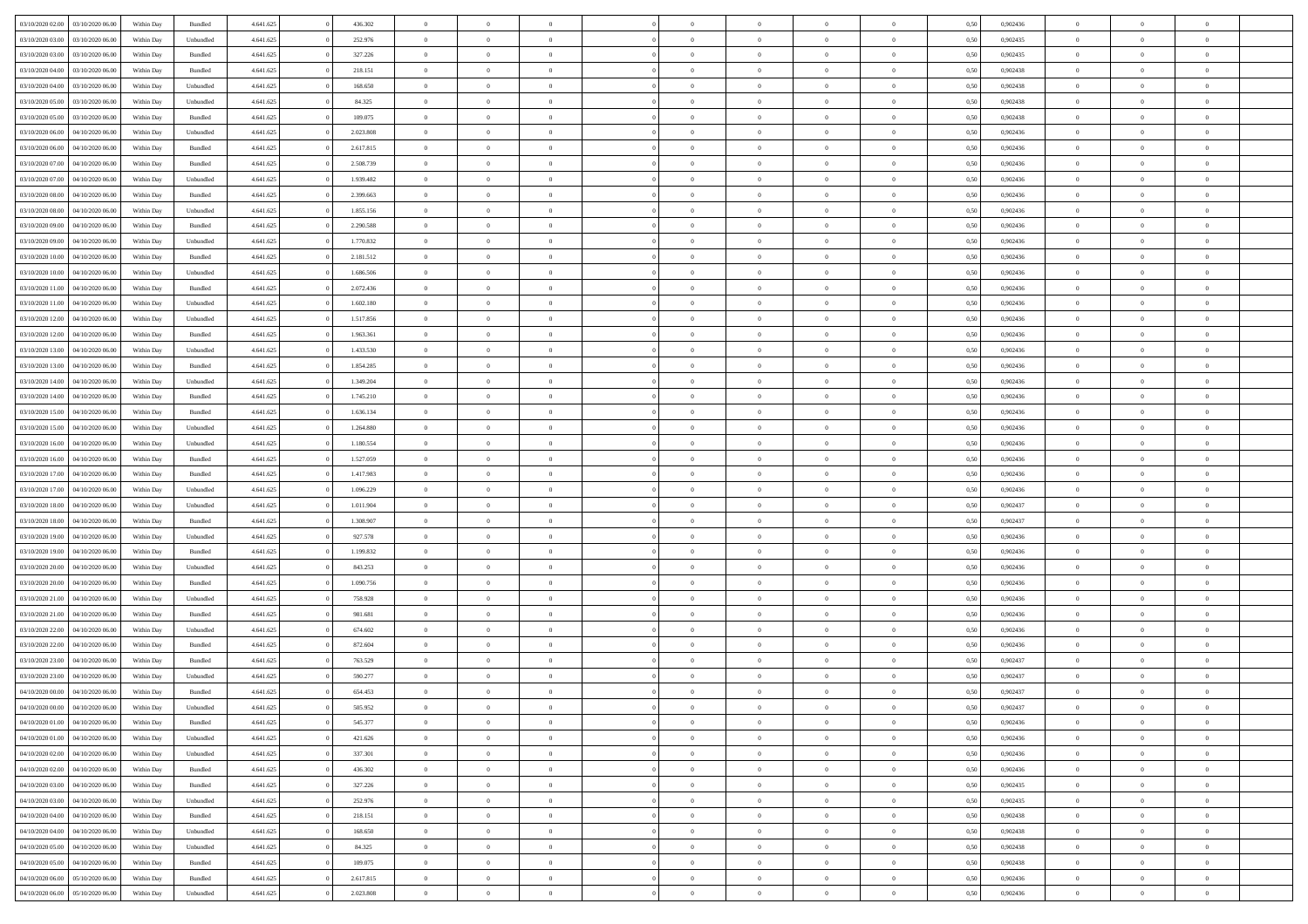| 03/10/2020 02.00                  | 03/10/2020 06:00 | Within Dav | Bundled            | 4.641.625 | 436.302   | $\overline{0}$ | $\theta$       |                | $\Omega$       | $\Omega$       | $\theta$       | $\theta$       | 0.50 | 0,902436 | $\theta$       | $\theta$       | $\overline{0}$ |  |
|-----------------------------------|------------------|------------|--------------------|-----------|-----------|----------------|----------------|----------------|----------------|----------------|----------------|----------------|------|----------|----------------|----------------|----------------|--|
| 03/10/2020 03:00                  | 03/10/2020 06.00 | Within Day | Unbundled          | 4.641.625 | 252.976   | $\overline{0}$ | $\theta$       | $\overline{0}$ | $\overline{0}$ | $\bf{0}$       | $\overline{0}$ | $\bf{0}$       | 0,50 | 0,902435 | $\theta$       | $\overline{0}$ | $\overline{0}$ |  |
| 03/10/2020 03.00                  | 03/10/2020 06.00 | Within Day | Bundled            | 4.641.625 | 327.226   | $\overline{0}$ | $\bf{0}$       | $\overline{0}$ | $\overline{0}$ | $\bf{0}$       | $\overline{0}$ | $\mathbf{0}$   | 0,50 | 0,902435 | $\overline{0}$ | $\overline{0}$ | $\overline{0}$ |  |
| 03/10/2020 04:00                  | 03/10/2020 06:00 | Within Dav | Bundled            | 4.641.625 | 218.151   | $\overline{0}$ | $\overline{0}$ | $\overline{0}$ | $\overline{0}$ | $\bf{0}$       | $\overline{0}$ | $\overline{0}$ | 0.50 | 0,902438 | $\theta$       | $\theta$       | $\overline{0}$ |  |
|                                   |                  |            |                    |           |           |                |                |                |                |                |                |                |      |          |                |                |                |  |
| 03/10/2020 04:00                  | 03/10/2020 06.00 | Within Day | Unbundled          | 4.641.625 | 168.650   | $\overline{0}$ | $\theta$       | $\overline{0}$ | $\overline{0}$ | $\bf{0}$       | $\overline{0}$ | $\bf{0}$       | 0,50 | 0,902438 | $\theta$       | $\overline{0}$ | $\overline{0}$ |  |
| 03/10/2020 05.00                  | 03/10/2020 06.00 | Within Day | Unbundled          | 4.641.625 | 84.325    | $\overline{0}$ | $\overline{0}$ | $\overline{0}$ | $\overline{0}$ | $\overline{0}$ | $\overline{0}$ | $\mathbf{0}$   | 0,50 | 0,902438 | $\overline{0}$ | $\overline{0}$ | $\bf{0}$       |  |
| 03/10/2020 05:00                  | 03/10/2020 06.00 | Within Dav | Bundled            | 4.641.625 | 109.075   | $\overline{0}$ | $\overline{0}$ | $\overline{0}$ | $\overline{0}$ | $\overline{0}$ | $\overline{0}$ | $\overline{0}$ | 0.50 | 0,902438 | $\theta$       | $\overline{0}$ | $\overline{0}$ |  |
| 03/10/2020 06.00                  | 04/10/2020 06.00 | Within Day | Unbundled          | 4.641.625 | 2.023.808 | $\overline{0}$ | $\theta$       | $\overline{0}$ | $\overline{0}$ | $\bf{0}$       | $\overline{0}$ | $\bf{0}$       | 0,50 | 0,902436 | $\theta$       | $\theta$       | $\overline{0}$ |  |
| 03/10/2020 06.00                  | 04/10/2020 06.00 | Within Day | Bundled            | 4.641.625 | 2.617.815 | $\overline{0}$ | $\overline{0}$ | $\overline{0}$ | $\overline{0}$ | $\bf{0}$       | $\overline{0}$ | $\bf{0}$       | 0,50 | 0,902436 | $\,0\,$        | $\overline{0}$ | $\overline{0}$ |  |
|                                   |                  |            |                    |           |           |                |                |                |                |                |                |                |      |          |                |                |                |  |
| 03/10/2020 07:00                  | 04/10/2020 06.00 | Within Dav | Bundled            | 4.641.625 | 2.508.739 | $\overline{0}$ | $\overline{0}$ | $\overline{0}$ | $\overline{0}$ | $\overline{0}$ | $\overline{0}$ | $\overline{0}$ | 0.50 | 0,902436 | $\theta$       | $\overline{0}$ | $\overline{0}$ |  |
| 03/10/2020 07.00                  | 04/10/2020 06.00 | Within Day | Unbundled          | 4.641.625 | 1.939.482 | $\overline{0}$ | $\theta$       | $\overline{0}$ | $\overline{0}$ | $\bf{0}$       | $\overline{0}$ | $\bf{0}$       | 0,50 | 0,902436 | $\,$ 0 $\,$    | $\overline{0}$ | $\overline{0}$ |  |
| 03/10/2020 08:00                  | 04/10/2020 06.00 | Within Day | Bundled            | 4.641.625 | 2.399.663 | $\overline{0}$ | $\bf{0}$       | $\overline{0}$ | $\overline{0}$ | $\bf{0}$       | $\overline{0}$ | $\bf{0}$       | 0,50 | 0,902436 | $\bf{0}$       | $\overline{0}$ | $\bf{0}$       |  |
| 03/10/2020 08:00                  | 04/10/2020 06.00 | Within Day | Unbundled          | 4.641.625 | 1.855.156 | $\overline{0}$ | $\overline{0}$ | $\overline{0}$ | $\overline{0}$ | $\bf{0}$       | $\overline{0}$ | $\overline{0}$ | 0.50 | 0,902436 | $\theta$       | $\theta$       | $\overline{0}$ |  |
| 03/10/2020 09:00                  | 04/10/2020 06.00 | Within Day | Bundled            | 4.641.625 | 2.290.588 | $\overline{0}$ | $\theta$       | $\overline{0}$ | $\overline{0}$ | $\bf{0}$       | $\overline{0}$ | $\bf{0}$       | 0,50 | 0,902436 | $\theta$       | $\overline{0}$ | $\overline{0}$ |  |
|                                   |                  |            |                    |           |           |                |                |                |                |                |                |                |      |          |                |                |                |  |
| 03/10/2020 09:00                  | 04/10/2020 06.00 | Within Day | Unbundled          | 4.641.625 | 1.770.832 | $\overline{0}$ | $\overline{0}$ | $\overline{0}$ | $\overline{0}$ | $\overline{0}$ | $\overline{0}$ | $\mathbf{0}$   | 0,50 | 0,902436 | $\bf{0}$       | $\overline{0}$ | $\bf{0}$       |  |
| 03/10/2020 10:00                  | 04/10/2020 06.00 | Within Dav | Bundled            | 4.641.625 | 2.181.512 | $\overline{0}$ | $\overline{0}$ | $\overline{0}$ | $\overline{0}$ | $\overline{0}$ | $\overline{0}$ | $\overline{0}$ | 0.50 | 0,902436 | $\theta$       | $\overline{0}$ | $\overline{0}$ |  |
| 03/10/2020 10:00                  | 04/10/2020 06.00 | Within Day | Unbundled          | 4.641.625 | 1.686.506 | $\overline{0}$ | $\theta$       | $\overline{0}$ | $\overline{0}$ | $\bf{0}$       | $\overline{0}$ | $\bf{0}$       | 0,50 | 0,902436 | $\theta$       | $\overline{0}$ | $\overline{0}$ |  |
| 03/10/2020 11:00                  | 04/10/2020 06.00 | Within Day | Bundled            | 4.641.625 | 2.072.436 | $\overline{0}$ | $\overline{0}$ | $\overline{0}$ | $\overline{0}$ | $\bf{0}$       | $\overline{0}$ | $\bf{0}$       | 0,50 | 0,902436 | $\,0\,$        | $\overline{0}$ | $\overline{0}$ |  |
| 03/10/2020 11:00                  | 04/10/2020 06.00 | Within Day | Unbundled          | 4.641.625 | 1.602.180 | $\overline{0}$ | $\overline{0}$ | $\overline{0}$ | $\overline{0}$ | $\overline{0}$ | $\overline{0}$ | $\overline{0}$ | 0.50 | 0,902436 | $\theta$       | $\overline{0}$ | $\overline{0}$ |  |
|                                   |                  |            |                    |           |           |                |                |                |                |                |                |                |      |          |                |                |                |  |
| 03/10/2020 12:00                  | 04/10/2020 06.00 | Within Day | Unbundled          | 4.641.625 | 1.517.856 | $\overline{0}$ | $\theta$       | $\overline{0}$ | $\overline{0}$ | $\bf{0}$       | $\overline{0}$ | $\bf{0}$       | 0,50 | 0,902436 | $\,$ 0 $\,$    | $\overline{0}$ | $\overline{0}$ |  |
| 03/10/2020 12:00                  | 04/10/2020 06.00 | Within Day | Bundled            | 4.641.625 | 1.963.361 | $\overline{0}$ | $\overline{0}$ | $\overline{0}$ | $\overline{0}$ | $\bf{0}$       | $\overline{0}$ | $\bf{0}$       | 0,50 | 0,902436 | $\bf{0}$       | $\overline{0}$ | $\bf{0}$       |  |
| 03/10/2020 13:00                  | 04/10/2020 06.00 | Within Day | Unbundled          | 4.641.625 | 1.433.530 | $\overline{0}$ | $\overline{0}$ | $\overline{0}$ | $\overline{0}$ | $\overline{0}$ | $\overline{0}$ | $\overline{0}$ | 0.50 | 0,902436 | $\theta$       | $\overline{0}$ | $\overline{0}$ |  |
| 03/10/2020 13:00                  | 04/10/2020 06.00 | Within Day | Bundled            | 4.641.625 | 1.854.285 | $\overline{0}$ | $\theta$       | $\overline{0}$ | $\overline{0}$ | $\bf{0}$       | $\overline{0}$ | $\bf{0}$       | 0,50 | 0,902436 | $\,$ 0 $\,$    | $\overline{0}$ | $\overline{0}$ |  |
| 03/10/2020 14:00                  | 04/10/2020 06.00 | Within Day | Unbundled          | 4.641.625 | 1.349.204 | $\overline{0}$ | $\overline{0}$ | $\overline{0}$ | $\overline{0}$ | $\overline{0}$ | $\overline{0}$ | $\mathbf{0}$   | 0,50 | 0,902436 | $\bf{0}$       | $\overline{0}$ | $\bf{0}$       |  |
|                                   |                  |            |                    |           |           |                |                |                |                |                |                |                |      |          |                |                |                |  |
| 03/10/2020 14:00                  | 04/10/2020 06.00 | Within Dav | Bundled            | 4.641.625 | 1.745.210 | $\overline{0}$ | $\overline{0}$ | $\overline{0}$ | $\overline{0}$ | $\overline{0}$ | $\overline{0}$ | $\overline{0}$ | 0.50 | 0,902436 | $\theta$       | $\overline{0}$ | $\overline{0}$ |  |
| 03/10/2020 15:00                  | 04/10/2020 06.00 | Within Day | Bundled            | 4.641.625 | 1.636.134 | $\overline{0}$ | $\theta$       | $\overline{0}$ | $\overline{0}$ | $\bf{0}$       | $\overline{0}$ | $\bf{0}$       | 0,50 | 0,902436 | $\theta$       | $\theta$       | $\overline{0}$ |  |
| 03/10/2020 15:00                  | 04/10/2020 06.00 | Within Day | Unbundled          | 4.641.625 | 1.264.880 | $\overline{0}$ | $\overline{0}$ | $\overline{0}$ | $\bf{0}$       | $\bf{0}$       | $\bf{0}$       | $\bf{0}$       | 0,50 | 0,902436 | $\,0\,$        | $\overline{0}$ | $\overline{0}$ |  |
| 03/10/2020 16:00                  | 04/10/2020 06.00 | Within Day | Unbundled          | 4.641.625 | 1.180.554 | $\overline{0}$ | $\overline{0}$ | $\overline{0}$ | $\overline{0}$ | $\overline{0}$ | $\overline{0}$ | $\overline{0}$ | 0.50 | 0,902436 | $\theta$       | $\overline{0}$ | $\overline{0}$ |  |
| 03/10/2020 16:00                  | 04/10/2020 06.00 | Within Day | Bundled            | 4.641.625 | 1.527.059 | $\overline{0}$ | $\theta$       | $\overline{0}$ | $\overline{0}$ | $\bf{0}$       | $\overline{0}$ | $\bf{0}$       | 0,50 | 0,902436 | $\,$ 0 $\,$    | $\overline{0}$ | $\overline{0}$ |  |
| 03/10/2020 17.00                  | 04/10/2020 06.00 | Within Day | Bundled            | 4.641.625 | 1.417.983 | $\overline{0}$ | $\bf{0}$       | $\overline{0}$ | $\bf{0}$       | $\bf{0}$       | $\bf{0}$       | $\bf{0}$       | 0,50 | 0,902436 | $\overline{0}$ | $\overline{0}$ | $\bf{0}$       |  |
|                                   |                  |            |                    |           |           |                |                |                |                |                |                |                |      |          |                |                |                |  |
| 03/10/2020 17:00                  | 04/10/2020 06.00 | Within Day | Unbundled          | 4.641.625 | 1.096.229 | $\overline{0}$ | $\Omega$       | $\Omega$       | $\Omega$       | $\bf{0}$       | $\overline{0}$ | $\overline{0}$ | 0,50 | 0,902436 | $\,0\,$        | $\theta$       | $\theta$       |  |
| 03/10/2020 18:00                  | 04/10/2020 06.00 | Within Day | Unbundled          | 4.641.625 | 1.011.904 | $\overline{0}$ | $\theta$       | $\overline{0}$ | $\overline{0}$ | $\bf{0}$       | $\overline{0}$ | $\bf{0}$       | 0,50 | 0,902437 | $\,$ 0 $\,$    | $\overline{0}$ | $\overline{0}$ |  |
| 03/10/2020 18.00                  | 04/10/2020 06.00 | Within Day | Bundled            | 4.641.625 | 1.308.907 | $\overline{0}$ | $\overline{0}$ | $\overline{0}$ | $\bf{0}$       | $\overline{0}$ | $\overline{0}$ | $\mathbf{0}$   | 0,50 | 0,902437 | $\bf{0}$       | $\overline{0}$ | $\bf{0}$       |  |
| 03/10/2020 19:00                  | 04/10/2020 06.00 | Within Day | Unbundled          | 4.641.625 | 927.578   | $\overline{0}$ | $\Omega$       | $\Omega$       | $\Omega$       | $\overline{0}$ | $\overline{0}$ | $\overline{0}$ | 0.50 | 0.902436 | $\,0\,$        | $\theta$       | $\theta$       |  |
| 03/10/2020 19:00                  | 04/10/2020 06.00 | Within Day | Bundled            | 4.641.625 | 1.199.832 | $\overline{0}$ | $\theta$       | $\overline{0}$ | $\overline{0}$ | $\bf{0}$       | $\overline{0}$ | $\bf{0}$       | 0,50 | 0,902436 | $\,$ 0 $\,$    | $\overline{0}$ | $\overline{0}$ |  |
| 03/10/2020 20.00                  | 04/10/2020 06.00 | Within Day | Unbundled          | 4.641.625 | 843.253   | $\overline{0}$ | $\overline{0}$ | $\overline{0}$ | $\bf{0}$       | $\bf{0}$       | $\bf{0}$       | $\bf{0}$       | 0,50 | 0,902436 | $\,0\,$        | $\overline{0}$ | $\bf{0}$       |  |
|                                   |                  |            |                    |           |           |                |                |                |                |                |                |                |      |          |                |                |                |  |
| 03/10/2020 20:00                  | 04/10/2020 06.00 | Within Day | Bundled            | 4.641.625 | 1.090.756 | $\overline{0}$ | $\Omega$       | $\Omega$       | $\Omega$       | $\overline{0}$ | $\overline{0}$ | $\overline{0}$ | 0.50 | 0.902436 | $\,$ 0 $\,$    | $\theta$       | $\theta$       |  |
| 03/10/2020 21.00                  | 04/10/2020 06.00 | Within Day | Unbundled          | 4.641.625 | 758.928   | $\overline{0}$ | $\overline{0}$ | $\overline{0}$ | $\overline{0}$ | $\,$ 0         | $\overline{0}$ | $\bf{0}$       | 0,50 | 0,902436 | $\,$ 0 $\,$    | $\overline{0}$ | $\overline{0}$ |  |
| 03/10/2020 21.00                  | 04/10/2020 06.00 | Within Day | Bundled            | 4.641.625 | 981.681   | $\overline{0}$ | $\bf{0}$       | $\overline{0}$ | $\bf{0}$       | $\bf{0}$       | $\bf{0}$       | $\bf{0}$       | 0,50 | 0,902436 | $\bf{0}$       | $\overline{0}$ | $\bf{0}$       |  |
| 03/10/2020 22.00                  | 04/10/2020 06.00 | Within Day | Unbundled          | 4.641.625 | 674,602   | $\overline{0}$ | $\Omega$       | $\overline{0}$ | $\Omega$       | $\overline{0}$ | $\overline{0}$ | $\overline{0}$ | 0,50 | 0,902436 | $\,0\,$        | $\theta$       | $\theta$       |  |
| 03/10/2020 22.00                  | 04/10/2020 06.00 | Within Day | Bundled            | 4.641.625 | 872.604   | $\overline{0}$ | $\overline{0}$ | $\overline{0}$ | $\overline{0}$ | $\,$ 0         | $\overline{0}$ | $\bf{0}$       | 0,50 | 0,902436 | $\,$ 0 $\,$    | $\overline{0}$ | $\overline{0}$ |  |
|                                   |                  |            |                    |           |           |                |                |                |                |                |                |                |      |          |                |                |                |  |
| 03/10/2020 23.00                  | 04/10/2020 06.00 | Within Day | Bundled            | 4.641.625 | 763.529   | $\overline{0}$ | $\overline{0}$ | $\overline{0}$ | $\bf{0}$       | $\bf{0}$       | $\overline{0}$ | $\mathbf{0}$   | 0,50 | 0,902437 | $\bf{0}$       | $\overline{0}$ | $\bf{0}$       |  |
| 03/10/2020 23.00                  | 04/10/2020 06.00 | Within Day | Unbundled          | 4.641.625 | 590.277   | $\overline{0}$ | $\Omega$       | $\Omega$       | $\Omega$       | $\Omega$       | $\Omega$       | $\overline{0}$ | 0.50 | 0.902437 | $\theta$       | $\theta$       | $\theta$       |  |
| 04/10/2020 00.00                  | 04/10/2020 06.00 | Within Day | Bundled            | 4.641.625 | 654.453   | $\overline{0}$ | $\bf{0}$       | $\overline{0}$ | $\bf{0}$       | $\,$ 0         | $\bf{0}$       | $\bf{0}$       | 0,50 | 0,902437 | $\,0\,$        | $\,$ 0 $\,$    | $\overline{0}$ |  |
| 04/10/2020 00:00 04/10/2020 06:00 |                  | Within Day | Unbundled          | 4.641.625 | 505.952   | $\bf{0}$       | $\bf{0}$       |                |                | $\bf{0}$       |                |                | 0,50 | 0,902437 | $\bf{0}$       | $\overline{0}$ |                |  |
| 04/10/2020 01:00                  | 04/10/2020 06:00 | Within Day | Bundled            | 4.641.625 | 545.377   | $\overline{0}$ | $\overline{0}$ | $\overline{0}$ | $\Omega$       | $\overline{0}$ | $\overline{0}$ | $\overline{0}$ | 0.50 | 0.902436 | $\theta$       | $\theta$       | $\theta$       |  |
| 04/10/2020 01.00                  | 04/10/2020 06.00 | Within Day | Unbundled          | 4.641.625 | 421.626   | $\overline{0}$ | $\,$ 0         | $\overline{0}$ | $\bf{0}$       | $\,$ 0 $\,$    | $\overline{0}$ | $\,$ 0 $\,$    | 0,50 | 0,902436 | $\,$ 0 $\,$    | $\,$ 0 $\,$    | $\,$ 0         |  |
|                                   |                  |            |                    |           |           |                |                |                |                |                |                |                |      |          |                |                |                |  |
| 04/10/2020 02.00                  | 04/10/2020 06.00 | Within Day | Unbundled          | 4.641.625 | 337.301   | $\overline{0}$ | $\overline{0}$ | $\overline{0}$ | $\overline{0}$ | $\overline{0}$ | $\overline{0}$ | $\mathbf{0}$   | 0,50 | 0,902436 | $\overline{0}$ | $\bf{0}$       | $\bf{0}$       |  |
| 04/10/2020 02.00                  | 04/10/2020 06.00 | Within Day | $\mathbf B$ undled | 4.641.625 | 436.302   | $\overline{0}$ | $\overline{0}$ | $\overline{0}$ | $\Omega$       | $\overline{0}$ | $\overline{0}$ | $\overline{0}$ | 0,50 | 0,902436 | $\bf{0}$       | $\theta$       | $\overline{0}$ |  |
| 04/10/2020 03.00                  | 04/10/2020 06.00 | Within Day | Bundled            | 4.641.625 | 327.226   | $\overline{0}$ | $\,$ 0         | $\overline{0}$ | $\overline{0}$ | $\,$ 0 $\,$    | $\overline{0}$ | $\mathbf{0}$   | 0,50 | 0,902435 | $\,$ 0 $\,$    | $\overline{0}$ | $\overline{0}$ |  |
| 04/10/2020 03.00                  | 04/10/2020 06.00 | Within Day | Unbundled          | 4.641.625 | 252.976   | $\overline{0}$ | $\overline{0}$ | $\overline{0}$ | $\overline{0}$ | $\overline{0}$ | $\overline{0}$ | $\mathbf{0}$   | 0,50 | 0,902435 | $\overline{0}$ | $\overline{0}$ | $\bf{0}$       |  |
| 04/10/2020 04.00                  | 04/10/2020 06:00 | Within Day | Bundled            | 4.641.625 | 218.151   | $\overline{0}$ | $\overline{0}$ | $\overline{0}$ | $\Omega$       | $\overline{0}$ | $\overline{0}$ | $\bf{0}$       | 0.50 | 0,902438 | $\overline{0}$ | $\theta$       | $\overline{0}$ |  |
|                                   |                  |            |                    |           |           |                |                |                |                |                |                |                |      |          |                |                |                |  |
| 04/10/2020 04.00                  | 04/10/2020 06.00 | Within Day | Unbundled          | 4.641.625 | 168.650   | $\overline{0}$ | $\,$ 0         | $\overline{0}$ | $\bf{0}$       | $\bf{0}$       | $\bf{0}$       | $\bf{0}$       | 0,50 | 0,902438 | $\,$ 0 $\,$    | $\overline{0}$ | $\overline{0}$ |  |
| 04/10/2020 05:00                  | 04/10/2020 06.00 | Within Day | Unbundled          | 4.641.625 | 84.325    | $\overline{0}$ | $\bf{0}$       | $\overline{0}$ | $\overline{0}$ | $\overline{0}$ | $\overline{0}$ | $\mathbf{0}$   | 0,50 | 0,902438 | $\overline{0}$ | $\overline{0}$ | $\bf{0}$       |  |
| 04/10/2020 05:00                  | 04/10/2020 06:00 | Within Day | Bundled            | 4.641.625 | 109,075   | $\overline{0}$ | $\overline{0}$ | $\overline{0}$ | $\Omega$       | $\overline{0}$ | $\overline{0}$ | $\overline{0}$ | 0.50 | 0.902438 | $\overline{0}$ | $\theta$       | $\overline{0}$ |  |
| 04/10/2020 06.00                  | 05/10/2020 06.00 | Within Day | Bundled            | 4.641.625 | 2.617.815 | $\overline{0}$ | $\bf{0}$       | $\overline{0}$ | $\overline{0}$ | $\bf{0}$       | $\bf{0}$       | $\bf{0}$       | 0,50 | 0,902436 | $\,$ 0 $\,$    | $\,$ 0 $\,$    | $\bf{0}$       |  |
| 04/10/2020 06.00                  | 05/10/2020 06.00 | Within Day | Unbundled          | 4.641.625 | 2.023.808 | $\overline{0}$ | $\bf{0}$       | $\overline{0}$ | $\bf{0}$       | $\bf{0}$       | $\overline{0}$ | $\bf{0}$       | 0,50 | 0,902436 | $\overline{0}$ | $\overline{0}$ | $\bf{0}$       |  |
|                                   |                  |            |                    |           |           |                |                |                |                |                |                |                |      |          |                |                |                |  |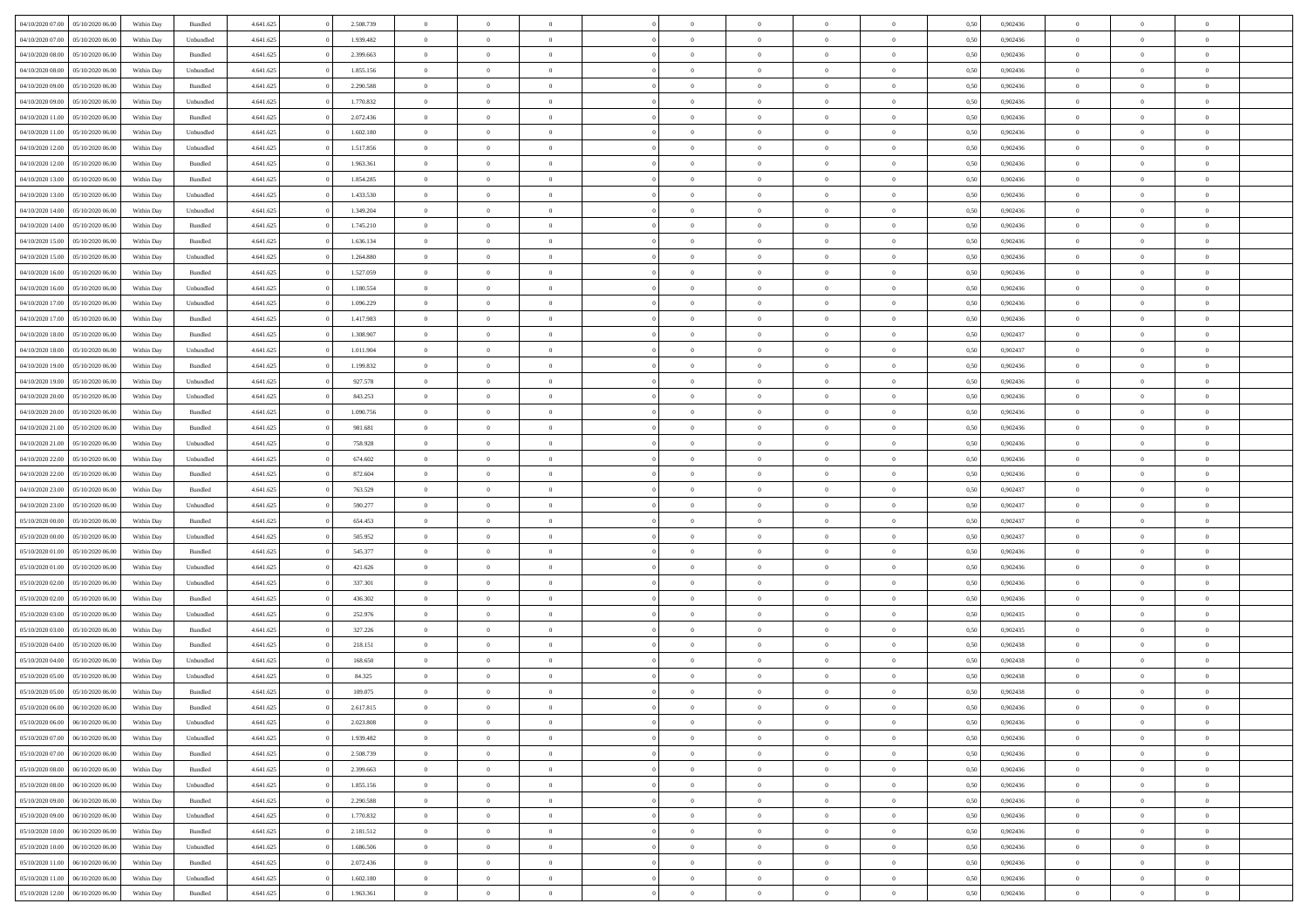| 04/10/2020 07:00 05/10/2020 06:00                        | Within Day | Bundled            | 4.641.625 | 2.508.739 | $\overline{0}$ | $\overline{0}$ | $\Omega$       | $\Omega$       | $\Omega$       |                | $\overline{0}$ | 0,50 | 0,902436 | $\mathbf{0}$   | $\Omega$       | $\Omega$       |  |
|----------------------------------------------------------|------------|--------------------|-----------|-----------|----------------|----------------|----------------|----------------|----------------|----------------|----------------|------|----------|----------------|----------------|----------------|--|
| 04/10/2020 07:00<br>05/10/2020 06:00                     | Within Day | Unbundled          | 4.641.625 | 1.939.482 | $\bf{0}$       | $\overline{0}$ | $\theta$       | $\theta$       | $\overline{0}$ | $\overline{0}$ | $\,$ 0         | 0,50 | 0,902436 | $\mathbf{0}$   | $\theta$       | $\bf{0}$       |  |
| 04/10/2020 08:00<br>05/10/2020 06:00                     | Within Day | Bundled            | 4.641.625 | 2.399.663 | $\overline{0}$ | $\overline{0}$ | $\overline{0}$ | $\bf{0}$       | $\bf{0}$       | $\overline{0}$ | $\mathbf{0}$   | 0,50 | 0,902436 | $\bf{0}$       | $\bf{0}$       | $\bf{0}$       |  |
| 04/10/2020 08:00<br>05/10/2020 06:00                     | Within Day | Unbundled          | 4.641.625 | 1.855.156 | $\overline{0}$ | $\overline{0}$ | $\overline{0}$ | $\overline{0}$ | $\overline{0}$ | $\overline{0}$ | $\overline{0}$ | 0.50 | 0.902436 | $\overline{0}$ | $\overline{0}$ | $\bf{0}$       |  |
| 04/10/2020 09:00<br>05/10/2020 06:00                     | Within Day | $\mathbf B$ undled | 4.641.625 | 2.290.588 | $\bf{0}$       | $\overline{0}$ | $\theta$       | $\theta$       | $\overline{0}$ | $\overline{0}$ | $\bf{0}$       | 0,50 | 0,902436 | $\theta$       | $\theta$       | $\overline{0}$ |  |
|                                                          |            |                    |           |           |                |                |                |                |                |                |                |      |          | $\overline{0}$ | $\overline{0}$ |                |  |
| 04/10/2020 09:00<br>05/10/2020 06:00<br>04/10/2020 11:00 | Within Day | Unbundled          | 4.641.625 | 1.770.832 | $\overline{0}$ | $\overline{0}$ | $\overline{0}$ | $\bf{0}$       | $\overline{0}$ | $\overline{0}$ | $\overline{0}$ | 0,50 | 0,902436 |                |                | $\overline{0}$ |  |
| 05/10/2020 06:00                                         | Within Day | Bundled            | 4.641.625 | 2.072.436 | $\overline{0}$ | $\overline{0}$ | $\overline{0}$ | $\overline{0}$ | $\overline{0}$ | $\overline{0}$ | $\mathbf{0}$   | 0.50 | 0,902436 | $\mathbf{0}$   | $\overline{0}$ | $\overline{0}$ |  |
| 04/10/2020 11:00<br>05/10/2020 06:00                     | Within Day | Unbundled          | 4.641.625 | 1.602.180 | $\bf{0}$       | $\overline{0}$ | $\overline{0}$ | $\theta$       | $\overline{0}$ | $\overline{0}$ | $\bf{0}$       | 0,50 | 0,902436 | $\theta$       | $\theta$       | $\bf{0}$       |  |
| 04/10/2020 12:00<br>05/10/2020 06:00                     | Within Day | Unbundled          | 4.641.625 | 1.517.856 | $\overline{0}$ | $\overline{0}$ | $\overline{0}$ | $\bf{0}$       | $\bf{0}$       | $\overline{0}$ | $\bf{0}$       | 0,50 | 0,902436 | $\bf{0}$       | $\bf{0}$       | $\bf{0}$       |  |
| 04/10/2020 12:00<br>05/10/2020 06:00                     | Within Day | Bundled            | 4.641.625 | 1.963.361 | $\overline{0}$ | $\overline{0}$ | $\overline{0}$ | $\overline{0}$ | $\overline{0}$ | $\overline{0}$ | $\overline{0}$ | 0.50 | 0,902436 | $\overline{0}$ | $\overline{0}$ | $\overline{0}$ |  |
| 04/10/2020 13:00<br>05/10/2020 06:00                     | Within Day | Bundled            | 4.641.625 | 1.854.285 | $\bf{0}$       | $\overline{0}$ | $\overline{0}$ | $\overline{0}$ | $\overline{0}$ | $\overline{0}$ | $\,$ 0         | 0,50 | 0,902436 | $\theta$       | $\theta$       | $\bf{0}$       |  |
| 04/10/2020 13.00<br>05/10/2020 06.00                     | Within Day | Unbundled          | 4.641.625 | 1.433.530 | $\overline{0}$ | $\overline{0}$ | $\overline{0}$ | $\bf{0}$       | $\bf{0}$       | $\overline{0}$ | $\mathbf{0}$   | 0,50 | 0,902436 | $\bf{0}$       | $\bf{0}$       | $\bf{0}$       |  |
| 04/10/2020 14:00<br>05/10/2020 06:00                     | Within Day | Unbundled          | 4.641.625 | 1.349.204 | $\overline{0}$ | $\overline{0}$ | $\overline{0}$ | $\overline{0}$ | $\overline{0}$ | $\overline{0}$ | $\overline{0}$ | 0.50 | 0,902436 | $\mathbf{0}$   | $\overline{0}$ | $\bf{0}$       |  |
| 04/10/2020 14:00<br>05/10/2020 06:00                     | Within Day | $\mathbf B$ undled | 4.641.625 | 1.745.210 | $\bf{0}$       | $\overline{0}$ | $\theta$       | $\theta$       | $\overline{0}$ | $\overline{0}$ | $\,$ 0         | 0,50 | 0,902436 | $\theta$       | $\theta$       | $\overline{0}$ |  |
| 04/10/2020 15:00<br>05/10/2020 06:00                     | Within Day | Bundled            | 4.641.625 | 1.636.134 | $\overline{0}$ | $\overline{0}$ | $\overline{0}$ | $\bf{0}$       | $\overline{0}$ | $\overline{0}$ | $\overline{0}$ | 0,50 | 0,902436 | $\overline{0}$ | $\bf{0}$       | $\overline{0}$ |  |
| 04/10/2020 15:00<br>05/10/2020 06:00                     | Within Day | Unbundled          | 4.641.625 | 1.264.880 | $\overline{0}$ | $\overline{0}$ | $\overline{0}$ | $\overline{0}$ | $\overline{0}$ | $\overline{0}$ | $\overline{0}$ | 0.50 | 0,902436 | $\overline{0}$ | $\overline{0}$ | $\overline{0}$ |  |
| 04/10/2020 16:00<br>05/10/2020 06:00                     |            |                    | 4.641.625 | 1.527.059 |                | $\overline{0}$ | $\overline{0}$ | $\overline{0}$ | $\overline{0}$ | $\overline{0}$ | $\bf{0}$       |      | 0,902436 | $\theta$       | $\theta$       | $\bf{0}$       |  |
|                                                          | Within Day | Bundled            |           |           | $\bf{0}$       |                |                |                |                |                |                | 0,50 |          |                |                |                |  |
| 04/10/2020 16.00<br>05/10/2020 06:00                     | Within Day | Unbundled          | 4.641.625 | 1.180.554 | $\overline{0}$ | $\overline{0}$ | $\overline{0}$ | $\bf{0}$       | $\bf{0}$       | $\overline{0}$ | $\bf{0}$       | 0,50 | 0,902436 | $\bf{0}$       | $\bf{0}$       | $\bf{0}$       |  |
| 04/10/2020 17:00<br>05/10/2020 06:00                     | Within Day | Unbundled          | 4.641.625 | 1.096.229 | $\overline{0}$ | $\overline{0}$ | $\overline{0}$ | $\overline{0}$ | $\overline{0}$ | $\overline{0}$ | $\overline{0}$ | 0.50 | 0,902436 | $\overline{0}$ | $\overline{0}$ | $\overline{0}$ |  |
| 04/10/2020 17:00<br>05/10/2020 06:00                     | Within Day | Bundled            | 4.641.625 | 1.417.983 | $\bf{0}$       | $\overline{0}$ | $\overline{0}$ | $\overline{0}$ | $\overline{0}$ | $\overline{0}$ | $\,$ 0         | 0,50 | 0,902436 | $\theta$       | $\theta$       | $\bf{0}$       |  |
| 04/10/2020 18:00<br>05/10/2020 06:00                     | Within Day | Bundled            | 4.641.625 | 1.308.907 | $\overline{0}$ | $\overline{0}$ | $\overline{0}$ | $\bf{0}$       | $\bf{0}$       | $\overline{0}$ | $\mathbf{0}$   | 0,50 | 0,902437 | $\bf{0}$       | $\bf{0}$       | $\bf{0}$       |  |
| 04/10/2020 18:00<br>05/10/2020 06:00                     | Within Day | Unbundled          | 4.641.625 | 1.011.904 | $\overline{0}$ | $\overline{0}$ | $\overline{0}$ | $\overline{0}$ | $\overline{0}$ | $\overline{0}$ | $\overline{0}$ | 0.50 | 0,902437 | $\overline{0}$ | $\overline{0}$ | $\bf{0}$       |  |
| 04/10/2020 19:00<br>05/10/2020 06:00                     | Within Day | Bundled            | 4.641.625 | 1.199.832 | $\bf{0}$       | $\overline{0}$ | $\overline{0}$ | $\overline{0}$ | $\overline{0}$ | $\overline{0}$ | $\,$ 0         | 0,50 | 0,902436 | $\mathbf{0}$   | $\theta$       | $\bf{0}$       |  |
| 04/10/2020 19:00<br>05/10/2020 06:00                     | Within Day | Unbundled          | 4.641.625 | 927.578   | $\overline{0}$ | $\overline{0}$ | $\overline{0}$ | $\bf{0}$       | $\overline{0}$ | $\overline{0}$ | $\overline{0}$ | 0,50 | 0,902436 | $\overline{0}$ | $\overline{0}$ | $\overline{0}$ |  |
| 04/10/2020 20:00<br>05/10/2020 06:00                     | Within Day | Unbundled          | 4.641.625 | 843.253   | $\overline{0}$ | $\overline{0}$ | $\overline{0}$ | $\overline{0}$ | $\overline{0}$ | $\overline{0}$ | $\overline{0}$ | 0.50 | 0,902436 | $\overline{0}$ | $\overline{0}$ | $\overline{0}$ |  |
| 04/10/2020 20:00<br>05/10/2020 06:00                     | Within Day | Bundled            | 4.641.625 | 1.090.756 | $\bf{0}$       | $\overline{0}$ | $\overline{0}$ | $\overline{0}$ | $\overline{0}$ | $\overline{0}$ | $\bf{0}$       | 0,50 | 0,902436 | $\theta$       | $\theta$       | $\bf{0}$       |  |
| 04/10/2020 21:00<br>05/10/2020 06:00                     | Within Day | Bundled            | 4.641.625 | 981.681   | $\overline{0}$ | $\overline{0}$ | $\overline{0}$ | $\bf{0}$       | $\bf{0}$       | $\overline{0}$ | $\bf{0}$       | 0,50 | 0,902436 | $\bf{0}$       | $\bf{0}$       | $\bf{0}$       |  |
|                                                          |            |                    |           |           |                | $\overline{0}$ |                |                | $\overline{0}$ |                | $\overline{0}$ |      |          | $\overline{0}$ |                |                |  |
| 04/10/2020 21.00<br>05/10/2020 06:00                     | Within Day | Unbundled          | 4.641.625 | 758.928   | $\overline{0}$ |                | $\overline{0}$ | $\overline{0}$ |                | $\overline{0}$ |                | 0.50 | 0,902436 |                | $\overline{0}$ | $\bf{0}$       |  |
| 04/10/2020 22.00<br>05/10/2020 06:00                     | Within Day | Unbundled          | 4.641.625 | 674.602   | $\bf{0}$       | $\overline{0}$ | $\overline{0}$ | $\overline{0}$ | $\overline{0}$ | $\overline{0}$ | $\,$ 0         | 0,50 | 0,902436 | $\theta$       | $\theta$       | $\bf{0}$       |  |
| 04/10/2020 22.00<br>05/10/2020 06.00                     | Within Day | Bundled            | 4.641.625 | 872.604   | $\overline{0}$ | $\overline{0}$ | $\overline{0}$ | $\bf{0}$       | $\bf{0}$       | $\overline{0}$ | $\mathbf{0}$   | 0,50 | 0,902436 | $\overline{0}$ | $\bf{0}$       | $\bf{0}$       |  |
| 04/10/2020 23.00<br>05/10/2020 06.00                     | Within Day | Bundled            | 4.641.625 | 763.529   | $\overline{0}$ | $\overline{0}$ | $\overline{0}$ | $\overline{0}$ | $\overline{0}$ | $\Omega$       | $\overline{0}$ | 0,50 | 0.902437 | $\bf{0}$       | $\Omega$       | $\Omega$       |  |
| 04/10/2020 23:00<br>05/10/2020 06:00                     | Within Day | Unbundled          | 4.641.625 | 590.277   | $\bf{0}$       | $\overline{0}$ | $\overline{0}$ | $\theta$       | $\overline{0}$ | $\overline{0}$ | $\,$ 0         | 0,50 | 0,902437 | $\theta$       | $\theta$       | $\bf{0}$       |  |
| 05/10/2020 00:00<br>05/10/2020 06:00                     | Within Day | Bundled            | 4.641.625 | 654.453   | $\overline{0}$ | $\overline{0}$ | $\overline{0}$ | $\bf{0}$       | $\overline{0}$ | $\overline{0}$ | $\overline{0}$ | 0,50 | 0,902437 | $\overline{0}$ | $\bf{0}$       | $\overline{0}$ |  |
| 05/10/2020 00:00<br>05/10/2020 06.00                     | Within Day | Unbundled          | 4.641.625 | 505.952   | $\overline{0}$ | $\overline{0}$ | $\Omega$       | $\overline{0}$ | $\overline{0}$ | $\Omega$       | $\overline{0}$ | 0.50 | 0.902437 | $\overline{0}$ | $\Omega$       | $\Omega$       |  |
| 05/10/2020 01:00<br>05/10/2020 06:00                     | Within Day | Bundled            | 4.641.625 | 545.377   | $\bf{0}$       | $\overline{0}$ | $\overline{0}$ | $\overline{0}$ | $\overline{0}$ | $\overline{0}$ | $\bf{0}$       | 0,50 | 0,902436 | $\theta$       | $\theta$       | $\bf{0}$       |  |
| 05/10/2020 01:00<br>05/10/2020 06.00                     | Within Day | Unbundled          | 4.641.625 | 421.626   | $\overline{0}$ | $\overline{0}$ | $\bf{0}$       | $\bf{0}$       | $\bf{0}$       | $\overline{0}$ | $\bf{0}$       | 0,50 | 0,902436 | $\bf{0}$       | $\bf{0}$       | $\bf{0}$       |  |
| 05/10/2020 02:00<br>05/10/2020 06.00                     | Within Day | Unbundled          | 4.641.625 | 337.301   | $\overline{0}$ | $\overline{0}$ | $\Omega$       | $\overline{0}$ | $\overline{0}$ | $\Omega$       | $\theta$       | 0.50 | 0.902436 | $\overline{0}$ | $\Omega$       | $\Omega$       |  |
| 05/10/2020 02:00<br>05/10/2020 06:00                     | Within Day | $\mathbf B$ undled | 4.641.625 | 436.302   | $\bf{0}$       | $\overline{0}$ | $\bf{0}$       | $\overline{0}$ | $\overline{0}$ | $\overline{0}$ | $\,$ 0         | 0,50 | 0,902436 | $\theta$       | $\theta$       | $\bf{0}$       |  |
| 05/10/2020 03:00<br>05/10/2020 06.00                     | Within Day | Unbundled          | 4.641.625 | 252.976   | $\overline{0}$ | $\overline{0}$ | $\overline{0}$ | $\bf{0}$       | $\bf{0}$       | $\overline{0}$ | $\mathbf{0}$   | 0,50 | 0,902435 | $\overline{0}$ | $\bf{0}$       | $\bf{0}$       |  |
|                                                          |            |                    |           |           |                |                |                |                |                |                |                |      |          |                |                |                |  |
| 05/10/2020 03:00<br>05/10/2020 06.00                     | Within Day | Bundled            | 4.641.625 | 327.226   | $\overline{0}$ | $\overline{0}$ | $\overline{0}$ | $\overline{0}$ | $\overline{0}$ | $\Omega$       | $\overline{0}$ | 0.50 | 0,902435 | $\bf{0}$       | $\Omega$       | $\Omega$       |  |
| 05/10/2020 04:00<br>05/10/2020 06:00                     | Within Day | Bundled            | 4.641.625 | 218.151   | $\bf{0}$       | $\overline{0}$ | $\overline{0}$ | $\overline{0}$ | $\overline{0}$ | $\overline{0}$ | $\,$ 0         | 0,50 | 0,902438 | $\,$ 0 $\,$    | $\theta$       | $\bf{0}$       |  |
| 05/10/2020 04:00<br>05/10/2020 06.00                     | Within Day | Unbundled          | 4.641.625 | 168.650   | $\overline{0}$ | $\overline{0}$ | $\bf{0}$       | $\bf{0}$       | $\overline{0}$ | $\overline{0}$ | $\overline{0}$ | 0,50 | 0,902438 | $\overline{0}$ | $\bf{0}$       | $\bf{0}$       |  |
| 05/10/2020 05:00<br>05/10/2020 06.00                     | Within Day | Unbundled          | 4.641.625 | 84.325    | $\overline{0}$ | $\theta$       | $\Omega$       | $\overline{0}$ | $\overline{0}$ | $\Omega$       | $\overline{0}$ | 0.50 | 0.902438 | $\overline{0}$ | $\Omega$       | $\Omega$       |  |
| 05/10/2020 05:00 05/10/2020 06:00                        | Within Day | Bundled            | 4.641.625 | 109.075   | $\bf{0}$       | $\overline{0}$ | $\bf{0}$       | $\bf{0}$       | $\bf{0}$       | $\overline{0}$ | $\,$ 0         | 0,50 | 0,902438 | $\bf{0}$       | $\,$ 0         | $\,$ 0         |  |
| 05/10/2020 06:00 06/10/2020 06:00                        | Within Day | Bundled            | 4.641.625 | 2.617.815 | $\bf{0}$       | $\bf{0}$       |                |                |                |                |                | 0,50 | 0,902436 | $\bf{0}$       | $\bf{0}$       |                |  |
| 05/10/2020 06:00 06/10/2020 06:00                        | Within Day | Unbundled          | 4.641.625 | 2.023.808 | $\overline{0}$ | $\overline{0}$ | $\theta$       | $\overline{0}$ | $\overline{0}$ | $\theta$       | $\mathbf{0}$   | 0,50 | 0.902436 | $\overline{0}$ | $\overline{0}$ | $\Omega$       |  |
| 05/10/2020 07.00<br>06/10/2020 06:00                     | Within Day | Unbundled          | 4.641.625 | 1.939.482 | $\overline{0}$ | $\overline{0}$ | $\overline{0}$ | $\bf{0}$       | $\overline{0}$ | $\overline{0}$ | $\mathbf{0}$   | 0,50 | 0,902436 | $\,0\,$        | $\overline{0}$ | $\,0\,$        |  |
| 05/10/2020 07:00<br>06/10/2020 06.00                     | Within Day | Bundled            | 4.641.625 | 2.508.739 | $\overline{0}$ | $\overline{0}$ | $\overline{0}$ | $\bf{0}$       | $\overline{0}$ | $\overline{0}$ | $\overline{0}$ | 0,50 | 0,902436 | $\bf{0}$       | $\overline{0}$ | $\overline{0}$ |  |
| 05/10/2020 08:00<br>06/10/2020 06:00                     | Within Day | Bundled            | 4.641.625 | 2.399.663 | $\overline{0}$ | $\overline{0}$ | $\overline{0}$ | $\overline{0}$ | $\bf{0}$       | $\overline{0}$ | $\bf{0}$       | 0,50 | 0,902436 | $\overline{0}$ | $\overline{0}$ | $\overline{0}$ |  |
| 05/10/2020 08:00<br>06/10/2020 06:00                     | Within Day | Unbundled          | 4.641.625 | 1.855.156 | $\overline{0}$ | $\overline{0}$ | $\overline{0}$ | $\overline{0}$ | $\overline{0}$ | $\overline{0}$ | $\,$ 0 $\,$    | 0,50 | 0,902436 | $\,0\,$        | $\theta$       | $\bf{0}$       |  |
|                                                          |            |                    |           |           |                |                |                |                |                |                |                |      |          |                |                |                |  |
| 05/10/2020 09:00<br>06/10/2020 06:00                     | Within Day | Bundled            | 4.641.625 | 2.290.588 | $\overline{0}$ | $\overline{0}$ | $\overline{0}$ | $\bf{0}$       | $\overline{0}$ | $\overline{0}$ | $\overline{0}$ | 0,50 | 0,902436 | $\bf{0}$       | $\overline{0}$ | $\overline{0}$ |  |
| 05/10/2020 09:00<br>06/10/2020 06:00                     | Within Day | Unbundled          | 4.641.625 | 1.770.832 | $\overline{0}$ | $\overline{0}$ | $\overline{0}$ | $\overline{0}$ | $\overline{0}$ | $\overline{0}$ | $\bf{0}$       | 0.50 | 0.902436 | $\overline{0}$ | $\overline{0}$ | $\overline{0}$ |  |
| 05/10/2020 10:00<br>06/10/2020 06:00                     | Within Day | Bundled            | 4.641.625 | 2.181.512 | $\overline{0}$ | $\overline{0}$ | $\overline{0}$ | $\overline{0}$ | $\bf{0}$       | $\overline{0}$ | $\,$ 0 $\,$    | 0,50 | 0,902436 | $\,0\,$        | $\theta$       | $\,$ 0         |  |
| 05/10/2020 10:00<br>06/10/2020 06.00                     | Within Day | Unbundled          | 4.641.625 | 1.686.506 | $\overline{0}$ | $\overline{0}$ | $\overline{0}$ | $\bf{0}$       | $\overline{0}$ | $\overline{0}$ | $\overline{0}$ | 0,50 | 0,902436 | $\overline{0}$ | $\bf{0}$       | $\overline{0}$ |  |
| 05/10/2020 11:00<br>06/10/2020 06:00                     | Within Day | Bundled            | 4.641.625 | 2.072.436 | $\overline{0}$ | $\overline{0}$ | $\overline{0}$ | $\overline{0}$ | $\overline{0}$ | $\overline{0}$ | $\overline{0}$ | 0,50 | 0.902436 | $\overline{0}$ | $\overline{0}$ | $\overline{0}$ |  |
| 05/10/2020 11:00<br>06/10/2020 06:00                     | Within Day | Unbundled          | 4.641.625 | 1.602.180 | $\overline{0}$ | $\overline{0}$ | $\overline{0}$ | $\bf{0}$       | $\bf{0}$       | $\bf{0}$       | $\,$ 0 $\,$    | 0,50 | 0,902436 | $\,0\,$        | $\,$ 0         | $\,$ 0         |  |
| 05/10/2020 12:00 06/10/2020 06:00                        | Within Day | Bundled            | 4.641.625 | 1.963.361 | $\overline{0}$ | $\overline{0}$ | $\overline{0}$ | $\bf{0}$       | $\overline{0}$ | $\overline{0}$ | $\overline{0}$ | 0,50 | 0,902436 | $\bf{0}$       | $\bf{0}$       | $\overline{0}$ |  |
|                                                          |            |                    |           |           |                |                |                |                |                |                |                |      |          |                |                |                |  |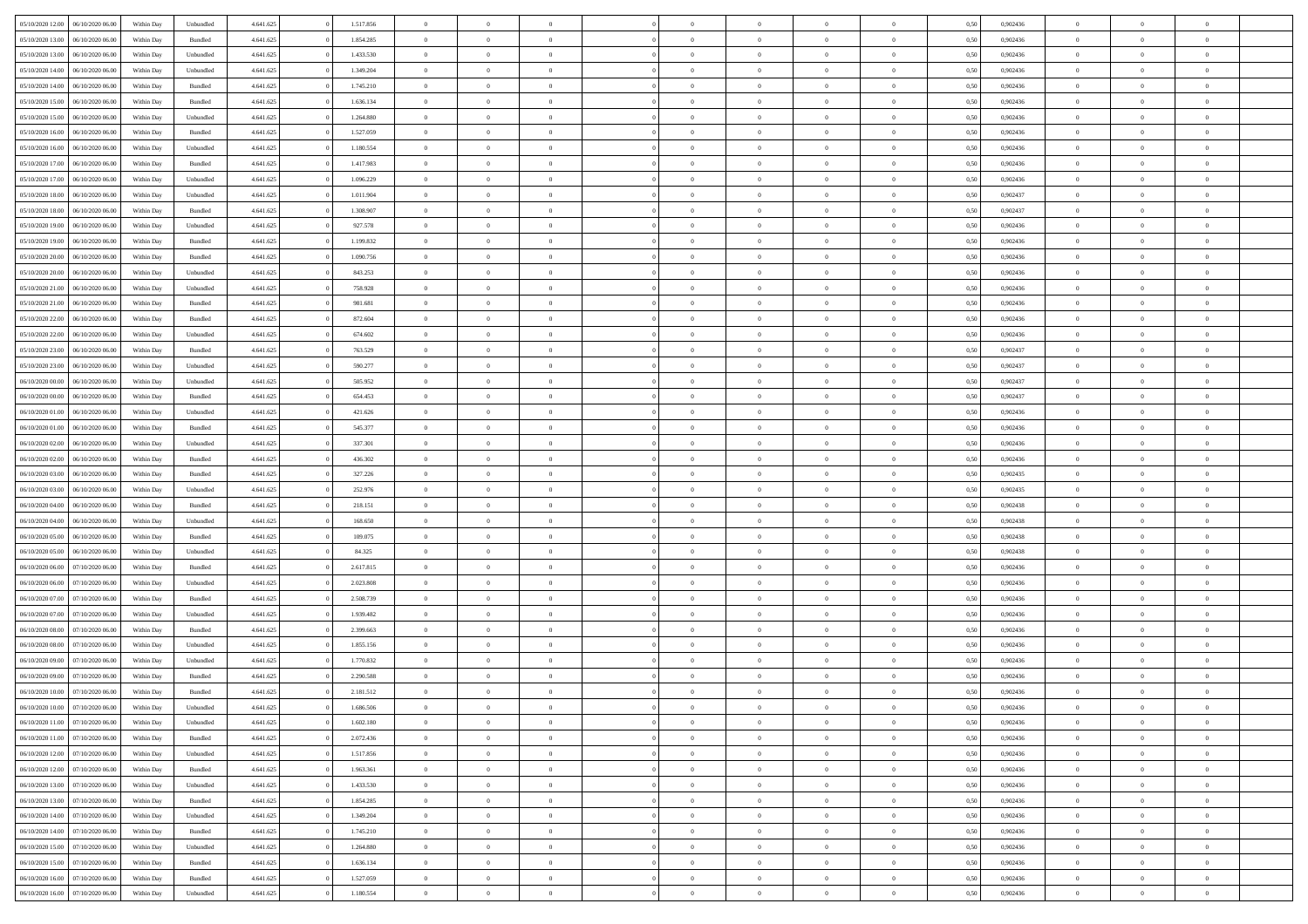| 05/10/2020 12:00<br>06/10/2020 06:00 | Within Day | Unbundled | 4.641.625 | 1.517.856 | $\overline{0}$ | $\theta$       |                | $\overline{0}$ | $\bf{0}$       | $\overline{0}$ | $\theta$       | 0,50 | 0,902436 | $\theta$       | $\theta$       | $\overline{0}$           |  |
|--------------------------------------|------------|-----------|-----------|-----------|----------------|----------------|----------------|----------------|----------------|----------------|----------------|------|----------|----------------|----------------|--------------------------|--|
|                                      |            |           |           |           | $\overline{0}$ | $\theta$       |                |                |                |                |                |      |          |                |                | $\overline{0}$           |  |
| 05/10/2020 13:00<br>06/10/2020 06.0  | Within Day | Bundled   | 4.641.625 | 1.854.285 |                |                | $\overline{0}$ | $\overline{0}$ | $\,$ 0         | $\bf{0}$       | $\bf{0}$       | 0,50 | 0,902436 | $\,$ 0 $\,$    | $\overline{0}$ |                          |  |
| 05/10/2020 13:00<br>06/10/2020 06:00 | Within Day | Unbundled | 4.641.625 | 1.433.530 | $\overline{0}$ | $\overline{0}$ | $\overline{0}$ | $\overline{0}$ | $\bf{0}$       | $\overline{0}$ | $\overline{0}$ | 0.50 | 0.902436 | $\bf{0}$       | $\overline{0}$ | $\overline{0}$           |  |
| 05/10/2020 14:00<br>06/10/2020 06.00 | Within Day | Unbundled | 4.641.625 | 1.349.204 | $\overline{0}$ | $\overline{0}$ | $\overline{0}$ | $\overline{0}$ | $\,$ 0         | $\overline{0}$ | $\overline{0}$ | 0,50 | 0,902436 | $\,$ 0 $\,$    | $\overline{0}$ | $\overline{0}$           |  |
| 05/10/2020 14:00<br>06/10/2020 06.00 | Within Day | Bundled   | 4.641.625 | 1.745.210 | $\overline{0}$ | $\theta$       | $\overline{0}$ |                | $\overline{0}$ | $\overline{0}$ | $\bf{0}$       | 0,50 | 0,902436 | $\,$ 0 $\,$    | $\overline{0}$ | $\overline{0}$           |  |
| 05/10/2020 15:00<br>06/10/2020 06:00 | Within Day | Bundled   | 4.641.625 | 1.636.134 | $\overline{0}$ | $\overline{0}$ | $\overline{0}$ | $\overline{0}$ | $\bf{0}$       | $\overline{0}$ | $\overline{0}$ | 0.50 | 0.902436 | $\,0\,$        | $\theta$       | $\overline{0}$           |  |
| 05/10/2020 15:00<br>06/10/2020 06.00 | Within Day | Unbundled | 4.641.625 | 1.264.880 | $\overline{0}$ | $\overline{0}$ | $\overline{0}$ | $\overline{0}$ | $\,$ 0         | $\overline{0}$ | $\overline{0}$ | 0,50 | 0,902436 | $\,$ 0 $\,$    | $\theta$       | $\overline{0}$           |  |
| 06/10/2020 06.00                     | Within Day | Bundled   | 4.641.625 | 1.527.059 | $\overline{0}$ | $\theta$       | $\overline{0}$ | $\overline{0}$ | $\bf{0}$       | $\overline{0}$ | $\bf{0}$       | 0,50 | 0,902436 | $\,$ 0 $\,$    | $\overline{0}$ | $\overline{0}$           |  |
| 05/10/2020 16:00                     |            |           |           |           |                |                |                |                |                |                |                |      |          |                |                |                          |  |
| 05/10/2020 16:00<br>06/10/2020 06:00 | Within Day | Unbundled | 4.641.625 | 1.180.554 | $\overline{0}$ | $\overline{0}$ | $\overline{0}$ | $\overline{0}$ | $\bf{0}$       | $\overline{0}$ | $\bf{0}$       | 0.50 | 0.902436 | $\,0\,$        | $\overline{0}$ | $\overline{0}$           |  |
| 05/10/2020 17:00<br>06/10/2020 06.00 | Within Day | Bundled   | 4.641.625 | 1.417.983 | $\overline{0}$ | $\overline{0}$ | $\overline{0}$ | $\overline{0}$ | $\,$ 0         | $\overline{0}$ | $\bf{0}$       | 0,50 | 0,902436 | $\,$ 0 $\,$    | $\overline{0}$ | $\overline{0}$           |  |
| 05/10/2020 17:00<br>06/10/2020 06.00 | Within Day | Unbundled | 4.641.625 | 1.096.229 | $\overline{0}$ | $\theta$       | $\overline{0}$ | $\overline{0}$ | $\,$ 0         | $\overline{0}$ | $\bf{0}$       | 0,50 | 0,902436 | $\,$ 0 $\,$    | $\overline{0}$ | $\overline{0}$           |  |
| 05/10/2020 18:00<br>06/10/2020 06:00 | Within Day | Unbundled | 4.641.625 | 1.011.904 | $\overline{0}$ | $\overline{0}$ | $\overline{0}$ | $\overline{0}$ | $\bf{0}$       | $\overline{0}$ | $\mathbf{0}$   | 0.50 | 0.902437 | $\bf{0}$       | $\overline{0}$ | $\overline{\phantom{a}}$ |  |
| 05/10/2020 18:00<br>06/10/2020 06.00 | Within Day | Bundled   | 4.641.625 | 1.308.907 | $\overline{0}$ | $\overline{0}$ | $\overline{0}$ | $\overline{0}$ | $\,$ 0         | $\overline{0}$ | $\overline{0}$ | 0,50 | 0,902437 | $\,$ 0 $\,$    | $\overline{0}$ | $\overline{0}$           |  |
| 05/10/2020 19:00<br>06/10/2020 06.00 | Within Day | Unbundled | 4.641.625 | 927.578   | $\overline{0}$ | $\theta$       | $\overline{0}$ | $\overline{0}$ | $\overline{0}$ | $\overline{0}$ | $\bf{0}$       | 0,50 | 0,902436 | $\,$ 0 $\,$    | $\overline{0}$ | $\overline{0}$           |  |
| 06/10/2020 06:00                     | Within Day | Bundled   | 4.641.625 | 1.199.832 | $\overline{0}$ | $\overline{0}$ | $\overline{0}$ | $\overline{0}$ | $\,$ 0         | $\overline{0}$ | $\overline{0}$ | 0.50 | 0.902436 | $\theta$       | $\theta$       | $\overline{0}$           |  |
| 05/10/2020 19:00                     |            |           |           |           |                |                |                |                |                |                |                |      |          |                |                |                          |  |
| 05/10/2020 20:00<br>06/10/2020 06.00 | Within Day | Bundled   | 4.641.625 | 1.090.756 | $\overline{0}$ | $\overline{0}$ | $\overline{0}$ | $\overline{0}$ | $\,$ 0         | $\overline{0}$ | $\bf{0}$       | 0,50 | 0,902436 | $\,0\,$        | $\theta$       | $\overline{0}$           |  |
| 05/10/2020 20:00<br>06/10/2020 06.00 | Within Day | Unbundled | 4.641.625 | 843.253   | $\overline{0}$ | $\theta$       | $\overline{0}$ |                | $\bf{0}$       | $\overline{0}$ | $\bf{0}$       | 0,50 | 0,902436 | $\,$ 0 $\,$    | $\overline{0}$ | $\overline{0}$           |  |
| 05/10/2020 21.00<br>06/10/2020 06:00 | Within Day | Unbundled | 4.641.625 | 758,928   | $\overline{0}$ | $\overline{0}$ | $\overline{0}$ | $\overline{0}$ | $\bf{0}$       | $\overline{0}$ | $\bf{0}$       | 0.50 | 0.902436 | $\,0\,$        | $\overline{0}$ | $\overline{0}$           |  |
| 05/10/2020 21:00<br>06/10/2020 06.00 | Within Day | Bundled   | 4.641.625 | 981.681   | $\overline{0}$ | $\overline{0}$ | $\overline{0}$ | $\overline{0}$ | $\bf{0}$       | $\overline{0}$ | $\bf{0}$       | 0,50 | 0,902436 | $\,$ 0 $\,$    | $\overline{0}$ | $\overline{0}$           |  |
| 05/10/2020 22.00<br>06/10/2020 06.00 | Within Day | Bundled   | 4.641.625 | 872.604   | $\bf{0}$       | $\theta$       | $\overline{0}$ | $\overline{0}$ | $\,$ 0         | $\overline{0}$ | $\bf{0}$       | 0,50 | 0,902436 | $\,$ 0 $\,$    | $\overline{0}$ | $\overline{0}$           |  |
| 05/10/2020 22.00<br>06/10/2020 06:00 | Within Day | Unbundled | 4.641.625 | 674.602   | $\overline{0}$ | $\overline{0}$ | $\overline{0}$ | $\overline{0}$ | $\bf{0}$       | $\overline{0}$ | $\mathbf{0}$   | 0.50 | 0.902436 | $\bf{0}$       | $\overline{0}$ | $\overline{\phantom{a}}$ |  |
| 05/10/2020 23.00<br>06/10/2020 06.00 |            |           | 4.641.625 | 763.529   | $\overline{0}$ | $\overline{0}$ | $\overline{0}$ | $\overline{0}$ | $\bf{0}$       | $\overline{0}$ | $\overline{0}$ | 0,50 | 0,902437 | $\,$ 0 $\,$    | $\overline{0}$ | $\overline{0}$           |  |
|                                      | Within Day | Bundled   |           |           |                |                |                |                |                |                |                |      |          |                |                |                          |  |
| 05/10/2020 23.00<br>06/10/2020 06.00 | Within Day | Unbundled | 4.641.625 | 590.277   | $\overline{0}$ | $\theta$       | $\overline{0}$ | $\overline{0}$ | $\bf{0}$       | $\overline{0}$ | $\bf{0}$       | 0,50 | 0,902437 | $\,$ 0 $\,$    | $\overline{0}$ | $\overline{0}$           |  |
| 06/10/2020 00.00<br>06/10/2020 06:00 | Within Day | Unbundled | 4.641.625 | 505.952   | $\overline{0}$ | $\overline{0}$ | $\overline{0}$ | $\overline{0}$ | $\bf{0}$       | $\overline{0}$ | $\bf{0}$       | 0.50 | 0.902437 | $\,0\,$        | $\theta$       | $\overline{0}$           |  |
| 06/10/2020 00:00<br>06/10/2020 06.00 | Within Day | Bundled   | 4.641.625 | 654.453   | $\overline{0}$ | $\overline{0}$ | $\overline{0}$ | $\overline{0}$ | $\,$ 0         | $\overline{0}$ | $\overline{0}$ | 0,50 | 0,902437 | $\,0\,$        | $\theta$       | $\overline{0}$           |  |
| 06/10/2020 01:00<br>06/10/2020 06.00 | Within Day | Unbundled | 4.641.625 | 421.626   | $\overline{0}$ | $\theta$       | $\overline{0}$ |                | $\bf{0}$       | $\overline{0}$ | $\bf{0}$       | 0,50 | 0,902436 | $\,$ 0 $\,$    | $\overline{0}$ | $\overline{0}$           |  |
| 06/10/2020 01.00<br>06/10/2020 06:00 | Within Day | Bundled   | 4.641.625 | 545.377   | $\overline{0}$ | $\overline{0}$ | $\overline{0}$ | $\overline{0}$ | $\bf{0}$       | $\overline{0}$ | $\bf{0}$       | 0.50 | 0.902436 | $\,0\,$        | $\overline{0}$ | $\overline{0}$           |  |
| 06/10/2020 02.00<br>06/10/2020 06.00 | Within Day | Unbundled | 4.641.625 | 337.301   | $\overline{0}$ | $\overline{0}$ | $\overline{0}$ | $\overline{0}$ | $\bf{0}$       | $\overline{0}$ | $\bf{0}$       | 0,50 | 0,902436 | $\,$ 0 $\,$    | $\overline{0}$ | $\overline{0}$           |  |
|                                      |            |           |           |           |                |                |                |                |                |                |                |      |          |                |                |                          |  |
| 06/10/2020 02.00<br>06/10/2020 06.00 | Within Day | Bundled   | 4.641.625 | 436.302   | $\overline{0}$ | $\overline{0}$ | $\overline{0}$ | $\overline{0}$ | $\,$ 0         | $\bf{0}$       | $\bf{0}$       | 0,50 | 0,902436 | $\,$ 0 $\,$    | $\overline{0}$ | $\overline{0}$           |  |
| 06/10/2020 03:00<br>06/10/2020 06:00 | Within Day | Bundled   | 4.641.625 | 327.226   | $\overline{0}$ | $\overline{0}$ | $\overline{0}$ | $\overline{0}$ | $\bf{0}$       | $\overline{0}$ | $\mathbf{0}$   | 0.50 | 0.902435 | $\bf{0}$       | $\overline{0}$ | $\overline{\phantom{a}}$ |  |
| 06/10/2020 03:00<br>06/10/2020 06.00 | Within Dav | Unbundled | 4.641.625 | 252.976   | $\overline{0}$ | $\overline{0}$ | $\overline{0}$ | $\overline{0}$ | $\bf{0}$       | $\overline{0}$ | $\overline{0}$ | 0.50 | 0,902435 | $\theta$       | $\overline{0}$ | $\overline{0}$           |  |
| 06/10/2020 04:00<br>06/10/2020 06.00 | Within Day | Bundled   | 4.641.625 | 218.151   | $\overline{0}$ | $\theta$       | $\overline{0}$ | $\overline{0}$ | $\bf{0}$       | $\overline{0}$ | $\bf{0}$       | 0,50 | 0,902438 | $\,$ 0 $\,$    | $\overline{0}$ | $\overline{0}$           |  |
| 06/10/2020 04:00<br>06/10/2020 06:00 | Within Day | Unbundled | 4.641.625 | 168,650   | $\overline{0}$ | $\overline{0}$ | $\overline{0}$ | $\overline{0}$ | $\,$ 0         | $\overline{0}$ | $\bf{0}$       | 0.50 | 0.902438 | $\,0\,$        | $\theta$       | $\overline{0}$           |  |
| 06/10/2020 05:00<br>06/10/2020 06.00 | Within Dav | Bundled   | 4.641.625 | 109.075   | $\overline{0}$ | $\theta$       | $\Omega$       | $\overline{0}$ | $\bf{0}$       | $\overline{0}$ | $\overline{0}$ | 0.50 | 0,902438 | $\theta$       | $\overline{0}$ | $\overline{0}$           |  |
| 06/10/2020 05:00<br>06/10/2020 06.00 | Within Day | Unbundled | 4.641.625 | 84.325    | $\overline{0}$ | $\theta$       | $\overline{0}$ | $\overline{0}$ | $\,$ 0         | $\overline{0}$ | $\bf{0}$       | 0,50 | 0,902438 | $\,$ 0 $\,$    | $\overline{0}$ | $\overline{0}$           |  |
| 06/10/2020 06.00<br>07/10/2020 06.00 | Within Day | Bundled   | 4.641.625 | 2.617.815 | $\overline{0}$ | $\overline{0}$ | $\overline{0}$ | $\overline{0}$ | $\bf{0}$       | $\overline{0}$ | $\bf{0}$       | 0.50 | 0.902436 | $\,0\,$        | $\overline{0}$ | $\overline{0}$           |  |
|                                      |            |           |           |           |                |                |                |                |                |                |                |      |          |                |                |                          |  |
| 06/10/2020 06:00<br>07/10/2020 06.00 | Within Dav | Unbundled | 4.641.625 | 2.023.808 | $\overline{0}$ | $\overline{0}$ | $\overline{0}$ | $\overline{0}$ | $\overline{0}$ | $\overline{0}$ | $\overline{0}$ | 0.50 | 0,902436 | $\theta$       | $\overline{0}$ | $\overline{0}$           |  |
| 06/10/2020 07:00<br>07/10/2020 06.00 | Within Day | Bundled   | 4.641.625 | 2.508.739 | $\overline{0}$ | $\overline{0}$ | $\overline{0}$ | $\overline{0}$ | $\bf{0}$       | $\bf{0}$       | $\bf{0}$       | 0,50 | 0,902436 | $\,$ 0 $\,$    | $\overline{0}$ | $\overline{0}$           |  |
| 06/10/2020 07.00<br>07/10/2020 06:00 | Within Day | Unbundled | 4.641.625 | 1.939.482 | $\overline{0}$ | $\overline{0}$ | $\overline{0}$ | $\overline{0}$ | $\bf{0}$       | $\overline{0}$ | $\mathbf{0}$   | 0.50 | 0.902436 | $\bf{0}$       | $\overline{0}$ | $\overline{0}$           |  |
| 06/10/2020 08:00<br>07/10/2020 06.00 | Within Dav | Bundled   | 4.641.625 | 2.399.663 | $\overline{0}$ | $\overline{0}$ | $\Omega$       | $\overline{0}$ | $\bf{0}$       | $\overline{0}$ | $\overline{0}$ | 0.50 | 0,902436 | $\theta$       | $\overline{0}$ | $\overline{0}$           |  |
| 06/10/2020 08:00<br>07/10/2020 06.00 | Within Day | Unbundled | 4.641.625 | 1.855.156 | $\overline{0}$ | $\theta$       | $\overline{0}$ | $\overline{0}$ | $\,$ 0         | $\overline{0}$ | $\bf{0}$       | 0,50 | 0,902436 | $\,$ 0 $\,$    | $\overline{0}$ | $\overline{0}$           |  |
| 06/10/2020 09:00<br>07/10/2020 06.00 | Within Day | Unbundled | 4.641.625 | 1.770.832 | $\overline{0}$ | $\theta$       | $\overline{0}$ | $\overline{0}$ | $\overline{0}$ | $\Omega$       | $\overline{0}$ | 0.50 | 0.902436 | $\,0\,$        | $\theta$       | $\theta$                 |  |
| 06/10/2020 09:00<br>07/10/2020 06.00 | Within Dav | Bundled   | 4.641.625 | 2.290.588 | $\overline{0}$ | $\Omega$       | $\Omega$       | $\Omega$       | $\bf{0}$       | $\overline{0}$ | $\bf{0}$       | 0.50 | 0,902436 | $\theta$       | $\theta$       | $\overline{0}$           |  |
|                                      |            |           |           |           |                | $\,$ 0 $\,$    | $\overline{0}$ | $\overline{0}$ | $\,$ 0         |                |                |      |          | $\,$ 0 $\,$    | $\overline{0}$ | $\overline{0}$           |  |
| 06/10/2020 10:00<br>07/10/2020 06.00 | Within Day | Bundled   | 4.641.625 | 2.181.512 | $\bf{0}$       |                |                |                |                | $\bf{0}$       | $\bf{0}$       | 0,50 | 0,902436 |                |                |                          |  |
| 06/10/2020 10:00 07/10/2020 06:00    | Within Day | Unbundled | 4.641.625 | 1.686.506 | $\bf{0}$       | $\theta$       |                | $\Omega$       |                |                |                | 0,50 | 0.902436 | $\bf{0}$       | $\theta$       |                          |  |
| 06/10/2020 11:00 07/10/2020 06:00    | Within Day | Unbundled | 4.641.625 | 1.602.180 | $\overline{0}$ | $\overline{0}$ | $\overline{0}$ | $\overline{0}$ | $\overline{0}$ | $\overline{0}$ | $\mathbf{0}$   | 0,50 | 0,902436 | $\theta$       | $\overline{0}$ | $\overline{0}$           |  |
| 06/10/2020 11:00<br>07/10/2020 06.00 | Within Day | Bundled   | 4.641.625 | 2.072.436 | $\overline{0}$ | $\overline{0}$ | $\overline{0}$ | $\bf{0}$       | $\overline{0}$ | $\overline{0}$ | $\bf{0}$       | 0,50 | 0,902436 | $\bf{0}$       | $\overline{0}$ | $\bf{0}$                 |  |
| 06/10/2020 12:00<br>07/10/2020 06.00 | Within Day | Unbundled | 4.641.625 | 1.517.856 | $\overline{0}$ | $\overline{0}$ | $\overline{0}$ | $\overline{0}$ | $\overline{0}$ | $\overline{0}$ | $\mathbf{0}$   | 0.50 | 0.902436 | $\overline{0}$ | $\bf{0}$       | $\bf{0}$                 |  |
| 06/10/2020 12:00<br>07/10/2020 06.00 | Within Day | Bundled   | 4.641.625 | 1.963.361 | $\overline{0}$ | $\overline{0}$ | $\overline{0}$ | $\overline{0}$ | $\overline{0}$ | $\overline{0}$ | $\mathbf{0}$   | 0,50 | 0,902436 | $\overline{0}$ | $\theta$       | $\overline{0}$           |  |
| 06/10/2020 13:00<br>07/10/2020 06.00 | Within Day | Unbundled | 4.641.625 | 1.433.530 | $\overline{0}$ | $\overline{0}$ | $\overline{0}$ | $\overline{0}$ | $\bf{0}$       | $\bf{0}$       | $\bf{0}$       | 0,50 | 0,902436 | $\bf{0}$       | $\overline{0}$ | $\overline{0}$           |  |
| 07/10/2020 06:00                     |            |           |           | 1.854.285 |                | $\overline{0}$ | $\overline{0}$ |                |                | $\overline{0}$ |                | 0.50 | 0.902436 | $\,$ 0 $\,$    | $\theta$       | $\overline{0}$           |  |
| 06/10/2020 13:00                     | Within Day | Bundled   | 4.641.625 |           | $\overline{0}$ |                |                | $\overline{0}$ | $\bf{0}$       |                | $\mathbf{0}$   |      |          |                |                |                          |  |
| 06/10/2020 14:00<br>07/10/2020 06:00 | Within Day | Unbundled | 4.641.625 | 1.349.204 | $\overline{0}$ | $\overline{0}$ | $\overline{0}$ | $\overline{0}$ | $\overline{0}$ | $\overline{0}$ | $\overline{0}$ | 0,50 | 0,902436 | $\overline{0}$ | $\theta$       | $\overline{0}$           |  |
| 06/10/2020 14:00<br>07/10/2020 06.00 | Within Day | Bundled   | 4.641.625 | 1.745.210 | $\overline{0}$ | $\,$ 0         | $\overline{0}$ | $\bf{0}$       | $\,$ 0 $\,$    | $\overline{0}$ | $\bf{0}$       | 0,50 | 0,902436 | $\,$ 0 $\,$    | $\overline{0}$ | $\overline{0}$           |  |
| 06/10/2020 15:00<br>07/10/2020 06:00 | Within Day | Unbundled | 4.641.625 | 1.264.880 | $\overline{0}$ | $\overline{0}$ | $\overline{0}$ | $\overline{0}$ | $\bf{0}$       | $\overline{0}$ | $\mathbf{0}$   | 0.50 | 0.902436 | $\mathbf{0}$   | $\,$ 0 $\,$    | $\overline{0}$           |  |
| 06/10/2020 15:00<br>07/10/2020 06.00 | Within Dav | Bundled   | 4.641.625 | 1.636.134 | $\overline{0}$ | $\overline{0}$ | $\overline{0}$ | $\overline{0}$ | $\overline{0}$ | $\overline{0}$ | $\overline{0}$ | 0,50 | 0,902436 | $\overline{0}$ | $\theta$       | $\overline{0}$           |  |
| 06/10/2020 16:00<br>07/10/2020 06.00 | Within Day | Bundled   | 4.641.625 | 1.527.059 | $\overline{0}$ | $\overline{0}$ | $\overline{0}$ | $\bf{0}$       | $\bf{0}$       | $\bf{0}$       | $\bf{0}$       | 0,50 | 0,902436 | $\bf{0}$       | $\overline{0}$ | $\bf{0}$                 |  |
| 06/10/2020 16:00 07/10/2020 06:00    | Within Day | Unbundled | 4.641.625 | 1.180.554 | $\,$ 0 $\,$    | $\,$ 0 $\,$    | $\overline{0}$ | $\overline{0}$ | $\,$ 0 $\,$    | $\,$ 0 $\,$    | $\,$ 0 $\,$    | 0,50 | 0,902436 | $\mathbf{0}^-$ | $\,$ 0 $\,$    | $\,$ 0 $\,$              |  |
|                                      |            |           |           |           |                |                |                |                |                |                |                |      |          |                |                |                          |  |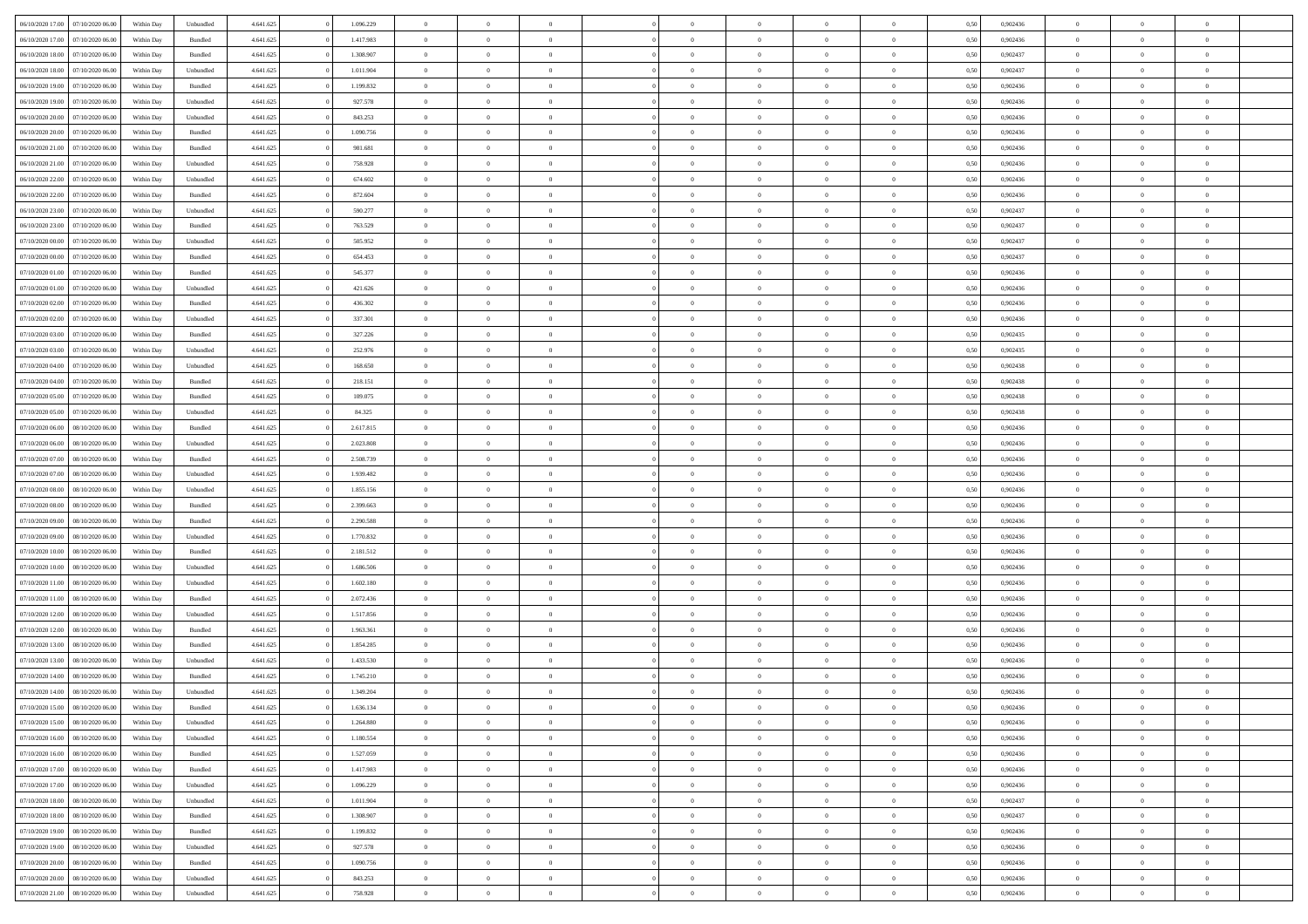| 06/10/2020 17:00 07/10/2020 06:00                                            | Within Day               | Unbundled            | 4.641.625              | 1.096.229          | $\overline{0}$                   | $\overline{0}$                   | $\Omega$                         | $\Omega$                   | $\Omega$       |                                  | $\overline{0}$                 | 0,50         | 0,902436             | $\mathbf{0}$   | $\Omega$       | $\Omega$       |  |
|------------------------------------------------------------------------------|--------------------------|----------------------|------------------------|--------------------|----------------------------------|----------------------------------|----------------------------------|----------------------------|----------------|----------------------------------|--------------------------------|--------------|----------------------|----------------|----------------|----------------|--|
| 06/10/2020 17:00<br>07/10/2020 06.00                                         | Within Day               | $\mathbf B$ undled   | 4.641.625              | 1.417.983          | $\bf{0}$                         | $\overline{0}$                   | $\theta$                         | $\theta$                   | $\overline{0}$ | $\overline{0}$                   | $\,$ 0                         | 0,50         | 0,902436             | $\mathbf{0}$   | $\theta$       | $\bf{0}$       |  |
| 06/10/2020 18:00<br>07/10/2020 06:00                                         | Within Day               | Bundled              | 4.641.625              | 1.308.907          | $\overline{0}$                   | $\overline{0}$                   | $\overline{0}$                   | $\bf{0}$                   | $\bf{0}$       | $\overline{0}$                   | $\mathbf{0}$                   | 0,50         | 0,902437             | $\bf{0}$       | $\bf{0}$       | $\bf{0}$       |  |
| 06/10/2020 18:00<br>07/10/2020 06:00                                         | Within Day               | Unbundled            | 4.641.625              | 1.011.904          | $\overline{0}$                   | $\overline{0}$                   | $\overline{0}$                   | $\overline{0}$             | $\overline{0}$ | $\overline{0}$                   | $\overline{0}$                 | 0.50         | 0.902437             | $\overline{0}$ | $\overline{0}$ | $\bf{0}$       |  |
| 06/10/2020 19:00<br>07/10/2020 06.00                                         | Within Day               | Bundled              | 4.641.625              | 1.199.832          | $\bf{0}$                         | $\overline{0}$                   | $\theta$                         | $\theta$                   | $\overline{0}$ | $\overline{0}$                   | $\bf{0}$                       | 0,50         | 0,902436             | $\theta$       | $\theta$       | $\overline{0}$ |  |
| 06/10/2020 19:00<br>07/10/2020 06:00                                         | Within Day               | Unbundled            | 4.641.625              | 927.578            | $\overline{0}$                   | $\overline{0}$                   | $\overline{0}$                   | $\bf{0}$                   | $\overline{0}$ | $\overline{0}$                   | $\overline{0}$                 | 0,50         | 0,902436             | $\overline{0}$ | $\overline{0}$ | $\overline{0}$ |  |
| 06/10/2020 20:00<br>07/10/2020 06:00                                         | Within Day               | Unbundled            | 4.641.625              | 843.253            | $\overline{0}$                   | $\overline{0}$                   | $\overline{0}$                   | $\overline{0}$             | $\overline{0}$ | $\overline{0}$                   | $\overline{0}$                 | 0.50         | 0,902436             | $\mathbf{0}$   | $\overline{0}$ | $\overline{0}$ |  |
| 06/10/2020 20:00<br>07/10/2020 06.00                                         | Within Day               | Bundled              | 4.641.625              | 1.090.756          | $\bf{0}$                         | $\overline{0}$                   | $\overline{0}$                   | $\theta$                   | $\overline{0}$ | $\overline{0}$                   | $\bf{0}$                       | 0,50         | 0,902436             | $\theta$       | $\theta$       | $\bf{0}$       |  |
| 06/10/2020 21:00<br>07/10/2020 06:00                                         | Within Day               | Bundled              | 4.641.625              | 981.681            | $\overline{0}$                   | $\overline{0}$                   | $\bf{0}$                         | $\bf{0}$                   | $\bf{0}$       | $\overline{0}$                   | $\bf{0}$                       | 0,50         | 0,902436             | $\bf{0}$       | $\bf{0}$       | $\bf{0}$       |  |
| 06/10/2020 21:00<br>07/10/2020 06.00                                         | Within Day               | Unbundled            | 4.641.625              | 758.928            | $\overline{0}$                   | $\overline{0}$                   | $\overline{0}$                   | $\overline{0}$             | $\overline{0}$ | $\overline{0}$                   | $\overline{0}$                 | 0.50         | 0,902436             | $\overline{0}$ | $\overline{0}$ | $\overline{0}$ |  |
| 06/10/2020 22.00<br>07/10/2020 06.00                                         | Within Day               | Unbundled            | 4.641.625              | 674.602            | $\bf{0}$                         | $\overline{0}$                   | $\overline{0}$                   | $\overline{0}$             | $\overline{0}$ | $\overline{0}$                   | $\,$ 0                         | 0,50         | 0,902436             | $\theta$       | $\theta$       | $\bf{0}$       |  |
| 06/10/2020 22.00<br>07/10/2020 06.00                                         | Within Day               | Bundled              | 4.641.625              | 872.604            | $\overline{0}$                   | $\overline{0}$                   | $\overline{0}$                   | $\bf{0}$                   | $\bf{0}$       | $\overline{0}$                   | $\mathbf{0}$                   | 0,50         | 0,902436             | $\bf{0}$       | $\bf{0}$       | $\bf{0}$       |  |
| 06/10/2020 23:00<br>07/10/2020 06:00                                         | Within Day               | Unbundled            | 4.641.625              | 590.277            | $\overline{0}$                   | $\overline{0}$                   | $\overline{0}$                   | $\overline{0}$             | $\overline{0}$ | $\overline{0}$                   | $\overline{0}$                 | 0.50         | 0,902437             | $\mathbf{0}$   | $\overline{0}$ | $\bf{0}$       |  |
| 06/10/2020 23.00<br>07/10/2020 06.00                                         | Within Day               | Bundled              | 4.641.625              | 763.529            | $\bf{0}$                         | $\overline{0}$                   | $\theta$                         | $\theta$                   | $\overline{0}$ | $\overline{0}$                   | $\,$ 0                         | 0,50         | 0,902437             | $\theta$       | $\theta$       | $\overline{0}$ |  |
| 07/10/2020 00:00<br>07/10/2020 06.00                                         | Within Day               | Unbundled            | 4.641.625              | 505.952            | $\overline{0}$                   | $\overline{0}$                   | $\overline{0}$                   | $\bf{0}$                   | $\overline{0}$ | $\overline{0}$                   | $\overline{0}$                 | 0,50         | 0,902437             | $\overline{0}$ | $\bf{0}$       | $\overline{0}$ |  |
| 07/10/2020 00:00<br>07/10/2020 06.00                                         | Within Day               | Bundled              | 4.641.625              | 654.453            | $\overline{0}$                   | $\overline{0}$                   | $\overline{0}$                   | $\overline{0}$             | $\overline{0}$ | $\overline{0}$                   | $\overline{0}$                 | 0.50         | 0,902437             | $\overline{0}$ | $\overline{0}$ | $\overline{0}$ |  |
| 07/10/2020 01:00<br>07/10/2020 06.00                                         | Within Day               | Bundled              | 4.641.625              | 545.377            | $\bf{0}$                         | $\overline{0}$                   | $\overline{0}$                   | $\overline{0}$             | $\overline{0}$ | $\overline{0}$                   | $\bf{0}$                       | 0,50         | 0,902436             | $\theta$       | $\theta$       | $\bf{0}$       |  |
| 07/10/2020 01:00<br>07/10/2020 06.00                                         | Within Day               | Unbundled            | 4.641.625              | 421.626            | $\overline{0}$                   | $\overline{0}$                   | $\bf{0}$                         | $\bf{0}$                   | $\bf{0}$       | $\overline{0}$                   | $\bf{0}$                       | 0,50         | 0,902436             | $\bf{0}$       | $\bf{0}$       | $\bf{0}$       |  |
| 07/10/2020 02:00<br>07/10/2020 06:00                                         | Within Day               | Bundled              | 4.641.625              | 436.302            | $\overline{0}$                   | $\overline{0}$                   | $\overline{0}$                   | $\overline{0}$             | $\overline{0}$ | $\overline{0}$                   | $\overline{0}$                 | 0.50         | 0,902436             | $\overline{0}$ | $\overline{0}$ | $\overline{0}$ |  |
| 07/10/2020 02.00<br>07/10/2020 06.00                                         | Within Day               | Unbundled            | 4.641.625              | 337.301            | $\bf{0}$                         | $\overline{0}$                   | $\overline{0}$                   | $\overline{0}$             | $\overline{0}$ | $\overline{0}$                   | $\,$ 0                         | 0,50         | 0,902436             | $\theta$       | $\theta$       | $\bf{0}$       |  |
|                                                                              |                          |                      |                        |                    |                                  |                                  |                                  |                            | $\bf{0}$       |                                  |                                |              |                      | $\bf{0}$       | $\bf{0}$       | $\bf{0}$       |  |
| 07/10/2020 03.00<br>07/10/2020 06.00<br>07/10/2020 03:00<br>07/10/2020 06:00 | Within Day<br>Within Day | Bundled<br>Unbundled | 4.641.625<br>4.641.625 | 327.226<br>252,976 | $\overline{0}$<br>$\overline{0}$ | $\overline{0}$<br>$\overline{0}$ | $\overline{0}$<br>$\overline{0}$ | $\bf{0}$<br>$\overline{0}$ | $\overline{0}$ | $\overline{0}$<br>$\overline{0}$ | $\mathbf{0}$<br>$\overline{0}$ | 0,50<br>0.50 | 0,902435<br>0,902435 | $\overline{0}$ | $\overline{0}$ | $\bf{0}$       |  |
|                                                                              |                          |                      |                        |                    |                                  |                                  |                                  |                            |                |                                  |                                |              |                      | $\mathbf{0}$   |                |                |  |
| 07/10/2020 04:00<br>07/10/2020 06.00                                         | Within Day               | Unbundled            | 4.641.625              | 168.650            | $\bf{0}$                         | $\overline{0}$                   | $\overline{0}$                   | $\overline{0}$             | $\overline{0}$ | $\overline{0}$                   | $\,$ 0                         | 0,50         | 0,902438             |                | $\theta$       | $\bf{0}$       |  |
| 07/10/2020 04:00<br>07/10/2020 06.00                                         | Within Day               | Bundled              | 4.641.625              | 218.151            | $\overline{0}$                   | $\overline{0}$                   | $\overline{0}$                   | $\bf{0}$                   | $\overline{0}$ | $\overline{0}$                   | $\overline{0}$                 | 0,50         | 0,902438             | $\overline{0}$ | $\overline{0}$ | $\overline{0}$ |  |
| 07/10/2020 05:00<br>07/10/2020 06:00                                         | Within Day               | Bundled              | 4.641.625              | 109.075            | $\overline{0}$                   | $\overline{0}$                   | $\overline{0}$                   | $\overline{0}$             | $\overline{0}$ | $\overline{0}$                   | $\overline{0}$                 | 0.50         | 0,902438             | $\overline{0}$ | $\overline{0}$ | $\overline{0}$ |  |
| 07/10/2020 05:00<br>07/10/2020 06.00                                         | Within Day               | Unbundled            | 4.641.625              | 84.325             | $\bf{0}$                         | $\overline{0}$                   | $\overline{0}$                   | $\overline{0}$             | $\overline{0}$ | $\overline{0}$                   | $\bf{0}$                       | 0,50         | 0,902438             | $\theta$       | $\theta$       | $\bf{0}$       |  |
| 07/10/2020 06:00<br>08/10/2020 06.00                                         | Within Day               | Bundled              | 4.641.625              | 2.617.815          | $\overline{0}$                   | $\overline{0}$                   | $\bf{0}$                         | $\bf{0}$                   | $\bf{0}$       | $\overline{0}$                   | $\bf{0}$                       | 0,50         | 0,902436             | $\bf{0}$       | $\bf{0}$       | $\bf{0}$       |  |
| 07/10/2020 06:00<br>08/10/2020 06:00                                         | Within Day               | Unbundled            | 4.641.625              | 2.023.808          | $\overline{0}$                   | $\overline{0}$                   | $\overline{0}$                   | $\overline{0}$             | $\overline{0}$ | $\overline{0}$                   | $\overline{0}$                 | 0.50         | 0,902436             | $\overline{0}$ | $\overline{0}$ | $\bf{0}$       |  |
| 07/10/2020 07:00<br>08/10/2020 06:00                                         | Within Day               | Bundled              | 4.641.625              | 2.508.739          | $\bf{0}$                         | $\overline{0}$                   | $\overline{0}$                   | $\overline{0}$             | $\overline{0}$ | $\overline{0}$                   | $\,$ 0                         | 0,50         | 0,902436             | $\theta$       | $\theta$       | $\bf{0}$       |  |
| 07/10/2020 07:00<br>08/10/2020 06.00                                         | Within Day               | Unbundled            | 4.641.625              | 1.939.482          | $\overline{0}$                   | $\overline{0}$                   | $\overline{0}$                   | $\bf{0}$                   | $\bf{0}$       | $\overline{0}$                   | $\mathbf{0}$                   | 0,50         | 0,902436             | $\bf{0}$       | $\bf{0}$       | $\bf{0}$       |  |
| 07/10/2020 08:00<br>08/10/2020 06.00                                         | Within Day               | Unbundled            | 4.641.625              | 1.855.156          | $\overline{0}$                   | $\overline{0}$                   | $\overline{0}$                   | $\overline{0}$             | $\overline{0}$ | $\Omega$                         | $\overline{0}$                 | 0.50         | 0.902436             | $\bf{0}$       | $\Omega$       | $\Omega$       |  |
| 07/10/2020 08:00<br>08/10/2020 06:00                                         | Within Day               | Bundled              | 4.641.625              | 2.399.663          | $\bf{0}$                         | $\overline{0}$                   | $\overline{0}$                   | $\theta$                   | $\overline{0}$ | $\overline{0}$                   | $\,$ 0                         | 0,50         | 0,902436             | $\theta$       | $\theta$       | $\bf{0}$       |  |
| 07/10/2020 09:00<br>08/10/2020 06:00                                         | Within Day               | Bundled              | 4.641.625              | 2.290.588          | $\overline{0}$                   | $\overline{0}$                   | $\overline{0}$                   | $\bf{0}$                   | $\overline{0}$ | $\overline{0}$                   | $\overline{0}$                 | 0,50         | 0,902436             | $\overline{0}$ | $\bf{0}$       | $\overline{0}$ |  |
| 07/10/2020 09:00<br>08/10/2020 06.00                                         | Within Day               | Unbundled            | 4.641.625              | 1.770.832          | $\overline{0}$                   | $\overline{0}$                   | $\Omega$                         | $\overline{0}$             | $\overline{0}$ | $\Omega$                         | $\overline{0}$                 | 0.50         | 0.902436             | $\overline{0}$ | $\Omega$       | $\Omega$       |  |
| 07/10/2020 10:00<br>08/10/2020 06:00                                         | Within Day               | Bundled              | 4.641.625              | 2.181.512          | $\bf{0}$                         | $\overline{0}$                   | $\overline{0}$                   | $\overline{0}$             | $\overline{0}$ | $\overline{0}$                   | $\bf{0}$                       | 0,50         | 0,902436             | $\theta$       | $\theta$       | $\bf{0}$       |  |
| 07/10/2020 10:00<br>08/10/2020 06.00                                         | Within Day               | Unbundled            | 4.641.625              | 1.686.506          | $\overline{0}$                   | $\overline{0}$                   | $\overline{0}$                   | $\bf{0}$                   | $\bf{0}$       | $\overline{0}$                   | $\bf{0}$                       | 0,50         | 0,902436             | $\bf{0}$       | $\bf{0}$       | $\bf{0}$       |  |
| 07/10/2020 11:00<br>08/10/2020 06:00                                         | Within Day               | Unbundled            | 4.641.625              | 1.602.180          | $\overline{0}$                   | $\overline{0}$                   | $\Omega$                         | $\overline{0}$             | $\overline{0}$ | $\Omega$                         | $\theta$                       | 0.50         | 0.902436             | $\overline{0}$ | $\Omega$       | $\Omega$       |  |
| 07/10/2020 11:00<br>08/10/2020 06:00                                         | Within Day               | $\mathbf B$ undled   | 4.641.625              | 2.072.436          | $\bf{0}$                         | $\overline{0}$                   | $\overline{0}$                   | $\overline{0}$             | $\overline{0}$ | $\overline{0}$                   | $\,$ 0                         | 0,50         | 0,902436             | $\theta$       | $\theta$       | $\bf{0}$       |  |
| 07/10/2020 12:00<br>08/10/2020 06:00                                         | Within Day               | Unbundled            | 4.641.625              | 1.517.856          | $\overline{0}$                   | $\overline{0}$                   | $\overline{0}$                   | $\bf{0}$                   | $\bf{0}$       | $\overline{0}$                   | $\mathbf{0}$                   | 0,50         | 0,902436             | $\overline{0}$ | $\bf{0}$       | $\bf{0}$       |  |
| 07/10/2020 12:00<br>08/10/2020 06.00                                         | Within Day               | Bundled              | 4.641.625              | 1.963.361          | $\overline{0}$                   | $\overline{0}$                   | $\overline{0}$                   | $\overline{0}$             | $\overline{0}$ | $\Omega$                         | $\overline{0}$                 | 0.50         | 0.902436             | $\overline{0}$ | $\Omega$       | $\Omega$       |  |
| 07/10/2020 13:00<br>08/10/2020 06:00                                         | Within Day               | Bundled              | 4.641.625              | 1.854.285          | $\bf{0}$                         | $\overline{0}$                   | $\overline{0}$                   | $\overline{0}$             | $\overline{0}$ | $\overline{0}$                   | $\,$ 0                         | 0,50         | 0,902436             | $\bf{0}$       | $\theta$       | $\bf{0}$       |  |
| 07/10/2020 13:00<br>08/10/2020 06.00                                         | Within Day               | Unbundled            | 4.641.625              | 1.433.530          | $\overline{0}$                   | $\overline{0}$                   | $\overline{0}$                   | $\bf{0}$                   | $\overline{0}$ | $\overline{0}$                   | $\overline{0}$                 | 0,50         | 0,902436             | $\overline{0}$ | $\bf{0}$       | $\bf{0}$       |  |
| 07/10/2020 14:00<br>08/10/2020 06.00                                         | Within Day               | Bundled              | 4.641.625              | 1.745.210          | $\overline{0}$                   | $\theta$                         | $\Omega$                         | $\overline{0}$             | $\overline{0}$ | $\Omega$                         | $\overline{0}$                 | 0.50         | 0.902436             | $\overline{0}$ | $\Omega$       | $\Omega$       |  |
| 07/10/2020 14:00 08/10/2020 06:00                                            | Within Day               | Unbundled            | 4.641.625              | 1.349.204          | $\bf{0}$                         | $\overline{0}$                   | $\overline{0}$                   | $\bf{0}$                   | $\bf{0}$       | $\overline{0}$                   | $\,$ 0                         | 0,50         | 0,902436             | $\bf{0}$       | $\,$ 0         | $\,$ 0         |  |
| 07/10/2020 15:00 08/10/2020 06:00                                            | Within Day               | Bundled              | 4.641.625              | 1.636.134          | $\bf{0}$                         | $\bf{0}$                         |                                  |                            |                |                                  |                                | 0,50         | 0,902436             | $\bf{0}$       | $\bf{0}$       |                |  |
| 07/10/2020 15:00  08/10/2020 06:00                                           | Within Day               | Unbundled            | 4.641.625              | 1.264.880          | $\overline{0}$                   | $\overline{0}$                   | $\theta$                         | $\overline{0}$             | $\overline{0}$ | $\theta$                         | $\mathbf{0}$                   | 0,50         | 0.902436             | $\overline{0}$ | $\overline{0}$ | $\Omega$       |  |
| 07/10/2020 16:00<br>08/10/2020 06:00                                         | Within Day               | Unbundled            | 4.641.625              | 1.180.554          | $\overline{0}$                   | $\overline{0}$                   | $\overline{0}$                   | $\bf{0}$                   | $\overline{0}$ | $\overline{0}$                   | $\mathbf{0}$                   | 0,50         | 0,902436             | $\,0\,$        | $\overline{0}$ | $\,$ 0 $\,$    |  |
| 07/10/2020 16:00<br>08/10/2020 06.00                                         | Within Day               | Bundled              | 4.641.625              | 1.527.059          | $\overline{0}$                   | $\overline{0}$                   | $\overline{0}$                   | $\bf{0}$                   | $\overline{0}$ | $\overline{0}$                   | $\overline{0}$                 | 0,50         | 0,902436             | $\bf{0}$       | $\overline{0}$ | $\overline{0}$ |  |
| 08/10/2020 06:00<br>07/10/2020 17:00                                         | Within Day               | Bundled              | 4.641.625              | 1.417.983          | $\overline{0}$                   | $\overline{0}$                   | $\overline{0}$                   | $\overline{0}$             | $\bf{0}$       | $\overline{0}$                   | $\bf{0}$                       | 0,50         | 0,902436             | $\overline{0}$ | $\overline{0}$ | $\overline{0}$ |  |
| 07/10/2020 17.00<br>08/10/2020 06:00                                         | Within Day               | Unbundled            | 4.641.625              | 1.096.229          | $\overline{0}$                   | $\overline{0}$                   | $\overline{0}$                   | $\overline{0}$             | $\overline{0}$ | $\overline{0}$                   | $\,$ 0 $\,$                    | 0,50         | 0,902436             | $\,0\,$        | $\theta$       | $\bf{0}$       |  |
| 07/10/2020 18:00<br>08/10/2020 06:00                                         | Within Day               | Unbundled            | 4.641.625              | 1.011.904          | $\overline{0}$                   | $\overline{0}$                   | $\overline{0}$                   | $\bf{0}$                   | $\overline{0}$ | $\overline{0}$                   | $\overline{0}$                 | 0,50         | 0,902437             | $\bf{0}$       | $\overline{0}$ | $\overline{0}$ |  |
| 07/10/2020 18:00<br>08/10/2020 06.00                                         | Within Day               | Bundled              | 4.641.625              | 1.308.907          | $\overline{0}$                   | $\overline{0}$                   | $\overline{0}$                   | $\overline{0}$             | $\overline{0}$ | $\overline{0}$                   | $\overline{0}$                 | 0.50         | 0.902437             | $\overline{0}$ | $\overline{0}$ | $\overline{0}$ |  |
| 07/10/2020 19:00<br>08/10/2020 06:00                                         | Within Day               | Bundled              | 4.641.625              | 1.199.832          | $\bf{0}$                         | $\overline{0}$                   | $\overline{0}$                   | $\bf{0}$                   | $\bf{0}$       | $\overline{0}$                   | $\,$ 0 $\,$                    | 0,50         | 0,902436             | $\,0\,$        | $\theta$       | $\,$ 0         |  |
| 07/10/2020 19:00<br>08/10/2020 06.00                                         | Within Day               | Unbundled            | 4.641.625              | 927.578            | $\overline{0}$                   | $\overline{0}$                   | $\overline{0}$                   | $\bf{0}$                   | $\overline{0}$ | $\overline{0}$                   | $\overline{0}$                 | 0,50         | 0,902436             | $\bf{0}$       | $\bf{0}$       | $\overline{0}$ |  |
| 07/10/2020 20:00<br>08/10/2020 06:00                                         | Within Day               | Bundled              | 4.641.625              | 1.090.756          | $\overline{0}$                   | $\overline{0}$                   | $\overline{0}$                   | $\overline{0}$             | $\overline{0}$ | $\overline{0}$                   | $\overline{0}$                 | 0,50         | 0.902436             | $\overline{0}$ | $\overline{0}$ | $\overline{0}$ |  |
| 07/10/2020 20:00<br>08/10/2020 06:00                                         | Within Day               | Unbundled            | 4.641.625              | 843.253            | $\overline{0}$                   | $\overline{0}$                   | $\overline{0}$                   | $\bf{0}$                   | $\bf{0}$       | $\bf{0}$                         | $\,$ 0 $\,$                    | 0,50         | 0,902436             | $\,0\,$        | $\,0\,$        | $\,$ 0         |  |
| 07/10/2020 21.00 08/10/2020 06.00                                            | Within Day               | Unbundled            | 4.641.625              | 758.928            | $\overline{0}$                   | $\overline{0}$                   | $\overline{0}$                   | $\bf{0}$                   | $\overline{0}$ | $\overline{0}$                   | $\overline{0}$                 | 0,50         | 0,902436             | $\bf{0}$       | $\bf{0}$       | $\overline{0}$ |  |
|                                                                              |                          |                      |                        |                    |                                  |                                  |                                  |                            |                |                                  |                                |              |                      |                |                |                |  |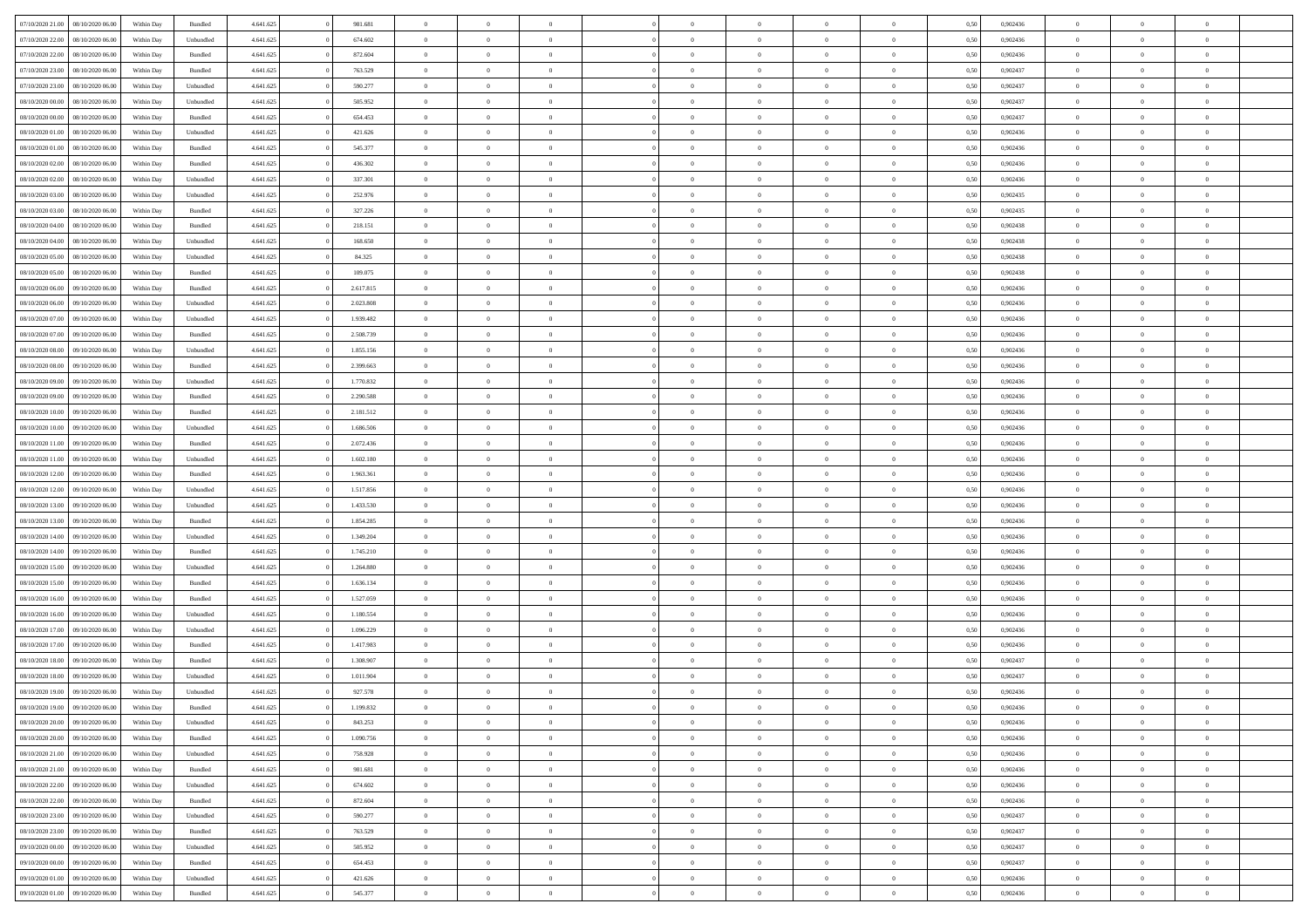| 07/10/2020 21.00  08/10/2020 06:00                                           | Within Day               | Bundled              | 4.641.625              | 981.681            | $\overline{0}$                   | $\overline{0}$                   | $\Omega$                         | $\Omega$                         | $\Omega$                   |                                  | $\overline{0}$                 | 0,50         | 0,902436             | $\mathbf{0}$              | $\Omega$                   | $\Omega$                         |  |
|------------------------------------------------------------------------------|--------------------------|----------------------|------------------------|--------------------|----------------------------------|----------------------------------|----------------------------------|----------------------------------|----------------------------|----------------------------------|--------------------------------|--------------|----------------------|---------------------------|----------------------------|----------------------------------|--|
| 07/10/2020 22.00<br>08/10/2020 06:00                                         | Within Day               | Unbundled            | 4.641.625              | 674.602            | $\bf{0}$                         | $\overline{0}$                   | $\theta$                         | $\theta$                         | $\overline{0}$             | $\overline{0}$                   | $\,$ 0                         | 0,50         | 0,902436             | $\mathbf{0}$              | $\theta$                   | $\bf{0}$                         |  |
| 07/10/2020 22.00<br>08/10/2020 06:00                                         | Within Day               | Bundled              | 4.641.625              | 872.604            | $\overline{0}$                   | $\overline{0}$                   | $\overline{0}$                   | $\bf{0}$                         | $\bf{0}$                   | $\overline{0}$                   | $\mathbf{0}$                   | 0,50         | 0,902436             | $\bf{0}$                  | $\bf{0}$                   | $\bf{0}$                         |  |
| 07/10/2020 23:00<br>08/10/2020 06:00                                         | Within Day               | Bundled              | 4.641.625              | 763.529            | $\overline{0}$                   | $\overline{0}$                   | $\overline{0}$                   | $\overline{0}$                   | $\overline{0}$             | $\Omega$                         | $\overline{0}$                 | 0.50         | 0.902437             | $\mathbf{0}$              | $\overline{0}$             | $\bf{0}$                         |  |
| 07/10/2020 23.00<br>08/10/2020 06:00                                         | Within Day               | Unbundled            | 4.641.625              | 590.277            | $\bf{0}$                         | $\overline{0}$                   | $\overline{0}$                   | $\theta$                         | $\overline{0}$             | $\overline{0}$                   | $\bf{0}$                       | 0,50         | 0,902437             | $\theta$                  | $\theta$                   | $\overline{0}$                   |  |
| 08/10/2020 00:00<br>08/10/2020 06:00                                         | Within Day               | Unbundled            | 4.641.625              | 505.952            | $\overline{0}$                   | $\overline{0}$                   | $\overline{0}$                   | $\bf{0}$                         | $\overline{0}$             | $\overline{0}$                   | $\overline{0}$                 | 0,50         | 0,902437             | $\overline{0}$            | $\overline{0}$             | $\overline{0}$                   |  |
| 08/10/2020 00:00<br>08/10/2020 06:00                                         | Within Day               | Bundled              | 4.641.625              | 654.453            | $\overline{0}$                   | $\overline{0}$                   | $\overline{0}$                   | $\overline{0}$                   | $\overline{0}$             | $\overline{0}$                   | $\overline{0}$                 | 0.50         | 0,902437             | $\overline{0}$            | $\overline{0}$             | $\overline{0}$                   |  |
| 08/10/2020 01:00<br>08/10/2020 06:00                                         | Within Day               | Unbundled            | 4.641.625              | 421.626            | $\bf{0}$                         | $\overline{0}$                   | $\overline{0}$                   | $\theta$                         | $\overline{0}$             | $\overline{0}$                   | $\bf{0}$                       | 0,50         | 0,902436             | $\theta$                  | $\theta$                   | $\bf{0}$                         |  |
| 08/10/2020 01:00<br>08/10/2020 06:00                                         | Within Day               | Bundled              | 4.641.625              | 545.377            | $\overline{0}$                   | $\overline{0}$                   | $\overline{0}$                   | $\bf{0}$                         | $\bf{0}$                   | $\overline{0}$                   | $\bf{0}$                       | 0,50         | 0,902436             | $\bf{0}$                  | $\bf{0}$                   | $\bf{0}$                         |  |
| 08/10/2020 02:00<br>08/10/2020 06:00                                         | Within Day               | Bundled              | 4.641.625              | 436.302            | $\overline{0}$                   | $\overline{0}$                   | $\overline{0}$                   | $\overline{0}$                   | $\overline{0}$             | $\overline{0}$                   | $\overline{0}$                 | 0.50         | 0,902436             | $\overline{0}$            | $\overline{0}$             | $\overline{0}$                   |  |
| 08/10/2020 02:00<br>08/10/2020 06:00                                         | Within Day               | Unbundled            | 4.641.625              | 337.301            | $\bf{0}$                         | $\overline{0}$                   | $\overline{0}$                   | $\overline{0}$                   | $\overline{0}$             | $\overline{0}$                   | $\,$ 0                         | 0,50         | 0,902436             | $\theta$                  | $\theta$                   | $\bf{0}$                         |  |
| 08/10/2020 03:00<br>08/10/2020 06.00                                         | Within Day               | Unbundled            | 4.641.625              | 252.976            | $\overline{0}$                   | $\overline{0}$                   | $\overline{0}$                   | $\bf{0}$                         | $\bf{0}$                   | $\overline{0}$                   | $\mathbf{0}$                   | 0,50         | 0,902435             | $\bf{0}$                  | $\bf{0}$                   | $\bf{0}$                         |  |
| 08/10/2020 03:00<br>08/10/2020 06:00                                         | Within Day               | Bundled              | 4.641.625              | 327.226            | $\overline{0}$                   | $\overline{0}$                   | $\overline{0}$                   | $\overline{0}$                   | $\overline{0}$             | $\overline{0}$                   | $\overline{0}$                 | 0.50         | 0.902435             | $\mathbf{0}$              | $\overline{0}$             | $\bf{0}$                         |  |
|                                                                              |                          |                      |                        |                    |                                  |                                  |                                  |                                  |                            |                                  |                                |              |                      |                           |                            |                                  |  |
| 08/10/2020 04:00<br>08/10/2020 06:00                                         | Within Day               | Bundled              | 4.641.625              | 218.151            | $\bf{0}$                         | $\overline{0}$                   | $\overline{0}$                   | $\theta$                         | $\overline{0}$             | $\overline{0}$                   | $\,$ 0                         | 0,50         | 0,902438             | $\theta$                  | $\theta$                   | $\overline{0}$                   |  |
| 08/10/2020 04:00<br>08/10/2020 06:00                                         | Within Day               | Unbundled            | 4.641.625              | 168.650            | $\overline{0}$                   | $\overline{0}$                   | $\overline{0}$                   | $\bf{0}$                         | $\overline{0}$             | $\overline{0}$                   | $\overline{0}$                 | 0,50         | 0,902438             | $\overline{0}$            | $\overline{0}$             | $\overline{0}$                   |  |
| 08/10/2020 05:00<br>08/10/2020 06.00                                         | Within Day               | Unbundled            | 4.641.625              | 84.325             | $\overline{0}$                   | $\overline{0}$                   | $\overline{0}$                   | $\overline{0}$                   | $\overline{0}$             | $\overline{0}$                   | $\overline{0}$                 | 0.50         | 0,902438             | $\overline{0}$            | $\overline{0}$             | $\overline{0}$                   |  |
| 08/10/2020 05:00<br>08/10/2020 06:00                                         | Within Day               | Bundled              | 4.641.625              | 109.075            | $\bf{0}$                         | $\overline{0}$                   | $\overline{0}$                   | $\overline{0}$                   | $\overline{0}$             | $\overline{0}$                   | $\bf{0}$                       | 0,50         | 0,902438             | $\theta$                  | $\theta$                   | $\bf{0}$                         |  |
| 08/10/2020 06:00<br>09/10/2020 06.00                                         | Within Day               | Bundled              | 4.641.625              | 2.617.815          | $\overline{0}$                   | $\overline{0}$                   | $\overline{0}$                   | $\bf{0}$                         | $\bf{0}$                   | $\overline{0}$                   | $\bf{0}$                       | 0,50         | 0,902436             | $\bf{0}$                  | $\bf{0}$                   | $\bf{0}$                         |  |
| 08/10/2020 06:00<br>09/10/2020 06:00                                         | Within Day               | Unbundled            | 4.641.625              | 2.023.808          | $\overline{0}$                   | $\overline{0}$                   | $\overline{0}$                   | $\overline{0}$                   | $\overline{0}$             | $\overline{0}$                   | $\overline{0}$                 | 0.50         | 0,902436             | $\overline{0}$            | $\overline{0}$             | $\overline{0}$                   |  |
| 08/10/2020 07:00<br>09/10/2020 06.00                                         | Within Day               | Unbundled            | 4.641.625              | 1.939.482          | $\bf{0}$                         | $\overline{0}$                   | $\overline{0}$                   | $\overline{0}$                   | $\overline{0}$             | $\overline{0}$                   | $\,$ 0                         | 0,50         | 0,902436             | $\theta$                  | $\theta$                   | $\bf{0}$                         |  |
| 08/10/2020 07:00<br>09/10/2020 06.00                                         | Within Day               | Bundled              | 4.641.625              | 2.508.739          | $\overline{0}$                   | $\overline{0}$                   | $\overline{0}$                   | $\bf{0}$                         | $\bf{0}$                   | $\overline{0}$                   | $\mathbf{0}$                   | 0,50         | 0,902436             | $\bf{0}$                  | $\bf{0}$                   | $\bf{0}$                         |  |
| 08/10/2020 08:00<br>09/10/2020 06:00                                         | Within Day               | Unbundled            | 4.641.625              | 1.855.156          | $\overline{0}$                   | $\overline{0}$                   | $\overline{0}$                   | $\overline{0}$                   | $\overline{0}$             | $\overline{0}$                   | $\overline{0}$                 | 0.50         | 0.902436             | $\overline{0}$            | $\overline{0}$             | $\bf{0}$                         |  |
| 08/10/2020 08:00<br>09/10/2020 06.00                                         | Within Day               | Bundled              | 4.641.625              | 2.399.663          | $\bf{0}$                         | $\overline{0}$                   | $\overline{0}$                   | $\overline{0}$                   | $\overline{0}$             | $\overline{0}$                   | $\,$ 0                         | 0,50         | 0,902436             | $\mathbf{0}$              | $\theta$                   | $\bf{0}$                         |  |
| 08/10/2020 09:00<br>09/10/2020 06.00                                         | Within Day               | Unbundled            | 4.641.625              | 1.770.832          | $\overline{0}$                   | $\overline{0}$                   | $\overline{0}$                   | $\bf{0}$                         | $\overline{0}$             | $\overline{0}$                   | $\overline{0}$                 | 0,50         | 0,902436             | $\overline{0}$            | $\overline{0}$             | $\overline{0}$                   |  |
| 08/10/2020 09:00<br>09/10/2020 06:00                                         | Within Day               | Bundled              | 4.641.625              | 2.290.588          | $\overline{0}$                   | $\overline{0}$                   | $\overline{0}$                   | $\overline{0}$                   | $\overline{0}$             | $\overline{0}$                   | $\overline{0}$                 | 0.50         | 0,902436             | $\overline{0}$            | $\overline{0}$             | $\overline{0}$                   |  |
| 08/10/2020 10:00<br>09/10/2020 06.00                                         | Within Day               | Bundled              | 4.641.625              | 2.181.512          | $\bf{0}$                         | $\overline{0}$                   | $\bf{0}$                         | $\overline{0}$                   | $\overline{0}$             | $\overline{0}$                   | $\bf{0}$                       | 0,50         | 0,902436             | $\theta$                  | $\theta$                   | $\bf{0}$                         |  |
| 08/10/2020 10:00<br>09/10/2020 06.00                                         | Within Day               | Unbundled            | 4.641.625              | 1.686.506          | $\overline{0}$                   | $\overline{0}$                   | $\bf{0}$                         | $\bf{0}$                         | $\bf{0}$                   | $\overline{0}$                   | $\bf{0}$                       | 0,50         | 0,902436             | $\bf{0}$                  | $\bf{0}$                   | $\bf{0}$                         |  |
| 08/10/2020 11:00<br>09/10/2020 06:00                                         | Within Day               | Bundled              | 4.641.625              | 2.072.436          | $\overline{0}$                   | $\overline{0}$                   | $\overline{0}$                   | $\overline{0}$                   | $\overline{0}$             | $\overline{0}$                   | $\overline{0}$                 | 0.50         | 0,902436             | $\overline{0}$            | $\overline{0}$             | $\bf{0}$                         |  |
| 08/10/2020 11:00<br>09/10/2020 06:00                                         | Within Day               | Unbundled            | 4.641.625              | 1.602.180          | $\bf{0}$                         | $\overline{0}$                   | $\overline{0}$                   | $\overline{0}$                   | $\overline{0}$             | $\overline{0}$                   | $\,$ 0                         | 0,50         | 0,902436             | $\,$ 0 $\,$               | $\theta$                   | $\bf{0}$                         |  |
| 08/10/2020 12:00<br>09/10/2020 06.00                                         | Within Day               | Bundled              | 4.641.625              | 1.963.361          | $\overline{0}$                   | $\overline{0}$                   | $\overline{0}$                   | $\bf{0}$                         | $\bf{0}$                   | $\overline{0}$                   | $\mathbf{0}$                   | 0,50         | 0,902436             | $\overline{0}$            | $\bf{0}$                   | $\bf{0}$                         |  |
| 08/10/2020 12:00<br>09/10/2020 06.00                                         | Within Day               | Unbundled            | 4.641.625              | 1.517.856          | $\overline{0}$                   | $\overline{0}$                   | $\overline{0}$                   | $\overline{0}$                   | $\overline{0}$             | $\Omega$                         | $\overline{0}$                 | 0.50         | 0.902436             | $\bf{0}$                  | $\Omega$                   | $\Omega$                         |  |
| 08/10/2020 13:00<br>09/10/2020 06.00                                         | Within Day               | Unbundled            | 4.641.625              | 1.433.530          | $\bf{0}$                         | $\overline{0}$                   | $\overline{0}$                   | $\theta$                         | $\overline{0}$             | $\overline{0}$                   | $\,$ 0                         | 0,50         | 0,902436             | $\theta$                  | $\theta$                   | $\bf{0}$                         |  |
| 08/10/2020 13:00<br>09/10/2020 06.00                                         | Within Day               | Bundled              | 4.641.625              | 1.854.285          | $\overline{0}$                   | $\overline{0}$                   | $\overline{0}$                   | $\bf{0}$                         | $\overline{0}$             | $\overline{0}$                   | $\overline{0}$                 | 0,50         | 0,902436             | $\overline{0}$            | $\overline{0}$             | $\overline{0}$                   |  |
| 08/10/2020 14:00<br>09/10/2020 06.00                                         | Within Day               | Unbundled            | 4.641.625              | 1.349.204          | $\overline{0}$                   | $\overline{0}$                   | $\Omega$                         | $\overline{0}$                   | $\overline{0}$             | $\Omega$                         | $\overline{0}$                 | 0.50         | 0.902436             | $\overline{0}$            | $\Omega$                   | $\Omega$                         |  |
| 08/10/2020 14:00<br>09/10/2020 06:00                                         | Within Day               | Bundled              | 4.641.625              | 1.745.210          | $\bf{0}$                         | $\overline{0}$                   | $\bf{0}$                         | $\overline{0}$                   | $\overline{0}$             | $\overline{0}$                   | $\bf{0}$                       | 0,50         | 0,902436             | $\theta$                  | $\theta$                   | $\bf{0}$                         |  |
| 08/10/2020 15:00<br>09/10/2020 06.00                                         | Within Day               | Unbundled            | 4.641.625              | 1.264.880          | $\overline{0}$                   | $\overline{0}$                   | $\bf{0}$                         | $\bf{0}$                         | $\bf{0}$                   | $\overline{0}$                   | $\bf{0}$                       | 0,50         | 0,902436             | $\bf{0}$                  | $\bf{0}$                   | $\bf{0}$                         |  |
| 08/10/2020 15:00<br>09/10/2020 06:00                                         | Within Day               | Bundled              | 4.641.625              | 1.636.134          | $\overline{0}$                   | $\overline{0}$                   | $\Omega$                         | $\overline{0}$                   | $\overline{0}$             | $\Omega$                         | $\theta$                       | 0.50         | 0.902436             | $\overline{0}$            | $\Omega$                   | $\Omega$                         |  |
| 08/10/2020 16:00<br>09/10/2020 06.00                                         | Within Day               | Bundled              | 4.641.625              | 1.527.059          | $\bf{0}$                         | $\overline{0}$                   | $\bf{0}$                         | $\overline{0}$                   | $\overline{0}$             | $\overline{0}$                   | $\,$ 0                         | 0,50         | 0,902436             | $\,$ 0 $\,$               | $\theta$                   | $\bf{0}$                         |  |
| 08/10/2020 16:00<br>09/10/2020 06.00                                         | Within Day               | Unbundled            | 4.641.625              | 1.180.554          | $\overline{0}$                   | $\overline{0}$                   | $\overline{0}$                   | $\bf{0}$                         | $\bf{0}$                   | $\overline{0}$                   | $\mathbf{0}$                   | 0,50         | 0,902436             | $\overline{0}$            | $\bf{0}$                   | $\bf{0}$                         |  |
| 08/10/2020 17:00<br>09/10/2020 06.00                                         | Within Day               | Unbundled            | 4.641.625              | 1.096.229          | $\overline{0}$                   | $\overline{0}$                   | $\overline{0}$                   | $\overline{0}$                   | $\bf{0}$                   | $\Omega$                         | $\overline{0}$                 | 0.50         | 0.902436             | $\overline{0}$            | $\Omega$                   | $\Omega$                         |  |
| 08/10/2020 17:00<br>09/10/2020 06.00                                         | Within Day               | Bundled              | 4.641.625              | 1.417.983          | $\bf{0}$                         | $\overline{0}$                   | $\overline{0}$                   | $\overline{0}$                   | $\overline{0}$             | $\overline{0}$                   | $\,$ 0                         | 0,50         | 0,902436             | $\,0\,$                   | $\theta$                   | $\bf{0}$                         |  |
| 08/10/2020 18:00<br>09/10/2020 06.00                                         | Within Day               | Bundled              | 4.641.625              | 1.308.907          | $\overline{0}$                   | $\overline{0}$                   | $\bf{0}$                         | $\bf{0}$                         | $\overline{0}$             | $\overline{0}$                   | $\overline{0}$                 | 0,50         | 0,902437             | $\overline{0}$            | $\bf{0}$                   | $\bf{0}$                         |  |
| 09/10/2020 06.00                                                             |                          | Unbundled            | 4.641.625              | 1.011.904          | $\overline{0}$                   | $\theta$                         | $\Omega$                         | $\overline{0}$                   | $\overline{0}$             | $\Omega$                         | $\overline{0}$                 | 0.50         | 0.902437             | $\overline{0}$            | $\Omega$                   | $\Omega$                         |  |
| 08/10/2020 18:00<br>08/10/2020 19:00 09/10/2020 06:00                        | Within Day<br>Within Day | Unbundled            | 4.641.625              | 927.578            | $\bf{0}$                         | $\overline{0}$                   | $\bf{0}$                         | $\bf{0}$                         | $\bf{0}$                   | $\overline{0}$                   | $\,$ 0                         | 0,50         | 0,902436             | $\bf{0}$                  | $\,$ 0                     | $\,$ 0                           |  |
| 08/10/2020 19:00 09/10/2020 06:00                                            | Within Day               | Bundled              | 4.641.625              | 1.199.832          |                                  | $\bf{0}$                         |                                  | $\bf{0}$                         |                            |                                  |                                | 0,50         | 0,902436             | $\bf{0}$                  | $\bf{0}$                   |                                  |  |
| 08/10/2020 20:00 09/10/2020 06:00                                            |                          |                      | 4.641.625              | 843.253            | $\overline{0}$                   | $\overline{0}$                   | $\theta$                         | $\overline{0}$                   | $\overline{0}$             | $\overline{0}$                   | $\mathbf{0}$                   |              | 0.902436             | $\overline{0}$            | $\overline{0}$             | $\theta$                         |  |
| 08/10/2020 20:00<br>09/10/2020 06:00                                         | Within Day<br>Within Day | Unbundled<br>Bundled | 4.641.625              | 1.090.756          | $\overline{0}$                   | $\overline{0}$                   | $\overline{0}$                   | $\bf{0}$                         | $\overline{0}$             | $\overline{0}$                   | $\mathbf{0}$                   | 0,50<br>0,50 | 0,902436             | $\,0\,$                   | $\overline{0}$             | $\,$ 0 $\,$                      |  |
| 08/10/2020 21:00 09/10/2020 06:00                                            | Within Day               | Unbundled            | 4.641.625              | 758.928            | $\overline{0}$                   | $\overline{0}$                   | $\overline{0}$                   | $\bf{0}$                         | $\overline{0}$             | $\overline{0}$                   | $\overline{0}$                 | 0,50         | 0,902436             | $\overline{0}$            | $\overline{0}$             | $\overline{0}$                   |  |
|                                                                              |                          |                      |                        |                    |                                  |                                  |                                  |                                  |                            |                                  |                                |              |                      |                           |                            |                                  |  |
| 08/10/2020 21:00<br>09/10/2020 06:00<br>08/10/2020 22:00<br>09/10/2020 06:00 | Within Day<br>Within Day | Bundled<br>Unbundled | 4.641.625<br>4.641.625 | 981.681<br>674.602 | $\overline{0}$<br>$\overline{0}$ | $\overline{0}$<br>$\overline{0}$ | $\overline{0}$<br>$\overline{0}$ | $\overline{0}$<br>$\overline{0}$ | $\bf{0}$<br>$\overline{0}$ | $\overline{0}$<br>$\overline{0}$ | $\overline{0}$<br>$\mathbf{0}$ | 0,50<br>0,50 | 0,902436<br>0,902436 | $\overline{0}$<br>$\,0\,$ | $\overline{0}$<br>$\theta$ | $\overline{0}$<br>$\overline{0}$ |  |
|                                                                              |                          |                      |                        |                    |                                  |                                  |                                  |                                  |                            |                                  |                                |              |                      |                           |                            |                                  |  |
| 08/10/2020 22.00<br>09/10/2020 06:00                                         | Within Day               | Bundled              | 4.641.625              | 872.604            | $\overline{0}$                   | $\overline{0}$                   | $\overline{0}$                   | $\overline{0}$                   | $\overline{0}$             | $\overline{0}$                   | $\overline{0}$                 | 0,50         | 0,902436             | $\overline{0}$            | $\overline{0}$             | $\overline{0}$                   |  |
| 08/10/2020 23:00<br>09/10/2020 06.00                                         | Within Day               | Unbundled            | 4.641.625              | 590.277            | $\overline{0}$                   | $\overline{0}$                   | $\overline{0}$                   | $\overline{0}$                   | $\overline{0}$             | $\overline{0}$                   | $\overline{0}$                 | 0.50         | 0.902437             | $\overline{0}$            | $\overline{0}$             | $\overline{0}$                   |  |
| 08/10/2020 23:00<br>09/10/2020 06:00                                         | Within Day               | Bundled              | 4.641.625              | 763.529            | $\overline{0}$                   | $\overline{0}$                   | $\overline{0}$                   | $\bf{0}$                         | $\bf{0}$                   | $\overline{0}$                   | $\,$ 0 $\,$                    | 0,50         | 0,902437             | $\,0\,$                   | $\,$ 0                     | $\,$ 0                           |  |
| 09/10/2020 00:00<br>09/10/2020 06:00                                         | Within Day               | Unbundled            | 4.641.625              | 505.952            | $\overline{0}$                   | $\overline{0}$                   | $\overline{0}$                   | $\bf{0}$                         | $\overline{0}$             | $\overline{0}$                   | $\overline{0}$                 | 0,50         | 0,902437             | $\bf{0}$                  | $\bf{0}$                   | $\overline{0}$                   |  |
| 09/10/2020 00:00<br>09/10/2020 06:00                                         | Within Day               | Bundled              | 4.641.625              | 654.453            | $\overline{0}$                   | $\overline{0}$                   | $\overline{0}$                   | $\overline{0}$                   | $\overline{0}$             | $\overline{0}$                   | $\overline{0}$                 | 0.50         | 0.902437             | $\overline{0}$            | $\overline{0}$             | $\overline{0}$                   |  |
| 09/10/2020 01:00<br>09/10/2020 06:00                                         | Within Day               | Unbundled            | 4.641.625              | 421.626            | $\overline{0}$                   | $\overline{0}$                   | $\overline{0}$                   | $\bf{0}$                         | $\bf{0}$                   | $\overline{0}$                   | $\,$ 0 $\,$                    | 0,50         | 0,902436             | $\,0\,$                   | $\,0\,$                    | $\,$ 0                           |  |
| 09/10/2020 01:00 09/10/2020 06:00                                            | Within Day               | Bundled              | 4.641.625              | 545.377            | $\overline{0}$                   | $\overline{0}$                   | $\overline{0}$                   | $\bf{0}$                         | $\overline{0}$             | $\overline{0}$                   | $\overline{0}$                 | 0,50         | 0,902436             | $\overline{0}$            | $\bf{0}$                   | $\overline{0}$                   |  |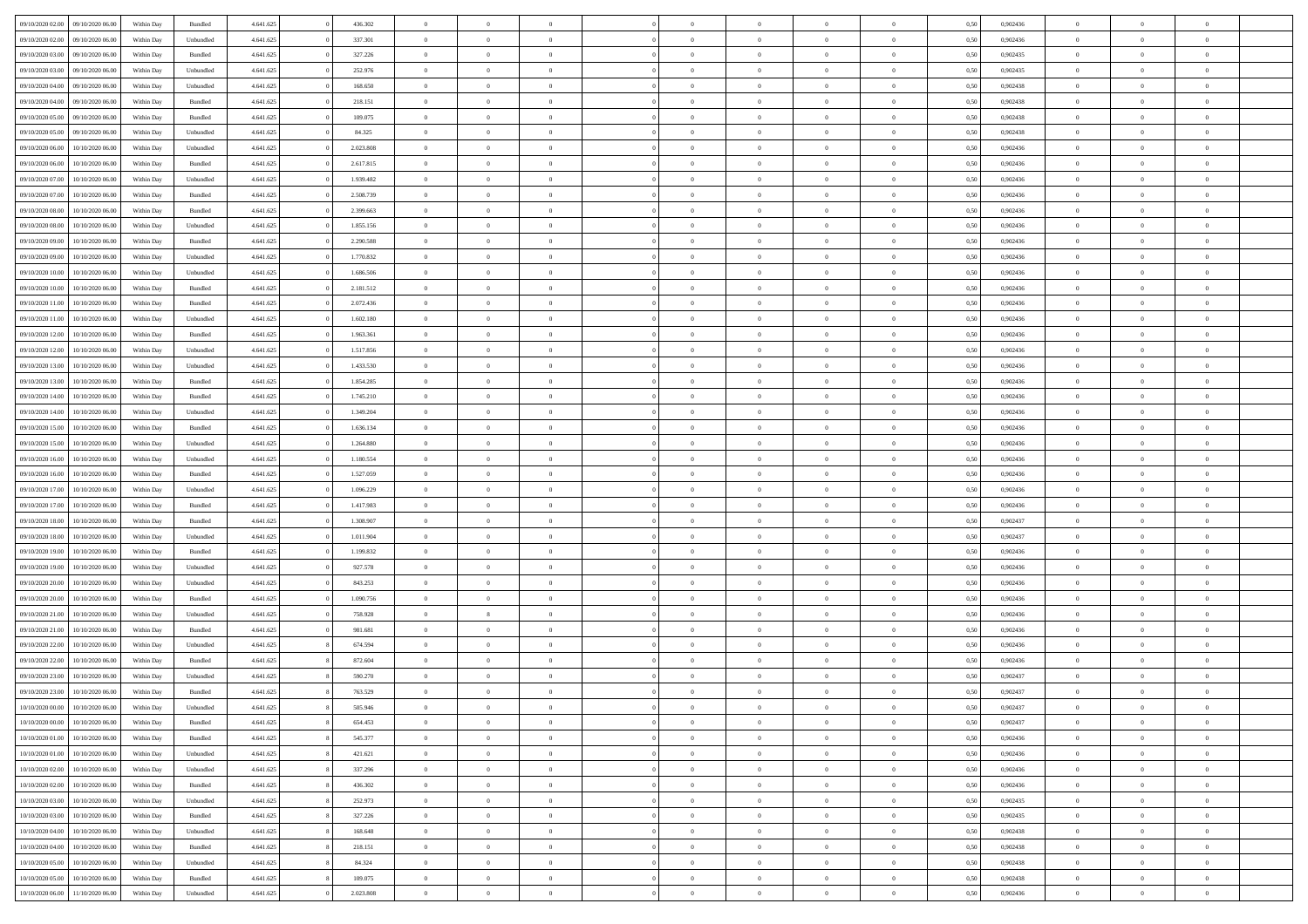| 09/10/2020 02.00 | 09/10/2020 06:00 | Within Day | Bundled   | 4.641.625 | 436.302   | $\overline{0}$ | $\theta$       |                | $\Omega$       | $\Omega$       | $\overline{0}$ | $\theta$       | 0.50 | 0,902436 | $\theta$       | $\theta$       | $\overline{0}$ |  |
|------------------|------------------|------------|-----------|-----------|-----------|----------------|----------------|----------------|----------------|----------------|----------------|----------------|------|----------|----------------|----------------|----------------|--|
| 09/10/2020 02.00 | 09/10/2020 06.00 | Within Day | Unbundled | 4.641.625 | 337.301   | $\overline{0}$ | $\theta$       | $\overline{0}$ | $\overline{0}$ | $\bf{0}$       | $\overline{0}$ | $\bf{0}$       | 0,50 | 0,902436 | $\theta$       | $\overline{0}$ | $\overline{0}$ |  |
| 09/10/2020 03.00 | 09/10/2020 06.00 | Within Day | Bundled   | 4.641.625 | 327.226   | $\overline{0}$ | $\bf{0}$       | $\overline{0}$ | $\overline{0}$ | $\bf{0}$       | $\overline{0}$ | $\mathbf{0}$   | 0,50 | 0,902435 | $\overline{0}$ | $\overline{0}$ | $\overline{0}$ |  |
| 09/10/2020 03:00 | 09/10/2020 06:00 | Within Dav | Unbundled | 4.641.625 | 252.976   | $\overline{0}$ | $\overline{0}$ | $\overline{0}$ | $\overline{0}$ | $\bf{0}$       | $\overline{0}$ | $\overline{0}$ | 0.50 | 0,902435 | $\theta$       | $\theta$       | $\overline{0}$ |  |
| 09/10/2020 04.00 | 09/10/2020 06.00 | Within Day | Unbundled | 4.641.625 | 168.650   | $\overline{0}$ | $\theta$       | $\overline{0}$ | $\overline{0}$ | $\bf{0}$       | $\overline{0}$ | $\bf{0}$       | 0,50 | 0,902438 | $\theta$       | $\overline{0}$ | $\overline{0}$ |  |
|                  |                  |            |           |           |           |                |                |                |                |                |                |                |      |          |                |                |                |  |
| 09/10/2020 04.00 | 09/10/2020 06.00 | Within Day | Bundled   | 4.641.625 | 218.151   | $\overline{0}$ | $\overline{0}$ | $\overline{0}$ | $\bf{0}$       | $\overline{0}$ | $\overline{0}$ | $\mathbf{0}$   | 0,50 | 0,902438 | $\overline{0}$ | $\overline{0}$ | $\bf{0}$       |  |
| 09/10/2020 05:00 | 09/10/2020 06.00 | Within Dav | Bundled   | 4.641.625 | 109.075   | $\overline{0}$ | $\overline{0}$ | $\overline{0}$ | $\overline{0}$ | $\overline{0}$ | $\overline{0}$ | $\overline{0}$ | 0.50 | 0,902438 | $\theta$       | $\overline{0}$ | $\overline{0}$ |  |
| 09/10/2020 05.00 | 09/10/2020 06.00 | Within Day | Unbundled | 4.641.625 | 84.325    | $\overline{0}$ | $\theta$       | $\overline{0}$ | $\overline{0}$ | $\bf{0}$       | $\overline{0}$ | $\bf{0}$       | 0,50 | 0,902438 | $\theta$       | $\theta$       | $\overline{0}$ |  |
| 09/10/2020 06:00 | 10/10/2020 06:00 | Within Day | Unbundled | 4.641.625 | 2.023.808 | $\overline{0}$ | $\overline{0}$ | $\overline{0}$ | $\bf{0}$       | $\bf{0}$       | $\bf{0}$       | $\bf{0}$       | 0,50 | 0,902436 | $\,0\,$        | $\overline{0}$ | $\overline{0}$ |  |
|                  |                  |            |           |           |           |                | $\overline{0}$ |                |                | $\overline{0}$ |                |                |      |          | $\theta$       | $\overline{0}$ | $\overline{0}$ |  |
| 09/10/2020 06:00 | 10/10/2020 06:00 | Within Dav | Bundled   | 4.641.625 | 2.617.815 | $\overline{0}$ |                | $\overline{0}$ | $\overline{0}$ |                | $\overline{0}$ | $\overline{0}$ | 0.50 | 0,902436 |                |                |                |  |
| 09/10/2020 07.00 | 10/10/2020 06:00 | Within Day | Unbundled | 4.641.625 | 1.939.482 | $\overline{0}$ | $\theta$       | $\overline{0}$ | $\overline{0}$ | $\bf{0}$       | $\overline{0}$ | $\bf{0}$       | 0,50 | 0,902436 | $\,$ 0 $\,$    | $\overline{0}$ | $\overline{0}$ |  |
| 09/10/2020 07:00 | 10/10/2020 06:00 | Within Day | Bundled   | 4.641.625 | 2.508.739 | $\overline{0}$ | $\overline{0}$ | $\overline{0}$ | $\bf{0}$       | $\bf{0}$       | $\bf{0}$       | $\bf{0}$       | 0,50 | 0,902436 | $\overline{0}$ | $\overline{0}$ | $\bf{0}$       |  |
| 09/10/2020 08:00 | 10/10/2020 06:00 | Within Day | Bundled   | 4.641.625 | 2.399.663 | $\overline{0}$ | $\overline{0}$ | $\overline{0}$ | $\overline{0}$ | $\bf{0}$       | $\overline{0}$ | $\overline{0}$ | 0.50 | 0,902436 | $\theta$       | $\theta$       | $\overline{0}$ |  |
| 09/10/2020 08:00 | 10/10/2020 06:00 | Within Day | Unbundled | 4.641.625 | 1.855.156 | $\overline{0}$ | $\theta$       | $\overline{0}$ | $\overline{0}$ | $\bf{0}$       | $\overline{0}$ | $\bf{0}$       | 0,50 | 0,902436 | $\theta$       | $\overline{0}$ | $\overline{0}$ |  |
|                  |                  |            |           |           |           |                |                |                |                |                |                |                |      |          |                |                |                |  |
| 09/10/2020 09:00 | 10/10/2020 06:00 | Within Day | Bundled   | 4.641.625 | 2.290.588 | $\overline{0}$ | $\overline{0}$ | $\overline{0}$ | $\bf{0}$       | $\overline{0}$ | $\overline{0}$ | $\mathbf{0}$   | 0,50 | 0,902436 | $\bf{0}$       | $\overline{0}$ | $\bf{0}$       |  |
| 09/10/2020 09:00 | 10/10/2020 06:00 | Within Dav | Unbundled | 4.641.625 | 1.770.832 | $\overline{0}$ | $\overline{0}$ | $\overline{0}$ | $\overline{0}$ | $\overline{0}$ | $\overline{0}$ | $\overline{0}$ | 0.50 | 0,902436 | $\theta$       | $\overline{0}$ | $\overline{0}$ |  |
| 09/10/2020 10:00 | 10/10/2020 06:00 | Within Day | Unbundled | 4.641.625 | 1.686.506 | $\overline{0}$ | $\theta$       | $\overline{0}$ | $\overline{0}$ | $\bf{0}$       | $\overline{0}$ | $\bf{0}$       | 0,50 | 0,902436 | $\theta$       | $\overline{0}$ | $\overline{0}$ |  |
| 09/10/2020 10:00 | 10/10/2020 06:00 | Within Day | Bundled   | 4.641.625 | 2.181.512 | $\overline{0}$ | $\overline{0}$ | $\overline{0}$ | $\bf{0}$       | $\bf{0}$       | $\bf{0}$       | $\bf{0}$       | 0,50 | 0,902436 | $\,0\,$        | $\overline{0}$ | $\overline{0}$ |  |
| 09/10/2020 11:00 | 10/10/2020 06:00 | Within Day | Bundled   | 4.641.625 | 2.072.436 | $\overline{0}$ | $\overline{0}$ | $\overline{0}$ | $\overline{0}$ | $\overline{0}$ | $\overline{0}$ | $\overline{0}$ | 0.50 | 0,902436 | $\theta$       | $\overline{0}$ | $\overline{0}$ |  |
| 09/10/2020 11:00 | 10/10/2020 06:00 | Within Day | Unbundled | 4.641.625 | 1.602.180 | $\overline{0}$ | $\theta$       | $\overline{0}$ | $\overline{0}$ | $\bf{0}$       | $\overline{0}$ | $\bf{0}$       | 0,50 | 0,902436 | $\,$ 0 $\,$    | $\overline{0}$ | $\overline{0}$ |  |
|                  |                  |            |           |           |           |                |                |                |                |                |                |                |      |          |                |                |                |  |
| 09/10/2020 12:00 | 10/10/2020 06:00 | Within Day | Bundled   | 4.641.625 | 1.963.361 | $\overline{0}$ | $\overline{0}$ | $\overline{0}$ | $\bf{0}$       | $\bf{0}$       | $\bf{0}$       | $\bf{0}$       | 0,50 | 0,902436 | $\bf{0}$       | $\overline{0}$ | $\bf{0}$       |  |
| 09/10/2020 12:00 | 10/10/2020 06:00 | Within Day | Unbundled | 4.641.625 | 1.517.856 | $\overline{0}$ | $\overline{0}$ | $\overline{0}$ | $\overline{0}$ | $\overline{0}$ | $\overline{0}$ | $\overline{0}$ | 0.50 | 0,902436 | $\theta$       | $\overline{0}$ | $\overline{0}$ |  |
| 09/10/2020 13:00 | 10/10/2020 06:00 | Within Day | Unbundled | 4.641.625 | 1.433.530 | $\overline{0}$ | $\theta$       | $\overline{0}$ | $\overline{0}$ | $\bf{0}$       | $\overline{0}$ | $\bf{0}$       | 0,50 | 0,902436 | $\,$ 0 $\,$    | $\overline{0}$ | $\overline{0}$ |  |
| 09/10/2020 13:00 | 10/10/2020 06:00 | Within Day | Bundled   | 4.641.625 | 1.854.285 | $\overline{0}$ | $\overline{0}$ | $\overline{0}$ | $\bf{0}$       | $\overline{0}$ | $\overline{0}$ | $\mathbf{0}$   | 0,50 | 0,902436 | $\bf{0}$       | $\overline{0}$ | $\bf{0}$       |  |
| 09/10/2020 14:00 | 10/10/2020 06:00 | Within Dav | Bundled   | 4.641.625 | 1.745.210 | $\overline{0}$ | $\overline{0}$ | $\overline{0}$ | $\overline{0}$ | $\overline{0}$ | $\overline{0}$ | $\overline{0}$ | 0.50 | 0,902436 | $\overline{0}$ | $\overline{0}$ | $\overline{0}$ |  |
| 09/10/2020 14:00 | 10/10/2020 06:00 | Within Day | Unbundled | 4.641.625 | 1.349.204 | $\overline{0}$ | $\theta$       | $\overline{0}$ | $\overline{0}$ | $\bf{0}$       | $\overline{0}$ | $\bf{0}$       | 0,50 | 0,902436 | $\,$ 0 $\,$    | $\theta$       | $\overline{0}$ |  |
|                  |                  |            |           |           |           |                |                |                |                |                |                |                |      |          |                |                |                |  |
| 09/10/2020 15:00 | 10/10/2020 06:00 | Within Day | Bundled   | 4.641.625 | 1.636.134 | $\overline{0}$ | $\overline{0}$ | $\overline{0}$ | $\bf{0}$       | $\bf{0}$       | $\bf{0}$       | $\bf{0}$       | 0,50 | 0,902436 | $\,0\,$        | $\overline{0}$ | $\overline{0}$ |  |
| 09/10/2020 15:00 | 10/10/2020 06:00 | Within Day | Unbundled | 4.641.625 | 1.264.880 | $\overline{0}$ | $\overline{0}$ | $\overline{0}$ | $\overline{0}$ | $\overline{0}$ | $\overline{0}$ | $\overline{0}$ | 0.50 | 0,902436 | $\theta$       | $\overline{0}$ | $\overline{0}$ |  |
| 09/10/2020 16:00 | 10/10/2020 06:00 | Within Day | Unbundled | 4.641.625 | 1.180.554 | $\overline{0}$ | $\theta$       | $\overline{0}$ | $\overline{0}$ | $\bf{0}$       | $\overline{0}$ | $\bf{0}$       | 0,50 | 0,902436 | $\,$ 0 $\,$    | $\overline{0}$ | $\overline{0}$ |  |
| 09/10/2020 16.00 | 10/10/2020 06:00 | Within Day | Bundled   | 4.641.625 | 1.527.059 | $\overline{0}$ | $\overline{0}$ | $\overline{0}$ | $\bf{0}$       | $\bf{0}$       | $\bf{0}$       | $\bf{0}$       | 0,50 | 0,902436 | $\overline{0}$ | $\overline{0}$ | $\bf{0}$       |  |
| 09/10/2020 17.00 | 10/10/2020 06:00 | Within Day | Unbundled | 4.641.625 | 1.096.229 | $\overline{0}$ | $\Omega$       | $\Omega$       | $\Omega$       | $\Omega$       | $\overline{0}$ | $\overline{0}$ | 0,50 | 0.902436 | $\,0\,$        | $\theta$       | $\theta$       |  |
| 09/10/2020 17.00 | 10/10/2020 06:00 | Within Day | Bundled   | 4.641.625 | 1.417.983 | $\overline{0}$ | $\theta$       | $\overline{0}$ | $\overline{0}$ | $\bf{0}$       | $\overline{0}$ | $\bf{0}$       | 0,50 | 0,902436 | $\,$ 0 $\,$    | $\overline{0}$ | $\overline{0}$ |  |
|                  |                  |            |           |           |           |                |                |                |                |                |                |                |      |          |                |                |                |  |
| 09/10/2020 18:00 | 10/10/2020 06:00 | Within Day | Bundled   | 4.641.625 | 1.308.907 | $\overline{0}$ | $\overline{0}$ | $\overline{0}$ | $\bf{0}$       | $\overline{0}$ | $\overline{0}$ | $\mathbf{0}$   | 0,50 | 0,902437 | $\overline{0}$ | $\overline{0}$ | $\bf{0}$       |  |
| 09/10/2020 18:00 | 10/10/2020 06:00 | Within Day | Unbundled | 4.641.625 | 1.011.904 | $\overline{0}$ | $\Omega$       | $\Omega$       | $\Omega$       | $\bf{0}$       | $\overline{0}$ | $\overline{0}$ | 0.50 | 0.902437 | $\,0\,$        | $\theta$       | $\theta$       |  |
| 09/10/2020 19:00 | 10/10/2020 06:00 | Within Day | Bundled   | 4.641.625 | 1.199.832 | $\overline{0}$ | $\theta$       | $\overline{0}$ | $\overline{0}$ | $\bf{0}$       | $\overline{0}$ | $\bf{0}$       | 0,50 | 0,902436 | $\,$ 0 $\,$    | $\overline{0}$ | $\overline{0}$ |  |
| 09/10/2020 19:00 | 10/10/2020 06:00 | Within Day | Unbundled | 4.641.625 | 927.578   | $\overline{0}$ | $\overline{0}$ | $\overline{0}$ | $\bf{0}$       | $\bf{0}$       | $\bf{0}$       | $\bf{0}$       | 0,50 | 0,902436 | $\bf{0}$       | $\overline{0}$ | $\bf{0}$       |  |
| 09/10/2020 20:00 | 10/10/2020 06:00 | Within Day | Unbundled | 4.641.625 | 843.253   | $\overline{0}$ | $\Omega$       | $\Omega$       | $\Omega$       | $\overline{0}$ | $\overline{0}$ | $\overline{0}$ | 0.50 | 0.902436 | $\,$ 0 $\,$    | $\theta$       | $\theta$       |  |
| 09/10/2020 20.00 | 10/10/2020 06:00 | Within Day | Bundled   | 4.641.625 | 1.090.756 | $\overline{0}$ | $\overline{0}$ | $\overline{0}$ | $\overline{0}$ | $\,$ 0         | $\overline{0}$ | $\bf{0}$       | 0,50 | 0,902436 | $\,$ 0 $\,$    | $\overline{0}$ | $\overline{0}$ |  |
|                  |                  |            |           |           |           |                |                |                |                |                |                |                |      |          |                |                |                |  |
| 09/10/2020 21.00 | 10/10/2020 06:00 | Within Day | Unbundled | 4.641.625 | 758.928   | $\overline{0}$ | $_{8}$         | $\overline{0}$ | $\bf{0}$       | $\bf{0}$       | $\bf{0}$       | $\bf{0}$       | 0,50 | 0,902436 | $\overline{0}$ | $\overline{0}$ | $\bf{0}$       |  |
| 09/10/2020 21:00 | 10/10/2020 06:00 | Within Day | Bundled   | 4.641.625 | 981.681   | $\overline{0}$ | $\Omega$       | $\overline{0}$ | $\Omega$       | $\overline{0}$ | $\overline{0}$ | $\overline{0}$ | 0,50 | 0,902436 | $\,0\,$        | $\theta$       | $\theta$       |  |
| 09/10/2020 22.00 | 10/10/2020 06:00 | Within Day | Unbundled | 4.641.625 | 674.594   | $\overline{0}$ | $\overline{0}$ | $\overline{0}$ | $\overline{0}$ | $\,$ 0         | $\overline{0}$ | $\bf{0}$       | 0,50 | 0,902436 | $\,$ 0 $\,$    | $\overline{0}$ | $\overline{0}$ |  |
| 09/10/2020 22.00 | 10/10/2020 06:00 | Within Day | Bundled   | 4.641.625 | 872.604   | $\overline{0}$ | $\overline{0}$ | $\overline{0}$ | $\bf{0}$       | $\bf{0}$       | $\bf{0}$       | $\mathbf{0}$   | 0,50 | 0,902436 | $\overline{0}$ | $\overline{0}$ | $\bf{0}$       |  |
| 09/10/2020 23.00 | 10/10/2020 06:00 | Within Day | Unbundled | 4.641.625 | 590.270   | $\overline{0}$ | $\Omega$       | $\Omega$       | $\Omega$       | $\Omega$       | $\Omega$       | $\overline{0}$ | 0.50 | 0.902437 | $\theta$       | $\theta$       | $\theta$       |  |
| 09/10/2020 23.00 | 10/10/2020 06:00 | Within Day | Bundled   | 4.641.625 | 763.529   | $\overline{0}$ | $\overline{0}$ | $\overline{0}$ | $\bf{0}$       | $\,$ 0         | $\bf{0}$       | $\bf{0}$       | 0,50 | 0,902437 | $\,0\,$        | $\,$ 0 $\,$    | $\overline{0}$ |  |
|                  |                  |            |           |           |           |                |                |                |                |                |                |                |      |          |                |                |                |  |
| 10/10/2020 00:00 | 10/10/2020 06:00 | Within Day | Unbundled | 4.641.625 | 505.946   | $\bf{0}$       | $\bf{0}$       |                |                | $\bf{0}$       |                |                | 0,50 | 0,902437 | $\bf{0}$       | $\overline{0}$ |                |  |
| 10/10/2020 00:00 | 10/10/2020 06:00 | Within Day | Bundled   | 4.641.625 | 654.453   | $\overline{0}$ | $\overline{0}$ | $\overline{0}$ | $\Omega$       | $\overline{0}$ | $\overline{0}$ | $\overline{0}$ | 0.50 | 0.902437 | $\theta$       | $\theta$       | $\theta$       |  |
| 10/10/2020 01:00 | 10/10/2020 06:00 | Within Day | Bundled   | 4.641.625 | 545.377   | $\overline{0}$ | $\,$ 0         | $\overline{0}$ | $\bf{0}$       | $\,$ 0 $\,$    | $\overline{0}$ | $\,$ 0 $\,$    | 0,50 | 0,902436 | $\,$ 0 $\,$    | $\,$ 0 $\,$    | $\,$ 0         |  |
| 10/10/2020 01:00 | 10/10/2020 06:00 | Within Day | Unbundled | 4.641.625 | 421.621   | $\overline{0}$ | $\overline{0}$ | $\overline{0}$ | $\overline{0}$ | $\overline{0}$ | $\overline{0}$ | $\mathbf{0}$   | 0,50 | 0,902436 | $\overline{0}$ | $\bf{0}$       | $\bf{0}$       |  |
| 10/10/2020 02:00 | 10/10/2020 06:00 | Within Day | Unbundled | 4.641.625 | 337.296   | $\overline{0}$ | $\overline{0}$ | $\overline{0}$ | $\Omega$       | $\overline{0}$ | $\overline{0}$ | $\overline{0}$ | 0,50 | 0,902436 | $\overline{0}$ | $\theta$       | $\overline{0}$ |  |
| 10/10/2020 02:00 | 10/10/2020 06.00 | Within Day | Bundled   | 4.641.625 | 436.302   | $\overline{0}$ | $\,$ 0         | $\overline{0}$ | $\overline{0}$ | $\,$ 0 $\,$    | $\overline{0}$ | $\mathbf{0}$   | 0,50 | 0,902436 | $\,$ 0 $\,$    | $\overline{0}$ | $\overline{0}$ |  |
|                  |                  |            |           |           |           |                |                |                |                |                |                |                |      |          |                |                |                |  |
| 10/10/2020 03:00 | 10/10/2020 06:00 | Within Day | Unbundled | 4.641.625 | 252.973   | $\overline{0}$ | $\overline{0}$ | $\overline{0}$ | $\overline{0}$ | $\overline{0}$ | $\overline{0}$ | $\mathbf{0}$   | 0,50 | 0,902435 | $\overline{0}$ | $\overline{0}$ | $\bf{0}$       |  |
| 10/10/2020 03:00 | 10/10/2020 06:00 | Within Day | Bundled   | 4.641.625 | 327.226   | $\overline{0}$ | $\overline{0}$ | $\overline{0}$ | $\overline{0}$ | $\overline{0}$ | $\overline{0}$ | $\bf{0}$       | 0.50 | 0,902435 | $\overline{0}$ | $\theta$       | $\overline{0}$ |  |
| 10/10/2020 04:00 | 10/10/2020 06.00 | Within Day | Unbundled | 4.641.625 | 168.648   | $\overline{0}$ | $\,$ 0         | $\overline{0}$ | $\bf{0}$       | $\bf{0}$       | $\bf{0}$       | $\bf{0}$       | 0,50 | 0,902438 | $\,$ 0 $\,$    | $\overline{0}$ | $\overline{0}$ |  |
| 10/10/2020 04:00 | 10/10/2020 06:00 | Within Day | Bundled   | 4.641.625 | 218.151   | $\overline{0}$ | $\bf{0}$       | $\overline{0}$ | $\overline{0}$ | $\overline{0}$ | $\overline{0}$ | $\mathbf{0}$   | 0,50 | 0,902438 | $\overline{0}$ | $\overline{0}$ | $\bf{0}$       |  |
| 10/10/2020 05:00 | 10/10/2020 06:00 | Within Day | Unbundled | 4.641.625 | 84.324    | $\overline{0}$ | $\overline{0}$ | $\overline{0}$ | $\Omega$       | $\overline{0}$ | $\overline{0}$ | $\overline{0}$ | 0.50 | 0.902438 | $\overline{0}$ | $\overline{0}$ | $\overline{0}$ |  |
|                  |                  |            |           |           |           |                |                |                |                |                |                |                |      |          |                |                |                |  |
| 10/10/2020 05:00 | 10/10/2020 06:00 | Within Day | Bundled   | 4.641.625 | 109.075   | $\overline{0}$ | $\bf{0}$       | $\overline{0}$ | $\overline{0}$ | $\bf{0}$       | $\bf{0}$       | $\bf{0}$       | 0,50 | 0,902438 | $\,$ 0 $\,$    | $\,$ 0 $\,$    | $\bf{0}$       |  |
| 10/10/2020 06:00 | 11/10/2020 06.00 | Within Day | Unbundled | 4.641.625 | 2.023.808 | $\overline{0}$ | $\bf{0}$       | $\overline{0}$ | $\bf{0}$       | $\bf{0}$       | $\bf{0}$       | $\bf{0}$       | 0,50 | 0,902436 | $\overline{0}$ | $\overline{0}$ | $\bf{0}$       |  |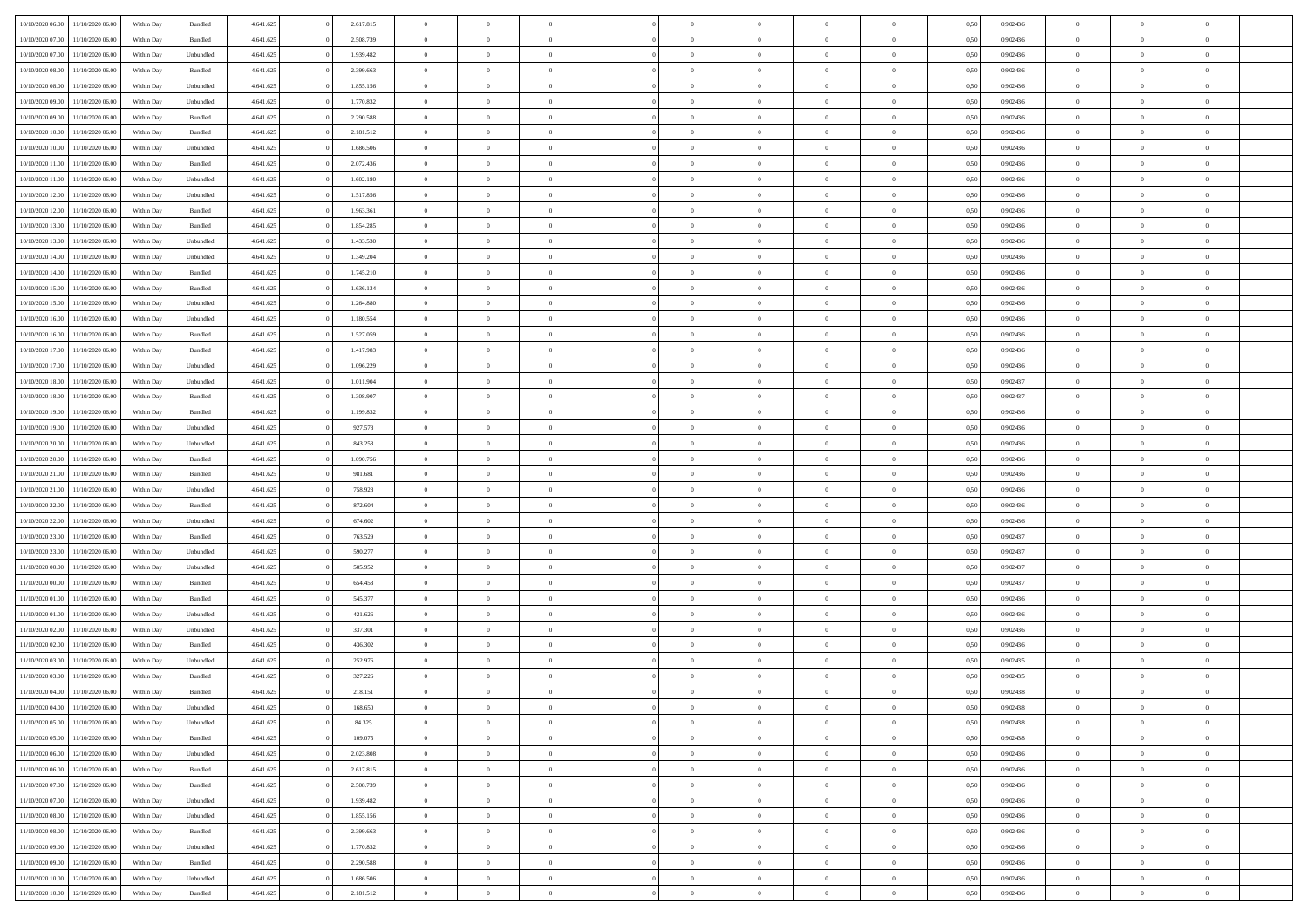| 10/10/2020 06:00 | 11/10/2020 06:00 | Within Dav | Bundled            | 4.641.625 | 2.617.815 | $\overline{0}$ | $\Omega$       |                | $\Omega$       | $\Omega$       | $\theta$       | $\theta$       | 0.50 | 0,902436 | $\theta$       | $\theta$       | $\overline{0}$ |  |
|------------------|------------------|------------|--------------------|-----------|-----------|----------------|----------------|----------------|----------------|----------------|----------------|----------------|------|----------|----------------|----------------|----------------|--|
|                  |                  |            |                    |           |           |                |                |                |                |                |                |                |      |          |                |                |                |  |
| 10/10/2020 07.00 | 11/10/2020 06.00 | Within Day | Bundled            | 4.641.625 | 2.508.739 | $\overline{0}$ | $\theta$       | $\overline{0}$ | $\overline{0}$ | $\bf{0}$       | $\overline{0}$ | $\bf{0}$       | 0,50 | 0,902436 | $\theta$       | $\overline{0}$ | $\overline{0}$ |  |
| 10/10/2020 07.00 | 11/10/2020 06.00 | Within Day | Unbundled          | 4.641.625 | 1.939.482 | $\overline{0}$ | $\bf{0}$       | $\overline{0}$ | $\bf{0}$       | $\bf{0}$       | $\bf{0}$       | $\mathbf{0}$   | 0,50 | 0,902436 | $\overline{0}$ | $\overline{0}$ | $\bf{0}$       |  |
| 10/10/2020 08:00 | 11/10/2020 06:00 | Within Dav | Bundled            | 4.641.625 | 2.399.663 | $\overline{0}$ | $\overline{0}$ | $\overline{0}$ | $\overline{0}$ | $\bf{0}$       | $\overline{0}$ | $\overline{0}$ | 0.50 | 0,902436 | $\theta$       | $\theta$       | $\overline{0}$ |  |
|                  |                  |            |                    |           |           |                |                |                |                |                |                |                |      |          |                |                |                |  |
| 10/10/2020 08:00 | 11/10/2020 06.00 | Within Day | Unbundled          | 4.641.625 | 1.855.156 | $\overline{0}$ | $\theta$       | $\overline{0}$ | $\overline{0}$ | $\bf{0}$       | $\overline{0}$ | $\bf{0}$       | 0,50 | 0,902436 | $\theta$       | $\overline{0}$ | $\overline{0}$ |  |
| 10/10/2020 09:00 | 11/10/2020 06.00 | Within Day | Unbundled          | 4.641.625 | 1.770.832 | $\overline{0}$ | $\overline{0}$ | $\overline{0}$ | $\bf{0}$       | $\overline{0}$ | $\overline{0}$ | $\mathbf{0}$   | 0,50 | 0,902436 | $\overline{0}$ | $\overline{0}$ | $\bf{0}$       |  |
| 10/10/2020 09:00 | 11/10/2020 06.00 | Within Dav | Bundled            | 4.641.625 | 2.290.588 | $\overline{0}$ | $\overline{0}$ | $\overline{0}$ | $\overline{0}$ | $\overline{0}$ | $\overline{0}$ | $\overline{0}$ | 0.50 | 0,902436 | $\theta$       | $\overline{0}$ | $\overline{0}$ |  |
| 10/10/2020 10:00 | 11/10/2020 06.00 | Within Day | Bundled            | 4.641.625 | 2.181.512 | $\overline{0}$ | $\theta$       | $\overline{0}$ | $\overline{0}$ | $\bf{0}$       | $\overline{0}$ | $\bf{0}$       | 0,50 | 0,902436 | $\theta$       | $\theta$       | $\overline{0}$ |  |
|                  |                  |            |                    |           |           |                | $\overline{0}$ |                |                | $\bf{0}$       |                |                |      |          | $\,0\,$        | $\overline{0}$ | $\overline{0}$ |  |
| 10/10/2020 10:00 | 11/10/2020 06.00 | Within Day | Unbundled          | 4.641.625 | 1.686.506 | $\overline{0}$ |                | $\overline{0}$ | $\bf{0}$       |                | $\bf{0}$       | $\bf{0}$       | 0,50 | 0,902436 |                |                |                |  |
| 10/10/2020 11:00 | 11/10/2020 06.00 | Within Dav | Bundled            | 4.641.625 | 2.072.436 | $\overline{0}$ | $\overline{0}$ | $\overline{0}$ | $\overline{0}$ | $\overline{0}$ | $\overline{0}$ | $\overline{0}$ | 0.50 | 0,902436 | $\theta$       | $\overline{0}$ | $\overline{0}$ |  |
| 10/10/2020 11:00 | 11/10/2020 06.00 | Within Day | Unbundled          | 4.641.625 | 1.602.180 | $\overline{0}$ | $\theta$       | $\overline{0}$ | $\overline{0}$ | $\bf{0}$       | $\overline{0}$ | $\bf{0}$       | 0,50 | 0,902436 | $\,$ 0 $\,$    | $\overline{0}$ | $\overline{0}$ |  |
| 10/10/2020 12:00 | 11/10/2020 06.00 | Within Day | Unbundled          | 4.641.625 | 1.517.856 | $\overline{0}$ | $\overline{0}$ | $\overline{0}$ | $\bf{0}$       | $\bf{0}$       | $\bf{0}$       | $\bf{0}$       | 0,50 | 0,902436 | $\overline{0}$ | $\overline{0}$ | $\bf{0}$       |  |
| 10/10/2020 12:00 | 11/10/2020 06:00 | Within Day | Bundled            | 4.641.625 | 1.963.361 | $\overline{0}$ | $\overline{0}$ | $\overline{0}$ | $\overline{0}$ | $\bf{0}$       | $\overline{0}$ | $\overline{0}$ | 0.50 | 0,902436 | $\theta$       | $\theta$       | $\overline{0}$ |  |
|                  |                  |            |                    |           |           | $\overline{0}$ | $\theta$       |                |                | $\bf{0}$       |                |                |      |          | $\theta$       | $\overline{0}$ |                |  |
| 10/10/2020 13:00 | 11/10/2020 06.00 | Within Day | Bundled            | 4.641.625 | 1.854.285 |                |                | $\overline{0}$ | $\overline{0}$ |                | $\overline{0}$ | $\bf{0}$       | 0,50 | 0,902436 |                |                | $\overline{0}$ |  |
| 10/10/2020 13:00 | 11/10/2020 06.00 | Within Day | Unbundled          | 4.641.625 | 1.433.530 | $\overline{0}$ | $\overline{0}$ | $\overline{0}$ | $\bf{0}$       | $\overline{0}$ | $\overline{0}$ | $\mathbf{0}$   | 0,50 | 0,902436 | $\overline{0}$ | $\overline{0}$ | $\bf{0}$       |  |
| 10/10/2020 14:00 | 11/10/2020 06.00 | Within Dav | Unbundled          | 4.641.625 | 1.349.204 | $\overline{0}$ | $\overline{0}$ | $\overline{0}$ | $\overline{0}$ | $\overline{0}$ | $\overline{0}$ | $\overline{0}$ | 0.50 | 0,902436 | $\theta$       | $\overline{0}$ | $\overline{0}$ |  |
| 10/10/2020 14:00 | 11/10/2020 06.00 | Within Day | Bundled            | 4.641.625 | 1.745.210 | $\overline{0}$ | $\theta$       | $\overline{0}$ | $\overline{0}$ | $\bf{0}$       | $\overline{0}$ | $\bf{0}$       | 0,50 | 0,902436 | $\theta$       | $\theta$       | $\overline{0}$ |  |
| 10/10/2020 15:00 | 11/10/2020 06.00 | Within Day | Bundled            | 4.641.625 | 1.636.134 | $\overline{0}$ | $\overline{0}$ | $\overline{0}$ | $\bf{0}$       | $\bf{0}$       | $\bf{0}$       | $\bf{0}$       | 0,50 | 0,902436 | $\bf{0}$       | $\overline{0}$ | $\overline{0}$ |  |
|                  |                  |            |                    |           |           |                |                |                |                |                |                |                |      |          |                |                |                |  |
| 10/10/2020 15:00 | 11/10/2020 06:00 | Within Day | Unbundled          | 4.641.625 | 1.264.880 | $\overline{0}$ | $\overline{0}$ | $\overline{0}$ | $\overline{0}$ | $\overline{0}$ | $\overline{0}$ | $\overline{0}$ | 0.50 | 0,902436 | $\theta$       | $\overline{0}$ | $\overline{0}$ |  |
| 10/10/2020 16:00 | 11/10/2020 06.00 | Within Day | Unbundled          | 4.641.625 | 1.180.554 | $\overline{0}$ | $\theta$       | $\overline{0}$ | $\overline{0}$ | $\bf{0}$       | $\overline{0}$ | $\bf{0}$       | 0,50 | 0,902436 | $\,$ 0 $\,$    | $\overline{0}$ | $\overline{0}$ |  |
| 10/10/2020 16:00 | 11/10/2020 06.00 | Within Day | Bundled            | 4.641.625 | 1.527.059 | $\overline{0}$ | $\overline{0}$ | $\overline{0}$ | $\bf{0}$       | $\bf{0}$       | $\bf{0}$       | $\bf{0}$       | 0,50 | 0,902436 | $\overline{0}$ | $\overline{0}$ | $\bf{0}$       |  |
| 10/10/2020 17:00 | 11/10/2020 06:00 | Within Day | Bundled            | 4.641.625 | 1.417.983 | $\overline{0}$ | $\overline{0}$ | $\overline{0}$ | $\overline{0}$ | $\bf{0}$       | $\overline{0}$ | $\overline{0}$ | 0.50 | 0,902436 | $\theta$       | $\overline{0}$ | $\overline{0}$ |  |
| 10/10/2020 17:00 | 11/10/2020 06.00 |            |                    | 4.641.625 | 1.096.229 | $\overline{0}$ | $\theta$       | $\overline{0}$ | $\overline{0}$ | $\bf{0}$       | $\overline{0}$ |                |      | 0,902436 | $\,$ 0 $\,$    | $\overline{0}$ | $\overline{0}$ |  |
|                  |                  | Within Day | Unbundled          |           |           |                |                |                |                |                |                | $\bf{0}$       | 0,50 |          |                |                |                |  |
| 10/10/2020 18:00 | 11/10/2020 06.00 | Within Day | Unbundled          | 4.641.625 | 1.011.904 | $\overline{0}$ | $\overline{0}$ | $\overline{0}$ | $\bf{0}$       | $\overline{0}$ | $\overline{0}$ | $\mathbf{0}$   | 0,50 | 0,902437 | $\overline{0}$ | $\overline{0}$ | $\bf{0}$       |  |
| 10/10/2020 18:00 | 11/10/2020 06.00 | Within Dav | Bundled            | 4.641.625 | 1.308.907 | $\overline{0}$ | $\overline{0}$ | $\overline{0}$ | $\overline{0}$ | $\overline{0}$ | $\overline{0}$ | $\overline{0}$ | 0.50 | 0,902437 | $\theta$       | $\overline{0}$ | $\overline{0}$ |  |
| 10/10/2020 19:00 | 11/10/2020 06.00 | Within Day | Bundled            | 4.641.625 | 1.199.832 | $\overline{0}$ | $\theta$       | $\overline{0}$ | $\overline{0}$ | $\bf{0}$       | $\overline{0}$ | $\bf{0}$       | 0,50 | 0,902436 | $\theta$       | $\theta$       | $\overline{0}$ |  |
| 10/10/2020 19:00 | 11/10/2020 06.00 | Within Day | Unbundled          | 4.641.625 | 927.578   | $\overline{0}$ | $\overline{0}$ | $\overline{0}$ | $\bf{0}$       | $\bf{0}$       | $\bf{0}$       | $\bf{0}$       | 0,50 | 0,902436 | $\,0\,$        | $\overline{0}$ | $\overline{0}$ |  |
|                  |                  |            |                    |           |           |                | $\overline{0}$ |                |                | $\overline{0}$ |                |                |      |          | $\theta$       | $\overline{0}$ | $\overline{0}$ |  |
| 10/10/2020 20:00 | 11/10/2020 06:00 | Within Day | Unbundled          | 4.641.625 | 843.253   | $\overline{0}$ |                | $\overline{0}$ | $\overline{0}$ |                | $\overline{0}$ | $\overline{0}$ | 0.50 | 0,902436 |                |                |                |  |
| 10/10/2020 20:00 | 11/10/2020 06.00 | Within Day | Bundled            | 4.641.625 | 1.090.756 | $\overline{0}$ | $\theta$       | $\overline{0}$ | $\overline{0}$ | $\bf{0}$       | $\overline{0}$ | $\bf{0}$       | 0,50 | 0,902436 | $\,$ 0 $\,$    | $\overline{0}$ | $\overline{0}$ |  |
| 10/10/2020 21.00 | 11/10/2020 06.00 | Within Day | Bundled            | 4.641.625 | 981.681   | $\overline{0}$ | $\overline{0}$ | $\overline{0}$ | $\bf{0}$       | $\bf{0}$       | $\bf{0}$       | $\bf{0}$       | 0,50 | 0,902436 | $\bf{0}$       | $\overline{0}$ | $\bf{0}$       |  |
| 10/10/2020 21:00 | 11/10/2020 06.00 | Within Day | Unbundled          | 4.641.625 | 758.928   | $\bf{0}$       | $\Omega$       | $\Omega$       | $\Omega$       | $\Omega$       | $\overline{0}$ | $\overline{0}$ | 0,50 | 0.902436 | $\,0\,$        | $\theta$       | $\theta$       |  |
| 10/10/2020 22.00 | 11/10/2020 06.00 | Within Day | Bundled            | 4.641.625 | 872.604   | $\overline{0}$ | $\theta$       | $\overline{0}$ | $\overline{0}$ | $\bf{0}$       | $\overline{0}$ | $\bf{0}$       | 0,50 | 0,902436 | $\,$ 0 $\,$    | $\overline{0}$ | $\overline{0}$ |  |
|                  |                  |            |                    |           |           |                |                |                |                |                |                |                |      |          |                |                |                |  |
| 10/10/2020 22:00 | 11/10/2020 06.00 | Within Day | Unbundled          | 4.641.625 | 674.602   | $\overline{0}$ | $\overline{0}$ | $\overline{0}$ | $\bf{0}$       | $\overline{0}$ | $\overline{0}$ | $\mathbf{0}$   | 0,50 | 0,902436 | $\bf{0}$       | $\overline{0}$ | $\bf{0}$       |  |
| 10/10/2020 23.00 | 11/10/2020 06.00 | Within Day | Bundled            | 4.641.625 | 763.529   | $\overline{0}$ | $\Omega$       | $\Omega$       | $\Omega$       | $\bf{0}$       | $\overline{0}$ | $\overline{0}$ | 0.50 | 0.902437 | $\,0\,$        | $\theta$       | $\theta$       |  |
| 10/10/2020 23:00 | 11/10/2020 06.00 | Within Day | Unbundled          | 4.641.625 | 590.277   | $\overline{0}$ | $\theta$       | $\overline{0}$ | $\overline{0}$ | $\bf{0}$       | $\overline{0}$ | $\bf{0}$       | 0,50 | 0,902437 | $\,$ 0 $\,$    | $\overline{0}$ | $\overline{0}$ |  |
| 11/10/2020 00:00 | 11/10/2020 06.00 | Within Day | Unbundled          | 4.641.625 | 505.952   | $\overline{0}$ | $\overline{0}$ | $\overline{0}$ | $\bf{0}$       | $\bf{0}$       | $\bf{0}$       | $\bf{0}$       | 0,50 | 0,902437 | $\bf{0}$       | $\overline{0}$ | $\bf{0}$       |  |
| 11/10/2020 00:00 | 11/10/2020 06:00 | Within Day | Bundled            | 4.641.625 | 654.453   | $\overline{0}$ | $\Omega$       | $\Omega$       | $\Omega$       | $\theta$       | $\overline{0}$ | $\overline{0}$ | 0.50 | 0.902437 | $\,$ 0 $\,$    | $\theta$       | $\theta$       |  |
|                  |                  |            |                    |           |           |                |                |                |                |                |                |                |      |          |                |                |                |  |
| 11/10/2020 01:00 | 11/10/2020 06.00 | Within Day | Bundled            | 4.641.625 | 545.377   | $\overline{0}$ | $\overline{0}$ | $\overline{0}$ | $\overline{0}$ | $\,$ 0         | $\overline{0}$ | $\bf{0}$       | 0,50 | 0,902436 | $\,$ 0 $\,$    | $\overline{0}$ | $\overline{0}$ |  |
| 11/10/2020 01.00 | 11/10/2020 06.00 | Within Day | Unbundled          | 4.641.625 | 421.626   | $\overline{0}$ | $\overline{0}$ | $\overline{0}$ | $\bf{0}$       | $\bf{0}$       | $\bf{0}$       | $\bf{0}$       | 0,50 | 0,902436 | $\bf{0}$       | $\overline{0}$ | $\bf{0}$       |  |
| 11/10/2020 02:00 | 11/10/2020 06.00 | Within Day | Unbundled          | 4.641.625 | 337.301   | $\overline{0}$ | $\Omega$       | $\Omega$       | $\Omega$       | $\overline{0}$ | $\overline{0}$ | $\overline{0}$ | 0,50 | 0,902436 | $\,0\,$        | $\theta$       | $\theta$       |  |
| 11/10/2020 02:00 | 11/10/2020 06.00 | Within Day | Bundled            | 4.641.625 | 436.302   | $\overline{0}$ | $\overline{0}$ | $\overline{0}$ | $\overline{0}$ | $\,$ 0         | $\overline{0}$ | $\bf{0}$       | 0,50 | 0,902436 | $\,$ 0 $\,$    | $\overline{0}$ | $\overline{0}$ |  |
| 11/10/2020 03.00 | 11/10/2020 06.00 | Within Day | Unbundled          | 4.641.625 | 252.976   | $\overline{0}$ | $\overline{0}$ | $\overline{0}$ | $\bf{0}$       | $\bf{0}$       | $\bf{0}$       | $\mathbf{0}$   | 0,50 | 0,902435 | $\bf{0}$       | $\overline{0}$ | $\bf{0}$       |  |
|                  |                  |            |                    |           |           |                |                |                |                |                |                |                |      |          |                |                |                |  |
| 11/10/2020 03:00 | 11/10/2020 06:00 | Within Day | Bundled            | 4.641.625 | 327.226   | $\overline{0}$ | $\Omega$       | $\Omega$       | $\Omega$       | $\Omega$       | $\Omega$       | $\overline{0}$ | 0.50 | 0.902435 | $\theta$       | $\theta$       | $\theta$       |  |
| 11/10/2020 04:00 | 11/10/2020 06:00 | Within Day | Bundled            | 4.641.625 | 218.151   | $\overline{0}$ | $\overline{0}$ | $\overline{0}$ | $\bf{0}$       | $\,$ 0         | $\bf{0}$       | $\bf{0}$       | 0,50 | 0,902438 | $\,0\,$        | $\,$ 0 $\,$    | $\overline{0}$ |  |
| 11/10/2020 04:00 | 11/10/2020 06.00 | Within Day | Unbundled          | 4.641.625 | 168.650   | $\bf{0}$       | $\bf{0}$       |                |                | $\bf{0}$       |                |                | 0,50 | 0,902438 | $\bf{0}$       | $\overline{0}$ |                |  |
| 11/10/2020 05:00 | 11/10/2020 06:00 | Within Day | Unbundled          | 4.641.625 | 84.325    | $\overline{0}$ | $\overline{0}$ | $\overline{0}$ | $\Omega$       | $\theta$       | $\overline{0}$ | $\overline{0}$ | 0,50 | 0.902438 | $\theta$       | $\theta$       | $\theta$       |  |
| 11/10/2020 05:00 | 11/10/2020 06.00 | Within Day | Bundled            | 4.641.625 | 109.075   | $\overline{0}$ | $\,$ 0         | $\overline{0}$ | $\bf{0}$       | $\,$ 0 $\,$    | $\overline{0}$ | $\mathbf{0}$   | 0,50 | 0,902438 | $\,$ 0 $\,$    | $\,$ 0 $\,$    | $\,$ 0         |  |
|                  |                  |            |                    |           |           |                |                |                |                |                |                |                |      |          |                |                |                |  |
| 11/10/2020 06.00 | 12/10/2020 06:00 | Within Day | Unbundled          | 4.641.625 | 2.023.808 | $\overline{0}$ | $\overline{0}$ | $\overline{0}$ | $\overline{0}$ | $\overline{0}$ | $\overline{0}$ | $\mathbf{0}$   | 0,50 | 0,902436 | $\overline{0}$ | $\bf{0}$       | $\bf{0}$       |  |
| 11/10/2020 06:00 | 12/10/2020 06:00 | Within Day | $\mathbf B$ undled | 4.641.625 | 2.617.815 | $\overline{0}$ | $\overline{0}$ | $\overline{0}$ | $\Omega$       | $\overline{0}$ | $\overline{0}$ | $\bf{0}$       | 0,50 | 0,902436 | $\overline{0}$ | $\theta$       | $\overline{0}$ |  |
| 11/10/2020 07:00 | 12/10/2020 06.00 | Within Day | Bundled            | 4.641.625 | 2.508.739 | $\overline{0}$ | $\,$ 0         | $\overline{0}$ | $\overline{0}$ | $\overline{0}$ | $\overline{0}$ | $\bf{0}$       | 0,50 | 0,902436 | $\,$ 0 $\,$    | $\overline{0}$ | $\overline{0}$ |  |
| 11/10/2020 07.00 | 12/10/2020 06:00 | Within Day | Unbundled          | 4.641.625 | 1.939.482 | $\overline{0}$ | $\overline{0}$ | $\overline{0}$ | $\overline{0}$ | $\overline{0}$ | $\overline{0}$ | $\mathbf{0}$   | 0,50 | 0,902436 | $\overline{0}$ | $\bf{0}$       | $\bf{0}$       |  |
| 11/10/2020 08:00 | 12/10/2020 06:00 | Within Day | Unbundled          | 4.641.625 | 1.855.156 | $\overline{0}$ | $\overline{0}$ | $\overline{0}$ | $\Omega$       | $\overline{0}$ | $\overline{0}$ | $\bf{0}$       | 0.50 | 0,902436 | $\overline{0}$ | $\theta$       | $\overline{0}$ |  |
|                  |                  |            |                    |           |           |                |                |                |                |                |                |                |      |          |                |                |                |  |
| 11/10/2020 08:00 | 12/10/2020 06.00 | Within Day | Bundled            | 4.641.625 | 2.399.663 | $\overline{0}$ | $\,$ 0         | $\overline{0}$ | $\bf{0}$       | $\bf{0}$       | $\bf{0}$       | $\bf{0}$       | 0,50 | 0,902436 | $\,$ 0 $\,$    | $\overline{0}$ | $\overline{0}$ |  |
| 11/10/2020 09:00 | 12/10/2020 06:00 | Within Day | Unbundled          | 4.641.625 | 1.770.832 | $\overline{0}$ | $\bf{0}$       | $\overline{0}$ | $\overline{0}$ | $\overline{0}$ | $\bf{0}$       | $\mathbf{0}$   | 0,50 | 0,902436 | $\overline{0}$ | $\overline{0}$ | $\bf{0}$       |  |
| 11/10/2020 09:00 | 12/10/2020 06:00 | Within Day | Bundled            | 4.641.625 | 2.290.588 | $\overline{0}$ | $\overline{0}$ | $\overline{0}$ | $\Omega$       | $\overline{0}$ | $\overline{0}$ | $\bf{0}$       | 0.50 | 0.902436 | $\overline{0}$ | $\overline{0}$ | $\overline{0}$ |  |
| 11/10/2020 10:00 | 12/10/2020 06.00 | Within Day | Unbundled          | 4.641.625 | 1.686.506 | $\overline{0}$ | $\bf{0}$       | $\overline{0}$ | $\overline{0}$ | $\bf{0}$       | $\bf{0}$       | $\mathbf{0}$   | 0,50 | 0,902436 | $\,$ 0 $\,$    | $\,$ 0 $\,$    | $\bf{0}$       |  |
|                  |                  |            |                    |           |           |                |                |                |                |                |                |                |      |          |                |                |                |  |
| 11/10/2020 10:00 | 12/10/2020 06.00 | Within Day | Bundled            | 4.641.625 | 2.181.512 | $\overline{0}$ | $\overline{0}$ | $\overline{0}$ | $\overline{0}$ | $\bf{0}$       | $\bf{0}$       | $\mathbf{0}$   | 0,50 | 0,902436 | $\overline{0}$ | $\bf{0}$       | $\bf{0}$       |  |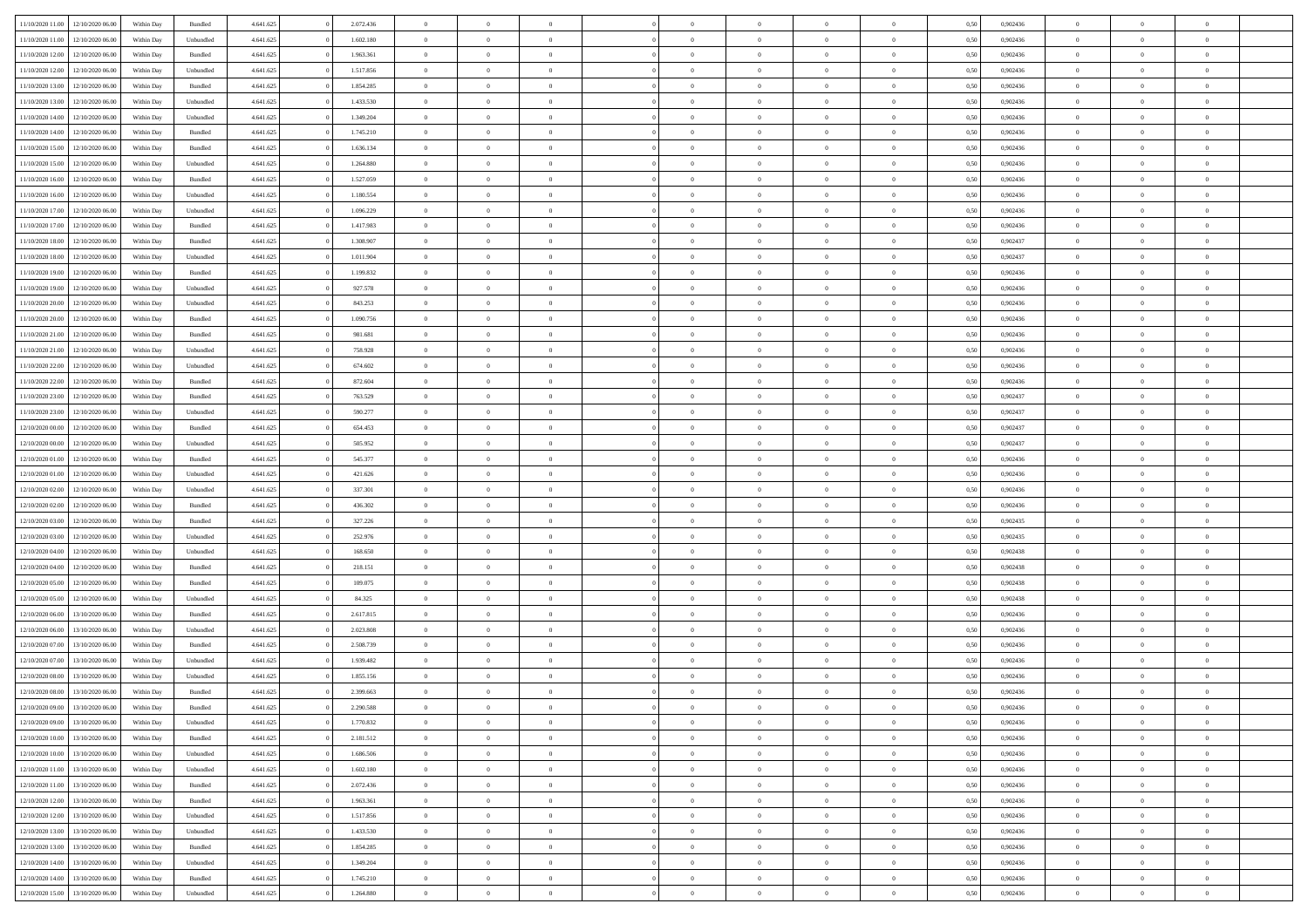| 11/10/2020 11:00                     | 12/10/2020 06:00                     | Within Day | Bundled            | 4.641.625              | 2.072.436 | $\overline{0}$ | $\theta$       |                                  | $\overline{0}$ | $\bf{0}$       | $\overline{0}$ | $\theta$                       | 0,50 | 0,902436 | $\theta$       | $\theta$       | $\theta$       |  |
|--------------------------------------|--------------------------------------|------------|--------------------|------------------------|-----------|----------------|----------------|----------------------------------|----------------|----------------|----------------|--------------------------------|------|----------|----------------|----------------|----------------|--|
|                                      |                                      |            |                    |                        |           |                |                | $\overline{0}$                   |                |                |                |                                |      |          |                |                | $\overline{0}$ |  |
| 11/10/2020 11:00                     | 12/10/2020 06.00                     | Within Day | Unbundled          | 4.641.625              | 1.602.180 | $\overline{0}$ | $\overline{0}$ |                                  | $\overline{0}$ | $\,$ 0         | $\bf{0}$       | $\bf{0}$                       | 0,50 | 0,902436 | $\,$ 0 $\,$    | $\overline{0}$ |                |  |
| 11/10/2020 12:00                     | 12/10/2020 06:00                     | Within Day | Bundled            | 4.641.625              | 1.963.361 | $\overline{0}$ | $\overline{0}$ | $\overline{0}$                   | $\overline{0}$ | $\overline{0}$ | $\overline{0}$ | $\mathbf{0}$                   | 0.50 | 0.902436 | $\overline{0}$ | $\overline{0}$ | $\bf{0}$       |  |
| 11/10/2020 12:00                     | 12/10/2020 06.00                     | Within Day | Unbundled          | 4.641.625              | 1.517.856 | $\overline{0}$ | $\overline{0}$ | $\overline{0}$                   | $\overline{0}$ | $\,0\,$        | $\overline{0}$ | $\overline{0}$                 | 0,50 | 0,902436 | $\,$ 0 $\,$    | $\overline{0}$ | $\overline{0}$ |  |
| 11/10/2020 13:00                     | 12/10/2020 06.00                     | Within Day | Bundled            | 4.641.625              | 1.854.285 | $\overline{0}$ | $\theta$       | $\overline{0}$                   | $\overline{0}$ | $\,$ 0         | $\overline{0}$ | $\bf{0}$                       | 0,50 | 0,902436 | $\,$ 0 $\,$    | $\overline{0}$ | $\overline{0}$ |  |
| 11/10/2020 13:00                     | 12/10/2020 06:00                     | Within Day | Unbundled          | 4.641.625              | 1.433.530 | $\overline{0}$ | $\overline{0}$ | $\overline{0}$                   | $\overline{0}$ | $\bf{0}$       | $\overline{0}$ | $\bf{0}$                       | 0.50 | 0.902436 | $\,0\,$        | $\overline{0}$ | $\overline{0}$ |  |
| 11/10/2020 14:00                     | 12/10/2020 06:00                     | Within Day | Unbundled          | 4.641.625              | 1.349.204 | $\overline{0}$ | $\overline{0}$ | $\overline{0}$                   | $\overline{0}$ | $\bf{0}$       | $\overline{0}$ | $\bf{0}$                       | 0,50 | 0,902436 | $\,$ 0 $\,$    | $\overline{0}$ | $\overline{0}$ |  |
| 11/10/2020 14:00                     | 12/10/2020 06.00                     | Within Day | Bundled            | 4.641.625              | 1.745.210 | $\overline{0}$ | $\overline{0}$ | $\overline{0}$                   | $\overline{0}$ | $\,$ 0         | $\bf{0}$       | $\bf{0}$                       | 0,50 | 0,902436 | $\,$ 0 $\,$    | $\overline{0}$ | $\overline{0}$ |  |
| 11/10/2020 15:00                     | 12/10/2020 06:00                     | Within Day | Bundled            | 4.641.625              | 1.636.134 | $\overline{0}$ | $\overline{0}$ | $\overline{0}$                   | $\overline{0}$ | $\bf{0}$       | $\overline{0}$ | $\bf{0}$                       | 0.50 | 0.902436 | $\bf{0}$       | $\overline{0}$ | $\bf{0}$       |  |
| 11/10/2020 15:00                     | 12/10/2020 06:00                     | Within Day | Unbundled          | 4.641.625              | 1.264.880 | $\overline{0}$ | $\overline{0}$ | $\overline{0}$                   | $\overline{0}$ | $\bf{0}$       | $\overline{0}$ | $\bf{0}$                       | 0,50 | 0,902436 | $\,$ 0 $\,$    | $\overline{0}$ | $\overline{0}$ |  |
|                                      |                                      |            |                    |                        |           |                |                |                                  |                |                |                |                                |      |          |                |                |                |  |
| 11/10/2020 16.00                     | 12/10/2020 06.00                     | Within Day | Bundled            | 4.641.625              | 1.527.059 | $\bf{0}$       | $\overline{0}$ | $\overline{0}$                   | $\overline{0}$ | $\,$ 0         | $\bf{0}$       | $\bf{0}$                       | 0,50 | 0,902436 | $\,$ 0 $\,$    | $\overline{0}$ | $\overline{0}$ |  |
| 11/10/2020 16:00                     | 12/10/2020 06:00                     | Within Day | Unbundled          | 4.641.625              | 1.180.554 | $\overline{0}$ | $\overline{0}$ | $\overline{0}$                   | $\overline{0}$ | $\bf{0}$       | $\overline{0}$ | $\mathbf{0}$                   | 0.50 | 0.902436 | $\overline{0}$ | $\,$ 0 $\,$    | $\bf{0}$       |  |
| 11/10/2020 17:00                     | 12/10/2020 06.00                     | Within Day | Unbundled          | 4.641.625              | 1.096.229 | $\overline{0}$ | $\overline{0}$ | $\overline{0}$                   | $\overline{0}$ | $\bf{0}$       | $\overline{0}$ | $\overline{0}$                 | 0,50 | 0,902436 | $\,$ 0 $\,$    | $\overline{0}$ | $\overline{0}$ |  |
| 11/10/2020 17:00                     | 12/10/2020 06.00                     | Within Day | Bundled            | 4.641.625              | 1.417.983 | $\overline{0}$ | $\theta$       | $\overline{0}$                   | $\overline{0}$ | $\,$ 0         | $\overline{0}$ | $\bf{0}$                       | 0,50 | 0,902436 | $\,$ 0 $\,$    | $\overline{0}$ | $\overline{0}$ |  |
| 11/10/2020 18:00                     | 12/10/2020 06:00                     | Within Day | Bundled            | 4.641.625              | 1.308.907 | $\overline{0}$ | $\overline{0}$ | $\overline{0}$                   | $\overline{0}$ | $\bf{0}$       | $\overline{0}$ | $\bf{0}$                       | 0.50 | 0.902437 | $\,0\,$        | $\overline{0}$ | $\overline{0}$ |  |
| 11/10/2020 18:00                     | 12/10/2020 06.00                     | Within Day | Unbundled          | 4.641.625              | 1.011.904 | $\overline{0}$ | $\overline{0}$ | $\overline{0}$                   | $\overline{0}$ | $\bf{0}$       | $\overline{0}$ | $\bf{0}$                       | 0,50 | 0,902437 | $\,$ 0 $\,$    | $\theta$       | $\overline{0}$ |  |
| 11/10/2020 19:00                     | 12/10/2020 06.00                     | Within Day | Bundled            | 4.641.625              | 1.199.832 | $\overline{0}$ | $\overline{0}$ | $\overline{0}$                   | $\overline{0}$ | $\,$ 0         | $\bf{0}$       | $\bf{0}$                       | 0,50 | 0,902436 | $\,$ 0 $\,$    | $\overline{0}$ | $\overline{0}$ |  |
| 11/10/2020 19:00                     | 12/10/2020 06:00                     | Within Day | Unbundled          | 4.641.625              | 927.578   | $\overline{0}$ | $\overline{0}$ | $\overline{0}$                   | $\overline{0}$ | $\bf{0}$       | $\overline{0}$ | $\mathbf{0}$                   | 0.50 | 0.902436 | $\bf{0}$       | $\overline{0}$ | $\bf{0}$       |  |
| 11/10/2020 20.00                     | 12/10/2020 06.00                     | Within Day | Unbundled          | 4.641.625              | 843.253   | $\overline{0}$ | $\overline{0}$ | $\overline{0}$                   | $\overline{0}$ | $\bf{0}$       | $\overline{0}$ | $\bf{0}$                       | 0,50 | 0,902436 | $\,$ 0 $\,$    | $\overline{0}$ | $\overline{0}$ |  |
| 11/10/2020 20:00                     | 12/10/2020 06.00                     | Within Day | Bundled            | 4.641.625              | 1.090.756 | $\overline{0}$ | $\overline{0}$ | $\overline{0}$                   | $\overline{0}$ | $\bf{0}$       | $\bf{0}$       | $\bf{0}$                       | 0,50 | 0,902436 | $\,$ 0 $\,$    | $\overline{0}$ | $\overline{0}$ |  |
|                                      |                                      |            | $\mathbf B$ undled |                        | 981.681   | $\overline{0}$ | $\overline{0}$ |                                  | $\overline{0}$ | $\bf{0}$       | $\overline{0}$ |                                | 0.50 | 0.902436 | $\overline{0}$ | $\,$ 0 $\,$    | $\overline{0}$ |  |
| 11/10/2020 21:00<br>11/10/2020 21.00 | 12/10/2020 06:00<br>12/10/2020 06.00 | Within Day |                    | 4.641.625<br>4.641.625 | 758.928   | $\overline{0}$ | $\overline{0}$ | $\overline{0}$<br>$\overline{0}$ | $\overline{0}$ | $\overline{0}$ | $\overline{0}$ | $\mathbf{0}$<br>$\overline{0}$ | 0,50 | 0,902436 | $\,$ 0 $\,$    | $\overline{0}$ | $\overline{0}$ |  |
|                                      |                                      | Within Day | Unbundled          |                        |           |                |                |                                  |                |                |                |                                |      |          |                |                |                |  |
| 11/10/2020 22.00                     | 12/10/2020 06.00                     | Within Day | Unbundled          | 4.641.625              | 674.602   | $\overline{0}$ | $\overline{0}$ | $\overline{0}$                   | $\overline{0}$ | $\,$ 0         | $\overline{0}$ | $\bf{0}$                       | 0,50 | 0,902436 | $\,$ 0 $\,$    | $\overline{0}$ | $\overline{0}$ |  |
| 11/10/2020 22:00                     | 12/10/2020 06:00                     | Within Day | Bundled            | 4.641.625              | 872.604   | $\overline{0}$ | $\overline{0}$ | $\overline{0}$                   | $\overline{0}$ | $\bf{0}$       | $\overline{0}$ | $\bf{0}$                       | 0.50 | 0.902436 | $\,0\,$        | $\overline{0}$ | $\overline{0}$ |  |
| 11/10/2020 23.00                     | 12/10/2020 06:00                     | Within Day | Bundled            | 4.641.625              | 763.529   | $\overline{0}$ | $\overline{0}$ | $\overline{0}$                   | $\overline{0}$ | $\bf{0}$       | $\overline{0}$ | $\bf{0}$                       | 0,50 | 0,902437 | $\,$ 0 $\,$    | $\theta$       | $\overline{0}$ |  |
| 11/10/2020 23.00                     | 12/10/2020 06.00                     | Within Day | Unbundled          | 4.641.625              | 590.277   | $\overline{0}$ | $\theta$       | $\overline{0}$                   | $\overline{0}$ | $\,$ 0         | $\bf{0}$       | $\bf{0}$                       | 0,50 | 0,902437 | $\,$ 0 $\,$    | $\overline{0}$ | $\overline{0}$ |  |
| 12/10/2020 00:00                     | 12/10/2020 06:00                     | Within Day | Bundled            | 4.641.625              | 654.453   | $\overline{0}$ | $\overline{0}$ | $\overline{0}$                   | $\overline{0}$ | $\bf{0}$       | $\overline{0}$ | $\mathbf{0}$                   | 0.50 | 0.902437 | $\bf{0}$       | $\overline{0}$ | $\bf{0}$       |  |
| 12/10/2020 00:00                     | 12/10/2020 06:00                     | Within Day | Unbundled          | 4.641.625              | 505.952   | $\overline{0}$ | $\overline{0}$ | $\overline{0}$                   | $\overline{0}$ | $\bf{0}$       | $\overline{0}$ | $\bf{0}$                       | 0,50 | 0,902437 | $\,$ 0 $\,$    | $\overline{0}$ | $\overline{0}$ |  |
| 12/10/2020 01:00                     | 12/10/2020 06.00                     | Within Day | Bundled            | 4.641.625              | 545.377   | $\overline{0}$ | $\overline{0}$ | $\overline{0}$                   | $\bf{0}$       | $\bf{0}$       | $\bf{0}$       | $\bf{0}$                       | 0,50 | 0,902436 | $\,$ 0 $\,$    | $\overline{0}$ | $\overline{0}$ |  |
| 12/10/2020 01:00                     | 12/10/2020 06:00                     | Within Day | Unbundled          | 4.641.625              | 421.626   | $\overline{0}$ | $\overline{0}$ | $\overline{0}$                   | $\overline{0}$ | $\bf{0}$       | $\overline{0}$ | $\mathbf{0}$                   | 0.50 | 0.902436 | $\overline{0}$ | $\,$ 0 $\,$    | $\bf{0}$       |  |
| 12/10/2020 02:00                     | 12/10/2020 06:00                     | Within Dav | Unbundled          | 4.641.625              | 337.301   | $\overline{0}$ | $\overline{0}$ | $\overline{0}$                   | $\overline{0}$ | $\overline{0}$ | $\overline{0}$ | $\overline{0}$                 | 0.50 | 0,902436 | $\theta$       | $\overline{0}$ | $\overline{0}$ |  |
| 12/10/2020 02:00                     | 12/10/2020 06.00                     | Within Day | Bundled            | 4.641.625              | 436.302   | $\overline{0}$ | $\overline{0}$ | $\overline{0}$                   | $\overline{0}$ | $\,$ 0         | $\bf{0}$       | $\bf{0}$                       | 0,50 | 0,902436 | $\,$ 0 $\,$    | $\overline{0}$ | $\overline{0}$ |  |
| 12/10/2020 03:00                     | 12/10/2020 06:00                     | Within Day | Bundled            | 4.641.625              | 327.226   | $\overline{0}$ | $\overline{0}$ | $\overline{0}$                   | $\overline{0}$ | $\bf{0}$       | $\overline{0}$ | $\bf{0}$                       | 0.50 | 0.902435 | $\,0\,$        | $\overline{0}$ | $\overline{0}$ |  |
| 12/10/2020 03:00                     | 12/10/2020 06:00                     | Within Dav | Unbundled          | 4.641.625              | 252.976   | $\overline{0}$ | $\overline{0}$ | $\Omega$                         | $\overline{0}$ | $\mathbf{0}$   | $\overline{0}$ | $\overline{0}$                 | 0,50 | 0,902435 | $\theta$       | $\overline{0}$ | $\overline{0}$ |  |
|                                      |                                      |            |                    |                        |           |                |                |                                  |                |                |                |                                |      |          |                |                |                |  |
| 12/10/2020 04:00                     | 12/10/2020 06.00                     | Within Day | Unbundled          | 4.641.625              | 168.650   | $\overline{0}$ | $\overline{0}$ | $\overline{0}$                   | $\overline{0}$ | $\,$ 0         | $\bf{0}$       | $\bf{0}$                       | 0,50 | 0,902438 | $\,$ 0 $\,$    | $\overline{0}$ | $\overline{0}$ |  |
| 12/10/2020 04:00                     | 12/10/2020 06:00                     | Within Day | Bundled            | 4.641.625              | 218.151   | $\overline{0}$ | $\overline{0}$ | $\overline{0}$                   | $\overline{0}$ | $\bf{0}$       | $\overline{0}$ | $\mathbf{0}$                   | 0.50 | 0.902438 | $\overline{0}$ | $\overline{0}$ | $\bf{0}$       |  |
| 12/10/2020 05:00                     | 12/10/2020 06:00                     | Within Dav | Bundled            | 4.641.625              | 109.075   | $\overline{0}$ | $\overline{0}$ | $\overline{0}$                   | $\overline{0}$ | $\overline{0}$ | $\overline{0}$ | $\overline{0}$                 | 0,50 | 0,902438 | $\theta$       | $\overline{0}$ | $\overline{0}$ |  |
| 12/10/2020 05:00                     | 12/10/2020 06.00                     | Within Day | Unbundled          | 4.641.625              | 84.325    | $\overline{0}$ | $\overline{0}$ | $\overline{0}$                   | $\bf{0}$       | $\bf{0}$       | $\bf{0}$       | $\bf{0}$                       | 0,50 | 0,902438 | $\,$ 0 $\,$    | $\overline{0}$ | $\overline{0}$ |  |
| 12/10/2020 06:00                     | 13/10/2020 06:00                     | Within Day | $\mathbf B$ undled | 4.641.625              | 2.617.815 | $\overline{0}$ | $\overline{0}$ | $\overline{0}$                   | $\overline{0}$ | $\bf{0}$       | $\overline{0}$ | $\mathbf{0}$                   | 0.50 | 0.902436 | $\overline{0}$ | $\,$ 0 $\,$    | $\overline{0}$ |  |
| 12/10/2020 06:00                     | 13/10/2020 06:00                     | Within Dav | Unbundled          | 4.641.625              | 2.023.808 | $\overline{0}$ | $\overline{0}$ | $\overline{0}$                   | $\overline{0}$ | $\overline{0}$ | $\overline{0}$ | $\overline{0}$                 | 0.50 | 0,902436 | $\theta$       | $\overline{0}$ | $\overline{0}$ |  |
| 12/10/2020 07:00                     | 13/10/2020 06.00                     | Within Day | Bundled            | 4.641.625              | 2.508.739 | $\overline{0}$ | $\overline{0}$ | $\overline{0}$                   | $\overline{0}$ | $\bf{0}$       | $\overline{0}$ | $\bf{0}$                       | 0,50 | 0,902436 | $\,$ 0 $\,$    | $\overline{0}$ | $\overline{0}$ |  |
| 12/10/2020 07:00                     | 13/10/2020 06:00                     | Within Day | Unbundled          | 4.641.625              | 1.939.482 | $\overline{0}$ | $\overline{0}$ | $\overline{0}$                   | $\overline{0}$ | $\bf{0}$       | $\overline{0}$ | $\bf{0}$                       | 0.50 | 0.902436 | $\,0\,$        | $\overline{0}$ | $\overline{0}$ |  |
| 12/10/2020 08:00                     | 13/10/2020 06:00                     | Within Dav | Unbundled          | 4.641.625              | 1.855.156 | $\overline{0}$ | $\theta$       | $\Omega$                         | $\overline{0}$ | $\bf{0}$       | $\overline{0}$ | $\overline{0}$                 | 0.50 | 0,902436 | $\theta$       | $\overline{0}$ | $\overline{0}$ |  |
| 12/10/2020 08:00                     | 13/10/2020 06:00                     | Within Day | Bundled            | 4.641.625              | 2.399.663 | $\overline{0}$ | $\overline{0}$ | $\overline{0}$                   | $\bf{0}$       | $\,$ 0         | $\bf{0}$       | $\bf{0}$                       | 0,50 | 0,902436 | $\,$ 0 $\,$    | $\overline{0}$ | $\overline{0}$ |  |
| 12/10/2020 09:00 13/10/2020 06:00    |                                      | Within Day | $\mathbf B$ undled | 4.641.625              | 2.290.588 | $\bf{0}$       | $\theta$       |                                  | $^{\circ}$     | $\bf{0}$       |                |                                | 0,50 | 0.902436 | $\bf{0}$       | $\theta$       |                |  |
| 12/10/2020 09:00                     | 13/10/2020 06:00                     | Within Day | Unbundled          | 4.641.625              | 1.770.832 | $\overline{0}$ | $\overline{0}$ | $\overline{0}$                   | $\overline{0}$ | $\overline{0}$ | $\overline{0}$ | $\mathbf{0}$                   | 0,50 | 0,902436 | $\theta$       | $\overline{0}$ | $\overline{0}$ |  |
|                                      |                                      |            |                    |                        |           |                |                |                                  |                |                |                |                                |      |          |                |                |                |  |
| 12/10/2020 10:00                     | 13/10/2020 06:00                     | Within Day | Bundled            | 4.641.625              | 2.181.512 | $\overline{0}$ | $\overline{0}$ | $\overline{0}$                   | $\bf{0}$       | $\overline{0}$ | $\overline{0}$ | $\mathbf{0}$                   | 0,50 | 0,902436 | $\bf{0}$       | $\overline{0}$ | $\bf{0}$       |  |
| 12/10/2020 10:00                     | 13/10/2020 06.00                     | Within Day | Unbundled          | 4.641.625              | 1.686.506 | $\overline{0}$ | $\overline{0}$ | $\overline{0}$                   | $\overline{0}$ | $\bf{0}$       | $\overline{0}$ | $\mathbf{0}$                   | 0.50 | 0.902436 | $\overline{0}$ | $\bf{0}$       | $\bf{0}$       |  |
| 12/10/2020 11:00                     | 13/10/2020 06:00                     | Within Day | Unbundled          | 4.641.625              | 1.602.180 | $\overline{0}$ | $\overline{0}$ | $\overline{0}$                   | $\overline{0}$ | $\overline{0}$ | $\overline{0}$ | $\mathbf{0}$                   | 0,50 | 0,902436 | $\overline{0}$ | $\theta$       | $\overline{0}$ |  |
| 12/10/2020 11:00                     | 13/10/2020 06:00                     | Within Day | Bundled            | 4.641.625              | 2.072.436 | $\overline{0}$ | $\overline{0}$ | $\overline{0}$                   | $\overline{0}$ | $\bf{0}$       | $\bf{0}$       | $\bf{0}$                       | 0,50 | 0,902436 | $\bf{0}$       | $\overline{0}$ | $\overline{0}$ |  |
| 12/10/2020 12:00                     | 13/10/2020 06:00                     | Within Day | Bundled            | 4.641.625              | 1.963.361 | $\overline{0}$ | $\overline{0}$ | $\overline{0}$                   | $\overline{0}$ | $\bf{0}$       | $\overline{0}$ | $\mathbf{0}$                   | 0.50 | 0.902436 | $\,$ 0 $\,$    | $\theta$       | $\,$ 0         |  |
| 12/10/2020 12:00                     | 13/10/2020 06:00                     | Within Day | Unbundled          | 4.641.625              | 1.517.856 | $\overline{0}$ | $\overline{0}$ | $\overline{0}$                   | $\overline{0}$ | $\overline{0}$ | $\overline{0}$ | $\overline{0}$                 | 0,50 | 0,902436 | $\overline{0}$ | $\theta$       | $\overline{0}$ |  |
| 12/10/2020 13:00                     | 13/10/2020 06.00                     | Within Day | Unbundled          | 4.641.625              | 1.433.530 | $\overline{0}$ | $\,$ 0         | $\overline{0}$                   | $\bf{0}$       | $\,$ 0 $\,$    | $\bf{0}$       | $\bf{0}$                       | 0,50 | 0,902436 | $\,$ 0 $\,$    | $\overline{0}$ | $\overline{0}$ |  |
| 12/10/2020 13:00                     | 13/10/2020 06:00                     | Within Day | Bundled            | 4.641.625              | 1.854.285 | $\overline{0}$ | $\overline{0}$ | $\overline{0}$                   | $\overline{0}$ | $\bf{0}$       | $\overline{0}$ | $\mathbf{0}$                   | 0.50 | 0.902436 | $\mathbf{0}$   | $\,$ 0 $\,$    | $\overline{0}$ |  |
| 12/10/2020 14:00                     | 13/10/2020 06:00                     | Within Day | Unbundled          | 4.641.625              | 1.349.204 | $\overline{0}$ | $\overline{0}$ | $\overline{0}$                   | $\overline{0}$ | $\overline{0}$ | $\overline{0}$ | $\overline{0}$                 | 0,50 | 0,902436 | $\overline{0}$ | $\theta$       | $\overline{0}$ |  |
| 12/10/2020 14:00                     | 13/10/2020 06.00                     | Within Day | Bundled            | 4.641.625              | 1.745.210 | $\overline{0}$ | $\overline{0}$ | $\overline{0}$                   | $\bf{0}$       | $\bf{0}$       | $\bf{0}$       | $\bf{0}$                       | 0,50 | 0,902436 | $\bf{0}$       | $\overline{0}$ | $\bf{0}$       |  |
| 12/10/2020 15:00 13/10/2020 06:00    |                                      |            | Unbundled          | 4.641.625              | 1.264.880 | $\,$ 0 $\,$    | $\,$ 0 $\,$    | $\overline{0}$                   | $\overline{0}$ | $\,$ 0 $\,$    | $\overline{0}$ | $\,$ 0 $\,$                    | 0,50 | 0,902436 | $\mathbf{0}^-$ | $\,$ 0 $\,$    | $\,$ 0 $\,$    |  |
|                                      |                                      | Within Day |                    |                        |           |                |                |                                  |                |                |                |                                |      |          |                |                |                |  |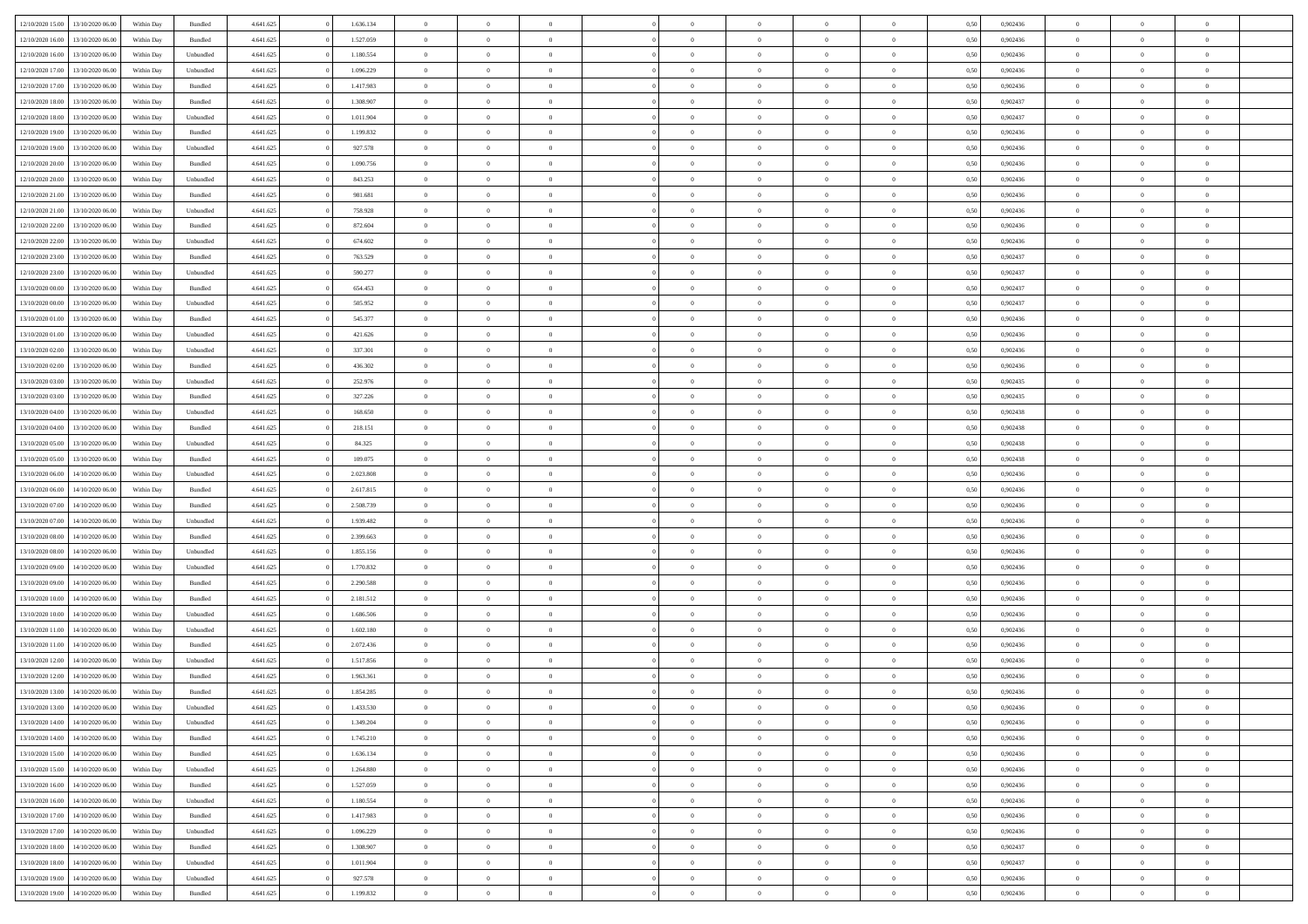|                  | 13/10/2020 06:00 | Within Dav | Bundled   | 4.641.625 | 1.636.134 | $\overline{0}$ | $\theta$       |                | $\Omega$       | $\Omega$       | $\theta$       | $\theta$       | 0.50 | 0,902436 | $\theta$       | $\theta$       | $\overline{0}$ |  |
|------------------|------------------|------------|-----------|-----------|-----------|----------------|----------------|----------------|----------------|----------------|----------------|----------------|------|----------|----------------|----------------|----------------|--|
| 12/10/2020 15:00 |                  |            |           |           |           |                |                |                |                |                |                |                |      |          |                |                |                |  |
| 12/10/2020 16:00 | 13/10/2020 06.00 | Within Day | Bundled   | 4.641.625 | 1.527.059 | $\overline{0}$ | $\theta$       | $\overline{0}$ | $\overline{0}$ | $\bf{0}$       | $\overline{0}$ | $\bf{0}$       | 0,50 | 0,902436 | $\theta$       | $\overline{0}$ | $\overline{0}$ |  |
| 12/10/2020 16:00 | 13/10/2020 06:00 | Within Day | Unbundled | 4.641.625 | 1.180.554 | $\overline{0}$ | $\bf{0}$       | $\overline{0}$ | $\bf{0}$       | $\bf{0}$       | $\bf{0}$       | $\mathbf{0}$   | 0,50 | 0,902436 | $\overline{0}$ | $\overline{0}$ | $\overline{0}$ |  |
|                  |                  |            |           |           |           |                |                |                |                |                |                |                |      |          | $\theta$       |                |                |  |
| 12/10/2020 17:00 | 13/10/2020 06:00 | Within Dav | Unbundled | 4.641.625 | 1.096.229 | $\overline{0}$ | $\overline{0}$ | $\overline{0}$ | $\overline{0}$ | $\bf{0}$       | $\overline{0}$ | $\overline{0}$ | 0.50 | 0,902436 |                | $\overline{0}$ | $\overline{0}$ |  |
| 12/10/2020 17:00 | 13/10/2020 06.00 | Within Day | Bundled   | 4.641.625 | 1.417.983 | $\overline{0}$ | $\theta$       | $\overline{0}$ | $\overline{0}$ | $\bf{0}$       | $\overline{0}$ | $\bf{0}$       | 0,50 | 0,902436 | $\,$ 0 $\,$    | $\overline{0}$ | $\overline{0}$ |  |
| 12/10/2020 18:00 | 13/10/2020 06:00 | Within Day | Bundled   | 4.641.625 | 1.308.907 | $\overline{0}$ | $\overline{0}$ | $\overline{0}$ | $\bf{0}$       | $\overline{0}$ | $\overline{0}$ | $\mathbf{0}$   | 0,50 | 0,902437 | $\overline{0}$ | $\overline{0}$ | $\bf{0}$       |  |
| 12/10/2020 18:00 | 13/10/2020 06:00 | Within Dav | Unbundled | 4.641.625 | 1.011.904 | $\overline{0}$ | $\overline{0}$ | $\overline{0}$ | $\overline{0}$ | $\overline{0}$ | $\overline{0}$ | $\overline{0}$ | 0.50 | 0,902437 | $\theta$       | $\overline{0}$ | $\overline{0}$ |  |
|                  |                  |            |           |           |           |                |                |                |                |                |                |                |      |          |                |                |                |  |
| 12/10/2020 19:00 | 13/10/2020 06.00 | Within Day | Bundled   | 4.641.625 | 1.199.832 | $\overline{0}$ | $\theta$       | $\overline{0}$ | $\overline{0}$ | $\bf{0}$       | $\overline{0}$ | $\bf{0}$       | 0,50 | 0,902436 | $\theta$       | $\theta$       | $\overline{0}$ |  |
| 12/10/2020 19:00 | 13/10/2020 06:00 | Within Day | Unbundled | 4.641.625 | 927.578   | $\overline{0}$ | $\overline{0}$ | $\overline{0}$ | $\bf{0}$       | $\bf{0}$       | $\bf{0}$       | $\bf{0}$       | 0,50 | 0,902436 | $\,0\,$        | $\overline{0}$ | $\overline{0}$ |  |
| 12/10/2020 20:00 | 13/10/2020 06:00 | Within Dav | Bundled   | 4.641.625 | 1.090.756 | $\overline{0}$ | $\overline{0}$ | $\overline{0}$ | $\overline{0}$ | $\overline{0}$ | $\overline{0}$ | $\overline{0}$ | 0.50 | 0,902436 | $\theta$       | $\overline{0}$ | $\overline{0}$ |  |
|                  |                  |            |           |           |           |                |                |                |                |                |                |                |      |          |                |                |                |  |
| 12/10/2020 20:00 | 13/10/2020 06.00 | Within Day | Unbundled | 4.641.625 | 843.253   | $\overline{0}$ | $\theta$       | $\overline{0}$ | $\overline{0}$ | $\bf{0}$       | $\overline{0}$ | $\bf{0}$       | 0,50 | 0,902436 | $\,$ 0 $\,$    | $\overline{0}$ | $\overline{0}$ |  |
| 12/10/2020 21.00 | 13/10/2020 06:00 | Within Day | Bundled   | 4.641.625 | 981.681   | $\overline{0}$ | $\bf{0}$       | $\overline{0}$ | $\bf{0}$       | $\bf{0}$       | $\bf{0}$       | $\mathbf{0}$   | 0,50 | 0,902436 | $\overline{0}$ | $\overline{0}$ | $\bf{0}$       |  |
| 12/10/2020 21:00 | 13/10/2020 06:00 | Within Day | Unbundled | 4.641.625 | 758.928   | $\overline{0}$ | $\overline{0}$ | $\overline{0}$ | $\overline{0}$ | $\bf{0}$       | $\overline{0}$ | $\overline{0}$ | 0.50 | 0,902436 | $\theta$       | $\theta$       | $\overline{0}$ |  |
|                  |                  |            |           |           |           |                |                |                |                |                |                |                |      |          |                |                |                |  |
| 12/10/2020 22.00 | 13/10/2020 06.00 | Within Day | Bundled   | 4.641.625 | 872.604   | $\overline{0}$ | $\theta$       | $\overline{0}$ | $\overline{0}$ | $\bf{0}$       | $\overline{0}$ | $\bf{0}$       | 0,50 | 0,902436 | $\theta$       | $\overline{0}$ | $\overline{0}$ |  |
| 12/10/2020 22:00 | 13/10/2020 06:00 | Within Day | Unbundled | 4.641.625 | 674.602   | $\overline{0}$ | $\overline{0}$ | $\overline{0}$ | $\bf{0}$       | $\overline{0}$ | $\overline{0}$ | $\mathbf{0}$   | 0,50 | 0,902436 | $\overline{0}$ | $\overline{0}$ | $\bf{0}$       |  |
| 12/10/2020 23:00 | 13/10/2020 06:00 | Within Dav | Bundled   | 4.641.625 | 763.529   | $\overline{0}$ | $\overline{0}$ | $\overline{0}$ | $\overline{0}$ | $\overline{0}$ | $\overline{0}$ | $\overline{0}$ | 0.50 | 0,902437 | $\theta$       | $\overline{0}$ | $\overline{0}$ |  |
| 12/10/2020 23:00 | 13/10/2020 06.00 | Within Day | Unbundled | 4.641.625 | 590.277   | $\overline{0}$ | $\theta$       | $\overline{0}$ | $\overline{0}$ | $\bf{0}$       | $\overline{0}$ | $\bf{0}$       | 0,50 | 0,902437 | $\,$ 0 $\,$    | $\overline{0}$ | $\overline{0}$ |  |
|                  |                  |            |           |           |           |                |                |                |                |                |                |                |      |          |                |                |                |  |
| 13/10/2020 00.00 | 13/10/2020 06.00 | Within Day | Bundled   | 4.641.625 | 654.453   | $\overline{0}$ | $\overline{0}$ | $\overline{0}$ | $\overline{0}$ | $\bf{0}$       | $\overline{0}$ | $\mathbf{0}$   | 0,50 | 0,902437 | $\bf{0}$       | $\overline{0}$ | $\overline{0}$ |  |
| 13/10/2020 00:00 | 13/10/2020 06:00 | Within Day | Unbundled | 4.641.625 | 505.952   | $\overline{0}$ | $\overline{0}$ | $\overline{0}$ | $\overline{0}$ | $\overline{0}$ | $\overline{0}$ | $\overline{0}$ | 0.50 | 0,902437 | $\theta$       | $\overline{0}$ | $\overline{0}$ |  |
| 13/10/2020 01:00 | 13/10/2020 06.00 | Within Day | Bundled   | 4.641.625 | 545.377   | $\overline{0}$ | $\theta$       | $\overline{0}$ | $\overline{0}$ | $\bf{0}$       | $\overline{0}$ | $\bf{0}$       | 0,50 | 0,902436 | $\,$ 0 $\,$    | $\overline{0}$ | $\overline{0}$ |  |
|                  |                  |            |           |           |           |                |                |                |                |                |                |                |      |          |                |                |                |  |
| 13/10/2020 01.00 | 13/10/2020 06:00 | Within Day | Unbundled | 4.641.625 | 421.626   | $\overline{0}$ | $\overline{0}$ | $\overline{0}$ | $\overline{0}$ | $\bf{0}$       | $\overline{0}$ | $\bf{0}$       | 0,50 | 0,902436 | $\bf{0}$       | $\overline{0}$ | $\bf{0}$       |  |
| 13/10/2020 02:00 | 13/10/2020 06:00 | Within Day | Unbundled | 4.641.625 | 337.301   | $\overline{0}$ | $\overline{0}$ | $\overline{0}$ | $\overline{0}$ | $\overline{0}$ | $\overline{0}$ | $\overline{0}$ | 0.50 | 0,902436 | $\theta$       | $\overline{0}$ | $\overline{0}$ |  |
| 13/10/2020 02:00 | 13/10/2020 06.00 | Within Day | Bundled   | 4.641.625 | 436.302   | $\overline{0}$ | $\theta$       | $\overline{0}$ | $\overline{0}$ | $\bf{0}$       | $\overline{0}$ | $\bf{0}$       | 0,50 | 0,902436 | $\,$ 0 $\,$    | $\overline{0}$ | $\overline{0}$ |  |
| 13/10/2020 03:00 | 13/10/2020 06:00 | Within Day | Unbundled | 4.641.625 | 252.976   | $\overline{0}$ | $\overline{0}$ | $\overline{0}$ | $\overline{0}$ | $\overline{0}$ | $\overline{0}$ | $\mathbf{0}$   | 0,50 | 0,902435 | $\overline{0}$ | $\overline{0}$ | $\bf{0}$       |  |
|                  |                  |            |           |           |           |                |                |                |                |                |                |                |      |          |                |                |                |  |
| 13/10/2020 03:00 | 13/10/2020 06:00 | Within Dav | Bundled   | 4.641.625 | 327.226   | $\overline{0}$ | $\overline{0}$ | $\overline{0}$ | $\overline{0}$ | $\overline{0}$ | $\overline{0}$ | $\overline{0}$ | 0.50 | 0,902435 | $\theta$       | $\overline{0}$ | $\overline{0}$ |  |
| 13/10/2020 04:00 | 13/10/2020 06.00 | Within Day | Unbundled | 4.641.625 | 168.650   | $\overline{0}$ | $\theta$       | $\overline{0}$ | $\overline{0}$ | $\bf{0}$       | $\overline{0}$ | $\bf{0}$       | 0,50 | 0,902438 | $\theta$       | $\overline{0}$ | $\overline{0}$ |  |
| 13/10/2020 04:00 | 13/10/2020 06:00 | Within Day | Bundled   | 4.641.625 | 218.151   | $\overline{0}$ | $\overline{0}$ | $\overline{0}$ | $\bf{0}$       | $\bf{0}$       | $\bf{0}$       | $\bf{0}$       | 0,50 | 0,902438 | $\,0\,$        | $\overline{0}$ | $\overline{0}$ |  |
| 13/10/2020 05:00 | 13/10/2020 06:00 |            | Unbundled | 4.641.625 | 84.325    | $\overline{0}$ | $\overline{0}$ | $\overline{0}$ | $\overline{0}$ | $\overline{0}$ | $\overline{0}$ | $\overline{0}$ | 0.50 | 0,902438 | $\theta$       | $\overline{0}$ | $\overline{0}$ |  |
|                  |                  | Within Day |           |           |           |                |                |                |                |                |                |                |      |          |                |                |                |  |
| 13/10/2020 05:00 | 13/10/2020 06.00 | Within Day | Bundled   | 4.641.625 | 109.075   | $\overline{0}$ | $\theta$       | $\overline{0}$ | $\overline{0}$ | $\bf{0}$       | $\overline{0}$ | $\bf{0}$       | 0,50 | 0,902438 | $\,$ 0 $\,$    | $\overline{0}$ | $\overline{0}$ |  |
| 13/10/2020 06.00 | 14/10/2020 06.00 | Within Day | Unbundled | 4.641.625 | 2.023.808 | $\overline{0}$ | $\overline{0}$ | $\overline{0}$ | $\bf{0}$       | $\bf{0}$       | $\bf{0}$       | $\bf{0}$       | 0,50 | 0,902436 | $\overline{0}$ | $\overline{0}$ | $\bf{0}$       |  |
| 13/10/2020 06.00 | 14/10/2020 06.00 | Within Day | Bundled   | 4.641.625 | 2.617.815 | $\overline{0}$ | $\Omega$       | $\overline{0}$ | $\Omega$       | $\Omega$       | $\overline{0}$ | $\overline{0}$ | 0,50 | 0.902436 | $\,0\,$        | $\theta$       | $\theta$       |  |
|                  |                  |            |           |           |           |                |                |                |                |                |                |                |      |          |                |                |                |  |
| 13/10/2020 07.00 | 14/10/2020 06.00 | Within Day | Bundled   | 4.641.625 | 2.508.739 | $\overline{0}$ | $\theta$       | $\overline{0}$ | $\overline{0}$ | $\bf{0}$       | $\overline{0}$ | $\bf{0}$       | 0,50 | 0,902436 | $\,$ 0 $\,$    | $\overline{0}$ | $\overline{0}$ |  |
| 13/10/2020 07.00 | 14/10/2020 06.00 | Within Day | Unbundled | 4.641.625 | 1.939.482 | $\overline{0}$ | $\overline{0}$ | $\overline{0}$ | $\bf{0}$       | $\overline{0}$ | $\overline{0}$ | $\mathbf{0}$   | 0,50 | 0,902436 | $\overline{0}$ | $\overline{0}$ | $\bf{0}$       |  |
| 13/10/2020 08:00 | 14/10/2020 06.00 | Within Day | Bundled   | 4.641.625 | 2.399.663 | $\overline{0}$ | $\Omega$       | $\Omega$       | $\Omega$       | $\overline{0}$ | $\overline{0}$ | $\overline{0}$ | 0.50 | 0.902436 | $\,0\,$        | $\theta$       | $\theta$       |  |
| 13/10/2020 08:00 | 14/10/2020 06.00 | Within Day | Unbundled | 4.641.625 | 1.855.156 | $\overline{0}$ | $\theta$       | $\overline{0}$ | $\overline{0}$ | $\bf{0}$       | $\overline{0}$ | $\bf{0}$       | 0,50 | 0,902436 | $\,$ 0 $\,$    | $\overline{0}$ | $\overline{0}$ |  |
|                  |                  |            |           |           |           |                |                |                |                |                |                |                |      |          |                |                |                |  |
| 13/10/2020 09:00 | 14/10/2020 06.00 | Within Day | Unbundled | 4.641.625 | 1.770.832 | $\overline{0}$ | $\overline{0}$ | $\overline{0}$ | $\overline{0}$ | $\bf{0}$       | $\overline{0}$ | $\bf{0}$       | 0,50 | 0,902436 | $\bf{0}$       | $\overline{0}$ | $\bf{0}$       |  |
| 13/10/2020 09:00 | 14/10/2020 06:00 | Within Day | Bundled   | 4.641.625 | 2.290.588 | $\overline{0}$ | $\Omega$       | $\overline{0}$ | $\Omega$       | $\overline{0}$ | $\overline{0}$ | $\overline{0}$ | 0.50 | 0.902436 | $\,$ 0 $\,$    | $\theta$       | $\theta$       |  |
| 13/10/2020 10:00 | 14/10/2020 06.00 | Within Day | Bundled   | 4.641.625 | 2.181.512 | $\overline{0}$ | $\overline{0}$ | $\overline{0}$ | $\overline{0}$ | $\,$ 0         | $\overline{0}$ | $\bf{0}$       | 0,50 | 0,902436 | $\,$ 0 $\,$    | $\overline{0}$ | $\overline{0}$ |  |
|                  |                  |            |           |           |           |                |                |                |                |                |                |                |      |          |                |                |                |  |
| 13/10/2020 10:00 | 14/10/2020 06.00 | Within Day | Unbundled | 4.641.625 | 1.686.506 | $\overline{0}$ | $\bf{0}$       | $\overline{0}$ | $\overline{0}$ | $\bf{0}$       | $\overline{0}$ | $\mathbf{0}$   | 0,50 | 0,902436 | $\bf{0}$       | $\overline{0}$ | $\bf{0}$       |  |
| 13/10/2020 11:00 | 14/10/2020 06.00 | Within Day | Unbundled | 4.641.625 | 1.602.180 | $\overline{0}$ | $\Omega$       | $\overline{0}$ | $\Omega$       | $\overline{0}$ | $\overline{0}$ | $\overline{0}$ | 0,50 | 0,902436 | $\,0\,$        | $\theta$       | $\theta$       |  |
| 13/10/2020 11:00 | 14/10/2020 06.00 | Within Day | Bundled   | 4.641.625 | 2.072.436 | $\overline{0}$ | $\overline{0}$ | $\overline{0}$ | $\overline{0}$ | $\,$ 0         | $\overline{0}$ | $\bf{0}$       | 0,50 | 0,902436 | $\,$ 0 $\,$    | $\overline{0}$ | $\overline{0}$ |  |
| 13/10/2020 12:00 | 14/10/2020 06.00 | Within Day | Unbundled | 4.641.625 | 1.517.856 | $\overline{0}$ | $\overline{0}$ | $\overline{0}$ | $\bf{0}$       | $\bf{0}$       | $\overline{0}$ | $\mathbf{0}$   | 0,50 | 0,902436 | $\bf{0}$       | $\overline{0}$ | $\bf{0}$       |  |
|                  |                  |            |           |           |           |                |                |                |                |                |                |                |      |          |                |                |                |  |
| 13/10/2020 12:00 | 14/10/2020 06.00 | Within Day | Bundled   | 4.641.625 | 1.963.361 | $\overline{0}$ | $\Omega$       | $\Omega$       | $\Omega$       | $\Omega$       | $\overline{0}$ | $\overline{0}$ | 0.50 | 0.902436 | $\theta$       | $\theta$       | $\theta$       |  |
| 13/10/2020 13:00 | 14/10/2020 06.00 | Within Day | Bundled   | 4.641.625 | 1.854.285 | $\overline{0}$ | $\overline{0}$ | $\overline{0}$ | $\bf{0}$       | $\,$ 0         | $\bf{0}$       | $\bf{0}$       | 0,50 | 0,902436 | $\,0\,$        | $\,0\,$        | $\overline{0}$ |  |
| 13/10/2020 13:00 | 14/10/2020 06.00 | Within Day | Unbundled | 4.641.625 | 1.433.530 | $\bf{0}$       | $\bf{0}$       |                |                |                |                |                | 0,50 | 0,902436 | $\bf{0}$       | $\overline{0}$ |                |  |
| 13/10/2020 14:00 | 14/10/2020 06:00 |            |           | 4.641.625 | 1.349.204 | $\overline{0}$ | $\overline{0}$ | $\overline{0}$ | $\Omega$       | $\theta$       | $\overline{0}$ | $\overline{0}$ |      | 0.902436 | $\theta$       | $\theta$       | $\theta$       |  |
|                  |                  | Within Day | Unbundled |           |           |                |                |                |                |                |                |                | 0,50 |          |                |                |                |  |
| 13/10/2020 14:00 | 14/10/2020 06.00 | Within Day | Bundled   | 4.641.625 | 1.745.210 | $\overline{0}$ | $\,$ 0         | $\overline{0}$ | $\bf{0}$       | $\,$ 0 $\,$    | $\overline{0}$ | $\mathbf{0}$   | 0,50 | 0,902436 | $\,$ 0 $\,$    | $\,$ 0 $\,$    | $\,$ 0         |  |
| 13/10/2020 15:00 | 14/10/2020 06.00 | Within Day | Bundled   | 4.641.625 | 1.636.134 | $\overline{0}$ | $\overline{0}$ | $\overline{0}$ | $\overline{0}$ | $\overline{0}$ | $\overline{0}$ | $\mathbf{0}$   | 0,50 | 0,902436 | $\overline{0}$ | $\bf{0}$       | $\bf{0}$       |  |
| 13/10/2020 15:00 | 14/10/2020 06.00 | Within Day | Unbundled | 4.641.625 | 1.264.880 | $\overline{0}$ | $\overline{0}$ | $\overline{0}$ | $\Omega$       | $\overline{0}$ | $\overline{0}$ | $\bf{0}$       | 0,50 | 0,902436 | $\overline{0}$ | $\theta$       | $\overline{0}$ |  |
|                  |                  |            |           |           |           |                |                |                |                |                |                |                |      |          |                |                |                |  |
| 13/10/2020 16:00 | 14/10/2020 06.00 | Within Day | Bundled   | 4.641.625 | 1.527.059 | $\overline{0}$ | $\,$ 0         | $\overline{0}$ | $\overline{0}$ | $\,$ 0 $\,$    | $\overline{0}$ | $\bf{0}$       | 0,50 | 0,902436 | $\,$ 0 $\,$    | $\overline{0}$ | $\overline{0}$ |  |
| 13/10/2020 16:00 | 14/10/2020 06.00 | Within Day | Unbundled | 4.641.625 | 1.180.554 | $\overline{0}$ | $\overline{0}$ | $\overline{0}$ | $\overline{0}$ | $\overline{0}$ | $\overline{0}$ | $\mathbf{0}$   | 0,50 | 0,902436 | $\overline{0}$ | $\overline{0}$ | $\bf{0}$       |  |
| 13/10/2020 17:00 | 14/10/2020 06.00 | Within Day | Bundled   | 4.641.625 | 1.417.983 | $\overline{0}$ | $\overline{0}$ | $\overline{0}$ | $\Omega$       | $\overline{0}$ | $\overline{0}$ | $\bf{0}$       | 0.50 | 0,902436 | $\overline{0}$ | $\theta$       | $\overline{0}$ |  |
| 13/10/2020 17:00 | 14/10/2020 06.00 | Within Day | Unbundled | 4.641.625 | 1.096.229 | $\overline{0}$ | $\,$ 0         | $\overline{0}$ | $\bf{0}$       | $\bf{0}$       | $\bf{0}$       | $\bf{0}$       | 0,50 | 0,902436 | $\,$ 0 $\,$    | $\overline{0}$ | $\overline{0}$ |  |
|                  |                  |            |           |           |           |                |                |                |                |                |                |                |      |          |                |                |                |  |
| 13/10/2020 18:00 | 14/10/2020 06.00 | Within Day | Bundled   | 4.641.625 | 1.308.907 | $\overline{0}$ | $\bf{0}$       | $\overline{0}$ | $\overline{0}$ | $\overline{0}$ | $\bf{0}$       | $\mathbf{0}$   | 0,50 | 0,902437 | $\overline{0}$ | $\overline{0}$ | $\bf{0}$       |  |
| 13/10/2020 18:00 | 14/10/2020 06.00 | Within Day | Unbundled | 4.641.625 | 1.011.904 | $\overline{0}$ | $\overline{0}$ | $\overline{0}$ | $\Omega$       | $\overline{0}$ | $\overline{0}$ | $\bf{0}$       | 0.50 | 0.902437 | $\overline{0}$ | $\theta$       | $\overline{0}$ |  |
| 13/10/2020 19:00 | 14/10/2020 06.00 | Within Day | Unbundled | 4.641.625 | 927.578   | $\overline{0}$ | $\bf{0}$       | $\overline{0}$ | $\overline{0}$ | $\bf{0}$       | $\bf{0}$       | $\mathbf{0}$   | 0,50 | 0,902436 | $\,$ 0 $\,$    | $\,$ 0 $\,$    | $\bf{0}$       |  |
|                  |                  |            |           |           |           |                |                |                |                |                |                |                |      |          |                |                |                |  |
| 13/10/2020 19:00 | 14/10/2020 06.00 | Within Day | Bundled   | 4.641.625 | 1.199.832 | $\overline{0}$ | $\overline{0}$ | $\overline{0}$ | $\overline{0}$ | $\bf{0}$       | $\bf{0}$       | $\mathbf{0}$   | 0,50 | 0,902436 | $\overline{0}$ | $\bf{0}$       | $\bf{0}$       |  |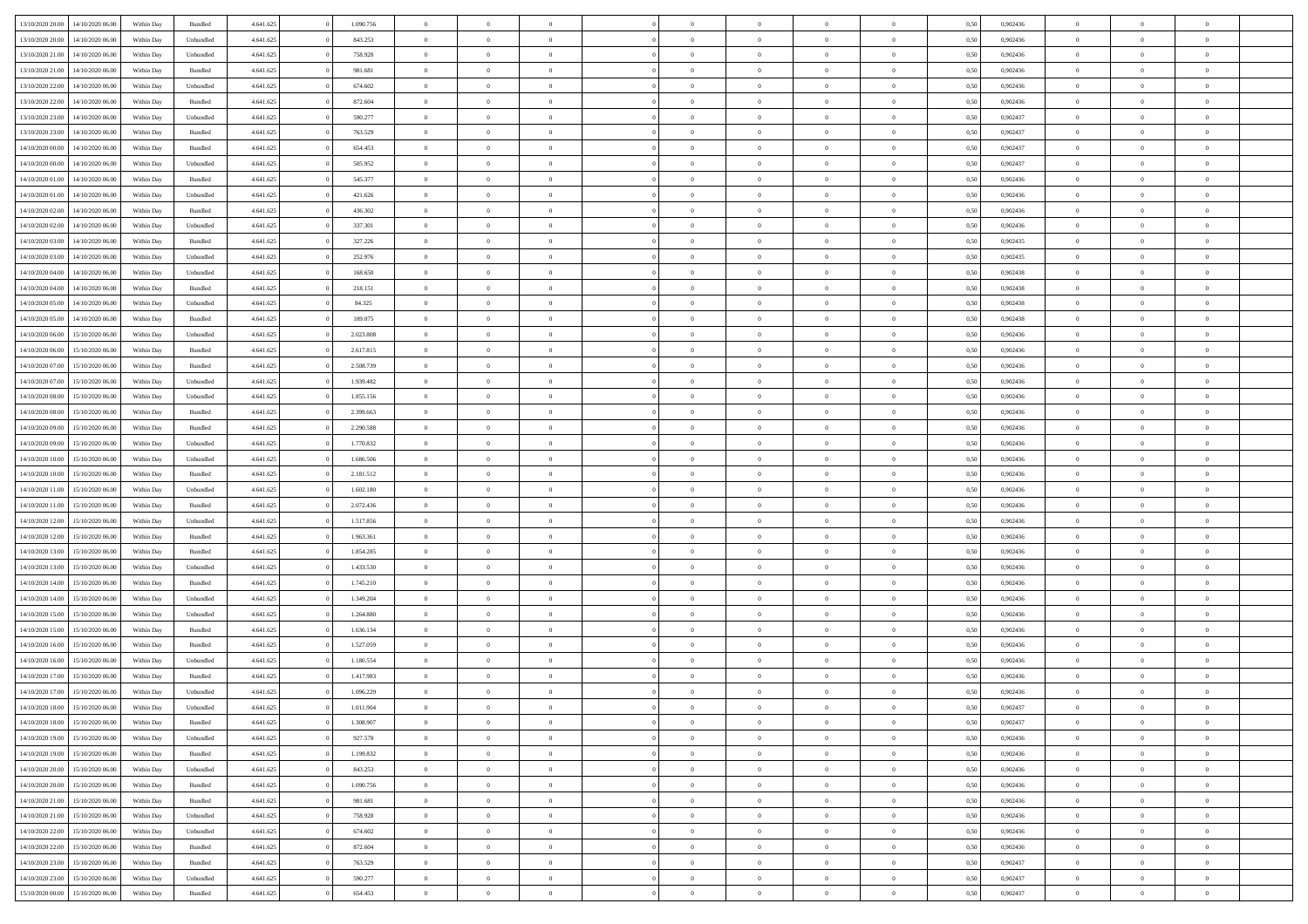| 13/10/2020 20:00 | 14/10/2020 06:00 | Within Dav | Bundled   | 4.641.625 | 1.090.756 | $\overline{0}$ | $\theta$       |                | $\Omega$       | $\Omega$       | $\theta$       | $\theta$       | 0.50 | 0,902436 | $\theta$       | $\theta$       | $\overline{0}$ |  |
|------------------|------------------|------------|-----------|-----------|-----------|----------------|----------------|----------------|----------------|----------------|----------------|----------------|------|----------|----------------|----------------|----------------|--|
| 13/10/2020 20:00 | 14/10/2020 06.00 | Within Day | Unbundled | 4.641.625 | 843.253   | $\overline{0}$ | $\theta$       | $\overline{0}$ | $\overline{0}$ | $\bf{0}$       | $\overline{0}$ | $\bf{0}$       | 0,50 | 0,902436 | $\theta$       | $\overline{0}$ | $\overline{0}$ |  |
| 13/10/2020 21:00 | 14/10/2020 06.00 | Within Day | Unbundled | 4.641.625 | 758.928   | $\overline{0}$ | $\bf{0}$       | $\overline{0}$ | $\bf{0}$       | $\bf{0}$       | $\bf{0}$       | $\mathbf{0}$   | 0,50 | 0,902436 | $\overline{0}$ | $\overline{0}$ | $\overline{0}$ |  |
|                  |                  |            |           |           |           |                |                |                |                |                |                |                |      |          |                |                |                |  |
| 13/10/2020 21:00 | 14/10/2020 06:00 | Within Dav | Bundled   | 4.641.625 | 981.681   | $\overline{0}$ | $\overline{0}$ | $\overline{0}$ | $\overline{0}$ | $\bf{0}$       | $\overline{0}$ | $\overline{0}$ | 0.50 | 0,902436 | $\theta$       | $\theta$       | $\overline{0}$ |  |
| 13/10/2020 22.00 | 14/10/2020 06.00 | Within Day | Unbundled | 4.641.625 | 674.602   | $\overline{0}$ | $\theta$       | $\overline{0}$ | $\overline{0}$ | $\bf{0}$       | $\overline{0}$ | $\bf{0}$       | 0,50 | 0,902436 | $\,$ 0 $\,$    | $\overline{0}$ | $\overline{0}$ |  |
| 13/10/2020 22.00 | 14/10/2020 06.00 | Within Day | Bundled   | 4.641.625 | 872.604   | $\overline{0}$ | $\overline{0}$ | $\overline{0}$ | $\bf{0}$       | $\overline{0}$ | $\overline{0}$ | $\mathbf{0}$   | 0,50 | 0,902436 | $\overline{0}$ | $\overline{0}$ | $\bf{0}$       |  |
| 13/10/2020 23:00 | 14/10/2020 06.00 | Within Dav | Unbundled | 4.641.625 | 590.277   | $\overline{0}$ | $\overline{0}$ | $\overline{0}$ | $\overline{0}$ | $\overline{0}$ | $\overline{0}$ | $\overline{0}$ | 0.50 | 0,902437 | $\theta$       | $\overline{0}$ | $\overline{0}$ |  |
|                  |                  |            |           |           |           |                |                |                |                |                |                |                |      |          |                |                |                |  |
| 13/10/2020 23.00 | 14/10/2020 06.00 | Within Day | Bundled   | 4.641.625 | 763.529   | $\overline{0}$ | $\theta$       | $\overline{0}$ | $\overline{0}$ | $\bf{0}$       | $\overline{0}$ | $\bf{0}$       | 0,50 | 0,902437 | $\theta$       | $\theta$       | $\overline{0}$ |  |
| 14/10/2020 00:00 | 14/10/2020 06.00 | Within Day | Bundled   | 4.641.625 | 654.453   | $\overline{0}$ | $\overline{0}$ | $\overline{0}$ | $\bf{0}$       | $\bf{0}$       | $\bf{0}$       | $\bf{0}$       | 0,50 | 0,902437 | $\,0\,$        | $\overline{0}$ | $\overline{0}$ |  |
| 14/10/2020 00:00 | 14/10/2020 06.00 | Within Dav | Unbundled | 4.641.625 | 505.952   | $\overline{0}$ | $\overline{0}$ | $\overline{0}$ | $\overline{0}$ | $\overline{0}$ | $\overline{0}$ | $\overline{0}$ | 0.50 | 0,902437 | $\theta$       | $\overline{0}$ | $\overline{0}$ |  |
| 14/10/2020 01:00 | 14/10/2020 06.00 | Within Day | Bundled   | 4.641.625 | 545.377   | $\overline{0}$ | $\theta$       | $\overline{0}$ | $\overline{0}$ | $\bf{0}$       | $\overline{0}$ |                |      | 0,902436 | $\,$ 0 $\,$    | $\overline{0}$ | $\overline{0}$ |  |
|                  |                  |            |           |           |           |                |                |                |                |                |                | $\bf{0}$       | 0,50 |          |                |                |                |  |
| 14/10/2020 01.00 | 14/10/2020 06.00 | Within Day | Unbundled | 4.641.625 | 421.626   | $\overline{0}$ | $\bf{0}$       | $\overline{0}$ | $\bf{0}$       | $\bf{0}$       | $\bf{0}$       | $\mathbf{0}$   | 0,50 | 0,902436 | $\overline{0}$ | $\overline{0}$ | $\bf{0}$       |  |
| 14/10/2020 02.00 | 14/10/2020 06:00 | Within Day | Bundled   | 4.641.625 | 436.302   | $\overline{0}$ | $\overline{0}$ | $\overline{0}$ | $\overline{0}$ | $\bf{0}$       | $\overline{0}$ | $\overline{0}$ | 0.50 | 0,902436 | $\theta$       | $\theta$       | $\overline{0}$ |  |
| 14/10/2020 02.00 | 14/10/2020 06.00 | Within Day | Unbundled | 4.641.625 | 337.301   | $\overline{0}$ | $\theta$       | $\overline{0}$ | $\overline{0}$ | $\bf{0}$       | $\overline{0}$ | $\bf{0}$       | 0,50 | 0,902436 | $\theta$       | $\overline{0}$ | $\overline{0}$ |  |
|                  |                  |            |           |           |           |                |                |                |                |                |                |                |      |          |                |                |                |  |
| 14/10/2020 03:00 | 14/10/2020 06.00 | Within Day | Bundled   | 4.641.625 | 327.226   | $\overline{0}$ | $\overline{0}$ | $\overline{0}$ | $\bf{0}$       | $\overline{0}$ | $\overline{0}$ | $\mathbf{0}$   | 0,50 | 0,902435 | $\bf{0}$       | $\overline{0}$ | $\bf{0}$       |  |
| 14/10/2020 03:00 | 14/10/2020 06.00 | Within Dav | Unbundled | 4.641.625 | 252.976   | $\overline{0}$ | $\overline{0}$ | $\overline{0}$ | $\overline{0}$ | $\overline{0}$ | $\overline{0}$ | $\overline{0}$ | 0.50 | 0,902435 | $\theta$       | $\overline{0}$ | $\overline{0}$ |  |
| 14/10/2020 04:00 | 14/10/2020 06.00 | Within Day | Unbundled | 4.641.625 | 168.650   | $\overline{0}$ | $\theta$       | $\overline{0}$ | $\overline{0}$ | $\bf{0}$       | $\overline{0}$ | $\bf{0}$       | 0,50 | 0,902438 | $\,$ 0 $\,$    | $\overline{0}$ | $\overline{0}$ |  |
| 14/10/2020 04.00 | 14/10/2020 06.00 | Within Day | Bundled   | 4.641.625 | 218.151   | $\overline{0}$ | $\overline{0}$ | $\overline{0}$ | $\bf{0}$       | $\bf{0}$       | $\bf{0}$       | $\bf{0}$       | 0,50 | 0,902438 | $\bf{0}$       | $\overline{0}$ | $\overline{0}$ |  |
|                  | 14/10/2020 06:00 |            | Unbundled | 4.641.625 | 84.325    | $\overline{0}$ | $\overline{0}$ | $\overline{0}$ | $\overline{0}$ | $\overline{0}$ | $\overline{0}$ | $\overline{0}$ | 0.50 | 0,902438 | $\theta$       | $\overline{0}$ | $\overline{0}$ |  |
| 14/10/2020 05:00 |                  | Within Day |           |           |           |                |                |                |                |                |                |                |      |          |                |                |                |  |
| 14/10/2020 05:00 | 14/10/2020 06.00 | Within Day | Bundled   | 4.641.625 | 109.075   | $\overline{0}$ | $\theta$       | $\overline{0}$ | $\overline{0}$ | $\bf{0}$       | $\overline{0}$ | $\bf{0}$       | 0,50 | 0,902438 | $\,$ 0 $\,$    | $\overline{0}$ | $\overline{0}$ |  |
| 14/10/2020 06.00 | 15/10/2020 06.00 | Within Day | Unbundled | 4.641.625 | 2.023.808 | $\overline{0}$ | $\overline{0}$ | $\overline{0}$ | $\bf{0}$       | $\bf{0}$       | $\bf{0}$       | $\bf{0}$       | 0,50 | 0,902436 | $\bf{0}$       | $\overline{0}$ | $\bf{0}$       |  |
| 14/10/2020 06:00 | 15/10/2020 06:00 | Within Day | Bundled   | 4.641.625 | 2.617.815 | $\overline{0}$ | $\overline{0}$ | $\overline{0}$ | $\overline{0}$ | $\overline{0}$ | $\overline{0}$ | $\overline{0}$ | 0.50 | 0,902436 | $\theta$       | $\overline{0}$ | $\overline{0}$ |  |
|                  |                  |            |           |           |           | $\overline{0}$ | $\theta$       |                |                | $\bf{0}$       |                |                |      |          |                |                |                |  |
| 14/10/2020 07:00 | 15/10/2020 06.00 | Within Day | Bundled   | 4.641.625 | 2.508.739 |                |                | $\overline{0}$ | $\overline{0}$ |                | $\overline{0}$ | $\bf{0}$       | 0,50 | 0,902436 | $\,$ 0 $\,$    | $\overline{0}$ | $\overline{0}$ |  |
| 14/10/2020 07.00 | 15/10/2020 06.00 | Within Day | Unbundled | 4.641.625 | 1.939.482 | $\overline{0}$ | $\overline{0}$ | $\overline{0}$ | $\bf{0}$       | $\overline{0}$ | $\overline{0}$ | $\mathbf{0}$   | 0,50 | 0,902436 | $\bf{0}$       | $\overline{0}$ | $\bf{0}$       |  |
| 14/10/2020 08:00 | 15/10/2020 06.00 | Within Dav | Unbundled | 4.641.625 | 1.855.156 | $\overline{0}$ | $\overline{0}$ | $\overline{0}$ | $\overline{0}$ | $\overline{0}$ | $\overline{0}$ | $\overline{0}$ | 0.50 | 0,902436 | $\overline{0}$ | $\overline{0}$ | $\overline{0}$ |  |
| 14/10/2020 08:00 | 15/10/2020 06.00 | Within Day | Bundled   | 4.641.625 | 2.399.663 | $\overline{0}$ | $\theta$       | $\overline{0}$ | $\overline{0}$ | $\bf{0}$       | $\overline{0}$ | $\bf{0}$       | 0,50 | 0,902436 | $\theta$       | $\theta$       | $\overline{0}$ |  |
|                  |                  |            |           |           |           |                |                |                |                |                |                |                |      |          |                |                |                |  |
| 14/10/2020 09:00 | 15/10/2020 06.00 | Within Day | Bundled   | 4.641.625 | 2.290.588 | $\overline{0}$ | $\overline{0}$ | $\overline{0}$ | $\bf{0}$       | $\bf{0}$       | $\bf{0}$       | $\bf{0}$       | 0,50 | 0,902436 | $\,0\,$        | $\overline{0}$ | $\overline{0}$ |  |
| 14/10/2020 09:00 | 15/10/2020 06:00 | Within Day | Unbundled | 4.641.625 | 1.770.832 | $\overline{0}$ | $\overline{0}$ | $\overline{0}$ | $\overline{0}$ | $\overline{0}$ | $\overline{0}$ | $\overline{0}$ | 0.50 | 0,902436 | $\theta$       | $\overline{0}$ | $\overline{0}$ |  |
| 14/10/2020 10:00 | 15/10/2020 06.00 | Within Day | Unbundled | 4.641.625 | 1.686.506 | $\overline{0}$ | $\theta$       | $\overline{0}$ | $\overline{0}$ | $\bf{0}$       | $\overline{0}$ | $\bf{0}$       | 0,50 | 0,902436 | $\,$ 0 $\,$    | $\overline{0}$ | $\overline{0}$ |  |
| 14/10/2020 10.00 | 15/10/2020 06:00 | Within Day | Bundled   | 4.641.625 | 2.181.512 | $\overline{0}$ | $\overline{0}$ | $\overline{0}$ | $\bf{0}$       | $\bf{0}$       | $\bf{0}$       | $\bf{0}$       | 0,50 | 0,902436 | $\bf{0}$       | $\overline{0}$ | $\bf{0}$       |  |
|                  |                  |            |           |           |           |                |                |                |                |                |                |                |      |          |                |                | $\theta$       |  |
| 14/10/2020 11:00 | 15/10/2020 06.00 | Within Day | Unbundled | 4.641.625 | 1.602.180 | $\bf{0}$       | $\Omega$       | $\Omega$       | $\Omega$       | $\Omega$       | $\overline{0}$ | $\overline{0}$ | 0,50 | 0.902436 | $\,0\,$        | $\theta$       |                |  |
| 14/10/2020 11:00 | 15/10/2020 06.00 | Within Day | Bundled   | 4.641.625 | 2.072.436 | $\overline{0}$ | $\theta$       | $\overline{0}$ | $\overline{0}$ | $\bf{0}$       | $\overline{0}$ | $\bf{0}$       | 0,50 | 0,902436 | $\,$ 0 $\,$    | $\overline{0}$ | $\overline{0}$ |  |
| 14/10/2020 12:00 | 15/10/2020 06:00 | Within Day | Unbundled | 4.641.625 | 1.517.856 | $\overline{0}$ | $\overline{0}$ | $\overline{0}$ | $\bf{0}$       | $\overline{0}$ | $\overline{0}$ | $\mathbf{0}$   | 0,50 | 0,902436 | $\bf{0}$       | $\overline{0}$ | $\bf{0}$       |  |
| 14/10/2020 12:00 | 15/10/2020 06.00 | Within Day | Bundled   | 4.641.625 | 1.963.361 | $\overline{0}$ | $\Omega$       | $\Omega$       | $\Omega$       | $\overline{0}$ | $\overline{0}$ | $\overline{0}$ | 0.50 | 0.902436 | $\,0\,$        | $\theta$       | $\theta$       |  |
|                  |                  |            |           |           |           | $\overline{0}$ | $\theta$       | $\overline{0}$ |                | $\bf{0}$       | $\overline{0}$ |                |      |          |                |                | $\overline{0}$ |  |
| 14/10/2020 13:00 | 15/10/2020 06.00 | Within Day | Bundled   | 4.641.625 | 1.854.285 |                |                |                | $\overline{0}$ |                |                | $\bf{0}$       | 0,50 | 0,902436 | $\,$ 0 $\,$    | $\overline{0}$ |                |  |
| 14/10/2020 13:00 | 15/10/2020 06.00 | Within Day | Unbundled | 4.641.625 | 1.433.530 | $\overline{0}$ | $\overline{0}$ | $\overline{0}$ | $\bf{0}$       | $\bf{0}$       | $\bf{0}$       | $\bf{0}$       | 0,50 | 0,902436 | $\bf{0}$       | $\overline{0}$ | $\bf{0}$       |  |
| 14/10/2020 14:00 | 15/10/2020 06:00 | Within Day | Bundled   | 4.641.625 | 1.745.210 | $\overline{0}$ | $\Omega$       | $\Omega$       | $\Omega$       | $\overline{0}$ | $\overline{0}$ | $\overline{0}$ | 0.50 | 0.902436 | $\,$ 0 $\,$    | $\theta$       | $\theta$       |  |
| 14/10/2020 14:00 | 15/10/2020 06.00 | Within Day | Unbundled | 4.641.625 | 1.349.204 | $\overline{0}$ | $\theta$       | $\overline{0}$ | $\overline{0}$ | $\,$ 0         | $\overline{0}$ | $\bf{0}$       | 0,50 | 0,902436 | $\,$ 0 $\,$    | $\overline{0}$ | $\overline{0}$ |  |
|                  |                  |            |           |           |           |                | $\bf{0}$       |                |                | $\bf{0}$       |                |                |      |          |                | $\overline{0}$ | $\bf{0}$       |  |
| 14/10/2020 15.00 | 15/10/2020 06:00 | Within Day | Unbundled | 4.641.625 | 1.264.880 | $\overline{0}$ |                | $\overline{0}$ | $\bf{0}$       |                | $\bf{0}$       | $\bf{0}$       | 0,50 | 0,902436 | $\bf{0}$       |                |                |  |
| 14/10/2020 15:00 | 15/10/2020 06.00 | Within Day | Bundled   | 4.641.625 | 1.636.134 | $\overline{0}$ | $\Omega$       | $\overline{0}$ | $\Omega$       | $\overline{0}$ | $\overline{0}$ | $\overline{0}$ | 0,50 | 0,902436 | $\,0\,$        | $\theta$       | $\theta$       |  |
| 14/10/2020 16:00 | 15/10/2020 06.00 | Within Day | Bundled   | 4.641.625 | 1.527.059 | $\overline{0}$ | $\overline{0}$ | $\overline{0}$ | $\overline{0}$ | $\,$ 0         | $\overline{0}$ | $\bf{0}$       | 0,50 | 0,902436 | $\,$ 0 $\,$    | $\overline{0}$ | $\overline{0}$ |  |
| 14/10/2020 16.00 | 15/10/2020 06.00 | Within Day | Unbundled | 4.641.625 | 1.180.554 | $\overline{0}$ | $\overline{0}$ | $\overline{0}$ | $\bf{0}$       | $\bf{0}$       | $\overline{0}$ | $\mathbf{0}$   | 0,50 | 0,902436 | $\bf{0}$       | $\overline{0}$ | $\bf{0}$       |  |
| 14/10/2020 17.00 | 15/10/2020 06:00 |            | Bundled   | 4.641.625 | 1.417.983 | $\overline{0}$ | $\Omega$       | $\Omega$       | $\Omega$       | $\Omega$       | $\Omega$       | $\overline{0}$ | 0.50 | 0.902436 | $\theta$       | $\theta$       | $\theta$       |  |
|                  |                  | Within Day |           |           |           |                |                |                |                |                |                |                |      |          |                |                |                |  |
| 14/10/2020 17.00 | 15/10/2020 06.00 | Within Day | Unbundled | 4.641.625 | 1.096.229 | $\overline{0}$ | $\overline{0}$ | $\overline{0}$ | $\bf{0}$       | $\,$ 0         | $\bf{0}$       | $\bf{0}$       | 0,50 | 0,902436 | $\,0\,$        | $\,$ 0 $\,$    | $\overline{0}$ |  |
| 14/10/2020 18:00 | 15/10/2020 06.00 | Within Day | Unbundled | 4.641.625 | 1.011.904 | $\bf{0}$       | $\bf{0}$       |                |                | $\bf{0}$       |                |                | 0,50 | 0,902437 | $\bf{0}$       | $\overline{0}$ |                |  |
| 14/10/2020 18:00 | 15/10/2020 06:00 | Within Day | Bundled   | 4.641.625 | 1.308.907 | $\overline{0}$ | $\overline{0}$ | $\overline{0}$ | $\Omega$       | $\overline{0}$ | $\overline{0}$ | $\overline{0}$ | 0.50 | 0.902437 | $\theta$       | $\theta$       | $\theta$       |  |
| 14/10/2020 19:00 | 15/10/2020 06.00 | Within Day | Unbundled | 4.641.625 | 927.578   | $\overline{0}$ | $\,$ 0         | $\overline{0}$ | $\bf{0}$       | $\,$ 0 $\,$    | $\overline{0}$ | $\,$ 0 $\,$    | 0,50 | 0,902436 | $\,$ 0 $\,$    | $\,$ 0 $\,$    | $\,$ 0         |  |
|                  |                  |            |           |           |           |                |                |                |                |                |                |                |      |          |                |                |                |  |
| 14/10/2020 19:00 | 15/10/2020 06.00 | Within Day | Bundled   | 4.641.625 | 1.199.832 | $\overline{0}$ | $\overline{0}$ | $\overline{0}$ | $\overline{0}$ | $\overline{0}$ | $\overline{0}$ | $\mathbf{0}$   | 0,50 | 0,902436 | $\overline{0}$ | $\bf{0}$       | $\bf{0}$       |  |
| 14/10/2020 20:00 | 15/10/2020 06.00 | Within Day | Unbundled | 4.641.625 | 843.253   | $\overline{0}$ | $\overline{0}$ | $\overline{0}$ | $\Omega$       | $\overline{0}$ | $\overline{0}$ | $\bf{0}$       | 0,50 | 0,902436 | $\overline{0}$ | $\theta$       | $\overline{0}$ |  |
| 14/10/2020 20:00 | 15/10/2020 06.00 | Within Day | Bundled   | 4.641.625 | 1.090.756 | $\overline{0}$ | $\,$ 0         | $\overline{0}$ | $\overline{0}$ | $\,$ 0 $\,$    | $\overline{0}$ | $\mathbf{0}$   | 0,50 | 0,902436 | $\,$ 0 $\,$    | $\overline{0}$ | $\overline{0}$ |  |
| 14/10/2020 21.00 | 15/10/2020 06.00 | Within Day | Bundled   | 4.641.625 | 981.681   | $\overline{0}$ | $\overline{0}$ | $\overline{0}$ | $\overline{0}$ | $\overline{0}$ | $\overline{0}$ | $\mathbf{0}$   | 0,50 | 0,902436 | $\overline{0}$ | $\overline{0}$ | $\bf{0}$       |  |
|                  |                  |            |           |           |           |                |                |                |                |                |                |                |      |          |                |                |                |  |
| 14/10/2020 21:00 | 15/10/2020 06.00 | Within Day | Unbundled | 4.641.625 | 758.928   | $\overline{0}$ | $\overline{0}$ | $\overline{0}$ | $\Omega$       | $\overline{0}$ | $\overline{0}$ | $\bf{0}$       | 0.50 | 0,902436 | $\overline{0}$ | $\theta$       | $\overline{0}$ |  |
| 14/10/2020 22.00 | 15/10/2020 06.00 | Within Day | Unbundled | 4.641.625 | 674.602   | $\overline{0}$ | $\,$ 0         | $\overline{0}$ | $\bf{0}$       | $\bf{0}$       | $\bf{0}$       | $\bf{0}$       | 0,50 | 0,902436 | $\,$ 0 $\,$    | $\overline{0}$ | $\overline{0}$ |  |
| 14/10/2020 22:00 | 15/10/2020 06.00 | Within Day | Bundled   | 4.641.625 | 872.604   | $\overline{0}$ | $\bf{0}$       | $\overline{0}$ | $\overline{0}$ | $\overline{0}$ | $\overline{0}$ | $\mathbf{0}$   | 0,50 | 0,902436 | $\overline{0}$ | $\overline{0}$ | $\bf{0}$       |  |
| 14/10/2020 23.00 | 15/10/2020 06.00 | Within Day | Bundled   | 4.641.625 | 763.529   | $\overline{0}$ | $\overline{0}$ | $\overline{0}$ | $\Omega$       | $\overline{0}$ | $\overline{0}$ | $\bf{0}$       | 0.50 | 0.902437 | $\overline{0}$ | $\theta$       | $\overline{0}$ |  |
|                  |                  |            |           |           |           |                |                |                |                |                |                |                |      |          |                |                |                |  |
| 14/10/2020 23.00 | 15/10/2020 06.00 | Within Day | Unbundled | 4.641.625 | 590.277   | $\overline{0}$ | $\bf{0}$       | $\overline{0}$ | $\overline{0}$ | $\bf{0}$       | $\bf{0}$       | $\bf{0}$       | 0,50 | 0,902437 | $\,$ 0 $\,$    | $\,$ 0 $\,$    | $\bf{0}$       |  |
| 15/10/2020 00:00 | 15/10/2020 06.00 | Within Day | Bundled   | 4.641.625 | 654.453   | $\overline{0}$ | $\bf{0}$       | $\overline{0}$ | $\bf{0}$       | $\bf{0}$       | $\bf{0}$       | $\bf{0}$       | 0,50 | 0,902437 | $\overline{0}$ | $\overline{0}$ | $\bf{0}$       |  |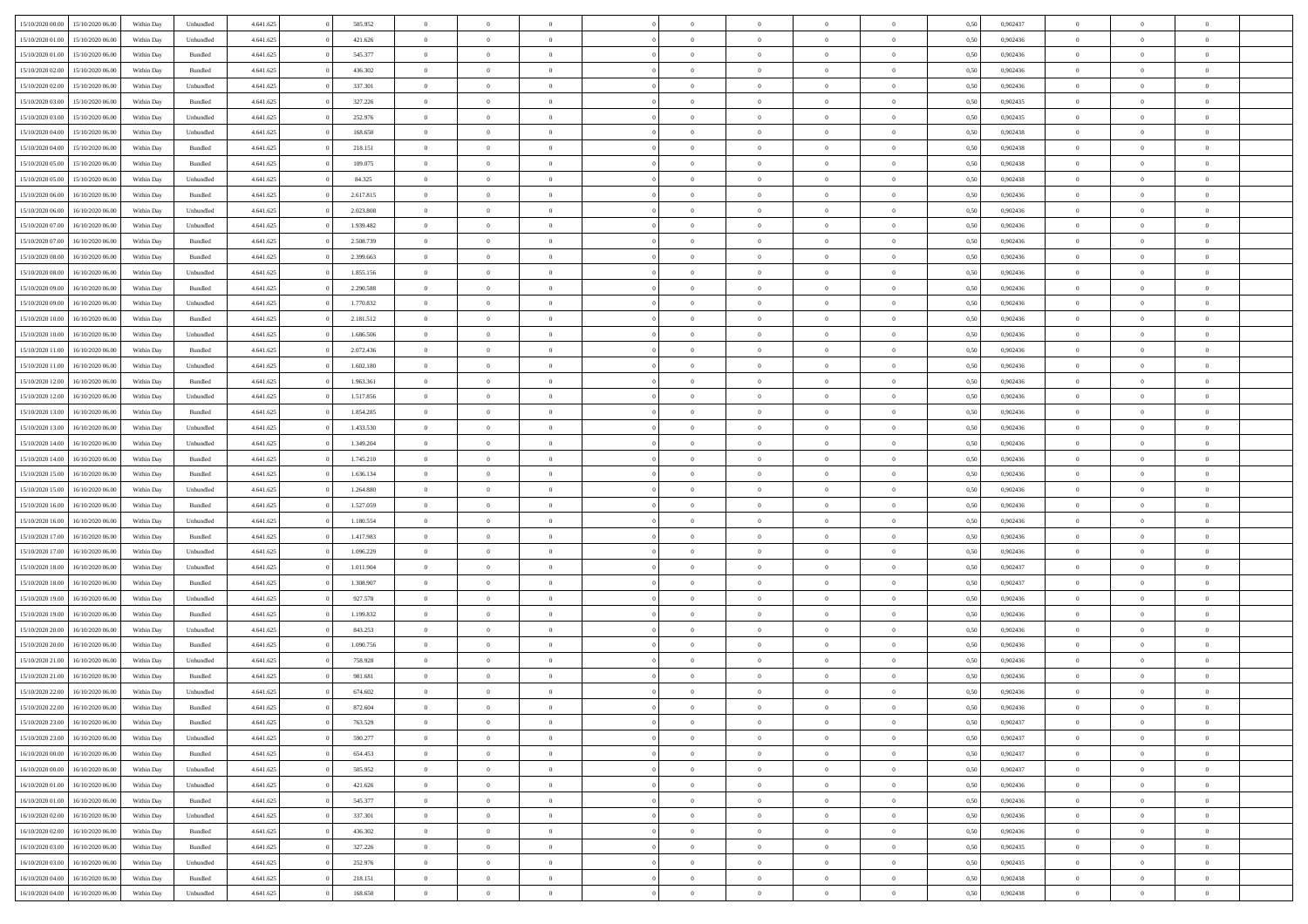| 15/10/2020 00:00                  | 15/10/2020 06:00 | Within Day | Unbundled          | 4.641.625 | 505.952   | $\overline{0}$ | $\theta$       |                | $\overline{0}$ | $\bf{0}$       | $\overline{0}$ | $\theta$       | 0,50 | 0,902437 | $\theta$       | $\theta$       | $\theta$                 |  |
|-----------------------------------|------------------|------------|--------------------|-----------|-----------|----------------|----------------|----------------|----------------|----------------|----------------|----------------|------|----------|----------------|----------------|--------------------------|--|
| 15/10/2020 01:00                  | 15/10/2020 06.00 | Within Day | Unbundled          | 4.641.625 | 421.626   | $\overline{0}$ | $\overline{0}$ | $\overline{0}$ | $\overline{0}$ | $\,$ 0         | $\bf{0}$       | $\bf{0}$       | 0,50 | 0,902436 | $\,$ 0 $\,$    | $\overline{0}$ | $\overline{0}$           |  |
|                                   |                  |            |                    |           |           |                |                |                |                |                |                |                |      |          |                |                |                          |  |
| 15/10/2020 01:00                  | 15/10/2020 06.00 | Within Day | Bundled            | 4.641.625 | 545.377   | $\overline{0}$ | $\overline{0}$ | $\overline{0}$ | $\overline{0}$ | $\bf{0}$       | $\overline{0}$ | $\overline{0}$ | 0.50 | 0.902436 | $\bf{0}$       | $\overline{0}$ | $\overline{0}$           |  |
| 15/10/2020 02.00                  | 15/10/2020 06.00 | Within Day | Bundled            | 4.641.625 | 436.302   | $\overline{0}$ | $\overline{0}$ | $\overline{0}$ | $\overline{0}$ | $\,$ 0         | $\overline{0}$ | $\overline{0}$ | 0,50 | 0,902436 | $\,$ 0 $\,$    | $\overline{0}$ | $\overline{0}$           |  |
| 15/10/2020 02.00                  | 15/10/2020 06.00 | Within Day | Unbundled          | 4.641.625 | 337.301   | $\overline{0}$ | $\theta$       | $\overline{0}$ |                | $\overline{0}$ | $\overline{0}$ | $\bf{0}$       | 0,50 | 0,902436 | $\,$ 0 $\,$    | $\overline{0}$ | $\overline{0}$           |  |
| 15/10/2020 03:00                  | 15/10/2020 06:00 | Within Day | Bundled            | 4.641.625 | 327.226   | $\overline{0}$ | $\overline{0}$ | $\overline{0}$ | $\overline{0}$ | $\bf{0}$       | $\overline{0}$ | $\overline{0}$ | 0.50 | 0.902435 | $\,0\,$        | $\theta$       | $\overline{0}$           |  |
| 15/10/2020 03:00                  | 15/10/2020 06:00 | Within Day | Unbundled          | 4.641.625 | 252.976   | $\overline{0}$ | $\overline{0}$ | $\overline{0}$ | $\overline{0}$ | $\bf{0}$       | $\overline{0}$ | $\overline{0}$ | 0,50 | 0,902435 | $\,$ 0 $\,$    | $\theta$       | $\overline{0}$           |  |
| 15/10/2020 04:00                  | 15/10/2020 06.00 | Within Day | Unbundled          | 4.641.625 | 168.650   | $\overline{0}$ | $\theta$       | $\overline{0}$ | $\overline{0}$ | $\,$ 0         | $\bf{0}$       | $\bf{0}$       | 0,50 | 0,902438 | $\,$ 0 $\,$    | $\overline{0}$ | $\overline{0}$           |  |
| 15/10/2020 04:00                  | 15/10/2020 06:00 | Within Day | Bundled            | 4.641.625 | 218.151   | $\overline{0}$ | $\overline{0}$ | $\overline{0}$ | $\overline{0}$ | $\bf{0}$       | $\overline{0}$ | $\bf{0}$       | 0.50 | 0.902438 | $\,0\,$        | $\overline{0}$ | $\overline{0}$           |  |
| 15/10/2020 05:00                  | 15/10/2020 06.00 | Within Day | Bundled            | 4.641.625 | 109.075   | $\overline{0}$ | $\overline{0}$ | $\overline{0}$ | $\overline{0}$ | $\,$ 0         | $\overline{0}$ | $\bf{0}$       | 0,50 | 0,902438 | $\,$ 0 $\,$    | $\overline{0}$ | $\overline{0}$           |  |
| 15/10/2020 05:00                  | 15/10/2020 06.00 | Within Day | Unbundled          | 4.641.625 | 84.325    | $\overline{0}$ | $\theta$       | $\overline{0}$ | $\overline{0}$ | $\,$ 0         | $\overline{0}$ | $\bf{0}$       | 0,50 | 0,902438 | $\,$ 0 $\,$    | $\overline{0}$ | $\overline{0}$           |  |
| 15/10/2020 06.00                  | 16/10/2020 06:00 | Within Day | Bundled            | 4.641.625 | 2.617.815 | $\overline{0}$ | $\overline{0}$ | $\overline{0}$ | $\overline{0}$ | $\bf{0}$       | $\overline{0}$ | $\mathbf{0}$   | 0.50 | 0.902436 | $\bf{0}$       | $\overline{0}$ | $\overline{\phantom{a}}$ |  |
| 15/10/2020 06:00                  | 16/10/2020 06.00 | Within Day | Unbundled          | 4.641.625 | 2.023.808 | $\overline{0}$ | $\overline{0}$ | $\overline{0}$ | $\overline{0}$ | $\,$ 0         | $\overline{0}$ | $\overline{0}$ | 0,50 | 0,902436 | $\,$ 0 $\,$    | $\overline{0}$ | $\overline{0}$           |  |
| 15/10/2020 07:00                  | 16/10/2020 06.00 | Within Day | Unbundled          | 4.641.625 | 1.939.482 | $\overline{0}$ | $\theta$       | $\overline{0}$ | $\overline{0}$ | $\bf{0}$       | $\overline{0}$ | $\bf{0}$       | 0,50 | 0,902436 | $\,$ 0 $\,$    | $\overline{0}$ | $\overline{0}$           |  |
| 15/10/2020 07:00                  | 16/10/2020 06:00 | Within Day | Bundled            | 4.641.625 | 2.508.739 | $\overline{0}$ | $\overline{0}$ | $\overline{0}$ | $\overline{0}$ | $\bf{0}$       | $\overline{0}$ | $\overline{0}$ | 0.50 | 0.902436 | $\theta$       | $\theta$       | $\overline{0}$           |  |
| 15/10/2020 08:00                  | 16/10/2020 06.00 |            |                    |           | 2.399.663 | $\overline{0}$ | $\overline{0}$ | $\overline{0}$ | $\overline{0}$ | $\,$ 0         | $\overline{0}$ |                |      | 0,902436 | $\,0\,$        | $\theta$       | $\overline{0}$           |  |
|                                   |                  | Within Day | Bundled            | 4.641.625 |           |                |                |                |                |                |                | $\bf{0}$       | 0,50 |          |                |                |                          |  |
| 15/10/2020 08:00                  | 16/10/2020 06.00 | Within Day | Unbundled          | 4.641.625 | 1.855.156 | $\overline{0}$ | $\theta$       | $\overline{0}$ |                | $\,$ 0         | $\overline{0}$ | $\bf{0}$       | 0,50 | 0,902436 | $\,$ 0 $\,$    | $\overline{0}$ | $\overline{0}$           |  |
| 15/10/2020 09:00                  | 16/10/2020 06:00 | Within Day | Bundled            | 4.641.625 | 2.290.588 | $\overline{0}$ | $\overline{0}$ | $\overline{0}$ | $\overline{0}$ | $\bf{0}$       | $\overline{0}$ | $\bf{0}$       | 0.50 | 0.902436 | $\,0\,$        | $\overline{0}$ | $\overline{0}$           |  |
| 15/10/2020 09:00                  | 16/10/2020 06.00 | Within Day | Unbundled          | 4.641.625 | 1.770.832 | $\overline{0}$ | $\overline{0}$ | $\overline{0}$ | $\overline{0}$ | $\bf{0}$       | $\overline{0}$ | $\bf{0}$       | 0,50 | 0,902436 | $\,$ 0 $\,$    | $\overline{0}$ | $\overline{0}$           |  |
| 15/10/2020 10:00                  | 16/10/2020 06.00 | Within Day | Bundled            | 4.641.625 | 2.181.512 | $\bf{0}$       | $\theta$       | $\overline{0}$ | $\overline{0}$ | $\,$ 0         | $\bf{0}$       | $\bf{0}$       | 0,50 | 0,902436 | $\,$ 0 $\,$    | $\overline{0}$ | $\overline{0}$           |  |
| 15/10/2020 10:00                  | 16/10/2020 06:00 | Within Day | Unbundled          | 4.641.625 | 1.686.506 | $\overline{0}$ | $\overline{0}$ | $\overline{0}$ | $\overline{0}$ | $\bf{0}$       | $\overline{0}$ | $\mathbf{0}$   | 0.50 | 0.902436 | $\bf{0}$       | $\overline{0}$ | $\overline{\phantom{a}}$ |  |
| 15/10/2020 11:00                  | 16/10/2020 06.00 | Within Day | Bundled            | 4.641.625 | 2.072.436 | $\overline{0}$ | $\overline{0}$ | $\overline{0}$ | $\overline{0}$ | $\,$ 0         | $\overline{0}$ | $\overline{0}$ | 0,50 | 0,902436 | $\,$ 0 $\,$    | $\overline{0}$ | $\overline{0}$           |  |
| 15/10/2020 11:00                  | 16/10/2020 06.00 | Within Day | Unbundled          | 4.641.625 | 1.602.180 | $\overline{0}$ | $\theta$       | $\overline{0}$ | $\overline{0}$ | $\,$ 0         | $\overline{0}$ | $\bf{0}$       | 0,50 | 0,902436 | $\,$ 0 $\,$    | $\overline{0}$ | $\overline{0}$           |  |
| 15/10/2020 12:00                  | 16/10/2020 06:00 | Within Day | Bundled            | 4.641.625 | 1.963.361 | $\overline{0}$ | $\overline{0}$ | $\overline{0}$ | $\overline{0}$ | $\bf{0}$       | $\overline{0}$ | $\bf{0}$       | 0.50 | 0.902436 | $\,0\,$        | $\theta$       | $\overline{0}$           |  |
| 15/10/2020 12:00                  | 16/10/2020 06:00 | Within Day | Unbundled          | 4.641.625 | 1.517.856 | $\overline{0}$ | $\theta$       | $\overline{0}$ | $\overline{0}$ | $\,$ 0         | $\overline{0}$ | $\overline{0}$ | 0,50 | 0,902436 | $\,0\,$        | $\theta$       | $\overline{0}$           |  |
| 15/10/2020 13:00                  | 16/10/2020 06.00 | Within Day | Bundled            | 4.641.625 | 1.854.285 | $\overline{0}$ | $\theta$       | $\overline{0}$ |                | $\bf{0}$       | $\overline{0}$ | $\bf{0}$       | 0,50 | 0,902436 | $\,$ 0 $\,$    | $\overline{0}$ | $\overline{0}$           |  |
| 15/10/2020 13:00                  | 16/10/2020 06:00 | Within Day | Unbundled          | 4.641.625 | 1.433.530 | $\overline{0}$ | $\overline{0}$ | $\overline{0}$ | $\overline{0}$ | $\bf{0}$       | $\overline{0}$ | $\bf{0}$       | 0.50 | 0.902436 | $\,0\,$        | $\overline{0}$ | $\overline{0}$           |  |
| 15/10/2020 14:00                  | 16/10/2020 06.00 | Within Day | Unbundled          | 4.641.625 | 1.349.204 | $\overline{0}$ | $\overline{0}$ | $\overline{0}$ | $\overline{0}$ | $\bf{0}$       | $\overline{0}$ | $\bf{0}$       | 0,50 | 0,902436 | $\,$ 0 $\,$    | $\overline{0}$ | $\overline{0}$           |  |
| 15/10/2020 14:00                  | 16/10/2020 06.00 | Within Day | Bundled            | 4.641.625 | 1.745.210 | $\bf{0}$       | $\overline{0}$ | $\overline{0}$ | $\overline{0}$ | $\,$ 0         | $\bf{0}$       | $\bf{0}$       | 0,50 | 0,902436 | $\,$ 0 $\,$    | $\overline{0}$ | $\overline{0}$           |  |
| 15/10/2020 15:00                  | 16/10/2020 06:00 | Within Day | Bundled            | 4.641.625 | 1.636.134 | $\overline{0}$ | $\overline{0}$ | $\overline{0}$ | $\overline{0}$ | $\bf{0}$       | $\overline{0}$ | $\mathbf{0}$   | 0.50 | 0.902436 | $\bf{0}$       | $\overline{0}$ | $\overline{\phantom{a}}$ |  |
| 15/10/2020 15:00                  | 16/10/2020 06:00 | Within Dav | Unbundled          | 4.641.625 | 1.264.880 | $\overline{0}$ | $\overline{0}$ | $\overline{0}$ | $\overline{0}$ | $\mathbf{0}$   | $\overline{0}$ | $\overline{0}$ | 0.50 | 0,902436 | $\theta$       | $\overline{0}$ | $\overline{0}$           |  |
|                                   |                  |            |                    |           |           |                |                |                |                |                |                |                |      |          |                |                |                          |  |
| 15/10/2020 16:00                  | 16/10/2020 06.00 | Within Day | Bundled            | 4.641.625 | 1.527.059 | $\overline{0}$ | $\theta$       | $\overline{0}$ | $\overline{0}$ | $\,$ 0         | $\overline{0}$ | $\bf{0}$       | 0,50 | 0,902436 | $\,$ 0 $\,$    | $\overline{0}$ | $\overline{0}$           |  |
| 15/10/2020 16:00                  | 16/10/2020 06:00 | Within Day | Unbundled          | 4.641.625 | 1.180.554 | $\overline{0}$ | $\overline{0}$ | $\overline{0}$ | $\overline{0}$ | $\bf{0}$       | $\overline{0}$ | $\bf{0}$       | 0.50 | 0.902436 | $\,0\,$        | $\theta$       | $\overline{0}$           |  |
| 15/10/2020 17:00                  | 16/10/2020 06:00 | Within Dav | Bundled            | 4.641.625 | 1.417.983 | $\overline{0}$ | $\theta$       | $\Omega$       | $\Omega$       | $\mathbf{0}$   | $\overline{0}$ | $\overline{0}$ | 0.50 | 0,902436 | $\theta$       | $\overline{0}$ | $\overline{0}$           |  |
| 15/10/2020 17:00                  | 16/10/2020 06.00 | Within Day | Unbundled          | 4.641.625 | 1.096.229 | $\overline{0}$ | $\theta$       | $\overline{0}$ | $\overline{0}$ | $\,$ 0         | $\overline{0}$ | $\bf{0}$       | 0,50 | 0,902436 | $\,$ 0 $\,$    | $\overline{0}$ | $\overline{0}$           |  |
| 15/10/2020 18:00                  | 16/10/2020 06:00 | Within Day | Unbundled          | 4.641.625 | 1.011.904 | $\overline{0}$ | $\overline{0}$ | $\overline{0}$ | $\overline{0}$ | $\bf{0}$       | $\overline{0}$ | $\bf{0}$       | 0.50 | 0.902437 | $\,0\,$        | $\overline{0}$ | $\overline{0}$           |  |
| 15/10/2020 18:00                  | 16/10/2020 06:00 | Within Dav | Bundled            | 4.641.625 | 1.308.907 | $\overline{0}$ | $\overline{0}$ | $\overline{0}$ | $\overline{0}$ | $\overline{0}$ | $\overline{0}$ | $\overline{0}$ | 0.50 | 0,902437 | $\theta$       | $\overline{0}$ | $\overline{0}$           |  |
| 15/10/2020 19:00                  | 16/10/2020 06.00 | Within Day | Unbundled          | 4.641.625 | 927.578   | $\bf{0}$       | $\overline{0}$ | $\overline{0}$ | $\overline{0}$ | $\bf{0}$       | $\bf{0}$       | $\bf{0}$       | 0,50 | 0,902436 | $\,$ 0 $\,$    | $\overline{0}$ | $\overline{0}$           |  |
| 15/10/2020 19:00                  | 16/10/2020 06:00 | Within Day | Bundled            | 4.641.625 | 1.199.832 | $\overline{0}$ | $\overline{0}$ | $\overline{0}$ | $\overline{0}$ | $\bf{0}$       | $\overline{0}$ | $\mathbf{0}$   | 0.50 | 0.902436 | $\bf{0}$       | $\overline{0}$ | $\overline{0}$           |  |
| 15/10/2020 20:00                  | 16/10/2020 06:00 | Within Dav | Unbundled          | 4.641.625 | 843.253   | $\overline{0}$ | $\overline{0}$ | $\Omega$       | $\overline{0}$ | $\mathbf{0}$   | $\overline{0}$ | $\overline{0}$ | 0.50 | 0,902436 | $\theta$       | $\overline{0}$ | $\overline{0}$           |  |
| 15/10/2020 20:00                  | 16/10/2020 06.00 | Within Day | Bundled            | 4.641.625 | 1.090.756 | $\overline{0}$ | $\theta$       | $\overline{0}$ | $\overline{0}$ | $\,$ 0         | $\overline{0}$ | $\bf{0}$       | 0,50 | 0,902436 | $\,$ 0 $\,$    | $\overline{0}$ | $\overline{0}$           |  |
| 15/10/2020 21:00                  | 16/10/2020 06:00 | Within Day | Unbundled          | 4.641.625 | 758.928   | $\overline{0}$ | $\theta$       | $\overline{0}$ | $\overline{0}$ | $\bf{0}$       | $\overline{0}$ | $\overline{0}$ | 0.50 | 0.902436 | $\,0\,$        | $\theta$       | $\overline{0}$           |  |
| 15/10/2020 21:00                  | 16/10/2020 06:00 | Within Dav | Bundled            | 4.641.625 | 981.681   | $\overline{0}$ | $\Omega$       | $\Omega$       | $\Omega$       | $\bf{0}$       | $\overline{0}$ | $\bf{0}$       | 0.50 | 0,902436 | $\theta$       | $\theta$       | $\overline{0}$           |  |
| 15/10/2020 22.00                  | 16/10/2020 06.00 | Within Day | Unbundled          | 4.641.625 | 674.602   | $\bf{0}$       | $\,$ 0 $\,$    | $\overline{0}$ | $\overline{0}$ | $\,$ 0         | $\bf{0}$       | $\bf{0}$       | 0,50 | 0,902436 | $\,$ 0 $\,$    | $\overline{0}$ | $\overline{0}$           |  |
| 15/10/2020 22:00                  | 16/10/2020 06:00 | Within Day | $\mathbf B$ undled | 4.641.625 | 872.604   | $\bf{0}$       | $\theta$       |                | $\Omega$       | $\Omega$       |                |                | 0,50 | 0.902436 | $\bf{0}$       | $\theta$       |                          |  |
| 15/10/2020 23:00 16/10/2020 06:00 |                  | Within Day | Bundled            | 4.641.625 | 763.529   | $\overline{0}$ | $\overline{0}$ | $\overline{0}$ | $\overline{0}$ | $\overline{0}$ | $\overline{0}$ | $\mathbf{0}$   | 0,50 | 0,902437 | $\theta$       | $\overline{0}$ | $\overline{0}$           |  |
| 15/10/2020 23.00                  | 16/10/2020 06.00 | Within Day | Unbundled          | 4.641.625 | 590.277   | $\overline{0}$ | $\overline{0}$ | $\overline{0}$ | $\bf{0}$       | $\overline{0}$ | $\overline{0}$ | $\bf{0}$       | 0,50 | 0,902437 | $\overline{0}$ | $\overline{0}$ | $\bf{0}$                 |  |
| 16/10/2020 00:00                  | 16/10/2020 06:00 | Within Day | Bundled            | 4.641.625 | 654.453   | $\overline{0}$ | $\overline{0}$ | $\overline{0}$ | $\overline{0}$ | $\overline{0}$ | $\overline{0}$ | $\mathbf{0}$   | 0.50 | 0.902437 | $\overline{0}$ | $\bf{0}$       | $\overline{0}$           |  |
| 16/10/2020 00:00                  | 16/10/2020 06:00 | Within Day | Unbundled          | 4.641.625 | 505.952   | $\overline{0}$ | $\overline{0}$ | $\overline{0}$ | $\overline{0}$ | $\overline{0}$ | $\overline{0}$ | $\mathbf{0}$   | 0,50 | 0,902437 | $\overline{0}$ | $\theta$       | $\overline{0}$           |  |
| 16/10/2020 01.00                  | 16/10/2020 06.00 | Within Day | Unbundled          | 4.641.625 | 421.626   | $\overline{0}$ | $\overline{0}$ | $\overline{0}$ | $\overline{0}$ | $\bf{0}$       | $\bf{0}$       | $\bf{0}$       | 0,50 | 0,902436 | $\bf{0}$       | $\overline{0}$ | $\overline{0}$           |  |
|                                   |                  |            |                    |           |           |                |                |                |                |                |                |                |      |          |                |                |                          |  |
| 16/10/2020 01:00                  | 16/10/2020 06:00 | Within Day | Bundled            | 4.641.625 | 545.377   | $\overline{0}$ | $\overline{0}$ | $\overline{0}$ | $\overline{0}$ | $\bf{0}$       | $\overline{0}$ | $\mathbf{0}$   | 0.50 | 0.902436 | $\,$ 0 $\,$    | $\overline{0}$ | $\overline{0}$           |  |
| 16/10/2020 02:00                  | 16/10/2020 06:00 | Within Day | Unbundled          | 4.641.625 | 337.301   | $\overline{0}$ | $\overline{0}$ | $\overline{0}$ | $\overline{0}$ | $\overline{0}$ | $\overline{0}$ | $\overline{0}$ | 0,50 | 0,902436 | $\overline{0}$ | $\overline{0}$ | $\overline{0}$           |  |
| 16/10/2020 02:00                  | 16/10/2020 06.00 | Within Day | Bundled            | 4.641.625 | 436.302   | $\overline{0}$ | $\,$ 0         | $\overline{0}$ | $\bf{0}$       | $\,$ 0 $\,$    | $\overline{0}$ | $\bf{0}$       | 0,50 | 0,902436 | $\,$ 0 $\,$    | $\overline{0}$ | $\overline{0}$           |  |
| 16/10/2020 03:00                  | 16/10/2020 06:00 | Within Day | Bundled            | 4.641.625 | 327.226   | $\overline{0}$ | $\overline{0}$ | $\overline{0}$ | $\overline{0}$ | $\bf{0}$       | $\overline{0}$ | $\mathbf{0}$   | 0.50 | 0.902435 | $\mathbf{0}$   | $\bf{0}$       | $\overline{0}$           |  |
| 16/10/2020 03:00                  | 16/10/2020 06:00 | Within Day | Unbundled          | 4.641.625 | 252.976   | $\overline{0}$ | $\overline{0}$ | $\overline{0}$ | $\overline{0}$ | $\overline{0}$ | $\overline{0}$ | $\overline{0}$ | 0,50 | 0,902435 | $\overline{0}$ | $\overline{0}$ | $\overline{0}$           |  |
| 16/10/2020 04:00                  | 16/10/2020 06.00 | Within Day | Bundled            | 4.641.625 | 218.151   | $\overline{0}$ | $\bf{0}$       | $\overline{0}$ | $\bf{0}$       | $\bf{0}$       | $\bf{0}$       | $\bf{0}$       | 0,50 | 0,902438 | $\bf{0}$       | $\overline{0}$ | $\bf{0}$                 |  |
| 16/10/2020 04:00                  | 16/10/2020 06:00 | Within Day | Unbundled          | 4.641.625 | 168.650   | $\,$ 0 $\,$    | $\,$ 0 $\,$    | $\overline{0}$ | $\overline{0}$ | $\,$ 0 $\,$    | $\,$ 0 $\,$    | $\,$ 0 $\,$    | 0,50 | 0,902438 | $\mathbf{0}^-$ | $\,$ 0 $\,$    | $\,$ 0 $\,$              |  |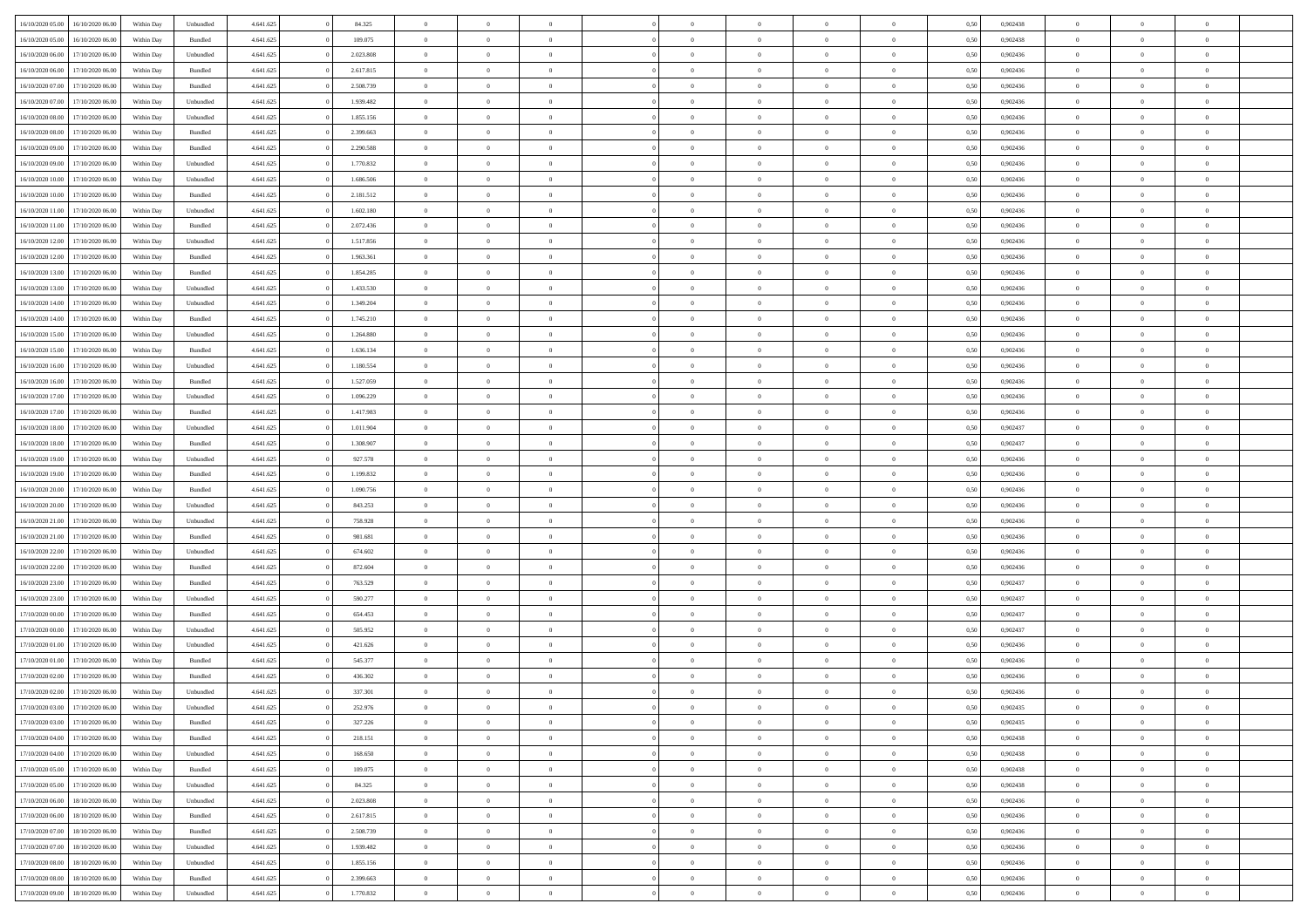|                  |                  |            |                    |           |           | $\overline{0}$ |                |                |                | $\Omega$       | $\Omega$       | $\theta$       |      |          | $\theta$       | $\overline{0}$ | $\theta$       |  |
|------------------|------------------|------------|--------------------|-----------|-----------|----------------|----------------|----------------|----------------|----------------|----------------|----------------|------|----------|----------------|----------------|----------------|--|
| 16/10/2020 05:00 | 16/10/2020 06:00 | Within Dav | Unbundled          | 4.641.625 | 84.325    |                | $\theta$       |                | $\Omega$       |                |                |                | 0.50 | 0,902438 |                |                |                |  |
| 16/10/2020 05:00 | 16/10/2020 06.00 | Within Day | Bundled            | 4.641.625 | 109.075   | $\overline{0}$ | $\theta$       | $\overline{0}$ | $\overline{0}$ | $\bf{0}$       | $\overline{0}$ | $\bf{0}$       | 0,50 | 0,902438 | $\theta$       | $\overline{0}$ | $\overline{0}$ |  |
| 16/10/2020 06:00 | 17/10/2020 06.00 | Within Day | Unbundled          | 4.641.625 | 2.023.808 | $\overline{0}$ | $\overline{0}$ | $\overline{0}$ | $\bf{0}$       | $\bf{0}$       | $\bf{0}$       | $\bf{0}$       | 0,50 | 0,902436 | $\bf{0}$       | $\overline{0}$ | $\overline{0}$ |  |
| 16/10/2020 06:00 | 17/10/2020 06:00 | Within Dav | Bundled            | 4.641.625 | 2.617.815 | $\overline{0}$ | $\overline{0}$ | $\overline{0}$ | $\overline{0}$ | $\bf{0}$       | $\overline{0}$ | $\overline{0}$ | 0.50 | 0,902436 | $\theta$       | $\theta$       | $\overline{0}$ |  |
|                  |                  |            |                    |           |           |                |                |                |                |                |                |                |      |          |                |                |                |  |
| 16/10/2020 07.00 | 17/10/2020 06.00 | Within Day | Bundled            | 4.641.625 | 2.508.739 | $\overline{0}$ | $\theta$       | $\overline{0}$ | $\overline{0}$ | $\bf{0}$       | $\overline{0}$ | $\bf{0}$       | 0,50 | 0,902436 | $\theta$       | $\overline{0}$ | $\overline{0}$ |  |
| 16/10/2020 07:00 | 17/10/2020 06.00 | Within Day | Unbundled          | 4.641.625 | 1.939.482 | $\overline{0}$ | $\bf{0}$       | $\overline{0}$ | $\bf{0}$       | $\overline{0}$ | $\overline{0}$ | $\mathbf{0}$   | 0,50 | 0,902436 | $\bf{0}$       | $\overline{0}$ | $\bf{0}$       |  |
| 16/10/2020 08:00 | 17/10/2020 06.00 | Within Dav | Unbundled          | 4.641.625 | 1.855.156 | $\overline{0}$ | $\overline{0}$ | $\overline{0}$ | $\overline{0}$ | $\overline{0}$ | $\overline{0}$ | $\overline{0}$ | 0.50 | 0,902436 | $\theta$       | $\overline{0}$ | $\overline{0}$ |  |
| 16/10/2020 08:00 | 17/10/2020 06.00 | Within Day | Bundled            | 4.641.625 | 2.399.663 | $\overline{0}$ | $\theta$       | $\overline{0}$ | $\overline{0}$ | $\bf{0}$       | $\overline{0}$ | $\bf{0}$       | 0,50 | 0,902436 | $\theta$       | $\theta$       | $\overline{0}$ |  |
|                  |                  |            |                    |           |           |                |                |                |                |                |                |                |      |          |                |                |                |  |
| 16/10/2020 09:00 | 17/10/2020 06.00 | Within Day | Bundled            | 4.641.625 | 2.290.588 | $\overline{0}$ | $\overline{0}$ | $\overline{0}$ | $\bf{0}$       | $\bf{0}$       | $\bf{0}$       | $\bf{0}$       | 0,50 | 0,902436 | $\,0\,$        | $\overline{0}$ | $\overline{0}$ |  |
| 16/10/2020 09:00 | 17/10/2020 06.00 | Within Dav | Unbundled          | 4.641.625 | 1.770.832 | $\overline{0}$ | $\overline{0}$ | $\overline{0}$ | $\overline{0}$ | $\overline{0}$ | $\overline{0}$ | $\overline{0}$ | 0.50 | 0,902436 | $\theta$       | $\overline{0}$ | $\overline{0}$ |  |
| 16/10/2020 10:00 | 17/10/2020 06.00 | Within Day | Unbundled          | 4.641.625 | 1.686.506 | $\overline{0}$ | $\theta$       | $\overline{0}$ | $\overline{0}$ | $\bf{0}$       | $\overline{0}$ | $\bf{0}$       | 0,50 | 0,902436 | $\,$ 0 $\,$    | $\overline{0}$ | $\overline{0}$ |  |
| 16/10/2020 10:00 | 17/10/2020 06.00 | Within Day | Bundled            | 4.641.625 | 2.181.512 | $\overline{0}$ | $\overline{0}$ | $\overline{0}$ | $\bf{0}$       | $\bf{0}$       | $\bf{0}$       | $\bf{0}$       | 0,50 | 0,902436 | $\bf{0}$       | $\overline{0}$ | $\overline{0}$ |  |
| 16/10/2020 11:00 | 17/10/2020 06:00 | Within Day | Unbundled          | 4.641.625 | 1.602.180 | $\overline{0}$ | $\overline{0}$ | $\overline{0}$ | $\overline{0}$ | $\bf{0}$       | $\overline{0}$ | $\overline{0}$ | 0.50 | 0,902436 | $\theta$       | $\theta$       | $\overline{0}$ |  |
|                  |                  |            |                    |           |           |                |                |                |                |                |                |                |      |          |                |                |                |  |
| 16/10/2020 11:00 | 17/10/2020 06.00 | Within Day | Bundled            | 4.641.625 | 2.072.436 | $\overline{0}$ | $\theta$       | $\overline{0}$ | $\overline{0}$ | $\bf{0}$       | $\overline{0}$ | $\bf{0}$       | 0,50 | 0,902436 | $\theta$       | $\theta$       | $\overline{0}$ |  |
| 16/10/2020 12:00 | 17/10/2020 06.00 | Within Day | Unbundled          | 4.641.625 | 1.517.856 | $\overline{0}$ | $\bf{0}$       | $\overline{0}$ | $\bf{0}$       | $\overline{0}$ | $\overline{0}$ | $\mathbf{0}$   | 0,50 | 0,902436 | $\bf{0}$       | $\overline{0}$ | $\bf{0}$       |  |
| 16/10/2020 12:00 | 17/10/2020 06.00 | Within Dav | Bundled            | 4.641.625 | 1.963.361 | $\overline{0}$ | $\overline{0}$ | $\overline{0}$ | $\overline{0}$ | $\overline{0}$ | $\overline{0}$ | $\overline{0}$ | 0.50 | 0,902436 | $\theta$       | $\overline{0}$ | $\overline{0}$ |  |
| 16/10/2020 13:00 | 17/10/2020 06.00 | Within Day | Bundled            | 4.641.625 | 1.854.285 | $\overline{0}$ | $\theta$       | $\overline{0}$ | $\overline{0}$ | $\bf{0}$       | $\overline{0}$ | $\bf{0}$       | 0,50 | 0,902436 | $\theta$       | $\theta$       | $\overline{0}$ |  |
| 16/10/2020 13:00 | 17/10/2020 06.00 | Within Day | Unbundled          | 4.641.625 | 1.433.530 | $\overline{0}$ | $\overline{0}$ | $\overline{0}$ | $\bf{0}$       | $\bf{0}$       | $\bf{0}$       | $\bf{0}$       | 0,50 | 0,902436 | $\,0\,$        | $\overline{0}$ | $\overline{0}$ |  |
|                  |                  |            |                    |           |           |                |                |                |                |                |                |                |      |          |                |                |                |  |
| 16/10/2020 14:00 | 17/10/2020 06:00 | Within Day | Unbundled          | 4.641.625 | 1.349.204 | $\overline{0}$ | $\overline{0}$ | $\overline{0}$ | $\overline{0}$ | $\overline{0}$ | $\overline{0}$ | $\overline{0}$ | 0.50 | 0,902436 | $\theta$       | $\overline{0}$ | $\overline{0}$ |  |
| 16/10/2020 14:00 | 17/10/2020 06.00 | Within Day | Bundled            | 4.641.625 | 1.745.210 | $\overline{0}$ | $\theta$       | $\overline{0}$ | $\overline{0}$ | $\bf{0}$       | $\overline{0}$ | $\bf{0}$       | 0,50 | 0,902436 | $\,$ 0 $\,$    | $\theta$       | $\overline{0}$ |  |
| 16/10/2020 15:00 | 17/10/2020 06.00 | Within Day | Unbundled          | 4.641.625 | 1.264.880 | $\overline{0}$ | $\overline{0}$ | $\overline{0}$ | $\bf{0}$       | $\bf{0}$       | $\bf{0}$       | $\bf{0}$       | 0,50 | 0,902436 | $\bf{0}$       | $\overline{0}$ | $\overline{0}$ |  |
| 16/10/2020 15:00 | 17/10/2020 06:00 | Within Day | Bundled            | 4.641.625 | 1.636.134 | $\overline{0}$ | $\overline{0}$ | $\overline{0}$ | $\overline{0}$ | $\bf{0}$       | $\overline{0}$ | $\overline{0}$ | 0.50 | 0,902436 | $\theta$       | $\theta$       | $\overline{0}$ |  |
| 16/10/2020 16:00 | 17/10/2020 06.00 | Within Day |                    | 4.641.625 | 1.180.554 | $\overline{0}$ | $\theta$       | $\overline{0}$ | $\overline{0}$ | $\bf{0}$       | $\overline{0}$ |                |      | 0,902436 | $\,$ 0 $\,$    | $\overline{0}$ | $\overline{0}$ |  |
|                  |                  |            | Unbundled          |           |           |                |                |                |                |                |                | $\bf{0}$       | 0,50 |          |                |                |                |  |
| 16/10/2020 16:00 | 17/10/2020 06.00 | Within Day | Bundled            | 4.641.625 | 1.527.059 | $\overline{0}$ | $\bf{0}$       | $\overline{0}$ | $\bf{0}$       | $\overline{0}$ | $\overline{0}$ | $\mathbf{0}$   | 0,50 | 0,902436 | $\bf{0}$       | $\overline{0}$ | $\bf{0}$       |  |
| 16/10/2020 17:00 | 17/10/2020 06.00 | Within Dav | Unbundled          | 4.641.625 | 1.096.229 | $\overline{0}$ | $\overline{0}$ | $\overline{0}$ | $\overline{0}$ | $\overline{0}$ | $\overline{0}$ | $\overline{0}$ | 0.50 | 0,902436 | $\theta$       | $\overline{0}$ | $\overline{0}$ |  |
| 16/10/2020 17:00 | 17/10/2020 06.00 | Within Day | Bundled            | 4.641.625 | 1.417.983 | $\overline{0}$ | $\theta$       | $\overline{0}$ | $\overline{0}$ | $\bf{0}$       | $\overline{0}$ | $\bf{0}$       | 0,50 | 0,902436 | $\theta$       | $\theta$       | $\overline{0}$ |  |
| 16/10/2020 18:00 | 17/10/2020 06.00 | Within Day | Unbundled          | 4.641.625 | 1.011.904 | $\overline{0}$ | $\overline{0}$ | $\overline{0}$ | $\bf{0}$       | $\bf{0}$       | $\bf{0}$       | $\bf{0}$       | 0,50 | 0,902437 | $\,0\,$        | $\overline{0}$ | $\overline{0}$ |  |
|                  | 17/10/2020 06.00 |            | Bundled            | 4.641.625 | 1.308.907 | $\overline{0}$ | $\overline{0}$ | $\overline{0}$ | $\overline{0}$ | $\overline{0}$ | $\overline{0}$ | $\overline{0}$ | 0.50 | 0,902437 | $\theta$       | $\overline{0}$ | $\overline{0}$ |  |
| 16/10/2020 18:00 |                  | Within Day |                    |           |           |                |                |                |                |                |                |                |      |          |                |                |                |  |
| 16/10/2020 19:00 | 17/10/2020 06.00 | Within Day | Unbundled          | 4.641.625 | 927.578   | $\overline{0}$ | $\theta$       | $\overline{0}$ | $\overline{0}$ | $\bf{0}$       | $\overline{0}$ | $\bf{0}$       | 0,50 | 0,902436 | $\,$ 0 $\,$    | $\overline{0}$ | $\overline{0}$ |  |
| 16/10/2020 19:00 | 17/10/2020 06.00 | Within Day | Bundled            | 4.641.625 | 1.199.832 | $\overline{0}$ | $\overline{0}$ | $\overline{0}$ | $\bf{0}$       | $\bf{0}$       | $\bf{0}$       | $\bf{0}$       | 0,50 | 0,902436 | $\bf{0}$       | $\overline{0}$ | $\overline{0}$ |  |
| 16/10/2020 20:00 | 17/10/2020 06.00 | Within Day | Bundled            | 4.641.625 | 1.090.756 | $\overline{0}$ | $\Omega$       | $\Omega$       | $\Omega$       | $\Omega$       | $\overline{0}$ | $\overline{0}$ | 0,50 | 0.902436 | $\,0\,$        | $\theta$       | $\theta$       |  |
| 16/10/2020 20:00 | 17/10/2020 06.00 | Within Day | Unbundled          | 4.641.625 | 843.253   | $\overline{0}$ | $\theta$       | $\overline{0}$ | $\overline{0}$ | $\bf{0}$       | $\overline{0}$ | $\bf{0}$       | 0,50 | 0,902436 | $\theta$       | $\theta$       | $\overline{0}$ |  |
|                  |                  |            |                    |           |           |                |                |                |                |                |                |                |      |          |                |                |                |  |
| 16/10/2020 21:00 | 17/10/2020 06.00 | Within Day | Unbundled          | 4.641.625 | 758.928   | $\overline{0}$ | $\overline{0}$ | $\overline{0}$ | $\bf{0}$       | $\bf{0}$       | $\overline{0}$ | $\mathbf{0}$   | 0,50 | 0,902436 | $\overline{0}$ | $\overline{0}$ | $\bf{0}$       |  |
| 16/10/2020 21:00 | 17/10/2020 06.00 | Within Day | Bundled            | 4.641.625 | 981.681   | $\overline{0}$ | $\Omega$       | $\Omega$       | $\Omega$       | $\bf{0}$       | $\overline{0}$ | $\overline{0}$ | 0.50 | 0.902436 | $\,0\,$        | $\theta$       | $\theta$       |  |
| 16/10/2020 22.00 | 17/10/2020 06.00 | Within Day | Unbundled          | 4.641.625 | 674.602   | $\overline{0}$ | $\theta$       | $\overline{0}$ | $\overline{0}$ | $\bf{0}$       | $\overline{0}$ | $\bf{0}$       | 0,50 | 0,902436 | $\,$ 0 $\,$    | $\theta$       | $\overline{0}$ |  |
| 16/10/2020 22.00 | 17/10/2020 06.00 | Within Day | Bundled            | 4.641.625 | 872.604   | $\overline{0}$ | $\overline{0}$ | $\overline{0}$ | $\bf{0}$       | $\bf{0}$       | $\bf{0}$       | $\bf{0}$       | 0,50 | 0,902436 | $\,0\,$        | $\overline{0}$ | $\overline{0}$ |  |
| 16/10/2020 23.00 | 17/10/2020 06:00 | Within Day | Bundled            | 4.641.625 | 763.529   | $\overline{0}$ | $\Omega$       | $\Omega$       | $\Omega$       | $\Omega$       | $\theta$       | $\overline{0}$ | 0.50 | 0.902437 | $\theta$       | $\theta$       | $\theta$       |  |
|                  |                  |            |                    |           |           |                |                |                |                |                |                |                |      |          |                |                |                |  |
| 16/10/2020 23.00 | 17/10/2020 06.00 | Within Day | Unbundled          | 4.641.625 | 590.277   | $\overline{0}$ | $\theta$       | $\overline{0}$ | $\overline{0}$ | $\bf{0}$       | $\overline{0}$ | $\bf{0}$       | 0,50 | 0,902437 | $\,$ 0 $\,$    | $\overline{0}$ | $\overline{0}$ |  |
| 17/10/2020 00.00 | 17/10/2020 06.00 | Within Day | Bundled            | 4.641.625 | 654.453   | $\overline{0}$ | $\overline{0}$ | $\overline{0}$ | $\bf{0}$       | $\bf{0}$       | $\bf{0}$       | $\bf{0}$       | 0,50 | 0,902437 | $\overline{0}$ | $\overline{0}$ | $\overline{0}$ |  |
| 17/10/2020 00:00 | 17/10/2020 06.00 | Within Day | Unbundled          | 4.641.625 | 505.952   | $\overline{0}$ | $\Omega$       | $\Omega$       | $\Omega$       | $\Omega$       | $\overline{0}$ | $\overline{0}$ | 0.50 | 0,902437 | $\,0\,$        | $\theta$       | $\theta$       |  |
| 17/10/2020 01:00 | 17/10/2020 06.00 | Within Day | Unbundled          | 4.641.625 | 421.626   | $\overline{0}$ | $\theta$       | $\overline{0}$ | $\overline{0}$ | $\bf{0}$       | $\overline{0}$ | $\bf{0}$       | 0,50 | 0,902436 | $\,$ 0 $\,$    | $\overline{0}$ | $\overline{0}$ |  |
| 17/10/2020 01.00 | 17/10/2020 06.00 | Within Day | Bundled            | 4.641.625 | 545.377   | $\overline{0}$ | $\overline{0}$ | $\overline{0}$ | $\bf{0}$       | $\bf{0}$       | $\bf{0}$       | $\mathbf{0}$   | 0,50 | 0,902436 | $\overline{0}$ | $\overline{0}$ | $\bf{0}$       |  |
|                  |                  |            |                    |           |           |                |                |                |                |                |                |                |      |          |                |                |                |  |
| 17/10/2020 02.00 | 17/10/2020 06.00 | Within Day | Bundled            | 4.641.625 | 436,302   | $\overline{0}$ | $\Omega$       | $\Omega$       | $\Omega$       | $\Omega$       | $\Omega$       | $\overline{0}$ | 0.50 | 0.902436 | $\theta$       | $\theta$       | $\theta$       |  |
| 17/10/2020 02.00 | 17/10/2020 06.00 | Within Day | Unbundled          | 4.641.625 | 337.301   | $\overline{0}$ | $\,$ 0 $\,$    | $\overline{0}$ | $\bf{0}$       | $\,$ 0         | $\bf{0}$       | $\bf{0}$       | 0,50 | 0,902436 | $\,0\,$        | $\overline{0}$ | $\overline{0}$ |  |
| 17/10/2020 03:00 | 17/10/2020 06.00 | Within Day | Unbundled          | 4.641.625 | 252.976   | $\bf{0}$       | $\bf{0}$       |                |                |                |                |                | 0,50 | 0,902435 | $\bf{0}$       | $\overline{0}$ |                |  |
| 17/10/2020 03:00 | 17/10/2020 06:00 | Within Day | Bundled            | 4.641.625 | 327.226   | $\overline{0}$ | $\overline{0}$ | $\overline{0}$ | $\Omega$       | $\theta$       | $\overline{0}$ | $\overline{0}$ | 0,50 | 0.902435 | $\theta$       | $\theta$       | $\theta$       |  |
| 17/10/2020 04:00 | 17/10/2020 06.00 | Within Day | Bundled            | 4.641.625 | 218.151   | $\overline{0}$ | $\,$ 0         | $\overline{0}$ | $\bf{0}$       | $\,$ 0 $\,$    | $\overline{0}$ | $\mathbf{0}$   | 0,50 | 0,902438 | $\,$ 0 $\,$    | $\,$ 0 $\,$    | $\,$ 0         |  |
|                  |                  |            |                    |           |           |                |                |                |                |                |                |                |      |          |                |                |                |  |
| 17/10/2020 04:00 | 17/10/2020 06.00 | Within Day | Unbundled          | 4.641.625 | 168.650   | $\overline{0}$ | $\overline{0}$ | $\overline{0}$ | $\overline{0}$ | $\overline{0}$ | $\overline{0}$ | $\mathbf{0}$   | 0,50 | 0,902438 | $\overline{0}$ | $\bf{0}$       | $\bf{0}$       |  |
| 17/10/2020 05:00 | 17/10/2020 06.00 | Within Day | $\mathbf B$ undled | 4.641.625 | 109.075   | $\overline{0}$ | $\overline{0}$ | $\overline{0}$ | $\Omega$       | $\overline{0}$ | $\overline{0}$ | $\bf{0}$       | 0,50 | 0,902438 | $\overline{0}$ | $\theta$       | $\overline{0}$ |  |
| 17/10/2020 05.00 | 17/10/2020 06.00 | Within Day | Unbundled          | 4.641.625 | 84.325    | $\overline{0}$ | $\,$ 0         | $\overline{0}$ | $\overline{0}$ | $\,$ 0 $\,$    | $\overline{0}$ | $\mathbf{0}$   | 0,50 | 0,902438 | $\,$ 0 $\,$    | $\overline{0}$ | $\overline{0}$ |  |
| 17/10/2020 06.00 | 18/10/2020 06:00 | Within Day | Unbundled          | 4.641.625 | 2.023.808 | $\overline{0}$ | $\overline{0}$ | $\overline{0}$ | $\overline{0}$ | $\overline{0}$ | $\overline{0}$ | $\mathbf{0}$   | 0,50 | 0,902436 | $\overline{0}$ | $\overline{0}$ | $\bf{0}$       |  |
| 17/10/2020 06:00 | 18/10/2020 06:00 | Within Day | Bundled            | 4.641.625 | 2.617.815 | $\overline{0}$ | $\overline{0}$ | $\overline{0}$ | $\Omega$       | $\overline{0}$ | $\overline{0}$ | $\bf{0}$       | 0.50 | 0,902436 | $\overline{0}$ | $\theta$       | $\overline{0}$ |  |
|                  |                  |            |                    |           |           |                |                |                |                |                |                |                |      |          |                |                |                |  |
| 17/10/2020 07:00 | 18/10/2020 06.00 | Within Day | Bundled            | 4.641.625 | 2.508.739 | $\overline{0}$ | $\,$ 0         | $\overline{0}$ | $\bf{0}$       | $\bf{0}$       | $\overline{0}$ | $\bf{0}$       | 0,50 | 0,902436 | $\,$ 0 $\,$    | $\overline{0}$ | $\overline{0}$ |  |
| 17/10/2020 07.00 | 18/10/2020 06:00 | Within Day | Unbundled          | 4.641.625 | 1.939.482 | $\overline{0}$ | $\bf{0}$       | $\overline{0}$ | $\overline{0}$ | $\overline{0}$ | $\overline{0}$ | $\mathbf{0}$   | 0,50 | 0,902436 | $\overline{0}$ | $\overline{0}$ | $\bf{0}$       |  |
| 17/10/2020 08:00 | 18/10/2020 06:00 | Within Day | Unbundled          | 4.641.625 | 1.855.156 | $\overline{0}$ | $\overline{0}$ | $\overline{0}$ | $\Omega$       | $\overline{0}$ | $\overline{0}$ | $\bf{0}$       | 0.50 | 0.902436 | $\overline{0}$ | $\theta$       | $\overline{0}$ |  |
| 17/10/2020 08:00 | 18/10/2020 06.00 | Within Day | Bundled            | 4.641.625 | 2.399.663 | $\overline{0}$ | $\bf{0}$       | $\overline{0}$ | $\bf{0}$       | $\bf{0}$       | $\overline{0}$ | $\mathbf{0}$   | 0,50 | 0,902436 | $\,$ 0 $\,$    | $\,$ 0 $\,$    | $\bf{0}$       |  |
|                  |                  |            |                    |           |           |                |                |                |                |                |                |                |      |          |                |                |                |  |
| 17/10/2020 09:00 | 18/10/2020 06.00 | Within Day | Unbundled          | 4.641.625 | 1.770.832 | $\overline{0}$ | $\overline{0}$ | $\overline{0}$ | $\overline{0}$ | $\bf{0}$       | $\overline{0}$ | $\mathbf{0}$   | 0,50 | 0,902436 | $\overline{0}$ | $\bf{0}$       | $\bf{0}$       |  |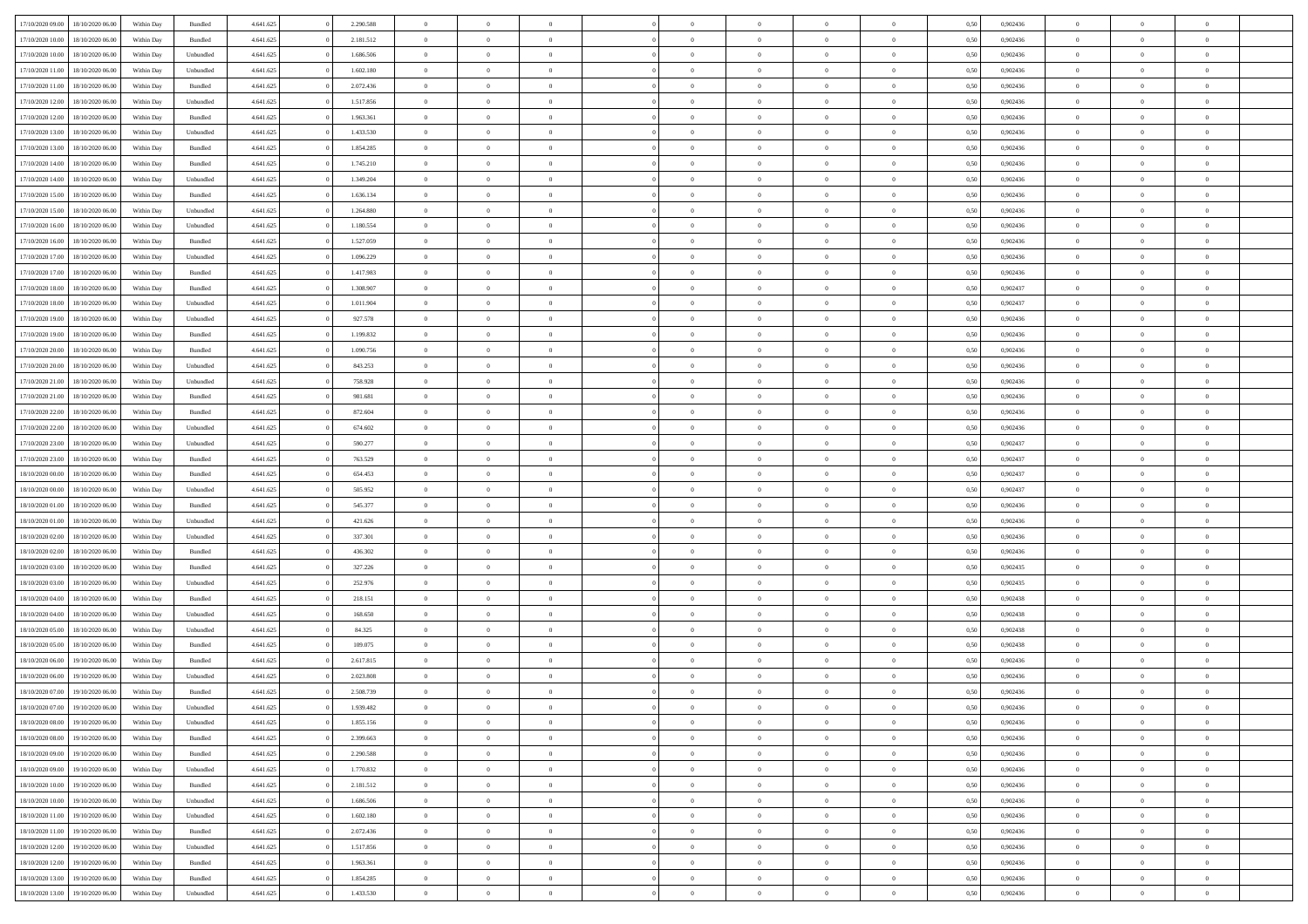| 17/10/2020 09:00 | 18/10/2020 06:00 | Within Dav | Bundled   | 4.641.625 | 2.290.588 | $\overline{0}$ | $\theta$       |                | $\Omega$       | $\Omega$       | $\overline{0}$ | $\theta$       | 0.50 | 0,902436 | $\theta$       | $\theta$       | $\overline{0}$ |  |
|------------------|------------------|------------|-----------|-----------|-----------|----------------|----------------|----------------|----------------|----------------|----------------|----------------|------|----------|----------------|----------------|----------------|--|
|                  |                  |            |           |           |           |                |                |                |                |                |                |                |      |          |                |                |                |  |
| 17/10/2020 10:00 | 18/10/2020 06:00 | Within Day | Bundled   | 4.641.625 | 2.181.512 | $\overline{0}$ | $\theta$       | $\overline{0}$ | $\overline{0}$ | $\bf{0}$       | $\overline{0}$ | $\bf{0}$       | 0,50 | 0,902436 | $\theta$       | $\overline{0}$ | $\overline{0}$ |  |
| 17/10/2020 10:00 | 18/10/2020 06:00 | Within Day | Unbundled | 4.641.625 | 1.686.506 | $\overline{0}$ | $\bf{0}$       | $\overline{0}$ | $\overline{0}$ | $\bf{0}$       | $\overline{0}$ | $\mathbf{0}$   | 0,50 | 0,902436 | $\overline{0}$ | $\overline{0}$ | $\bf{0}$       |  |
|                  |                  |            |           |           |           |                |                |                |                |                |                |                |      |          | $\theta$       |                |                |  |
| 17/10/2020 11:00 | 18/10/2020 06:00 | Within Dav | Unbundled | 4.641.625 | 1.602.180 | $\overline{0}$ | $\overline{0}$ | $\overline{0}$ | $\overline{0}$ | $\bf{0}$       | $\overline{0}$ | $\overline{0}$ | 0.50 | 0,902436 |                | $\overline{0}$ | $\overline{0}$ |  |
| 17/10/2020 11:00 | 18/10/2020 06:00 | Within Day | Bundled   | 4.641.625 | 2.072.436 | $\overline{0}$ | $\theta$       | $\overline{0}$ | $\overline{0}$ | $\bf{0}$       | $\overline{0}$ | $\bf{0}$       | 0,50 | 0,902436 | $\,$ 0 $\,$    | $\overline{0}$ | $\overline{0}$ |  |
| 17/10/2020 12.00 | 18/10/2020 06:00 | Within Day | Unbundled | 4.641.625 | 1.517.856 | $\overline{0}$ | $\overline{0}$ | $\overline{0}$ | $\overline{0}$ | $\overline{0}$ | $\overline{0}$ | $\mathbf{0}$   | 0,50 | 0,902436 | $\overline{0}$ | $\overline{0}$ | $\bf{0}$       |  |
| 17/10/2020 12:00 | 18/10/2020 06:00 | Within Dav | Bundled   | 4.641.625 | 1.963.361 | $\overline{0}$ | $\overline{0}$ | $\overline{0}$ | $\overline{0}$ | $\overline{0}$ | $\overline{0}$ | $\overline{0}$ | 0.50 | 0,902436 | $\theta$       | $\overline{0}$ | $\overline{0}$ |  |
|                  |                  |            |           |           |           |                |                |                |                |                |                |                |      |          |                |                |                |  |
| 17/10/2020 13:00 | 18/10/2020 06:00 | Within Day | Unbundled | 4.641.625 | 1.433.530 | $\overline{0}$ | $\theta$       | $\overline{0}$ | $\overline{0}$ | $\bf{0}$       | $\overline{0}$ | $\bf{0}$       | 0,50 | 0,902436 | $\theta$       | $\theta$       | $\overline{0}$ |  |
| 17/10/2020 13:00 | 18/10/2020 06:00 | Within Day | Bundled   | 4.641.625 | 1.854.285 | $\overline{0}$ | $\overline{0}$ | $\overline{0}$ | $\overline{0}$ | $\bf{0}$       | $\overline{0}$ | $\bf{0}$       | 0,50 | 0,902436 | $\,0\,$        | $\overline{0}$ | $\overline{0}$ |  |
| 17/10/2020 14:00 | 18/10/2020 06:00 | Within Dav | Bundled   | 4.641.625 | 1.745.210 | $\overline{0}$ | $\overline{0}$ | $\overline{0}$ | $\overline{0}$ | $\overline{0}$ | $\overline{0}$ | $\overline{0}$ | 0.50 | 0,902436 | $\theta$       | $\overline{0}$ | $\overline{0}$ |  |
|                  |                  |            |           |           |           |                |                |                |                |                |                |                |      |          |                |                |                |  |
| 17/10/2020 14:00 | 18/10/2020 06:00 | Within Day | Unbundled | 4.641.625 | 1.349.204 | $\overline{0}$ | $\theta$       | $\overline{0}$ | $\overline{0}$ | $\bf{0}$       | $\overline{0}$ | $\bf{0}$       | 0,50 | 0,902436 | $\,$ 0 $\,$    | $\overline{0}$ | $\overline{0}$ |  |
| 17/10/2020 15.00 | 18/10/2020 06:00 | Within Day | Bundled   | 4.641.625 | 1.636.134 | $\overline{0}$ | $\bf{0}$       | $\overline{0}$ | $\overline{0}$ | $\bf{0}$       | $\overline{0}$ | $\mathbf{0}$   | 0,50 | 0,902436 | $\overline{0}$ | $\overline{0}$ | $\bf{0}$       |  |
| 17/10/2020 15:00 | 18/10/2020 06:00 | Within Dav | Unbundled | 4.641.625 | 1.264.880 | $\overline{0}$ | $\overline{0}$ | $\overline{0}$ | $\overline{0}$ | $\bf{0}$       | $\overline{0}$ | $\overline{0}$ | 0.50 | 0,902436 | $\theta$       | $\theta$       | $\overline{0}$ |  |
|                  |                  |            |           |           |           |                |                |                |                |                |                |                |      |          |                |                |                |  |
| 17/10/2020 16:00 | 18/10/2020 06:00 | Within Day | Unbundled | 4.641.625 | 1.180.554 | $\overline{0}$ | $\theta$       | $\overline{0}$ | $\overline{0}$ | $\bf{0}$       | $\overline{0}$ | $\bf{0}$       | 0,50 | 0,902436 | $\theta$       | $\overline{0}$ | $\overline{0}$ |  |
| 17/10/2020 16:00 | 18/10/2020 06:00 | Within Day | Bundled   | 4.641.625 | 1.527.059 | $\overline{0}$ | $\overline{0}$ | $\overline{0}$ | $\bf{0}$       | $\overline{0}$ | $\overline{0}$ | $\mathbf{0}$   | 0,50 | 0,902436 | $\overline{0}$ | $\overline{0}$ | $\bf{0}$       |  |
| 17/10/2020 17:00 | 18/10/2020 06:00 | Within Dav | Unbundled | 4.641.625 | 1.096.229 | $\overline{0}$ | $\overline{0}$ | $\overline{0}$ | $\overline{0}$ | $\overline{0}$ | $\overline{0}$ | $\overline{0}$ | 0.50 | 0,902436 | $\theta$       | $\overline{0}$ | $\overline{0}$ |  |
| 17/10/2020 17:00 | 18/10/2020 06:00 | Within Day | Bundled   | 4.641.625 | 1.417.983 | $\overline{0}$ | $\theta$       | $\overline{0}$ | $\overline{0}$ | $\bf{0}$       | $\overline{0}$ | $\bf{0}$       | 0,50 | 0,902436 | $\,$ 0 $\,$    | $\overline{0}$ | $\overline{0}$ |  |
|                  |                  |            |           |           |           |                |                |                |                |                |                |                |      |          |                |                |                |  |
| 17/10/2020 18.00 | 18/10/2020 06:00 | Within Day | Bundled   | 4.641.625 | 1.308.907 | $\overline{0}$ | $\overline{0}$ | $\overline{0}$ | $\bf{0}$       | $\bf{0}$       | $\bf{0}$       | $\bf{0}$       | 0,50 | 0,902437 | $\bf{0}$       | $\overline{0}$ | $\bf{0}$       |  |
| 17/10/2020 18:00 | 18/10/2020 06:00 | Within Dav | Unbundled | 4.641.625 | 1.011.904 | $\overline{0}$ | $\overline{0}$ | $\overline{0}$ | $\overline{0}$ | $\overline{0}$ | $\overline{0}$ | $\overline{0}$ | 0.50 | 0,902437 | $\theta$       | $\overline{0}$ | $\overline{0}$ |  |
| 17/10/2020 19:00 | 18/10/2020 06:00 | Within Day | Unbundled | 4.641.625 | 927.578   | $\overline{0}$ | $\theta$       | $\overline{0}$ | $\overline{0}$ | $\bf{0}$       | $\overline{0}$ | $\bf{0}$       | 0,50 | 0,902436 | $\,$ 0 $\,$    | $\overline{0}$ | $\overline{0}$ |  |
|                  |                  |            |           |           |           |                |                |                |                |                |                |                |      |          |                |                |                |  |
| 17/10/2020 19:00 | 18/10/2020 06:00 | Within Day | Bundled   | 4.641.625 | 1.199.832 | $\overline{0}$ | $\overline{0}$ | $\overline{0}$ | $\bf{0}$       | $\bf{0}$       | $\bf{0}$       | $\bf{0}$       | 0,50 | 0,902436 | $\overline{0}$ | $\overline{0}$ | $\bf{0}$       |  |
| 17/10/2020 20:00 | 18/10/2020 06:00 | Within Day | Bundled   | 4.641.625 | 1.090.756 | $\overline{0}$ | $\overline{0}$ | $\overline{0}$ | $\overline{0}$ | $\overline{0}$ | $\overline{0}$ | $\overline{0}$ | 0.50 | 0,902436 | $\theta$       | $\overline{0}$ | $\overline{0}$ |  |
| 17/10/2020 20.00 | 18/10/2020 06:00 | Within Day | Unbundled | 4.641.625 | 843.253   | $\overline{0}$ | $\theta$       | $\overline{0}$ | $\overline{0}$ | $\bf{0}$       | $\overline{0}$ | $\bf{0}$       | 0,50 | 0,902436 | $\,$ 0 $\,$    | $\overline{0}$ | $\overline{0}$ |  |
| 17/10/2020 21.00 | 18/10/2020 06:00 | Within Day | Unbundled | 4.641.625 | 758.928   | $\overline{0}$ | $\overline{0}$ | $\overline{0}$ | $\overline{0}$ | $\overline{0}$ | $\overline{0}$ | $\mathbf{0}$   | 0,50 | 0,902436 | $\bf{0}$       | $\overline{0}$ | $\bf{0}$       |  |
|                  |                  |            |           |           |           |                |                |                |                |                |                |                |      |          |                |                |                |  |
| 17/10/2020 21.00 | 18/10/2020 06:00 | Within Dav | Bundled   | 4.641.625 | 981.681   | $\overline{0}$ | $\overline{0}$ | $\overline{0}$ | $\overline{0}$ | $\overline{0}$ | $\overline{0}$ | $\overline{0}$ | 0.50 | 0,902436 | $\overline{0}$ | $\overline{0}$ | $\overline{0}$ |  |
| 17/10/2020 22.00 | 18/10/2020 06:00 | Within Day | Bundled   | 4.641.625 | 872.604   | $\overline{0}$ | $\theta$       | $\overline{0}$ | $\overline{0}$ | $\bf{0}$       | $\overline{0}$ | $\bf{0}$       | 0,50 | 0,902436 | $\,$ 0 $\,$    | $\theta$       | $\overline{0}$ |  |
| 17/10/2020 22.00 | 18/10/2020 06:00 | Within Day | Unbundled | 4.641.625 | 674.602   | $\overline{0}$ | $\overline{0}$ | $\overline{0}$ | $\overline{0}$ | $\bf{0}$       | $\overline{0}$ | $\bf{0}$       | 0,50 | 0,902436 | $\,0\,$        | $\overline{0}$ | $\bf{0}$       |  |
| 17/10/2020 23.00 | 18/10/2020 06:00 | Within Day | Unbundled | 4.641.625 | 590.277   | $\overline{0}$ | $\overline{0}$ | $\overline{0}$ | $\overline{0}$ | $\overline{0}$ | $\overline{0}$ | $\overline{0}$ | 0.50 | 0,902437 | $\theta$       | $\overline{0}$ | $\overline{0}$ |  |
|                  |                  |            |           |           |           |                |                |                |                |                |                |                |      |          |                |                |                |  |
| 17/10/2020 23.00 | 18/10/2020 06:00 | Within Day | Bundled   | 4.641.625 | 763.529   | $\overline{0}$ | $\overline{0}$ | $\overline{0}$ | $\overline{0}$ | $\bf{0}$       | $\overline{0}$ | $\bf{0}$       | 0,50 | 0,902437 | $\,$ 0 $\,$    | $\overline{0}$ | $\overline{0}$ |  |
| 18/10/2020 00:00 | 18/10/2020 06:00 | Within Day | Bundled   | 4.641.625 | 654.453   | $\overline{0}$ | $\bf{0}$       | $\overline{0}$ | $\overline{0}$ | $\bf{0}$       | $\bf{0}$       | $\bf{0}$       | 0,50 | 0,902437 | $\overline{0}$ | $\overline{0}$ | $\bf{0}$       |  |
| 18/10/2020 00:00 | 18/10/2020 06:00 | Within Day | Unbundled | 4.641.625 | 505.952   | $\overline{0}$ | $\Omega$       | $\Omega$       | $\Omega$       | $\Omega$       | $\overline{0}$ | $\overline{0}$ | 0,50 | 0.902437 | $\,0\,$        | $\theta$       | $\theta$       |  |
|                  |                  |            |           |           |           |                |                |                |                |                |                |                |      |          |                |                |                |  |
| 18/10/2020 01:00 | 18/10/2020 06:00 | Within Day | Bundled   | 4.641.625 | 545.377   | $\overline{0}$ | $\theta$       | $\overline{0}$ | $\overline{0}$ | $\bf{0}$       | $\overline{0}$ | $\bf{0}$       | 0,50 | 0,902436 | $\,$ 0 $\,$    | $\overline{0}$ | $\overline{0}$ |  |
| 18/10/2020 01:00 | 18/10/2020 06:00 | Within Day | Unbundled | 4.641.625 | 421.626   | $\overline{0}$ | $\overline{0}$ | $\overline{0}$ | $\bf{0}$       | $\overline{0}$ | $\overline{0}$ | $\mathbf{0}$   | 0,50 | 0,902436 | $\overline{0}$ | $\overline{0}$ | $\bf{0}$       |  |
| 18/10/2020 02.00 | 18/10/2020 06:00 | Within Day | Unbundled | 4.641.625 | 337.301   | $\overline{0}$ | $\Omega$       | $\Omega$       | $\Omega$       | $\overline{0}$ | $\overline{0}$ | $\overline{0}$ | 0.50 | 0.902436 | $\,0\,$        | $\theta$       | $\theta$       |  |
| 18/10/2020 02.00 | 18/10/2020 06:00 | Within Day | Bundled   | 4.641.625 | 436.302   | $\overline{0}$ | $\theta$       | $\overline{0}$ | $\overline{0}$ | $\bf{0}$       | $\overline{0}$ | $\bf{0}$       | 0,50 | 0,902436 | $\,$ 0 $\,$    | $\overline{0}$ | $\overline{0}$ |  |
|                  |                  |            |           |           |           |                |                |                |                |                |                |                |      |          |                |                |                |  |
| 18/10/2020 03:00 | 18/10/2020 06:00 | Within Day | Bundled   | 4.641.625 | 327.226   | $\overline{0}$ | $\overline{0}$ | $\overline{0}$ | $\bf{0}$       | $\bf{0}$       | $\bf{0}$       | $\bf{0}$       | 0,50 | 0,902435 | $\bf{0}$       | $\overline{0}$ | $\bf{0}$       |  |
| 18/10/2020 03:00 | 18/10/2020 06:00 | Within Day | Unbundled | 4.641.625 | 252.976   | $\overline{0}$ | $\Omega$       | $\Omega$       | $\Omega$       | $\overline{0}$ | $\overline{0}$ | $\overline{0}$ | 0.50 | 0.902435 | $\,$ 0 $\,$    | $\theta$       | $\theta$       |  |
| 18/10/2020 04:00 | 18/10/2020 06:00 | Within Day | Bundled   | 4.641.625 | 218.151   | $\overline{0}$ | $\,$ 0         | $\overline{0}$ | $\overline{0}$ | $\,$ 0         | $\overline{0}$ | $\bf{0}$       | 0,50 | 0,902438 | $\,$ 0 $\,$    | $\overline{0}$ | $\overline{0}$ |  |
|                  |                  |            |           |           |           |                |                |                |                |                |                |                |      |          |                |                |                |  |
| 18/10/2020 04:00 | 18/10/2020 06:00 | Within Day | Unbundled | 4.641.625 | 168.650   | $\overline{0}$ | $\overline{0}$ | $\overline{0}$ | $\bf{0}$       | $\bf{0}$       | $\bf{0}$       | $\bf{0}$       | 0,50 | 0,902438 | $\overline{0}$ | $\overline{0}$ | $\bf{0}$       |  |
| 18/10/2020 05:00 | 18/10/2020 06:00 | Within Day | Unbundled | 4.641.625 | 84.325    | $\overline{0}$ | $\Omega$       | $\overline{0}$ | $\Omega$       | $\overline{0}$ | $\overline{0}$ | $\overline{0}$ | 0,50 | 0,902438 | $\,0\,$        | $\theta$       | $\theta$       |  |
| 18/10/2020 05:00 | 18/10/2020 06:00 | Within Day | Bundled   | 4.641.625 | 109.075   | $\overline{0}$ | $\overline{0}$ | $\overline{0}$ | $\overline{0}$ | $\,$ 0         | $\overline{0}$ | $\bf{0}$       | 0,50 | 0,902438 | $\,$ 0 $\,$    | $\overline{0}$ | $\overline{0}$ |  |
| 18/10/2020 06.00 | 19/10/2020 06.00 | Within Day | Bundled   | 4.641.625 | 2.617.815 | $\overline{0}$ | $\overline{0}$ | $\overline{0}$ | $\bf{0}$       | $\bf{0}$       | $\overline{0}$ | $\mathbf{0}$   | 0,50 | 0,902436 | $\overline{0}$ | $\overline{0}$ | $\bf{0}$       |  |
|                  |                  |            |           |           |           |                |                |                |                |                |                |                |      |          |                |                |                |  |
| 18/10/2020 06:00 | 19/10/2020 06:00 | Within Day | Unbundled | 4.641.625 | 2.023.808 | $\overline{0}$ | $\Omega$       | $\Omega$       | $\Omega$       | $\Omega$       | $\Omega$       | $\overline{0}$ | 0.50 | 0.902436 | $\theta$       | $\theta$       | $\theta$       |  |
| 18/10/2020 07:00 | 19/10/2020 06:00 | Within Day | Bundled   | 4.641.625 | 2.508.739 | $\overline{0}$ | $\overline{0}$ | $\overline{0}$ | $\bf{0}$       | $\,$ 0         | $\bf{0}$       | $\bf{0}$       | 0,50 | 0,902436 | $\,0\,$        | $\,$ 0 $\,$    | $\overline{0}$ |  |
| 18/10/2020 07:00 | 19/10/2020 06.00 | Within Day | Unbundled | 4.641.625 | 1.939.482 | $\bf{0}$       | $\bf{0}$       |                |                | $\bf{0}$       |                |                | 0,50 | 0,902436 | $\bf{0}$       | $\overline{0}$ |                |  |
| 18/10/2020 08:00 | 19/10/2020 06:00 | Within Day | Unbundled | 4.641.625 | 1.855.156 | $\overline{0}$ | $\overline{0}$ | $\overline{0}$ | $\Omega$       | $\theta$       | $\overline{0}$ | $\overline{0}$ | 0,50 | 0.902436 | $\theta$       | $\theta$       | $\theta$       |  |
|                  |                  |            |           |           |           |                |                |                |                |                |                |                |      |          |                |                |                |  |
| 18/10/2020 08:00 | 19/10/2020 06.00 | Within Day | Bundled   | 4.641.625 | 2.399.663 | $\overline{0}$ | $\,$ 0         | $\overline{0}$ | $\bf{0}$       | $\,$ 0 $\,$    | $\overline{0}$ | $\mathbf{0}$   | 0,50 | 0,902436 | $\,$ 0 $\,$    | $\,$ 0 $\,$    | $\,$ 0         |  |
| 18/10/2020 09:00 | 19/10/2020 06:00 | Within Day | Bundled   | 4.641.625 | 2.290.588 | $\overline{0}$ | $\overline{0}$ | $\overline{0}$ | $\overline{0}$ | $\overline{0}$ | $\overline{0}$ | $\mathbf{0}$   | 0,50 | 0,902436 | $\overline{0}$ | $\bf{0}$       | $\bf{0}$       |  |
| 18/10/2020 09:00 | 19/10/2020 06:00 | Within Day | Unbundled | 4.641.625 | 1.770.832 | $\overline{0}$ | $\overline{0}$ | $\overline{0}$ | $\Omega$       | $\overline{0}$ | $\overline{0}$ | $\bf{0}$       | 0,50 | 0,902436 | $\overline{0}$ | $\theta$       | $\overline{0}$ |  |
| 18/10/2020 10:00 | 19/10/2020 06.00 | Within Day | Bundled   | 4.641.625 | 2.181.512 | $\overline{0}$ | $\,$ 0         | $\overline{0}$ | $\overline{0}$ | $\overline{0}$ | $\overline{0}$ |                | 0,50 | 0,902436 | $\,$ 0 $\,$    | $\overline{0}$ | $\overline{0}$ |  |
|                  |                  |            |           |           |           |                |                |                |                |                |                | $\bf{0}$       |      |          |                |                |                |  |
| 18/10/2020 10:00 | 19/10/2020 06:00 | Within Day | Unbundled | 4.641.625 | 1.686.506 | $\overline{0}$ | $\overline{0}$ | $\overline{0}$ | $\overline{0}$ | $\overline{0}$ | $\overline{0}$ | $\mathbf{0}$   | 0,50 | 0,902436 | $\overline{0}$ | $\overline{0}$ | $\bf{0}$       |  |
| 18/10/2020 11:00 | 19/10/2020 06:00 | Within Day | Unbundled | 4.641.625 | 1.602.180 | $\overline{0}$ | $\overline{0}$ | $\overline{0}$ | $\Omega$       | $\overline{0}$ | $\overline{0}$ | $\bf{0}$       | 0.50 | 0,902436 | $\overline{0}$ | $\theta$       | $\overline{0}$ |  |
| 18/10/2020 11:00 | 19/10/2020 06.00 | Within Day | Bundled   | 4.641.625 | 2.072.436 | $\overline{0}$ | $\,$ 0         | $\overline{0}$ | $\bf{0}$       | $\bf{0}$       | $\bf{0}$       | $\bf{0}$       | 0,50 | 0,902436 | $\,$ 0 $\,$    | $\overline{0}$ | $\overline{0}$ |  |
|                  |                  |            |           |           |           |                |                |                |                |                |                |                |      |          |                |                |                |  |
| 18/10/2020 12:00 | 19/10/2020 06:00 | Within Day | Unbundled | 4.641.625 | 1.517.856 | $\overline{0}$ | $\bf{0}$       | $\overline{0}$ | $\overline{0}$ | $\overline{0}$ | $\bf{0}$       | $\mathbf{0}$   | 0,50 | 0,902436 | $\overline{0}$ | $\overline{0}$ | $\bf{0}$       |  |
| 18/10/2020 12:00 | 19/10/2020 06:00 | Within Day | Bundled   | 4.641.625 | 1.963.361 | $\overline{0}$ | $\overline{0}$ | $\overline{0}$ | $\Omega$       | $\overline{0}$ | $\overline{0}$ | $\bf{0}$       | 0.50 | 0.902436 | $\overline{0}$ | $\theta$       | $\overline{0}$ |  |
| 18/10/2020 13:00 | 19/10/2020 06.00 | Within Day | Bundled   | 4.641.625 | 1.854.285 | $\overline{0}$ | $\bf{0}$       | $\overline{0}$ | $\overline{0}$ | $\bf{0}$       | $\bf{0}$       | $\mathbf{0}$   | 0,50 | 0,902436 | $\,$ 0 $\,$    | $\,$ 0 $\,$    | $\bf{0}$       |  |
|                  |                  |            |           |           |           |                |                |                |                |                |                |                |      |          |                |                |                |  |
| 18/10/2020 13:00 | 19/10/2020 06.00 | Within Day | Unbundled | 4.641.625 | 1.433.530 | $\overline{0}$ | $\overline{0}$ | $\overline{0}$ | $\overline{0}$ | $\bf{0}$       | $\bf{0}$       | $\mathbf{0}$   | 0,50 | 0,902436 | $\overline{0}$ | $\bf{0}$       | $\bf{0}$       |  |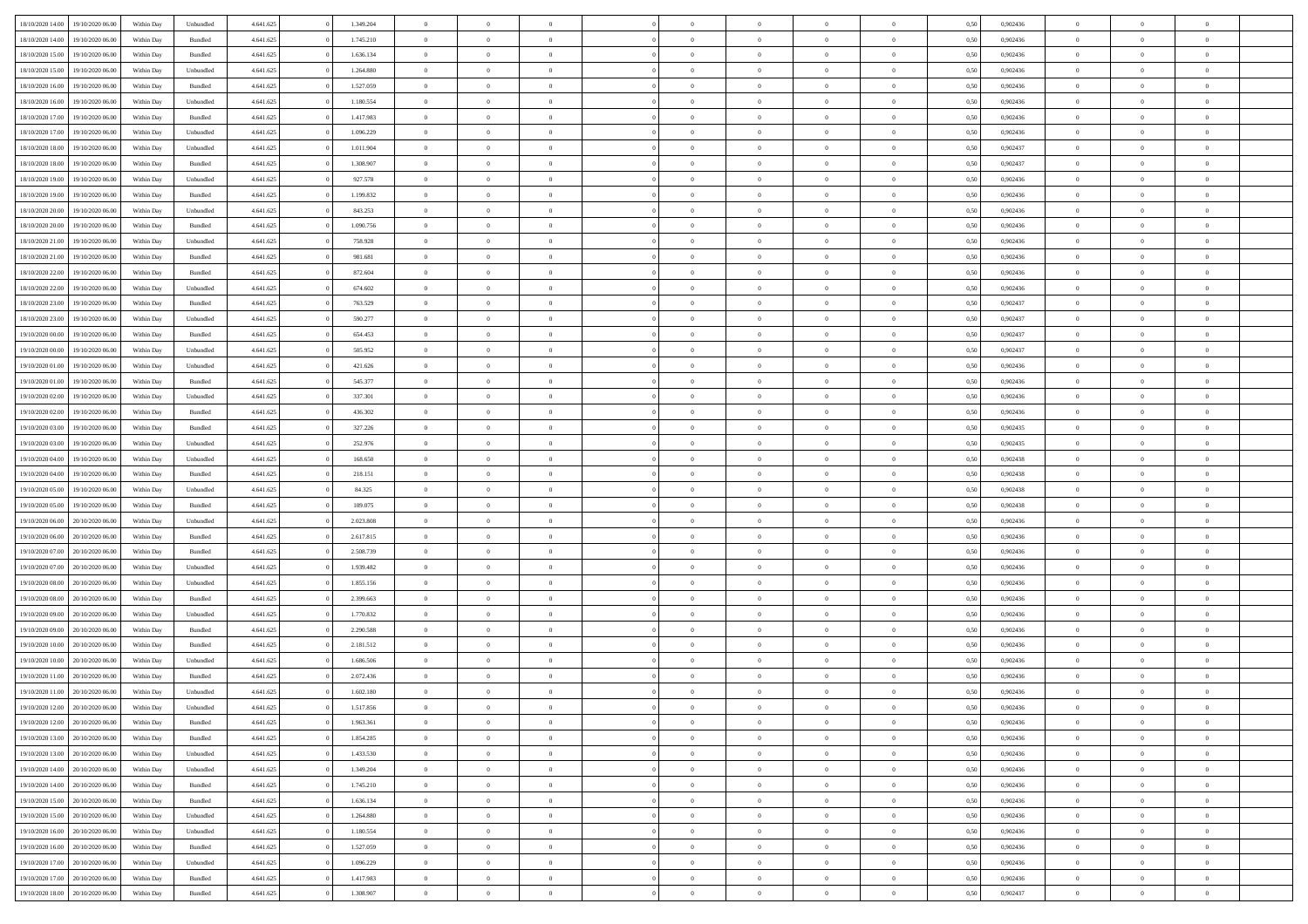| 18/10/2020 14:00                  | 19/10/2020 06:00 | Within Day         | Unbundled | 4.641.625 | 1.349.204 | $\overline{0}$ | $\theta$       |                | $\overline{0}$ | $\bf{0}$       | $\overline{0}$ | $\theta$       | 0,50 | 0,902436 | $\theta$       | $\theta$       | $\overline{0}$           |  |
|-----------------------------------|------------------|--------------------|-----------|-----------|-----------|----------------|----------------|----------------|----------------|----------------|----------------|----------------|------|----------|----------------|----------------|--------------------------|--|
| 18/10/2020 14:00                  | 19/10/2020 06.0  | Within Day         | Bundled   | 4.641.625 | 1.745.210 | $\overline{0}$ | $\overline{0}$ | $\overline{0}$ | $\overline{0}$ | $\,$ 0         | $\bf{0}$       | $\bf{0}$       | 0,50 | 0,902436 | $\,$ 0 $\,$    | $\overline{0}$ | $\overline{0}$           |  |
|                                   |                  |                    |           |           |           |                |                |                |                |                |                |                |      |          |                |                |                          |  |
| 18/10/2020 15:00                  | 19/10/2020 06:00 | Within Day         | Bundled   | 4.641.625 | 1.636.134 | $\overline{0}$ | $\overline{0}$ | $\overline{0}$ | $\overline{0}$ | $\bf{0}$       | $\overline{0}$ | $\overline{0}$ | 0.50 | 0.902436 | $\bf{0}$       | $\overline{0}$ | $\overline{0}$           |  |
| 18/10/2020 15:00                  | 19/10/2020 06.00 | Within Day         | Unbundled | 4.641.625 | 1.264.880 | $\overline{0}$ | $\overline{0}$ | $\overline{0}$ | $\overline{0}$ | $\,$ 0         | $\overline{0}$ | $\overline{0}$ | 0,50 | 0,902436 | $\,$ 0 $\,$    | $\overline{0}$ | $\overline{0}$           |  |
| 18/10/2020 16:00                  | 19/10/2020 06.00 | Within Day         | Bundled   | 4.641.625 | 1.527.059 | $\overline{0}$ | $\theta$       | $\overline{0}$ |                | $\overline{0}$ | $\overline{0}$ | $\bf{0}$       | 0,50 | 0,902436 | $\,$ 0 $\,$    | $\overline{0}$ | $\overline{0}$           |  |
| 18/10/2020 16:00                  | 19/10/2020 06:00 | Within Day         | Unbundled | 4.641.625 | 1.180.554 | $\overline{0}$ | $\overline{0}$ | $\overline{0}$ | $\overline{0}$ | $\bf{0}$       | $\overline{0}$ | $\overline{0}$ | 0.50 | 0.902436 | $\,0\,$        | $\theta$       | $\overline{0}$           |  |
| 18/10/2020 17:00                  | 19/10/2020 06.00 | Within Day         | Bundled   | 4.641.625 | 1.417.983 | $\overline{0}$ | $\overline{0}$ | $\overline{0}$ | $\overline{0}$ | $\,$ 0         | $\overline{0}$ | $\overline{0}$ | 0,50 | 0,902436 | $\,$ 0 $\,$    | $\theta$       | $\overline{0}$           |  |
| 18/10/2020 17:00                  | 19/10/2020 06.00 | Within Day         | Unbundled | 4.641.625 | 1.096.229 | $\overline{0}$ | $\theta$       | $\overline{0}$ | $\overline{0}$ | $\bf{0}$       | $\overline{0}$ | $\bf{0}$       | 0,50 | 0,902436 | $\,$ 0 $\,$    | $\overline{0}$ | $\overline{0}$           |  |
| 18/10/2020 18:00                  | 19/10/2020 06:00 | Within Day         | Unbundled | 4.641.625 | 1.011.904 | $\overline{0}$ | $\overline{0}$ | $\overline{0}$ | $\overline{0}$ | $\bf{0}$       | $\overline{0}$ | $\bf{0}$       | 0.50 | 0.902437 | $\,0\,$        | $\overline{0}$ | $\overline{0}$           |  |
| 18/10/2020 18:00                  | 19/10/2020 06.00 | Within Day         | Bundled   | 4.641.625 | 1.308.907 | $\overline{0}$ | $\overline{0}$ | $\overline{0}$ | $\overline{0}$ | $\,$ 0         | $\overline{0}$ | $\bf{0}$       | 0,50 | 0,902437 | $\,$ 0 $\,$    | $\overline{0}$ | $\overline{0}$           |  |
| 18/10/2020 19:00                  | 19/10/2020 06.00 | Within Day         | Unbundled | 4.641.625 | 927.578   | $\bf{0}$       | $\theta$       | $\overline{0}$ | $\overline{0}$ | $\,$ 0         | $\overline{0}$ | $\bf{0}$       | 0,50 | 0,902436 | $\,$ 0 $\,$    | $\overline{0}$ | $\overline{0}$           |  |
| 18/10/2020 19:00                  | 19/10/2020 06:00 | Within Day         | Bundled   | 4.641.625 | 1.199.832 | $\overline{0}$ | $\overline{0}$ | $\overline{0}$ | $\overline{0}$ | $\bf{0}$       | $\overline{0}$ | $\mathbf{0}$   | 0.50 | 0.902436 | $\bf{0}$       | $\overline{0}$ | $\overline{\phantom{a}}$ |  |
|                                   |                  |                    |           |           |           |                | $\overline{0}$ |                |                |                |                |                |      |          |                | $\overline{0}$ |                          |  |
| 18/10/2020 20:00                  | 19/10/2020 06.00 | Within Day         | Unbundled | 4.641.625 | 843.253   | $\overline{0}$ |                | $\overline{0}$ | $\overline{0}$ | $\,$ 0         | $\overline{0}$ | $\overline{0}$ | 0,50 | 0,902436 | $\,$ 0 $\,$    |                | $\overline{0}$           |  |
| 18/10/2020 20:00                  | 19/10/2020 06.00 | Within Day         | Bundled   | 4.641.625 | 1.090.756 | $\overline{0}$ | $\theta$       | $\overline{0}$ | $\overline{0}$ | $\overline{0}$ | $\overline{0}$ | $\bf{0}$       | 0,50 | 0,902436 | $\,$ 0 $\,$    | $\overline{0}$ | $\overline{0}$           |  |
| 18/10/2020 21:00                  | 19/10/2020 06:00 | Within Day         | Unbundled | 4.641.625 | 758.928   | $\overline{0}$ | $\overline{0}$ | $\overline{0}$ | $\overline{0}$ | $\,$ 0         | $\overline{0}$ | $\overline{0}$ | 0.50 | 0.902436 | $\theta$       | $\theta$       | $\overline{0}$           |  |
| 18/10/2020 21:00                  | 19/10/2020 06.00 | Within Day         | Bundled   | 4.641.625 | 981.681   | $\overline{0}$ | $\overline{0}$ | $\overline{0}$ | $\overline{0}$ | $\,$ 0         | $\overline{0}$ | $\bf{0}$       | 0,50 | 0,902436 | $\,0\,$        | $\theta$       | $\overline{0}$           |  |
| 18/10/2020 22:00                  | 19/10/2020 06.00 | Within Day         | Bundled   | 4.641.625 | 872.604   | $\overline{0}$ | $\theta$       | $\overline{0}$ | $\overline{0}$ | $\bf{0}$       | $\overline{0}$ | $\bf{0}$       | 0,50 | 0,902436 | $\,$ 0 $\,$    | $\overline{0}$ | $\overline{0}$           |  |
| 18/10/2020 22.00                  | 19/10/2020 06:00 | Within Day         | Unbundled | 4.641.625 | 674.602   | $\overline{0}$ | $\overline{0}$ | $\overline{0}$ | $\overline{0}$ | $\bf{0}$       | $\overline{0}$ | $\bf{0}$       | 0.50 | 0.902436 | $\,0\,$        | $\overline{0}$ | $\overline{0}$           |  |
| 18/10/2020 23:00                  | 19/10/2020 06.00 | Within Day         | Bundled   | 4.641.625 | 763.529   | $\overline{0}$ | $\overline{0}$ | $\overline{0}$ | $\overline{0}$ | $\bf{0}$       | $\overline{0}$ | $\bf{0}$       | 0,50 | 0,902437 | $\,$ 0 $\,$    | $\overline{0}$ | $\overline{0}$           |  |
| 18/10/2020 23:00                  | 19/10/2020 06.00 | Within Day         | Unbundled | 4.641.625 | 590.277   | $\overline{0}$ | $\theta$       | $\overline{0}$ | $\overline{0}$ | $\,$ 0         | $\overline{0}$ | $\bf{0}$       | 0,50 | 0,902437 | $\,$ 0 $\,$    | $\overline{0}$ | $\overline{0}$           |  |
| 19/10/2020 00:00                  | 19/10/2020 06:00 | Within Day         | Bundled   | 4.641.625 | 654.453   | $\overline{0}$ | $\overline{0}$ | $\overline{0}$ | $\overline{0}$ | $\bf{0}$       | $\overline{0}$ | $\mathbf{0}$   | 0.50 | 0.902437 | $\bf{0}$       | $\overline{0}$ | $\overline{\phantom{a}}$ |  |
| 19/10/2020 00:00                  | 19/10/2020 06.00 | Within Day         | Unbundled | 4.641.625 | 505.952   | $\overline{0}$ | $\overline{0}$ | $\overline{0}$ | $\overline{0}$ | $\bf{0}$       | $\overline{0}$ | $\overline{0}$ | 0,50 | 0,902437 | $\,$ 0 $\,$    | $\overline{0}$ | $\overline{0}$           |  |
|                                   | 19/10/2020 06.00 | Within Day         | Unbundled | 4.641.625 | 421.626   | $\overline{0}$ | $\theta$       | $\overline{0}$ | $\overline{0}$ | $\,$ 0         | $\overline{0}$ | $\bf{0}$       | 0,50 | 0,902436 | $\,$ 0 $\,$    | $\overline{0}$ | $\overline{0}$           |  |
| 19/10/2020 01:00                  |                  |                    |           |           |           |                |                |                |                |                |                |                |      |          |                |                |                          |  |
| 19/10/2020 01:00                  | 19/10/2020 06:00 | Within Day         | Bundled   | 4.641.625 | 545,377   | $\overline{0}$ | $\overline{0}$ | $\overline{0}$ | $\overline{0}$ | $\bf{0}$       | $\overline{0}$ | $\bf{0}$       | 0.50 | 0.902436 | $\,0\,$        | $\theta$       | $\overline{0}$           |  |
| 19/10/2020 02.00                  | 19/10/2020 06:00 | Within Day         | Unbundled | 4.641.625 | 337.301   | $\overline{0}$ | $\overline{0}$ | $\overline{0}$ | $\overline{0}$ | $\,$ 0         | $\overline{0}$ | $\overline{0}$ | 0,50 | 0,902436 | $\,0\,$        | $\theta$       | $\overline{0}$           |  |
| 19/10/2020 02:00                  | 19/10/2020 06.00 | Within Day         | Bundled   | 4.641.625 | 436.302   | $\overline{0}$ | $\theta$       | $\overline{0}$ |                | $\bf{0}$       | $\overline{0}$ | $\bf{0}$       | 0,50 | 0,902436 | $\,$ 0 $\,$    | $\overline{0}$ | $\overline{0}$           |  |
| 19/10/2020 03:00                  | 19/10/2020 06:00 | Within Day         | Bundled   | 4.641.625 | 327.226   | $\overline{0}$ | $\overline{0}$ | $\overline{0}$ | $\overline{0}$ | $\bf{0}$       | $\overline{0}$ | $\bf{0}$       | 0.50 | 0.902435 | $\,0\,$        | $\overline{0}$ | $\overline{0}$           |  |
| 19/10/2020 03:00                  | 19/10/2020 06.00 | Within Day         | Unbundled | 4.641.625 | 252.976   | $\overline{0}$ | $\overline{0}$ | $\overline{0}$ | $\overline{0}$ | $\bf{0}$       | $\overline{0}$ | $\bf{0}$       | 0,50 | 0,902435 | $\,$ 0 $\,$    | $\overline{0}$ | $\overline{0}$           |  |
| 19/10/2020 04:00                  | 19/10/2020 06.00 | Within Day         | Unbundled | 4.641.625 | 168.650   | $\overline{0}$ | $\overline{0}$ | $\overline{0}$ | $\overline{0}$ | $\,$ 0         | $\overline{0}$ | $\bf{0}$       | 0,50 | 0,902438 | $\,$ 0 $\,$    | $\overline{0}$ | $\overline{0}$           |  |
| 19/10/2020 04:00                  | 19/10/2020 06:00 | Within Day         | Bundled   | 4.641.625 | 218.151   | $\overline{0}$ | $\overline{0}$ | $\overline{0}$ | $\overline{0}$ | $\bf{0}$       | $\overline{0}$ | $\mathbf{0}$   | 0.50 | 0.902438 | $\bf{0}$       | $\overline{0}$ | $\overline{\phantom{a}}$ |  |
| 19/10/2020 05:00                  | 19/10/2020 06:00 | Within Dav         | Unbundled | 4.641.625 | 84.325    | $\overline{0}$ | $\overline{0}$ | $\overline{0}$ | $\overline{0}$ | $\mathbf{0}$   | $\overline{0}$ | $\overline{0}$ | 0.50 | 0,902438 | $\theta$       | $\overline{0}$ | $\overline{0}$           |  |
| 19/10/2020 05:00                  | 19/10/2020 06.00 | Within Day         | Bundled   | 4.641.625 | 109.075   | $\overline{0}$ | $\theta$       | $\overline{0}$ | $\overline{0}$ | $\bf{0}$       | $\overline{0}$ | $\bf{0}$       | 0,50 | 0,902438 | $\,$ 0 $\,$    | $\overline{0}$ | $\overline{0}$           |  |
| 19/10/2020 06:00                  | 20/10/2020 06:00 | Within Day         | Unbundled | 4.641.625 | 2.023.808 | $\overline{0}$ | $\overline{0}$ | $\overline{0}$ | $\overline{0}$ | $\,$ 0         | $\overline{0}$ | $\bf{0}$       | 0.50 | 0.902436 | $\,0\,$        | $\theta$       | $\overline{0}$           |  |
| 19/10/2020 06:00                  | 20/10/2020 06:00 | Within Dav         | Bundled   | 4.641.625 | 2.617.815 | $\overline{0}$ | $\theta$       | $\Omega$       | $\overline{0}$ | $\bf{0}$       | $\overline{0}$ | $\overline{0}$ | 0.50 | 0,902436 | $\theta$       | $\overline{0}$ | $\overline{0}$           |  |
|                                   |                  |                    |           |           |           | $\overline{0}$ | $\theta$       | $\overline{0}$ |                |                |                |                |      |          |                |                | $\overline{0}$           |  |
| 19/10/2020 07:00                  | 20/10/2020 06.00 | Within Day         | Bundled   | 4.641.625 | 2.508.739 |                |                |                | $\overline{0}$ | $\,$ 0         | $\overline{0}$ | $\bf{0}$       | 0,50 | 0,902436 | $\,$ 0 $\,$    | $\overline{0}$ |                          |  |
| 19/10/2020 07.00                  | 20/10/2020 06:00 | Within Day         | Unbundled | 4.641.625 | 1.939.482 | $\overline{0}$ | $\overline{0}$ | $\overline{0}$ | $\overline{0}$ | $\bf{0}$       | $\overline{0}$ | $\bf{0}$       | 0.50 | 0.902436 | $\,0\,$        | $\overline{0}$ | $\overline{0}$           |  |
| 19/10/2020 08:00                  | 20/10/2020 06:00 | Within Dav         | Unbundled | 4.641.625 | 1.855.156 | $\overline{0}$ | $\overline{0}$ | $\overline{0}$ | $\overline{0}$ | $\overline{0}$ | $\overline{0}$ | $\overline{0}$ | 0.50 | 0,902436 | $\theta$       | $\overline{0}$ | $\overline{0}$           |  |
| 19/10/2020 08:00                  | 20/10/2020 06.00 | Within Day         | Bundled   | 4.641.625 | 2.399.663 | $\overline{0}$ | $\overline{0}$ | $\overline{0}$ | $\overline{0}$ | $\bf{0}$       | $\bf{0}$       | $\bf{0}$       | 0,50 | 0,902436 | $\,$ 0 $\,$    | $\overline{0}$ | $\overline{0}$           |  |
| 19/10/2020 09:00                  | 20/10/2020 06:00 | Within Day         | Unbundled | 4.641.625 | 1.770.832 | $\overline{0}$ | $\overline{0}$ | $\overline{0}$ | $\overline{0}$ | $\bf{0}$       | $\overline{0}$ | $\mathbf{0}$   | 0.50 | 0.902436 | $\bf{0}$       | $\overline{0}$ | $\overline{0}$           |  |
| 19/10/2020 09:00                  | 20/10/2020 06:00 | Within Dav         | Bundled   | 4.641.625 | 2.290.588 | $\overline{0}$ | $\overline{0}$ | $\Omega$       | $\overline{0}$ | $\mathbf{0}$   | $\overline{0}$ | $\overline{0}$ | 0.50 | 0,902436 | $\theta$       | $\overline{0}$ | $\overline{0}$           |  |
| 19/10/2020 10:00                  | 20/10/2020 06.00 | Within Day         | Bundled   | 4.641.625 | 2.181.512 | $\overline{0}$ | $\theta$       | $\overline{0}$ | $\overline{0}$ | $\,$ 0         | $\overline{0}$ | $\bf{0}$       | 0,50 | 0,902436 | $\,$ 0 $\,$    | $\overline{0}$ | $\overline{0}$           |  |
| 19/10/2020 10:00                  | 20/10/2020 06:00 | Within Day         | Unbundled | 4.641.625 | 1.686.506 | $\overline{0}$ | $\theta$       | $\overline{0}$ | $\overline{0}$ | $\bf{0}$       | $\Omega$       | $\overline{0}$ | 0.50 | 0.902436 | $\,0\,$        | $\theta$       | $\overline{0}$           |  |
| 19/10/2020 11:00                  | 20/10/2020 06:00 | Within Dav         | Bundled   | 4.641.625 | 2.072.436 | $\overline{0}$ | $\Omega$       | $\Omega$       | $\Omega$       | $\bf{0}$       | $\overline{0}$ | $\bf{0}$       | 0.50 | 0,902436 | $\theta$       | $\theta$       | $\overline{0}$           |  |
| 19/10/2020 11:00                  | 20/10/2020 06:00 | Within Day         | Unbundled | 4.641.625 | 1.602.180 | $\overline{0}$ | $\,$ 0 $\,$    | $\overline{0}$ | $\overline{0}$ | $\,$ 0         | $\bf{0}$       | $\bf{0}$       | 0,50 | 0,902436 | $\,$ 0 $\,$    | $\overline{0}$ | $\overline{0}$           |  |
| 19/10/2020 12:00 20/10/2020 06:00 |                  | Within ${\bf Day}$ | Unbundled | 4.641.625 | 1.517.856 | $\bf{0}$       | $\theta$       |                |                | $\Omega$       |                |                | 0,50 | 0.902436 | $\bf{0}$       | $\theta$       |                          |  |
|                                   |                  |                    |           |           |           |                | $\overline{0}$ |                |                | $\overline{0}$ |                |                |      |          | $\theta$       | $\overline{0}$ | $\overline{0}$           |  |
| 19/10/2020 12:00 20/10/2020 06:00 |                  | Within Day         | Bundled   | 4.641.625 | 1.963.361 | $\overline{0}$ |                | $\overline{0}$ | $\overline{0}$ |                | $\overline{0}$ | $\mathbf{0}$   | 0,50 | 0,902436 |                |                |                          |  |
| 19/10/2020 13:00                  | 20/10/2020 06:00 | Within Day         | Bundled   | 4.641.625 | 1.854.285 | $\overline{0}$ | $\overline{0}$ | $\overline{0}$ | $\bf{0}$       | $\overline{0}$ | $\overline{0}$ | $\bf{0}$       | 0,50 | 0,902436 | $\bf{0}$       | $\overline{0}$ | $\bf{0}$                 |  |
| 19/10/2020 13:00                  | 20/10/2020 06:00 | Within Day         | Unbundled | 4.641.625 | 1.433.530 | $\overline{0}$ | $\overline{0}$ | $\overline{0}$ | $\overline{0}$ | $\overline{0}$ | $\overline{0}$ | $\mathbf{0}$   | 0.50 | 0.902436 | $\overline{0}$ | $\bf{0}$       | $\bf{0}$                 |  |
| 19/10/2020 14:00                  | 20/10/2020 06:00 | Within Day         | Unbundled | 4.641.625 | 1.349.204 | $\overline{0}$ | $\overline{0}$ | $\overline{0}$ | $\overline{0}$ | $\overline{0}$ | $\overline{0}$ | $\mathbf{0}$   | 0,50 | 0,902436 | $\overline{0}$ | $\theta$       | $\overline{0}$           |  |
| 19/10/2020 14:00                  | 20/10/2020 06:00 | Within Day         | Bundled   | 4.641.625 | 1.745.210 | $\overline{0}$ | $\overline{0}$ | $\overline{0}$ | $\overline{0}$ | $\bf{0}$       | $\bf{0}$       | $\bf{0}$       | 0,50 | 0,902436 | $\bf{0}$       | $\overline{0}$ | $\overline{0}$           |  |
| 19/10/2020 15:00                  | 20/10/2020 06:00 | Within Day         | Bundled   | 4.641.625 | 1.636.134 | $\overline{0}$ | $\overline{0}$ | $\overline{0}$ | $\overline{0}$ | $\bf{0}$       | $\overline{0}$ | $\mathbf{0}$   | 0.50 | 0.902436 | $\,$ 0 $\,$    | $\theta$       | $\overline{0}$           |  |
| 19/10/2020 15:00                  | 20/10/2020 06:00 | Within Day         | Unbundled | 4.641.625 | 1.264.880 | $\overline{0}$ | $\overline{0}$ | $\overline{0}$ | $\overline{0}$ | $\overline{0}$ | $\overline{0}$ | $\overline{0}$ | 0,50 | 0,902436 | $\overline{0}$ | $\theta$       | $\overline{0}$           |  |
| 19/10/2020 16:00                  | 20/10/2020 06:00 | Within Day         | Unbundled | 4.641.625 | 1.180.554 | $\overline{0}$ | $\,$ 0         | $\overline{0}$ | $\bf{0}$       | $\,$ 0 $\,$    | $\overline{0}$ | $\bf{0}$       | 0,50 | 0,902436 | $\,$ 0 $\,$    | $\overline{0}$ | $\overline{0}$           |  |
| 19/10/2020 16:00                  | 20/10/2020 06:00 | Within Day         | Bundled   | 4.641.625 | 1.527.059 | $\overline{0}$ | $\overline{0}$ | $\overline{0}$ | $\overline{0}$ | $\bf{0}$       | $\overline{0}$ | $\mathbf{0}$   | 0.50 | 0.902436 | $\mathbf{0}$   | $\bf{0}$       | $\overline{0}$           |  |
| 19/10/2020 17.00                  | 20/10/2020 06:00 | Within Day         | Unbundled | 4.641.625 | 1.096.229 | $\overline{0}$ | $\overline{0}$ | $\overline{0}$ | $\overline{0}$ | $\overline{0}$ | $\overline{0}$ | $\overline{0}$ | 0,50 | 0,902436 | $\overline{0}$ | $\overline{0}$ | $\overline{0}$           |  |
| 19/10/2020 17.00                  | 20/10/2020 06.00 | Within Day         | Bundled   | 4.641.625 | 1.417.983 | $\overline{0}$ | $\overline{0}$ | $\overline{0}$ | $\bf{0}$       | $\bf{0}$       | $\bf{0}$       | $\bf{0}$       | 0,50 | 0,902436 | $\bf{0}$       | $\overline{0}$ | $\bf{0}$                 |  |
|                                   |                  |                    |           |           |           |                |                |                |                |                |                |                |      |          |                |                |                          |  |
| 19/10/2020 18:00 20/10/2020 06:00 |                  | Within Day         | Bundled   | 4.641.625 | 1.308.907 | $\,$ 0 $\,$    | $\,$ 0 $\,$    | $\overline{0}$ | $\overline{0}$ | $\,$ 0 $\,$    | $\,$ 0 $\,$    | $\,$ 0 $\,$    | 0,50 | 0,902437 | $\mathbf{0}^-$ | $\,$ 0 $\,$    | $\,$ 0 $\,$              |  |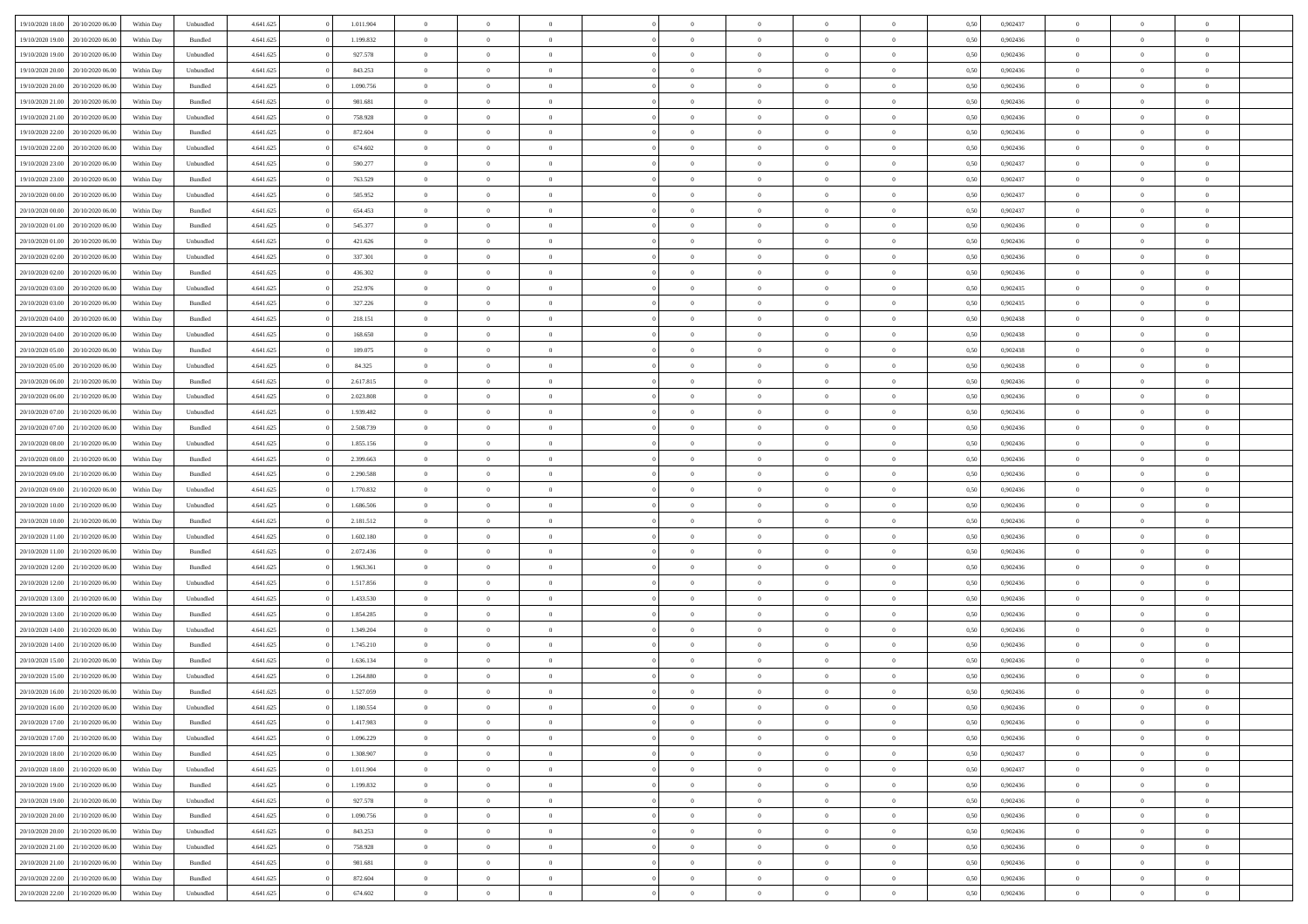| 19/10/2020 18:00                  | 20/10/2020 06:00 | Within Dav | Unbundled | 4.641.625 | 1.011.904 | $\overline{0}$ | $\theta$       |                | $\Omega$       | $\Omega$       | $\theta$       | $\theta$       | 0.50 | 0,902437 | $\theta$       | $\overline{0}$ | $\overline{0}$ |  |
|-----------------------------------|------------------|------------|-----------|-----------|-----------|----------------|----------------|----------------|----------------|----------------|----------------|----------------|------|----------|----------------|----------------|----------------|--|
|                                   |                  |            |           |           |           |                |                |                |                |                |                |                |      |          |                |                |                |  |
| 19/10/2020 19:00                  | 20/10/2020 06.00 | Within Day | Bundled   | 4.641.625 | 1.199.832 | $\overline{0}$ | $\theta$       | $\overline{0}$ | $\overline{0}$ | $\bf{0}$       | $\overline{0}$ | $\bf{0}$       | 0,50 | 0,902436 | $\theta$       | $\overline{0}$ | $\overline{0}$ |  |
| 19/10/2020 19:00                  | 20/10/2020 06:00 | Within Day | Unbundled | 4.641.625 | 927.578   | $\overline{0}$ | $\bf{0}$       | $\overline{0}$ | $\overline{0}$ | $\bf{0}$       | $\overline{0}$ | $\mathbf{0}$   | 0,50 | 0,902436 | $\overline{0}$ | $\overline{0}$ | $\overline{0}$ |  |
| 19/10/2020 20:00                  | 20/10/2020 06:00 | Within Dav | Unbundled | 4.641.625 | 843.253   | $\overline{0}$ | $\overline{0}$ | $\overline{0}$ | $\overline{0}$ | $\bf{0}$       | $\overline{0}$ | $\overline{0}$ | 0.50 | 0,902436 | $\theta$       | $\theta$       | $\overline{0}$ |  |
| 19/10/2020 20:00                  | 20/10/2020 06.00 | Within Day | Bundled   | 4.641.625 | 1.090.756 | $\overline{0}$ | $\theta$       | $\overline{0}$ | $\overline{0}$ | $\bf{0}$       | $\overline{0}$ | $\bf{0}$       | 0,50 | 0,902436 | $\,$ 0 $\,$    | $\overline{0}$ | $\overline{0}$ |  |
|                                   |                  |            |           |           |           |                |                |                |                |                |                |                |      |          |                |                |                |  |
| 19/10/2020 21.00                  | 20/10/2020 06:00 | Within Day | Bundled   | 4.641.625 | 981.681   | $\overline{0}$ | $\overline{0}$ | $\overline{0}$ | $\overline{0}$ | $\overline{0}$ | $\overline{0}$ | $\mathbf{0}$   | 0,50 | 0,902436 | $\overline{0}$ | $\overline{0}$ | $\bf{0}$       |  |
| 19/10/2020 21:00                  | 20/10/2020 06:00 | Within Dav | Unbundled | 4.641.625 | 758.928   | $\overline{0}$ | $\overline{0}$ | $\overline{0}$ | $\overline{0}$ | $\overline{0}$ | $\overline{0}$ | $\overline{0}$ | 0.50 | 0,902436 | $\theta$       | $\overline{0}$ | $\overline{0}$ |  |
| 19/10/2020 22.00                  | 20/10/2020 06.00 | Within Day | Bundled   | 4.641.625 | 872.604   | $\overline{0}$ | $\theta$       | $\overline{0}$ | $\overline{0}$ | $\bf{0}$       | $\overline{0}$ | $\bf{0}$       | 0,50 | 0,902436 | $\theta$       | $\theta$       | $\overline{0}$ |  |
| 19/10/2020 22.00                  | 20/10/2020 06:00 | Within Day | Unbundled | 4.641.625 | 674.602   | $\overline{0}$ | $\overline{0}$ | $\overline{0}$ | $\overline{0}$ | $\bf{0}$       | $\overline{0}$ | $\bf{0}$       | 0,50 | 0,902436 | $\,0\,$        | $\overline{0}$ | $\overline{0}$ |  |
| 19/10/2020 23:00                  | 20/10/2020 06:00 | Within Dav | Unbundled | 4.641.625 | 590.277   | $\overline{0}$ | $\overline{0}$ | $\overline{0}$ | $\overline{0}$ | $\overline{0}$ | $\overline{0}$ | $\overline{0}$ | 0.50 | 0,902437 | $\theta$       | $\overline{0}$ | $\overline{0}$ |  |
| 19/10/2020 23.00                  | 20/10/2020 06.00 | Within Day | Bundled   | 4.641.625 | 763.529   | $\overline{0}$ | $\theta$       | $\overline{0}$ | $\overline{0}$ | $\bf{0}$       | $\overline{0}$ | $\bf{0}$       | 0,50 | 0,902437 | $\,$ 0 $\,$    | $\overline{0}$ | $\overline{0}$ |  |
|                                   |                  |            |           |           |           |                |                |                |                |                |                |                |      |          |                |                |                |  |
| 20/10/2020 00:00                  | 20/10/2020 06:00 | Within Day | Unbundled | 4.641.625 | 505.952   | $\overline{0}$ | $\bf{0}$       | $\overline{0}$ | $\overline{0}$ | $\bf{0}$       | $\overline{0}$ | $\mathbf{0}$   | 0,50 | 0,902437 | $\overline{0}$ | $\overline{0}$ | $\bf{0}$       |  |
| 20/10/2020 00:00                  | 20/10/2020 06:00 | Within Day | Bundled   | 4.641.625 | 654.453   | $\overline{0}$ | $\overline{0}$ | $\overline{0}$ | $\overline{0}$ | $\bf{0}$       | $\overline{0}$ | $\overline{0}$ | 0.50 | 0,902437 | $\theta$       | $\theta$       | $\overline{0}$ |  |
| 20/10/2020 01:00                  | 20/10/2020 06.00 | Within Day | Bundled   | 4.641.625 | 545.377   | $\overline{0}$ | $\theta$       | $\overline{0}$ | $\overline{0}$ | $\bf{0}$       | $\overline{0}$ | $\bf{0}$       | 0,50 | 0,902436 | $\theta$       | $\overline{0}$ | $\overline{0}$ |  |
| 20/10/2020 01:00                  | 20/10/2020 06:00 | Within Day | Unbundled | 4.641.625 | 421.626   | $\overline{0}$ | $\overline{0}$ | $\overline{0}$ | $\bf{0}$       | $\overline{0}$ | $\overline{0}$ | $\mathbf{0}$   | 0,50 | 0,902436 | $\overline{0}$ | $\overline{0}$ | $\bf{0}$       |  |
| 20/10/2020 02:00                  | 20/10/2020 06:00 | Within Dav | Unbundled | 4.641.625 | 337.301   | $\overline{0}$ | $\overline{0}$ | $\overline{0}$ | $\overline{0}$ | $\overline{0}$ | $\overline{0}$ | $\overline{0}$ | 0.50 | 0,902436 | $\theta$       | $\overline{0}$ | $\overline{0}$ |  |
| 20/10/2020 02:00                  | 20/10/2020 06.00 | Within Day | Bundled   | 4.641.625 | 436.302   | $\overline{0}$ | $\theta$       | $\overline{0}$ | $\overline{0}$ | $\bf{0}$       | $\overline{0}$ | $\bf{0}$       | 0,50 | 0,902436 | $\,$ 0 $\,$    | $\overline{0}$ | $\overline{0}$ |  |
| 20/10/2020 03:00                  | 20/10/2020 06:00 | Within Day | Unbundled | 4.641.625 | 252.976   | $\overline{0}$ | $\overline{0}$ | $\overline{0}$ | $\bf{0}$       | $\bf{0}$       | $\bf{0}$       | $\mathbf{0}$   | 0,50 | 0,902435 | $\bf{0}$       | $\overline{0}$ | $\bf{0}$       |  |
| 20/10/2020 03:00                  | 20/10/2020 06:00 | Within Day | Bundled   | 4.641.625 | 327.226   | $\overline{0}$ | $\overline{0}$ | $\overline{0}$ | $\overline{0}$ | $\overline{0}$ | $\overline{0}$ | $\overline{0}$ | 0.50 | 0,902435 | $\theta$       | $\overline{0}$ | $\overline{0}$ |  |
|                                   |                  |            |           |           |           |                |                |                |                |                |                |                |      |          |                |                |                |  |
| 20/10/2020 04:00                  | 20/10/2020 06.00 | Within Day | Bundled   | 4.641.625 | 218.151   | $\overline{0}$ | $\theta$       | $\overline{0}$ | $\overline{0}$ | $\bf{0}$       | $\overline{0}$ | $\bf{0}$       | 0,50 | 0,902438 | $\,$ 0 $\,$    | $\overline{0}$ | $\overline{0}$ |  |
| 20/10/2020 04:00                  | 20/10/2020 06:00 | Within Day | Unbundled | 4.641.625 | 168.650   | $\overline{0}$ | $\overline{0}$ | $\overline{0}$ | $\bf{0}$       | $\bf{0}$       | $\bf{0}$       | $\bf{0}$       | 0,50 | 0,902438 | $\overline{0}$ | $\overline{0}$ | $\bf{0}$       |  |
| 20/10/2020 05:00                  | 20/10/2020 06:00 | Within Day | Bundled   | 4.641.625 | 109.075   | $\overline{0}$ | $\overline{0}$ | $\overline{0}$ | $\overline{0}$ | $\overline{0}$ | $\overline{0}$ | $\overline{0}$ | 0.50 | 0,902438 | $\theta$       | $\overline{0}$ | $\overline{0}$ |  |
| 20/10/2020 05:00                  | 20/10/2020 06.00 | Within Day | Unbundled | 4.641.625 | 84.325    | $\overline{0}$ | $\theta$       | $\overline{0}$ | $\overline{0}$ | $\bf{0}$       | $\overline{0}$ | $\bf{0}$       | 0,50 | 0,902438 | $\,$ 0 $\,$    | $\overline{0}$ | $\overline{0}$ |  |
| 20/10/2020 06.00                  | 21/10/2020 06.00 | Within Day | Bundled   | 4.641.625 | 2.617.815 | $\overline{0}$ | $\overline{0}$ | $\overline{0}$ | $\bf{0}$       | $\overline{0}$ | $\overline{0}$ | $\mathbf{0}$   | 0,50 | 0,902436 | $\overline{0}$ | $\overline{0}$ | $\bf{0}$       |  |
| 20/10/2020 06:00                  | 21/10/2020 06.00 | Within Day | Unbundled | 4.641.625 | 2.023.808 | $\overline{0}$ | $\overline{0}$ | $\overline{0}$ | $\overline{0}$ | $\overline{0}$ | $\overline{0}$ | $\overline{0}$ | 0.50 | 0,902436 | $\overline{0}$ | $\overline{0}$ | $\overline{0}$ |  |
| 20/10/2020 07.00                  | 21/10/2020 06.00 | Within Day | Unbundled | 4.641.625 | 1.939.482 | $\overline{0}$ | $\theta$       | $\overline{0}$ | $\overline{0}$ | $\bf{0}$       | $\overline{0}$ | $\bf{0}$       | 0,50 | 0,902436 | $\,$ 0 $\,$    | $\theta$       | $\overline{0}$ |  |
|                                   |                  |            |           |           |           |                |                |                |                |                |                |                |      |          |                |                |                |  |
| 20/10/2020 07:00                  | 21/10/2020 06.00 | Within Day | Bundled   | 4.641.625 | 2.508.739 | $\overline{0}$ | $\overline{0}$ | $\overline{0}$ | $\bf{0}$       | $\bf{0}$       | $\bf{0}$       | $\bf{0}$       | 0,50 | 0,902436 | $\,0\,$        | $\overline{0}$ | $\overline{0}$ |  |
| 20/10/2020 08:00                  | 21/10/2020 06:00 | Within Day | Unbundled | 4.641.625 | 1.855.156 | $\overline{0}$ | $\overline{0}$ | $\overline{0}$ | $\overline{0}$ | $\overline{0}$ | $\overline{0}$ | $\overline{0}$ | 0.50 | 0,902436 | $\theta$       | $\overline{0}$ | $\overline{0}$ |  |
| 20/10/2020 08:00                  | 21/10/2020 06.00 | Within Day | Bundled   | 4.641.625 | 2.399.663 | $\overline{0}$ | $\theta$       | $\overline{0}$ | $\overline{0}$ | $\bf{0}$       | $\overline{0}$ | $\bf{0}$       | 0,50 | 0,902436 | $\,$ 0 $\,$    | $\overline{0}$ | $\overline{0}$ |  |
| 20/10/2020 09:00                  | 21/10/2020 06.00 | Within Day | Bundled   | 4.641.625 | 2.290.588 | $\overline{0}$ | $\overline{0}$ | $\overline{0}$ | $\bf{0}$       | $\bf{0}$       | $\bf{0}$       | $\bf{0}$       | 0,50 | 0,902436 | $\overline{0}$ | $\overline{0}$ | $\bf{0}$       |  |
| 20/10/2020 09:00                  | 21/10/2020 06.00 | Within Day | Unbundled | 4.641.625 | 1.770.832 | $\overline{0}$ | $\Omega$       | $\overline{0}$ | $\Omega$       | $\Omega$       | $\overline{0}$ | $\overline{0}$ | 0,50 | 0.902436 | $\,0\,$        | $\theta$       | $\theta$       |  |
| 20/10/2020 10:00                  | 21/10/2020 06.00 | Within Day | Unbundled | 4.641.625 | 1.686.506 | $\overline{0}$ | $\theta$       | $\overline{0}$ | $\overline{0}$ | $\bf{0}$       | $\overline{0}$ | $\bf{0}$       | 0,50 | 0,902436 | $\,$ 0 $\,$    | $\overline{0}$ | $\overline{0}$ |  |
|                                   |                  |            |           |           |           |                |                |                |                |                |                |                |      |          |                | $\overline{0}$ | $\bf{0}$       |  |
| 20/10/2020 10:00                  | 21/10/2020 06.00 | Within Day | Bundled   | 4.641.625 | 2.181.512 | $\overline{0}$ | $\overline{0}$ | $\overline{0}$ | $\bf{0}$       | $\overline{0}$ | $\overline{0}$ | $\mathbf{0}$   | 0,50 | 0,902436 | $\overline{0}$ |                |                |  |
| 20/10/2020 11:00                  | 21/10/2020 06:00 | Within Day | Unbundled | 4.641.625 | 1.602.180 | $\overline{0}$ | $\Omega$       | $\Omega$       | $\Omega$       | $\overline{0}$ | $\overline{0}$ | $\overline{0}$ | 0.50 | 0.902436 | $\,0\,$        | $\theta$       | $\theta$       |  |
| 20/10/2020 11:00                  | 21/10/2020 06.00 | Within Day | Bundled   | 4.641.625 | 2.072.436 | $\overline{0}$ | $\theta$       | $\overline{0}$ | $\overline{0}$ | $\bf{0}$       | $\overline{0}$ | $\bf{0}$       | 0,50 | 0,902436 | $\,$ 0 $\,$    | $\overline{0}$ | $\overline{0}$ |  |
| 20/10/2020 12:00                  | 21/10/2020 06.00 | Within Day | Bundled   | 4.641.625 | 1.963.361 | $\overline{0}$ | $\overline{0}$ | $\overline{0}$ | $\bf{0}$       | $\bf{0}$       | $\bf{0}$       | $\bf{0}$       | 0,50 | 0,902436 | $\bf{0}$       | $\overline{0}$ | $\bf{0}$       |  |
| 20/10/2020 12:00                  | 21/10/2020 06:00 | Within Day | Unbundled | 4.641.625 | 1.517.856 | $\overline{0}$ | $\Omega$       | $\overline{0}$ | $\Omega$       | $\overline{0}$ | $\overline{0}$ | $\overline{0}$ | 0.50 | 0.902436 | $\,$ 0 $\,$    | $\theta$       | $\theta$       |  |
| 20/10/2020 13:00                  | 21/10/2020 06.00 | Within Day | Unbundled | 4.641.625 | 1.433.530 | $\overline{0}$ | $\overline{0}$ | $\overline{0}$ | $\overline{0}$ | $\,$ 0         | $\overline{0}$ | $\bf{0}$       | 0,50 | 0,902436 | $\,$ 0 $\,$    | $\overline{0}$ | $\overline{0}$ |  |
| 20/10/2020 13:00                  | 21/10/2020 06.00 | Within Day | Bundled   | 4.641.625 | 1.854.285 | $\overline{0}$ | $\bf{0}$       | $\overline{0}$ | $\bf{0}$       | $\bf{0}$       | $\bf{0}$       | $\mathbf{0}$   | 0,50 | 0,902436 | $\bf{0}$       | $\overline{0}$ | $\bf{0}$       |  |
|                                   |                  |            |           |           |           |                |                |                |                |                |                |                |      |          |                |                | $\theta$       |  |
| 20/10/2020 14:00                  | 21/10/2020 06.00 | Within Day | Unbundled | 4.641.625 | 1.349.204 | $\overline{0}$ | $\Omega$       | $\overline{0}$ | $\Omega$       | $\overline{0}$ | $\overline{0}$ | $\overline{0}$ | 0,50 | 0,902436 | $\,0\,$        | $\theta$       |                |  |
| 20/10/2020 14:00                  | 21/10/2020 06.00 | Within Day | Bundled   | 4.641.625 | 1.745.210 | $\overline{0}$ | $\overline{0}$ | $\overline{0}$ | $\overline{0}$ | $\,$ 0         | $\overline{0}$ | $\bf{0}$       | 0,50 | 0,902436 | $\,$ 0 $\,$    | $\overline{0}$ | $\overline{0}$ |  |
| 20/10/2020 15:00                  | 21/10/2020 06.00 | Within Day | Bundled   | 4.641.625 | 1.636.134 | $\overline{0}$ | $\overline{0}$ | $\overline{0}$ | $\bf{0}$       | $\bf{0}$       | $\overline{0}$ | $\mathbf{0}$   | 0,50 | 0,902436 | $\bf{0}$       | $\overline{0}$ | $\bf{0}$       |  |
| 20/10/2020 15:00                  | 21/10/2020 06:00 | Within Day | Unbundled | 4.641.625 | 1.264.880 | $\overline{0}$ | $\Omega$       | $\Omega$       | $\Omega$       | $\Omega$       | $\Omega$       | $\overline{0}$ | 0.50 | 0.902436 | $\theta$       | $\theta$       | $\theta$       |  |
| 20/10/2020 16:00                  | 21/10/2020 06.00 | Within Day | Bundled   | 4.641.625 | 1.527.059 | $\overline{0}$ | $\overline{0}$ | $\overline{0}$ | $\bf{0}$       | $\,$ 0         | $\bf{0}$       | $\bf{0}$       | 0,50 | 0,902436 | $\,0\,$        | $\,$ 0 $\,$    | $\overline{0}$ |  |
| 20/10/2020 16:00                  | 21/10/2020 06.00 | Within Day | Unbundled | 4.641.625 | 1.180.554 | $\bf{0}$       | $\bf{0}$       |                |                | $\bf{0}$       |                |                | 0,50 | 0,902436 | $\bf{0}$       | $\overline{0}$ |                |  |
| 20/10/2020 17:00                  | 21/10/2020 06:00 | Within Day | Bundled   | 4.641.625 | 1.417.983 | $\overline{0}$ | $\overline{0}$ | $\overline{0}$ | $\Omega$       | $\theta$       | $\overline{0}$ | $\overline{0}$ | 0,50 | 0.902436 | $\theta$       | $\theta$       | $\theta$       |  |
| 20/10/2020 17.00                  | 21/10/2020 06.00 | Within Day | Unbundled | 4.641.625 | 1.096.229 | $\overline{0}$ | $\,$ 0         | $\overline{0}$ | $\bf{0}$       | $\,$ 0 $\,$    | $\overline{0}$ | $\mathbf{0}$   | 0,50 | 0,902436 | $\,$ 0 $\,$    | $\,$ 0 $\,$    | $\,$ 0         |  |
| 20/10/2020 18:00                  | 21/10/2020 06.00 | Within Day | Bundled   | 4.641.625 | 1.308.907 | $\overline{0}$ | $\overline{0}$ | $\overline{0}$ | $\overline{0}$ | $\overline{0}$ | $\overline{0}$ | $\mathbf{0}$   | 0,50 | 0,902437 | $\overline{0}$ | $\bf{0}$       | $\bf{0}$       |  |
|                                   |                  |            |           |           |           |                |                |                |                |                |                |                |      |          |                |                |                |  |
| 20/10/2020 18:00                  | 21/10/2020 06.00 | Within Day | Unbundled | 4.641.625 | 1.011.904 | $\overline{0}$ | $\overline{0}$ | $\overline{0}$ | $\Omega$       | $\overline{0}$ | $\overline{0}$ | $\overline{0}$ | 0,50 | 0,902437 | $\bf{0}$       | $\theta$       | $\overline{0}$ |  |
| 20/10/2020 19:00                  | 21/10/2020 06.00 | Within Day | Bundled   | 4.641.625 | 1.199.832 | $\overline{0}$ | $\,$ 0         | $\overline{0}$ | $\overline{0}$ | $\,$ 0 $\,$    | $\overline{0}$ | $\mathbf{0}$   | 0,50 | 0,902436 | $\,$ 0 $\,$    | $\overline{0}$ | $\overline{0}$ |  |
| 20/10/2020 19:00                  | 21/10/2020 06.00 | Within Day | Unbundled | 4.641.625 | 927.578   | $\overline{0}$ | $\overline{0}$ | $\overline{0}$ | $\overline{0}$ | $\overline{0}$ | $\overline{0}$ | $\mathbf{0}$   | 0,50 | 0,902436 | $\overline{0}$ | $\overline{0}$ | $\bf{0}$       |  |
| 20/10/2020 20:00                  | 21/10/2020 06.00 | Within Day | Bundled   | 4.641.625 | 1.090.756 | $\overline{0}$ | $\overline{0}$ | $\overline{0}$ | $\Omega$       | $\overline{0}$ | $\overline{0}$ | $\bf{0}$       | 0.50 | 0,902436 | $\overline{0}$ | $\theta$       | $\overline{0}$ |  |
| 20/10/2020 20:00                  | 21/10/2020 06.00 | Within Day | Unbundled | 4.641.625 | 843.253   | $\overline{0}$ | $\,$ 0         | $\overline{0}$ | $\overline{0}$ | $\bf{0}$       | $\overline{0}$ | $\bf{0}$       | 0,50 | 0,902436 | $\,$ 0 $\,$    | $\overline{0}$ | $\overline{0}$ |  |
| 20/10/2020 21:00                  | 21/10/2020 06.00 | Within Day | Unbundled | 4.641.625 | 758.928   | $\overline{0}$ | $\bf{0}$       | $\overline{0}$ | $\overline{0}$ | $\overline{0}$ | $\overline{0}$ | $\mathbf{0}$   | 0,50 | 0,902436 | $\overline{0}$ | $\overline{0}$ | $\bf{0}$       |  |
| 20/10/2020 21.00                  | 21/10/2020 06:00 | Within Day | Bundled   | 4.641.625 | 981.681   | $\overline{0}$ | $\overline{0}$ | $\overline{0}$ | $\Omega$       | $\overline{0}$ | $\overline{0}$ | $\bf{0}$       | 0.50 | 0.902436 | $\overline{0}$ | $\theta$       | $\overline{0}$ |  |
|                                   |                  |            |           |           |           |                | $\bf{0}$       |                |                |                |                |                |      |          | $\,$ 0 $\,$    | $\,$ 0 $\,$    |                |  |
| 20/10/2020 22.00                  | 21/10/2020 06.00 | Within Day | Bundled   | 4.641.625 | 872.604   | $\overline{0}$ |                | $\overline{0}$ | $\bf{0}$       | $\bf{0}$       | $\overline{0}$ | $\mathbf{0}$   | 0,50 | 0,902436 |                |                | $\bf{0}$       |  |
| 20/10/2020 22.00 21/10/2020 06.00 |                  | Within Day | Unbundled | 4.641.625 | 674.602   | $\overline{0}$ | $\overline{0}$ | $\overline{0}$ | $\overline{0}$ | $\overline{0}$ | $\overline{0}$ | $\mathbf{0}$   | 0,50 | 0,902436 | $\overline{0}$ | $\bf{0}$       | $\bf{0}$       |  |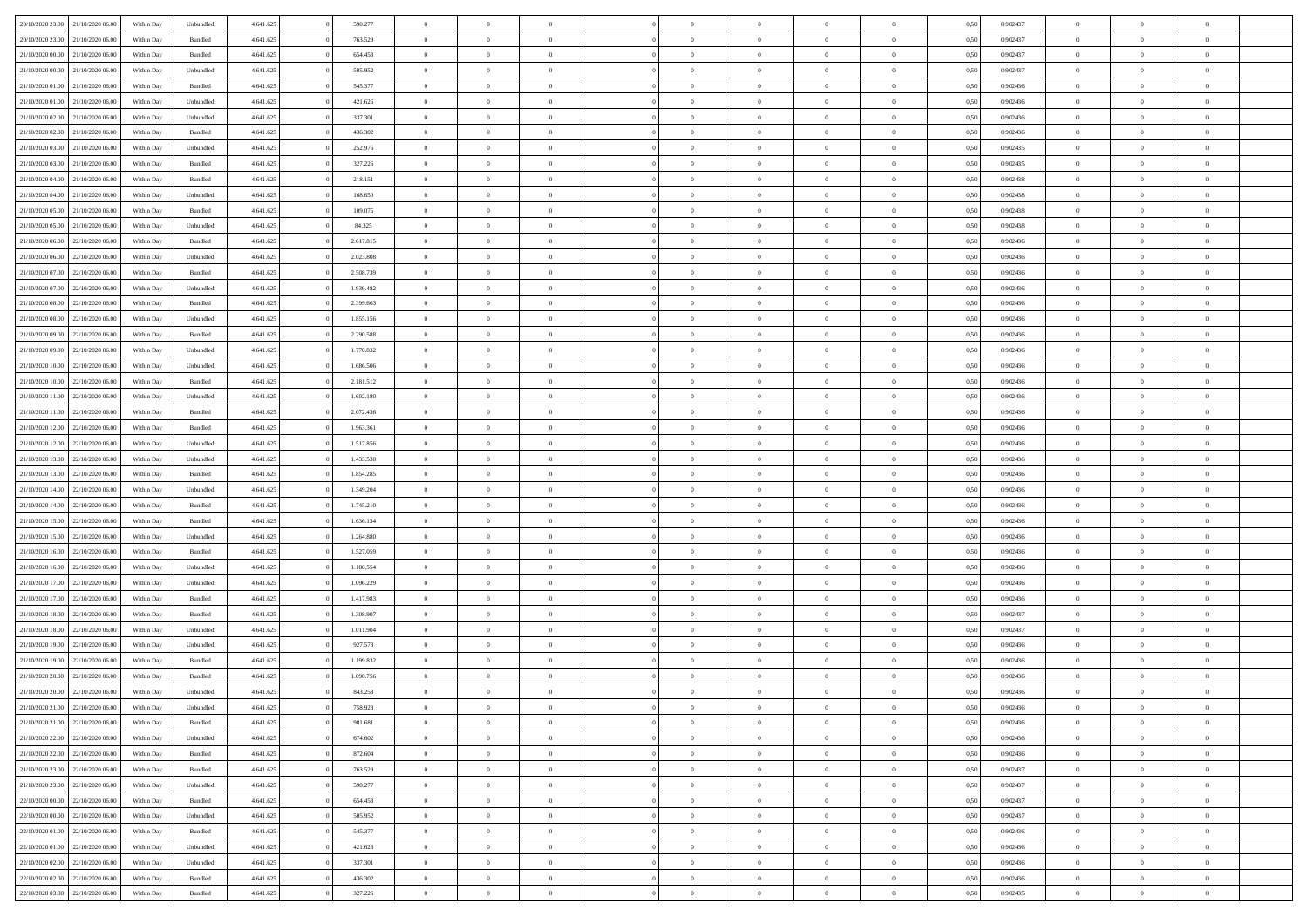|                                   | 21/10/2020 06:00 | Within Dav | Unbundled          | 4.641.625 | 590.277   | $\overline{0}$ | $\theta$       |                | $\Omega$       | $\Omega$       | $\theta$       | $\theta$       | 0.50 | 0,902437 | $\theta$       | $\overline{0}$ | $\overline{0}$ |  |
|-----------------------------------|------------------|------------|--------------------|-----------|-----------|----------------|----------------|----------------|----------------|----------------|----------------|----------------|------|----------|----------------|----------------|----------------|--|
| 20/10/2020 23:00                  |                  |            |                    |           |           |                |                |                |                |                |                |                |      |          |                |                |                |  |
| 20/10/2020 23.00                  | 21/10/2020 06.00 | Within Day | Bundled            | 4.641.625 | 763.529   | $\overline{0}$ | $\overline{0}$ | $\overline{0}$ | $\overline{0}$ | $\bf{0}$       | $\overline{0}$ | $\bf{0}$       | 0,50 | 0,902437 | $\theta$       | $\overline{0}$ | $\overline{0}$ |  |
| 21/10/2020 00:00                  | 21/10/2020 06.00 | Within Day | Bundled            | 4.641.625 | 654.453   | $\overline{0}$ | $\bf{0}$       | $\overline{0}$ | $\overline{0}$ | $\bf{0}$       | $\overline{0}$ | $\mathbf{0}$   | 0,50 | 0,902437 | $\bf{0}$       | $\overline{0}$ | $\bf{0}$       |  |
| 21/10/2020 00:00                  | 21/10/2020 06:00 | Within Dav | Unbundled          | 4.641.625 | 505.952   | $\overline{0}$ | $\overline{0}$ | $\overline{0}$ | $\overline{0}$ | $\bf{0}$       | $\overline{0}$ | $\overline{0}$ | 0.50 | 0,902437 | $\theta$       | $\theta$       | $\overline{0}$ |  |
|                                   |                  |            |                    |           |           |                |                |                |                |                |                |                |      |          |                |                |                |  |
| 21/10/2020 01:00                  | 21/10/2020 06.00 | Within Day | Bundled            | 4.641.625 | 545.377   | $\overline{0}$ | $\theta$       | $\overline{0}$ | $\overline{0}$ | $\bf{0}$       | $\overline{0}$ | $\bf{0}$       | 0,50 | 0,902436 | $\theta$       | $\overline{0}$ | $\overline{0}$ |  |
| 21/10/2020 01:00                  | 21/10/2020 06.00 | Within Day | Unbundled          | 4.641.625 | 421.626   | $\overline{0}$ | $\overline{0}$ | $\overline{0}$ | $\overline{0}$ | $\overline{0}$ | $\overline{0}$ | $\mathbf{0}$   | 0,50 | 0,902436 | $\bf{0}$       | $\overline{0}$ | $\bf{0}$       |  |
| 21/10/2020 02.00                  | 21/10/2020 06:00 | Within Dav | Unbundled          | 4.641.625 | 337.301   | $\overline{0}$ | $\overline{0}$ | $\overline{0}$ | $\overline{0}$ | $\overline{0}$ | $\overline{0}$ | $\overline{0}$ | 0.50 | 0,902436 | $\theta$       | $\overline{0}$ | $\overline{0}$ |  |
| 21/10/2020 02.00                  | 21/10/2020 06.00 | Within Day | Bundled            | 4.641.625 | 436.302   | $\overline{0}$ | $\theta$       | $\overline{0}$ | $\overline{0}$ | $\bf{0}$       | $\overline{0}$ | $\bf{0}$       | 0,50 | 0,902436 | $\theta$       | $\theta$       | $\overline{0}$ |  |
|                                   |                  |            |                    |           |           |                |                |                |                |                |                |                |      |          |                |                |                |  |
| 21/10/2020 03:00                  | 21/10/2020 06.00 | Within Day | Unbundled          | 4.641.625 | 252.976   | $\overline{0}$ | $\overline{0}$ | $\overline{0}$ | $\overline{0}$ | $\bf{0}$       | $\overline{0}$ | $\bf{0}$       | 0,50 | 0,902435 | $\,0\,$        | $\overline{0}$ | $\overline{0}$ |  |
| 21/10/2020 03:00                  | 21/10/2020 06.00 | Within Dav | Bundled            | 4.641.625 | 327.226   | $\overline{0}$ | $\overline{0}$ | $\overline{0}$ | $\overline{0}$ | $\overline{0}$ | $\overline{0}$ | $\overline{0}$ | 0.50 | 0,902435 | $\theta$       | $\overline{0}$ | $\overline{0}$ |  |
| 21/10/2020 04.00                  | 21/10/2020 06.00 | Within Day | Bundled            | 4.641.625 | 218.151   | $\overline{0}$ | $\theta$       | $\overline{0}$ | $\overline{0}$ | $\bf{0}$       | $\overline{0}$ | $\bf{0}$       | 0,50 | 0,902438 | $\,$ 0 $\,$    | $\overline{0}$ | $\overline{0}$ |  |
| 21/10/2020 04:00                  | 21/10/2020 06.00 | Within Day | Unbundled          | 4.641.625 | 168.650   | $\overline{0}$ | $\bf{0}$       | $\overline{0}$ | $\overline{0}$ | $\bf{0}$       | $\overline{0}$ | $\mathbf{0}$   | 0,50 | 0,902438 | $\bf{0}$       | $\overline{0}$ | $\bf{0}$       |  |
| 21/10/2020 05:00                  | 21/10/2020 06:00 | Within Day | Bundled            | 4.641.625 | 109,075   | $\overline{0}$ | $\overline{0}$ | $\overline{0}$ | $\overline{0}$ | $\bf{0}$       | $\overline{0}$ | $\overline{0}$ | 0.50 | 0,902438 | $\theta$       | $\theta$       | $\overline{0}$ |  |
|                                   |                  |            |                    |           |           | $\overline{0}$ | $\theta$       | $\overline{0}$ | $\overline{0}$ | $\bf{0}$       | $\overline{0}$ |                |      |          | $\theta$       | $\overline{0}$ | $\overline{0}$ |  |
| 21/10/2020 05.00                  | 21/10/2020 06.00 | Within Day | Unbundled          | 4.641.625 | 84.325    |                |                |                |                |                |                | $\bf{0}$       | 0,50 | 0,902438 |                |                |                |  |
| 21/10/2020 06:00                  | 22/10/2020 06.00 | Within Day | Bundled            | 4.641.625 | 2.617.815 | $\overline{0}$ | $\overline{0}$ | $\overline{0}$ | $\bf{0}$       | $\overline{0}$ | $\overline{0}$ | $\mathbf{0}$   | 0,50 | 0,902436 | $\bf{0}$       | $\overline{0}$ | $\bf{0}$       |  |
| 21/10/2020 06:00                  | 22/10/2020 06:00 | Within Dav | Unbundled          | 4.641.625 | 2.023.808 | $\overline{0}$ | $\overline{0}$ | $\overline{0}$ | $\overline{0}$ | $\overline{0}$ | $\overline{0}$ | $\overline{0}$ | 0.50 | 0,902436 | $\theta$       | $\overline{0}$ | $\overline{0}$ |  |
| 21/10/2020 07.00                  | 22/10/2020 06.00 | Within Day | Bundled            | 4.641.625 | 2.508.739 | $\overline{0}$ | $\theta$       | $\overline{0}$ | $\overline{0}$ | $\bf{0}$       | $\overline{0}$ | $\bf{0}$       | 0,50 | 0,902436 | $\theta$       | $\theta$       | $\overline{0}$ |  |
| 21/10/2020 07.00                  | 22/10/2020 06.00 | Within Day | Unbundled          | 4.641.625 | 1.939.482 | $\overline{0}$ | $\overline{0}$ | $\overline{0}$ | $\bf{0}$       | $\bf{0}$       | $\bf{0}$       | $\mathbf{0}$   | 0,50 | 0,902436 | $\bf{0}$       | $\overline{0}$ | $\overline{0}$ |  |
|                                   |                  |            |                    |           |           |                | $\overline{0}$ |                |                | $\overline{0}$ |                |                |      |          | $\theta$       | $\overline{0}$ | $\overline{0}$ |  |
| 21/10/2020 08:00                  | 22/10/2020 06.00 | Within Day | Bundled            | 4.641.625 | 2.399.663 | $\overline{0}$ |                | $\overline{0}$ | $\overline{0}$ |                | $\overline{0}$ | $\overline{0}$ | 0.50 | 0,902436 |                |                |                |  |
| 21/10/2020 08.00                  | 22/10/2020 06.00 | Within Day | Unbundled          | 4.641.625 | 1.855.156 | $\overline{0}$ | $\theta$       | $\overline{0}$ | $\overline{0}$ | $\bf{0}$       | $\overline{0}$ | $\bf{0}$       | 0,50 | 0,902436 | $\,$ 0 $\,$    | $\overline{0}$ | $\overline{0}$ |  |
| 21/10/2020 09:00                  | 22/10/2020 06.00 | Within Day | Bundled            | 4.641.625 | 2.290.588 | $\overline{0}$ | $\overline{0}$ | $\overline{0}$ | $\bf{0}$       | $\bf{0}$       | $\bf{0}$       | $\bf{0}$       | 0,50 | 0,902436 | $\bf{0}$       | $\overline{0}$ | $\bf{0}$       |  |
| 21/10/2020 09:00                  | 22/10/2020 06:00 | Within Day | Unbundled          | 4.641.625 | 1.770.832 | $\overline{0}$ | $\overline{0}$ | $\overline{0}$ | $\overline{0}$ | $\overline{0}$ | $\overline{0}$ | $\overline{0}$ | 0.50 | 0,902436 | $\theta$       | $\overline{0}$ | $\overline{0}$ |  |
| 21/10/2020 10:00                  | 22/10/2020 06.00 | Within Day | Unbundled          | 4.641.625 | 1.686.506 | $\overline{0}$ | $\theta$       | $\overline{0}$ | $\overline{0}$ | $\bf{0}$       | $\overline{0}$ | $\bf{0}$       | 0,50 | 0,902436 | $\,$ 0 $\,$    | $\overline{0}$ | $\overline{0}$ |  |
|                                   |                  |            |                    |           |           |                |                |                |                |                |                |                |      |          |                |                |                |  |
| 21/10/2020 10:00                  | 22/10/2020 06.00 | Within Day | Bundled            | 4.641.625 | 2.181.512 | $\overline{0}$ | $\overline{0}$ | $\overline{0}$ | $\bf{0}$       | $\overline{0}$ | $\overline{0}$ | $\mathbf{0}$   | 0,50 | 0,902436 | $\bf{0}$       | $\overline{0}$ | $\bf{0}$       |  |
| 21/10/2020 11:00                  | 22/10/2020 06.00 | Within Day | Unbundled          | 4.641.625 | 1.602.180 | $\overline{0}$ | $\overline{0}$ | $\overline{0}$ | $\overline{0}$ | $\overline{0}$ | $\overline{0}$ | $\overline{0}$ | 0.50 | 0,902436 | $\theta$       | $\overline{0}$ | $\overline{0}$ |  |
| 21/10/2020 11:00                  | 22/10/2020 06.00 | Within Day | Bundled            | 4.641.625 | 2.072.436 | $\overline{0}$ | $\theta$       | $\overline{0}$ | $\overline{0}$ | $\bf{0}$       | $\overline{0}$ | $\bf{0}$       | 0,50 | 0,902436 | $\theta$       | $\theta$       | $\overline{0}$ |  |
| 21/10/2020 12:00                  | 22/10/2020 06.00 | Within Day | Bundled            | 4.641.625 | 1.963.361 | $\overline{0}$ | $\overline{0}$ | $\overline{0}$ | $\bf{0}$       | $\bf{0}$       | $\bf{0}$       | $\bf{0}$       | 0,50 | 0,902436 | $\,0\,$        | $\overline{0}$ | $\overline{0}$ |  |
| 21/10/2020 12:00                  | 22/10/2020 06:00 | Within Day | Unbundled          | 4.641.625 | 1.517.856 | $\overline{0}$ | $\overline{0}$ | $\overline{0}$ | $\overline{0}$ | $\overline{0}$ | $\overline{0}$ | $\overline{0}$ | 0.50 | 0,902436 | $\theta$       | $\overline{0}$ | $\overline{0}$ |  |
|                                   |                  |            |                    |           |           |                |                |                |                |                |                |                |      |          |                |                |                |  |
| 21/10/2020 13:00                  | 22/10/2020 06.00 | Within Day | Unbundled          | 4.641.625 | 1.433.530 | $\overline{0}$ | $\theta$       | $\overline{0}$ | $\overline{0}$ | $\bf{0}$       | $\overline{0}$ | $\bf{0}$       | 0,50 | 0,902436 | $\,$ 0 $\,$    | $\overline{0}$ | $\overline{0}$ |  |
| 21/10/2020 13.00                  | 22/10/2020 06.00 | Within Day | Bundled            | 4.641.625 | 1.854.285 | $\overline{0}$ | $\bf{0}$       | $\overline{0}$ | $\bf{0}$       | $\bf{0}$       | $\bf{0}$       | $\bf{0}$       | 0,50 | 0,902436 | $\overline{0}$ | $\overline{0}$ | $\bf{0}$       |  |
| 21/10/2020 14:00                  | 22/10/2020 06.00 | Within Day | Unbundled          | 4.641.625 | 1.349.204 | $\overline{0}$ | $\Omega$       | $\overline{0}$ | $\Omega$       | $\overline{0}$ | $\overline{0}$ | $\overline{0}$ | 0,50 | 0.902436 | $\,0\,$        | $\theta$       | $\theta$       |  |
| 21/10/2020 14:00                  | 22/10/2020 06.00 | Within Day | Bundled            | 4.641.625 | 1.745.210 | $\overline{0}$ | $\theta$       | $\overline{0}$ | $\overline{0}$ | $\bf{0}$       | $\overline{0}$ | $\bf{0}$       | 0,50 | 0,902436 | $\,$ 0 $\,$    | $\overline{0}$ | $\overline{0}$ |  |
|                                   |                  |            |                    |           |           |                |                |                |                |                |                |                |      |          |                | $\overline{0}$ | $\bf{0}$       |  |
| 21/10/2020 15:00                  | 22/10/2020 06.00 | Within Day | Bundled            | 4.641.625 | 1.636.134 | $\overline{0}$ | $\overline{0}$ | $\overline{0}$ | $\bf{0}$       | $\overline{0}$ | $\overline{0}$ | $\mathbf{0}$   | 0,50 | 0,902436 | $\overline{0}$ |                |                |  |
| 21/10/2020 15:00                  | 22/10/2020 06.00 | Within Day | Unbundled          | 4.641.625 | 1.264.880 | $\overline{0}$ | $\Omega$       | $\Omega$       | $\Omega$       | $\bf{0}$       | $\overline{0}$ | $\overline{0}$ | 0.50 | 0.902436 | $\,0\,$        | $\theta$       | $\theta$       |  |
| 21/10/2020 16.00                  | 22/10/2020 06.00 | Within Day | Bundled            | 4.641.625 | 1.527.059 | $\overline{0}$ | $\theta$       | $\overline{0}$ | $\overline{0}$ | $\bf{0}$       | $\overline{0}$ | $\bf{0}$       | 0,50 | 0,902436 | $\,$ 0 $\,$    | $\overline{0}$ | $\overline{0}$ |  |
| 21/10/2020 16:00                  | 22/10/2020 06.00 | Within Day | Unbundled          | 4.641.625 | 1.180.554 | $\overline{0}$ | $\overline{0}$ | $\overline{0}$ | $\bf{0}$       | $\bf{0}$       | $\bf{0}$       | $\bf{0}$       | 0,50 | 0,902436 | $\bf{0}$       | $\overline{0}$ | $\bf{0}$       |  |
| 21/10/2020 17:00                  | 22/10/2020 06:00 | Within Day | Unbundled          | 4.641.625 | 1.096.229 | $\overline{0}$ | $\Omega$       | $\Omega$       | $\Omega$       | $\overline{0}$ | $\overline{0}$ | $\overline{0}$ | 0.50 | 0.902436 | $\,$ 0 $\,$    | $\theta$       | $\theta$       |  |
| 21/10/2020 17.00                  | 22/10/2020 06.00 | Within Day | Bundled            | 4.641.625 | 1.417.983 | $\overline{0}$ | $\theta$       | $\overline{0}$ | $\overline{0}$ | $\,$ 0         | $\overline{0}$ | $\bf{0}$       | 0,50 | 0,902436 | $\,$ 0 $\,$    | $\overline{0}$ | $\overline{0}$ |  |
|                                   |                  |            |                    |           |           |                |                |                |                |                |                |                |      |          |                |                |                |  |
| 21/10/2020 18:00                  | 22/10/2020 06.00 | Within Day | Bundled            | 4.641.625 | 1.308.907 | $\overline{0}$ | $\bf{0}$       | $\overline{0}$ | $\bf{0}$       | $\bf{0}$       | $\bf{0}$       | $\mathbf{0}$   | 0,50 | 0,902437 | $\overline{0}$ | $\overline{0}$ | $\bf{0}$       |  |
| 21/10/2020 18:00                  | 22/10/2020 06.00 | Within Day | Unbundled          | 4.641.625 | 1.011.904 | $\overline{0}$ | $\Omega$       | $\overline{0}$ | $\Omega$       | $\overline{0}$ | $\overline{0}$ | $\overline{0}$ | 0,50 | 0,902437 | $\,0\,$        | $\theta$       | $\theta$       |  |
| 21/10/2020 19:00                  | 22/10/2020 06.00 | Within Day | Unbundled          | 4.641.625 | 927.578   | $\overline{0}$ | $\overline{0}$ | $\overline{0}$ | $\overline{0}$ | $\,$ 0         | $\overline{0}$ | $\bf{0}$       | 0,50 | 0,902436 | $\,$ 0 $\,$    | $\overline{0}$ | $\overline{0}$ |  |
| 21/10/2020 19:00                  | 22/10/2020 06.00 | Within Day | Bundled            | 4.641.625 | 1.199.832 | $\overline{0}$ | $\overline{0}$ | $\overline{0}$ | $\bf{0}$       | $\bf{0}$       | $\overline{0}$ | $\mathbf{0}$   | 0,50 | 0,902436 | $\overline{0}$ | $\overline{0}$ | $\bf{0}$       |  |
|                                   | 22/10/2020 06:00 |            |                    |           | 1.090.756 | $\overline{0}$ | $\Omega$       | $\Omega$       | $\Omega$       | $\Omega$       | $\Omega$       | $\overline{0}$ | 0.50 | 0.902436 | $\theta$       | $\theta$       | $\theta$       |  |
| 21/10/2020 20:00                  |                  | Within Day | Bundled            | 4.641.625 |           |                |                |                |                |                |                |                |      |          |                |                |                |  |
| 21/10/2020 20:00                  | 22/10/2020 06.00 | Within Day | Unbundled          | 4.641.625 | 843.253   | $\overline{0}$ | $\overline{0}$ | $\overline{0}$ | $\bf{0}$       | $\,$ 0         | $\bf{0}$       | $\bf{0}$       | 0,50 | 0,902436 | $\,0\,$        | $\,$ 0 $\,$    | $\overline{0}$ |  |
| 21/10/2020 21.00                  | 22/10/2020 06.00 | Within Day | Unbundled          | 4.641.625 | 758.928   | $\bf{0}$       | $\bf{0}$       |                |                | $\bf{0}$       |                |                | 0,50 | 0,902436 | $\bf{0}$       | $\overline{0}$ |                |  |
| 21/10/2020 21:00                  | 22/10/2020 06:00 | Within Day | Bundled            | 4.641.625 | 981.681   | $\overline{0}$ | $\overline{0}$ | $\overline{0}$ | $\Omega$       | $\overline{0}$ | $\overline{0}$ | $\overline{0}$ | 0,50 | 0.902436 | $\theta$       | $\theta$       | $\theta$       |  |
| 21/10/2020 22.00                  | 22/10/2020 06.00 | Within Day | Unbundled          | 4.641.625 | 674.602   | $\overline{0}$ | $\bf{0}$       | $\overline{0}$ | $\bf{0}$       | $\,$ 0 $\,$    | $\overline{0}$ | $\,$ 0 $\,$    | 0,50 | 0,902436 | $\,$ 0 $\,$    | $\,$ 0 $\,$    | $\,$ 0         |  |
|                                   |                  |            |                    |           |           |                |                |                |                |                |                |                |      |          |                |                |                |  |
| 21/10/2020 22.00                  | 22/10/2020 06.00 | Within Day | Bundled            | 4.641.625 | 872.604   | $\overline{0}$ | $\overline{0}$ | $\overline{0}$ | $\overline{0}$ | $\overline{0}$ | $\overline{0}$ | $\mathbf{0}$   | 0,50 | 0,902436 | $\overline{0}$ | $\bf{0}$       | $\bf{0}$       |  |
| 21/10/2020 23.00                  | 22/10/2020 06.00 | Within Day | $\mathbf B$ undled | 4.641.625 | 763.529   | $\overline{0}$ | $\overline{0}$ | $\overline{0}$ | $\Omega$       | $\overline{0}$ | $\overline{0}$ | $\overline{0}$ | 0,50 | 0,902437 | $\overline{0}$ | $\theta$       | $\overline{0}$ |  |
| 21/10/2020 23.00                  | 22/10/2020 06.00 | Within Day | Unbundled          | 4.641.625 | 590.277   | $\overline{0}$ | $\,$ 0         | $\overline{0}$ | $\overline{0}$ | $\,$ 0 $\,$    | $\overline{0}$ | $\mathbf{0}$   | 0,50 | 0,902437 | $\,$ 0 $\,$    | $\overline{0}$ | $\overline{0}$ |  |
| 22/10/2020 00.00                  | 22/10/2020 06.00 | Within Day | Bundled            | 4.641.625 | 654.453   | $\overline{0}$ | $\overline{0}$ | $\overline{0}$ | $\overline{0}$ | $\overline{0}$ | $\overline{0}$ | $\mathbf{0}$   | 0,50 | 0,902437 | $\overline{0}$ | $\overline{0}$ | $\bf{0}$       |  |
| 22/10/2020 00:00                  | 22/10/2020 06.00 | Within Day | Unbundled          | 4.641.625 | 505.952   | $\overline{0}$ | $\overline{0}$ | $\overline{0}$ | $\Omega$       | $\overline{0}$ | $\overline{0}$ | $\bf{0}$       | 0.50 | 0,902437 | $\overline{0}$ | $\theta$       | $\overline{0}$ |  |
|                                   |                  |            |                    |           |           |                |                |                |                |                |                |                |      |          |                |                |                |  |
| 22/10/2020 01:00                  | 22/10/2020 06.00 | Within Day | Bundled            | 4.641.625 | 545.377   | $\overline{0}$ | $\,$ 0         | $\overline{0}$ | $\bf{0}$       | $\bf{0}$       | $\bf{0}$       | $\bf{0}$       | 0,50 | 0,902436 | $\,$ 0 $\,$    | $\overline{0}$ | $\overline{0}$ |  |
| 22/10/2020 01:00                  | 22/10/2020 06.00 | Within Day | Unbundled          | 4.641.625 | 421.626   | $\overline{0}$ | $\bf{0}$       | $\overline{0}$ | $\overline{0}$ | $\overline{0}$ | $\overline{0}$ | $\mathbf{0}$   | 0,50 | 0,902436 | $\overline{0}$ | $\overline{0}$ | $\bf{0}$       |  |
| 22/10/2020 02.00                  | 22/10/2020 06.00 | Within Day | Unbundled          | 4.641.625 | 337.301   | $\overline{0}$ | $\overline{0}$ | $\overline{0}$ | $\Omega$       | $\overline{0}$ | $\overline{0}$ | $\overline{0}$ | 0.50 | 0.902436 | $\overline{0}$ | $\theta$       | $\overline{0}$ |  |
| 22/10/2020 02.00                  | 22/10/2020 06.00 | Within Day | Bundled            | 4.641.625 | 436.302   | $\overline{0}$ | $\bf{0}$       | $\overline{0}$ | $\bf{0}$       | $\bf{0}$       | $\bf{0}$       | $\mathbf{0}$   | 0,50 | 0,902436 | $\,$ 0 $\,$    | $\,$ 0 $\,$    | $\bf{0}$       |  |
| 22/10/2020 03.00 22/10/2020 06.00 |                  | Within Day | Bundled            | 4.641.625 | 327.226   | $\overline{0}$ | $\overline{0}$ | $\overline{0}$ | $\overline{0}$ | $\overline{0}$ | $\bf{0}$       | $\mathbf{0}$   | 0,50 | 0,902435 | $\overline{0}$ | $\bf{0}$       | $\bf{0}$       |  |
|                                   |                  |            |                    |           |           |                |                |                |                |                |                |                |      |          |                |                |                |  |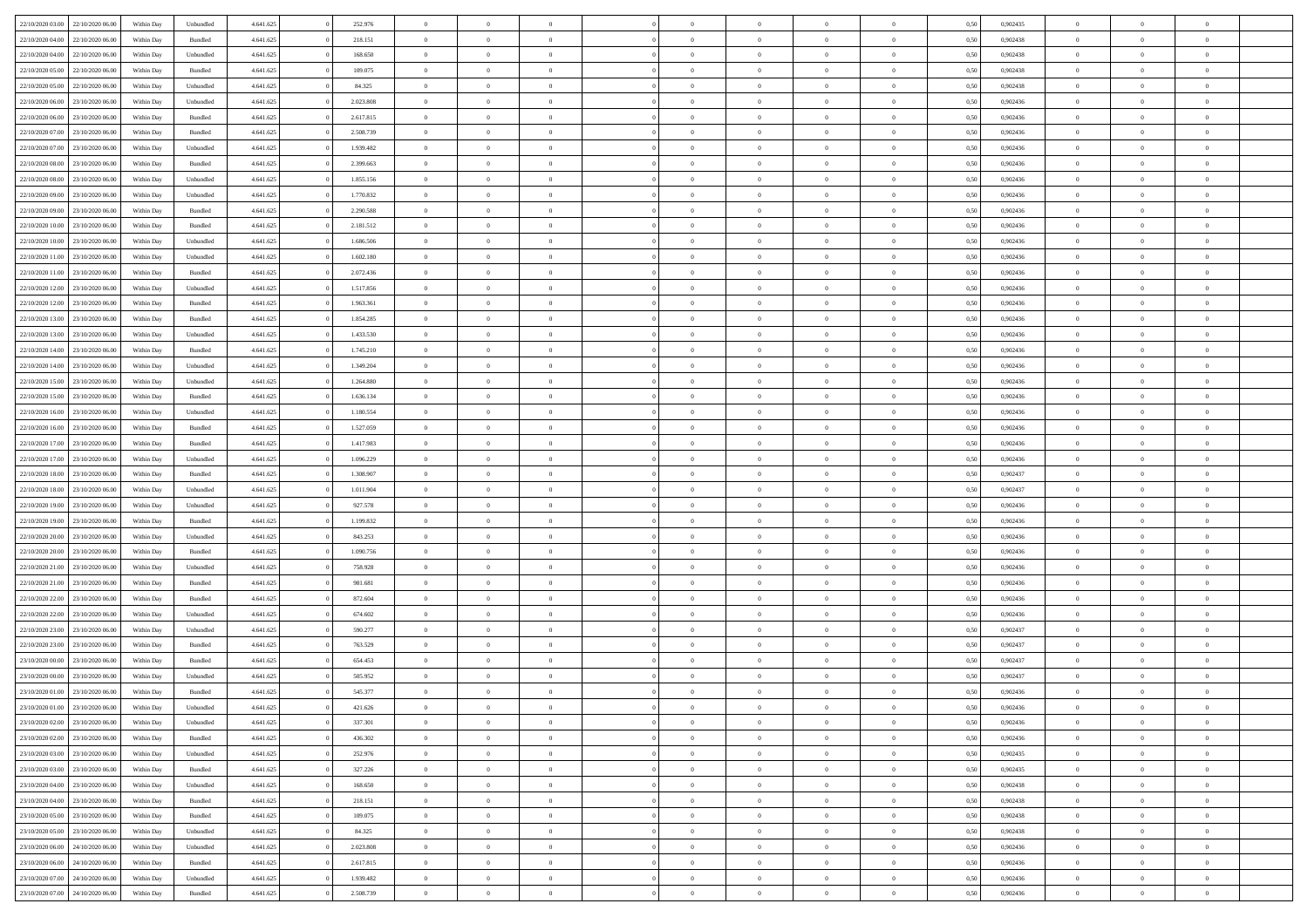| 22/10/2020 03:00                  | 22/10/2020 06:00 | Within Day | Unbundled | 4.641.625 | 252.976   | $\overline{0}$ | $\theta$       |                | $\overline{0}$ | $\bf{0}$       | $\overline{0}$ | $\theta$       | 0,50 | 0,902435 | $\theta$       | $\theta$       | $\theta$       |  |
|-----------------------------------|------------------|------------|-----------|-----------|-----------|----------------|----------------|----------------|----------------|----------------|----------------|----------------|------|----------|----------------|----------------|----------------|--|
|                                   |                  |            |           |           |           |                |                | $\overline{0}$ |                |                |                |                |      |          |                |                | $\overline{0}$ |  |
| 22/10/2020 04.00                  | 22/10/2020 06.00 | Within Day | Bundled   | 4.641.625 | 218.151   | $\overline{0}$ | $\overline{0}$ |                | $\overline{0}$ | $\,$ 0         | $\bf{0}$       | $\bf{0}$       | 0,50 | 0,902438 | $\,$ 0 $\,$    | $\overline{0}$ |                |  |
| 22/10/2020 04:00                  | 22/10/2020 06:00 | Within Day | Unbundled | 4.641.625 | 168,650   | $\overline{0}$ | $\overline{0}$ | $\overline{0}$ | $\overline{0}$ | $\overline{0}$ | $\overline{0}$ | $\mathbf{0}$   | 0.50 | 0.902438 | $\overline{0}$ | $\overline{0}$ | $\bf{0}$       |  |
| 22/10/2020 05:00                  | 22/10/2020 06.00 | Within Day | Bundled   | 4.641.625 | 109.075   | $\overline{0}$ | $\overline{0}$ | $\overline{0}$ | $\overline{0}$ | $\,0\,$        | $\overline{0}$ | $\overline{0}$ | 0,50 | 0,902438 | $\,$ 0 $\,$    | $\overline{0}$ | $\overline{0}$ |  |
| 22/10/2020 05:00                  | 22/10/2020 06.00 | Within Day | Unbundled | 4.641.625 | 84.325    | $\overline{0}$ | $\theta$       | $\overline{0}$ | $\overline{0}$ | $\,$ 0         | $\overline{0}$ | $\bf{0}$       | 0,50 | 0,902438 | $\,$ 0 $\,$    | $\overline{0}$ | $\overline{0}$ |  |
| 22/10/2020 06.00                  | 23/10/2020 06:00 | Within Day | Unbundled | 4.641.625 | 2.023.808 | $\overline{0}$ | $\overline{0}$ | $\overline{0}$ | $\overline{0}$ | $\bf{0}$       | $\overline{0}$ | $\bf{0}$       | 0.50 | 0.902436 | $\,0\,$        | $\overline{0}$ | $\overline{0}$ |  |
| 22/10/2020 06:00                  | 23/10/2020 06.00 | Within Day | Bundled   | 4.641.625 | 2.617.815 | $\overline{0}$ | $\overline{0}$ | $\overline{0}$ | $\overline{0}$ | $\bf{0}$       | $\overline{0}$ | $\bf{0}$       | 0,50 | 0,902436 | $\,$ 0 $\,$    | $\overline{0}$ | $\overline{0}$ |  |
| 22/10/2020 07.00                  | 23/10/2020 06.00 | Within Day | Bundled   | 4.641.625 | 2.508.739 | $\overline{0}$ | $\overline{0}$ | $\overline{0}$ | $\overline{0}$ | $\,$ 0         | $\overline{0}$ | $\bf{0}$       | 0,50 | 0,902436 | $\,$ 0 $\,$    | $\overline{0}$ | $\overline{0}$ |  |
| 22/10/2020 07:00                  | 23/10/2020 06:00 | Within Day | Unbundled | 4.641.625 | 1.939.482 | $\overline{0}$ | $\overline{0}$ | $\overline{0}$ | $\overline{0}$ | $\bf{0}$       | $\overline{0}$ | $\bf{0}$       | 0.50 | 0.902436 | $\bf{0}$       | $\overline{0}$ | $\bf{0}$       |  |
| 22/10/2020 08:00                  | 23/10/2020 06.00 | Within Day | Bundled   | 4.641.625 | 2.399.663 | $\overline{0}$ | $\overline{0}$ | $\overline{0}$ | $\overline{0}$ | $\bf{0}$       | $\overline{0}$ | $\bf{0}$       | 0,50 | 0,902436 | $\,$ 0 $\,$    | $\overline{0}$ | $\overline{0}$ |  |
|                                   |                  |            |           |           |           |                |                |                |                |                |                |                |      |          |                |                |                |  |
| 22/10/2020 08:00                  | 23/10/2020 06.00 | Within Day | Unbundled | 4.641.625 | 1.855.156 | $\overline{0}$ | $\overline{0}$ | $\overline{0}$ | $\overline{0}$ | $\,$ 0         | $\overline{0}$ | $\bf{0}$       | 0,50 | 0,902436 | $\,$ 0 $\,$    | $\overline{0}$ | $\overline{0}$ |  |
| 22/10/2020 09:00                  | 23/10/2020 06:00 | Within Day | Unbundled | 4.641.625 | 1.770.832 | $\overline{0}$ | $\overline{0}$ | $\overline{0}$ | $\overline{0}$ | $\bf{0}$       | $\overline{0}$ | $\mathbf{0}$   | 0.50 | 0.902436 | $\overline{0}$ | $\,$ 0 $\,$    | $\bf{0}$       |  |
| 22/10/2020 09:00                  | 23/10/2020 06.00 | Within Day | Bundled   | 4.641.625 | 2.290.588 | $\overline{0}$ | $\overline{0}$ | $\overline{0}$ | $\overline{0}$ | $\bf{0}$       | $\overline{0}$ | $\overline{0}$ | 0,50 | 0,902436 | $\,$ 0 $\,$    | $\overline{0}$ | $\overline{0}$ |  |
| 22/10/2020 10:00                  | 23/10/2020 06.00 | Within Day | Bundled   | 4.641.625 | 2.181.512 | $\overline{0}$ | $\theta$       | $\overline{0}$ | $\overline{0}$ | $\,$ 0         | $\overline{0}$ | $\bf{0}$       | 0,50 | 0,902436 | $\,$ 0 $\,$    | $\overline{0}$ | $\overline{0}$ |  |
| 22/10/2020 10:00                  | 23/10/2020 06:00 | Within Day | Unbundled | 4.641.625 | 1.686.506 | $\overline{0}$ | $\overline{0}$ | $\overline{0}$ | $\overline{0}$ | $\bf{0}$       | $\overline{0}$ | $\bf{0}$       | 0.50 | 0.902436 | $\,0\,$        | $\overline{0}$ | $\overline{0}$ |  |
| 22/10/2020 11:00                  | 23/10/2020 06.00 | Within Day | Unbundled | 4.641.625 | 1.602.180 | $\overline{0}$ | $\overline{0}$ | $\overline{0}$ | $\overline{0}$ | $\bf{0}$       | $\overline{0}$ | $\bf{0}$       | 0,50 | 0,902436 | $\,$ 0 $\,$    | $\theta$       | $\overline{0}$ |  |
| 22/10/2020 11:00                  | 23/10/2020 06.00 | Within Day | Bundled   | 4.641.625 | 2.072.436 | $\overline{0}$ | $\overline{0}$ | $\overline{0}$ | $\overline{0}$ | $\,$ 0         | $\overline{0}$ | $\bf{0}$       | 0,50 | 0,902436 | $\,$ 0 $\,$    | $\overline{0}$ | $\overline{0}$ |  |
| 22/10/2020 12:00                  | 23/10/2020 06:00 | Within Day | Unbundled | 4.641.625 | 1.517.856 | $\overline{0}$ | $\overline{0}$ | $\overline{0}$ | $\overline{0}$ | $\bf{0}$       | $\overline{0}$ | $\mathbf{0}$   | 0.50 | 0.902436 | $\bf{0}$       | $\overline{0}$ | $\bf{0}$       |  |
| 22/10/2020 12:00                  | 23/10/2020 06.00 | Within Day | Bundled   | 4.641.625 | 1.963.361 | $\overline{0}$ | $\overline{0}$ | $\overline{0}$ | $\overline{0}$ | $\bf{0}$       | $\overline{0}$ | $\bf{0}$       | 0,50 | 0,902436 | $\,$ 0 $\,$    | $\overline{0}$ | $\overline{0}$ |  |
| 22/10/2020 13:00                  | 23/10/2020 06.00 | Within Day | Bundled   | 4.641.625 | 1.854.285 | $\overline{0}$ | $\overline{0}$ | $\overline{0}$ | $\overline{0}$ | $\bf{0}$       | $\overline{0}$ | $\bf{0}$       | 0,50 | 0,902436 | $\,$ 0 $\,$    | $\overline{0}$ | $\overline{0}$ |  |
|                                   |                  |            |           |           |           |                |                |                |                |                |                |                |      |          |                |                |                |  |
| 22/10/2020 13:00                  | 23/10/2020 06:00 | Within Day | Unbundled | 4.641.625 | 1.433.530 | $\overline{0}$ | $\overline{0}$ | $\overline{0}$ | $\overline{0}$ | $\bf{0}$       | $\overline{0}$ | $\mathbf{0}$   | 0.50 | 0.902436 | $\,$ 0 $\,$    | $\,$ 0 $\,$    | $\bf{0}$       |  |
| 22/10/2020 14:00                  | 23/10/2020 06.00 | Within Day | Bundled   | 4.641.625 | 1.745.210 | $\overline{0}$ | $\overline{0}$ | $\overline{0}$ | $\overline{0}$ | $\bf{0}$       | $\overline{0}$ | $\overline{0}$ | 0,50 | 0,902436 | $\,$ 0 $\,$    | $\overline{0}$ | $\overline{0}$ |  |
| 22/10/2020 14:00                  | 23/10/2020 06.00 | Within Day | Unbundled | 4.641.625 | 1.349.204 | $\overline{0}$ | $\overline{0}$ | $\overline{0}$ | $\overline{0}$ | $\,$ 0         | $\overline{0}$ | $\bf{0}$       | 0,50 | 0,902436 | $\,$ 0 $\,$    | $\overline{0}$ | $\overline{0}$ |  |
| 22/10/2020 15:00                  | 23/10/2020 06:00 | Within Day | Unbundled | 4.641.625 | 1.264.880 | $\overline{0}$ | $\overline{0}$ | $\overline{0}$ | $\overline{0}$ | $\bf{0}$       | $\overline{0}$ | $\bf{0}$       | 0.50 | 0.902436 | $\,0\,$        | $\overline{0}$ | $\overline{0}$ |  |
| 22/10/2020 15:00                  | 23/10/2020 06.00 | Within Day | Bundled   | 4.641.625 | 1.636.134 | $\overline{0}$ | $\overline{0}$ | $\overline{0}$ | $\overline{0}$ | $\bf{0}$       | $\overline{0}$ | $\bf{0}$       | 0,50 | 0,902436 | $\,$ 0 $\,$    | $\theta$       | $\overline{0}$ |  |
| 22/10/2020 16:00                  | 23/10/2020 06.00 | Within Day | Unbundled | 4.641.625 | 1.180.554 | $\overline{0}$ | $\theta$       | $\overline{0}$ | $\overline{0}$ | $\,$ 0         | $\bf{0}$       | $\bf{0}$       | 0,50 | 0,902436 | $\,$ 0 $\,$    | $\overline{0}$ | $\overline{0}$ |  |
| 22/10/2020 16:00                  | 23/10/2020 06:00 | Within Day | Bundled   | 4.641.625 | 1.527.059 | $\overline{0}$ | $\overline{0}$ | $\overline{0}$ | $\overline{0}$ | $\bf{0}$       | $\overline{0}$ | $\mathbf{0}$   | 0.50 | 0.902436 | $\bf{0}$       | $\overline{0}$ | $\bf{0}$       |  |
| 22/10/2020 17:00                  | 23/10/2020 06.00 | Within Day | Bundled   | 4.641.625 | 1.417.983 | $\overline{0}$ | $\overline{0}$ | $\overline{0}$ | $\overline{0}$ | $\bf{0}$       | $\overline{0}$ | $\bf{0}$       | 0,50 | 0,902436 | $\,$ 0 $\,$    | $\overline{0}$ | $\overline{0}$ |  |
| 22/10/2020 17:00                  | 23/10/2020 06.00 | Within Day | Unbundled | 4.641.625 | 1.096.229 | $\bf{0}$       | $\overline{0}$ | $\overline{0}$ | $\overline{0}$ | $\bf{0}$       | $\bf{0}$       | $\bf{0}$       | 0,50 | 0,902436 | $\,$ 0 $\,$    | $\overline{0}$ | $\overline{0}$ |  |
| 22/10/2020 18:00                  | 23/10/2020 06:00 | Within Day | Bundled   | 4.641.625 | 1.308.907 | $\overline{0}$ | $\overline{0}$ | $\overline{0}$ | $\overline{0}$ | $\bf{0}$       | $\overline{0}$ | $\mathbf{0}$   | 0.50 | 0.902437 | $\overline{0}$ | $\,$ 0 $\,$    | $\bf{0}$       |  |
| 22/10/2020 18:00                  | 23/10/2020 06:00 | Within Dav | Unbundled | 4.641.625 | 1.011.904 | $\overline{0}$ | $\overline{0}$ | $\overline{0}$ | $\overline{0}$ | $\overline{0}$ | $\overline{0}$ | $\overline{0}$ | 0.50 | 0,902437 | $\theta$       | $\overline{0}$ | $\overline{0}$ |  |
|                                   |                  |            |           |           |           | $\overline{0}$ | $\overline{0}$ | $\overline{0}$ | $\overline{0}$ | $\,$ 0         |                |                |      |          | $\,$ 0 $\,$    | $\overline{0}$ | $\overline{0}$ |  |
| 22/10/2020 19:00                  | 23/10/2020 06.00 | Within Day | Unbundled | 4.641.625 | 927.578   |                |                |                |                |                | $\bf{0}$       | $\bf{0}$       | 0,50 | 0,902436 |                |                |                |  |
| 22/10/2020 19:00                  | 23/10/2020 06:00 | Within Day | Bundled   | 4.641.625 | 1.199.832 | $\overline{0}$ | $\overline{0}$ | $\overline{0}$ | $\overline{0}$ | $\bf{0}$       | $\overline{0}$ | $\bf{0}$       | 0.50 | 0.902436 | $\,0\,$        | $\overline{0}$ | $\overline{0}$ |  |
| 22/10/2020 20:00                  | 23/10/2020 06.00 | Within Dav | Unbundled | 4.641.625 | 843.253   | $\overline{0}$ | $\overline{0}$ | $\Omega$       | $\overline{0}$ | $\mathbf{0}$   | $\overline{0}$ | $\overline{0}$ | 0,50 | 0,902436 | $\theta$       | $\overline{0}$ | $\overline{0}$ |  |
| 22/10/2020 20:00                  | 23/10/2020 06.00 | Within Day | Bundled   | 4.641.625 | 1.090.756 | $\overline{0}$ | $\overline{0}$ | $\overline{0}$ | $\overline{0}$ | $\,$ 0         | $\bf{0}$       | $\bf{0}$       | 0,50 | 0,902436 | $\,$ 0 $\,$    | $\overline{0}$ | $\overline{0}$ |  |
| 22/10/2020 21.00                  | 23/10/2020 06:00 | Within Day | Unbundled | 4.641.625 | 758,928   | $\overline{0}$ | $\overline{0}$ | $\overline{0}$ | $\overline{0}$ | $\bf{0}$       | $\overline{0}$ | $\mathbf{0}$   | 0.50 | 0.902436 | $\bf{0}$       | $\overline{0}$ | $\bf{0}$       |  |
| 22/10/2020 21.00                  | 23/10/2020 06.00 | Within Dav | Bundled   | 4.641.625 | 981.681   | $\overline{0}$ | $\overline{0}$ | $\overline{0}$ | $\overline{0}$ | $\overline{0}$ | $\overline{0}$ | $\overline{0}$ | 0,50 | 0,902436 | $\theta$       | $\overline{0}$ | $\overline{0}$ |  |
| 22/10/2020 22.00                  | 23/10/2020 06.00 | Within Day | Bundled   | 4.641.625 | 872.604   | $\overline{0}$ | $\overline{0}$ | $\overline{0}$ | $\bf{0}$       | $\bf{0}$       | $\bf{0}$       | $\bf{0}$       | 0,50 | 0,902436 | $\,$ 0 $\,$    | $\overline{0}$ | $\overline{0}$ |  |
| 22/10/2020 22:00                  | 23/10/2020 06:00 | Within Day | Unbundled | 4.641.625 | 674.602   | $\overline{0}$ | $\overline{0}$ | $\overline{0}$ | $\overline{0}$ | $\bf{0}$       | $\overline{0}$ | $\mathbf{0}$   | 0.50 | 0.902436 | $\,$ 0 $\,$    | $\,$ 0 $\,$    | $\bf{0}$       |  |
| 22/10/2020 23:00                  | 23/10/2020 06.00 | Within Dav | Unbundled | 4.641.625 | 590.277   | $\overline{0}$ | $\overline{0}$ | $\Omega$       | $\overline{0}$ | $\overline{0}$ | $\overline{0}$ | $\overline{0}$ | 0.50 | 0,902437 | $\theta$       | $\overline{0}$ | $\overline{0}$ |  |
| 22/10/2020 23:00                  | 23/10/2020 06.00 | Within Day | Bundled   | 4.641.625 | 763.529   | $\overline{0}$ | $\overline{0}$ | $\overline{0}$ | $\overline{0}$ | $\bf{0}$       | $\overline{0}$ | $\bf{0}$       | 0,50 | 0,902437 | $\,$ 0 $\,$    | $\overline{0}$ | $\overline{0}$ |  |
| 23/10/2020 00:00                  | 23/10/2020 06:00 | Within Day | Bundled   | 4.641.625 | 654.453   | $\overline{0}$ | $\overline{0}$ | $\overline{0}$ | $\overline{0}$ | $\bf{0}$       | $\overline{0}$ | $\bf{0}$       | 0.50 | 0.902437 | $\,0\,$        | $\theta$       | $\overline{0}$ |  |
| 23/10/2020 00:00                  | 23/10/2020 06.00 | Within Dav | Unbundled | 4.641.625 | 505.952   | $\overline{0}$ | $\theta$       | $\Omega$       | $\overline{0}$ | $\bf{0}$       | $\overline{0}$ | $\overline{0}$ | 0.50 | 0,902437 | $\theta$       | $\overline{0}$ | $\overline{0}$ |  |
| 23/10/2020 01:00                  | 23/10/2020 06.00 | Within Day | Bundled   | 4.641.625 | 545.377   | $\overline{0}$ | $\overline{0}$ | $\overline{0}$ | $\bf{0}$       | $\,$ 0         | $\bf{0}$       | $\bf{0}$       | 0,50 | 0,902436 | $\,$ 0 $\,$    | $\overline{0}$ | $\overline{0}$ |  |
|                                   |                  |            |           |           |           |                |                |                |                |                |                |                |      |          |                |                |                |  |
| 23/10/2020 01:00 23/10/2020 06:00 |                  | Within Day | Unbundled | 4.641.625 | 421.626   | $\bf{0}$       | $\theta$       |                | $^{\circ}$     | $\Omega$       |                |                | 0,50 | 0.902436 | $\bf{0}$       | $\theta$       |                |  |
| 23/10/2020 02:00 23/10/2020 06:00 |                  | Within Day | Unbundled | 4.641.625 | 337.301   | $\overline{0}$ | $\overline{0}$ | $\overline{0}$ | $\overline{0}$ | $\overline{0}$ | $\overline{0}$ | $\mathbf{0}$   | 0,50 | 0,902436 | $\theta$       | $\overline{0}$ | $\overline{0}$ |  |
| 23/10/2020 02.00                  | 23/10/2020 06.00 | Within Day | Bundled   | 4.641.625 | 436.302   | $\overline{0}$ | $\bf{0}$       | $\overline{0}$ | $\bf{0}$       | $\overline{0}$ | $\overline{0}$ | $\bf{0}$       | 0,50 | 0,902436 | $\overline{0}$ | $\overline{0}$ | $\bf{0}$       |  |
| 23/10/2020 03:00                  | 23/10/2020 06.00 | Within Day | Unbundled | 4.641.625 | 252.976   | $\overline{0}$ | $\overline{0}$ | $\overline{0}$ | $\overline{0}$ | $\overline{0}$ | $\overline{0}$ | $\mathbf{0}$   | 0.50 | 0.902435 | $\overline{0}$ | $\bf{0}$       | $\bf{0}$       |  |
| 23/10/2020 03:00                  | 23/10/2020 06:00 | Within Dav | Bundled   | 4.641.625 | 327.226   | $\overline{0}$ | $\overline{0}$ | $\overline{0}$ | $\overline{0}$ | $\overline{0}$ | $\overline{0}$ | $\mathbf{0}$   | 0,50 | 0,902435 | $\overline{0}$ | $\theta$       | $\overline{0}$ |  |
| 23/10/2020 04.00                  | 23/10/2020 06.00 | Within Day | Unbundled | 4.641.625 | 168.650   | $\overline{0}$ | $\overline{0}$ | $\overline{0}$ | $\overline{0}$ | $\bf{0}$       | $\bf{0}$       | $\bf{0}$       | 0,50 | 0,902438 | $\bf{0}$       | $\overline{0}$ | $\overline{0}$ |  |
| 23/10/2020 04.00                  | 23/10/2020 06:00 | Within Day | Bundled   | 4.641.625 | 218.151   | $\overline{0}$ | $\overline{0}$ | $\overline{0}$ | $\overline{0}$ | $\bf{0}$       | $\overline{0}$ | $\mathbf{0}$   | 0.50 | 0.902438 | $\,$ 0 $\,$    | $\overline{0}$ | $\overline{0}$ |  |
| 23/10/2020 05:00                  | 23/10/2020 06:00 | Within Day | Bundled   | 4.641.625 | 109.075   | $\overline{0}$ | $\overline{0}$ | $\overline{0}$ | $\overline{0}$ | $\overline{0}$ | $\overline{0}$ | $\overline{0}$ | 0,50 | 0,902438 | $\overline{0}$ | $\overline{0}$ | $\overline{0}$ |  |
| 23/10/2020 05:00                  | 23/10/2020 06.00 | Within Day | Unbundled | 4.641.625 | 84.325    | $\overline{0}$ | $\,$ 0         | $\overline{0}$ | $\bf{0}$       | $\overline{0}$ | $\overline{0}$ | $\bf{0}$       | 0,50 | 0,902438 | $\,$ 0 $\,$    | $\overline{0}$ | $\overline{0}$ |  |
| 23/10/2020 06.00                  | 24/10/2020 06:00 | Within Day | Unbundled | 4.641.625 | 2.023.808 | $\overline{0}$ | $\overline{0}$ | $\overline{0}$ | $\overline{0}$ | $\bf{0}$       | $\overline{0}$ | $\mathbf{0}$   | 0.50 | 0.902436 | $\mathbf{0}$   | $\bf{0}$       | $\overline{0}$ |  |
| 23/10/2020 06:00                  | 24/10/2020 06.00 | Within Dav | Bundled   | 4.641.625 | 2.617.815 | $\overline{0}$ | $\overline{0}$ | $\overline{0}$ | $\overline{0}$ | $\overline{0}$ | $\overline{0}$ | $\overline{0}$ | 0,50 | 0,902436 | $\overline{0}$ | $\overline{0}$ | $\overline{0}$ |  |
| 23/10/2020 07.00                  | 24/10/2020 06.00 | Within Day |           |           | 1.939.482 | $\overline{0}$ | $\bf{0}$       | $\overline{0}$ | $\bf{0}$       | $\bf{0}$       | $\bf{0}$       | $\bf{0}$       | 0,50 | 0,902436 | $\overline{0}$ | $\overline{0}$ | $\bf{0}$       |  |
|                                   |                  |            | Unbundled | 4.641.625 |           |                |                |                |                |                |                |                |      |          |                |                |                |  |
| 23/10/2020 07:00 24/10/2020 06:00 |                  | Within Day | Bundled   | 4.641.625 | 2.508.739 | $\,$ 0 $\,$    | $\,$ 0 $\,$    | $\overline{0}$ | $\overline{0}$ | $\,$ 0 $\,$    | $\,$ 0 $\,$    | $\,$ 0 $\,$    | 0,50 | 0,902436 | $\mathbf{0}^-$ | $\,$ 0 $\,$    | $\,$ 0 $\,$    |  |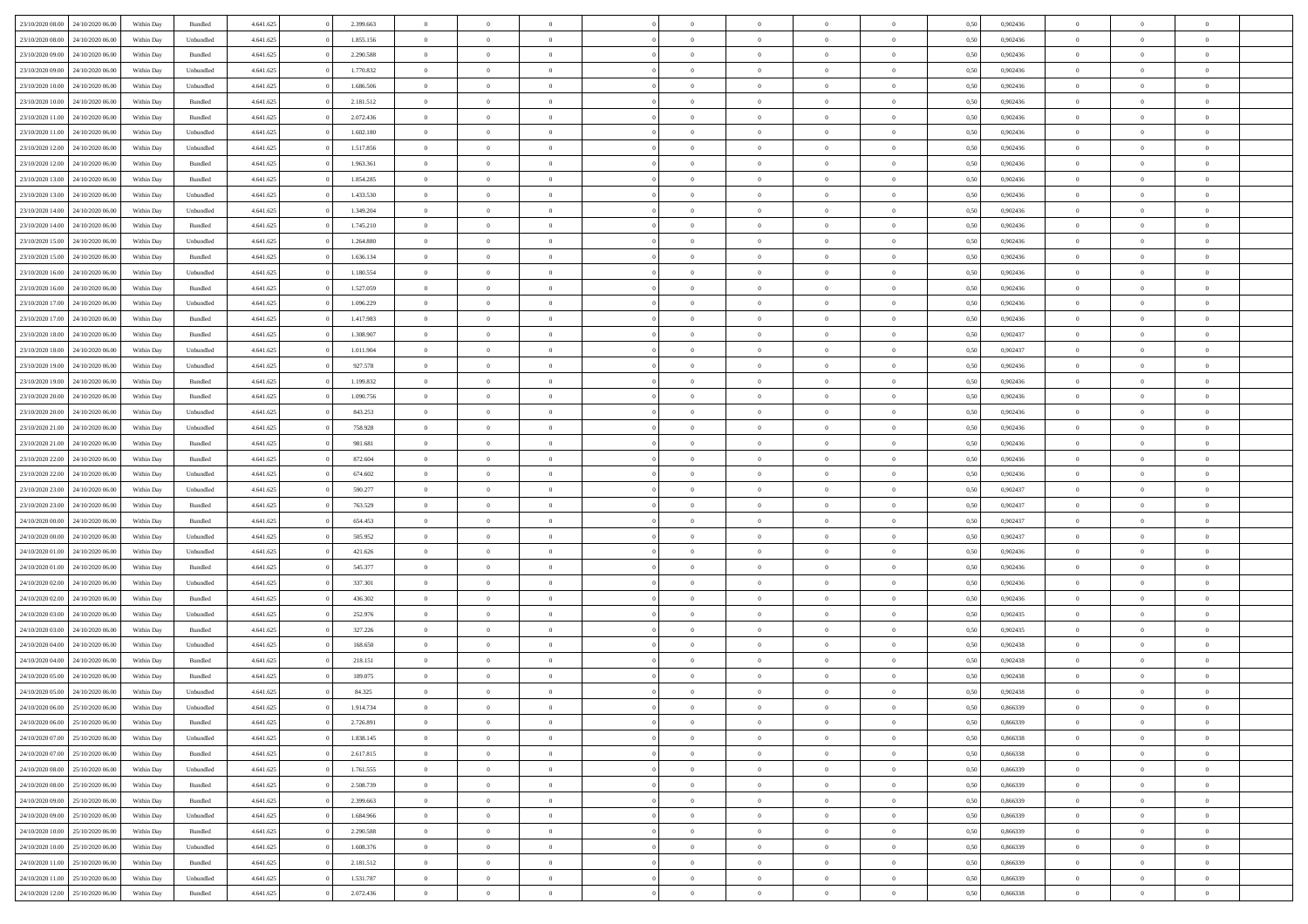| 23/10/2020 08:00                  | 24/10/2020 06.00 | Within Dav | Bundled   | 4.641.625 | 2.399.663 | $\overline{0}$ | $\Omega$       |                | $\Omega$       | $\Omega$       | $\theta$       | $\theta$       | 0.50 | 0,902436 | $\theta$       | $\theta$       | $\overline{0}$ |  |
|-----------------------------------|------------------|------------|-----------|-----------|-----------|----------------|----------------|----------------|----------------|----------------|----------------|----------------|------|----------|----------------|----------------|----------------|--|
|                                   |                  |            |           |           |           |                |                |                |                |                |                |                |      |          |                |                |                |  |
| 23/10/2020 08:00                  | 24/10/2020 06.00 | Within Day | Unbundled | 4.641.625 | 1.855.156 | $\overline{0}$ | $\theta$       | $\overline{0}$ | $\overline{0}$ | $\bf{0}$       | $\overline{0}$ | $\bf{0}$       | 0,50 | 0,902436 | $\theta$       | $\overline{0}$ | $\overline{0}$ |  |
| 23/10/2020 09:00                  | 24/10/2020 06.00 | Within Day | Bundled   | 4.641.625 | 2.290.588 | $\overline{0}$ | $\bf{0}$       | $\overline{0}$ | $\bf{0}$       | $\bf{0}$       | $\bf{0}$       | $\mathbf{0}$   | 0,50 | 0,902436 | $\overline{0}$ | $\overline{0}$ | $\overline{0}$ |  |
| 23/10/2020 09:00                  | 24/10/2020 06.00 | Within Dav | Unbundled | 4.641.625 | 1.770.832 | $\overline{0}$ | $\overline{0}$ | $\overline{0}$ | $\overline{0}$ | $\bf{0}$       | $\overline{0}$ | $\overline{0}$ | 0.50 | 0,902436 | $\theta$       | $\theta$       | $\overline{0}$ |  |
| 23/10/2020 10:00                  | 24/10/2020 06.00 | Within Day | Unbundled | 4.641.625 | 1.686.506 | $\overline{0}$ | $\theta$       | $\overline{0}$ | $\overline{0}$ | $\bf{0}$       | $\overline{0}$ | $\bf{0}$       | 0,50 | 0,902436 | $\theta$       | $\overline{0}$ | $\overline{0}$ |  |
|                                   |                  |            |           |           |           |                |                |                |                |                |                |                |      |          |                |                |                |  |
| 23/10/2020 10:00                  | 24/10/2020 06.00 | Within Day | Bundled   | 4.641.625 | 2.181.512 | $\overline{0}$ | $\overline{0}$ | $\overline{0}$ | $\bf{0}$       | $\overline{0}$ | $\overline{0}$ | $\mathbf{0}$   | 0,50 | 0,902436 | $\overline{0}$ | $\overline{0}$ | $\bf{0}$       |  |
| 23/10/2020 11:00                  | 24/10/2020 06.00 | Within Dav | Bundled   | 4.641.625 | 2.072.436 | $\overline{0}$ | $\overline{0}$ | $\overline{0}$ | $\overline{0}$ | $\overline{0}$ | $\overline{0}$ | $\overline{0}$ | 0.50 | 0,902436 | $\theta$       | $\overline{0}$ | $\overline{0}$ |  |
| 23/10/2020 11:00                  | 24/10/2020 06.00 | Within Day | Unbundled | 4.641.625 | 1.602.180 | $\overline{0}$ | $\theta$       | $\overline{0}$ | $\overline{0}$ | $\bf{0}$       | $\overline{0}$ | $\bf{0}$       | 0,50 | 0,902436 | $\theta$       | $\theta$       | $\overline{0}$ |  |
| 23/10/2020 12:00                  | 24/10/2020 06.00 | Within Day | Unbundled | 4.641.625 | 1.517.856 | $\overline{0}$ | $\overline{0}$ | $\overline{0}$ | $\bf{0}$       | $\bf{0}$       | $\bf{0}$       | $\bf{0}$       | 0,50 | 0,902436 | $\,0\,$        | $\overline{0}$ | $\overline{0}$ |  |
|                                   |                  |            |           |           |           |                |                |                |                |                |                |                |      |          |                |                |                |  |
| 23/10/2020 12:00                  | 24/10/2020 06.00 | Within Dav | Bundled   | 4.641.625 | 1.963.361 | $\overline{0}$ | $\overline{0}$ | $\overline{0}$ | $\overline{0}$ | $\overline{0}$ | $\overline{0}$ | $\overline{0}$ | 0.50 | 0,902436 | $\theta$       | $\overline{0}$ | $\overline{0}$ |  |
| 23/10/2020 13:00                  | 24/10/2020 06.00 | Within Day | Bundled   | 4.641.625 | 1.854.285 | $\overline{0}$ | $\theta$       | $\overline{0}$ | $\overline{0}$ | $\bf{0}$       | $\overline{0}$ | $\bf{0}$       | 0,50 | 0,902436 | $\,$ 0 $\,$    | $\overline{0}$ | $\overline{0}$ |  |
| 23/10/2020 13:00                  | 24/10/2020 06.00 | Within Day | Unbundled | 4.641.625 | 1.433.530 | $\overline{0}$ | $\bf{0}$       | $\overline{0}$ | $\bf{0}$       | $\bf{0}$       | $\bf{0}$       | $\mathbf{0}$   | 0,50 | 0,902436 | $\overline{0}$ | $\overline{0}$ | $\bf{0}$       |  |
| 23/10/2020 14:00                  | 24/10/2020 06.00 | Within Day | Unbundled | 4.641.625 | 1.349.204 | $\overline{0}$ | $\overline{0}$ | $\overline{0}$ | $\overline{0}$ | $\bf{0}$       | $\overline{0}$ | $\overline{0}$ | 0.50 | 0,902436 | $\theta$       | $\theta$       | $\overline{0}$ |  |
| 23/10/2020 14:00                  | 24/10/2020 06.00 | Within Day | Bundled   | 4.641.625 | 1.745.210 | $\overline{0}$ | $\theta$       | $\overline{0}$ | $\overline{0}$ | $\bf{0}$       | $\overline{0}$ | $\bf{0}$       | 0,50 | 0,902436 | $\theta$       | $\overline{0}$ | $\overline{0}$ |  |
|                                   |                  |            |           |           |           |                |                |                |                |                |                |                |      |          |                |                |                |  |
| 23/10/2020 15:00                  | 24/10/2020 06.00 | Within Day | Unbundled | 4.641.625 | 1.264.880 | $\overline{0}$ | $\overline{0}$ | $\overline{0}$ | $\bf{0}$       | $\overline{0}$ | $\overline{0}$ | $\mathbf{0}$   | 0,50 | 0,902436 | $\overline{0}$ | $\overline{0}$ | $\bf{0}$       |  |
| 23/10/2020 15:00                  | 24/10/2020 06.00 | Within Dav | Bundled   | 4.641.625 | 1.636.134 | $\overline{0}$ | $\overline{0}$ | $\overline{0}$ | $\overline{0}$ | $\overline{0}$ | $\overline{0}$ | $\overline{0}$ | 0.50 | 0,902436 | $\theta$       | $\overline{0}$ | $\overline{0}$ |  |
| 23/10/2020 16:00                  | 24/10/2020 06.00 | Within Day | Unbundled | 4.641.625 | 1.180.554 | $\overline{0}$ | $\theta$       | $\overline{0}$ | $\overline{0}$ | $\bf{0}$       | $\overline{0}$ | $\bf{0}$       | 0,50 | 0,902436 | $\,$ 0 $\,$    | $\overline{0}$ | $\overline{0}$ |  |
| 23/10/2020 16:00                  | 24/10/2020 06.00 | Within Day | Bundled   | 4.641.625 | 1.527.059 | $\overline{0}$ | $\overline{0}$ | $\overline{0}$ | $\bf{0}$       | $\bf{0}$       | $\bf{0}$       | $\mathbf{0}$   | 0,50 | 0,902436 | $\bf{0}$       | $\overline{0}$ | $\overline{0}$ |  |
|                                   |                  |            |           |           |           |                |                |                |                |                |                |                |      |          |                |                |                |  |
| 23/10/2020 17:00                  | 24/10/2020 06.00 | Within Day | Unbundled | 4.641.625 | 1.096.229 | $\overline{0}$ | $\overline{0}$ | $\overline{0}$ | $\overline{0}$ | $\overline{0}$ | $\overline{0}$ | $\overline{0}$ | 0.50 | 0,902436 | $\theta$       | $\overline{0}$ | $\overline{0}$ |  |
| 23/10/2020 17.00                  | 24/10/2020 06.00 | Within Day | Bundled   | 4.641.625 | 1.417.983 | $\overline{0}$ | $\theta$       | $\overline{0}$ | $\overline{0}$ | $\bf{0}$       | $\overline{0}$ | $\bf{0}$       | 0,50 | 0,902436 | $\,$ 0 $\,$    | $\overline{0}$ | $\overline{0}$ |  |
| 23/10/2020 18:00                  | 24/10/2020 06.00 | Within Day | Bundled   | 4.641.625 | 1.308.907 | $\overline{0}$ | $\overline{0}$ | $\overline{0}$ | $\bf{0}$       | $\bf{0}$       | $\bf{0}$       | $\bf{0}$       | 0,50 | 0,902437 | $\bf{0}$       | $\overline{0}$ | $\bf{0}$       |  |
| 23/10/2020 18:00                  | 24/10/2020 06.00 | Within Day | Unbundled | 4.641.625 | 1.011.904 | $\overline{0}$ | $\overline{0}$ | $\overline{0}$ | $\overline{0}$ | $\overline{0}$ | $\overline{0}$ | $\overline{0}$ | 0.50 | 0,902437 | $\theta$       | $\overline{0}$ | $\overline{0}$ |  |
| 23/10/2020 19:00                  | 24/10/2020 06.00 |            |           | 4.641.625 | 927.578   | $\overline{0}$ | $\theta$       | $\overline{0}$ | $\overline{0}$ | $\bf{0}$       | $\overline{0}$ |                |      | 0,902436 | $\,$ 0 $\,$    | $\overline{0}$ | $\overline{0}$ |  |
|                                   |                  | Within Day | Unbundled |           |           |                |                |                |                |                |                | $\bf{0}$       | 0,50 |          |                |                |                |  |
| 23/10/2020 19:00                  | 24/10/2020 06.00 | Within Day | Bundled   | 4.641.625 | 1.199.832 | $\overline{0}$ | $\overline{0}$ | $\overline{0}$ | $\bf{0}$       | $\overline{0}$ | $\overline{0}$ | $\mathbf{0}$   | 0,50 | 0,902436 | $\bf{0}$       | $\overline{0}$ | $\bf{0}$       |  |
| 23/10/2020 20:00                  | 24/10/2020 06.00 | Within Dav | Bundled   | 4.641.625 | 1.090.756 | $\overline{0}$ | $\overline{0}$ | $\overline{0}$ | $\overline{0}$ | $\overline{0}$ | $\overline{0}$ | $\overline{0}$ | 0.50 | 0,902436 | $\overline{0}$ | $\overline{0}$ | $\overline{0}$ |  |
| 23/10/2020 20.00                  | 24/10/2020 06.00 | Within Day | Unbundled | 4.641.625 | 843.253   | $\overline{0}$ | $\theta$       | $\overline{0}$ | $\overline{0}$ | $\bf{0}$       | $\overline{0}$ | $\bf{0}$       | 0,50 | 0,902436 | $\theta$       | $\theta$       | $\overline{0}$ |  |
| 23/10/2020 21:00                  | 24/10/2020 06.00 | Within Day | Unbundled | 4.641.625 | 758.928   | $\overline{0}$ | $\overline{0}$ | $\overline{0}$ | $\bf{0}$       | $\bf{0}$       | $\bf{0}$       | $\bf{0}$       | 0,50 | 0,902436 | $\,0\,$        | $\overline{0}$ | $\overline{0}$ |  |
|                                   |                  |            |           |           |           |                |                |                |                |                |                |                |      |          |                |                |                |  |
| 23/10/2020 21:00                  | 24/10/2020 06.00 | Within Day | Bundled   | 4.641.625 | 981.681   | $\overline{0}$ | $\overline{0}$ | $\overline{0}$ | $\overline{0}$ | $\overline{0}$ | $\overline{0}$ | $\overline{0}$ | 0.50 | 0,902436 | $\theta$       | $\overline{0}$ | $\overline{0}$ |  |
| 23/10/2020 22.00                  | 24/10/2020 06.00 | Within Day | Bundled   | 4.641.625 | 872.604   | $\overline{0}$ | $\theta$       | $\overline{0}$ | $\overline{0}$ | $\bf{0}$       | $\overline{0}$ | $\bf{0}$       | 0,50 | 0,902436 | $\,$ 0 $\,$    | $\overline{0}$ | $\overline{0}$ |  |
| 23/10/2020 22.00                  | 24/10/2020 06.00 | Within Day | Unbundled | 4.641.625 | 674.602   | $\overline{0}$ | $\overline{0}$ | $\overline{0}$ | $\bf{0}$       | $\bf{0}$       | $\bf{0}$       | $\bf{0}$       | 0,50 | 0,902436 | $\overline{0}$ | $\overline{0}$ | $\bf{0}$       |  |
| 23/10/2020 23:00                  | 24/10/2020 06.00 | Within Day | Unbundled | 4.641.625 | 590.277   | $\overline{0}$ | $\Omega$       | $\overline{0}$ | $\Omega$       | $\Omega$       | $\overline{0}$ | $\overline{0}$ | 0,50 | 0.902437 | $\,0\,$        | $\theta$       | $\theta$       |  |
| 23/10/2020 23.00                  | 24/10/2020 06.00 | Within Day | Bundled   | 4.641.625 | 763.529   | $\overline{0}$ | $\theta$       | $\overline{0}$ | $\overline{0}$ | $\bf{0}$       | $\overline{0}$ | $\bf{0}$       | 0,50 | 0,902437 | $\,$ 0 $\,$    | $\overline{0}$ | $\overline{0}$ |  |
|                                   |                  |            |           |           |           |                |                |                |                |                |                |                |      |          |                |                |                |  |
| 24/10/2020 00.00                  | 24/10/2020 06.00 | Within Day | Bundled   | 4.641.625 | 654.453   | $\overline{0}$ | $\overline{0}$ | $\overline{0}$ | $\bf{0}$       | $\overline{0}$ | $\overline{0}$ | $\mathbf{0}$   | 0,50 | 0,902437 | $\overline{0}$ | $\overline{0}$ | $\bf{0}$       |  |
| 24/10/2020 00.00                  | 24/10/2020 06.00 | Within Day | Unbundled | 4.641.625 | 505.952   | $\overline{0}$ | $\Omega$       | $\Omega$       | $\Omega$       | $\overline{0}$ | $\overline{0}$ | $\overline{0}$ | 0.50 | 0.902437 | $\,0\,$        | $\theta$       | $\theta$       |  |
| 24/10/2020 01.00                  | 24/10/2020 06.00 | Within Day | Unbundled | 4.641.625 | 421.626   | $\overline{0}$ | $\theta$       | $\overline{0}$ | $\overline{0}$ | $\bf{0}$       | $\overline{0}$ | $\bf{0}$       | 0,50 | 0,902436 | $\,$ 0 $\,$    | $\overline{0}$ | $\overline{0}$ |  |
| 24/10/2020 01:00                  | 24/10/2020 06.00 | Within Day | Bundled   | 4.641.625 | 545.377   | $\overline{0}$ | $\overline{0}$ | $\overline{0}$ | $\bf{0}$       | $\bf{0}$       | $\bf{0}$       | $\bf{0}$       | 0,50 | 0,902436 | $\bf{0}$       | $\overline{0}$ | $\bf{0}$       |  |
|                                   |                  |            |           |           |           |                | $\Omega$       |                |                |                |                |                |      |          |                |                | $\theta$       |  |
| 24/10/2020 02.00                  | 24/10/2020 06.00 | Within Day | Unbundled | 4.641.625 | 337.301   | $\overline{0}$ |                | $\Omega$       | $\Omega$       | $\overline{0}$ | $\overline{0}$ | $\overline{0}$ | 0.50 | 0.902436 | $\,$ 0 $\,$    | $\theta$       |                |  |
| 24/10/2020 02.00                  | 24/10/2020 06.00 | Within Day | Bundled   | 4.641.625 | 436.302   | $\overline{0}$ | $\,$ 0         | $\overline{0}$ | $\overline{0}$ | $\,$ 0         | $\overline{0}$ | $\bf{0}$       | 0,50 | 0,902436 | $\,$ 0 $\,$    | $\overline{0}$ | $\overline{0}$ |  |
| 24/10/2020 03.00                  | 24/10/2020 06.00 | Within Day | Unbundled | 4.641.625 | 252.976   | $\overline{0}$ | $\overline{0}$ | $\overline{0}$ | $\bf{0}$       | $\bf{0}$       | $\bf{0}$       | $\bf{0}$       | 0,50 | 0,902435 | $\overline{0}$ | $\overline{0}$ | $\bf{0}$       |  |
| 24/10/2020 03:00                  | 24/10/2020 06.00 | Within Day | Bundled   | 4.641.625 | 327.226   | $\overline{0}$ | $\Omega$       | $\overline{0}$ | $\Omega$       | $\overline{0}$ | $\overline{0}$ | $\overline{0}$ | 0,50 | 0,902435 | $\,0\,$        | $\theta$       | $\theta$       |  |
| 24/10/2020 04.00                  | 24/10/2020 06.00 | Within Day | Unbundled | 4.641.625 | 168.650   | $\overline{0}$ | $\overline{0}$ | $\overline{0}$ | $\overline{0}$ | $\,$ 0         | $\overline{0}$ | $\bf{0}$       | 0,50 | 0,902438 | $\,$ 0 $\,$    | $\overline{0}$ | $\overline{0}$ |  |
|                                   |                  |            |           |           |           |                |                |                |                |                |                |                |      |          |                |                |                |  |
| 24/10/2020 04.00                  | 24/10/2020 06.00 | Within Day | Bundled   | 4.641.625 | 218.151   | $\overline{0}$ | $\overline{0}$ | $\overline{0}$ | $\overline{0}$ | $\bf{0}$       | $\overline{0}$ | $\mathbf{0}$   | 0,50 | 0,902438 | $\bf{0}$       | $\overline{0}$ | $\bf{0}$       |  |
| 24/10/2020 05.00                  | 24/10/2020 06.00 | Within Day | Bundled   | 4.641.625 | 109,075   | $\overline{0}$ | $\Omega$       | $\Omega$       | $\Omega$       | $\Omega$       | $\Omega$       | $\overline{0}$ | 0.50 | 0.902438 | $\theta$       | $\theta$       | $\theta$       |  |
| 24/10/2020 05.00                  | 24/10/2020 06.00 | Within Day | Unbundled | 4.641.625 | 84.325    | $\bf{0}$       | $\overline{0}$ | $\overline{0}$ | $\bf{0}$       | $\,$ 0         | $\overline{0}$ | $\bf{0}$       | 0,50 | 0,902438 | $\,0\,$        | $\,$ 0 $\,$    | $\overline{0}$ |  |
| 24/10/2020 06:00                  | 25/10/2020 06.00 | Within Day | Unbundled | 4.641.625 | 1.914.734 | $\overline{0}$ | $\bf{0}$       |                |                | $\bf{0}$       |                |                | 0,50 | 0,866339 | $\bf{0}$       | $\overline{0}$ |                |  |
|                                   | 25/10/2020 06:00 |            |           | 4.641.625 |           | $\overline{0}$ | $\overline{0}$ |                | $\Omega$       | $\theta$       | $\overline{0}$ |                | 0.50 | 0.866339 | $\theta$       | $\theta$       | $\theta$       |  |
| 24/10/2020 06:00                  |                  | Within Day | Bundled   |           | 2.726.891 |                |                | $\overline{0}$ |                |                |                | $\overline{0}$ |      |          |                |                |                |  |
| 24/10/2020 07.00                  | 25/10/2020 06.00 | Within Day | Unbundled | 4.641.625 | 1.838.145 | $\overline{0}$ | $\,$ 0         | $\overline{0}$ | $\overline{0}$ | $\,$ 0 $\,$    | $\overline{0}$ | $\mathbf{0}$   | 0,50 | 0,866338 | $\,$ 0 $\,$    | $\,$ 0 $\,$    | $\,$ 0         |  |
| 24/10/2020 07.00                  | 25/10/2020 06.00 | Within Day | Bundled   | 4.641.625 | 2.617.815 | $\overline{0}$ | $\overline{0}$ | $\overline{0}$ | $\overline{0}$ | $\overline{0}$ | $\overline{0}$ | $\mathbf{0}$   | 0,50 | 0,866338 | $\overline{0}$ | $\bf{0}$       | $\bf{0}$       |  |
| 24/10/2020 08.00                  | 25/10/2020 06.00 | Within Day | Unbundled | 4.641.625 | 1.761.555 | $\overline{0}$ | $\overline{0}$ | $\overline{0}$ | $\Omega$       | $\overline{0}$ | $\overline{0}$ | $\bf{0}$       | 0,50 | 0.866339 | $\bf{0}$       | $\theta$       | $\overline{0}$ |  |
| 24/10/2020 08:00                  | 25/10/2020 06.00 | Within Day | Bundled   | 4.641.625 | 2.508.739 | $\overline{0}$ | $\,$ 0         | $\overline{0}$ | $\overline{0}$ | $\,$ 0 $\,$    | $\overline{0}$ | $\bf{0}$       | 0,50 | 0,866339 | $\,$ 0 $\,$    | $\overline{0}$ | $\overline{0}$ |  |
|                                   |                  |            |           |           |           |                |                |                |                |                |                |                |      |          |                |                |                |  |
| 24/10/2020 09:00                  | 25/10/2020 06.00 | Within Day | Bundled   | 4.641.625 | 2.399.663 | $\overline{0}$ | $\overline{0}$ | $\overline{0}$ | $\overline{0}$ | $\overline{0}$ | $\overline{0}$ | $\mathbf{0}$   | 0,50 | 0,866339 | $\overline{0}$ | $\bf{0}$       | $\bf{0}$       |  |
| 24/10/2020 09:00                  | 25/10/2020 06:00 | Within Day | Unbundled | 4.641.625 | 1.684.966 | $\overline{0}$ | $\overline{0}$ | $\overline{0}$ | $\Omega$       | $\overline{0}$ | $\overline{0}$ | $\bf{0}$       | 0.50 | 0.866339 | $\overline{0}$ | $\theta$       | $\overline{0}$ |  |
| 24/10/2020 10:00                  | 25/10/2020 06.00 | Within Day | Bundled   | 4.641.625 | 2.290.588 | $\overline{0}$ | $\,$ 0         | $\overline{0}$ | $\bf{0}$       | $\bf{0}$       | $\bf{0}$       | $\bf{0}$       | 0,50 | 0,866339 | $\,$ 0 $\,$    | $\overline{0}$ | $\overline{0}$ |  |
| 24/10/2020 10:00                  | 25/10/2020 06.00 | Within Day | Unbundled | 4.641.625 | 1.608.376 | $\overline{0}$ | $\bf{0}$       | $\overline{0}$ | $\overline{0}$ | $\overline{0}$ | $\bf{0}$       | $\mathbf{0}$   | 0,50 | 0,866339 | $\overline{0}$ | $\overline{0}$ | $\bf{0}$       |  |
|                                   | 25/10/2020 06:00 |            |           |           |           |                | $\overline{0}$ |                | $\Omega$       | $\overline{0}$ | $\overline{0}$ |                |      | 0.866339 |                | $\theta$       | $\overline{0}$ |  |
| 24/10/2020 11:00                  |                  | Within Day | Bundled   | 4.641.625 | 2.181.512 | $\overline{0}$ |                | $\overline{0}$ |                |                |                | $\bf{0}$       | 0.50 |          | $\overline{0}$ |                |                |  |
| 24/10/2020 11:00                  | 25/10/2020 06.00 | Within Day | Unbundled | 4.641.625 | 1.531.787 | $\overline{0}$ | $\bf{0}$       | $\overline{0}$ | $\overline{0}$ | $\bf{0}$       | $\bf{0}$       | $\mathbf{0}$   | 0,50 | 0,866339 | $\,$ 0 $\,$    | $\,$ 0 $\,$    | $\bf{0}$       |  |
| 24/10/2020 12.00 25/10/2020 06.00 |                  | Within Day | Bundled   | 4.641.625 | 2.072.436 | $\overline{0}$ | $\overline{0}$ | $\overline{0}$ | $\overline{0}$ | $\bf{0}$       | $\bf{0}$       | $\mathbf{0}$   | 0,50 | 0,866338 | $\overline{0}$ | $\bf{0}$       | $\bf{0}$       |  |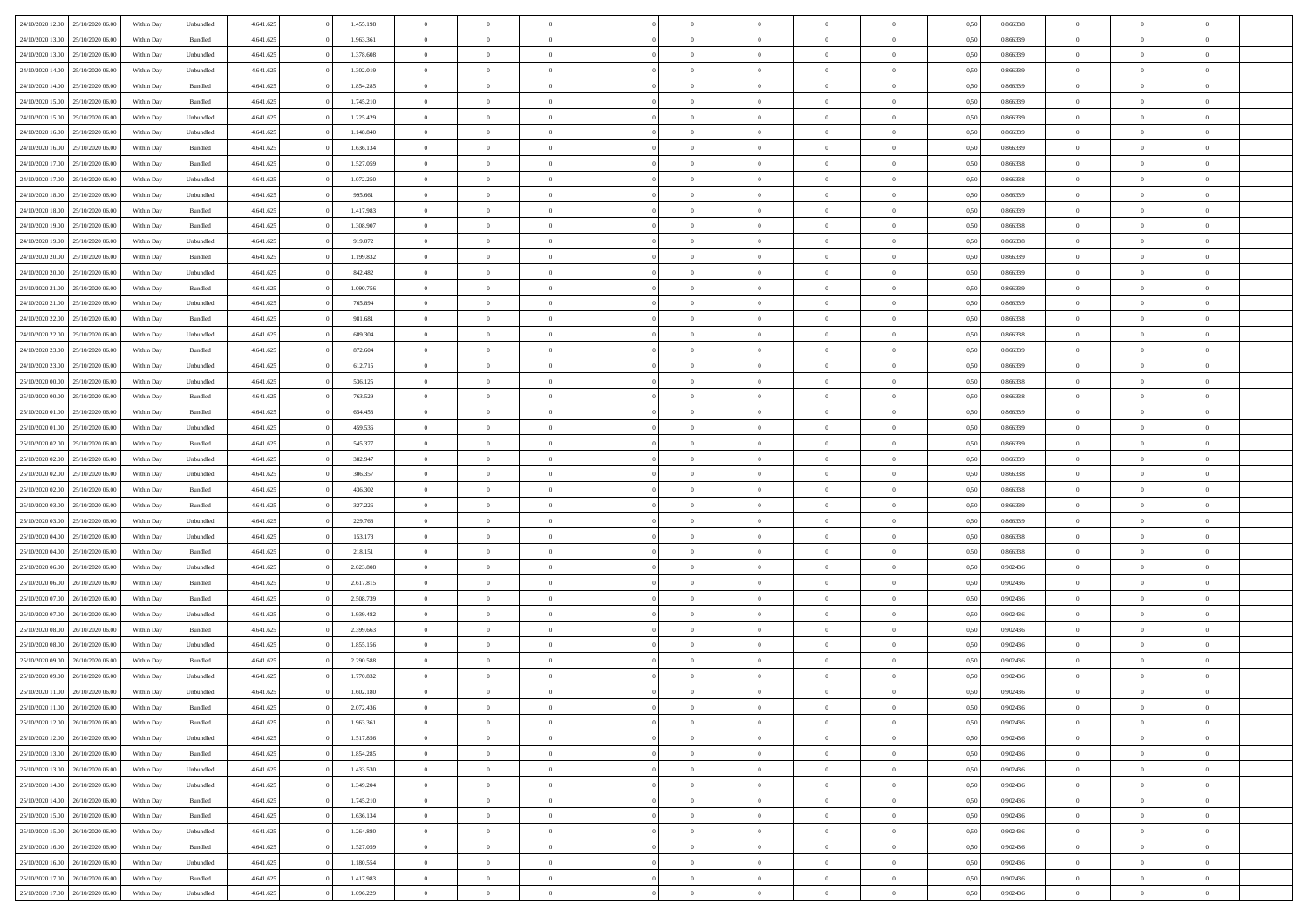| 24/10/2020 12:00                  | 25/10/2020 06:00 | Within Day | Unbundled          | 4.641.625 | 1.455.198 | $\overline{0}$ | $\theta$                   |                | $\overline{0}$ | $\bf{0}$                   | $\overline{0}$ | $\theta$       | 0,50 | 0,866338 | $\theta$             | $\theta$                   | $\overline{0}$           |  |
|-----------------------------------|------------------|------------|--------------------|-----------|-----------|----------------|----------------------------|----------------|----------------|----------------------------|----------------|----------------|------|----------|----------------------|----------------------------|--------------------------|--|
|                                   |                  |            |                    |           |           | $\overline{0}$ | $\theta$                   |                |                |                            |                |                |      |          |                      |                            | $\overline{0}$           |  |
| 24/10/2020 13.00                  | 25/10/2020 06.0  | Within Day | Bundled            | 4.641.625 | 1.963.361 |                |                            | $\overline{0}$ | $\overline{0}$ | $\,$ 0                     | $\bf{0}$       | $\bf{0}$       | 0,50 | 0,866339 | $\,$ 0 $\,$          | $\overline{0}$             |                          |  |
| 24/10/2020 13:00                  | 25/10/2020 06.00 | Within Day | Unbundled          | 4.641.625 | 1.378.608 | $\overline{0}$ | $\overline{0}$             | $\overline{0}$ | $\overline{0}$ | $\bf{0}$                   | $\overline{0}$ | $\overline{0}$ | 0,50 | 0.866339 | $\bf{0}$             | $\overline{0}$             | $\overline{0}$           |  |
| 24/10/2020 14:00                  | 25/10/2020 06.00 | Within Day | Unbundled          | 4.641.625 | 1.302.019 | $\overline{0}$ | $\overline{0}$             | $\overline{0}$ | $\overline{0}$ | $\bf{0}$                   | $\overline{0}$ | $\overline{0}$ | 0,50 | 0,866339 | $\,$ 0 $\,$          | $\overline{0}$             | $\overline{0}$           |  |
| 24/10/2020 14:00                  | 25/10/2020 06.00 | Within Day | Bundled            | 4.641.625 | 1.854.285 | $\overline{0}$ | $\theta$                   | $\overline{0}$ |                | $\overline{0}$             | $\overline{0}$ | $\bf{0}$       | 0,50 | 0,866339 | $\,$ 0 $\,$          | $\overline{0}$             | $\overline{0}$           |  |
| 24/10/2020 15:00                  | 25/10/2020 06:00 | Within Day | Bundled            | 4.641.625 | 1.745.210 | $\overline{0}$ | $\overline{0}$             | $\overline{0}$ | $\overline{0}$ | $\bf{0}$                   | $\overline{0}$ | $\overline{0}$ | 0.50 | 0.866339 | $\,0\,$              | $\theta$                   | $\overline{0}$           |  |
| 24/10/2020 15:00                  | 25/10/2020 06.00 | Within Day | Unbundled          | 4.641.625 | 1.225.429 | $\overline{0}$ | $\overline{0}$             | $\overline{0}$ | $\overline{0}$ | $\,$ 0                     | $\overline{0}$ | $\overline{0}$ | 0,50 | 0,866339 | $\,$ 0 $\,$          | $\theta$                   | $\overline{0}$           |  |
| 24/10/2020 16.00                  | 25/10/2020 06.00 | Within Day | Unbundled          | 4.641.625 | 1.148.840 | $\overline{0}$ | $\theta$                   | $\overline{0}$ | $\overline{0}$ | $\bf{0}$                   | $\overline{0}$ | $\bf{0}$       | 0,50 | 0,866339 | $\,$ 0 $\,$          | $\overline{0}$             | $\overline{0}$           |  |
| 24/10/2020 16.00                  | 25/10/2020 06:00 | Within Day | Bundled            | 4.641.625 | 1.636.134 | $\overline{0}$ | $\overline{0}$             | $\overline{0}$ | $\overline{0}$ | $\bf{0}$                   | $\overline{0}$ | $\bf{0}$       | 0.50 | 0.866339 | $\,0\,$              | $\overline{0}$             | $\overline{0}$           |  |
| 24/10/2020 17:00                  | 25/10/2020 06.00 | Within Day | Bundled            | 4.641.625 | 1.527.059 | $\overline{0}$ | $\overline{0}$             | $\overline{0}$ | $\overline{0}$ | $\,$ 0                     | $\overline{0}$ | $\bf{0}$       | 0,50 | 0,866338 | $\,$ 0 $\,$          | $\overline{0}$             | $\overline{0}$           |  |
|                                   |                  |            |                    |           |           |                |                            |                |                |                            |                |                |      |          |                      |                            |                          |  |
| 24/10/2020 17.00                  | 25/10/2020 06.00 | Within Day | Unbundled          | 4.641.625 | 1.072.250 | $\overline{0}$ | $\theta$                   | $\overline{0}$ | $\overline{0}$ | $\,$ 0                     | $\overline{0}$ | $\bf{0}$       | 0,50 | 0,866338 | $\,$ 0 $\,$          | $\overline{0}$             | $\overline{0}$           |  |
| 24/10/2020 18:00                  | 25/10/2020 06.00 | Within Day | Unbundled          | 4.641.625 | 995.661   | $\overline{0}$ | $\overline{0}$             | $\overline{0}$ | $\overline{0}$ | $\bf{0}$                   | $\overline{0}$ | $\mathbf{0}$   | 0.50 | 0.866339 | $\bf{0}$             | $\overline{0}$             | $\overline{\phantom{a}}$ |  |
| 24/10/2020 18:00                  | 25/10/2020 06.00 | Within Day | Bundled            | 4.641.625 | 1.417.983 | $\overline{0}$ | $\overline{0}$             | $\overline{0}$ | $\overline{0}$ | $\,$ 0                     | $\overline{0}$ | $\overline{0}$ | 0,50 | 0,866339 | $\,$ 0 $\,$          | $\theta$                   | $\overline{0}$           |  |
| 24/10/2020 19:00                  | 25/10/2020 06.00 | Within Day | Bundled            | 4.641.625 | 1.308.907 | $\overline{0}$ | $\theta$                   | $\overline{0}$ | $\overline{0}$ | $\overline{0}$             | $\overline{0}$ | $\bf{0}$       | 0,50 | 0,866338 | $\,$ 0 $\,$          | $\overline{0}$             | $\overline{0}$           |  |
| 24/10/2020 19:00                  | 25/10/2020 06:00 | Within Day | Unbundled          | 4.641.625 | 919.072   | $\overline{0}$ | $\overline{0}$             | $\overline{0}$ | $\overline{0}$ | $\,$ 0                     | $\overline{0}$ | $\overline{0}$ | 0.50 | 0.866338 | $\,0\,$              | $\theta$                   | $\overline{0}$           |  |
| 24/10/2020 20.00                  | 25/10/2020 06.00 | Within Day | Bundled            | 4.641.625 | 1.199.832 | $\overline{0}$ | $\overline{0}$             | $\overline{0}$ | $\overline{0}$ | $\,$ 0                     | $\overline{0}$ | $\bf{0}$       | 0,50 | 0,866339 | $\,0\,$              | $\theta$                   | $\overline{0}$           |  |
| 24/10/2020 20.00                  | 25/10/2020 06.00 | Within Day | Unbundled          | 4.641.625 | 842.482   | $\overline{0}$ | $\theta$                   | $\overline{0}$ |                | $\bf{0}$                   | $\overline{0}$ | $\bf{0}$       | 0,50 | 0,866339 | $\,$ 0 $\,$          | $\overline{0}$             | $\overline{0}$           |  |
| 24/10/2020 21.00                  | 25/10/2020 06:00 | Within Day | Bundled            | 4.641.625 | 1.090.756 | $\overline{0}$ | $\overline{0}$             | $\overline{0}$ | $\overline{0}$ | $\bf{0}$                   | $\overline{0}$ | $\bf{0}$       | 0.50 | 0.866339 | $\,0\,$              | $\overline{0}$             | $\overline{0}$           |  |
| 24/10/2020 21.00                  | 25/10/2020 06.00 | Within Day | Unbundled          | 4.641.625 | 765.894   | $\overline{0}$ | $\overline{0}$             | $\overline{0}$ | $\overline{0}$ | $\,$ 0                     | $\overline{0}$ | $\bf{0}$       | 0,50 | 0,866339 | $\,$ 0 $\,$          | $\overline{0}$             | $\overline{0}$           |  |
| 24/10/2020 22.00                  | 25/10/2020 06.00 | Within Day | Bundled            | 4.641.625 | 981.681   | $\overline{0}$ | $\theta$                   | $\overline{0}$ | $\overline{0}$ | $\,$ 0                     | $\bf{0}$       | $\bf{0}$       | 0,50 | 0,866338 | $\,$ 0 $\,$          | $\overline{0}$             | $\overline{0}$           |  |
|                                   |                  |            |                    |           | 689.304   |                | $\overline{0}$             | $\overline{0}$ |                |                            | $\overline{0}$ |                | 0.50 | 0.866338 |                      | $\overline{0}$             |                          |  |
| 24/10/2020 22.00                  | 25/10/2020 06.00 | Within Day | Unbundled          | 4.641.625 |           | $\overline{0}$ | $\overline{0}$             |                | $\overline{0}$ | $\bf{0}$                   |                | $\mathbf{0}$   |      |          | $\bf{0}$             | $\overline{0}$             | $\overline{\phantom{a}}$ |  |
| 24/10/2020 23.00                  | 25/10/2020 06.00 | Within Day | Bundled            | 4.641.625 | 872.604   | $\overline{0}$ |                            | $\overline{0}$ | $\overline{0}$ | $\bf{0}$                   | $\overline{0}$ | $\overline{0}$ | 0,50 | 0,866339 | $\,$ 0 $\,$          |                            | $\overline{0}$           |  |
| 24/10/2020 23.00                  | 25/10/2020 06.00 | Within Day | Unbundled          | 4.641.625 | 612.715   | $\overline{0}$ | $\theta$                   | $\overline{0}$ | $\overline{0}$ | $\bf{0}$                   | $\overline{0}$ | $\bf{0}$       | 0,50 | 0,866339 | $\,$ 0 $\,$          | $\overline{0}$             | $\overline{0}$           |  |
| 25/10/2020 00:00                  | 25/10/2020 06:00 | Within Day | Unbundled          | 4.641.625 | 536.125   | $\overline{0}$ | $\overline{0}$             | $\overline{0}$ | $\overline{0}$ | $\bf{0}$                   | $\overline{0}$ | $\overline{0}$ | 0.50 | 0.866338 | $\,0\,$              | $\theta$                   | $\overline{0}$           |  |
| 25/10/2020 00:00                  | 25/10/2020 06.00 | Within Day | Bundled            | 4.641.625 | 763.529   | $\overline{0}$ | $\overline{0}$             | $\overline{0}$ | $\overline{0}$ | $\,$ 0                     | $\overline{0}$ | $\overline{0}$ | 0,50 | 0,866338 | $\,0\,$              | $\theta$                   | $\overline{0}$           |  |
| 25/10/2020 01:00                  | 25/10/2020 06.00 | Within Day | Bundled            | 4.641.625 | 654.453   | $\overline{0}$ | $\theta$                   | $\overline{0}$ |                | $\bf{0}$                   | $\overline{0}$ | $\bf{0}$       | 0,50 | 0,866339 | $\,$ 0 $\,$          | $\overline{0}$             | $\overline{0}$           |  |
| 25/10/2020 01:00                  | 25/10/2020 06:00 | Within Day | Unbundled          | 4.641.625 | 459.536   | $\overline{0}$ | $\overline{0}$             | $\overline{0}$ | $\overline{0}$ | $\bf{0}$                   | $\overline{0}$ | $\bf{0}$       | 0.50 | 0.866339 | $\,0\,$              | $\overline{0}$             | $\overline{0}$           |  |
| 25/10/2020 02.00                  | 25/10/2020 06.00 | Within Day | Bundled            | 4.641.625 | 545.377   | $\overline{0}$ | $\overline{0}$             | $\overline{0}$ | $\overline{0}$ | $\bf{0}$                   | $\overline{0}$ | $\bf{0}$       | 0,50 | 0,866339 | $\,$ 0 $\,$          | $\overline{0}$             | $\overline{0}$           |  |
| 25/10/2020 02.00                  | 25/10/2020 06.00 | Within Day | Unbundled          | 4.641.625 | 382.947   | $\overline{0}$ | $\overline{0}$             | $\overline{0}$ | $\overline{0}$ | $\,$ 0                     | $\bf{0}$       | $\bf{0}$       | 0,50 | 0,866339 | $\,$ 0 $\,$          | $\overline{0}$             | $\overline{0}$           |  |
| 25/10/2020 02:00                  | 25/10/2020 06:00 | Within Day | Unbundled          | 4.641.625 | 306,357   | $\overline{0}$ | $\overline{0}$             | $\overline{0}$ | $\overline{0}$ | $\bf{0}$                   | $\overline{0}$ | $\mathbf{0}$   | 0.50 | 0.866338 | $\bf{0}$             | $\overline{0}$             | $\overline{\phantom{a}}$ |  |
| 25/10/2020 02:00                  | 25/10/2020 06:00 | Within Dav | Bundled            | 4.641.625 | 436.302   | $\overline{0}$ | $\overline{0}$             | $\overline{0}$ | $\overline{0}$ | $\bf{0}$                   | $\overline{0}$ | $\overline{0}$ | 0.50 | 0,866338 | $\theta$             | $\overline{0}$             | $\overline{0}$           |  |
| 25/10/2020 03:00                  | 25/10/2020 06.00 | Within Day | Bundled            | 4.641.625 | 327.226   | $\overline{0}$ | $\theta$                   | $\overline{0}$ | $\overline{0}$ | $\bf{0}$                   | $\overline{0}$ | $\bf{0}$       | 0,50 | 0,866339 | $\,$ 0 $\,$          | $\overline{0}$             | $\overline{0}$           |  |
|                                   | 25/10/2020 06:00 |            |                    |           |           |                | $\overline{0}$             |                |                |                            |                |                |      | 0.866339 |                      | $\theta$                   |                          |  |
| 25/10/2020 03:00                  |                  | Within Day | Unbundled          | 4.641.625 | 229.768   | $\overline{0}$ |                            | $\overline{0}$ | $\overline{0}$ | $\,$ 0                     | $\overline{0}$ | $\bf{0}$       | 0.50 |          | $\,0\,$              |                            | $\overline{0}$           |  |
| 25/10/2020 04:00                  | 25/10/2020 06.00 | Within Dav | Unbundled          | 4.641.625 | 153.178   | $\overline{0}$ | $\theta$                   | $\Omega$       | $\Omega$       | $\bf{0}$                   | $\overline{0}$ | $\overline{0}$ | 0.50 | 0,866338 | $\theta$             | $\overline{0}$             | $\overline{0}$           |  |
| 25/10/2020 04:00                  | 25/10/2020 06.00 | Within Day | Bundled            | 4.641.625 | 218.151   | $\overline{0}$ | $\theta$                   | $\overline{0}$ | $\overline{0}$ | $\,$ 0                     | $\overline{0}$ | $\bf{0}$       | 0,50 | 0,866338 | $\,$ 0 $\,$          | $\overline{0}$             | $\overline{0}$           |  |
| 25/10/2020 06.00                  | 26/10/2020 06:00 | Within Day | Unbundled          | 4.641.625 | 2.023.808 | $\overline{0}$ | $\overline{0}$             | $\overline{0}$ | $\overline{0}$ | $\bf{0}$                   | $\overline{0}$ | $\bf{0}$       | 0.50 | 0.902436 | $\bf{0}$             | $\overline{0}$             | $\overline{0}$           |  |
| 25/10/2020 06:00                  | 26/10/2020 06.00 | Within Dav | Bundled            | 4.641.625 | 2.617.815 | $\overline{0}$ | $\overline{0}$             | $\overline{0}$ | $\overline{0}$ | $\overline{0}$             | $\overline{0}$ | $\overline{0}$ | 0.50 | 0,902436 | $\theta$             | $\overline{0}$             | $\overline{0}$           |  |
| 25/10/2020 07.00                  | 26/10/2020 06.00 | Within Day | Bundled            | 4.641.625 | 2.508.739 | $\overline{0}$ | $\overline{0}$             | $\overline{0}$ | $\overline{0}$ | $\bf{0}$                   | $\bf{0}$       | $\bf{0}$       | 0,50 | 0,902436 | $\,$ 0 $\,$          | $\overline{0}$             | $\overline{0}$           |  |
| 25/10/2020 07:00                  | 26/10/2020 06:00 | Within Day | Unbundled          | 4.641.625 | 1.939.482 | $\overline{0}$ | $\overline{0}$             | $\overline{0}$ | $\overline{0}$ | $\bf{0}$                   | $\overline{0}$ | $\mathbf{0}$   | 0.50 | 0.902436 | $\,$ 0 $\,$          | $\overline{0}$             | $\overline{0}$           |  |
| 25/10/2020 08:00                  | 26/10/2020 06.00 | Within Dav | Bundled            | 4.641.625 | 2.399.663 | $\overline{0}$ | $\overline{0}$             | $\Omega$       | $\overline{0}$ | $\bf{0}$                   | $\overline{0}$ | $\overline{0}$ | 0.50 | 0,902436 | $\theta$             | $\overline{0}$             | $\overline{0}$           |  |
| 25/10/2020 08:00                  | 26/10/2020 06.00 | Within Day | Unbundled          | 4.641.625 | 1.855.156 | $\overline{0}$ | $\theta$                   | $\overline{0}$ | $\overline{0}$ | $\,$ 0                     | $\overline{0}$ | $\bf{0}$       | 0,50 | 0,902436 | $\,$ 0 $\,$          | $\overline{0}$             | $\overline{0}$           |  |
| 25/10/2020 09:00                  | 26/10/2020 06:00 | Within Day | Bundled            | 4.641.625 | 2.290.588 | $\overline{0}$ | $\theta$                   | $\overline{0}$ | $\overline{0}$ | $\overline{0}$             | $\Omega$       | $\overline{0}$ | 0.50 | 0.902436 | $\,0\,$              | $\theta$                   | $\theta$                 |  |
| 25/10/2020 09:00                  | 26/10/2020 06:00 | Within Dav | Unbundled          | 4.641.625 | 1.770.832 | $\overline{0}$ | $\Omega$                   | $\Omega$       | $\Omega$       | $\bf{0}$                   | $\overline{0}$ | $\bf{0}$       | 0.50 | 0,902436 | $\theta$             | $\theta$                   | $\overline{0}$           |  |
| 25/10/2020 11:00                  | 26/10/2020 06.00 | Within Day | Unbundled          | 4.641.625 | 1.602.180 | $\overline{0}$ | $\,$ 0 $\,$                | $\overline{0}$ | $\overline{0}$ | $\,$ 0                     | $\bf{0}$       | $\bf{0}$       | 0,50 | 0,902436 | $\,$ 0 $\,$          | $\overline{0}$             | $\overline{0}$           |  |
| 25/10/2020 11:00 26/10/2020 06:00 |                  | Within Day |                    |           | 2.072.436 |                |                            |                |                |                            |                |                |      | 0.902436 |                      |                            |                          |  |
|                                   |                  |            | $\mathbf B$ undled | 4.641.625 |           | $\bf{0}$       | $\theta$<br>$\overline{0}$ |                |                | $\Omega$<br>$\overline{0}$ |                |                | 0,50 |          | $\bf{0}$<br>$\theta$ | $\theta$<br>$\overline{0}$ | $\overline{0}$           |  |
| 25/10/2020 12:00 26/10/2020 06:00 |                  | Within Day | Bundled            | 4.641.625 | 1.963.361 | $\overline{0}$ |                            | $\overline{0}$ | $\overline{0}$ |                            | $\overline{0}$ | $\mathbf{0}$   | 0,50 | 0,902436 |                      |                            |                          |  |
| 25/10/2020 12:00                  | 26/10/2020 06.00 | Within Day | Unbundled          | 4.641.625 | 1.517.856 | $\overline{0}$ | $\overline{0}$             | $\overline{0}$ | $\bf{0}$       | $\overline{0}$             | $\overline{0}$ | $\bf{0}$       | 0,50 | 0,902436 | $\bf{0}$             | $\overline{0}$             | $\bf{0}$                 |  |
| 25/10/2020 13:00                  | 26/10/2020 06:00 | Within Day | Bundled            | 4.641.625 | 1.854.285 | $\overline{0}$ | $\overline{0}$             | $\overline{0}$ | $\overline{0}$ | $\overline{0}$             | $\overline{0}$ | $\mathbf{0}$   | 0.50 | 0.902436 | $\overline{0}$       | $\bf{0}$                   | $\bf{0}$                 |  |
| 25/10/2020 13:00                  | 26/10/2020 06.00 | Within Day | Unbundled          | 4.641.625 | 1.433.530 | $\overline{0}$ | $\overline{0}$             | $\overline{0}$ | $\overline{0}$ | $\overline{0}$             | $\overline{0}$ | $\mathbf{0}$   | 0,50 | 0,902436 | $\overline{0}$       | $\theta$                   | $\overline{0}$           |  |
| 25/10/2020 14:00                  | 26/10/2020 06.00 | Within Day | Unbundled          | 4.641.625 | 1.349.204 | $\overline{0}$ | $\overline{0}$             | $\overline{0}$ | $\overline{0}$ | $\bf{0}$                   | $\bf{0}$       | $\bf{0}$       | 0,50 | 0,902436 | $\bf{0}$             | $\overline{0}$             | $\overline{0}$           |  |
| 25/10/2020 14:00                  | 26/10/2020 06:00 | Within Day | Bundled            | 4.641.625 | 1.745.210 | $\overline{0}$ | $\overline{0}$             | $\overline{0}$ | $\overline{0}$ | $\bf{0}$                   | $\overline{0}$ | $\mathbf{0}$   | 0.50 | 0.902436 | $\,$ 0 $\,$          | $\theta$                   | $\overline{0}$           |  |
| 25/10/2020 15:00                  | 26/10/2020 06:00 | Within Day | Bundled            | 4.641.625 | 1.636.134 | $\overline{0}$ | $\overline{0}$             | $\overline{0}$ | $\overline{0}$ | $\overline{0}$             | $\overline{0}$ | $\overline{0}$ | 0,50 | 0,902436 | $\overline{0}$       | $\theta$                   | $\overline{0}$           |  |
| 25/10/2020 15:00                  | 26/10/2020 06.00 | Within Day | Unbundled          | 4.641.625 | 1.264.880 | $\overline{0}$ | $\,$ 0                     | $\overline{0}$ | $\bf{0}$       | $\,$ 0 $\,$                | $\overline{0}$ | $\bf{0}$       | 0,50 | 0,902436 | $\,$ 0 $\,$          | $\overline{0}$             | $\overline{0}$           |  |
| 25/10/2020 16:00                  | 26/10/2020 06:00 | Within Day | Bundled            | 4.641.625 | 1.527.059 | $\overline{0}$ | $\overline{0}$             | $\overline{0}$ | $\overline{0}$ | $\bf{0}$                   | $\overline{0}$ | $\mathbf{0}$   | 0.50 | 0.902436 | $\mathbf{0}$         | $\,$ 0 $\,$                | $\overline{0}$           |  |
| 25/10/2020 16:00                  | 26/10/2020 06.00 | Within Day | Unbundled          | 4.641.625 | 1.180.554 | $\overline{0}$ | $\overline{0}$             | $\overline{0}$ | $\overline{0}$ | $\overline{0}$             | $\overline{0}$ | $\overline{0}$ | 0,50 | 0,902436 | $\overline{0}$       | $\theta$                   | $\overline{0}$           |  |
| 25/10/2020 17.00                  | 26/10/2020 06.00 | Within Day | Bundled            | 4.641.625 | 1.417.983 | $\overline{0}$ | $\overline{0}$             | $\overline{0}$ | $\bf{0}$       | $\bf{0}$                   | $\bf{0}$       | $\bf{0}$       | 0,50 | 0,902436 | $\bf{0}$             | $\overline{0}$             | $\bf{0}$                 |  |
|                                   |                  |            |                    |           |           |                |                            |                |                |                            |                |                |      |          |                      |                            |                          |  |
| 25/10/2020 17:00 26/10/2020 06:00 |                  | Within Day | Unbundled          | 4.641.625 | 1.096.229 | $\,$ 0 $\,$    | $\,$ 0 $\,$                | $\overline{0}$ | $\overline{0}$ | $\,$ 0 $\,$                | $\,$ 0 $\,$    | $\,$ 0 $\,$    | 0,50 | 0,902436 | $\mathbf{0}^-$       | $\,$ 0 $\,$                | $\,$ 0 $\,$              |  |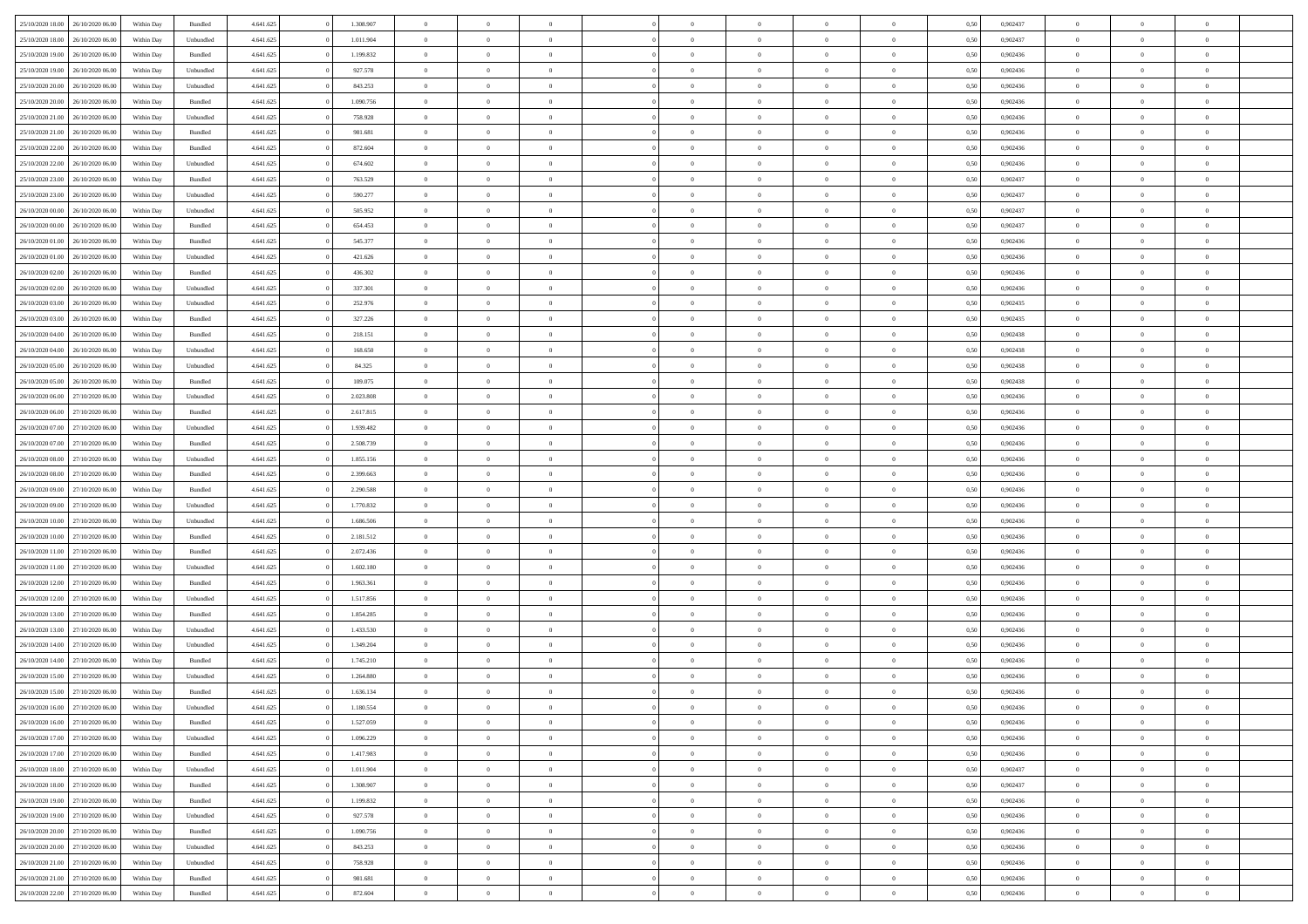| 25/10/2020 18:00 26/10/2020 06:00    | Within Day | Bundled                     | 4.641.625 | 1.308.907 | $\theta$       | $\overline{0}$   | $\overline{0}$ | $\theta$       | $\theta$                        |                | $\overline{0}$ | 0,50 | 0,902437 | $\overline{0}$ | $\theta$       | $\theta$       |  |
|--------------------------------------|------------|-----------------------------|-----------|-----------|----------------|------------------|----------------|----------------|---------------------------------|----------------|----------------|------|----------|----------------|----------------|----------------|--|
|                                      |            |                             |           |           |                |                  |                |                |                                 |                |                |      |          |                |                |                |  |
| 25/10/2020 18:00<br>26/10/2020 06.00 | Within Day | Unbundled                   | 4.641.625 | 1.011.904 | $\bf{0}$       | $\overline{0}$   | $\bf{0}$       | $\bf{0}$       | $\bf{0}$                        | $\overline{0}$ | $\bf{0}$       | 0,50 | 0,902437 | $\bf{0}$       | $\overline{0}$ | $\bf{0}$       |  |
| 25/10/2020 19:00<br>26/10/2020 06.00 | Within Day | Bundled                     | 4.641.625 | 1.199.832 | $\overline{0}$ | $\overline{0}$   | $\overline{0}$ | $\bf{0}$       | $\bf{0}$                        | $\overline{0}$ | $\mathbf{0}$   | 0,50 | 0.902436 | $\overline{0}$ | $\overline{0}$ | $\overline{0}$ |  |
| 25/10/2020 19:00<br>26/10/2020 06.00 | Within Day | Unbundled                   | 4.641.625 | 927.578   | $\bf{0}$       | $\overline{0}$   | $\overline{0}$ | $\overline{0}$ | $\overline{0}$                  | $\overline{0}$ | $\,$ 0         | 0,50 | 0,902436 | $\,0\,$        | $\overline{0}$ | $\bf{0}$       |  |
|                                      |            |                             |           |           |                |                  |                |                |                                 |                |                |      |          |                |                |                |  |
| 25/10/2020 20:00<br>26/10/2020 06.00 | Within Day | Unbundled                   | 4.641.625 | 843.253   | $\bf{0}$       | $\overline{0}$   | $\bf{0}$       | $\bf{0}$       | $\bf{0}$                        | $\overline{0}$ | $\bf{0}$       | 0,50 | 0,902436 | $\bf{0}$       | $\theta$       | $\overline{0}$ |  |
| 25/10/2020 20:00<br>26/10/2020 06.00 | Within Day | Bundled                     | 4.641.625 | 1,090,756 | $\overline{0}$ | $\overline{0}$   | $\overline{0}$ | $\bf{0}$       | $\bf{0}$                        | $\overline{0}$ | $\theta$       | 0.50 | 0.902436 | $\bf{0}$       | $\overline{0}$ | $\overline{0}$ |  |
| 25/10/2020 21:00<br>26/10/2020 06.00 | Within Day | Unbundled                   | 4.641.625 | 758.928   | $\bf{0}$       | $\overline{0}$   | $\overline{0}$ | $\overline{0}$ | $\bf{0}$                        | $\overline{0}$ | $\bf{0}$       | 0,50 | 0,902436 | $\bf{0}$       | $\overline{0}$ | $\bf{0}$       |  |
| 25/10/2020 21:00<br>26/10/2020 06.00 | Within Day | Bundled                     | 4.641.625 | 981.681   | $\bf{0}$       | $\overline{0}$   | $\bf{0}$       | $\bf{0}$       | $\bf{0}$                        | $\overline{0}$ | $\bf{0}$       | 0,50 | 0,902436 | $\bf{0}$       | $\,$ 0         | $\bf{0}$       |  |
| 26/10/2020 06:00                     |            | Bundled                     |           | 872.604   |                |                  | $\overline{0}$ |                | $\bf{0}$                        | $\overline{0}$ | $\bf{0}$       |      | 0.902436 |                | $\overline{0}$ | $\overline{0}$ |  |
| 25/10/2020 22.00                     | Within Day |                             | 4.641.625 |           | $\overline{0}$ | $\overline{0}$   |                | $\bf{0}$       |                                 |                |                | 0,50 |          | $\bf{0}$       |                |                |  |
| 25/10/2020 22.00<br>26/10/2020 06:00 | Within Day | Unbundled                   | 4.641.625 | 674.602   | $\bf{0}$       | $\overline{0}$   | $\bf{0}$       | $\bf{0}$       | $\bf{0}$                        | $\overline{0}$ | $\bf{0}$       | 0,50 | 0,902436 | $\,$ 0 $\,$    | $\bf{0}$       | $\bf{0}$       |  |
| 25/10/2020 23.00<br>26/10/2020 06.00 | Within Day | Bundled                     | 4.641.625 | 763.529   | $\bf{0}$       | $\overline{0}$   | $\bf{0}$       | $\bf{0}$       | $\bf{0}$                        | $\overline{0}$ | $\bf{0}$       | 0,50 | 0,902437 | $\bf{0}$       | $\theta$       | $\bf{0}$       |  |
| 25/10/2020 23:00<br>26/10/2020 06.00 | Within Day | Unbundled                   | 4.641.625 | 590.277   | $\overline{0}$ | $\overline{0}$   | $\overline{0}$ | $\bf{0}$       | $\bf{0}$                        | $\overline{0}$ | $\,$ 0 $\,$    | 0.50 | 0.902437 | $\overline{0}$ | $\overline{0}$ | $\overline{0}$ |  |
| 26/10/2020 00:00<br>26/10/2020 06.00 | Within Day | Unbundled                   | 4.641.625 | 505.952   | $\bf{0}$       | $\overline{0}$   | $\overline{0}$ | $\overline{0}$ | $\overline{0}$                  | $\overline{0}$ | $\,$ 0         | 0,50 | 0,902437 | $\,$ 0 $\,$    | $\overline{0}$ | $\bf{0}$       |  |
|                                      |            |                             |           |           |                |                  |                |                |                                 |                |                |      |          |                |                |                |  |
| 26/10/2020 00:00<br>26/10/2020 06.00 | Within Day | Bundled                     | 4.641.625 | 654.453   | $\bf{0}$       | $\overline{0}$   | $\bf{0}$       | $\bf{0}$       | $\bf{0}$                        | $\overline{0}$ | $\bf{0}$       | 0,50 | 0,902437 | $\,$ 0 $\,$    | $\theta$       | $\overline{0}$ |  |
| 26/10/2020 01.00<br>26/10/2020 06:00 | Within Day | Bundled                     | 4.641.625 | 545,377   | $\overline{0}$ | $\overline{0}$   | $\overline{0}$ | $\bf{0}$       | $\overline{0}$                  | $\overline{0}$ | $\theta$       | 0,50 | 0.902436 | $\bf{0}$       | $\theta$       | $\overline{0}$ |  |
| 26/10/2020 01:00<br>26/10/2020 06.00 | Within Day | Unbundled                   | 4.641.625 | 421.626   | $\bf{0}$       | $\overline{0}$   | $\overline{0}$ | $\overline{0}$ | $\overline{0}$                  | $\overline{0}$ | $\bf{0}$       | 0,50 | 0,902436 | $\bf{0}$       | $\overline{0}$ | $\bf{0}$       |  |
| 26/10/2020 02.00<br>26/10/2020 06.00 | Within Day | Bundled                     | 4.641.625 | 436.302   | $\bf{0}$       | $\bf{0}$         | $\bf{0}$       | $\bf{0}$       | $\overline{0}$                  | $\overline{0}$ | $\bf{0}$       | 0,50 | 0,902436 | $\bf{0}$       | $\theta$       | $\bf{0}$       |  |
| 26/10/2020 06:00                     |            | Unbundled                   | 4.641.625 | 337.301   |                |                  | $\overline{0}$ |                | $\bf{0}$                        | $\overline{0}$ |                | 0.50 | 0.902436 | $\bf{0}$       | $\overline{0}$ | $\bf{0}$       |  |
| 26/10/2020 02.00                     | Within Day |                             |           |           | $\overline{0}$ | $\overline{0}$   |                | $\bf{0}$       |                                 |                | $\mathbf{0}$   |      |          |                |                |                |  |
| 26/10/2020 03:00<br>26/10/2020 06.00 | Within Day | Unbundled                   | 4.641.625 | 252.976   | $\bf{0}$       | $\overline{0}$   | $\bf{0}$       | $\overline{0}$ | $\bf{0}$                        | $\overline{0}$ | $\bf{0}$       | 0,50 | 0,902435 | $\,$ 0 $\,$    | $\bf{0}$       | $\overline{0}$ |  |
| 26/10/2020 03:00<br>26/10/2020 06.00 | Within Day | Bundled                     | 4.641.625 | 327.226   | $\bf{0}$       | $\overline{0}$   | $\bf{0}$       | $\bf{0}$       | $\bf{0}$                        | $\overline{0}$ | $\bf{0}$       | 0,50 | 0,902435 | $\bf{0}$       | $\,$ 0         | $\overline{0}$ |  |
| 26/10/2020 04:00<br>26/10/2020 06.00 | Within Day | Bundled                     | 4.641.625 | 218.151   | $\overline{0}$ | $\overline{0}$   | $\overline{0}$ | $\bf{0}$       | $\bf{0}$                        | $\overline{0}$ | $\,$ 0 $\,$    | 0.50 | 0.902438 | $\bf{0}$       | $\overline{0}$ | $\overline{0}$ |  |
| 26/10/2020 04:00<br>26/10/2020 06.00 | Within Day | Unbundled                   | 4.641.625 | 168.650   | $\bf{0}$       | $\overline{0}$   | $\overline{0}$ | $\overline{0}$ | $\overline{0}$                  | $\overline{0}$ | $\,$ 0         | 0,50 | 0,902438 | $\,$ 0 $\,$    | $\overline{0}$ | $\bf{0}$       |  |
|                                      |            |                             |           |           |                |                  |                |                |                                 |                |                |      |          |                |                |                |  |
| 26/10/2020 05:00<br>26/10/2020 06.00 | Within Day | Unbundled                   | 4.641.625 | 84.325    | $\bf{0}$       | $\bf{0}$         | $\bf{0}$       | $\overline{0}$ | $\overline{0}$                  | $\overline{0}$ | $\bf{0}$       | 0,50 | 0,902438 | $\bf{0}$       | $\theta$       | $\bf{0}$       |  |
| 26/10/2020 05.00<br>26/10/2020 06:00 | Within Day | Bundled                     | 4.641.625 | 109,075   | $\overline{0}$ | $\overline{0}$   | $\overline{0}$ | $\overline{0}$ | $\bf{0}$                        | $\overline{0}$ | $\theta$       | 0.50 | 0.902438 | $\bf{0}$       | $\overline{0}$ | $\overline{0}$ |  |
| 26/10/2020 06:00<br>27/10/2020 06.00 | Within Day | Unbundled                   | 4.641.625 | 2.023.808 | $\bf{0}$       | $\overline{0}$   | $\overline{0}$ | $\overline{0}$ | $\bf{0}$                        | $\overline{0}$ | $\bf{0}$       | 0,50 | 0,902436 | $\bf{0}$       | $\overline{0}$ | $\bf{0}$       |  |
| 26/10/2020 06.00<br>27/10/2020 06.00 | Within Day | Bundled                     | 4.641.625 | 2.617.815 | $\bf{0}$       | $\overline{0}$   | $\bf{0}$       | $\bf{0}$       | $\overline{0}$                  | $\overline{0}$ | $\bf{0}$       | 0,50 | 0,902436 | $\,$ 0 $\,$    | $\theta$       | $\bf{0}$       |  |
|                                      |            |                             |           |           |                |                  |                |                |                                 |                |                |      |          |                |                |                |  |
| 26/10/2020 07:00<br>27/10/2020 06:00 | Within Day | Unbundled                   | 4.641.625 | 1.939.482 | $\overline{0}$ | $\overline{0}$   | $\overline{0}$ | $\bf{0}$       | $\bf{0}$                        | $\overline{0}$ | $\bf{0}$       | 0.50 | 0.902436 | $\bf{0}$       | $\overline{0}$ | $\bf{0}$       |  |
| 26/10/2020 07:00<br>27/10/2020 06.00 | Within Day | Bundled                     | 4.641.625 | 2.508.739 | $\bf{0}$       | $\overline{0}$   | $\overline{0}$ | $\overline{0}$ | $\bf{0}$                        | $\overline{0}$ | $\bf{0}$       | 0,50 | 0,902436 | $\,$ 0 $\,$    | $\overline{0}$ | $\bf{0}$       |  |
| 26/10/2020 08:00<br>27/10/2020 06.00 | Within Day | Unbundled                   | 4.641.625 | 1.855.156 | $\bf{0}$       | $\overline{0}$   | $\bf{0}$       | $\overline{0}$ | $\bf{0}$                        | $\overline{0}$ | $\bf{0}$       | 0,50 | 0,902436 | $\bf{0}$       | $\bf{0}$       | $\bf{0}$       |  |
| 26/10/2020 08:00<br>27/10/2020 06.00 | Within Day | Bundled                     | 4.641.625 | 2.399.663 | $\overline{0}$ | $\overline{0}$   | $\overline{0}$ | $\bf{0}$       | $\bf{0}$                        | $\overline{0}$ | $\,$ 0 $\,$    | 0.50 | 0.902436 | $\overline{0}$ | $\overline{0}$ | $\overline{0}$ |  |
| 26/10/2020 09:00<br>27/10/2020 06.00 | Within Day | Bundled                     | 4.641.625 | 2.290.588 | $\overline{0}$ | $\overline{0}$   | $\overline{0}$ | $\overline{0}$ | $\overline{0}$                  | $\overline{0}$ | $\overline{0}$ | 0.50 | 0.902436 | $\mathbf{0}$   | $\theta$       | $\bf{0}$       |  |
|                                      |            |                             |           |           |                |                  |                |                |                                 |                |                |      |          |                |                |                |  |
| 26/10/2020 09:00<br>27/10/2020 06.00 | Within Day | Unbundled                   | 4.641.625 | 1.770.832 | $\bf{0}$       | $\bf{0}$         | $\bf{0}$       | $\bf{0}$       | $\overline{\phantom{a}}$        | $\overline{0}$ | $\bf{0}$       | 0,50 | 0,902436 | $\bf{0}$       | $\theta$       | $\bf{0}$       |  |
| 26/10/2020 10:00<br>27/10/2020 06.00 | Within Day | Unbundled                   | 4.641.625 | 1.686.506 | $\overline{0}$ | $\overline{0}$   | $\overline{0}$ | $\bf{0}$       | $\overline{0}$                  | $\overline{0}$ | $\theta$       | 0,50 | 0.902436 | $\bf{0}$       | $\theta$       | $\overline{0}$ |  |
| 26/10/2020 10:00<br>27/10/2020 06.00 | Within Day | Bundled                     | 4.641.625 | 2.181.512 | $\overline{0}$ | $\overline{0}$   | $\overline{0}$ | $\overline{0}$ | $\overline{0}$                  | $\theta$       | $\overline{0}$ | 0.50 | 0,902436 | $\mathbf{0}$   | $\theta$       | $\bf{0}$       |  |
| 26/10/2020 11:00<br>27/10/2020 06.00 | Within Day | Bundled                     | 4.641.625 | 2.072.436 | $\bf{0}$       | $\bf{0}$         | $\bf{0}$       | $\bf{0}$       | $\overline{0}$                  | $\overline{0}$ | $\bf{0}$       | 0,50 | 0,902436 | $\bf{0}$       | $\theta$       | $\bf{0}$       |  |
| 27/10/2020 06:00                     |            | Unbundled                   | 4.641.625 | 1.602.180 |                |                  | $\overline{0}$ |                | $\bf{0}$                        | $\overline{0}$ | $\bf{0}$       | 0.50 | 0.902436 | $\bf{0}$       | $\overline{0}$ | $\bf{0}$       |  |
| 26/10/2020 11:00                     | Within Day |                             |           |           | $\overline{0}$ | $\overline{0}$   |                | $\bf{0}$       |                                 |                |                |      |          |                |                |                |  |
| 26/10/2020 12:00<br>27/10/2020 06.00 | Within Day | Bundled                     | 4.641.625 | 1.963.361 | $\overline{0}$ | $\overline{0}$   | $\overline{0}$ | $\overline{0}$ | $\overline{0}$                  | $\overline{0}$ | $\overline{0}$ | 0.50 | 0,902436 | $\overline{0}$ | $\theta$       | $\overline{0}$ |  |
| 26/10/2020 12:00<br>27/10/2020 06.00 | Within Day | Unbundled                   | 4.641.625 | 1.517.856 | $\bf{0}$       | $\overline{0}$   | $\bf{0}$       | $\overline{0}$ | $\bf{0}$                        | $\overline{0}$ | $\bf{0}$       | 0,50 | 0,902436 | $\bf{0}$       | $\bf{0}$       | $\bf{0}$       |  |
| 26/10/2020 13:00<br>27/10/2020 06.00 | Within Day | Bundled                     | 4.641.625 | 1.854.285 | $\overline{0}$ | $\overline{0}$   | $\overline{0}$ | $\bf{0}$       | $\bf{0}$                        | $\overline{0}$ | $\,$ 0 $\,$    | 0.50 | 0.902436 | $\bf{0}$       | $\overline{0}$ | $\bf{0}$       |  |
| 26/10/2020 13:00<br>27/10/2020 06.00 | Within Day | Unbundled                   | 4.641.625 | 1.433.530 | $\overline{0}$ | $\overline{0}$   | $\overline{0}$ | $\overline{0}$ | $\overline{0}$                  | $\overline{0}$ | $\overline{0}$ | 0.50 | 0,902436 | $\mathbf{0}$   | $\theta$       | $\bf{0}$       |  |
|                                      |            |                             |           |           |                |                  |                |                |                                 |                |                |      |          |                |                |                |  |
| 26/10/2020 14:00<br>27/10/2020 06.00 | Within Day | Unbundled                   | 4.641.625 | 1.349.204 | $\bf{0}$       | $\overline{0}$   | $\bf{0}$       | $\overline{0}$ | $\bf{0}$                        | $\overline{0}$ | $\bf{0}$       | 0,50 | 0,902436 | $\bf{0}$       | $\,$ 0         | $\bf{0}$       |  |
| 26/10/2020 14:00<br>27/10/2020 06.00 | Within Day | Bundled                     | 4.641.625 | 1.745.210 | $\overline{0}$ | $\overline{0}$   | $\overline{0}$ | $\overline{0}$ | $\overline{0}$                  | $\overline{0}$ | $\theta$       | 0.50 | 0.902436 | $\bf{0}$       | $\theta$       | $\overline{0}$ |  |
| 26/10/2020 15:00<br>27/10/2020 06.00 | Within Day | Unbundled                   | 4.641.625 | 1.264.880 | $\overline{0}$ | $\overline{0}$   | $\overline{0}$ | $\overline{0}$ | $\overline{0}$                  | $\Omega$       | $\overline{0}$ | 0.50 | 0,902436 | $\mathbf{0}$   | $\theta$       | $\bf{0}$       |  |
| 26/10/2020 15:00<br>27/10/2020 06.00 | Within Day | Bundled                     | 4.641.625 | 1.636.134 | $\bf{0}$       | $\bf{0}$         | $\bf{0}$       | $\overline{0}$ | $\bf{0}$                        | $\overline{0}$ | $\bf{0}$       | 0,50 | 0,902436 | $\bf{0}$       | $\,$ 0         | $\,$ 0         |  |
| 26/10/2020 16:00 27/10/2020 06:00    | Within Day | $\ensuremath{\mathsf{Unb}}$ | 4.641.625 | 1.180.554 | $\bf{0}$       | $\boldsymbol{0}$ |                | $\bf{0}$       |                                 |                | $\theta$       | 0,50 | 0,902436 | $\theta$       | $\theta$       |                |  |
|                                      |            |                             |           |           |                |                  |                |                |                                 |                |                |      |          |                |                |                |  |
| 26/10/2020 16:00 27/10/2020 06:00    | Within Day | Bundled                     | 4.641.625 | 1.527.059 | $\overline{0}$ | $\overline{0}$   | $\overline{0}$ | $\overline{0}$ | $\overline{0}$                  | $\overline{0}$ | $\overline{0}$ | 0,50 | 0,902436 | $\overline{0}$ | $\theta$       | $\overline{0}$ |  |
| 26/10/2020 17:00<br>27/10/2020 06.00 | Within Day | Unbundled                   | 4.641.625 | 1.096.229 | $\overline{0}$ | $\overline{0}$   | $\overline{0}$ | $\bf{0}$       | $\overline{0}$                  | $\overline{0}$ | $\mathbf{0}$   | 0,50 | 0,902436 | $\overline{0}$ | $\bf{0}$       | $\overline{0}$ |  |
| 26/10/2020 17:00 27/10/2020 06:00    | Within Day | Bundled                     | 4.641.625 | 1.417.983 | $\overline{0}$ | $\overline{0}$   | $\overline{0}$ | $\,$ 0 $\,$    | $\bf{0}$                        | $\overline{0}$ | $\,$ 0 $\,$    | 0.50 | 0.902436 | $\bf{0}$       | $\,$ 0 $\,$    | $\,$ 0 $\,$    |  |
| 26/10/2020 18:00 27/10/2020 06:00    | Within Day | Unbundled                   | 4.641.625 | 1.011.904 | $\overline{0}$ | $\overline{0}$   | $\overline{0}$ | $\overline{0}$ | $\overline{0}$                  | $\overline{0}$ | $\overline{0}$ | 0,50 | 0,902437 | $\overline{0}$ | $\theta$       | $\overline{0}$ |  |
|                                      |            |                             |           |           |                |                  |                |                |                                 |                | $\,$ 0 $\,$    |      |          | $\overline{0}$ |                |                |  |
| 26/10/2020 18:00<br>27/10/2020 06.00 | Within Day | Bundled                     | 4.641.625 | 1.308.907 | $\overline{0}$ | $\overline{0}$   | $\overline{0}$ | $\overline{0}$ | $\overline{0}$                  | $\overline{0}$ |                | 0,50 | 0,902437 |                | $\bf{0}$       | $\bf{0}$       |  |
| 27/10/2020 06:00<br>26/10/2020 19:00 | Within Day | Bundled                     | 4.641.625 | 1.199.832 | $\overline{0}$ | $\overline{0}$   | $\overline{0}$ | $\bf{0}$       | $\bf{0}$                        | $\overline{0}$ | $\,$ 0 $\,$    | 0.50 | 0.902436 | $\bf{0}$       | $\overline{0}$ | $\overline{0}$ |  |
| 26/10/2020 19:00<br>27/10/2020 06:00 | Within Day | Unbundled                   | 4.641.625 | 927.578   | $\overline{0}$ | $\overline{0}$   | $\overline{0}$ | $\overline{0}$ | $\overline{0}$                  | $\overline{0}$ | $\overline{0}$ | 0,50 | 0,902436 | $\overline{0}$ | $\theta$       | $\overline{0}$ |  |
| 26/10/2020 20:00<br>27/10/2020 06.00 | Within Day | Bundled                     | 4.641.625 | 1.090.756 | $\overline{0}$ | $\overline{0}$   | $\overline{0}$ | $\bf{0}$       | $\hspace{0.1mm}0\hspace{0.1mm}$ | $\overline{0}$ | $\mathbf{0}$   | 0,50 | 0,902436 | $\overline{0}$ | $\bf{0}$       | $\overline{0}$ |  |
| 26/10/2020 20.00 27/10/2020 06.00    | Within Day | Unbundled                   | 4.641.625 | 843.253   | $\overline{0}$ | $\overline{0}$   | $\overline{0}$ | $\bf{0}$       | $\hspace{0.1mm}0\hspace{0.1mm}$ | $\overline{0}$ | $\mathbf{0}$   | 0.50 | 0.902436 | $\bf{0}$       | $\overline{0}$ | $\mathbf{0}$   |  |
|                                      |            |                             |           |           |                |                  |                |                |                                 |                |                |      |          |                |                |                |  |
| 26/10/2020 21.00 27/10/2020 06:00    | Within Day | Unbundled                   | 4.641.625 | 758.928   | $\overline{0}$ | $\overline{0}$   | $\overline{0}$ | $\overline{0}$ | $\overline{0}$                  | $\overline{0}$ | $\overline{0}$ | 0,50 | 0,902436 | $\overline{0}$ | $\theta$       | $\overline{0}$ |  |
| 26/10/2020 21:00<br>27/10/2020 06.00 | Within Day | Bundled                     | 4.641.625 | 981.681   | $\overline{0}$ | $\overline{0}$   | $\overline{0}$ | $\bf{0}$       | $\bf{0}$                        | $\overline{0}$ | $\,$ 0 $\,$    | 0,50 | 0,902436 | $\overline{0}$ | $\bf{0}$       | $\bf{0}$       |  |
| 26/10/2020 22.00 27/10/2020 06.00    | Within Day | Bundled                     | 4.641.625 | 872.604   | $\,$ 0 $\,$    | $\overline{0}$   | $\overline{0}$ | $\bf{0}$       | $\,$ 0 $\,$                     | $\overline{0}$ | $\,0\,$        | 0,50 | 0,902436 | $\,$ 0 $\,$    | $\,$ 0 $\,$    | $\,$ 0 $\,$    |  |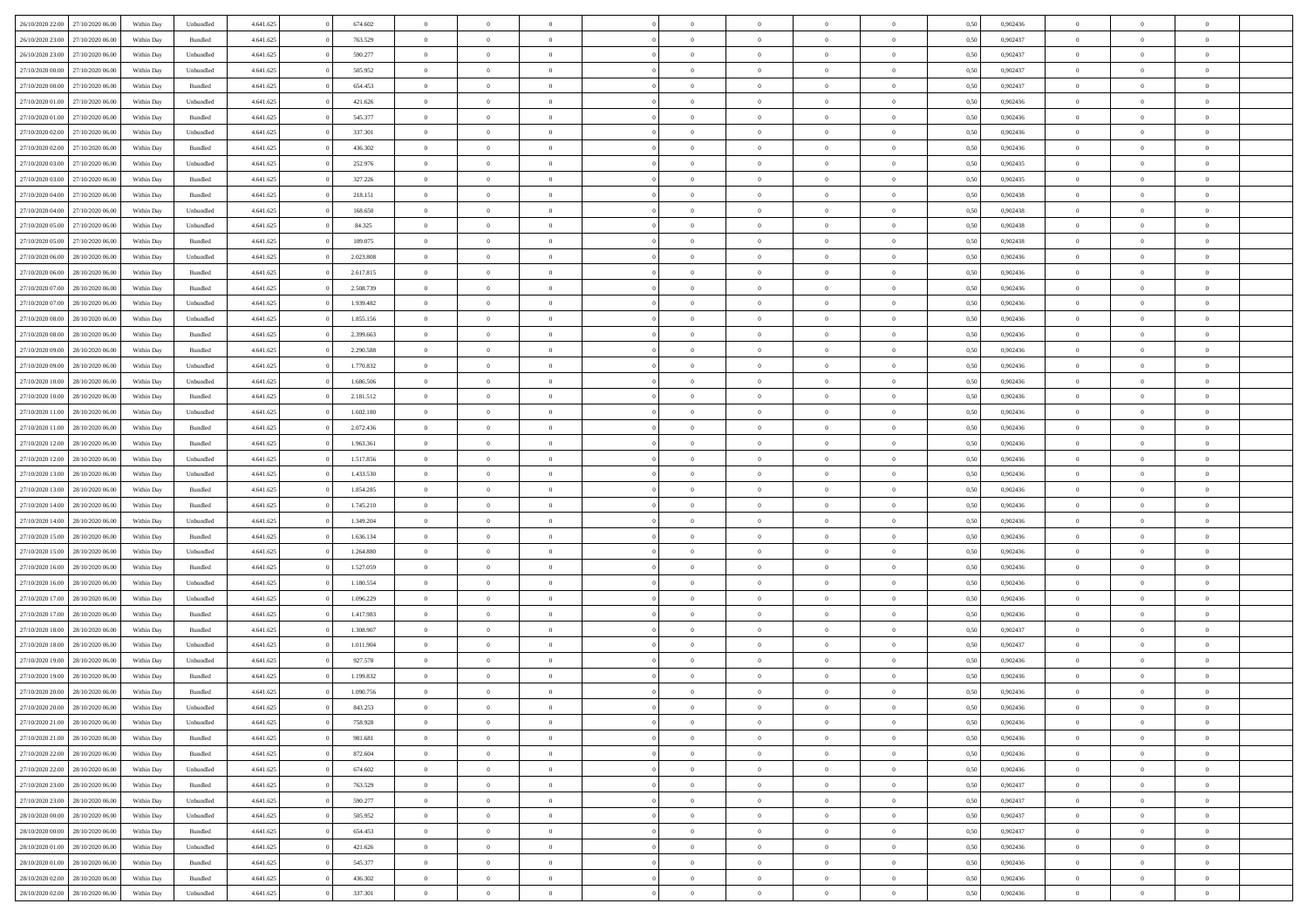|                                   | 27/10/2020 06.00 | Within Dav | Unbundled | 4.641.625 | 674.602   | $\overline{0}$ | $\theta$       |                | $\Omega$       | $\Omega$       | $\theta$       | $\theta$       | 0.50 | 0,902436 | $\theta$       | $\overline{0}$ | $\overline{0}$ |  |
|-----------------------------------|------------------|------------|-----------|-----------|-----------|----------------|----------------|----------------|----------------|----------------|----------------|----------------|------|----------|----------------|----------------|----------------|--|
| 26/10/2020 22.00                  |                  |            |           |           |           |                |                |                |                |                |                |                |      |          |                |                |                |  |
| 26/10/2020 23.00                  | 27/10/2020 06.00 | Within Day | Bundled   | 4.641.625 | 763.529   | $\overline{0}$ | $\theta$       | $\overline{0}$ | $\overline{0}$ | $\bf{0}$       | $\overline{0}$ | $\bf{0}$       | 0,50 | 0,902437 | $\theta$       | $\overline{0}$ | $\overline{0}$ |  |
| 26/10/2020 23.00                  | 27/10/2020 06.00 | Within Day | Unbundled | 4.641.625 | 590.277   | $\overline{0}$ | $\bf{0}$       | $\overline{0}$ | $\bf{0}$       | $\bf{0}$       | $\bf{0}$       | $\mathbf{0}$   | 0,50 | 0,902437 | $\overline{0}$ | $\overline{0}$ | $\bf{0}$       |  |
| 27/10/2020 00:00                  | 27/10/2020 06:00 | Within Dav | Unbundled | 4.641.625 | 505.952   | $\overline{0}$ | $\overline{0}$ | $\overline{0}$ | $\overline{0}$ | $\bf{0}$       | $\overline{0}$ | $\overline{0}$ | 0.50 | 0,902437 | $\theta$       | $\theta$       | $\overline{0}$ |  |
|                                   |                  |            |           |           |           |                |                |                |                |                |                |                |      |          |                |                |                |  |
| 27/10/2020 00.00                  | 27/10/2020 06.00 | Within Day | Bundled   | 4.641.625 | 654.453   | $\overline{0}$ | $\theta$       | $\overline{0}$ | $\overline{0}$ | $\bf{0}$       | $\overline{0}$ | $\bf{0}$       | 0,50 | 0,902437 | $\theta$       | $\overline{0}$ | $\overline{0}$ |  |
| 27/10/2020 01:00                  | 27/10/2020 06.00 | Within Day | Unbundled | 4.641.625 | 421.626   | $\overline{0}$ | $\overline{0}$ | $\overline{0}$ | $\bf{0}$       | $\overline{0}$ | $\overline{0}$ | $\mathbf{0}$   | 0,50 | 0,902436 | $\overline{0}$ | $\overline{0}$ | $\bf{0}$       |  |
| 27/10/2020 01:00                  | 27/10/2020 06.00 | Within Dav | Bundled   | 4.641.625 | 545.377   | $\overline{0}$ | $\overline{0}$ | $\overline{0}$ | $\overline{0}$ | $\overline{0}$ | $\overline{0}$ | $\overline{0}$ | 0.50 | 0,902436 | $\theta$       | $\overline{0}$ | $\overline{0}$ |  |
| 27/10/2020 02.00                  | 27/10/2020 06.00 | Within Day | Unbundled | 4.641.625 | 337.301   | $\overline{0}$ | $\theta$       | $\overline{0}$ | $\overline{0}$ | $\bf{0}$       | $\overline{0}$ | $\bf{0}$       | 0,50 | 0,902436 | $\theta$       | $\theta$       | $\overline{0}$ |  |
|                                   |                  |            |           |           |           |                | $\overline{0}$ |                |                | $\bf{0}$       |                |                |      |          | $\,0\,$        | $\overline{0}$ | $\overline{0}$ |  |
| 27/10/2020 02.00                  | 27/10/2020 06.00 | Within Day | Bundled   | 4.641.625 | 436.302   | $\overline{0}$ |                | $\overline{0}$ | $\bf{0}$       |                | $\bf{0}$       | $\bf{0}$       | 0,50 | 0,902436 |                |                |                |  |
| 27/10/2020 03:00                  | 27/10/2020 06.00 | Within Dav | Unbundled | 4.641.625 | 252.976   | $\overline{0}$ | $\overline{0}$ | $\overline{0}$ | $\overline{0}$ | $\overline{0}$ | $\overline{0}$ | $\overline{0}$ | 0.50 | 0,902435 | $\theta$       | $\overline{0}$ | $\overline{0}$ |  |
| 27/10/2020 03.00                  | 27/10/2020 06.00 | Within Day | Bundled   | 4.641.625 | 327.226   | $\overline{0}$ | $\theta$       | $\overline{0}$ | $\overline{0}$ | $\bf{0}$       | $\overline{0}$ | $\bf{0}$       | 0,50 | 0,902435 | $\,$ 0 $\,$    | $\overline{0}$ | $\overline{0}$ |  |
| 27/10/2020 04.00                  | 27/10/2020 06.00 | Within Day | Bundled   | 4.641.625 | 218.151   | $\overline{0}$ | $\bf{0}$       | $\overline{0}$ | $\bf{0}$       | $\bf{0}$       | $\bf{0}$       | $\mathbf{0}$   | 0,50 | 0,902438 | $\overline{0}$ | $\overline{0}$ | $\bf{0}$       |  |
| 27/10/2020 04:00                  | 27/10/2020 06.00 | Within Day | Unbundled | 4.641.625 | 168.650   | $\overline{0}$ | $\overline{0}$ | $\overline{0}$ | $\overline{0}$ | $\bf{0}$       | $\overline{0}$ | $\overline{0}$ | 0.50 | 0,902438 | $\theta$       | $\theta$       | $\overline{0}$ |  |
|                                   |                  |            |           |           |           |                |                |                |                |                |                |                |      |          |                |                |                |  |
| 27/10/2020 05.00                  | 27/10/2020 06.00 | Within Day | Unbundled | 4.641.625 | 84.325    | $\overline{0}$ | $\theta$       | $\overline{0}$ | $\overline{0}$ | $\bf{0}$       | $\overline{0}$ | $\bf{0}$       | 0,50 | 0,902438 | $\theta$       | $\overline{0}$ | $\overline{0}$ |  |
| 27/10/2020 05:00                  | 27/10/2020 06.00 | Within Day | Bundled   | 4.641.625 | 109.075   | $\overline{0}$ | $\overline{0}$ | $\overline{0}$ | $\bf{0}$       | $\overline{0}$ | $\overline{0}$ | $\mathbf{0}$   | 0,50 | 0,902438 | $\overline{0}$ | $\overline{0}$ | $\bf{0}$       |  |
| 27/10/2020 06:00                  | 28/10/2020 06:00 | Within Dav | Unbundled | 4.641.625 | 2.023.808 | $\overline{0}$ | $\overline{0}$ | $\overline{0}$ | $\overline{0}$ | $\overline{0}$ | $\overline{0}$ | $\overline{0}$ | 0.50 | 0,902436 | $\theta$       | $\overline{0}$ | $\overline{0}$ |  |
| 27/10/2020 06.00                  | 28/10/2020 06.00 | Within Day | Bundled   | 4.641.625 | 2.617.815 | $\overline{0}$ | $\theta$       | $\overline{0}$ | $\overline{0}$ | $\bf{0}$       | $\overline{0}$ | $\bf{0}$       | 0,50 | 0,902436 | $\theta$       | $\theta$       | $\overline{0}$ |  |
| 27/10/2020 07.00                  | 28/10/2020 06.00 | Within Day | Bundled   | 4.641.625 | 2.508.739 | $\overline{0}$ | $\overline{0}$ | $\overline{0}$ | $\bf{0}$       | $\bf{0}$       | $\bf{0}$       | $\mathbf{0}$   | 0,50 | 0,902436 | $\bf{0}$       | $\overline{0}$ | $\overline{0}$ |  |
|                                   |                  |            |           |           |           |                |                |                |                |                |                |                |      |          |                |                |                |  |
| 27/10/2020 07:00                  | 28/10/2020 06:00 | Within Day | Unbundled | 4.641.625 | 1.939.482 | $\overline{0}$ | $\overline{0}$ | $\overline{0}$ | $\overline{0}$ | $\overline{0}$ | $\overline{0}$ | $\overline{0}$ | 0.50 | 0,902436 | $\theta$       | $\overline{0}$ | $\overline{0}$ |  |
| 27/10/2020 08.00                  | 28/10/2020 06.00 | Within Day | Unbundled | 4.641.625 | 1.855.156 | $\overline{0}$ | $\theta$       | $\overline{0}$ | $\overline{0}$ | $\bf{0}$       | $\overline{0}$ | $\bf{0}$       | 0,50 | 0,902436 | $\,$ 0 $\,$    | $\overline{0}$ | $\overline{0}$ |  |
| 27/10/2020 08:00                  | 28/10/2020 06.00 | Within Day | Bundled   | 4.641.625 | 2.399.663 | $\overline{0}$ | $\overline{0}$ | $\overline{0}$ | $\bf{0}$       | $\bf{0}$       | $\bf{0}$       | $\bf{0}$       | 0,50 | 0,902436 | $\overline{0}$ | $\overline{0}$ | $\bf{0}$       |  |
| 27/10/2020 09:00                  | 28/10/2020 06:00 | Within Day | Bundled   | 4.641.625 | 2.290.588 | $\overline{0}$ | $\overline{0}$ | $\overline{0}$ | $\overline{0}$ | $\overline{0}$ | $\overline{0}$ | $\overline{0}$ | 0.50 | 0,902436 | $\theta$       | $\overline{0}$ | $\overline{0}$ |  |
| 27/10/2020 09:00                  | 28/10/2020 06.00 | Within Day |           | 4.641.625 | 1.770.832 | $\overline{0}$ | $\theta$       | $\overline{0}$ | $\overline{0}$ | $\bf{0}$       | $\overline{0}$ |                |      | 0,902436 | $\,$ 0 $\,$    | $\overline{0}$ | $\overline{0}$ |  |
|                                   |                  |            | Unbundled |           |           |                |                |                |                |                |                | $\bf{0}$       | 0,50 |          |                |                |                |  |
| 27/10/2020 10:00                  | 28/10/2020 06.00 | Within Day | Unbundled | 4.641.625 | 1.686.506 | $\overline{0}$ | $\overline{0}$ | $\overline{0}$ | $\bf{0}$       | $\overline{0}$ | $\overline{0}$ | $\mathbf{0}$   | 0,50 | 0,902436 | $\bf{0}$       | $\overline{0}$ | $\bf{0}$       |  |
| 27/10/2020 10:00                  | 28/10/2020 06:00 | Within Dav | Bundled   | 4.641.625 | 2.181.512 | $\overline{0}$ | $\overline{0}$ | $\overline{0}$ | $\overline{0}$ | $\overline{0}$ | $\overline{0}$ | $\overline{0}$ | 0.50 | 0,902436 | $\theta$       | $\overline{0}$ | $\overline{0}$ |  |
| 27/10/2020 11:00                  | 28/10/2020 06.00 | Within Day | Unbundled | 4.641.625 | 1.602.180 | $\overline{0}$ | $\theta$       | $\overline{0}$ | $\overline{0}$ | $\bf{0}$       | $\overline{0}$ | $\bf{0}$       | 0,50 | 0,902436 | $\theta$       | $\theta$       | $\overline{0}$ |  |
| 27/10/2020 11:00                  | 28/10/2020 06.00 | Within Day | Bundled   | 4.641.625 | 2.072.436 | $\overline{0}$ | $\overline{0}$ | $\overline{0}$ | $\bf{0}$       | $\bf{0}$       | $\bf{0}$       | $\bf{0}$       | 0,50 | 0,902436 | $\,0\,$        | $\overline{0}$ | $\overline{0}$ |  |
|                                   |                  |            |           |           |           |                | $\overline{0}$ |                |                | $\overline{0}$ |                |                |      |          | $\theta$       | $\overline{0}$ | $\overline{0}$ |  |
| 27/10/2020 12:00                  | 28/10/2020 06:00 | Within Day | Bundled   | 4.641.625 | 1.963.361 | $\overline{0}$ |                | $\overline{0}$ | $\overline{0}$ |                | $\overline{0}$ | $\overline{0}$ | 0.50 | 0,902436 |                |                |                |  |
| 27/10/2020 12:00                  | 28/10/2020 06.00 | Within Day | Unbundled | 4.641.625 | 1.517.856 | $\overline{0}$ | $\theta$       | $\overline{0}$ | $\overline{0}$ | $\bf{0}$       | $\overline{0}$ | $\bf{0}$       | 0,50 | 0,902436 | $\,$ 0 $\,$    | $\overline{0}$ | $\overline{0}$ |  |
| 27/10/2020 13.00                  | 28/10/2020 06.00 | Within Day | Unbundled | 4.641.625 | 1.433.530 | $\overline{0}$ | $\overline{0}$ | $\overline{0}$ | $\bf{0}$       | $\bf{0}$       | $\bf{0}$       | $\bf{0}$       | 0,50 | 0,902436 | $\bf{0}$       | $\overline{0}$ | $\bf{0}$       |  |
| 27/10/2020 13:00                  | 28/10/2020 06.00 | Within Day | Bundled   | 4.641.625 | 1.854.285 | $\overline{0}$ | $\Omega$       | $\Omega$       | $\Omega$       | $\Omega$       | $\overline{0}$ | $\overline{0}$ | 0,50 | 0.902436 | $\,0\,$        | $\theta$       | $\theta$       |  |
| 27/10/2020 14:00                  | 28/10/2020 06.00 | Within Day | Bundled   | 4.641.625 | 1.745.210 | $\overline{0}$ | $\theta$       | $\overline{0}$ | $\overline{0}$ | $\bf{0}$       | $\overline{0}$ | $\bf{0}$       | 0,50 | 0,902436 | $\,$ 0 $\,$    | $\overline{0}$ | $\overline{0}$ |  |
|                                   |                  |            |           |           |           |                |                |                |                |                |                |                |      |          |                |                |                |  |
| 27/10/2020 14:00                  | 28/10/2020 06.00 | Within Day | Unbundled | 4.641.625 | 1.349.204 | $\overline{0}$ | $\overline{0}$ | $\overline{0}$ | $\bf{0}$       | $\overline{0}$ | $\overline{0}$ | $\mathbf{0}$   | 0,50 | 0,902436 | $\bf{0}$       | $\overline{0}$ | $\bf{0}$       |  |
| 27/10/2020 15:00                  | 28/10/2020 06:00 | Within Day | Bundled   | 4.641.625 | 1.636.134 | $\overline{0}$ | $\Omega$       | $\Omega$       | $\Omega$       | $\bf{0}$       | $\overline{0}$ | $\overline{0}$ | 0.50 | 0.902436 | $\,0\,$        | $\theta$       | $\theta$       |  |
| 27/10/2020 15:00                  | 28/10/2020 06.00 | Within Day | Unbundled | 4.641.625 | 1.264.880 | $\overline{0}$ | $\theta$       | $\overline{0}$ | $\overline{0}$ | $\bf{0}$       | $\overline{0}$ | $\bf{0}$       | 0,50 | 0,902436 | $\,$ 0 $\,$    | $\overline{0}$ | $\overline{0}$ |  |
| 27/10/2020 16:00                  | 28/10/2020 06.00 | Within Day | Bundled   | 4.641.625 | 1.527.059 | $\overline{0}$ | $\overline{0}$ | $\overline{0}$ | $\bf{0}$       | $\bf{0}$       | $\bf{0}$       | $\bf{0}$       | 0,50 | 0,902436 | $\bf{0}$       | $\overline{0}$ | $\bf{0}$       |  |
| 27/10/2020 16:00                  | 28/10/2020 06:00 | Within Day | Unbundled | 4.641.625 | 1.180.554 | $\overline{0}$ | $\Omega$       | $\Omega$       | $\Omega$       | $\overline{0}$ | $\overline{0}$ | $\overline{0}$ | 0.50 | 0.902436 | $\,$ 0 $\,$    | $\theta$       | $\theta$       |  |
|                                   |                  |            |           |           |           |                |                |                |                |                |                |                |      |          |                |                |                |  |
| 27/10/2020 17.00                  | 28/10/2020 06.00 | Within Day | Unbundled | 4.641.625 | 1.096.229 | $\overline{0}$ | $\theta$       | $\overline{0}$ | $\overline{0}$ | $\,$ 0         | $\overline{0}$ | $\bf{0}$       | 0,50 | 0,902436 | $\,$ 0 $\,$    | $\overline{0}$ | $\overline{0}$ |  |
| 27/10/2020 17.00                  | 28/10/2020 06.00 | Within Day | Bundled   | 4.641.625 | 1.417.983 | $\overline{0}$ | $\bf{0}$       | $\overline{0}$ | $\bf{0}$       | $\bf{0}$       | $\bf{0}$       | $\mathbf{0}$   | 0,50 | 0,902436 | $\overline{0}$ | $\overline{0}$ | $\bf{0}$       |  |
| 27/10/2020 18:00                  | 28/10/2020 06.00 | Within Day | Bundled   | 4.641.625 | 1.308.907 | $\overline{0}$ | $\Omega$       | $\overline{0}$ | $\Omega$       | $\overline{0}$ | $\overline{0}$ | $\overline{0}$ | 0,50 | 0,902437 | $\,0\,$        | $\theta$       | $\theta$       |  |
| 27/10/2020 18.00                  | 28/10/2020 06.00 | Within Day | Unbundled | 4.641.625 | 1.011.904 | $\overline{0}$ | $\overline{0}$ | $\overline{0}$ | $\overline{0}$ | $\,$ 0         | $\overline{0}$ | $\bf{0}$       | 0,50 | 0,902437 | $\,$ 0 $\,$    | $\overline{0}$ | $\overline{0}$ |  |
| 27/10/2020 19:00                  | 28/10/2020 06.00 | Within Day | Unbundled | 4.641.625 | 927.578   | $\overline{0}$ | $\overline{0}$ | $\overline{0}$ | $\bf{0}$       | $\bf{0}$       | $\overline{0}$ | $\mathbf{0}$   | 0,50 | 0,902436 | $\overline{0}$ | $\overline{0}$ | $\bf{0}$       |  |
|                                   |                  |            |           |           |           |                |                |                |                |                |                |                |      |          |                |                |                |  |
| 27/10/2020 19:00                  | 28/10/2020 06:00 | Within Day | Bundled   | 4.641.625 | 1.199.832 | $\overline{0}$ | $\Omega$       | $\Omega$       | $\Omega$       | $\Omega$       | $\Omega$       | $\overline{0}$ | 0.50 | 0.902436 | $\theta$       | $\theta$       | $\theta$       |  |
| 27/10/2020 20:00                  | 28/10/2020 06:00 | Within Day | Bundled   | 4.641.625 | 1.090.756 | $\overline{0}$ | $\overline{0}$ | $\overline{0}$ | $\bf{0}$       | $\,$ 0         | $\bf{0}$       | $\bf{0}$       | 0,50 | 0,902436 | $\,0\,$        | $\,$ 0 $\,$    | $\overline{0}$ |  |
| 27/10/2020 20:00                  | 28/10/2020 06:00 | Within Day | Unbundled | 4.641.625 | 843.253   | $\bf{0}$       | $\bf{0}$       |                |                | $\bf{0}$       |                |                | 0,50 | 0,902436 | $\bf{0}$       | $\overline{0}$ |                |  |
| 27/10/2020 21.00                  | 28/10/2020 06:00 | Within Day | Unbundled | 4.641.625 | 758,928   | $\overline{0}$ | $\overline{0}$ | $\overline{0}$ | $\Omega$       | $\overline{0}$ | $\overline{0}$ | $\overline{0}$ | 0,50 | 0.902436 | $\theta$       | $\theta$       | $\theta$       |  |
| 27/10/2020 21.00                  | 28/10/2020 06.00 | Within Day | Bundled   | 4.641.625 | 981.681   | $\overline{0}$ | $\bf{0}$       | $\overline{0}$ | $\bf{0}$       | $\,$ 0 $\,$    | $\overline{0}$ | $\,$ 0 $\,$    | 0,50 | 0,902436 | $\,$ 0 $\,$    | $\,$ 0 $\,$    | $\,$ 0         |  |
|                                   |                  |            |           |           |           |                |                |                |                |                |                |                |      |          |                |                |                |  |
| 27/10/2020 22.00                  | 28/10/2020 06.00 | Within Day | Bundled   | 4.641.625 | 872.604   | $\overline{0}$ | $\overline{0}$ | $\overline{0}$ | $\overline{0}$ | $\overline{0}$ | $\overline{0}$ | $\mathbf{0}$   | 0,50 | 0,902436 | $\overline{0}$ | $\bf{0}$       | $\bf{0}$       |  |
| 27/10/2020 22.00                  | 28/10/2020 06.00 | Within Day | Unbundled | 4.641.625 | 674.602   | $\overline{0}$ | $\overline{0}$ | $\overline{0}$ | $\Omega$       | $\overline{0}$ | $\overline{0}$ | $\overline{0}$ | 0,50 | 0,902436 | $\overline{0}$ | $\theta$       | $\overline{0}$ |  |
| 27/10/2020 23.00                  | 28/10/2020 06.00 | Within Day | Bundled   | 4.641.625 | 763.529   | $\overline{0}$ | $\,$ 0         | $\overline{0}$ | $\overline{0}$ | $\,$ 0 $\,$    | $\overline{0}$ | $\mathbf{0}$   | 0,50 | 0,902437 | $\,$ 0 $\,$    | $\overline{0}$ | $\overline{0}$ |  |
| 27/10/2020 23.00                  | 28/10/2020 06.00 | Within Day | Unbundled | 4.641.625 | 590.277   | $\overline{0}$ | $\overline{0}$ | $\overline{0}$ | $\overline{0}$ | $\overline{0}$ | $\overline{0}$ | $\mathbf{0}$   | 0,50 | 0,902437 | $\overline{0}$ | $\overline{0}$ | $\bf{0}$       |  |
|                                   |                  |            |           |           |           |                | $\overline{0}$ | $\overline{0}$ | $\Omega$       | $\overline{0}$ | $\overline{0}$ |                | 0.50 |          |                | $\theta$       | $\overline{0}$ |  |
| 28/10/2020 00:00                  | 28/10/2020 06.00 | Within Day | Unbundled | 4.641.625 | 505.952   | $\overline{0}$ |                |                |                |                |                | $\bf{0}$       |      | 0,902437 | $\overline{0}$ |                |                |  |
| 28/10/2020 00:00                  | 28/10/2020 06.00 | Within Day | Bundled   | 4.641.625 | 654.453   | $\overline{0}$ | $\,$ 0         | $\overline{0}$ | $\bf{0}$       | $\bf{0}$       | $\bf{0}$       | $\bf{0}$       | 0,50 | 0,902437 | $\,$ 0 $\,$    | $\overline{0}$ | $\overline{0}$ |  |
| 28/10/2020 01:00                  | 28/10/2020 06.00 | Within Day | Unbundled | 4.641.625 | 421.626   | $\overline{0}$ | $\bf{0}$       | $\overline{0}$ | $\overline{0}$ | $\overline{0}$ | $\overline{0}$ | $\mathbf{0}$   | 0,50 | 0,902436 | $\overline{0}$ | $\overline{0}$ | $\bf{0}$       |  |
| 28/10/2020 01:00                  | 28/10/2020 06:00 | Within Day | Bundled   | 4.641.625 | 545.377   | $\overline{0}$ | $\overline{0}$ | $\overline{0}$ | $\Omega$       | $\overline{0}$ | $\overline{0}$ | $\bf{0}$       | 0.50 | 0.902436 | $\overline{0}$ | $\theta$       | $\overline{0}$ |  |
| 28/10/2020 02:00                  | 28/10/2020 06.00 | Within Day | Bundled   | 4.641.625 | 436.302   | $\overline{0}$ | $\bf{0}$       | $\overline{0}$ | $\bf{0}$       | $\bf{0}$       | $\bf{0}$       | $\mathbf{0}$   | 0,50 | 0,902436 | $\,$ 0 $\,$    | $\,$ 0 $\,$    | $\bf{0}$       |  |
|                                   |                  |            |           |           |           |                |                |                |                |                |                |                |      |          |                |                |                |  |
| 28/10/2020 02.00 28/10/2020 06.00 |                  | Within Day | Unbundled | 4.641.625 | 337.301   | $\overline{0}$ | $\overline{0}$ | $\overline{0}$ | $\overline{0}$ | $\overline{0}$ | $\bf{0}$       | $\mathbf{0}$   | 0,50 | 0,902436 | $\overline{0}$ | $\bf{0}$       | $\bf{0}$       |  |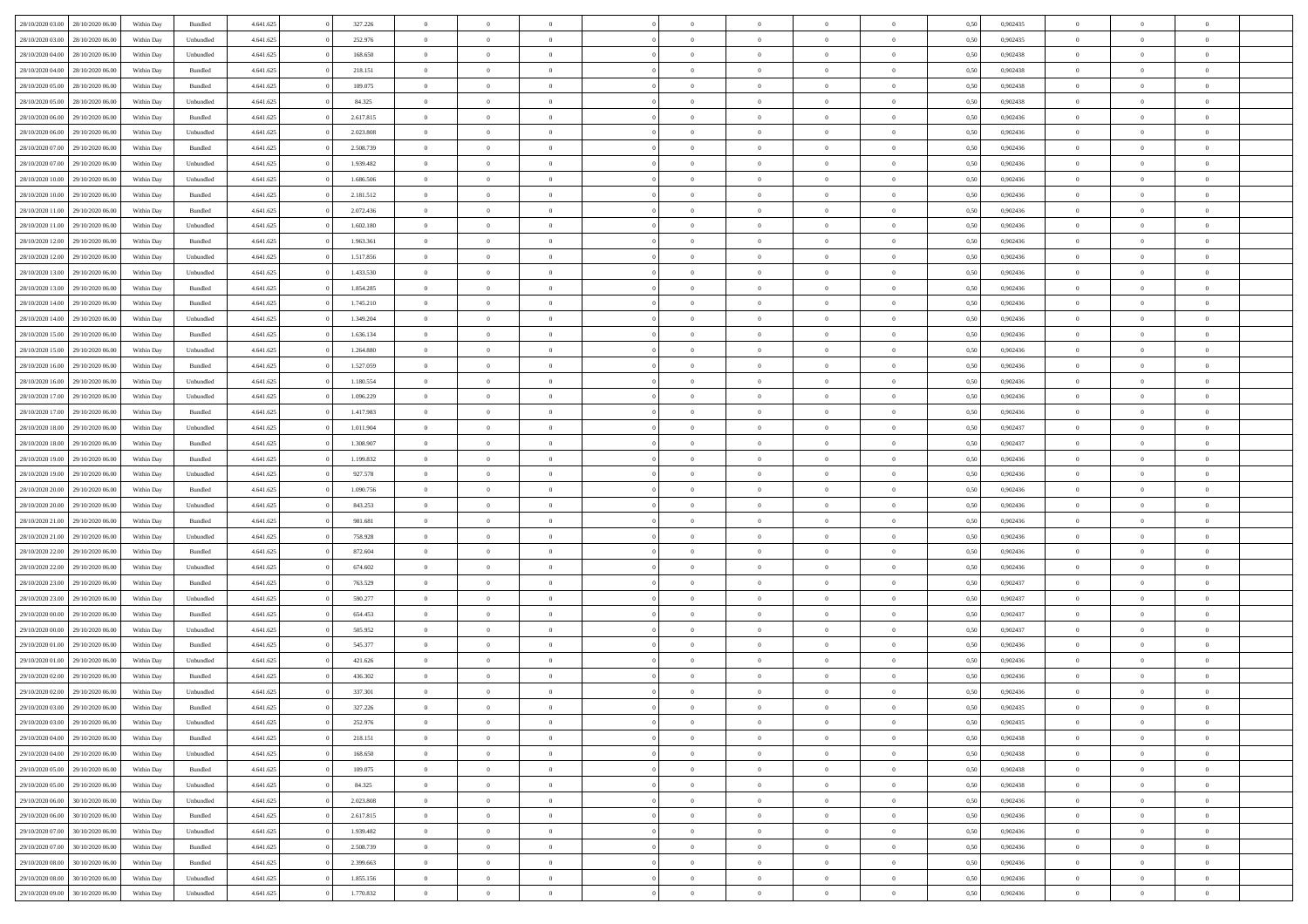| 28/10/2020 03:00 | 28/10/2020 06:00 | Within Dav | Bundled            | 4.641.625 | 327.226   | $\overline{0}$ | $\Omega$       |                | $\Omega$       | $\Omega$       | $\Omega$       | $\theta$       | 0.50 | 0,902435 | $\theta$       | $\theta$       | $\theta$       |  |
|------------------|------------------|------------|--------------------|-----------|-----------|----------------|----------------|----------------|----------------|----------------|----------------|----------------|------|----------|----------------|----------------|----------------|--|
| 28/10/2020 03:00 | 28/10/2020 06.00 | Within Day | Unbundled          | 4.641.625 | 252.976   | $\overline{0}$ | $\theta$       | $\overline{0}$ | $\overline{0}$ | $\bf{0}$       | $\overline{0}$ | $\bf{0}$       | 0,50 | 0,902435 | $\theta$       | $\overline{0}$ | $\overline{0}$ |  |
| 28/10/2020 04:00 | 28/10/2020 06.00 | Within Day | Unbundled          | 4.641.625 | 168.650   | $\overline{0}$ | $\overline{0}$ | $\overline{0}$ | $\bf{0}$       | $\bf{0}$       | $\bf{0}$       | $\bf{0}$       | 0,50 | 0,902438 | $\bf{0}$       | $\overline{0}$ | $\overline{0}$ |  |
| 28/10/2020 04:00 | 28/10/2020 06:00 | Within Dav | Bundled            | 4.641.625 | 218.151   | $\overline{0}$ | $\overline{0}$ | $\overline{0}$ | $\overline{0}$ | $\bf{0}$       | $\overline{0}$ | $\overline{0}$ | 0.50 | 0,902438 | $\theta$       | $\theta$       | $\overline{0}$ |  |
|                  |                  |            |                    |           |           | $\overline{0}$ | $\theta$       | $\overline{0}$ |                | $\bf{0}$       | $\overline{0}$ |                |      |          | $\theta$       | $\overline{0}$ | $\overline{0}$ |  |
| 28/10/2020 05:00 | 28/10/2020 06.00 | Within Day | Bundled            | 4.641.625 | 109.075   |                |                |                | $\overline{0}$ |                |                | $\bf{0}$       | 0,50 | 0,902438 |                |                |                |  |
| 28/10/2020 05:00 | 28/10/2020 06.00 | Within Day | Unbundled          | 4.641.625 | 84.325    | $\overline{0}$ | $\bf{0}$       | $\overline{0}$ | $\bf{0}$       | $\overline{0}$ | $\overline{0}$ | $\mathbf{0}$   | 0,50 | 0,902438 | $\bf{0}$       | $\overline{0}$ | $\bf{0}$       |  |
| 28/10/2020 06:00 | 29/10/2020 06.00 | Within Dav | Bundled            | 4.641.625 | 2.617.815 | $\overline{0}$ | $\overline{0}$ | $\overline{0}$ | $\overline{0}$ | $\overline{0}$ | $\overline{0}$ | $\overline{0}$ | 0.50 | 0,902436 | $\theta$       | $\overline{0}$ | $\overline{0}$ |  |
| 28/10/2020 06.00 | 29/10/2020 06.00 | Within Day | Unbundled          | 4.641.625 | 2.023.808 | $\overline{0}$ | $\theta$       | $\overline{0}$ | $\overline{0}$ | $\bf{0}$       | $\overline{0}$ | $\bf{0}$       | 0,50 | 0,902436 | $\theta$       | $\theta$       | $\overline{0}$ |  |
| 28/10/2020 07:00 | 29/10/2020 06.00 | Within Day | Bundled            | 4.641.625 | 2.508.739 | $\overline{0}$ | $\overline{0}$ | $\overline{0}$ | $\bf{0}$       | $\bf{0}$       | $\bf{0}$       | $\bf{0}$       | 0,50 | 0,902436 | $\,0\,$        | $\overline{0}$ | $\overline{0}$ |  |
| 28/10/2020 07.00 | 29/10/2020 06:00 | Within Dav | Unbundled          | 4.641.625 | 1.939.482 | $\overline{0}$ | $\overline{0}$ | $\overline{0}$ | $\overline{0}$ | $\overline{0}$ | $\overline{0}$ | $\overline{0}$ | 0.50 | 0,902436 | $\theta$       | $\overline{0}$ | $\overline{0}$ |  |
|                  |                  |            |                    |           |           |                |                |                |                |                |                |                |      |          |                |                |                |  |
| 28/10/2020 10:00 | 29/10/2020 06.00 | Within Day | Unbundled          | 4.641.625 | 1.686.506 | $\overline{0}$ | $\theta$       | $\overline{0}$ | $\overline{0}$ | $\bf{0}$       | $\overline{0}$ | $\bf{0}$       | 0,50 | 0,902436 | $\,$ 0 $\,$    | $\overline{0}$ | $\overline{0}$ |  |
| 28/10/2020 10:00 | 29/10/2020 06.00 | Within Day | Bundled            | 4.641.625 | 2.181.512 | $\overline{0}$ | $\overline{0}$ | $\overline{0}$ | $\bf{0}$       | $\bf{0}$       | $\bf{0}$       | $\bf{0}$       | 0,50 | 0,902436 | $\bf{0}$       | $\overline{0}$ | $\overline{0}$ |  |
| 28/10/2020 11:00 | 29/10/2020 06:00 | Within Day | Bundled            | 4.641.625 | 2.072.436 | $\overline{0}$ | $\overline{0}$ | $\overline{0}$ | $\overline{0}$ | $\bf{0}$       | $\overline{0}$ | $\overline{0}$ | 0.50 | 0,902436 | $\theta$       | $\theta$       | $\overline{0}$ |  |
| 28/10/2020 11:00 | 29/10/2020 06.00 | Within Day | Unbundled          | 4.641.625 | 1.602.180 | $\overline{0}$ | $\theta$       | $\overline{0}$ | $\overline{0}$ | $\bf{0}$       | $\overline{0}$ | $\bf{0}$       | 0,50 | 0,902436 | $\theta$       | $\overline{0}$ | $\overline{0}$ |  |
| 28/10/2020 12:00 | 29/10/2020 06.00 | Within Day | Bundled            | 4.641.625 | 1.963.361 | $\overline{0}$ | $\bf{0}$       | $\overline{0}$ | $\bf{0}$       | $\overline{0}$ | $\overline{0}$ | $\mathbf{0}$   | 0,50 | 0,902436 | $\bf{0}$       | $\overline{0}$ | $\bf{0}$       |  |
|                  |                  |            |                    |           |           |                | $\overline{0}$ |                |                | $\overline{0}$ |                |                |      |          | $\theta$       | $\overline{0}$ | $\overline{0}$ |  |
| 28/10/2020 12:00 | 29/10/2020 06:00 | Within Dav | Unbundled          | 4.641.625 | 1.517.856 | $\overline{0}$ |                | $\overline{0}$ | $\overline{0}$ |                | $\overline{0}$ | $\overline{0}$ | 0.50 | 0,902436 |                |                |                |  |
| 28/10/2020 13:00 | 29/10/2020 06.00 | Within Day | Unbundled          | 4.641.625 | 1.433.530 | $\overline{0}$ | $\theta$       | $\overline{0}$ | $\overline{0}$ | $\bf{0}$       | $\overline{0}$ | $\bf{0}$       | 0,50 | 0,902436 | $\theta$       | $\theta$       | $\overline{0}$ |  |
| 28/10/2020 13:00 | 29/10/2020 06.00 | Within Day | Bundled            | 4.641.625 | 1.854.285 | $\overline{0}$ | $\overline{0}$ | $\overline{0}$ | $\bf{0}$       | $\bf{0}$       | $\bf{0}$       | $\bf{0}$       | 0,50 | 0,902436 | $\,0\,$        | $\overline{0}$ | $\overline{0}$ |  |
| 28/10/2020 14:00 | 29/10/2020 06:00 | Within Day | Bundled            | 4.641.625 | 1.745.210 | $\overline{0}$ | $\overline{0}$ | $\overline{0}$ | $\overline{0}$ | $\overline{0}$ | $\overline{0}$ | $\overline{0}$ | 0.50 | 0,902436 | $\theta$       | $\overline{0}$ | $\overline{0}$ |  |
| 28/10/2020 14:00 | 29/10/2020 06.00 | Within Day | Unbundled          | 4.641.625 | 1.349.204 | $\overline{0}$ | $\theta$       | $\overline{0}$ | $\overline{0}$ | $\bf{0}$       | $\overline{0}$ | $\bf{0}$       | 0,50 | 0,902436 | $\,$ 0 $\,$    | $\theta$       | $\overline{0}$ |  |
| 28/10/2020 15.00 | 29/10/2020 06.00 | Within Day | Bundled            | 4.641.625 | 1.636.134 | $\overline{0}$ | $\overline{0}$ | $\overline{0}$ | $\overline{0}$ | $\bf{0}$       | $\overline{0}$ | $\bf{0}$       | 0,50 | 0,902436 | $\bf{0}$       | $\overline{0}$ | $\overline{0}$ |  |
|                  | 29/10/2020 06:00 |            | Unbundled          | 4.641.625 | 1.264.880 | $\overline{0}$ | $\overline{0}$ | $\overline{0}$ |                | $\bf{0}$       | $\overline{0}$ |                | 0.50 | 0,902436 | $\theta$       | $\theta$       | $\overline{0}$ |  |
| 28/10/2020 15:00 |                  | Within Day |                    |           |           |                |                |                | $\overline{0}$ |                |                | $\overline{0}$ |      |          |                |                |                |  |
| 28/10/2020 16:00 | 29/10/2020 06.00 | Within Day | Bundled            | 4.641.625 | 1.527.059 | $\overline{0}$ | $\theta$       | $\overline{0}$ | $\overline{0}$ | $\bf{0}$       | $\overline{0}$ | $\bf{0}$       | 0,50 | 0,902436 | $\,$ 0 $\,$    | $\overline{0}$ | $\overline{0}$ |  |
| 28/10/2020 16:00 | 29/10/2020 06.00 | Within Day | Unbundled          | 4.641.625 | 1.180.554 | $\overline{0}$ | $\bf{0}$       | $\overline{0}$ | $\overline{0}$ | $\overline{0}$ | $\overline{0}$ | $\mathbf{0}$   | 0,50 | 0,902436 | $\bf{0}$       | $\overline{0}$ | $\bf{0}$       |  |
| 28/10/2020 17:00 | 29/10/2020 06:00 | Within Dav | Unbundled          | 4.641.625 | 1.096.229 | $\overline{0}$ | $\overline{0}$ | $\overline{0}$ | $\overline{0}$ | $\overline{0}$ | $\overline{0}$ | $\overline{0}$ | 0.50 | 0,902436 | $\theta$       | $\overline{0}$ | $\overline{0}$ |  |
| 28/10/2020 17:00 | 29/10/2020 06.00 | Within Day | Bundled            | 4.641.625 | 1.417.983 | $\overline{0}$ | $\theta$       | $\overline{0}$ | $\overline{0}$ | $\bf{0}$       | $\overline{0}$ | $\bf{0}$       | 0,50 | 0,902436 | $\theta$       | $\theta$       | $\overline{0}$ |  |
| 28/10/2020 18:00 | 29/10/2020 06.00 | Within Day | Unbundled          | 4.641.625 | 1.011.904 | $\overline{0}$ | $\overline{0}$ | $\overline{0}$ | $\overline{0}$ | $\bf{0}$       | $\overline{0}$ | $\bf{0}$       | 0,50 | 0,902437 | $\,0\,$        | $\overline{0}$ | $\overline{0}$ |  |
|                  | 29/10/2020 06:00 |            | Bundled            | 4.641.625 | 1.308.907 | $\overline{0}$ | $\overline{0}$ | $\overline{0}$ | $\overline{0}$ | $\overline{0}$ | $\overline{0}$ | $\overline{0}$ | 0.50 | 0,902437 | $\theta$       | $\overline{0}$ | $\overline{0}$ |  |
| 28/10/2020 18:00 |                  | Within Day |                    |           |           |                |                |                |                |                |                |                |      |          |                |                |                |  |
| 28/10/2020 19:00 | 29/10/2020 06.00 | Within Day | Bundled            | 4.641.625 | 1.199.832 | $\overline{0}$ | $\theta$       | $\overline{0}$ | $\overline{0}$ | $\bf{0}$       | $\overline{0}$ | $\bf{0}$       | 0,50 | 0,902436 | $\,$ 0 $\,$    | $\overline{0}$ | $\overline{0}$ |  |
| 28/10/2020 19:00 | 29/10/2020 06.00 | Within Day | Unbundled          | 4.641.625 | 927.578   | $\overline{0}$ | $\overline{0}$ | $\overline{0}$ | $\overline{0}$ | $\bf{0}$       | $\bf{0}$       | $\bf{0}$       | 0,50 | 0,902436 | $\bf{0}$       | $\overline{0}$ | $\overline{0}$ |  |
| 28/10/2020 20:00 | 29/10/2020 06.00 | Within Day | Bundled            | 4.641.625 | 1.090.756 | $\overline{0}$ | $\Omega$       | $\Omega$       | $\Omega$       | $\Omega$       | $\overline{0}$ | $\overline{0}$ | 0,50 | 0.902436 | $\,0\,$        | $\theta$       | $\theta$       |  |
| 28/10/2020 20:00 | 29/10/2020 06.00 | Within Day | Unbundled          | 4.641.625 | 843.253   | $\overline{0}$ | $\theta$       | $\overline{0}$ | $\overline{0}$ | $\bf{0}$       | $\overline{0}$ | $\bf{0}$       | 0,50 | 0,902436 | $\,$ 0 $\,$    | $\theta$       | $\overline{0}$ |  |
| 28/10/2020 21.00 | 29/10/2020 06.00 | Within Day | Bundled            | 4.641.625 | 981.681   | $\overline{0}$ | $\overline{0}$ | $\overline{0}$ | $\bf{0}$       | $\bf{0}$       | $\overline{0}$ | $\mathbf{0}$   | 0,50 | 0,902436 | $\bf{0}$       | $\overline{0}$ | $\bf{0}$       |  |
| 28/10/2020 21:00 | 29/10/2020 06:00 |            | Unbundled          | 4.641.625 | 758.928   | $\overline{0}$ | $\Omega$       | $\Omega$       | $\Omega$       | $\bf{0}$       | $\overline{0}$ | $\overline{0}$ | 0.50 | 0.902436 | $\,0\,$        | $\theta$       | $\theta$       |  |
|                  |                  | Within Day |                    |           |           |                |                |                |                |                |                |                |      |          |                |                |                |  |
| 28/10/2020 22.00 | 29/10/2020 06.00 | Within Day | Bundled            | 4.641.625 | 872.604   | $\overline{0}$ | $\theta$       | $\overline{0}$ | $\overline{0}$ | $\bf{0}$       | $\overline{0}$ | $\bf{0}$       | 0,50 | 0,902436 | $\,$ 0 $\,$    | $\theta$       | $\overline{0}$ |  |
| 28/10/2020 22.00 | 29/10/2020 06.00 | Within Day | Unbundled          | 4.641.625 | 674.602   | $\overline{0}$ | $\overline{0}$ | $\overline{0}$ | $\bf{0}$       | $\bf{0}$       | $\bf{0}$       | $\bf{0}$       | 0,50 | 0,902436 | $\,0\,$        | $\overline{0}$ | $\overline{0}$ |  |
| 28/10/2020 23:00 | 29/10/2020 06:00 | Within Day | Bundled            | 4.641.625 | 763.529   | $\overline{0}$ | $\Omega$       | $\Omega$       | $\Omega$       | $\theta$       | $\overline{0}$ | $\overline{0}$ | 0.50 | 0.902437 | $\,$ 0 $\,$    | $\theta$       | $\theta$       |  |
| 28/10/2020 23.00 | 29/10/2020 06.00 | Within Day | Unbundled          | 4.641.625 | 590.277   | $\overline{0}$ | $\theta$       | $\overline{0}$ | $\overline{0}$ | $\bf{0}$       | $\overline{0}$ | $\bf{0}$       | 0,50 | 0,902437 | $\,$ 0 $\,$    | $\overline{0}$ | $\overline{0}$ |  |
| 29/10/2020 00.00 | 29/10/2020 06.00 | Within Day | Bundled            | 4.641.625 | 654.453   | $\overline{0}$ | $\overline{0}$ | $\overline{0}$ | $\bf{0}$       | $\bf{0}$       | $\bf{0}$       | $\bf{0}$       | 0,50 | 0,902437 | $\bf{0}$       | $\overline{0}$ | $\overline{0}$ |  |
| 29/10/2020 00:00 | 29/10/2020 06.00 | Within Day | Unbundled          | 4.641.625 | 505.952   | $\overline{0}$ | $\Omega$       | $\overline{0}$ | $\Omega$       | $\Omega$       | $\overline{0}$ | $\overline{0}$ | 0,50 | 0,902437 | $\,0\,$        | $\theta$       | $\theta$       |  |
|                  |                  |            |                    |           |           |                | $\theta$       |                |                |                |                |                |      |          |                |                |                |  |
| 29/10/2020 01.00 | 29/10/2020 06.00 | Within Day | Bundled            | 4.641.625 | 545.377   | $\overline{0}$ |                | $\overline{0}$ | $\overline{0}$ | $\,$ 0         | $\overline{0}$ | $\bf{0}$       | 0,50 | 0,902436 | $\,$ 0 $\,$    | $\overline{0}$ | $\overline{0}$ |  |
| 29/10/2020 01.00 | 29/10/2020 06.00 | Within Day | Unbundled          | 4.641.625 | 421.626   | $\overline{0}$ | $\overline{0}$ | $\overline{0}$ | $\bf{0}$       | $\bf{0}$       | $\bf{0}$       | $\mathbf{0}$   | 0,50 | 0,902436 | $\bf{0}$       | $\overline{0}$ | $\bf{0}$       |  |
| 29/10/2020 02.00 | 29/10/2020 06:00 | Within Day | Bundled            | 4.641.625 | 436,302   | $\overline{0}$ | $\Omega$       | $\Omega$       | $\Omega$       | $\Omega$       | $\Omega$       | $\overline{0}$ | 0.50 | 0.902436 | $\theta$       | $\theta$       | $\theta$       |  |
| 29/10/2020 02.00 | 29/10/2020 06.00 | Within Day | Unbundled          | 4.641.625 | 337.301   | $\overline{0}$ | $\,$ 0 $\,$    | $\overline{0}$ | $\bf{0}$       | $\,$ 0         | $\overline{0}$ | $\bf{0}$       | 0,50 | 0,902436 | $\,0\,$        | $\overline{0}$ | $\overline{0}$ |  |
| 29/10/2020 03:00 | 29/10/2020 06.00 | Within Day | $\mathbf B$ undled | 4.641.625 | 327.226   | $\bf{0}$       | $\bf{0}$       |                |                |                |                |                | 0,50 | 0,902435 | $\bf{0}$       | $\overline{0}$ |                |  |
| 29/10/2020 03:00 | 29/10/2020 06:00 | Within Day | Unbundled          | 4.641.625 | 252.976   | $\overline{0}$ | $\overline{0}$ | $\overline{0}$ | $\Omega$       | $\overline{0}$ | $\overline{0}$ | $\overline{0}$ | 0.50 | 0.902435 | $\theta$       | $\theta$       | $\theta$       |  |
| 29/10/2020 04.00 | 29/10/2020 06.00 | Within Day | Bundled            | 4.641.625 | 218.151   | $\overline{0}$ | $\,$ 0         | $\overline{0}$ | $\overline{0}$ | $\,$ 0 $\,$    | $\overline{0}$ | $\mathbf{0}$   | 0,50 | 0,902438 | $\,$ 0 $\,$    | $\,$ 0 $\,$    | $\,$ 0         |  |
|                  |                  |            |                    |           |           |                |                |                |                |                |                |                |      |          |                |                |                |  |
| 29/10/2020 04:00 | 29/10/2020 06.00 | Within Day | Unbundled          | 4.641.625 | 168.650   | $\overline{0}$ | $\overline{0}$ | $\overline{0}$ | $\overline{0}$ | $\overline{0}$ | $\overline{0}$ | $\mathbf{0}$   | 0,50 | 0,902438 | $\overline{0}$ | $\bf{0}$       | $\bf{0}$       |  |
| 29/10/2020 05:00 | 29/10/2020 06.00 | Within Day | $\mathbf B$ undled | 4.641.625 | 109.075   | $\overline{0}$ | $\overline{0}$ | $\overline{0}$ | $\Omega$       | $\overline{0}$ | $\overline{0}$ | $\bf{0}$       | 0,50 | 0,902438 | $\overline{0}$ | $\theta$       | $\overline{0}$ |  |
| 29/10/2020 05.00 | 29/10/2020 06.00 | Within Day | Unbundled          | 4.641.625 | 84.325    | $\overline{0}$ | $\,$ 0         | $\overline{0}$ | $\overline{0}$ | $\overline{0}$ | $\overline{0}$ | $\bf{0}$       | 0,50 | 0,902438 | $\,$ 0 $\,$    | $\overline{0}$ | $\overline{0}$ |  |
| 29/10/2020 06.00 | 30/10/2020 06.00 | Within Day | Unbundled          | 4.641.625 | 2.023.808 | $\overline{0}$ | $\overline{0}$ | $\overline{0}$ | $\overline{0}$ | $\overline{0}$ | $\overline{0}$ | $\mathbf{0}$   | 0,50 | 0,902436 | $\overline{0}$ | $\overline{0}$ | $\bf{0}$       |  |
| 29/10/2020 06.00 | 30/10/2020 06.00 | Within Day | Bundled            | 4.641.625 | 2.617.815 | $\overline{0}$ | $\overline{0}$ | $\overline{0}$ | $\Omega$       | $\overline{0}$ | $\overline{0}$ | $\bf{0}$       | 0.50 | 0,902436 | $\overline{0}$ | $\theta$       | $\overline{0}$ |  |
| 29/10/2020 07.00 | 30/10/2020 06.00 | Within Day | Unbundled          | 4.641.625 | 1.939.482 | $\overline{0}$ | $\,$ 0         | $\overline{0}$ | $\overline{0}$ | $\bf{0}$       | $\overline{0}$ | $\bf{0}$       | 0,50 | 0,902436 | $\,$ 0 $\,$    | $\overline{0}$ | $\overline{0}$ |  |
|                  |                  |            |                    |           |           |                |                |                |                |                |                |                |      |          |                |                |                |  |
| 29/10/2020 07:00 | 30/10/2020 06.00 | Within Day | Bundled            | 4.641.625 | 2.508.739 | $\overline{0}$ | $\bf{0}$       | $\overline{0}$ | $\overline{0}$ | $\overline{0}$ | $\overline{0}$ | $\mathbf{0}$   | 0,50 | 0,902436 | $\overline{0}$ | $\overline{0}$ | $\bf{0}$       |  |
| 29/10/2020 08:00 | 30/10/2020 06:00 | Within Day | Bundled            | 4.641.625 | 2.399.663 | $\overline{0}$ | $\overline{0}$ | $\overline{0}$ | $\Omega$       | $\overline{0}$ | $\overline{0}$ | $\bf{0}$       | 0.50 | 0.902436 | $\overline{0}$ | $\theta$       | $\overline{0}$ |  |
| 29/10/2020 08.00 | 30/10/2020 06.00 | Within Day | Unbundled          | 4.641.625 | 1.855.156 | $\overline{0}$ | $\bf{0}$       | $\overline{0}$ | $\overline{0}$ | $\bf{0}$       | $\overline{0}$ | $\bf{0}$       | 0,50 | 0,902436 | $\,$ 0 $\,$    | $\,$ 0 $\,$    | $\bf{0}$       |  |
| 29/10/2020 09:00 | 30/10/2020 06.00 | Within Day | Unbundled          | 4.641.625 | 1.770.832 | $\overline{0}$ | $\bf{0}$       | $\overline{0}$ | $\bf{0}$       | $\bf{0}$       | $\overline{0}$ | $\bf{0}$       | 0,50 | 0,902436 | $\overline{0}$ | $\overline{0}$ | $\bf{0}$       |  |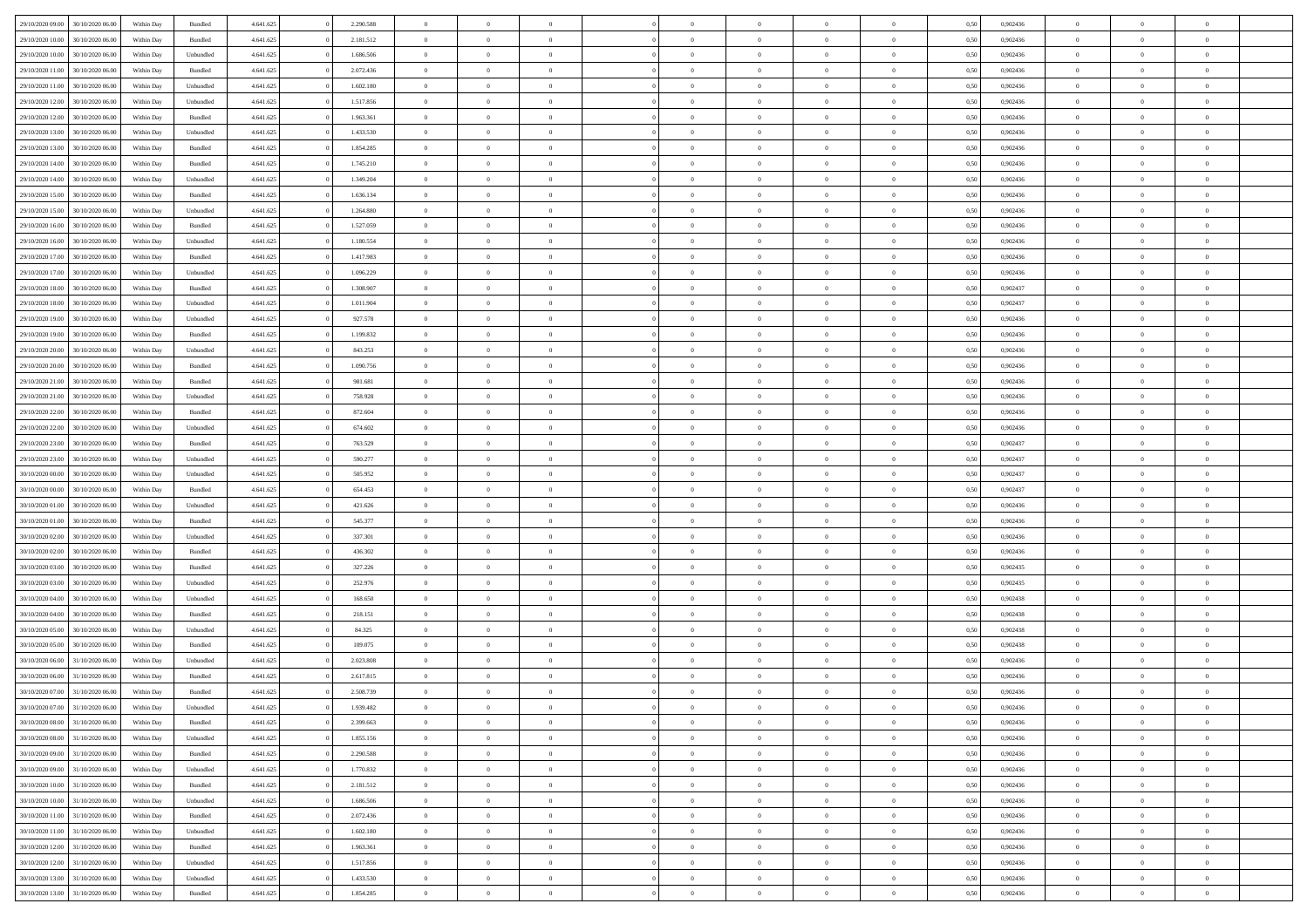| 29/10/2020 09:00 | 30/10/2020 06:00 | Within Day | Bundled   | 4.641.625 | 2.290.588 | $\overline{0}$ | $\theta$       |                | $\Omega$       | $\Omega$       | $\overline{0}$ | $\theta$       | 0.50 | 0,902436 | $\theta$       | $\theta$       | $\overline{0}$ |  |
|------------------|------------------|------------|-----------|-----------|-----------|----------------|----------------|----------------|----------------|----------------|----------------|----------------|------|----------|----------------|----------------|----------------|--|
|                  |                  |            |           |           |           |                |                |                |                |                |                |                |      |          |                |                |                |  |
| 29/10/2020 10:00 | 30/10/2020 06.00 | Within Day | Bundled   | 4.641.625 | 2.181.512 | $\overline{0}$ | $\theta$       | $\overline{0}$ | $\overline{0}$ | $\bf{0}$       | $\overline{0}$ | $\bf{0}$       | 0,50 | 0,902436 | $\theta$       | $\overline{0}$ | $\overline{0}$ |  |
| 29/10/2020 10:00 | 30/10/2020 06.00 | Within Day | Unbundled | 4.641.625 | 1.686.506 | $\overline{0}$ | $\bf{0}$       | $\overline{0}$ | $\overline{0}$ | $\bf{0}$       | $\overline{0}$ | $\mathbf{0}$   | 0,50 | 0,902436 | $\overline{0}$ | $\overline{0}$ | $\overline{0}$ |  |
|                  |                  |            |           |           |           |                |                |                |                |                |                |                |      |          | $\theta$       |                |                |  |
| 29/10/2020 11:00 | 30/10/2020 06:00 | Within Dav | Bundled   | 4.641.625 | 2.072.436 | $\overline{0}$ | $\overline{0}$ | $\overline{0}$ | $\overline{0}$ | $\bf{0}$       | $\overline{0}$ | $\overline{0}$ | 0.50 | 0,902436 |                | $\theta$       | $\overline{0}$ |  |
| 29/10/2020 11:00 | 30/10/2020 06.00 | Within Day | Unbundled | 4.641.625 | 1.602.180 | $\overline{0}$ | $\theta$       | $\overline{0}$ | $\overline{0}$ | $\bf{0}$       | $\overline{0}$ | $\bf{0}$       | 0,50 | 0,902436 | $\theta$       | $\overline{0}$ | $\overline{0}$ |  |
| 29/10/2020 12:00 | 30/10/2020 06.00 | Within Day | Unbundled | 4.641.625 | 1.517.856 | $\overline{0}$ | $\overline{0}$ | $\overline{0}$ | $\bf{0}$       | $\overline{0}$ | $\overline{0}$ | $\mathbf{0}$   | 0,50 | 0,902436 | $\overline{0}$ | $\overline{0}$ | $\bf{0}$       |  |
|                  | 30/10/2020 06.00 | Within Dav | Bundled   | 4.641.625 | 1.963.361 | $\overline{0}$ | $\overline{0}$ | $\overline{0}$ |                | $\overline{0}$ | $\overline{0}$ | $\overline{0}$ | 0.50 | 0,902436 | $\theta$       | $\overline{0}$ | $\overline{0}$ |  |
| 29/10/2020 12:00 |                  |            |           |           |           |                |                |                | $\overline{0}$ |                |                |                |      |          |                |                |                |  |
| 29/10/2020 13:00 | 30/10/2020 06.00 | Within Day | Unbundled | 4.641.625 | 1.433.530 | $\overline{0}$ | $\theta$       | $\overline{0}$ | $\overline{0}$ | $\bf{0}$       | $\overline{0}$ | $\bf{0}$       | 0,50 | 0,902436 | $\theta$       | $\theta$       | $\overline{0}$ |  |
| 29/10/2020 13:00 | 30/10/2020 06.00 | Within Day | Bundled   | 4.641.625 | 1.854.285 | $\overline{0}$ | $\overline{0}$ | $\overline{0}$ | $\bf{0}$       | $\bf{0}$       | $\bf{0}$       | $\bf{0}$       | 0,50 | 0,902436 | $\,0\,$        | $\overline{0}$ | $\overline{0}$ |  |
| 29/10/2020 14:00 | 30/10/2020 06.00 | Within Dav | Bundled   | 4.641.625 | 1.745.210 | $\overline{0}$ | $\overline{0}$ | $\overline{0}$ | $\overline{0}$ | $\overline{0}$ | $\overline{0}$ | $\overline{0}$ | 0.50 | 0,902436 | $\theta$       | $\overline{0}$ | $\overline{0}$ |  |
|                  |                  |            |           |           |           |                |                |                |                |                |                |                |      |          |                |                |                |  |
| 29/10/2020 14:00 | 30/10/2020 06.00 | Within Day | Unbundled | 4.641.625 | 1.349.204 | $\overline{0}$ | $\theta$       | $\overline{0}$ | $\overline{0}$ | $\bf{0}$       | $\overline{0}$ | $\bf{0}$       | 0,50 | 0,902436 | $\,$ 0 $\,$    | $\overline{0}$ | $\overline{0}$ |  |
| 29/10/2020 15:00 | 30/10/2020 06.00 | Within Day | Bundled   | 4.641.625 | 1.636.134 | $\overline{0}$ | $\bf{0}$       | $\overline{0}$ | $\bf{0}$       | $\bf{0}$       | $\bf{0}$       | $\mathbf{0}$   | 0,50 | 0,902436 | $\overline{0}$ | $\overline{0}$ | $\bf{0}$       |  |
| 29/10/2020 15:00 | 30/10/2020 06:00 | Within Dav | Unbundled | 4.641.625 | 1.264.880 | $\overline{0}$ | $\overline{0}$ | $\overline{0}$ | $\overline{0}$ | $\bf{0}$       | $\overline{0}$ | $\overline{0}$ | 0.50 | 0,902436 | $\theta$       | $\theta$       | $\overline{0}$ |  |
|                  |                  |            |           |           |           |                |                |                |                |                |                |                |      |          |                |                |                |  |
| 29/10/2020 16.00 | 30/10/2020 06.00 | Within Day | Bundled   | 4.641.625 | 1.527.059 | $\overline{0}$ | $\theta$       | $\overline{0}$ | $\overline{0}$ | $\bf{0}$       | $\overline{0}$ | $\bf{0}$       | 0,50 | 0,902436 | $\theta$       | $\overline{0}$ | $\overline{0}$ |  |
| 29/10/2020 16:00 | 30/10/2020 06.00 | Within Day | Unbundled | 4.641.625 | 1.180.554 | $\overline{0}$ | $\overline{0}$ | $\overline{0}$ | $\bf{0}$       | $\overline{0}$ | $\overline{0}$ | $\mathbf{0}$   | 0,50 | 0,902436 | $\overline{0}$ | $\overline{0}$ | $\bf{0}$       |  |
| 29/10/2020 17.00 | 30/10/2020 06.00 | Within Dav | Bundled   | 4.641.625 | 1.417.983 | $\overline{0}$ | $\overline{0}$ | $\overline{0}$ | $\overline{0}$ | $\overline{0}$ | $\overline{0}$ | $\overline{0}$ | 0.50 | 0,902436 | $\theta$       | $\overline{0}$ | $\overline{0}$ |  |
|                  |                  |            |           |           |           |                |                |                |                |                |                |                |      |          |                |                |                |  |
| 29/10/2020 17:00 | 30/10/2020 06.00 | Within Day | Unbundled | 4.641.625 | 1.096.229 | $\overline{0}$ | $\theta$       | $\overline{0}$ | $\overline{0}$ | $\bf{0}$       | $\overline{0}$ | $\bf{0}$       | 0,50 | 0,902436 | $\,$ 0 $\,$    | $\overline{0}$ | $\overline{0}$ |  |
| 29/10/2020 18:00 | 30/10/2020 06.00 | Within Day | Bundled   | 4.641.625 | 1.308.907 | $\overline{0}$ | $\overline{0}$ | $\overline{0}$ | $\bf{0}$       | $\bf{0}$       | $\bf{0}$       | $\bf{0}$       | 0,50 | 0,902437 | $\bf{0}$       | $\overline{0}$ | $\overline{0}$ |  |
| 29/10/2020 18:00 | 30/10/2020 06.00 | Within Day | Unbundled | 4.641.625 | 1.011.904 | $\overline{0}$ | $\overline{0}$ | $\overline{0}$ | $\overline{0}$ | $\overline{0}$ | $\overline{0}$ | $\overline{0}$ | 0.50 | 0,902437 | $\theta$       | $\overline{0}$ | $\overline{0}$ |  |
| 29/10/2020 19:00 | 30/10/2020 06.00 |            |           | 4.641.625 | 927.578   | $\overline{0}$ | $\theta$       | $\overline{0}$ | $\overline{0}$ | $\bf{0}$       | $\overline{0}$ |                |      | 0,902436 | $\,$ 0 $\,$    | $\overline{0}$ | $\overline{0}$ |  |
|                  |                  | Within Day | Unbundled |           |           |                |                |                |                |                |                | $\bf{0}$       | 0,50 |          |                |                |                |  |
| 29/10/2020 19:00 | 30/10/2020 06.00 | Within Day | Bundled   | 4.641.625 | 1.199.832 | $\overline{0}$ | $\overline{0}$ | $\overline{0}$ | $\bf{0}$       | $\bf{0}$       | $\bf{0}$       | $\bf{0}$       | 0,50 | 0,902436 | $\overline{0}$ | $\overline{0}$ | $\bf{0}$       |  |
| 29/10/2020 20:00 | 30/10/2020 06:00 | Within Day | Unbundled | 4.641.625 | 843.253   | $\overline{0}$ | $\overline{0}$ | $\overline{0}$ | $\overline{0}$ | $\bf{0}$       | $\overline{0}$ | $\overline{0}$ | 0.50 | 0,902436 | $\theta$       | $\overline{0}$ | $\overline{0}$ |  |
| 29/10/2020 20.00 | 30/10/2020 06.00 | Within Day | Bundled   | 4.641.625 | 1.090.756 | $\overline{0}$ | $\theta$       | $\overline{0}$ | $\overline{0}$ | $\bf{0}$       | $\overline{0}$ | $\bf{0}$       | 0,50 | 0,902436 | $\,$ 0 $\,$    | $\overline{0}$ | $\overline{0}$ |  |
|                  |                  |            |           |           |           |                |                |                |                |                |                |                |      |          |                |                |                |  |
| 29/10/2020 21.00 | 30/10/2020 06.00 | Within Day | Bundled   | 4.641.625 | 981.681   | $\overline{0}$ | $\overline{0}$ | $\overline{0}$ | $\bf{0}$       | $\overline{0}$ | $\overline{0}$ | $\mathbf{0}$   | 0,50 | 0,902436 | $\overline{0}$ | $\overline{0}$ | $\bf{0}$       |  |
| 29/10/2020 21:00 | 30/10/2020 06.00 | Within Dav | Unbundled | 4.641.625 | 758.928   | $\overline{0}$ | $\overline{0}$ | $\overline{0}$ | $\overline{0}$ | $\overline{0}$ | $\overline{0}$ | $\overline{0}$ | 0.50 | 0,902436 | $\theta$       | $\overline{0}$ | $\overline{0}$ |  |
| 29/10/2020 22.00 | 30/10/2020 06.00 | Within Day | Bundled   | 4.641.625 | 872.604   | $\overline{0}$ | $\theta$       | $\overline{0}$ | $\overline{0}$ | $\bf{0}$       | $\overline{0}$ | $\bf{0}$       | 0,50 | 0,902436 | $\theta$       | $\theta$       | $\overline{0}$ |  |
|                  |                  |            |           |           |           |                |                |                |                |                |                |                |      |          |                |                |                |  |
| 29/10/2020 22.00 | 30/10/2020 06.00 | Within Day | Unbundled | 4.641.625 | 674.602   | $\overline{0}$ | $\overline{0}$ | $\overline{0}$ | $\overline{0}$ | $\bf{0}$       | $\overline{0}$ | $\bf{0}$       | 0,50 | 0,902436 | $\,0\,$        | $\overline{0}$ | $\overline{0}$ |  |
| 29/10/2020 23.00 | 30/10/2020 06.00 | Within Day | Bundled   | 4.641.625 | 763.529   | $\overline{0}$ | $\overline{0}$ | $\overline{0}$ | $\overline{0}$ | $\overline{0}$ | $\overline{0}$ | $\overline{0}$ | 0.50 | 0,902437 | $\theta$       | $\overline{0}$ | $\overline{0}$ |  |
| 29/10/2020 23.00 | 30/10/2020 06.00 | Within Day | Unbundled | 4.641.625 | 590.277   | $\overline{0}$ | $\theta$       | $\overline{0}$ | $\overline{0}$ | $\bf{0}$       | $\overline{0}$ | $\bf{0}$       | 0,50 | 0,902437 | $\,$ 0 $\,$    | $\overline{0}$ | $\overline{0}$ |  |
|                  |                  |            |           |           |           |                |                |                |                |                |                |                |      |          |                |                |                |  |
| 30/10/2020 00.00 | 30/10/2020 06.00 | Within Day | Unbundled | 4.641.625 | 505.952   | $\overline{0}$ | $\overline{0}$ | $\overline{0}$ | $\overline{0}$ | $\bf{0}$       | $\overline{0}$ | $\bf{0}$       | 0,50 | 0,902437 | $\overline{0}$ | $\overline{0}$ | $\bf{0}$       |  |
| 30/10/2020 00:00 | 30/10/2020 06:00 | Within Day | Bundled   | 4.641.625 | 654.453   | $\overline{0}$ | $\Omega$       | $\Omega$       | $\Omega$       | $\Omega$       | $\overline{0}$ | $\overline{0}$ | 0,50 | 0.902437 | $\,0\,$        | $\theta$       | $\theta$       |  |
| 30/10/2020 01:00 | 30/10/2020 06.00 | Within Day | Unbundled | 4.641.625 | 421.626   | $\overline{0}$ | $\theta$       | $\overline{0}$ | $\overline{0}$ | $\bf{0}$       | $\overline{0}$ | $\bf{0}$       | 0,50 | 0,902436 | $\,$ 0 $\,$    | $\overline{0}$ | $\overline{0}$ |  |
| 30/10/2020 01.00 | 30/10/2020 06.00 | Within Day | Bundled   | 4.641.625 | 545.377   | $\overline{0}$ | $\overline{0}$ | $\overline{0}$ | $\overline{0}$ | $\overline{0}$ | $\overline{0}$ | $\mathbf{0}$   | 0,50 | 0,902436 | $\overline{0}$ | $\overline{0}$ | $\bf{0}$       |  |
|                  |                  |            |           |           |           |                |                |                |                |                |                |                |      |          |                |                |                |  |
| 30/10/2020 02.00 | 30/10/2020 06:00 | Within Day | Unbundled | 4.641.625 | 337.301   | $\overline{0}$ | $\Omega$       | $\Omega$       | $\Omega$       | $\bf{0}$       | $\overline{0}$ | $\overline{0}$ | 0.50 | 0.902436 | $\,0\,$        | $\theta$       | $\theta$       |  |
| 30/10/2020 02.00 | 30/10/2020 06.00 | Within Day | Bundled   | 4.641.625 | 436.302   | $\overline{0}$ | $\theta$       | $\overline{0}$ | $\overline{0}$ | $\bf{0}$       | $\overline{0}$ | $\bf{0}$       | 0,50 | 0,902436 | $\,$ 0 $\,$    | $\overline{0}$ | $\overline{0}$ |  |
| 30/10/2020 03.00 | 30/10/2020 06.00 | Within Day | Bundled   | 4.641.625 | 327.226   | $\overline{0}$ | $\overline{0}$ | $\overline{0}$ | $\overline{0}$ | $\bf{0}$       | $\overline{0}$ | $\bf{0}$       | 0,50 | 0,902435 | $\bf{0}$       | $\overline{0}$ | $\bf{0}$       |  |
|                  |                  |            |           |           |           |                |                |                |                |                |                |                |      |          |                |                |                |  |
| 30/10/2020 03.00 | 30/10/2020 06:00 | Within Day | Unbundled | 4.641.625 | 252.976   | $\overline{0}$ | $\Omega$       | $\Omega$       | $\Omega$       | $\theta$       | $\overline{0}$ | $\overline{0}$ | 0.50 | 0.902435 | $\,$ 0 $\,$    | $\theta$       | $\theta$       |  |
| 30/10/2020 04:00 | 30/10/2020 06.00 | Within Day | Unbundled | 4.641.625 | 168.650   | $\overline{0}$ | $\overline{0}$ | $\overline{0}$ | $\overline{0}$ | $\,$ 0         | $\overline{0}$ | $\bf{0}$       | 0,50 | 0,902438 | $\,$ 0 $\,$    | $\overline{0}$ | $\overline{0}$ |  |
| 30/10/2020 04.00 | 30/10/2020 06.00 | Within Day | Bundled   | 4.641.625 | 218.151   | $\overline{0}$ | $\bf{0}$       | $\overline{0}$ | $\overline{0}$ | $\bf{0}$       | $\overline{0}$ | $\bf{0}$       | 0,50 | 0,902438 | $\overline{0}$ | $\overline{0}$ | $\bf{0}$       |  |
|                  |                  |            |           |           |           | $\overline{0}$ | $\Omega$       | $\overline{0}$ | $\Omega$       | $\overline{0}$ | $\overline{0}$ | $\overline{0}$ |      | 0,902438 | $\,0\,$        | $\theta$       | $\theta$       |  |
| 30/10/2020 05:00 | 30/10/2020 06.00 | Within Day | Unbundled | 4.641.625 | 84.325    |                |                |                |                |                |                |                | 0,50 |          |                |                |                |  |
| 30/10/2020 05:00 | 30/10/2020 06.00 | Within Day | Bundled   | 4.641.625 | 109.075   | $\overline{0}$ | $\overline{0}$ | $\overline{0}$ | $\overline{0}$ | $\,$ 0         | $\overline{0}$ | $\bf{0}$       | 0,50 | 0,902438 | $\,$ 0 $\,$    | $\overline{0}$ | $\overline{0}$ |  |
| 30/10/2020 06.00 | 31/10/2020 06.00 | Within Day | Unbundled | 4.641.625 | 2.023.808 | $\overline{0}$ | $\overline{0}$ | $\overline{0}$ | $\overline{0}$ | $\bf{0}$       | $\bf{0}$       | $\mathbf{0}$   | 0,50 | 0,902436 | $\overline{0}$ | $\overline{0}$ | $\bf{0}$       |  |
| 30/10/2020 06.00 | 31/10/2020 06:00 | Within Day | Bundled   | 4.641.625 | 2.617.815 | $\overline{0}$ | $\Omega$       | $\Omega$       | $\Omega$       | $\Omega$       | $\Omega$       | $\overline{0}$ | 0.50 | 0.902436 | $\theta$       | $\theta$       | $\theta$       |  |
|                  |                  |            |           |           |           |                |                |                |                |                |                |                |      |          |                |                |                |  |
| 30/10/2020 07.00 | 31/10/2020 06.00 | Within Day | Bundled   | 4.641.625 | 2.508.739 | $\overline{0}$ | $\overline{0}$ | $\overline{0}$ | $\bf{0}$       | $\,$ 0         | $\bf{0}$       | $\bf{0}$       | 0,50 | 0,902436 | $\,0\,$        | $\,$ 0 $\,$    | $\overline{0}$ |  |
| 30/10/2020 07:00 | 31/10/2020 06.00 | Within Day | Unbundled | 4.641.625 | 1.939.482 | $\bf{0}$       | $\bf{0}$       |                |                | $\bf{0}$       |                |                | 0,50 | 0,902436 | $\bf{0}$       | $\overline{0}$ |                |  |
| 30/10/2020 08:00 | 31/10/2020 06:00 | Within Day | Bundled   | 4.641.625 | 2.399.663 | $\overline{0}$ | $\overline{0}$ | $\overline{0}$ | $\Omega$       | $\theta$       | $\overline{0}$ | $\overline{0}$ | 0,50 | 0.902436 | $\theta$       | $\theta$       | $\theta$       |  |
| 30/10/2020 08:00 | 31/10/2020 06.00 | Within Day | Unbundled | 4.641.625 | 1.855.156 | $\overline{0}$ | $\,$ 0         | $\overline{0}$ | $\bf{0}$       | $\,$ 0 $\,$    | $\overline{0}$ | $\mathbf{0}$   | 0,50 | 0,902436 | $\,$ 0 $\,$    | $\,$ 0 $\,$    | $\,$ 0         |  |
|                  |                  |            |           |           |           |                |                |                |                |                |                |                |      |          |                |                |                |  |
| 30/10/2020 09:00 | 31/10/2020 06.00 | Within Day | Bundled   | 4.641.625 | 2.290.588 | $\overline{0}$ | $\overline{0}$ | $\overline{0}$ | $\overline{0}$ | $\overline{0}$ | $\overline{0}$ | $\mathbf{0}$   | 0,50 | 0,902436 | $\overline{0}$ | $\bf{0}$       | $\bf{0}$       |  |
| 30/10/2020 09:00 | 31/10/2020 06.00 | Within Day | Unbundled | 4.641.625 | 1.770.832 | $\overline{0}$ | $\overline{0}$ | $\overline{0}$ | $\Omega$       | $\overline{0}$ | $\overline{0}$ | $\bf{0}$       | 0,50 | 0,902436 | $\overline{0}$ | $\theta$       | $\overline{0}$ |  |
| 30/10/2020 10:00 | 31/10/2020 06.00 | Within Day | Bundled   | 4.641.625 | 2.181.512 | $\overline{0}$ | $\,$ 0         | $\overline{0}$ | $\overline{0}$ | $\overline{0}$ | $\overline{0}$ | $\bf{0}$       | 0,50 | 0,902436 | $\,$ 0 $\,$    | $\overline{0}$ | $\overline{0}$ |  |
|                  |                  |            |           |           |           |                |                |                |                |                |                |                |      |          |                |                |                |  |
| 30/10/2020 10:00 | 31/10/2020 06.00 | Within Day | Unbundled | 4.641.625 | 1.686.506 | $\overline{0}$ | $\overline{0}$ | $\overline{0}$ | $\overline{0}$ | $\overline{0}$ | $\overline{0}$ | $\mathbf{0}$   | 0,50 | 0,902436 | $\overline{0}$ | $\overline{0}$ | $\bf{0}$       |  |
| 30/10/2020 11:00 | 31/10/2020 06.00 | Within Day | Bundled   | 4.641.625 | 2.072.436 | $\overline{0}$ | $\overline{0}$ | $\overline{0}$ | $\Omega$       | $\overline{0}$ | $\overline{0}$ | $\bf{0}$       | 0.50 | 0,902436 | $\overline{0}$ | $\theta$       | $\overline{0}$ |  |
| 30/10/2020 11:00 | 31/10/2020 06.00 | Within Day | Unbundled | 4.641.625 | 1.602.180 | $\overline{0}$ | $\,$ 0         | $\overline{0}$ | $\bf{0}$       | $\bf{0}$       | $\bf{0}$       | $\bf{0}$       | 0,50 | 0,902436 | $\,$ 0 $\,$    | $\overline{0}$ | $\overline{0}$ |  |
|                  |                  |            |           |           |           |                |                |                |                |                |                |                |      |          |                |                |                |  |
| 30/10/2020 12:00 | 31/10/2020 06.00 | Within Day | Bundled   | 4.641.625 | 1.963.361 | $\overline{0}$ | $\bf{0}$       | $\overline{0}$ | $\overline{0}$ | $\overline{0}$ | $\bf{0}$       | $\mathbf{0}$   | 0,50 | 0,902436 | $\overline{0}$ | $\overline{0}$ | $\bf{0}$       |  |
| 30/10/2020 12:00 | 31/10/2020 06.00 | Within Day | Unbundled | 4.641.625 | 1.517.856 | $\overline{0}$ | $\overline{0}$ | $\overline{0}$ | $\Omega$       | $\overline{0}$ | $\overline{0}$ | $\bf{0}$       | 0.50 | 0.902436 | $\overline{0}$ | $\theta$       | $\overline{0}$ |  |
| 30/10/2020 13:00 | 31/10/2020 06.00 | Within Day | Unbundled | 4.641.625 | 1.433.530 | $\overline{0}$ | $\bf{0}$       | $\overline{0}$ | $\overline{0}$ | $\bf{0}$       | $\bf{0}$       | $\bf{0}$       | 0,50 | 0,902436 | $\,$ 0 $\,$    | $\,$ 0 $\,$    | $\bf{0}$       |  |
|                  |                  |            |           |           |           |                |                |                |                |                |                |                |      |          |                |                |                |  |
| 30/10/2020 13:00 | 31/10/2020 06.00 | Within Day | Bundled   | 4.641.625 | 1.854.285 | $\overline{0}$ | $\overline{0}$ | $\overline{0}$ | $\overline{0}$ | $\bf{0}$       | $\bf{0}$       | $\mathbf{0}$   | 0,50 | 0,902436 | $\overline{0}$ | $\bf{0}$       | $\bf{0}$       |  |